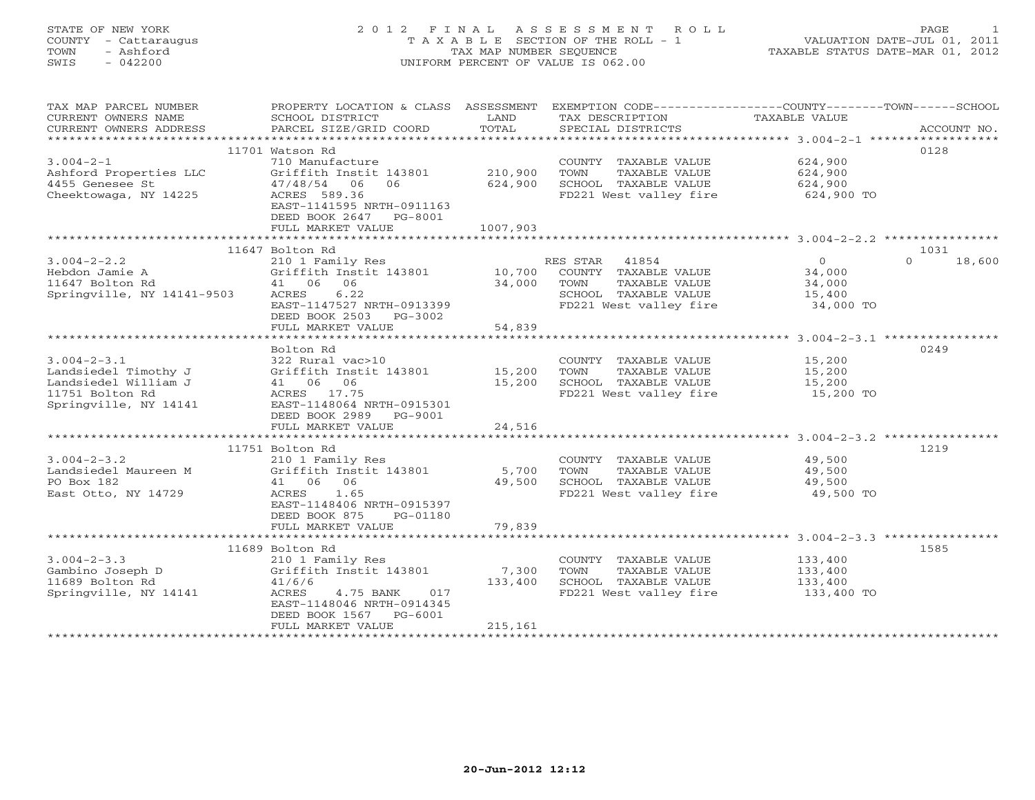## STATE OF NEW YORK 2 0 1 2 F I N A L A S S E S S M E N T R O L L PAGE 1 COUNTY - Cattaraugus T A X A B L E SECTION OF THE ROLL - 1 VALUATION DATE-JUL 01, 2011 TOWN - Ashford TAX MAP NUMBER SEQUENCE TAXABLE STATUS DATE-MAR 01, 2012 SWIS - 042200 UNIFORM PERCENT OF VALUE IS 062.00UNIFORM PERCENT OF VALUE IS 062.00

| TAX MAP PARCEL NUMBER<br>CURRENT OWNERS NAME<br>CURRENT OWNERS ADDRESS                | PROPERTY LOCATION & CLASS ASSESSMENT<br>SCHOOL DISTRICT<br>PARCEL SIZE/GRID COORD | LAND<br>TOTAL      | TAX DESCRIPTION<br>SPECIAL DISTRICTS                                                            | EXEMPTION CODE-----------------COUNTY-------TOWN------SCHOOL<br>TAXABLE VALUE<br>ACCOUNT NO. |
|---------------------------------------------------------------------------------------|-----------------------------------------------------------------------------------|--------------------|-------------------------------------------------------------------------------------------------|----------------------------------------------------------------------------------------------|
|                                                                                       |                                                                                   |                    |                                                                                                 |                                                                                              |
|                                                                                       | 11701 Watson Rd                                                                   |                    |                                                                                                 | 0128                                                                                         |
| $3.004 - 2 - 1$<br>Ashford Properties LLC<br>4455 Genesee St<br>Cheektowaga, NY 14225 | 710 Manufacture<br>Griffith Instit 143801<br>47/48/54 06 06<br>ACRES 589.36       | 210,900<br>624,900 | COUNTY TAXABLE VALUE<br>TOWN<br>TAXABLE VALUE<br>SCHOOL TAXABLE VALUE<br>FD221 West valley fire | 624,900<br>624,900<br>624,900<br>624,900 TO                                                  |
|                                                                                       | EAST-1141595 NRTH-0911163<br>DEED BOOK 2647 PG-8001<br>FULL MARKET VALUE          | 1007,903           |                                                                                                 |                                                                                              |
|                                                                                       |                                                                                   |                    |                                                                                                 |                                                                                              |
|                                                                                       | 11647 Bolton Rd                                                                   |                    |                                                                                                 | 1031                                                                                         |
| $3.004 - 2 - 2.2$                                                                     | 210 1 Family Res                                                                  |                    | RES STAR 41854                                                                                  | 18,600<br>$\overline{0}$<br>$\Omega$                                                         |
| Hebdon Jamie A                                                                        | Griffith Instit 143801                                                            | 10,700             | COUNTY TAXABLE VALUE                                                                            | 34,000                                                                                       |
| 11647 Bolton Rd                                                                       | 41 06<br>06                                                                       | 34,000             | TAXABLE VALUE<br>TOWN<br>SCHOOL TAXABLE VALUE                                                   | 34,000                                                                                       |
| Springville, NY 14141-9503                                                            | 6.22<br>ACRES<br>EAST-1147527 NRTH-0913399                                        |                    | FD221 West valley fire                                                                          | 15,400<br>34,000 TO                                                                          |
|                                                                                       | DEED BOOK 2503 PG-3002<br>FULL MARKET VALUE                                       | 54,839             |                                                                                                 |                                                                                              |
|                                                                                       |                                                                                   |                    |                                                                                                 |                                                                                              |
|                                                                                       | Bolton Rd                                                                         |                    |                                                                                                 | 0249                                                                                         |
| $3.004 - 2 - 3.1$                                                                     | 322 Rural vac>10                                                                  |                    | COUNTY TAXABLE VALUE                                                                            | 15,200                                                                                       |
| Landsiedel Timothy J                                                                  | Griffith Instit 143801 15,200                                                     |                    | TOWN<br>TAXABLE VALUE                                                                           | 15,200                                                                                       |
| Landsiedel William J                                                                  | 41 06 06                                                                          | 15,200             | SCHOOL TAXABLE VALUE                                                                            | 15,200                                                                                       |
| 11751 Bolton Rd                                                                       | ACRES 17.75                                                                       |                    | FD221 West valley fire                                                                          | 15,200 TO                                                                                    |
| Springville, NY 14141                                                                 | EAST-1148064 NRTH-0915301                                                         |                    |                                                                                                 |                                                                                              |
|                                                                                       | DEED BOOK 2989 PG-9001                                                            |                    |                                                                                                 |                                                                                              |
|                                                                                       | FULL MARKET VALUE                                                                 | 24,516             |                                                                                                 |                                                                                              |
|                                                                                       | 11751 Bolton Rd                                                                   |                    |                                                                                                 | 1219                                                                                         |
| $3.004 - 2 - 3.2$                                                                     | 210 1 Family Res                                                                  |                    | COUNTY TAXABLE VALUE                                                                            | 49,500                                                                                       |
| Landsiedel Maureen M                                                                  | Griffith Instit 143801                                                            | 5,700              | TAXABLE VALUE<br>TOWN                                                                           | 49,500                                                                                       |
| PO Box 182                                                                            | 41 06 06                                                                          | 49,500             | SCHOOL TAXABLE VALUE                                                                            | 49,500                                                                                       |
| East Otto, NY 14729                                                                   | ACRES 1.65                                                                        |                    | FD221 West valley fire                                                                          | 49,500 TO                                                                                    |
|                                                                                       | EAST-1148406 NRTH-0915397                                                         |                    |                                                                                                 |                                                                                              |
|                                                                                       | DEED BOOK 875<br>PG-01180                                                         |                    |                                                                                                 |                                                                                              |
|                                                                                       | FULL MARKET VALUE                                                                 | 79,839             |                                                                                                 |                                                                                              |
|                                                                                       |                                                                                   |                    |                                                                                                 |                                                                                              |
|                                                                                       | 11689 Bolton Rd                                                                   |                    |                                                                                                 | 1585                                                                                         |
| $3.004 - 2 - 3.3$                                                                     | 210 1 Family Res                                                                  |                    | COUNTY TAXABLE VALUE                                                                            | 133,400                                                                                      |
| Gambino Joseph D                                                                      | Griffith Instit 143801                                                            | 7,300              | TOWN<br>TAXABLE VALUE                                                                           | 133,400                                                                                      |
| 11689 Bolton Rd<br>Springville, NY 14141                                              | 41/6/6<br>ACRES<br>4.75 BANK<br>017                                               | 133,400            | SCHOOL TAXABLE VALUE<br>FD221 West valley fire                                                  | 133,400<br>133,400 TO                                                                        |
|                                                                                       | EAST-1148046 NRTH-0914345                                                         |                    |                                                                                                 |                                                                                              |
|                                                                                       | DEED BOOK 1567 PG-6001                                                            |                    |                                                                                                 |                                                                                              |
|                                                                                       | FULL MARKET VALUE                                                                 | 215,161            |                                                                                                 |                                                                                              |
|                                                                                       |                                                                                   |                    |                                                                                                 |                                                                                              |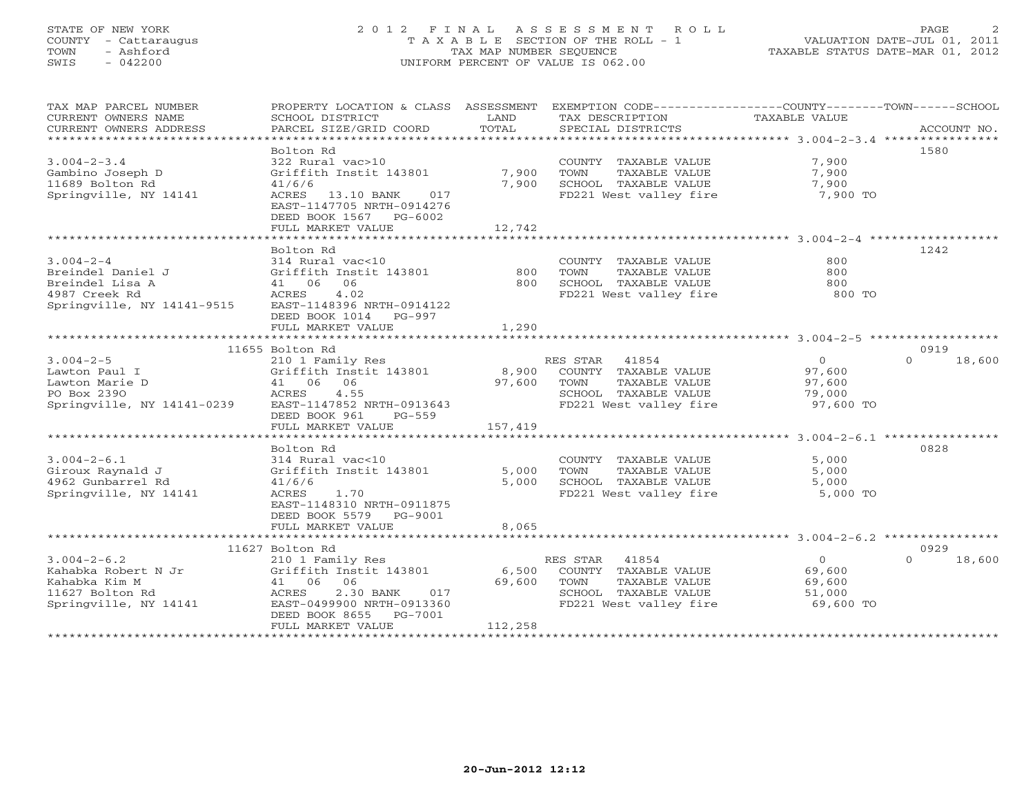## STATE OF NEW YORK 2 0 1 2 F I N A L A S S E S S M E N T R O L L PAGE 2 COUNTY - Cattaraugus T A X A B L E SECTION OF THE ROLL - 1 VALUATION DATE-JUL 01, 2011 TOWN - Ashford TAX MAP NUMBER SEQUENCE TAXABLE STATUS DATE-MAR 01, 2012 SWIS - 042200 UNIFORM PERCENT OF VALUE IS 062.00UNIFORM PERCENT OF VALUE IS 062.00

| TAX MAP PARCEL NUMBER<br>CURRENT OWNERS NAME<br>CURRENT OWNERS ADDRESS                                                           | PROPERTY LOCATION & CLASS ASSESSMENT<br>SCHOOL DISTRICT<br>PARCEL SIZE/GRID COORD                                                                                              | LAND<br>TOTAL              | EXEMPTION CODE-----------------COUNTY-------TOWN------SCHOOL<br>TAX DESCRIPTION<br>SPECIAL DISTRICTS                                      | TAXABLE VALUE                                             | ACCOUNT NO.        |
|----------------------------------------------------------------------------------------------------------------------------------|--------------------------------------------------------------------------------------------------------------------------------------------------------------------------------|----------------------------|-------------------------------------------------------------------------------------------------------------------------------------------|-----------------------------------------------------------|--------------------|
| $3.004 - 2 - 3.4$<br>Gambino Joseph D<br>11689 Bolton Rd<br>Springville, NY 14141                                                | Bolton Rd<br>322 Rural vac>10<br>Griffith Instit 143801 7,900<br>41/6/6<br>ACRES 13.10 BANK<br>017<br>EAST-1147705 NRTH-0914276<br>DEED BOOK 1567 PG-6002<br>FULL MARKET VALUE | 7,900<br>12,742            | COUNTY TAXABLE VALUE<br>TOWN<br>TAXABLE VALUE<br>SCHOOL TAXABLE VALUE<br>SCHOOL TAXABLE VALUE<br>FD221 West valley fire                   | 7,900<br>7,900<br>7,900<br>7,900 TO                       | 1580               |
| $3.004 - 2 - 4$<br>Breindel Daniel J<br>Breindel Lisa A<br>4987 Creek Rd<br>Springville, NY 14141-9515 EAST-1148396 NRTH-0914122 | Bolton Rd<br>314 Rural vac<10<br>Griffith Instit 143801<br>41 06 06<br>ACRES<br>4.02<br>DEED BOOK 1014 PG-997<br>FULL MARKET VALUE                                             | 800<br>800<br>1,290        | COUNTY TAXABLE VALUE<br>TOWN<br>TAXABLE VALUE<br>SCHOOL TAXABLE VALUE<br>FD221 West valley fire                                           | 800<br>800<br>800<br>800 TO                               | 1242               |
|                                                                                                                                  | 11655 Bolton Rd                                                                                                                                                                |                            |                                                                                                                                           |                                                           | 0919               |
| $3.004 - 2 - 5$<br>Lawton Paul I<br>Lawton Marie D<br>PO Box 2390<br>Springville, NY 14141-0239 EAST-1147852 NRTH-0913643        | 210 1 Family Res<br>Griffith Instit 143801<br>41 06 06<br>ACRES<br>4.55<br>DEED BOOK 961<br>PG-559                                                                             | 8,900<br>97,600            | RES STAR 41854<br>COUNTY TAXABLE VALUE<br>TAXABLE VALUE<br>TOWN<br>SCHOOL TAXABLE VALUE<br>SCHOOL TAXABLE VALUE<br>FD221 West valley fire | $\overline{0}$<br>97,600<br>97,600<br>79,000<br>97,600 TO | 18,600<br>$\Omega$ |
|                                                                                                                                  | FULL MARKET VALUE                                                                                                                                                              | 157,419                    |                                                                                                                                           |                                                           |                    |
| $3.004 - 2 - 6.1$<br>Giroux Raynald J<br>4962 Gunbarrel Rd<br>Springville, NY 14141                                              | Bolton Rd<br>314 Rural vac<10<br>Griffith Instit 143801<br>41/6/6<br>1.70<br>ACRES<br>EAST-1148310 NRTH-0911875<br>DEED BOOK 5579 PG-9001                                      | 5,000<br>5,000             | COUNTY TAXABLE VALUE<br>TOWN<br>TAXABLE VALUE<br>SCHOOL TAXABLE VALUE<br>FD221 West valley fire                                           | 5,000<br>5,000<br>5,000<br>5,000 TO                       | 0828               |
|                                                                                                                                  | FULL MARKET VALUE                                                                                                                                                              | 8,065                      |                                                                                                                                           |                                                           |                    |
|                                                                                                                                  | 11627 Bolton Rd                                                                                                                                                                |                            |                                                                                                                                           |                                                           | 0929               |
| $3.004 - 2 - 6.2$<br>Kahabka Robert N Jr<br>Kahabka Kim M<br>11627 Bolton Rd<br>Springville, NY 14141                            | 210 1 Family Res<br>Griffith Instit 143801<br>41 06 06<br>2.30 BANK<br>ACRES<br>017<br>EAST-0499900 NRTH-0913360<br>DEED BOOK 8655<br>PG-7001<br>FULL MARKET VALUE             | 6,500<br>69,600<br>112,258 | RES STAR 41854<br>COUNTY TAXABLE VALUE<br>TOWN<br>TAXABLE VALUE<br>SCHOOL TAXABLE VALUE<br>FD221 West valley fire                         | $\overline{0}$<br>69,600<br>69,600<br>51,000<br>69,600 TO | $\Omega$<br>18,600 |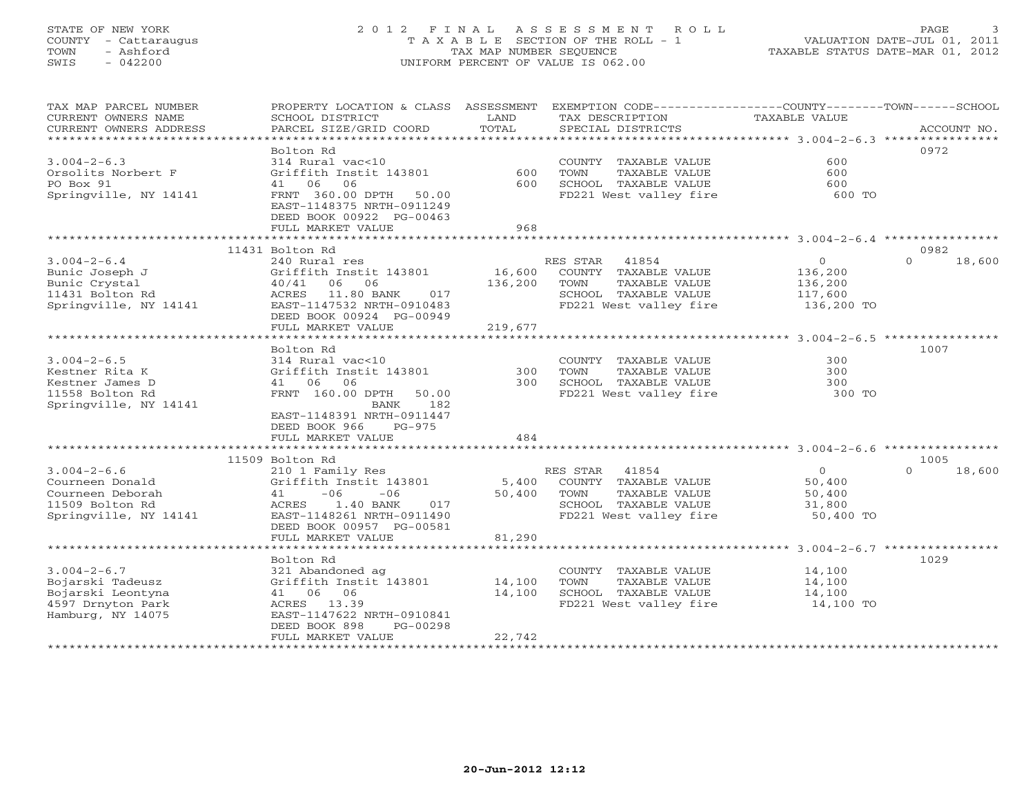## STATE OF NEW YORK 2 0 1 2 F I N A L A S S E S S M E N T R O L L PAGE 3 COUNTY - Cattaraugus T A X A B L E SECTION OF THE ROLL - 1 VALUATION DATE-JUL 01, 2011 TOWN - Ashford TAX MAP NUMBER SEQUENCE TAXABLE STATUS DATE-MAR 01, 2012 SWIS - 042200 UNIFORM PERCENT OF VALUE IS 062.00UNIFORM PERCENT OF VALUE IS 062.00

| TAX MAP PARCEL NUMBER  | PROPERTY LOCATION & CLASS ASSESSMENT |                 | EXEMPTION CODE-----------------COUNTY-------TOWN------SCHOOL |                |                    |
|------------------------|--------------------------------------|-----------------|--------------------------------------------------------------|----------------|--------------------|
| CURRENT OWNERS NAME    | SCHOOL DISTRICT                      | LAND            | TAX DESCRIPTION                                              | TAXABLE VALUE  |                    |
| CURRENT OWNERS ADDRESS | PARCEL SIZE/GRID COORD               | TOTAL           | SPECIAL DISTRICTS                                            |                | ACCOUNT NO.        |
| ********************** |                                      |                 |                                                              |                |                    |
|                        | Bolton Rd                            |                 |                                                              |                | 0972               |
| $3.004 - 2 - 6.3$      | 314 Rural vac<10                     |                 | COUNTY TAXABLE VALUE                                         | 600            |                    |
| Orsolits Norbert F     | Griffith Instit 143801               | 600             | TOWN<br>TAXABLE VALUE                                        | 600            |                    |
| PO Box 91              | 41 06<br>06                          | 600             | SCHOOL TAXABLE VALUE                                         | 600            |                    |
| Springville, NY 14141  | FRNT 360.00 DPTH 50.00               |                 | FD221 West valley fire                                       | 600 TO         |                    |
|                        | EAST-1148375 NRTH-0911249            |                 |                                                              |                |                    |
|                        | DEED BOOK 00922 PG-00463             |                 |                                                              |                |                    |
|                        | FULL MARKET VALUE                    | 968             |                                                              |                |                    |
|                        |                                      |                 |                                                              |                |                    |
|                        | 11431 Bolton Rd                      |                 |                                                              |                | 0982               |
| $3.004 - 2 - 6.4$      | 240 Rural res                        |                 | RES STAR 41854                                               | $\overline{0}$ | $\Omega$<br>18,600 |
| Bunic Joseph J         | Griffith Instit 143801               | 16,600          | COUNTY TAXABLE VALUE                                         | 136,200        |                    |
| Bunic Crystal          | 40/41<br>06 06                       | 136,200         | TOWN<br>TAXABLE VALUE                                        | 136,200        |                    |
| 11431 Bolton Rd        | ACRES 11.80 BANK<br>017              |                 | SCHOOL TAXABLE VALUE                                         | 117,600        |                    |
| Springville, NY 14141  | EAST-1147532 NRTH-0910483            |                 | FD221 West valley fire                                       | 136,200 TO     |                    |
|                        | DEED BOOK 00924 PG-00949             |                 |                                                              |                |                    |
|                        | FULL MARKET VALUE                    | 219,677         |                                                              |                |                    |
|                        |                                      |                 |                                                              |                |                    |
|                        | Bolton Rd                            |                 |                                                              |                | 1007               |
| $3.004 - 2 - 6.5$      | 314 Rural vac<10                     |                 | COUNTY TAXABLE VALUE                                         | 300            |                    |
| Kestner Rita K         | Griffith Instit 143801               | 300             | TOWN<br>TAXABLE VALUE                                        | 300            |                    |
| Kestner James D        | 41 06<br>06                          | 300             | SCHOOL TAXABLE VALUE                                         | 300            |                    |
| 11558 Bolton Rd        | FRNT 160.00 DPTH<br>50.00            |                 | FD221 West valley fire                                       | 300 TO         |                    |
| Springville, NY 14141  | 182<br>BANK                          |                 |                                                              |                |                    |
|                        | EAST-1148391 NRTH-0911447            |                 |                                                              |                |                    |
|                        | DEED BOOK 966<br>PG-975              |                 |                                                              |                |                    |
|                        | FULL MARKET VALUE                    | 484             |                                                              |                |                    |
| ********************** | *******************************      | *************** |                                                              |                |                    |
|                        | 11509 Bolton Rd                      |                 |                                                              |                | 1005               |
| $3.004 - 2 - 6.6$      | 210 1 Family Res                     |                 | RES STAR 41854                                               | $\overline{0}$ | 18,600<br>$\Omega$ |
| Courneen Donald        | Griffith Instit 143801               |                 | 5,400 COUNTY TAXABLE VALUE                                   | 50,400         |                    |
| Courneen Deborah       | $-06$<br>$-06$<br>41                 | 50,400 TOWN     | TAXABLE VALUE                                                | 50,400         |                    |
| 11509 Bolton Rd        | ACRES 1.40 BANK<br>017               |                 | SCHOOL TAXABLE VALUE                                         | 31,800         |                    |
| Springville, NY 14141  | EAST-1148261 NRTH-0911490            |                 | FD221 West valley fire 50,400 TO                             |                |                    |
|                        | DEED BOOK 00957 PG-00581             |                 |                                                              |                |                    |
|                        | FULL MARKET VALUE                    | 81,290          |                                                              |                |                    |
|                        |                                      |                 |                                                              |                |                    |
|                        | Bolton Rd                            |                 |                                                              |                | 1029               |
| $3.004 - 2 - 6.7$      | 321 Abandoned ag                     |                 | COUNTY TAXABLE VALUE                                         | 14,100         |                    |
| Bojarski Tadeusz       | Griffith Instit $143801$ 14,100      |                 | TOWN<br>TAXABLE VALUE                                        | 14,100         |                    |
| Bojarski Leontyna      | 41 06 06                             | 14,100          | SCHOOL TAXABLE VALUE                                         | 14,100         |                    |
| 4597 Drnyton Park      | ACRES 13.39                          |                 | FD221 West valley fire 14,100 TO                             |                |                    |
| Hamburg, NY 14075      | EAST-1147622 NRTH-0910841            |                 |                                                              |                |                    |
|                        | DEED BOOK 898<br>PG-00298            |                 |                                                              |                |                    |
|                        | FULL MARKET VALUE                    | 22,742          |                                                              |                |                    |
|                        |                                      |                 |                                                              |                |                    |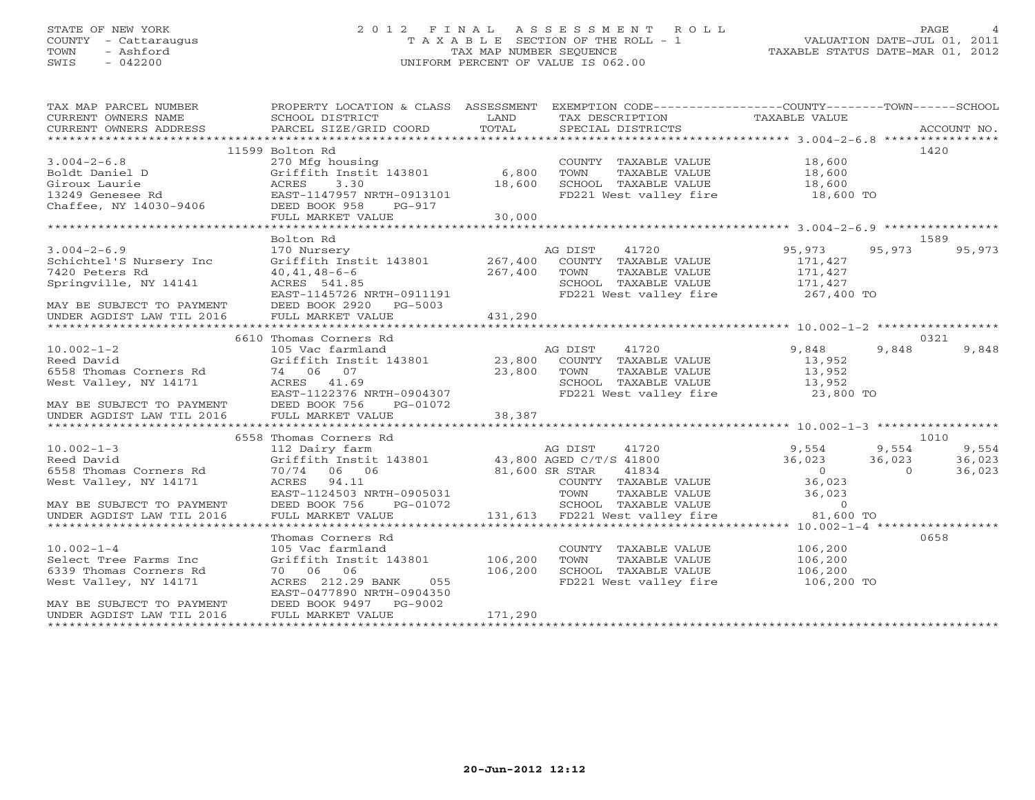## STATE OF NEW YORK 2 0 1 2 F I N A L A S S E S S M E N T R O L L PAGE 4 COUNTY - Cattaraugus T A X A B L E SECTION OF THE ROLL - 1 VALUATION DATE-JUL 01, 2011 TOWN - Ashford TAX MAP NUMBER SEQUENCE TAXABLE STATUS DATE-MAR 01, 2012 SWIS - 042200 UNIFORM PERCENT OF VALUE IS 062.00UNIFORM PERCENT OF VALUE IS 062.00

| TAX MAP PARCEL NUMBER                                                                                                                       | PROPERTY LOCATION & CLASS ASSESSMENT EXEMPTION CODE----------------COUNTY-------TOWN------SCHOOL                  |                                                                                                            |                                                                                                                                                                  |                    |                                                           |
|---------------------------------------------------------------------------------------------------------------------------------------------|-------------------------------------------------------------------------------------------------------------------|------------------------------------------------------------------------------------------------------------|------------------------------------------------------------------------------------------------------------------------------------------------------------------|--------------------|-----------------------------------------------------------|
| CURRENT OWNERS NAME                                                                                                                         | SCHOOL DISTRICT                                                                                                   | LAND                                                                                                       | TAX DESCRIPTION                                                                                                                                                  | TAXABLE VALUE      |                                                           |
|                                                                                                                                             |                                                                                                                   |                                                                                                            |                                                                                                                                                                  |                    |                                                           |
|                                                                                                                                             |                                                                                                                   |                                                                                                            |                                                                                                                                                                  |                    |                                                           |
|                                                                                                                                             | 11599 Bolton Rd                                                                                                   |                                                                                                            |                                                                                                                                                                  |                    | 1420                                                      |
| $3.004 - 2 - 6.8$                                                                                                                           | 270 Mfg housing                                                                                                   |                                                                                                            | COUNTY TAXABLE VALUE 18,600                                                                                                                                      |                    |                                                           |
|                                                                                                                                             | Griffith Instit 143801 6,800                                                                                      |                                                                                                            | TOWN<br>TAXABLE VALUE 18,600<br>TAXABLE VALUE 18,600                                                                                                             |                    |                                                           |
|                                                                                                                                             |                                                                                                                   |                                                                                                            | SCHOOL TAXABLE VALUE                                                                                                                                             |                    |                                                           |
|                                                                                                                                             |                                                                                                                   | 18,600                                                                                                     | FD221 West valley fire 18,600 TO                                                                                                                                 |                    |                                                           |
| 3.004-2-0.0<br>Boldt Daniel D<br>Giroux Laurie<br>13249 Genesee Rd<br>Chaffee, NY 14030-9406<br>Chaffee, NY 14030-9406<br>FULL MARKET VALUE |                                                                                                                   |                                                                                                            |                                                                                                                                                                  |                    |                                                           |
|                                                                                                                                             |                                                                                                                   | 30,000                                                                                                     |                                                                                                                                                                  |                    |                                                           |
|                                                                                                                                             |                                                                                                                   |                                                                                                            |                                                                                                                                                                  |                    |                                                           |
|                                                                                                                                             | Bolton Rd                                                                                                         |                                                                                                            |                                                                                                                                                                  |                    | 1589                                                      |
| $3.004 - 2 - 6.9$                                                                                                                           | 170 Nursery                                                                                                       |                                                                                                            | AG DIST<br>41720                                                                                                                                                 | 95,973             | 95,973<br>95,973                                          |
| Schichtel'S Nursery Inc                                                                                                                     | Griffith Instit $143801$ 267,400                                                                                  |                                                                                                            | COUNTY TAXABLE VALUE                                                                                                                                             | 171,427            |                                                           |
| 7420 Peters Rd                                                                                                                              | $40, 41, 48 - 6 - 6$                                                                                              | 267,400                                                                                                    | TOWN<br>TAXABLE VALUE                                                                                                                                            | 171,427<br>171,427 |                                                           |
| Springville, NY 14141                                                                                                                       | ACRES 541.85                                                                                                      |                                                                                                            | SCHOOL TAXABLE VALUE                                                                                                                                             |                    |                                                           |
|                                                                                                                                             | ACRES 541.85<br>EAST-1145726 NRTH-0911191                                                                         |                                                                                                            | FD221 West valley fire 267,400 TO                                                                                                                                |                    |                                                           |
| MAY BE SUBJECT TO PAYMENT<br>UNDER AGDIST LAW TIL 2016                                                                                      | DEED BOOK 2920 PG-5003                                                                                            |                                                                                                            |                                                                                                                                                                  |                    |                                                           |
|                                                                                                                                             | FULL MARKET VALUE                                                                                                 | 431,290                                                                                                    |                                                                                                                                                                  |                    |                                                           |
|                                                                                                                                             |                                                                                                                   |                                                                                                            |                                                                                                                                                                  |                    |                                                           |
|                                                                                                                                             | 6610 Thomas Corners Rd                                                                                            |                                                                                                            |                                                                                                                                                                  |                    | 0321                                                      |
| $10.002 - 1 - 2$                                                                                                                            | 105 Vac farmland<br>Griffith Instit 143801 23,800 COUNTY TAXABLE VALUE                                            |                                                                                                            |                                                                                                                                                                  | 9,848              | 9,848<br>9,848                                            |
| Reed David                                                                                                                                  |                                                                                                                   |                                                                                                            |                                                                                                                                                                  | 13,952             |                                                           |
| 6558 Thomas Corners Rd                                                                                                                      | 74 06 07                                                                                                          | 23,800                                                                                                     | TAXABLE VALUE 13,952<br>TOWN                                                                                                                                     |                    |                                                           |
| West Valley, NY 14171                                                                                                                       | ACRES 41.69<br>EAST-1122376 NRTH-0904307                                                                          |                                                                                                            | SCHOOL TAXABLE VALUE 13,952<br>FD221 West valley fire 23,800 TO                                                                                                  |                    |                                                           |
|                                                                                                                                             |                                                                                                                   |                                                                                                            |                                                                                                                                                                  |                    |                                                           |
|                                                                                                                                             | PG-01072                                                                                                          |                                                                                                            |                                                                                                                                                                  |                    |                                                           |
| MAY BE SUBJECT TO PAYMENT DEED BOOK 756 INDER AGDIST LAW TIL 2016 FULL MARKET VALUE                                                         |                                                                                                                   | 38,387                                                                                                     |                                                                                                                                                                  |                    |                                                           |
|                                                                                                                                             |                                                                                                                   |                                                                                                            |                                                                                                                                                                  |                    |                                                           |
|                                                                                                                                             | 6558 Thomas Corners Rd                                                                                            |                                                                                                            |                                                                                                                                                                  |                    | 1010                                                      |
| $10.002 - 1 - 3$                                                                                                                            | 112 Dairy farm<br>112 Dairy farm<br>Griffith Instit 143801<br>13,800 AGED C/T/S 41800<br>143,800 AGED C/T/S 41800 |                                                                                                            |                                                                                                                                                                  |                    | $9,554$<br>36,023<br>36,023<br>36,023<br>36,023<br>36,023 |
| Reed David                                                                                                                                  |                                                                                                                   |                                                                                                            |                                                                                                                                                                  |                    |                                                           |
| 6558 Thomas Corners Rd                                                                                                                      |                                                                                                                   | $\begin{array}{r} \text{C/T} \ \text{C/T} \ \text{S1,600 SR STAR} \ \text{C/Tn} \ \text{C/Tn} \end{array}$ |                                                                                                                                                                  |                    |                                                           |
| West Valley, NY 14171                                                                                                                       |                                                                                                                   |                                                                                                            |                                                                                                                                                                  |                    |                                                           |
|                                                                                                                                             | ACRES 94.11<br>EAST-1124503 NRTH-0905031                                                                          |                                                                                                            |                                                                                                                                                                  |                    |                                                           |
| MAY BE SUBJECT TO PAYMENT                                                                                                                   | DEED BOOK 756<br>PG-01072                                                                                         |                                                                                                            | COUNTY TAXABLE VALUE 36,023<br>TOWN TAXABLE VALUE 36,023<br>CHOOL TAXABLE VALUE 36,023<br>CHOOL TAXABLE VALUE 36,023<br>131,613 FD221 West valley fire 31,600 TO |                    |                                                           |
| UNDER AGDIST LAW TIL 2016                                                                                                                   | FULL MARKET VALUE                                                                                                 |                                                                                                            |                                                                                                                                                                  |                    |                                                           |
|                                                                                                                                             |                                                                                                                   |                                                                                                            |                                                                                                                                                                  |                    |                                                           |
|                                                                                                                                             | Thomas Corners Rd                                                                                                 |                                                                                                            |                                                                                                                                                                  |                    | 0658                                                      |
| $10.002 - 1 - 4$                                                                                                                            | 105 Vac farmland                                                                                                  |                                                                                                            | COUNTY TAXABLE VALUE                                                                                                                                             | 106,200            |                                                           |
| Select Tree Farms Inc                                                                                                                       | Griffith Instit 143801 106,200                                                                                    |                                                                                                            | TOWN<br>TAXABLE VALUE                                                                                                                                            | 106,200            |                                                           |
| 6339 Thomas Corners Rd                                                                                                                      | 70 06 06                                                                                                          | 106,200                                                                                                    | SCHOOL TAXABLE VALUE                                                                                                                                             | 106,200            |                                                           |
| West Valley, NY 14171                                                                                                                       | ACRES 212.29 BANK 055                                                                                             |                                                                                                            | FD221 West valley fire 106,200 TO                                                                                                                                |                    |                                                           |
|                                                                                                                                             | EAST-0477890 NRTH-0904350                                                                                         |                                                                                                            |                                                                                                                                                                  |                    |                                                           |
| MAY BE SUBJECT TO PAYMENT                                                                                                                   | DEED BOOK 9497 PG-9002                                                                                            |                                                                                                            |                                                                                                                                                                  |                    |                                                           |
| UNDER AGDIST LAW TIL 2016                                                                                                                   | FULL MARKET VALUE                                                                                                 | 171,290                                                                                                    |                                                                                                                                                                  |                    |                                                           |
|                                                                                                                                             |                                                                                                                   |                                                                                                            |                                                                                                                                                                  |                    |                                                           |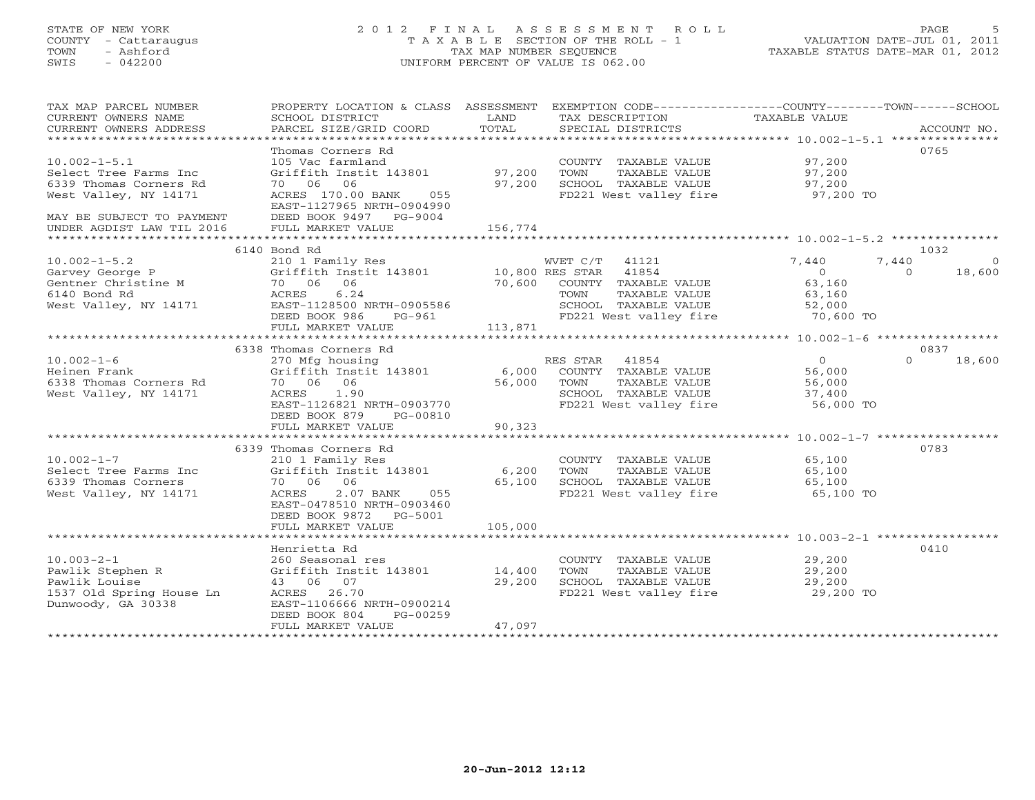## STATE OF NEW YORK 2 0 1 2 F I N A L A S S E S S M E N T R O L L PAGE 5 COUNTY - Cattaraugus T A X A B L E SECTION OF THE ROLL - 1 VALUATION DATE-JUL 01, 2011 TOWN - Ashford TAX MAP NUMBER SEQUENCE TAXABLE STATUS DATE-MAR 01, 2012 SWIS - 042200 UNIFORM PERCENT OF VALUE IS 062.00UNIFORM PERCENT OF VALUE IS 062.00

| 0765<br>Thomas Corners Rd<br>$10.002 - 1 - 5.1$<br>105 Vac farmland<br>97,200<br>COUNTY TAXABLE VALUE<br>Select Tree Farms Inc<br>Griffith Instit 143801<br>97,200<br>TAXABLE VALUE<br>97,200<br>TOWN<br>6339 Thomas Corners Rd<br>70 06<br>06<br>97,200<br>SCHOOL TAXABLE VALUE<br>97,200<br>97,200 TO<br>West Valley, NY 14171<br>ACRES 170.00 BANK<br>0.55<br>FD221 West valley fire<br>EAST-1127965 NRTH-0904990<br>MAY BE SUBJECT TO PAYMENT<br>DEED BOOK 9497 PG-9004<br>UNDER AGDIST LAW TIL 2016<br>FULL MARKET VALUE<br>156,774<br>6140 Bond Rd<br>1032<br>$10.002 - 1 - 5.2$<br>210 1 Family Res<br>WVET C/T 41121<br>7,440<br>7,440<br>$\Omega$<br>Griffith Instit 143801 10,800 RES STAR<br>41854<br>Garvey George P<br>$\overline{0}$<br>18,600<br>$\Omega$<br>70,600<br>63,160<br>Gentner Christine M<br>70 06<br>06<br>COUNTY TAXABLE VALUE<br>6140 Bond Rd<br>6.24<br>ACRES<br>TOWN<br>TAXABLE VALUE<br>63,160<br>EAST-1128500 NRTH-0905586<br>SCHOOL TAXABLE VALUE<br>West Valley, NY 14171<br>52,000<br>DEED BOOK 986<br>PG-961<br>FD221 West valley fire<br>70,600 TO<br>FULL MARKET VALUE<br>113,871<br>6338 Thomas Corners Rd<br>0837<br>$\circ$<br>$10.002 - 1 - 6$<br>270 Mfg housing<br>RES STAR<br>41854<br>18,600<br>$\cap$<br>Griffith Instit 143801<br>6,000<br>COUNTY TAXABLE VALUE<br>56,000<br>Heinen Frank<br>6338 Thomas Corners Rd<br>70 06 06<br>56,000<br>TOWN<br>TAXABLE VALUE<br>56,000<br>SCHOOL TAXABLE VALUE<br>West Valley, NY 14171<br>ACRES<br>1.90<br>37,400<br>EAST-1126821 NRTH-0903770<br>FD221 West valley fire<br>56,000 TO<br>DEED BOOK 879<br>PG-00810<br>FULL MARKET VALUE<br>90,323<br>0783<br>6339 Thomas Corners Rd<br>$10.002 - 1 - 7$<br>210 1 Family Res<br>65,100<br>COUNTY TAXABLE VALUE<br>Select Tree Farms Inc<br>Griffith Instit 143801<br>6,200<br>TAXABLE VALUE<br>65,100<br>TOWN<br>6339 Thomas Corners<br>70 06<br>06<br>65,100<br>SCHOOL TAXABLE VALUE<br>65,100<br>2.07 BANK<br>65,100 TO<br>West Valley, NY 14171<br>ACRES<br>055<br>FD221 West valley fire<br>EAST-0478510 NRTH-0903460<br>DEED BOOK 9872 PG-5001<br>FULL MARKET VALUE<br>105,000<br>0410<br>Henrietta Rd<br>$10.003 - 2 - 1$<br>COUNTY TAXABLE VALUE<br>29,200<br>260 Seasonal res<br>14,400<br>Pawlik Stephen R<br>Griffith Instit 143801<br>TOWN<br>TAXABLE VALUE<br>29,200<br>29,200<br>Pawlik Louise<br>43 06 07<br>SCHOOL TAXABLE VALUE<br>29,200<br>1537 Old Spring House Ln<br>ACRES 26.70<br>FD221 West valley fire<br>29,200 TO<br>Dunwoody, GA 30338<br>EAST-1106666 NRTH-0900214<br>DEED BOOK 804<br>PG-00259<br>47,097<br>FULL MARKET VALUE<br>* * * * * * * * * * * * * * * * *<br>************************** | TAX MAP PARCEL NUMBER<br>CURRENT OWNERS NAME<br>CURRENT OWNERS ADDRESS | PROPERTY LOCATION & CLASS ASSESSMENT<br>SCHOOL DISTRICT<br>PARCEL SIZE/GRID COORD | LAND<br>TOTAL | EXEMPTION CODE-----------------COUNTY-------TOWN------SCHOOL<br>TAX DESCRIPTION<br>SPECIAL DISTRICTS | TAXABLE VALUE | ACCOUNT NO. |
|----------------------------------------------------------------------------------------------------------------------------------------------------------------------------------------------------------------------------------------------------------------------------------------------------------------------------------------------------------------------------------------------------------------------------------------------------------------------------------------------------------------------------------------------------------------------------------------------------------------------------------------------------------------------------------------------------------------------------------------------------------------------------------------------------------------------------------------------------------------------------------------------------------------------------------------------------------------------------------------------------------------------------------------------------------------------------------------------------------------------------------------------------------------------------------------------------------------------------------------------------------------------------------------------------------------------------------------------------------------------------------------------------------------------------------------------------------------------------------------------------------------------------------------------------------------------------------------------------------------------------------------------------------------------------------------------------------------------------------------------------------------------------------------------------------------------------------------------------------------------------------------------------------------------------------------------------------------------------------------------------------------------------------------------------------------------------------------------------------------------------------------------------------------------------------------------------------------------------------------------------------------------------------------------------------------------------------------------------------------------------------------------------------------------------------------------------------------------------------------------------------------------------------------------------------------------------------------------------------------------------------------------------------------------|------------------------------------------------------------------------|-----------------------------------------------------------------------------------|---------------|------------------------------------------------------------------------------------------------------|---------------|-------------|
|                                                                                                                                                                                                                                                                                                                                                                                                                                                                                                                                                                                                                                                                                                                                                                                                                                                                                                                                                                                                                                                                                                                                                                                                                                                                                                                                                                                                                                                                                                                                                                                                                                                                                                                                                                                                                                                                                                                                                                                                                                                                                                                                                                                                                                                                                                                                                                                                                                                                                                                                                                                                                                                                      |                                                                        |                                                                                   |               |                                                                                                      |               |             |
|                                                                                                                                                                                                                                                                                                                                                                                                                                                                                                                                                                                                                                                                                                                                                                                                                                                                                                                                                                                                                                                                                                                                                                                                                                                                                                                                                                                                                                                                                                                                                                                                                                                                                                                                                                                                                                                                                                                                                                                                                                                                                                                                                                                                                                                                                                                                                                                                                                                                                                                                                                                                                                                                      |                                                                        |                                                                                   |               |                                                                                                      |               |             |
|                                                                                                                                                                                                                                                                                                                                                                                                                                                                                                                                                                                                                                                                                                                                                                                                                                                                                                                                                                                                                                                                                                                                                                                                                                                                                                                                                                                                                                                                                                                                                                                                                                                                                                                                                                                                                                                                                                                                                                                                                                                                                                                                                                                                                                                                                                                                                                                                                                                                                                                                                                                                                                                                      |                                                                        |                                                                                   |               |                                                                                                      |               |             |
|                                                                                                                                                                                                                                                                                                                                                                                                                                                                                                                                                                                                                                                                                                                                                                                                                                                                                                                                                                                                                                                                                                                                                                                                                                                                                                                                                                                                                                                                                                                                                                                                                                                                                                                                                                                                                                                                                                                                                                                                                                                                                                                                                                                                                                                                                                                                                                                                                                                                                                                                                                                                                                                                      |                                                                        |                                                                                   |               |                                                                                                      |               |             |
|                                                                                                                                                                                                                                                                                                                                                                                                                                                                                                                                                                                                                                                                                                                                                                                                                                                                                                                                                                                                                                                                                                                                                                                                                                                                                                                                                                                                                                                                                                                                                                                                                                                                                                                                                                                                                                                                                                                                                                                                                                                                                                                                                                                                                                                                                                                                                                                                                                                                                                                                                                                                                                                                      |                                                                        |                                                                                   |               |                                                                                                      |               |             |
|                                                                                                                                                                                                                                                                                                                                                                                                                                                                                                                                                                                                                                                                                                                                                                                                                                                                                                                                                                                                                                                                                                                                                                                                                                                                                                                                                                                                                                                                                                                                                                                                                                                                                                                                                                                                                                                                                                                                                                                                                                                                                                                                                                                                                                                                                                                                                                                                                                                                                                                                                                                                                                                                      |                                                                        |                                                                                   |               |                                                                                                      |               |             |
|                                                                                                                                                                                                                                                                                                                                                                                                                                                                                                                                                                                                                                                                                                                                                                                                                                                                                                                                                                                                                                                                                                                                                                                                                                                                                                                                                                                                                                                                                                                                                                                                                                                                                                                                                                                                                                                                                                                                                                                                                                                                                                                                                                                                                                                                                                                                                                                                                                                                                                                                                                                                                                                                      |                                                                        |                                                                                   |               |                                                                                                      |               |             |
|                                                                                                                                                                                                                                                                                                                                                                                                                                                                                                                                                                                                                                                                                                                                                                                                                                                                                                                                                                                                                                                                                                                                                                                                                                                                                                                                                                                                                                                                                                                                                                                                                                                                                                                                                                                                                                                                                                                                                                                                                                                                                                                                                                                                                                                                                                                                                                                                                                                                                                                                                                                                                                                                      |                                                                        |                                                                                   |               |                                                                                                      |               |             |
|                                                                                                                                                                                                                                                                                                                                                                                                                                                                                                                                                                                                                                                                                                                                                                                                                                                                                                                                                                                                                                                                                                                                                                                                                                                                                                                                                                                                                                                                                                                                                                                                                                                                                                                                                                                                                                                                                                                                                                                                                                                                                                                                                                                                                                                                                                                                                                                                                                                                                                                                                                                                                                                                      |                                                                        |                                                                                   |               |                                                                                                      |               |             |
|                                                                                                                                                                                                                                                                                                                                                                                                                                                                                                                                                                                                                                                                                                                                                                                                                                                                                                                                                                                                                                                                                                                                                                                                                                                                                                                                                                                                                                                                                                                                                                                                                                                                                                                                                                                                                                                                                                                                                                                                                                                                                                                                                                                                                                                                                                                                                                                                                                                                                                                                                                                                                                                                      |                                                                        |                                                                                   |               |                                                                                                      |               |             |
|                                                                                                                                                                                                                                                                                                                                                                                                                                                                                                                                                                                                                                                                                                                                                                                                                                                                                                                                                                                                                                                                                                                                                                                                                                                                                                                                                                                                                                                                                                                                                                                                                                                                                                                                                                                                                                                                                                                                                                                                                                                                                                                                                                                                                                                                                                                                                                                                                                                                                                                                                                                                                                                                      |                                                                        |                                                                                   |               |                                                                                                      |               |             |
|                                                                                                                                                                                                                                                                                                                                                                                                                                                                                                                                                                                                                                                                                                                                                                                                                                                                                                                                                                                                                                                                                                                                                                                                                                                                                                                                                                                                                                                                                                                                                                                                                                                                                                                                                                                                                                                                                                                                                                                                                                                                                                                                                                                                                                                                                                                                                                                                                                                                                                                                                                                                                                                                      |                                                                        |                                                                                   |               |                                                                                                      |               |             |
|                                                                                                                                                                                                                                                                                                                                                                                                                                                                                                                                                                                                                                                                                                                                                                                                                                                                                                                                                                                                                                                                                                                                                                                                                                                                                                                                                                                                                                                                                                                                                                                                                                                                                                                                                                                                                                                                                                                                                                                                                                                                                                                                                                                                                                                                                                                                                                                                                                                                                                                                                                                                                                                                      |                                                                        |                                                                                   |               |                                                                                                      |               |             |
|                                                                                                                                                                                                                                                                                                                                                                                                                                                                                                                                                                                                                                                                                                                                                                                                                                                                                                                                                                                                                                                                                                                                                                                                                                                                                                                                                                                                                                                                                                                                                                                                                                                                                                                                                                                                                                                                                                                                                                                                                                                                                                                                                                                                                                                                                                                                                                                                                                                                                                                                                                                                                                                                      |                                                                        |                                                                                   |               |                                                                                                      |               |             |
|                                                                                                                                                                                                                                                                                                                                                                                                                                                                                                                                                                                                                                                                                                                                                                                                                                                                                                                                                                                                                                                                                                                                                                                                                                                                                                                                                                                                                                                                                                                                                                                                                                                                                                                                                                                                                                                                                                                                                                                                                                                                                                                                                                                                                                                                                                                                                                                                                                                                                                                                                                                                                                                                      |                                                                        |                                                                                   |               |                                                                                                      |               |             |
|                                                                                                                                                                                                                                                                                                                                                                                                                                                                                                                                                                                                                                                                                                                                                                                                                                                                                                                                                                                                                                                                                                                                                                                                                                                                                                                                                                                                                                                                                                                                                                                                                                                                                                                                                                                                                                                                                                                                                                                                                                                                                                                                                                                                                                                                                                                                                                                                                                                                                                                                                                                                                                                                      |                                                                        |                                                                                   |               |                                                                                                      |               |             |
|                                                                                                                                                                                                                                                                                                                                                                                                                                                                                                                                                                                                                                                                                                                                                                                                                                                                                                                                                                                                                                                                                                                                                                                                                                                                                                                                                                                                                                                                                                                                                                                                                                                                                                                                                                                                                                                                                                                                                                                                                                                                                                                                                                                                                                                                                                                                                                                                                                                                                                                                                                                                                                                                      |                                                                        |                                                                                   |               |                                                                                                      |               |             |
|                                                                                                                                                                                                                                                                                                                                                                                                                                                                                                                                                                                                                                                                                                                                                                                                                                                                                                                                                                                                                                                                                                                                                                                                                                                                                                                                                                                                                                                                                                                                                                                                                                                                                                                                                                                                                                                                                                                                                                                                                                                                                                                                                                                                                                                                                                                                                                                                                                                                                                                                                                                                                                                                      |                                                                        |                                                                                   |               |                                                                                                      |               |             |
|                                                                                                                                                                                                                                                                                                                                                                                                                                                                                                                                                                                                                                                                                                                                                                                                                                                                                                                                                                                                                                                                                                                                                                                                                                                                                                                                                                                                                                                                                                                                                                                                                                                                                                                                                                                                                                                                                                                                                                                                                                                                                                                                                                                                                                                                                                                                                                                                                                                                                                                                                                                                                                                                      |                                                                        |                                                                                   |               |                                                                                                      |               |             |
|                                                                                                                                                                                                                                                                                                                                                                                                                                                                                                                                                                                                                                                                                                                                                                                                                                                                                                                                                                                                                                                                                                                                                                                                                                                                                                                                                                                                                                                                                                                                                                                                                                                                                                                                                                                                                                                                                                                                                                                                                                                                                                                                                                                                                                                                                                                                                                                                                                                                                                                                                                                                                                                                      |                                                                        |                                                                                   |               |                                                                                                      |               |             |
|                                                                                                                                                                                                                                                                                                                                                                                                                                                                                                                                                                                                                                                                                                                                                                                                                                                                                                                                                                                                                                                                                                                                                                                                                                                                                                                                                                                                                                                                                                                                                                                                                                                                                                                                                                                                                                                                                                                                                                                                                                                                                                                                                                                                                                                                                                                                                                                                                                                                                                                                                                                                                                                                      |                                                                        |                                                                                   |               |                                                                                                      |               |             |
|                                                                                                                                                                                                                                                                                                                                                                                                                                                                                                                                                                                                                                                                                                                                                                                                                                                                                                                                                                                                                                                                                                                                                                                                                                                                                                                                                                                                                                                                                                                                                                                                                                                                                                                                                                                                                                                                                                                                                                                                                                                                                                                                                                                                                                                                                                                                                                                                                                                                                                                                                                                                                                                                      |                                                                        |                                                                                   |               |                                                                                                      |               |             |
|                                                                                                                                                                                                                                                                                                                                                                                                                                                                                                                                                                                                                                                                                                                                                                                                                                                                                                                                                                                                                                                                                                                                                                                                                                                                                                                                                                                                                                                                                                                                                                                                                                                                                                                                                                                                                                                                                                                                                                                                                                                                                                                                                                                                                                                                                                                                                                                                                                                                                                                                                                                                                                                                      |                                                                        |                                                                                   |               |                                                                                                      |               |             |
|                                                                                                                                                                                                                                                                                                                                                                                                                                                                                                                                                                                                                                                                                                                                                                                                                                                                                                                                                                                                                                                                                                                                                                                                                                                                                                                                                                                                                                                                                                                                                                                                                                                                                                                                                                                                                                                                                                                                                                                                                                                                                                                                                                                                                                                                                                                                                                                                                                                                                                                                                                                                                                                                      |                                                                        |                                                                                   |               |                                                                                                      |               |             |
|                                                                                                                                                                                                                                                                                                                                                                                                                                                                                                                                                                                                                                                                                                                                                                                                                                                                                                                                                                                                                                                                                                                                                                                                                                                                                                                                                                                                                                                                                                                                                                                                                                                                                                                                                                                                                                                                                                                                                                                                                                                                                                                                                                                                                                                                                                                                                                                                                                                                                                                                                                                                                                                                      |                                                                        |                                                                                   |               |                                                                                                      |               |             |
|                                                                                                                                                                                                                                                                                                                                                                                                                                                                                                                                                                                                                                                                                                                                                                                                                                                                                                                                                                                                                                                                                                                                                                                                                                                                                                                                                                                                                                                                                                                                                                                                                                                                                                                                                                                                                                                                                                                                                                                                                                                                                                                                                                                                                                                                                                                                                                                                                                                                                                                                                                                                                                                                      |                                                                        |                                                                                   |               |                                                                                                      |               |             |
|                                                                                                                                                                                                                                                                                                                                                                                                                                                                                                                                                                                                                                                                                                                                                                                                                                                                                                                                                                                                                                                                                                                                                                                                                                                                                                                                                                                                                                                                                                                                                                                                                                                                                                                                                                                                                                                                                                                                                                                                                                                                                                                                                                                                                                                                                                                                                                                                                                                                                                                                                                                                                                                                      |                                                                        |                                                                                   |               |                                                                                                      |               |             |
|                                                                                                                                                                                                                                                                                                                                                                                                                                                                                                                                                                                                                                                                                                                                                                                                                                                                                                                                                                                                                                                                                                                                                                                                                                                                                                                                                                                                                                                                                                                                                                                                                                                                                                                                                                                                                                                                                                                                                                                                                                                                                                                                                                                                                                                                                                                                                                                                                                                                                                                                                                                                                                                                      |                                                                        |                                                                                   |               |                                                                                                      |               |             |
|                                                                                                                                                                                                                                                                                                                                                                                                                                                                                                                                                                                                                                                                                                                                                                                                                                                                                                                                                                                                                                                                                                                                                                                                                                                                                                                                                                                                                                                                                                                                                                                                                                                                                                                                                                                                                                                                                                                                                                                                                                                                                                                                                                                                                                                                                                                                                                                                                                                                                                                                                                                                                                                                      |                                                                        |                                                                                   |               |                                                                                                      |               |             |
|                                                                                                                                                                                                                                                                                                                                                                                                                                                                                                                                                                                                                                                                                                                                                                                                                                                                                                                                                                                                                                                                                                                                                                                                                                                                                                                                                                                                                                                                                                                                                                                                                                                                                                                                                                                                                                                                                                                                                                                                                                                                                                                                                                                                                                                                                                                                                                                                                                                                                                                                                                                                                                                                      |                                                                        |                                                                                   |               |                                                                                                      |               |             |
|                                                                                                                                                                                                                                                                                                                                                                                                                                                                                                                                                                                                                                                                                                                                                                                                                                                                                                                                                                                                                                                                                                                                                                                                                                                                                                                                                                                                                                                                                                                                                                                                                                                                                                                                                                                                                                                                                                                                                                                                                                                                                                                                                                                                                                                                                                                                                                                                                                                                                                                                                                                                                                                                      |                                                                        |                                                                                   |               |                                                                                                      |               |             |
|                                                                                                                                                                                                                                                                                                                                                                                                                                                                                                                                                                                                                                                                                                                                                                                                                                                                                                                                                                                                                                                                                                                                                                                                                                                                                                                                                                                                                                                                                                                                                                                                                                                                                                                                                                                                                                                                                                                                                                                                                                                                                                                                                                                                                                                                                                                                                                                                                                                                                                                                                                                                                                                                      |                                                                        |                                                                                   |               |                                                                                                      |               |             |
|                                                                                                                                                                                                                                                                                                                                                                                                                                                                                                                                                                                                                                                                                                                                                                                                                                                                                                                                                                                                                                                                                                                                                                                                                                                                                                                                                                                                                                                                                                                                                                                                                                                                                                                                                                                                                                                                                                                                                                                                                                                                                                                                                                                                                                                                                                                                                                                                                                                                                                                                                                                                                                                                      |                                                                        |                                                                                   |               |                                                                                                      |               |             |
|                                                                                                                                                                                                                                                                                                                                                                                                                                                                                                                                                                                                                                                                                                                                                                                                                                                                                                                                                                                                                                                                                                                                                                                                                                                                                                                                                                                                                                                                                                                                                                                                                                                                                                                                                                                                                                                                                                                                                                                                                                                                                                                                                                                                                                                                                                                                                                                                                                                                                                                                                                                                                                                                      |                                                                        |                                                                                   |               |                                                                                                      |               |             |
|                                                                                                                                                                                                                                                                                                                                                                                                                                                                                                                                                                                                                                                                                                                                                                                                                                                                                                                                                                                                                                                                                                                                                                                                                                                                                                                                                                                                                                                                                                                                                                                                                                                                                                                                                                                                                                                                                                                                                                                                                                                                                                                                                                                                                                                                                                                                                                                                                                                                                                                                                                                                                                                                      |                                                                        |                                                                                   |               |                                                                                                      |               |             |
|                                                                                                                                                                                                                                                                                                                                                                                                                                                                                                                                                                                                                                                                                                                                                                                                                                                                                                                                                                                                                                                                                                                                                                                                                                                                                                                                                                                                                                                                                                                                                                                                                                                                                                                                                                                                                                                                                                                                                                                                                                                                                                                                                                                                                                                                                                                                                                                                                                                                                                                                                                                                                                                                      |                                                                        |                                                                                   |               |                                                                                                      |               |             |
|                                                                                                                                                                                                                                                                                                                                                                                                                                                                                                                                                                                                                                                                                                                                                                                                                                                                                                                                                                                                                                                                                                                                                                                                                                                                                                                                                                                                                                                                                                                                                                                                                                                                                                                                                                                                                                                                                                                                                                                                                                                                                                                                                                                                                                                                                                                                                                                                                                                                                                                                                                                                                                                                      |                                                                        |                                                                                   |               |                                                                                                      |               |             |
|                                                                                                                                                                                                                                                                                                                                                                                                                                                                                                                                                                                                                                                                                                                                                                                                                                                                                                                                                                                                                                                                                                                                                                                                                                                                                                                                                                                                                                                                                                                                                                                                                                                                                                                                                                                                                                                                                                                                                                                                                                                                                                                                                                                                                                                                                                                                                                                                                                                                                                                                                                                                                                                                      |                                                                        |                                                                                   |               |                                                                                                      |               |             |
|                                                                                                                                                                                                                                                                                                                                                                                                                                                                                                                                                                                                                                                                                                                                                                                                                                                                                                                                                                                                                                                                                                                                                                                                                                                                                                                                                                                                                                                                                                                                                                                                                                                                                                                                                                                                                                                                                                                                                                                                                                                                                                                                                                                                                                                                                                                                                                                                                                                                                                                                                                                                                                                                      |                                                                        |                                                                                   |               |                                                                                                      |               |             |
|                                                                                                                                                                                                                                                                                                                                                                                                                                                                                                                                                                                                                                                                                                                                                                                                                                                                                                                                                                                                                                                                                                                                                                                                                                                                                                                                                                                                                                                                                                                                                                                                                                                                                                                                                                                                                                                                                                                                                                                                                                                                                                                                                                                                                                                                                                                                                                                                                                                                                                                                                                                                                                                                      |                                                                        |                                                                                   |               |                                                                                                      |               |             |
|                                                                                                                                                                                                                                                                                                                                                                                                                                                                                                                                                                                                                                                                                                                                                                                                                                                                                                                                                                                                                                                                                                                                                                                                                                                                                                                                                                                                                                                                                                                                                                                                                                                                                                                                                                                                                                                                                                                                                                                                                                                                                                                                                                                                                                                                                                                                                                                                                                                                                                                                                                                                                                                                      |                                                                        |                                                                                   |               |                                                                                                      |               |             |
|                                                                                                                                                                                                                                                                                                                                                                                                                                                                                                                                                                                                                                                                                                                                                                                                                                                                                                                                                                                                                                                                                                                                                                                                                                                                                                                                                                                                                                                                                                                                                                                                                                                                                                                                                                                                                                                                                                                                                                                                                                                                                                                                                                                                                                                                                                                                                                                                                                                                                                                                                                                                                                                                      |                                                                        |                                                                                   |               |                                                                                                      |               |             |
|                                                                                                                                                                                                                                                                                                                                                                                                                                                                                                                                                                                                                                                                                                                                                                                                                                                                                                                                                                                                                                                                                                                                                                                                                                                                                                                                                                                                                                                                                                                                                                                                                                                                                                                                                                                                                                                                                                                                                                                                                                                                                                                                                                                                                                                                                                                                                                                                                                                                                                                                                                                                                                                                      |                                                                        |                                                                                   |               |                                                                                                      |               |             |
|                                                                                                                                                                                                                                                                                                                                                                                                                                                                                                                                                                                                                                                                                                                                                                                                                                                                                                                                                                                                                                                                                                                                                                                                                                                                                                                                                                                                                                                                                                                                                                                                                                                                                                                                                                                                                                                                                                                                                                                                                                                                                                                                                                                                                                                                                                                                                                                                                                                                                                                                                                                                                                                                      |                                                                        |                                                                                   |               |                                                                                                      |               |             |
|                                                                                                                                                                                                                                                                                                                                                                                                                                                                                                                                                                                                                                                                                                                                                                                                                                                                                                                                                                                                                                                                                                                                                                                                                                                                                                                                                                                                                                                                                                                                                                                                                                                                                                                                                                                                                                                                                                                                                                                                                                                                                                                                                                                                                                                                                                                                                                                                                                                                                                                                                                                                                                                                      |                                                                        |                                                                                   |               |                                                                                                      |               |             |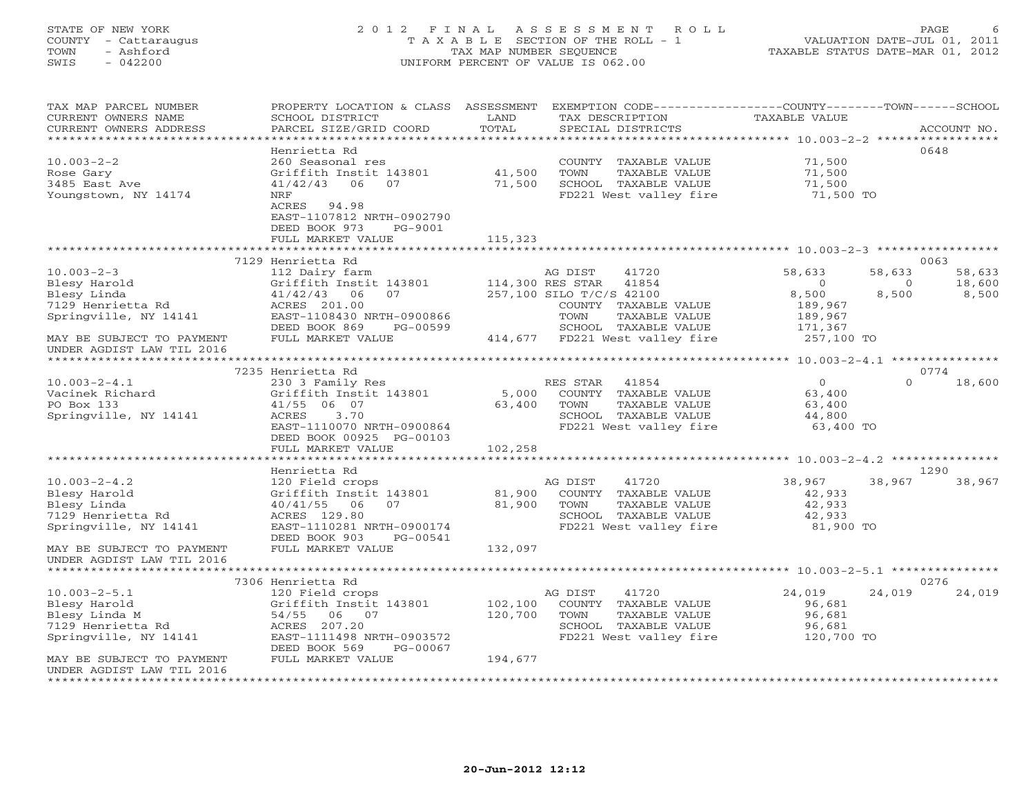## STATE OF NEW YORK 2 0 1 2 F I N A L A S S E S S M E N T R O L L PAGE 6 COUNTY - Cattaraugus T A X A B L E SECTION OF THE ROLL - 1 VALUATION DATE-JUL 01, 2011 TOWN - Ashford TAX MAP NUMBER SEQUENCE TAXABLE STATUS DATE-MAR 01, 2012 SWIS - 042200 UNIFORM PERCENT OF VALUE IS 062.00UNIFORM PERCENT OF VALUE IS 062.00

| TAX MAP PARCEL NUMBER<br>CURRENT OWNERS NAME<br>CURRENT OWNERS ADDRESS<br>*********************   | PROPERTY LOCATION & CLASS<br>SCHOOL DISTRICT<br>PARCEL SIZE/GRID COORD                                                                                   | ASSESSMENT<br>LAND<br>TOTAL | EXEMPTION CODE-----------------COUNTY-------TOWN------SCHOOL<br>TAX DESCRIPTION<br>SPECIAL DISTRICTS                                               | <b>TAXABLE VALUE</b>                                        | ACCOUNT NO.                                             |
|---------------------------------------------------------------------------------------------------|----------------------------------------------------------------------------------------------------------------------------------------------------------|-----------------------------|----------------------------------------------------------------------------------------------------------------------------------------------------|-------------------------------------------------------------|---------------------------------------------------------|
| $10.003 - 2 - 2$<br>Rose Gary<br>3485 East Ave<br>Youngstown, NY 14174                            | Henrietta Rd<br>260 Seasonal res<br>Griffith Instit 143801<br>41/42/43<br>06<br>07<br><b>NRF</b><br>ACRES<br>94.98<br>EAST-1107812 NRTH-0902790          | 41,500<br>71,500            | COUNTY<br>TAXABLE VALUE<br>TOWN<br>TAXABLE VALUE<br>SCHOOL TAXABLE VALUE<br>FD221 West valley fire                                                 | 71,500<br>71,500<br>71,500<br>71,500 TO                     | 0648                                                    |
|                                                                                                   | DEED BOOK 973<br>PG-9001<br>FULL MARKET VALUE                                                                                                            | 115,323                     |                                                                                                                                                    |                                                             |                                                         |
|                                                                                                   | 7129 Henrietta Rd                                                                                                                                        |                             |                                                                                                                                                    |                                                             | 0063                                                    |
| $10.003 - 2 - 3$<br>Blesy Harold<br>Blesy Linda<br>7129 Henrietta Rd<br>Springville, NY 14141     | 112 Dairy farm<br>Griffith Instit 143801<br>07<br>41/42/43<br>06<br>ACRES 201.00<br>EAST-1108430 NRTH-0900866<br>DEED BOOK 869<br>PG-00599               |                             | 41720<br>AG DIST<br>41854<br>114,300 RES STAR<br>257,100 SILO T/C/S 42100<br>COUNTY TAXABLE VALUE<br>TOWN<br>TAXABLE VALUE<br>SCHOOL TAXABLE VALUE | 58,633<br>$\circ$<br>8,500<br>189,967<br>189,967<br>171,367 | 58,633<br>58,633<br>18,600<br>$\circ$<br>8,500<br>8,500 |
| MAY BE SUBJECT TO PAYMENT<br>UNDER AGDIST LAW TIL 2016                                            | FULL MARKET VALUE                                                                                                                                        |                             | 414,677 FD221 West valley fire                                                                                                                     | 257,100 TO<br>********** 10.003-2-4.1 ***************       |                                                         |
|                                                                                                   | 7235 Henrietta Rd                                                                                                                                        |                             |                                                                                                                                                    |                                                             | 0774                                                    |
| $10.003 - 2 - 4.1$<br>Vacinek Richard<br>PO Box 133<br>Springville, NY 14141                      | 230 3 Family Res<br>Griffith Instit 143801<br>41/55 06 07<br>ACRES<br>3.70<br>EAST-1110070 NRTH-0900864<br>DEED BOOK 00925 PG-00103<br>FULL MARKET VALUE | 5,000<br>63,400<br>102,258  | 41854<br>RES STAR<br>COUNTY<br>TAXABLE VALUE<br>TOWN<br>TAXABLE VALUE<br>SCHOOL TAXABLE VALUE<br>FD221 West valley fire                            | $\circ$<br>63,400<br>63,400<br>44,800<br>63,400 TO          | $\Omega$<br>18,600                                      |
|                                                                                                   |                                                                                                                                                          |                             |                                                                                                                                                    |                                                             |                                                         |
|                                                                                                   | Henrietta Rd                                                                                                                                             |                             |                                                                                                                                                    |                                                             | 1290                                                    |
| $10.003 - 2 - 4.2$<br>Blesy Harold<br>Blesy Linda<br>7129 Henrietta Rd<br>Springville, NY 14141   | 120 Field crops<br>Griffith Instit 143801<br>40/41/55<br>06<br>07<br>ACRES 129.80<br>EAST-1110281 NRTH-0900174<br>PG-00541<br>DEED BOOK 903              | 81,900<br>81,900            | 41720<br>AG DIST<br>COUNTY TAXABLE VALUE<br>TAXABLE VALUE<br>TOWN<br>SCHOOL TAXABLE VALUE<br>FD221 West valley fire                                | 38,967<br>42,933<br>42,933<br>42,933<br>81,900 TO           | 38,967<br>38,967                                        |
| MAY BE SUBJECT TO PAYMENT<br>UNDER AGDIST LAW TIL 2016                                            | FULL MARKET VALUE<br>*********************                                                                                                               | 132,097                     |                                                                                                                                                    |                                                             |                                                         |
|                                                                                                   | 7306 Henrietta Rd                                                                                                                                        |                             |                                                                                                                                                    |                                                             | 0276                                                    |
| $10.003 - 2 - 5.1$<br>Blesy Harold<br>Blesy Linda M<br>7129 Henrietta Rd<br>Springville, NY 14141 | 120 Field crops<br>Griffith Instit 143801<br>54/55<br>06<br>07<br>ACRES 207.20<br>EAST-1111498 NRTH-0903572                                              | 102,100<br>120,700          | AG DIST<br>41720<br>COUNTY TAXABLE VALUE<br>TOWN<br>TAXABLE VALUE<br>SCHOOL TAXABLE VALUE<br>FD221 West valley fire                                | 24,019<br>96,681<br>96,681<br>96,681<br>120,700 TO          | 24,019<br>24,019                                        |
| MAY BE SUBJECT TO PAYMENT<br>UNDER AGDIST LAW TIL 2016<br>****************                        | DEED BOOK 569<br>PG-00067<br>FULL MARKET VALUE                                                                                                           | 194,677                     |                                                                                                                                                    |                                                             |                                                         |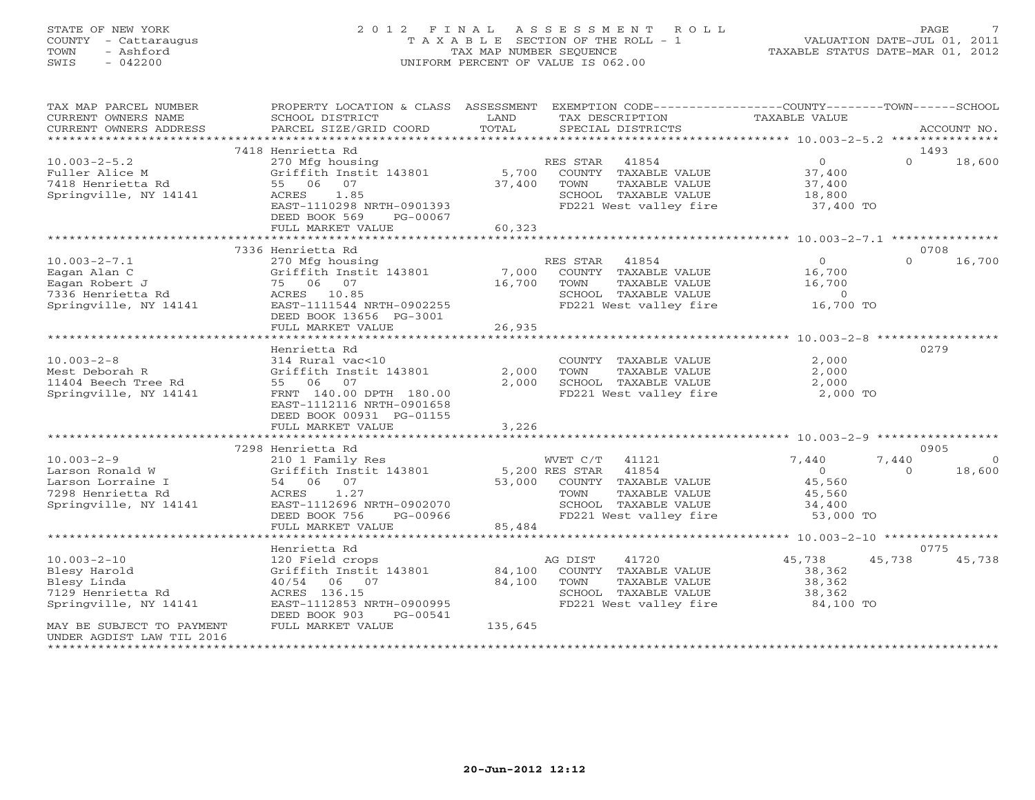## STATE OF NEW YORK 2 0 1 2 F I N A L A S S E S S M E N T R O L L PAGE 7 COUNTY - Cattaraugus T A X A B L E SECTION OF THE ROLL - 1 VALUATION DATE-JUL 01, 2011 TOWN - Ashford TAX MAP NUMBER SEQUENCE TAXABLE STATUS DATE-MAR 01, 2012 SWIS - 042200 UNIFORM PERCENT OF VALUE IS 062.00UNIFORM PERCENT OF VALUE IS 062.00

| TAX MAP PARCEL NUMBER<br>CURRENT OWNERS NAME<br>CURRENT OWNERS ADDRESS                                 | PROPERTY LOCATION & CLASS ASSESSMENT<br>SCHOOL DISTRICT<br>PARCEL SIZE/GRID COORD                                                                                                                 | LAND<br>TOTAL             | EXEMPTION CODE-----------------COUNTY-------TOWN------SCHOOL<br>TAX DESCRIPTION<br>SPECIAL DISTRICTS                                            | TAXABLE VALUE                                               | ACCOUNT NO.                             |
|--------------------------------------------------------------------------------------------------------|---------------------------------------------------------------------------------------------------------------------------------------------------------------------------------------------------|---------------------------|-------------------------------------------------------------------------------------------------------------------------------------------------|-------------------------------------------------------------|-----------------------------------------|
| ************************                                                                               |                                                                                                                                                                                                   |                           |                                                                                                                                                 |                                                             |                                         |
| $10.003 - 2 - 5.2$<br>Fuller Alice M<br>7418 Henrietta Rd<br>Springville, NY 14141                     | 7418 Henrietta Rd<br>270 Mfg housing<br>Griffith Instit 143801<br>07<br>55 06<br>ACRES<br>1.85<br>EAST-1110298 NRTH-0901393<br>DEED BOOK 569<br>PG-00067<br>FULL MARKET VALUE                     | 5,700<br>37,400<br>60,323 | 41854<br>RES STAR<br>COUNTY TAXABLE VALUE<br>TOWN<br>TAXABLE VALUE<br>SCHOOL TAXABLE VALUE<br>FD221 West valley fire                            | $\circ$<br>37,400<br>37,400<br>18,800<br>37,400 TO          | 1493<br>$\Omega$<br>18,600              |
|                                                                                                        |                                                                                                                                                                                                   |                           |                                                                                                                                                 |                                                             |                                         |
| $10.003 - 2 - 7.1$<br>Eagan Alan C<br>Eagan Robert J<br>7336 Henrietta Rd<br>Springville, NY 14141     | 7336 Henrietta Rd<br>270 Mfg housing<br>Griffith Instit 143801<br>75 06<br>07<br>ACRES 10.85<br>EAST-1111544 NRTH-0902255<br>DEED BOOK 13656 PG-3001<br>FULL MARKET VALUE<br>******************** | 7,000<br>16,700<br>26,935 | RES STAR<br>41854<br>COUNTY TAXABLE VALUE<br>TOWN<br>TAXABLE VALUE<br>SCHOOL TAXABLE VALUE<br>FD221 West valley fire                            | $\circ$<br>16,700<br>16,700<br>$\Omega$<br>16,700 TO        | 0708<br>$\Omega$<br>16,700              |
|                                                                                                        | Henrietta Rd                                                                                                                                                                                      |                           |                                                                                                                                                 |                                                             | 0279                                    |
| $10.003 - 2 - 8$<br>Mest Deborah R<br>11404 Beech Tree Rd<br>Springville, NY 14141                     | 314 Rural vac<10<br>Griffith Instit 143801<br>06<br>07<br>55<br>FRNT 140.00 DPTH 180.00<br>EAST-1112116 NRTH-0901658<br>DEED BOOK 00931 PG-01155<br>FULL MARKET VALUE                             | 2,000<br>2,000<br>3,226   | COUNTY TAXABLE VALUE<br>TAXABLE VALUE<br>TOWN<br>SCHOOL TAXABLE VALUE<br>FD221 West valley fire                                                 | 2,000<br>2,000<br>2,000<br>2,000 TO                         |                                         |
|                                                                                                        | 7298 Henrietta Rd                                                                                                                                                                                 |                           |                                                                                                                                                 |                                                             | 0905                                    |
| $10.003 - 2 - 9$<br>Larson Ronald W<br>Larson Lorraine I<br>7298 Henrietta Rd<br>Springville, NY 14141 | 210 1 Family Res<br>Griffith Instit 143801<br>07<br>54 06<br>1.27<br>ACRES<br>EAST-1112696 NRTH-0902070<br>DEED BOOK 756<br>PG-00966                                                              | 53,000                    | WVET C/T<br>41121<br>41854<br>5,200 RES STAR<br>COUNTY TAXABLE VALUE<br>TAXABLE VALUE<br>TOWN<br>SCHOOL TAXABLE VALUE<br>FD221 West valley fire | 7,440<br>$\circ$<br>45,560<br>45,560<br>34,400<br>53,000 TO | 7,440<br>$\Omega$<br>$\Omega$<br>18,600 |
|                                                                                                        | FULL MARKET VALUE<br>**************************                                                                                                                                                   | 85,484                    |                                                                                                                                                 |                                                             |                                         |
| $10.003 - 2 - 10$<br>Blesy Harold<br>Blesy Linda<br>7129 Henrietta Rd<br>Springville, NY 14141         | Henrietta Rd<br>120 Field crops<br>Griffith Instit 143801<br>06 07<br>40/54<br>ACRES 136.15<br>EAST-1112853 NRTH-0900995<br>DEED BOOK 903<br>PG-00541                                             | 84,100<br>84,100          | 41720<br>AG DIST<br>COUNTY TAXABLE VALUE<br><b>TOWN</b><br>TAXABLE VALUE<br>SCHOOL TAXABLE VALUE<br>FD221 West valley fire                      | 45,738<br>38,362<br>38,362<br>38,362<br>84,100 TO           | 0775<br>45,738<br>45,738                |
| MAY BE SUBJECT TO PAYMENT<br>UNDER AGDIST LAW TIL 2016<br>*********************                        | FULL MARKET VALUE                                                                                                                                                                                 | 135,645                   |                                                                                                                                                 |                                                             |                                         |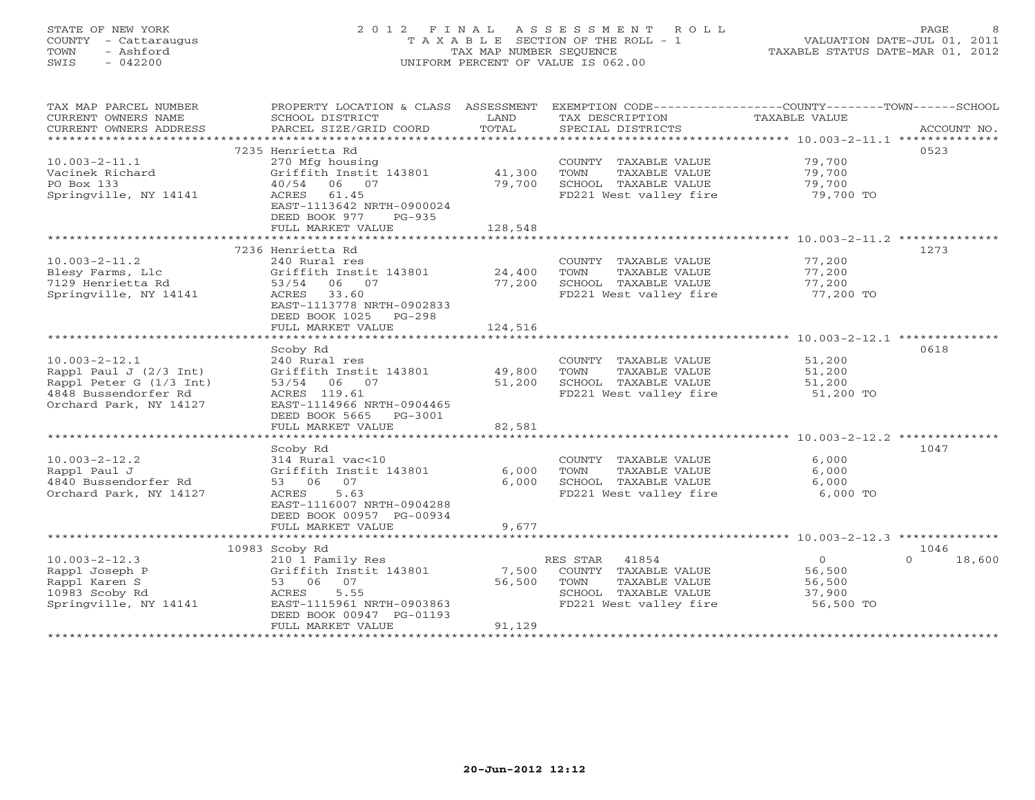## STATE OF NEW YORK 2 0 1 2 F I N A L A S S E S S M E N T R O L L PAGE 8 COUNTY - Cattaraugus T A X A B L E SECTION OF THE ROLL - 1 VALUATION DATE-JUL 01, 2011 TOWN - Ashford TAX MAP NUMBER SEQUENCE TAXABLE STATUS DATE-MAR 01, 2012 SWIS - 042200 UNIFORM PERCENT OF VALUE IS 062.00UNIFORM PERCENT OF VALUE IS 062.00

| TAX MAP PARCEL NUMBER<br>CURRENT OWNERS NAME         | PROPERTY LOCATION & CLASS ASSESSMENT<br>SCHOOL DISTRICT                    | LAND             | EXEMPTION CODE----------------COUNTY-------TOWN------SCHOOL<br>TAX DESCRIPTION | <b>TAXABLE VALUE</b>       |                  |
|------------------------------------------------------|----------------------------------------------------------------------------|------------------|--------------------------------------------------------------------------------|----------------------------|------------------|
| CURRENT OWNERS ADDRESS                               | PARCEL SIZE/GRID COORD                                                     | TOTAL            | SPECIAL DISTRICTS                                                              |                            | ACCOUNT NO.      |
|                                                      | 7235 Henrietta Rd                                                          |                  |                                                                                |                            | 0523             |
| $10.003 - 2 - 11.1$<br>Vacinek Richard<br>PO Box 133 | 270 Mfg housing<br>Griffith Instit 143801<br>40/54 06 07                   | 41,300<br>79,700 | COUNTY TAXABLE VALUE<br>TOWN<br>TAXABLE VALUE<br>SCHOOL TAXABLE VALUE          | 79,700<br>79,700<br>79,700 |                  |
| Springville, NY 14141                                | ACRES<br>61.45<br>EAST-1113642 NRTH-0900024<br>DEED BOOK 977<br>$PG-935$   |                  | FD221 West valley fire                                                         | 79,700 TO                  |                  |
|                                                      | FULL MARKET VALUE                                                          | 128,548          |                                                                                |                            |                  |
|                                                      | 7236 Henrietta Rd                                                          |                  |                                                                                |                            | 1273             |
| $10.003 - 2 - 11.2$                                  | 240 Rural res                                                              |                  | COUNTY TAXABLE VALUE                                                           | 77,200                     |                  |
| Blesy Farms, Llc                                     | Griffith Instit 143801                                                     | 24,400           | TOWN<br>TAXABLE VALUE                                                          | 77,200                     |                  |
| 7129 Henrietta Rd                                    | 53/54<br>06 07                                                             | 77,200           | SCHOOL TAXABLE VALUE                                                           | 77,200                     |                  |
| Springville, NY 14141                                | 33.60<br>ACRES<br>EAST-1113778 NRTH-0902833<br>DEED BOOK 1025 PG-298       |                  | FD221 West valley fire                                                         | 77,200 TO                  |                  |
|                                                      | FULL MARKET VALUE                                                          | 124,516          |                                                                                |                            |                  |
|                                                      | Scoby Rd                                                                   |                  |                                                                                |                            | 0618             |
| $10.003 - 2 - 12.1$                                  | 240 Rural res                                                              |                  | COUNTY TAXABLE VALUE                                                           | 51,200                     |                  |
| Rappl Paul J $(2/3$ Int)                             | Griffith Instit 143801                                                     | 49,800           | TOWN<br>TAXABLE VALUE                                                          | 51,200                     |                  |
| Rappl Peter G (1/3 Int)                              | 53/54 06 07                                                                | 51,200           | SCHOOL TAXABLE VALUE                                                           | 51,200                     |                  |
| 4848 Bussendorfer Rd<br>Orchard Park, NY 14127       | ACRES 119.61<br>EAST-1114966 NRTH-0904465<br>DEED BOOK 5665 PG-3001        |                  | FD221 West valley fire                                                         | 51,200 TO                  |                  |
|                                                      | FULL MARKET VALUE                                                          | 82,581           |                                                                                |                            |                  |
|                                                      |                                                                            |                  |                                                                                |                            |                  |
|                                                      | Scoby Rd                                                                   |                  |                                                                                |                            | 1047             |
| $10.003 - 2 - 12.2$                                  | 314 Rural vac<10                                                           |                  | COUNTY TAXABLE VALUE                                                           | 6,000                      |                  |
| Rappl Paul J                                         | Griffith Instit 143801                                                     | 6,000            | TAXABLE VALUE<br>TOWN                                                          | 6,000                      |                  |
| 4840 Bussendorfer Rd                                 | 53 06<br>07<br>5.63<br>ACRES                                               | 6,000            | SCHOOL TAXABLE VALUE<br>FD221 West valley fire                                 | 6,000<br>6,000 TO          |                  |
| Orchard Park, NY 14127                               | EAST-1116007 NRTH-0904288<br>DEED BOOK 00957 PG-00934                      |                  |                                                                                |                            |                  |
|                                                      | FULL MARKET VALUE                                                          | 9,677            |                                                                                |                            |                  |
|                                                      | 10983 Scoby Rd                                                             |                  |                                                                                |                            | 1046             |
| $10.003 - 2 - 12.3$                                  | 210 1 Family Res                                                           |                  | RES STAR 41854                                                                 | $\circ$                    | $\cap$<br>18,600 |
| Rappl Joseph P                                       | Griffith Instit 143801                                                     | 7,500            | COUNTY TAXABLE VALUE                                                           | 56,500                     |                  |
| Rappl Karen S                                        | 53 06 07                                                                   | 56,500           | TOWN<br>TAXABLE VALUE                                                          | 56,500                     |                  |
| 10983 Scoby Rd                                       | ACRES<br>5.55                                                              |                  | SCHOOL TAXABLE VALUE                                                           | 37,900                     |                  |
| Springville, NY 14141                                | EAST-1115961 NRTH-0903863<br>DEED BOOK 00947 PG-01193<br>FULL MARKET VALUE | 91,129           | FD221 West valley fire                                                         | 56,500 TO                  |                  |
|                                                      |                                                                            |                  |                                                                                |                            |                  |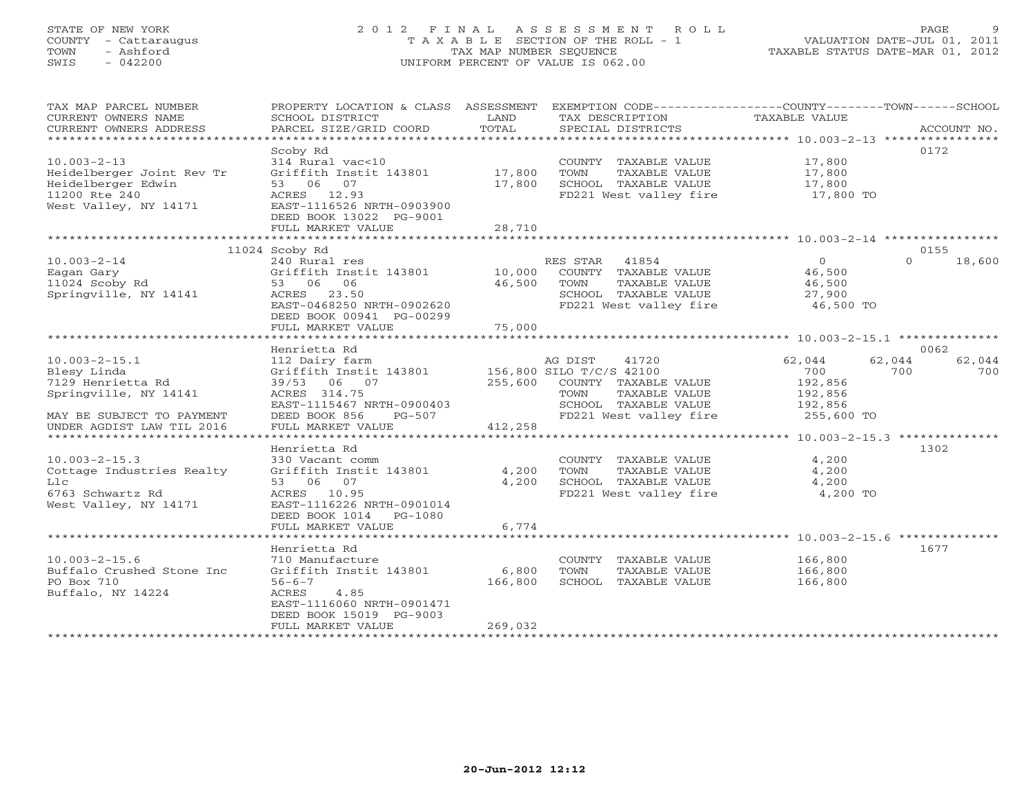## STATE OF NEW YORK 2 0 1 2 F I N A L A S S E S S M E N T R O L L PAGE 9 COUNTY - Cattaraugus T A X A B L E SECTION OF THE ROLL - 1 VALUATION DATE-JUL 01, 2011 TOWN - Ashford TAX MAP NUMBER SEQUENCE TAXABLE STATUS DATE-MAR 01, 2012 SWIS - 042200 UNIFORM PERCENT OF VALUE IS 062.00UNIFORM PERCENT OF VALUE IS 062.00

| TAX MAP PARCEL NUMBER<br>CURRENT OWNERS NAME<br>CURRENT OWNERS ADDRESS                                                                     | PROPERTY LOCATION & CLASS ASSESSMENT<br>SCHOOL DISTRICT<br>PARCEL SIZE/GRID COORD                                                                                    | LAND<br>TOTAL               | EXEMPTION CODE-----------------COUNTY-------TOWN------SCHOOL<br>TAX DESCRIPTION<br>SPECIAL DISTRICTS                                            | TAXABLE VALUE                                                | ACCOUNT NO.                            |
|--------------------------------------------------------------------------------------------------------------------------------------------|----------------------------------------------------------------------------------------------------------------------------------------------------------------------|-----------------------------|-------------------------------------------------------------------------------------------------------------------------------------------------|--------------------------------------------------------------|----------------------------------------|
| $10.003 - 2 - 13$<br>Heidelberger Joint Rev Tr<br>Heidelberger Edwin<br>11200 Rte 240<br>West Valley, NY 14171                             | Scoby Rd<br>314 Rural vac<10<br>Griffith Instit 143801<br>53 06 07<br>ACRES 12.93<br>EAST-1116526 NRTH-0903900<br>DEED BOOK 13022 PG-9001                            | 17,800<br>17,800            | COUNTY TAXABLE VALUE<br>TOWN<br>TAXABLE VALUE<br>SCHOOL TAXABLE VALUE<br>FD221 West valley fire                                                 | 17,800<br>17,800<br>17,800<br>17,800 TO                      | 0172                                   |
|                                                                                                                                            | FULL MARKET VALUE                                                                                                                                                    | 28,710                      |                                                                                                                                                 |                                                              |                                        |
|                                                                                                                                            | 11024 Scoby Rd                                                                                                                                                       |                             |                                                                                                                                                 |                                                              | 0155                                   |
| $10.003 - 2 - 14$<br>Eagan Gary<br>11024 Scoby Rd<br>Springville, NY 14141                                                                 | 240 Rural res<br>Griffith Instit 143801<br>53 06 06<br>ACRES 23.50<br>EAST-0468250 NRTH-0902620<br>DEED BOOK 00941 PG-00299<br>FULL MARKET VALUE                     | 10,000<br>46,500<br>75,000  | RES STAR 41854<br>COUNTY TAXABLE VALUE<br>TAXABLE VALUE<br>TOWN<br>SCHOOL TAXABLE VALUE<br>FD221 West valley fire                               | $\overline{0}$<br>46,500<br>46,500<br>27,900<br>46,500 TO    | $\Omega$<br>18,600                     |
|                                                                                                                                            |                                                                                                                                                                      |                             |                                                                                                                                                 |                                                              |                                        |
| $10.003 - 2 - 15.1$<br>Blesy Linda<br>7129 Henrietta Rd<br>Springville, NY 14141<br>MAY BE SUBJECT TO PAYMENT<br>UNDER AGDIST LAW TIL 2016 | Henrietta Rd<br>112 Dairy farm<br>Griffith Instit 143801<br>39/53 06 07<br>ACRES 314.75<br>EAST-1115467 NRTH-0900403<br>DEED BOOK 856<br>PG-507<br>FULL MARKET VALUE | 255,600<br>412,258          | AG DIST<br>41720<br>156,800 SILO T/C/S 42100<br>COUNTY TAXABLE VALUE<br>TAXABLE VALUE<br>TOWN<br>SCHOOL TAXABLE VALUE<br>FD221 West valley fire | 62,044<br>700<br>192,856<br>192,856<br>192,856<br>255,600 TO | 0062<br>62,044<br>62,044<br>700<br>700 |
| $10.003 - 2 - 15.3$<br>Cottage Industries Realty<br>$_{\rm L1c}$<br>6763 Schwartz Rd<br>West Valley, NY 14171                              | Henrietta Rd<br>330 Vacant comm<br>Griffith Instit 143801<br>53 06 07<br>ACRES 10.95<br>EAST-1116226 NRTH-0901014<br>DEED BOOK 1014 PG-1080<br>FULL MARKET VALUE     | 4,200<br>4,200<br>6,774     | COUNTY TAXABLE VALUE<br>TOWN<br>TAXABLE VALUE<br>SCHOOL TAXABLE VALUE<br>FD221 West valley fire                                                 | 4,200<br>4,200<br>4,200<br>4,200 TO                          | 1302                                   |
|                                                                                                                                            | Henrietta Rd                                                                                                                                                         |                             |                                                                                                                                                 |                                                              | 1677                                   |
| $10.003 - 2 - 15.6$<br>Buffalo Crushed Stone Inc<br>PO Box 710<br>Buffalo, NY 14224                                                        | 710 Manufacture<br>Griffith Instit 143801<br>$56 - 6 - 7$<br>ACRES<br>4.85<br>EAST-1116060 NRTH-0901471<br>DEED BOOK 15019 PG-9003<br>FULL MARKET VALUE              | 6,800<br>166,800<br>269,032 | COUNTY TAXABLE VALUE<br>TOWN<br>TAXABLE VALUE<br>SCHOOL TAXABLE VALUE                                                                           | 166,800<br>166,800<br>166,800                                |                                        |
|                                                                                                                                            |                                                                                                                                                                      |                             |                                                                                                                                                 |                                                              |                                        |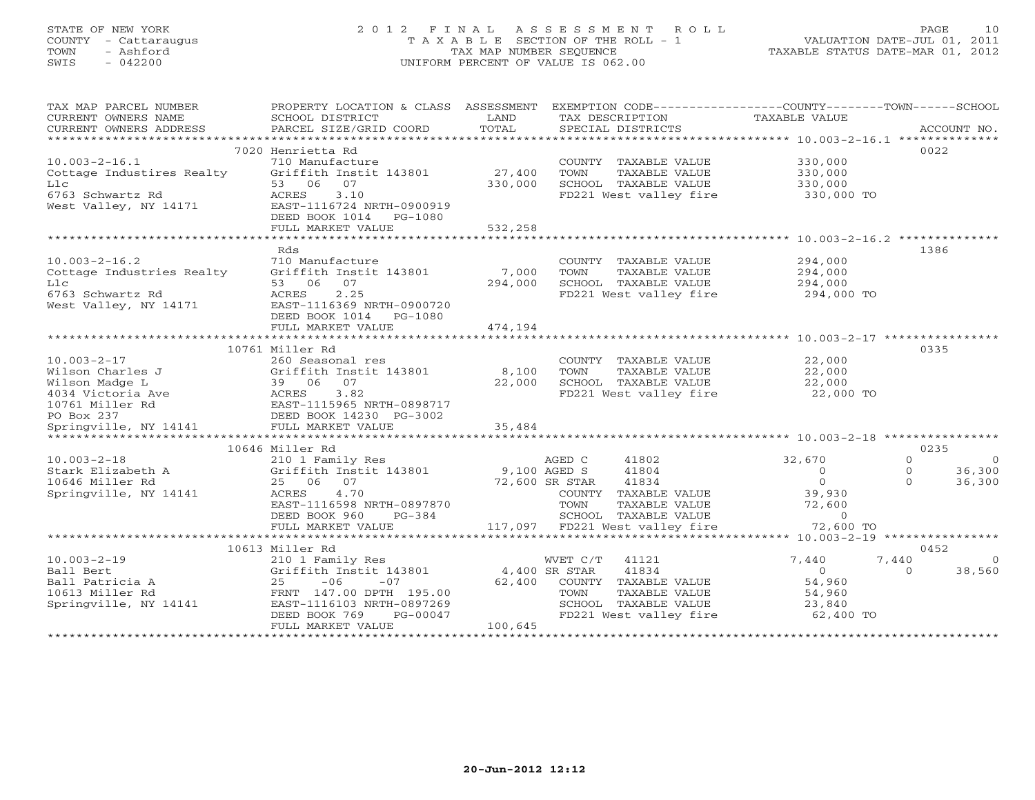## STATE OF NEW YORK 2 0 1 2 F I N A L A S S E S S M E N T R O L L PAGE 10 COUNTY - Cattaraugus T A X A B L E SECTION OF THE ROLL - 1 VALUATION DATE-JUL 01, 2011 TOWN - Ashford TAX MAP NUMBER SEQUENCE TAXABLE STATUS DATE-MAR 01, 2012 SWIS - 042200 UNIFORM PERCENT OF VALUE IS 062.00UNIFORM PERCENT OF VALUE IS 062.00

| TAX MAP PARCEL NUMBER<br>CURRENT OWNERS NAME<br>CURRENT OWNERS ADDRESS                                                                                                  | PROPERTY LOCATION & CLASS ASSESSMENT<br>SCHOOL DISTRICT<br>PARCEL SIZE/GRID COORD | LAND<br>TOTAL  | EXEMPTION CODE-----------------COUNTY-------TOWN------SCHOOL<br>TAX DESCRIPTION<br>SPECIAL DISTRICTS | TAXABLE VALUE       | ACCOUNT NO.                |
|-------------------------------------------------------------------------------------------------------------------------------------------------------------------------|-----------------------------------------------------------------------------------|----------------|------------------------------------------------------------------------------------------------------|---------------------|----------------------------|
|                                                                                                                                                                         |                                                                                   |                |                                                                                                      |                     |                            |
|                                                                                                                                                                         | 7020 Henrietta Rd                                                                 |                |                                                                                                      |                     | 0022                       |
| $10.003 - 2 - 16.1$                                                                                                                                                     | 710 Manufacture                                                                   |                | COUNTY TAXABLE VALUE                                                                                 | 330,000             |                            |
| Cottage Industires Realty                                                                                                                                               | Griffith Instit 143801                                                            | 27,400         | TOWN<br>TAXABLE VALUE                                                                                | 330,000             |                            |
| 1.1c                                                                                                                                                                    | 53 06 07                                                                          | 330,000        | SCHOOL TAXABLE VALUE                                                                                 | 330,000             |                            |
| 6763 Schwartz Rd                                                                                                                                                        | ACRES<br>3.10                                                                     |                | FD221 West valley fire 330,000 TO                                                                    |                     |                            |
| West Valley, NY 14171                                                                                                                                                   | EAST-1116724 NRTH-0900919                                                         |                |                                                                                                      |                     |                            |
|                                                                                                                                                                         | DEED BOOK 1014 PG-1080                                                            |                |                                                                                                      |                     |                            |
|                                                                                                                                                                         | FULL MARKET VALUE                                                                 | 532,258        |                                                                                                      |                     |                            |
|                                                                                                                                                                         | Rds                                                                               |                |                                                                                                      |                     | 1386                       |
| $10.003 - 2 - 16.2$                                                                                                                                                     | 710 Manufacture                                                                   |                | COUNTY TAXABLE VALUE                                                                                 | 294,000             |                            |
| Cottage Industries Realty                                                                                                                                               | Griffith Instit 143801                                                            | 7,000          | TOWN<br>TAXABLE VALUE                                                                                | 294,000             |                            |
| 1.1c                                                                                                                                                                    | 53 06 07                                                                          | 294,000        | SCHOOL TAXABLE VALUE                                                                                 | 294,000             |                            |
| 6763 Schwartz Rd                                                                                                                                                        | ACRES<br>2.25                                                                     |                | FD221 West valley fire 394,000 TO                                                                    |                     |                            |
| West Valley, NY 14171                                                                                                                                                   | EAST-1116369 NRTH-0900720                                                         |                |                                                                                                      |                     |                            |
|                                                                                                                                                                         | DEED BOOK 1014 PG-1080                                                            |                |                                                                                                      |                     |                            |
|                                                                                                                                                                         | FULL MARKET VALUE                                                                 | 474,194        |                                                                                                      |                     |                            |
|                                                                                                                                                                         |                                                                                   |                |                                                                                                      |                     |                            |
|                                                                                                                                                                         | 10761 Miller Rd                                                                   |                |                                                                                                      |                     | 0335                       |
| $10.003 - 2 - 17$                                                                                                                                                       | 260 Seasonal res                                                                  |                | COUNTY TAXABLE VALUE                                                                                 | 22,000              |                            |
| Wilson Charles J                                                                                                                                                        | Griffith Instit 143801                                                            | 8,100          | TOWN<br>TAXABLE VALUE                                                                                | 22,000              |                            |
|                                                                                                                                                                         |                                                                                   | 22,000         | SCHOOL TAXABLE VALUE<br>FD221 West valley fire                                                       | 22,000<br>22,000 TO |                            |
|                                                                                                                                                                         |                                                                                   |                |                                                                                                      |                     |                            |
|                                                                                                                                                                         |                                                                                   |                |                                                                                                      |                     |                            |
| VILSON Madge L<br>4034 Victoria Ave MCRES<br>10761 Miller Rd BAST-1115965 NRTH-0898717<br>PO Box 237 DEED BOOK 14230 PG-3002<br>Springville, NY 14141 FULL MARKET VALUE |                                                                                   | 35,484         |                                                                                                      |                     |                            |
|                                                                                                                                                                         |                                                                                   |                |                                                                                                      |                     |                            |
|                                                                                                                                                                         | 10646 Miller Rd                                                                   |                |                                                                                                      |                     | 0235                       |
| $10.003 - 2 - 18$                                                                                                                                                       | 210 1 Family Res                                                                  |                | AGED C<br>41802                                                                                      | 32,670              | $\Omega$<br>$\overline{0}$ |
| Stark Elizabeth A                                                                                                                                                       | Griffith Instit 143801 9,100 AGED S                                               |                | 41804                                                                                                | $\Omega$            | $\mathbf{0}$<br>36,300     |
| 10646 Miller Rd                                                                                                                                                         | 25 06 07                                                                          | 72,600 SR STAR | 41834                                                                                                | $\overline{O}$      | $\Omega$<br>36,300         |
| Springville, NY 14141                                                                                                                                                   | ACRES<br>4.70                                                                     |                | COUNTY TAXABLE VALUE                                                                                 | 39,930              |                            |
|                                                                                                                                                                         | EAST-1116598 NRTH-0897870                                                         |                | TOWN<br>TAXABLE VALUE                                                                                | 72,600              |                            |
|                                                                                                                                                                         | DEED BOOK 960<br>$PG-384$                                                         |                | SCHOOL TAXABLE VALUE                                                                                 | $\overline{0}$      |                            |
|                                                                                                                                                                         | FULL MARKET VALUE                                                                 |                | 117,097 FD221 West valley fire                                                                       | — <b>72,600 то</b>  |                            |
|                                                                                                                                                                         | 10613 Miller Rd                                                                   |                |                                                                                                      |                     | 0452                       |
| $10.003 - 2 - 19$                                                                                                                                                       | 210 1 Family Res                                                                  |                | WVET C/T 41121                                                                                       | 7,440               | 7,440<br>$\overline{O}$    |
|                                                                                                                                                                         |                                                                                   | 4,400 SR STAR  | 41834                                                                                                | $\overline{0}$      | 38,560<br>$\Omega$         |
| Ball Bert<br>Ball Patricia A<br>10613 Miller Rd<br>Springville, NY 14141<br>FRNT 147.00 DPTH 195.00<br>Springville, NY 14141<br>EAST-1116103 NRTH-0897269               |                                                                                   | 62,400         | COUNTY TAXABLE VALUE                                                                                 | 54,960              |                            |
|                                                                                                                                                                         |                                                                                   |                | TOWN<br>TAXABLE VALUE                                                                                | 54,960              |                            |
|                                                                                                                                                                         |                                                                                   |                | SCHOOL TAXABLE VALUE                                                                                 | 23,840              |                            |
|                                                                                                                                                                         | DEED BOOK 769<br>PG-00047                                                         |                | FD221 West valley fire 62,400 TO                                                                     |                     |                            |
|                                                                                                                                                                         | FULL MARKET VALUE                                                                 | 100,645        |                                                                                                      |                     |                            |
|                                                                                                                                                                         |                                                                                   |                |                                                                                                      |                     |                            |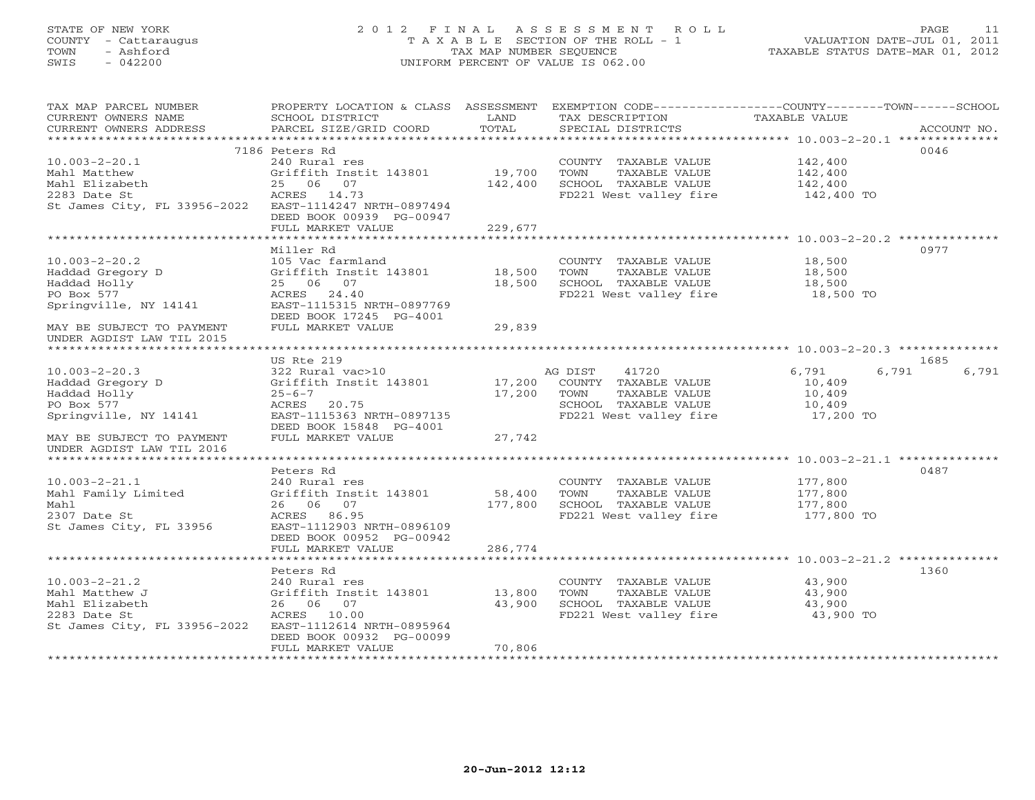## STATE OF NEW YORK 2 0 1 2 F I N A L A S S E S S M E N T R O L L PAGE 11 COUNTY - Cattaraugus T A X A B L E SECTION OF THE ROLL - 1 VALUATION DATE-JUL 01, 2011 TOWN - Ashford TAX MAP NUMBER SEQUENCE TAXABLE STATUS DATE-MAR 01, 2012 SWIS - 042200 UNIFORM PERCENT OF VALUE IS 062.00UNIFORM PERCENT OF VALUE IS 062.00

| TAX MAP PARCEL NUMBER<br>CURRENT OWNERS NAME<br>CURRENT OWNERS ADDRESS | PROPERTY LOCATION & CLASS ASSESSMENT<br>SCHOOL DISTRICT<br>PARCEL SIZE/GRID COORD | LAND<br>TOTAL | EXEMPTION CODE-----------------COUNTY-------TOWN------SCHOOL<br>TAX DESCRIPTION<br>SPECIAL DISTRICTS | TAXABLE VALUE                                        | ACCOUNT NO. |
|------------------------------------------------------------------------|-----------------------------------------------------------------------------------|---------------|------------------------------------------------------------------------------------------------------|------------------------------------------------------|-------------|
|                                                                        |                                                                                   |               |                                                                                                      |                                                      |             |
|                                                                        | 7186 Peters Rd                                                                    |               |                                                                                                      |                                                      | 0046        |
| $10.003 - 2 - 20.1$                                                    | 240 Rural res                                                                     |               | COUNTY TAXABLE VALUE                                                                                 | 142,400                                              |             |
| Mahl Matthew                                                           | Griffith Instit 143801                                                            | 19,700        | TOWN<br>TAXABLE VALUE                                                                                | 142,400                                              |             |
| Mahl Elizabeth                                                         | 25 06 07                                                                          | 142,400       | SCHOOL TAXABLE VALUE                                                                                 | 142,400                                              |             |
| 2283 Date St                                                           | ACRES 14.73                                                                       |               | FD221 West valley fire                                                                               | 142,400 TO                                           |             |
| St James City, FL 33956-2022                                           | EAST-1114247 NRTH-0897494                                                         |               |                                                                                                      |                                                      |             |
|                                                                        | DEED BOOK 00939 PG-00947                                                          |               |                                                                                                      |                                                      |             |
|                                                                        | FULL MARKET VALUE                                                                 | 229,677       |                                                                                                      |                                                      |             |
|                                                                        |                                                                                   |               |                                                                                                      |                                                      |             |
|                                                                        | Miller Rd                                                                         |               |                                                                                                      |                                                      | 0977        |
| $10.003 - 2 - 20.2$                                                    | 105 Vac farmland                                                                  |               | COUNTY TAXABLE VALUE                                                                                 | 18,500                                               |             |
| Haddad Gregory D                                                       | Griffith Instit 143801                                                            | 18,500        | TOWN<br>TAXABLE VALUE                                                                                | 18,500                                               |             |
| Haddad Holly                                                           | 25 06 07                                                                          | 18,500        | SCHOOL TAXABLE VALUE                                                                                 | 18,500                                               |             |
| PO Box 577                                                             | ACRES 24.40                                                                       |               | FD221 West valley fire                                                                               | 18,500 TO                                            |             |
| Springville, NY 14141                                                  | EAST-1115315 NRTH-0897769                                                         |               |                                                                                                      |                                                      |             |
|                                                                        | DEED BOOK 17245 PG-4001                                                           |               |                                                                                                      |                                                      |             |
| MAY BE SUBJECT TO PAYMENT                                              | FULL MARKET VALUE                                                                 | 29,839        |                                                                                                      |                                                      |             |
| UNDER AGDIST LAW TIL 2015                                              |                                                                                   |               |                                                                                                      |                                                      |             |
|                                                                        |                                                                                   |               |                                                                                                      |                                                      |             |
|                                                                        | US Rte 219                                                                        |               |                                                                                                      |                                                      | 1685        |
| $10.003 - 2 - 20.3$                                                    | 322 Rural vac>10                                                                  |               | AG DIST<br>41720                                                                                     | 6,791<br>6,791                                       | 6,791       |
| Haddad Gregory D                                                       | Griffith Instit 143801                                                            | 17,200        | COUNTY TAXABLE VALUE                                                                                 | 10,409                                               |             |
| Haddad Holly                                                           | $25 - 6 - 7$                                                                      | 17,200        | TAXABLE VALUE<br>TOWN                                                                                | 10,409                                               |             |
| PO Box 577                                                             | ACRES 20.75                                                                       |               | SCHOOL TAXABLE VALUE                                                                                 | 10,409                                               |             |
| Springville, NY 14141                                                  | EAST-1115363 NRTH-0897135<br>DEED BOOK 15848 PG-4001                              |               | FD221 West valley fire                                                                               | 17,200 TO                                            |             |
| MAY BE SUBJECT TO PAYMENT                                              | FULL MARKET VALUE                                                                 | 27,742        |                                                                                                      |                                                      |             |
| UNDER AGDIST LAW TIL 2016                                              |                                                                                   |               |                                                                                                      |                                                      |             |
|                                                                        |                                                                                   |               |                                                                                                      |                                                      |             |
|                                                                        | Peters Rd                                                                         |               |                                                                                                      |                                                      | 0487        |
| $10.003 - 2 - 21.1$                                                    | 240 Rural res                                                                     |               | COUNTY TAXABLE VALUE                                                                                 | 177,800                                              |             |
| Mahl Family Limited                                                    | Griffith Instit 143801                                                            | 58,400        | TOWN<br>TAXABLE VALUE                                                                                | 177,800                                              |             |
| Mahl                                                                   | 26 06 07                                                                          | 177,800       | SCHOOL TAXABLE VALUE                                                                                 | 177,800                                              |             |
| 2307 Date St                                                           | ACRES 86.95                                                                       |               | FD221 West valley fire                                                                               | 177,800 TO                                           |             |
| St James City, FL 33956                                                | EAST-1112903 NRTH-0896109                                                         |               |                                                                                                      |                                                      |             |
|                                                                        | DEED BOOK 00952 PG-00942                                                          |               |                                                                                                      |                                                      |             |
|                                                                        | FULL MARKET VALUE                                                                 | 286,774       |                                                                                                      |                                                      |             |
|                                                                        | ********************                                                              | *********     |                                                                                                      | *********************** 10.003-2-21.2 ************** |             |
|                                                                        | Peters Rd                                                                         |               |                                                                                                      |                                                      | 1360        |
| $10.003 - 2 - 21.2$                                                    | 240 Rural res                                                                     |               | COUNTY TAXABLE VALUE                                                                                 | 43,900                                               |             |
| Mahl Matthew J                                                         | Griffith Instit 143801                                                            | 13,800        | TOWN<br>TAXABLE VALUE                                                                                | 43,900                                               |             |
| Mahl Elizabeth                                                         | 26 06 07                                                                          | 43,900        | SCHOOL TAXABLE VALUE                                                                                 | 43,900                                               |             |
| 2283 Date St                                                           | ACRES 10.00                                                                       |               | FD221 West valley fire                                                                               | 43,900 TO                                            |             |
| St James City, FL 33956-2022                                           | EAST-1112614 NRTH-0895964                                                         |               |                                                                                                      |                                                      |             |
|                                                                        | DEED BOOK 00932 PG-00099                                                          |               |                                                                                                      |                                                      |             |
|                                                                        | FULL MARKET VALUE                                                                 | 70,806        |                                                                                                      |                                                      |             |
|                                                                        |                                                                                   |               |                                                                                                      |                                                      |             |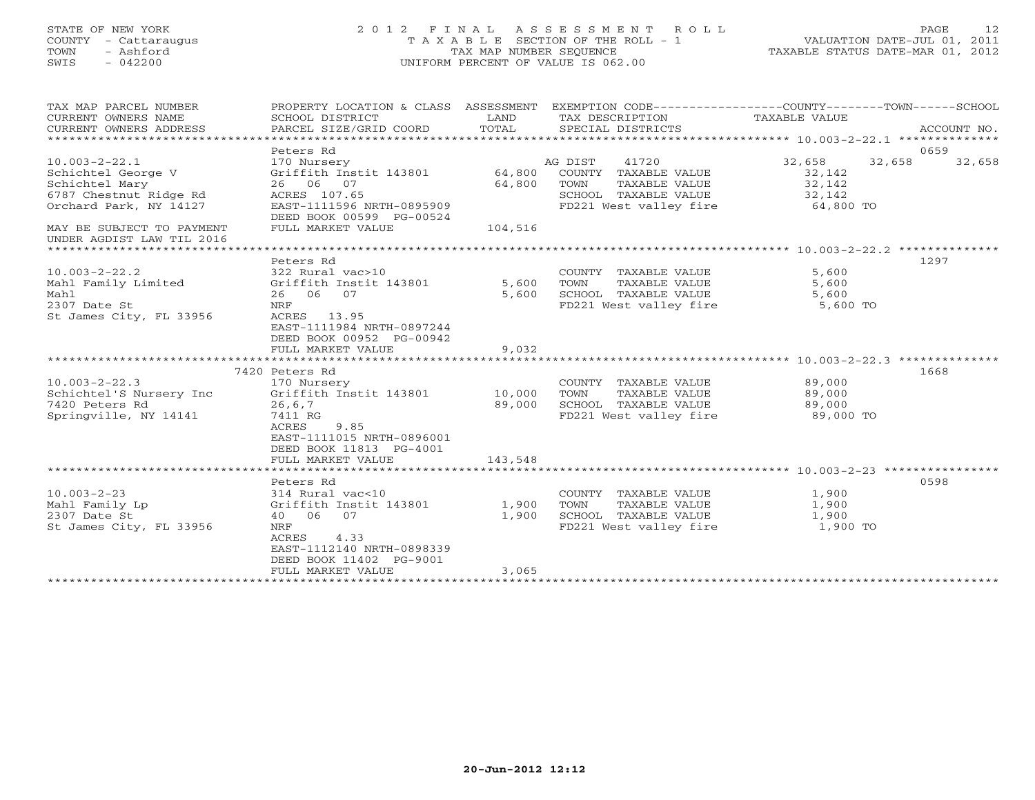## STATE OF NEW YORK 2 0 1 2 F I N A L A S S E S S M E N T R O L L PAGE 12 COUNTY - Cattaraugus T A X A B L E SECTION OF THE ROLL - 1 VALUATION DATE-JUL 01, 2011 TOWN - Ashford TAX MAP NUMBER SEQUENCE TAXABLE STATUS DATE-MAR 01, 2012 SWIS - 042200 UNIFORM PERCENT OF VALUE IS 062.00UNIFORM PERCENT OF VALUE IS 062.00

| TAX MAP PARCEL NUMBER<br>CURRENT OWNERS NAME<br>CURRENT OWNERS ADDRESS                                                                       | PROPERTY LOCATION & CLASS ASSESSMENT EXEMPTION CODE---------------COUNTY-------TOWN------SCHOOL<br>SCHOOL DISTRICT<br>PARCEL SIZE/GRID COORD                                                            | LAND<br>TOTAL             | TAX DESCRIPTION TAXABLE VALUE<br>SPECIAL DISTRICTS                                              |                                                                | ACCOUNT NO.    |
|----------------------------------------------------------------------------------------------------------------------------------------------|---------------------------------------------------------------------------------------------------------------------------------------------------------------------------------------------------------|---------------------------|-------------------------------------------------------------------------------------------------|----------------------------------------------------------------|----------------|
| $10.003 - 2 - 22.1$<br>Schichtel George V<br>Schichtel Mary<br>6787 Chestnut Ridge Rd<br>Orchard Park, NY 14127<br>MAY BE SUBJECT TO PAYMENT | Peters Rd<br>170 Nursery<br>170 Nursery<br>Griffith Instit 143801 64,800 COUNTY TAXABLE VALUE<br>26 06 07<br>ACRES 107.65<br>EAST-1111596 NRTH-0895909<br>DEED BOOK 00599 PG-00524<br>FULL MARKET VALUE | 64,800<br>104,516         | AG DIST<br>41720<br>TOWN<br>TAXABLE VALUE<br>SCHOOL TAXABLE VALUE<br>FD221 West valley fire     | 32,658<br>32,658<br>32,142<br>32,142<br>32,142<br>64,800 TO    | 0659<br>32,658 |
| UNDER AGDIST LAW TIL 2016                                                                                                                    |                                                                                                                                                                                                         |                           |                                                                                                 |                                                                |                |
| $10.003 - 2 - 22.2$<br>Mahl Family Limited<br>Mahl<br>2307 Date St<br>St James City, FL 33956                                                | Peters Rd<br>322 Rural vac>10<br>Griffith Instit 143801<br>26 06 07<br>NRF<br>ACRES 13.95<br>EAST-1111984 NRTH-0897244<br>DEED BOOK 00952 PG-00942<br>FULL MARKET VALUE                                 | 5,600<br>5,600<br>9,032   | COUNTY TAXABLE VALUE<br>TAXABLE VALUE<br>TOWN<br>SCHOOL TAXABLE VALUE<br>FD221 West valley fire | 5,600<br>5,600<br>5,600<br>5,600 TO                            | 1297           |
|                                                                                                                                              | 7420 Peters Rd                                                                                                                                                                                          |                           |                                                                                                 |                                                                | 1668           |
| $10.003 - 2 - 22.3$<br>Schichtel'S Nursery Inc<br>7420 Peters Rd<br>Springville, NY 14141                                                    | 170 Nursery<br>Griffith Instit 143801 10,000<br>26,6,7<br>7411 RG<br>9.85<br>ACRES<br>EAST-1111015 NRTH-0896001<br>DEED BOOK 11813 PG-4001                                                              | 89,000                    | COUNTY TAXABLE VALUE<br>TAXABLE VALUE<br>TOWN<br>SCHOOL TAXABLE VALUE<br>FD221 West valley fire | 89,000<br>89,000<br>89,000<br>89,000 TO                        |                |
|                                                                                                                                              | FULL MARKET VALUE<br>**********************                                                                                                                                                             | 143,548<br>************** |                                                                                                 | ********************************* 10.003-2-23 **************** |                |
| $10.003 - 2 - 23$<br>Mahl Family Lp<br>2307 Date St<br>St James City, FL 33956                                                               | Peters Rd<br>314 Rural vac<10<br>Griffith Instit 143801<br>40 06 07<br><b>NRF</b><br>ACRES<br>4.33<br>EAST-1112140 NRTH-0898339<br>DEED BOOK 11402 PG-9001<br>FULL MARKET VALUE                         | 1,900<br>1,900<br>3,065   | COUNTY TAXABLE VALUE<br>TOWN<br>TAXABLE VALUE<br>SCHOOL TAXABLE VALUE<br>FD221 West valley fire | 1,900<br>1,900<br>1,900<br>1,900 TO                            | 0598           |
|                                                                                                                                              |                                                                                                                                                                                                         |                           |                                                                                                 |                                                                |                |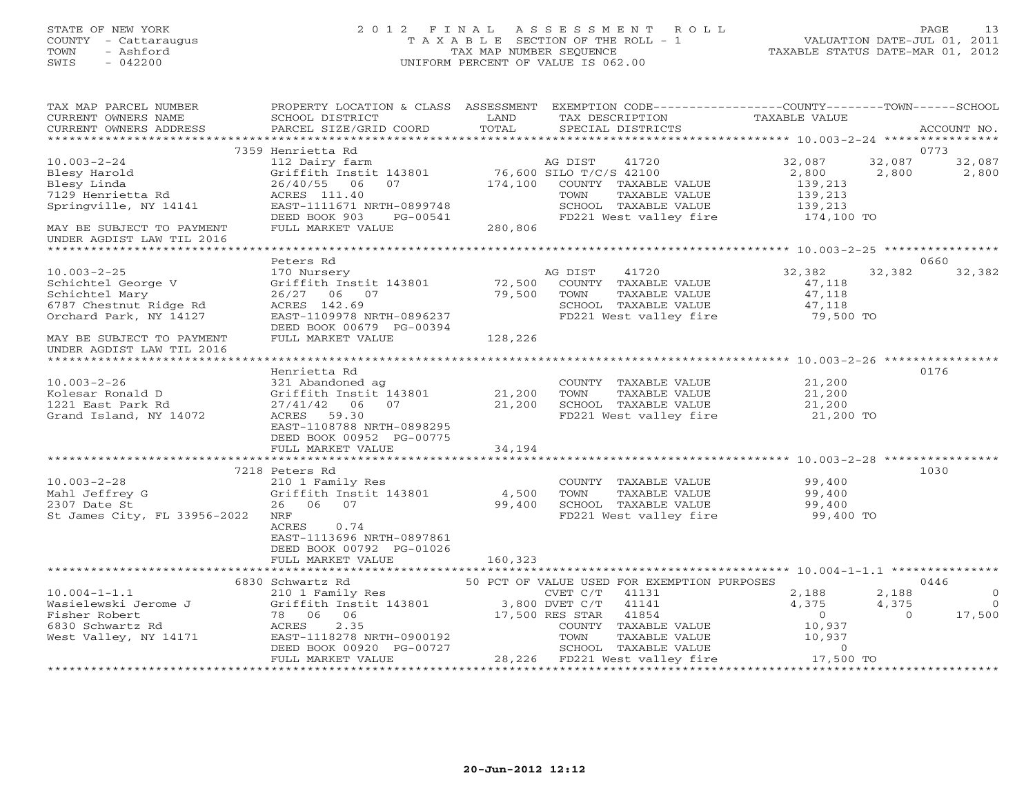## STATE OF NEW YORK 2 0 1 2 F I N A L A S S E S S M E N T R O L L PAGE 13 COUNTY - Cattaraugus T A X A B L E SECTION OF THE ROLL - 1 VALUATION DATE-JUL 01, 2011 TOWN - Ashford TAX MAP NUMBER SEQUENCE TAXABLE STATUS DATE-MAR 01, 2012 SWIS - 042200 UNIFORM PERCENT OF VALUE IS 062.00UNIFORM PERCENT OF VALUE IS 062.00

| TAX MAP PARCEL NUMBER<br>CURRENT OWNERS NAME<br>CURRENT OWNERS ADDRESS                                        | PROPERTY LOCATION & CLASS ASSESSMENT EXEMPTION CODE---------------COUNTY-------TOWN------SCHOOL<br>SCHOOL DISTRICT<br><b>Example 12 Distribution of the LAND</b><br>PARCEL SIZE/GRID COORD                                                 | TOTAL             |                 | TAX DESCRIPTION<br>SPECIAL DISTRICTS                                                             | TAXABLE VALUE                                                                |                            | ACCOUNT NO.                                |
|---------------------------------------------------------------------------------------------------------------|--------------------------------------------------------------------------------------------------------------------------------------------------------------------------------------------------------------------------------------------|-------------------|-----------------|--------------------------------------------------------------------------------------------------|------------------------------------------------------------------------------|----------------------------|--------------------------------------------|
|                                                                                                               |                                                                                                                                                                                                                                            |                   |                 |                                                                                                  |                                                                              |                            |                                            |
|                                                                                                               | 7359 Henrietta Rd                                                                                                                                                                                                                          |                   |                 |                                                                                                  |                                                                              |                            | 0773                                       |
| $10.003 - 2 - 24$<br>Blesy Harold<br>Blesy Linda<br>7129 Henrietta Rd                                         | 112 Dairy farm<br>112 Dairy farm<br>36/40/55 06 07 174,100 COUNTY TAXABLE<br>ACRES 111.40                                                                                                                                                  |                   | TOWN            | COUNTY TAXABLE VALUE<br>TAXABLE VALUE                                                            | 32,087<br>2,800<br>139,213<br>139,213                                        | 32,087<br>2,800            | 32,087<br>2,800                            |
| Springville, NY 14141                                                                                         | EAST-1111671 NRTH-0899748<br>DEED BOOK 903<br>PG-00541                                                                                                                                                                                     |                   |                 | SCHOOL TAXABLE VALUE<br>FD221 West valley fire                                                   | 139,213<br>174,100 TO                                                        |                            |                                            |
| MAY BE SUBJECT TO PAYMENT<br>UNDER AGDIST LAW TIL 2016                                                        | FULL MARKET VALUE                                                                                                                                                                                                                          | 280,806           |                 |                                                                                                  |                                                                              |                            |                                            |
|                                                                                                               | Peters Rd                                                                                                                                                                                                                                  |                   |                 |                                                                                                  |                                                                              |                            | 0660                                       |
| $10.003 - 2 - 25$<br>Schichtel George V<br>Schichtel Mary<br>6787 Chestnut Ridge Rd<br>Orchard Park, NY 14127 | 170 Nursery<br>Griffith Instit 143801 72,500<br>26/27 06 07<br>ACRES 142.69<br>EAST-1109978 NRTH-0896237<br>DEED BOOK 00679 PG-00394                                                                                                       | 79,500            | AG DIST<br>TOWN | 41720<br>COUNTY TAXABLE VALUE<br>TAXABLE VALUE<br>SCHOOL TAXABLE VALUE<br>FD221 West valley fire | 32,382<br>47,118<br>47,118<br>47,118<br>79,500 TO                            | 32,382                     | 32,382                                     |
| MAY BE SUBJECT TO PAYMENT<br>UNDER AGDIST LAW TIL 2016                                                        | FULL MARKET VALUE                                                                                                                                                                                                                          | 128,226           |                 |                                                                                                  |                                                                              |                            |                                            |
|                                                                                                               |                                                                                                                                                                                                                                            |                   |                 |                                                                                                  |                                                                              |                            |                                            |
| $10.003 - 2 - 26$<br>Kolesar Ronald D<br>1221 East Park Rd<br>Grand Island, NY 14072                          | Henrietta Rd<br>321 Abandoned ag<br>$Griffith$ Instit $143801$ 21,200<br>27/41/42<br>06 07<br>ACRES 59.30<br>EAST-1108788 NRTH-0898295<br>DEED BOOK 00952 PG-00775                                                                         | 21,200            | TOWN            | COUNTY TAXABLE VALUE<br>TAXABLE VALUE<br>SCHOOL TAXABLE VALUE<br>FD221 West valley fire          | 21,200<br>21,200<br>21,200<br>21,200 TO                                      |                            | 0176                                       |
|                                                                                                               | FULL MARKET VALUE                                                                                                                                                                                                                          | 34,194            |                 |                                                                                                  |                                                                              |                            |                                            |
|                                                                                                               |                                                                                                                                                                                                                                            |                   |                 |                                                                                                  |                                                                              |                            |                                            |
| $10.003 - 2 - 28$<br>Mahl Jeffrey G                                                                           | 7218 Peters Rd<br>210 1 Family Res<br>Griffith Instit 143801                                                                                                                                                                               | 4,500             | TOWN            | COUNTY TAXABLE VALUE<br>TAXABLE VALUE                                                            | 99,400<br>99,400                                                             |                            | 1030                                       |
| 2307 Date St<br>St James City, FL 33956-2022                                                                  | 26 06 07<br>NRF<br>0.74<br>ACRES<br>EAST-1113696 NRTH-0897861<br>DEED BOOK 00792 PG-01026<br>FULL MARKET VALUE                                                                                                                             | 99,400<br>160,323 |                 | SCHOOL TAXABLE VALUE<br>FD221 West valley fire                                                   | 99,400<br>99,400 TO                                                          |                            |                                            |
|                                                                                                               |                                                                                                                                                                                                                                            |                   |                 |                                                                                                  |                                                                              |                            |                                            |
|                                                                                                               | 6830 Schwartz Rd                                                                                                                                                                                                                           |                   |                 | 50 PCT OF VALUE USED FOR EXEMPTION PURPOSES                                                      |                                                                              |                            | 0446                                       |
| $10.004 - 1 - 1.1$<br>Wasielewski Jerome J<br>Fisher Robert<br>6830 Schwartz Rd<br>West Valley, NY 14171      | Schwartz Rd<br>210 1 Family Res<br>Schwartz ka<br>210 1 Family Res<br>Griffith Instit 143801 3,800 DVET C/T 41141<br>17,500 RES STAR 41854<br>COUNTY TAXABLE<br>EAST-1118278 NRTH-0900192<br>DEED BOOK 00920 PG-00727<br>FULL MARKET VALUE |                   | TOWN            | COUNTY TAXABLE VALUE<br>TAXABLE VALUE<br>SCHOOL TAXABLE VALUE<br>28,226 FD221 West valley fire   | 2,188<br>4,375<br>$\overline{0}$<br>10,937<br>10,937<br>$\circ$<br>17,500 TO | 2,188<br>4,375<br>$\Omega$ | $\overline{0}$<br>$\overline{0}$<br>17,500 |
|                                                                                                               |                                                                                                                                                                                                                                            |                   |                 |                                                                                                  |                                                                              |                            |                                            |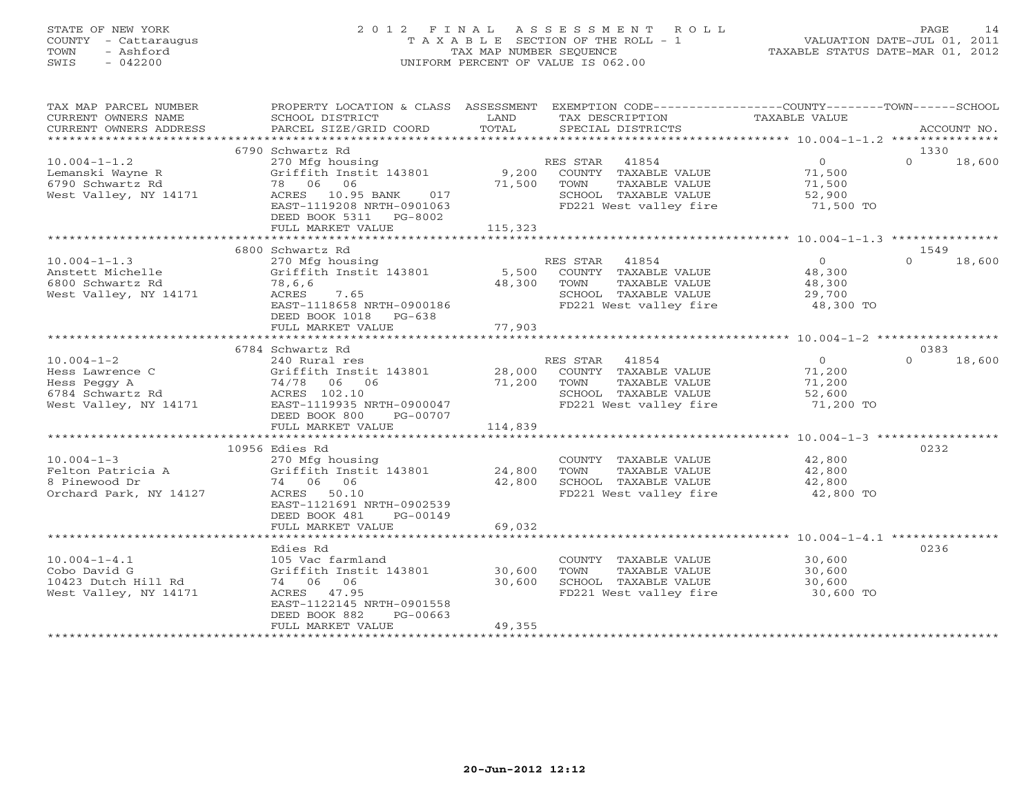## STATE OF NEW YORK 2 0 1 2 F I N A L A S S E S S M E N T R O L L PAGE 14 COUNTY - Cattaraugus T A X A B L E SECTION OF THE ROLL - 1 VALUATION DATE-JUL 01, 2011 TOWN - Ashford TAX MAP NUMBER SEQUENCE TAXABLE STATUS DATE-MAR 01, 2012 SWIS - 042200 UNIFORM PERCENT OF VALUE IS 062.00UNIFORM PERCENT OF VALUE IS 062.00

| TAX MAP PARCEL NUMBER<br>CURRENT OWNERS NAME<br>CURRENT OWNERS ADDRESS              | PROPERTY LOCATION & CLASS ASSESSMENT EXEMPTION CODE---------------COUNTY-------TOWN------SCHOOL<br>SCHOOL DISTRICT<br>PARCEL SIZE/GRID COORD                                         | LAND<br>TOTAL     | TAX DESCRIPTION<br>SPECIAL DISTRICTS                                                                                        | TAXABLE VALUE                                             | ACCOUNT NO.        |
|-------------------------------------------------------------------------------------|--------------------------------------------------------------------------------------------------------------------------------------------------------------------------------------|-------------------|-----------------------------------------------------------------------------------------------------------------------------|-----------------------------------------------------------|--------------------|
|                                                                                     |                                                                                                                                                                                      |                   |                                                                                                                             |                                                           |                    |
|                                                                                     | 6790 Schwartz Rd                                                                                                                                                                     |                   |                                                                                                                             |                                                           | 1330               |
| $10.004 - 1 - 1.2$<br>Lemanski Wayne R<br>6790 Schwartz Rd<br>West Valley, NY 14171 | 270 Mfg housing<br>Griffith Instit 143801 9,200 COUNTY TAXABLE VALUE<br>78 06 06<br>ACRES 10.95 BANK 017<br>EAST-1119208 NRTH-0901063<br>DEED BOOK 5311 PG-8002<br>FULL MARKET VALUE | 71,500<br>115,323 | RES STAR 41854<br>TOWN<br>TAXABLE VALUE<br>SCHOOL TAXABLE VALUE<br>FD221 West valley fire                                   | $\overline{0}$<br>71,500<br>71,500<br>52,900<br>71,500 TO | $\Omega$<br>18,600 |
|                                                                                     |                                                                                                                                                                                      |                   |                                                                                                                             |                                                           |                    |
|                                                                                     | 6800 Schwartz Rd                                                                                                                                                                     |                   |                                                                                                                             |                                                           | 1549               |
| $10.004 - 1 - 1.3$<br>Anstett Michelle<br>6800 Schwartz Rd<br>West Valley, NY 14171 | 270 Mfg housing<br>Griffith Instit 143801 5,500 COUNTY TAXABLE VALUE<br>78,6,6<br>7.65<br>ACRES<br>EAST-1118658 NRTH-0900186<br>DEED BOOK 1018 PG-638<br>FULL MARKET VALUE           | 48,300<br>77,903  | RES STAR 41854<br>TAXABLE VALUE<br>TOWN<br>SCHOOL TAXABLE VALUE<br>FD221 West valley fire                                   | $\overline{0}$<br>48,300<br>48,300<br>29,700<br>48,300 TO | $\cap$<br>18,600   |
|                                                                                     |                                                                                                                                                                                      |                   |                                                                                                                             |                                                           |                    |
|                                                                                     | 6784 Schwartz Rd                                                                                                                                                                     |                   |                                                                                                                             |                                                           | 0383               |
| West Valley, NY 14171 EAST-1119935 NRTH-0900047                                     | DEED BOOK 800<br>PG-00707                                                                                                                                                            |                   | RES STAR 41854<br>COUNTY TAXABLE VALUE<br>TAXABLE VALUE<br>TOWN<br>SCHOOL TAXABLE VALUE<br>FD221 West valley fire 71,200 TO | $\overline{O}$<br>71,200<br>71,200<br>52,600              | $\Omega$<br>18,600 |
|                                                                                     | FULL MARKET VALUE                                                                                                                                                                    | 114,839           |                                                                                                                             |                                                           |                    |
|                                                                                     | 10956 Edies Rd                                                                                                                                                                       |                   |                                                                                                                             |                                                           | 0232               |
| $10.004 - 1 - 3$<br>Felton Patricia A<br>8 Pinewood Dr<br>Orchard Park, NY 14127    | 270 Mfg housing<br>Griffith Instit 143801 24,800<br>74 06 06<br>ACRES 50.10<br>EAST-1121691 NRTH-0902539<br>DEED BOOK 481<br>PG-00149                                                | 42,800            | COUNTY TAXABLE VALUE<br>TAXABLE VALUE<br>TOWN<br>SCHOOL TAXABLE VALUE<br>FD221 West valley fire                             | 42,800<br>42,800<br>42,800<br>42,800 TO                   |                    |
|                                                                                     | FULL MARKET VALUE                                                                                                                                                                    | 69,032            |                                                                                                                             |                                                           |                    |
| $10.004 - 1 - 4.1$<br>Cobo David G<br>10423 Dutch Hill Rd<br>West Valley, NY 14171  | Edies Rd<br>105 Vac farmland<br>Griffith Instit 143801 30,600<br>74 06 06<br>ACRES 47.95<br>EAST-1122145 NRTH-0901558<br>DEED BOOK 882<br>PG-00663<br>FULL MARKET VALUE              | 30,600<br>49,355  | COUNTY TAXABLE VALUE 30,600<br>TOWN<br>TAXABLE VALUE<br>SCHOOL TAXABLE VALUE<br>FD221 West valley fire 30,600 TO            | 30,600<br>30,600                                          | 0236               |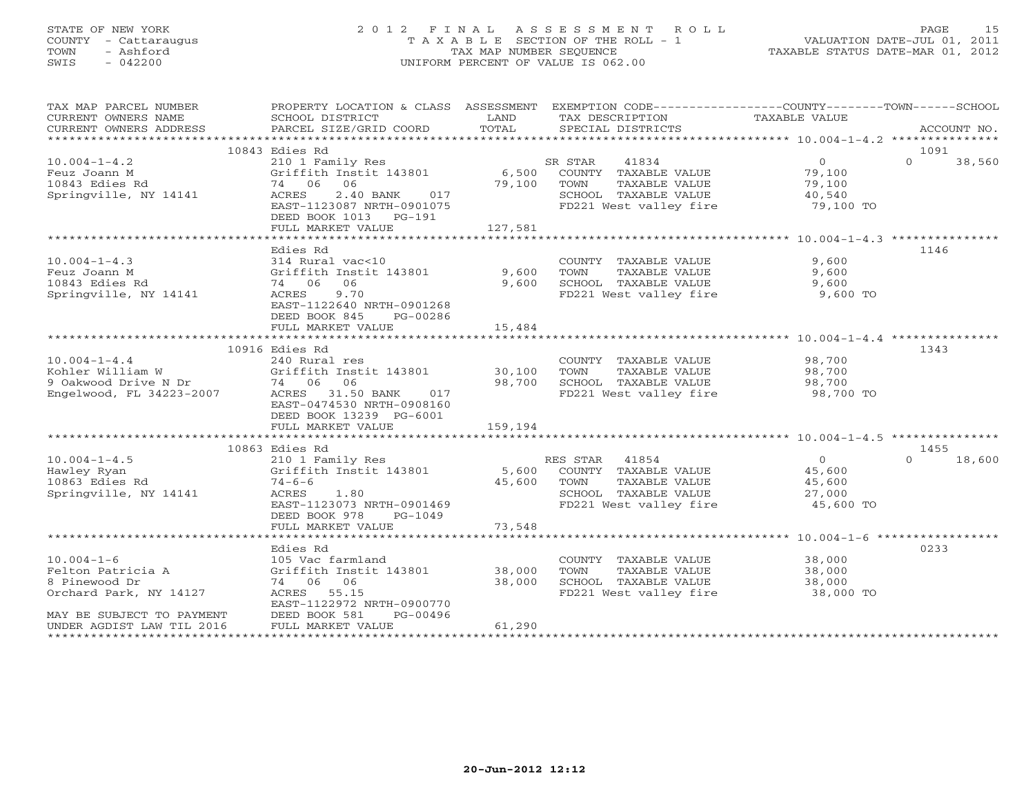## STATE OF NEW YORK 2 0 1 2 F I N A L A S S E S S M E N T R O L L PAGE 15 COUNTY - Cattaraugus T A X A B L E SECTION OF THE ROLL - 1 VALUATION DATE-JUL 01, 2011 TOWN - Ashford TAX MAP NUMBER SEQUENCE TAXABLE STATUS DATE-MAR 01, 2012 SWIS - 042200 UNIFORM PERCENT OF VALUE IS 062.00UNIFORM PERCENT OF VALUE IS 062.00

| TAX MAP PARCEL NUMBER                                                                                                                                                                                                                                                                                                                                                                                                                                                                                                  |                                |         | PROPERTY LOCATION & CLASS ASSESSMENT EXEMPTION CODE---------------COUNTY-------TOWN------SCHOOL |                  |                    |
|------------------------------------------------------------------------------------------------------------------------------------------------------------------------------------------------------------------------------------------------------------------------------------------------------------------------------------------------------------------------------------------------------------------------------------------------------------------------------------------------------------------------|--------------------------------|---------|-------------------------------------------------------------------------------------------------|------------------|--------------------|
| CURRENT OWNERS NAME                                                                                                                                                                                                                                                                                                                                                                                                                                                                                                    | SCHOOL DISTRICT                | LAND    | TAX DESCRIPTION                                                                                 | TAXABLE VALUE    |                    |
| $\begin{minipage}{.45\textwidth} \begin{minipage}{.45\textwidth} \begin{minipage}{.45\textwidth} \begin{minipage}{.45\textwidth} \begin{minipage}{.45\textwidth} \begin{minipage}{.45\textwidth} \begin{minipage}{.45\textwidth} \begin{minipage}{.45\textwidth} \begin{minipage}{.45\textwidth} \begin{minipage}{.45\textwidth} \begin{minipage}{.45\textwidth} \begin{minipage}{.45\textwidth} \begin{minipage}{.45\textwidth} \begin{minipage}{.45\textwidth} \begin{minipage}{.45\textwidth} \begin{minipage}{.45$ |                                |         |                                                                                                 |                  |                    |
|                                                                                                                                                                                                                                                                                                                                                                                                                                                                                                                        |                                |         |                                                                                                 |                  |                    |
|                                                                                                                                                                                                                                                                                                                                                                                                                                                                                                                        | 10843 Edies Rd                 |         |                                                                                                 |                  | 1091               |
| $10.004 - 1 - 4.2$                                                                                                                                                                                                                                                                                                                                                                                                                                                                                                     | 210 1 Family Res               |         | 41834<br>SR STAR                                                                                | $\overline{0}$   | $\Omega$<br>38,560 |
| Feuz Joann M                                                                                                                                                                                                                                                                                                                                                                                                                                                                                                           | Griffith Instit 143801         |         | $6,500$ COUNTY TAXABLE VALUE                                                                    | 79,100<br>79,100 |                    |
| 10843 Edies Rd                                                                                                                                                                                                                                                                                                                                                                                                                                                                                                         | 74 06 06                       |         | 79,100 TOWN TAXABLE VALUE                                                                       |                  |                    |
| Springville, NY 14141                                                                                                                                                                                                                                                                                                                                                                                                                                                                                                  | 2.40 BANK 017<br>ACRES         |         | SCHOOL TAXABLE VALUE                                                                            | 40,540           |                    |
|                                                                                                                                                                                                                                                                                                                                                                                                                                                                                                                        | EAST-1123087 NRTH-0901075      |         | FD221 West valley fire                                                                          | $40,310$ TO      |                    |
|                                                                                                                                                                                                                                                                                                                                                                                                                                                                                                                        | DEED BOOK 1013 PG-191          |         |                                                                                                 |                  |                    |
|                                                                                                                                                                                                                                                                                                                                                                                                                                                                                                                        | FULL MARKET VALUE              | 127,581 |                                                                                                 |                  |                    |
|                                                                                                                                                                                                                                                                                                                                                                                                                                                                                                                        |                                |         |                                                                                                 |                  |                    |
|                                                                                                                                                                                                                                                                                                                                                                                                                                                                                                                        | Edies Rd                       |         |                                                                                                 |                  | 1146               |
| $10.004 - 1 - 4.3$                                                                                                                                                                                                                                                                                                                                                                                                                                                                                                     | 314 Rural vac<10               |         | COUNTY TAXABLE VALUE                                                                            | 9,600            |                    |
| Feuz Joann M                                                                                                                                                                                                                                                                                                                                                                                                                                                                                                           | Griffith Instit 143801         | 9,600   | TOWN TAXABLE VALUE                                                                              | 9,600            |                    |
| 10843 Edies Rd                                                                                                                                                                                                                                                                                                                                                                                                                                                                                                         | 74 06 06                       | 9,600   | SCHOOL TAXABLE VALUE                                                                            | 9,600            |                    |
| Springville, NY 14141                                                                                                                                                                                                                                                                                                                                                                                                                                                                                                  | 9.70<br>ACRES                  |         | FD221 West valley fire 9,600 TO                                                                 |                  |                    |
|                                                                                                                                                                                                                                                                                                                                                                                                                                                                                                                        | EAST-1122640 NRTH-0901268      |         |                                                                                                 |                  |                    |
|                                                                                                                                                                                                                                                                                                                                                                                                                                                                                                                        | DEED BOOK 845<br>PG-00286      |         |                                                                                                 |                  |                    |
|                                                                                                                                                                                                                                                                                                                                                                                                                                                                                                                        | FULL MARKET VALUE              | 15,484  |                                                                                                 |                  |                    |
|                                                                                                                                                                                                                                                                                                                                                                                                                                                                                                                        |                                |         |                                                                                                 |                  |                    |
|                                                                                                                                                                                                                                                                                                                                                                                                                                                                                                                        | 10916 Edies Rd                 |         |                                                                                                 |                  | 1343               |
| $10.004 - 1 - 4.4$                                                                                                                                                                                                                                                                                                                                                                                                                                                                                                     |                                |         | COUNTY TAXABLE VALUE                                                                            | 98,700           |                    |
| Kohler William W                                                                                                                                                                                                                                                                                                                                                                                                                                                                                                       |                                |         |                                                                                                 | 98,700           |                    |
| 9 Oakwood Drive N Dr 74 - 06 06<br>Engelwood, FL 34223-2007 - ACRES 31.50                                                                                                                                                                                                                                                                                                                                                                                                                                              |                                |         | 98,700 SCHOOL TAXABLE VALUE 98,700<br>98,700 FD221 West valley fire 98,700 TO                   |                  |                    |
|                                                                                                                                                                                                                                                                                                                                                                                                                                                                                                                        | ACRES 31.50 BANK 017           |         |                                                                                                 |                  |                    |
|                                                                                                                                                                                                                                                                                                                                                                                                                                                                                                                        | EAST-0474530 NRTH-0908160      |         |                                                                                                 |                  |                    |
|                                                                                                                                                                                                                                                                                                                                                                                                                                                                                                                        | DEED BOOK 13239 PG-6001        |         |                                                                                                 |                  |                    |
|                                                                                                                                                                                                                                                                                                                                                                                                                                                                                                                        | FULL MARKET VALUE              | 159,194 |                                                                                                 |                  |                    |
|                                                                                                                                                                                                                                                                                                                                                                                                                                                                                                                        |                                |         |                                                                                                 |                  |                    |
|                                                                                                                                                                                                                                                                                                                                                                                                                                                                                                                        | 10863 Edies Rd                 |         |                                                                                                 |                  | 1455               |
| $10.004 - 1 - 4.5$                                                                                                                                                                                                                                                                                                                                                                                                                                                                                                     | 210 1 Family Res               |         | RES STAR 41854                                                                                  | $\overline{0}$   | $\Omega$<br>18,600 |
| Hawley Ryan                                                                                                                                                                                                                                                                                                                                                                                                                                                                                                            | Griffith Instit $143801$ 5,600 |         | COUNTY TAXABLE VALUE 45,600                                                                     |                  |                    |
| 10863 Edies Rd                                                                                                                                                                                                                                                                                                                                                                                                                                                                                                         | $74 - 6 - 6$                   | 45,600  | TOWN      TAXABLE VALUE<br>SCHOOL   TAXABLE VALUE<br>TOWN                                       | 45,600           |                    |
| Springville, NY 14141                                                                                                                                                                                                                                                                                                                                                                                                                                                                                                  | ACRES 1.80                     |         |                                                                                                 | 45,600<br>27,000 |                    |
|                                                                                                                                                                                                                                                                                                                                                                                                                                                                                                                        | EAST-1123073 NRTH-0901469      |         | FD221 West valley fire 45,600 TO                                                                |                  |                    |
|                                                                                                                                                                                                                                                                                                                                                                                                                                                                                                                        | DEED BOOK 978 PG-1049          |         |                                                                                                 |                  |                    |
|                                                                                                                                                                                                                                                                                                                                                                                                                                                                                                                        | FULL MARKET VALUE              | 73,548  |                                                                                                 |                  |                    |
|                                                                                                                                                                                                                                                                                                                                                                                                                                                                                                                        |                                |         |                                                                                                 |                  |                    |
|                                                                                                                                                                                                                                                                                                                                                                                                                                                                                                                        | Edies Rd                       |         |                                                                                                 |                  | 0233               |
| $10.004 - 1 - 6$                                                                                                                                                                                                                                                                                                                                                                                                                                                                                                       | 105 Vac farmland               |         | COUNTY TAXABLE VALUE 38,000                                                                     |                  |                    |
| Felton Patricia A                                                                                                                                                                                                                                                                                                                                                                                                                                                                                                      | Griffith Instit 143801 38,000  |         | TAXABLE VALUE 38,000<br>TOWN                                                                    |                  |                    |
| 8 Pinewood Dr                                                                                                                                                                                                                                                                                                                                                                                                                                                                                                          | 74 06 06                       | 38,000  | SCHOOL TAXABLE VALUE 38,000<br>FD221 West valley fire 38,000 TO                                 |                  |                    |
| Orchard Park, NY 14127                                                                                                                                                                                                                                                                                                                                                                                                                                                                                                 | ACRES 55.15                    |         |                                                                                                 |                  |                    |
|                                                                                                                                                                                                                                                                                                                                                                                                                                                                                                                        | EAST-1122972 NRTH-0900770      |         |                                                                                                 |                  |                    |
| MAY BE SUBJECT TO PAYMENT                                                                                                                                                                                                                                                                                                                                                                                                                                                                                              | DEED BOOK 581<br>PG-00496      |         |                                                                                                 |                  |                    |
| UNDER AGDIST LAW TIL 2016                                                                                                                                                                                                                                                                                                                                                                                                                                                                                              | FULL MARKET VALUE              | 61,290  |                                                                                                 |                  |                    |
|                                                                                                                                                                                                                                                                                                                                                                                                                                                                                                                        |                                |         |                                                                                                 |                  |                    |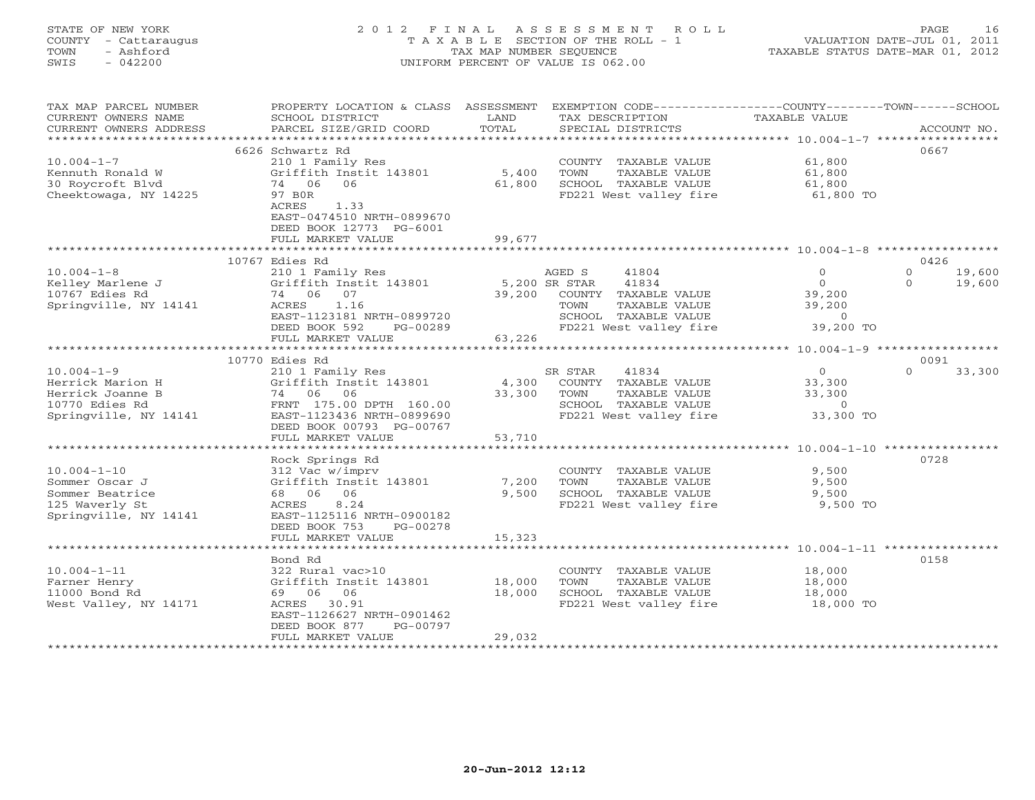## STATE OF NEW YORK 2 0 1 2 F I N A L A S S E S S M E N T R O L L PAGE 16 COUNTY - Cattaraugus T A X A B L E SECTION OF THE ROLL - 1 VALUATION DATE-JUL 01, 2011 TOWN - Ashford TAX MAP NUMBER SEQUENCE TAXABLE STATUS DATE-MAR 01, 2012 SWIS - 042200 UNIFORM PERCENT OF VALUE IS 062.00UNIFORM PERCENT OF VALUE IS 062.00

| TAX MAP PARCEL NUMBER<br>CURRENT OWNERS NAME<br>CURRENT OWNERS ADDRESS | PROPERTY LOCATION & CLASS ASSESSMENT<br>SCHOOL DISTRICT<br>PARCEL SIZE/GRID COORD | LAND<br>TOTAL | EXEMPTION CODE----------------COUNTY-------TOWN-----SCHOOL<br>TAX DESCRIPTION<br>SPECIAL DISTRICTS | TAXABLE VALUE                                         | ACCOUNT NO.        |
|------------------------------------------------------------------------|-----------------------------------------------------------------------------------|---------------|----------------------------------------------------------------------------------------------------|-------------------------------------------------------|--------------------|
| *******************                                                    |                                                                                   |               |                                                                                                    |                                                       |                    |
|                                                                        | 6626 Schwartz Rd                                                                  |               |                                                                                                    |                                                       | 0667               |
| $10.004 - 1 - 7$                                                       | 210 1 Family Res                                                                  |               | COUNTY TAXABLE VALUE                                                                               | 61,800                                                |                    |
| Kennuth Ronald W                                                       | Griffith Instit 143801                                                            | 5,400         | TOWN<br>TAXABLE VALUE                                                                              | 61,800                                                |                    |
| 30 Roycroft Blvd                                                       | 74 06<br>06                                                                       | 61,800        | SCHOOL TAXABLE VALUE                                                                               | 61,800                                                |                    |
| Cheektowaga, NY 14225                                                  | 97 BOR                                                                            |               | FD221 West valley fire                                                                             | 61,800 TO                                             |                    |
|                                                                        | 1.33<br>ACRES                                                                     |               |                                                                                                    |                                                       |                    |
|                                                                        | EAST-0474510 NRTH-0899670                                                         |               |                                                                                                    |                                                       |                    |
|                                                                        | DEED BOOK 12773 PG-6001                                                           |               |                                                                                                    |                                                       |                    |
|                                                                        | FULL MARKET VALUE                                                                 | 99,677        |                                                                                                    |                                                       |                    |
|                                                                        |                                                                                   |               |                                                                                                    |                                                       |                    |
|                                                                        | 10767 Edies Rd                                                                    |               |                                                                                                    |                                                       | 0426               |
| $10.004 - 1 - 8$                                                       | 210 1 Family Res                                                                  |               | AGED S<br>41804                                                                                    | $\Omega$                                              | $\Omega$<br>19,600 |
| Kelley Marlene J                                                       | Griffith Instit 143801                                                            |               | 41834<br>5,200 SR STAR                                                                             | $\circ$                                               | $\Omega$<br>19,600 |
| 10767 Edies Rd                                                         | 74 06<br>07                                                                       | 39,200        | COUNTY TAXABLE VALUE                                                                               | 39,200                                                |                    |
| Springville, NY 14141                                                  | ACRES<br>1.16                                                                     |               | TAXABLE VALUE<br>TOWN                                                                              | 39,200                                                |                    |
|                                                                        | EAST-1123181 NRTH-0899720                                                         |               | SCHOOL TAXABLE VALUE                                                                               | $\Omega$                                              |                    |
|                                                                        | DEED BOOK 592<br>PG-00289                                                         |               | FD221 West valley fire                                                                             | 39,200 TO                                             |                    |
|                                                                        | FULL MARKET VALUE                                                                 | 63,226        |                                                                                                    |                                                       |                    |
|                                                                        |                                                                                   |               |                                                                                                    |                                                       |                    |
|                                                                        | 10770 Edies Rd                                                                    |               |                                                                                                    |                                                       | 0091               |
|                                                                        |                                                                                   |               | 41834                                                                                              | $\circ$                                               | $\Omega$           |
| $10.004 - 1 - 9$                                                       | 210 1 Family Res                                                                  |               | SR STAR                                                                                            |                                                       | 33,300             |
| Herrick Marion H                                                       | Griffith Instit 143801                                                            | 4,300         | COUNTY TAXABLE VALUE                                                                               | 33,300                                                |                    |
| Herrick Joanne B                                                       | 74 06 06                                                                          | 33,300        | TOWN<br>TAXABLE VALUE                                                                              | 33,300                                                |                    |
| 10770 Edies Rd                                                         | FRNT 175.00 DPTH 160.00                                                           |               | SCHOOL TAXABLE VALUE                                                                               | $\circ$                                               |                    |
| Springville, NY 14141                                                  | EAST-1123436 NRTH-0899690                                                         |               | FD221 West valley fire                                                                             | 33,300 TO                                             |                    |
|                                                                        | DEED BOOK 00793 PG-00767                                                          |               |                                                                                                    |                                                       |                    |
|                                                                        | FULL MARKET VALUE                                                                 | 53,710        |                                                                                                    |                                                       |                    |
|                                                                        |                                                                                   | ************* |                                                                                                    |                                                       |                    |
|                                                                        | Rock Springs Rd                                                                   |               |                                                                                                    |                                                       | 0728               |
| $10.004 - 1 - 10$                                                      | 312 Vac w/imprv                                                                   |               | COUNTY TAXABLE VALUE                                                                               | 9,500                                                 |                    |
| Sommer Oscar J                                                         | Griffith Instit 143801                                                            | 7,200         | TOWN<br>TAXABLE VALUE                                                                              | 9,500                                                 |                    |
| Sommer Beatrice                                                        | 68 06 06                                                                          | 9,500         | SCHOOL TAXABLE VALUE                                                                               | 9,500                                                 |                    |
| 125 Waverly St                                                         | 8.24<br>ACRES                                                                     |               | FD221 West valley fire                                                                             | 9,500 TO                                              |                    |
| Springville, NY 14141                                                  | EAST-1125116 NRTH-0900182                                                         |               |                                                                                                    |                                                       |                    |
|                                                                        | DEED BOOK 753<br>PG-00278                                                         |               |                                                                                                    |                                                       |                    |
|                                                                        | FULL MARKET VALUE                                                                 | 15,323        |                                                                                                    |                                                       |                    |
|                                                                        | ******************                                                                |               |                                                                                                    | ******************************* 10.004-1-11 ********* |                    |
|                                                                        | Bond Rd                                                                           |               |                                                                                                    |                                                       | 0158               |
| $10.004 - 1 - 11$                                                      | 322 Rural vac>10                                                                  |               | COUNTY TAXABLE VALUE                                                                               | 18,000                                                |                    |
| Farner Henry                                                           | Griffith Instit 143801                                                            | 18,000        | TOWN<br>TAXABLE VALUE                                                                              | 18,000                                                |                    |
| 11000 Bond Rd                                                          | 69 06 06                                                                          | 18,000        | SCHOOL TAXABLE VALUE                                                                               | 18,000                                                |                    |
| West Valley, NY 14171                                                  | ACRES<br>30.91                                                                    |               | FD221 West valley fire                                                                             | 18,000 TO                                             |                    |
|                                                                        | EAST-1126627 NRTH-0901462                                                         |               |                                                                                                    |                                                       |                    |
|                                                                        | DEED BOOK 877<br>PG-00797                                                         |               |                                                                                                    |                                                       |                    |
|                                                                        | FULL MARKET VALUE                                                                 | 29,032        |                                                                                                    |                                                       |                    |
|                                                                        |                                                                                   |               |                                                                                                    |                                                       |                    |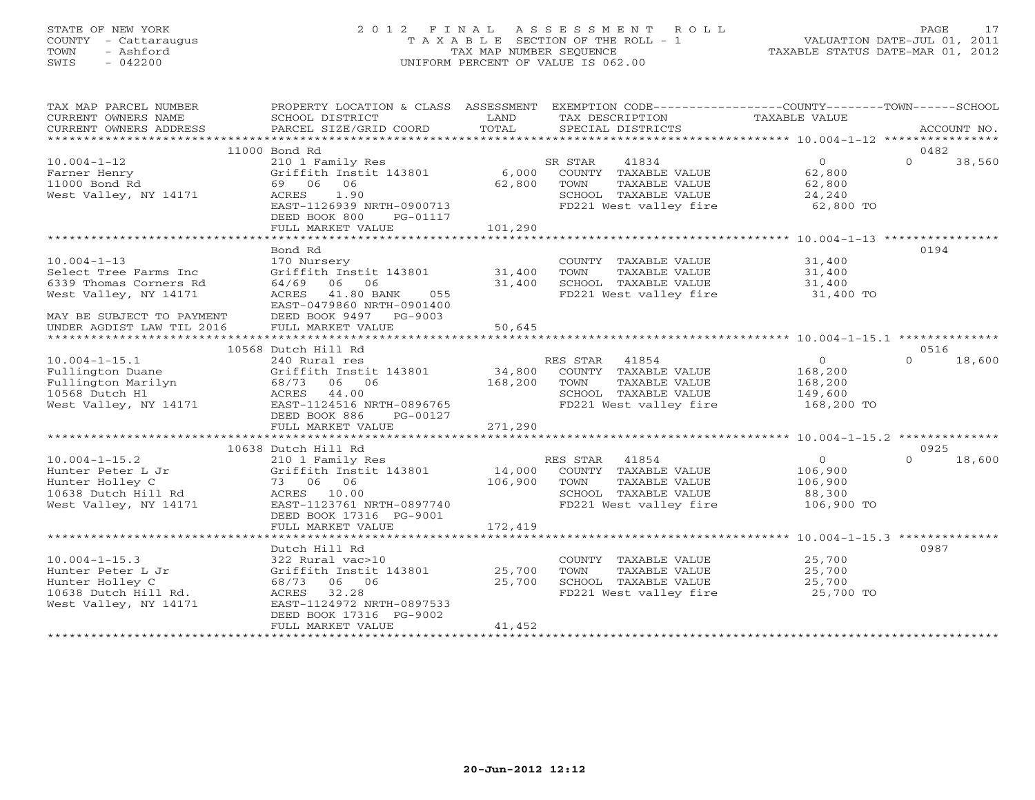## STATE OF NEW YORK 2 0 1 2 F I N A L A S S E S S M E N T R O L L PAGE 17 COUNTY - Cattaraugus T A X A B L E SECTION OF THE ROLL - 1 VALUATION DATE-JUL 01, 2011 TOWN - Ashford TAX MAP NUMBER SEQUENCE TAXABLE STATUS DATE-MAR 01, 2012 SWIS - 042200 UNIFORM PERCENT OF VALUE IS 062.00UNIFORM PERCENT OF VALUE IS 062.00

| TAX MAP PARCEL NUMBER<br>CURRENT OWNERS NAME<br>CURRENT OWNERS ADDRESS                                                     | SCHOOL DISTRICT<br>PARCEL SIZE/GRID COORD                                                                                                              | LAND<br>TOTAL              | PROPERTY LOCATION & CLASS ASSESSMENT EXEMPTION CODE---------------COUNTY-------TOWN------SCHOOL<br>TAX DESCRIPTION<br>SPECIAL DISTRICTS | TAXABLE VALUE                                             | ACCOUNT NO.                |
|----------------------------------------------------------------------------------------------------------------------------|--------------------------------------------------------------------------------------------------------------------------------------------------------|----------------------------|-----------------------------------------------------------------------------------------------------------------------------------------|-----------------------------------------------------------|----------------------------|
|                                                                                                                            | 11000 Bond Rd                                                                                                                                          |                            |                                                                                                                                         |                                                           | 0482                       |
| $10.004 - 1 - 12$<br>Farner Henry<br>11000 Bond Rd<br>West Valley, NY 14171                                                | 210 1 Family Res<br>Griffith Instit 143801<br>69 06 06<br>ACRES<br>1.90<br>EAST-1126939 NRTH-0900713<br>DEED BOOK 800<br>PG-01117<br>FULL MARKET VALUE | 6,000<br>62,800<br>101,290 | 41834<br>SR STAR<br>COUNTY TAXABLE VALUE<br>TOWN<br>TAXABLE VALUE<br>SCHOOL TAXABLE VALUE<br>FD221 West valley fire                     | $\overline{0}$<br>62,800<br>62,800<br>24,240<br>62,800 TO | $\Omega$<br>38,560         |
|                                                                                                                            |                                                                                                                                                        |                            |                                                                                                                                         |                                                           |                            |
| $10.004 - 1 - 13$<br>Select Tree Farms Inc<br>6339 Thomas Corners Rd<br>West Valley, NY 14171<br>MAY BE SUBJECT TO PAYMENT | Bond Rd<br>170 Nursery<br>Griffith Instit 143801<br>64/69 06 06<br>ACRES 41.80 BANK 055<br>EAST-0479860 NRTH-0901400<br>DEED BOOK 9497 PG-9003         | 31,400<br>31,400           | COUNTY TAXABLE VALUE<br>TOWN<br>TAXABLE VALUE<br>SCHOOL TAXABLE VALUE<br>FD221 West valley fire                                         | 31,400<br>31,400<br>31,400<br>31,400 TO                   | 0194                       |
| UNDER AGDIST LAW TIL 2016                                                                                                  | FULL MARKET VALUE                                                                                                                                      | 50,645                     |                                                                                                                                         |                                                           |                            |
|                                                                                                                            |                                                                                                                                                        |                            |                                                                                                                                         |                                                           |                            |
| $10.004 - 1 - 15.1$                                                                                                        | 10568 Dutch Hill Rd<br>240 Rural res                                                                                                                   |                            | RES STAR<br>41854                                                                                                                       | $\overline{0}$                                            | 0516<br>$\Omega$<br>18,600 |
| Fullington Duane<br>Fullington Marilyn<br>10568 Dutch H1<br>West Valley, NY 14171                                          | Griffith Instit 143801<br>68/73 06 06<br>ACRES 44.00<br>EAST-1124516 NRTH-0896765<br>DEED BOOK 886<br>PG-00127                                         | 34,800<br>168,200          | COUNTY TAXABLE VALUE<br>TOWN<br>TAXABLE VALUE<br>SCHOOL TAXABLE VALUE<br>FD221 West valley fire                                         | 168,200<br>168,200<br>149,600<br>168,200 TO               |                            |
|                                                                                                                            | FULL MARKET VALUE                                                                                                                                      | 271,290                    |                                                                                                                                         |                                                           |                            |
|                                                                                                                            | 10638 Dutch Hill Rd                                                                                                                                    |                            |                                                                                                                                         |                                                           | 0925                       |
| $10.004 - 1 - 15.2$<br>Hunter Peter L Jr<br>Hunter Holley C<br>10638 Dutch Hill Rd<br>West Valley, NY 14171                | 210 1 Family Res<br>Griffith Instit 143801<br>73 06 06<br>ACRES 10.00<br>EAST-1123761 NRTH-0897740<br>DEED BOOK 17316 PG-9001                          | 14,000<br>106,900          | RES STAR 41854<br>COUNTY TAXABLE VALUE<br>TAXABLE VALUE<br>TOWN<br>SCHOOL TAXABLE VALUE<br>FD221 West valley fire                       | $\Omega$<br>106,900<br>106,900<br>88,300<br>106,900 TO    | 18,600<br>$\Omega$         |
|                                                                                                                            | FULL MARKET VALUE                                                                                                                                      | 172,419                    |                                                                                                                                         |                                                           |                            |
| $10.004 - 1 - 15.3$<br>Hunter Peter L Jr<br>Hunter Holley C                                                                | Dutch Hill Rd<br>322 Rural vac>10<br>Griffith Instit 143801 25,700<br>68/73 06 06                                                                      | 25,700                     | COUNTY TAXABLE VALUE<br>TOWN<br>TAXABLE VALUE<br>SCHOOL TAXABLE VALUE                                                                   | 25,700<br>25,700<br>25,700                                | 0987                       |
| 10638 Dutch Hill Rd.<br>West Valley, NY 14171                                                                              | ACRES 32.28<br>EAST-1124972 NRTH-0897533<br>DEED BOOK 17316 PG-9002<br>FULL MARKET VALUE                                                               | 41,452                     | FD221 West valley fire                                                                                                                  | 25,700 TO                                                 |                            |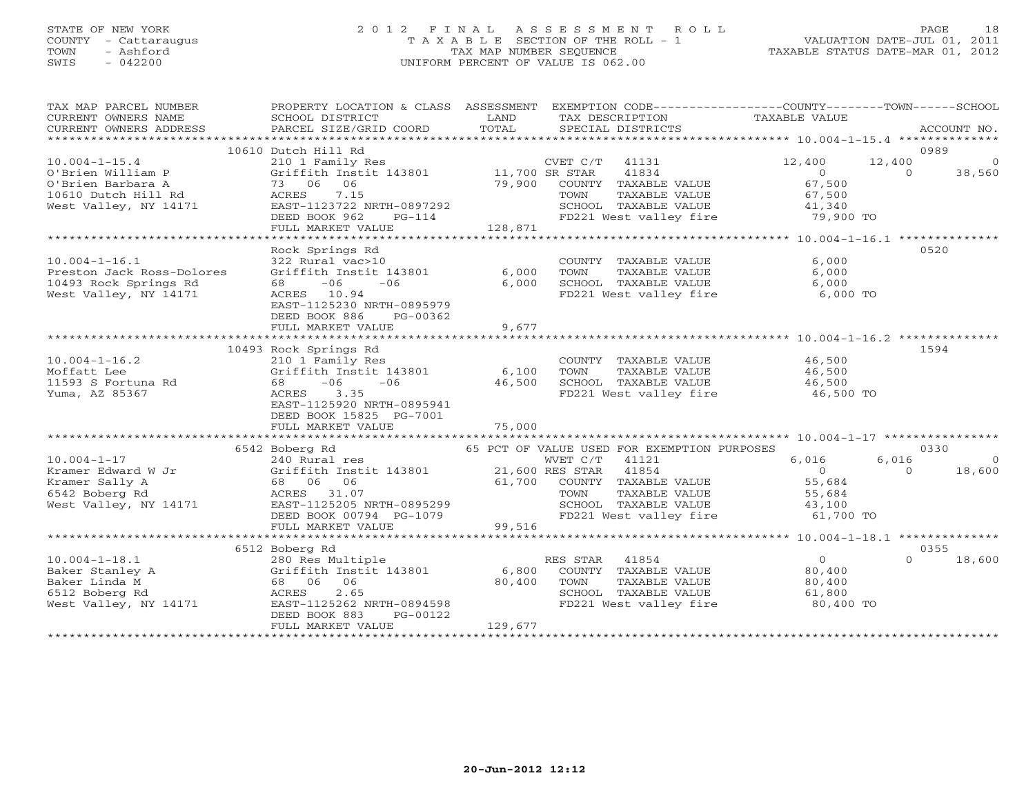## STATE OF NEW YORK 2 0 1 2 F I N A L A S S E S S M E N T R O L L PAGE 18 COUNTY - Cattaraugus T A X A B L E SECTION OF THE ROLL - 1 VALUATION DATE-JUL 01, 2011 TOWN - Ashford TAX MAP NUMBER SEQUENCE TAXABLE STATUS DATE-MAR 01, 2012 SWIS - 042200 UNIFORM PERCENT OF VALUE IS 062.00UNIFORM PERCENT OF VALUE IS 062.00

| TAX MAP PARCEL NUMBER<br>CURRENT OWNERS NAME<br>CURRENT OWNERS ADDRESS | PROPERTY LOCATION & CLASS ASSESSMENT<br>SCHOOL DISTRICT<br>PARCEL SIZE/GRID COORD | LAND<br>TOTAL | EXEMPTION CODE-----------------COUNTY-------TOWN------SCHOOL<br>TAX DESCRIPTION<br>SPECIAL DISTRICTS | TAXABLE VALUE  | ACCOUNT NO.             |
|------------------------------------------------------------------------|-----------------------------------------------------------------------------------|---------------|------------------------------------------------------------------------------------------------------|----------------|-------------------------|
|                                                                        |                                                                                   |               |                                                                                                      |                |                         |
|                                                                        | 10610 Dutch Hill Rd                                                               |               |                                                                                                      |                | 0989                    |
| $10.004 - 1 - 15.4$                                                    | 210 1 Family Res                                                                  |               | CVET $C/T$ 41131                                                                                     | 12,400         | 12,400<br>$\circ$       |
| O'Brien William P                                                      | Griffith Instit 143801 11,700 SR STAR                                             |               | 41834                                                                                                | $\overline{0}$ | 38,560<br>$\Omega$      |
| O'Brien Barbara A                                                      | 73 06 06                                                                          | 79,900        | COUNTY TAXABLE VALUE                                                                                 | 67,500         |                         |
| 10610 Dutch Hill Rd                                                    | ACRES<br>7.15                                                                     |               | TOWN<br>TAXABLE VALUE                                                                                | 67,500         |                         |
| West Valley, NY 14171                                                  | EAST-1123722 NRTH-0897292                                                         |               | SCHOOL TAXABLE VALUE                                                                                 | 41,340         |                         |
|                                                                        | DEED BOOK 962<br>$PG-114$                                                         |               | FD221 West valley fire                                                                               | 79,900 TO      |                         |
|                                                                        | FULL MARKET VALUE                                                                 | 128,871       |                                                                                                      |                |                         |
|                                                                        | Rock Springs Rd                                                                   |               |                                                                                                      |                | 0520                    |
| $10.004 - 1 - 16.1$                                                    |                                                                                   |               | COUNTY TAXABLE VALUE                                                                                 | 6,000          |                         |
|                                                                        | 322 Rural vac>10                                                                  | 6,000         | TOWN                                                                                                 | 6,000          |                         |
| Preston Jack Ross-Dolores                                              | Griffith Instit 143801<br>68 — 10<br>$-06$<br>$-06$                               | 6,000         | TAXABLE VALUE                                                                                        | 6,000          |                         |
| 10493 Rock Springs Rd<br>West Valley, NY 14171                         | ACRES 10.94                                                                       |               | SCHOOL TAXABLE VALUE<br>FD221 West valley fire                                                       | 6,000 TO       |                         |
|                                                                        | EAST-1125230 NRTH-0895979                                                         |               |                                                                                                      |                |                         |
|                                                                        | DEED BOOK 886<br>PG-00362                                                         |               |                                                                                                      |                |                         |
|                                                                        | FULL MARKET VALUE                                                                 | 9,677         |                                                                                                      |                |                         |
|                                                                        |                                                                                   |               |                                                                                                      |                |                         |
|                                                                        | 10493 Rock Springs Rd                                                             |               |                                                                                                      |                | 1594                    |
| $10.004 - 1 - 16.2$                                                    | 210 1 Family Res                                                                  |               | COUNTY TAXABLE VALUE                                                                                 | 46,500         |                         |
| Moffatt Lee                                                            | Griffith Instit 143801                                                            | 6,100         | TOWN<br>TAXABLE VALUE                                                                                | 46,500         |                         |
| 11593 S Fortuna Rd                                                     | $-06$<br>$-06$<br>68                                                              | 46,500        | SCHOOL TAXABLE VALUE                                                                                 | 46,500         |                         |
| Yuma, AZ 85367                                                         | ACRES<br>3.35                                                                     |               | FD221 West valley fire                                                                               | 46,500 TO      |                         |
|                                                                        | EAST-1125920 NRTH-0895941                                                         |               |                                                                                                      |                |                         |
|                                                                        | DEED BOOK 15825 PG-7001                                                           |               |                                                                                                      |                |                         |
|                                                                        | FULL MARKET VALUE                                                                 | 75,000        |                                                                                                      |                |                         |
|                                                                        |                                                                                   |               |                                                                                                      |                |                         |
|                                                                        | 6542 Boberg Rd                                                                    |               | 65 PCT OF VALUE USED FOR EXEMPTION PURPOSES                                                          |                | 0330                    |
| $10.004 - 1 - 17$                                                      |                                                                                   |               | WVET C/T<br>41121                                                                                    | 6.016          | 6,016<br>$\overline{0}$ |
| Kramer Edward W Jr                                                     | $\frac{240}{\text{Ariffith Institute}}$ mstit 143801 21.                          |               | 41854<br>21,600 RES STAR                                                                             | $\overline{0}$ | $\Omega$<br>18,600      |
| Kramer Sally A                                                         | 68 06 06                                                                          | 61,700        | COUNTY TAXABLE VALUE                                                                                 | 55,684         |                         |
| 6542 Boberg Rd                                                         | ACRES 31.07                                                                       |               | TAXABLE VALUE<br>TOWN                                                                                | 55,684         |                         |
| West Valley, NY 14171                                                  | EAST-1125205 NRTH-0895299                                                         |               | SCHOOL TAXABLE VALUE                                                                                 | 43,100         |                         |
|                                                                        | DEED BOOK 00794 PG-1079                                                           |               | FD221 West valley fire                                                                               | 61,700 TO      |                         |
|                                                                        | FULL MARKET VALUE                                                                 | 99,516        |                                                                                                      |                |                         |
|                                                                        |                                                                                   |               |                                                                                                      |                |                         |
|                                                                        | 6512 Boberg Rd                                                                    |               |                                                                                                      |                | 0355                    |
| $10.004 - 1 - 18.1$                                                    | 280 Res Multiple                                                                  |               | RES STAR 41854                                                                                       | $\overline{0}$ | $\Omega$<br>18,600      |
| Baker Stanley A                                                        | Griffith Instit 143801                                                            | 6,800         | COUNTY TAXABLE VALUE                                                                                 | 80,400         |                         |
| Baker Linda M                                                          | 68 06 06                                                                          | 80,400        | TAXABLE VALUE<br>TOWN                                                                                | 80,400         |                         |
| 6512 Boberg Rd                                                         | 2.65<br>ACRES                                                                     |               | SCHOOL TAXABLE VALUE                                                                                 | 61,800         |                         |
| West Valley, NY 14171                                                  | EAST-1125262 NRTH-0894598                                                         |               | FD221 West valley fire                                                                               | 80,400 TO      |                         |
|                                                                        | DEED BOOK 883<br>PG-00122                                                         |               |                                                                                                      |                |                         |
|                                                                        | FULL MARKET VALUE                                                                 | 129,677       |                                                                                                      |                |                         |
|                                                                        |                                                                                   |               |                                                                                                      |                |                         |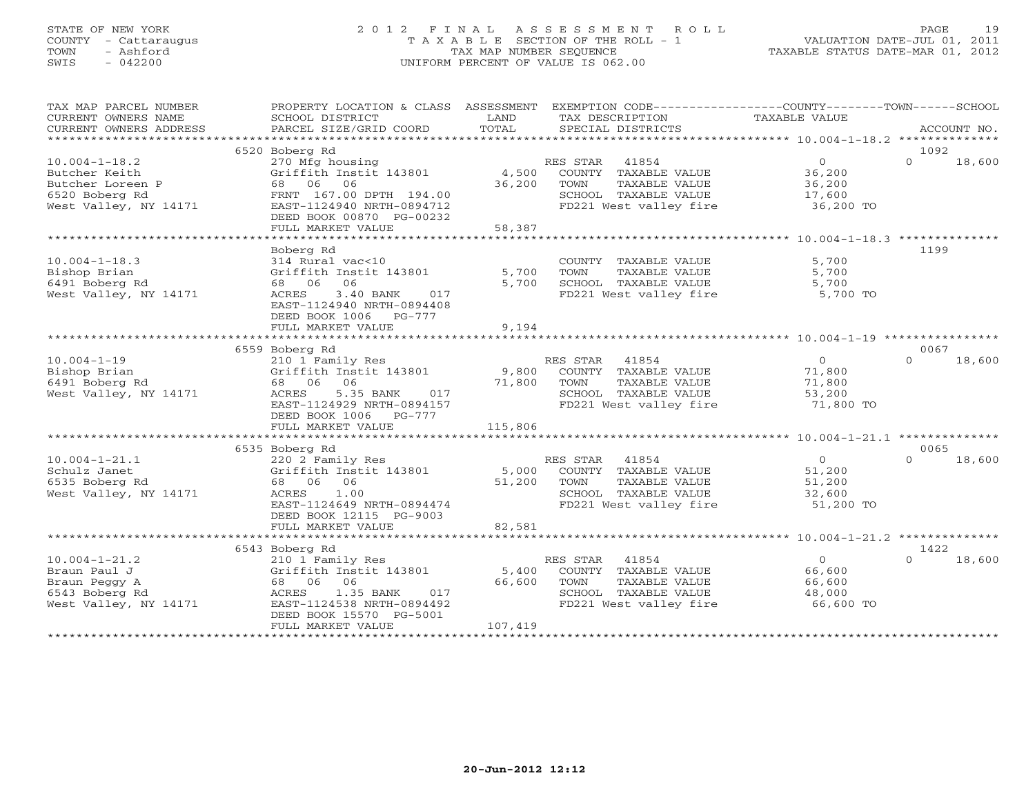## STATE OF NEW YORK 2 0 1 2 F I N A L A S S E S S M E N T R O L L PAGE 19 COUNTY - Cattaraugus T A X A B L E SECTION OF THE ROLL - 1 VALUATION DATE-JUL 01, 2011 TOWN - Ashford TAX MAP NUMBER SEQUENCE TAXABLE STATUS DATE-MAR 01, 2012 SWIS - 042200 UNIFORM PERCENT OF VALUE IS 062.00UNIFORM PERCENT OF VALUE IS 062.00

| TAX MAP PARCEL NUMBER<br>CURRENT OWNERS NAME                                                                                                     | PROPERTY LOCATION & CLASS ASSESSMENT<br>SCHOOL DISTRICT                                                                                                                                                         | LAND                      | EXEMPTION CODE-----------------COUNTY-------TOWN------SCHOOL<br>TAX DESCRIPTION                                                                                     | TAXABLE VALUE                                              |                            |
|--------------------------------------------------------------------------------------------------------------------------------------------------|-----------------------------------------------------------------------------------------------------------------------------------------------------------------------------------------------------------------|---------------------------|---------------------------------------------------------------------------------------------------------------------------------------------------------------------|------------------------------------------------------------|----------------------------|
|                                                                                                                                                  |                                                                                                                                                                                                                 |                           |                                                                                                                                                                     |                                                            |                            |
| $10.004 - 1 - 18.2$<br>Butcher Keith<br>Butcher Loreen P<br>6520 Boberg Rd<br>West Valley, NY 14171                                              | 6520 Boberg Rd<br>270 Mfg housing<br>Griffith Instit 143801 4,500<br>68 06 06<br>FRNT 167.00 DPTH 194.00<br>EAST-1124940 NRTH-0894712<br>DEED BOOK 00870 PG-00232<br>FULL MARKET VALUE                          | 4,500<br>36,200<br>58,387 | RES STAR 41854<br>COUNTY TAXABLE VALUE 36,200<br>TOWN<br>TAXABLE VALUE<br>SCHOOL TAXABLE VALUE 17,600<br>FD221 West valley fire 36,200 TO<br>FD221 West valley fire | $\overline{0}$<br>36,200                                   | 1092<br>$\Omega$<br>18,600 |
|                                                                                                                                                  |                                                                                                                                                                                                                 |                           |                                                                                                                                                                     |                                                            |                            |
| $10.004 - 1 - 18.3$<br>Bishop Brian<br>6491 Boberg Rd<br>West Valley, NY 14171                                                                   | Boberg Rd<br>314 Rural vac<10<br>Griffith Instit 143801<br>68 06 06<br>3.40 BANK 017<br>ACRES<br>EAST-1124940 NRTH-0894408<br>DEED BOOK 1006 PG-777<br>FULL MARKET VALUE                                        | 5,700<br>5,700<br>9,194   | COUNTY TAXABLE VALUE<br>TOWN      TAXABLE VALUE<br>SCHOOL   TAXABLE VALUE<br>FD221 West valley fire 5,700 TO                                                        | 5,700<br>5,700<br>5,700                                    | 1199                       |
|                                                                                                                                                  |                                                                                                                                                                                                                 |                           |                                                                                                                                                                     |                                                            | 0067                       |
| $10.004 - 1 - 19$<br>Bishop Brian<br>6491 Boberg Rd<br>West Valley, NY 14171                                                                     | 6559 Boberg Rd<br>210 1 Family Res<br>Griffith Instit 143801 9,800 COUNTY TAXABLE VALUE<br>06 71,800 TOWN<br>5.35 BANK 017 5.35 CHOC<br>68 06 06<br>ACRES<br>EAST-1124929 NRTH-0894157<br>DEED BOOK 1006 PG-777 |                           | SCHOOL TAXABLE VALUE 53,200<br>FD221 West valley fire 71,800 TO                                                                                                     | $\overline{0}$<br>71,800<br>TAXABLE VALUE 71,800<br>53,200 | $\Omega$<br>18,600         |
|                                                                                                                                                  | FULL MARKET VALUE                                                                                                                                                                                               | 115,806                   |                                                                                                                                                                     |                                                            |                            |
|                                                                                                                                                  | 6535 Boberg Rd                                                                                                                                                                                                  |                           |                                                                                                                                                                     |                                                            | 0065                       |
| $10.004 - 1 - 21.1$<br>Schulz Janet<br>6535 Boberg Rd<br>West Valley, NY 14171                                                                   | 220 2 Family Res<br>Griffith Instit 143801 5,000<br>68 06 06<br>1.00<br>ACRES<br>EAST-1124649 NRTH-0894474<br>DEED BOOK 12115 PG-9003                                                                           | 51,200                    | RES STAR 41854<br>ES STAR - 41854<br>COUNTY - TAXABLE VALUE<br>TOWN<br>TOWN      TAXABLE VALUE<br>SCHOOL   TAXABLE VALUE<br>FD221 West valley fire 51,200 TO        | $\overline{0}$<br>51,200<br>51,200<br>32,600               | $\Omega$<br>18,600         |
|                                                                                                                                                  | FULL MARKET VALUE                                                                                                                                                                                               | 82,581                    |                                                                                                                                                                     |                                                            |                            |
|                                                                                                                                                  | 6543 Boberg Rd                                                                                                                                                                                                  |                           |                                                                                                                                                                     |                                                            | 1422                       |
| $10.004 - 1 - 21.2$<br>$\begin{array}{c}\n\text{11.12}\n\end{array}$<br>Braun Paul J<br>Braun Peggy A<br>6543 Boberg Rd<br>West Valley, NY 14171 | 210 1 Family Res<br>Griffith Instit $143801$ 5,400<br>68 06 06<br>1.35 BANK<br>ACRES<br>017<br>EAST-1124538 NRTH-0894492<br>DEED BOOK 15570 PG-5001<br>FULL MARKET VALUE                                        | 66,600<br>107,419         | RES STAR 41854<br>COUNTY TAXABLE VALUE<br>TOWN<br>TAXABLE VALUE<br>SCHOOL TAXABLE VALUE<br>FD221 West valley fire                                                   | $\overline{0}$<br>66,600<br>66,600<br>48,000<br>66,600 TO  | $\Omega$<br>18,600         |
|                                                                                                                                                  |                                                                                                                                                                                                                 |                           |                                                                                                                                                                     |                                                            |                            |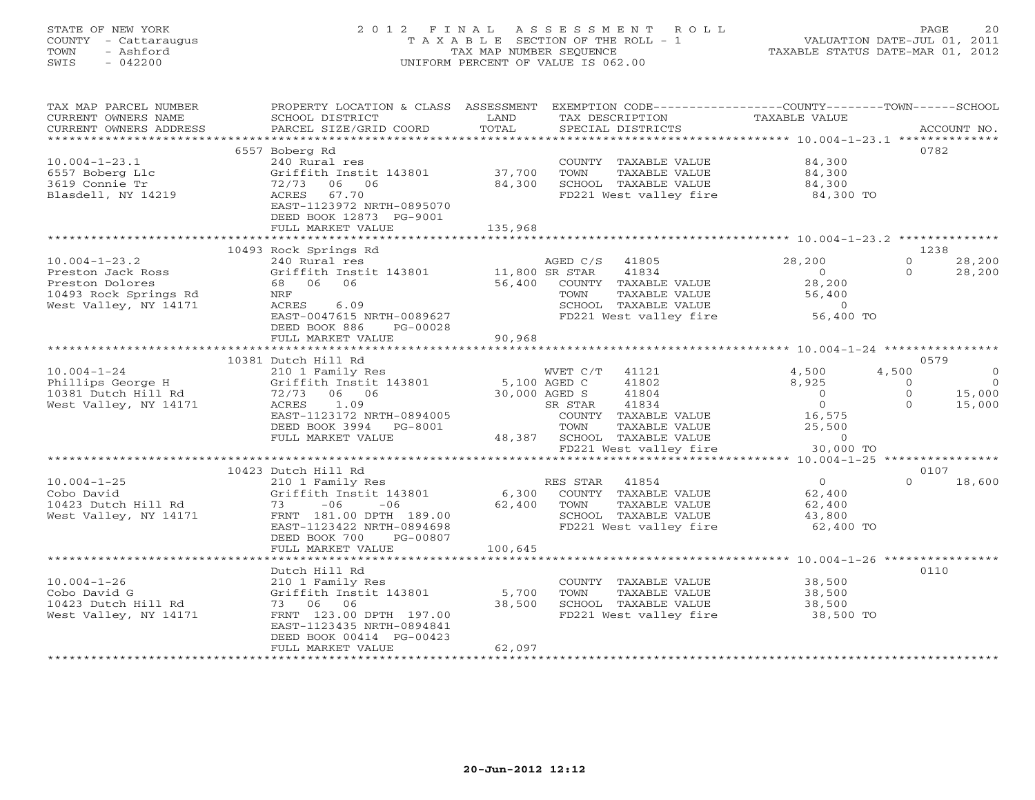## STATE OF NEW YORK 2 0 1 2 F I N A L A S S E S S M E N T R O L L PAGE 20 COUNTY - Cattaraugus T A X A B L E SECTION OF THE ROLL - 1 VALUATION DATE-JUL 01, 2011 TOWN - Ashford TAX MAP NUMBER SEQUENCE TAXABLE STATUS DATE-MAR 01, 2012 SWIS - 042200 UNIFORM PERCENT OF VALUE IS 062.00UNIFORM PERCENT OF VALUE IS 062.00

| TAX MAP PARCEL NUMBER<br>CURRENT OWNERS NAME               | PROPERTY LOCATION & CLASS ASSESSMENT EXEMPTION CODE----------------COUNTY-------TOWN------SCHOOL<br>SCHOOL DISTRICT                                                                                                                                                                                                                                                                                                                                                                                                    | LAND            | TAX DESCRIPTION                                                                              | TAXABLE VALUE    |                          |
|------------------------------------------------------------|------------------------------------------------------------------------------------------------------------------------------------------------------------------------------------------------------------------------------------------------------------------------------------------------------------------------------------------------------------------------------------------------------------------------------------------------------------------------------------------------------------------------|-----------------|----------------------------------------------------------------------------------------------|------------------|--------------------------|
|                                                            |                                                                                                                                                                                                                                                                                                                                                                                                                                                                                                                        |                 |                                                                                              |                  |                          |
|                                                            | $\begin{minipage}{.45\textwidth} \begin{minipage}{.45\textwidth} \begin{minipage}{.45\textwidth} \begin{minipage}{.45\textwidth} \begin{minipage}{.45\textwidth} \begin{minipage}{.45\textwidth} \begin{minipage}{.45\textwidth} \begin{minipage}{.45\textwidth} \begin{minipage}{.45\textwidth} \begin{minipage}{.45\textwidth} \begin{minipage}{.45\textwidth} \begin{minipage}{.45\textwidth} \begin{minipage}{.45\textwidth} \begin{minipage}{.45\textwidth} \begin{minipage}{.45\textwidth} \begin{minipage}{.45$ |                 |                                                                                              |                  |                          |
|                                                            | 6557 Boberg Rd                                                                                                                                                                                                                                                                                                                                                                                                                                                                                                         |                 |                                                                                              |                  | 0782                     |
| $10.004 - 1 - 23.1$                                        | 240 Rural res                                                                                                                                                                                                                                                                                                                                                                                                                                                                                                          |                 | COUNTY TAXABLE VALUE                                                                         | 84,300           |                          |
| 6557 Boberg Llc                                            | Griffith Instit 143801 37,700                                                                                                                                                                                                                                                                                                                                                                                                                                                                                          |                 | TOWN<br>TAXABLE VALUE                                                                        | 84,300           |                          |
| 3619 Connie Tr                                             | 72/73<br>06 06                                                                                                                                                                                                                                                                                                                                                                                                                                                                                                         | 84,300          | SCHOOL TAXABLE VALUE                                                                         | 84,300           |                          |
| Blasdell, NY 14219                                         | ACRES 67.70                                                                                                                                                                                                                                                                                                                                                                                                                                                                                                            |                 | FD221 West valley fire                                                                       | 84,300 TO        |                          |
|                                                            | EAST-1123972 NRTH-0895070                                                                                                                                                                                                                                                                                                                                                                                                                                                                                              |                 |                                                                                              |                  |                          |
|                                                            | DEED BOOK 12873 PG-9001                                                                                                                                                                                                                                                                                                                                                                                                                                                                                                |                 |                                                                                              |                  |                          |
|                                                            | FULL MARKET VALUE                                                                                                                                                                                                                                                                                                                                                                                                                                                                                                      | 135,968         |                                                                                              |                  |                          |
|                                                            |                                                                                                                                                                                                                                                                                                                                                                                                                                                                                                                        |                 |                                                                                              |                  |                          |
|                                                            | 10493 Rock Springs Rd                                                                                                                                                                                                                                                                                                                                                                                                                                                                                                  |                 |                                                                                              |                  | 1238                     |
| $10.004 - 1 - 23.2$                                        | 240 Rural res                                                                                                                                                                                                                                                                                                                                                                                                                                                                                                          |                 | AGED C/S 41805                                                                               | 28,200           | $\overline{0}$<br>28,200 |
| Preston Jack Ross                                          | Griffith Instit 143801 11,800 SR STAR<br>68 06 06 06 56 100 COUNTY                                                                                                                                                                                                                                                                                                                                                                                                                                                     |                 | 41834                                                                                        | $\overline{0}$   | 28,200<br>$\Omega$       |
| Preston Dolores                                            | 68 06 06                                                                                                                                                                                                                                                                                                                                                                                                                                                                                                               | 56,400          | COUNTY TAXABLE VALUE                                                                         | 28,200           |                          |
| 10493 Rock Springs Rd                                      | NRF                                                                                                                                                                                                                                                                                                                                                                                                                                                                                                                    |                 | TOWN TAXABLE VALUE 56,400<br>SCHOOL TAXABLE VALUE 56,400<br>FD221 West valley fire 56,400 TO |                  |                          |
| West Valley, NY 14171                                      | 6.09<br>ACRES                                                                                                                                                                                                                                                                                                                                                                                                                                                                                                          |                 |                                                                                              |                  |                          |
|                                                            | EAST-0047615 NRTH-0089627                                                                                                                                                                                                                                                                                                                                                                                                                                                                                              |                 |                                                                                              |                  |                          |
|                                                            | DEED BOOK 886<br>PG-00028                                                                                                                                                                                                                                                                                                                                                                                                                                                                                              |                 |                                                                                              |                  |                          |
|                                                            | FULL MARKET VALUE                                                                                                                                                                                                                                                                                                                                                                                                                                                                                                      | 90,968          |                                                                                              |                  |                          |
|                                                            | **************************                                                                                                                                                                                                                                                                                                                                                                                                                                                                                             |                 |                                                                                              |                  |                          |
|                                                            | 10381 Dutch Hill Rd                                                                                                                                                                                                                                                                                                                                                                                                                                                                                                    |                 |                                                                                              |                  | 0579                     |
| $10.004 - 1 - 24$                                          |                                                                                                                                                                                                                                                                                                                                                                                                                                                                                                                        |                 | WVET C/T<br>41121                                                                            | 4,500            | 4,500<br>$\overline{0}$  |
|                                                            | 210 1 Family Res WVET C/T<br>Griffith Instit 143801 5,100 AGED C                                                                                                                                                                                                                                                                                                                                                                                                                                                       |                 | 41802                                                                                        | 8,925            | $\bigcirc$<br>$\Omega$   |
| Phillips George H<br>10381 Dutch Hill Rd<br>11171          | 06 06<br>72/73                                                                                                                                                                                                                                                                                                                                                                                                                                                                                                         | $30,000$ AGED S | 41804                                                                                        | $\overline{0}$   | $\Omega$<br>15,000       |
| West Valley, NY 14171                                      | ACRES 1.09                                                                                                                                                                                                                                                                                                                                                                                                                                                                                                             |                 | 41834<br>SR STAR                                                                             | $\overline{0}$   | $\Omega$<br>15,000       |
|                                                            | EAST-1123172 NRTH-0894005                                                                                                                                                                                                                                                                                                                                                                                                                                                                                              |                 | COUNTY TAXABLE VALUE                                                                         | 16,575           |                          |
|                                                            | DEED BOOK 3994 PG-8001                                                                                                                                                                                                                                                                                                                                                                                                                                                                                                 |                 | TAXABLE VALUE<br>TOWN                                                                        | 25,500           |                          |
|                                                            | FULL MARKET VALUE                                                                                                                                                                                                                                                                                                                                                                                                                                                                                                      |                 | 48,387 SCHOOL TAXABLE VALUE                                                                  |                  |                          |
|                                                            |                                                                                                                                                                                                                                                                                                                                                                                                                                                                                                                        |                 | SCHOOL TAXABLE VALUE 0<br>FD221 West valley fire 30,000 TO                                   |                  |                          |
|                                                            |                                                                                                                                                                                                                                                                                                                                                                                                                                                                                                                        |                 |                                                                                              |                  |                          |
|                                                            | 10423 Dutch Hill Rd                                                                                                                                                                                                                                                                                                                                                                                                                                                                                                    |                 |                                                                                              |                  | 0107                     |
| $10.004 - 1 - 25$                                          | 210 1 Family Res                                                                                                                                                                                                                                                                                                                                                                                                                                                                                                       |                 | RES STAR 41854                                                                               | $\overline{0}$   | $\Omega$<br>18,600       |
|                                                            | Griffith Instit 143801                                                                                                                                                                                                                                                                                                                                                                                                                                                                                                 |                 | 6,300 COUNTY TAXABLE VALUE                                                                   | 62,400           |                          |
|                                                            | $73 -06$<br>$-06$                                                                                                                                                                                                                                                                                                                                                                                                                                                                                                      | 62,400          | TOWN<br>TAXABLE VALUE                                                                        | 62,400           |                          |
| cobo David<br>10423 Dutch Hill Rd<br>West Vallev. NY 14151 | West Valley, NY 14171 FRNT 181.00 DPTH 189.00                                                                                                                                                                                                                                                                                                                                                                                                                                                                          |                 | SCHOOL TAXABLE VALUE                                                                         | 43,800           |                          |
|                                                            | EAST-1123422 NRTH-0894698                                                                                                                                                                                                                                                                                                                                                                                                                                                                                              |                 | FD221 West valley fire                                                                       | 62,400 TO        |                          |
|                                                            | DEED BOOK 700<br>PG-00807                                                                                                                                                                                                                                                                                                                                                                                                                                                                                              |                 |                                                                                              |                  |                          |
|                                                            | FULL MARKET VALUE                                                                                                                                                                                                                                                                                                                                                                                                                                                                                                      | 100,645         |                                                                                              |                  |                          |
|                                                            |                                                                                                                                                                                                                                                                                                                                                                                                                                                                                                                        |                 |                                                                                              |                  |                          |
|                                                            | Dutch Hill Rd                                                                                                                                                                                                                                                                                                                                                                                                                                                                                                          |                 |                                                                                              |                  | 0110                     |
| $10.004 - 1 - 26$                                          | 210 1 Family Res                                                                                                                                                                                                                                                                                                                                                                                                                                                                                                       |                 | COUNTY TAXABLE VALUE                                                                         | 38,500<br>38,500 |                          |
| Cobo David G                                               | $Griffith$ Instit $143801$ 5,700                                                                                                                                                                                                                                                                                                                                                                                                                                                                                       |                 | TOWN<br>TAXABLE VALUE                                                                        |                  |                          |
| 10423 Dutch Hill Rd                                        | 73 06<br>06                                                                                                                                                                                                                                                                                                                                                                                                                                                                                                            | 38,500          | SCHOOL TAXABLE VALUE<br>FD221 West valley fire                                               | 38,500           |                          |
| West Valley, NY 14171                                      | FRNT 123.00 DPTH 197.00                                                                                                                                                                                                                                                                                                                                                                                                                                                                                                |                 |                                                                                              | $38,500$ TO      |                          |
|                                                            | EAST-1123435 NRTH-0894841                                                                                                                                                                                                                                                                                                                                                                                                                                                                                              |                 |                                                                                              |                  |                          |
|                                                            | DEED BOOK 00414 PG-00423                                                                                                                                                                                                                                                                                                                                                                                                                                                                                               |                 |                                                                                              |                  |                          |
|                                                            | FULL MARKET VALUE                                                                                                                                                                                                                                                                                                                                                                                                                                                                                                      | 62,097          |                                                                                              |                  |                          |
|                                                            |                                                                                                                                                                                                                                                                                                                                                                                                                                                                                                                        |                 |                                                                                              |                  |                          |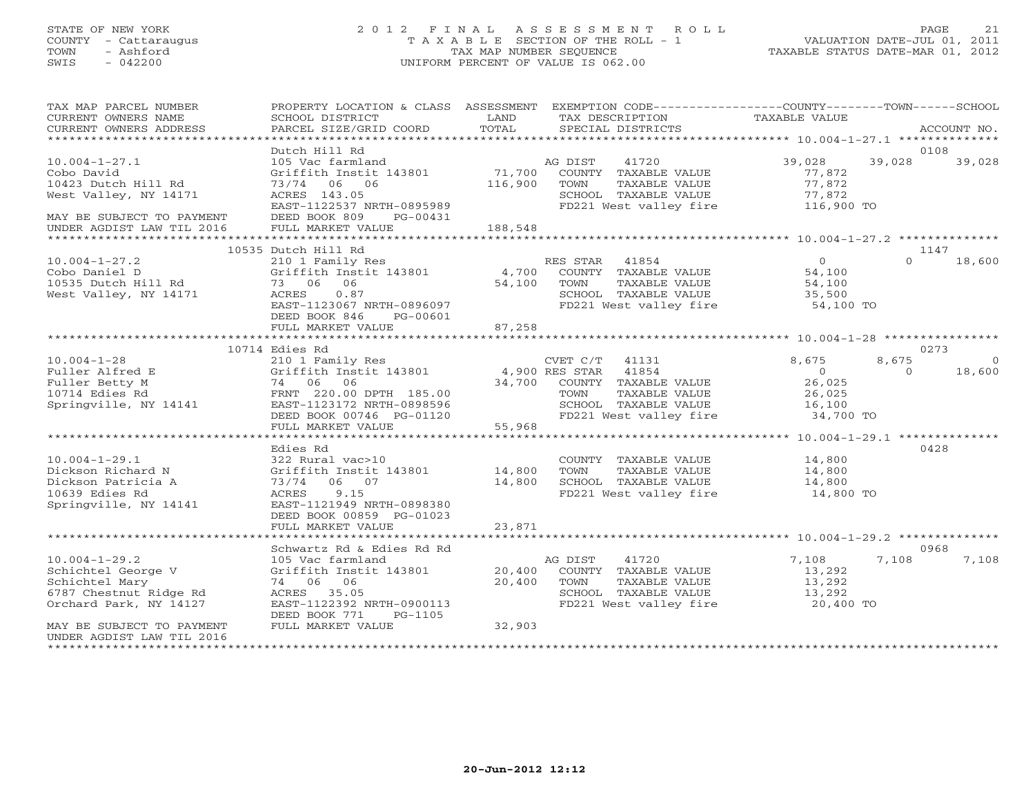## STATE OF NEW YORK 2 0 1 2 F I N A L A S S E S S M E N T R O L L PAGE 21 COUNTY - Cattaraugus T A X A B L E SECTION OF THE ROLL - 1 VALUATION DATE-JUL 01, 2011 TOWN - Ashford TAX MAP NUMBER SEQUENCE TAXABLE STATUS DATE-MAR 01, 2012 SWIS - 042200 UNIFORM PERCENT OF VALUE IS 062.00UNIFORM PERCENT OF VALUE IS 062.00

| 0108<br>39,028<br>41720<br>39,028<br>39,028<br>COUNTY TAXABLE VALUE<br>77,872<br>TAXABLE VALUE<br>77,872<br>SCHOOL TAXABLE VALUE<br>77,872<br>116,900 TO<br>FD221 West valley fire                                           |
|------------------------------------------------------------------------------------------------------------------------------------------------------------------------------------------------------------------------------|
|                                                                                                                                                                                                                              |
|                                                                                                                                                                                                                              |
|                                                                                                                                                                                                                              |
| 1147<br>$\overline{0}$<br>RES STAR 41854<br>4,700 COUNTY TAXABLE VALUE<br>$\Omega$<br>18,600<br>54,100<br>TAXABLE VALUE<br>54,100<br>SCHOOL TAXABLE VALUE<br>35,500<br>FD221 West valley fire 54,100 TO                      |
|                                                                                                                                                                                                                              |
| 0273                                                                                                                                                                                                                         |
| 8,675<br>8,675<br>$\overline{0}$<br>$\Omega$<br>18,600<br>$\overline{0}$<br>26,025<br>COUNTY TAXABLE VALUE<br>TAXABLE VALUE<br>26,025<br>20,025<br>16,100<br>SCHOOL TAXABLE VALUE 16,100<br>FD221 West valley fire 34,700 TO |
| 0428                                                                                                                                                                                                                         |
| 14,800<br>COUNTY TAXABLE VALUE<br>TAXABLE VALUE<br>14,800<br>SCHOOL TAXABLE VALUE<br>14,800<br>FD221 West valley fire<br>14,800 TO                                                                                           |
|                                                                                                                                                                                                                              |
|                                                                                                                                                                                                                              |
| 0968<br>7,108<br>7,108<br>7,108<br>COUNTY TAXABLE VALUE<br>13,292<br>TAXABLE VALUE<br>13,292<br>SCHOOL TAXABLE VALUE<br>13,292<br>FD221 West valley fire<br>$20,400$ TO                                                      |
| $CVET C/T$ 41131<br>Griffith Instit 143801 4,900 RES STAR 41854<br>41720                                                                                                                                                     |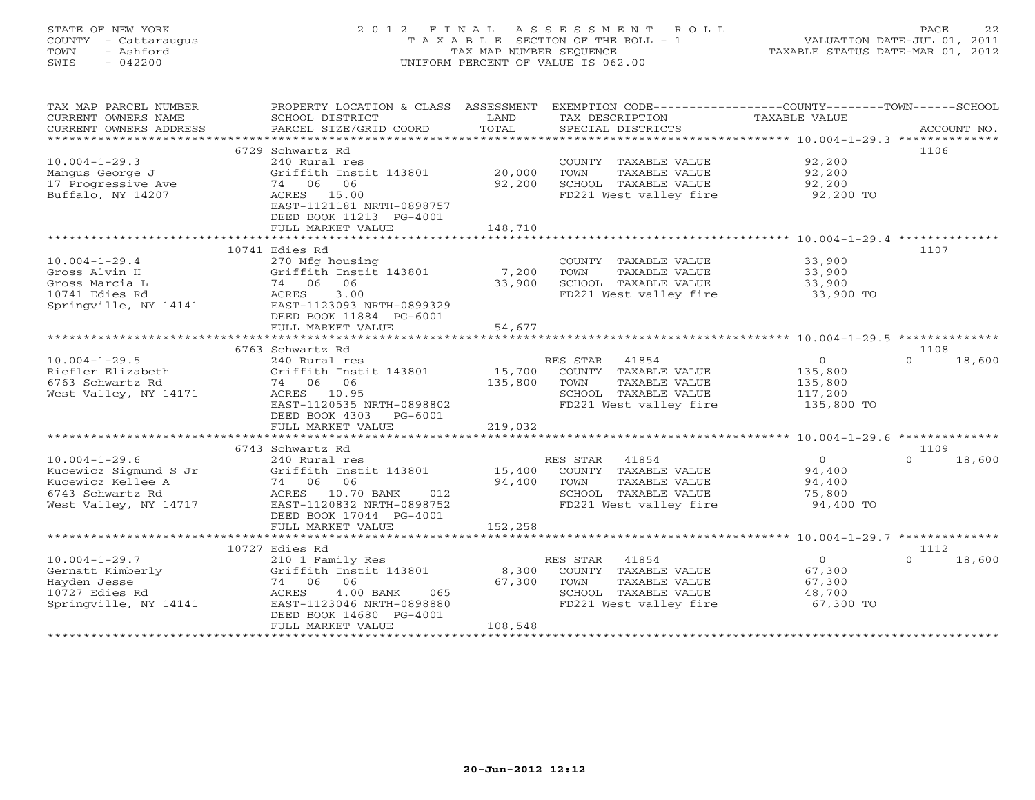## STATE OF NEW YORK 2 0 1 2 F I N A L A S S E S S M E N T R O L L PAGE 22 COUNTY - Cattaraugus T A X A B L E SECTION OF THE ROLL - 1 VALUATION DATE-JUL 01, 2011 TOWN - Ashford TAX MAP NUMBER SEQUENCE TAXABLE STATUS DATE-MAR 01, 2012 SWIS - 042200 UNIFORM PERCENT OF VALUE IS 062.00UNIFORM PERCENT OF VALUE IS 062.00

| TAX MAP PARCEL NUMBER<br>CURRENT OWNERS NAME<br>CURRENT OWNERS ADDRESS                                         | PROPERTY LOCATION & CLASS ASSESSMENT<br>SCHOOL DISTRICT<br>PARCEL SIZE/GRID COORD                                                                                   | LAND<br>TOTAL               | EXEMPTION CODE-----------------COUNTY-------TOWN------SCHOOL<br>TAX DESCRIPTION<br>SPECIAL DISTRICTS                 | TAXABLE VALUE                                                 | ACCOUNT NO.                |
|----------------------------------------------------------------------------------------------------------------|---------------------------------------------------------------------------------------------------------------------------------------------------------------------|-----------------------------|----------------------------------------------------------------------------------------------------------------------|---------------------------------------------------------------|----------------------------|
| $10.004 - 1 - 29.3$<br>Mangus George J<br>17 Progressive Ave<br>Buffalo, NY 14207                              | 6729 Schwartz Rd<br>240 Rural res<br>Griffith Instit 143801<br>74 06 06<br>ACRES 15.00<br>EAST-1121181 NRTH-0898757<br>DEED BOOK 11213 PG-4001<br>FULL MARKET VALUE | 20,000<br>92,200<br>148,710 | COUNTY TAXABLE VALUE<br>TOWN<br>TAXABLE VALUE<br>SCHOOL TAXABLE VALUE<br>FD221 West valley fire                      | 92,200<br>92,200<br>92,200<br>92,200 TO                       | 1106                       |
|                                                                                                                |                                                                                                                                                                     |                             |                                                                                                                      |                                                               |                            |
| $10.004 - 1 - 29.4$<br>Gross Alvin H<br>Gross Marcia L<br>10741 Edies Rd<br>Springville, NY 14141              | 10741 Edies Rd<br>270 Mfg housing<br>Griffith Instit 143801<br>74 06 06<br>3.00<br>ACRES<br>EAST-1123093 NRTH-0899329<br>DEED BOOK 11884 PG-6001                    | 7,200<br>33,900             | COUNTY TAXABLE VALUE<br>TOWN<br>TAXABLE VALUE<br>SCHOOL TAXABLE VALUE<br>FD221 West valley fire                      | 33,900<br>33,900<br>33,900<br>$33,900$ TO                     | 1107                       |
|                                                                                                                | FULL MARKET VALUE                                                                                                                                                   | 54,677                      |                                                                                                                      |                                                               |                            |
|                                                                                                                | 6763 Schwartz Rd                                                                                                                                                    |                             |                                                                                                                      |                                                               | 1108                       |
| $10.004 - 1 - 29.5$<br>Riefler Elizabeth<br>6763 Schwartz Rd<br>West Valley, NY 14171                          | 240 Rural res<br>Griffith Instit 143801<br>74 06 06<br>ACRES 10.95<br>EAST-1120535 NRTH-0898802<br>DEED BOOK 4303<br>PG-6001                                        | 15,700<br>135,800           | RES STAR<br>41854<br>COUNTY TAXABLE VALUE<br>TAXABLE VALUE<br>TOWN<br>SCHOOL TAXABLE VALUE<br>FD221 West valley fire | $\overline{0}$<br>135,800<br>135,800<br>117,200<br>135,800 TO | 18,600<br>$\Omega$         |
|                                                                                                                | FULL MARKET VALUE                                                                                                                                                   | 219,032                     |                                                                                                                      |                                                               |                            |
|                                                                                                                |                                                                                                                                                                     |                             |                                                                                                                      |                                                               |                            |
| $10.004 - 1 - 29.6$<br>Kucewicz Sigmund S Jr<br>Kucewicz Kellee A<br>6743 Schwartz Rd<br>West Valley, NY 14717 | 6743 Schwartz Rd<br>240 Rural res<br>Griffith Instit 143801<br>74 06<br>06<br>ACRES 10.70 BANK<br>012<br>EAST-1120832 NRTH-0898752<br>DEED BOOK 17044 PG-4001       | 15,400<br>94,400            | RES STAR 41854<br>COUNTY TAXABLE VALUE<br>TOWN<br>TAXABLE VALUE<br>SCHOOL TAXABLE VALUE<br>FD221 West valley fire    | $\Omega$<br>94,400<br>94,400<br>75,800<br>94,400 TO           | 1109<br>$\Omega$<br>18,600 |
|                                                                                                                | FULL MARKET VALUE                                                                                                                                                   | 152,258                     |                                                                                                                      |                                                               |                            |
|                                                                                                                | 10727 Edies Rd                                                                                                                                                      |                             |                                                                                                                      |                                                               | 1112                       |
| $10.004 - 1 - 29.7$<br>Gernatt Kimberly<br>Hayden Jesse<br>10727 Edies Rd<br>Springville, NY 14141             | 210 1 Family Res<br>Griffith Instit 143801<br>74 06 06<br>ACRES<br>$4.00$ BANK<br>065<br>EAST-1123046 NRTH-0898880<br>DEED BOOK 14680 PG-4001<br>FULL MARKET VALUE  | 8,300<br>67,300<br>108,548  | RES STAR 41854<br>COUNTY TAXABLE VALUE<br>TOWN<br>TAXABLE VALUE<br>SCHOOL TAXABLE VALUE<br>FD221 West valley fire    | $\overline{0}$<br>67,300<br>67,300<br>48,700<br>67,300 TO     | 18,600<br>$\Omega$         |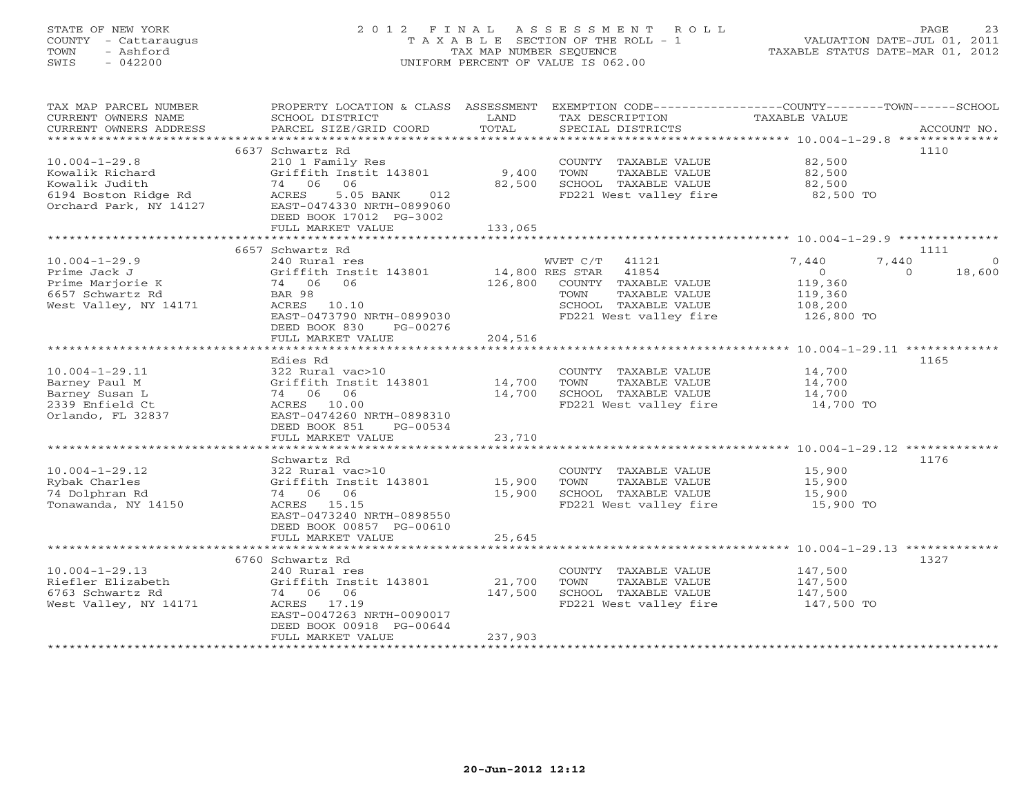## STATE OF NEW YORK 2 0 1 2 F I N A L A S S E S S M E N T R O L L PAGE 23 COUNTY - Cattaraugus T A X A B L E SECTION OF THE ROLL - 1 VALUATION DATE-JUL 01, 2011 TOWN - Ashford TAX MAP NUMBER SEQUENCE TAXABLE STATUS DATE-MAR 01, 2012 SWIS - 042200 UNIFORM PERCENT OF VALUE IS 062.00UNIFORM PERCENT OF VALUE IS 062.00

| TAX MAP PARCEL NUMBER  | PROPERTY LOCATION & CLASS ASSESSMENT EXEMPTION CODE----------------COUNTY-------TOWN------SCHOOL |         |                        |                                   |                    |
|------------------------|--------------------------------------------------------------------------------------------------|---------|------------------------|-----------------------------------|--------------------|
| CURRENT OWNERS NAME    | SCHOOL DISTRICT                                                                                  | LAND    | TAX DESCRIPTION        | TAXABLE VALUE                     |                    |
| CURRENT OWNERS ADDRESS | PARCEL SIZE/GRID COORD                                                                           | TOTAL   | SPECIAL DISTRICTS      |                                   | ACCOUNT NO.        |
|                        |                                                                                                  |         |                        |                                   |                    |
|                        | 6637 Schwartz Rd                                                                                 |         |                        |                                   | 1110               |
| $10.004 - 1 - 29.8$    | 210 1 Family Res                                                                                 |         | COUNTY TAXABLE VALUE   | 82,500                            |                    |
|                        | Griffith Instit 143801 9,400                                                                     |         |                        |                                   |                    |
| Kowalik Richard        |                                                                                                  |         | TOWN<br>TAXABLE VALUE  | 82,500                            |                    |
| Kowalik Judith         | 74 06 06                                                                                         | 82,500  | SCHOOL TAXABLE VALUE   | 82,500                            |                    |
| 6194 Boston Ridge Rd   | 5.05 BANK<br>012<br>ACRES                                                                        |         |                        | FD221 West valley fire 82,500 TO  |                    |
| Orchard Park, NY 14127 | EAST-0474330 NRTH-0899060                                                                        |         |                        |                                   |                    |
|                        | DEED BOOK 17012 PG-3002                                                                          |         |                        |                                   |                    |
|                        | FULL MARKET VALUE                                                                                | 133,065 |                        |                                   |                    |
|                        |                                                                                                  |         |                        |                                   |                    |
|                        | 6657 Schwartz Rd                                                                                 |         |                        |                                   | 1111               |
| $10.004 - 1 - 29.9$    | 240 Rural res                                                                                    |         | WVET C/T<br>41121      | 7,440                             | 7,440<br>$\Omega$  |
| Prime Jack J           | Griffith Instit 143801                                                                           |         | 14,800 RES STAR 41854  | $\circ$                           | 18,600<br>$\Omega$ |
|                        | 74 06<br>06                                                                                      | 126,800 |                        |                                   |                    |
| Prime Marjorie K       |                                                                                                  |         | COUNTY TAXABLE VALUE   | 119,360                           |                    |
| 6657 Schwartz Rd       | BAR 98                                                                                           |         | TOWN<br>TAXABLE VALUE  | 119,360                           |                    |
| West Valley, NY 14171  | ACRES<br>10.10                                                                                   |         | SCHOOL TAXABLE VALUE   | 108,200                           |                    |
|                        | EAST-0473790 NRTH-0899030                                                                        |         | FD221 West valley fire | 126,800 TO                        |                    |
|                        | DEED BOOK 830<br>PG-00276                                                                        |         |                        |                                   |                    |
|                        | FULL MARKET VALUE                                                                                | 204,516 |                        |                                   |                    |
|                        | ***************************                                                                      |         |                        |                                   |                    |
|                        | Edies Rd                                                                                         |         |                        |                                   | 1165               |
| $10.004 - 1 - 29.11$   | 322 Rural vac>10                                                                                 |         |                        | COUNTY TAXABLE VALUE 14,700       |                    |
| Barney Paul M          | Griffith Instit 143801 14,700                                                                    |         | TOWN<br>TAXABLE VALUE  | 14,700                            |                    |
| Barney Susan L         | 74 06 06                                                                                         | 14,700  | SCHOOL TAXABLE VALUE   | $14,700$<br>$14,700$              |                    |
|                        |                                                                                                  |         |                        |                                   |                    |
| 2339 Enfield Ct        | ACRES 10.00                                                                                      |         |                        | FD221 West valley fire 14,700 TO  |                    |
| Orlando, FL 32837      | EAST-0474260 NRTH-0898310                                                                        |         |                        |                                   |                    |
|                        | DEED BOOK 851<br>PG-00534                                                                        |         |                        |                                   |                    |
|                        | FULL MARKET VALUE                                                                                | 23,710  |                        |                                   |                    |
|                        |                                                                                                  |         |                        |                                   |                    |
|                        | Schwartz Rd                                                                                      |         |                        |                                   | 1176               |
| $10.004 - 1 - 29.12$   | 322 Rural vac>10                                                                                 |         | COUNTY TAXABLE VALUE   | 15,900                            |                    |
| Rybak Charles          | Griffith Instit 143801 15,900                                                                    |         | TAXABLE VALUE<br>TOWN  | 15,900                            |                    |
| 74 Dolphran Rd         | 74 06 06                                                                                         | 15,900  | SCHOOL TAXABLE VALUE   |                                   |                    |
| Tonawanda, NY 14150    | ACRES 15.15                                                                                      |         | FD221 West valley fire | 15,900<br>15,900 TO               |                    |
|                        | EAST-0473240 NRTH-0898550                                                                        |         |                        |                                   |                    |
|                        | DEED BOOK 00857 PG-00610                                                                         |         |                        |                                   |                    |
|                        |                                                                                                  |         |                        |                                   |                    |
|                        | FULL MARKET VALUE                                                                                | 25,645  |                        |                                   |                    |
|                        |                                                                                                  |         |                        |                                   |                    |
|                        | 6760 Schwartz Rd                                                                                 |         |                        |                                   | 1327               |
| $10.004 - 1 - 29.13$   | 240 Rural res                                                                                    |         | COUNTY TAXABLE VALUE   | 147,500                           |                    |
| Riefler Elizabeth      | Griffith Instit 143801                                                                           | 21,700  | TOWN<br>TAXABLE VALUE  | 147,500                           |                    |
| 6763 Schwartz Rd       | 74 06 06                                                                                         | 147,500 | SCHOOL TAXABLE VALUE   | 147,500                           |                    |
| West Valley, NY 14171  | ACRES 17.19                                                                                      |         |                        | FD221 West valley fire 147,500 TO |                    |
|                        | EAST-0047263 NRTH-0090017                                                                        |         |                        |                                   |                    |
|                        | DEED BOOK 00918 PG-00644                                                                         |         |                        |                                   |                    |
|                        | FULL MARKET VALUE                                                                                | 237,903 |                        |                                   |                    |
|                        | *************************                                                                        |         |                        |                                   |                    |
|                        |                                                                                                  |         |                        |                                   |                    |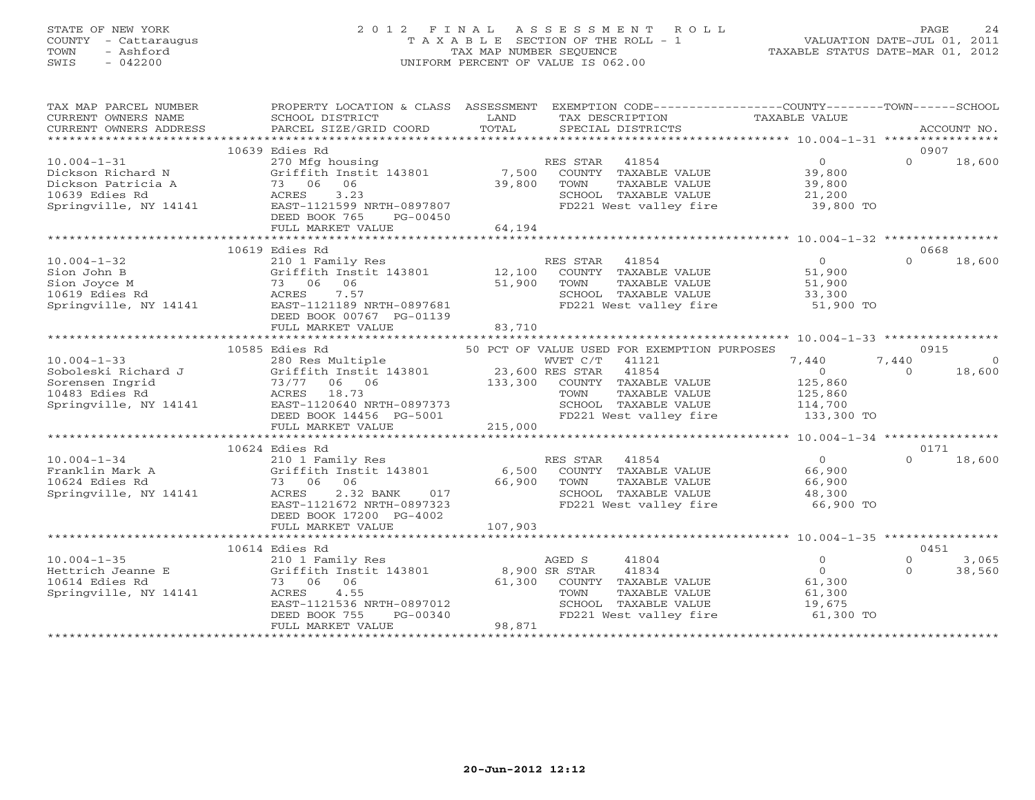# STATE OF NEW YORK 2 0 1 2 F I N A L A S S E S S M E N T R O L L PAGE 24 COUNTY - Cattaraugus T A X A B L E SECTION OF THE ROLL - 1 VALUATION DATE-JUL 01, 2011 TOWN - Ashford TAX MAP NUMBER SEQUENCE TAXABLE STATUS DATE-MAR 01, 2012 SWIS - 042200 UNIFORM PERCENT OF VALUE IS 062.00

| TAX MAP PARCEL NUMBER<br>CURRENT OWNERS NAME                                                            | PROPERTY LOCATION & CLASS ASSESSMENT<br>SCHOOL DISTRICT                                                                                                                                                                                                                                                                                 | LAND<br>TAX DESCRIPTION                                                                                                                                                                  | EXEMPTION CODE-----------------COUNTY-------TOWN-----SCHOOL<br>TAXABLE VALUE                        |
|---------------------------------------------------------------------------------------------------------|-----------------------------------------------------------------------------------------------------------------------------------------------------------------------------------------------------------------------------------------------------------------------------------------------------------------------------------------|------------------------------------------------------------------------------------------------------------------------------------------------------------------------------------------|-----------------------------------------------------------------------------------------------------|
|                                                                                                         | 10639 Edies Rd                                                                                                                                                                                                                                                                                                                          |                                                                                                                                                                                          | 0907                                                                                                |
| $10.004 - 1 - 31$<br>Dickson Richard N<br>Dickson Patricia A<br>10639 Edies Rd<br>Springville, NY 14141 | 270 Mfg housing<br>Griffith Instit 143801 7,500<br>73 06 06<br>3.23<br>ACRES<br>EAST-1121599 NRTH-0897807<br>DEED BOOK 765<br>PG-00450<br>FULL MARKET VALUE                                                                                                                                                                             | RES STAR 41854<br>COUNTY TAXABLE VALUE<br>39,800<br>TAXABLE VALUE<br>TOWN<br>SCHOOL TAXABLE VALUE 21,200<br>FD221 West valley fire<br>64,194                                             | $\Omega$<br>$\Omega$<br>18,600<br>39,800<br>39,800<br>39,800 TO                                     |
|                                                                                                         | 10619 Edies Rd                                                                                                                                                                                                                                                                                                                          |                                                                                                                                                                                          | 0668                                                                                                |
| $10.004 - 1 - 32$<br>Sion John B<br>Sion Joyce M<br>10619 Edies Rd<br>Springville, NY 14141             | 210 1 Family Res<br>Griffith Instit 143801 12,100<br>73 06 06<br>7.57<br>ACRES<br>ACRES       7.57<br>EAST-1121189  NRTH-0897681<br>DEED BOOK 00767 PG-01139<br>FULL MARKET VALUE                                                                                                                                                       | RES STAR 41854<br>COUNTY TAXABLE VALUE<br>51,900<br>TOWN<br>TAXABLE VALUE<br>SCHOOL TAXABLE VALUE 33,300<br>FD221 West valley fire 51,900 TO<br>FD221 West valley fire<br>83,710         | 0<br>51,900<br>51,900<br>$\Omega$<br>18,600                                                         |
|                                                                                                         | 10585 Edies Rd                                                                                                                                                                                                                                                                                                                          | 50 PCT OF VALUE USED FOR EXEMPTION PURPOSES                                                                                                                                              | 0915                                                                                                |
| $10.004 - 1 - 33$                                                                                       | 280 Res Multiple<br>Griffith Instit 143801<br>73/77 06 06<br>73/77 06 06<br>73/77 06 06<br>133,300 COUNTY<br>RCRES 18.73<br>TOWN<br>Soboleski Richard J<br>Sorensen Ingrid<br>10483 Edies Rd<br>Springville, NY 14141<br>10483 Edies Rd<br>Springville, NY 14141<br>20640 NRTH-0897373<br>20640 NRTH-0897373<br>DEED BOOK 14456 PG-5001 | WVET C/T<br>41121<br>41854<br>COUNTY TAXABLE VALUE<br>TAXABLE VALUE<br>SCHOOL TAXABLE VALUE<br>FD221 West valley fire 133,300 TO                                                         | 7,440<br>7,440<br>$\Omega$<br>$\overline{0}$<br>18,600<br>$\Omega$<br>125,860<br>125,860<br>114,700 |
|                                                                                                         | FULL MARKET VALUE                                                                                                                                                                                                                                                                                                                       | 215,000                                                                                                                                                                                  |                                                                                                     |
|                                                                                                         | 10624 Edies Rd                                                                                                                                                                                                                                                                                                                          |                                                                                                                                                                                          | 0171                                                                                                |
| $10.004 - 1 - 34$<br>Franklin Mark A<br>10624 Edies Rd<br>Springville, NY 14141                         | 73 06 06<br>2.32 BANK 017<br>ACRES<br>EAST-1121672 NRTH-0897323<br>DEED BOOK 17200 PG-4002                                                                                                                                                                                                                                              | 210 1 Family Res<br>210 1 Family Res<br>Griffith Instit 143801 6,500 COUNTY TAXABLE VALUE<br>66,900<br>TOWN<br>TAXABLE VALUE<br>SCHOOL TAXABLE VALUE<br>FD221 West valley fire 66,900 TO | $0 \qquad \qquad$<br>18,600<br>$\Omega$<br>66,900<br>66,900<br>48,300                               |
|                                                                                                         | FULL MARKET VALUE                                                                                                                                                                                                                                                                                                                       | 107,903                                                                                                                                                                                  |                                                                                                     |
|                                                                                                         |                                                                                                                                                                                                                                                                                                                                         |                                                                                                                                                                                          |                                                                                                     |
| $10.004 - 1 - 35$                                                                                       | 10614 Edies Rd                                                                                                                                                                                                                                                                                                                          | 41804                                                                                                                                                                                    | 0451<br>$\circ$<br>$\Omega$<br>3,065                                                                |
| Hettrich Jeanne E<br>10614 Edies Rd<br>Springville, NY 14141                                            | 210 1 Family Res AGED S<br>Griffith Instit 143801 8,900 SR STAR<br>73 06 06<br>4.55<br>ACRES<br>EAST-1121536 NRTH-0897012<br>DEED BOOK 755 PG-00340<br>FULL MARKET VALUE                                                                                                                                                                | 41834<br>61,300 COUNTY TAXABLE VALUE<br>TAXABLE VALUE<br>TOWN<br>SCHOOL TAXABLE VALUE<br>FD221 West valley fire<br>98,871                                                                | $\Omega$<br>$\Omega$<br>38,560<br>61,300<br>61,300<br>19,675<br>61,300 TO                           |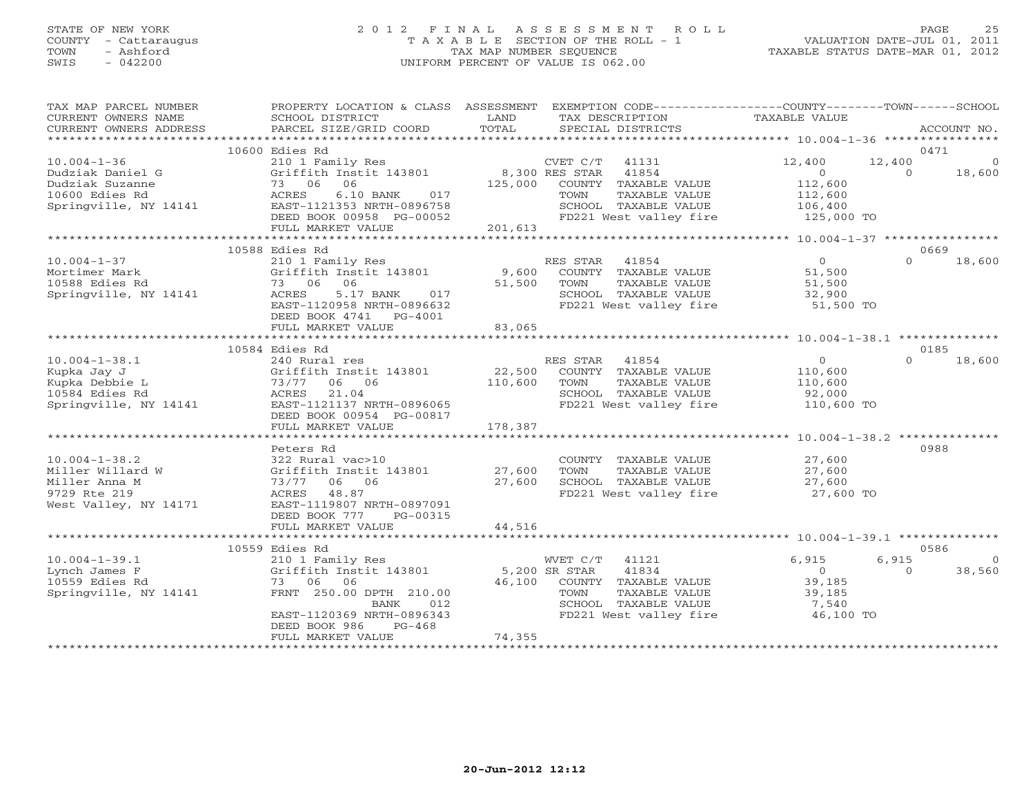## STATE OF NEW YORK 2 0 1 2 F I N A L A S S E S S M E N T R O L L PAGE 25 COUNTY - Cattaraugus T A X A B L E SECTION OF THE ROLL - 1 VALUATION DATE-JUL 01, 2011 TOWN - Ashford TAX MAP NUMBER SEQUENCE TAXABLE STATUS DATE-MAR 01, 2012 SWIS - 042200 UNIFORM PERCENT OF VALUE IS 062.00UNIFORM PERCENT OF VALUE IS 062.00

| TAX MAP PARCEL NUMBER<br>CURRENT OWNERS NAME<br>CURRENT OWNERS ADDRESS   | PROPERTY LOCATION & CLASS ASSESSMENT EXEMPTION CODE---------------COUNTY-------TOWN------SCHOOL<br>SCHOOL DISTRICT<br>PARCEL SIZE/GRID COORD | LAND<br>TOTAL  | TAX DESCRIPTION<br>SPECIAL DISTRICTS | TAXABLE VALUE                              |               | ACCOUNT NO. |
|--------------------------------------------------------------------------|----------------------------------------------------------------------------------------------------------------------------------------------|----------------|--------------------------------------|--------------------------------------------|---------------|-------------|
|                                                                          |                                                                                                                                              |                |                                      |                                            |               |             |
|                                                                          | 10600 Edies Rd                                                                                                                               |                |                                      |                                            | 0471          |             |
| $10.004 - 1 - 36$                                                        | 210 1 Family Res                                                                                                                             |                | CVET C/T 41131                       | 12,400                                     | 12,400        | $\Omega$    |
| Dudziak Daniel G                                                         | Griffith Instit 143801                                                                                                                       | 8,300 RES STAR | 41854                                | $\overline{0}$                             | $\cap$        | 18,600      |
|                                                                          | 73 06<br>06                                                                                                                                  | 125,000        | COUNTY TAXABLE VALUE                 | 112,600                                    |               |             |
|                                                                          | 6.10 BANK 017<br>ACRES                                                                                                                       |                | TAXABLE VALUE<br>TOWN                | 112,600                                    |               |             |
|                                                                          | EAST-1121353 NRTH-0896758                                                                                                                    |                | SCHOOL TAXABLE VALUE                 | 106,400                                    |               |             |
| -<br>Springville, NY 14141<br>Springville, NY 14141                      | DEED BOOK 00958 PG-00052                                                                                                                     |                | FD221 West valley fire               | 125,000 TO                                 |               |             |
|                                                                          | FULL MARKET VALUE                                                                                                                            | 201,613        |                                      |                                            |               |             |
|                                                                          | 10588 Edies Rd                                                                                                                               |                |                                      |                                            | 0669          |             |
| $10.004 - 1 - 37$                                                        | 210 1 Family Res                                                                                                                             |                | RES STAR<br>41854                    | $0 \qquad \qquad$                          | $\Omega$      | 18,600      |
| Mortimer Mark                                                            | א משנת ב-10 ב-10 ב-10 ב-10<br>Griffith Instit 143801 9,600                                                                                   |                | COUNTY TAXABLE VALUE                 | 51,500                                     |               |             |
| 10588 Edies Rd                                                           | 73 06 06                                                                                                                                     |                | TOWN<br>TAXABLE VALUE                | 51,500                                     |               |             |
| Springville, NY 14141                                                    | ACRES                                                                                                                                        |                | SCHOOL TAXABLE VALUE                 | 51,500<br>32,900                           |               |             |
|                                                                          | 06<br>5.17 BANK 017<br>0050 NRTH-0896632<br>EAST-1120958 NRTH-0896632                                                                        |                | FD221 West valley fire 51,500 TO     |                                            |               |             |
|                                                                          | DEED BOOK 4741 PG-4001                                                                                                                       |                |                                      |                                            |               |             |
|                                                                          | FULL MARKET VALUE                                                                                                                            | 83,065         |                                      |                                            |               |             |
|                                                                          |                                                                                                                                              |                |                                      |                                            |               |             |
|                                                                          | 10584 Edies Rd                                                                                                                               |                |                                      |                                            | 0185          |             |
| $10.004 - 1 - 38.1$                                                      | 240 Rural res                                                                                                                                |                | RES STAR 41854                       | $\overline{O}$                             | $\Omega$      | 18,600      |
|                                                                          | Griffith Instit 143801                                                                                                                       | 22,500         | COUNTY TAXABLE VALUE                 | 110,600<br>110,600                         |               |             |
|                                                                          | 73/77 06 06                                                                                                                                  | 110,600        | TOWN<br>TAXABLE VALUE                |                                            |               |             |
| Kupka Jay J<br>Kupka Debbie L<br>10584 Edies Rd<br>Springville, NY 14141 | ACRES<br>21.04                                                                                                                               |                | SCHOOL TAXABLE VALUE                 | 92,000<br>110,600 TO                       |               |             |
|                                                                          | EAST-1121137 NRTH-0896065<br>DEED BOOK 00954 PG-00817                                                                                        |                | FD221 West valley fire               |                                            |               |             |
|                                                                          | FULL MARKET VALUE                                                                                                                            | 178,387        |                                      |                                            |               |             |
|                                                                          |                                                                                                                                              |                |                                      |                                            |               |             |
|                                                                          | Peters Rd                                                                                                                                    |                |                                      |                                            | 0988          |             |
| $10.004 - 1 - 38.2$                                                      | 322 Rural vac>10                                                                                                                             |                | COUNTY TAXABLE VALUE                 |                                            |               |             |
| Miller Willard W                                                         | Griffith Instit 143801 27,600                                                                                                                |                | TAXABLE VALUE<br>TOWN                | 27,600<br>27,600                           |               |             |
| Miller Anna M                                                            | 73/77 06 06                                                                                                                                  | 27,600         | SCHOOL TAXABLE VALUE                 | 27,600                                     |               |             |
| 9729 Rte 219                                                             | 48.87<br>ACRES                                                                                                                               |                | FD221 West valley fire               | 27,600 TO                                  |               |             |
| West Valley, NY 14171                                                    | EAST-1119807 NRTH-0897091                                                                                                                    |                |                                      |                                            |               |             |
|                                                                          | DEED BOOK 777<br>PG-00315                                                                                                                    |                |                                      |                                            |               |             |
|                                                                          | FULL MARKET VALUE                                                                                                                            | 44,516         |                                      |                                            |               |             |
|                                                                          |                                                                                                                                              |                |                                      |                                            |               |             |
| $10.004 - 1 - 39.1$                                                      | 10559 Edies Rd<br>210 1 Family Res                                                                                                           |                | WVET C/T 41121                       | 6,915                                      | 0586<br>6,915 | $\bigcirc$  |
| Lynch James F                                                            | Griffith Instit 143801                                                                                                                       | 5,200 SR STAR  | 41834                                |                                            | $\Omega$      | 38,560      |
| 10559 Edies Rd                                                           | 73 06 06                                                                                                                                     |                | 46,100 COUNTY TAXABLE VALUE          | $\begin{array}{c} 0 \\ 39,185 \end{array}$ |               |             |
| Springville, NY 14141                                                    | FRNT 250.00 DPTH 210.00                                                                                                                      |                | TAXABLE VALUE<br>TOWN                | 39,185                                     |               |             |
|                                                                          | 012<br>BANK                                                                                                                                  |                | SCHOOL TAXABLE VALUE                 | $32, -2$<br>7,540                          |               |             |
|                                                                          | EAST-1120369 NRTH-0896343                                                                                                                    |                | FD221 West valley fire 46,100 TO     |                                            |               |             |
|                                                                          | $PG-468$<br>DEED BOOK 986                                                                                                                    |                |                                      |                                            |               |             |
|                                                                          | FULL MARKET VALUE                                                                                                                            | 74,355         |                                      |                                            |               |             |
|                                                                          |                                                                                                                                              |                |                                      |                                            |               |             |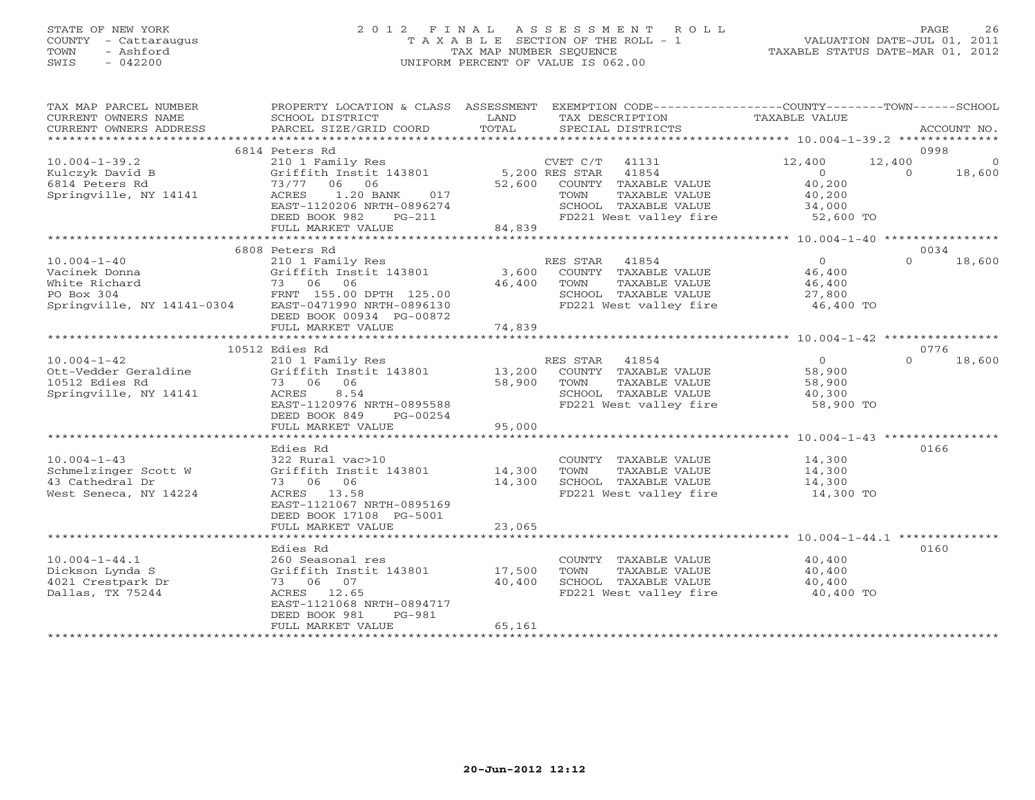## STATE OF NEW YORK 2 0 1 2 F I N A L A S S E S S M E N T R O L L PAGE 26 COUNTY - Cattaraugus T A X A B L E SECTION OF THE ROLL - 1 VALUATION DATE-JUL 01, 2011 TOWN - Ashford TAX MAP NUMBER SEQUENCE TAXABLE STATUS DATE-MAR 01, 2012 SWIS - 042200 UNIFORM PERCENT OF VALUE IS 062.00UNIFORM PERCENT OF VALUE IS 062.00

| TAX MAP PARCEL NUMBER                                                                                   |                                    |        | PROPERTY LOCATION & CLASS ASSESSMENT EXEMPTION CODE----------------COUNTY-------TOWN------SCHOOL |                     |                |             |
|---------------------------------------------------------------------------------------------------------|------------------------------------|--------|--------------------------------------------------------------------------------------------------|---------------------|----------------|-------------|
| CURRENT OWNERS NAME                                                                                     | SCHOOL DISTRICT                    | LAND   | TAX DESCRIPTION                                                                                  | TAXABLE VALUE       |                |             |
| CURRENT OWNERS ADDRESS                                                                                  | PARCEL SIZE/GRID COORD             | TOTAL  | SPECIAL DISTRICTS                                                                                |                     |                | ACCOUNT NO. |
|                                                                                                         |                                    |        |                                                                                                  |                     |                |             |
|                                                                                                         | 6814 Peters Rd                     |        |                                                                                                  |                     | 0998           |             |
| $10.004 - 1 - 39.2$                                                                                     | 210 1 Family Res                   |        | CVET C/T 41131                                                                                   | 12,400              | 12,400         | $\Omega$    |
| Kulczyk David B                                                                                         | Griffith Instit 143801             |        | 5,200 RES STAR 41854                                                                             | $\overline{0}$      | $\overline{0}$ | 18,600      |
| 6814 Peters Rd                                                                                          | 06 06<br>73/77                     |        | 52,600 COUNTY TAXABLE VALUE                                                                      | 40,200              |                |             |
| Springville, NY 14141                                                                                   | ACRES                              |        | TAXABLE VALUE<br>TOWN                                                                            | 40,200              |                |             |
|                                                                                                         | EAST-1120206 NRTH-0896274          |        | SCHOOL TAXABLE VALUE                                                                             | 34,000              |                |             |
|                                                                                                         | DEED BOOK 982<br>PG-211            |        | FD221 West valley fire 52,600 TO                                                                 |                     |                |             |
|                                                                                                         | FULL MARKET VALUE                  | 84,839 |                                                                                                  |                     |                |             |
|                                                                                                         |                                    |        |                                                                                                  |                     |                |             |
|                                                                                                         | 6808 Peters Rd                     |        |                                                                                                  |                     | 0034           |             |
| $10.004 - 1 - 40$                                                                                       | 210 1 Family Res                   |        | RES STAR 41854                                                                                   | $\overline{0}$      | $\Omega$       | 18,600      |
| Vacinek Donna                                                                                           | Griffith Instit 143801             |        | 3,600 COUNTY TAXABLE VALUE                                                                       | 46,400              |                |             |
|                                                                                                         |                                    | 46,400 | TAXABLE VALUE<br>TOWN                                                                            | 46,400              |                |             |
|                                                                                                         |                                    |        |                                                                                                  |                     |                |             |
| Valie Richard<br>White Richard<br>PO Box 304<br>Springville, NY 14141-0304<br>EAST-0471990 NRTH-0896130 |                                    |        | SCHOOL TAXABLE VALUE 27,800<br>FD221 West valley fire 46,400 TO                                  |                     |                |             |
|                                                                                                         | DEED BOOK 00934 PG-00872           |        |                                                                                                  |                     |                |             |
|                                                                                                         | FULL MARKET VALUE                  | 74,839 |                                                                                                  |                     |                |             |
|                                                                                                         |                                    |        |                                                                                                  |                     |                |             |
|                                                                                                         | 10512 Edies Rd                     |        |                                                                                                  |                     | 0776           |             |
|                                                                                                         |                                    |        |                                                                                                  | $\overline{O}$      | $\Omega$       | 18,600      |
|                                                                                                         |                                    |        |                                                                                                  | 58,900              |                |             |
| 10512 Edies Rd                                                                                          | 73 06 06                           | 58,900 | TOWN<br>TAXABLE VALUE                                                                            | 58,900              |                |             |
| Springville, NY 14141                                                                                   | 8.54<br>ACRES                      |        | SCHOOL TAXABLE VALUE                                                                             | 40,300              |                |             |
|                                                                                                         | EAST-1120976 NRTH-0895588          |        | FD221 West valley fire 58,900 TO                                                                 |                     |                |             |
|                                                                                                         | DEED BOOK 849<br>PG-00254          |        |                                                                                                  |                     |                |             |
|                                                                                                         | FULL MARKET VALUE                  | 95,000 |                                                                                                  |                     |                |             |
|                                                                                                         |                                    |        |                                                                                                  |                     |                |             |
|                                                                                                         | Edies Rd                           |        |                                                                                                  |                     | 0166           |             |
| $10.004 - 1 - 43$                                                                                       | 322 Rural vac>10                   |        | COUNTY TAXABLE VALUE                                                                             | 14,300<br>14,300    |                |             |
| Schmelzinger Scott W                                                                                    | Griffith Instit 143801 14,300 TOWN |        | TAXABLE VALUE                                                                                    |                     |                |             |
| 43 Cathedral Dr                                                                                         | 73 06 06                           | 14,300 | SCHOOL TAXABLE VALUE                                                                             | 14,300<br>14,300 TO |                |             |
| West Seneca, NY 14224                                                                                   | ACRES 13.58                        |        | FD221 West valley fire                                                                           |                     |                |             |
|                                                                                                         | EAST-1121067 NRTH-0895169          |        |                                                                                                  |                     |                |             |
|                                                                                                         | DEED BOOK 17108 PG-5001            |        |                                                                                                  |                     |                |             |
|                                                                                                         | FULL MARKET VALUE                  | 23,065 |                                                                                                  |                     |                |             |
|                                                                                                         |                                    |        |                                                                                                  |                     |                |             |
|                                                                                                         | Edies Rd                           |        |                                                                                                  |                     | 0160           |             |
| $10.004 - 1 - 44.1$                                                                                     | 260 Seasonal res                   |        | COUNTY TAXABLE VALUE                                                                             | 40,400              |                |             |
| Dickson Lynda S                                                                                         | Griffith Instit 143801 17,500      |        | TAXABLE VALUE<br>TOWN                                                                            | 40,400              |                |             |
| 4021 Crestpark Dr                                                                                       | 73 06 07                           | 40,400 | SCHOOL TAXABLE VALUE                                                                             | 40,400              |                |             |
| Dallas, TX 75244                                                                                        | ACRES 12.65                        |        | SCHOOL TAXABLE VALUE<br>FD221 West valley fire                                                   | 40,400 TO           |                |             |
|                                                                                                         | EAST-1121068 NRTH-0894717          |        |                                                                                                  |                     |                |             |
|                                                                                                         | DEED BOOK 981<br>PG-981            |        |                                                                                                  |                     |                |             |
|                                                                                                         | FULL MARKET VALUE                  | 65,161 |                                                                                                  |                     |                |             |
|                                                                                                         |                                    |        |                                                                                                  |                     |                |             |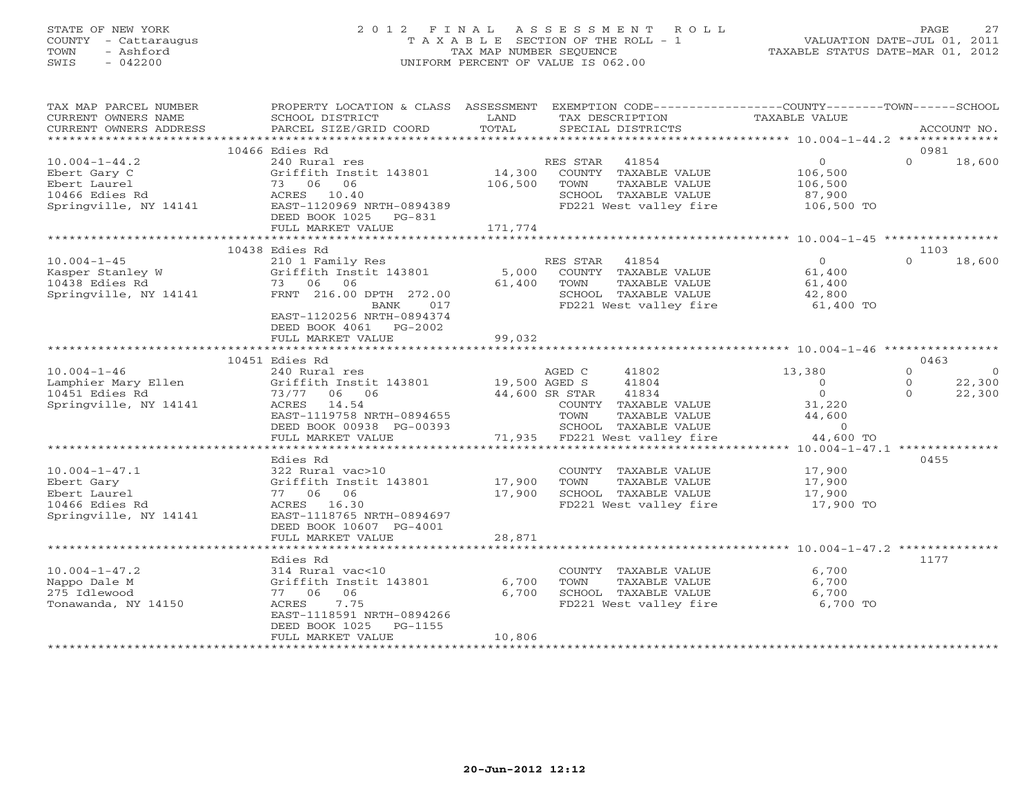## STATE OF NEW YORK 2 0 1 2 F I N A L A S S E S S M E N T R O L L PAGE 27 COUNTY - Cattaraugus T A X A B L E SECTION OF THE ROLL - 1 VALUATION DATE-JUL 01, 2011 TOWN - Ashford TAX MAP NUMBER SEQUENCE TAXABLE STATUS DATE-MAR 01, 2012 SWIS - 042200 UNIFORM PERCENT OF VALUE IS 062.00UNIFORM PERCENT OF VALUE IS 062.00

| TAX MAP PARCEL NUMBER<br>CURRENT OWNERS NAME                                                   | PROPERTY LOCATION & CLASS ASSESSMENT<br>SCHOOL DISTRICT                                                                                                                   | LAND<br>TOTAL                | EXEMPTION CODE-----------------COUNTY-------TOWN------SCHOOL<br>TAX DESCRIPTION                                                                               | TAXABLE VALUE                                                                              | ACCOUNT NO.                                                           |
|------------------------------------------------------------------------------------------------|---------------------------------------------------------------------------------------------------------------------------------------------------------------------------|------------------------------|---------------------------------------------------------------------------------------------------------------------------------------------------------------|--------------------------------------------------------------------------------------------|-----------------------------------------------------------------------|
| CURRENT OWNERS ADDRESS                                                                         | PARCEL SIZE/GRID COORD                                                                                                                                                    |                              | SPECIAL DISTRICTS                                                                                                                                             |                                                                                            |                                                                       |
|                                                                                                | 10466 Edies Rd                                                                                                                                                            |                              |                                                                                                                                                               |                                                                                            | 0981                                                                  |
| $10.004 - 1 - 44.2$<br>Ebert Gary C<br>Ebert Laurel<br>10466 Edies Rd<br>Springville, NY 14141 | 240 Rural res<br>Griffith Instit 143801<br>73 06<br>06<br>ACRES 10.40<br>EAST-1120969 NRTH-0894389<br>DEED BOOK 1025 PG-831<br>FULL MARKET VALUE                          | 14,300<br>106,500<br>171,774 | RES STAR 41854<br>COUNTY TAXABLE VALUE<br>TOWN<br>TAXABLE VALUE<br>SCHOOL TAXABLE VALUE<br>FD221 West valley fire                                             | $\overline{0}$<br>106,500<br>106,500<br>87,900<br>106,500 TO                               | $\Omega$<br>18,600                                                    |
|                                                                                                |                                                                                                                                                                           |                              |                                                                                                                                                               |                                                                                            |                                                                       |
| $10.004 - 1 - 45$<br>Kasper Stanley W<br>10438 Edies Rd<br>Springville, NY 14141               | 10438 Edies Rd<br>210 1 Family Res<br>Griffith Instit 143801<br>73 06 06<br>FRNT 216.00 DPTH 272.00<br>017<br>BANK<br>EAST-1120256 NRTH-0894374<br>DEED BOOK 4061 PG-2002 | 5,000<br>61,400              | RES STAR<br>41854<br>COUNTY TAXABLE VALUE<br>TOWN<br>TAXABLE VALUE<br>SCHOOL TAXABLE VALUE<br>FD221 West valley fire                                          | $\overline{0}$<br>61,400<br>61,400<br>42,800<br>61,400 TO                                  | 1103<br>18,600<br>$\Omega$                                            |
|                                                                                                | FULL MARKET VALUE                                                                                                                                                         | 99,032                       |                                                                                                                                                               |                                                                                            |                                                                       |
|                                                                                                |                                                                                                                                                                           |                              |                                                                                                                                                               |                                                                                            |                                                                       |
|                                                                                                | 10451 Edies Rd                                                                                                                                                            |                              |                                                                                                                                                               |                                                                                            | 0463                                                                  |
| $10.004 - 1 - 46$<br>Lamphier Mary Ellen<br>10451 Edies Rd<br>Springville, NY 14141            | 240 Rural res<br>Griffith Instit 143801 19,500 AGED S<br>73/77 06 06<br>ACRES 14.54<br>EAST-1119758 NRTH-0894655<br>DEED BOOK 00938 PG-00393<br>FULL MARKET VALUE         |                              | AGED C<br>41802<br>41804<br>44,600 SR STAR<br>41834<br>COUNTY TAXABLE VALUE<br>TAXABLE VALUE<br>TOWN<br>SCHOOL TAXABLE VALUE<br>71,935 FD221 West valley fire | 13,380<br>$\Omega$<br>$0 \qquad \qquad$<br>31,220<br>44,600<br>$\overline{0}$<br>44,600 TO | $\circ$<br>$\overline{0}$<br>$\Omega$<br>22,300<br>$\Omega$<br>22,300 |
|                                                                                                | **************************                                                                                                                                                |                              |                                                                                                                                                               |                                                                                            |                                                                       |
| $10.004 - 1 - 47.1$<br>Ebert Gary<br>Ebert Laurel<br>10466 Edies Rd<br>Springville, NY 14141   | Edies Rd<br>322 Rural vac>10<br>Griffith Instit 143801<br>77 06 06<br>ACRES 16.30<br>EAST-1118765 NRTH-0894697<br>DEED BOOK 10607 PG-4001                                 | 17,900<br>17,900             | COUNTY TAXABLE VALUE<br>TOWN<br>TAXABLE VALUE<br>SCHOOL TAXABLE VALUE<br>FD221 West valley fire                                                               | 17,900<br>17,900<br>$17,900$<br>17,900<br>17,900 TO                                        | 0455                                                                  |
|                                                                                                | FULL MARKET VALUE                                                                                                                                                         | 28,871<br>***********        |                                                                                                                                                               |                                                                                            |                                                                       |
|                                                                                                | Edies Rd                                                                                                                                                                  |                              |                                                                                                                                                               |                                                                                            | 1177                                                                  |
| $10.004 - 1 - 47.2$<br>Nappo Dale M<br>275 Idlewood<br>Tonawanda, NY 14150                     | 314 Rural vac<10<br>Griffith Instit 143801<br>77 06 06<br>7.75<br>ACRES<br>EAST-1118591 NRTH-0894266<br>DEED BOOK 1025<br>PG-1155                                         | 6,700<br>6,700               | COUNTY TAXABLE VALUE<br>TOWN<br>TAXABLE VALUE<br>SCHOOL TAXABLE VALUE<br>FD221 West valley fire                                                               | 6,700<br>6,700<br>6,700<br>6,700 TO                                                        |                                                                       |
|                                                                                                | FULL MARKET VALUE                                                                                                                                                         | 10,806                       |                                                                                                                                                               |                                                                                            |                                                                       |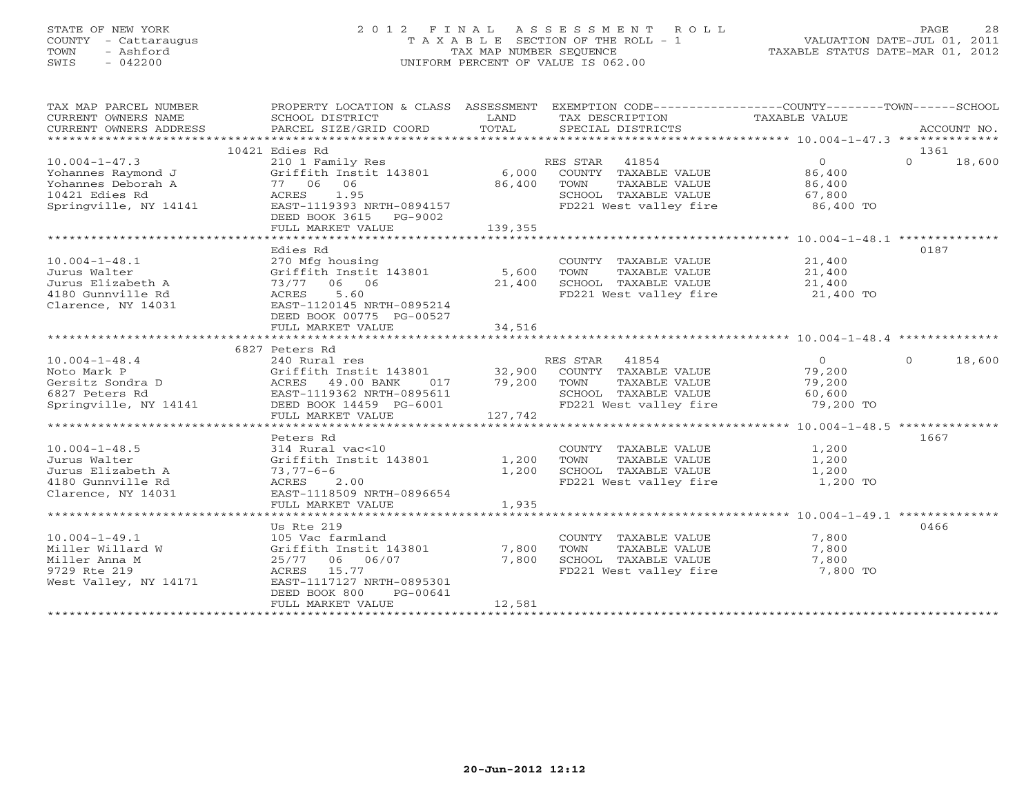## STATE OF NEW YORK 2 0 1 2 F I N A L A S S E S S M E N T R O L L PAGE 28 COUNTY - Cattaraugus T A X A B L E SECTION OF THE ROLL - 1 VALUATION DATE-JUL 01, 2011 TOWN - Ashford TAX MAP NUMBER SEQUENCE TAXABLE STATUS DATE-MAR 01, 2012 SWIS - 042200 UNIFORM PERCENT OF VALUE IS 062.00UNIFORM PERCENT OF VALUE IS 062.00

| TAX MAP PARCEL NUMBER<br>CURRENT OWNERS NAME | PROPERTY LOCATION & CLASS ASSESSMENT EXEMPTION CODE----------------COUNTY-------TOWN------SCHOOL<br>SCHOOL DISTRICT | LAND    | TAX DESCRIPTION TAXABLE VALUE    |                       |                    |
|----------------------------------------------|---------------------------------------------------------------------------------------------------------------------|---------|----------------------------------|-----------------------|--------------------|
| CURRENT OWNERS ADDRESS                       | PARCEL SIZE/GRID COORD                                                                                              | TOTAL   | SPECIAL DISTRICTS                |                       | ACCOUNT NO.        |
|                                              |                                                                                                                     |         |                                  |                       |                    |
|                                              | 10421 Edies Rd                                                                                                      |         |                                  |                       | 1361               |
| $10.004 - 1 - 47.3$                          |                                                                                                                     |         |                                  | $\bigcirc$            | $\Omega$<br>18,600 |
| Yohannes Raymond J                           | 210 1 Family Res<br>Griffith Instit 143801 6,000 COUNTY TAXABLE VALUE                                               |         |                                  | 86,400                |                    |
| Yohannes Deborah A                           | 77 06 06                                                                                                            | 86,400  | TOWN<br>TAXABLE VALUE            | 86,400                |                    |
| 10421 Edies Rd                               | ACRES 1.95                                                                                                          |         | SCHOOL TAXABLE VALUE             |                       |                    |
| Springville, NY 14141                        | ACKES 1.95<br>EAST-1119393 NRTH-0894157                                                                             |         | FD221 West valley fire           |                       |                    |
|                                              | DEED BOOK 3615 PG-9002                                                                                              |         |                                  | $67,000$<br>86,400 TO |                    |
|                                              | FULL MARKET VALUE                                                                                                   | 139,355 |                                  |                       |                    |
|                                              |                                                                                                                     |         |                                  |                       |                    |
|                                              | Edies Rd                                                                                                            |         |                                  |                       |                    |
|                                              |                                                                                                                     |         |                                  |                       | 0187               |
| $10.004 - 1 - 48.1$                          | 270 Mfg housing                                                                                                     |         | COUNTY TAXABLE VALUE             | 21,400                |                    |
| Jurus Walter                                 | Griffith Instit 143801 5,600                                                                                        |         | TAXABLE VALUE<br>TOWN            | 21,400                |                    |
| Jurus Elizabeth A                            | 73/77 06 06                                                                                                         | 21,400  | SCHOOL TAXABLE VALUE             | 21,400                |                    |
| 4180 Gunnville Rd                            | 5.60<br>ACRES                                                                                                       |         | FD221 West valley fire 21,400 TO |                       |                    |
| Clarence, NY 14031                           | EAST-1120145 NRTH-0895214                                                                                           |         |                                  |                       |                    |
|                                              | DEED BOOK 00775 PG-00527                                                                                            |         |                                  |                       |                    |
|                                              | FULL MARKET VALUE                                                                                                   | 34,516  |                                  |                       |                    |
|                                              |                                                                                                                     |         |                                  |                       |                    |
|                                              | 6827 Peters Rd                                                                                                      |         |                                  |                       |                    |
| $10.004 - 1 - 48.4$                          | 240 Rural res                                                                                                       |         | RES STAR 41854                   | $\overline{0}$        | $\Omega$<br>18,600 |
| Noto Mark P                                  | Griffith Instit 143801 32,900                                                                                       |         | COUNTY TAXABLE VALUE             | 79,200                |                    |
| Gersitz Sondra D<br>6827 Peters Rd           | ACRES 49.00 BANK<br>017                                                                                             | 79,200  | TOWN<br>TAXABLE VALUE            | 79,200                |                    |
| 6827 Peters Rd                               | EAST-1119362 NRTH-0895611                                                                                           |         | SCHOOL TAXABLE VALUE             | 60,600                |                    |
| Springville, NY 14141                        | DEED BOOK 14459 PG-6001                                                                                             |         | FD221 West valley fire 39,200 TO |                       |                    |
|                                              | FULL MARKET VALUE                                                                                                   | 127,742 |                                  |                       |                    |
|                                              |                                                                                                                     |         |                                  |                       |                    |
|                                              | Peters Rd                                                                                                           |         |                                  |                       | 1667               |
| $10.004 - 1 - 48.5$                          | 314 Rural vac<10                                                                                                    |         | COUNTY TAXABLE VALUE 1,200       |                       |                    |
| Jurus Walter                                 | Griffith Instit 143801                                                                                              | 1,200   | TOWN<br>TAXABLE VALUE            |                       |                    |
| Jurus Elizabeth A                            | $73,77-6-6$                                                                                                         | 1,200   | SCHOOL TAXABLE VALUE             | $\frac{1}{2}$ , 200   |                    |
| 4180 Gunnville Rd                            | ACRES<br>2.00                                                                                                       |         | FD221 West valley fire 1,200 TO  |                       |                    |
| Clarence, NY 14031                           | EAST-1118509 NRTH-0896654                                                                                           |         |                                  |                       |                    |
|                                              | FULL MARKET VALUE                                                                                                   | 1,935   |                                  |                       |                    |
|                                              |                                                                                                                     |         |                                  |                       |                    |
|                                              | Us Rte 219                                                                                                          |         |                                  |                       | 0466               |
| $10.004 - 1 - 49.1$                          | 105 Vac farmland                                                                                                    |         | COUNTY TAXABLE VALUE             | 7,800                 |                    |
| Miller Willard W                             | Griffith Instit 143801                                                                                              | 7,800   | TOWN<br>TAXABLE VALUE            | 7,800                 |                    |
| Miller Anna M                                | 25/77<br>06 06/07                                                                                                   | 7,800   | SCHOOL TAXABLE VALUE             | 7,800                 |                    |
| 9729 Rte 219                                 | ACRES<br>15.77                                                                                                      |         | FD221 West valley fire           | 7,800 TO              |                    |
| West Valley, NY 14171                        | EAST-1117127 NRTH-0895301                                                                                           |         |                                  |                       |                    |
|                                              | DEED BOOK 800<br>PG-00641                                                                                           |         |                                  |                       |                    |
|                                              | FULL MARKET VALUE                                                                                                   | 12,581  |                                  |                       |                    |
|                                              | *************************                                                                                           |         |                                  |                       |                    |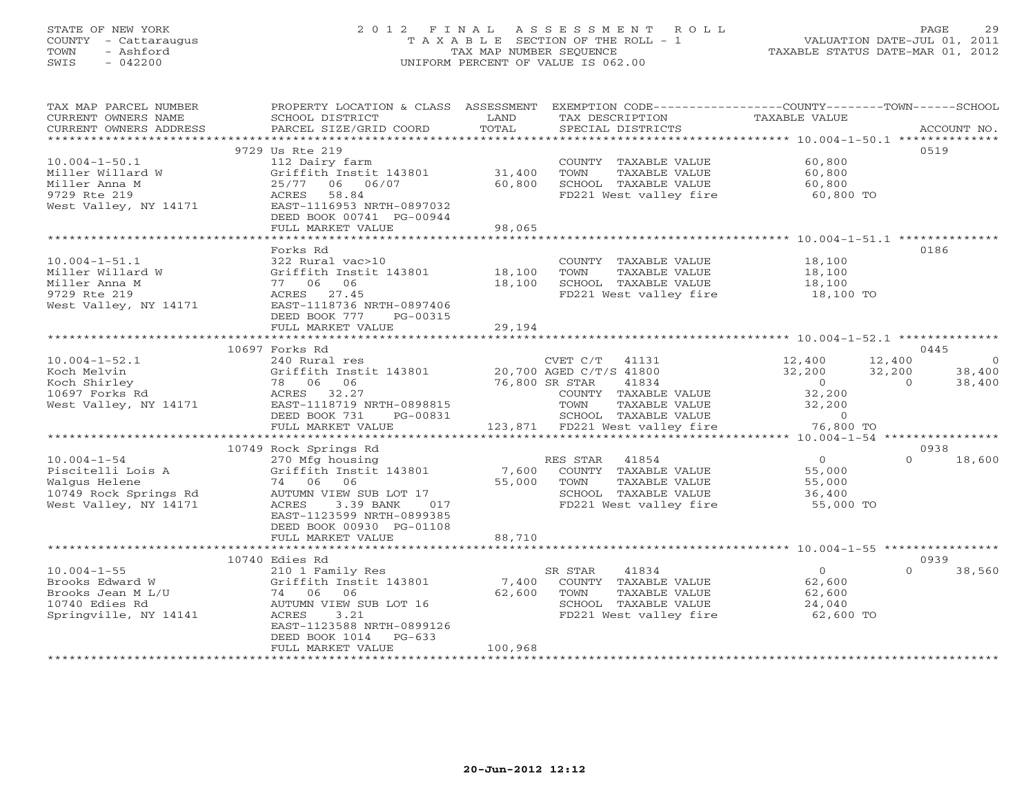## STATE OF NEW YORK 2 0 1 2 F I N A L A S S E S S M E N T R O L L PAGE 29 COUNTY - Cattaraugus T A X A B L E SECTION OF THE ROLL - 1 VALUATION DATE-JUL 01, 2011 TOWN - Ashford TAX MAP NUMBER SEQUENCE TAXABLE STATUS DATE-MAR 01, 2012 SWIS - 042200 UNIFORM PERCENT OF VALUE IS 062.00UNIFORM PERCENT OF VALUE IS 062.00

| TAX MAP PARCEL NUMBER<br>CURRENT OWNERS NAME<br>CURRENT OWNERS ADDRESS<br>***********************         | PROPERTY LOCATION & CLASS ASSESSMENT<br>SCHOOL DISTRICT<br>PARCEL SIZE/GRID COORD                                                                                     | LAND<br>TOTAL    | EXEMPTION CODE-----------------COUNTY-------TOWN------SCHOOL<br>TAX DESCRIPTION<br>SPECIAL DISTRICTS                 | TAXABLE VALUE                                             |                  | ACCOUNT NO.              |
|-----------------------------------------------------------------------------------------------------------|-----------------------------------------------------------------------------------------------------------------------------------------------------------------------|------------------|----------------------------------------------------------------------------------------------------------------------|-----------------------------------------------------------|------------------|--------------------------|
| $10.004 - 1 - 50.1$                                                                                       | 9729 Us Rte 219<br>112 Dairy farm                                                                                                                                     |                  | COUNTY TAXABLE VALUE                                                                                                 | 60,800                                                    |                  | 0519                     |
| Miller Willard W<br>Miller Anna M<br>9729 Rte 219<br>West Valley, NY 14171                                | Griffith Instit 143801<br>25/77 06 06/07<br>ACRES<br>58.84<br>EAST-1116953 NRTH-0897032<br>DEED BOOK 00741 PG-00944                                                   | 31,400<br>60,800 | TOWN<br>TAXABLE VALUE<br>SCHOOL TAXABLE VALUE<br>FD221 West valley fire 60,800 TO                                    | 60,800<br>60,800                                          |                  |                          |
|                                                                                                           | FULL MARKET VALUE<br>*********************************                                                                                                                | 98,065           |                                                                                                                      |                                                           |                  |                          |
|                                                                                                           | Forks Rd                                                                                                                                                              |                  |                                                                                                                      |                                                           |                  | 0186                     |
| $10.004 - 1 - 51.1$<br>Miller Willard W<br>Miller Anna M<br>9729 Rte 219<br>West Valley, NY 14171         | 322 Rural vac>10<br>Griffith Instit 143801<br>77 06 06<br>ACRES 27.45<br>EAST-1118736 NRTH-0897406                                                                    | 18,100<br>18,100 | COUNTY TAXABLE VALUE<br>TAXABLE VALUE<br>TOWN<br>SCHOOL TAXABLE VALUE<br>FD221 West valley fire                      | 18,100<br>18,100<br>18,100<br>18,100 TO                   |                  |                          |
|                                                                                                           | DEED BOOK 777<br>PG-00315<br>FULL MARKET VALUE                                                                                                                        | 29,194           |                                                                                                                      |                                                           |                  |                          |
|                                                                                                           |                                                                                                                                                                       |                  |                                                                                                                      |                                                           |                  |                          |
|                                                                                                           | 10697 Forks Rd                                                                                                                                                        |                  |                                                                                                                      |                                                           |                  | 0445                     |
| $10.004 - 1 - 52.1$<br>Koch Melvin                                                                        | 240 Rural res<br>Griffith Instit 143801 20,700 AGED C/T/S 41800                                                                                                       |                  | CVET C/T 41131                                                                                                       | 12,400<br>32,200                                          | 12,400<br>32,200 | $\overline{0}$<br>38,400 |
| Koch Shirley<br>10697 Forks Rd<br>West Valley, NY 14171                                                   | 78 06 06<br>ACRES 32.27<br>EAST-1118719 NRTH-0898815<br>DEED BOOK 731<br>PG-00831                                                                                     | 76,800 SR STAR   | 41834<br>COUNTY TAXABLE VALUE<br>TOWN<br>TAXABLE VALUE<br>SCHOOL TAXABLE VALUE                                       | $\overline{0}$<br>32,200<br>32,200<br>$\sim$ 0            | $\Omega$         | 38,400                   |
|                                                                                                           | FULL MARKET VALUE                                                                                                                                                     |                  | 123,871 FD221 West valley fire                                                                                       | 76,800 TO                                                 |                  |                          |
|                                                                                                           | 10749 Rock Springs Rd                                                                                                                                                 |                  |                                                                                                                      |                                                           |                  | 0938                     |
| $10.004 - 1 - 54$<br>Piscitelli Lois A<br>Walgus Helene<br>10749 Rock Springs Rd<br>West Valley, NY 14171 | 270 Mfg housing<br>Griffith Instit 143801<br>74 06 06<br>AUTUMN VIEW SUB LOT 17<br>017<br>ACRES<br>3.39 BANK<br>EAST-1123599 NRTH-0899385<br>DEED BOOK 00930 PG-01108 | 7,600<br>55,000  | RES STAR<br>41854<br>COUNTY TAXABLE VALUE<br>TOWN<br>TAXABLE VALUE<br>SCHOOL TAXABLE VALUE<br>FD221 West valley fire | $\overline{0}$<br>55,000<br>55,000<br>36,400<br>55,000 TO | $\Omega$         | 18,600                   |
|                                                                                                           | FULL MARKET VALUE                                                                                                                                                     | 88,710           |                                                                                                                      |                                                           |                  |                          |
|                                                                                                           |                                                                                                                                                                       |                  |                                                                                                                      |                                                           |                  |                          |
|                                                                                                           | 10740 Edies Rd                                                                                                                                                        |                  |                                                                                                                      |                                                           |                  | 0939                     |
| $10.004 - 1 - 55$<br>Brooks Edward W<br>Brooks Jean M L/U<br>10740 Edies Rd<br>Springville, NY 14141      | 210 1 Family Res<br>Griffith Instit 143801<br>74 06 06<br>AUTUMN VIEW SUB LOT 16<br>ACRES<br>3.21<br>EAST-1123588 NRTH-0899126<br>DEED BOOK 1014<br>$PG-633$          | 7,400<br>62,600  | SR STAR<br>41834<br>COUNTY TAXABLE VALUE<br>TOWN<br>TAXABLE VALUE<br>SCHOOL TAXABLE VALUE<br>FD221 West valley fire  | $\overline{O}$<br>62,600<br>62,600<br>24,040<br>62,600 TO | $\Omega$         | 38,560                   |
|                                                                                                           | FULL MARKET VALUE                                                                                                                                                     | 100,968          |                                                                                                                      |                                                           |                  |                          |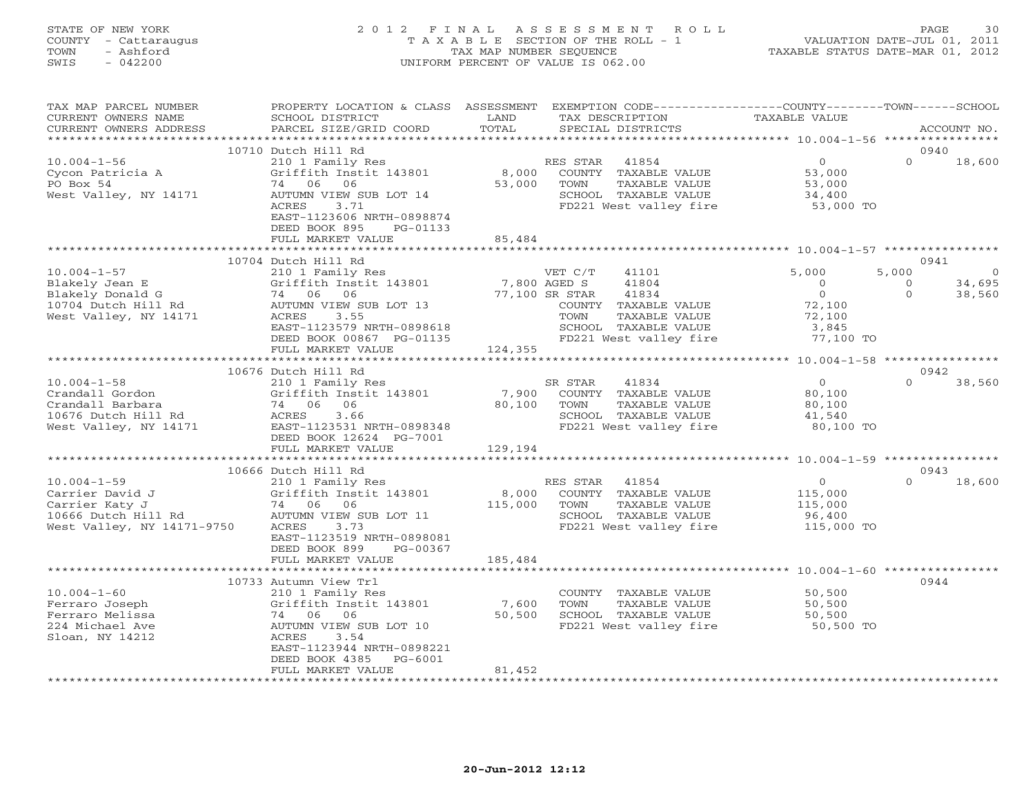### STATE OF NEW YORK 2 0 1 2 F I N A L A S S E S S M E N T R O L L PAGE 30 COUNTY - Cattaraugus T A X A B L E SECTION OF THE ROLL - 1 VALUATION DATE-JUL 01, 2011 TOWN - Ashford TAX MAP NUMBER SEQUENCE TAXABLE STATUS DATE-MAR 01, 2012 SWIS - 042200 UNIFORM PERCENT OF VALUE IS 062.00UNIFORM PERCENT OF VALUE IS 062.00

| TAX MAP PARCEL NUMBER<br>CURRENT OWNERS NAME<br>CURRENT OWNERS ADDRESS                                      | PROPERTY LOCATION & CLASS ASSESSMENT<br>SCHOOL DISTRICT<br>PARCEL SIZE/GRID COORD                                                                                                                                 | LAND<br>TOTAL               | EXEMPTION CODE-----------------COUNTY-------TOWN------SCHOOL<br>TAX DESCRIPTION<br>SPECIAL DISTRICTS                                                                    | <b>TAXABLE VALUE</b>                                                   |                              | ACCOUNT NO.                                |
|-------------------------------------------------------------------------------------------------------------|-------------------------------------------------------------------------------------------------------------------------------------------------------------------------------------------------------------------|-----------------------------|-------------------------------------------------------------------------------------------------------------------------------------------------------------------------|------------------------------------------------------------------------|------------------------------|--------------------------------------------|
| **********************                                                                                      |                                                                                                                                                                                                                   |                             |                                                                                                                                                                         |                                                                        |                              |                                            |
| $10.004 - 1 - 56$<br>Cycon Patricia A<br>PO Box 54<br>West Valley, NY 14171                                 | 10710 Dutch Hill Rd<br>210 1 Family Res<br>Griffith Instit 143801<br>74 06<br>06<br>AUTUMN VIEW SUB LOT 14<br><b>ACRES</b><br>3.71<br>EAST-1123606 NRTH-0898874<br>DEED BOOK 895<br>PG-01133<br>FULL MARKET VALUE | 8,000<br>53,000<br>85,484   | RES STAR<br>41854<br>COUNTY TAXABLE VALUE<br>TOWN<br>TAXABLE VALUE<br>SCHOOL TAXABLE VALUE<br>FD221 West valley fire                                                    | $\Omega$<br>53,000<br>53,000<br>34,400<br>53,000 TO                    | $\Omega$                     | 0940<br>18,600                             |
|                                                                                                             |                                                                                                                                                                                                                   | ***********                 |                                                                                                                                                                         | ********************** 10.004-1-57 *****************                   |                              |                                            |
| $10.004 - 1 - 57$<br>Blakely Jean E<br>Blakely Donald G<br>10704 Dutch Hill Rd<br>West Valley, NY 14171     | 10704 Dutch Hill Rd<br>210 1 Family Res<br>Griffith Instit 143801<br>74 06<br>06<br>AUTUMN VIEW SUB LOT 13<br>ACRES<br>3.55<br>EAST-1123579 NRTH-0898618<br>DEED BOOK 00867 PG-01135<br>FULL MARKET VALUE         | 124,355                     | VET C/T<br>41101<br>7,800 AGED S<br>41804<br>77,100 SR STAR<br>41834<br>COUNTY TAXABLE VALUE<br>TOWN<br>TAXABLE VALUE<br>SCHOOL TAXABLE VALUE<br>FD221 West valley fire | 5,000<br>$\circ$<br>$\Omega$<br>72,100<br>72,100<br>3,845<br>77,100 TO | 5,000<br>$\circ$<br>$\Omega$ | 0941<br>$\overline{0}$<br>34,695<br>38,560 |
|                                                                                                             |                                                                                                                                                                                                                   |                             |                                                                                                                                                                         |                                                                        |                              |                                            |
| $10.004 - 1 - 58$<br>Crandall Gordon<br>Crandall Barbara<br>10676 Dutch Hill Rd<br>West Valley, NY 14171    | 10676 Dutch Hill Rd<br>210 1 Family Res<br>Griffith Instit 143801<br>74 06 06<br>3.66<br>ACRES<br>EAST-1123531 NRTH-0898348<br>DEED BOOK 12624 PG-7001<br>FULL MARKET VALUE                                       | 7,900<br>80,100<br>129,194  | 41834<br>SR STAR<br>COUNTY TAXABLE VALUE<br>TOWN<br>TAXABLE VALUE<br>SCHOOL TAXABLE VALUE<br>FD221 West valley fire                                                     | $\overline{0}$<br>80,100<br>80,100<br>41,540<br>80,100 TO              | $\Omega$                     | 0942<br>38,560                             |
|                                                                                                             |                                                                                                                                                                                                                   |                             | ********************************* 10.004-1-59 *******                                                                                                                   |                                                                        |                              | 0943                                       |
| $10.004 - 1 - 59$<br>Carrier David J<br>Carrier Katy J<br>10666 Dutch Hill Rd<br>West Valley, NY 14171-9750 | 10666 Dutch Hill Rd<br>210 1 Family Res<br>Griffith Instit 143801<br>74 06 06<br>AUTUMN VIEW SUB LOT 11<br>ACRES<br>3.73<br>EAST-1123519 NRTH-0898081<br>DEED BOOK 899<br>PG-00367<br>FULL MARKET VALUE           | 8,000<br>115,000<br>185,484 | RES STAR<br>41854<br>COUNTY TAXABLE VALUE<br>TOWN<br>TAXABLE VALUE<br>SCHOOL TAXABLE VALUE<br>FD221 West valley fire                                                    | $\circ$<br>115,000<br>115,000<br>96,400<br>115,000 TO                  | $\Omega$                     | 18,600                                     |
|                                                                                                             |                                                                                                                                                                                                                   |                             |                                                                                                                                                                         |                                                                        |                              |                                            |
| $10.004 - 1 - 60$<br>Ferraro Joseph<br>Ferraro Melissa<br>224 Michael Ave<br>Sloan, NY 14212                | 10733 Autumn View Trl<br>210 1 Family Res<br>Griffith Instit 143801<br>74 06<br>06<br>AUTUMN VIEW SUB LOT 10<br>ACRES<br>3.54<br>EAST-1123944 NRTH-0898221<br>DEED BOOK 4385<br>PG-6001<br>FULL MARKET VALUE      | 7,600<br>50,500<br>81,452   | COUNTY TAXABLE VALUE<br>TAXABLE VALUE<br>TOWN<br>SCHOOL TAXABLE VALUE<br>FD221 West valley fire                                                                         | 50,500<br>50,500<br>50,500<br>50,500 TO                                |                              | 0944                                       |
|                                                                                                             |                                                                                                                                                                                                                   |                             |                                                                                                                                                                         |                                                                        |                              |                                            |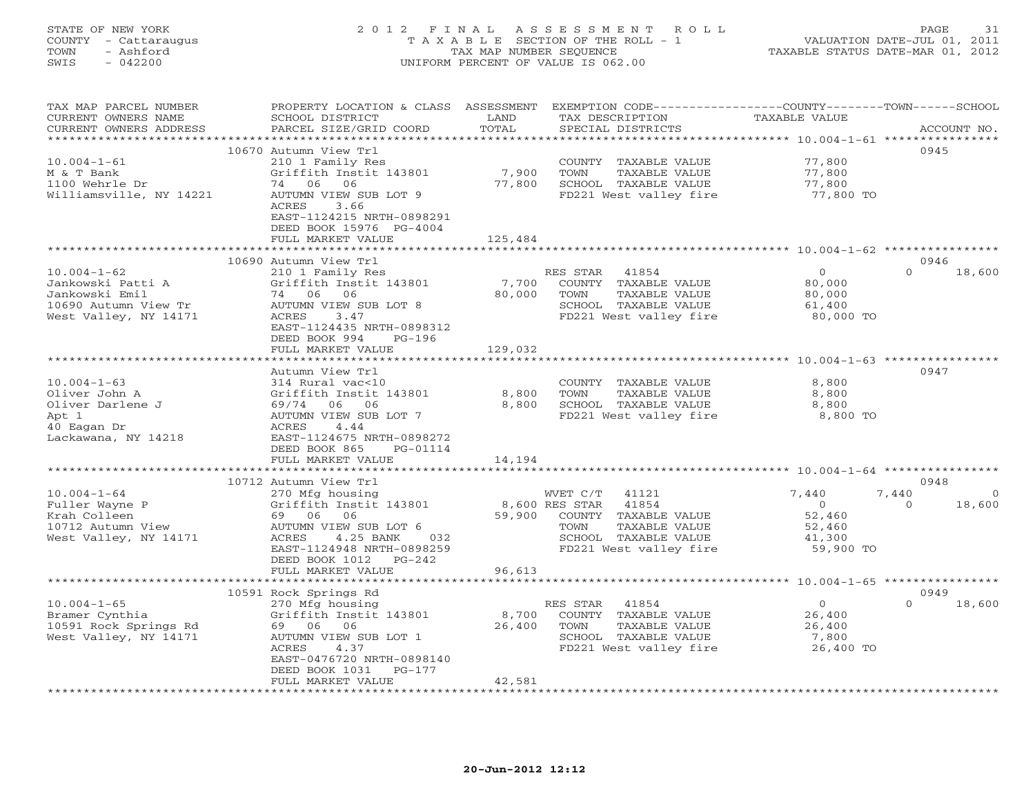#### STATE OF NEW YORK 2 0 1 2 F I N A L A S S E S S M E N T R O L L PAGE 31 COUNTY - Cattaraugus T A X A B L E SECTION OF THE ROLL - 1 VALUATION DATE-JUL 01, 2011 TOWN - Ashford TAX MAP NUMBER SEQUENCE TAXABLE STATUS DATE-MAR 01, 2012 SWIS - 042200 UNIFORM PERCENT OF VALUE IS 062.00UNIFORM PERCENT OF VALUE IS 062.00

| TAX MAP PARCEL NUMBER   | PROPERTY LOCATION & CLASS ASSESSMENT EXEMPTION CODE----------------COUNTY-------TOWN------SCHOOL |                |                        |                |                    |
|-------------------------|--------------------------------------------------------------------------------------------------|----------------|------------------------|----------------|--------------------|
| CURRENT OWNERS NAME     | SCHOOL DISTRICT                                                                                  | LAND           | TAX DESCRIPTION        | TAXABLE VALUE  |                    |
| CURRENT OWNERS ADDRESS  | PARCEL SIZE/GRID COORD                                                                           | TOTAL          | SPECIAL DISTRICTS      |                | ACCOUNT NO.        |
|                         |                                                                                                  |                |                        |                |                    |
|                         | 10670 Autumn View Trl                                                                            |                |                        |                | 0945               |
| $10.004 - 1 - 61$       | 210 1 Family Res                                                                                 |                | COUNTY TAXABLE VALUE   | 77,800         |                    |
| M & T Bank              | Griffith Instit 143801                                                                           | 7,900          | TOWN<br>TAXABLE VALUE  | 77,800         |                    |
| 1100 Wehrle Dr          | 74 06 06                                                                                         | 77,800         | SCHOOL TAXABLE VALUE   | 77,800         |                    |
| Williamsville, NY 14221 | AUTUMN VIEW SUB LOT 9<br>3.66                                                                    |                | FD221 West valley fire | 77,800 TO      |                    |
|                         | ACRES                                                                                            |                |                        |                |                    |
|                         | EAST-1124215 NRTH-0898291                                                                        |                |                        |                |                    |
|                         | DEED BOOK 15976 PG-4004<br>FULL MARKET VALUE                                                     | 125,484        |                        |                |                    |
|                         |                                                                                                  |                |                        |                |                    |
|                         | 10690 Autumn View Trl                                                                            |                |                        |                | 0946               |
| $10.004 - 1 - 62$       | 210 1 Family Res                                                                                 |                | RES STAR 41854         | $\overline{O}$ | $\Omega$<br>18,600 |
| Jankowski Patti A       | Griffith Instit 143801                                                                           | 7,700          | COUNTY TAXABLE VALUE   | 80,000         |                    |
| Jankowski Emil          | 74 06 06                                                                                         | 80,000         | TOWN<br>TAXABLE VALUE  | 80,000         |                    |
| 10690 Autumn View Tr    | AUTUMN VIEW SUB LOT 8                                                                            |                | SCHOOL TAXABLE VALUE   | 61,400         |                    |
| West Valley, NY 14171   | ACRES<br>3.47                                                                                    |                | FD221 West valley fire | 80,000 TO      |                    |
|                         | EAST-1124435 NRTH-0898312                                                                        |                |                        |                |                    |
|                         | DEED BOOK 994<br>PG-196                                                                          |                |                        |                |                    |
|                         | FULL MARKET VALUE                                                                                | 129,032        |                        |                |                    |
|                         |                                                                                                  |                |                        |                |                    |
|                         | Autumn View Trl                                                                                  |                |                        |                | 0947               |
| $10.004 - 1 - 63$       | 314 Rural vac<10                                                                                 |                | COUNTY TAXABLE VALUE   | 8,800          |                    |
| Oliver John A           | Griffith Instit 143801                                                                           | 8,800          | TAXABLE VALUE<br>TOWN  | 8,800          |                    |
| Oliver Darlene J        | 69/74<br>06 06                                                                                   | 8,800          | SCHOOL TAXABLE VALUE   | 8,800          |                    |
| Apt 1                   | AUTUMN VIEW SUB LOT 7                                                                            |                | FD221 West valley fire | 8,800 TO       |                    |
| 40 Eagan Dr             | ACRES<br>4.44                                                                                    |                |                        |                |                    |
| Lackawana, NY 14218     | EAST-1124675 NRTH-0898272                                                                        |                |                        |                |                    |
|                         | DEED BOOK 865<br>PG-01114                                                                        |                |                        |                |                    |
|                         | FULL MARKET VALUE                                                                                | 14,194         |                        |                |                    |
|                         |                                                                                                  |                |                        |                |                    |
|                         | 10712 Autumn View Trl                                                                            |                |                        |                | 0948               |
| $10.004 - 1 - 64$       | 270 Mfg housing                                                                                  |                | WVET C/T<br>41121      | 7,440          | 7,440<br>$\circ$   |
| Fuller Wayne P          | Griffith Instit 143801                                                                           | 8,600 RES STAR | 41854                  | $\Omega$       | 18,600<br>$\Omega$ |
| Krah Colleen            | 69 06 06                                                                                         | 59,900         | COUNTY TAXABLE VALUE   | 52,460         |                    |
| 10712 Autumn View       | AUTUMN VIEW SUB LOT 6                                                                            |                | TOWN<br>TAXABLE VALUE  | 52,460         |                    |
| West Valley, NY 14171   | ACRES<br>4.25 BANK<br>032                                                                        |                | SCHOOL TAXABLE VALUE   | 41,300         |                    |
|                         | EAST-1124948 NRTH-0898259                                                                        |                | FD221 West valley fire | 59,900 TO      |                    |
|                         | DEED BOOK 1012 PG-242                                                                            |                |                        |                |                    |
|                         | FULL MARKET VALUE                                                                                | 96,613         |                        |                |                    |
|                         |                                                                                                  |                |                        |                |                    |
|                         | 10591 Rock Springs Rd                                                                            |                |                        |                | 0949               |
| $10.004 - 1 - 65$       | 270 Mfg housing                                                                                  |                | RES STAR<br>41854      | $\overline{O}$ | $\Omega$<br>18,600 |
| Bramer Cynthia          | Griffith Instit 143801                                                                           | 8,700          | COUNTY TAXABLE VALUE   | 26,400         |                    |
| 10591 Rock Springs Rd   | 69 06 06                                                                                         | 26,400         | TOWN<br>TAXABLE VALUE  | 26,400         |                    |
| West Valley, NY 14171   | AUTUMN VIEW SUB LOT 1                                                                            |                | SCHOOL TAXABLE VALUE   | 7,800          |                    |
|                         | <b>ACRES</b><br>4.37                                                                             |                | FD221 West valley fire | 26,400 TO      |                    |
|                         | EAST-0476720 NRTH-0898140                                                                        |                |                        |                |                    |
|                         | DEED BOOK 1031<br>$PG-177$                                                                       |                |                        |                |                    |
|                         | FULL MARKET VALUE                                                                                | 42,581         |                        |                |                    |
|                         |                                                                                                  |                |                        |                |                    |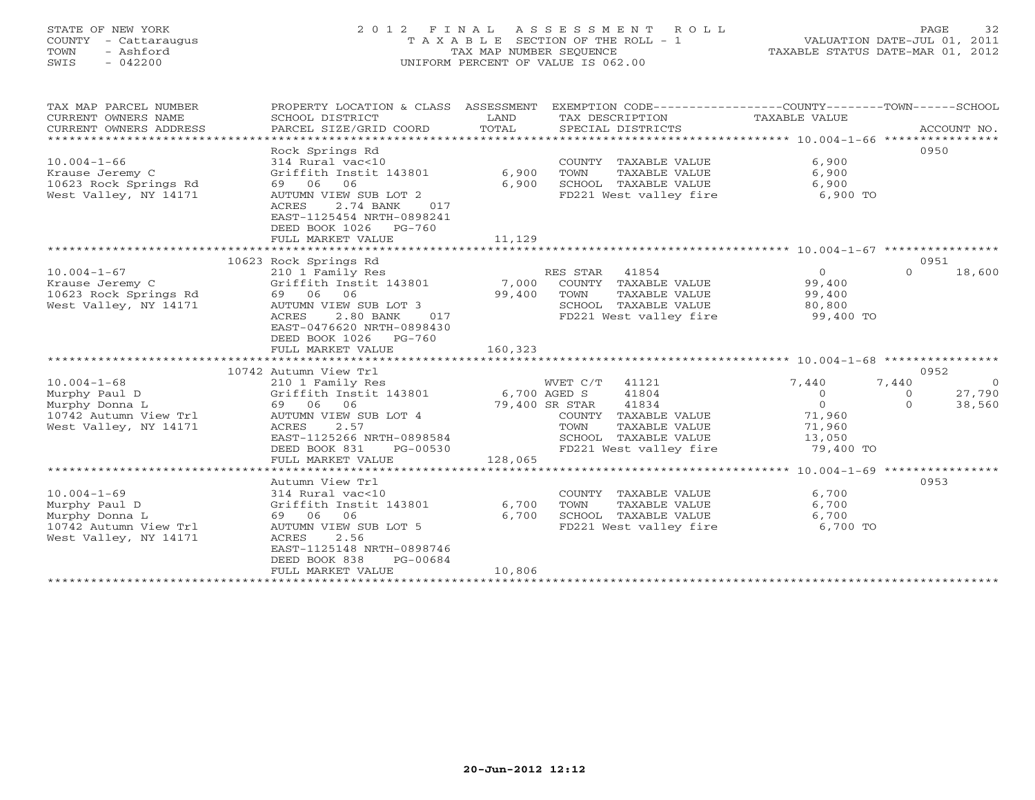## STATE OF NEW YORK 2 0 1 2 F I N A L A S S E S S M E N T R O L L PAGE 32 COUNTY - Cattaraugus T A X A B L E SECTION OF THE ROLL - 1 VALUATION DATE-JUL 01, 2011 TOWN - Ashford TAX MAP NUMBER SEQUENCE TAXABLE STATUS DATE-MAR 01, 2012 SWIS - 042200 UNIFORM PERCENT OF VALUE IS 062.00UNIFORM PERCENT OF VALUE IS 062.00

| TAX MAP PARCEL NUMBER<br>CURRENT OWNERS NAME<br>CURRENT OWNERS ADDRESS<br>******************           | PROPERTY LOCATION & CLASS ASSESSMENT<br>SCHOOL DISTRICT<br>PARCEL SIZE/GRID COORD                                                                                                                                   | LAND<br>TOTAL                             | EXEMPTION CODE-----------------COUNTY-------TOWN------SCHOOL<br>TAX DESCRIPTION<br>SPECIAL DISTRICTS                                   | TAXABLE VALUE                                                           |                                      | ACCOUNT NO.                        |
|--------------------------------------------------------------------------------------------------------|---------------------------------------------------------------------------------------------------------------------------------------------------------------------------------------------------------------------|-------------------------------------------|----------------------------------------------------------------------------------------------------------------------------------------|-------------------------------------------------------------------------|--------------------------------------|------------------------------------|
| $10.004 - 1 - 66$<br>Krause Jeremy C<br>10623 Rock Springs Rd<br>West Valley, NY 14171                 | Rock Springs Rd<br>314 Rural vac<10<br>Griffith Instit 143801<br>06<br>06<br>69<br>AUTUMN VIEW SUB LOT 2<br>2.74 BANK<br>ACRES<br>017<br>EAST-1125454 NRTH-0898241<br>DEED BOOK 1026<br>PG-760<br>FULL MARKET VALUE | 6,900<br>6,900<br>11,129                  | COUNTY TAXABLE VALUE<br>TOWN<br>TAXABLE VALUE<br>SCHOOL TAXABLE VALUE<br>FD221 West valley fire                                        | 6,900<br>6,900<br>6,900<br>6,900 TO                                     | 0950                                 |                                    |
|                                                                                                        |                                                                                                                                                                                                                     |                                           |                                                                                                                                        |                                                                         |                                      |                                    |
| $10.004 - 1 - 67$<br>Krause Jeremy C<br>10623 Rock Springs Rd<br>West Valley, NY 14171                 | 10623 Rock Springs Rd<br>210 1 Family Res<br>Griffith Instit 143801<br>69 06<br>06<br>AUTUMN VIEW SUB LOT 3<br>2.80 BANK<br>ACRES<br>017<br>EAST-0476620 NRTH-0898430<br>DEED BOOK 1026 PG-760<br>FULL MARKET VALUE | 7,000<br>99,400<br>160,323                | RES STAR 41854<br>COUNTY TAXABLE VALUE<br>TOWN<br>TAXABLE VALUE<br>SCHOOL TAXABLE VALUE<br>FD221 West valley fire                      | $\Omega$<br>99,400<br>99,400<br>80,800<br>99,400 TO                     | 0951<br>$\Omega$                     | 18,600                             |
|                                                                                                        |                                                                                                                                                                                                                     |                                           |                                                                                                                                        |                                                                         |                                      |                                    |
| $10.004 - 1 - 68$<br>Murphy Paul D<br>Murphy Donna L<br>10742 Autumn View Trl<br>West Valley, NY 14171 | 10742 Autumn View Trl<br>210 1 Family Res<br>Griffith Instit 143801<br>69 06<br>06<br>AUTUMN VIEW SUB LOT 4<br>2.57<br>ACRES<br>EAST-1125266 NRTH-0898584<br>DEED BOOK 831<br>PG-00530<br>FULL MARKET VALUE         | 6,700 AGED S<br>79,400 SR STAR<br>128,065 | WVET C/T<br>41121<br>41804<br>41834<br>COUNTY TAXABLE VALUE<br>TOWN<br>TAXABLE VALUE<br>SCHOOL TAXABLE VALUE<br>FD221 West valley fire | 7,440<br>$\circ$<br>$\Omega$<br>71,960<br>71,960<br>13,050<br>79,400 TO | 0952<br>7,440<br>$\circ$<br>$\Omega$ | $\overline{0}$<br>27,790<br>38,560 |
|                                                                                                        | ***********************                                                                                                                                                                                             | **********                                |                                                                                                                                        | ********* 10.004-1-69 *****************                                 |                                      |                                    |
| $10.004 - 1 - 69$<br>Murphy Paul D<br>Murphy Donna L<br>10742 Autumn View Trl<br>West Valley, NY 14171 | Autumn View Trl<br>314 Rural vac<10<br>Griffith Instit 143801<br>69 06<br>06<br>AUTUMN VIEW SUB LOT 5<br>2.56<br>ACRES<br>EAST-1125148 NRTH-0898746<br>DEED BOOK 838<br>PG-00684<br>FULL MARKET VALUE               | 6,700<br>6,700<br>10,806                  | COUNTY TAXABLE VALUE<br>TOWN<br>TAXABLE VALUE<br>SCHOOL TAXABLE VALUE<br>FD221 West valley fire                                        | 6,700<br>6,700<br>6,700<br>6,700 TO                                     | 0953                                 |                                    |
|                                                                                                        |                                                                                                                                                                                                                     |                                           |                                                                                                                                        |                                                                         |                                      |                                    |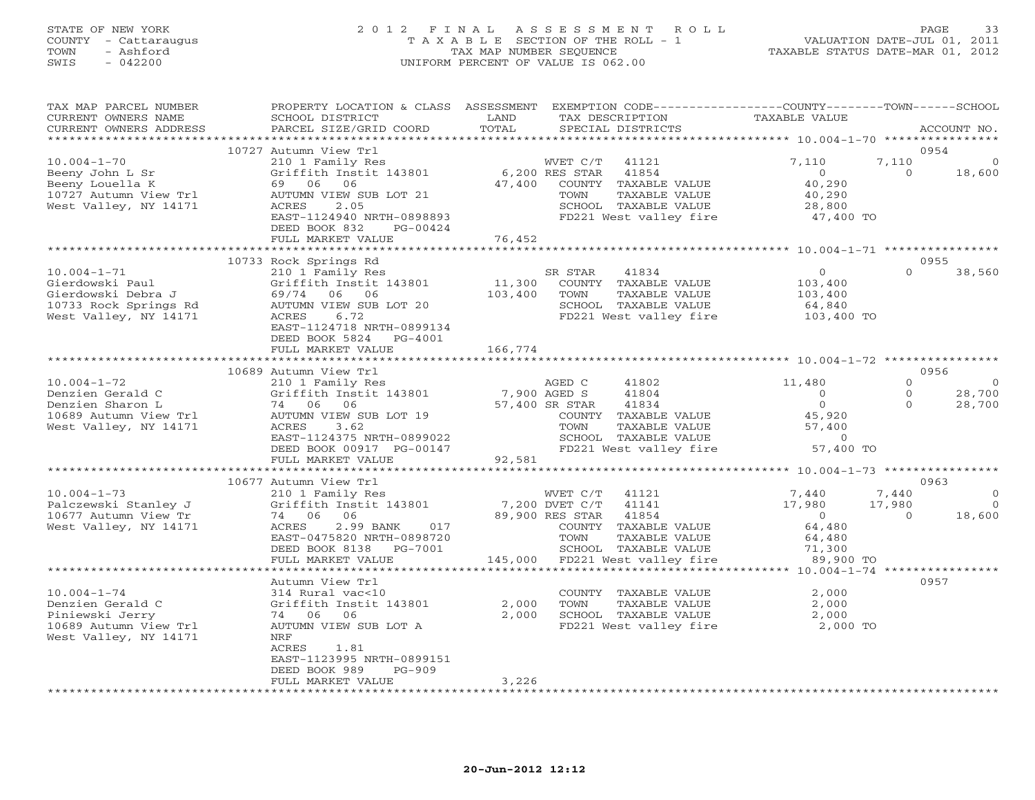## STATE OF NEW YORK 2 0 1 2 F I N A L A S S E S S M E N T R O L L PAGE 33 COUNTY - Cattaraugus T A X A B L E SECTION OF THE ROLL - 1 VALUATION DATE-JUL 01, 2011 TOWN - Ashford TAX MAP NUMBER SEQUENCE TAXABLE STATUS DATE-MAR 01, 2012 SWIS - 042200 UNIFORM PERCENT OF VALUE IS 062.00UNIFORM PERCENT OF VALUE IS 062.00

| TAX MAP PARCEL NUMBER<br>CURRENT OWNERS NAME<br>CURRENT OWNERS ADDRESS                                       | PROPERTY LOCATION & CLASS ASSESSMENT<br>SCHOOL DISTRICT<br>PARCEL SIZE/GRID COORD                                                                                                       | LAND<br>TOTAL     | EXEMPTION CODE-----------------COUNTY-------TOWN------SCHOOL<br>TAX DESCRIPTION<br>SPECIAL DISTRICTS                                              | TAXABLE VALUE                                                      |                             | ACCOUNT NO.                     |
|--------------------------------------------------------------------------------------------------------------|-----------------------------------------------------------------------------------------------------------------------------------------------------------------------------------------|-------------------|---------------------------------------------------------------------------------------------------------------------------------------------------|--------------------------------------------------------------------|-----------------------------|---------------------------------|
| ***********************                                                                                      |                                                                                                                                                                                         |                   |                                                                                                                                                   |                                                                    |                             |                                 |
|                                                                                                              | 10727 Autumn View Trl                                                                                                                                                                   |                   |                                                                                                                                                   |                                                                    |                             | 0954                            |
| $10.004 - 1 - 70$<br>Beeny John L Sr<br>Beeny Louella K<br>10727 Autumn View Trl<br>West Valley, NY 14171    | 210 1 Family Res<br>Griffith Instit 143801<br>69 06 06<br>AUTUMN VIEW SUB LOT 21<br>ACRES<br>2.05<br>EAST-1124940 NRTH-0898893<br>DEED BOOK 832<br>PG-00424                             | 47,400            | WVET C/T<br>41121<br>6,200 RES STAR<br>41854<br>COUNTY TAXABLE VALUE<br>TAXABLE VALUE<br>TOWN<br>SCHOOL TAXABLE VALUE<br>FD221 West valley fire   | 7,110<br>$\overline{0}$<br>40,290<br>40,290<br>28,800<br>47,400 TO | 7,110<br>$\Omega$           | 0<br>18,600                     |
|                                                                                                              | FULL MARKET VALUE                                                                                                                                                                       | 76,452            |                                                                                                                                                   |                                                                    |                             |                                 |
|                                                                                                              |                                                                                                                                                                                         | ************      |                                                                                                                                                   | ********************** 10.004-1-71 *****************               |                             |                                 |
| $10.004 - 1 - 71$<br>Gierdowski Paul<br>Gierdowski Debra J<br>10733 Rock Springs Rd<br>West Valley, NY 14171 | 10733 Rock Springs Rd<br>210 1 Family Res<br>Griffith Instit 143801<br>69/74 06 06<br>AUTUMN VIEW SUB LOT 20<br>6.72<br>ACRES<br>EAST-1124718 NRTH-0899134<br>DEED BOOK 5824<br>PG-4001 | 11,300<br>103,400 | SR STAR<br>41834<br>COUNTY TAXABLE VALUE<br>TOWN<br>TAXABLE VALUE<br>SCHOOL TAXABLE VALUE<br>FD221 West valley fire                               | $\overline{0}$<br>103,400<br>103,400<br>64,840<br>103,400 TO       | $\Omega$                    | 0955<br>38,560                  |
|                                                                                                              | FULL MARKET VALUE<br>************************                                                                                                                                           | 166,774           |                                                                                                                                                   |                                                                    |                             |                                 |
|                                                                                                              | 10689 Autumn View Trl                                                                                                                                                                   |                   |                                                                                                                                                   |                                                                    |                             | 0956                            |
| $10.004 - 1 - 72$                                                                                            | 210 1 Family Res                                                                                                                                                                        |                   | AGED C<br>41802                                                                                                                                   | 11,480                                                             | $\Omega$                    | $\overline{0}$                  |
| Denzien Gerald C                                                                                             | Griffith Instit 143801                                                                                                                                                                  | 7,900 AGED S      | 41804                                                                                                                                             | $\overline{0}$                                                     | $\mathbf 0$                 | 28,700                          |
| Denzien Sharon L                                                                                             | 74 06 06                                                                                                                                                                                |                   | 57,400 SR STAR<br>41834                                                                                                                           | $\circ$                                                            | $\Omega$                    | 28,700                          |
| 10689 Autumn View Trl<br>West Valley, NY 14171                                                               | AUTUMN VIEW SUB LOT 19<br>ACRES<br>3.62<br>EAST-1124375 NRTH-0899022                                                                                                                    |                   | COUNTY TAXABLE VALUE<br>TOWN<br>TAXABLE VALUE<br>SCHOOL TAXABLE VALUE<br>FD221 West valley fire                                                   | 45,920<br>57,400<br>$\overline{0}$<br>57,400 TO                    |                             |                                 |
|                                                                                                              | DEED BOOK 00917 PG-00147<br>FULL MARKET VALUE                                                                                                                                           | 92,581            |                                                                                                                                                   |                                                                    |                             |                                 |
|                                                                                                              | ********************************                                                                                                                                                        |                   |                                                                                                                                                   |                                                                    |                             |                                 |
|                                                                                                              | 10677 Autumn View Trl                                                                                                                                                                   |                   |                                                                                                                                                   |                                                                    |                             | 0963                            |
| $10.004 - 1 - 73$<br>Palczewski Stanley J<br>10677 Autumn View Tr<br>West Valley, NY 14171                   | 210 1 Family Res<br>Griffith Instit 143801<br>74 06 06<br>2.99 BANK<br>ACRES<br>017<br>EAST-0475820 NRTH-0898720<br>DEED BOOK 8138<br>PG-7001                                           |                   | WVET C/T<br>41121<br>7,200 DVET C/T<br>41141<br>89,900 RES STAR<br>41854<br>COUNTY TAXABLE VALUE<br>TOWN<br>TAXABLE VALUE<br>SCHOOL TAXABLE VALUE | 7,440<br>17,980<br>$\overline{0}$<br>64,480<br>64,480<br>71,300    | 7,440<br>17,980<br>$\Omega$ | $\circ$<br>$\bigcirc$<br>18,600 |
|                                                                                                              | FULL MARKET VALUE                                                                                                                                                                       |                   | 145,000 FD221 West valley fire                                                                                                                    | 89,900 TO                                                          |                             |                                 |
|                                                                                                              |                                                                                                                                                                                         |                   |                                                                                                                                                   |                                                                    |                             |                                 |
| $10.004 - 1 - 74$<br>Denzien Gerald C<br>Piniewski Jerry<br>10689 Autumn View Trl<br>West Valley, NY 14171   | Autumn View Trl<br>314 Rural vac<10<br>Griffith Instit 143801<br>74 06 06<br>AUTUMN VIEW SUB LOT A<br>NRF<br>ACRES 1.81<br>EAST-1123995 NRTH-0899151                                    | 2,000<br>2,000    | COUNTY TAXABLE VALUE<br>TOWN<br>TAXABLE VALUE<br>SCHOOL TAXABLE VALUE<br>FD221 West valley fire                                                   | 2,000<br>2,000<br>2,000<br>2,000 TO                                |                             | 0957                            |
|                                                                                                              | DEED BOOK 989<br>$PG-909$<br>FULL MARKET VALUE                                                                                                                                          | 3,226             |                                                                                                                                                   |                                                                    |                             |                                 |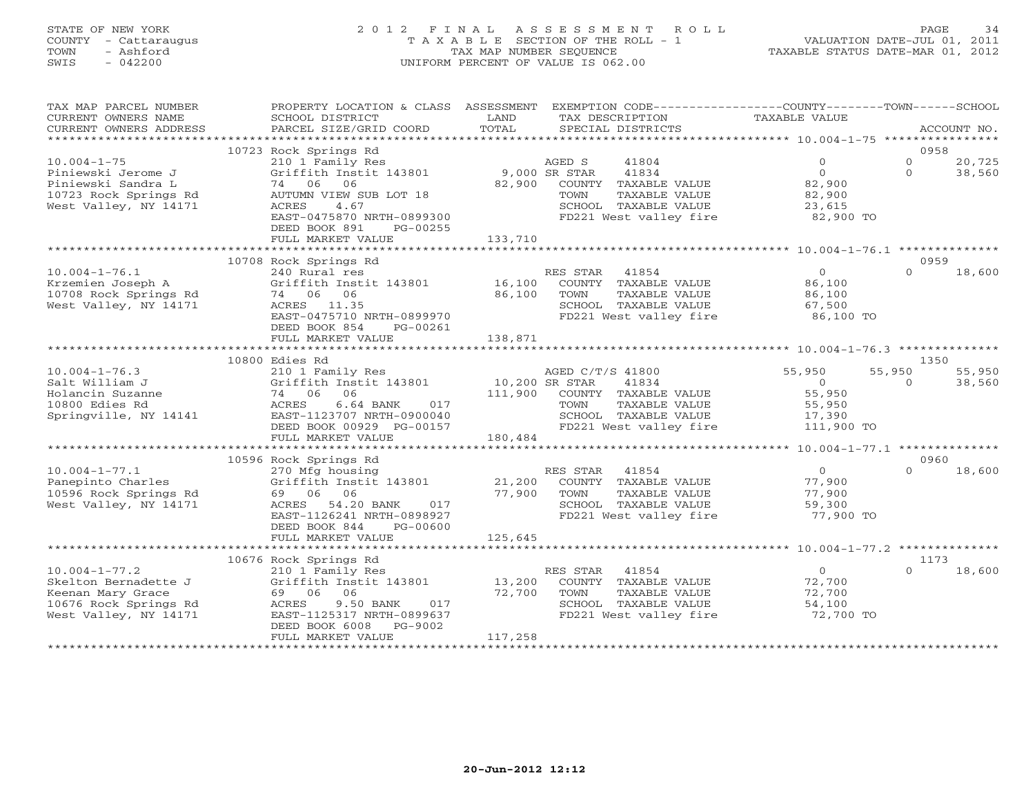## STATE OF NEW YORK 2 0 1 2 F I N A L A S S E S S M E N T R O L L PAGE 34 COUNTY - Cattaraugus T A X A B L E SECTION OF THE ROLL - 1 VALUATION DATE-JUL 01, 2011 TOWN - Ashford TAX MAP NUMBER SEQUENCE TAXABLE STATUS DATE-MAR 01, 2012 SWIS - 042200 UNIFORM PERCENT OF VALUE IS 062.00UNIFORM PERCENT OF VALUE IS 062.00

| TAX MAP PARCEL NUMBER<br>CURRENT OWNERS NAME<br>CURRENT OWNERS ADDRESS                                             | PROPERTY LOCATION & CLASS ASSESSMENT<br>SCHOOL DISTRICT<br>PARCEL SIZE/GRID COORD                                                                                          | LAND<br>TAX DESCRIPTION<br>TOTAL<br>SPECIAL DISTRICTS                                                                                                  | EXEMPTION CODE-----------------COUNTY-------TOWN------SCHOOL<br>TAXABLE VALUE<br>ACCOUNT NO.                   |
|--------------------------------------------------------------------------------------------------------------------|----------------------------------------------------------------------------------------------------------------------------------------------------------------------------|--------------------------------------------------------------------------------------------------------------------------------------------------------|----------------------------------------------------------------------------------------------------------------|
| ***********************                                                                                            |                                                                                                                                                                            |                                                                                                                                                        |                                                                                                                |
| $10.004 - 1 - 75$<br>Piniewski Jerome J<br>Piniewski Sandra L                                                      | 10723 Rock Springs Rd<br>210 1 Family Res<br>Griffith Instit 143801<br>74 06 06                                                                                            | AGED S<br>41804<br>9,000 SR STAR<br>41834<br>82,900<br>COUNTY TAXABLE VALUE                                                                            | 0958<br>$\Omega$<br>$\Omega$<br>20,725<br>$\overline{0}$<br>38,560<br>$\Omega$<br>82,900                       |
| 10723 Rock Springs Rd<br>West Valley, NY 14171                                                                     | AUTUMN VIEW SUB LOT 18<br>ACRES<br>4.67<br>EAST-0475870 NRTH-0899300<br>DEED BOOK 891<br>PG-00255                                                                          | TAXABLE VALUE<br>TOWN<br>SCHOOL TAXABLE VALUE<br>FD221 West valley fire 82,900 TO                                                                      | 82,900<br>23,615                                                                                               |
|                                                                                                                    | FULL MARKET VALUE                                                                                                                                                          | 133,710                                                                                                                                                |                                                                                                                |
|                                                                                                                    | 10708 Rock Springs Rd                                                                                                                                                      |                                                                                                                                                        | 0959                                                                                                           |
| $10.004 - 1 - 76.1$<br>Krzemien Joseph A<br>10708 Rock Springs Rd<br>West Valley, NY 14171                         | 240 Rural res<br>Griffith Instit 143801 16,100<br>74 06 06<br>ACRES 11.35<br>EAST-0475710 NRTH-0899970<br>DEED BOOK 854<br>PG-00261                                        | RES STAR<br>41854<br>COUNTY TAXABLE VALUE<br>86,100<br>TAXABLE VALUE<br>TOWN<br>SCHOOL TAXABLE VALUE<br>FD221 West valley fire                         | $\overline{0}$<br>$\Omega$<br>18,600<br>86,100<br>86,100<br>67,500<br>86,100 TO                                |
|                                                                                                                    | FULL MARKET VALUE                                                                                                                                                          | 138,871                                                                                                                                                |                                                                                                                |
|                                                                                                                    | 10800 Edies Rd                                                                                                                                                             |                                                                                                                                                        | 1350                                                                                                           |
| $10.004 - 1 - 76.3$<br>Salt William J<br>Holancin Suzanne<br>10800 Edies Rd<br>Springville, NY 14141               | 210 1 Family Res<br>Griffith Instit 143801<br>74 06 06<br>ACRES<br>$6.64$ BANK<br>017<br>EAST-1123707 NRTH-0900040<br>DEED BOOK 00929 PG-00157                             | AGED C/T/S 41800<br>10,200 SR STAR<br>41834<br>111,900 COUNTY TAXABLE VALUE<br>TOWN<br>TAXABLE VALUE<br>SCHOOL TAXABLE VALUE<br>FD221 West valley fire | 55,950<br>55,950<br>55,950<br>$\overline{0}$<br>38,560<br>$\Omega$<br>55,950<br>55,950<br>17,390<br>111,900 TO |
|                                                                                                                    | FULL MARKET VALUE                                                                                                                                                          | 180,484                                                                                                                                                |                                                                                                                |
|                                                                                                                    |                                                                                                                                                                            |                                                                                                                                                        |                                                                                                                |
|                                                                                                                    | 10596 Rock Springs Rd                                                                                                                                                      |                                                                                                                                                        | 0960                                                                                                           |
| $10.004 - 1 - 77.1$<br>Panepinto Charles<br>10596 Rock Springs Rd<br>West Valley, NY 14171                         | 270 Mfg housing<br>Griffith Instit 143801<br>69 06 06<br>54.20 BANK<br>ACRES<br>017<br>EAST-1126241 NRTH-0898927<br>DEED BOOK 844<br>PG-00600<br>FULL MARKET VALUE         | RES STAR<br>41854<br>21,200<br>COUNTY TAXABLE VALUE<br>77,900<br>TOWN<br>TAXABLE VALUE<br>SCHOOL TAXABLE VALUE<br>FD221 West valley fire<br>125,645    | $\overline{0}$<br>$\Omega$<br>18,600<br>77,900<br>77,900<br>59,300<br>77,900 TO                                |
|                                                                                                                    |                                                                                                                                                                            |                                                                                                                                                        |                                                                                                                |
| $10.004 - 1 - 77.2$<br>Skelton Bernadette J<br>Keenan Mary Grace<br>10676 Rock Springs Rd<br>West Valley, NY 14171 | 10676 Rock Springs Rd<br>210 1 Family Res<br>Griffith Instit 143801 13,200<br>69 06 06<br>9.50 BANK<br>ACRES<br>017<br>EAST-1125317 NRTH-0899637<br>DEED BOOK 6008 PG-9002 | RES STAR<br>41854<br>COUNTY TAXABLE VALUE<br>72,700<br>TOWN<br>TAXABLE VALUE<br>SCHOOL TAXABLE VALUE<br>FD221 West valley fire 72,700 TO               | 1173<br>$\overline{0}$<br>18,600<br>$\Omega$<br>72,700<br>72,700<br>54,100                                     |
| **********************                                                                                             | FULL MARKET VALUE                                                                                                                                                          | 117,258                                                                                                                                                |                                                                                                                |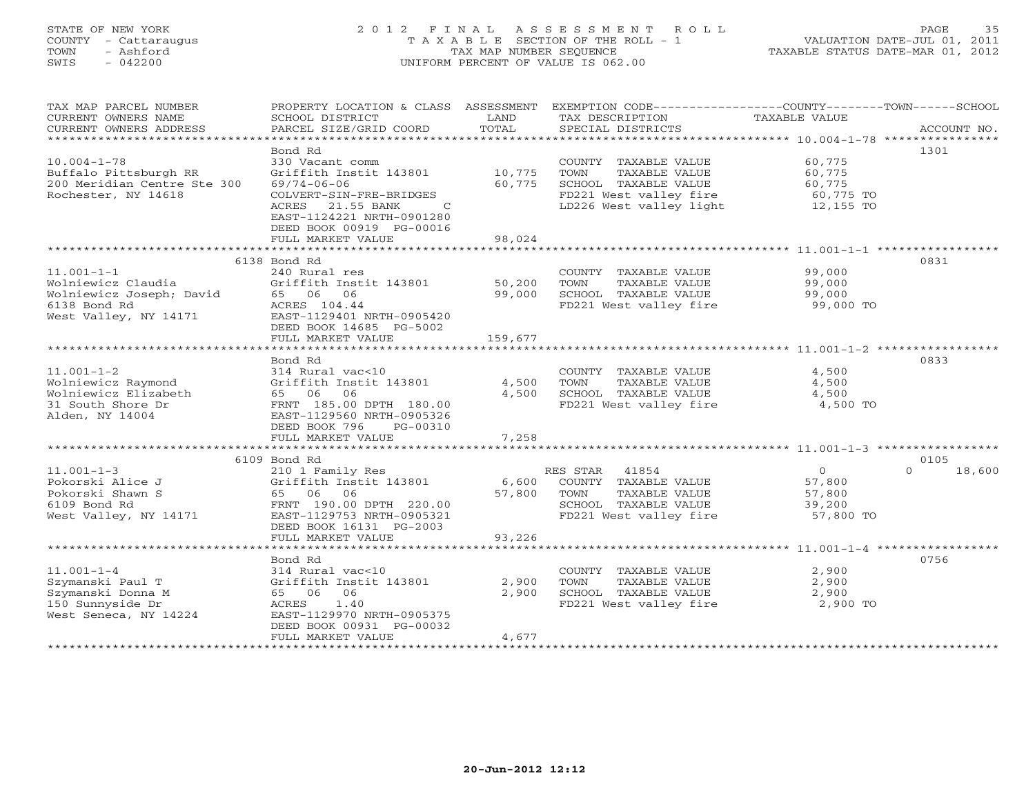## STATE OF NEW YORK 2 0 1 2 F I N A L A S S E S S M E N T R O L L PAGE 35 COUNTY - Cattaraugus T A X A B L E SECTION OF THE ROLL - 1 VALUATION DATE-JUL 01, 2011 TOWN - Ashford TAX MAP NUMBER SEQUENCE TAXABLE STATUS DATE-MAR 01, 2012 SWIS - 042200 UNIFORM PERCENT OF VALUE IS 062.00UNIFORM PERCENT OF VALUE IS 062.00

| TAX MAP PARCEL NUMBER       | PROPERTY LOCATION & CLASS ASSESSMENT  |         | EXEMPTION CODE-----------------COUNTY-------TOWN------SCHOOL |                              |                    |
|-----------------------------|---------------------------------------|---------|--------------------------------------------------------------|------------------------------|--------------------|
| CURRENT OWNERS NAME         | SCHOOL DISTRICT                       | LAND    | TAX DESCRIPTION                                              | TAXABLE VALUE                |                    |
| CURRENT OWNERS ADDRESS      | PARCEL SIZE/GRID COORD                | TOTAL   | SPECIAL DISTRICTS                                            |                              | ACCOUNT NO.        |
| **********************      |                                       |         |                                                              |                              |                    |
|                             | Bond Rd                               |         |                                                              |                              | 1301               |
| $10.004 - 1 - 78$           | 330 Vacant comm                       |         | COUNTY TAXABLE VALUE                                         | 60,775                       |                    |
| Buffalo Pittsburgh RR       | Griffith Instit 143801                | 10,775  | TOWN<br>TAXABLE VALUE                                        | 60,775                       |                    |
| 200 Meridian Centre Ste 300 | $69/74 - 06 - 06$                     | 60,775  | SCHOOL TAXABLE VALUE                                         | 60,775                       |                    |
| Rochester, NY 14618         | COLVERT-SIN-FRE-BRIDGES               |         | FD221 West valley fire                                       | $60, 775$ TO<br>$60, 775$ TO |                    |
|                             | ACRES<br>21.55 BANK<br>$\overline{C}$ |         | LD226 West valley light 12,155 TO                            |                              |                    |
|                             | EAST-1124221 NRTH-0901280             |         |                                                              |                              |                    |
|                             | DEED BOOK 00919 PG-00016              |         |                                                              |                              |                    |
|                             | FULL MARKET VALUE                     | 98,024  |                                                              |                              |                    |
|                             |                                       |         |                                                              |                              |                    |
|                             | 6138 Bond Rd                          |         |                                                              |                              | 0831               |
| $11.001 - 1 - 1$            | 240 Rural res                         |         | COUNTY TAXABLE VALUE                                         | 99,000                       |                    |
| Wolniewicz Claudia          | Griffith Instit 143801                | 50,200  | TOWN<br>TAXABLE VALUE                                        | 99,000                       |                    |
| Wolniewicz Joseph; David    | 65 06 06                              | 99,000  | SCHOOL TAXABLE VALUE                                         | 99,000                       |                    |
| 6138 Bond Rd                | ACRES 104.44                          |         | FD221 West valley fire                                       | 99,000 TO                    |                    |
| West Valley, NY 14171       | EAST-1129401 NRTH-0905420             |         |                                                              |                              |                    |
|                             | DEED BOOK 14685 PG-5002               |         |                                                              |                              |                    |
|                             | FULL MARKET VALUE                     | 159,677 |                                                              |                              |                    |
|                             |                                       |         |                                                              |                              |                    |
|                             | Bond Rd                               |         |                                                              |                              | 0833               |
| $11.001 - 1 - 2$            | 314 Rural vac<10                      |         | COUNTY TAXABLE VALUE                                         | 4,500                        |                    |
| Wolniewicz Raymond          | Griffith Instit 143801                | 4,500   | TOWN<br>TAXABLE VALUE                                        | 4,500                        |                    |
| Wolniewicz Elizabeth        | 65 06 06                              | 4,500   | SCHOOL TAXABLE VALUE                                         | 4,500                        |                    |
| 31 South Shore Dr           | FRNT 185.00 DPTH 180.00               |         | FD221 West valley fire                                       | 4,500 TO                     |                    |
| Alden, NY 14004             | EAST-1129560 NRTH-0905326             |         |                                                              |                              |                    |
|                             | DEED BOOK 796<br>PG-00310             |         |                                                              |                              |                    |
|                             | FULL MARKET VALUE                     | 7,258   |                                                              |                              |                    |
|                             |                                       |         |                                                              |                              |                    |
|                             | 6109 Bond Rd                          |         |                                                              |                              | 0105               |
| $11.001 - 1 - 3$            | 210 1 Family Res                      |         | RES STAR<br>41854                                            | $\overline{0}$               | 18,600<br>$\Omega$ |
| Pokorski Alice J            | Griffith Instit 143801                | 6,600   | COUNTY TAXABLE VALUE                                         | 57,800                       |                    |
| Pokorski Shawn S            | 65 06 06                              | 57,800  | TOWN<br>TAXABLE VALUE                                        | 57,800                       |                    |
| 6109 Bond Rd                | FRNT 190.00 DPTH 220.00               |         | SCHOOL TAXABLE VALUE                                         | 39,200                       |                    |
| West Valley, NY 14171       | EAST-1129753 NRTH-0905321             |         | FD221 West valley fire                                       | 57,800 TO                    |                    |
|                             |                                       |         |                                                              |                              |                    |
|                             | DEED BOOK 16131 PG-2003               |         |                                                              |                              |                    |
|                             | FULL MARKET VALUE                     | 93,226  |                                                              |                              |                    |
|                             |                                       |         |                                                              |                              | 0756               |
|                             | Bond Rd                               |         |                                                              |                              |                    |
| $11.001 - 1 - 4$            | 314 Rural vac<10                      | 2,900   | COUNTY TAXABLE VALUE                                         | 2,900                        |                    |
| Szymanski Paul T            | Griffith Instit 143801                |         | TOWN<br>TAXABLE VALUE                                        | 2,900                        |                    |
| Szymanski Donna M           | 65 06 06                              | 2,900   | SCHOOL TAXABLE VALUE                                         | 2,900                        |                    |
| 150 Sunnyside Dr            | ACRES<br>1.40                         |         | FD221 West valley fire                                       | 2,900 TO                     |                    |
| West Seneca, NY 14224       | EAST-1129970 NRTH-0905375             |         |                                                              |                              |                    |
|                             | DEED BOOK 00931 PG-00032              | 4,677   |                                                              |                              |                    |
|                             | FULL MARKET VALUE                     |         |                                                              |                              |                    |
|                             |                                       |         |                                                              |                              |                    |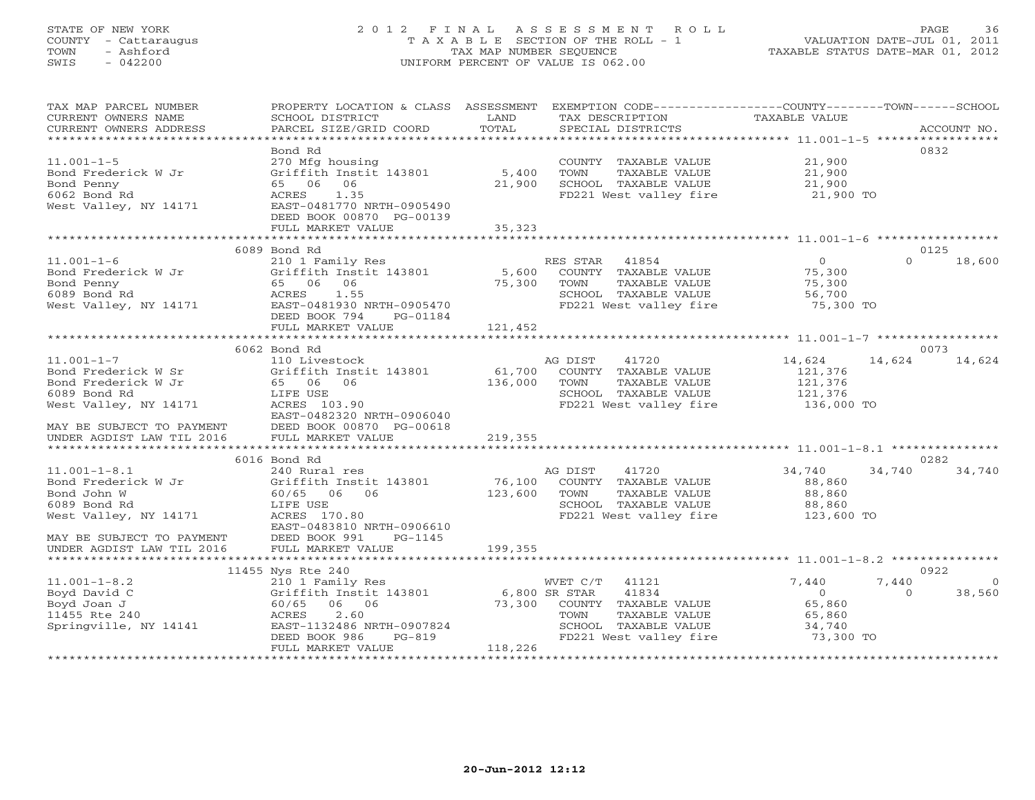## STATE OF NEW YORK 2 0 1 2 F I N A L A S S E S S M E N T R O L L PAGE 36 COUNTY - Cattaraugus T A X A B L E SECTION OF THE ROLL - 1 VALUATION DATE-JUL 01, 2011 TOWN - Ashford TAX MAP NUMBER SEQUENCE TAXABLE STATUS DATE-MAR 01, 2012 SWIS - 042200 UNIFORM PERCENT OF VALUE IS 062.00UNIFORM PERCENT OF VALUE IS 062.00

| TAX MAP PARCEL NUMBER<br>CURRENT OWNERS NAME<br>CURRENT OWNERS ADDRESS                                                                                                                                                                                               | PROPERTY LOCATION & CLASS ASSESSMENT EXEMPTION CODE----------------COUNTY-------TOWN------SCHOOL<br>SCHOOL DISTRICT<br>PARCEL SIZE/GRID COORD                                                                                                | LAND<br>TOTAL     | TAX DESCRIPTION TAXABLE VALUE<br>SPECIAL DISTRICTS<br>SPECIAL DISTRICTS                                                                         |                                                           | ACCOUNT NO.                               |
|----------------------------------------------------------------------------------------------------------------------------------------------------------------------------------------------------------------------------------------------------------------------|----------------------------------------------------------------------------------------------------------------------------------------------------------------------------------------------------------------------------------------------|-------------------|-------------------------------------------------------------------------------------------------------------------------------------------------|-----------------------------------------------------------|-------------------------------------------|
| $11.001 - 1 - 5$<br>Bond Frederick W Jr<br>Bond Penny<br>6062 Bond Rd<br>West Valley, NY 14171                                                                                                                                                                       | Bond Rd<br>270 Mfg housing<br>Griffith Instit 143801 5,400<br>65 06 06<br>ACRES 1.35<br>EAST-0481770 NRTH-0905490                                                                                                                            | 21,900            | COUNTY TAXABLE VALUE 21,900<br>TOWN<br>TAXABLE VALUE 21,900<br>TAXABLE VALUE 21,900<br>SCHOOL TAXABLE VALUE<br>FD221 West valley fire 21,900 TO |                                                           | 0832                                      |
|                                                                                                                                                                                                                                                                      | DEED BOOK 00870 PG-00139<br>FULL MARKET VALUE                                                                                                                                                                                                | 35,323            |                                                                                                                                                 |                                                           |                                           |
|                                                                                                                                                                                                                                                                      | 6089 Bond Rd                                                                                                                                                                                                                                 |                   |                                                                                                                                                 |                                                           | 0125                                      |
| $11.001 - 1 - 6$<br>11.001-1-6 210 1 Family Res<br>Bond Frederick W Jr Griffith Instit 143801 5,600<br>6089 Bond Rd ACRES 1.55<br>West Valley, NY 14171 EAST-0481930 NRTH-0905470<br>RES 1.55<br>West Valley, NY 14171 EAST-0481930 NRTH-0905470                     | 210 1 Family Res<br>$210$ I ramily $x \in S$<br>Griffith Instit 143801 5,600<br>DEED BOOK 794<br>PG-01184                                                                                                                                    |                   | RES STAR 41854<br>COUNTY TAXABLE VALUE<br>TOWN<br>TAXABLE VALUE<br>SCHOOL TAXABLE VALUE<br>FD221 West valley fire                               | $\overline{O}$<br>75,300<br>75,300<br>56,700<br>75,300 TO | $\Omega$<br>18,600                        |
|                                                                                                                                                                                                                                                                      | FULL MARKET VALUE 121,452                                                                                                                                                                                                                    |                   |                                                                                                                                                 |                                                           |                                           |
|                                                                                                                                                                                                                                                                      |                                                                                                                                                                                                                                              |                   |                                                                                                                                                 |                                                           | 0073                                      |
| $11.001 - 1 - 7$<br>11.001-1-7<br>Bond Frederick W Sr<br>Bond Frederick W Jr<br>6089 Bond Rd<br>West Valley, NY 14171<br>MAY BE SUBJECT TO PAYMENT<br>MAY BE SUBJECT TO PAYMENT<br>MAY BE SUBJECT TO PAYMENT<br>MAY BE SUBJECT TO PAYMENT<br>DEED BOOK 00870 PG-0061 | 6062 Bond Rd<br>110 Livestock                                                                                                                                                                                                                | 61,700<br>136,000 | 41720<br>AG DIST<br>COUNTY TAXABLE VALUE<br>TOWN<br>TAXABLE VALUE<br>SCHOOL TAXABLE VALUE<br>FD221 West valley fire                             | 14,624<br>121,376<br>121,376<br>121,376<br>136,000 TO     | 14,624<br>14,624                          |
|                                                                                                                                                                                                                                                                      |                                                                                                                                                                                                                                              |                   |                                                                                                                                                 |                                                           |                                           |
|                                                                                                                                                                                                                                                                      | 6016 Bond Rd                                                                                                                                                                                                                                 |                   |                                                                                                                                                 |                                                           | 0282                                      |
| $11.001 - 1 - 8.1$<br>11.001-1-8.1 240 Rural res<br>Bond Frederick W Jr Griffith Instit<br>$50/65$ 06 06<br>6089 Bond Rd<br>6089 Bond Rd<br>6089 Bond Rd<br>West Valley, NY 14171                                                                                    | 240 Rural res<br>Griffith Instit 143801<br>LIFE 002<br>ACRES 170.80<br>FAST-0483810 !<br>EAST-0483810 NRTH-0906610                                                                                                                           | $76,100$<br>123   | AG DIST<br>41720<br>COUNTY TAXABLE VALUE<br>TAXABLE VALUE<br>TOWN<br>SCHOOL TAXABLE VALUE 88,860<br>FD221 West valley fire 123,600 TO           | 34,740<br>88,860<br>88,860                                | 34,740<br>34,740                          |
| MAY BE SUBJECT TO PAYMENT DEED BOOK 991 I<br>UNDER AGDIST LAW TIL 2016 FULL MARKET VALUE                                                                                                                                                                             | PG-1145                                                                                                                                                                                                                                      | 199,355           |                                                                                                                                                 |                                                           |                                           |
|                                                                                                                                                                                                                                                                      | 11455 Nys Rte 240                                                                                                                                                                                                                            |                   |                                                                                                                                                 |                                                           | 0922                                      |
| $11.001 - 1 - 8.2$<br>Boyd David C<br>Boyd Joan J<br>11455 Rte 240<br>Springville, NY 14141                                                                                                                                                                          | Nys Nue 2=0<br>210 1 Family Res<br>Griffith Instit 143801 6,800 SR STAR 41834<br>60/65 06 06 73,300 COUNTY TAXABLE VALUE<br>ACRES 2.60 TOWN TAXABLE VALUE<br>EAST-1132486 NRTH-0907824<br>DEED BOOK 986 PG-819<br>FULL MADELT VALUE - PG-819 |                   | SCHOOL TAXABLE VALUE 34,740<br>FD221 West valley fire 73,300 TO                                                                                 | 7,440<br>$\overline{0}$<br>65,860<br>65,860               | 7,440<br>$\bigcirc$<br>$\Omega$<br>38,560 |
|                                                                                                                                                                                                                                                                      | FULL MARKET VALUE                                                                                                                                                                                                                            | 118,226           |                                                                                                                                                 |                                                           |                                           |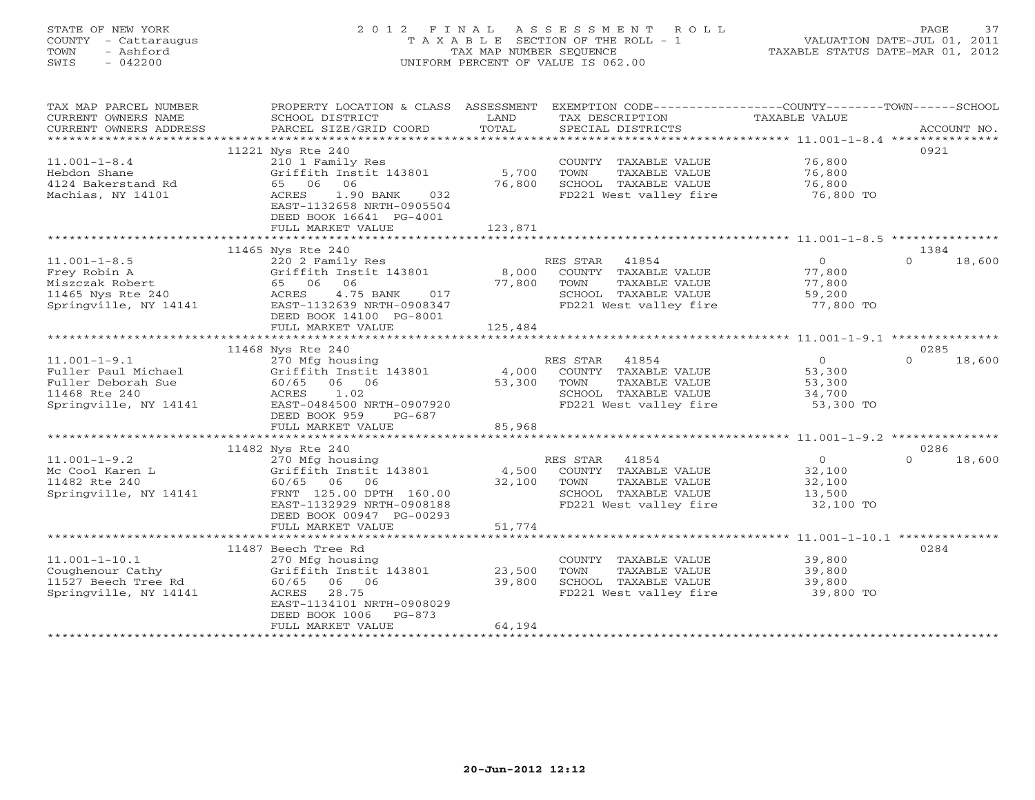# STATE OF NEW YORK 2 0 1 2 F I N A L A S S E S S M E N T R O L L PAGE 37 COUNTY - Cattaraugus T A X A B L E SECTION OF THE ROLL - 1 VALUATION DATE-JUL 01, 2011 TOWN - Ashford TAX MAP NUMBER SEQUENCE TAXABLE STATUS DATE-MAR 01, 2012 SWIS - 042200 UNIFORM PERCENT OF VALUE IS 062.00UNIFORM PERCENT OF VALUE IS 062.00

| SCHOOL DISTRICT                                                                                                                                                                                                | LAND                                                                                                                         | TAX DESCRIPTION                                                         | TAXABLE VALUE                                                                                |                                                                                                                                                                                                                                                                                                                               |
|----------------------------------------------------------------------------------------------------------------------------------------------------------------------------------------------------------------|------------------------------------------------------------------------------------------------------------------------------|-------------------------------------------------------------------------|----------------------------------------------------------------------------------------------|-------------------------------------------------------------------------------------------------------------------------------------------------------------------------------------------------------------------------------------------------------------------------------------------------------------------------------|
| PARCEL SIZE/GRID COORD                                                                                                                                                                                         |                                                                                                                              | SPECIAL DISTRICTS                                                       |                                                                                              | ACCOUNT NO.                                                                                                                                                                                                                                                                                                                   |
|                                                                                                                                                                                                                |                                                                                                                              |                                                                         |                                                                                              | 0921                                                                                                                                                                                                                                                                                                                          |
| 210 1 Family Res<br>Griffith Instit 143801<br>65 06 06<br>ACRES<br>1.90 BANK<br>032<br>EAST-1132658 NRTH-0905504<br>DEED BOOK 16641 PG-4001                                                                    |                                                                                                                              | TOWN<br>TAXABLE VALUE<br>SCHOOL TAXABLE VALUE                           | 76,800<br>76,800<br>76,800<br>76,800 TO                                                      |                                                                                                                                                                                                                                                                                                                               |
|                                                                                                                                                                                                                |                                                                                                                              |                                                                         |                                                                                              |                                                                                                                                                                                                                                                                                                                               |
|                                                                                                                                                                                                                |                                                                                                                              |                                                                         |                                                                                              | 1384                                                                                                                                                                                                                                                                                                                          |
| 220 2 Family Res<br>Griffith Instit 143801<br>65 06 06<br>11465 Nys Rte 240<br>Springville, NY 14141<br>4.75 BANK<br>017<br>ACRES<br>EAST-1132639 NRTH-0908347<br>DEED BOOK 14100 PG-8001<br>FULL MARKET VALUE | 125,484                                                                                                                      | TAXABLE VALUE<br>TOWN<br>SCHOOL TAXABLE VALUE                           | $\overline{0}$<br>77,800<br>77,800<br>59,200<br>77,800 TO                                    | 18,600<br>$\Omega$                                                                                                                                                                                                                                                                                                            |
|                                                                                                                                                                                                                |                                                                                                                              |                                                                         |                                                                                              |                                                                                                                                                                                                                                                                                                                               |
| 270 Mfg housing<br>Griffith Instit 143801<br>60/65 06 06<br>ACRES 1.02<br>Springville, NY 14141<br>EAST-0484500 NRTH-0907920<br>DEED BOOK 959<br>PG-687                                                        |                                                                                                                              | 41854<br>TAXABLE VALUE<br>TOWN<br>SCHOOL TAXABLE VALUE                  | 0<br>53,300<br>53,300<br>34,700                                                              | 0285<br>$\Omega$<br>18,600                                                                                                                                                                                                                                                                                                    |
| FULL MARKET VALUE                                                                                                                                                                                              | 85,968                                                                                                                       |                                                                         |                                                                                              |                                                                                                                                                                                                                                                                                                                               |
|                                                                                                                                                                                                                |                                                                                                                              |                                                                         |                                                                                              |                                                                                                                                                                                                                                                                                                                               |
| 270 Mfg housing<br>Griffith Instit 143801<br>60/65 06 06<br>FRNT 125.00 DPTH 160.00<br>EAST-1132929 NRTH-0908188<br>DEED BOOK 00947 PG-00293                                                                   | 32,100                                                                                                                       | COUNTY TAXABLE VALUE<br>TAXABLE VALUE<br>TOWN<br>SCHOOL TAXABLE VALUE   | $\overline{0}$<br>32,100<br>32,100<br>13,500<br>32,100 TO                                    | 0286<br>$\Omega$<br>18,600                                                                                                                                                                                                                                                                                                    |
| FULL MARKET VALUE                                                                                                                                                                                              | 51,774                                                                                                                       |                                                                         |                                                                                              |                                                                                                                                                                                                                                                                                                                               |
|                                                                                                                                                                                                                |                                                                                                                              |                                                                         |                                                                                              | 0284                                                                                                                                                                                                                                                                                                                          |
| 270 Mfg housing<br>Griffith Instit 143801<br>60/65 06 06<br>ACRES<br>28.75<br>EAST-1134101 NRTH-0908029<br>DEED BOOK 1006<br>$PG-873$<br>FULL MARKET VALUE                                                     | 23,500<br>39,800<br>64,194                                                                                                   | TOWN<br>TAXABLE VALUE<br>SCHOOL TAXABLE VALUE<br>FD221 West valley fire | 39,800<br>39,800<br>39,800<br>39,800 TO                                                      |                                                                                                                                                                                                                                                                                                                               |
|                                                                                                                                                                                                                | 11221 Nys Rte 240<br>FULL MARKET VALUE<br>11465 Nys Rte 240<br>11468 Nys Rte 240<br>11482 Nys Rte 240<br>11487 Beech Tree Rd | TOTAL<br>123,871                                                        | 5,700<br>76,800<br>RES STAR 41854<br>77,800<br>RES STAR<br>53,300<br>RES STAR 41854<br>4,500 | PROPERTY LOCATION & CLASS ASSESSMENT EXEMPTION CODE---------------COUNTY-------TOWN------SCHOOL<br>COUNTY TAXABLE VALUE<br>FD221 West valley fire<br>8,000 COUNTY TAXABLE VALUE<br>FD221 West valley fire<br>4,000 COUNTY TAXABLE VALUE<br>FD221 West valley fire 53,300 TO<br>FD221 West valley fire<br>COUNTY TAXABLE VALUE |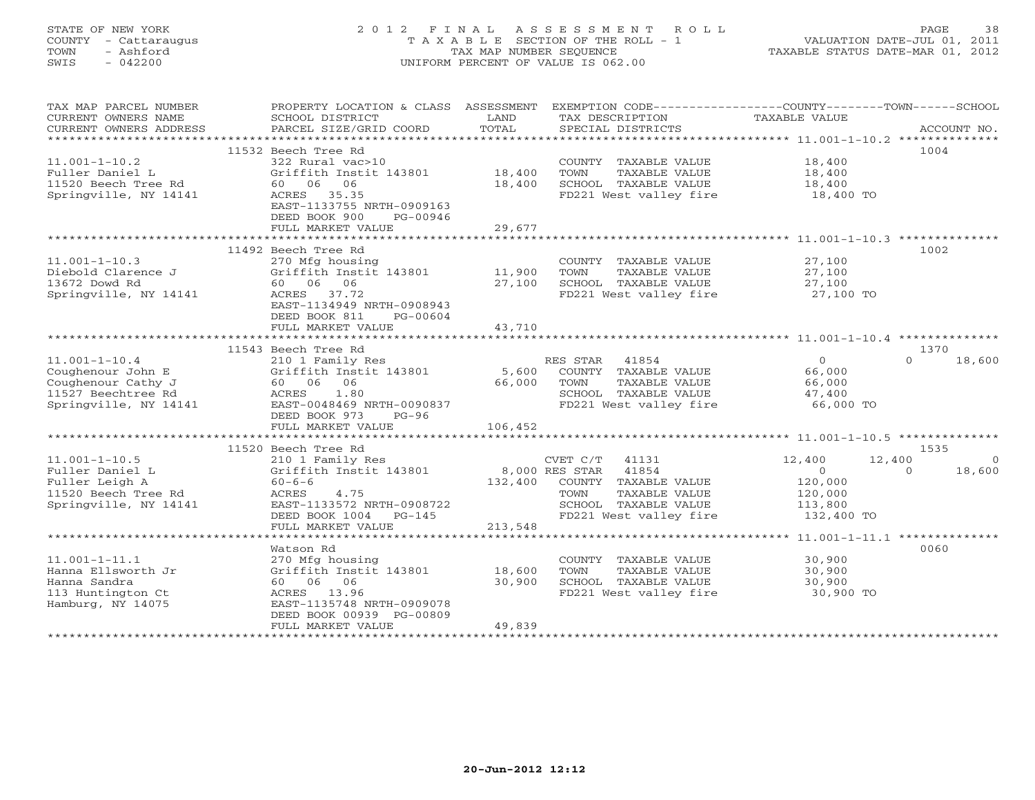# STATE OF NEW YORK 2 0 1 2 F I N A L A S S E S S M E N T R O L L PAGE 38 COUNTY - Cattaraugus T A X A B L E SECTION OF THE ROLL - 1 VALUATION DATE-JUL 01, 2011 TOWN - Ashford TAX MAP NUMBER SEQUENCE TAXABLE STATUS DATE-MAR 01, 2012 SWIS - 042200 UNIFORM PERCENT OF VALUE IS 062.00UNIFORM PERCENT OF VALUE IS 062.00

| TAX MAP PARCEL NUMBER<br>CURRENT OWNERS NAME<br>CURRENT OWNERS ADDRESS                                                                    | SCHOOL DISTRICT<br>PARCEL SIZE/GRID COORD                             | <b>Example 12 DE LAND</b><br>TOTAL | PROPERTY LOCATION & CLASS ASSESSMENT EXEMPTION CODE---------------COUNTY-------TOWN------SCHOOL<br>TAX DESCRIPTION<br>SPECIAL DISTRICTS | TAXABLE VALUE                              | ACCOUNT NO.        |
|-------------------------------------------------------------------------------------------------------------------------------------------|-----------------------------------------------------------------------|------------------------------------|-----------------------------------------------------------------------------------------------------------------------------------------|--------------------------------------------|--------------------|
|                                                                                                                                           |                                                                       |                                    |                                                                                                                                         |                                            |                    |
|                                                                                                                                           | 11532 Beech Tree Rd                                                   |                                    |                                                                                                                                         |                                            | 1004               |
| $11.001 - 1 - 10.2$                                                                                                                       | 322 Rural vac>10                                                      |                                    | COUNTY TAXABLE VALUE 18,400                                                                                                             |                                            |                    |
| Fuller Daniel L                                                                                                                           | Griffith Instit 143801 18,400                                         |                                    | TOWN                                                                                                                                    | TAXABLE VALUE 18,400                       |                    |
| 11520 Beech Tree Rd                                                                                                                       | 60 06 06                                                              | 18,400                             | SCHOOL TAXABLE VALUE 18,400<br>FD221 West valley fire 18,400 TO                                                                         |                                            |                    |
| Springville, NY 14141                                                                                                                     | ACRES 35.35                                                           |                                    |                                                                                                                                         |                                            |                    |
|                                                                                                                                           | EAST-1133755 NRTH-0909163                                             |                                    |                                                                                                                                         |                                            |                    |
|                                                                                                                                           | DEED BOOK 900<br>PG-00946                                             |                                    |                                                                                                                                         |                                            |                    |
|                                                                                                                                           | FULL MARKET VALUE                                                     | 29,677                             |                                                                                                                                         |                                            |                    |
|                                                                                                                                           | 11492 Beech Tree Rd                                                   |                                    |                                                                                                                                         |                                            | 1002               |
| $11.001 - 1 - 10.3$                                                                                                                       | 270 Mfg housing                                                       |                                    | COUNTY TAXABLE VALUE 27,100                                                                                                             |                                            |                    |
|                                                                                                                                           | $270$ mg nousing<br>Griffith Instit 143801 $11,900$                   |                                    |                                                                                                                                         |                                            |                    |
| Diebold Clarence J<br>13672 Dowd Rd<br>13672 Dowd Rd                                                                                      | 60 06 06                                                              | 27,100                             |                                                                                                                                         |                                            |                    |
| Springville, NY 14141                                                                                                                     | ACRES 37.72                                                           |                                    | FD221 West valley fire 27,100 TO                                                                                                        |                                            |                    |
|                                                                                                                                           | EAST-1134949 NRTH-0908943                                             |                                    |                                                                                                                                         |                                            |                    |
|                                                                                                                                           | DEED BOOK 811<br>PG-00604                                             |                                    |                                                                                                                                         |                                            |                    |
|                                                                                                                                           | FULL MARKET VALUE                                                     | 43,710                             |                                                                                                                                         |                                            |                    |
|                                                                                                                                           |                                                                       |                                    |                                                                                                                                         |                                            |                    |
|                                                                                                                                           | 11543 Beech Tree Rd                                                   |                                    |                                                                                                                                         |                                            | 1370               |
| $11.001 - 1 - 10.4$                                                                                                                       | 210 1 Family Res<br>Griffith Instit 143801 5,600 COUNTY TAXABLE VALUE |                                    |                                                                                                                                         | $\begin{array}{c} 0 \\ 66,000 \end{array}$ | 18,600<br>$\Omega$ |
|                                                                                                                                           |                                                                       |                                    |                                                                                                                                         |                                            |                    |
| Coughenour John E<br>Coughenour Cathy J<br>Coughenour Cathy J<br>11527 Beechtree Rd<br>Springville, NY 14141<br>EAST-0048469 NRTH-0090837 |                                                                       | 66,000                             | TOWN                                                                                                                                    | TAXABLE VALUE 66,000                       |                    |
|                                                                                                                                           |                                                                       |                                    | SCHOOL TAXABLE VALUE $47,400$<br>FD221 West valley fire 66,000 TO                                                                       |                                            |                    |
|                                                                                                                                           |                                                                       |                                    |                                                                                                                                         |                                            |                    |
|                                                                                                                                           | DEED BOOK 973 PG-96                                                   |                                    |                                                                                                                                         |                                            |                    |
|                                                                                                                                           | FULL MARKET VALUE                                                     | 106,452                            |                                                                                                                                         |                                            |                    |
|                                                                                                                                           |                                                                       |                                    |                                                                                                                                         |                                            |                    |
|                                                                                                                                           | 11520 Beech Tree Rd                                                   |                                    |                                                                                                                                         |                                            | 1535               |
| $11.001 - 1 - 10.5$                                                                                                                       | 210 1 Family Res<br>Griffith Instit 143801 8,000 RES STAR 41854       |                                    | $CVET C/T$ 41131                                                                                                                        | 12,400<br>12,400<br>$\overline{0}$         | $\overline{0}$     |
| Fuller Daniel L<br>Fuller Leigh A                                                                                                         |                                                                       |                                    |                                                                                                                                         | $\overline{0}$                             | 18,600             |
|                                                                                                                                           | $60 - 6 - 6$<br>ACRES 4.75                                            |                                    | 132,400 COUNTY TAXABLE VALUE<br>TAXABLE VALUE<br>TOWN                                                                                   | 120,000<br>120,000                         |                    |
| Fuller Leign A<br>11520 Beech Tree Rd<br>Springville, NY 14141                                                                            | EAST-1133572 NRTH-0908722                                             |                                    |                                                                                                                                         |                                            |                    |
|                                                                                                                                           | DEED BOOK 1004 PG-145                                                 |                                    | SCHOOL TAXABLE VALUE 113,800<br>FD221 West valley fire                                                                                  | 132,400 TO                                 |                    |
|                                                                                                                                           | FULL MARKET VALUE                                                     | 213,548                            |                                                                                                                                         |                                            |                    |
|                                                                                                                                           |                                                                       |                                    |                                                                                                                                         |                                            |                    |
|                                                                                                                                           | Watson Rd                                                             |                                    |                                                                                                                                         |                                            | 0060               |
| $11.001 - 1 - 11.1$                                                                                                                       | 270 Mfg housing                                                       |                                    | COUNTY TAXABLE VALUE 30,900                                                                                                             |                                            |                    |
| Hanna Ellsworth Jr                                                                                                                        | Griffith Instit 143801 18,600                                         |                                    | TOWN                                                                                                                                    | TAXABLE VALUE 30,900                       |                    |
| Hanna Sandra                                                                                                                              | 60 06 06                                                              | 30,900                             |                                                                                                                                         |                                            |                    |
| 113 Huntington Ct                                                                                                                         | ACRES 13.96                                                           |                                    | SCHOOL TAXABLE VALUE 30,900<br>FD221 West valley fire 30,900 TO                                                                         |                                            |                    |
| Hamburg, NY 14075                                                                                                                         | EAST-1135748 NRTH-0909078                                             |                                    |                                                                                                                                         |                                            |                    |
|                                                                                                                                           | DEED BOOK 00939 PG-00809                                              |                                    |                                                                                                                                         |                                            |                    |
|                                                                                                                                           | FULL MARKET VALUE                                                     | 49,839                             |                                                                                                                                         |                                            |                    |
|                                                                                                                                           |                                                                       |                                    |                                                                                                                                         |                                            |                    |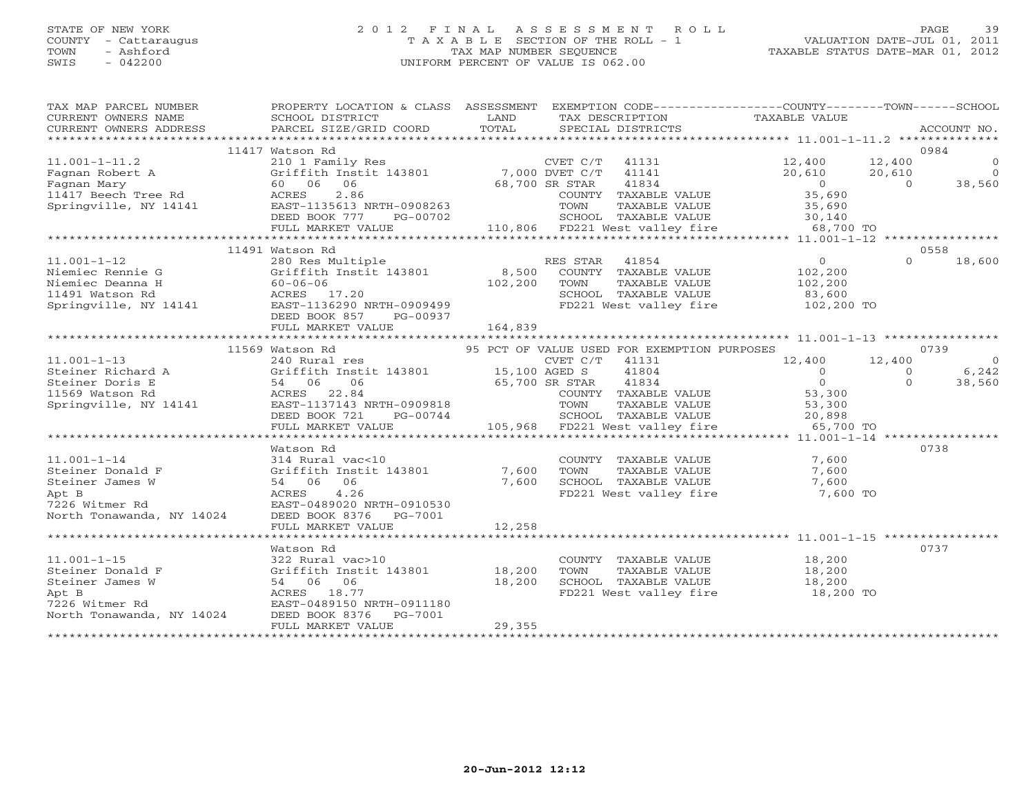# STATE OF NEW YORK 2 0 1 2 F I N A L A S S E S S M E N T R O L L PAGE 39COUNTY - Cattaraugus T A X A B L E SECTION OF THE ROLL - 1 VALUATION DATE-JUL 01, 2011 SWIS - 042200 UNIFORM PERCENT OF VALUE IS 062.00

| TAX MAP PARCEL NUMBER<br>CURRENT OWNERS NAME<br>CURRENT OWNERS ADDRESS                                                                                                                                                                                                                                                                               | PROPERTY LOCATION & CLASS ASSESSMENT EXEMPTION CODE---------------COUNTY-------TOWN------SCHOOL<br>SCHOOL DISTRICT<br><b>Example 12</b> LAND<br>PARCEL SIZE/GRID COORD | TOTAL   | TAX DESCRIPTION TAXABLE VALUE SPECIAL DISTRICTS                                                                      |                       | ACCOUNT NO.                                                     |
|------------------------------------------------------------------------------------------------------------------------------------------------------------------------------------------------------------------------------------------------------------------------------------------------------------------------------------------------------|------------------------------------------------------------------------------------------------------------------------------------------------------------------------|---------|----------------------------------------------------------------------------------------------------------------------|-----------------------|-----------------------------------------------------------------|
|                                                                                                                                                                                                                                                                                                                                                      |                                                                                                                                                                        |         |                                                                                                                      |                       |                                                                 |
|                                                                                                                                                                                                                                                                                                                                                      | 11417 Watson Rd                                                                                                                                                        |         |                                                                                                                      | $\frac{12}{20}$ , 400 | 0984                                                            |
|                                                                                                                                                                                                                                                                                                                                                      |                                                                                                                                                                        |         | 41131                                                                                                                |                       | $\circ$<br>12,400                                               |
|                                                                                                                                                                                                                                                                                                                                                      |                                                                                                                                                                        |         | 41141                                                                                                                |                       |                                                                 |
|                                                                                                                                                                                                                                                                                                                                                      |                                                                                                                                                                        |         | 41834                                                                                                                | $\overline{0}$        | $12,400$ 0<br>$20,610$ 0<br>0 38,560                            |
|                                                                                                                                                                                                                                                                                                                                                      |                                                                                                                                                                        |         | COUNTY TAXABLE VALUE                                                                                                 | 35,690                |                                                                 |
| 11.001-1-11.2<br>Fagnan Robert A Griffith Instit 143801 7,000 DVET C/T<br>Fagnan Mary 60 06 06 6 68,700 SR STAR<br>11417 Beech Tree Rd ACRES 2.86 COUNTY T<br>Springville, NY 14141 EAST-1135613 NRTH-0908263 PERD POOK 777 NATIONAL                                                                                                                 |                                                                                                                                                                        |         |                                                                                                                      |                       |                                                                 |
|                                                                                                                                                                                                                                                                                                                                                      | DEED BOOK 777 PG-00702                                                                                                                                                 |         |                                                                                                                      |                       |                                                                 |
|                                                                                                                                                                                                                                                                                                                                                      | FULL MARKET VALUE                                                                                                                                                      |         | 0908263 TOWN TAXABLE VALUE 35,690<br>C-00702 SCHOOL TAXABLE VALUE 30,140<br>110,806 FD221 West valley fire 68,700 TO |                       |                                                                 |
|                                                                                                                                                                                                                                                                                                                                                      |                                                                                                                                                                        |         |                                                                                                                      |                       |                                                                 |
| $\begin{tabular}{lcccc} \textbf{11.001--1--12} & \textbf{12.001--1} & \textbf{13.001--1} & \textbf{14.001--1} & \textbf{15.001--1} & \textbf{16.001--1} & \textbf{17.001--1} & \textbf{18.001--1} & \textbf{19.001--1} & \textbf{10.001--1} & \textbf{10.001--1} & \textbf{10.001--1} & \textbf{10.001--1} & \textbf{10.001--1} & \textbf{10.001--1$ |                                                                                                                                                                        |         |                                                                                                                      |                       | 0558                                                            |
|                                                                                                                                                                                                                                                                                                                                                      |                                                                                                                                                                        |         |                                                                                                                      |                       | $\Omega$<br>18,600                                              |
|                                                                                                                                                                                                                                                                                                                                                      |                                                                                                                                                                        |         |                                                                                                                      |                       |                                                                 |
|                                                                                                                                                                                                                                                                                                                                                      |                                                                                                                                                                        |         |                                                                                                                      |                       |                                                                 |
|                                                                                                                                                                                                                                                                                                                                                      |                                                                                                                                                                        |         |                                                                                                                      |                       |                                                                 |
|                                                                                                                                                                                                                                                                                                                                                      |                                                                                                                                                                        |         | FD221 West valley fire 102,200 TO                                                                                    |                       |                                                                 |
|                                                                                                                                                                                                                                                                                                                                                      |                                                                                                                                                                        |         |                                                                                                                      |                       |                                                                 |
|                                                                                                                                                                                                                                                                                                                                                      | FULL MARKET VALUE                                                                                                                                                      | 164,839 |                                                                                                                      |                       |                                                                 |
|                                                                                                                                                                                                                                                                                                                                                      |                                                                                                                                                                        |         |                                                                                                                      |                       |                                                                 |
|                                                                                                                                                                                                                                                                                                                                                      |                                                                                                                                                                        |         |                                                                                                                      |                       | 0739                                                            |
|                                                                                                                                                                                                                                                                                                                                                      |                                                                                                                                                                        |         |                                                                                                                      | 12,400 12,400         | $\overline{0}$                                                  |
|                                                                                                                                                                                                                                                                                                                                                      |                                                                                                                                                                        |         |                                                                                                                      |                       |                                                                 |
| 11.001-1-13<br>11.001-1-13<br>11.001-1-13<br>11.001-1-13<br>240 Rural res<br>240 Rural res<br>240 Rural res<br>240 Rural res<br>240 Rural res<br>240 Rural res<br>240 Rural res<br>240 Rural res<br>240 Rural res<br>240 Rural res<br>240 Rural res<br>240 R                                                                                         |                                                                                                                                                                        |         |                                                                                                                      |                       | $6,242$<br>38.560<br>$\begin{matrix}0\\0\end{matrix}$<br>38,560 |
|                                                                                                                                                                                                                                                                                                                                                      |                                                                                                                                                                        |         |                                                                                                                      |                       |                                                                 |
|                                                                                                                                                                                                                                                                                                                                                      |                                                                                                                                                                        |         |                                                                                                                      |                       |                                                                 |
|                                                                                                                                                                                                                                                                                                                                                      |                                                                                                                                                                        |         |                                                                                                                      |                       |                                                                 |
|                                                                                                                                                                                                                                                                                                                                                      |                                                                                                                                                                        |         |                                                                                                                      |                       |                                                                 |
|                                                                                                                                                                                                                                                                                                                                                      |                                                                                                                                                                        |         |                                                                                                                      |                       |                                                                 |
|                                                                                                                                                                                                                                                                                                                                                      |                                                                                                                                                                        |         |                                                                                                                      |                       |                                                                 |
|                                                                                                                                                                                                                                                                                                                                                      | Watson Rd                                                                                                                                                              |         |                                                                                                                      |                       | 0738                                                            |
|                                                                                                                                                                                                                                                                                                                                                      |                                                                                                                                                                        |         | COUNTY TAXABLE VALUE                                                                                                 | 7,600                 |                                                                 |
|                                                                                                                                                                                                                                                                                                                                                      |                                                                                                                                                                        |         | TOWN<br>TAXABLE VALUE                                                                                                | 7,600                 |                                                                 |
|                                                                                                                                                                                                                                                                                                                                                      | 314 Rural vac<10<br>Griffith Instit 143801 7,600<br>54 06 06 7,600<br>ACRES 4.26                                                                                       |         | SCHOOL TAXABLE VALUE 7,600                                                                                           |                       |                                                                 |
| 11.001-1-14<br>Steiner Donald F<br>Steiner James W<br>Apt B<br>7226 Witmer Rd<br>Rockey 1.26<br>7226 Witmer Rd<br>Rockey 1.26<br>7226 Witmer Rd<br>Rockey 1.26<br>Rockey 1.26<br>EAST-0489020 NRTH-0910530<br>North Tonawanda, NY 14024<br>DEED BOOK 837                                                                                             |                                                                                                                                                                        |         | FD221 West valley fire                                                                                               | 7,600 TO              |                                                                 |
|                                                                                                                                                                                                                                                                                                                                                      |                                                                                                                                                                        |         |                                                                                                                      |                       |                                                                 |
|                                                                                                                                                                                                                                                                                                                                                      |                                                                                                                                                                        |         |                                                                                                                      |                       |                                                                 |
|                                                                                                                                                                                                                                                                                                                                                      | FULL MARKET VALUE                                                                                                                                                      | 12,258  |                                                                                                                      |                       |                                                                 |
|                                                                                                                                                                                                                                                                                                                                                      |                                                                                                                                                                        |         |                                                                                                                      |                       |                                                                 |
|                                                                                                                                                                                                                                                                                                                                                      | Watson Rd                                                                                                                                                              |         |                                                                                                                      |                       | 0737                                                            |
| $11.001 - 1 - 15$                                                                                                                                                                                                                                                                                                                                    | 322 Rural vac>10<br>322 Rural vac>1<br>Griffith Instit<br>54 06 06<br>54 06 06<br>ACRES 18.77<br>EAST-0489150 NR<br>NY 14024 DEED BOOK 8376                            |         | COUNTY TAXABLE VALUE 18,200                                                                                          |                       |                                                                 |
| Steiner Donald F                                                                                                                                                                                                                                                                                                                                     | Griffith Instit 143801 18,200                                                                                                                                          |         | TOWN                                                                                                                 | TAXABLE VALUE 18,200  |                                                                 |
| Steiner James W                                                                                                                                                                                                                                                                                                                                      |                                                                                                                                                                        | 18,200  | SCHOOL TAXABLE VALUE 18,200<br>FD221 West valley fire 18,200 TO                                                      |                       |                                                                 |
| Apt B                                                                                                                                                                                                                                                                                                                                                |                                                                                                                                                                        |         |                                                                                                                      |                       |                                                                 |
| 7226 Witmer Rd                                                                                                                                                                                                                                                                                                                                       | EAST-0489150 NRTH-0911180                                                                                                                                              |         |                                                                                                                      |                       |                                                                 |
| North Tonawanda, NY 14024                                                                                                                                                                                                                                                                                                                            | PG-7001                                                                                                                                                                |         |                                                                                                                      |                       |                                                                 |
|                                                                                                                                                                                                                                                                                                                                                      | FULL MARKET VALUE                                                                                                                                                      | 29,355  |                                                                                                                      |                       |                                                                 |
|                                                                                                                                                                                                                                                                                                                                                      |                                                                                                                                                                        |         |                                                                                                                      |                       |                                                                 |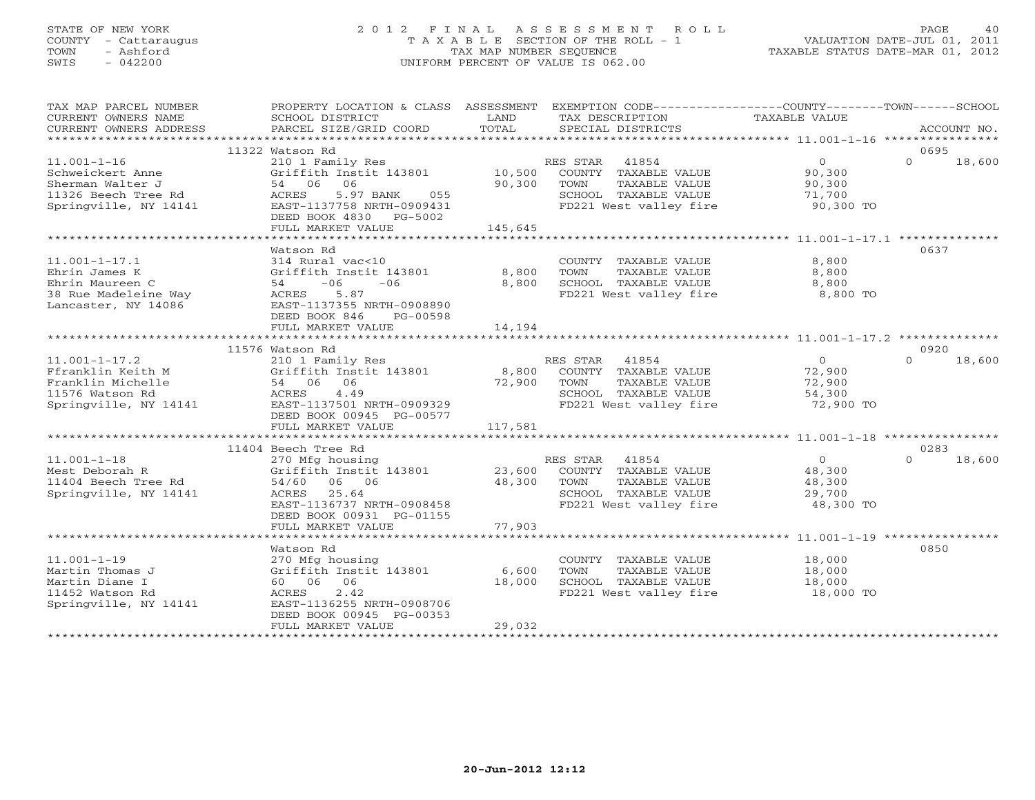# STATE OF NEW YORK 2 0 1 2 F I N A L A S S E S S M E N T R O L L PAGE 40 COUNTY - Cattaraugus T A X A B L E SECTION OF THE ROLL - 1 VALUATION DATE-JUL 01, 2011 TOWN - Ashford TAX MAP NUMBER SEQUENCE TAXABLE STATUS DATE-MAR 01, 2012 SWIS - 042200 UNIFORM PERCENT OF VALUE IS 062.00UNIFORM PERCENT OF VALUE IS 062.00

| TAX MAP PARCEL NUMBER                                                 |                                                                       |             | PROPERTY LOCATION & CLASS ASSESSMENT EXEMPTION CODE---------------COUNTY-------TOWN------SCHOOL |                     |          |             |
|-----------------------------------------------------------------------|-----------------------------------------------------------------------|-------------|-------------------------------------------------------------------------------------------------|---------------------|----------|-------------|
| CURRENT OWNERS NAME                                                   | SCHOOL DISTRICT                                                       | LAND        | TAX DESCRIPTION                                                                                 | TAXABLE VALUE       |          |             |
| CURRENT OWNERS ADDRESS                                                | PARCEL SIZE/GRID COORD                                                | TOTAL       | SPECIAL DISTRICTS                                                                               |                     |          | ACCOUNT NO. |
|                                                                       | 11322 Watson Rd                                                       |             |                                                                                                 |                     | 0695     |             |
| $11.001 - 1 - 16$                                                     | 210 1 Family Res                                                      |             | RES STAR 41854                                                                                  | $\overline{0}$      | $\Omega$ | 18,600      |
| Schweickert Anne                                                      |                                                                       |             | Griffith Instit 143801 10,500 COUNTY TAXABLE VALUE                                              | 90,300              |          |             |
| Sherman Walter J                                                      | 54 06 06                                                              |             | 90,300 TOWN<br>TAXABLE VALUE                                                                    | 90,300              |          |             |
|                                                                       | ACRES<br>5.97 BANK 055                                                |             | SCHOOL TAXABLE VALUE                                                                            |                     |          |             |
| 11326 Beech Tree Rd<br>Springville, NY 14141<br>Springville, NY 14141 | EAST-1137758 NRTH-0909431                                             |             | FD221 West valley fire                                                                          | 71,700<br>90,300 TO |          |             |
|                                                                       | DEED BOOK 4830 PG-5002                                                |             |                                                                                                 |                     |          |             |
|                                                                       | FULL MARKET VALUE                                                     | 145,645     |                                                                                                 |                     |          |             |
|                                                                       |                                                                       |             |                                                                                                 |                     |          |             |
|                                                                       | Watson Rd                                                             |             |                                                                                                 |                     | 0637     |             |
| $11.001 - 1 - 17.1$                                                   | 314 Rural vac<10                                                      |             | COUNTY TAXABLE VALUE                                                                            | 8,800               |          |             |
| Ehrin James K                                                         | Griffith Instit 143801                                                | 8,800       | TOWN<br>TAXABLE VALUE                                                                           | 8,800               |          |             |
| Ehrin Maureen C                                                       | $-06$<br>$-06$<br>54                                                  |             | 8,800 SCHOOL TAXABLE VALUE                                                                      | 8,800               |          |             |
| 38 Rue Madeleine Way                                                  | 5.87<br>ACRES                                                         |             | FD221 West valley fire 3,800 TO                                                                 |                     |          |             |
| Lancaster, NY 14086                                                   | EAST-1137355 NRTH-0908890                                             |             |                                                                                                 |                     |          |             |
|                                                                       | DEED BOOK 846<br>PG-00598                                             |             |                                                                                                 |                     |          |             |
|                                                                       | FULL MARKET VALUE                                                     | 14,194      |                                                                                                 |                     |          |             |
|                                                                       |                                                                       |             |                                                                                                 |                     |          |             |
|                                                                       | 11576 Watson Rd                                                       |             |                                                                                                 |                     | 0920     |             |
| $11.001 - 1 - 17.2$                                                   | 210 1 Family Res<br>Griffith Instit 143801 8,800 COUNTY TAXABLE VALUE |             |                                                                                                 | $\overline{0}$      | $\Omega$ | 18,600      |
| Ffranklin Keith M                                                     |                                                                       |             |                                                                                                 | 72,900              |          |             |
| Franklin Michelle                                                     | $54$ 06 06<br>ACRES 449                                               | 72,900 TOWN | TAXABLE VALUE                                                                                   | 72,900              |          |             |
| 11576 Watson Rd<br>Springville, NY 14141 EAST-1137501 NRTH-0909329    | ACRES 4.49                                                            |             | SCHOOL TAXABLE VALUE<br>FD221 West valley fire 72,900 TO                                        | 54,300              |          |             |
|                                                                       |                                                                       |             |                                                                                                 |                     |          |             |
|                                                                       | DEED BOOK 00945 PG-00577                                              | 117,581     |                                                                                                 |                     |          |             |
|                                                                       | FULL MARKET VALUE                                                     |             |                                                                                                 |                     |          |             |
|                                                                       | 11404 Beech Tree Rd                                                   |             |                                                                                                 |                     | 0283     |             |
| $11.001 - 1 - 18$                                                     |                                                                       |             |                                                                                                 |                     | $\Omega$ | 18,600      |
| Mest Deborah R                                                        |                                                                       |             | 270 Mfg housing<br>270 Mfg housing<br>Griffith Instit 143801 23,600 COUNTY TAXABLE VALUE 48,300 |                     |          |             |
| 11404 Beech Tree Rd                                                   | 54/60 06 06                                                           | 48,300      | TOWN                                                                                            | 48,300              |          |             |
| Springville, NY 14141                                                 | ACRES 25.64                                                           |             | TOWN      TAXABLE VALUE<br>SCHOOL   TAXABLE VALUE                                               | 29,700              |          |             |
|                                                                       | EAST-1136737 NRTH-0908458                                             |             | FD221 West valley fire                                                                          | 48,300 TO           |          |             |
|                                                                       | DEED BOOK 00931 PG-01155                                              |             |                                                                                                 |                     |          |             |
|                                                                       | FULL MARKET VALUE                                                     | 77,903      |                                                                                                 |                     |          |             |
|                                                                       |                                                                       |             |                                                                                                 |                     |          |             |
|                                                                       | Watson Rd                                                             |             |                                                                                                 |                     | 0850     |             |
| $11.001 - 1 - 19$                                                     | 270 Mfg housing                                                       |             | COUNTY TAXABLE VALUE                                                                            | 18,000              |          |             |
| Martin Thomas J                                                       | Griffith Instit 143801                                                | 6,600       | TAXABLE VALUE<br>TOWN                                                                           | 18,000              |          |             |
| Martin Diane I                                                        | 60 06 06                                                              | 18,000      | SCHOOL TAXABLE VALUE                                                                            | 18,000              |          |             |
| 11452 Watson Rd                                                       | ACRES<br>2.42                                                         |             | FD221 West valley fire 18,000 TO                                                                |                     |          |             |
| Springville, NY 14141                                                 | EAST-1136255 NRTH-0908706                                             |             |                                                                                                 |                     |          |             |
|                                                                       | DEED BOOK 00945 PG-00353                                              |             |                                                                                                 |                     |          |             |
|                                                                       | FULL MARKET VALUE                                                     | 29,032      |                                                                                                 |                     |          |             |
|                                                                       |                                                                       |             |                                                                                                 |                     |          |             |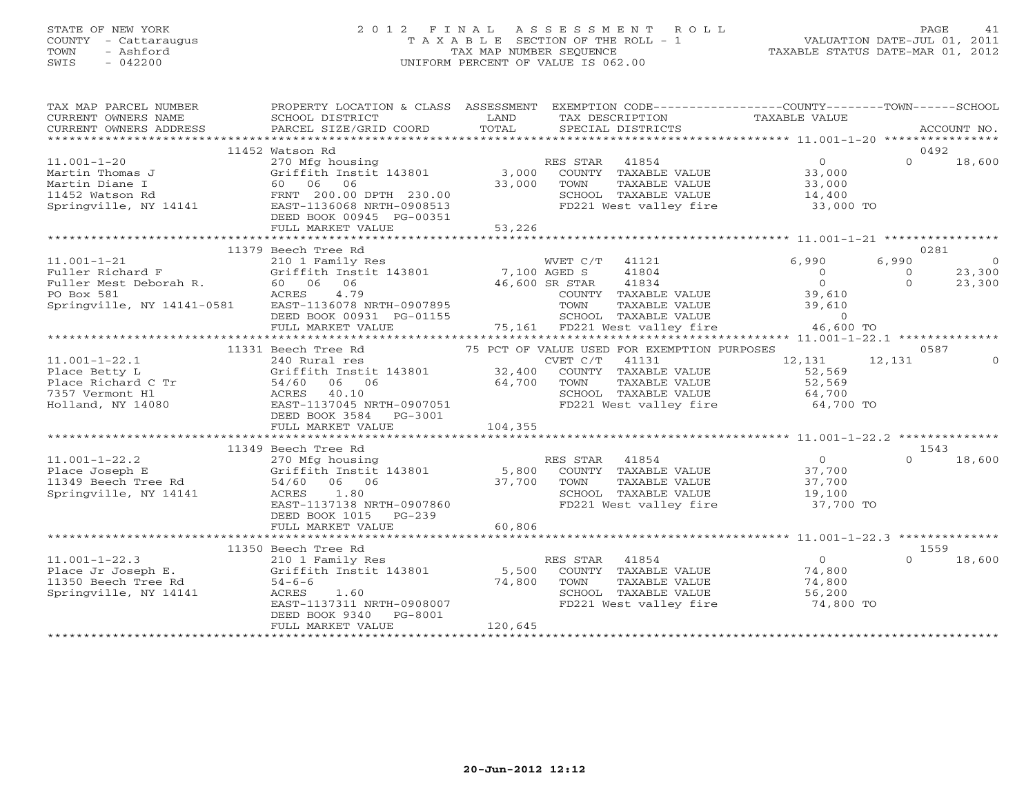# STATE OF NEW YORK 2 0 1 2 F I N A L A S S E S S M E N T R O L L PAGE 41 COUNTY - Cattaraugus T A X A B L E SECTION OF THE ROLL - 1 VALUATION DATE-JUL 01, 2011 TOWN - Ashford TAX MAP NUMBER SEQUENCE TAXABLE STATUS DATE-MAR 01, 2012 SWIS - 042200 UNIFORM PERCENT OF VALUE IS 062.00UNIFORM PERCENT OF VALUE IS 062.00

| TAX MAP PARCEL NUMBER<br>CURRENT OWNERS NAME<br>- CURRENT OWNERS ADDRESS PARCEL SIZE/GRID COORD TOTAL SPECIAL DISTRICTS ACCOUNT NO.<br>- EXAMPLE SIZE/GRID COORD TOTAL SPECIAL DISTRICTS ACCOUNT NO ACCOUNT NO ACCOUNT NO ARCEL SIZE/GRID COORD TOTAL            | PROPERTY LOCATION & CLASS ASSESSMENT EXEMPTION CODE----------------COUNTY-------TOWN------SCHOOL<br>SCHOOL DISTRICT                                                                             | LAND              | TAX DESCRIPTION                                                                                                                                 | TAXABLE VALUE                                                 |                                     |                                    |
|------------------------------------------------------------------------------------------------------------------------------------------------------------------------------------------------------------------------------------------------------------------|-------------------------------------------------------------------------------------------------------------------------------------------------------------------------------------------------|-------------------|-------------------------------------------------------------------------------------------------------------------------------------------------|---------------------------------------------------------------|-------------------------------------|------------------------------------|
|                                                                                                                                                                                                                                                                  |                                                                                                                                                                                                 |                   |                                                                                                                                                 |                                                               |                                     |                                    |
| $11.001 - 1 - 20$<br>11.001-1-20<br>Martin Thomas J<br>Martin Diane I<br>11452 Watson Rd<br>Springville, NY 14141<br>ERST-1136068 NRTH-0908513<br>DEED BOOK 00945<br>PEED BOOK 00945<br>PEED BOOK 00945<br>PEED BOOK 00945<br>PEED BOOK 00945<br>PEED BOOK 00945 | 11452 Watson Rd<br>270 Mfg housing<br>Griffith Instit 143801 3,000<br>FULL MARKET VALUE                                                                                                         | 33,000<br>53,226  | RES STAR 41854<br>SCHOOL TAXABLE VALUE<br>FD221 West valley fire 33,000 TO                                                                      |                                                               | 0492<br>$\Omega$                    | 18,600                             |
|                                                                                                                                                                                                                                                                  | 11379 Beech Tree Rd                                                                                                                                                                             |                   |                                                                                                                                                 |                                                               | 0281                                |                                    |
| $11.001 - 1 - 21$                                                                                                                                                                                                                                                | Beech Tree Ru<br>210 1 Family Res<br>Griffith Instit 143801 7,100 AGED S<br>60 06 06 6 46,600 SR STAR<br>DEED BOOK 00931 PG-01155<br>FULL MARKET VALUE 75,161 FD221 West valley fire 46,600 TO  |                   | WVET C/T 41121<br>41804<br>41834<br>COUNTY TAXABLE VALUE<br>TOWN     TAXABLE VALUE                                                              | 6,990<br>$\overline{0}$<br>$\overline{0}$<br>39,610<br>39,610 | 6,990<br>$\overline{0}$<br>$\Omega$ | $\overline{0}$<br>23,300<br>23,300 |
|                                                                                                                                                                                                                                                                  | 11331 Beech Tree Rd 75 PCT OF VALUE USED FOR EXEMPTION PURPOSES                                                                                                                                 |                   |                                                                                                                                                 |                                                               | 0587                                |                                    |
| 11.001-1-22.1<br>Place Betty L<br>Place Richard C Tr<br>Tier William H1<br>Holland, NY 14080                                                                                                                                                                     | 240 Rural res<br>Griffith Instit 143801 32,400 COUNTY TAXABLE VALUE<br>54/60<br>06 06<br>ACRES 40.10<br>EAST-1137045 NRTH-0907051<br>DEED BOOK 3584 PG-3001<br>FULL MARKET VALUE                | 64,700<br>104,355 | TAXABLE VALUE<br>TOWN<br>SCHOOL TAXABLE VALUE<br>FD221 West valley fire 64,700 TO                                                               | 12,131<br>52,569<br>52,569<br>64,700                          | 12,131                              | $\Omega$                           |
|                                                                                                                                                                                                                                                                  |                                                                                                                                                                                                 |                   |                                                                                                                                                 |                                                               |                                     |                                    |
| $11.001 - 1 - 22.2$<br>Place Joseph E<br>Place Joseph L<br>11349 Beech Tree Rd<br>11349 Beech Tree Rd<br>Springville, NY 14141                                                                                                                                   | 11349 Beech Tree Rd<br>270 Mfg housing<br>Griffith Instit 143801 5,800<br>54/60 06 06<br>ACRES<br>1.80<br>ACRES 1.80<br>EAST-1137138 NRTH-0907860<br>DEED BOOK 1015 PG-239<br>FULL MARKET VALUE | 37,700<br>60,806  | ES STAR 41854 (0)<br>COUNTY TAXABLE VALUE (37,700)<br>RES STAR 41854<br>TOWN<br>TAXABLE VALUE<br>SCHOOL TAXABLE VALUE<br>FD221 West valley fire | 37,700<br>19,100<br>37,700 TO                                 | 1543<br>$\Omega$                    | 18,600                             |
|                                                                                                                                                                                                                                                                  | 11350 Beech Tree Rd                                                                                                                                                                             |                   |                                                                                                                                                 |                                                               | 1559                                |                                    |
| 11.001-1-22.3 210 1 Family Res<br>Place Jr Joseph E. Griffith Instit 143801 5,500<br>11350 Beech Tree Rd 54-6-6 74,800<br>Springville, NY 14141 ACRES 1.60                                                                                                       | ACKES 1.00<br>EAST-1137311 NRTH-0908007<br>DEED BOOK 9340 PG-8001<br>FULL MARKET VALUE                                                                                                          | 120,645           | RES STAR 41854<br>SS STAR THUSE<br>COUNTY TAXABLE VALUE 74,800<br>TOWN TAXARLE VALUE 74,800<br>SCHOOL TAXABLE VALUE<br>FD221 West valley fire   | $\overline{0}$<br>56,200<br>74,800 TO                         | $\Omega$                            | 18,600                             |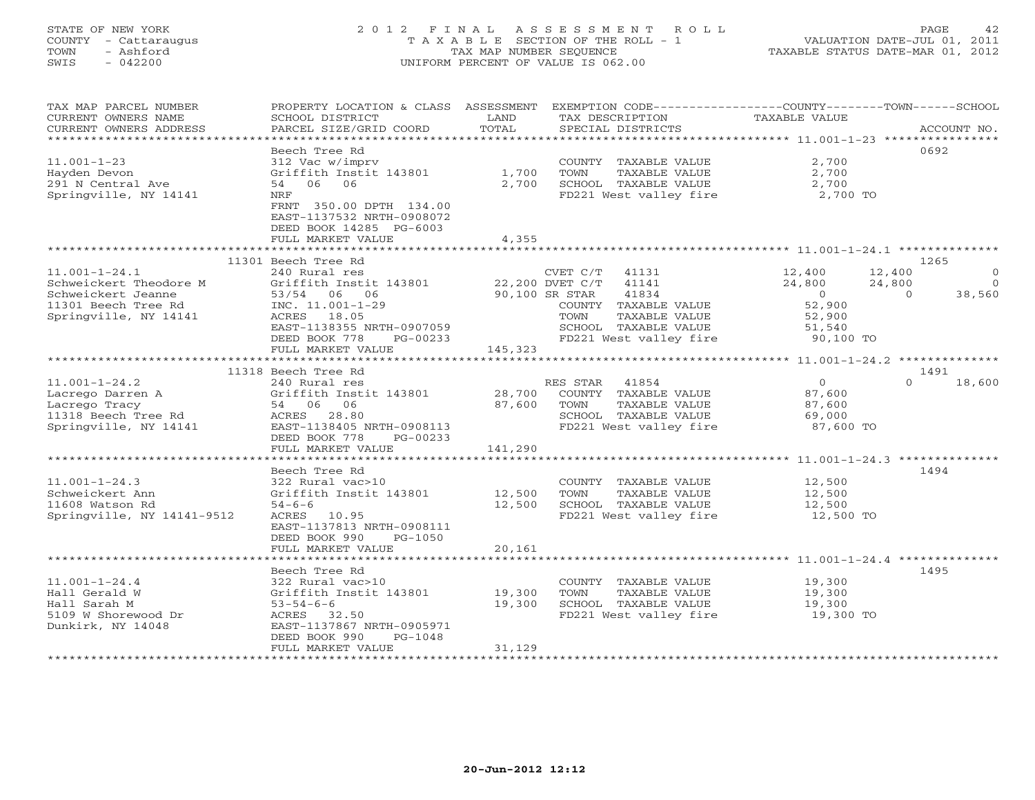# STATE OF NEW YORK 2 0 1 2 F I N A L A S S E S S M E N T R O L L PAGE 42 COUNTY - Cattaraugus T A X A B L E SECTION OF THE ROLL - 1 VALUATION DATE-JUL 01, 2011 TOWN - Ashford TAX MAP NUMBER SEQUENCE TAXABLE STATUS DATE-MAR 01, 2012 SWIS - 042200 UNIFORM PERCENT OF VALUE IS 062.00UNIFORM PERCENT OF VALUE IS 062.00

| TAX MAP PARCEL NUMBER      | PROPERTY LOCATION & CLASS ASSESSMENT EXEMPTION CODE---------------COUNTY-------TOWN------SCHOOL |             |                                  |                |          |                |
|----------------------------|-------------------------------------------------------------------------------------------------|-------------|----------------------------------|----------------|----------|----------------|
| CURRENT OWNERS NAME        | SCHOOL DISTRICT                                                                                 | LAND        | TAX DESCRIPTION                  | TAXABLE VALUE  |          |                |
| CURRENT OWNERS ADDRESS     | PARCEL SIZE/GRID COORD                                                                          | TOTAL       | SPECIAL DISTRICTS                |                |          | ACCOUNT NO.    |
| ***********************    |                                                                                                 |             |                                  |                |          |                |
|                            | Beech Tree Rd                                                                                   |             |                                  |                |          | 0692           |
| $11.001 - 1 - 23$          | 312 Vac w/imprv                                                                                 |             | COUNTY TAXABLE VALUE             | 2,700          |          |                |
| Hayden Devon               | Griffith Instit 143801                                                                          | 1,700       | TAXABLE VALUE<br>TOWN            | 2,700          |          |                |
| 291 N Central Ave          | 54 06 06                                                                                        | 2,700       | SCHOOL TAXABLE VALUE             | 2,700          |          |                |
| Springville, NY 14141      | NRF                                                                                             |             | FD221 West valley fire           | 2,700 TO       |          |                |
|                            | FRNT 350.00 DPTH 134.00                                                                         |             |                                  |                |          |                |
|                            | EAST-1137532 NRTH-0908072                                                                       |             |                                  |                |          |                |
|                            | DEED BOOK 14285 PG-6003                                                                         |             |                                  |                |          |                |
|                            | FULL MARKET VALUE                                                                               | 4,355       |                                  |                |          |                |
|                            |                                                                                                 |             |                                  |                |          |                |
|                            | 11301 Beech Tree Rd                                                                             |             |                                  |                |          | 1265           |
| $11.001 - 1 - 24.1$        | 240 Rural res                                                                                   |             | $CVET C/T$ 41131                 | 12,400         | 12,400   | $\circ$        |
| Schweickert Theodore M     | Griffith Instit 143801                                                                          |             | 22,200 DVET C/T 41141            | 24,800         | 24,800   | $\overline{0}$ |
| Schweickert Jeanne         | 53/54 06 06                                                                                     |             | 41834<br>90,100 SR STAR          | $\overline{0}$ | $\Omega$ | 38,560         |
| 11301 Beech Tree Rd        | INC. 11.001-1-29                                                                                |             | COUNTY TAXABLE VALUE             | 52,900         |          |                |
| Springville, NY 14141      | ACRES 18.05                                                                                     |             | TAXABLE VALUE<br>TOWN            | 52,900         |          |                |
|                            | EAST-1138355 NRTH-0907059                                                                       |             | SCHOOL TAXABLE VALUE             | 51,540         |          |                |
|                            | DEED BOOK 778<br>PG-00233                                                                       |             | FD221 West valley fire 90,100 TO |                |          |                |
|                            | FULL MARKET VALUE                                                                               | 145,323     |                                  |                |          |                |
|                            |                                                                                                 |             |                                  |                |          |                |
|                            | 11318 Beech Tree Rd                                                                             |             |                                  |                |          | 1491           |
| $11.001 - 1 - 24.2$        | 240 Rural res                                                                                   |             | RES STAR 41854                   | $\Omega$       | $\Omega$ | 18,600         |
| Lacrego Darren A           | Griffith Instit 143801                                                                          |             | 28,700 COUNTY TAXABLE VALUE      | 87,600         |          |                |
| Lacrego Tracy              | 54 06 06                                                                                        | 87,600 TOWN | TAXABLE VALUE                    | 87,600         |          |                |
| 11318 Beech Tree Rd        | ACRES 28.80                                                                                     |             | SCHOOL TAXABLE VALUE             | 69,000         |          |                |
| Springville, NY 14141      | EAST-1138405 NRTH-0908113                                                                       |             | FD221 West valley fire           | 87,600 TO      |          |                |
|                            | DEED BOOK 778<br>PG-00233                                                                       |             |                                  |                |          |                |
|                            | FULL MARKET VALUE                                                                               | 141,290     |                                  |                |          |                |
|                            |                                                                                                 |             |                                  |                |          |                |
|                            | Beech Tree Rd                                                                                   |             |                                  |                |          | 1494           |
| $11.001 - 1 - 24.3$        | 322 Rural vac>10                                                                                |             | COUNTY TAXABLE VALUE             | 12,500         |          |                |
| Schweickert Ann            | Griffith Instit 143801                                                                          | 12,500      | TOWN<br>TAXABLE VALUE            | 12,500         |          |                |
| 11608 Watson Rd            | $54 - 6 - 6$                                                                                    | 12,500      | SCHOOL TAXABLE VALUE             | 12,500         |          |                |
| Springville, NY 14141-9512 | ACRES 10.95                                                                                     |             | FD221 West valley fire           | 12,500 TO      |          |                |
|                            | EAST-1137813 NRTH-0908111                                                                       |             |                                  |                |          |                |
|                            | DEED BOOK 990 PG-1050                                                                           |             |                                  |                |          |                |
|                            | FULL MARKET VALUE                                                                               | 20,161      |                                  |                |          |                |
|                            |                                                                                                 |             |                                  |                |          |                |
|                            | Beech Tree Rd                                                                                   |             |                                  |                |          | 1495           |
| $11.001 - 1 - 24.4$        | 322 Rural vac>10                                                                                |             | COUNTY TAXABLE VALUE             | 19,300         |          |                |
| Hall Gerald W              | Griffith Instit 143801                                                                          | 19,300      | TAXABLE VALUE<br>TOWN            | 19,300         |          |                |
| Hall Sarah M               | $53 - 54 - 6 - 6$                                                                               | 19,300      | SCHOOL TAXABLE VALUE             | 19,300         |          |                |
| 5109 W Shorewood Dr        | ACRES 32.50                                                                                     |             | FD221 West valley fire           | 19,300 TO      |          |                |
| Dunkirk, NY 14048          | EAST-1137867 NRTH-0905971                                                                       |             |                                  |                |          |                |
|                            | DEED BOOK 990<br>PG-1048                                                                        |             |                                  |                |          |                |
|                            | FULL MARKET VALUE                                                                               | 31,129      |                                  |                |          |                |
|                            |                                                                                                 |             |                                  |                |          |                |
|                            |                                                                                                 |             |                                  |                |          |                |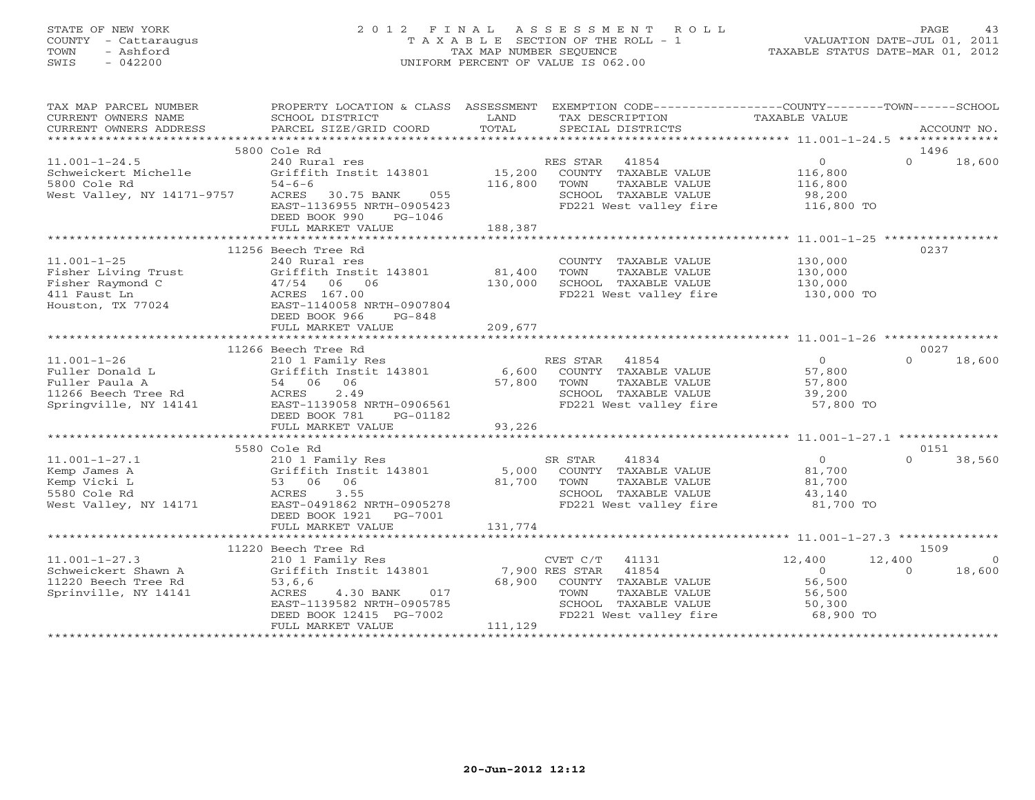#### STATE OF NEW YORK 2 0 1 2 F I N A L A S S E S S M E N T R O L L PAGE 43COUNTY - Cattaraugus T A X A B L E SECTION OF THE ROLL - 1 VALUATION DATE-JUL 01, 2011 TOWN - Ashford **TAX MAP NUMBER SEQUENCE** TAX TAXABLE STATUS DATE-MAR 01, 2012<br>TRIS - 042200 SWIS - 042200 UNIFORM PERCENT OF VALUE IS 062.00

| 240 Rural res<br>Griffith Instit 143801<br>$54 - 6 - 6$<br>West Valley, NY 14171-9757<br>ACRES<br>055<br>30.75 BANK<br>EAST-1136955 NRTH-0905423<br>DEED BOOK 990<br>PG-1046<br>FULL MARKET VALUE | 116,800<br>188,387                                                                    | 41854<br>COUNTY TAXABLE VALUE<br>TOWN<br>TAXABLE VALUE<br>SCHOOL TAXABLE VALUE                                                                                                               | $\Omega$<br>116,800<br>116,800<br>98,200<br>116,800 TO                                                                                                                      | 1496<br>$\Omega$<br>18,600                                                                                                                                                                                                                                                                                                                                                                                                                                                            |
|---------------------------------------------------------------------------------------------------------------------------------------------------------------------------------------------------|---------------------------------------------------------------------------------------|----------------------------------------------------------------------------------------------------------------------------------------------------------------------------------------------|-----------------------------------------------------------------------------------------------------------------------------------------------------------------------------|---------------------------------------------------------------------------------------------------------------------------------------------------------------------------------------------------------------------------------------------------------------------------------------------------------------------------------------------------------------------------------------------------------------------------------------------------------------------------------------|
|                                                                                                                                                                                                   |                                                                                       |                                                                                                                                                                                              |                                                                                                                                                                             |                                                                                                                                                                                                                                                                                                                                                                                                                                                                                       |
| 11256 Beech Tree Rd                                                                                                                                                                               | 81,400<br>130,000<br>209,677                                                          | COUNTY TAXABLE VALUE<br>TOWN<br>TAXABLE VALUE                                                                                                                                                | 130,000<br>130,000<br>130,000                                                                                                                                               | 0237                                                                                                                                                                                                                                                                                                                                                                                                                                                                                  |
|                                                                                                                                                                                                   |                                                                                       |                                                                                                                                                                                              |                                                                                                                                                                             |                                                                                                                                                                                                                                                                                                                                                                                                                                                                                       |
|                                                                                                                                                                                                   |                                                                                       |                                                                                                                                                                                              |                                                                                                                                                                             | 0027                                                                                                                                                                                                                                                                                                                                                                                                                                                                                  |
| 54 06 06<br>2.49<br>ACRES<br>EAST-1139058 NRTH-0906561                                                                                                                                            | 57,800                                                                                | TOWN                                                                                                                                                                                         | 57,800<br>57,800<br>39,200                                                                                                                                                  | $\Omega$<br>18,600                                                                                                                                                                                                                                                                                                                                                                                                                                                                    |
|                                                                                                                                                                                                   |                                                                                       |                                                                                                                                                                                              |                                                                                                                                                                             |                                                                                                                                                                                                                                                                                                                                                                                                                                                                                       |
|                                                                                                                                                                                                   |                                                                                       |                                                                                                                                                                                              |                                                                                                                                                                             |                                                                                                                                                                                                                                                                                                                                                                                                                                                                                       |
| 5580 Cole Rd<br>210 1 Family Res<br>53 06 06<br>3.55<br>ACRES<br>EAST-0491862 NRTH-0905278<br>DEED BOOK 1921<br>PG-7001                                                                           | 81,700                                                                                | 41834<br>TAXABLE VALUE<br>TOWN<br>SCHOOL TAXABLE VALUE                                                                                                                                       | $\overline{0}$<br>81,700<br>81,700<br>43,140<br>81,700 TO                                                                                                                   | 0151<br>$\Omega$<br>38,560                                                                                                                                                                                                                                                                                                                                                                                                                                                            |
| FULL MARKET VALUE                                                                                                                                                                                 | 131,774                                                                               |                                                                                                                                                                                              |                                                                                                                                                                             |                                                                                                                                                                                                                                                                                                                                                                                                                                                                                       |
|                                                                                                                                                                                                   |                                                                                       |                                                                                                                                                                                              |                                                                                                                                                                             |                                                                                                                                                                                                                                                                                                                                                                                                                                                                                       |
| 11220 Beech Tree Rd<br>210 1 Family Res<br>53,6,6<br>DEED BOOK 12415 PG-7002<br>FULL MARKET VALUE                                                                                                 | 111,129                                                                               | 41854<br>TOWN                                                                                                                                                                                | 12,400<br>$\overline{0}$<br>56,500<br>56,500<br>50,300                                                                                                                      | 1509<br>$\overline{0}$<br>18,600<br>$\Omega$                                                                                                                                                                                                                                                                                                                                                                                                                                          |
|                                                                                                                                                                                                   | 5800 Cole Rd<br>11266 Beech Tree Rd<br>DEED BOOK 781<br>PG-01182<br>FULL MARKET VALUE | st Griftic<br>47/54 06 06<br>ACRES 167.00<br>EAST-1140058 NRTH-0907804<br>DEED BOOK 966 PG-848<br>93,226<br>Griffith Instit 143801 5,000<br>ACRES 4.30 BANK 017<br>EAST-1139582 NRTH-0905785 | RES STAR<br>15,200<br>210 1 Family Res<br>Griffith Instit 143801 6,600<br>RES STAR<br>41854<br>SR STAR<br>CVET C/T 41131<br>Griffith Instit 143801 7,900 RES STAR<br>68,900 | PROPERTY LOCATION & CLASS ASSESSMENT EXEMPTION CODE---------------COUNTY-------TOWN------SCHOOL<br>FD221 West valley fire<br>SCHOOL TAXABLE VALUE<br>FD221 West valley fire 130,000 TO<br>$\overline{O}$<br>COUNTY TAXABLE VALUE<br>TAXABLE VALUE<br>SCHOOL TAXABLE VALUE 39,200<br>FD221 West valley fire 57,800 TO<br>COUNTY TAXABLE VALUE<br>FD221 West valley fire<br>12,400<br>COUNTY TAXABLE VALUE<br>TAXABLE VALUE<br>SCHOOL TAXABLE VALUE<br>FD221 West valley fire 68,900 TO |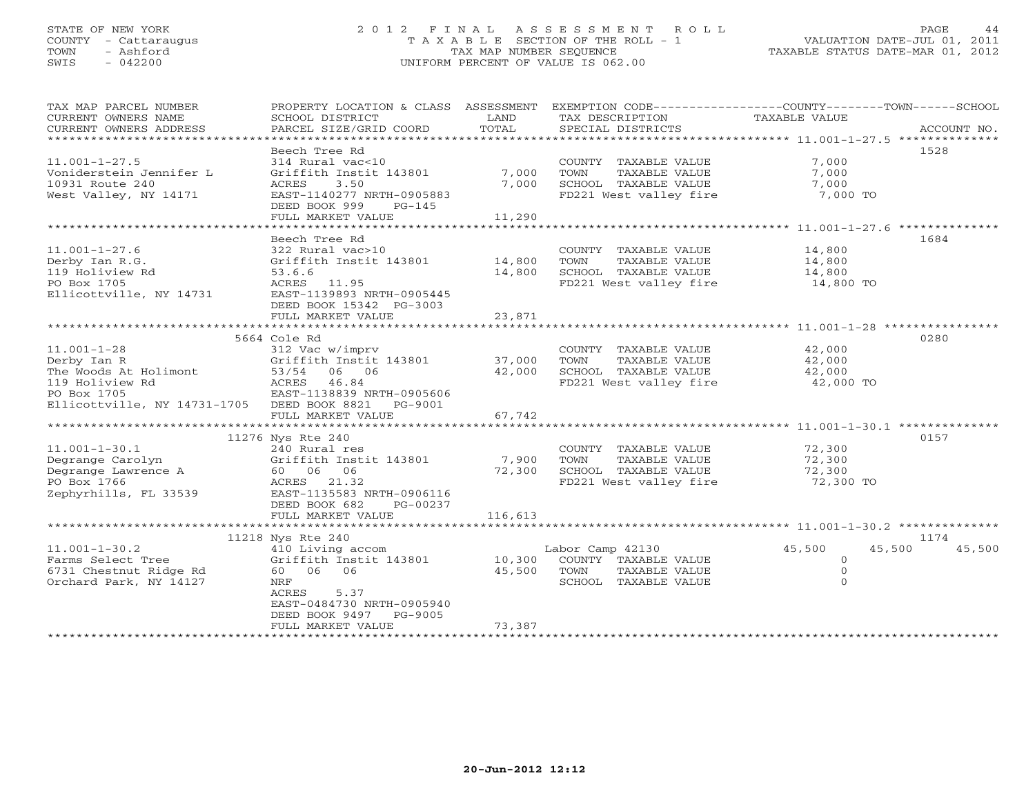# STATE OF NEW YORK 2 0 1 2 F I N A L A S S E S S M E N T R O L L PAGE 44 COUNTY - Cattaraugus T A X A B L E SECTION OF THE ROLL - 1 VALUATION DATE-JUL 01, 2011 TOWN - Ashford TAX MAP NUMBER SEQUENCE TAXABLE STATUS DATE-MAR 01, 2012 SWIS - 042200 UNIFORM PERCENT OF VALUE IS 062.00UNIFORM PERCENT OF VALUE IS 062.00

| TAX MAP PARCEL NUMBER<br>CURRENT OWNERS NAME<br>CURRENT OWNERS ADDRESS                                                                     | PROPERTY LOCATION & CLASS ASSESSMENT<br>SCHOOL DISTRICT<br>PARCEL SIZE/GRID COORD                                                                                                                                | LAND<br>TOTAL              | TAX DESCRIPTION<br>SPECIAL DISTRICTS                                                            | EXEMPTION CODE-----------------COUNTY-------TOWN------SCHOOL<br><b>TAXABLE VALUE</b><br>ACCOUNT NO. |
|--------------------------------------------------------------------------------------------------------------------------------------------|------------------------------------------------------------------------------------------------------------------------------------------------------------------------------------------------------------------|----------------------------|-------------------------------------------------------------------------------------------------|-----------------------------------------------------------------------------------------------------|
| $11.001 - 1 - 27.5$<br>Voniderstein Jennifer L<br>10931 Route 240<br>West Valley, NY 14171                                                 | Beech Tree Rd<br>314 Rural vac<10<br>Griffith Instit 143801<br>ACRES<br>3.50<br>EAST-1140277 NRTH-0905883<br>DEED BOOK 999<br>$PG-145$<br>FULL MARKET VALUE                                                      | 7,000<br>7,000<br>11,290   | COUNTY TAXABLE VALUE<br>TOWN<br>TAXABLE VALUE<br>SCHOOL TAXABLE VALUE<br>FD221 West valley fire | 1528<br>7,000<br>7,000<br>7,000<br>7,000 TO                                                         |
|                                                                                                                                            | Beech Tree Rd                                                                                                                                                                                                    |                            |                                                                                                 | 1684                                                                                                |
| $11.001 - 1 - 27.6$<br>Derby Ian R.G.<br>119 Holiview Rd<br>PO Box 1705<br>Ellicottville, NY 14731                                         | 322 Rural vac>10<br>Griffith Instit 143801<br>53.6.6<br>ACRES 11.95<br>EAST-1139893 NRTH-0905445<br>DEED BOOK 15342 PG-3003                                                                                      | 14,800<br>14,800           | COUNTY TAXABLE VALUE<br>TOWN<br>TAXABLE VALUE<br>SCHOOL TAXABLE VALUE<br>FD221 West valley fire | 14,800<br>14,800<br>14,800<br>14,800 TO                                                             |
|                                                                                                                                            | FULL MARKET VALUE                                                                                                                                                                                                | 23,871                     |                                                                                                 |                                                                                                     |
|                                                                                                                                            | 5664 Cole Rd                                                                                                                                                                                                     |                            |                                                                                                 | 0280                                                                                                |
| $11.001 - 1 - 28$<br>Derby Ian R<br>The Woods At Holimont<br>119 Holiview Rd<br>PO Box 1705<br>Ellicottville, NY 14731-1705 DEED BOOK 8821 | 312 Vac w/imprv<br>Griffith Instit 143801<br>53/54<br>06 06<br>ACRES<br>46.84<br>EAST-1138839 NRTH-0905606<br>PG-9001<br>FULL MARKET VALUE                                                                       | 37,000<br>42,000<br>67,742 | COUNTY TAXABLE VALUE<br>TOWN<br>TAXABLE VALUE<br>SCHOOL TAXABLE VALUE<br>FD221 West valley fire | 42,000<br>42,000<br>42,000<br>42,000 TO                                                             |
|                                                                                                                                            | 11276 Nys Rte 240                                                                                                                                                                                                |                            |                                                                                                 | 0157                                                                                                |
| $11.001 - 1 - 30.1$<br>Degrange Carolyn<br>Degrange Lawrence A<br>PO Box 1766<br>Zephyrhills, FL 33539                                     | 240 Rural res<br>Griffith Instit 143801<br>60 06 06<br>ACRES 21.32<br>EAST-1135583 NRTH-0906116<br>DEED BOOK 682<br>PG-00237<br>FULL MARKET VALUE                                                                | 7,900<br>72,300<br>116,613 | COUNTY TAXABLE VALUE<br>TOWN<br>TAXABLE VALUE<br>SCHOOL TAXABLE VALUE<br>FD221 West valley fire | 72,300<br>72,300<br>72,300<br>72,300 TO                                                             |
|                                                                                                                                            |                                                                                                                                                                                                                  |                            |                                                                                                 |                                                                                                     |
| $11.001 - 1 - 30.2$<br>Farms Select Tree<br>6731 Chestnut Ridge Rd<br>Orchard Park, NY 14127                                               | 11218 Nys Rte 240<br>410 Living accom<br>Griffith Instit 143801<br>60 06<br>06<br>NRF<br>ACRES<br>5.37<br>EAST-0484730 NRTH-0905940<br>DEED BOOK 9497<br>PG-9005<br>FULL MARKET VALUE<br>*********************** | 10,300<br>45,500<br>73,387 | Labor Camp 42130<br>COUNTY TAXABLE VALUE<br>TOWN<br>TAXABLE VALUE<br>SCHOOL TAXABLE VALUE       | 1174<br>45,500<br>45,500<br>45,500<br>$\circ$<br>$\circ$<br>$\Omega$                                |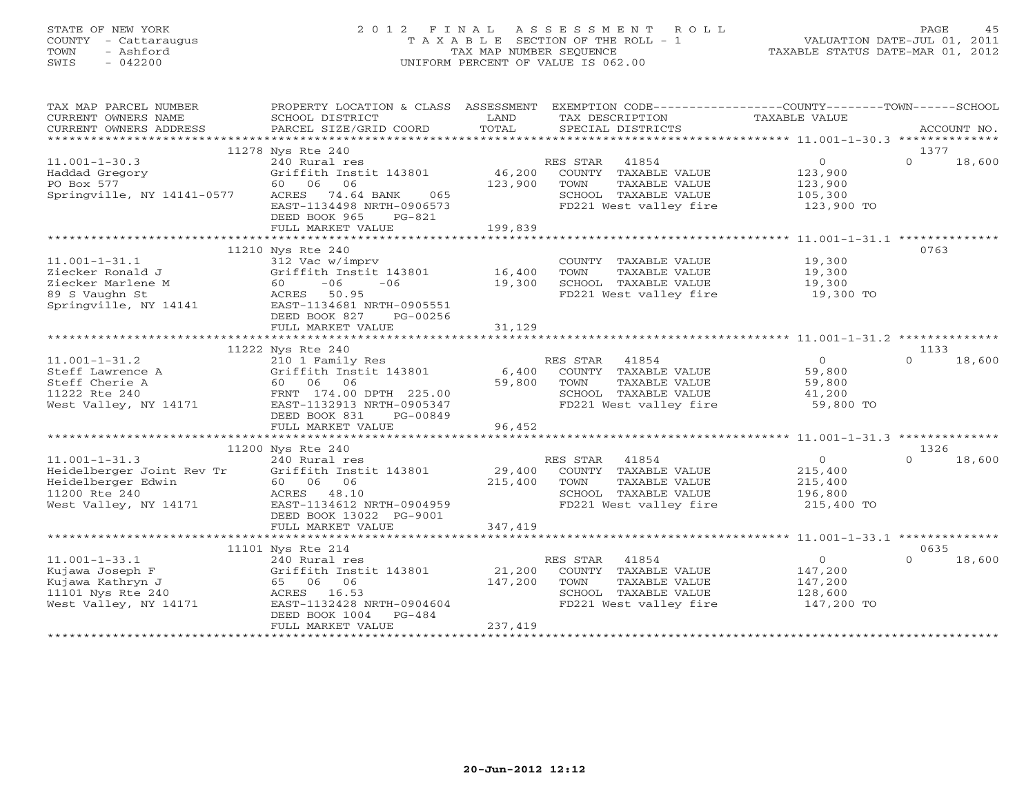# STATE OF NEW YORK 2 0 1 2 F I N A L A S S E S S M E N T R O L L PAGE 45 COUNTY - Cattaraugus T A X A B L E SECTION OF THE ROLL - 1 VALUATION DATE-JUL 01, 2011 TOWN - Ashford TAX MAP NUMBER SEQUENCE TAXABLE STATUS DATE-MAR 01, 2012 SWIS - 042200 UNIFORM PERCENT OF VALUE IS 062.00UNIFORM PERCENT OF VALUE IS 062.00

| TAX MAP PARCEL NUMBER                                                                                                                                           |                                                      |               | PROPERTY LOCATION & CLASS ASSESSMENT EXEMPTION CODE----------------COUNTY-------TOWN------SCHOOL | TAXABLE VALUE      |                    |
|-----------------------------------------------------------------------------------------------------------------------------------------------------------------|------------------------------------------------------|---------------|--------------------------------------------------------------------------------------------------|--------------------|--------------------|
| CURRENT OWNERS NAME<br>CURRENT OWNERS ADDRESS                                                                                                                   | SCHOOL DISTRICT<br>PARCEL SIZE/GRID COORD            | LAND<br>TOTAL | TAX DESCRIPTION<br>SPECIAL DISTRICTS                                                             |                    | ACCOUNT NO.        |
|                                                                                                                                                                 |                                                      |               |                                                                                                  |                    |                    |
|                                                                                                                                                                 | 11278 Nys Rte 240                                    |               |                                                                                                  |                    | 1377               |
| $11.001 - 1 - 30.3$                                                                                                                                             | 240 Rural res                                        |               | RES STAR 41854                                                                                   | $\overline{0}$     | 18,600<br>$\Omega$ |
| Haddad Gregory                                                                                                                                                  | Griffith Instit 143801                               | 46,200        | COUNTY TAXABLE VALUE                                                                             | 123,900            |                    |
| PO Box 577<br>Springville, NY 14141-0577 ACRES 74.64 BANK                                                                                                       | 06<br>60 06<br>065                                   | 123,900       | TOWN<br>TAXABLE VALUE<br>SCHOOL TAXABLE VALUE                                                    | 123,900<br>105,300 |                    |
|                                                                                                                                                                 | EAST-1134498 NRTH-0906573                            |               | FD221 West valley fire                                                                           | 123,900 TO         |                    |
|                                                                                                                                                                 | DEED BOOK 965<br>$PG-821$                            |               |                                                                                                  |                    |                    |
|                                                                                                                                                                 | FULL MARKET VALUE                                    | 199,839       |                                                                                                  |                    |                    |
|                                                                                                                                                                 |                                                      |               |                                                                                                  |                    |                    |
|                                                                                                                                                                 | 11210 Nys Rte 240                                    |               |                                                                                                  |                    | 0763               |
| $11.001 - 1 - 31.1$                                                                                                                                             | 312 Vac w/imprv                                      |               | COUNTY TAXABLE VALUE 19,300                                                                      |                    |                    |
|                                                                                                                                                                 | Griffith Instit 143801 16,400                        |               | TOWN<br>TAXABLE VALUE                                                                            | 19,300<br>19,300   |                    |
|                                                                                                                                                                 |                                                      | 19,300        | SCHOOL TAXABLE VALUE                                                                             |                    |                    |
| Ziecker Ronald J (Griffith Instit 143801)<br>Ziecker Marlene M (60 -06 -06<br>89 S Vaughn St (ACRES 50.95)<br>Springville, NY 14141 (EAST-1134681 NRTH-0905551) |                                                      |               | FD221 West valley fire 19,300 TO                                                                 |                    |                    |
|                                                                                                                                                                 | DEED BOOK 827<br>PG-00256                            |               |                                                                                                  |                    |                    |
|                                                                                                                                                                 | FULL MARKET VALUE                                    | 31,129        |                                                                                                  |                    |                    |
|                                                                                                                                                                 |                                                      |               |                                                                                                  |                    |                    |
|                                                                                                                                                                 | 11222 Nys Rte 240                                    |               |                                                                                                  |                    | 1133               |
| $11.001 - 1 - 31.2$                                                                                                                                             | 210 1 Family Res                                     |               | RES STAR<br>41854                                                                                | $\overline{0}$     | $\Omega$<br>18,600 |
| Steff Lawrence A                                                                                                                                                | Griffith Instit 143801                               | 6,400         | COUNTY TAXABLE VALUE                                                                             | 59,800             |                    |
| Steff Cherie A                                                                                                                                                  | 60 06 06                                             | 59,800        | TAXABLE VALUE<br>TOWN                                                                            | 59,800             |                    |
| 11222 Rte 240<br>West Valley, NY 14171                                                                                                                          | FRNT 174.00 DPTH 225.00<br>EAST-1132913 NRTH-0905347 |               | SCHOOL TAXABLE VALUE<br>FD221 West valley fire 59,800 TO                                         | 41,200             |                    |
|                                                                                                                                                                 | DEED BOOK 831<br>PG-00849                            |               |                                                                                                  |                    |                    |
|                                                                                                                                                                 | FULL MARKET VALUE                                    | 96,452        |                                                                                                  |                    |                    |
|                                                                                                                                                                 |                                                      |               |                                                                                                  |                    |                    |
|                                                                                                                                                                 | 11200 Nys Rte 240                                    |               |                                                                                                  |                    | 1326               |
| $11.001 - 1 - 31.3$                                                                                                                                             | 240 Rural res                                        |               | RES STAR 41854                                                                                   | $\overline{0}$     | $\Omega$<br>18,600 |
| Heidelberger Joint Rev Tr Griffith Instit 143801                                                                                                                |                                                      | 29,400        | COUNTY TAXABLE VALUE                                                                             | 215,400            |                    |
| Heidelberger Edwin                                                                                                                                              | 60 06 06                                             | 215,400       | TOWN<br>TAXABLE VALUE                                                                            | 215,400            |                    |
| 11200 Rte 240                                                                                                                                                   | ACRES 48.10                                          |               | SCHOOL TAXABLE VALUE                                                                             | 196,800            |                    |
| West Valley, NY 14171                                                                                                                                           | EAST-1134612 NRTH-0904959                            |               | FD221 West valley fire                                                                           | 215,400 TO         |                    |
|                                                                                                                                                                 | DEED BOOK 13022 PG-9001<br>FULL MARKET VALUE         | 347,419       |                                                                                                  |                    |                    |
|                                                                                                                                                                 |                                                      |               |                                                                                                  |                    |                    |
|                                                                                                                                                                 | 11101 Nys Rte 214                                    |               |                                                                                                  |                    | 0635               |
| $11.001 - 1 - 33.1$                                                                                                                                             | 240 Rural res                                        |               | RES STAR 41854                                                                                   | $\overline{0}$     | $\Omega$<br>18,600 |
|                                                                                                                                                                 | Griffith Instit 143801                               | 21,200        | COUNTY TAXABLE VALUE                                                                             | 147,200            |                    |
| ri.ou-1-999.r<br>Kujawa Joseph F<br>Kujawa Kathryn J<br>11101 Nys Rte 240<br>West Valley, NY 14171                                                              | 65 06 06                                             | 147,200       | TOWN<br>TAXABLE VALUE                                                                            | 147,200            |                    |
|                                                                                                                                                                 | ACRES 16.53                                          |               | SCHOOL TAXABLE VALUE                                                                             | 128,600            |                    |
|                                                                                                                                                                 | EAST-1132428 NRTH-0904604                            |               | FD221 West valley fire                                                                           | 147,200 TO         |                    |
|                                                                                                                                                                 | DEED BOOK 1004<br>PG-484<br>FULL MARKET VALUE        | 237,419       |                                                                                                  |                    |                    |
|                                                                                                                                                                 |                                                      |               |                                                                                                  |                    |                    |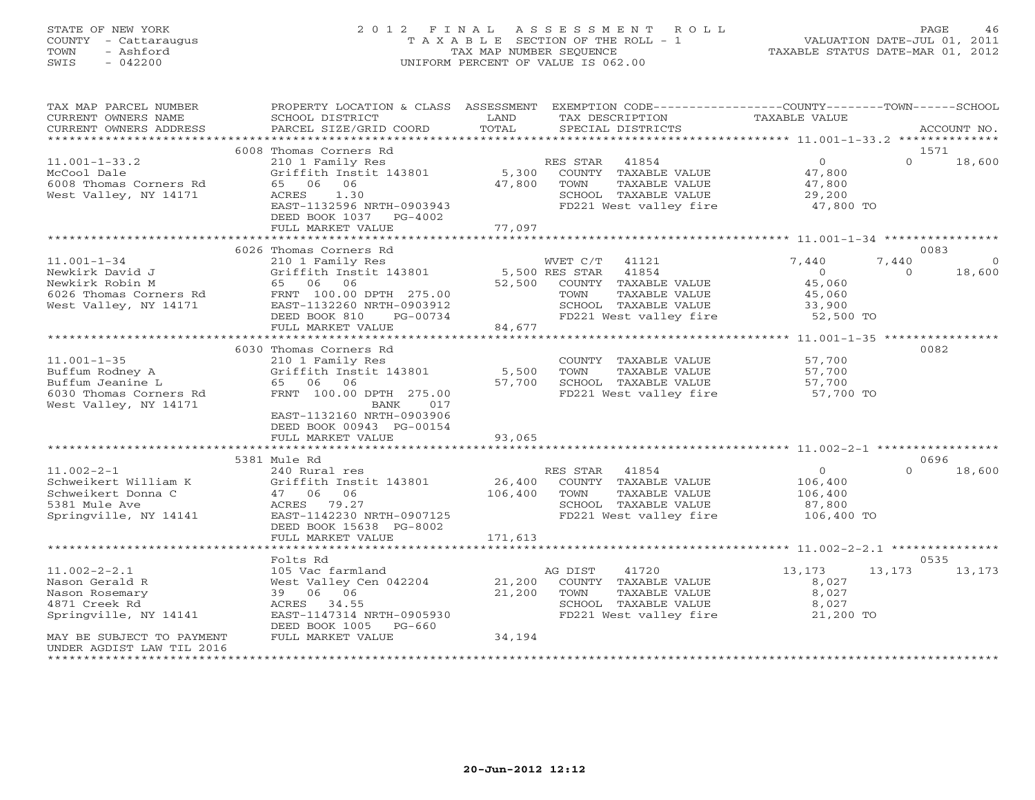# STATE OF NEW YORK 2 0 1 2 F I N A L A S S E S S M E N T R O L L PAGE 46 COUNTY - Cattaraugus T A X A B L E SECTION OF THE ROLL - 1 VALUATION DATE-JUL 01, 2011 TOWN - Ashford TAX MAP NUMBER SEQUENCE TAXABLE STATUS DATE-MAR 01, 2012 SWIS - 042200 UNIFORM PERCENT OF VALUE IS 062.00UNIFORM PERCENT OF VALUE IS 062.00

| TAX MAP PARCEL NUMBER                           | PROPERTY LOCATION & CLASS ASSESSMENT          |                 | EXEMPTION CODE-----------------COUNTY-------TOWN------SCHOOL |                  |                    |
|-------------------------------------------------|-----------------------------------------------|-----------------|--------------------------------------------------------------|------------------|--------------------|
| CURRENT OWNERS NAME                             | SCHOOL DISTRICT                               | LAND            | TAX DESCRIPTION                                              | TAXABLE VALUE    |                    |
| CURRENT OWNERS ADDRESS                          | PARCEL SIZE/GRID COORD                        | TOTAL           | SPECIAL DISTRICTS                                            |                  | ACCOUNT NO.        |
|                                                 |                                               |                 |                                                              |                  |                    |
|                                                 | 6008 Thomas Corners Rd                        |                 |                                                              |                  | 1571               |
| $11.001 - 1 - 33.2$                             | 210 1 Family Res                              |                 | RES STAR<br>41854                                            | $\Omega$         | $\Omega$<br>18,600 |
| McCool Dale                                     | Griffith Instit 143801                        | 5,300           | COUNTY TAXABLE VALUE                                         | 47,800           |                    |
| 6008 Thomas Corners Rd                          | 65 06<br>06                                   | 47,800          | TAXABLE VALUE<br>TOWN                                        | 47,800           |                    |
| West Valley, NY 14171                           | 1.30<br>ACRES                                 |                 | SCHOOL TAXABLE VALUE                                         | 29,200           |                    |
|                                                 | EAST-1132596 NRTH-0903943                     |                 | FD221 West valley fire                                       | 47,800 TO        |                    |
|                                                 | DEED BOOK 1037 PG-4002                        |                 |                                                              |                  |                    |
|                                                 | FULL MARKET VALUE                             | 77,097          |                                                              |                  |                    |
|                                                 |                                               |                 |                                                              |                  |                    |
|                                                 | 6026 Thomas Corners Rd                        |                 |                                                              |                  | 0083               |
| $11.001 - 1 - 34$                               | 210 1 Family Res                              |                 | WVET C/T<br>41121                                            | 7,440            | 7,440<br>$\Omega$  |
| Newkirk David J                                 | Griffith Instit 143801                        | 5,500 RES STAR  | 41854                                                        | $\circ$          | $\Omega$<br>18,600 |
| Newkirk Robin M                                 | 65 06<br>06                                   | 52,500          | COUNTY TAXABLE VALUE                                         | 45,060           |                    |
| 6026 Thomas Corners Rd                          | FRNT 100.00 DPTH 275.00                       |                 | TOWN<br>TAXABLE VALUE                                        | 45,060           |                    |
| West Valley, NY 14171                           | EAST-1132260 NRTH-0903912                     |                 | SCHOOL TAXABLE VALUE                                         | 33,900           |                    |
|                                                 | DEED BOOK 810<br>PG-00734                     |                 | FD221 West valley fire                                       | 52,500 TO        |                    |
|                                                 | FULL MARKET VALUE                             | 84,677          |                                                              |                  |                    |
|                                                 |                                               |                 |                                                              |                  |                    |
|                                                 | 6030 Thomas Corners Rd                        |                 |                                                              |                  | 0082               |
| $11.001 - 1 - 35$                               | 210 1 Family Res                              |                 | COUNTY TAXABLE VALUE                                         | 57,700           |                    |
| Buffum Rodney A                                 | Griffith Instit 143801                        | 5,500<br>57,700 | TAXABLE VALUE<br>TOWN<br>SCHOOL TAXABLE VALUE                | 57,700<br>57,700 |                    |
| Buffum Jeanine L                                | 65 06<br>06                                   |                 |                                                              |                  |                    |
| 6030 Thomas Corners Rd<br>West Valley, NY 14171 | FRNT 100.00 DPTH 275.00<br><b>BANK</b><br>017 |                 | FD221 West valley fire                                       | 57,700 TO        |                    |
|                                                 | EAST-1132160 NRTH-0903906                     |                 |                                                              |                  |                    |
|                                                 | DEED BOOK 00943 PG-00154                      |                 |                                                              |                  |                    |
|                                                 | FULL MARKET VALUE                             | 93,065          |                                                              |                  |                    |
|                                                 |                                               |                 |                                                              |                  |                    |
|                                                 | 5381 Mule Rd                                  |                 |                                                              |                  | 0696               |
| $11.002 - 2 - 1$                                | 240 Rural res                                 |                 | RES STAR<br>41854                                            | $\overline{0}$   | $\Omega$<br>18,600 |
| Schweikert William K                            | Griffith Instit 143801                        | 26,400          | COUNTY TAXABLE VALUE                                         | 106,400          |                    |
| Schweikert Donna C                              | 47 06<br>06                                   | 106,400         | TOWN<br>TAXABLE VALUE                                        | 106,400          |                    |
| 5381 Mule Ave                                   | ACRES 79.27                                   |                 | SCHOOL TAXABLE VALUE                                         | 87,800           |                    |
| Springville, NY 14141                           | EAST-1142230 NRTH-0907125                     |                 | FD221 West valley fire                                       | 106,400 TO       |                    |
|                                                 | DEED BOOK 15638 PG-8002                       |                 |                                                              |                  |                    |
|                                                 | FULL MARKET VALUE                             | 171,613         |                                                              |                  |                    |
|                                                 |                                               |                 |                                                              |                  |                    |
|                                                 | Folts Rd                                      |                 |                                                              |                  | 0535               |
| $11.002 - 2 - 2.1$                              | 105 Vac farmland                              |                 | AG DIST<br>41720                                             | 13,173           | 13,173<br>13,173   |
| Nason Gerald R                                  | West Valley Cen 042204                        | 21,200          | COUNTY TAXABLE VALUE                                         | 8,027            |                    |
| Nason Rosemary                                  | 39 06 06                                      | 21,200          | TOWN<br>TAXABLE VALUE                                        | 8,027            |                    |
| 4871 Creek Rd                                   | ACRES 34.55                                   |                 | SCHOOL TAXABLE VALUE                                         | 8,027            |                    |
| Springville, NY 14141                           | EAST-1147314 NRTH-0905930                     |                 | FD221 West valley fire                                       | 21,200 TO        |                    |
|                                                 | DEED BOOK 1005<br>PG-660                      |                 |                                                              |                  |                    |
| MAY BE SUBJECT TO PAYMENT                       | FULL MARKET VALUE                             | 34,194          |                                                              |                  |                    |
| UNDER AGDIST LAW TIL 2016                       |                                               |                 |                                                              |                  |                    |
|                                                 |                                               |                 |                                                              |                  |                    |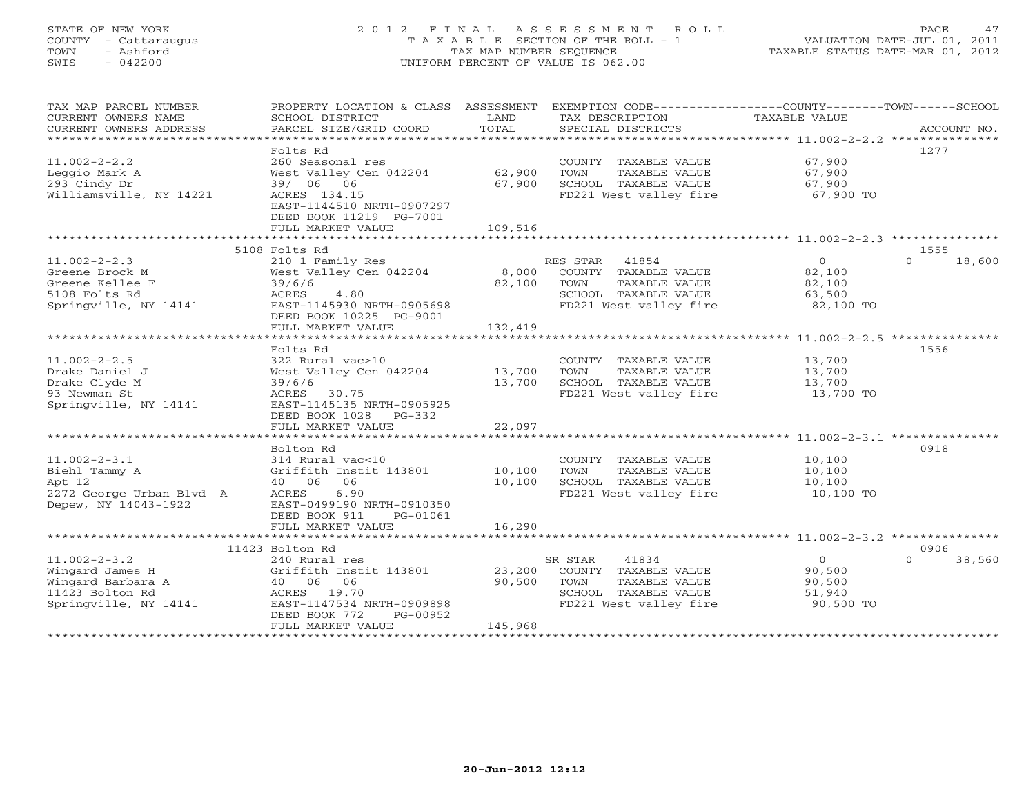# STATE OF NEW YORK 2 0 1 2 F I N A L A S S E S S M E N T R O L L PAGE 47 COUNTY - Cattaraugus T A X A B L E SECTION OF THE ROLL - 1 VALUATION DATE-JUL 01, 2011 TOWN - Ashford TAX MAP NUMBER SEQUENCE TAXABLE STATUS DATE-MAR 01, 2012 SWIS - 042200 UNIFORM PERCENT OF VALUE IS 062.00UNIFORM PERCENT OF VALUE IS 062.00

| TAX MAP PARCEL NUMBER<br>CURRENT OWNERS NAME<br>CURRENT OWNERS ADDRESS                                 | PROPERTY LOCATION & CLASS ASSESSMENT<br>SCHOOL DISTRICT<br>PARCEL SIZE/GRID COORD                                                                                    | LAND<br>TOTAL               | EXEMPTION CODE-----------------COUNTY-------TOWN------SCHOOL<br>TAX DESCRIPTION<br>SPECIAL DISTRICTS                | TAXABLE VALUE                                             | ACCOUNT NO.        |
|--------------------------------------------------------------------------------------------------------|----------------------------------------------------------------------------------------------------------------------------------------------------------------------|-----------------------------|---------------------------------------------------------------------------------------------------------------------|-----------------------------------------------------------|--------------------|
|                                                                                                        | Folts Rd                                                                                                                                                             |                             |                                                                                                                     |                                                           | 1277               |
| $11.002 - 2 - 2.2$<br>Leggio Mark A<br>293 Cindy Dr<br>Williamsville, NY 14221                         | 260 Seasonal res<br>West Valley Cen 042204<br>39/ 06 06<br>ACRES 134.15<br>EAST-1144510 NRTH-0907297<br>DEED BOOK 11219 PG-7001                                      | 62,900<br>67,900            | COUNTY TAXABLE VALUE<br>TOWN<br>TAXABLE VALUE<br>SCHOOL TAXABLE VALUE<br>FD221 West valley fire                     | 67,900<br>67,900<br>67,900<br>67,900 TO                   |                    |
|                                                                                                        | FULL MARKET VALUE                                                                                                                                                    | 109,516                     |                                                                                                                     |                                                           |                    |
|                                                                                                        | 5108 Folts Rd                                                                                                                                                        |                             |                                                                                                                     |                                                           | 1555               |
| $11.002 - 2 - 2.3$<br>Greene Brock M<br>Greene Kellee F<br>5108 Folts Rd<br>Springville, NY 14141      | 210 1 Family Res<br>West Valley Cen 042204<br>39/6/6<br>4.80<br>ACRES<br>EAST-1145930 NRTH-0905698<br>DEED BOOK 10225 PG-9001<br>FULL MARKET VALUE                   | 8,000<br>82,100<br>132,419  | RES STAR 41854<br>COUNTY TAXABLE VALUE<br>TOWN<br>TAXABLE VALUE<br>SCHOOL TAXABLE VALUE<br>FD221 West valley fire   | $\overline{0}$<br>82,100<br>82,100<br>63,500<br>82,100 TO | 18,600<br>$\Omega$ |
|                                                                                                        |                                                                                                                                                                      |                             |                                                                                                                     |                                                           |                    |
| $11.002 - 2 - 2.5$<br>Drake Daniel J<br>Drake Clyde M<br>93 Newman St<br>Springville, NY 14141         | Folts Rd<br>322 Rural vac>10<br>West Valley Cen 042204<br>39/6/6<br>ACRES 30.75<br>EAST-1145135 NRTH-0905925<br>DEED BOOK 1028 PG-332                                | 13,700<br>13,700            | COUNTY TAXABLE VALUE<br>TOWN<br>TAXABLE VALUE<br>SCHOOL TAXABLE VALUE<br>FD221 West valley fire                     | 13,700<br>13,700<br>13,700<br>13,700 TO                   | 1556               |
|                                                                                                        | FULL MARKET VALUE                                                                                                                                                    | 22,097                      |                                                                                                                     |                                                           |                    |
|                                                                                                        | Bolton Rd                                                                                                                                                            |                             |                                                                                                                     |                                                           | 0918               |
| $11.002 - 2 - 3.1$<br>Biehl Tammy A<br>Apt 12<br>2272 George Urban Blvd A<br>Depew, NY 14043-1922      | 314 Rural vac<10<br>Griffith Instit 143801<br>40 06 06<br>6.90<br>ACRES<br>EAST-0499190 NRTH-0910350<br>DEED BOOK 911<br>PG-01061                                    | 10,100<br>10,100            | COUNTY TAXABLE VALUE<br>TOWN<br>TAXABLE VALUE<br>SCHOOL TAXABLE VALUE<br>FD221 West valley fire                     | 10,100<br>10,100<br>10,100<br>10,100 TO                   |                    |
|                                                                                                        | FULL MARKET VALUE                                                                                                                                                    | 16,290                      |                                                                                                                     |                                                           |                    |
|                                                                                                        |                                                                                                                                                                      |                             |                                                                                                                     |                                                           | 0906               |
| $11.002 - 2 - 3.2$<br>Wingard James H<br>Wingard Barbara A<br>11423 Bolton Rd<br>Springville, NY 14141 | 11423 Bolton Rd<br>240 Rural res<br>Griffith Instit 143801<br>40 06 06<br>ACRES 19.70<br>EAST-1147534 NRTH-0909898<br>DEED BOOK 772<br>PG-00952<br>FULL MARKET VALUE | 23,200<br>90,500<br>145,968 | 41834<br>SR STAR<br>COUNTY TAXABLE VALUE<br>TOWN<br>TAXABLE VALUE<br>SCHOOL TAXABLE VALUE<br>FD221 West valley fire | $\Omega$<br>90,500<br>90,500<br>51,940<br>90,500 TO       | $\Omega$<br>38,560 |
|                                                                                                        |                                                                                                                                                                      |                             |                                                                                                                     |                                                           |                    |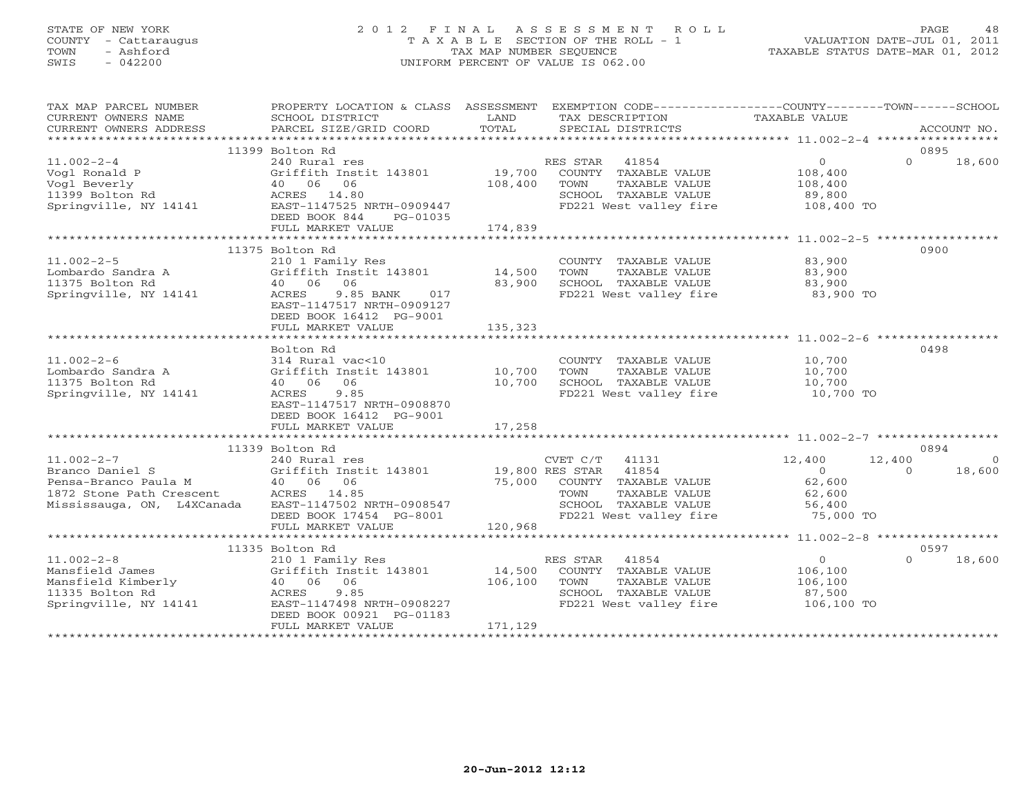# STATE OF NEW YORK 2 0 1 2 F I N A L A S S E S S M E N T R O L L PAGE 48 COUNTY - Cattaraugus T A X A B L E SECTION OF THE ROLL - 1 VALUATION DATE-JUL 01, 2011 TOWN - Ashford **TAX MAP NUMBER SEQUENCE** TAX TAXABLE STATUS DATE-MAR 01, 2012<br>TRIS - 042200 SWIS - 042200 UNIFORM PERCENT OF VALUE IS 062.00

| TAX MAP PARCEL NUMBER                                                                                                                                                                                                                                  | PROPERTY LOCATION & CLASS ASSESSMENT EXEMPTION CODE----------------COUNTY-------TOWN------SCHOOL |                  |                                                                     |                                            |                |                |
|--------------------------------------------------------------------------------------------------------------------------------------------------------------------------------------------------------------------------------------------------------|--------------------------------------------------------------------------------------------------|------------------|---------------------------------------------------------------------|--------------------------------------------|----------------|----------------|
| CURRENT OWNERS NAME                                                                                                                                                                                                                                    | SCHOOL DISTRICT                                                                                  | LAND             | TAX DESCRIPTION                                                     | TAXABLE VALUE                              |                |                |
| CURRENT OWNERS ADDRESS                                                                                                                                                                                                                                 | PARCEL SIZE/GRID COORD                                                                           | TOTAL            | SPECIAL DISTRICTS                                                   |                                            |                | ACCOUNT NO.    |
|                                                                                                                                                                                                                                                        |                                                                                                  |                  |                                                                     |                                            |                |                |
|                                                                                                                                                                                                                                                        | 11399 Bolton Rd                                                                                  |                  |                                                                     |                                            | 0895           |                |
| $11.002 - 2 - 4$                                                                                                                                                                                                                                       | 240 Rural res                                                                                    |                  | RES STAR 41854                                                      | $\overline{0}$                             | $\Omega$       | 18,600         |
|                                                                                                                                                                                                                                                        |                                                                                                  |                  | 19,700 COUNTY TAXABLE VALUE<br>108,400 TOWN TAXABLE VALUE           | 108,400<br>108,400                         |                |                |
|                                                                                                                                                                                                                                                        |                                                                                                  |                  |                                                                     |                                            |                |                |
|                                                                                                                                                                                                                                                        |                                                                                                  |                  | SCHOOL TAXABLE VALUE 89,800<br>FD221 West valley fire 108,400 TO    |                                            |                |                |
|                                                                                                                                                                                                                                                        |                                                                                                  |                  |                                                                     |                                            |                |                |
|                                                                                                                                                                                                                                                        | DEED BOOK 844<br>PG-01035                                                                        |                  |                                                                     |                                            |                |                |
|                                                                                                                                                                                                                                                        | FULL MARKET VALUE                                                                                | 174,839          |                                                                     |                                            |                |                |
|                                                                                                                                                                                                                                                        |                                                                                                  |                  |                                                                     |                                            |                |                |
|                                                                                                                                                                                                                                                        | 11375 Bolton Rd                                                                                  |                  |                                                                     |                                            | 0900           |                |
| $11.002 - 2 - 5$                                                                                                                                                                                                                                       | 210 1 Family Res                                                                                 |                  | COUNTY TAXABLE VALUE                                                | 83,900                                     |                |                |
|                                                                                                                                                                                                                                                        |                                                                                                  |                  | TOWN<br>TAXABLE VALUE                                               | 83,900                                     |                |                |
|                                                                                                                                                                                                                                                        |                                                                                                  |                  | SCHOOL TAXABLE VALUE $83,900$<br>FD221 West valley fire $83,900$ TO |                                            |                |                |
|                                                                                                                                                                                                                                                        |                                                                                                  |                  |                                                                     |                                            |                |                |
|                                                                                                                                                                                                                                                        | EAST-1147517 NRTH-0909127                                                                        |                  |                                                                     |                                            |                |                |
|                                                                                                                                                                                                                                                        | DEED BOOK 16412 PG-9001                                                                          |                  |                                                                     |                                            |                |                |
|                                                                                                                                                                                                                                                        | FULL MARKET VALUE                                                                                | 135,323          |                                                                     |                                            |                |                |
|                                                                                                                                                                                                                                                        |                                                                                                  |                  |                                                                     |                                            |                |                |
|                                                                                                                                                                                                                                                        | Bolton Rd                                                                                        |                  |                                                                     |                                            | 0498           |                |
| $11.002 - 2 - 6$                                                                                                                                                                                                                                       | 314 Rural vac<10                                                                                 |                  | COUNTY TAXABLE VALUE 10,700<br>TAXABLE VALUE 10,700                 |                                            |                |                |
|                                                                                                                                                                                                                                                        |                                                                                                  |                  | TOWN                                                                |                                            |                |                |
|                                                                                                                                                                                                                                                        |                                                                                                  |                  | SCHOOL TAXABLE VALUE 10,700<br>FD221 West valley fire 10,700 TO     |                                            |                |                |
| Springville, NY 14141                                                                                                                                                                                                                                  | ACRES 9.85                                                                                       |                  |                                                                     |                                            |                |                |
|                                                                                                                                                                                                                                                        | EAST-1147517 NRTH-0908870                                                                        |                  |                                                                     |                                            |                |                |
|                                                                                                                                                                                                                                                        | DEED BOOK 16412 PG-9001                                                                          | 17,258           |                                                                     |                                            |                |                |
|                                                                                                                                                                                                                                                        | FULL MARKET VALUE                                                                                |                  |                                                                     |                                            |                |                |
|                                                                                                                                                                                                                                                        | 11339 Bolton Rd                                                                                  |                  |                                                                     |                                            | 0894           |                |
|                                                                                                                                                                                                                                                        |                                                                                                  |                  | CVET $C/T$ 41131                                                    | 12,400                                     | 12,400         | $\overline{0}$ |
|                                                                                                                                                                                                                                                        |                                                                                                  |                  |                                                                     |                                            | $\overline{0}$ | 18,600         |
|                                                                                                                                                                                                                                                        |                                                                                                  |                  | 19,800 RES STAR 41854<br>COUNTY TAXABLE VALUE                       | $\begin{array}{c} 0 \\ 62,600 \end{array}$ |                |                |
|                                                                                                                                                                                                                                                        |                                                                                                  |                  |                                                                     |                                            |                |                |
|                                                                                                                                                                                                                                                        |                                                                                                  |                  |                                                                     |                                            |                |                |
|                                                                                                                                                                                                                                                        | DEED BOOK 17454 PG-8001                                                                          |                  | FD221 West valley fire 75,000 TO                                    |                                            |                |                |
|                                                                                                                                                                                                                                                        | FULL MARKET VALUE                                                                                | $3-8001$ 120,968 |                                                                     |                                            |                |                |
|                                                                                                                                                                                                                                                        |                                                                                                  |                  |                                                                     |                                            |                |                |
|                                                                                                                                                                                                                                                        | 11335 Bolton Rd                                                                                  |                  |                                                                     |                                            | 0597           |                |
|                                                                                                                                                                                                                                                        |                                                                                                  |                  | RES STAR<br>41854                                                   | $\overline{0}$                             | $\Omega$       | 18,600         |
|                                                                                                                                                                                                                                                        |                                                                                                  | 14,500           | COUNTY TAXABLE VALUE                                                | 106,100                                    |                |                |
|                                                                                                                                                                                                                                                        |                                                                                                  | 106,100          | TOWN<br>TAXABLE VALUE                                               | 106,100                                    |                |                |
|                                                                                                                                                                                                                                                        |                                                                                                  |                  | SCHOOL TAXABLE VALUE                                                | 87,500                                     |                |                |
| 11.002-2-8<br>Mansfield James<br>Mansfield Kimberly<br>1335 Bolton Rd<br>1335 Bolton Rd<br>1335 Bolton Rd<br>1335 Bolton Rd<br>1335 Bolton Rd<br>1335 Bolton Rd<br>1335 Bolton Rd<br>1335 Bolton Rd<br>1335 Bolton Rd<br>134141<br>142498 NRTH-0908227 |                                                                                                  |                  | FD221 West valley fire 106,100 TO                                   |                                            |                |                |
|                                                                                                                                                                                                                                                        | DEED BOOK 00921 PG-01183                                                                         |                  |                                                                     |                                            |                |                |
|                                                                                                                                                                                                                                                        | FULL MARKET VALUE                                                                                | 171,129          |                                                                     |                                            |                |                |
|                                                                                                                                                                                                                                                        |                                                                                                  |                  |                                                                     |                                            |                |                |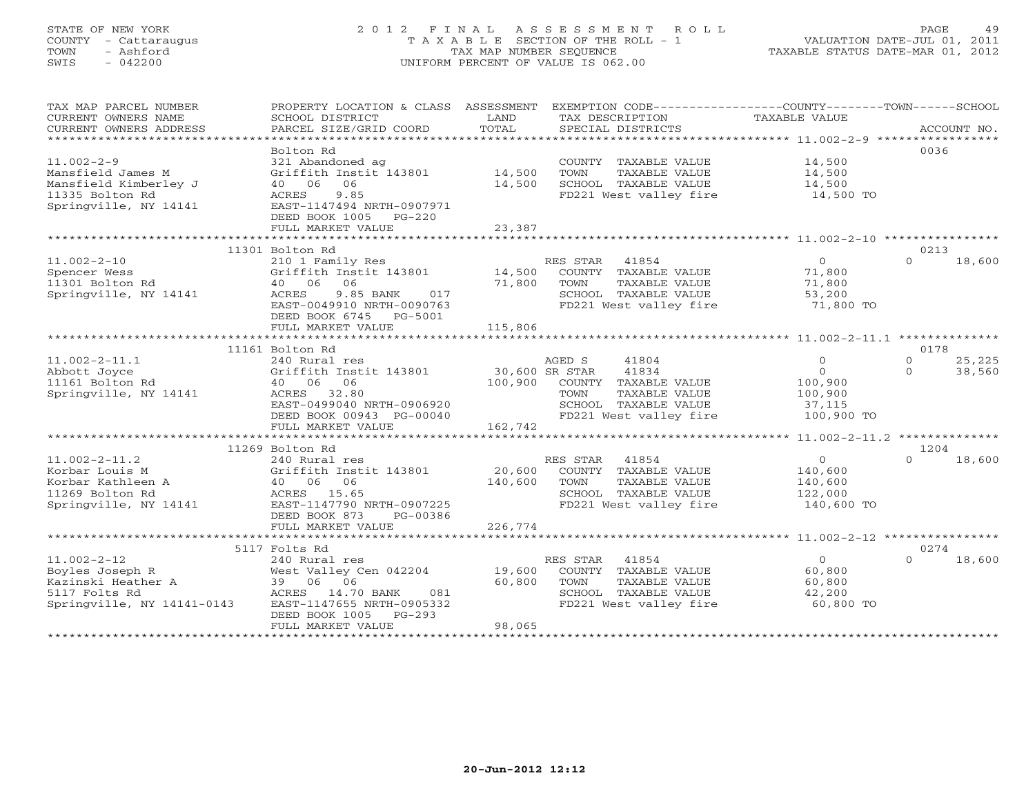# STATE OF NEW YORK 2 0 1 2 F I N A L A S S E S S M E N T R O L L PAGE 49 COUNTY - Cattaraugus T A X A B L E SECTION OF THE ROLL - 1 VALUATION DATE-JUL 01, 2011 TOWN - Ashford TAX MAP NUMBER SEQUENCE TAXABLE STATUS DATE-MAR 01, 2012 SWIS - 042200 UNIFORM PERCENT OF VALUE IS 062.00UNIFORM PERCENT OF VALUE IS 062.00

| TAX MAP PARCEL NUMBER<br>CURRENT OWNERS NAME<br>CURRENT OWNERS ADDRESS | PROPERTY LOCATION & CLASS ASSESSMENT<br>SCHOOL DISTRICT<br>PARCEL SIZE/GRID COORD        | LAND<br>TOTAL  | EXEMPTION CODE-----------------COUNTY-------TOWN------SCHOOL<br>TAX DESCRIPTION<br>SPECIAL DISTRICTS | TAXABLE VALUE              | ACCOUNT NO.        |
|------------------------------------------------------------------------|------------------------------------------------------------------------------------------|----------------|------------------------------------------------------------------------------------------------------|----------------------------|--------------------|
|                                                                        |                                                                                          |                |                                                                                                      |                            |                    |
| $11.002 - 2 - 9$<br>Mansfield James M<br>Mansfield Kimberley J         | Bolton Rd<br>321 Abandoned ag<br>Griffith Instit 143801 14,500<br>40 06 06               | 14,500         | COUNTY TAXABLE VALUE<br>TAXABLE VALUE<br>TOWN<br>SCHOOL TAXABLE VALUE                                | 14,500<br>14,500<br>14,500 | 0036               |
| 11335 Bolton Rd<br>Springville, NY 14141                               | 9.85<br>ACRES<br>EAST-1147494 NRTH-0907971<br>DEED BOOK 1005 PG-220<br>FULL MARKET VALUE | 23,387         | FD221 West valley fire                                                                               | 14,500 TO                  |                    |
|                                                                        |                                                                                          |                |                                                                                                      |                            |                    |
|                                                                        | 11301 Bolton Rd                                                                          |                |                                                                                                      |                            | 0213               |
| $11.002 - 2 - 10$                                                      | 210 1 Family Res                                                                         |                | RES STAR 41854                                                                                       | $\overline{0}$             | 18,600<br>$\Omega$ |
| Spencer Wess                                                           | Griffith Instit 143801                                                                   | 14,500         | COUNTY TAXABLE VALUE                                                                                 |                            |                    |
| 11301 Bolton Rd                                                        | 40 06<br>06                                                                              | 71,800         | TAXABLE VALUE<br>TOWN                                                                                | 71,800<br>71,800           |                    |
| Springville, NY 14141                                                  | 9.85 BANK<br>017<br>ACRES                                                                |                | SCHOOL TAXABLE VALUE                                                                                 | 53,200                     |                    |
|                                                                        | EAST-0049910 NRTH-0090763                                                                |                | SCHOOL TAXABLE VALUE<br>FD221 West valley fire                                                       | 71,800 TO                  |                    |
|                                                                        | DEED BOOK 6745 PG-5001                                                                   |                |                                                                                                      |                            |                    |
|                                                                        | FULL MARKET VALUE                                                                        | 115,806        |                                                                                                      |                            |                    |
|                                                                        | ***************************                                                              |                |                                                                                                      |                            |                    |
|                                                                        | 11161 Bolton Rd                                                                          |                |                                                                                                      |                            | 0178               |
| $11.002 - 2 - 11.1$                                                    | 240 Rural res                                                                            |                | AGED S<br>41804                                                                                      | $\circ$                    | 25,225<br>$\Omega$ |
| Abbott Joyce                                                           | Griffith Instit 143801                                                                   | 30,600 SR STAR | 41834                                                                                                | $\overline{0}$             | $\Omega$<br>38,560 |
| 11161 Bolton Rd                                                        | 40 06 06                                                                                 | 100,900        | COUNTY TAXABLE VALUE                                                                                 | 100,900                    |                    |
| Springville, NY 14141                                                  | ACRES 32.80                                                                              |                | TAXABLE VALUE<br>TOWN                                                                                | 100,900                    |                    |
|                                                                        | EAST-0499040 NRTH-0906920                                                                |                | SCHOOL TAXABLE VALUE                                                                                 | 37,115                     |                    |
|                                                                        | DEED BOOK 00943 PG-00040                                                                 |                | FD221 West valley fire                                                                               | 100,900 TO                 |                    |
|                                                                        | FULL MARKET VALUE                                                                        | 162,742        |                                                                                                      |                            |                    |
|                                                                        |                                                                                          |                |                                                                                                      |                            |                    |
|                                                                        | 11269 Bolton Rd                                                                          |                |                                                                                                      |                            | 1204               |
| $11.002 - 2 - 11.2$                                                    | 240 Rural res                                                                            |                | RES STAR 41854                                                                                       | $\overline{0}$             | 18,600<br>$\cap$   |
| Korbar Louis M                                                         | Griffith Instit 143801                                                                   | 20,600         | COUNTY TAXABLE VALUE                                                                                 | 140,600                    |                    |
| Korbar Kathleen A                                                      | 40 06 06                                                                                 | 140,600        | TAXABLE VALUE<br>TOWN                                                                                | 140,600                    |                    |
| 11269 Bolton Rd                                                        | ACRES 15.65                                                                              |                | SCHOOL TAXABLE VALUE                                                                                 | 122,000                    |                    |
| Springville, NY 14141                                                  | EAST-1147790 NRTH-0907225                                                                |                | FD221 West valley fire                                                                               | 140,600 TO                 |                    |
|                                                                        | DEED BOOK 873<br>PG-00386                                                                |                |                                                                                                      |                            |                    |
|                                                                        | FULL MARKET VALUE                                                                        | 226,774        |                                                                                                      |                            |                    |
|                                                                        |                                                                                          |                |                                                                                                      |                            |                    |
|                                                                        | 5117 Folts Rd                                                                            |                |                                                                                                      |                            | 0274               |
| $11.002 - 2 - 12$                                                      |                                                                                          |                |                                                                                                      | $\overline{0}$             | 18,600<br>$\cap$   |
|                                                                        | 240 Rural res                                                                            | 19,600         | RES STAR 41854<br>COUNTY TAXABLE VALUE                                                               | 60,800                     |                    |
|                                                                        | West Valley Cen 042204<br>39 06 06                                                       | 60,800         | TOWN<br>TAXABLE VALUE                                                                                | 60,800                     |                    |
| Boyles Joseph R<br>Kazinski Heather A<br>5117 Folts Rd                 | ACRES 14.70 BANK<br>081                                                                  |                | SCHOOL TAXABLE VALUE                                                                                 | 42,200                     |                    |
| Springville, NY 14141-0143                                             | EAST-1147655 NRTH-0905332                                                                |                | FD221 West valley fire                                                                               | 60,800 TO                  |                    |
|                                                                        | DEED BOOK 1005<br>$PG-293$                                                               |                |                                                                                                      |                            |                    |
|                                                                        | FULL MARKET VALUE                                                                        | 98,065         |                                                                                                      |                            |                    |
|                                                                        |                                                                                          |                |                                                                                                      |                            |                    |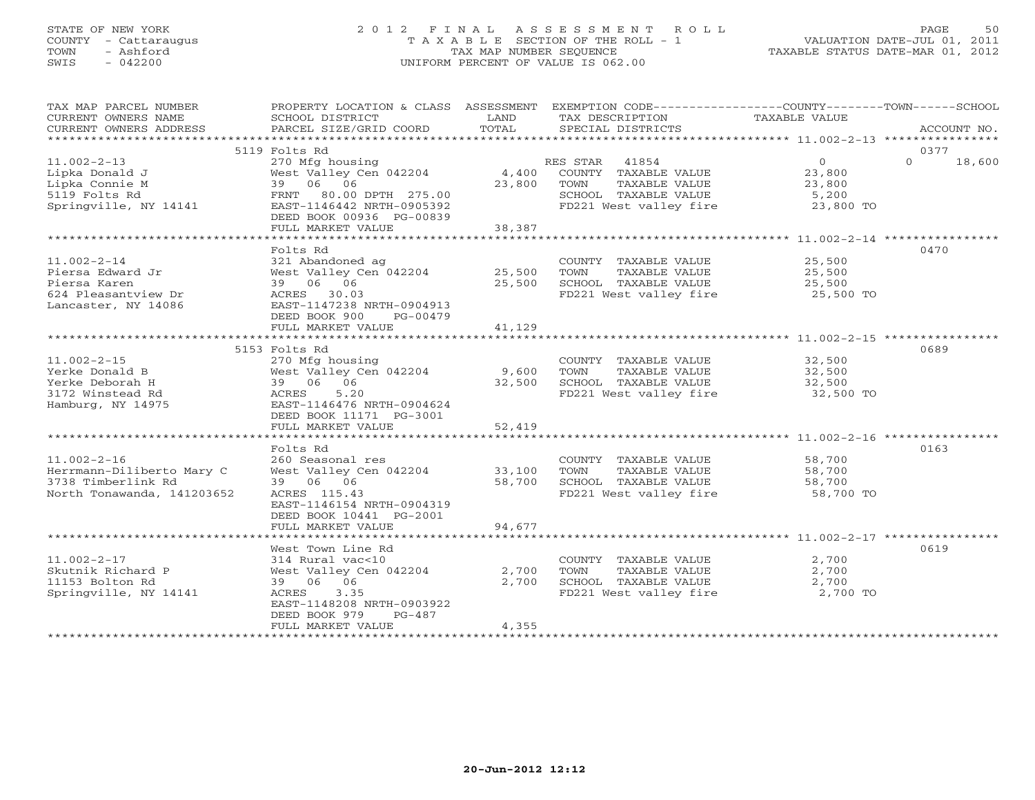# STATE OF NEW YORK 2 0 1 2 F I N A L A S S E S S M E N T R O L L PAGE 50 COUNTY - Cattaraugus T A X A B L E SECTION OF THE ROLL - 1 VALUATION DATE-JUL 01, 2011 TOWN - Ashford TAX MAP NUMBER SEQUENCE TAXABLE STATUS DATE-MAR 01, 2012 SWIS - 042200 UNIFORM PERCENT OF VALUE IS 062.00UNIFORM PERCENT OF VALUE IS 062.00

TAX MAP PARCEL NUMBER PROPERTY LOCATION & CLASS ASSESSMENT EXEMPTION CODE----------------COUNTY-------TOWN------SCHOOL

| CURRENT OWNERS ADDRESS<br>PARCEL SIZE/GRID COORD<br>TOTAL<br>ACCOUNT NO.<br>SPECIAL DISTRICTS<br>5119 Folts Rd<br>0377<br>$\Omega$<br>$\Omega$<br>18,600<br>$11.002 - 2 - 13$<br>270 Mfg housing<br>RES STAR 41854<br>West Valley Cen 042204<br>4,400<br>COUNTY TAXABLE VALUE<br>23,800<br>Lipka Donald J<br>Lipka Connie M<br>39 06 06<br>23,800<br>TOWN<br>TAXABLE VALUE<br>23,800<br>5119 Folts Rd<br>FRNT 80.00 DPTH 275.00<br>SCHOOL TAXABLE VALUE<br>5,200<br>Springville, NY 14141<br>EAST-1146442 NRTH-0905392<br>FD221 West valley fire<br>23,800 TO<br>DEED BOOK 00936 PG-00839<br>38,387<br>FULL MARKET VALUE<br>********************************<br>Folts Rd<br>0470<br>$11.002 - 2 - 14$<br>321 Abandoned ag<br>25,500<br>COUNTY TAXABLE VALUE<br>West Valley Cen 042204<br>Piersa Edward Jr<br>25,500<br>25,500<br>TOWN<br>TAXABLE VALUE<br>39 06 06<br>Piersa Karen<br>25,500<br>SCHOOL TAXABLE VALUE<br>25,500<br>624 Pleasantview Dr<br>ACRES 30.03<br>FD221 West valley fire<br>25,500 TO<br>EAST-1147238 NRTH-0904913<br>Lancaster, NY 14086<br>DEED BOOK 900<br>PG-00479<br>41,129<br>FULL MARKET VALUE<br>5153 Folts Rd<br>0689<br>$11.002 - 2 - 15$<br>32,500<br>270 Mfg housing<br>COUNTY TAXABLE VALUE<br>West Valley Cen 042204<br>9,600<br>32,500<br>Yerke Donald B<br>TAXABLE VALUE<br>TOWN<br>39 06 06<br>Yerke Deborah H<br>32,500<br>SCHOOL TAXABLE VALUE<br>32,500<br>5.20<br>FD221 West valley fire<br>32,500 TO<br>3172 Winstead Rd<br>ACRES |
|-------------------------------------------------------------------------------------------------------------------------------------------------------------------------------------------------------------------------------------------------------------------------------------------------------------------------------------------------------------------------------------------------------------------------------------------------------------------------------------------------------------------------------------------------------------------------------------------------------------------------------------------------------------------------------------------------------------------------------------------------------------------------------------------------------------------------------------------------------------------------------------------------------------------------------------------------------------------------------------------------------------------------------------------------------------------------------------------------------------------------------------------------------------------------------------------------------------------------------------------------------------------------------------------------------------------------------------------------------------------------------------------------------------------------------------------------------------------------------|
|                                                                                                                                                                                                                                                                                                                                                                                                                                                                                                                                                                                                                                                                                                                                                                                                                                                                                                                                                                                                                                                                                                                                                                                                                                                                                                                                                                                                                                                                               |
|                                                                                                                                                                                                                                                                                                                                                                                                                                                                                                                                                                                                                                                                                                                                                                                                                                                                                                                                                                                                                                                                                                                                                                                                                                                                                                                                                                                                                                                                               |
|                                                                                                                                                                                                                                                                                                                                                                                                                                                                                                                                                                                                                                                                                                                                                                                                                                                                                                                                                                                                                                                                                                                                                                                                                                                                                                                                                                                                                                                                               |
|                                                                                                                                                                                                                                                                                                                                                                                                                                                                                                                                                                                                                                                                                                                                                                                                                                                                                                                                                                                                                                                                                                                                                                                                                                                                                                                                                                                                                                                                               |
|                                                                                                                                                                                                                                                                                                                                                                                                                                                                                                                                                                                                                                                                                                                                                                                                                                                                                                                                                                                                                                                                                                                                                                                                                                                                                                                                                                                                                                                                               |
|                                                                                                                                                                                                                                                                                                                                                                                                                                                                                                                                                                                                                                                                                                                                                                                                                                                                                                                                                                                                                                                                                                                                                                                                                                                                                                                                                                                                                                                                               |
|                                                                                                                                                                                                                                                                                                                                                                                                                                                                                                                                                                                                                                                                                                                                                                                                                                                                                                                                                                                                                                                                                                                                                                                                                                                                                                                                                                                                                                                                               |
|                                                                                                                                                                                                                                                                                                                                                                                                                                                                                                                                                                                                                                                                                                                                                                                                                                                                                                                                                                                                                                                                                                                                                                                                                                                                                                                                                                                                                                                                               |
|                                                                                                                                                                                                                                                                                                                                                                                                                                                                                                                                                                                                                                                                                                                                                                                                                                                                                                                                                                                                                                                                                                                                                                                                                                                                                                                                                                                                                                                                               |
|                                                                                                                                                                                                                                                                                                                                                                                                                                                                                                                                                                                                                                                                                                                                                                                                                                                                                                                                                                                                                                                                                                                                                                                                                                                                                                                                                                                                                                                                               |
|                                                                                                                                                                                                                                                                                                                                                                                                                                                                                                                                                                                                                                                                                                                                                                                                                                                                                                                                                                                                                                                                                                                                                                                                                                                                                                                                                                                                                                                                               |
|                                                                                                                                                                                                                                                                                                                                                                                                                                                                                                                                                                                                                                                                                                                                                                                                                                                                                                                                                                                                                                                                                                                                                                                                                                                                                                                                                                                                                                                                               |
|                                                                                                                                                                                                                                                                                                                                                                                                                                                                                                                                                                                                                                                                                                                                                                                                                                                                                                                                                                                                                                                                                                                                                                                                                                                                                                                                                                                                                                                                               |
|                                                                                                                                                                                                                                                                                                                                                                                                                                                                                                                                                                                                                                                                                                                                                                                                                                                                                                                                                                                                                                                                                                                                                                                                                                                                                                                                                                                                                                                                               |
|                                                                                                                                                                                                                                                                                                                                                                                                                                                                                                                                                                                                                                                                                                                                                                                                                                                                                                                                                                                                                                                                                                                                                                                                                                                                                                                                                                                                                                                                               |
|                                                                                                                                                                                                                                                                                                                                                                                                                                                                                                                                                                                                                                                                                                                                                                                                                                                                                                                                                                                                                                                                                                                                                                                                                                                                                                                                                                                                                                                                               |
|                                                                                                                                                                                                                                                                                                                                                                                                                                                                                                                                                                                                                                                                                                                                                                                                                                                                                                                                                                                                                                                                                                                                                                                                                                                                                                                                                                                                                                                                               |
|                                                                                                                                                                                                                                                                                                                                                                                                                                                                                                                                                                                                                                                                                                                                                                                                                                                                                                                                                                                                                                                                                                                                                                                                                                                                                                                                                                                                                                                                               |
|                                                                                                                                                                                                                                                                                                                                                                                                                                                                                                                                                                                                                                                                                                                                                                                                                                                                                                                                                                                                                                                                                                                                                                                                                                                                                                                                                                                                                                                                               |
|                                                                                                                                                                                                                                                                                                                                                                                                                                                                                                                                                                                                                                                                                                                                                                                                                                                                                                                                                                                                                                                                                                                                                                                                                                                                                                                                                                                                                                                                               |
|                                                                                                                                                                                                                                                                                                                                                                                                                                                                                                                                                                                                                                                                                                                                                                                                                                                                                                                                                                                                                                                                                                                                                                                                                                                                                                                                                                                                                                                                               |
|                                                                                                                                                                                                                                                                                                                                                                                                                                                                                                                                                                                                                                                                                                                                                                                                                                                                                                                                                                                                                                                                                                                                                                                                                                                                                                                                                                                                                                                                               |
|                                                                                                                                                                                                                                                                                                                                                                                                                                                                                                                                                                                                                                                                                                                                                                                                                                                                                                                                                                                                                                                                                                                                                                                                                                                                                                                                                                                                                                                                               |
|                                                                                                                                                                                                                                                                                                                                                                                                                                                                                                                                                                                                                                                                                                                                                                                                                                                                                                                                                                                                                                                                                                                                                                                                                                                                                                                                                                                                                                                                               |
|                                                                                                                                                                                                                                                                                                                                                                                                                                                                                                                                                                                                                                                                                                                                                                                                                                                                                                                                                                                                                                                                                                                                                                                                                                                                                                                                                                                                                                                                               |
| EAST-1146476 NRTH-0904624<br>Hamburg, NY 14975                                                                                                                                                                                                                                                                                                                                                                                                                                                                                                                                                                                                                                                                                                                                                                                                                                                                                                                                                                                                                                                                                                                                                                                                                                                                                                                                                                                                                                |
| DEED BOOK 11171 PG-3001<br>52,419                                                                                                                                                                                                                                                                                                                                                                                                                                                                                                                                                                                                                                                                                                                                                                                                                                                                                                                                                                                                                                                                                                                                                                                                                                                                                                                                                                                                                                             |
| FULL MARKET VALUE                                                                                                                                                                                                                                                                                                                                                                                                                                                                                                                                                                                                                                                                                                                                                                                                                                                                                                                                                                                                                                                                                                                                                                                                                                                                                                                                                                                                                                                             |
| Folts Rd<br>0163                                                                                                                                                                                                                                                                                                                                                                                                                                                                                                                                                                                                                                                                                                                                                                                                                                                                                                                                                                                                                                                                                                                                                                                                                                                                                                                                                                                                                                                              |
| $11.002 - 2 - 16$<br>260 Seasonal res<br>58,700<br>COUNTY TAXABLE VALUE                                                                                                                                                                                                                                                                                                                                                                                                                                                                                                                                                                                                                                                                                                                                                                                                                                                                                                                                                                                                                                                                                                                                                                                                                                                                                                                                                                                                       |
| Herrmann-Diliberto Mary C<br>West Valley Cen 042204<br>33,100<br>TOWN<br>TAXABLE VALUE<br>58,700                                                                                                                                                                                                                                                                                                                                                                                                                                                                                                                                                                                                                                                                                                                                                                                                                                                                                                                                                                                                                                                                                                                                                                                                                                                                                                                                                                              |
| 3738 Timberlink Rd<br>39 06 06<br>58,700<br>SCHOOL TAXABLE VALUE<br>58,700                                                                                                                                                                                                                                                                                                                                                                                                                                                                                                                                                                                                                                                                                                                                                                                                                                                                                                                                                                                                                                                                                                                                                                                                                                                                                                                                                                                                    |
| FD221 West valley fire<br>58,700 TO<br>North Tonawanda, 141203652<br>ACRES 115.43                                                                                                                                                                                                                                                                                                                                                                                                                                                                                                                                                                                                                                                                                                                                                                                                                                                                                                                                                                                                                                                                                                                                                                                                                                                                                                                                                                                             |
| EAST-1146154 NRTH-0904319                                                                                                                                                                                                                                                                                                                                                                                                                                                                                                                                                                                                                                                                                                                                                                                                                                                                                                                                                                                                                                                                                                                                                                                                                                                                                                                                                                                                                                                     |
| DEED BOOK 10441 PG-2001                                                                                                                                                                                                                                                                                                                                                                                                                                                                                                                                                                                                                                                                                                                                                                                                                                                                                                                                                                                                                                                                                                                                                                                                                                                                                                                                                                                                                                                       |
| 94,677<br>FULL MARKET VALUE                                                                                                                                                                                                                                                                                                                                                                                                                                                                                                                                                                                                                                                                                                                                                                                                                                                                                                                                                                                                                                                                                                                                                                                                                                                                                                                                                                                                                                                   |
|                                                                                                                                                                                                                                                                                                                                                                                                                                                                                                                                                                                                                                                                                                                                                                                                                                                                                                                                                                                                                                                                                                                                                                                                                                                                                                                                                                                                                                                                               |
| 0619<br>West Town Line Rd                                                                                                                                                                                                                                                                                                                                                                                                                                                                                                                                                                                                                                                                                                                                                                                                                                                                                                                                                                                                                                                                                                                                                                                                                                                                                                                                                                                                                                                     |
| $11.002 - 2 - 17$<br>314 Rural vac<10<br>COUNTY TAXABLE VALUE<br>2,700                                                                                                                                                                                                                                                                                                                                                                                                                                                                                                                                                                                                                                                                                                                                                                                                                                                                                                                                                                                                                                                                                                                                                                                                                                                                                                                                                                                                        |
| West Valley Cen 042204<br>2,700<br>Skutnik Richard P<br>2,700<br>TOWN<br>TAXABLE VALUE                                                                                                                                                                                                                                                                                                                                                                                                                                                                                                                                                                                                                                                                                                                                                                                                                                                                                                                                                                                                                                                                                                                                                                                                                                                                                                                                                                                        |
| 39 06 06<br>2,700<br>SCHOOL TAXABLE VALUE<br>2,700<br>11153 Bolton Rd                                                                                                                                                                                                                                                                                                                                                                                                                                                                                                                                                                                                                                                                                                                                                                                                                                                                                                                                                                                                                                                                                                                                                                                                                                                                                                                                                                                                         |
| 3.35<br>FD221 West valley fire<br>2,700 TO<br>Springville, NY 14141<br>ACRES                                                                                                                                                                                                                                                                                                                                                                                                                                                                                                                                                                                                                                                                                                                                                                                                                                                                                                                                                                                                                                                                                                                                                                                                                                                                                                                                                                                                  |
| EAST-1148208 NRTH-0903922                                                                                                                                                                                                                                                                                                                                                                                                                                                                                                                                                                                                                                                                                                                                                                                                                                                                                                                                                                                                                                                                                                                                                                                                                                                                                                                                                                                                                                                     |
| DEED BOOK 979<br>$PG-487$                                                                                                                                                                                                                                                                                                                                                                                                                                                                                                                                                                                                                                                                                                                                                                                                                                                                                                                                                                                                                                                                                                                                                                                                                                                                                                                                                                                                                                                     |
| 4,355<br>FULL MARKET VALUE                                                                                                                                                                                                                                                                                                                                                                                                                                                                                                                                                                                                                                                                                                                                                                                                                                                                                                                                                                                                                                                                                                                                                                                                                                                                                                                                                                                                                                                    |
|                                                                                                                                                                                                                                                                                                                                                                                                                                                                                                                                                                                                                                                                                                                                                                                                                                                                                                                                                                                                                                                                                                                                                                                                                                                                                                                                                                                                                                                                               |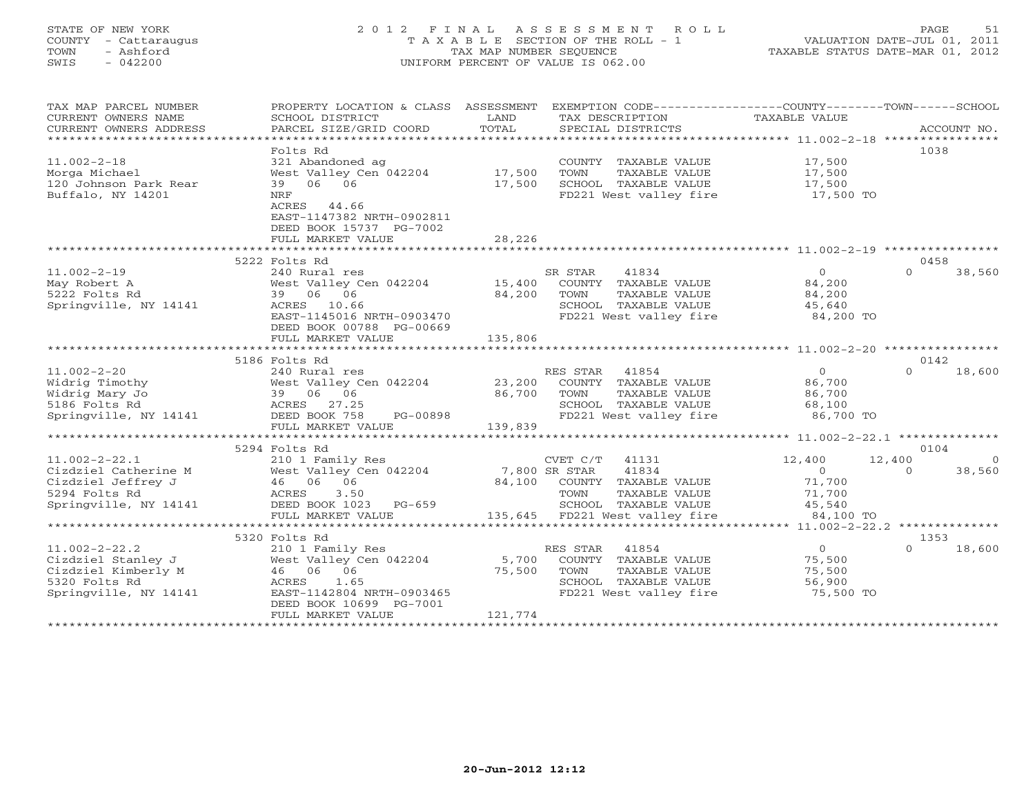# STATE OF NEW YORK 2 0 1 2 F I N A L A S S E S S M E N T R O L L PAGE 51 COUNTY - Cattaraugus T A X A B L E SECTION OF THE ROLL - 1 VALUATION DATE-JUL 01, 2011 TOWN - Ashford TAX MAP NUMBER SEQUENCE TAXABLE STATUS DATE-MAR 01, 2012 SWIS - 042200 UNIFORM PERCENT OF VALUE IS 062.00UNIFORM PERCENT OF VALUE IS 062.00

| TAX MAP PARCEL NUMBER<br>CURRENT OWNERS NAME<br>CURRENT OWNERS ADDRESS                                      | PROPERTY LOCATION & CLASS ASSESSMENT<br>SCHOOL DISTRICT<br>PARCEL SIZE/GRID COORD                                                                                     | LAND<br>TOTAL              | EXEMPTION CODE-----------------COUNTY-------TOWN-----SCHOOL<br>TAX DESCRIPTION<br>SPECIAL DISTRICTS                                   | TAXABLE VALUE                                                 | ACCOUNT NO.                                     |
|-------------------------------------------------------------------------------------------------------------|-----------------------------------------------------------------------------------------------------------------------------------------------------------------------|----------------------------|---------------------------------------------------------------------------------------------------------------------------------------|---------------------------------------------------------------|-------------------------------------------------|
| $11.002 - 2 - 18$<br>Morga Michael<br>120 Johnson Park Rear<br>Buffalo, NY 14201                            | Folts Rd<br>321 Abandoned ag<br>West Valley Cen 042204<br>39 06 06<br>NRF<br>ACRES 44.66<br>EAST-1147382 NRTH-0902811<br>DEED BOOK 15737 PG-7002                      | 17,500<br>17,500           | COUNTY TAXABLE VALUE<br>TOWN<br>TAXABLE VALUE<br>SCHOOL TAXABLE VALUE<br>FD221 West valley fire                                       | 17,500<br>17,500<br>17,500<br>17,500 TO                       | 1038                                            |
|                                                                                                             | FULL MARKET VALUE                                                                                                                                                     | 28,226                     |                                                                                                                                       |                                                               |                                                 |
|                                                                                                             |                                                                                                                                                                       |                            |                                                                                                                                       |                                                               |                                                 |
| $11.002 - 2 - 19$<br>May Robert A<br>5222 Folts Rd<br>Springville, NY 14141                                 | 5222 Folts Rd<br>240 Rural res<br>West Valley Cen 042204<br>39 06 06<br>ACRES 10.66<br>EAST-1145016 NRTH-0903470<br>DEED BOOK 00788 PG-00669                          | 15,400<br>84,200           | 41834<br>SR STAR<br>COUNTY TAXABLE VALUE<br>TOWN<br>TAXABLE VALUE<br>SCHOOL TAXABLE VALUE<br>FD221 West valley fire                   | $\overline{0}$<br>84,200<br>84,200<br>45,640<br>84,200 TO     | 0458<br>38,560<br>$\Omega$                      |
|                                                                                                             | FULL MARKET VALUE                                                                                                                                                     | 135,806                    |                                                                                                                                       |                                                               |                                                 |
|                                                                                                             |                                                                                                                                                                       |                            |                                                                                                                                       |                                                               |                                                 |
| $11.002 - 2 - 20$<br>Widrig Timothy<br>Widrig Mary Jo<br>5186 Folts Rd<br>Springville, NY 14141             | 5186 Folts Rd<br>240 Rural res<br>West Valley Cen 042204 23,200<br>39 06 06<br>ACRES 27.25<br>DEED BOOK 758<br>PG-00898<br>FULL MARKET VALUE                          | 86,700<br>139,839          | RES STAR 41854<br>COUNTY TAXABLE VALUE<br>TOWN<br>TAXABLE VALUE<br>SCHOOL TAXABLE VALUE<br>FD221 West valley fire                     | $\overline{0}$<br>86,700<br>86,700<br>68,100<br>86,700 TO     | 0142<br>18,600<br>$\cap$                        |
|                                                                                                             |                                                                                                                                                                       |                            |                                                                                                                                       |                                                               |                                                 |
| $11.002 - 2 - 22.1$<br>Cizdziel Catherine M<br>Cizdziel Jeffrey J<br>5294 Folts Rd<br>Springville, NY 14141 | 5294 Folts Rd<br>210 1 Family Res<br>West Valley Cen 042204<br>West Valley (<br>46  06  06<br>ACRES<br>3.50<br>DEED BOOK 1023 PG-659<br>FULL MARKET VALUE             | 7,800 SR STAR<br>84,100    | CVET C/T<br>41131<br>41834<br>COUNTY TAXABLE VALUE<br>TOWN<br>TAXABLE VALUE<br>SCHOOL TAXABLE VALUE<br>135,645 FD221 West valley fire | 12,400<br>$\Omega$<br>71,700<br>71,700<br>45,540<br>84,100 TO | 0104<br>12,400<br>$\circ$<br>$\Omega$<br>38,560 |
|                                                                                                             |                                                                                                                                                                       |                            |                                                                                                                                       |                                                               |                                                 |
| $11.002 - 2 - 22.2$<br>Cizdziel Stanley J<br>Cizdziel Kimberly M<br>5320 Folts Rd<br>Springville, NY 14141  | 5320 Folts Rd<br>210 1 Family Res<br>West Valley Cen 042204<br>46 06 06<br>ACRES<br>1.65<br>EAST-1142804 NRTH-0903465<br>DEED BOOK 10699 PG-7001<br>FULL MARKET VALUE | 5,700<br>75,500<br>121,774 | RES STAR<br>41854<br>COUNTY TAXABLE VALUE<br>TOWN<br>TAXABLE VALUE<br>SCHOOL TAXABLE VALUE<br>FD221 West valley fire                  | $\overline{0}$<br>75,500<br>75,500<br>56,900<br>75,500 TO     | 1353<br>$\cap$<br>18,600                        |
|                                                                                                             |                                                                                                                                                                       |                            |                                                                                                                                       |                                                               |                                                 |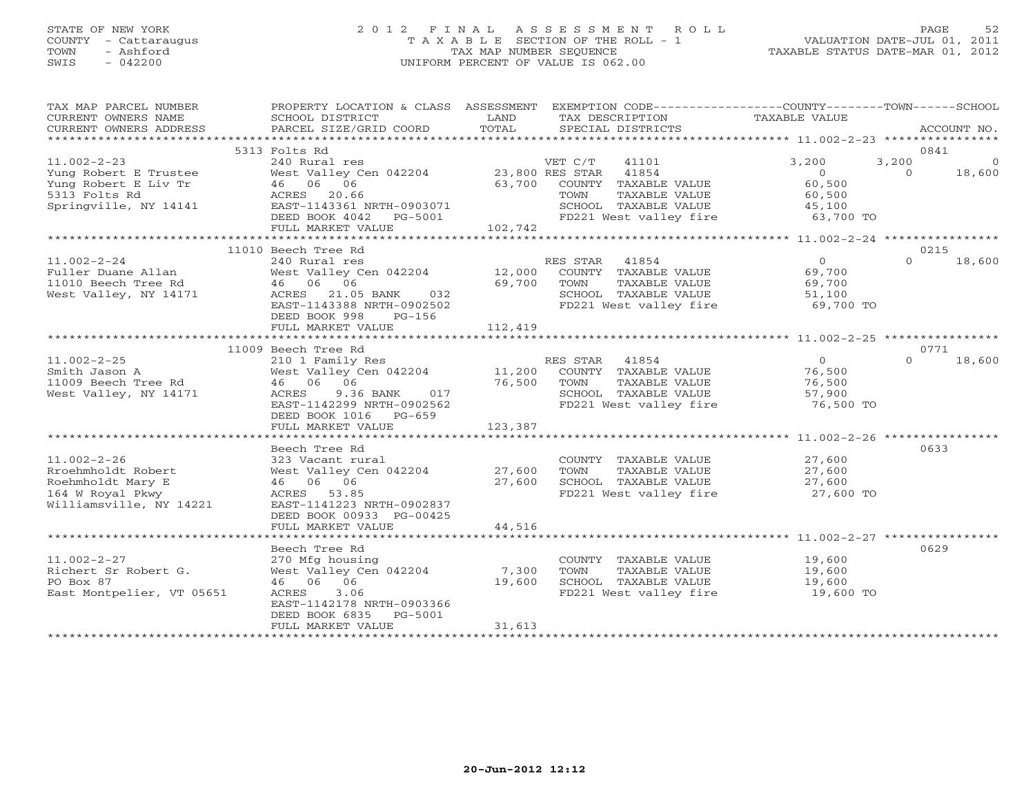### STATE OF NEW YORK 2 0 1 2 F I N A L A S S E S S M E N T R O L L PAGE 52 COUNTY - Cattaraugus T A X A B L E SECTION OF THE ROLL - 1 VALUATION DATE-JUL 01, 2011 TOWN - Ashford TAX MAP NUMBER SEQUENCE TAXABLE STATUS DATE-MAR 01, 2012 SWIS - 042200 UNIFORM PERCENT OF VALUE IS 062.00UNIFORM PERCENT OF VALUE IS 062.00

| TAX MAP PARCEL NUMBER<br>CURRENT OWNERS NAME<br>CURRENT OWNERS ADDRESS                                                                                                                                                              | PROPERTY LOCATION & CLASS ASSESSMENT EXEMPTION CODE---------------COUNTY-------TOWN------SCHOOL<br>SCHOOL DISTRICT<br><b>Example 12 TEAMPLE 12 TEAMPLE 12 TEAMPLE</b><br>PARCEL SIZE/GRID COORD                               | TOTAL                            | TAX DESCRIPTION TAXABLE VALUE SPECIAL DISTRICTS                                           |                                            | ACCOUNT NO.        |
|-------------------------------------------------------------------------------------------------------------------------------------------------------------------------------------------------------------------------------------|-------------------------------------------------------------------------------------------------------------------------------------------------------------------------------------------------------------------------------|----------------------------------|-------------------------------------------------------------------------------------------|--------------------------------------------|--------------------|
|                                                                                                                                                                                                                                     |                                                                                                                                                                                                                               |                                  |                                                                                           |                                            |                    |
|                                                                                                                                                                                                                                     | 5313 Folts Rd                                                                                                                                                                                                                 |                                  |                                                                                           |                                            | 0841               |
| $11.002 - 2 - 23$                                                                                                                                                                                                                   | 240 Rural res                                                                                                                                                                                                                 |                                  | VET C/T<br>41101                                                                          | 3,200                                      | 3,200<br>$\Omega$  |
|                                                                                                                                                                                                                                     |                                                                                                                                                                                                                               |                                  |                                                                                           | $0$<br>60,500                              | 18,600<br>$\cap$   |
|                                                                                                                                                                                                                                     |                                                                                                                                                                                                                               |                                  | יי ביבים במות התאבצות ה-63,700<br>התאמש התאבצות התאמשית התאמשית המות המות המות            |                                            |                    |
|                                                                                                                                                                                                                                     |                                                                                                                                                                                                                               |                                  | TAXABLE VALUE                                                                             | 60,500                                     |                    |
| Vung Robert E Trustee West Valley Cen 042204 23,800 RES STAR 41854<br>Yung Robert E Liv Tr 46 06 06 63,700 COUNTY TAXABLE<br>5313 Folts Rd ACRES 20.66 700 COUNTY TAXABLE<br>Springville, NY 14141 EAST-1143361 NRTH-0903071 SCHOOL |                                                                                                                                                                                                                               |                                  |                                                                                           |                                            |                    |
|                                                                                                                                                                                                                                     |                                                                                                                                                                                                                               |                                  |                                                                                           |                                            |                    |
|                                                                                                                                                                                                                                     | FULL MARKET VALUE                                                                                                                                                                                                             | 102,742                          |                                                                                           |                                            |                    |
|                                                                                                                                                                                                                                     |                                                                                                                                                                                                                               |                                  |                                                                                           |                                            |                    |
|                                                                                                                                                                                                                                     | 11010 Beech Tree Rd                                                                                                                                                                                                           |                                  |                                                                                           |                                            | 0215               |
| $11.002 - 2 - 24$                                                                                                                                                                                                                   |                                                                                                                                                                                                                               |                                  |                                                                                           |                                            | $\Omega$<br>18,600 |
|                                                                                                                                                                                                                                     |                                                                                                                                                                                                                               |                                  |                                                                                           |                                            |                    |
|                                                                                                                                                                                                                                     |                                                                                                                                                                                                                               |                                  |                                                                                           |                                            |                    |
| Fuller Duane Allan (1997)<br>11010 Beech Tree Rd (1997)<br>West Valley, NY 14171 (1998)<br>21.05 BANK (1998)                                                                                                                        |                                                                                                                                                                                                                               |                                  |                                                                                           |                                            |                    |
|                                                                                                                                                                                                                                     | EAST-1143388 NRTH-0902502                                                                                                                                                                                                     | 69,700 TOWN<br>SCHOOL<br>FD221 W | SCHOOL TAXABLE VALUE 51,100<br>FD221 West valley fire 69,700 TO<br>FD221 West valley fire |                                            |                    |
|                                                                                                                                                                                                                                     | DEED BOOK 998<br>PG-156                                                                                                                                                                                                       |                                  |                                                                                           |                                            |                    |
|                                                                                                                                                                                                                                     | FULL MARKET VALUE                                                                                                                                                                                                             | 112,419                          |                                                                                           |                                            |                    |
|                                                                                                                                                                                                                                     |                                                                                                                                                                                                                               |                                  |                                                                                           |                                            |                    |
|                                                                                                                                                                                                                                     | 11009 Beech Tree Rd                                                                                                                                                                                                           |                                  |                                                                                           |                                            | 0771               |
| $11.002 - 2 - 25$                                                                                                                                                                                                                   |                                                                                                                                                                                                                               |                                  |                                                                                           |                                            | $\Omega$<br>18,600 |
|                                                                                                                                                                                                                                     |                                                                                                                                                                                                                               |                                  |                                                                                           | $\begin{array}{c} 0 \\ 76,500 \end{array}$ |                    |
| Smith Jason A<br>11009 Beech Tree Rd<br>Mark Mark Line (111)                                                                                                                                                                        |                                                                                                                                                                                                                               |                                  |                                                                                           | TAXABLE VALUE 76,500                       |                    |
| West Valley, NY 14171                                                                                                                                                                                                               |                                                                                                                                                                                                                               |                                  |                                                                                           |                                            |                    |
|                                                                                                                                                                                                                                     | Beech Tree Rd<br>210 1 Family Res<br>West Valley Cen 042204 11,200 COUNTY TAXABLE VALUE<br>46 06 06 76,500 TOWN TAXABLE VALUE<br>ACRES 9.36 BANK 017 SCHOOL TAXABLE VALUE<br>EAST-1142299 NRTH-0902562 FD221 West valley fire |                                  | SCHOOL TAXABLE VALUE 57,900<br>FD221 West valley fire 57,500 TO                           |                                            |                    |
|                                                                                                                                                                                                                                     | DEED BOOK 1016 PG-659                                                                                                                                                                                                         |                                  |                                                                                           |                                            |                    |
|                                                                                                                                                                                                                                     | FULL MARKET VALUE                                                                                                                                                                                                             | 123,387                          |                                                                                           |                                            |                    |
|                                                                                                                                                                                                                                     |                                                                                                                                                                                                                               |                                  |                                                                                           |                                            |                    |
|                                                                                                                                                                                                                                     | Beech Tree Rd                                                                                                                                                                                                                 |                                  |                                                                                           |                                            | 0633               |
| $11.002 - 2 - 26$                                                                                                                                                                                                                   |                                                                                                                                                                                                                               |                                  |                                                                                           |                                            |                    |
| Rroehmholdt Robert                                                                                                                                                                                                                  | 323 Vacant rural<br>West Valley Cen 042204 27,600                                                                                                                                                                             |                                  | COUNTY TAXABLE VALUE<br>TOWN TAXABLE VALUE 27,600                                         |                                            |                    |
| Roehmholdt Mary E                                                                                                                                                                                                                   | 46 06 06                                                                                                                                                                                                                      |                                  |                                                                                           |                                            |                    |
| 164 W Royal Pkwy                                                                                                                                                                                                                    | ACRES 53.85                                                                                                                                                                                                                   | 27,600                           | SCHOOL TAXABLE VALUE 27,600<br>FD221 West valley fire 27,600 TO                           |                                            |                    |
| Williamsville, NY 14221                                                                                                                                                                                                             | EAST-1141223 NRTH-0902837                                                                                                                                                                                                     |                                  |                                                                                           |                                            |                    |
|                                                                                                                                                                                                                                     |                                                                                                                                                                                                                               |                                  |                                                                                           |                                            |                    |
|                                                                                                                                                                                                                                     | DEED BOOK 00933 PG-00425                                                                                                                                                                                                      | 44,516                           |                                                                                           |                                            |                    |
|                                                                                                                                                                                                                                     | FULL MARKET VALUE                                                                                                                                                                                                             |                                  |                                                                                           |                                            |                    |
|                                                                                                                                                                                                                                     |                                                                                                                                                                                                                               |                                  |                                                                                           |                                            |                    |
|                                                                                                                                                                                                                                     | Beech Tree Rd                                                                                                                                                                                                                 |                                  |                                                                                           |                                            | 0629               |
| $11.002 - 2 - 27$                                                                                                                                                                                                                   | 270 Mfg housing                                                                                                                                                                                                               |                                  | COUNTY TAXABLE VALUE 19,600                                                               |                                            |                    |
| Richert Sr Robert G.                                                                                                                                                                                                                | West Valley Cen 042204 7,300                                                                                                                                                                                                  |                                  | TOWN                                                                                      | TAXABLE VALUE 19,600                       |                    |
| PO Box 87                                                                                                                                                                                                                           | 46 06 06                                                                                                                                                                                                                      | 19,600                           | SCHOOL TAXABLE VALUE                                                                      | 19,600                                     |                    |
| East Montpelier, VT 05651                                                                                                                                                                                                           | ACRES<br>3.06                                                                                                                                                                                                                 |                                  | FD221 West valley fire 19,600 TO                                                          |                                            |                    |
|                                                                                                                                                                                                                                     | EAST-1142178 NRTH-0903366                                                                                                                                                                                                     |                                  |                                                                                           |                                            |                    |
|                                                                                                                                                                                                                                     | DEED BOOK 6835 PG-5001                                                                                                                                                                                                        |                                  |                                                                                           |                                            |                    |
| ***********************                                                                                                                                                                                                             | FULL MARKET VALUE                                                                                                                                                                                                             | 31,613                           |                                                                                           |                                            |                    |
|                                                                                                                                                                                                                                     |                                                                                                                                                                                                                               |                                  |                                                                                           |                                            |                    |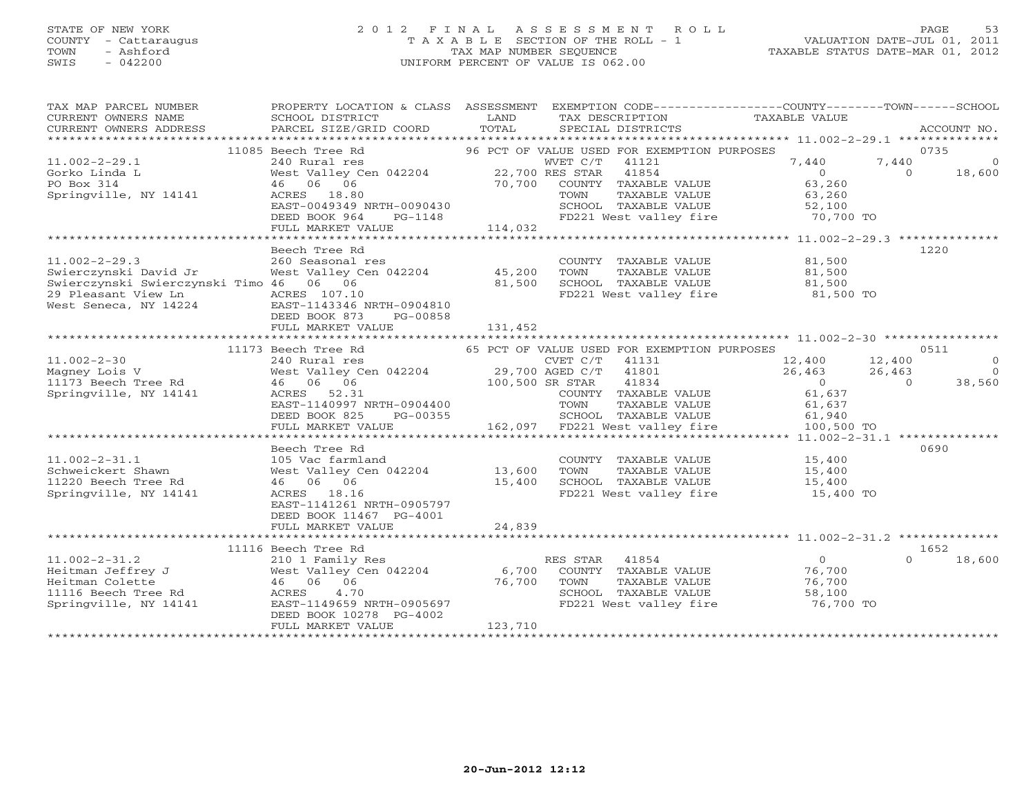#### STATE OF NEW YORK 2 0 1 2 F I N A L A S S E S S M E N T R O L L PAGE 53 COUNTY - Cattaraugus T A X A B L E SECTION OF THE ROLL - 1 VALUATION DATE-JUL 01, 2011 TOWN - Ashford TAX MAP NUMBER SEQUENCE TAXABLE STATUS DATE-MAR 01, 2012 SWIS - 042200 UNIFORM PERCENT OF VALUE IS 062.00UNIFORM PERCENT OF VALUE IS 062.00

| TAX MAP PARCEL NUMBER<br>CURRENT OWNERS NAME<br>CURRENT OWNERS ADDRESS                                                                  | PROPERTY LOCATION & CLASS ASSESSMENT EXEMPTION CODE----------------COUNTY-------TOWN------SCHOOL<br>SCHOOL DISTRICT<br>PARCEL SIZE/GRID COORD                           | LAND<br>TOTAL              | TAX DESCRIPTION TAXABLE VALUE<br>SPECIAL DISTRICTS                                                                                                                                              |                                                                      | ACCOUNT NO.                                     |
|-----------------------------------------------------------------------------------------------------------------------------------------|-------------------------------------------------------------------------------------------------------------------------------------------------------------------------|----------------------------|-------------------------------------------------------------------------------------------------------------------------------------------------------------------------------------------------|----------------------------------------------------------------------|-------------------------------------------------|
| $11.002 - 2 - 29.1$<br>Gorko Linda L<br>PO Box 314<br>Springville, NY 14141                                                             | 11085 Beech Tree Rd<br>240 Rural res<br>West Valley Cen 042204<br>46 06 06<br>ACRES 18.80<br>EAST-0049349 NRTH-0090430<br>DEED BOOK 964<br>PG-1148<br>FULL MARKET VALUE | 70,700<br>114,032          | 96 PCT OF VALUE USED FOR EXEMPTION PURPOSES<br>WVET C/T<br>41121<br>22,700 RES STAR<br>41854<br>COUNTY TAXABLE VALUE<br>TAXABLE VALUE<br>TOWN<br>SCHOOL TAXABLE VALUE<br>FD221 West valley fire | 7,440<br>$\Omega$<br>63,260<br>63,260<br>52,100<br>70,700 TO         | 0735<br>7,440<br>$\Omega$<br>$\Omega$<br>18,600 |
| $11.002 - 2 - 29.3$<br>Swierczynski David Jr<br>Swierczynski Swierczynski Timo 46 06 06<br>29 Pleasant View Ln<br>West Seneca, NY 14224 | Beech Tree Rd<br>260 Seasonal res<br>West Valley Cen 042204 45,200<br>ACRES 107.10<br>EAST-1143346 NRTH-0904810<br>DEED BOOK 873<br>PG-00858<br>FULL MARKET VALUE       | 81,500<br>131,452          | COUNTY TAXABLE VALUE<br>TOWN<br>TAXABLE VALUE<br>SCHOOL TAXABLE VALUE<br>FD221 West valley fire                                                                                                 | 81,500<br>81,500<br>81,500<br>81,500 TO                              | 1220                                            |
|                                                                                                                                         | 11173 Beech Tree Rd                                                                                                                                                     |                            | 65 PCT OF VALUE USED FOR EXEMPTION PURPOSES                                                                                                                                                     |                                                                      | 0511                                            |
| $11.002 - 2 - 30$                                                                                                                       | 240 Rural res                                                                                                                                                           |                            | CVET C/T 41131                                                                                                                                                                                  | 12,400                                                               | 12,400<br>$\overline{O}$                        |
| $11173$ Beech Tree Rd<br>Springville, NY 14141                                                                                          | West Valley Cen 042204 29,700 AGED C/T<br>46 06 06<br>ACRES 52.31<br>EAST-1140997 NRTH-0904400<br>DEED BOOK 825<br>PG-00355<br>FULL MARKET VALUE                        | 100,500 SR STAR            | 41801<br>41834<br>COUNTY TAXABLE VALUE<br>TOWN<br>TAXABLE VALUE<br>SCHOOL TAXABLE VALUE<br>162,097 FD221 West valley fire                                                                       | 26,463<br>$\overline{0}$<br>61,637<br>61,637<br>61,940<br>100,500 TO | 26,463<br>$\bigcirc$<br>$\Omega$<br>38,560      |
|                                                                                                                                         |                                                                                                                                                                         |                            |                                                                                                                                                                                                 |                                                                      |                                                 |
| $11.002 - 2 - 31.1$<br>Schweickert Shawn<br>11220 Beech Tree Rd<br>Springville, NY 14141                                                | Beech Tree Rd<br>105 Vac farmland<br>West Valley Cen 042204<br>46 06 06<br>ACRES 18.16<br>EAST-1141261 NRTH-0905797<br>DEED BOOK 11467 PG-4001                          | 13,600<br>15,400           | COUNTY TAXABLE VALUE<br>TOWN<br>TAXABLE VALUE<br>SCHOOL TAXABLE VALUE<br>FD221 West valley fire                                                                                                 | 15,400<br>15,400<br>15,400<br>15,400 TO                              | 0690                                            |
|                                                                                                                                         | FULL MARKET VALUE                                                                                                                                                       | 24,839                     |                                                                                                                                                                                                 |                                                                      |                                                 |
|                                                                                                                                         | 11116 Beech Tree Rd                                                                                                                                                     |                            |                                                                                                                                                                                                 |                                                                      | 1652                                            |
| $11.002 - 2 - 31.2$<br>Heitman Jeffrey J<br>Heitman Colette<br>11116 Beech Tree Rd<br>Springville, NY 14141                             | 210 1 Family Res<br>West Valley Cen 042204<br>46 06 06<br>ACRES<br>4.70<br>EAST-1149659 NRTH-0905697<br>DEED BOOK 10278 PG-4002<br>FULL MARKET VALUE                    | 6,700<br>76,700<br>123,710 | RES STAR 41854<br>COUNTY TAXABLE VALUE<br>TOWN<br>TAXABLE VALUE<br>SCHOOL TAXABLE VALUE<br>FD221 West valley fire                                                                               | $\overline{0}$<br>76,700<br>76,700<br>58,100<br>76,700 TO            | $\cap$<br>18,600                                |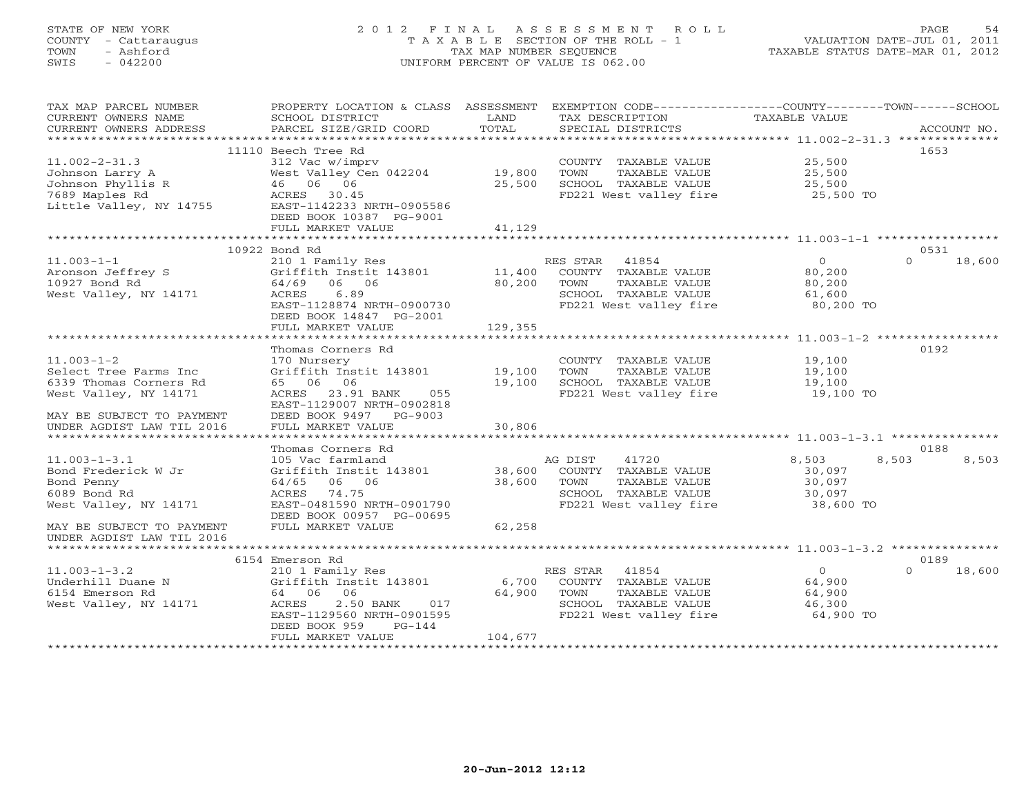### STATE OF NEW YORK 2 0 1 2 F I N A L A S S E S S M E N T R O L L PAGE 54 COUNTY - Cattaraugus T A X A B L E SECTION OF THE ROLL - 1 VALUATION DATE-JUL 01, 2011 TOWN - Ashford Communist Communist Communist Communist Communist Communist Communist Communist Communist Communist Communist Communist Communist Communist Communist Communist Communist Communist Communist Communist Communi SWIS - 042200 UNIFORM PERCENT OF VALUE IS 062.00

TAX MAP PARCEL NUMBER PROPERTY LOCATION & CLASS ASSESSMENT EXEMPTION CODE----------------COUNTY-------TOWN------SCHOOL

| CURRENT OWNERS NAME       | SCHOOL DISTRICT            | LAND    | TAX DESCRIPTION             | TAXABLE VALUE  |                    |
|---------------------------|----------------------------|---------|-----------------------------|----------------|--------------------|
| CURRENT OWNERS ADDRESS    | PARCEL SIZE/GRID COORD     | TOTAL   | SPECIAL DISTRICTS           |                | ACCOUNT NO.        |
|                           |                            |         |                             |                |                    |
|                           | 11110 Beech Tree Rd        |         |                             |                | 1653               |
| $11.002 - 2 - 31.3$       | 312 Vac w/imprv            |         | COUNTY TAXABLE VALUE        | 25,500         |                    |
| Johnson Larry A           | West Valley Cen 042204     | 19,800  | TOWN<br>TAXABLE VALUE       | 25,500         |                    |
| Johnson Phyllis R         | 46 06 06                   | 25,500  | SCHOOL TAXABLE VALUE        | 25,500         |                    |
| 7689 Maples Rd            | ACRES 30.45                |         | FD221 West valley fire      | 25,500 TO      |                    |
| Little Valley, NY 14755   | EAST-1142233 NRTH-0905586  |         |                             |                |                    |
|                           | DEED BOOK 10387 PG-9001    |         |                             |                |                    |
|                           | FULL MARKET VALUE          | 41,129  |                             |                |                    |
|                           |                            |         |                             |                |                    |
|                           | 10922 Bond Rd              |         |                             |                | 0531               |
| $11.003 - 1 - 1$          | 210 1 Family Res           |         | RES STAR<br>41854           | $\overline{0}$ | $\Omega$<br>18,600 |
| Aronson Jeffrey S         | Griffith Instit 143801     |         | 11,400 COUNTY TAXABLE VALUE | 80,200         |                    |
| 10927 Bond Rd             | 06 06<br>64/69             | 80,200  | TAXABLE VALUE<br>TOWN       | 80,200         |                    |
| West Valley, NY 14171     | 6.89<br>ACRES              |         | SCHOOL TAXABLE VALUE        | 61,600         |                    |
|                           | EAST-1128874 NRTH-0900730  |         | FD221 West valley fire      | 80,200 TO      |                    |
|                           | DEED BOOK 14847 PG-2001    |         |                             |                |                    |
|                           | FULL MARKET VALUE          | 129,355 |                             |                |                    |
|                           |                            |         |                             |                |                    |
|                           | Thomas Corners Rd          |         |                             |                | 0192               |
| $11.003 - 1 - 2$          | 170 Nursery                |         | COUNTY TAXABLE VALUE        | 19,100         |                    |
| Select Tree Farms Inc     | Griffith Instit 143801     | 19,100  | TAXABLE VALUE<br>TOWN       | 19,100         |                    |
| 6339 Thomas Corners Rd    | 65 06 06                   | 19,100  | SCHOOL TAXABLE VALUE        | 19,100         |                    |
| West Valley, NY 14171     | 23.91 BANK<br>ACRES<br>055 |         | FD221 West valley fire      | 19,100 TO      |                    |
|                           | EAST-1129007 NRTH-0902818  |         |                             |                |                    |
| MAY BE SUBJECT TO PAYMENT | DEED BOOK 9497 PG-9003     |         |                             |                |                    |
| UNDER AGDIST LAW TIL 2016 | FULL MARKET VALUE          | 30,806  |                             |                |                    |
|                           |                            |         |                             |                |                    |
|                           | Thomas Corners Rd          |         |                             |                | 0188               |
| $11.003 - 1 - 3.1$        | 105 Vac farmland           |         | AG DIST<br>41720            | 8,503<br>8,503 | 8,503              |
| Bond Frederick W Jr       | Griffith Instit 143801     | 38,600  | COUNTY TAXABLE VALUE        | 30,097         |                    |
| Bond Penny                | 64/65<br>06 06             | 38,600  | TOWN<br>TAXABLE VALUE       | 30,097         |                    |
| 6089 Bond Rd              | 74.75<br>ACRES             |         | SCHOOL TAXABLE VALUE        | 30,097         |                    |
| West Valley, NY 14171     | EAST-0481590 NRTH-0901790  |         | FD221 West valley fire      | 38,600 TO      |                    |
|                           | DEED BOOK 00957 PG-00695   |         |                             |                |                    |
| MAY BE SUBJECT TO PAYMENT | FULL MARKET VALUE          | 62,258  |                             |                |                    |
| UNDER AGDIST LAW TIL 2016 |                            |         |                             |                |                    |
|                           |                            |         |                             |                |                    |
|                           | 6154 Emerson Rd            |         |                             |                | 0189               |
| $11.003 - 1 - 3.2$        | 210 1 Family Res           |         | RES STAR<br>41854           | $\overline{0}$ | $\Omega$<br>18,600 |
| Underhill Duane N         | Griffith Instit 143801     | 6,700   | COUNTY TAXABLE VALUE        | 64,900         |                    |
| 6154 Emerson Rd           | 64 06 06                   | 64,900  | TOWN<br>TAXABLE VALUE       | 64,900         |                    |
| West Valley, NY 14171     | 2.50 BANK 017<br>ACRES     |         | SCHOOL TAXABLE VALUE        | 46,300         |                    |
|                           | EAST-1129560 NRTH-0901595  |         | FD221 West valley fire      | 64,900 TO      |                    |
|                           | DEED BOOK 959 PG-144       |         |                             |                |                    |
|                           | FULL MARKET VALUE          | 104,677 |                             |                |                    |
|                           |                            |         |                             |                |                    |
|                           |                            |         |                             |                |                    |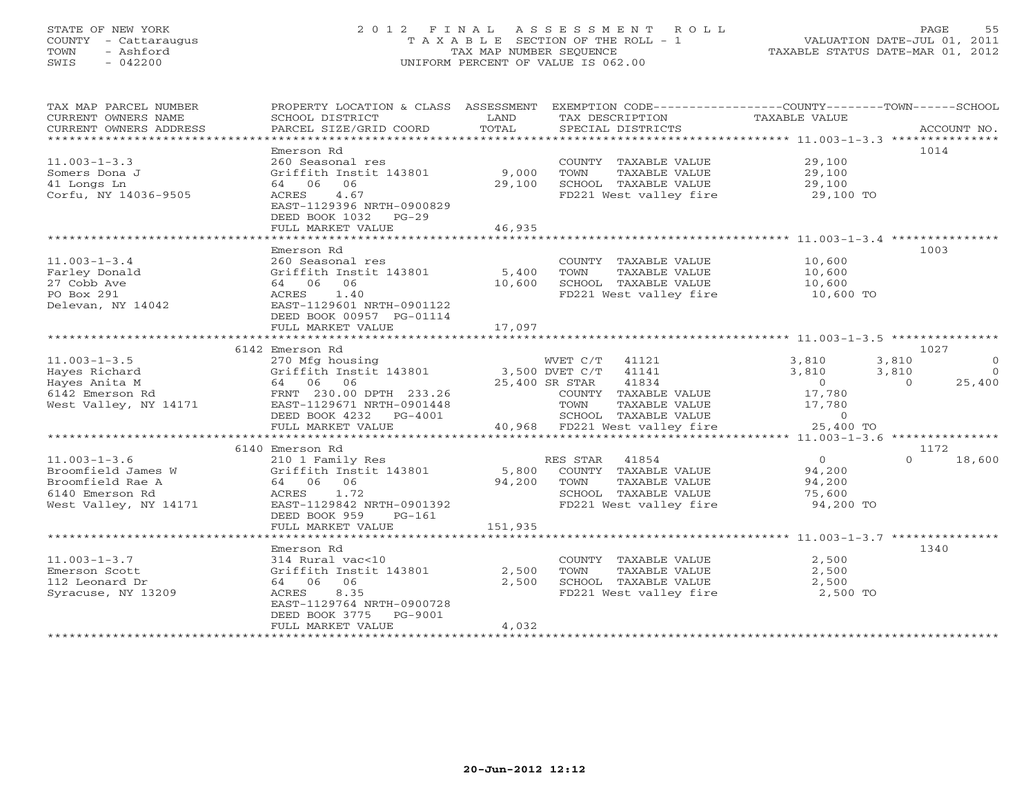### STATE OF NEW YORK 2 0 1 2 F I N A L A S S E S S M E N T R O L L PAGE 55 COUNTY - Cattaraugus T A X A B L E SECTION OF THE ROLL - 1 VALUATION DATE-JUL 01, 2011 TOWN - Ashford TAX MAP NUMBER SEQUENCE TAXABLE STATUS DATE-MAR 01, 2012 SWIS - 042200 UNIFORM PERCENT OF VALUE IS 062.00UNIFORM PERCENT OF VALUE IS 062.00

| TAX MAP PARCEL NUMBER<br>CURRENT OWNERS NAME<br>CURRENT OWNERS ADDRESS | PROPERTY LOCATION & CLASS ASSESSMENT<br>SCHOOL DISTRICT<br>PARCEL SIZE/GRID COORD | LAND<br>TOTAL | EXEMPTION CODE-----------------COUNTY-------TOWN------SCHOOL<br>TAX DESCRIPTION TAXABLE VALUE<br>SPECIAL DISTRICTS |                | ACCOUNT NO.        |
|------------------------------------------------------------------------|-----------------------------------------------------------------------------------|---------------|--------------------------------------------------------------------------------------------------------------------|----------------|--------------------|
|                                                                        |                                                                                   |               |                                                                                                                    |                |                    |
|                                                                        | Emerson Rd                                                                        |               |                                                                                                                    |                | 1014               |
| $11.003 - 1 - 3.3$                                                     | 260 Seasonal res                                                                  |               | COUNTY TAXABLE VALUE                                                                                               | 29,100         |                    |
| Somers Dona J                                                          | Griffith Instit 143801                                                            | 9,000         | TOWN<br>TAXABLE VALUE                                                                                              | 29,100         |                    |
| 41 Longs Ln                                                            | 64 06 06                                                                          | 29,100        | SCHOOL TAXABLE VALUE                                                                                               | 29,100         |                    |
| Corfu, NY 14036-9505                                                   | ACRES<br>4.67                                                                     |               | FD221 West valley fire                                                                                             | 29,100 TO      |                    |
|                                                                        | EAST-1129396 NRTH-0900829                                                         |               |                                                                                                                    |                |                    |
|                                                                        | DEED BOOK 1032 PG-29                                                              |               |                                                                                                                    |                |                    |
|                                                                        | FULL MARKET VALUE                                                                 | 46,935        |                                                                                                                    |                |                    |
|                                                                        |                                                                                   |               |                                                                                                                    |                |                    |
|                                                                        | Emerson Rd                                                                        |               |                                                                                                                    |                | 1003               |
| $11.003 - 1 - 3.4$                                                     | 260 Seasonal res                                                                  |               | COUNTY TAXABLE VALUE                                                                                               | 10,600         |                    |
| Farley Donald                                                          | Griffith Instit 143801                                                            | 5,400         | TOWN<br>TAXABLE VALUE                                                                                              |                |                    |
|                                                                        |                                                                                   |               |                                                                                                                    | 10,600         |                    |
| 27 Cobb Ave                                                            | 64 06 06                                                                          | 10,600        | SCHOOL TAXABLE VALUE                                                                                               | 10,600         |                    |
| PO Box 291                                                             | ACRES<br>1.40                                                                     |               | FD221 West valley fire 10,600 TO                                                                                   |                |                    |
| Delevan, NY 14042                                                      | EAST-1129601 NRTH-0901122                                                         |               |                                                                                                                    |                |                    |
|                                                                        | DEED BOOK 00957 PG-01114                                                          |               |                                                                                                                    |                |                    |
|                                                                        | FULL MARKET VALUE                                                                 | 17,097        |                                                                                                                    |                |                    |
|                                                                        |                                                                                   |               |                                                                                                                    |                |                    |
|                                                                        | 6142 Emerson Rd                                                                   |               |                                                                                                                    |                | 1027               |
| $11.003 - 1 - 3.5$                                                     |                                                                                   |               |                                                                                                                    | 3,810          | 3,810<br>$\Omega$  |
| Hayes Richard                                                          | 270 Mfg housing $WVET C/T$ 41121<br>Griffith Instit 143801 3,500 DVET C/T 41141   |               |                                                                                                                    | 3,810          | 3,810<br>$\Omega$  |
| Hayes Anita M                                                          | 64 06 06                                                                          |               | 41834<br>25,400 SR STAR                                                                                            | $\overline{0}$ | 25,400<br>$\Omega$ |
|                                                                        |                                                                                   |               |                                                                                                                    |                |                    |
| 6142 Emerson Rd                                                        | FRNT 230.00 DPTH 233.26                                                           |               | COUNTY TAXABLE VALUE                                                                                               | 17,780         |                    |
| West Valley, NY 14171                                                  | EAST-1129671 NRTH-0901448                                                         |               | TAXABLE VALUE<br>TOWN                                                                                              | 17,780         |                    |
|                                                                        | DEED BOOK 4232 PG-4001                                                            |               | SCHOOL TAXABLE VALUE                                                                                               | $\overline{0}$ |                    |
|                                                                        | FULL MARKET VALUE                                                                 |               | 40,968 FD221 West valley fire                                                                                      | 25,400 TO      |                    |
|                                                                        |                                                                                   |               |                                                                                                                    |                |                    |
|                                                                        | 6140 Emerson Rd                                                                   |               |                                                                                                                    |                | 1172               |
| $11.003 - 1 - 3.6$                                                     | 210 1 Family Res                                                                  |               | RES STAR<br>41854                                                                                                  | $\Omega$       | $\Omega$<br>18,600 |
| Broomfield James W                                                     | Griffith Instit 143801                                                            | 5,800         | COUNTY TAXABLE VALUE                                                                                               | 94,200         |                    |
| Broomfield Rae A                                                       | 64 06 06                                                                          | 94,200        | TOWN<br>TAXABLE VALUE                                                                                              | 94,200         |                    |
| 6140 Emerson Rd                                                        | ACRES 1.72                                                                        |               | SCHOOL TAXABLE VALUE                                                                                               | 75,600         |                    |
| West Valley, NY 14171                                                  | EAST-1129842 NRTH-0901392                                                         |               | FD221 West valley fire                                                                                             | 94,200 TO      |                    |
|                                                                        | $PG-161$                                                                          |               |                                                                                                                    |                |                    |
|                                                                        | DEED BOOK 959                                                                     |               |                                                                                                                    |                |                    |
|                                                                        | FULL MARKET VALUE                                                                 | 151,935       |                                                                                                                    |                |                    |
|                                                                        |                                                                                   |               |                                                                                                                    |                |                    |
|                                                                        | Emerson Rd                                                                        |               |                                                                                                                    |                | 1340               |
| $11.003 - 1 - 3.7$                                                     | 314 Rural vac<10                                                                  |               | COUNTY TAXABLE VALUE                                                                                               | 2,500          |                    |
| Emerson Scott                                                          | Griffith Instit 143801                                                            | 2,500         | TOWN<br>TAXABLE VALUE                                                                                              | 2,500          |                    |
| 112 Leonard Dr                                                         | 64 06 06                                                                          | 2,500         | SCHOOL TAXABLE VALUE<br>SCHOOL TAXABLE VALUE<br>FD221 West valley fire                                             | 2,500          |                    |
| Syracuse, NY 13209                                                     | 8.35<br>ACRES                                                                     |               |                                                                                                                    | 2,500 TO       |                    |
|                                                                        | EAST-1129764 NRTH-0900728                                                         |               |                                                                                                                    |                |                    |
|                                                                        | DEED BOOK 3775 PG-9001                                                            |               |                                                                                                                    |                |                    |
|                                                                        | FULL MARKET VALUE                                                                 | 4,032         |                                                                                                                    |                |                    |
|                                                                        | ************************                                                          |               |                                                                                                                    |                |                    |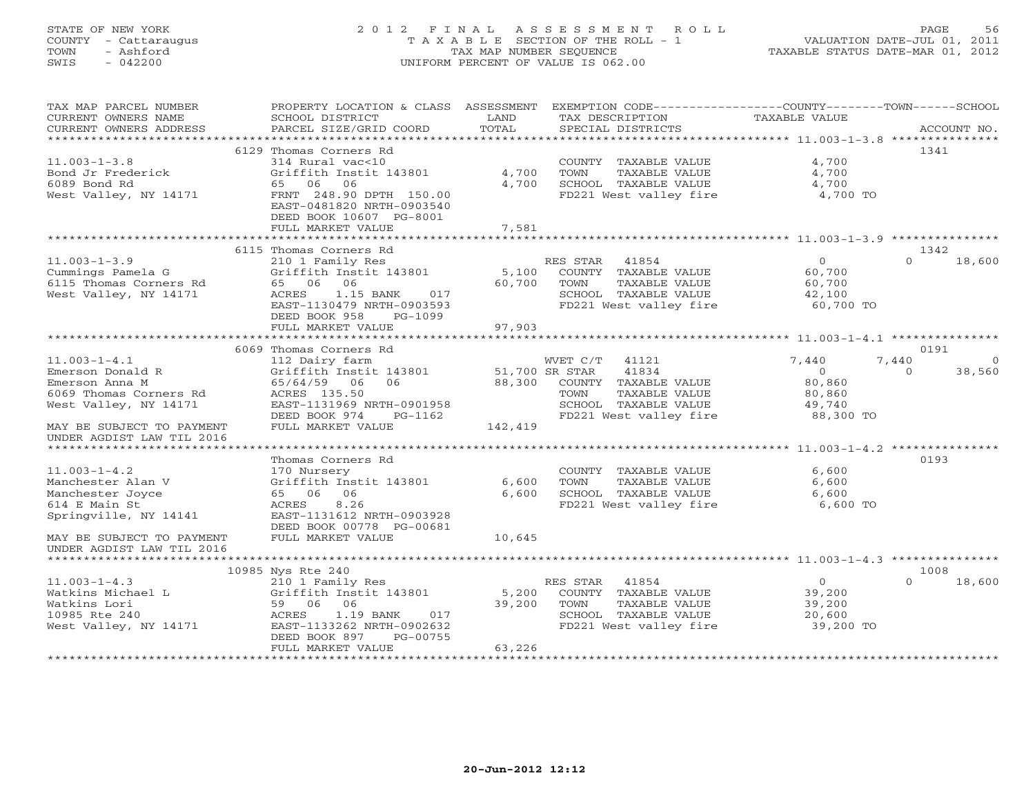# STATE OF NEW YORK 2 0 1 2 F I N A L A S S E S S M E N T R O L L PAGE 56 COUNTY - Cattaraugus T A X A B L E SECTION OF THE ROLL - 1 VALUATION DATE-JUL 01, 2011 TOWN - Ashford TAX MAP NUMBER SEQUENCE TAXABLE STATUS DATE-MAR 01, 2012 SWIS - 042200 UNIFORM PERCENT OF VALUE IS 062.00UNIFORM PERCENT OF VALUE IS 062.00

| TAX MAP PARCEL NUMBER<br>CURRENT OWNERS NAME           | PROPERTY LOCATION & CLASS ASSESSMENT EXEMPTION CODE----------------COUNTY-------TOWN------SCHOOL<br>SCHOOL DISTRICT | LAND                 | TAX DESCRIPTION                                          | TAXABLE VALUE  |                  |          |
|--------------------------------------------------------|---------------------------------------------------------------------------------------------------------------------|----------------------|----------------------------------------------------------|----------------|------------------|----------|
| CURRENT OWNERS ADDRESS                                 | PARCEL SIZE/GRID COORD                                                                                              | TOTAL                | SPECIAL DISTRICTS                                        |                | ACCOUNT NO.      |          |
|                                                        | 6129 Thomas Corners Rd                                                                                              |                      |                                                          |                | 1341             |          |
| $11.003 - 1 - 3.8$                                     | 314 Rural vac<10                                                                                                    |                      | COUNTY TAXABLE VALUE                                     | 4,700          |                  |          |
| Bond Jr Frederick                                      | Griffith Instit 143801                                                                                              | 4,700                | TOWN<br>TAXABLE VALUE                                    | 4,700          |                  |          |
| 6089 Bond Rd                                           | 65 06 06                                                                                                            | 4,700                | SCHOOL TAXABLE VALUE                                     | 4,700          |                  |          |
| West Valley, NY 14171                                  | FRNT 248.90 DPTH 150.00<br>EAST-0481820 NRTH-0903540                                                                |                      | FD221 West valley fire 4,700 TO                          |                |                  |          |
|                                                        | DEED BOOK 10607 PG-8001                                                                                             |                      |                                                          |                |                  |          |
|                                                        | FULL MARKET VALUE                                                                                                   | 7,581                |                                                          |                |                  |          |
|                                                        |                                                                                                                     |                      |                                                          |                |                  |          |
|                                                        | 6115 Thomas Corners Rd                                                                                              |                      |                                                          | $\Omega$       | 1342<br>$\Omega$ |          |
| $11.003 - 1 - 3.9$<br>Cummings Pamela G                | 210 1 Family Res<br>Griffith Instit 143801                                                                          | 5,100                | RES STAR 41854<br>COUNTY TAXABLE VALUE                   | 60,700         |                  | 18,600   |
| 6115 Thomas Corners Rd                                 | 65 06 06                                                                                                            | 60,700               | TOWN<br>TAXABLE VALUE                                    | 60,700         |                  |          |
| West Valley, NY 14171                                  | ACRES<br>1.15 BANK<br>017                                                                                           |                      | SCHOOL TAXABLE VALUE                                     | 42,100         |                  |          |
|                                                        | EAST-1130479 NRTH-0903593                                                                                           |                      | FD221 West valley fire                                   | 60,700 TO      |                  |          |
|                                                        | DEED BOOK 958<br>PG-1099                                                                                            |                      |                                                          |                |                  |          |
|                                                        | FULL MARKET VALUE                                                                                                   | 97,903               |                                                          |                |                  |          |
|                                                        |                                                                                                                     |                      |                                                          |                |                  |          |
|                                                        | 6069 Thomas Corners Rd                                                                                              |                      |                                                          |                | 0191             |          |
| $11.003 - 1 - 4.1$                                     | 112 Dairy farm                                                                                                      |                      | WVET C/T 41121                                           | 7,440          | 7,440            | $\Omega$ |
| Emerson Donald R                                       | Griffith Instit 143801 51,700 SR STAR                                                                               |                      | 41834                                                    | $\overline{0}$ | $\Omega$         | 38,560   |
| Emerson Anna M                                         | 65/64/59 06 06                                                                                                      |                      | 88,300 COUNTY TAXABLE VALUE                              | 80,860         |                  |          |
| 6069 Thomas Corners Rd                                 | ACRES 135.50                                                                                                        |                      | TOWN<br>TAXABLE VALUE                                    | 80,860         |                  |          |
| West Valley, NY 14171                                  | EAST-1131969 NRTH-0901958                                                                                           |                      | SCHOOL TAXABLE VALUE<br>FD221 West valley fire 88,300 TO | 49,740         |                  |          |
| MAY BE SUBJECT TO PAYMENT                              | DEED BOOK 974<br>PG-1162<br>FULL MARKET VALUE                                                                       | $3 - 1162$ $142,419$ |                                                          |                |                  |          |
| UNDER AGDIST LAW TIL 2016                              |                                                                                                                     |                      |                                                          |                |                  |          |
|                                                        |                                                                                                                     |                      |                                                          |                |                  |          |
|                                                        | Thomas Corners Rd                                                                                                   |                      |                                                          |                | 0193             |          |
| $11.003 - 1 - 4.2$                                     | 170 Nursery                                                                                                         |                      | COUNTY TAXABLE VALUE                                     | 6,600          |                  |          |
| Manchester Alan V                                      | Griffith Instit 143801                                                                                              | 6,600                | TOWN<br>TAXABLE VALUE                                    | 6,600          |                  |          |
| Manchester Joyce                                       | 65 06 06                                                                                                            | 6,600                | SCHOOL TAXABLE VALUE                                     | 6,600          |                  |          |
| 614 E Main St                                          | ACRES<br>8.26                                                                                                       |                      | FD221 West valley fire                                   | 6,600 TO       |                  |          |
| Springville, NY 14141                                  | EAST-1131612 NRTH-0903928                                                                                           |                      |                                                          |                |                  |          |
|                                                        | DEED BOOK 00778 PG-00681                                                                                            |                      |                                                          |                |                  |          |
| MAY BE SUBJECT TO PAYMENT<br>UNDER AGDIST LAW TIL 2016 | FULL MARKET VALUE                                                                                                   | 10,645               |                                                          |                |                  |          |
| ***********************                                |                                                                                                                     |                      |                                                          |                |                  |          |
|                                                        | 10985 Nys Rte 240                                                                                                   |                      |                                                          |                | 1008             |          |
| $11.003 - 1 - 4.3$                                     |                                                                                                                     |                      | RES STAR 41854                                           | $\overline{O}$ | $\Omega$         | 18,600   |
| Watkins Michael L                                      | nye noo all<br>210 1 Family Res<br>Griffith Instit 143801                                                           | 5,200                | COUNTY TAXABLE VALUE                                     | 39,200         |                  |          |
| Watkins Lori                                           | 06<br>1.19 BANK 017<br>1.19 BANK 017<br>59 06 06                                                                    | 39,200               | TOWN<br>TAXABLE VALUE                                    | 39,200         |                  |          |
| 10985 Rte 240                                          | ACRES                                                                                                               |                      | SCHOOL TAXABLE VALUE                                     | 20,600         |                  |          |
| West Valley, NY 14171                                  | EAST-1133262 NRTH-0902632<br>DEED BOOK 897<br>PG-00755                                                              |                      | FD221 West valley fire                                   | 39,200 TO      |                  |          |
|                                                        | FULL MARKET VALUE                                                                                                   | 63,226               |                                                          |                |                  |          |
|                                                        |                                                                                                                     |                      |                                                          |                |                  |          |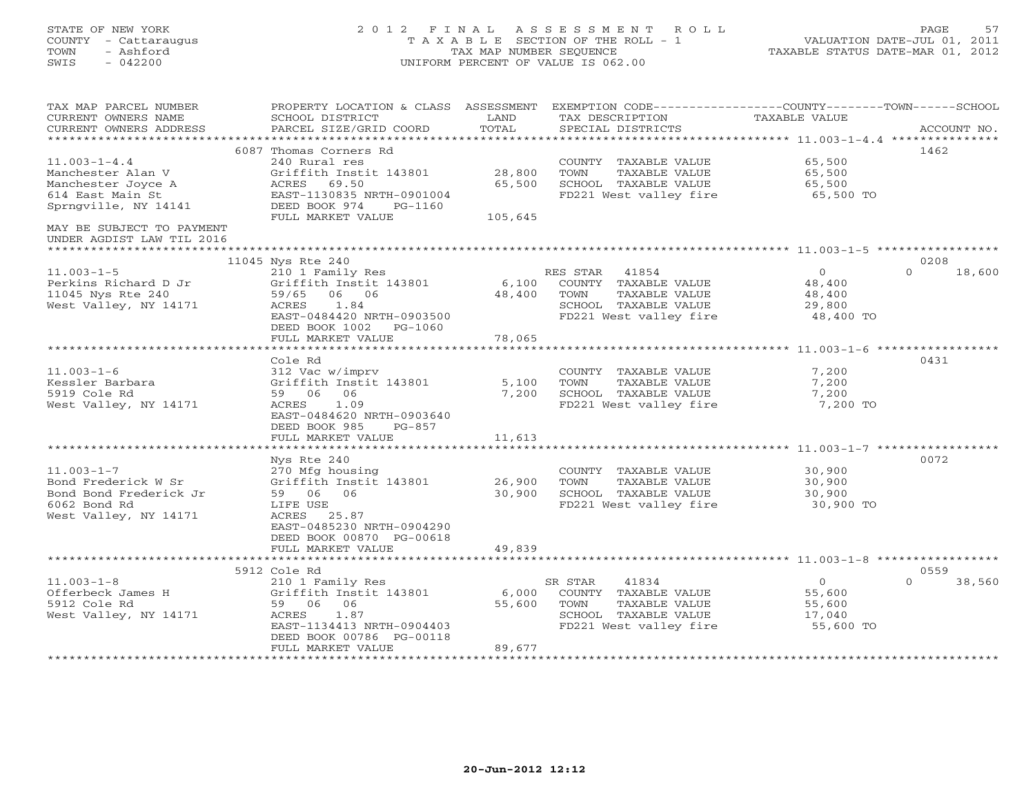STATE OF NEW YORK 2 0 1 2 F I N A L A S S E S S M E N T R O L L PAGE 57 COUNTY - Cattaraugus T A X A B L E SECTION OF THE ROLL - 1 VALUATION DATE-JUL 01, 2011 TOWN - Ashford TAX MAP NUMBER SEQUENCE TAXABLE STATUS DATE-MAR 01, 2012 SWIS - 042200 UNIFORM PERCENT OF VALUE IS 062.00UNIFORM PERCENT OF VALUE IS 062.00

| TAX MAP PARCEL NUMBER<br>CURRENT OWNERS NAME<br>CURRENT OWNERS ADDRESS | PROPERTY LOCATION & CLASS ASSESSMENT<br>SCHOOL DISTRICT<br>PARCEL SIZE/GRID COORD | LAND<br>TOTAL | EXEMPTION CODE-----------------COUNTY-------TOWN------SCHOOL<br>TAX DESCRIPTION<br>SPECIAL DISTRICTS | TAXABLE VALUE                          | ACCOUNT NO.        |
|------------------------------------------------------------------------|-----------------------------------------------------------------------------------|---------------|------------------------------------------------------------------------------------------------------|----------------------------------------|--------------------|
| **********************                                                 |                                                                                   |               |                                                                                                      |                                        |                    |
|                                                                        | 6087 Thomas Corners Rd                                                            |               |                                                                                                      |                                        | 1462               |
| $11.003 - 1 - 4.4$                                                     | 240 Rural res                                                                     |               | COUNTY TAXABLE VALUE                                                                                 | 65,500                                 |                    |
| Manchester Alan V                                                      | Griffith Instit 143801                                                            | 28,800        | TOWN<br>TAXABLE VALUE                                                                                | 65,500                                 |                    |
| Manchester Joyce A                                                     | 69.50<br>ACRES                                                                    | 65,500        | SCHOOL TAXABLE VALUE                                                                                 | 65,500                                 |                    |
| 614 East Main St                                                       | EAST-1130835 NRTH-0901004                                                         |               | FD221 West valley fire                                                                               | 65,500 TO                              |                    |
| Sprnqville, NY 14141                                                   | DEED BOOK 974<br>PG-1160                                                          |               |                                                                                                      |                                        |                    |
|                                                                        | FULL MARKET VALUE                                                                 | 105,645       |                                                                                                      |                                        |                    |
| MAY BE SUBJECT TO PAYMENT                                              |                                                                                   |               |                                                                                                      |                                        |                    |
| UNDER AGDIST LAW TIL 2016                                              |                                                                                   |               |                                                                                                      |                                        |                    |
|                                                                        |                                                                                   |               |                                                                                                      |                                        |                    |
|                                                                        | 11045 Nys Rte 240                                                                 |               |                                                                                                      |                                        | 0208               |
| $11.003 - 1 - 5$                                                       | 210 1 Family Res                                                                  |               | RES STAR<br>41854                                                                                    | $\overline{0}$                         | $\Omega$<br>18,600 |
| Perkins Richard D Jr                                                   | Griffith Instit 143801                                                            | 6,100         | COUNTY TAXABLE VALUE                                                                                 | 48,400                                 |                    |
| 11045 Nys Rte 240                                                      | 59/65<br>06 06                                                                    | 48,400        | TOWN<br>TAXABLE VALUE                                                                                | 48,400                                 |                    |
| West Valley, NY 14171                                                  | 1.84<br>ACRES                                                                     |               | SCHOOL TAXABLE VALUE                                                                                 | 29,800                                 |                    |
|                                                                        | EAST-0484420 NRTH-0903500                                                         |               | FD221 West valley fire                                                                               | 48,400 TO                              |                    |
|                                                                        | DEED BOOK 1002<br>PG-1060                                                         |               |                                                                                                      |                                        |                    |
|                                                                        | FULL MARKET VALUE                                                                 | 78,065        |                                                                                                      |                                        |                    |
|                                                                        | **************************                                                        |               |                                                                                                      |                                        |                    |
|                                                                        | Cole Rd                                                                           |               |                                                                                                      |                                        | 0431               |
| $11.003 - 1 - 6$                                                       | 312 Vac w/imprv                                                                   |               | COUNTY TAXABLE VALUE                                                                                 | 7,200                                  |                    |
| Kessler Barbara                                                        | Griffith Instit 143801                                                            | 5,100         | TOWN<br>TAXABLE VALUE                                                                                | 7,200                                  |                    |
| 5919 Cole Rd                                                           | 59 06<br>06                                                                       | 7,200         | SCHOOL TAXABLE VALUE                                                                                 | 7,200                                  |                    |
| West Valley, NY 14171                                                  | 1.09<br>ACRES                                                                     |               | FD221 West valley fire                                                                               | 7,200 TO                               |                    |
|                                                                        | EAST-0484620 NRTH-0903640                                                         |               |                                                                                                      |                                        |                    |
|                                                                        | DEED BOOK 985<br>PG-857                                                           |               |                                                                                                      |                                        |                    |
|                                                                        | FULL MARKET VALUE                                                                 | 11,613        |                                                                                                      |                                        |                    |
|                                                                        |                                                                                   |               |                                                                                                      |                                        |                    |
|                                                                        | Nys Rte 240                                                                       |               |                                                                                                      |                                        | 0072               |
| $11.003 - 1 - 7$                                                       | 270 Mfg housing                                                                   |               | COUNTY TAXABLE VALUE                                                                                 | 30,900                                 |                    |
| Bond Frederick W Sr                                                    | Griffith Instit 143801                                                            | 26,900        | TAXABLE VALUE<br>TOWN                                                                                | 30,900                                 |                    |
| Bond Bond Frederick Jr<br>6062 Bond Rd                                 | 59 06<br>06                                                                       | 30,900        | SCHOOL TAXABLE VALUE                                                                                 | 30,900                                 |                    |
|                                                                        | LIFE USE<br>ACRES<br>25.87                                                        |               | FD221 West valley fire                                                                               | 30,900 TO                              |                    |
| West Valley, NY 14171                                                  | EAST-0485230 NRTH-0904290                                                         |               |                                                                                                      |                                        |                    |
|                                                                        | DEED BOOK 00870 PG-00618                                                          |               |                                                                                                      |                                        |                    |
|                                                                        | FULL MARKET VALUE                                                                 | 49,839        |                                                                                                      |                                        |                    |
|                                                                        |                                                                                   |               |                                                                                                      | ************** 11.003-1-8 ************ |                    |
|                                                                        | 5912 Cole Rd                                                                      |               |                                                                                                      |                                        | 0559               |
| $11.003 - 1 - 8$                                                       | 210 1 Family Res                                                                  |               | SR STAR<br>41834                                                                                     | $\overline{0}$                         | $\Omega$<br>38,560 |
| Offerbeck James H                                                      | Griffith Instit 143801                                                            | 6,000         | COUNTY TAXABLE VALUE                                                                                 | 55,600                                 |                    |
| 5912 Cole Rd                                                           | 59 06<br>06                                                                       | 55,600        | TAXABLE VALUE<br>TOWN                                                                                | 55,600                                 |                    |
| West Valley, NY 14171                                                  | 1.87<br>ACRES                                                                     |               | SCHOOL TAXABLE VALUE                                                                                 | 17,040                                 |                    |
|                                                                        | EAST-1134413 NRTH-0904403                                                         |               | FD221 West valley fire                                                                               | 55,600 TO                              |                    |
|                                                                        | DEED BOOK 00786 PG-00118                                                          |               |                                                                                                      |                                        |                    |
|                                                                        | FULL MARKET VALUE                                                                 | 89,677        |                                                                                                      |                                        |                    |
|                                                                        |                                                                                   |               |                                                                                                      |                                        |                    |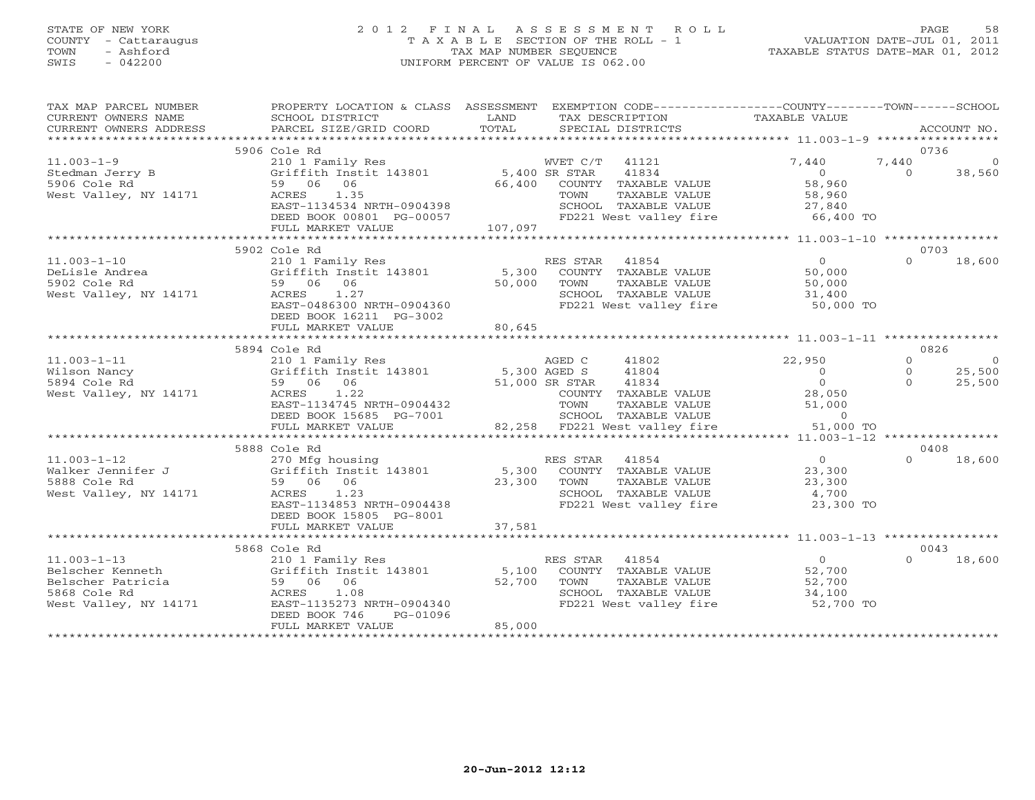# STATE OF NEW YORK 2 0 1 2 F I N A L A S S E S S M E N T R O L L PAGE 58 COUNTY - Cattaraugus T A X A B L E SECTION OF THE ROLL - 1 VALUATION DATE-JUL 01, 2011 TOWN - Ashford TAX MAP NUMBER SEQUENCE TAXABLE STATUS DATE-MAR 01, 2012 SWIS - 042200 UNIFORM PERCENT OF VALUE IS 062.00UNIFORM PERCENT OF VALUE IS 062.00

| TAX MAP PARCEL NUMBER<br>CURRENT OWNERS NAME<br>CURRENT OWNERS ADDRESS | PROPERTY LOCATION & CLASS ASSESSMENT<br>SCHOOL DISTRICT<br>PARCEL SIZE/GRID COORD | LAND<br>TOTAL | EXEMPTION CODE-----------------COUNTY-------TOWN-----SCHOOL<br>TAX DESCRIPTION<br>SPECIAL DISTRICTS | TAXABLE VALUE  |          | ACCOUNT NO. |
|------------------------------------------------------------------------|-----------------------------------------------------------------------------------|---------------|-----------------------------------------------------------------------------------------------------|----------------|----------|-------------|
|                                                                        |                                                                                   |               |                                                                                                     |                |          |             |
|                                                                        | 5906 Cole Rd                                                                      |               |                                                                                                     |                | 0736     |             |
| $11.003 - 1 - 9$                                                       | 210 1 Family Res                                                                  |               | 41121<br>WVET C/T                                                                                   | 7,440          | 7,440    | $\Omega$    |
| Stedman Jerry B                                                        | Griffith Instit 143801 5,400 SR STAR                                              |               | 41834                                                                                               | $\overline{0}$ | $\Omega$ | 38,560      |
| 5906 Cole Rd                                                           | 59 06 06                                                                          | 66,400        | COUNTY TAXABLE VALUE                                                                                | 58,960         |          |             |
| West Valley, NY 14171                                                  | 1.35<br>ACRES                                                                     |               | TOWN<br>TAXABLE VALUE                                                                               | 58,960         |          |             |
|                                                                        | EAST-1134534 NRTH-0904398                                                         |               | SCHOOL TAXABLE VALUE                                                                                | 27,840         |          |             |
|                                                                        | DEED BOOK 00801 PG-00057                                                          |               | FD221 West valley fire                                                                              | 66,400 TO      |          |             |
|                                                                        | FULL MARKET VALUE                                                                 | 107,097       |                                                                                                     |                |          |             |
|                                                                        |                                                                                   |               |                                                                                                     |                |          |             |
|                                                                        | 5902 Cole Rd                                                                      |               |                                                                                                     |                | 0703     |             |
| $11.003 - 1 - 10$                                                      |                                                                                   |               | RES STAR<br>41854                                                                                   | $\Omega$       | $\Omega$ | 18,600      |
|                                                                        | 210 1 Family Res                                                                  |               |                                                                                                     |                |          |             |
| DeLisle Andrea                                                         | Griffith Instit 143801                                                            | 5,300         | COUNTY TAXABLE VALUE                                                                                | 50,000         |          |             |
| 5902 Cole Rd                                                           | 59 06<br>06                                                                       | 50,000        | TAXABLE VALUE<br>TOWN                                                                               | 50,000         |          |             |
| West Valley, NY 14171                                                  | ACRES<br>1.27                                                                     |               | SCHOOL TAXABLE VALUE                                                                                | 31,400         |          |             |
|                                                                        | EAST-0486300 NRTH-0904360                                                         |               | FD221 West valley fire                                                                              | 50,000 TO      |          |             |
|                                                                        | DEED BOOK 16211 PG-3002                                                           |               |                                                                                                     |                |          |             |
|                                                                        | FULL MARKET VALUE                                                                 | 80,645        |                                                                                                     |                |          |             |
|                                                                        |                                                                                   |               |                                                                                                     |                |          |             |
|                                                                        | 5894 Cole Rd                                                                      |               |                                                                                                     |                | 0826     |             |
| $11.003 - 1 - 11$                                                      | 210 1 Family Res                                                                  |               | AGED C<br>41802                                                                                     | 22,950         | $\Omega$ | $\bigcirc$  |
| Wilson Nancy                                                           | Griffith Instit 143801                                                            | 5,300 AGED S  | 41804                                                                                               | $\Omega$       | $\circ$  | 25,500      |
| 5894 Cole Rd                                                           | 59 06<br>06                                                                       |               | 41834<br>51,000 SR STAR                                                                             | $\Omega$       | $\cap$   | 25,500      |
| West Valley, NY 14171                                                  | 1.22<br>ACRES                                                                     |               | COUNTY TAXABLE VALUE                                                                                | 28,050         |          |             |
|                                                                        | EAST-1134745 NRTH-0904432                                                         |               | TAXABLE VALUE<br>TOWN                                                                               | 51,000         |          |             |
|                                                                        | DEED BOOK 15685 PG-7001                                                           |               | SCHOOL TAXABLE VALUE                                                                                | $\circ$        |          |             |
|                                                                        | FULL MARKET VALUE                                                                 |               | 82,258 FD221 West valley fire                                                                       | 51,000 TO      |          |             |
|                                                                        |                                                                                   |               |                                                                                                     |                |          |             |
|                                                                        | 5888 Cole Rd                                                                      |               |                                                                                                     |                | 0408     |             |
| $11.003 - 1 - 12$                                                      | 270 Mfg housing                                                                   |               | RES STAR<br>41854                                                                                   | $\overline{O}$ | $\cap$   | 18,600      |
|                                                                        |                                                                                   |               |                                                                                                     |                |          |             |
| Walker Jennifer J                                                      | Griffith Instit 143801                                                            | 5,300         | COUNTY TAXABLE VALUE                                                                                | 23,300         |          |             |
| 5888 Cole Rd                                                           | 59 06 06                                                                          | 23,300        | TOWN<br>TAXABLE VALUE                                                                               | 23,300         |          |             |
| West Valley, NY 14171                                                  | 1.23<br>ACRES                                                                     |               | SCHOOL TAXABLE VALUE                                                                                | 4,700          |          |             |
|                                                                        | EAST-1134853 NRTH-0904438                                                         |               | FD221 West valley fire                                                                              | 23,300 TO      |          |             |
|                                                                        | DEED BOOK 15805 PG-8001                                                           |               |                                                                                                     |                |          |             |
|                                                                        | FULL MARKET VALUE                                                                 | 37,581        |                                                                                                     |                |          |             |
|                                                                        |                                                                                   |               |                                                                                                     |                |          |             |
|                                                                        | 5868 Cole Rd                                                                      |               |                                                                                                     |                | 0043     |             |
| $11.003 - 1 - 13$                                                      | 210 1 Family Res                                                                  |               | RES STAR<br>41854                                                                                   | $\Omega$       | $\Omega$ | 18,600      |
| Belscher Kenneth                                                       | Griffith Instit 143801                                                            | 5,100         | COUNTY TAXABLE VALUE                                                                                | 52,700         |          |             |
| Belscher Patricia                                                      | 59 06 06                                                                          | 52,700        | TAXABLE VALUE<br>TOWN                                                                               | 52,700         |          |             |
| 5868 Cole Rd                                                           | 1.08<br>ACRES                                                                     |               | SCHOOL TAXABLE VALUE                                                                                | 34,100         |          |             |
| West Valley, NY 14171                                                  | EAST-1135273 NRTH-0904340                                                         |               | FD221 West valley fire                                                                              | 52,700 TO      |          |             |
|                                                                        | DEED BOOK 746<br>PG-01096                                                         |               |                                                                                                     |                |          |             |
|                                                                        | FULL MARKET VALUE                                                                 | 85,000        |                                                                                                     |                |          |             |
|                                                                        |                                                                                   |               |                                                                                                     |                |          |             |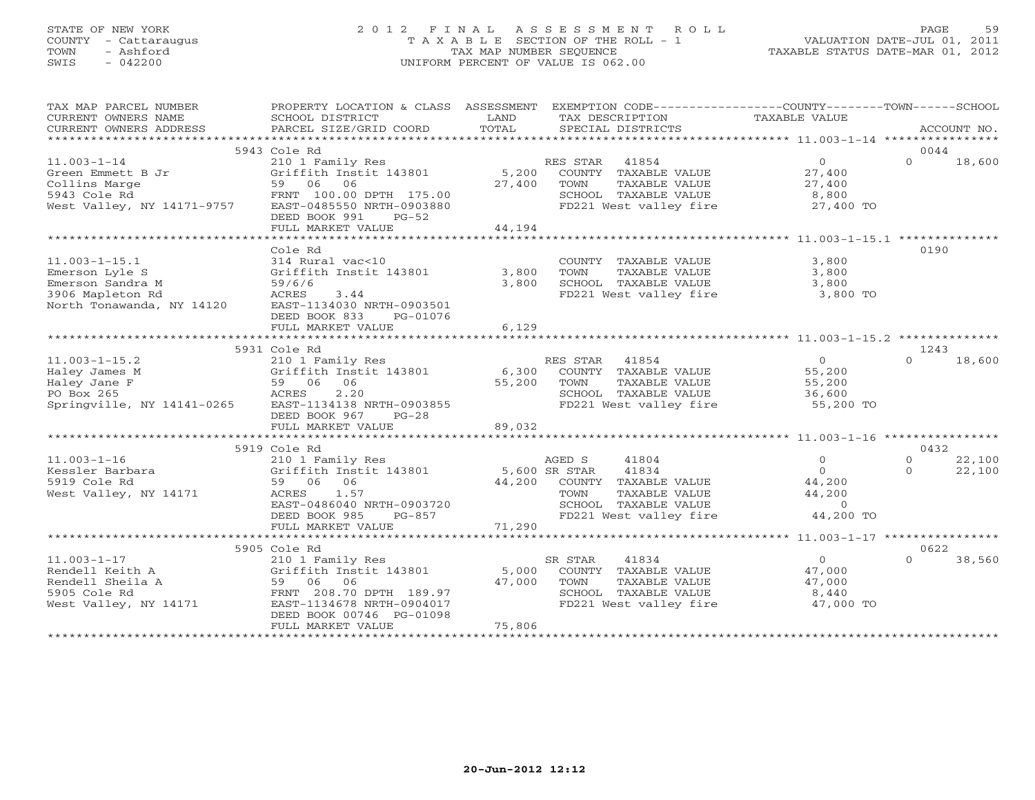# STATE OF NEW YORK 2 0 1 2 F I N A L A S S E S S M E N T R O L L PAGE 59 COUNTY - Cattaraugus T A X A B L E SECTION OF THE ROLL - 1 VALUATION DATE-JUL 01, 2011 TOWN - Ashford TAX MAP NUMBER SEQUENCE TAXABLE STATUS DATE-MAR 01, 2012 SWIS - 042200 UNIFORM PERCENT OF VALUE IS 062.00UNIFORM PERCENT OF VALUE IS 062.00

| TAX MAP PARCEL NUMBER<br>CURRENT OWNERS NAME<br>CURRENT OWNERS ADDRESS                                                     | PROPERTY LOCATION & CLASS ASSESSMENT<br>SCHOOL DISTRICT<br>PARCEL SIZE/GRID COORD                                                                                                                          | LAND<br>TOTAL           | EXEMPTION CODE-----------------COUNTY-------TOWN------SCHOOL<br>TAX DESCRIPTION<br>SPECIAL DISTRICTS<br>SPECIAL DISTRICTS |                                                                                    | ACCOUNT NO.                              |
|----------------------------------------------------------------------------------------------------------------------------|------------------------------------------------------------------------------------------------------------------------------------------------------------------------------------------------------------|-------------------------|---------------------------------------------------------------------------------------------------------------------------|------------------------------------------------------------------------------------|------------------------------------------|
|                                                                                                                            |                                                                                                                                                                                                            |                         |                                                                                                                           |                                                                                    | 0044                                     |
| $11.003 - 1 - 14$<br>Green Emmett B Jr<br>Collins Marge<br>5943 Cole Rd<br>West Valley, NY 14171-9757                      | 5943 Cole Rd<br>210 1 Family Res<br>Griffith Instit 143801 5,200 COUNTY TAXABLE VALUE<br>59 06 06<br>FRNT 100.00 DPTH 175.00<br>EAST-0485550 NRTH-0903880<br>DEED BOOK 991<br>$PG-52$<br>FULL MARKET VALUE | 27,400 TOWN<br>44,194   | TAXABLE VALUE<br>SCHOOL TAXABLE VALUE<br>FD221 West valley fire 27,400 TO                                                 | $\overline{0}$<br>27,400<br>27,400<br>$\begin{array}{c} 2 \cdot \end{array}$ , 800 | $\Omega$<br>18,600                       |
|                                                                                                                            |                                                                                                                                                                                                            |                         |                                                                                                                           |                                                                                    |                                          |
| $11.003 - 1 - 15.1$<br>Emerson Lyle S<br>Emerson Sandra M<br>3906 Mapleton Rd<br>North Tonawanda, NY 14120                 | Cole Rd<br>314 Rural vac<10<br>Griffith Instit 143801<br>59/6/6<br>ACRES<br>3.44<br>EAST-1134030 NRTH-0903501<br>DEED BOOK 833<br>PG-01076<br>FULL MARKET VALUE                                            | 3,800<br>3,800<br>6,129 | COUNTY TAXABLE VALUE<br>TOWN<br>TAXABLE VALUE<br>SCHOOL TAXABLE VALUE<br>FD221 West valley fire                           | 3,800<br>3,800<br>3,800<br>3,800 TO                                                | 0190                                     |
|                                                                                                                            |                                                                                                                                                                                                            |                         |                                                                                                                           |                                                                                    |                                          |
|                                                                                                                            | 5931 Cole Rd                                                                                                                                                                                               |                         |                                                                                                                           |                                                                                    | 1243                                     |
| $11.003 - 1 - 15.2$<br>Haley James M<br>Haley Jane F<br>PO Box 265<br>Springville, NY 14141-0265 EAST-1134138 NRTH-0903855 | 210 1 Family Res<br>Griffith Instit 143801<br>59 06<br>06<br>2.20<br>ACRES<br>DEED BOOK 967<br>$PG-28$                                                                                                     | 55,200                  | RES STAR 41854<br>6,300 COUNTY TAXABLE VALUE<br>TOWN<br>TAXABLE VALUE<br>SCHOOL TAXABLE VALUE<br>FD221 West valley fire   | $\overline{0}$<br>55,200<br>55.200<br>55,200<br>36,600<br>$55,200$ TO              | $\Omega$<br>18,600                       |
|                                                                                                                            | FULL MARKET VALUE                                                                                                                                                                                          | 89,032                  |                                                                                                                           |                                                                                    |                                          |
|                                                                                                                            |                                                                                                                                                                                                            |                         |                                                                                                                           |                                                                                    |                                          |
|                                                                                                                            | 5919 Cole Rd                                                                                                                                                                                               |                         |                                                                                                                           |                                                                                    | 0432                                     |
| $11.003 - 1 - 16$<br>Kessler Barbara<br>5919 Cole Rd<br>West Valley, NY 14171                                              | 210 1 Family Res<br>Griffith Instit 143801 5,600 SR STAR<br>59 06 06<br>1.57<br>ACRES<br>EAST-0486040 NRTH-0903720<br>DEED BOOK 985<br>PG-857                                                              |                         | 41804<br>41834<br>44,200 COUNTY TAXABLE VALUE<br>TAXABLE VALUE<br>TOWN<br>SCHOOL TAXABLE VALUE<br>FD221 West valley fire  | $\circ$<br>$\Omega$<br>44,200<br>44,200<br>$\overline{0}$<br>44,200 TO             | $\Omega$<br>22,100<br>22,100<br>$\Omega$ |
|                                                                                                                            | FULL MARKET VALUE                                                                                                                                                                                          | 71,290                  |                                                                                                                           |                                                                                    |                                          |
|                                                                                                                            |                                                                                                                                                                                                            |                         |                                                                                                                           |                                                                                    |                                          |
| $11.003 - 1 - 17$<br>Rendell Keith A<br>Rendell Sheila A<br>5905 Cole Rd<br>West Valley, NY 14171                          | 5905 Cole Rd<br>210 1 Family Res<br>Griffith Instit $143801$ 5,000<br>59 06 06<br>FRNT 208.70 DPTH 189.97<br>EAST-1134678 NRTH-0904017<br>DEED BOOK 00746 PG-01098<br>FULL MARKET VALUE                    | 47,000<br>75,806        | SR STAR<br>41834<br>COUNTY TAXABLE VALUE<br>TAXABLE VALUE<br>TOWN<br>SCHOOL TAXABLE VALUE<br>FD221 West valley fire       | $\Omega$<br>47,000<br>47,000<br>8,440<br>47,000 TO                                 | 0622<br>$\Omega$<br>38,560               |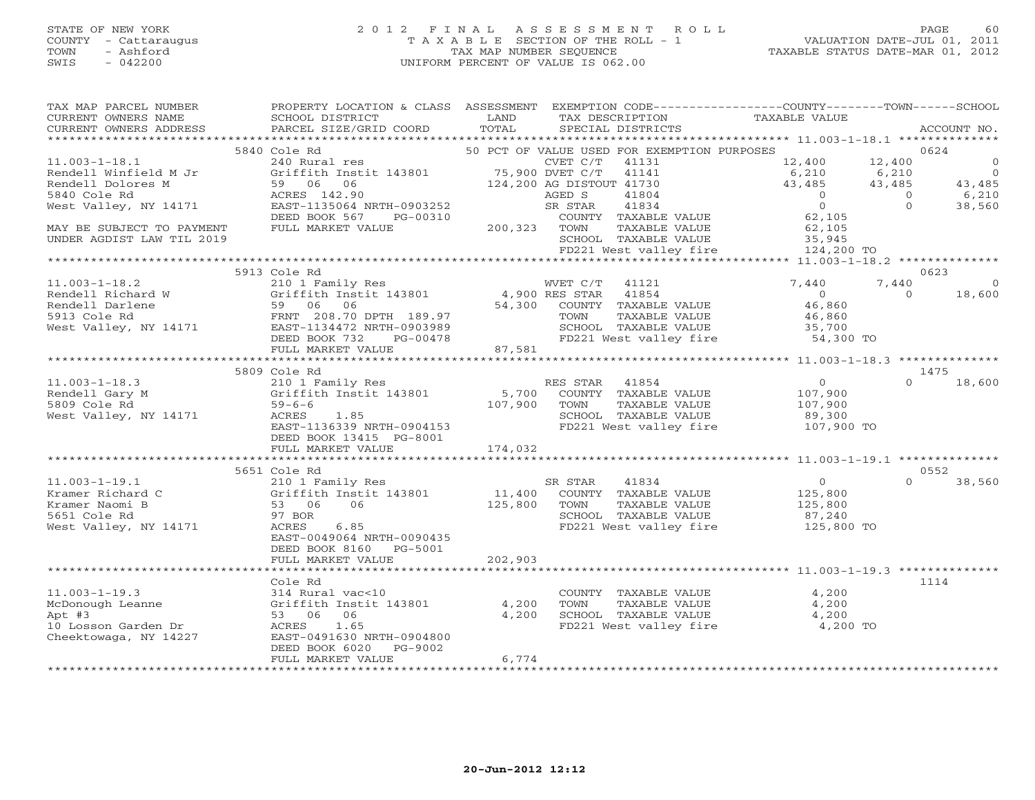#### STATE OF NEW YORK 2 0 1 2 F I N A L A S S E S S M E N T R O L L PAGE 60 COUNTY - Cattaraugus T A X A B L E SECTION OF THE ROLL - 1 VALUATION DATE-JUL 01, 2011 TOWN - Ashford TAX MAP NUMBER SEQUENCE TAXABLE STATUS DATE-MAR 01, 2012 SWIS - 042200 UNIFORM PERCENT OF VALUE IS 062.00UNIFORM PERCENT OF VALUE IS 062.00

| TAX MAP PARCEL NUMBER<br>CURRENT OWNERS NAME<br>CURRENT OWNERS ADDRESS                                                                                                                                                                                      | PROPERTY LOCATION & CLASS ASSESSMENT EXEMPTION CODE---------------COUNTY-------TOWN------SCHOOL<br>SCHOOL DISTRICT<br>PARCEL SIZE/GRID COORD                        | LAND<br>TOTAL | TAX DESCRIPTION<br>SPECIAL DISTRICTS                            | TAXABLE VALUE        |                | ACCOUNT NO.               |
|-------------------------------------------------------------------------------------------------------------------------------------------------------------------------------------------------------------------------------------------------------------|---------------------------------------------------------------------------------------------------------------------------------------------------------------------|---------------|-----------------------------------------------------------------|----------------------|----------------|---------------------------|
|                                                                                                                                                                                                                                                             |                                                                                                                                                                     |               |                                                                 |                      |                |                           |
|                                                                                                                                                                                                                                                             | 5840 Cole Rd                                                                                                                                                        |               | 50 PCT OF VALUE USED FOR EXEMPTION PURPOSES                     |                      |                | 0624                      |
| $11.003 - 1 - 18.1$                                                                                                                                                                                                                                         |                                                                                                                                                                     |               |                                                                 | 12,400 12,400        |                | $\overline{0}$            |
| Rendell Winfield M Jr                                                                                                                                                                                                                                       |                                                                                                                                                                     |               | 41141                                                           | 6,210                | 6,210          | $\overline{0}$            |
|                                                                                                                                                                                                                                                             |                                                                                                                                                                     |               |                                                                 | 43,485               | 43,485         |                           |
|                                                                                                                                                                                                                                                             | 240 Rural res<br>Griffith Instit 143801 (CET C/T 41131<br>59 06 06 124,200 AG DISTOUT 41730<br>ACRES 142.90 AGED S 41804<br>EAST-1135064 NRTH-0903252 SR STAR 41834 |               |                                                                 | $\overline{0}$       | $\overline{0}$ | 43,485<br>6,210<br>38,560 |
|                                                                                                                                                                                                                                                             |                                                                                                                                                                     |               |                                                                 | $\overline{0}$       | $\Omega$       |                           |
|                                                                                                                                                                                                                                                             | PG-00310<br>DEED BOOK 567                                                                                                                                           |               | COUNTY TAXABLE VALUE                                            | 62,105               |                |                           |
| MAY BE SUBJECT TO PAYMENT                                                                                                                                                                                                                                   | FULL MARKET VALUE                                                                                                                                                   | 200,323 TOWN  | TAXABLE VALUE                                                   | 62,105               |                |                           |
| UNDER AGDIST LAW TIL 2019                                                                                                                                                                                                                                   |                                                                                                                                                                     |               | SCHOOL TAXABLE VALUE                                            |                      |                |                           |
|                                                                                                                                                                                                                                                             |                                                                                                                                                                     |               | FD221 West valley fire                                          | 35,945<br>124,200 TO |                |                           |
|                                                                                                                                                                                                                                                             |                                                                                                                                                                     |               |                                                                 |                      |                |                           |
|                                                                                                                                                                                                                                                             | 5913 Cole Rd                                                                                                                                                        |               |                                                                 |                      |                | 0623                      |
|                                                                                                                                                                                                                                                             |                                                                                                                                                                     |               |                                                                 | 7,440                | 7,440          | $\overline{0}$            |
|                                                                                                                                                                                                                                                             |                                                                                                                                                                     |               |                                                                 | $\sim$ 0             | $\Omega$       | 18,600                    |
|                                                                                                                                                                                                                                                             |                                                                                                                                                                     |               |                                                                 | 46,860               |                |                           |
|                                                                                                                                                                                                                                                             |                                                                                                                                                                     |               |                                                                 | 46,860               |                |                           |
|                                                                                                                                                                                                                                                             |                                                                                                                                                                     |               | SCHOOL TAXABLE VALUE 35,700<br>FD221 West valley fire 54,300 TO |                      |                |                           |
|                                                                                                                                                                                                                                                             |                                                                                                                                                                     |               |                                                                 |                      |                |                           |
| west valiey, nr 141/1<br>DEED BOOK 732 PG-00478 FD221 West valley fire 54,300 TO<br>FD221 West valley fire 54,300 TO FOR TWILL MARKET VALUE 87,581 FD221 West valley fire 54,300 TO                                                                         |                                                                                                                                                                     |               |                                                                 |                      |                |                           |
|                                                                                                                                                                                                                                                             |                                                                                                                                                                     |               |                                                                 |                      |                |                           |
| 11.000-1-18.3<br>Rendell Gary M<br>Sendell Gary M<br>Sendell Gary M<br>Sendell Gary M<br>Sendell Gary M<br>Sendell Gary M<br>Sendell Gary M<br>Sendell Gary M<br>Sendell Gary M<br>Sendell Gary M<br>Sendell Gary M<br>Sendell Gary M<br>Sendell Gary M<br> |                                                                                                                                                                     |               |                                                                 | $\Omega$             | $\Omega$       | 1475                      |
|                                                                                                                                                                                                                                                             |                                                                                                                                                                     |               |                                                                 | 107,900              |                | 18,600                    |
|                                                                                                                                                                                                                                                             |                                                                                                                                                                     |               |                                                                 | 107,900              |                |                           |
|                                                                                                                                                                                                                                                             |                                                                                                                                                                     |               |                                                                 | 89,300               |                |                           |
|                                                                                                                                                                                                                                                             | ACRES 1.85<br>EAST-1136339 NRTH-0904153                                                                                                                             |               | FD221 West valley fire                                          | 107,900 TO           |                |                           |
|                                                                                                                                                                                                                                                             | DEED BOOK 13415 PG-8001                                                                                                                                             |               |                                                                 |                      |                |                           |
|                                                                                                                                                                                                                                                             | FULL MARKET VALUE                                                                                                                                                   | 174,032       |                                                                 |                      |                |                           |
|                                                                                                                                                                                                                                                             |                                                                                                                                                                     |               |                                                                 |                      |                |                           |
|                                                                                                                                                                                                                                                             | 5651 Cole Rd                                                                                                                                                        |               |                                                                 |                      |                | 0552                      |
| $11.003 - 1 - 19.1$                                                                                                                                                                                                                                         | 210 1 Family Res<br>C 31 Griffith Instit 143801 11,400 COUNTY TAXABLE VALUE<br>53 06 06 125,800 TOWN TAXABLE VALUE<br>97 BOR 3CHOOT, TAXABLE VALUE                  |               |                                                                 | $\overline{0}$       | $\Omega$       | 38,560                    |
| Kramer Richard C                                                                                                                                                                                                                                            |                                                                                                                                                                     |               |                                                                 | 125,800              |                |                           |
| Kramer Naomi B                                                                                                                                                                                                                                              |                                                                                                                                                                     |               |                                                                 |                      |                |                           |
| 5651 Cole Rd                                                                                                                                                                                                                                                |                                                                                                                                                                     |               |                                                                 | 125,800<br>87,240    |                |                           |
| West Valley, NY 14171                                                                                                                                                                                                                                       | 6.85<br>ACRES                                                                                                                                                       |               | FD221 West valley fire                                          | 125,800 TO           |                |                           |
|                                                                                                                                                                                                                                                             | EAST-0049064 NRTH-0090435                                                                                                                                           |               |                                                                 |                      |                |                           |
|                                                                                                                                                                                                                                                             | DEED BOOK 8160 PG-5001                                                                                                                                              |               |                                                                 |                      |                |                           |
|                                                                                                                                                                                                                                                             | FULL MARKET VALUE                                                                                                                                                   | 202,903       |                                                                 |                      |                |                           |
|                                                                                                                                                                                                                                                             |                                                                                                                                                                     |               |                                                                 |                      |                |                           |
|                                                                                                                                                                                                                                                             | Cole Rd                                                                                                                                                             |               |                                                                 |                      |                | 1114                      |
| $11.003 - 1 - 19.3$                                                                                                                                                                                                                                         | 001e Kural vac<10<br>314 Rural vac<10<br>53 06 06 14,200                                                                                                            |               | COUNTY TAXABLE VALUE 4,200                                      |                      |                |                           |
| 11.003-1-19.3<br>McDonough Leanne<br>Ant #3                                                                                                                                                                                                                 |                                                                                                                                                                     |               |                                                                 |                      |                |                           |
| Apt #3                                                                                                                                                                                                                                                      |                                                                                                                                                                     |               | TOWN TAXABLE VALUE 4,200<br>SCHOOL TAXABLE VALUE 4,200          |                      |                |                           |
| 10 Losson Garden Dr                                                                                                                                                                                                                                         | ACRES 1.65                                                                                                                                                          |               | FD221 West valley fire                                          | 4,200 TO             |                |                           |
| Cheektowaga, NY 14227                                                                                                                                                                                                                                       | EAST-0491630 NRTH-0904800                                                                                                                                           |               |                                                                 |                      |                |                           |
|                                                                                                                                                                                                                                                             | DEED BOOK 6020 PG-9002                                                                                                                                              |               |                                                                 |                      |                |                           |
|                                                                                                                                                                                                                                                             | FULL MARKET VALUE                                                                                                                                                   | 6,774         |                                                                 |                      |                |                           |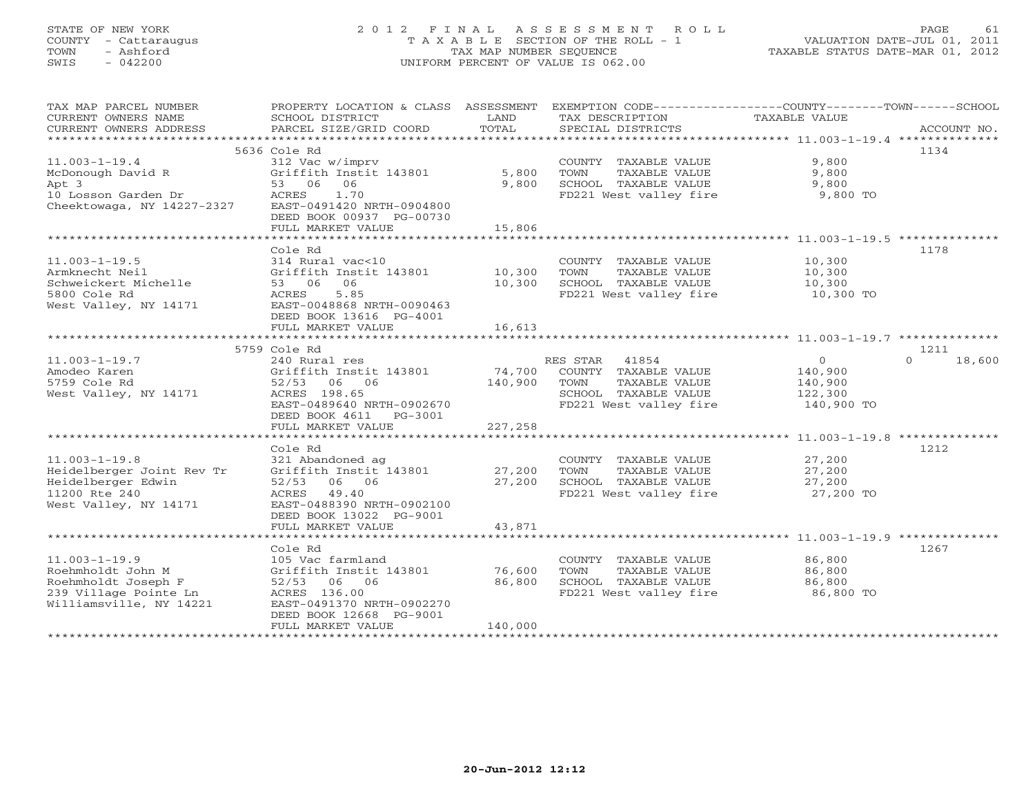# STATE OF NEW YORK 2 0 1 2 F I N A L A S S E S S M E N T R O L L PAGE 61 COUNTY - Cattaraugus T A X A B L E SECTION OF THE ROLL - 1 VALUATION DATE-JUL 01, 2011 TOWN - Ashford TAX MAP NUMBER SEQUENCE TAXABLE STATUS DATE-MAR 01, 2012 SWIS - 042200 UNIFORM PERCENT OF VALUE IS 062.00UNIFORM PERCENT OF VALUE IS 062.00

| TAX MAP PARCEL NUMBER                            | PROPERTY LOCATION & CLASS ASSESSMENT EXEMPTION CODE---------------COUNTY-------TOWN------SCHOOL |                  |                                                |                     |                    |
|--------------------------------------------------|-------------------------------------------------------------------------------------------------|------------------|------------------------------------------------|---------------------|--------------------|
| CURRENT OWNERS NAME                              | SCHOOL DISTRICT                                                                                 | LAND             | TAX DESCRIPTION                                | TAXABLE VALUE       |                    |
| CURRENT OWNERS ADDRESS                           | PARCEL SIZE/GRID COORD                                                                          | TOTAL            | SPECIAL DISTRICTS                              |                     | ACCOUNT NO.        |
|                                                  | 5636 Cole Rd                                                                                    |                  |                                                |                     | 1134               |
| $11.003 - 1 - 19.4$                              | 312 Vac w/imprv                                                                                 |                  | COUNTY TAXABLE VALUE                           | 9,800               |                    |
| McDonough David R                                | Griffith Instit 143801                                                                          | 5,800            | TOWN<br>TAXABLE VALUE                          | 9,800               |                    |
| Apt 3                                            | 53 06<br>06                                                                                     | 9,800            | SCHOOL TAXABLE VALUE                           | 9,800               |                    |
| 10 Losson Garden Dr                              | ACRES<br>1.70                                                                                   |                  | FD221 West valley fire 9,800 TO                |                     |                    |
| Cheektowaga, NY 14227-2327                       | EAST-0491420 NRTH-0904800                                                                       |                  |                                                |                     |                    |
|                                                  | DEED BOOK 00937 PG-00730                                                                        |                  |                                                |                     |                    |
|                                                  | FULL MARKET VALUE                                                                               | 15,806           |                                                |                     |                    |
|                                                  | **************************                                                                      |                  |                                                |                     |                    |
|                                                  | Cole Rd                                                                                         |                  |                                                |                     | 1178               |
| $11.003 - 1 - 19.5$                              | 314 Rural vac<10                                                                                |                  | COUNTY TAXABLE VALUE 10,300                    |                     |                    |
| Armknecht Neil                                   | Griffith Instit 143801 10,300                                                                   |                  | TOWN<br>TAXABLE VALUE                          | 10,300              |                    |
| Schweickert Michelle<br>5800 Cole Rd             | 53 06<br>06<br>ACRES<br>5.85                                                                    | 10,300           | SCHOOL TAXABLE VALUE<br>FD221 West valley fire | 10,300<br>10,300 TO |                    |
| West Valley, NY 14171                            | EAST-0048868 NRTH-0090463                                                                       |                  |                                                |                     |                    |
|                                                  | DEED BOOK 13616 PG-4001                                                                         |                  |                                                |                     |                    |
|                                                  | FULL MARKET VALUE                                                                               | 16,613           |                                                |                     |                    |
|                                                  |                                                                                                 |                  |                                                |                     |                    |
|                                                  | 5759 Cole Rd                                                                                    |                  |                                                |                     | 1211               |
| $11.003 - 1 - 19.7$                              | 240 Rural res                                                                                   |                  | RES STAR<br>41854                              | $\overline{0}$      | 18,600<br>$\Omega$ |
| Amodeo Karen                                     | Griffith Instit 143801                                                                          | 74,700           | COUNTY TAXABLE VALUE                           | 140,900             |                    |
| 5759 Cole Rd                                     | 52/53 06 06                                                                                     | 140,900          | TOWN<br>TAXABLE VALUE                          | 140,900             |                    |
| West Valley, NY 14171                            | ACRES 198.65                                                                                    |                  | SCHOOL TAXABLE VALUE                           | 122,300             |                    |
|                                                  | EAST-0489640 NRTH-0902670                                                                       |                  | FD221 West valley fire 140,900 TO              |                     |                    |
|                                                  | DEED BOOK 4611 PG-3001                                                                          |                  |                                                |                     |                    |
|                                                  | FULL MARKET VALUE                                                                               | 227,258          |                                                |                     |                    |
|                                                  | Cole Rd                                                                                         |                  |                                                |                     | 1212               |
| $11.003 - 1 - 19.8$                              | 321 Abandoned ag                                                                                |                  | COUNTY TAXABLE VALUE                           | 27,200              |                    |
| Heidelberger Joint Rev Tr                        | Griffith Instit 143801                                                                          | 27,200           | TOWN<br>TAXABLE VALUE                          | 27,200              |                    |
| Heidelberger Edwin                               | 52/53 06 06                                                                                     | 27,200           | SCHOOL TAXABLE VALUE                           | 27,200              |                    |
| 11200 Rte 240                                    | 49.40<br>ACRES                                                                                  |                  | FD221 West valley fire                         | 27,200 TO           |                    |
| West Valley, NY 14171                            | EAST-0488390 NRTH-0902100                                                                       |                  |                                                |                     |                    |
|                                                  | DEED BOOK 13022 PG-9001                                                                         |                  |                                                |                     |                    |
|                                                  | FULL MARKET VALUE                                                                               | 43,871           |                                                |                     |                    |
|                                                  |                                                                                                 |                  |                                                |                     |                    |
|                                                  | Cole Rd                                                                                         |                  |                                                |                     | 1267               |
| $11.003 - 1 - 19.9$                              | 105 Vac farmland                                                                                |                  | COUNTY TAXABLE VALUE                           | 86,800              |                    |
| Roehmholdt John M<br>Roehmholdt Joseph F         | Griffith Instit 143801<br>52/53 06 06                                                           | 76,600<br>86,800 | TOWN<br>TAXABLE VALUE<br>SCHOOL TAXABLE VALUE  | 86,800<br>86,800    |                    |
|                                                  | ACRES 136.00                                                                                    |                  | FD221 West valley fire                         | 86,800 TO           |                    |
| 239 Village Pointe Ln<br>Williamsville, NY 14221 | EAST-0491370 NRTH-0902270                                                                       |                  |                                                |                     |                    |
|                                                  | DEED BOOK 12668 PG-9001                                                                         |                  |                                                |                     |                    |
|                                                  | FULL MARKET VALUE                                                                               | 140,000          |                                                |                     |                    |
|                                                  |                                                                                                 |                  |                                                |                     |                    |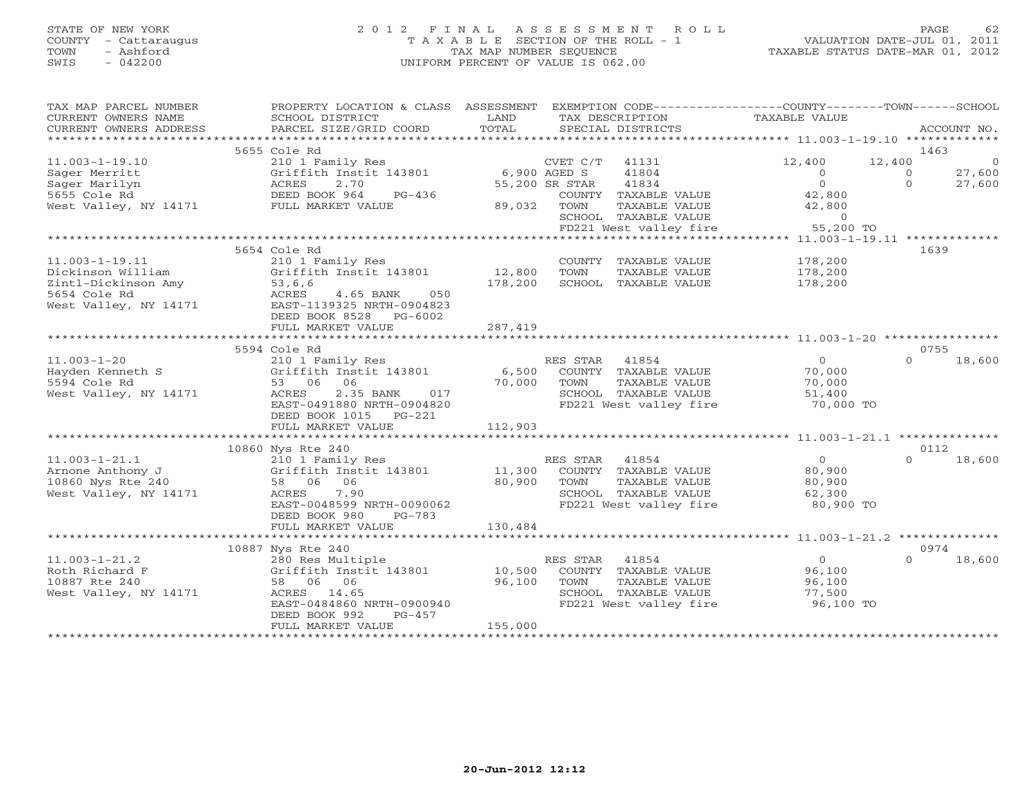# STATE OF NEW YORK 2 0 1 2 F I N A L A S S E S S M E N T R O L L PAGE 62 COUNTY - Cattaraugus T A X A B L E SECTION OF THE ROLL - 1 VALUATION DATE-JUL 01, 2011 TOWN - Ashford TAX MAP NUMBER SEQUENCE TAXABLE STATUS DATE-MAR 01, 2012 SWIS - 042200 UNIFORM PERCENT OF VALUE IS 062.00UNIFORM PERCENT OF VALUE IS 062.00

| TAX MAP PARCEL NUMBER  | PROPERTY LOCATION & CLASS |         |                |                        | ASSESSMENT EXEMPTION CODE-----------------COUNTY-------TOWN------SCHOOL |          |             |
|------------------------|---------------------------|---------|----------------|------------------------|-------------------------------------------------------------------------|----------|-------------|
| CURRENT OWNERS NAME    | SCHOOL DISTRICT           | LAND    |                | TAX DESCRIPTION        | <b>TAXABLE VALUE</b>                                                    |          |             |
| CURRENT OWNERS ADDRESS | PARCEL SIZE/GRID COORD    | TOTAL   |                | SPECIAL DISTRICTS      |                                                                         |          | ACCOUNT NO. |
|                        |                           |         |                |                        |                                                                         |          |             |
|                        | 5655 Cole Rd              |         |                |                        |                                                                         | 1463     |             |
| $11.003 - 1 - 19.10$   | 210 1 Family Res          |         | CVET C/T       | 41131                  | 12,400                                                                  | 12,400   | $\bigcirc$  |
| Sager Merritt          | Griffith Instit 143801    |         | 6,900 AGED S   | 41804                  | $\circ$                                                                 | $\circ$  | 27,600      |
| Sager Marilyn          | 2.70<br>ACRES             |         | 55,200 SR STAR | 41834                  | $\Omega$                                                                | $\Omega$ | 27,600      |
| 5655 Cole Rd           | DEED BOOK 964<br>$PG-436$ |         |                | COUNTY TAXABLE VALUE   | 42,800                                                                  |          |             |
| West Valley, NY 14171  | FULL MARKET VALUE         | 89,032  | TOWN           | TAXABLE VALUE          | 42,800                                                                  |          |             |
|                        |                           |         |                | SCHOOL TAXABLE VALUE   | $\circ$                                                                 |          |             |
|                        |                           |         |                | FD221 West valley fire | 55,200 TO                                                               |          |             |
|                        |                           |         |                |                        |                                                                         |          |             |
|                        | 5654 Cole Rd              |         |                |                        |                                                                         | 1639     |             |
| $11.003 - 1 - 19.11$   | 210 1 Family Res          |         |                | COUNTY TAXABLE VALUE   | 178,200                                                                 |          |             |
| Dickinson William      | Griffith Instit 143801    | 12,800  | TOWN           | TAXABLE VALUE          | 178,200                                                                 |          |             |
| Zintl-Dickinson Amy    | 53,6,6                    | 178,200 |                | SCHOOL TAXABLE VALUE   | 178,200                                                                 |          |             |
| 5654 Cole Rd           | ACRES<br>4.65 BANK<br>050 |         |                |                        |                                                                         |          |             |
| West Valley, NY 14171  | EAST-1139325 NRTH-0904823 |         |                |                        |                                                                         |          |             |
|                        | DEED BOOK 8528 PG-6002    |         |                |                        |                                                                         |          |             |
|                        | FULL MARKET VALUE         | 287,419 |                |                        |                                                                         |          |             |
|                        |                           |         |                |                        |                                                                         |          |             |
|                        | 5594 Cole Rd              |         |                |                        |                                                                         |          | 0755        |
| $11.003 - 1 - 20$      | 210 1 Family Res          |         | RES STAR       | 41854                  | $\circ$                                                                 | $\Omega$ | 18,600      |
| Hayden Kenneth S       | Griffith Instit 143801    | 6,500   |                | COUNTY TAXABLE VALUE   | 70,000                                                                  |          |             |
| 5594 Cole Rd           | 53 06<br>06               | 70,000  | TOWN           | TAXABLE VALUE          | 70,000                                                                  |          |             |
| West Valley, NY 14171  | ACRES<br>2.35 BANK<br>017 |         |                | SCHOOL TAXABLE VALUE   | 51,400                                                                  |          |             |
|                        | EAST-0491880 NRTH-0904820 |         |                | FD221 West valley fire | 70,000 TO                                                               |          |             |
|                        | DEED BOOK 1015 PG-221     |         |                |                        |                                                                         |          |             |
|                        | FULL MARKET VALUE         | 112,903 |                |                        |                                                                         |          |             |
|                        |                           |         |                |                        |                                                                         |          |             |
|                        | 10860 Nys Rte 240         |         |                |                        |                                                                         |          | 0112        |
| $11.003 - 1 - 21.1$    | 210 1 Family Res          |         | RES STAR       | 41854                  | $\overline{0}$                                                          | $\Omega$ | 18,600      |
| Arnone Anthony J       | Griffith Instit 143801    | 11,300  |                | COUNTY TAXABLE VALUE   | 80,900                                                                  |          |             |
| 10860 Nys Rte 240      | 58 06 06                  | 80,900  | TOWN           | TAXABLE VALUE          | 80,900                                                                  |          |             |
| West Valley, NY 14171  | ACRES<br>7.90             |         |                | SCHOOL TAXABLE VALUE   | 62,300                                                                  |          |             |
|                        | EAST-0048599 NRTH-0090062 |         |                | FD221 West valley fire | 80,900 TO                                                               |          |             |
|                        | DEED BOOK 980<br>PG-783   |         |                |                        |                                                                         |          |             |
|                        | FULL MARKET VALUE         | 130,484 |                |                        |                                                                         |          |             |
|                        |                           |         |                |                        |                                                                         |          |             |
|                        | 10887 Nys Rte 240         |         |                |                        |                                                                         |          | 0974        |
| $11.003 - 1 - 21.2$    | 280 Res Multiple          |         | RES STAR       | 41854                  | $\overline{0}$                                                          | $\cap$   | 18,600      |
| Roth Richard F         | Griffith Instit 143801    | 10,500  |                | COUNTY TAXABLE VALUE   | 96,100                                                                  |          |             |
| 10887 Rte 240          | 58 06 06                  | 96,100  | TOWN           | TAXABLE VALUE          | 96,100                                                                  |          |             |
| West Valley, NY 14171  | ACRES 14.65               |         |                | SCHOOL TAXABLE VALUE   | 77,500                                                                  |          |             |
|                        | EAST-0484860 NRTH-0900940 |         |                | FD221 West valley fire | 96,100 TO                                                               |          |             |
|                        | DEED BOOK 992<br>$PG-457$ |         |                |                        |                                                                         |          |             |
|                        | FULL MARKET VALUE         | 155,000 |                |                        |                                                                         |          |             |
|                        |                           |         |                |                        |                                                                         |          |             |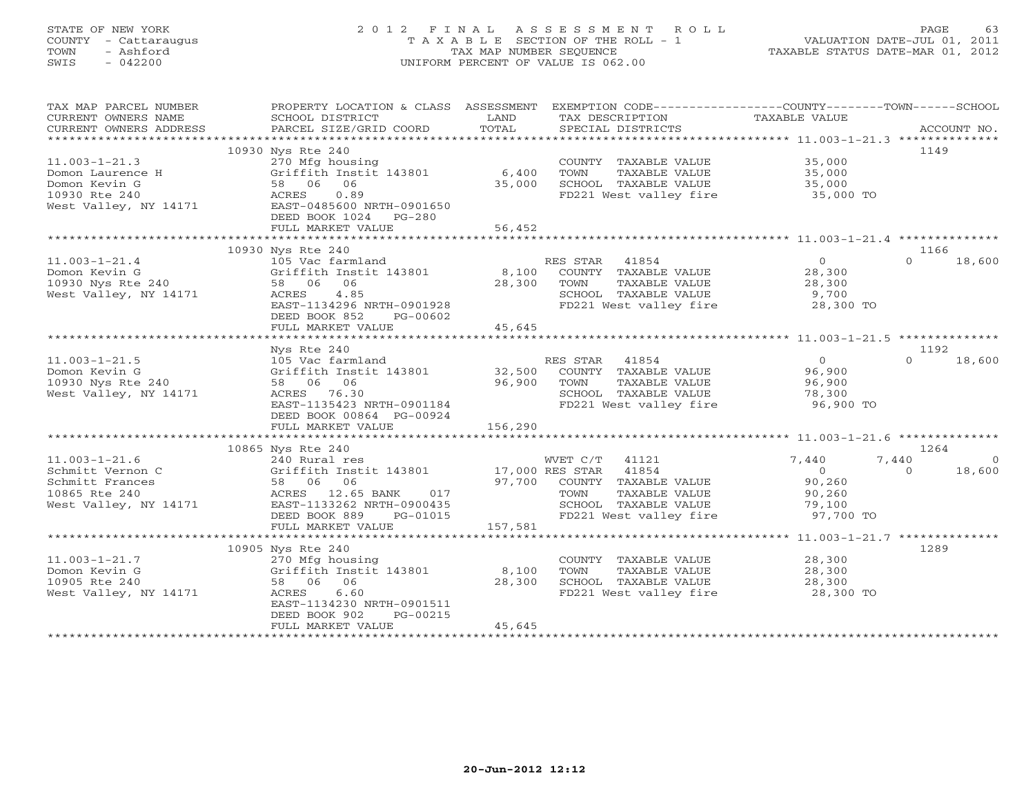# STATE OF NEW YORK 2 0 1 2 F I N A L A S S E S S M E N T R O L L PAGE 63 COUNTY - Cattaraugus T A X A B L E SECTION OF THE ROLL - 1 VALUATION DATE-JUL 01, 2011 TOWN - Ashford TAX MAP NUMBER SEQUENCE TAXABLE STATUS DATE-MAR 01, 2012 SWIS - 042200 UNIFORM PERCENT OF VALUE IS 062.00UNIFORM PERCENT OF VALUE IS 062.00

| TAX MAP PARCEL NUMBER                                                                                    | PROPERTY LOCATION & CLASS ASSESSMENT EXEMPTION CODE----------------COUNTY-------TOWN------SCHOOL                                                   |                   |                                                                 |                                          |                                                                                                                                                                                                                                                                                                                                             |
|----------------------------------------------------------------------------------------------------------|----------------------------------------------------------------------------------------------------------------------------------------------------|-------------------|-----------------------------------------------------------------|------------------------------------------|---------------------------------------------------------------------------------------------------------------------------------------------------------------------------------------------------------------------------------------------------------------------------------------------------------------------------------------------|
| CURRENT OWNERS NAME                                                                                      | SCHOOL DISTRICT                                                                                                                                    | LAND              | TAX DESCRIPTION                                                 | TAXABLE VALUE                            |                                                                                                                                                                                                                                                                                                                                             |
|                                                                                                          |                                                                                                                                                    |                   |                                                                 |                                          |                                                                                                                                                                                                                                                                                                                                             |
|                                                                                                          |                                                                                                                                                    |                   |                                                                 |                                          | 1149                                                                                                                                                                                                                                                                                                                                        |
| $11.003 - 1 - 21.3$                                                                                      | 10930 Nys Rte 240<br>270 Mfg housing                                                                                                               |                   |                                                                 |                                          |                                                                                                                                                                                                                                                                                                                                             |
|                                                                                                          | Griffith Instit 143801 6,400                                                                                                                       |                   | COUNTY TAXABLE VALUE 35,000<br>TOWN TAXABLE VALUE               |                                          |                                                                                                                                                                                                                                                                                                                                             |
|                                                                                                          |                                                                                                                                                    | 35,000            | SCHOOL TAXABLE VALUE                                            | 35,000<br>35,000                         |                                                                                                                                                                                                                                                                                                                                             |
| Domon Laurence H<br>Domon Kevin G<br>10930 Rte 240<br>West Valley, NY 14171<br>FAST-0485600 NRTH-0901650 |                                                                                                                                                    |                   | FD221 West valley fire 35,000 TO                                |                                          |                                                                                                                                                                                                                                                                                                                                             |
|                                                                                                          |                                                                                                                                                    |                   |                                                                 |                                          |                                                                                                                                                                                                                                                                                                                                             |
|                                                                                                          | DEED BOOK 1024    PG-280                                                                                                                           |                   |                                                                 |                                          |                                                                                                                                                                                                                                                                                                                                             |
|                                                                                                          | FULL MARKET VALUE                                                                                                                                  | 56,452            |                                                                 |                                          |                                                                                                                                                                                                                                                                                                                                             |
|                                                                                                          |                                                                                                                                                    |                   |                                                                 |                                          |                                                                                                                                                                                                                                                                                                                                             |
|                                                                                                          |                                                                                                                                                    |                   |                                                                 | $\begin{array}{c}0\\2^{\rho}\end{array}$ | 1166                                                                                                                                                                                                                                                                                                                                        |
|                                                                                                          |                                                                                                                                                    |                   |                                                                 |                                          | 18,600<br>$\cap$                                                                                                                                                                                                                                                                                                                            |
|                                                                                                          |                                                                                                                                                    |                   |                                                                 |                                          |                                                                                                                                                                                                                                                                                                                                             |
|                                                                                                          |                                                                                                                                                    |                   | TAXABLE VALUE 28,300                                            |                                          |                                                                                                                                                                                                                                                                                                                                             |
|                                                                                                          |                                                                                                                                                    |                   | SCHOOL TAXABLE VALUE 9,700<br>FD221 West valley fire 28,300 TO  |                                          |                                                                                                                                                                                                                                                                                                                                             |
|                                                                                                          |                                                                                                                                                    |                   |                                                                 |                                          |                                                                                                                                                                                                                                                                                                                                             |
|                                                                                                          | DEED BOOK 852<br>PG-00602                                                                                                                          |                   |                                                                 |                                          |                                                                                                                                                                                                                                                                                                                                             |
|                                                                                                          | FULL MARKET VALUE                                                                                                                                  | 45,645            |                                                                 |                                          |                                                                                                                                                                                                                                                                                                                                             |
|                                                                                                          |                                                                                                                                                    |                   |                                                                 |                                          |                                                                                                                                                                                                                                                                                                                                             |
|                                                                                                          | Nys Rte 240                                                                                                                                        |                   |                                                                 |                                          | 1192                                                                                                                                                                                                                                                                                                                                        |
| $11.003 - 1 - 21.5$                                                                                      |                                                                                                                                                    |                   |                                                                 | $\overline{0}$                           | 18,600<br>$\Omega$                                                                                                                                                                                                                                                                                                                          |
| Domon Kevin G<br>10930 Nys Rte 240                                                                       |                                                                                                                                                    |                   |                                                                 |                                          |                                                                                                                                                                                                                                                                                                                                             |
|                                                                                                          | 96,900<br>58 06 06                                                                                                                                 |                   | TOWN<br>TOWN      TAXABLE VALUE<br>SCHOOL   TAXABLE VALUE       | 96,900<br>78,300                         |                                                                                                                                                                                                                                                                                                                                             |
| West Valley, NY 14171                                                                                    | ACRES 76.30<br>EAST-1135423 NRTH-0901184                                                                                                           |                   | FD221 West valley fire 96,900 TO                                |                                          |                                                                                                                                                                                                                                                                                                                                             |
|                                                                                                          | DEED BOOK 00864 PG-00924                                                                                                                           |                   |                                                                 |                                          |                                                                                                                                                                                                                                                                                                                                             |
|                                                                                                          |                                                                                                                                                    |                   |                                                                 |                                          |                                                                                                                                                                                                                                                                                                                                             |
|                                                                                                          |                                                                                                                                                    |                   |                                                                 |                                          |                                                                                                                                                                                                                                                                                                                                             |
|                                                                                                          | 10865 Nys Rte 240                                                                                                                                  |                   |                                                                 |                                          | 1264                                                                                                                                                                                                                                                                                                                                        |
| $11.003 - 1 - 21.6$                                                                                      | 240 Rural res                                                                                                                                      |                   | WVET C/T 41121                                                  | 7,440                                    | 7,440<br>$\overline{a}$ and $\overline{a}$ and $\overline{a}$ and $\overline{a}$ and $\overline{a}$ and $\overline{a}$ and $\overline{a}$ and $\overline{a}$ and $\overline{a}$ and $\overline{a}$ and $\overline{a}$ and $\overline{a}$ and $\overline{a}$ and $\overline{a}$ and $\overline{a}$ and $\overline{a}$ and $\overline{a}$ and |
| Schmitt Vernon C                                                                                         |                                                                                                                                                    |                   |                                                                 | $\overline{0}$                           | 18,600<br>$\Omega$                                                                                                                                                                                                                                                                                                                          |
| Schmitt Frances                                                                                          |                                                                                                                                                    |                   |                                                                 | 90,260                                   |                                                                                                                                                                                                                                                                                                                                             |
| 10865 Rte 240                                                                                            | 240 Rural res<br>C Griffith Instit 143801 17,000 RES STAR 41854<br>58 06 06 97,700 COUNTY TAXABLE VALUE<br>ACRES 12.65 BANK 017 TOWN TAXABLE VALUE |                   | TAXABLE VALUE 90,260                                            |                                          |                                                                                                                                                                                                                                                                                                                                             |
| West Valley, NY 14171                                                                                    | EAST-1133262 NRTH-0900435                                                                                                                          |                   | SCHOOL TAXABLE VALUE 79,100<br>FD221 West valley fire 97,700 TO |                                          |                                                                                                                                                                                                                                                                                                                                             |
|                                                                                                          | DEED BOOK 889 PG-01015                                                                                                                             |                   |                                                                 |                                          |                                                                                                                                                                                                                                                                                                                                             |
|                                                                                                          | FULL MARKET VALUE                                                                                                                                  | 157,581           |                                                                 |                                          |                                                                                                                                                                                                                                                                                                                                             |
|                                                                                                          |                                                                                                                                                    |                   |                                                                 |                                          |                                                                                                                                                                                                                                                                                                                                             |
|                                                                                                          | 10905 Nys Rte 240                                                                                                                                  |                   |                                                                 |                                          | 1289                                                                                                                                                                                                                                                                                                                                        |
| $11.003 - 1 - 21.7$                                                                                      | $270$ Mfg housing<br>Griffith Instit 143801<br>58 06 06                                                                                            |                   | COUNTY TAXABLE VALUE 28,300                                     |                                          |                                                                                                                                                                                                                                                                                                                                             |
| Domon Kevin G                                                                                            |                                                                                                                                                    | $8,100$<br>28,300 | TOWN<br>TAXABLE VALUE 28,300                                    |                                          |                                                                                                                                                                                                                                                                                                                                             |
| 10905 Rte 240                                                                                            |                                                                                                                                                    |                   | SCHOOL TAXABLE VALUE<br>FD221 West valley fire 28,300 TO        | 28,300                                   |                                                                                                                                                                                                                                                                                                                                             |
| West Valley, NY 14171                                                                                    | ACRES<br>6.60<br>EAST-1134230 NRTH-0901511                                                                                                         |                   |                                                                 |                                          |                                                                                                                                                                                                                                                                                                                                             |
|                                                                                                          | DEED BOOK 902<br>PG-00215                                                                                                                          |                   |                                                                 |                                          |                                                                                                                                                                                                                                                                                                                                             |
|                                                                                                          | FULL MARKET VALUE                                                                                                                                  | 45,645            |                                                                 |                                          |                                                                                                                                                                                                                                                                                                                                             |
|                                                                                                          |                                                                                                                                                    |                   |                                                                 |                                          |                                                                                                                                                                                                                                                                                                                                             |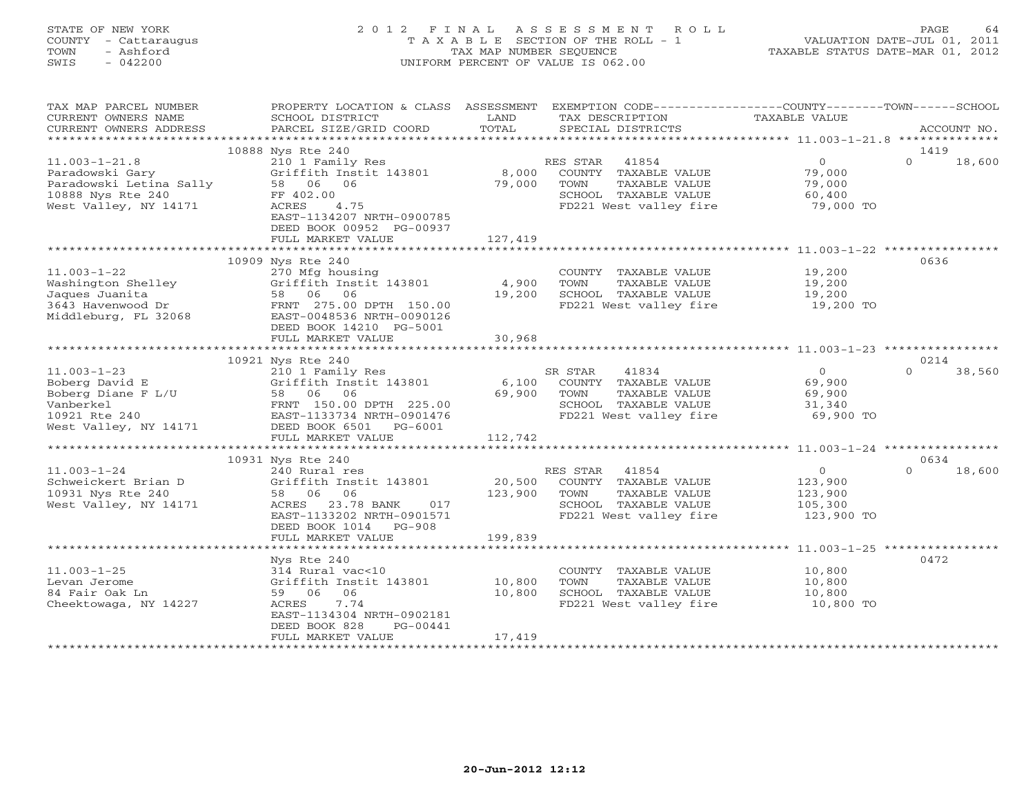# STATE OF NEW YORK 2 0 1 2 F I N A L A S S E S S M E N T R O L L PAGE 64 COUNTY - Cattaraugus T A X A B L E SECTION OF THE ROLL - 1 VALUATION DATE-JUL 01, 2011 TOWN - Ashford TAX MAP NUMBER SEQUENCE TAXABLE STATUS DATE-MAR 01, 2012 SWIS - 042200 UNIFORM PERCENT OF VALUE IS 062.00UNIFORM PERCENT OF VALUE IS 062.00

| TAX MAP PARCEL NUMBER<br>CURRENT OWNERS NAME<br>CURRENT OWNERS ADDRESS                                           | PROPERTY LOCATION & CLASS ASSESSMENT<br>SCHOOL DISTRICT<br>PARCEL SIZE/GRID COORD                                                                             | LAND<br>TAX DESCRIPTION<br>TOTAL<br>SPECIAL DISTRICTS                                                                                     | EXEMPTION CODE-----------------COUNTY-------TOWN------SCHOOL<br>TAXABLE VALUE<br>ACCOUNT NO. |
|------------------------------------------------------------------------------------------------------------------|---------------------------------------------------------------------------------------------------------------------------------------------------------------|-------------------------------------------------------------------------------------------------------------------------------------------|----------------------------------------------------------------------------------------------|
|                                                                                                                  |                                                                                                                                                               |                                                                                                                                           |                                                                                              |
| $11.003 - 1 - 21.8$<br>Paradowski Gary<br>Paradowski Letina Sally<br>10888 Nys Rte 240<br>West Valley, NY 14171  | 10888 Nys Rte 240<br>210 1 Family Res<br>Griffith Instit 143801<br>58 06 06<br>FF 402.00<br>4.75<br>ACRES<br>EAST-1134207 NRTH-0900785                        | RES STAR<br>41854<br>8,000<br>COUNTY TAXABLE VALUE<br>79,000<br>TAXABLE VALUE<br>TOWN<br>SCHOOL TAXABLE VALUE<br>FD221 West valley fire   | 1419<br>$\Omega$<br>18,600<br>$\overline{0}$<br>79,000<br>79,000<br>60,400<br>79,000 TO      |
|                                                                                                                  | DEED BOOK 00952 PG-00937<br>FULL MARKET VALUE                                                                                                                 | 127,419                                                                                                                                   |                                                                                              |
|                                                                                                                  | 10909 Nys Rte 240                                                                                                                                             |                                                                                                                                           | 0636                                                                                         |
| $11.003 - 1 - 22$<br>Washington Shelley<br>Jaques Juanita<br>3643 Havenwood Dr<br>Middleburg, FL 32068           | 270 Mfg housing<br>Griffith Instit 143801<br>58 06 06<br>FRNT 275.00 DPTH 150.00<br>EAST-0048536 NRTH-0090126<br>DEED BOOK 14210 PG-5001<br>FULL MARKET VALUE | COUNTY TAXABLE VALUE<br>4,900<br>TOWN<br>TAXABLE VALUE<br>SCHOOL TAXABLE VALUE<br>19,200<br>FD221 West valley fire<br>30,968              | 19,200<br>19,200<br>19,200<br>19,200 TO                                                      |
|                                                                                                                  |                                                                                                                                                               |                                                                                                                                           |                                                                                              |
|                                                                                                                  | 10921 Nys Rte 240                                                                                                                                             |                                                                                                                                           | 0214                                                                                         |
| $11.003 - 1 - 23$<br>Boberg David E<br>Boberg Diane F L/U<br>Vanberkel<br>10921 Rte 240<br>West Valley, NY 14171 | 210 1 Family Res<br>Griffith Instit 143801<br>58 06 06<br>FRNT 150.00 DPTH 225.00<br>EAST-1133734 NRTH-0901476<br>DEED BOOK 6501<br>PG-6001                   | 41834<br>SR STAR<br>6,100<br>COUNTY TAXABLE VALUE<br>69,900<br>TOWN<br>TAXABLE VALUE<br>SCHOOL TAXABLE VALUE<br>FD221 West valley fire    | $\Omega$<br>$\overline{0}$<br>38,560<br>69,900<br>69,900<br>31,340<br>69,900 TO              |
|                                                                                                                  | FULL MARKET VALUE                                                                                                                                             | 112,742                                                                                                                                   |                                                                                              |
|                                                                                                                  | 10931 Nys Rte 240                                                                                                                                             |                                                                                                                                           | 0634                                                                                         |
| $11.003 - 1 - 24$<br>Schweickert Brian D<br>10931 Nys Rte 240<br>West Valley, NY 14171                           | 240 Rural res<br>Griffith Instit 143801<br>58 06 06<br>23.78 BANK<br>017<br>ACRES<br>EAST-1133202 NRTH-0901571<br>DEED BOOK 1014 PG-908                       | RES STAR<br>41854<br>20,500<br>COUNTY TAXABLE VALUE<br>123,900<br>TAXABLE VALUE<br>TOWN<br>SCHOOL TAXABLE VALUE<br>FD221 West valley fire | $\overline{O}$<br>$\Omega$<br>18,600<br>123,900<br>123,900<br>105,300<br>123,900 TO          |
|                                                                                                                  | FULL MARKET VALUE                                                                                                                                             | 199,839                                                                                                                                   |                                                                                              |
|                                                                                                                  | Nys Rte 240                                                                                                                                                   |                                                                                                                                           | 0472                                                                                         |
| $11.003 - 1 - 25$<br>Levan Jerome<br>84 Fair Oak Ln<br>Cheektowaga, NY 14227                                     | 314 Rural vac<10<br>Griffith Instit 143801<br>06<br>59 06<br>7.74<br>ACRES<br>EAST-1134304 NRTH-0902181<br>DEED BOOK 828<br>PG-00441                          | COUNTY TAXABLE VALUE<br>10,800<br>TOWN<br>TAXABLE VALUE<br>10,800<br>SCHOOL TAXABLE VALUE<br>FD221 West valley fire                       | 10,800<br>10,800<br>10,800<br>10,800 TO                                                      |
|                                                                                                                  | FULL MARKET VALUE                                                                                                                                             | 17,419                                                                                                                                    |                                                                                              |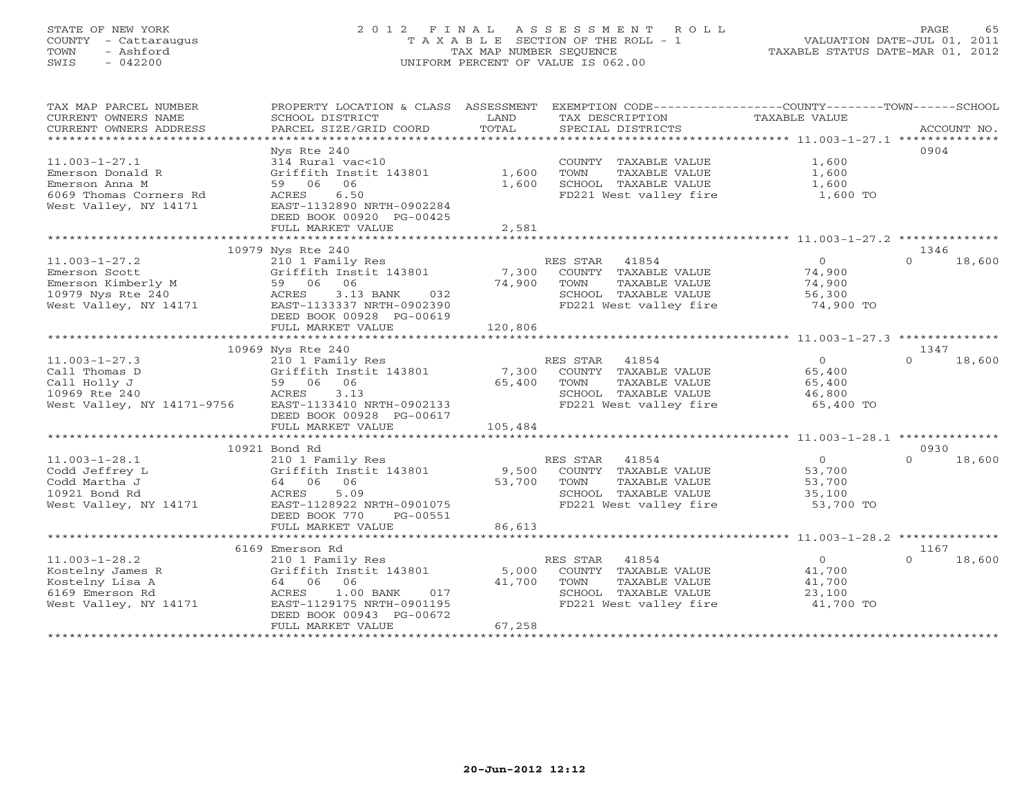# STATE OF NEW YORK 2 0 1 2 F I N A L A S S E S S M E N T R O L L PAGE 65 COUNTY - Cattaraugus T A X A B L E SECTION OF THE ROLL - 1 VALUATION DATE-JUL 01, 2011 TOWN - Ashford TAX MAP NUMBER SEQUENCE TAXABLE STATUS DATE-MAR 01, 2012 SWIS - 042200 UNIFORM PERCENT OF VALUE IS 062.00UNIFORM PERCENT OF VALUE IS 062.00

| TAX MAP PARCEL NUMBER<br>CURRENT OWNERS NAME<br>CURRENT OWNERS ADDRESS                                                                         | PROPERTY LOCATION & CLASS ASSESSMENT<br>SCHOOL DISTRICT<br>PARCEL SIZE/GRID COORD                                                                                                                                                                                                                     | LAND<br>TOTAL           | EXEMPTION CODE-----------------COUNTY-------TOWN------SCHOOL<br>TAX DESCRIPTION TAXABLE VALUE<br>SPECIAL DISTRICTS |                                                           | ACCOUNT NO.                |
|------------------------------------------------------------------------------------------------------------------------------------------------|-------------------------------------------------------------------------------------------------------------------------------------------------------------------------------------------------------------------------------------------------------------------------------------------------------|-------------------------|--------------------------------------------------------------------------------------------------------------------|-----------------------------------------------------------|----------------------------|
| $11.003 - 1 - 27.1$<br>Emerson Donald R<br>Emerson Anna M<br>6069 Thomas Corners Rd<br>West Valley, NY 14171                                   | Nys Rte 240<br>314 Rural vac<10<br>Griffith Instit 143801<br>59 06 06<br>6.50<br>ACRES<br>EAST-1132890 NRTH-0902284<br>DEED BOOK 00920 PG-00425<br>FULL MARKET VALUE                                                                                                                                  | 1,600<br>1,600<br>2,581 | COUNTY TAXABLE VALUE<br>TOWN<br>TAXABLE VALUE<br>FD221 West valley fire                                            | 1,600<br>1,600<br>1,600<br>1,600 TO                       | 0904                       |
|                                                                                                                                                |                                                                                                                                                                                                                                                                                                       |                         |                                                                                                                    |                                                           |                            |
| $11.003 - 1 - 27.2$<br>Emerson Scott<br>Emerson Kimberly M 59 06 06<br>10979 Nys Rte 240<br>West Valley, NY 14171<br>EAST-1133337 NRTH-0902390 | 10979 Nys Rte 240<br>210 1 Family Res<br>210 1 Family Res<br>Griffith Instit 143801 7,300 COUNTY TAXABLE VALUE<br>59 06 06 74,900 TOWN TAXABLE VALUE<br>ACRES 3.13 BANK 032 SCHOOL TAXABLE VALUE<br>EAST-1133337 NRTH-0902390 FD221 West valley fire<br>DEED BOOK 00928 PG-00619<br>FULL MARKET VALUE | 120,806                 | RES STAR 41854<br>SCHOOL TAXABLE VALUE<br>FD221 West valley fire                                                   | $\sim$ 0<br>74,900<br>74,900<br>56,300<br>74,900 TO       | 1346<br>$\Omega$<br>18,600 |
|                                                                                                                                                |                                                                                                                                                                                                                                                                                                       |                         |                                                                                                                    |                                                           |                            |
|                                                                                                                                                | 10969 Nys Rte 240                                                                                                                                                                                                                                                                                     |                         |                                                                                                                    |                                                           | 1347                       |
| $11.003 - 1 - 27.3$<br>Call Thomas D<br>Call Holly J<br>10969 Rte 240<br>West Valley, NY 14171-9756                                            | 210 1 Family Res<br>Griffith Instit 143801 7,300 COUNTY TAXABLE VALUE<br>59 06 06<br>ACRES<br>3.13<br>EAST-1133410 NRTH-0902133<br>DEED BOOK 00928 PG-00617                                                                                                                                           | 65,400                  | RES STAR 41854<br>TAXABLE VALUE<br>TOWN<br>SCHOOL TAXABLE VALUE<br>FD221 West valley fire                          | $\overline{0}$<br>65,400<br>65,400<br>46,800<br>65,400 TO | 18,600<br>$\Omega$         |
|                                                                                                                                                | FULL MARKET VALUE                                                                                                                                                                                                                                                                                     | 105,484                 |                                                                                                                    |                                                           |                            |
|                                                                                                                                                |                                                                                                                                                                                                                                                                                                       |                         |                                                                                                                    |                                                           |                            |
| $11.003 - 1 - 28.1$<br>Codd Jeffrey L<br>Codd Martha J<br>10921 Bond Rd<br>West Valley, NY 14171                                               | 10921 Bond Rd<br>210 1 Family Res<br>Griffith Instit 143801 9,500 COUNTY TAXABLE VALUE<br>64 06 06<br>ACRES<br>5.09<br>EAST-1128922 NRTH-0901075<br>DEED BOOK 770<br>PG-00551                                                                                                                         | 53,700                  | TAXABLE VALUE<br>TOWN<br>SCHOOL TAXABLE VALUE<br>FD221 West valley fire 53,700 TO                                  | $\overline{0}$<br>53,700<br>53,700<br>35,100              | 0930<br>18,600<br>$\Omega$ |
|                                                                                                                                                | FULL MARKET VALUE                                                                                                                                                                                                                                                                                     | 86,613                  |                                                                                                                    |                                                           |                            |
|                                                                                                                                                |                                                                                                                                                                                                                                                                                                       |                         |                                                                                                                    |                                                           |                            |
| $11.003 - 1 - 28.2$<br>Kostelny James R<br>Kostelny Lisa A<br>6169 Emerson Rd<br>West Valley, NY 14171                                         | 6169 Emerson Rd<br>210 1 Family Res<br>Griffith Instit 143801 5,000<br>64 06 06<br>$1.00$ BANK<br>ACRES<br>017<br>EAST-1129175 NRTH-0901195<br>DEED BOOK 00943 PG-00672<br>FULL MARKET VALUE                                                                                                          | 41,700<br>67,258        | RES STAR 41854<br>COUNTY TAXABLE VALUE<br>TOWN<br>TAXABLE VALUE<br>SCHOOL TAXABLE VALUE<br>FD221 West valley fire  | $\overline{0}$<br>41,700<br>41,700<br>23,100<br>41,700 TO | 1167<br>$\Omega$<br>18,600 |
|                                                                                                                                                |                                                                                                                                                                                                                                                                                                       |                         |                                                                                                                    |                                                           |                            |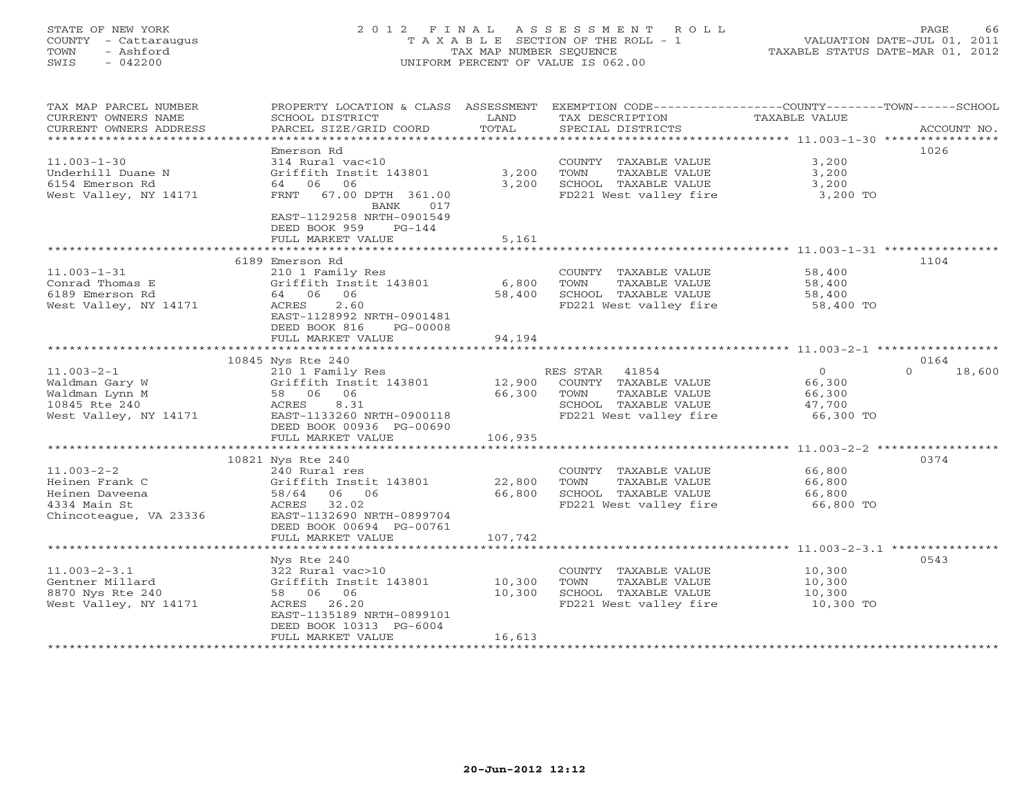# STATE OF NEW YORK 2 0 1 2 F I N A L A S S E S S M E N T R O L L PAGE 66 COUNTY - Cattaraugus T A X A B L E SECTION OF THE ROLL - 1 VALUATION DATE-JUL 01, 2011 TOWN - Ashford TAX MAP NUMBER SEQUENCE TAXABLE STATUS DATE-MAR 01, 2012 SWIS - 042200 UNIFORM PERCENT OF VALUE IS 062.00UNIFORM PERCENT OF VALUE IS 062.00

| TAX MAP PARCEL NUMBER<br>CURRENT OWNERS NAME              | SCHOOL DISTRICT<br>PARCEL SIZE/GRID COORD                                                       | LAND<br>TOTAL  | PROPERTY LOCATION & CLASS ASSESSMENT EXEMPTION CODE---------------COUNTY-------TOWN------SCHOOL<br>TAX DESCRIPTION | TAXABLE VALUE            | ACCOUNT NO.        |
|-----------------------------------------------------------|-------------------------------------------------------------------------------------------------|----------------|--------------------------------------------------------------------------------------------------------------------|--------------------------|--------------------|
| CURRENT OWNERS ADDRESS                                    |                                                                                                 |                | SPECIAL DISTRICTS                                                                                                  |                          |                    |
|                                                           | Emerson Rd                                                                                      |                |                                                                                                                    |                          | 1026               |
| $11.003 - 1 - 30$<br>Underhill Duane N<br>6154 Emerson Rd | 314 Rural vac<10<br>Griffith Instit 143801<br>64 06<br>06                                       | 3,200<br>3,200 | COUNTY TAXABLE VALUE<br>TOWN<br>TAXABLE VALUE<br>SCHOOL TAXABLE VALUE                                              | 3,200<br>3,200<br>3,200  |                    |
| West Valley, NY 14171                                     | FRNT 67.00 DPTH 361.00<br>BANK<br>017<br>EAST-1129258 NRTH-0901549<br>DEED BOOK 959<br>$PG-144$ |                | FD221 West valley fire                                                                                             | 3,200 TO                 |                    |
|                                                           | FULL MARKET VALUE                                                                               | 5,161          |                                                                                                                    |                          |                    |
|                                                           |                                                                                                 |                |                                                                                                                    |                          |                    |
|                                                           | 6189 Emerson Rd                                                                                 |                |                                                                                                                    |                          | 1104               |
| $11.003 - 1 - 31$                                         | 210 1 Family Res                                                                                |                | COUNTY TAXABLE VALUE                                                                                               | 58,400                   |                    |
| Conrad Thomas E                                           | Griffith Instit 143801                                                                          | 6,800          | TOWN<br>TAXABLE VALUE                                                                                              | 58,400                   |                    |
| 6189 Emerson Rd                                           | 64 06 06                                                                                        | 58,400         | SCHOOL TAXABLE VALUE                                                                                               | 58,400                   |                    |
| West Valley, NY 14171                                     | 2.60<br>ACRES                                                                                   |                | FD221 West valley fire                                                                                             | 58,400 TO                |                    |
|                                                           | EAST-1128992 NRTH-0901481                                                                       |                |                                                                                                                    |                          |                    |
|                                                           | DEED BOOK 816<br>PG-00008                                                                       |                |                                                                                                                    |                          |                    |
|                                                           | FULL MARKET VALUE                                                                               | 94,194         |                                                                                                                    |                          |                    |
|                                                           |                                                                                                 |                |                                                                                                                    |                          |                    |
|                                                           | 10845 Nys Rte 240                                                                               |                |                                                                                                                    |                          | 0164               |
| $11.003 - 2 - 1$                                          | 210 1 Family Res                                                                                |                | RES STAR 41854<br>COUNTY TAXABLE VALUE                                                                             | $\overline{0}$<br>66,300 | $\Omega$<br>18,600 |
| Waldman Gary W                                            | Griffith Instit 143801 12,900                                                                   | 66,300         |                                                                                                                    |                          |                    |
| Waldman Lynn M                                            | 58 06 06<br>8.31                                                                                |                | TOWN<br>TAXABLE VALUE<br>SCHOOL TAXABLE VALUE                                                                      | 66,300                   |                    |
| 10845 Rte 240                                             | ACRES                                                                                           |                | FD221 West valley fire                                                                                             | 47,700<br>66,300 TO      |                    |
| West Valley, NY 14171                                     | EAST-1133260 NRTH-0900118<br>DEED BOOK 00936 PG-00690                                           |                |                                                                                                                    |                          |                    |
|                                                           | FULL MARKET VALUE                                                                               | 106,935        |                                                                                                                    |                          |                    |
| ******************                                        | ***************************                                                                     |                |                                                                                                                    |                          |                    |
|                                                           | 10821 Nys Rte 240                                                                               |                |                                                                                                                    |                          | 0374               |
| $11.003 - 2 - 2$                                          | 240 Rural res                                                                                   |                | COUNTY TAXABLE VALUE                                                                                               | 66,800                   |                    |
| Heinen Frank C                                            | Griffith Instit 143801                                                                          | 22,800         | TOWN<br>TAXABLE VALUE                                                                                              | 66,800                   |                    |
| Heinen Daveena                                            | 58/64 06 06                                                                                     | 66,800         | SCHOOL TAXABLE VALUE                                                                                               | 66,800                   |                    |
| 4334 Main St                                              | ACRES 32.02                                                                                     |                | FD221 West valley fire                                                                                             | 66,800 TO                |                    |
| Chincoteaque, VA 23336                                    | EAST-1132690 NRTH-0899704                                                                       |                |                                                                                                                    |                          |                    |
|                                                           | DEED BOOK 00694 PG-00761                                                                        |                |                                                                                                                    |                          |                    |
|                                                           | FULL MARKET VALUE                                                                               | 107,742        |                                                                                                                    |                          |                    |
|                                                           |                                                                                                 |                |                                                                                                                    |                          |                    |
|                                                           | Nys Rte 240                                                                                     |                |                                                                                                                    |                          | 0543               |
| $11.003 - 2 - 3.1$                                        | 322 Rural vac>10                                                                                |                | COUNTY TAXABLE VALUE                                                                                               | 10,300                   |                    |
| Gentner Millard                                           | Griffith Instit 143801                                                                          | 10,300         | TOWN<br>TAXABLE VALUE                                                                                              | 10,300                   |                    |
| 8870 Nys Rte 240                                          | 58 06 06                                                                                        | 10,300         | SCHOOL TAXABLE VALUE                                                                                               | 10,300                   |                    |
| West Valley, NY 14171                                     | ACRES 26.20                                                                                     |                | FD221 West valley fire                                                                                             | 10,300 TO                |                    |
|                                                           | EAST-1135189 NRTH-0899101                                                                       |                |                                                                                                                    |                          |                    |
|                                                           | DEED BOOK 10313 PG-6004                                                                         |                |                                                                                                                    |                          |                    |
|                                                           | FULL MARKET VALUE                                                                               | 16,613         |                                                                                                                    |                          |                    |
|                                                           |                                                                                                 |                |                                                                                                                    |                          |                    |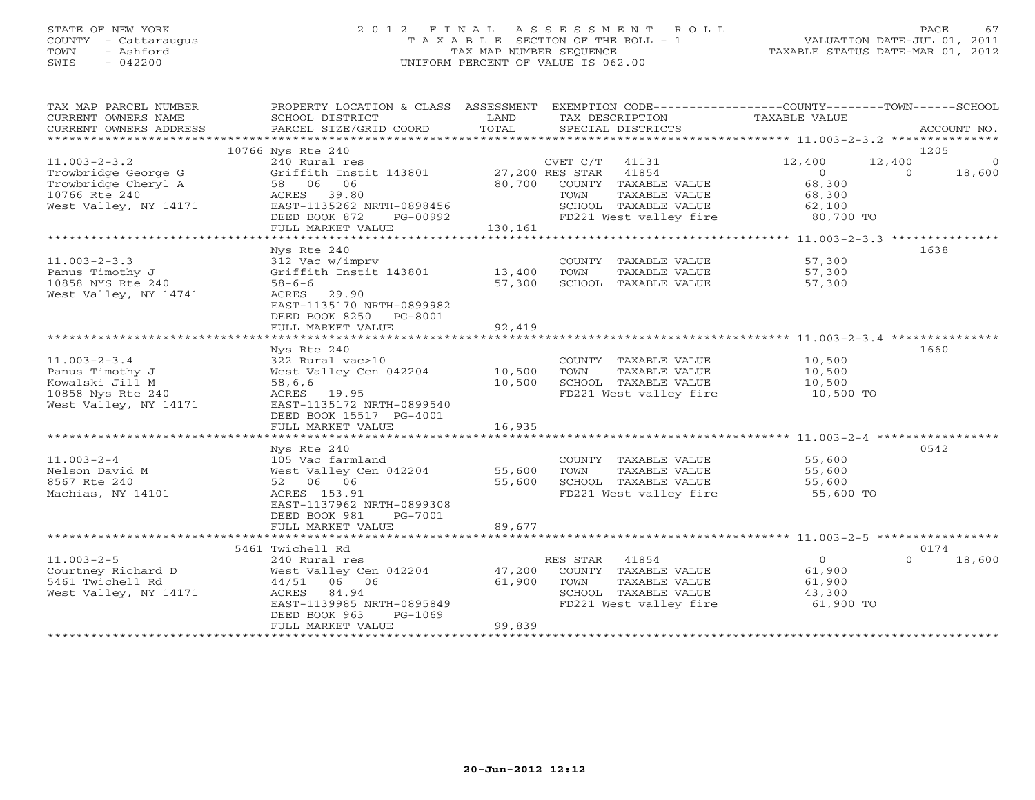# STATE OF NEW YORK 2 0 1 2 F I N A L A S S E S S M E N T R O L L PAGE 67 COUNTY - Cattaraugus T A X A B L E SECTION OF THE ROLL - 1 VALUATION DATE-JUL 01, 2011 TOWN - Ashford TAX MAP NUMBER SEQUENCE TAXABLE STATUS DATE-MAR 01, 2012 SWIS - 042200 UNIFORM PERCENT OF VALUE IS 062.00UNIFORM PERCENT OF VALUE IS 062.00

| TAX MAP PARCEL NUMBER<br>CURRENT OWNERS NAME<br>CURRENT OWNERS ADDRESS | SCHOOL DISTRICT<br>PARCEL SIZE/GRID COORD          | LAND<br>TOTAL | TAX DESCRIPTION<br>SPECIAL DISTRICTS                            | PROPERTY LOCATION & CLASS ASSESSMENT EXEMPTION CODE---------------COUNTY-------TOWN------SCHOOL<br>TAXABLE VALUE | ACCOUNT NO.    |
|------------------------------------------------------------------------|----------------------------------------------------|---------------|-----------------------------------------------------------------|------------------------------------------------------------------------------------------------------------------|----------------|
|                                                                        |                                                    |               |                                                                 |                                                                                                                  |                |
|                                                                        | 10766 Nys Rte 240                                  |               |                                                                 |                                                                                                                  | 1205           |
| $11.003 - 2 - 3.2$                                                     | 240 Rural res                                      |               | CVET C/T 41131                                                  | 12,400<br>12,400                                                                                                 | $\overline{0}$ |
| Trowbridge George G<br>Trowbridge Cheryl A                             | Griffith Instit 143801 27,200 RES STAR<br>58 06 06 |               | 41854<br>80,700 COUNTY TAXABLE VALUE                            | $\Omega$<br>$\Omega$                                                                                             | 18,600         |
| 10766 Rte 240                                                          | ACRES 39.80                                        |               | TOWN<br>TAXABLE VALUE                                           | 68,300<br>68,300                                                                                                 |                |
| West Valley, NY 14171                                                  | EAST-1135262 NRTH-0898456                          |               |                                                                 |                                                                                                                  |                |
|                                                                        | DEED BOOK 872<br>PG-00992                          |               | SCHOOL TAXABLE VALUE 62,100<br>FD221 West valley fire 60,700 TO |                                                                                                                  |                |
|                                                                        | FULL MARKET VALUE                                  | 130,161       |                                                                 |                                                                                                                  |                |
|                                                                        |                                                    |               |                                                                 |                                                                                                                  |                |
|                                                                        | Nys Rte 240                                        |               |                                                                 |                                                                                                                  | 1638           |
| $11.003 - 2 - 3.3$                                                     | 312 Vac w/imprv                                    |               | COUNTY TAXABLE VALUE                                            | 57,300                                                                                                           |                |
| Panus Timothy J                                                        | Griffith Instit 143801 13,400                      |               | TOWN<br>TAXABLE VALUE                                           | 57,300                                                                                                           |                |
| 10858 NYS Rte 240                                                      | $58 - 6 - 6$                                       | 57,300        | SCHOOL TAXABLE VALUE                                            | 57,300                                                                                                           |                |
| West Valley, NY 14741                                                  | 29.90<br>ACRES                                     |               |                                                                 |                                                                                                                  |                |
|                                                                        | EAST-1135170 NRTH-0899982                          |               |                                                                 |                                                                                                                  |                |
|                                                                        | DEED BOOK 8250 PG-8001                             |               |                                                                 |                                                                                                                  |                |
|                                                                        | FULL MARKET VALUE                                  | 92,419        |                                                                 |                                                                                                                  |                |
|                                                                        |                                                    |               |                                                                 |                                                                                                                  |                |
|                                                                        | Nys Rte 240                                        |               |                                                                 |                                                                                                                  | 1660           |
| $11.003 - 2 - 3.4$                                                     | 322 Rural vac>10                                   |               | COUNTY TAXABLE VALUE 10,500                                     |                                                                                                                  |                |
| Panus Timothy J<br>Kowalski Jill M                                     | West Valley Cen 042204 10,500                      | 10,500        | TOWN<br>TAXABLE VALUE<br>SCHOOL TAXABLE VALUE                   | 10,500<br>10,500                                                                                                 |                |
| 10858 Nys Rte 240                                                      | 58,6,6<br>ACRES 19.95                              |               | FD221 West valley fire                                          | 10,500 TO                                                                                                        |                |
| West Valley, NY 14171                                                  | EAST-1135172 NRTH-0899540                          |               |                                                                 |                                                                                                                  |                |
|                                                                        | DEED BOOK 15517 PG-4001                            |               |                                                                 |                                                                                                                  |                |
|                                                                        | FULL MARKET VALUE                                  | 16,935        |                                                                 |                                                                                                                  |                |
|                                                                        |                                                    |               |                                                                 |                                                                                                                  |                |
|                                                                        | Nys Rte 240                                        |               |                                                                 |                                                                                                                  | 0542           |
| $11.003 - 2 - 4$                                                       | 105 Vac farmland                                   |               | COUNTY TAXABLE VALUE                                            | 55,600                                                                                                           |                |
| Nelson David M                                                         | West Valley Cen 042204                             | 55,600        | TOWN<br>TAXABLE VALUE                                           | 55,600                                                                                                           |                |
| 8567 Rte 240                                                           | 52 06 06                                           | 55,600        | SCHOOL TAXABLE VALUE                                            |                                                                                                                  |                |
| Machias, NY 14101                                                      | ACRES 153.91                                       |               | FD221 West valley fire                                          | 55,000<br>55,600 TO                                                                                              |                |
|                                                                        | EAST-1137962 NRTH-0899308                          |               |                                                                 |                                                                                                                  |                |
|                                                                        | DEED BOOK 981<br>PG-7001                           |               |                                                                 |                                                                                                                  |                |
|                                                                        | FULL MARKET VALUE                                  | 89,677        |                                                                 |                                                                                                                  |                |
|                                                                        |                                                    |               |                                                                 |                                                                                                                  |                |
| $11.003 - 2 - 5$                                                       | 5461 Twichell Rd                                   |               | RES STAR 41854                                                  | $\overline{0}$<br>$\Omega$                                                                                       | 0174<br>18,600 |
|                                                                        | 240 Rural res<br>West Valley Cen 042204            | 47,200        | COUNTY TAXABLE VALUE                                            |                                                                                                                  |                |
| Courtney Richard D<br>5461 Twichell Rd                                 | 44/51 06 06                                        | 61,900        | TAXABLE VALUE<br>TOWN                                           | 61,900<br>61,900                                                                                                 |                |
| West Valley, NY 14171                                                  | ACRES 84.94                                        |               | SCHOOL TAXABLE VALUE                                            | 43,300                                                                                                           |                |
|                                                                        | EAST-1139985 NRTH-0895849                          |               | FD221 West valley fire                                          | 61,900 TO                                                                                                        |                |
|                                                                        | DEED BOOK 963<br>PG-1069                           |               |                                                                 |                                                                                                                  |                |
|                                                                        | FULL MARKET VALUE                                  | 99,839        |                                                                 |                                                                                                                  |                |
|                                                                        |                                                    |               |                                                                 |                                                                                                                  |                |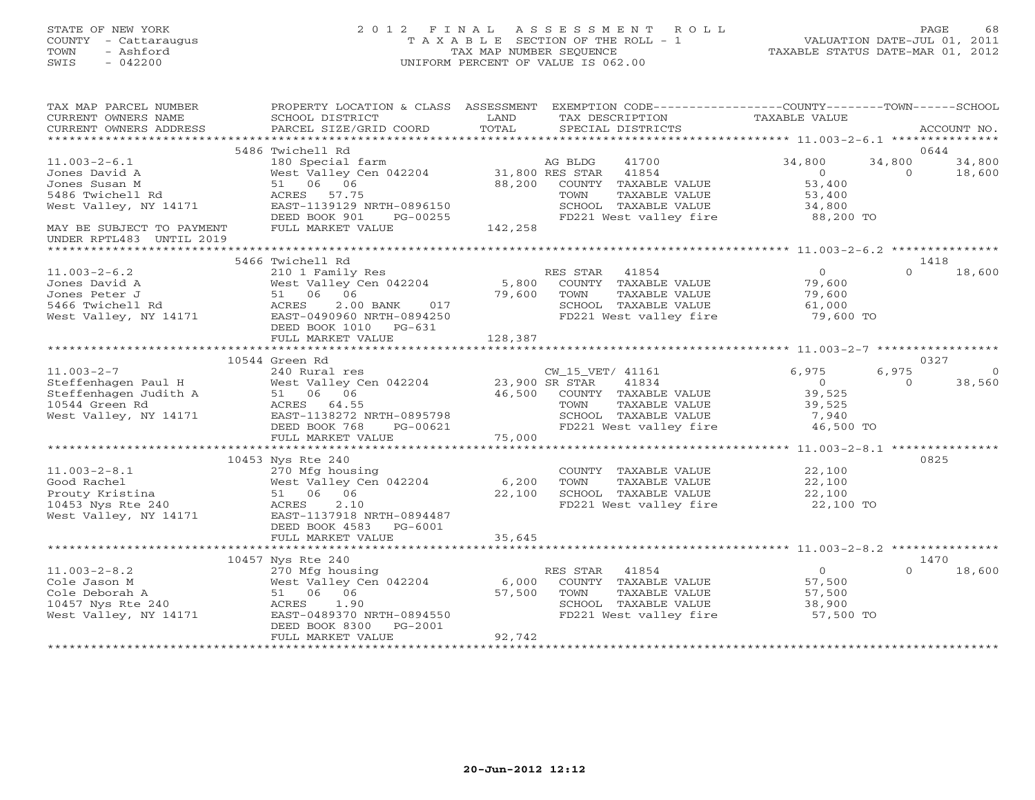# STATE OF NEW YORK 2 0 1 2 F I N A L A S S E S S M E N T R O L L PAGE 68 COUNTY - Cattaraugus T A X A B L E SECTION OF THE ROLL - 1 VALUATION DATE-JUL 01, 2011 TOWN - Ashford TAX MAP NUMBER SEQUENCE TAXABLE STATUS DATE-MAR 01, 2012 SWIS - 042200 UNIFORM PERCENT OF VALUE IS 062.00UNIFORM PERCENT OF VALUE IS 062.00

| TAX MAP PARCEL NUMBER<br>CURRENT OWNERS NAME<br>CURRENT OWNERS ADDRESS                                                                                     | PROPERTY LOCATION & CLASS ASSESSMENT<br>SCHOOL DISTRICT<br>PARCEL SIZE/GRID COORD                                                                                                                | LAND<br>TAX DESCRIPTION<br>TOTAL<br>SPECIAL DISTRICTS                                                                                         | EXEMPTION CODE-----------------COUNTY-------TOWN------SCHOOL<br>TAXABLE VALUE<br>ACCOUNT NO.             |
|------------------------------------------------------------------------------------------------------------------------------------------------------------|--------------------------------------------------------------------------------------------------------------------------------------------------------------------------------------------------|-----------------------------------------------------------------------------------------------------------------------------------------------|----------------------------------------------------------------------------------------------------------|
|                                                                                                                                                            |                                                                                                                                                                                                  |                                                                                                                                               |                                                                                                          |
| $11.003 - 2 - 6.1$<br>Jones David A<br>Jones Susan M<br>5486 Twichell Rd<br>West Valley, NY 14171<br>MAY BE SUBJECT TO PAYMENT<br>UNDER RPTL483 UNTIL 2019 | 5486 Twichell Rd<br>180 Special farm ag BLDG<br>West Valley Cen 042204 31,800 RES STAR<br>51 06 06<br>ACRES 57.75<br>EAST-1139129 NRTH-0896150<br>DEED BOOK 901<br>PG-00255<br>FULL MARKET VALUE | 41700<br>41854<br>88,200 COUNTY TAXABLE VALUE<br>TAXABLE VALUE<br>TOWN<br>SCHOOL TAXABLE VALUE<br>FD221 West valley fire 88,200 TO<br>142,258 | 0644<br>34,800<br>34,800<br>34,800<br>18,600<br>$\Omega$<br>$\Omega$<br>53,400<br>53,400<br>34,800       |
|                                                                                                                                                            |                                                                                                                                                                                                  |                                                                                                                                               |                                                                                                          |
| $11.003 - 2 - 6.2$<br>Jones David A<br>Jones Peter J<br>5466 Twichell Rd<br>West Valley, NY 14171                                                          | 5466 Twichell Rd<br>210 1 Family Res<br>West Valley Cen 042204<br>51 06 06<br>ACRES<br>2.00 BANK 017<br>EAST-0490960 NRTH-0894250<br>DEED BOOK 1010 PG-631                                       | RES STAR 41854<br>5,800<br>COUNTY TAXABLE VALUE<br>79,600<br>TAXABLE VALUE<br>TOWN<br>SCHOOL TAXABLE VALUE<br>FD221 West valley fire          | 1418<br>$\Omega$<br>$\Omega$<br>18,600<br>79,600<br>79,600<br>61,000<br>79,600 TO                        |
|                                                                                                                                                            | FULL MARKET VALUE                                                                                                                                                                                | 128,387                                                                                                                                       |                                                                                                          |
|                                                                                                                                                            |                                                                                                                                                                                                  |                                                                                                                                               |                                                                                                          |
| $11.003 - 2 - 7$<br>Steffenhagen Paul H<br>Steffenhagen Judith A<br>10544 Green Rd<br>West Valley, NY 14171                                                | 10544 Green Rd<br>51 06 06<br>ACRES 64.55<br>ACRES 64.55<br>EAST-1138272 NRTH-0895798<br>DEED BOOK 768<br>PG-00621                                                                               | CW_15_VET/ 41161<br>41834<br>46,500 COUNTY TAXABLE VALUE<br>TOWN<br>TAXABLE VALUE<br>SCHOOL TAXABLE VALUE<br>FD221 West valley fire           | 0327<br>6,975<br>6,975<br>$\overline{0}$<br>38,560<br>$\Omega$<br>39,525<br>39,525<br>7,940<br>46,500 TO |
|                                                                                                                                                            | FULL MARKET VALUE                                                                                                                                                                                | 75,000                                                                                                                                        |                                                                                                          |
| $11.003 - 2 - 8.1$<br>Good Rachel<br>Good Rachei<br>Prouty Kristina<br>10453 Nys Rte 240<br>West Valley, NY 14171                                          | 10453 Nys Rte 240<br>270 Mfg housing<br>West Valley Cen 042204<br>51 06 06<br>ACRES<br>2.10<br>EAST-1137918 NRTH-0894487<br>DEED BOOK 4583 PG-6001                                               | COUNTY TAXABLE VALUE<br>6,200<br>TOWN<br>TAXABLE VALUE<br>22,100<br>SCHOOL TAXABLE VALUE<br>FD221 West valley fire 22,100 TO                  | 0825<br>22,100<br>22,100<br>22,100                                                                       |
|                                                                                                                                                            | FULL MARKET VALUE                                                                                                                                                                                | 35,645                                                                                                                                        |                                                                                                          |
| $11.003 - 2 - 8.2$<br>Cole Jason M<br>Cole Deborah A<br>10457 Nys Rte 240<br>West Valley, NY 14171                                                         | 10457 Nys Rte 240<br>270 Mfg housing<br>West Valley Cen 042204 6,000<br>51 06 06<br>ACRES<br>1.90<br>EAST-0489370 NRTH-0894550<br>DEED BOOK 8300<br>PG-2001                                      | RES STAR<br>41854<br>COUNTY TAXABLE VALUE<br>57,500<br>TOWN<br>TAXABLE VALUE<br>SCHOOL TAXABLE VALUE<br>FD221 West valley fire                | 1470<br>$\overline{0}$<br>$\cap$<br>18,600<br>57,500<br>57,500<br>38,900<br>57,500 TO                    |
|                                                                                                                                                            | FULL MARKET VALUE                                                                                                                                                                                | 92,742                                                                                                                                        |                                                                                                          |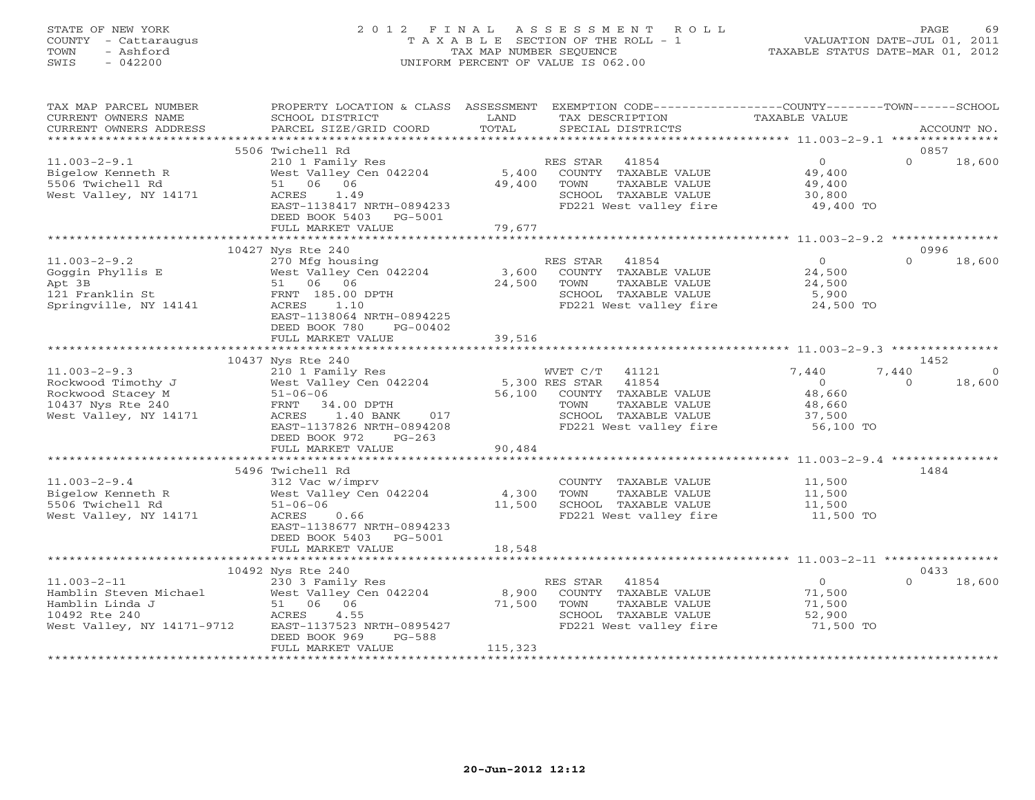# STATE OF NEW YORK 2 0 1 2 F I N A L A S S E S S M E N T R O L L PAGE 69 COUNTY - Cattaraugus T A X A B L E SECTION OF THE ROLL - 1 VALUATION DATE-JUL 01, 2011 TOWN - Ashford TAX MAP NUMBER SEQUENCE TAXABLE STATUS DATE-MAR 01, 2012 SWIS - 042200 UNIFORM PERCENT OF VALUE IS 062.00UNIFORM PERCENT OF VALUE IS 062.00

| TAX MAP PARCEL NUMBER<br>CURRENT OWNERS NAME<br>CURRENT OWNERS ADDRESS                                                                                                                                                                                                             | PROPERTY LOCATION & CLASS ASSESSMENT<br>SCHOOL DISTRICT<br>PARCEL SIZE/GRID COORD                                                                                                                                                                | LAND<br>TOTAL              | EXEMPTION CODE-----------------COUNTY-------TOWN------SCHOOL<br>TAX DESCRIPTION<br>SPECIAL DISTRICTS                              | TAXABLE VALUE                                                      | ACCOUNT NO.                             |
|------------------------------------------------------------------------------------------------------------------------------------------------------------------------------------------------------------------------------------------------------------------------------------|--------------------------------------------------------------------------------------------------------------------------------------------------------------------------------------------------------------------------------------------------|----------------------------|-----------------------------------------------------------------------------------------------------------------------------------|--------------------------------------------------------------------|-----------------------------------------|
|                                                                                                                                                                                                                                                                                    |                                                                                                                                                                                                                                                  |                            |                                                                                                                                   |                                                                    |                                         |
| $11.003 - 2 - 9.1$<br>Bigelow Kenneth R<br>5506 Twichell Rd<br>West Valley, NY 14171                                                                                                                                                                                               | 5506 Twichell Rd<br>210 1 Family Res<br>West Valley Cen 042204<br>51 06 06<br>ACRES<br>1.49<br>EAST-1138417 NRTH-0894233<br>DEED BOOK 5403 PG-5001<br>FULL MARKET VALUE                                                                          | 49,400<br>79,677           | RES STAR 41854<br>5,400 COUNTY TAXABLE VALUE<br>TAXABLE VALUE<br>TOWN<br>SCHOOL TAXABLE VALUE<br>FD221 West valley fire 49,400 TO | $\begin{matrix}0\\4\circ\end{matrix}$<br>49,400<br>30,800          | 0857<br>$\Omega$<br>18,600              |
|                                                                                                                                                                                                                                                                                    |                                                                                                                                                                                                                                                  |                            |                                                                                                                                   |                                                                    |                                         |
| $11.003 - 2 - 9.2$<br>Goggin Phyllis E<br>Apt 3B<br>121 Franklin St<br>Springville, NY 14141                                                                                                                                                                                       | 10427 Nys Rte 240<br>270 Mfg housing<br>West Valley C<br>West Valley C<br>51 06 06<br>FRNT 185.00<br>4141 ACRES 1.10<br>West Valley Cen 042204<br>51 UU UU<br>FRNT 185.00 DPTH<br>1.10<br>EAST-1138064 NRTH-0894225<br>DEED BOOK 780<br>PG-00402 | $3,600^{1}$<br>24,500      | RES STAR 41854<br>COUNTY TAXABLE VALUE<br>TOWN<br>TAXABLE VALUE<br>SCHOOL TAXABLE VALUE 5,900<br>FD221 West valley fire 24,500 TO | $\overline{0}$<br>24,500<br>24,500                                 | 0996<br>$\Omega$<br>18,600              |
|                                                                                                                                                                                                                                                                                    | FULL MARKET VALUE                                                                                                                                                                                                                                | 39,516                     |                                                                                                                                   |                                                                    |                                         |
|                                                                                                                                                                                                                                                                                    | 10437 Nys Rte 240                                                                                                                                                                                                                                |                            |                                                                                                                                   |                                                                    | 1452                                    |
| $11.003 - 2 - 9.3$<br>Rockwood Timothy J<br>Rockwood Stacey M<br>10437 Nys Rte 240<br>West Valley, NY 14171                                                                                                                                                                        | 210 1 Family Res<br>WET C/T 41121<br>West Valley Cen 042204 5,300 RES STAR 41854<br>$51 - 06 - 06$<br>FRNT 34.00 DPTH<br>ACRES<br>$1.40$ BANK<br>017<br>EAST-1137826 NRTH-0894208<br>DEED BOOK 972<br>$PG-263$                                   |                            | WVET C/T 41121<br>56,100 COUNTY TAXABLE VALUE<br>TOWN<br>TAXABLE VALUE<br>SCHOOL TAXABLE VALUE<br>FD221 West valley fire          | 7,440<br>$\overline{0}$<br>48,660<br>48,660<br>37,500<br>56,100 TO | 7,440<br>$\Omega$<br>18,600<br>$\Omega$ |
|                                                                                                                                                                                                                                                                                    | FULL MARKET VALUE                                                                                                                                                                                                                                | 90,484                     |                                                                                                                                   |                                                                    |                                         |
| $11.003 - 2 - 9.4$<br>Bigelow Kenneth R<br>5506 Twichell Rd<br>West Valley, NY 14171                                                                                                                                                                                               | 5496 Twichell Rd<br>312 Vac w/imprv<br>West Valley Cen 042204 4,300<br>$51 - 06 - 06$<br>ACRES<br>0.66<br>EAST-1138677 NRTH-0894233<br>DEED BOOK 5403 PG-5001<br>FULL MARKET VALUE                                                               | 11,500<br>18,548           | COUNTY TAXABLE VALUE<br>TAXABLE VALUE<br>TOWN<br>SCHOOL TAXABLE VALUE<br>FD221 West valley fire 11,500 TO                         | 11,500<br>11,500<br>11,500                                         | 1484                                    |
|                                                                                                                                                                                                                                                                                    |                                                                                                                                                                                                                                                  |                            |                                                                                                                                   |                                                                    |                                         |
| $11.003 - 2 - 11$<br>Hamblin Steven Michael<br>Hamblin Linda J<br>106 06<br>10492 Rte 240<br>10492 Rte 240<br>10492 Rte 240<br>10492 Rte 240<br>2010 RCRES<br>2010 RCRES<br>2010 RCRES<br>2010 RCRES<br>2010 RCRES<br>2010 RCRES<br>2010 RCRES<br>2010 RCRES<br>2010 RCRES<br>2010 | 10492 Nys Rte 240<br>230 3 Family Res<br>DEED BOOK 969<br>PG-588<br>FULL MARKET VALUE                                                                                                                                                            | 8,900<br>71,500<br>115,323 | RES STAR<br>41854<br>COUNTY TAXABLE VALUE<br>TAXABLE VALUE<br>TOWN<br>SCHOOL TAXABLE VALUE<br>FD221 West valley fire              | $\overline{0}$<br>71,500<br>71,500<br>52,900<br>71,500 TO          | 0433<br>18,600<br>$\Omega$              |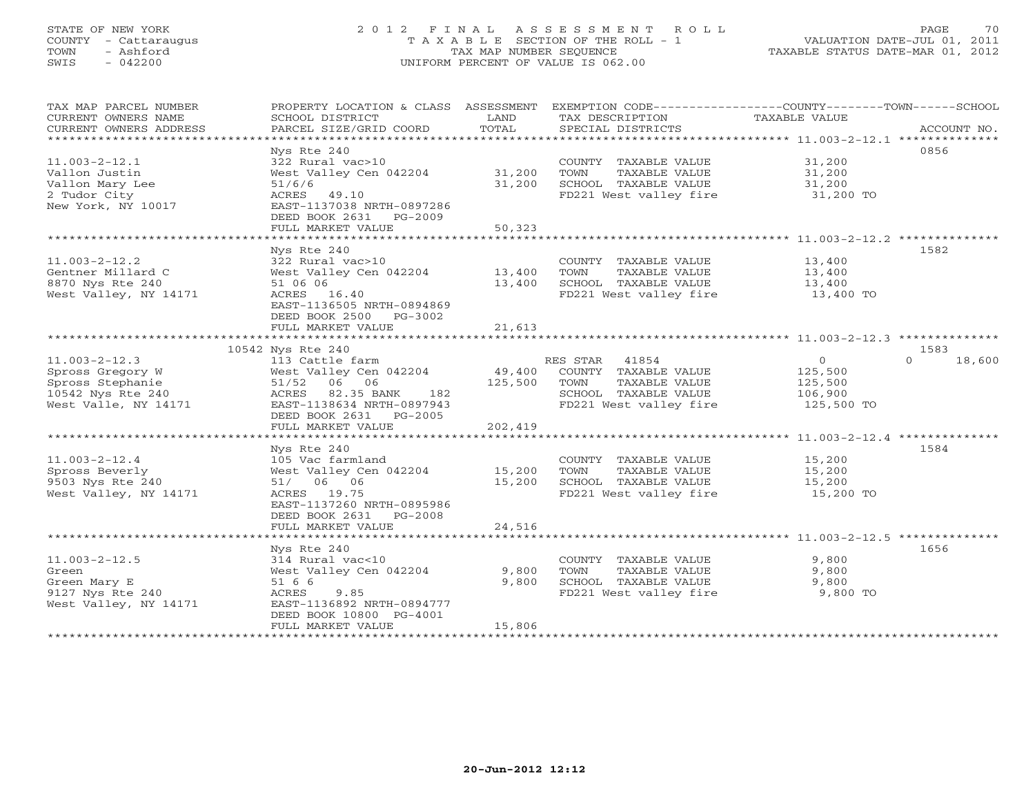# STATE OF NEW YORK 2 0 1 2 F I N A L A S S E S S M E N T R O L L PAGE 70 COUNTY - Cattaraugus T A X A B L E SECTION OF THE ROLL - 1 VALUATION DATE-JUL 01, 2011 TOWN - Ashford TAX MAP NUMBER SEQUENCE TAXABLE STATUS DATE-MAR 01, 2012 SWIS - 042200 UNIFORM PERCENT OF VALUE IS 062.00UNIFORM PERCENT OF VALUE IS 062.00

| TAX MAP PARCEL NUMBER<br>CURRENT OWNERS NAME<br>CURRENT OWNERS ADDRESS<br>****************************** | PROPERTY LOCATION & CLASS ASSESSMENT<br>SCHOOL DISTRICT<br>PARCEL SIZE/GRID COORD                                                                                       | LAND<br>TOTAL              | EXEMPTION CODE-----------------COUNTY-------TOWN------SCHOOL<br>TAX DESCRIPTION<br>SPECIAL DISTRICTS                     | TAXABLE VALUE                                                 | ACCOUNT NO.                |
|----------------------------------------------------------------------------------------------------------|-------------------------------------------------------------------------------------------------------------------------------------------------------------------------|----------------------------|--------------------------------------------------------------------------------------------------------------------------|---------------------------------------------------------------|----------------------------|
| $11.003 - 2 - 12.1$<br>Vallon Justin<br>Vallon Mary Lee<br>2 Tudor City<br>New York, NY 10017            | Nys Rte 240<br>322 Rural vac>10<br>West Valley Cen 042204<br>51/6/6<br>ACRES 49.10<br>EAST-1137038 NRTH-0897286<br>DEED BOOK 2631 PG-2009<br>FULL MARKET VALUE          | 31,200<br>31,200<br>50,323 | COUNTY TAXABLE VALUE<br>TOWN<br>TAXABLE VALUE<br>SCHOOL TAXABLE VALUE<br>FD221 West valley fire                          | 31,200<br>31,200<br>31,200<br>31,200 TO                       | 0856                       |
| $11.003 - 2 - 12.2$<br>Gentner Millard C<br>8870 Nys Rte 240<br>West Valley, NY 14171                    | Nys Rte 240<br>322 Rural vac>10<br>West Valley Cen 042204 13,400<br>51 06 06<br>ACRES 16.40<br>EAST-1136505 NRTH-0894869<br>DEED BOOK 2500 PG-3002<br>FULL MARKET VALUE | 13,400<br>21,613           | COUNTY TAXABLE VALUE<br>TOWN<br>TAXABLE VALUE<br>SCHOOL TAXABLE VALUE<br>FD221 West valley fire                          | 13,400<br>13,400<br>13,400<br>13,400 TO                       | 1582                       |
|                                                                                                          |                                                                                                                                                                         |                            |                                                                                                                          |                                                               |                            |
| $11.003 - 2 - 12.3$<br>Spross Gregory W<br>Spross Stephanie<br>10542 Nys Rte 240<br>West Valle, NY 14171 | 10542 Nys Rte 240<br>113 Cattle farm<br>West Valley Cen 042204<br>51/52 06 06<br>ACRES 82.35 BANK 182<br>EAST-1138634 NRTH-0897943<br>DEED BOOK 2631 PG-2005            | 125,500                    | RES STAR 41854<br>49,400 COUNTY TAXABLE VALUE<br>TOWN<br>TAXABLE VALUE<br>SCHOOL TAXABLE VALUE<br>FD221 West valley fire | $\overline{0}$<br>125,500<br>125,500<br>106,900<br>125,500 TO | 1583<br>$\Omega$<br>18,600 |
|                                                                                                          | FULL MARKET VALUE                                                                                                                                                       | 202,419                    |                                                                                                                          |                                                               |                            |
| $11.003 - 2 - 12.4$<br>Spross Beverly<br>9503 Nys Rte 240<br>West Valley, NY 14171                       | Nys Rte 240<br>105 Vac farmland<br>West Valley Cen 042204<br>51/ 06 06<br>ACRES 19.75<br>EAST-1137260 NRTH-0895986<br>DEED BOOK 2631 PG-2008<br>FULL MARKET VALUE       | 15,200<br>15,200<br>24,516 | COUNTY TAXABLE VALUE<br>TOWN<br>TAXABLE VALUE<br>SCHOOL TAXABLE VALUE<br>FD221 West valley fire                          | 15,200<br>15,200<br>15,200<br>$15,200$ TO                     | 1584                       |
| $11.003 - 2 - 12.5$<br>Green<br>Green Mary E<br>9127 Nys Rte 240<br>West Valley, NY 14171                | Nys Rte 240<br>314 Rural vac<10<br>West Valley Cen 042204<br>51 6 6<br>ACRES<br>9.85<br>EAST-1136892 NRTH-0894777<br>DEED BOOK 10800 PG-4001<br>FULL MARKET VALUE       | 9,800<br>9,800<br>15,806   | COUNTY TAXABLE VALUE<br>TOWN<br>TAXABLE VALUE<br>SCHOOL TAXABLE VALUE<br>FD221 West valley fire                          | 9,800<br>9,800<br>9,800<br>9,800 TO                           | 1656                       |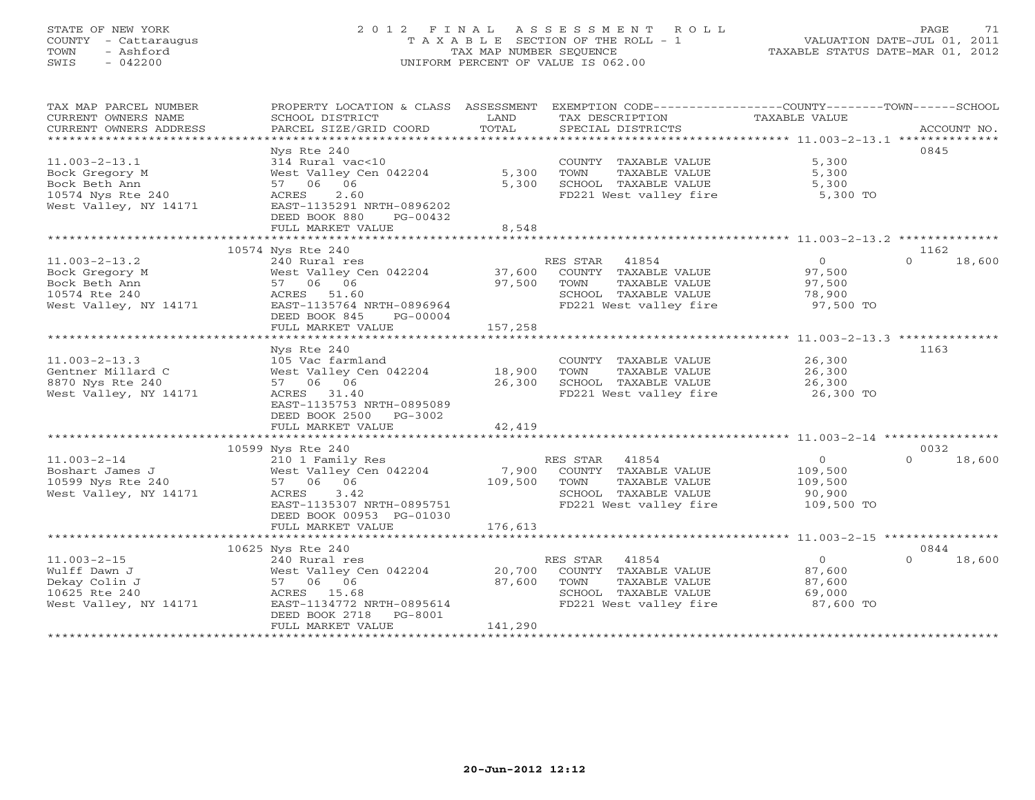# STATE OF NEW YORK 2 0 1 2 F I N A L A S S E S S M E N T R O L L PAGE 71 COUNTY - Cattaraugus T A X A B L E SECTION OF THE ROLL - 1 VALUATION DATE-JUL 01, 2011 TOWN - Ashford TAX MAP NUMBER SEQUENCE TAXABLE STATUS DATE-MAR 01, 2012 SWIS - 042200 UNIFORM PERCENT OF VALUE IS 062.00

| TAX MAP PARCEL NUMBER<br>CURRENT OWNERS NAME<br>CURRENT OWNERS ADDRESS | SCHOOL DISTRICT<br>PARCEL SIZE/GRID COORD | LAND<br>TOTAL | PROPERTY LOCATION & CLASS ASSESSMENT EXEMPTION CODE----------------COUNTY-------TOWN------SCHOOL<br>TAX DESCRIPTION<br>SPECIAL DISTRICTS | TAXABLE VALUE    | ACCOUNT NO.        |
|------------------------------------------------------------------------|-------------------------------------------|---------------|------------------------------------------------------------------------------------------------------------------------------------------|------------------|--------------------|
|                                                                        |                                           |               |                                                                                                                                          |                  |                    |
|                                                                        | Nys Rte 240                               |               |                                                                                                                                          |                  | 0845               |
| $11.003 - 2 - 13.1$                                                    | 314 Rural vac<10                          |               | COUNTY TAXABLE VALUE                                                                                                                     | 5,300            |                    |
| Bock Gregory M                                                         | West Valley Cen 042204                    | 5,300         | TOWN<br>TAXABLE VALUE                                                                                                                    | 5,300            |                    |
| Bock Beth Ann                                                          | 57 06 06                                  | 5,300         | SCHOOL TAXABLE VALUE                                                                                                                     | 5,300            |                    |
| 10574 Nys Rte 240                                                      | 2.60<br>ACRES                             |               | FD221 West valley fire                                                                                                                   | 5,300 TO         |                    |
| West Valley, NY 14171                                                  | EAST-1135291 NRTH-0896202                 |               |                                                                                                                                          |                  |                    |
|                                                                        | DEED BOOK 880<br>PG-00432                 |               |                                                                                                                                          |                  |                    |
|                                                                        | FULL MARKET VALUE                         | 8,548         |                                                                                                                                          |                  |                    |
|                                                                        |                                           |               |                                                                                                                                          |                  |                    |
|                                                                        | 10574 Nys Rte 240                         |               |                                                                                                                                          |                  | 1162               |
| $11.003 - 2 - 13.2$                                                    | 240 Rural res                             |               | RES STAR 41854                                                                                                                           | $\overline{0}$   | 18,600<br>$\Omega$ |
| Bock Gregory M                                                         | West Valley Cen 042204                    | 37,600        | COUNTY TAXABLE VALUE                                                                                                                     | 97,500           |                    |
| Bock Beth Ann                                                          | 57 06 06                                  | 97,500        | TOWN<br>TAXABLE VALUE                                                                                                                    | 97,500           |                    |
| 10574 Rte 240                                                          | ACRES 51.60                               |               | SCHOOL TAXABLE VALUE                                                                                                                     | 78,900           |                    |
| West Valley, NY 14171                                                  | EAST-1135764 NRTH-0896964                 |               | FD221 West valley fire                                                                                                                   | 97,500 TO        |                    |
|                                                                        | DEED BOOK 845<br>PG-00004                 |               |                                                                                                                                          |                  |                    |
|                                                                        | FULL MARKET VALUE                         | 157,258       |                                                                                                                                          |                  |                    |
|                                                                        |                                           |               |                                                                                                                                          |                  |                    |
|                                                                        | Nys Rte 240                               |               |                                                                                                                                          |                  | 1163               |
| $11.003 - 2 - 13.3$                                                    | 105 Vac farmland                          |               | COUNTY TAXABLE VALUE                                                                                                                     | 26,300           |                    |
| Gentner Millard C                                                      | West Valley Cen 042204                    | 18,900        | TOWN<br>TAXABLE VALUE                                                                                                                    | 26,300<br>26,300 |                    |
| 8870 Nys Rte 240                                                       | 57 06 06                                  | 26,300        | SCHOOL TAXABLE VALUE                                                                                                                     |                  |                    |
| West Valley, NY 14171                                                  | ACRES 31.40<br>EAST-1135753 NRTH-0895089  |               | FD221 West valley fire                                                                                                                   | 26,300 TO        |                    |
|                                                                        | DEED BOOK 2500 PG-3002                    |               |                                                                                                                                          |                  |                    |
|                                                                        | FULL MARKET VALUE                         | 42,419        |                                                                                                                                          |                  |                    |
|                                                                        |                                           |               |                                                                                                                                          |                  |                    |
|                                                                        | 10599 Nys Rte 240                         |               |                                                                                                                                          |                  | 0032               |
| $11.003 - 2 - 14$                                                      | 210 1 Family Res                          |               | RES STAR 41854                                                                                                                           | $\overline{0}$   | $\Omega$<br>18,600 |
| Boshart James J                                                        | West Valley Cen 042204                    | 7,900         | COUNTY TAXABLE VALUE                                                                                                                     | 109,500          |                    |
| 10599 Nys Rte 240                                                      | 57 06 06                                  | 109,500       | TOWN<br>TAXABLE VALUE                                                                                                                    | 109,500          |                    |
| West Valley, NY 14171                                                  | ACRES<br>3.42                             |               | SCHOOL TAXABLE VALUE                                                                                                                     | 90,900           |                    |
|                                                                        | EAST-1135307 NRTH-0895751                 |               | FD221 West valley fire                                                                                                                   | 109,500 TO       |                    |
|                                                                        | DEED BOOK 00953 PG-01030                  |               |                                                                                                                                          |                  |                    |
|                                                                        | FULL MARKET VALUE                         | 176,613       |                                                                                                                                          |                  |                    |
|                                                                        |                                           |               |                                                                                                                                          |                  |                    |
|                                                                        | 10625 Nys Rte 240                         |               |                                                                                                                                          |                  | 0844               |
| $11.003 - 2 - 15$                                                      | 240 Rural res                             |               | RES STAR 41854                                                                                                                           | $\overline{0}$   | $\cap$<br>18,600   |
| Wulff Dawn J                                                           | West Valley Cen 042204                    | 20,700        | COUNTY TAXABLE VALUE                                                                                                                     | 87,600           |                    |
| Dekay Colin J                                                          | 57 06 06                                  | 87,600        | TOWN<br>TAXABLE VALUE                                                                                                                    | 87,600           |                    |
| 10625 Rte 240                                                          | ACRES 15.68                               |               | SCHOOL TAXABLE VALUE                                                                                                                     | 69,000           |                    |
| West Valley, NY 14171                                                  | EAST-1134772 NRTH-0895614                 |               | FD221 West valley fire                                                                                                                   | 87,600 TO        |                    |
|                                                                        | PG-8001<br>DEED BOOK 2718                 |               |                                                                                                                                          |                  |                    |
|                                                                        | FULL MARKET VALUE                         | 141,290       |                                                                                                                                          |                  |                    |
|                                                                        |                                           |               |                                                                                                                                          |                  |                    |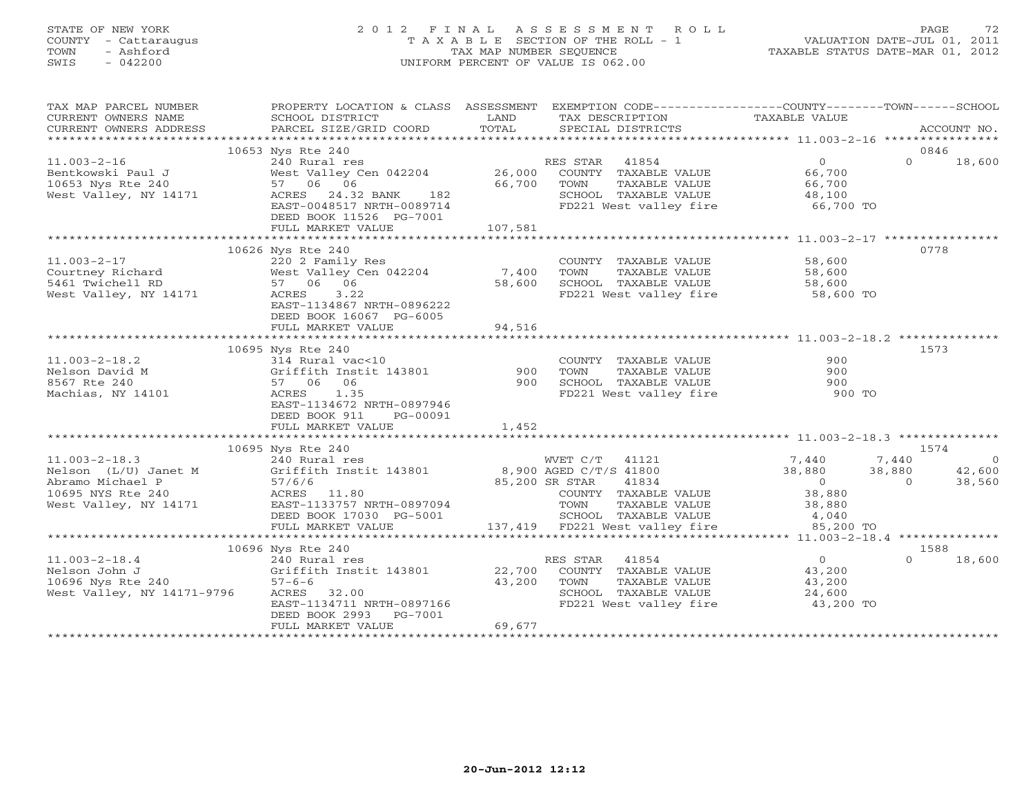# STATE OF NEW YORK 2 0 1 2 F I N A L A S S E S S M E N T R O L L PAGE 72 COUNTY - Cattaraugus T A X A B L E SECTION OF THE ROLL - 1 VALUATION DATE-JUL 01, 2011 TOWN - Ashford TAX MAP NUMBER SEQUENCE TAXABLE STATUS DATE-MAR 01, 2012 SWIS - 042200 UNIFORM PERCENT OF VALUE IS 062.00UNIFORM PERCENT OF VALUE IS 062.00

| TAX MAP PARCEL NUMBER                                                                                                                                                                                                                                                                                                                                                                                                                                                                                               | PROPERTY LOCATION & CLASS ASSESSMENT EXEMPTION CODE----------------COUNTY-------TOWN------SCHOOL |         |                                                                                                             |        |                    |
|---------------------------------------------------------------------------------------------------------------------------------------------------------------------------------------------------------------------------------------------------------------------------------------------------------------------------------------------------------------------------------------------------------------------------------------------------------------------------------------------------------------------|--------------------------------------------------------------------------------------------------|---------|-------------------------------------------------------------------------------------------------------------|--------|--------------------|
| $\begin{tabular}{lllllll} \multicolumn{2}{l}{{\small\sc{CURRENT}}}& $\text{MME}$ & $\text{SCHOOL} & $\text{DISTRICT}$ & $\text{LAND}$ & $\text{TAX} & $\text{DESCRIPTION}$ & $\text{TAXABLE} & $\text{VALUE}$ \\ & $\text{CURRENT} & $\text{MDRESS}$ & $\text{PARCEL} & $\text{SIZE/GRID} & $\text{COORD}$ & $\text{TOTAL}$ & $\text{SPECIAL} & $\text{DISTRICTS}$ & $\text{RCCOUNT} & $\text{NOL}$ \\ & $\text{*} \star \star \star \star \star \star \star \star \star \star \star \star \star \star \star \star$ |                                                                                                  |         |                                                                                                             |        |                    |
|                                                                                                                                                                                                                                                                                                                                                                                                                                                                                                                     |                                                                                                  |         |                                                                                                             |        |                    |
|                                                                                                                                                                                                                                                                                                                                                                                                                                                                                                                     |                                                                                                  |         |                                                                                                             |        |                    |
|                                                                                                                                                                                                                                                                                                                                                                                                                                                                                                                     | 10653 Nys Rte 240                                                                                |         |                                                                                                             |        | 0846               |
|                                                                                                                                                                                                                                                                                                                                                                                                                                                                                                                     |                                                                                                  |         |                                                                                                             |        | $\Omega$<br>18,600 |
|                                                                                                                                                                                                                                                                                                                                                                                                                                                                                                                     |                                                                                                  |         |                                                                                                             |        |                    |
|                                                                                                                                                                                                                                                                                                                                                                                                                                                                                                                     |                                                                                                  |         |                                                                                                             |        |                    |
|                                                                                                                                                                                                                                                                                                                                                                                                                                                                                                                     |                                                                                                  |         | SCHOOL   TAXABLE VALUE                        48,100<br>FD221 West valley fire                    66,700 TO |        |                    |
|                                                                                                                                                                                                                                                                                                                                                                                                                                                                                                                     |                                                                                                  |         |                                                                                                             |        |                    |
|                                                                                                                                                                                                                                                                                                                                                                                                                                                                                                                     | DEED BOOK 11526 PG-7001                                                                          |         |                                                                                                             |        |                    |
|                                                                                                                                                                                                                                                                                                                                                                                                                                                                                                                     | FULL MARKET VALUE                                                                                | 107,581 |                                                                                                             |        |                    |
|                                                                                                                                                                                                                                                                                                                                                                                                                                                                                                                     |                                                                                                  |         |                                                                                                             |        |                    |
|                                                                                                                                                                                                                                                                                                                                                                                                                                                                                                                     | 10626 Nys Rte 240                                                                                |         |                                                                                                             |        | 0778               |
|                                                                                                                                                                                                                                                                                                                                                                                                                                                                                                                     |                                                                                                  |         |                                                                                                             |        |                    |
|                                                                                                                                                                                                                                                                                                                                                                                                                                                                                                                     |                                                                                                  |         |                                                                                                             |        |                    |
|                                                                                                                                                                                                                                                                                                                                                                                                                                                                                                                     |                                                                                                  |         |                                                                                                             |        |                    |
| 11.003-2-17<br>Courtney Richard 220 2 Family Res<br>Courtney Richard West Valley Cen 042204<br>5461 Twichell RD 57 06 06<br>57 06 06<br>58,600 58,600 SCHOOL TAXABLE VALUE 58,600<br>FD221 West Valley fire 58,600 TOWN<br>FD221 West valley                                                                                                                                                                                                                                                                        |                                                                                                  |         |                                                                                                             |        |                    |
|                                                                                                                                                                                                                                                                                                                                                                                                                                                                                                                     | EAST-1134867 NRTH-0896222                                                                        |         |                                                                                                             |        |                    |
|                                                                                                                                                                                                                                                                                                                                                                                                                                                                                                                     | DEED BOOK 16067 PG-6005                                                                          |         |                                                                                                             |        |                    |
|                                                                                                                                                                                                                                                                                                                                                                                                                                                                                                                     | FULL MARKET VALUE                                                                                | 94,516  |                                                                                                             |        |                    |
|                                                                                                                                                                                                                                                                                                                                                                                                                                                                                                                     |                                                                                                  |         |                                                                                                             |        |                    |
|                                                                                                                                                                                                                                                                                                                                                                                                                                                                                                                     | 10695 Nys Rte 240                                                                                |         |                                                                                                             |        | 1573               |
|                                                                                                                                                                                                                                                                                                                                                                                                                                                                                                                     |                                                                                                  |         |                                                                                                             |        |                    |
|                                                                                                                                                                                                                                                                                                                                                                                                                                                                                                                     |                                                                                                  |         |                                                                                                             |        |                    |
| 11.003-2-18.2<br>Nelson David M 314 Rural vac<10<br>8567 Rte 240 57 06 06<br>Machias, NY 14101 ACRES 1.35<br>Machias, NY 14101 ACRES 1.35                                                                                                                                                                                                                                                                                                                                                                           |                                                                                                  |         |                                                                                                             | 900    |                    |
|                                                                                                                                                                                                                                                                                                                                                                                                                                                                                                                     |                                                                                                  |         |                                                                                                             | 900 TO |                    |
|                                                                                                                                                                                                                                                                                                                                                                                                                                                                                                                     | EAST-1134672 NRTH-0897946                                                                        |         |                                                                                                             |        |                    |
|                                                                                                                                                                                                                                                                                                                                                                                                                                                                                                                     | DEED BOOK 911 PG-00091                                                                           |         |                                                                                                             |        |                    |
|                                                                                                                                                                                                                                                                                                                                                                                                                                                                                                                     | FULL MARKET VALUE                                                                                | 1,452   |                                                                                                             |        |                    |
|                                                                                                                                                                                                                                                                                                                                                                                                                                                                                                                     |                                                                                                  |         |                                                                                                             |        |                    |
|                                                                                                                                                                                                                                                                                                                                                                                                                                                                                                                     | 10695 Nys Rte 240                                                                                |         |                                                                                                             |        | 1574               |
|                                                                                                                                                                                                                                                                                                                                                                                                                                                                                                                     |                                                                                                  |         |                                                                                                             |        |                    |
|                                                                                                                                                                                                                                                                                                                                                                                                                                                                                                                     |                                                                                                  |         |                                                                                                             |        |                    |
|                                                                                                                                                                                                                                                                                                                                                                                                                                                                                                                     |                                                                                                  |         |                                                                                                             |        |                    |
|                                                                                                                                                                                                                                                                                                                                                                                                                                                                                                                     |                                                                                                  |         |                                                                                                             |        |                    |
|                                                                                                                                                                                                                                                                                                                                                                                                                                                                                                                     |                                                                                                  |         |                                                                                                             |        |                    |
|                                                                                                                                                                                                                                                                                                                                                                                                                                                                                                                     |                                                                                                  |         |                                                                                                             |        |                    |
|                                                                                                                                                                                                                                                                                                                                                                                                                                                                                                                     |                                                                                                  |         |                                                                                                             |        |                    |
|                                                                                                                                                                                                                                                                                                                                                                                                                                                                                                                     |                                                                                                  |         |                                                                                                             |        |                    |
|                                                                                                                                                                                                                                                                                                                                                                                                                                                                                                                     | 10696 Nys Rte 240                                                                                |         |                                                                                                             |        | 1588               |
| 10696 Nys Rte 240<br>11.003-2-18.4 240 Rural res RES STAR 41854 0<br>Nelson John J Griffith Instit 143801 22,700 COUNTY TAXABLE VALUE 43,200<br>10696 Nys Rte 240 57-6-6 43,200 100M TAXABLE VALUE 43,200                                                                                                                                                                                                                                                                                                           |                                                                                                  |         |                                                                                                             |        | $0 \t 18,600$      |
|                                                                                                                                                                                                                                                                                                                                                                                                                                                                                                                     |                                                                                                  |         |                                                                                                             |        |                    |
| West Valley, NY 14171-9796 ACRES 32.00                                                                                                                                                                                                                                                                                                                                                                                                                                                                              | 43,200                                                                                           |         | SCHOOL TAXABLE VALUE 24,600                                                                                 |        |                    |
|                                                                                                                                                                                                                                                                                                                                                                                                                                                                                                                     |                                                                                                  |         |                                                                                                             |        |                    |
|                                                                                                                                                                                                                                                                                                                                                                                                                                                                                                                     | DEED BOOK 2993 PG-7001                                                                           |         | FD221 West valley fire 43,200 TO                                                                            |        |                    |
|                                                                                                                                                                                                                                                                                                                                                                                                                                                                                                                     | FULL MARKET VALUE                                                                                | 69,677  |                                                                                                             |        |                    |
|                                                                                                                                                                                                                                                                                                                                                                                                                                                                                                                     |                                                                                                  |         |                                                                                                             |        |                    |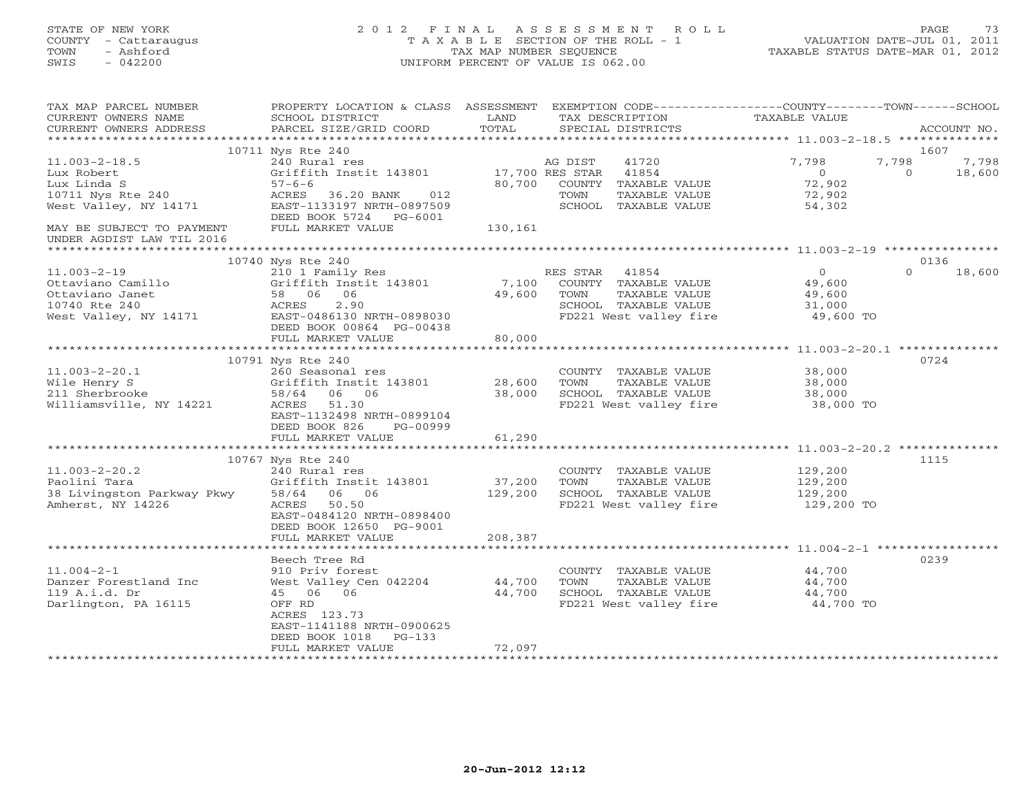# STATE OF NEW YORK 2 0 1 2 F I N A L A S S E S S M E N T R O L L PAGE 73 COUNTY - Cattaraugus T A X A B L E SECTION OF THE ROLL - 1 VALUATION DATE-JUL 01, 2011 TOWN - Ashford TAX MAP NUMBER SEQUENCE TAXABLE STATUS DATE-MAR 01, 2012 SWIS - 042200 UNIFORM PERCENT OF VALUE IS 062.00UNIFORM PERCENT OF VALUE IS 062.00

| TAX MAP PARCEL NUMBER<br>CURRENT OWNERS NAME<br>CURRENT OWNERS ADDRESS | PROPERTY LOCATION & CLASS ASSESSMENT<br>SCHOOL DISTRICT<br>PARCEL SIZE/GRID COORD     | LAND<br>TOTAL             |                | EXEMPTION CODE-----------------COUNTY-------TOWN-----SCHOOL<br>TAX DESCRIPTION<br>SPECIAL DISTRICTS | TAXABLE VALUE                      |          | ACCOUNT NO.   |
|------------------------------------------------------------------------|---------------------------------------------------------------------------------------|---------------------------|----------------|-----------------------------------------------------------------------------------------------------|------------------------------------|----------|---------------|
|                                                                        |                                                                                       |                           |                |                                                                                                     |                                    |          |               |
| $11.003 - 2 - 18.5$                                                    | 10711 Nys Rte 240<br>240 Rural res                                                    |                           | AG DIST        | 41720                                                                                               | 7,798                              | 7,798    | 1607<br>7,798 |
| Lux Robert<br>Lux Linda S<br>10711 Nys Rte 240                         | Griffith Instit 143801<br>$57 - 6 - 6$<br>ACRES 36.20 BANK<br>012                     | 17,700 RES STAR<br>80,700 | TOWN           | 41854<br>COUNTY TAXABLE VALUE<br>TAXABLE VALUE                                                      | $\overline{O}$<br>72,902<br>72,902 | $\Omega$ | 18,600        |
| West Valley, NY 14171                                                  | EAST-1133197 NRTH-0897509<br>DEED BOOK 5724 PG-6001                                   |                           |                | SCHOOL TAXABLE VALUE                                                                                | 54,302                             |          |               |
| MAY BE SUBJECT TO PAYMENT<br>UNDER AGDIST LAW TIL 2016                 | FULL MARKET VALUE                                                                     | 130,161                   |                |                                                                                                     |                                    |          |               |
|                                                                        | 10740 Nys Rte 240                                                                     |                           |                |                                                                                                     |                                    |          | 0136          |
| $11.003 - 2 - 19$<br>Ottaviano Camillo                                 | 210 1 Family Res<br>Griffith Instit 143801                                            | 7,100                     | RES STAR 41854 | COUNTY TAXABLE VALUE                                                                                | $\Omega$<br>49,600                 | $\Omega$ | 18,600        |
| Ottaviano Janet<br>10740 Rte 240                                       | 58 06 06<br>2.90<br>ACRES                                                             | 49,600                    | TOWN           | TAXABLE VALUE<br>SCHOOL TAXABLE VALUE                                                               | 49,600<br>31,000                   |          |               |
| West Valley, NY 14171                                                  | EAST-0486130 NRTH-0898030<br>DEED BOOK 00864 PG-00438                                 |                           |                | FD221 West valley fire                                                                              | 49,600 TO                          |          |               |
|                                                                        | FULL MARKET VALUE<br>************************                                         | 80,000<br>***********     |                |                                                                                                     |                                    |          |               |
|                                                                        | 10791 Nys Rte 240                                                                     |                           |                |                                                                                                     |                                    |          | 0724          |
| $11.003 - 2 - 20.1$                                                    | 260 Seasonal res                                                                      |                           |                | COUNTY TAXABLE VALUE                                                                                | 38,000                             |          |               |
| Wile Henry S                                                           | Griffith Instit 143801                                                                | 28,600                    | TOWN           | TAXABLE VALUE                                                                                       | 38,000                             |          |               |
| 211 Sherbrooke                                                         | 58/64 06 06                                                                           | 38,000                    |                | SCHOOL TAXABLE VALUE                                                                                | 38,000                             |          |               |
| Williamsville, NY 14221                                                | ACRES 51.30<br>EAST-1132498 NRTH-0899104<br>DEED BOOK 826<br>PG-00999                 |                           |                | FD221 West valley fire                                                                              | 38,000 TO                          |          |               |
|                                                                        | FULL MARKET VALUE                                                                     | 61,290                    |                |                                                                                                     |                                    |          |               |
|                                                                        | 10767 Nys Rte 240                                                                     |                           |                |                                                                                                     |                                    |          | 1115          |
| $11.003 - 2 - 20.2$                                                    | 240 Rural res                                                                         |                           |                | COUNTY TAXABLE VALUE                                                                                | 129,200                            |          |               |
| Paolini Tara                                                           | Griffith Instit 143801                                                                | 37,200                    | TOWN           | TAXABLE VALUE                                                                                       | 129,200                            |          |               |
| 38 Livingston Parkway Pkwy<br>Amherst, NY 14226                        | 58/64 06 06<br>50.50<br>ACRES<br>EAST-0484120 NRTH-0898400<br>DEED BOOK 12650 PG-9001 | 129,200                   |                | SCHOOL TAXABLE VALUE<br>FD221 West valley fire                                                      | 129,200<br>129,200 TO              |          |               |
|                                                                        | FULL MARKET VALUE                                                                     | 208,387                   |                |                                                                                                     |                                    |          |               |
|                                                                        | Beech Tree Rd                                                                         |                           |                |                                                                                                     |                                    |          | 0239          |
| $11.004 - 2 - 1$<br>Danzer Forestland Inc                              | 910 Priv forest<br>West Valley Cen 042204                                             | 44,700                    | TOWN           | COUNTY TAXABLE VALUE<br>TAXABLE VALUE                                                               | 44,700<br>44,700                   |          |               |
| 119 A.i.d. Dr                                                          | 45 06 06                                                                              | 44,700                    |                | SCHOOL TAXABLE VALUE                                                                                | 44,700                             |          |               |
| Darlington, PA 16115                                                   | OFF RD<br>ACRES 123.73<br>EAST-1141188 NRTH-0900625<br>DEED BOOK 1018<br>$PG-133$     |                           |                | FD221 West valley fire                                                                              | 44,700 TO                          |          |               |
|                                                                        | FULL MARKET VALUE                                                                     | 72,097                    |                |                                                                                                     |                                    |          |               |
|                                                                        |                                                                                       |                           |                |                                                                                                     |                                    |          |               |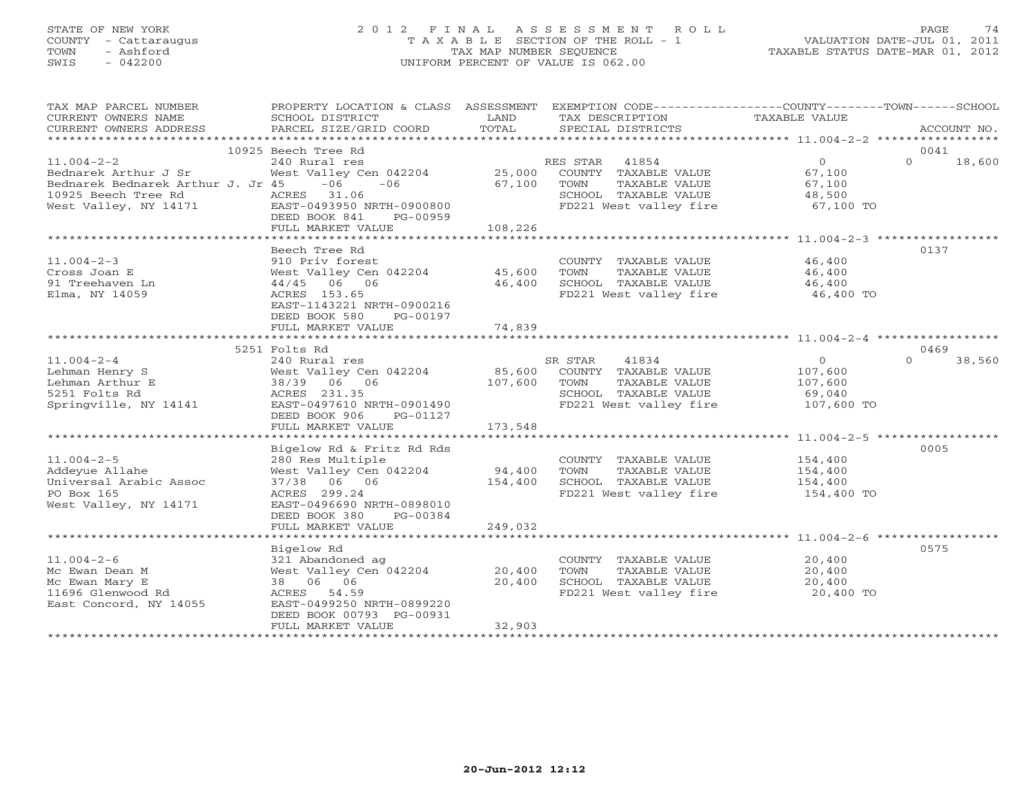#### STATE OF NEW YORK 2 0 1 2 F I N A L A S S E S S M E N T R O L L PAGE 74COUNTY - Cattaraugus T A X A B L E SECTION OF THE ROLL - 1 VALUATION DATE-JUL 01, 2011 TOWN - Ashford Communist Communist Communist Communist Communist Communist Communist Communist Communist Communist Communist Communist Communist Communist Communist Communist Communist Communist Communist Communist Communi SWIS - 042200 UNIFORM PERCENT OF VALUE IS 062.00

\*\*\*\*\*\*\*\*\*\*\*\*\*\*\*\*\*\*\*\*\*\*\*\*\*\*\*\*\*\*\*\*\*\*\*\*\*\*\*\*\*\*\*\*\*\*\*\*\*\*\*\*\*\*\*\*\*\*\*\*\*\*\*\*\*\*\*\*\*\*\*\*\*\*\*\*\*\*\*\*\*\*\*\*\*\*\*\*\*\*\*\*\*\*\*\*\*\*\*\*\*\*\*\*\*\*\*\*\*\*\*\*\*\*\*\*\*\*\*\*\*\*\*\*\*\*\*\*\*\*\*\*

| TAX MAP PARCEL NUMBER<br>CURRENT OWNERS NAME<br>CURRENT OWNERS ADDRESS | PROPERTY LOCATION & CLASS ASSESSMENT EXEMPTION CODE---------------COUNTY-------TOWN------SCHOOL<br>SCHOOL DISTRICT<br>PARCEL SIZE/GRID COORD | LAND<br>TOTAL | TAX DESCRIPTION<br>SPECIAL DISTRICTS | <b>TAXABLE VALUE</b> | ACCOUNT NO.        |
|------------------------------------------------------------------------|----------------------------------------------------------------------------------------------------------------------------------------------|---------------|--------------------------------------|----------------------|--------------------|
|                                                                        | 10925 Beech Tree Rd                                                                                                                          |               |                                      |                      | 0041               |
| $11.004 - 2 - 2$                                                       | 240 Rural res                                                                                                                                |               | RES STAR<br>41854                    | $\circ$              | $\Omega$<br>18,600 |
| Bednarek Arthur J Sr                                                   | West Valley Cen 042204                                                                                                                       |               | 25,000 COUNTY TAXABLE VALUE          | 67,100               |                    |
| Bednarek Bednarek Arthur J. Jr 45                                      | $-06$<br>$-06$                                                                                                                               | 67,100        | TOWN<br>TAXABLE VALUE                | 67,100               |                    |
| 10925 Beech Tree Rd                                                    | ACRES 31.06                                                                                                                                  |               | SCHOOL TAXABLE VALUE                 | 48,500               |                    |
| West Valley, NY 14171                                                  | EAST-0493950 NRTH-0900800<br>DEED BOOK 841<br>PG-00959                                                                                       |               | FD221 West valley fire               | 67,100 TO            |                    |
|                                                                        | FULL MARKET VALUE                                                                                                                            | 108,226       |                                      |                      |                    |
|                                                                        | Beech Tree Rd                                                                                                                                |               |                                      |                      | 0137               |
| $11.004 - 2 - 3$                                                       | 910 Priv forest                                                                                                                              |               | COUNTY TAXABLE VALUE                 | 46,400               |                    |
| Cross Joan E                                                           | West Valley Cen 042204                                                                                                                       | 45,600        | TOWN<br>TAXABLE VALUE                | 46,400               |                    |
| 91 Treehaven Ln                                                        | 06 06<br>44/45                                                                                                                               | 46,400        | SCHOOL TAXABLE VALUE                 | 46,400               |                    |
| Elma, NY 14059                                                         | ACRES 153.65                                                                                                                                 |               | FD221 West valley fire               | 46,400 TO            |                    |
|                                                                        | EAST-1143221 NRTH-0900216<br>DEED BOOK 580<br>PG-00197                                                                                       |               |                                      |                      |                    |
|                                                                        | FULL MARKET VALUE                                                                                                                            | 74,839        |                                      |                      |                    |
|                                                                        | 5251 Folts Rd                                                                                                                                |               |                                      |                      | 0469               |
| $11.004 - 2 - 4$                                                       | 240 Rural res                                                                                                                                |               | SR STAR<br>41834                     | $\circ$              | 38,560<br>$\Omega$ |
| Lehman Henry S                                                         | West Valley Cen 042204                                                                                                                       | 85,600        | COUNTY TAXABLE VALUE                 | 107,600              |                    |
| Lehman Arthur E                                                        | 38/39<br>06 06                                                                                                                               | 107,600 TOWN  | TAXABLE VALUE                        | 107,600              |                    |
| 5251 Folts Rd                                                          | ACRES 231.35                                                                                                                                 |               | SCHOOL TAXABLE VALUE                 | 69,040               |                    |
| Springville, NY 14141                                                  | EAST-0497610 NRTH-0901490                                                                                                                    |               | FD221 West valley fire               | 107,600 TO           |                    |
|                                                                        | DEED BOOK 906<br>PG-01127                                                                                                                    |               |                                      |                      |                    |
|                                                                        | FULL MARKET VALUE                                                                                                                            | 173,548       |                                      |                      |                    |
|                                                                        |                                                                                                                                              |               |                                      |                      |                    |
|                                                                        | Bigelow Rd & Fritz Rd Rds                                                                                                                    |               |                                      |                      | 0005               |
| $11.004 - 2 - 5$                                                       | 280 Res Multiple                                                                                                                             |               | COUNTY TAXABLE VALUE                 | 154,400              |                    |
| Addeyue Allahe                                                         | West Valley Cen 042204                                                                                                                       | 94,400 TOWN   | TAXABLE VALUE                        | 154,400              |                    |
| Universal Arabic Assoc                                                 | 37/38<br>06 06                                                                                                                               | 154,400       | SCHOOL TAXABLE VALUE                 | 154,400              |                    |
| PO Box 165                                                             | ACRES 299.24                                                                                                                                 |               | FD221 West valley fire               | 154,400 TO           |                    |
| West Valley, NY 14171                                                  | EAST-0496690 NRTH-0898010                                                                                                                    |               |                                      |                      |                    |
|                                                                        | PG-00384<br>DEED BOOK 380<br>FULL MARKET VALUE                                                                                               | 249,032       |                                      |                      |                    |
|                                                                        |                                                                                                                                              |               |                                      |                      |                    |
|                                                                        | Bigelow Rd                                                                                                                                   |               |                                      |                      | 0575               |
| $11.004 - 2 - 6$                                                       | 321 Abandoned ag                                                                                                                             |               | COUNTY TAXABLE VALUE                 | 20,400               |                    |
| Mc Ewan Dean M                                                         | West Valley Cen 042204                                                                                                                       | 20,400        | TOWN<br>TAXABLE VALUE                | 20,400               |                    |
| Mc Ewan Mary E                                                         | 38 06 06                                                                                                                                     | 20,400        | SCHOOL TAXABLE VALUE                 | 20,400               |                    |
| 11696 Glenwood Rd                                                      | 54.59<br>ACRES                                                                                                                               |               | FD221 West valley fire               | 20,400 TO            |                    |
| East Concord, NY 14055                                                 | EAST-0499250 NRTH-0899220                                                                                                                    |               |                                      |                      |                    |

DEED BOOK 00793 PG-00931

FULL MARKET VALUE 32,903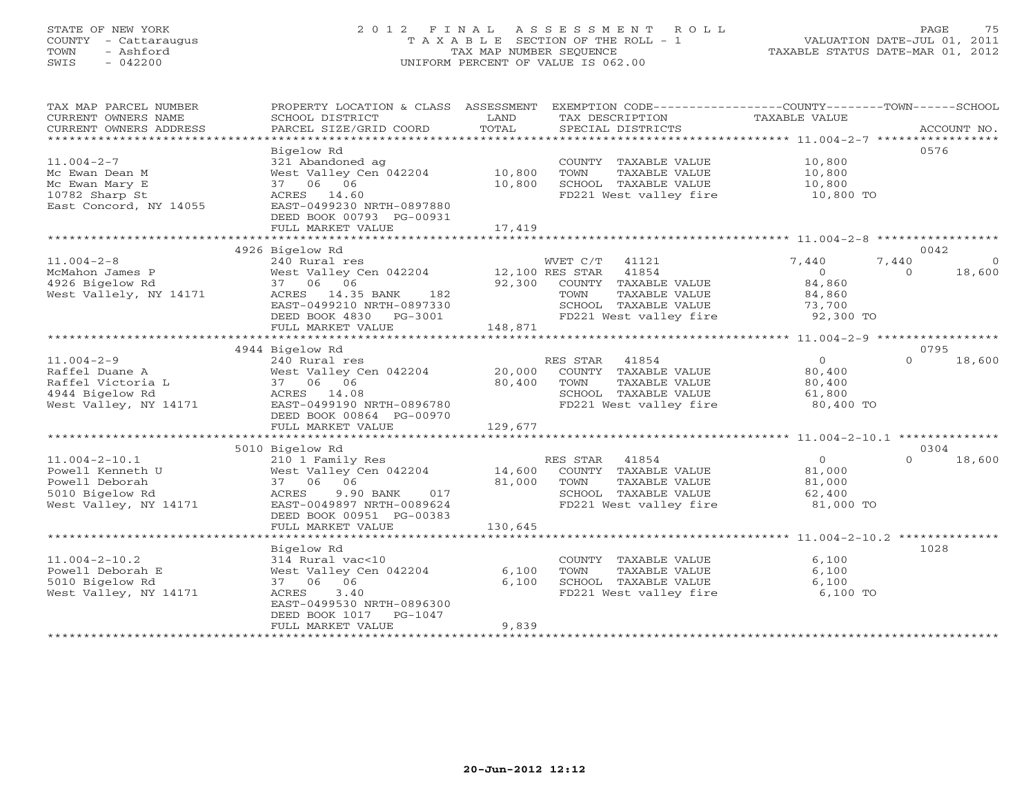# STATE OF NEW YORK 2 0 1 2 F I N A L A S S E S S M E N T R O L L PAGE 75 COUNTY - Cattaraugus T A X A B L E SECTION OF THE ROLL - 1 VALUATION DATE-JUL 01, 2011 TOWN - Ashford TAX MAP NUMBER SEQUENCE TAXABLE STATUS DATE-MAR 01, 2012 SWIS - 042200 UNIFORM PERCENT OF VALUE IS 062.00UNIFORM PERCENT OF VALUE IS 062.00

| TAX MAP PARCEL NUMBER<br>CURRENT OWNERS NAME<br>CURRENT OWNERS ADDRESS                                                | PROPERTY LOCATION & CLASS ASSESSMENT<br>SCHOOL DISTRICT<br>PARCEL SIZE/GRID COORD                                                                                             | LAND<br>TOTAL           | EXEMPTION CODE-----------------COUNTY-------TOWN------SCHOOL<br>TAX DESCRIPTION TAXABLE VALUE<br>SPECIAL DISTRICTS                                    |                                                       | ACCOUNT NO.                               |
|-----------------------------------------------------------------------------------------------------------------------|-------------------------------------------------------------------------------------------------------------------------------------------------------------------------------|-------------------------|-------------------------------------------------------------------------------------------------------------------------------------------------------|-------------------------------------------------------|-------------------------------------------|
| $11.004 - 2 - 7$<br>Mc Ewan Dean M<br>Mc Ewan Mary E<br>10782 Sharp St<br>East Concord, NY 14055                      | Bigelow Rd<br>321 Abandoned ag<br>West Valley Cen 042204 10,800<br>37 06 06<br>ACRES 14.60<br>EAST-0499230 NRTH-0897880<br>DEED BOOK 00793 PG-00931<br>FULL MARKET VALUE      | 10,800<br>17,419        | COUNTY TAXABLE VALUE<br>TAXABLE VALUE<br>TOWN<br>SCHOOL TAXABLE VALUE<br>FD221 West valley fire                                                       | 10,800<br>10,800<br>10,800<br>10,800 TO               | 0576                                      |
|                                                                                                                       | 4926 Bigelow Rd                                                                                                                                                               |                         |                                                                                                                                                       |                                                       | 0042                                      |
| $11.004 - 2 - 8$<br>McMahon James P<br>4926 Bigelow Rd<br>West Vallely, NY 14171                                      | 240 Rural res<br>West Valley Cen 042204 12,100 RES STAR 41854<br>37 06 06<br>ACRES 14.35 BANK 182<br>EAST-0499210 NRTH-0897330<br>DEED BOOK 4830 PG-3001<br>FULL MARKET VALUE | 148,871                 | WVET C/T 41121<br>92,300 COUNTY TAXABLE VALUE<br>TOWN TAXABLE VALUE<br>TOWN TAXABLE VALUE<br>SCHOOL TAXABLE VALUE<br>FD221 West valley fire 92,300 TO | 7,440<br>$\overline{0}$<br>84,860<br>84,860<br>73,700 | 7,440<br>$\bigcirc$<br>$\Omega$<br>18,600 |
|                                                                                                                       | 4944 Bigelow Rd                                                                                                                                                               |                         |                                                                                                                                                       |                                                       | 0795                                      |
| $11.004 - 2 - 9$<br>Raffel Duane A<br>Raffel Duane A<br>Raffel Victoria L<br>4944 Bigelow Rd<br>West Valley, NY 14171 | 240 Rural res<br>West Valley Cen 042204 20,000<br>37 06 06<br>ACRES 14.08<br>EAST-0499190 NRTH-0896780<br>DEED BOOK 00864 PG-00970                                            | 80,400                  | RES STAR 41854<br>COUNTY TAXABLE VALUE<br>TAXABLE VALUE<br>TOWN<br>SCHOOL TAXABLE VALUE 61,800<br>FD221 West valley fire 80,400 TO                    | $\overline{0}$<br>80,400<br>80,400                    | 18,600<br>$\Omega$                        |
|                                                                                                                       | FULL MARKET VALUE                                                                                                                                                             | 129,677                 |                                                                                                                                                       |                                                       |                                           |
|                                                                                                                       |                                                                                                                                                                               |                         |                                                                                                                                                       |                                                       |                                           |
| $11.004 - 2 - 10.1$<br>Powell Kenneth U<br>Powell Deborah<br>5010 Bigelow Rd<br>West Valley, NY 14171                 | 5010 Bigelow Rd<br>210 1 Family Res<br>West Valley Cen 042204 14,600<br>37 06 06<br>ACRES<br>9.90 BANK 017<br>EAST-0049897 NRTH-0089624<br>DEED BOOK 00951 PG-00383           | 81,000                  | RES STAR 41854<br>COUNTY TAXABLE VALUE<br>TAXABLE VALUE<br>TOWN<br>SCHOOL TAXABLE VALUE<br>FD221 West valley fire 81,000 TO                           | $\overline{0}$<br>81,000<br>81,000<br>62,400          | 0304<br>$\Omega$<br>18,600                |
|                                                                                                                       | FULL MARKET VALUE                                                                                                                                                             | 130,645                 |                                                                                                                                                       |                                                       |                                           |
| $11.004 - 2 - 10.2$<br>Powell Deborah E<br>5010 Bigelow Rd<br>West Valley, NY 14171                                   | Bigelow Rd<br>314 Rural vac<10<br>West Valley Cen 042204<br>37 06 06<br>3.40<br>ACRES<br>EAST-0499530 NRTH-0896300<br>DEED BOOK 1017 PG-1047<br>FULL MARKET VALUE             | 6,100<br>6,100<br>9,839 | COUNTY TAXABLE VALUE<br>TOWN<br>TAXABLE VALUE<br>SCHOOL TAXABLE VALUE<br>FD221 West valley fire                                                       | 6,100<br>6.100<br>6,100<br>6,100 TO                   | 1028                                      |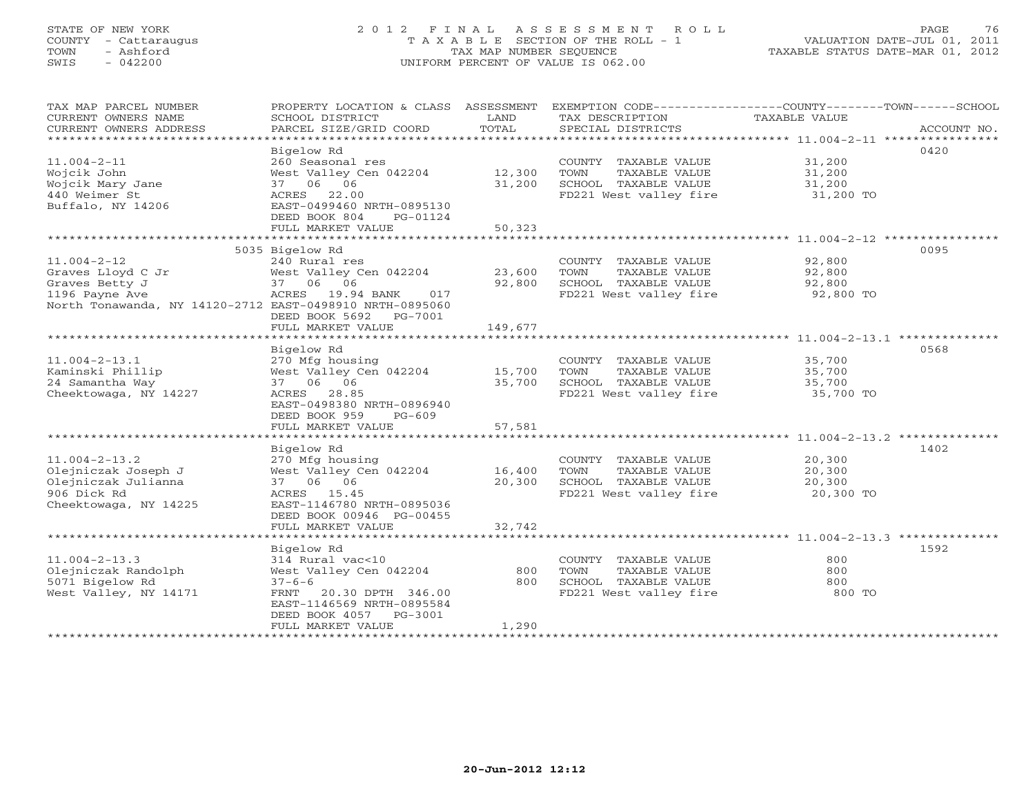# STATE OF NEW YORK 2 0 1 2 F I N A L A S S E S S M E N T R O L L PAGE 76 COUNTY - Cattaraugus T A X A B L E SECTION OF THE ROLL - 1 VALUATION DATE-JUL 01, 2011 TOWN - Ashford TAX MAP NUMBER SEQUENCE TAXABLE STATUS DATE-MAR 01, 2012 SWIS - 042200 UNIFORM PERCENT OF VALUE IS 062.00UNIFORM PERCENT OF VALUE IS 062.00

| TAX MAP PARCEL NUMBER<br>CURRENT OWNERS NAME<br>CURRENT OWNERS ADDRESS                                            | PROPERTY LOCATION & CLASS ASSESSMENT<br>SCHOOL DISTRICT<br>PARCEL SIZE/GRID COORD                                                                         | LAND<br>TOTAL    | TAX DESCRIPTION<br>SPECIAL DISTRICTS                                                            | EXEMPTION CODE-----------------COUNTY-------TOWN------SCHOOL<br><b>TAXABLE VALUE</b><br>ACCOUNT NO. |
|-------------------------------------------------------------------------------------------------------------------|-----------------------------------------------------------------------------------------------------------------------------------------------------------|------------------|-------------------------------------------------------------------------------------------------|-----------------------------------------------------------------------------------------------------|
| $11.004 - 2 - 11$<br>Wojcik John<br>Wojcik Mary Jane<br>440 Weimer St<br>Buffalo, NY 14206                        | Bigelow Rd<br>260 Seasonal res<br>West Valley Cen 042204<br>37 06 06<br>ACRES 22.00<br>EAST-0499460 NRTH-0895130<br>DEED BOOK 804<br>PG-01124             | 12,300<br>31,200 | COUNTY TAXABLE VALUE<br>TOWN<br>TAXABLE VALUE<br>SCHOOL TAXABLE VALUE<br>FD221 West valley fire | 0420<br>31,200<br>31,200<br>31,200<br>31,200 TO                                                     |
|                                                                                                                   | FULL MARKET VALUE                                                                                                                                         | 50,323           |                                                                                                 |                                                                                                     |
| $11.004 - 2 - 12$                                                                                                 | 5035 Bigelow Rd<br>240 Rural res                                                                                                                          |                  | COUNTY TAXABLE VALUE                                                                            | 0095<br>92,800                                                                                      |
| Graves Lloyd C Jr<br>Graves Betty J<br>1196 Payne Ave<br>North Tonawanda, NY 14120-2712 EAST-0498910 NRTH-0895060 | West Valley Cen 042204<br>37 06 06<br>ACRES 19.94 BANK<br>017                                                                                             | 23,600<br>92,800 | TOWN<br>TAXABLE VALUE<br>SCHOOL TAXABLE VALUE<br>FD221 West valley fire                         | 92,800<br>92,800<br>92,800 TO                                                                       |
|                                                                                                                   | DEED BOOK 5692 PG-7001<br>FULL MARKET VALUE                                                                                                               | 149,677          |                                                                                                 |                                                                                                     |
|                                                                                                                   | Bigelow Rd                                                                                                                                                |                  |                                                                                                 | 0568                                                                                                |
| $11.004 - 2 - 13.1$<br>Kaminski Phillip<br>24 Samantha Way<br>Cheektowaga, NY 14227                               | 270 Mfg housing<br>West Valley Cen 042204<br>37 06 06<br>ACRES 28.85<br>EAST-0498380 NRTH-0896940<br>DEED BOOK 959<br>$PG-609$                            | 15,700<br>35,700 | COUNTY TAXABLE VALUE<br>TOWN<br>TAXABLE VALUE<br>SCHOOL TAXABLE VALUE<br>FD221 West valley fire | 35,700<br>35,700<br>35,700<br>35,700 TO                                                             |
|                                                                                                                   | FULL MARKET VALUE                                                                                                                                         | 57,581           |                                                                                                 |                                                                                                     |
|                                                                                                                   |                                                                                                                                                           |                  |                                                                                                 |                                                                                                     |
| $11.004 - 2 - 13.2$<br>Olejniczak Joseph J<br>Olejniczak Julianna<br>906 Dick Rd<br>Cheektowaga, NY 14225         | Bigelow Rd<br>270 Mfg housing<br>West Valley Cen 042204<br>37 06 06<br>ACRES 15.45<br>EAST-1146780 NRTH-0895036<br>DEED BOOK 00946 PG-00455               | 16,400<br>20,300 | COUNTY TAXABLE VALUE<br>TOWN<br>TAXABLE VALUE<br>SCHOOL TAXABLE VALUE<br>FD221 West valley fire | 1402<br>20,300<br>20,300<br>20,300<br>20,300 TO                                                     |
|                                                                                                                   | FULL MARKET VALUE                                                                                                                                         | 32,742           |                                                                                                 |                                                                                                     |
|                                                                                                                   |                                                                                                                                                           |                  |                                                                                                 |                                                                                                     |
| $11.004 - 2 - 13.3$<br>Olejniczak Randolph<br>5071 Bigelow Rd<br>West Valley, NY 14171                            | Bigelow Rd<br>314 Rural vac<10<br>West Valley Cen 042204<br>$37 - 6 - 6$<br>FRNT 20.30 DPTH 346.00<br>EAST-1146569 NRTH-0895584<br>DEED BOOK 4057 PG-3001 | 800<br>800       | COUNTY TAXABLE VALUE<br>TOWN<br>TAXABLE VALUE<br>SCHOOL TAXABLE VALUE<br>FD221 West valley fire | 1592<br>800<br>800<br>800<br>800 TO                                                                 |
|                                                                                                                   | FULL MARKET VALUE                                                                                                                                         | 1,290            |                                                                                                 |                                                                                                     |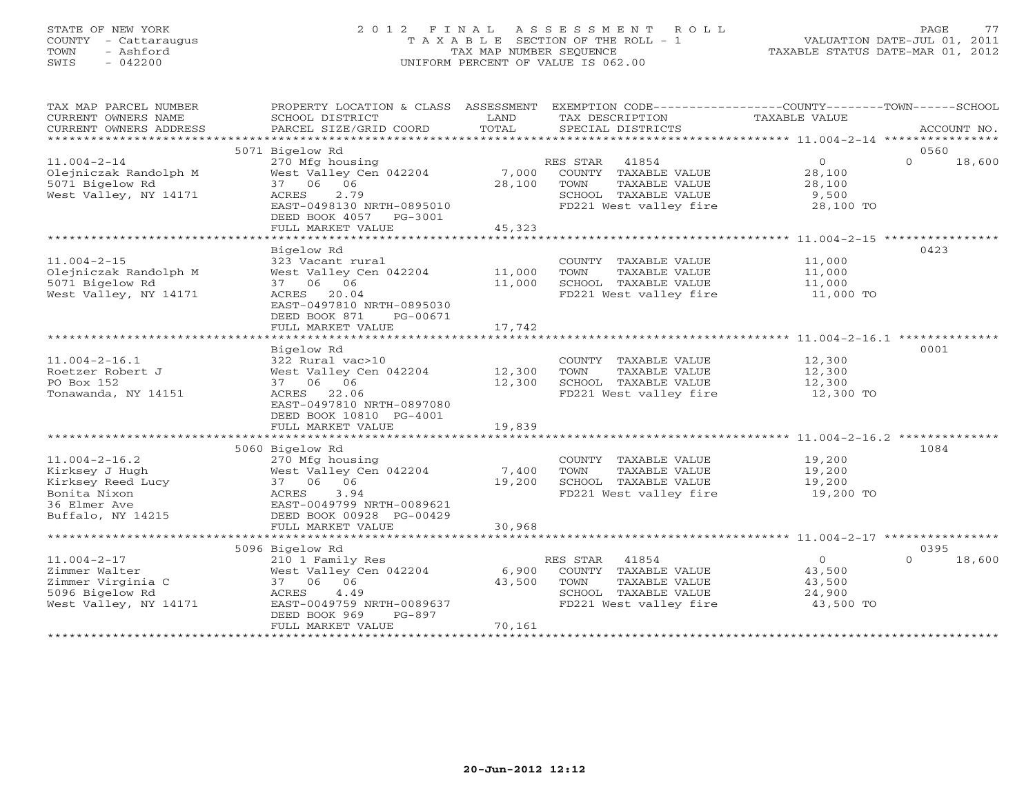# STATE OF NEW YORK 2 0 1 2 F I N A L A S S E S S M E N T R O L L PAGE 77 COUNTY - Cattaraugus T A X A B L E SECTION OF THE ROLL - 1 VALUATION DATE-JUL 01, 2011 TOWN - Ashford TAX MAP NUMBER SEQUENCE TAXABLE STATUS DATE-MAR 01, 2012 SWIS - 042200 UNIFORM PERCENT OF VALUE IS 062.00UNIFORM PERCENT OF VALUE IS 062.00

| TAX MAP PARCEL NUMBER                                                                                                                                                                                   | PROPERTY LOCATION & CLASS ASSESSMENT EXEMPTION CODE----------------COUNTY-------TOWN------SCHOOL |                |                                                |                     |                    |
|---------------------------------------------------------------------------------------------------------------------------------------------------------------------------------------------------------|--------------------------------------------------------------------------------------------------|----------------|------------------------------------------------|---------------------|--------------------|
| CURRENT OWNERS NAME<br>CURRENT OWNERS ADDRESS                                                                                                                                                           | SCHOOL DISTRICT<br>PARCEL SIZE/GRID COORD                                                        | LAND<br>TOTAL  | TAX DESCRIPTION<br>SPECIAL DISTRICTS           | TAXABLE VALUE       | ACCOUNT NO.        |
|                                                                                                                                                                                                         |                                                                                                  |                |                                                |                     |                    |
|                                                                                                                                                                                                         | 5071 Bigelow Rd                                                                                  |                |                                                |                     | 0560               |
| $11.004 - 2 - 14$                                                                                                                                                                                       | 270 Mfg housing                                                                                  |                | RES STAR 41854                                 | $\overline{0}$      | $\Omega$<br>18,600 |
| Olejniczak Randolph M                                                                                                                                                                                   | West Valley Cen 042204                                                                           |                | 7,000 COUNTY TAXABLE VALUE                     | 28,100<br>28,100    |                    |
| 5071 Bigelow Rd                                                                                                                                                                                         | 37 06 06                                                                                         | 28,100         | TOWN<br>TAXABLE VALUE                          |                     |                    |
| West Valley, NY 14171                                                                                                                                                                                   | ACRES<br>2.79                                                                                    |                | SCHOOL TAXABLE VALUE<br>FD221 West valley fire | 9,500<br>28,100 TO  |                    |
|                                                                                                                                                                                                         | EAST-0498130 NRTH-0895010<br>DEED BOOK 4057 PG-3001                                              |                |                                                |                     |                    |
|                                                                                                                                                                                                         | FULL MARKET VALUE                                                                                | 45,323         |                                                |                     |                    |
|                                                                                                                                                                                                         |                                                                                                  | ************** |                                                |                     |                    |
|                                                                                                                                                                                                         | Bigelow Rd                                                                                       |                |                                                |                     | 0423               |
| $11.004 - 2 - 15$                                                                                                                                                                                       | 323 Vacant rural                                                                                 |                | COUNTY TAXABLE VALUE 11,000                    |                     |                    |
| Olejniczak Randolph M                                                                                                                                                                                   | West Valley Cen 042204 11,000                                                                    |                | TOWN<br>TAXABLE VALUE                          | 11,000              |                    |
| 5071 Bigelow Rd                                                                                                                                                                                         | 37 06 06                                                                                         | 11,000         | SCHOOL TAXABLE VALUE                           | 11,000              |                    |
| West Valley, NY 14171                                                                                                                                                                                   | ACRES 20.04                                                                                      |                | FD221 West valley fire 11,000 TO               |                     |                    |
|                                                                                                                                                                                                         | EAST-0497810 NRTH-0895030                                                                        |                |                                                |                     |                    |
|                                                                                                                                                                                                         | DEED BOOK 871<br>PG-00671                                                                        |                |                                                |                     |                    |
|                                                                                                                                                                                                         | FULL MARKET VALUE                                                                                | 17,742         |                                                |                     |                    |
|                                                                                                                                                                                                         | Bigelow Rd                                                                                       |                |                                                |                     | 0001               |
| $11.004 - 2 - 16.1$                                                                                                                                                                                     | 322 Rural vac>10                                                                                 |                | COUNTY TAXABLE VALUE                           |                     |                    |
| Roetzer Robert J                                                                                                                                                                                        | West Valley Cen 042204 12,300                                                                    |                | TOWN<br>TAXABLE VALUE                          | 12,300<br>12,300    |                    |
| PO Box 152                                                                                                                                                                                              | 37 06 06                                                                                         | 12,300         | SCHOOL TAXABLE VALUE                           |                     |                    |
| Tonawanda, NY 14151                                                                                                                                                                                     | ACRES 22.06                                                                                      |                | FD221 West valley fire                         | 12,300<br>12,300 TO |                    |
|                                                                                                                                                                                                         | EAST-0497810 NRTH-0897080                                                                        |                |                                                |                     |                    |
|                                                                                                                                                                                                         | DEED BOOK 10810 PG-4001                                                                          |                |                                                |                     |                    |
|                                                                                                                                                                                                         | FULL MARKET VALUE                                                                                | 19,839         |                                                |                     |                    |
|                                                                                                                                                                                                         |                                                                                                  |                |                                                |                     |                    |
|                                                                                                                                                                                                         | 5060 Bigelow Rd                                                                                  |                | COUNTY TAXABLE VALUE                           | 19,200              | 1084               |
|                                                                                                                                                                                                         |                                                                                                  | 7,400          | TOWN<br>TAXABLE VALUE                          | 19,200              |                    |
|                                                                                                                                                                                                         |                                                                                                  | 19,200         | SCHOOL TAXABLE VALUE                           | 19,200              |                    |
|                                                                                                                                                                                                         |                                                                                                  |                | FD221 West valley fire                         | 19,200 TO           |                    |
|                                                                                                                                                                                                         |                                                                                                  |                |                                                |                     |                    |
| 11.004-2-16.2<br>Kirksey J Hugh West Valley Cen 042204<br>Kirksey Reed Lucy 37 06 06<br>Bonita Nixon ACRES 3.94<br>36 Elmer Ave EAST-0049799 NRTH-0089621<br>Ruffalo, NY 14215 DEED BOOK 00928 PG-00429 |                                                                                                  |                |                                                |                     |                    |
|                                                                                                                                                                                                         | FULL MARKET VALUE                                                                                | 30,968         |                                                |                     |                    |
|                                                                                                                                                                                                         |                                                                                                  |                |                                                |                     |                    |
|                                                                                                                                                                                                         | 5096 Bigelow Rd                                                                                  |                |                                                |                     | 0395               |
| $11.004 - 2 - 17$                                                                                                                                                                                       | 210 1 Family Res                                                                                 |                | RES STAR 41854                                 | $\overline{0}$      | $0 \t 18,600$      |
| Zimmer Walter                                                                                                                                                                                           | West Valley Cen 042204                                                                           | 6,900          | COUNTY TAXABLE VALUE                           | 43,500              |                    |
| Zimmer Virginia C<br>5096 Bigelow Rd                                                                                                                                                                    | ext Valley<br>Nest Valley C<br>37 06 06<br>ACRES 4.49<br>4.49                                    | 43,500         | TOWN<br>TAXABLE VALUE<br>SCHOOL TAXABLE VALUE  | 43,500<br>24,900    |                    |
| West Valley, NY 14171                                                                                                                                                                                   | EAST-0049759 NRTH-0089637                                                                        |                | FD221 West valley fire                         | 43,500 TO           |                    |
|                                                                                                                                                                                                         | DEED BOOK 969<br>PG-897                                                                          |                |                                                |                     |                    |
|                                                                                                                                                                                                         | FULL MARKET VALUE                                                                                | 70,161         |                                                |                     |                    |
|                                                                                                                                                                                                         |                                                                                                  |                |                                                |                     |                    |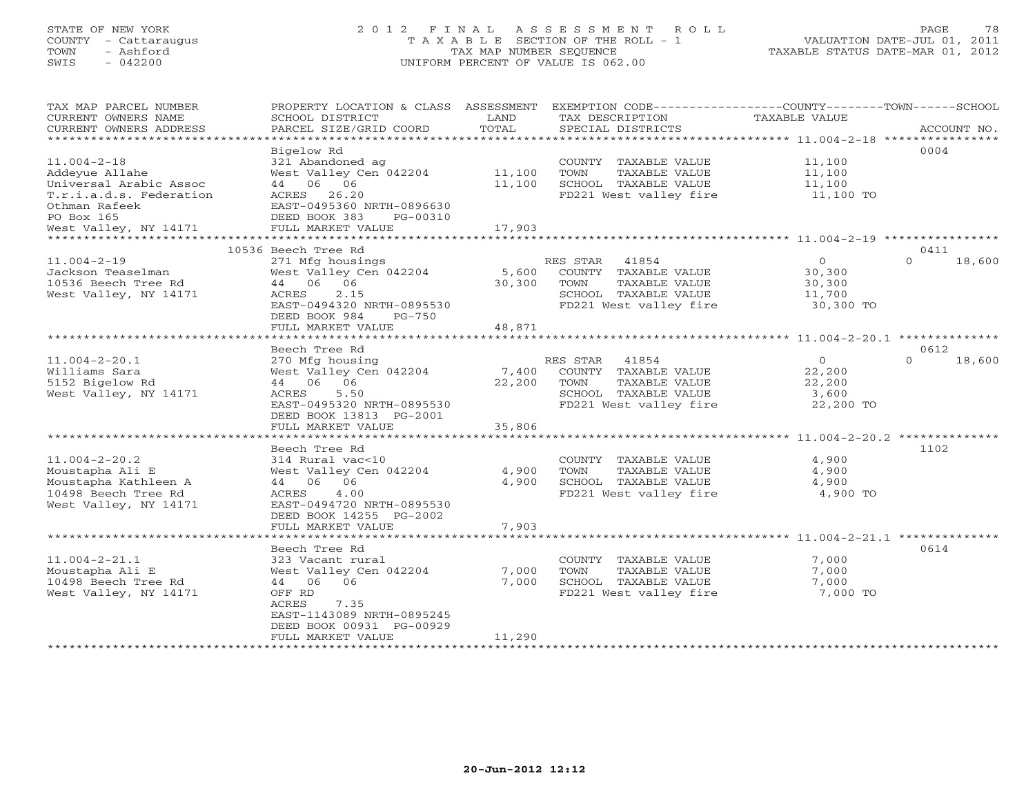#### STATE OF NEW YORK 2 0 1 2 F I N A L A S S E S S M E N T R O L L PAGE 78COUNTY - Cattaraugus T A X A B L E SECTION OF THE ROLL - 1 VALUATION DATE-JUL 01, 2011 TOWN - Ashford **TAX MAP NUMBER SEQUENCE** TAX TAXABLE STATUS DATE-MAR 01, 2012<br>TRIS - 042200 SWIS - 042200 UNIFORM PERCENT OF VALUE IS 062.00

| TAX MAP PARCEL NUMBER<br>CURRENT OWNERS NAME<br>CURRENT OWNERS ADDRESS<br>******************* | PROPERTY LOCATION & CLASS<br>SCHOOL DISTRICT<br>PARCEL SIZE/GRID COORD | ASSESSMENT<br>LAND<br>TOTAL | EXEMPTION CODE-----------------COUNTY-------TOWN------SCHOOL<br>TAX DESCRIPTION<br>SPECIAL DISTRICTS | <b>TAXABLE VALUE</b>                                        | ACCOUNT NO.        |
|-----------------------------------------------------------------------------------------------|------------------------------------------------------------------------|-----------------------------|------------------------------------------------------------------------------------------------------|-------------------------------------------------------------|--------------------|
|                                                                                               |                                                                        |                             |                                                                                                      |                                                             |                    |
|                                                                                               | Bigelow Rd                                                             |                             |                                                                                                      |                                                             | 0004               |
| $11.004 - 2 - 18$                                                                             | 321 Abandoned ag                                                       |                             | COUNTY TAXABLE VALUE                                                                                 | 11,100                                                      |                    |
| Addeyue Allahe                                                                                | West Valley Cen 042204                                                 | 11,100                      | TOWN<br>TAXABLE VALUE                                                                                | 11,100                                                      |                    |
| Universal Arabic Assoc                                                                        | 44 06 06                                                               | 11,100                      | SCHOOL TAXABLE VALUE                                                                                 | 11,100                                                      |                    |
| T.r.i.a.d.s. Federation                                                                       | ACRES<br>26.20                                                         |                             | FD221 West valley fire                                                                               | 11,100 TO                                                   |                    |
| Othman Rafeek                                                                                 | EAST-0495360 NRTH-0896630                                              |                             |                                                                                                      |                                                             |                    |
| PO Box 165                                                                                    | DEED BOOK 383<br>PG-00310                                              |                             |                                                                                                      |                                                             |                    |
| West Valley, NY 14171                                                                         | FULL MARKET VALUE                                                      | 17,903                      |                                                                                                      |                                                             |                    |
| ******************                                                                            | ************************                                               | **********                  |                                                                                                      | ************************ 11.004-2-19 *****************      |                    |
|                                                                                               | 10536 Beech Tree Rd                                                    |                             |                                                                                                      |                                                             | 0411               |
| $11.004 - 2 - 19$                                                                             | 271 Mfg housings                                                       |                             | RES STAR<br>41854                                                                                    | $\mathbf{O}$                                                | $\Omega$<br>18,600 |
| Jackson Teaselman                                                                             | West Valley Cen 042204                                                 | 5,600                       | COUNTY TAXABLE VALUE                                                                                 | 30,300                                                      |                    |
| 10536 Beech Tree Rd                                                                           | 44 06 06                                                               | 30,300                      | TAXABLE VALUE<br>TOWN                                                                                | 30,300                                                      |                    |
| West Valley, NY 14171                                                                         | 2.15<br>ACRES                                                          |                             | SCHOOL TAXABLE VALUE                                                                                 | 11,700                                                      |                    |
|                                                                                               | EAST-0494320 NRTH-0895530                                              |                             | FD221 West valley fire                                                                               | 30,300 TO                                                   |                    |
|                                                                                               | DEED BOOK 984<br>$PG-750$                                              |                             |                                                                                                      |                                                             |                    |
|                                                                                               | FULL MARKET VALUE                                                      | 48,871                      |                                                                                                      |                                                             |                    |
|                                                                                               |                                                                        |                             |                                                                                                      | ****************************** 11.004-2-20.1 ************** |                    |
|                                                                                               | Beech Tree Rd                                                          |                             |                                                                                                      |                                                             | 0612               |
| $11.004 - 2 - 20.1$                                                                           | 270 Mfg housing                                                        |                             | RES STAR<br>41854                                                                                    | $\circ$                                                     | $\Omega$<br>18,600 |
| Williams Sara                                                                                 | West Valley Cen 042204                                                 | 7,400                       | COUNTY TAXABLE VALUE                                                                                 | 22,200                                                      |                    |
| 5152 Bigelow Rd                                                                               | 44 06 06                                                               | 22,200                      | TOWN<br>TAXABLE VALUE                                                                                | 22,200                                                      |                    |
| West Valley, NY 14171                                                                         | 5.50<br>ACRES                                                          |                             | SCHOOL TAXABLE VALUE                                                                                 | 3,600                                                       |                    |
|                                                                                               | EAST-0495320 NRTH-0895530                                              |                             | FD221 West valley fire                                                                               | 22,200 TO                                                   |                    |
|                                                                                               | DEED BOOK 13813 PG-2001                                                |                             |                                                                                                      |                                                             |                    |
|                                                                                               | FULL MARKET VALUE                                                      | 35,806                      |                                                                                                      |                                                             |                    |
|                                                                                               |                                                                        |                             |                                                                                                      |                                                             |                    |
|                                                                                               | Beech Tree Rd                                                          |                             |                                                                                                      |                                                             | 1102               |
| $11.004 - 2 - 20.2$                                                                           | 314 Rural vac<10                                                       |                             | COUNTY TAXABLE VALUE                                                                                 | 4,900                                                       |                    |
| Moustapha Ali E                                                                               | West Valley Cen 042204                                                 | 4,900                       | TOWN<br>TAXABLE VALUE                                                                                | 4,900                                                       |                    |
| Moustapha Kathleen A                                                                          | 44 06<br>06                                                            | 4,900                       | SCHOOL TAXABLE VALUE                                                                                 | 4,900                                                       |                    |
| 10498 Beech Tree Rd                                                                           | ACRES<br>4.00                                                          |                             | FD221 West valley fire                                                                               | 4,900 TO                                                    |                    |
|                                                                                               |                                                                        |                             |                                                                                                      |                                                             |                    |
| West Valley, NY 14171                                                                         | EAST-0494720 NRTH-0895530                                              |                             |                                                                                                      |                                                             |                    |
|                                                                                               | DEED BOOK 14255 PG-2002                                                |                             |                                                                                                      |                                                             |                    |
|                                                                                               | FULL MARKET VALUE                                                      | 7,903                       |                                                                                                      |                                                             |                    |
|                                                                                               |                                                                        |                             |                                                                                                      |                                                             |                    |
|                                                                                               | Beech Tree Rd                                                          |                             |                                                                                                      |                                                             | 0614               |
| $11.004 - 2 - 21.1$                                                                           | 323 Vacant rural                                                       |                             | COUNTY TAXABLE VALUE                                                                                 | 7,000                                                       |                    |
| Moustapha Ali E                                                                               | West Valley Cen 042204                                                 | 7,000                       | TOWN<br><b>TAXABLE VALUE</b>                                                                         | 7,000                                                       |                    |
| 10498 Beech Tree Rd                                                                           | 44 06<br>06                                                            | 7,000                       | SCHOOL TAXABLE VALUE                                                                                 | 7,000                                                       |                    |
| West Valley, NY 14171                                                                         | OFF RD                                                                 |                             | FD221 West valley fire                                                                               | 7,000 TO                                                    |                    |
|                                                                                               | ACRES<br>7.35                                                          |                             |                                                                                                      |                                                             |                    |
|                                                                                               | EAST-1143089 NRTH-0895245                                              |                             |                                                                                                      |                                                             |                    |
|                                                                                               | DEED BOOK 00931 PG-00929                                               |                             |                                                                                                      |                                                             |                    |
|                                                                                               | FULL MARKET VALUE                                                      | 11,290                      |                                                                                                      |                                                             |                    |
|                                                                                               |                                                                        |                             |                                                                                                      |                                                             |                    |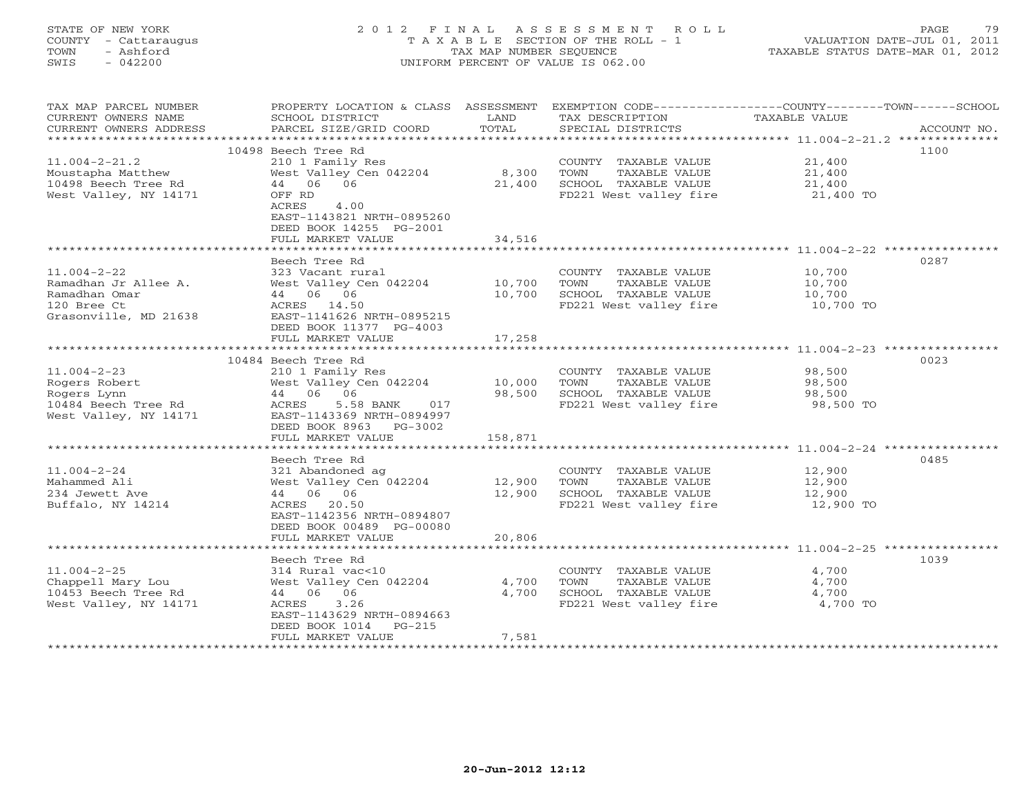# STATE OF NEW YORK 2 0 1 2 F I N A L A S S E S S M E N T R O L L PAGE 79 COUNTY - Cattaraugus T A X A B L E SECTION OF THE ROLL - 1 VALUATION DATE-JUL 01, 2011 TOWN - Ashford TAX MAP NUMBER SEQUENCE TAXABLE STATUS DATE-MAR 01, 2012 SWIS - 042200 UNIFORM PERCENT OF VALUE IS 062.00UNIFORM PERCENT OF VALUE IS 062.00

| TAX MAP PARCEL NUMBER<br>CURRENT OWNERS NAME      | PROPERTY LOCATION & CLASS ASSESSMENT<br>SCHOOL DISTRICT<br>PARCEL SIZE/GRID COORD | LAND<br>TOTAL | TAX DESCRIPTION                                | EXEMPTION CODE-----------------COUNTY-------TOWN------SCHOOL<br>TAXABLE VALUE<br>ACCOUNT NO. |  |
|---------------------------------------------------|-----------------------------------------------------------------------------------|---------------|------------------------------------------------|----------------------------------------------------------------------------------------------|--|
| CURRENT OWNERS ADDRESS<br>*********************** |                                                                                   |               | SPECIAL DISTRICTS                              |                                                                                              |  |
|                                                   | 10498 Beech Tree Rd                                                               |               |                                                | 1100                                                                                         |  |
| $11.004 - 2 - 21.2$                               | 210 1 Family Res                                                                  |               | COUNTY TAXABLE VALUE                           | 21,400                                                                                       |  |
| Moustapha Matthew                                 | West Valley Cen 042204                                                            | 8,300         | TOWN<br>TAXABLE VALUE                          | 21,400                                                                                       |  |
| 10498 Beech Tree Rd                               | 44 06 06                                                                          | 21,400        | SCHOOL TAXABLE VALUE                           | 21,400                                                                                       |  |
| West Valley, NY 14171                             | OFF RD                                                                            |               | FD221 West valley fire 21,400 TO               |                                                                                              |  |
|                                                   | ACRES<br>4.00                                                                     |               |                                                |                                                                                              |  |
|                                                   | EAST-1143821 NRTH-0895260                                                         |               |                                                |                                                                                              |  |
|                                                   | DEED BOOK 14255 PG-2001                                                           |               |                                                |                                                                                              |  |
|                                                   | FULL MARKET VALUE                                                                 | 34,516        |                                                |                                                                                              |  |
|                                                   | Beech Tree Rd                                                                     |               |                                                | 0287                                                                                         |  |
| $11.004 - 2 - 22$                                 | 323 Vacant rural                                                                  |               | COUNTY TAXABLE VALUE                           | 10,700                                                                                       |  |
| Ramadhan Jr Allee A.                              | West Valley Cen 042204                                                            | 10,700        | TAXABLE VALUE<br>TOWN                          | 10,700                                                                                       |  |
| Ramadhan Omar                                     | 44 06 06                                                                          | 10,700        | SCHOOL TAXABLE VALUE                           | 10,700                                                                                       |  |
| 120 Bree Ct                                       | ACRES 14.50                                                                       |               | FD221 West valley fire                         | 10,700 TO                                                                                    |  |
| Grasonville, MD 21638                             | EAST-1141626 NRTH-0895215                                                         |               |                                                |                                                                                              |  |
|                                                   | DEED BOOK 11377 PG-4003                                                           |               |                                                |                                                                                              |  |
|                                                   | FULL MARKET VALUE                                                                 | 17,258        |                                                |                                                                                              |  |
|                                                   |                                                                                   |               |                                                |                                                                                              |  |
|                                                   | 10484 Beech Tree Rd                                                               |               |                                                | 0023                                                                                         |  |
| $11.004 - 2 - 23$                                 | 210 1 Family Res                                                                  |               | COUNTY TAXABLE VALUE                           | 98,500                                                                                       |  |
| Rogers Robert                                     | West Valley Cen 042204                                                            | 10,000        | TAXABLE VALUE<br>TOWN                          | 98,500                                                                                       |  |
| Rogers Lynn<br>10484 Beech Tree Rd                | 44 06 06<br>5.58 BANK<br>ACRES<br>017                                             | 98,500        | SCHOOL TAXABLE VALUE<br>FD221 West valley fire | 98,500<br>98,500 TO                                                                          |  |
| West Valley, NY 14171                             | EAST-1143369 NRTH-0894997                                                         |               |                                                |                                                                                              |  |
|                                                   | DEED BOOK 8963 PG-3002                                                            |               |                                                |                                                                                              |  |
|                                                   | FULL MARKET VALUE                                                                 | 158,871       |                                                |                                                                                              |  |
|                                                   |                                                                                   |               |                                                |                                                                                              |  |
|                                                   | Beech Tree Rd                                                                     |               |                                                | 0485                                                                                         |  |
| $11.004 - 2 - 24$                                 | 321 Abandoned ag                                                                  |               | COUNTY TAXABLE VALUE                           | 12,900                                                                                       |  |
| Mahammed Ali                                      | West Valley Cen 042204                                                            | 12,900        | TAXABLE VALUE<br>TOWN                          | 12,900                                                                                       |  |
| 234 Jewett Ave                                    | 44 06 06                                                                          | 12,900        | SCHOOL TAXABLE VALUE                           | 12,900                                                                                       |  |
| Buffalo, NY 14214                                 | ACRES 20.50                                                                       |               | FD221 West valley fire                         | 12,900 TO                                                                                    |  |
|                                                   | EAST-1142356 NRTH-0894807                                                         |               |                                                |                                                                                              |  |
|                                                   | DEED BOOK 00489 PG-00080                                                          |               |                                                |                                                                                              |  |
|                                                   | FULL MARKET VALUE                                                                 | 20,806        |                                                |                                                                                              |  |
|                                                   | Beech Tree Rd                                                                     |               |                                                | 1039                                                                                         |  |
| $11.004 - 2 - 25$                                 | 314 Rural vac<10                                                                  |               | COUNTY TAXABLE VALUE                           | 4,700                                                                                        |  |
| Chappell Mary Lou                                 | West Valley Cen 042204                                                            | 4,700         | TAXABLE VALUE<br>TOWN                          | 4,700                                                                                        |  |
| 10453 Beech Tree Rd                               | 44 06 06                                                                          | 4,700         | SCHOOL TAXABLE VALUE                           | 4,700                                                                                        |  |
| West Valley, NY 14171                             | 3.26<br>ACRES                                                                     |               | FD221 West valley fire                         | 4,700 TO                                                                                     |  |
|                                                   | EAST-1143629 NRTH-0894663                                                         |               |                                                |                                                                                              |  |
|                                                   | DEED BOOK 1014<br>PG-215                                                          |               |                                                |                                                                                              |  |
|                                                   | FULL MARKET VALUE                                                                 | 7,581         |                                                |                                                                                              |  |
|                                                   | *************************                                                         |               |                                                |                                                                                              |  |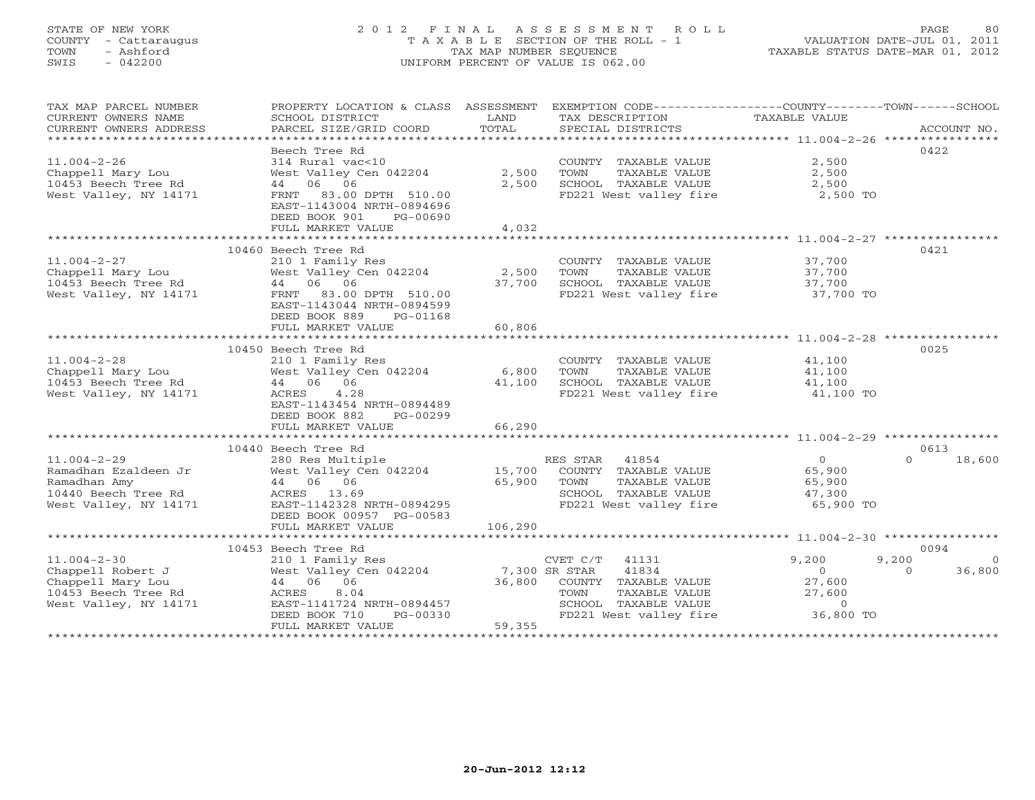# STATE OF NEW YORK 2 0 1 2 F I N A L A S S E S S M E N T R O L L PAGE 80 COUNTY - Cattaraugus T A X A B L E SECTION OF THE ROLL - 1 VALUATION DATE-JUL 01, 2011 TOWN - Ashford TAX MAP NUMBER SEQUENCE TAXABLE STATUS DATE-MAR 01, 2012 SWIS - 042200 UNIFORM PERCENT OF VALUE IS 062.00UNIFORM PERCENT OF VALUE IS 062.00

| TAX MAP PARCEL NUMBER<br>CURRENT OWNERS NAME<br>CURRENT OWNERS ADDRESS                                    | PROPERTY LOCATION & CLASS ASSESSMENT<br>SCHOOL DISTRICT<br>PARCEL SIZE/GRID COORD                                                                                                | LAND<br>TOTAL           | EXEMPTION CODE-----------------COUNTY-------TOWN------SCHOOL<br>TAX DESCRIPTION TAXABLE VALUE<br>SPECIAL DISTRICTS                                         |                                                       | ACCOUNT NO.               |
|-----------------------------------------------------------------------------------------------------------|----------------------------------------------------------------------------------------------------------------------------------------------------------------------------------|-------------------------|------------------------------------------------------------------------------------------------------------------------------------------------------------|-------------------------------------------------------|---------------------------|
| $11.004 - 2 - 26$<br>Chappell Mary Lou<br>10453 Beech Tree Rd<br>West Valley, NY 14171                    | Beech Tree Rd<br>314 Rural vac<10<br>West Valley Cen 042204<br>44 06 06<br>FRNT 83.00 DPTH 510.00<br>EAST-1143004 NRTH-0894696<br>DEED BOOK 901<br>PG-00690<br>FULL MARKET VALUE | 2,500<br>2,500<br>4,032 | COUNTY TAXABLE VALUE<br>TOWN<br>TAXABLE VALUE<br>SCHOOL TAXABLE VALUE<br>FD221 West valley fire                                                            | 2,500<br>2,500<br>2,500<br>2,500 TO                   | 0422                      |
|                                                                                                           | 10460 Beech Tree Rd                                                                                                                                                              |                         |                                                                                                                                                            |                                                       | 0421                      |
| $11.004 - 2 - 27$<br>Chappell Mary Lou<br>10453 Beech Tree Rd<br>West Valley, NY 14171                    | 210 1 Family Res<br>West Valley Cen 042204<br>44 06 06<br>FRNT 83.00 DPTH 510.00<br>EAST-1143044 NRTH-0894599<br>DEED BOOK 889<br>PG-01168                                       | 2,500<br>37,700         | COUNTY TAXABLE VALUE<br>TOWN<br>TAXABLE VALUE<br>SCHOOL TAXABLE VALUE<br>FD221 West valley fire 37,700 TO                                                  | 37,700<br>37,700<br>37,700                            |                           |
|                                                                                                           | FULL MARKET VALUE                                                                                                                                                                | 60,806                  |                                                                                                                                                            |                                                       |                           |
| $11.004 - 2 - 28$<br>Agost Mary Lou<br>10453 Beech Tree Rd<br>West Valle<br>West Valley, NY 14171         | 10450 Beech Tree Rd<br>210 1 Family Res<br>West Valley Cen 042204<br>44 06 06<br>4.28<br>ACRES<br>EAST-1143454 NRTH-0894489<br>DEED BOOK 882<br>PG-00299                         | 6,800<br>41,100         | COUNTY TAXABLE VALUE<br>TOWN<br>TAXABLE VALUE<br>SCHOOL TAXABLE VALUE<br>FD221 West valley fire 41,100 TO                                                  | 41,100<br>41,100<br>41,100                            | 0025                      |
|                                                                                                           | FULL MARKET VALUE                                                                                                                                                                | 66,290                  |                                                                                                                                                            |                                                       |                           |
| $11.004 - 2 - 29$<br>Ramadhan Ezaldeen Jr<br>Ramadhan Amy<br>10440 Beech Tree Rd<br>West Valley, NY 14171 | 10440 Beech Tree Rd<br>280 Res Multiple<br>West Valley Cen 042204 15,700<br>44 06 06<br>ACRES 13.69<br>EAST-1142328 NRTH-0894295<br>DEED BOOK 00957 PG-00583                     | 65,900                  | RES STAR 41854<br>COUNTY TAXABLE VALUE<br>TAXABLE VALUE<br>TOWN<br>SCHOOL TAXABLE VALUE<br>SCHOOL TAXABLE VALUE 47,300<br>FD221 West valley fire 65,900 TO | $0 \qquad \qquad$<br>65,900<br>65,900<br>47,300       | 0613<br>18,600<br>$\cap$  |
|                                                                                                           | FULL MARKET VALUE                                                                                                                                                                | 106,290                 |                                                                                                                                                            |                                                       |                           |
| $11.004 - 2 - 30$                                                                                         | 10453 Beech Tree Rd<br>210 1 Family Res                                                                                                                                          |                         | CVET C/T 41131                                                                                                                                             | 9,200                                                 | 0094<br>9,200<br>$\Omega$ |
| Chappell Robert J<br>Chappell Mary Lou<br>10453 Beech Tree Rd<br>West Valley, NY 14171                    | West Valley Cen 042204<br>44 06 06<br>8.04<br>ACRES<br>EAST-1141724 NRTH-0894457<br>PG-00330<br>DEED BOOK 710                                                                    | 7,300 SR STAR<br>36,800 | 41834<br>COUNTY TAXABLE VALUE<br>TOWN<br>TAXABLE VALUE<br>SCHOOL TAXABLE VALUE<br>FD221 West valley fire                                                   | $\Omega$<br>27,600<br>27,600<br>$\Omega$<br>36,800 TO | 36,800<br>$\Omega$        |
|                                                                                                           | FULL MARKET VALUE                                                                                                                                                                | 59,355                  |                                                                                                                                                            |                                                       |                           |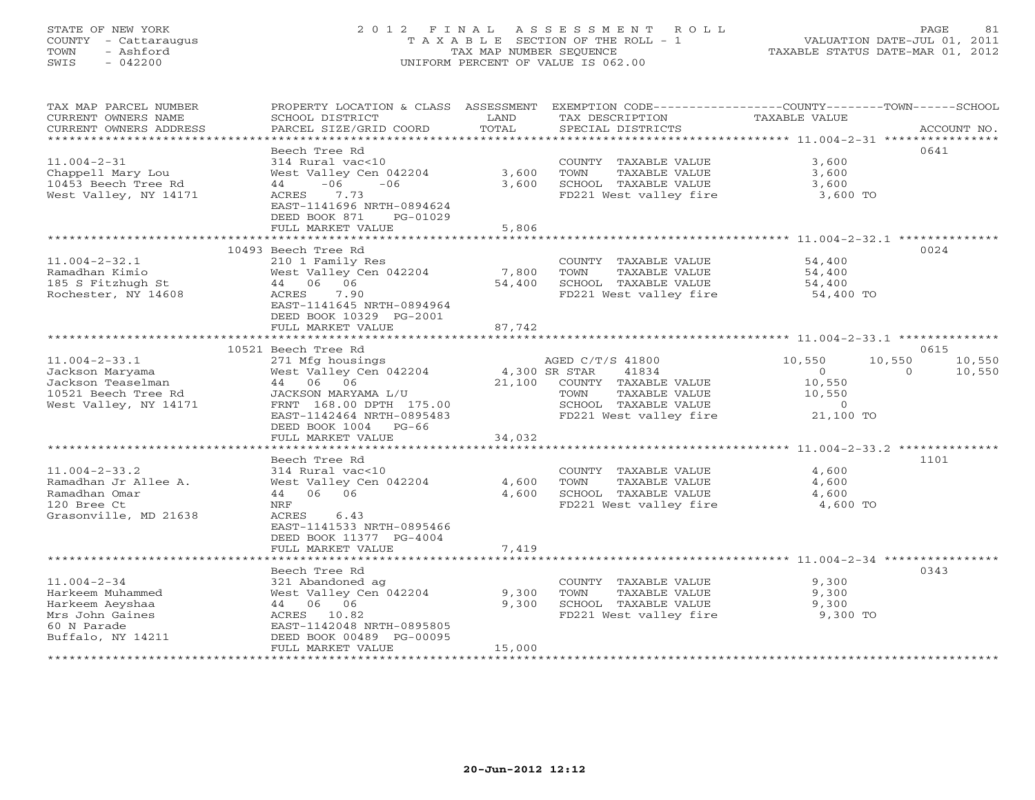# STATE OF NEW YORK 2 0 1 2 F I N A L A S S E S S M E N T R O L L PAGE 81 COUNTY - Cattaraugus T A X A B L E SECTION OF THE ROLL - 1 VALUATION DATE-JUL 01, 2011 TOWN - Ashford TAX MAP NUMBER SEQUENCE TAXABLE STATUS DATE-MAR 01, 2012 SWIS - 042200 UNIFORM PERCENT OF VALUE IS 062.00

| TAX MAP PARCEL NUMBER<br>CURRENT OWNERS NAME<br>CURRENT OWNERS ADDRESS | PROPERTY LOCATION & CLASS ASSESSMENT EXEMPTION CODE----------------COUNTY-------TOWN------SCHOOL<br>SCHOOL DISTRICT<br>PARCEL SIZE/GRID COORD | LAND<br>TOTAL | TAX DESCRIPTION<br>SPECIAL DISTRICTS | TAXABLE VALUE  | ACCOUNT NO.        |
|------------------------------------------------------------------------|-----------------------------------------------------------------------------------------------------------------------------------------------|---------------|--------------------------------------|----------------|--------------------|
|                                                                        |                                                                                                                                               |               |                                      |                |                    |
|                                                                        | Beech Tree Rd                                                                                                                                 |               |                                      |                | 0641               |
| $11.004 - 2 - 31$                                                      | 314 Rural vac<10                                                                                                                              |               | COUNTY TAXABLE VALUE                 | 3,600          |                    |
| Chappell Mary Lou                                                      | West Valley Cen 042204                                                                                                                        | 3,600         | TAXABLE VALUE<br>TOWN                | 3,600          |                    |
| 10453 Beech Tree Rd                                                    | $-06$<br>44<br>$-06$                                                                                                                          | 3,600         | SCHOOL TAXABLE VALUE                 | 3,600          |                    |
| West Valley, NY 14171                                                  | ACRES<br>7.73<br>EAST-1141696 NRTH-0894624<br>DEED BOOK 871<br>PG-01029                                                                       |               | FD221 West valley fire               | 3,600 TO       |                    |
|                                                                        | FULL MARKET VALUE                                                                                                                             | 5,806         |                                      |                |                    |
|                                                                        |                                                                                                                                               |               |                                      |                |                    |
|                                                                        | 10493 Beech Tree Rd                                                                                                                           |               |                                      |                | 0024               |
| $11.004 - 2 - 32.1$                                                    | 210 1 Family Res                                                                                                                              |               | COUNTY TAXABLE VALUE                 | 54,400         |                    |
| Ramadhan Kimio                                                         | West Valley Cen 042204                                                                                                                        | 7,800         | TOWN<br>TAXABLE VALUE                | 54,400         |                    |
| 185 S Fitzhugh St                                                      | 44 06 06                                                                                                                                      | 54,400        | SCHOOL TAXABLE VALUE                 | 54,400         |                    |
| Rochester, NY 14608                                                    | 7.90<br>ACRES<br>EAST-1141645 NRTH-0894964                                                                                                    |               | FD221 West valley fire 54,400 TO     |                |                    |
|                                                                        | DEED BOOK 10329 PG-2001                                                                                                                       | 87,742        |                                      |                |                    |
|                                                                        | FULL MARKET VALUE                                                                                                                             |               |                                      |                |                    |
|                                                                        | 10521 Beech Tree Rd                                                                                                                           |               |                                      |                | 0615               |
| $11.004 - 2 - 33.1$                                                    | 271 Mfg housings                                                                                                                              |               | AGED C/T/S 41800                     | 10,550         | 10,550<br>10,550   |
| Jackson Maryama                                                        | West Valley Cen 042204                                                                                                                        | 4,300 SR STAR | 41834                                | $\Omega$       | 10,550<br>$\Omega$ |
| Jackson Teaselman                                                      | 44 06 06                                                                                                                                      |               | 21,100 COUNTY TAXABLE VALUE          | 10,550         |                    |
| 10521 Beech Tree Rd                                                    | JACKSON MARYAMA L/U                                                                                                                           |               | <b>TOWN</b><br>TAXABLE VALUE         | 10,550         |                    |
| West Valley, NY 14171                                                  | FRNT 168.00 DPTH 175.00                                                                                                                       |               | SCHOOL TAXABLE VALUE                 | $\overline{O}$ |                    |
|                                                                        | EAST-1142464 NRTH-0895483                                                                                                                     |               | FD221 West valley fire               | 21,100 TO      |                    |
|                                                                        | DEED BOOK 1004 PG-66                                                                                                                          |               |                                      |                |                    |
|                                                                        | FULL MARKET VALUE                                                                                                                             | 34,032        |                                      |                |                    |
|                                                                        |                                                                                                                                               |               |                                      |                |                    |
|                                                                        | Beech Tree Rd                                                                                                                                 |               |                                      |                | 1101               |
| $11.004 - 2 - 33.2$                                                    | 314 Rural vac<10                                                                                                                              |               | COUNTY TAXABLE VALUE                 | 4,600          |                    |
| Ramadhan Jr Allee A.                                                   | West Valley Cen 042204                                                                                                                        | 4,600         | TOWN<br>TAXABLE VALUE                | 4,600          |                    |
| Ramadhan Omar                                                          | 44 06 06                                                                                                                                      | 4,600         | SCHOOL TAXABLE VALUE                 | 4,600          |                    |
| 120 Bree Ct                                                            | NRF                                                                                                                                           |               | FD221 West valley fire               | 4,600 TO       |                    |
| Grasonville, MD 21638                                                  | ACRES<br>6.43<br>EAST-1141533 NRTH-0895466                                                                                                    |               |                                      |                |                    |
|                                                                        | DEED BOOK 11377 PG-4004                                                                                                                       |               |                                      |                |                    |
|                                                                        | FULL MARKET VALUE                                                                                                                             | 7,419         |                                      |                |                    |
|                                                                        |                                                                                                                                               |               |                                      |                |                    |
|                                                                        | Beech Tree Rd                                                                                                                                 |               |                                      |                | 0343               |
| $11.004 - 2 - 34$                                                      | 321 Abandoned ag                                                                                                                              |               | COUNTY TAXABLE VALUE                 | 9,300          |                    |
| Harkeem Muhammed                                                       | West Valley Cen 042204                                                                                                                        | 9,300         | TAXABLE VALUE<br>TOWN                | 9,300          |                    |
| Harkeem Aeyshaa                                                        | 44 06 06                                                                                                                                      | 9,300         | SCHOOL TAXABLE VALUE                 | 9,300          |                    |
| Mrs John Gaines                                                        | ACRES 10.82                                                                                                                                   |               | FD221 West valley fire               | 9,300 TO       |                    |
| 60 N Parade                                                            | EAST-1142048 NRTH-0895805                                                                                                                     |               |                                      |                |                    |
| Buffalo, NY 14211                                                      | DEED BOOK 00489 PG-00095                                                                                                                      |               |                                      |                |                    |
|                                                                        | FULL MARKET VALUE                                                                                                                             | 15,000        |                                      |                |                    |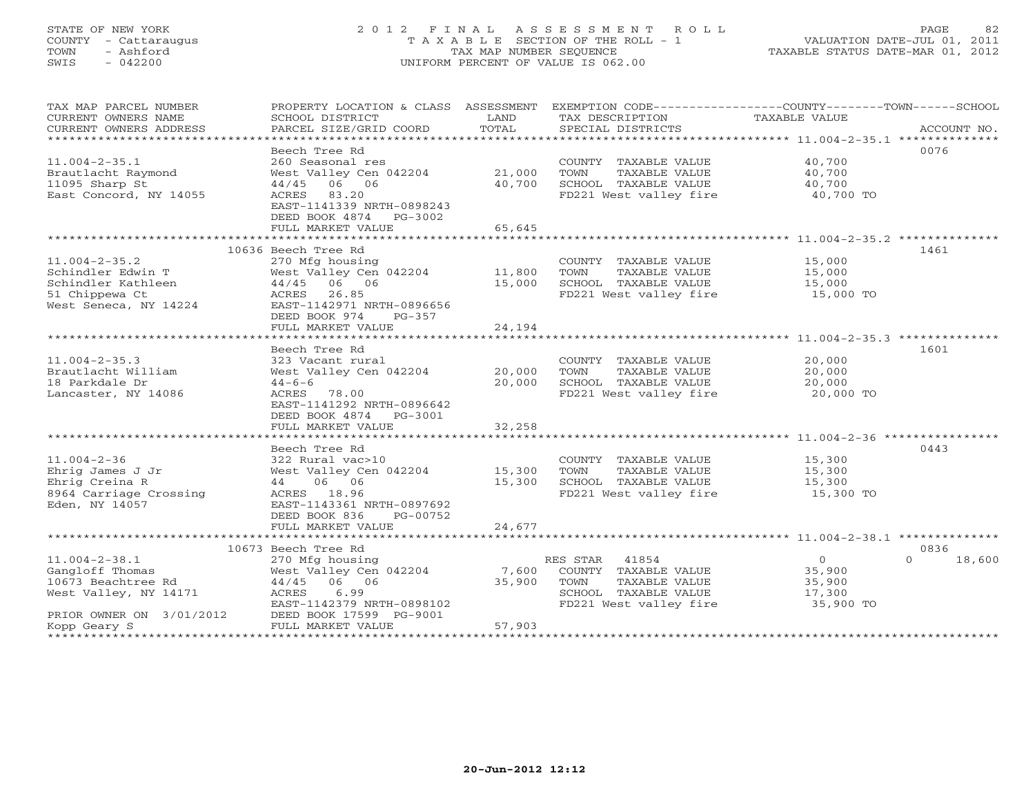# STATE OF NEW YORK 2 0 1 2 F I N A L A S S E S S M E N T R O L L PAGE 82 COUNTY - Cattaraugus T A X A B L E SECTION OF THE ROLL - 1 VALUATION DATE-JUL 01, 2011 TOWN - Ashford TAX MAP NUMBER SEQUENCE TAXABLE STATUS DATE-MAR 01, 2012 SWIS - 042200 UNIFORM PERCENT OF VALUE IS 062.00

| TAX MAP PARCEL NUMBER<br>CURRENT OWNERS NAME<br>CURRENT OWNERS ADDRESS                | PROPERTY LOCATION & CLASS ASSESSMENT<br>SCHOOL DISTRICT<br>PARCEL SIZE/GRID COORD         | LAND<br>TOTAL    | TAX DESCRIPTION<br>SPECIAL DISTRICTS                                                            | EXEMPTION CODE-----------------COUNTY-------TOWN------SCHOOL<br>TAXABLE VALUE<br>ACCOUNT NO. |
|---------------------------------------------------------------------------------------|-------------------------------------------------------------------------------------------|------------------|-------------------------------------------------------------------------------------------------|----------------------------------------------------------------------------------------------|
|                                                                                       |                                                                                           |                  |                                                                                                 |                                                                                              |
| $11.004 - 2 - 35.1$<br>Brautlacht Raymond<br>11095 Sharp St<br>East Concord, NY 14055 | Beech Tree Rd<br>260 Seasonal res<br>West Valley Cen 042204<br>44/45 06 06<br>ACRES 83.20 | 21,000<br>40,700 | COUNTY TAXABLE VALUE<br>TOWN<br>TAXABLE VALUE<br>SCHOOL TAXABLE VALUE<br>FD221 West valley fire | 0076<br>40,700<br>40,700<br>40,700<br>40,700 TO                                              |
|                                                                                       | EAST-1141339 NRTH-0898243<br>DEED BOOK 4874<br>PG-3002<br>FULL MARKET VALUE               | 65,645           |                                                                                                 |                                                                                              |
|                                                                                       |                                                                                           |                  |                                                                                                 |                                                                                              |
|                                                                                       | 10636 Beech Tree Rd                                                                       |                  |                                                                                                 | 1461                                                                                         |
| $11.004 - 2 - 35.2$                                                                   | 270 Mfg housing                                                                           |                  | COUNTY TAXABLE VALUE                                                                            | 15,000                                                                                       |
| Schindler Edwin T                                                                     | West Valley Cen 042204                                                                    | 11,800           | TOWN<br>TAXABLE VALUE                                                                           | 15,000                                                                                       |
| Schindler Kathleen                                                                    | 44/45 06 06                                                                               | 15,000           | SCHOOL TAXABLE VALUE                                                                            | 15,000                                                                                       |
| 51 Chippewa Ct<br>West Seneca, NY 14224                                               | ACRES 26.85<br>EAST-1142971 NRTH-0896656<br>DEED BOOK 974<br>$PG-357$                     |                  | FD221 West valley fire                                                                          | 15,000 TO                                                                                    |
|                                                                                       | FULL MARKET VALUE                                                                         | 24,194           |                                                                                                 |                                                                                              |
|                                                                                       |                                                                                           |                  |                                                                                                 |                                                                                              |
|                                                                                       | Beech Tree Rd                                                                             |                  |                                                                                                 | 1601                                                                                         |
| $11.004 - 2 - 35.3$                                                                   | 323 Vacant rural                                                                          |                  | COUNTY TAXABLE VALUE                                                                            | 20,000                                                                                       |
| Brautlacht William<br>18 Parkdale Dr                                                  | West Valley Cen 042204                                                                    | 20,000<br>20,000 | TOWN<br>TAXABLE VALUE<br>SCHOOL TAXABLE VALUE                                                   | 20,000<br>20,000                                                                             |
| Lancaster, NY 14086                                                                   | $44 - 6 - 6$<br>ACRES 78.00                                                               |                  | FD221 West valley fire                                                                          | 20,000 TO                                                                                    |
|                                                                                       | EAST-1141292 NRTH-0896642                                                                 |                  |                                                                                                 |                                                                                              |
|                                                                                       | DEED BOOK 4874 PG-3001                                                                    | 32,258           |                                                                                                 |                                                                                              |
|                                                                                       | FULL MARKET VALUE                                                                         | **************   |                                                                                                 |                                                                                              |
|                                                                                       | Beech Tree Rd                                                                             |                  |                                                                                                 | 0443                                                                                         |
| $11.004 - 2 - 36$                                                                     | 322 Rural vac>10                                                                          |                  | COUNTY TAXABLE VALUE                                                                            | 15,300                                                                                       |
| Ehrig James J Jr                                                                      | West Valley Cen 042204                                                                    | 15,300           | TOWN<br>TAXABLE VALUE                                                                           | 15,300                                                                                       |
| Ehrig Creina R                                                                        | 06 06<br>44                                                                               | 15,300           | SCHOOL TAXABLE VALUE                                                                            | 15,300                                                                                       |
| 8964 Carriage Crossing                                                                | ACRES 18.96                                                                               |                  | FD221 West valley fire                                                                          | 15,300 TO                                                                                    |
| Eden, NY 14057                                                                        | EAST-1143361 NRTH-0897692<br>DEED BOOK 836<br>PG-00752                                    |                  |                                                                                                 |                                                                                              |
|                                                                                       | FULL MARKET VALUE                                                                         | 24,677           |                                                                                                 |                                                                                              |
|                                                                                       |                                                                                           |                  |                                                                                                 |                                                                                              |
|                                                                                       | 10673 Beech Tree Rd                                                                       |                  |                                                                                                 | 0836                                                                                         |
| $11.004 - 2 - 38.1$                                                                   | 270 Mfg housing                                                                           |                  | 41854<br>RES STAR                                                                               | $\circ$<br>$\Omega$<br>18,600                                                                |
| Gangloff Thomas                                                                       | West Valley Cen 042204                                                                    | 7,600            | COUNTY TAXABLE VALUE                                                                            | 35,900                                                                                       |
| 10673 Beachtree Rd                                                                    | 44/45 06 06                                                                               | 35,900           | TAXABLE VALUE<br>TOWN                                                                           | 35,900                                                                                       |
| West Valley, NY 14171                                                                 | 6.99<br>ACRES<br>EAST-1142379 NRTH-0898102                                                |                  | SCHOOL TAXABLE VALUE<br>FD221 West valley fire                                                  | 17,300<br>35,900 TO                                                                          |
| PRIOR OWNER ON 3/01/2012                                                              | DEED BOOK 17599 PG-9001                                                                   |                  |                                                                                                 |                                                                                              |
| Kopp Geary S                                                                          | FULL MARKET VALUE                                                                         | 57,903           |                                                                                                 |                                                                                              |
|                                                                                       |                                                                                           |                  |                                                                                                 |                                                                                              |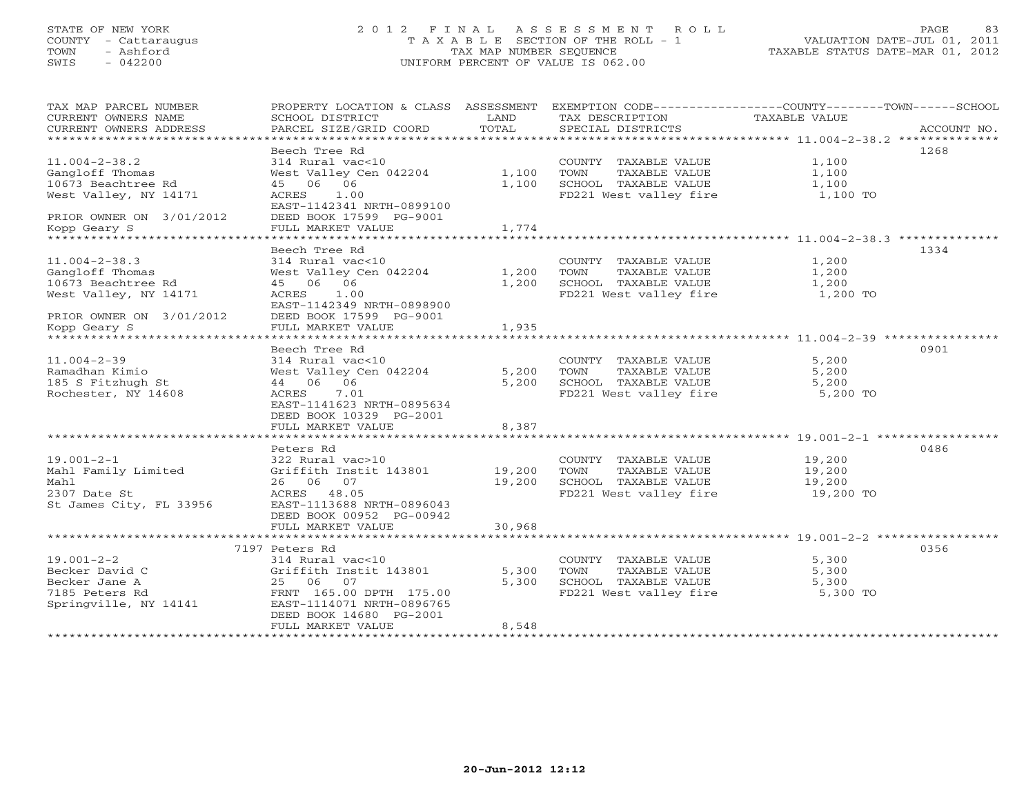# STATE OF NEW YORK 2 0 1 2 F I N A L A S S E S S M E N T R O L L PAGE 83 COUNTY - Cattaraugus T A X A B L E SECTION OF THE ROLL - 1 VALUATION DATE-JUL 01, 2011 TOWN - Ashford TAX MAP NUMBER SEQUENCE TAXABLE STATUS DATE-MAR 01, 2012 SWIS - 042200 UNIFORM PERCENT OF VALUE IS 062.00UNIFORM PERCENT OF VALUE IS 062.00

| TAX MAP PARCEL NUMBER<br>CURRENT OWNERS NAME<br>CURRENT OWNERS ADDRESS                                                            | SCHOOL DISTRICT<br>PARCEL SIZE/GRID COORD TOTAL                                                                                                                       | LAND                    | TAX DESCRIPTION TAXABLE VALUE<br>SPECIAL DISTRICTS                                              | PROPERTY LOCATION & CLASS ASSESSMENT EXEMPTION CODE---------------COUNTY-------TOWN------SCHOOL<br>ACCOUNT NO. |
|-----------------------------------------------------------------------------------------------------------------------------------|-----------------------------------------------------------------------------------------------------------------------------------------------------------------------|-------------------------|-------------------------------------------------------------------------------------------------|----------------------------------------------------------------------------------------------------------------|
| $11.004 - 2 - 38.2$<br>Gangloff Thomas<br>10673 Beachtree Rd<br>West Valley, NY 14171<br>PRIOR OWNER ON 3/01/2012<br>Kopp Geary S | Beech Tree Rd<br>314 Rural vac<10<br>West Valley Cen 042204<br>45 06 06<br>ACRES<br>1.00<br>EAST-1142341 NRTH-0899100<br>DEED BOOK 17599 PG-9001<br>FULL MARKET VALUE | 1,100<br>1,100<br>1,774 | COUNTY TAXABLE VALUE<br>TOWN<br>TAXABLE VALUE<br>SCHOOL TAXABLE VALUE<br>FD221 West valley fire | 1268<br>1,100<br>1,100<br>1,100<br>1,100 TO                                                                    |
|                                                                                                                                   | Beech Tree Rd                                                                                                                                                         |                         |                                                                                                 | 1334                                                                                                           |
| $11.004 - 2 - 38.3$<br>Gangloff Thomas<br>10673 Beachtree Rd<br>West Valley, NY 14171<br>PRIOR OWNER ON 3/01/2012                 | 314 Rural vac<10<br>West Valley Cen 042204<br>45 06 06<br>ACRES 1.00<br>EAST-1142349 NRTH-0898900<br>DEED BOOK 17599 PG-9001                                          | 1,200<br>1,200          | COUNTY TAXABLE VALUE<br>TOWN<br>TAXABLE VALUE<br>SCHOOL TAXABLE VALUE<br>FD221 West valley fire | 1,200<br>1,200<br>1,200<br>1,200 TO                                                                            |
| Kopp Geary S                                                                                                                      | FULL MARKET VALUE                                                                                                                                                     | 1,935                   |                                                                                                 |                                                                                                                |
| $11.004 - 2 - 39$<br>Ramadhan Kimio<br>185 S Fitzhugh St<br>Rochester, NY 14608                                                   | Beech Tree Rd<br>314 Rural vac<10<br>West Valley Cen 042204<br>44 06 06<br>ACRES<br>7.01<br>EAST-1141623 NRTH-0895634<br>DEED BOOK 10329 PG-2001                      | 5,200<br>5,200          | COUNTY TAXABLE VALUE<br>TOWN<br>TAXABLE VALUE<br>SCHOOL TAXABLE VALUE<br>FD221 West valley fire | 0901<br>5,200<br>5,200<br>5,200<br>5,200 TO                                                                    |
|                                                                                                                                   | FULL MARKET VALUE                                                                                                                                                     | 8,387                   |                                                                                                 |                                                                                                                |
| $19.001 - 2 - 1$<br>Mahl Family Limited<br>Mahl<br>2307 Date St<br>St James City, FL 33956                                        | Peters Rd<br>322 Rural vac>10<br>Griffith Instit 143801<br>26 06 07<br>ACRES 48.05<br>EAST-1113688 NRTH-0896043<br>DEED BOOK 00952 PG-00942                           | 19,200<br>19,200        | COUNTY TAXABLE VALUE<br>TOWN<br>TAXABLE VALUE<br>SCHOOL TAXABLE VALUE<br>FD221 West valley fire | 0486<br>19,200<br>19,200<br>19,200<br>19,200 TO                                                                |
|                                                                                                                                   | FULL MARKET VALUE                                                                                                                                                     | 30,968                  |                                                                                                 |                                                                                                                |
|                                                                                                                                   | 7197 Peters Rd                                                                                                                                                        |                         |                                                                                                 | 0356                                                                                                           |
| $19.001 - 2 - 2$<br>Becker David C<br>Becker Jane A<br>7185 Peters Rd<br>Springville, NY 14141                                    | 314 Rural vac<10<br>Griffith Instit 143801<br>25 06<br>07<br>FRNT 165.00 DPTH 175.00<br>EAST-1114071 NRTH-0896765<br>DEED BOOK 14680 PG-2001                          | 5,300<br>5,300          | COUNTY TAXABLE VALUE<br>TOWN<br>TAXABLE VALUE<br>SCHOOL TAXABLE VALUE<br>FD221 West valley fire | 5,300<br>5,300<br>5,300<br>5,300 TO                                                                            |
|                                                                                                                                   | FULL MARKET VALUE                                                                                                                                                     | 8,548                   |                                                                                                 |                                                                                                                |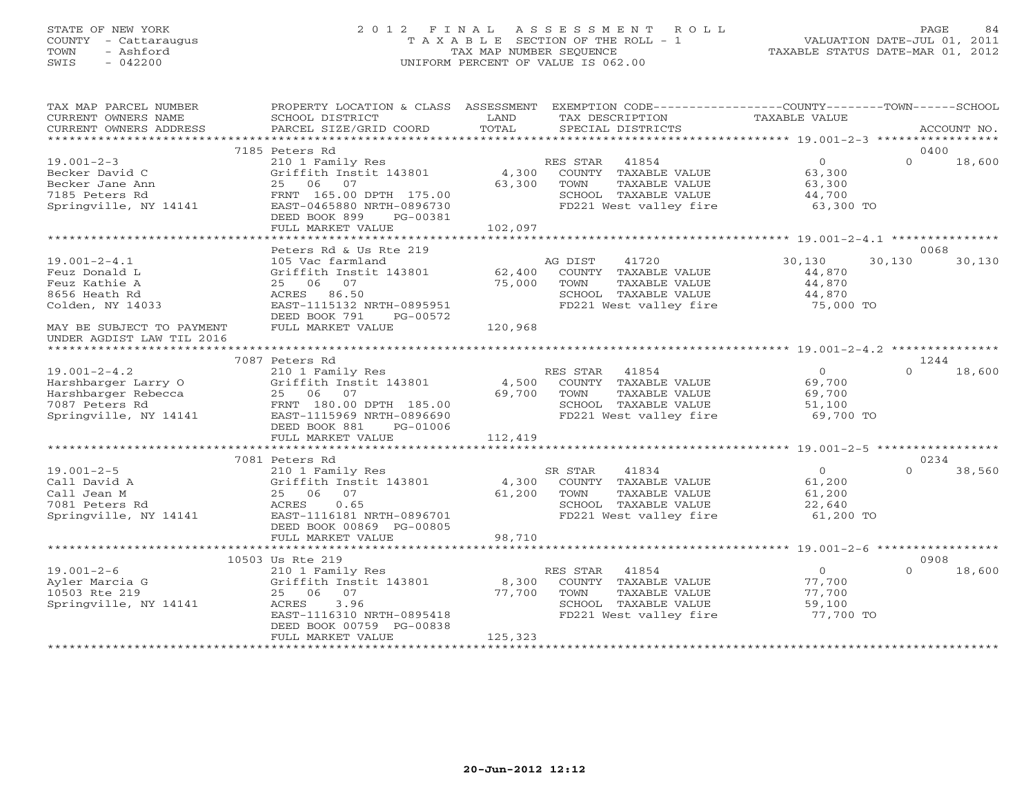# STATE OF NEW YORK 2 0 1 2 F I N A L A S S E S S M E N T R O L L PAGE 84 COUNTY - Cattaraugus T A X A B L E SECTION OF THE ROLL - 1 VALUATION DATE-JUL 01, 2011 TOWN - Ashford TAX MAP NUMBER SEQUENCE TAXABLE STATUS DATE-MAR 01, 2012 SWIS - 042200 UNIFORM PERCENT OF VALUE IS 062.00UNIFORM PERCENT OF VALUE IS 062.00

| TAX MAP PARCEL NUMBER     |                                                  |         | PROPERTY LOCATION & CLASS ASSESSMENT EXEMPTION CODE---------------COUNTY-------TOWN------SCHOOL |                       |                    |
|---------------------------|--------------------------------------------------|---------|-------------------------------------------------------------------------------------------------|-----------------------|--------------------|
| CURRENT OWNERS NAME       | SCHOOL DISTRICT                                  | LAND    | TAX DESCRIPTION                                                                                 | TAXABLE VALUE         |                    |
| CURRENT OWNERS ADDRESS    | PARCEL SIZE/GRID COORD                           | TOTAL   | SPECIAL DISTRICTS                                                                               |                       | ACCOUNT NO.        |
|                           |                                                  |         |                                                                                                 |                       |                    |
|                           | 7185 Peters Rd                                   |         |                                                                                                 |                       | 0400               |
| $19.001 - 2 - 3$          | 210 1 Family Res                                 |         | RES STAR 41854                                                                                  | $\Omega$              | $\Omega$<br>18,600 |
| Becker David C            | Griffith Instit $143801$ 4,300                   |         | COUNTY TAXABLE VALUE                                                                            | 63,300                |                    |
| Becker Jane Ann           | 25 06 07                                         | 63,300  | TOWN<br>TAXABLE VALUE                                                                           | 63,300                |                    |
| 7185 Peters Rd            | FRNT 165.00 DPTH 175.00                          |         | SCHOOL TAXABLE VALUE                                                                            | 44,700                |                    |
| Springville, NY 14141     | EAST-0465880 NRTH-0896730                        |         | FD221 West valley fire                                                                          | 63,300 TO             |                    |
|                           | DEED BOOK 899<br>PG-00381                        |         |                                                                                                 |                       |                    |
|                           | FULL MARKET VALUE                                | 102,097 |                                                                                                 |                       |                    |
|                           |                                                  |         |                                                                                                 |                       |                    |
|                           | Peters Rd & Us Rte 219                           |         |                                                                                                 |                       | 0068               |
| $19.001 - 2 - 4.1$        | 105 Vac farmland                                 |         | 41720<br>AG DIST                                                                                | 30,130                | 30,130<br>30,130   |
| Feuz Donald L             | Griffith Instit 143801 62,400<br>25 06 07 75,000 |         | COUNTY TAXABLE VALUE                                                                            | 44,870                |                    |
| Feuz Kathie A             |                                                  |         | TAXABLE VALUE<br>TOWN                                                                           | 44,870                |                    |
| 8656 Heath Rd             | ACRES 86.50                                      |         |                                                                                                 | 44,870                |                    |
| Colden, NY 14033          | EAST-1115132 NRTH-0895951                        |         | SCHOOL TAXABLE VALUE<br>FD221 West valley fire                                                  | 75,000 TO             |                    |
|                           | DEED BOOK 791<br>PG-00572                        |         |                                                                                                 |                       |                    |
| MAY BE SUBJECT TO PAYMENT | FULL MARKET VALUE                                | 120,968 |                                                                                                 |                       |                    |
| UNDER AGDIST LAW TIL 2016 |                                                  |         |                                                                                                 |                       |                    |
|                           |                                                  |         |                                                                                                 |                       |                    |
|                           | 7087 Peters Rd                                   |         |                                                                                                 |                       | 1244               |
| $19.001 - 2 - 4.2$        |                                                  |         | 210 1 Family Res<br>Griffith Instit 143801 4,500 COUNTY TAXABLE VALUE                           |                       | 18,600<br>$\Omega$ |
| Harshbarger Larry O       |                                                  |         |                                                                                                 | 0<br>69,700<br>69,700 |                    |
| Harshbarger Rebecca       | 25 06 07                                         | 69,700  | TOWN<br>TAXABLE VALUE                                                                           | 69,700                |                    |
| 7087 Peters Rd            | FRNT 180.00 DPTH 185.00                          |         |                                                                                                 | 51,100                |                    |
| Springville, NY 14141     | EAST-1115969 NRTH-0896690                        |         | SCHOOL TAXABLE VALUE<br>FD221 West valley fire                                                  | 69,700 TO             |                    |
|                           | DEED BOOK 881<br>PG-01006                        |         |                                                                                                 |                       |                    |
|                           | FULL MARKET VALUE                                | 112,419 |                                                                                                 |                       |                    |
|                           |                                                  |         |                                                                                                 |                       |                    |
|                           | 7081 Peters Rd                                   |         |                                                                                                 |                       | 0234               |
| $19.001 - 2 - 5$          | 210 1 Family Res                                 |         | 41834<br>SR STAR                                                                                | 0                     | $\Omega$<br>38,560 |
| Call David A              | Griffith Instit $143801$ 4,300                   |         | COUNTY TAXABLE VALUE                                                                            | 61,200                |                    |
| Call Jean M               | 25 06 07                                         |         |                                                                                                 |                       |                    |
|                           | 0.65                                             | 61,200  | TAXABLE VALUE<br>TOWN                                                                           | 61,200                |                    |
| 7081 Peters Rd            | ACRES                                            |         | SCHOOL TAXABLE VALUE                                                                            | 22,640                |                    |
| Springville, NY 14141     | EAST-1116181 NRTH-0896701                        |         | FD221 West valley fire                                                                          | 61,200 TO             |                    |
|                           | DEED BOOK 00869 PG-00805                         |         |                                                                                                 |                       |                    |
|                           | FULL MARKET VALUE                                | 98,710  |                                                                                                 |                       |                    |
|                           |                                                  |         |                                                                                                 |                       |                    |
|                           | 10503 Us Rte 219                                 |         |                                                                                                 |                       | 0908<br>$\Omega$   |
| $19.001 - 2 - 6$          | 210 1 Family Res                                 |         | RES STAR<br>41854                                                                               | $\overline{0}$        | 18,600             |
| Ayler Marcia G            | Griffith Instit 143801                           | 8,300   | COUNTY TAXABLE VALUE                                                                            | 77,700                |                    |
| 10503 Rte 219             | 25 06 07                                         | 77,700  | TOWN<br>TAXABLE VALUE                                                                           | 77,700                |                    |
| Springville, NY 14141     | 3.96<br>ACRES                                    |         | SCHOOL TAXABLE VALUE                                                                            | 59,100                |                    |
|                           | EAST-1116310 NRTH-0895418                        |         | FD221 West valley fire                                                                          | 77,700 TO             |                    |
|                           | DEED BOOK 00759 PG-00838                         |         |                                                                                                 |                       |                    |
|                           | FULL MARKET VALUE                                | 125,323 |                                                                                                 |                       |                    |
|                           |                                                  |         |                                                                                                 |                       |                    |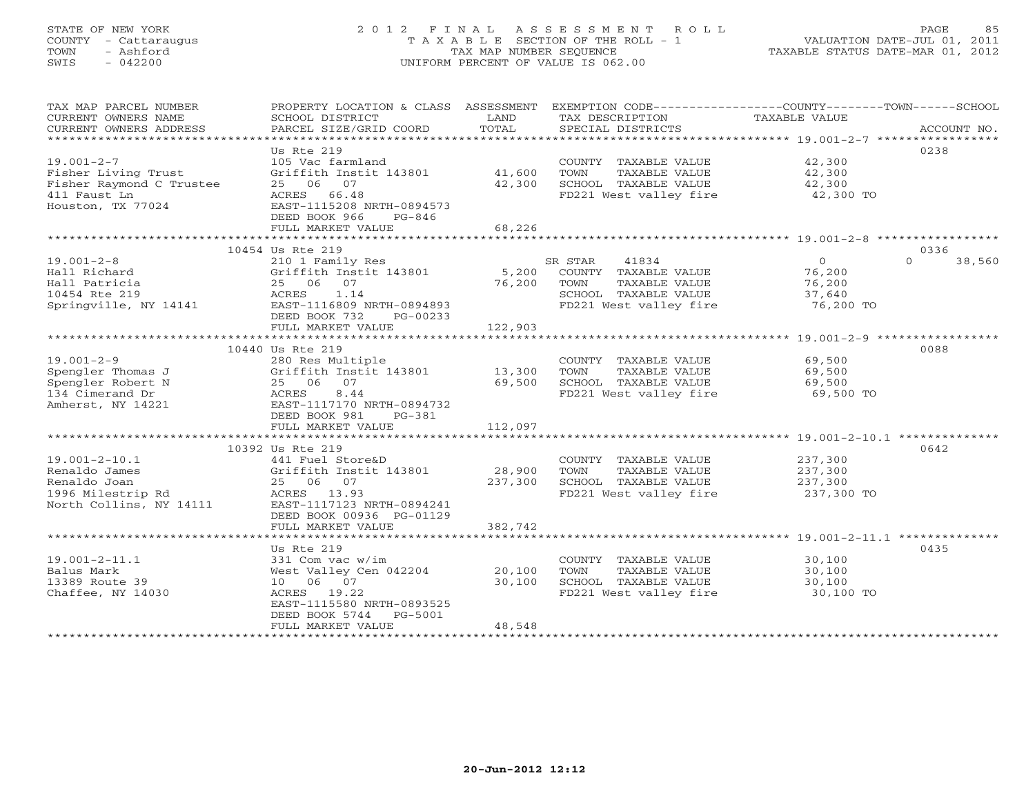# STATE OF NEW YORK 2 0 1 2 F I N A L A S S E S S M E N T R O L L PAGE 85 COUNTY - Cattaraugus T A X A B L E SECTION OF THE ROLL - 1 VALUATION DATE-JUL 01, 2011 TOWN - Ashford TAX MAP NUMBER SEQUENCE TAXABLE STATUS DATE-MAR 01, 2012 SWIS - 042200 UNIFORM PERCENT OF VALUE IS 062.00UNIFORM PERCENT OF VALUE IS 062.00

| TAX MAP PARCEL NUMBER<br>CURRENT OWNERS NAME<br>CURRENT OWNERS ADDRESS                                                                                                                                     | SCHOOL DISTRICT<br>PARCEL SIZE/GRID COORD                                                                                                                                                                       | LAND<br>TOTAL    | PROPERTY LOCATION & CLASS ASSESSMENT EXEMPTION CODE---------------COUNTY-------TOWN------SCHOOL<br>TAX DESCRIPTION TAXABLE VALUE SPECIAL DISTRICTS |                                         | ACCOUNT NO.                |
|------------------------------------------------------------------------------------------------------------------------------------------------------------------------------------------------------------|-----------------------------------------------------------------------------------------------------------------------------------------------------------------------------------------------------------------|------------------|----------------------------------------------------------------------------------------------------------------------------------------------------|-----------------------------------------|----------------------------|
| $19.001 - 2 - 7$<br>Fisher Living Trust<br>Fisher Raymond C Trustee<br>411 Faust Ln<br>Houston, TX 77024                                                                                                   | Us Rte 219<br>105 Vac farmland<br>Griffith Instit 143801 41,600<br>25 06 07<br>ACRES 66.48<br>EAST-1115208 NRTH-0894573<br>DEED BOOK 966<br>$PG-846$<br>FULL MARKET VALUE                                       | 42,300<br>68,226 | COUNTY TAXABLE VALUE<br>TAXABLE VALUE<br>TOWN<br>SCHOOL TAXABLE VALUE<br>FD221 West valley fire                                                    | 42,300<br>42,300<br>42,300<br>42,300 TO | 0238                       |
|                                                                                                                                                                                                            |                                                                                                                                                                                                                 |                  |                                                                                                                                                    |                                         |                            |
| $19.001 - 2 - 8$                                                                                                                                                                                           | 10454 Us Rte 219<br>210 1 Family Res<br>Griffith Instit 143801 5,200 COUNTY TAXABLE VALUE 76,200<br>25 06 07 76,200 700 TOWN TAXABLE VALUE 76,200<br>25 06 07<br>DEED BOOK 732<br>PG-00233<br>FULL MARKET VALUE | 122,903          | SR STAR 41834<br>SCHOOL TAXABLE VALUE 37,640<br>FD221 West valley fire                                                                             | $\overline{0}$<br>76,200 TO             | 0336<br>38,560<br>$\Omega$ |
|                                                                                                                                                                                                            |                                                                                                                                                                                                                 |                  |                                                                                                                                                    |                                         |                            |
| $19.001 - 2 - 9$<br>19.001-2-9<br>Spengler Thomas J<br>Spengler Robert N<br>134 Cimerand Dr<br>134 Cimerand Dr<br>Amherst, NY 14221<br>Amherst, NY 14221<br>CRES B.44<br>EAST-1117170 NRTH-0894732         | 10440 Us Rte 219<br>280 Res Multiple<br>Griffith Instit 143801 13,300<br>DEED BOOK 981<br>PG-381                                                                                                                | 69,500           | COUNTY TAXABLE VALUE 69,500<br>TOWN<br>TAXABLE VALUE<br>SCHOOL TAXABLE VALUE 69,500<br>FD221 West valley fire                                      | 69,500<br>69,500 TO                     | 0088                       |
|                                                                                                                                                                                                            | FULL MARKET VALUE                                                                                                                                                                                               | 112,097          |                                                                                                                                                    |                                         |                            |
|                                                                                                                                                                                                            |                                                                                                                                                                                                                 |                  |                                                                                                                                                    |                                         |                            |
| $19.001 - 2 - 10.1$<br>19.001-2-10.1<br>Renaldo James Griffith Instit 143801 28,900<br>Renaldo Joan 25 06 07 237,300<br>1996 Milestrip Rd ACRES 13.93<br>North Collins, NY 14111 EAST-1117123 NRTH-0894241 | 10392 Us Rte 219<br>DEED BOOK 00936 PG-01129                                                                                                                                                                    |                  | COUNTY TAXABLE VALUE<br>TAXABLE VALUE<br>TOWN<br>SCHOOL TAXABLE VALUE $237,300$<br>FD221 West valley fire $237,300$ TO                             | 237,300<br>237,300                      | 0642                       |
|                                                                                                                                                                                                            | FULL MARKET VALUE                                                                                                                                                                                               | 382,742          |                                                                                                                                                    |                                         |                            |
| $19.001 - 2 - 11.1$<br>Balus Mark<br>13389 Route 39<br>Chaffee, NY 14030                                                                                                                                   | Us Rte 219<br>331 Com vac w/im<br>West Valley Cen 042204 20,100<br>10 06 07<br>ACRES 19.22<br>EAST-1115580 NRTH-0893525<br>DEED BOOK 5744 PG-5001                                                               | 30,100           | COUNTY TAXABLE VALUE 30,100<br>TAXABLE VALUE<br>TOWN<br>SCHOOL TAXABLE VALUE<br>FD221 West valley fire 30,100 TO                                   | 30,100<br>30,100                        | 0435                       |
|                                                                                                                                                                                                            | FULL MARKET VALUE                                                                                                                                                                                               | 48,548           |                                                                                                                                                    |                                         |                            |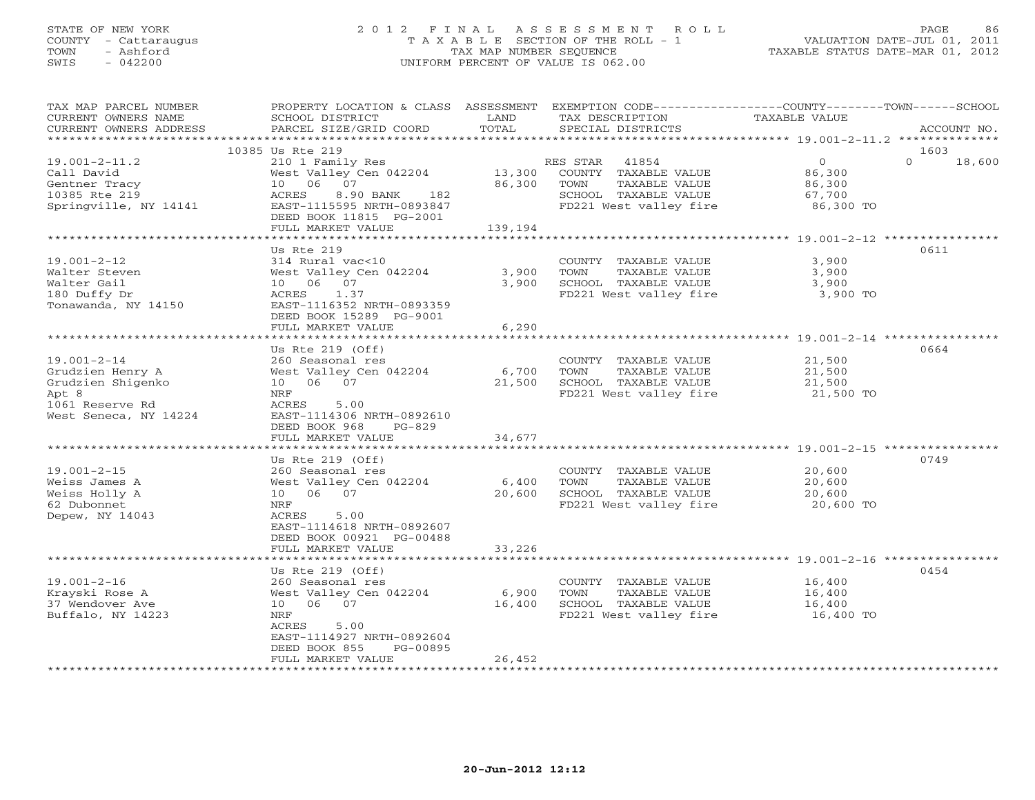# STATE OF NEW YORK 2 0 1 2 F I N A L A S S E S S M E N T R O L L PAGE 86 COUNTY - Cattaraugus T A X A B L E SECTION OF THE ROLL - 1 VALUATION DATE-JUL 01, 2011 TOWN - Ashford TAX MAP NUMBER SEQUENCE TAXABLE STATUS DATE-MAR 01, 2012 SWIS - 042200 UNIFORM PERCENT OF VALUE IS 062.00UNIFORM PERCENT OF VALUE IS 062.00

| TAX MAP PARCEL NUMBER                 | PROPERTY LOCATION & CLASS ASSESSMENT |                 | EXEMPTION CODE----------------COUNTY-------TOWN------SCHOOL |                     |                    |
|---------------------------------------|--------------------------------------|-----------------|-------------------------------------------------------------|---------------------|--------------------|
| CURRENT OWNERS NAME                   | SCHOOL DISTRICT                      | LAND            | TAX DESCRIPTION                                             | TAXABLE VALUE       |                    |
| CURRENT OWNERS ADDRESS                | PARCEL SIZE/GRID COORD               | TOTAL           | SPECIAL DISTRICTS                                           |                     | ACCOUNT NO.        |
|                                       |                                      |                 |                                                             |                     |                    |
|                                       | 10385 Us Rte 219                     |                 |                                                             |                     | 1603               |
| $19.001 - 2 - 11.2$                   | 210 1 Family Res                     |                 | RES STAR 41854                                              | $0 \qquad \qquad$   | $\Omega$<br>18,600 |
| Call David                            | West Valley Cen 042204               | 13,300          | COUNTY TAXABLE VALUE                                        | 86,300              |                    |
| Gentner Tracy                         | 10 06 07                             | 86,300          | TOWN<br>TAXABLE VALUE                                       | 86,300              |                    |
| 10385 Rte 219                         | ACRES<br>8.90 BANK<br>182            |                 | SCHOOL TAXABLE VALUE                                        | 67,700              |                    |
| Springville, NY 14141                 | EAST-1115595 NRTH-0893847            |                 | FD221 West valley fire                                      | 86,300 TO           |                    |
|                                       | DEED BOOK 11815 PG-2001              |                 |                                                             |                     |                    |
|                                       | FULL MARKET VALUE                    | 139,194         |                                                             |                     |                    |
|                                       |                                      |                 |                                                             |                     |                    |
|                                       | Us Rte 219                           |                 |                                                             |                     | 0611               |
| $19.001 - 2 - 12$                     | 314 Rural vac<10                     |                 | COUNTY TAXABLE VALUE                                        | 3,900               |                    |
| Walter Steven                         | West Valley Cen 042204               | 3,900           | TAXABLE VALUE<br>TOWN                                       | 3,900               |                    |
| Walter Gail                           | 10 06 07                             | 3,900           | SCHOOL TAXABLE VALUE                                        | 3,900               |                    |
| 180 Duffy Dr                          | 1.37<br>ACRES                        |                 | FD221 West valley fire 3,900 TO                             |                     |                    |
| Tonawanda, NY 14150                   | EAST-1116352 NRTH-0893359            |                 |                                                             |                     |                    |
|                                       | DEED BOOK 15289 PG-9001              |                 |                                                             |                     |                    |
|                                       | FULL MARKET VALUE                    | 6,290           |                                                             |                     |                    |
|                                       | Us Rte $219$ (Off)                   |                 |                                                             |                     | 0664               |
| $19.001 - 2 - 14$                     | 260 Seasonal res                     |                 | COUNTY TAXABLE VALUE                                        | 21,500              |                    |
|                                       |                                      |                 |                                                             |                     |                    |
| Grudzien Henry A<br>Grudzien Shigenko | West Valley Cen 042204<br>10  06  07 | 6,700<br>21,500 | TAXABLE VALUE<br>TOWN<br>SCHOOL TAXABLE VALUE               | 21,500<br>21,500    |                    |
| Apt 8                                 | NRF                                  |                 | FD221 West valley fire 21,500 TO                            |                     |                    |
| 1061 Reserve Rd                       | ACRES<br>5.00                        |                 |                                                             |                     |                    |
| West Seneca, NY 14224                 | EAST-1114306 NRTH-0892610            |                 |                                                             |                     |                    |
|                                       | DEED BOOK 968<br>$PG-829$            |                 |                                                             |                     |                    |
|                                       | FULL MARKET VALUE                    | 34,677          |                                                             |                     |                    |
|                                       |                                      |                 |                                                             |                     |                    |
|                                       | Us Rte $219$ (Off)                   |                 |                                                             |                     | 0749               |
| $19.001 - 2 - 15$                     | 260 Seasonal res                     |                 | COUNTY TAXABLE VALUE 20,600                                 |                     |                    |
| Weiss James A                         | West Valley Cen 042204               | 6,400           | TOWN<br>TAXABLE VALUE                                       | 20,600              |                    |
| Weiss Holly A                         | 10 06 07                             | 20,600          | SCHOOL TAXABLE VALUE                                        |                     |                    |
| 62 Dubonnet                           | NRF                                  |                 | FD221 West valley fire                                      | 20,600<br>20,600 TO |                    |
| Depew, NY 14043                       | 5.00<br>ACRES                        |                 |                                                             |                     |                    |
|                                       | EAST-1114618 NRTH-0892607            |                 |                                                             |                     |                    |
|                                       | DEED BOOK 00921 PG-00488             |                 |                                                             |                     |                    |
|                                       | FULL MARKET VALUE                    | 33,226          |                                                             |                     |                    |
|                                       |                                      |                 |                                                             |                     |                    |
|                                       | Us Rte $219$ (Off)                   |                 |                                                             |                     | 0454               |
| $19.001 - 2 - 16$                     | 260 Seasonal res                     |                 | COUNTY TAXABLE VALUE                                        | 16,400              |                    |
| Krayski Rose A                        | West Valley Cen 042204               | 6,900           | TOWN<br>TAXABLE VALUE                                       | 16,400              |                    |
| 37 Wendover Ave                       | 10 06 07                             | 16,400          | SCHOOL TAXABLE VALUE                                        | 16,400              |                    |
| Buffalo, NY 14223                     | NRF                                  |                 | FD221 West valley fire                                      | 16,400 TO           |                    |
|                                       | 5.00<br>ACRES                        |                 |                                                             |                     |                    |
|                                       | EAST-1114927 NRTH-0892604            |                 |                                                             |                     |                    |
|                                       | DEED BOOK 855<br>PG-00895            |                 |                                                             |                     |                    |
|                                       | FULL MARKET VALUE                    | 26,452          |                                                             |                     |                    |
|                                       |                                      |                 |                                                             |                     |                    |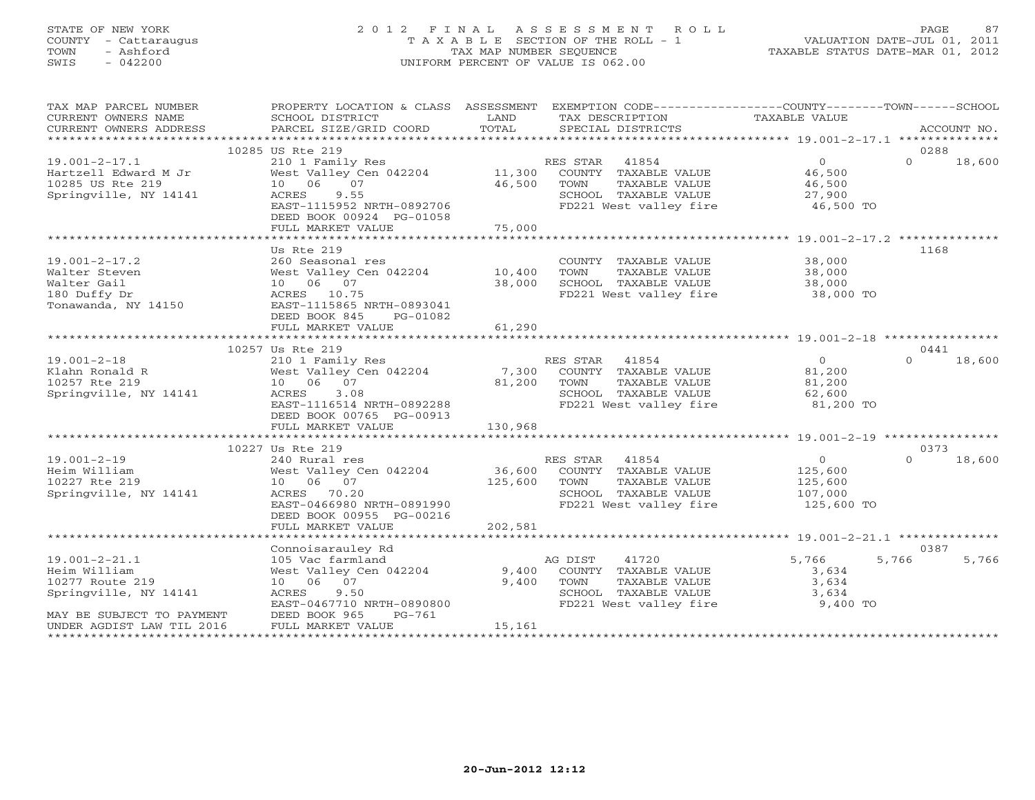# STATE OF NEW YORK 2 0 1 2 F I N A L A S S E S S M E N T R O L L PAGE 87 COUNTY - Cattaraugus T A X A B L E SECTION OF THE ROLL - 1 VALUATION DATE-JUL 01, 2011 TOWN - Ashford TAX MAP NUMBER SEQUENCE TAXABLE STATUS DATE-MAR 01, 2012 SWIS - 042200 UNIFORM PERCENT OF VALUE IS 062.00UNIFORM PERCENT OF VALUE IS 062.00

| TAX MAP PARCEL NUMBER<br>CURRENT OWNERS NAME<br>CURRENT OWNERS ADDRESS                                                                    | PROPERTY LOCATION & CLASS ASSESSMENT EXEMPTION CODE---------------COUNTY-------TOWN------SCHOOL<br>SCHOOL DISTRICT                                                                 | <b>LAND</b>              | TAX DESCRIPTION                                                                                                              | TAXABLE VALUE                                              |                            |
|-------------------------------------------------------------------------------------------------------------------------------------------|------------------------------------------------------------------------------------------------------------------------------------------------------------------------------------|--------------------------|------------------------------------------------------------------------------------------------------------------------------|------------------------------------------------------------|----------------------------|
|                                                                                                                                           |                                                                                                                                                                                    |                          |                                                                                                                              |                                                            |                            |
| $19.001 - 2 - 17.1$<br>Hartzell Edward M Jr<br>10285 US Rte 219<br>Springville, NY 14141                                                  | 10285 US Rte 219<br>210 1 Family Res<br>West Valley Cen $042204$ 11,300<br>10 06 07<br>9.55<br>ACRES<br>EAST-1115952 NRTH-0892706<br>DEED BOOK 00924 PG-01058<br>FULL MARKET VALUE | 46,500<br>75,000         | RES STAR 41854<br>COUNTY TAXABLE VALUE<br>TOWN<br>TAXABLE VALUE<br>SCHOOL TAXABLE VALUE<br>FD221 West valley fire            | $\overline{0}$<br>46,500<br>46,500<br>27,900<br>46,500 TO  | 0288<br>$\Omega$<br>18,600 |
|                                                                                                                                           |                                                                                                                                                                                    |                          |                                                                                                                              |                                                            |                            |
| 19.001-2-17.2<br>Walter Steven<br>Walter Gail<br>180 Duffy Dr<br>Tonawanda, NY 14150                                                      | Us Rte 219<br>260 Seasonal res<br>West Valley Cen 042204 10,400<br>West Valley C<br>10 06 07<br>ACRES 10.75<br>EAST-1115865 NRTH-0893041<br>DEED BOOK 845<br>PG-01082              | 38,000                   | COUNTY TAXABLE VALUE 38,000<br>TOWN<br>TAXABLE VALUE<br>SCHOOL TAXABLE VALUE<br>FD221 West valley fire 38,000 TO             | 38,000<br>38,000                                           | 1168                       |
|                                                                                                                                           | FULL MARKET VALUE                                                                                                                                                                  | 61,290                   |                                                                                                                              |                                                            |                            |
|                                                                                                                                           |                                                                                                                                                                                    |                          |                                                                                                                              |                                                            |                            |
|                                                                                                                                           | 10257 Us Rte 219                                                                                                                                                                   |                          |                                                                                                                              |                                                            | 0441                       |
| $19.001 - 2 - 18$<br>Klahn Ronald R<br>10257 Rte 219<br>Springville, NY 14141                                                             | 210 1 Family Res<br>West Valley Cen 042204<br>10 06 07<br>ACRES<br>3.08<br>EAST-1116514 NRTH-0892288<br>DEED BOOK 00765 PG-00913                                                   | 81,200                   | RES STAR 41854<br>7,300 COUNTY TAXABLE VALUE<br>TOWN<br>TAXABLE VALUE<br>SCHOOL TAXABLE VALUE<br>FD221 West valley fire      | $\overline{0}$<br>81,200<br>81,200<br>62,600<br>81,200 TO  | 18,600<br>$\Omega$         |
|                                                                                                                                           | FULL MARKET VALUE                                                                                                                                                                  | 130,968                  |                                                                                                                              |                                                            |                            |
|                                                                                                                                           |                                                                                                                                                                                    |                          |                                                                                                                              |                                                            |                            |
|                                                                                                                                           | 10227 Us Rte 219                                                                                                                                                                   |                          |                                                                                                                              |                                                            | 0373                       |
| $19.001 - 2 - 19$<br>Heim William<br>10227 Rte 219<br>Springville, NY 14141                                                               | 240 Rural res<br>West Valley Cen 042204 36,600<br>10 06 07<br>ACRES 70.20<br>EAST-0466980 NRTH-0891990<br>DEED BOOK 00955 PG-00216                                                 | 125,600                  | RES STAR 41854<br>COUNTY TAXABLE VALUE<br>TAXABLE VALUE<br>TOWN<br>SCHOOL TAXABLE VALUE<br>FD221 West valley fire 125,600 TO | $\overline{0}$<br>125,600<br>125,600<br>107,000            | 18,600<br>$\Omega$         |
|                                                                                                                                           | FULL MARKET VALUE                                                                                                                                                                  | 202,581                  |                                                                                                                              |                                                            |                            |
|                                                                                                                                           |                                                                                                                                                                                    |                          |                                                                                                                              |                                                            |                            |
|                                                                                                                                           | Connoisarauley Rd                                                                                                                                                                  |                          |                                                                                                                              |                                                            | 0387                       |
| $19.001 - 2 - 21.1$<br>Heim William<br>10277 Route 219<br>Springville, NY 14141<br>MAY BE SUBJECT TO PAYMENT<br>UNDER AGDIST LAW TIL 2016 | 105 Vac farmland<br>West Valley Cen 042204<br>10 06 07<br>9.50<br>ACRES<br>EAST-0467710 NRTH-0890800<br>DEED BOOK 965<br>PG-761<br>FULL MARKET VALUE                               | 9,400<br>9,400<br>15,161 | 41720<br>AG DIST<br>COUNTY TAXABLE VALUE<br>TOWN<br>TAXABLE VALUE<br>SCHOOL TAXABLE VALUE<br>FD221 West valley fire          | 5,766<br>3,634<br>3,634<br>$\frac{1}{3}$ , 634<br>9,400 TO | 5,766<br>5,766             |
|                                                                                                                                           |                                                                                                                                                                                    |                          |                                                                                                                              |                                                            |                            |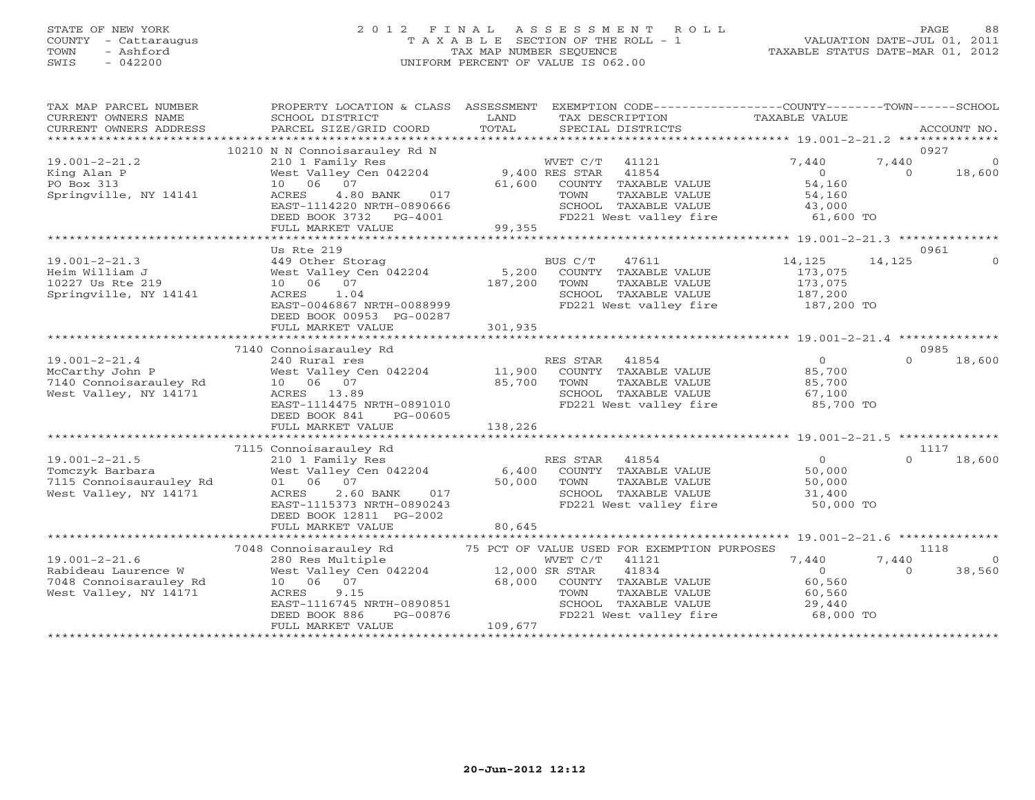# STATE OF NEW YORK 2 0 1 2 F I N A L A S S E S S M E N T R O L L PAGE 88 COUNTY - Cattaraugus T A X A B L E SECTION OF THE ROLL - 1 VALUATION DATE-JUL 01, 2011 TOWN - Ashford TAX MAP NUMBER SEQUENCE TAXABLE STATUS DATE-MAR 01, 2012 SWIS - 042200 UNIFORM PERCENT OF VALUE IS 062.00UNIFORM PERCENT OF VALUE IS 062.00

| TAX MAP PARCEL NUMBER<br>CURRENT OWNERS NAME<br>CURRENT OWNERS ADDRESS | PROPERTY LOCATION & CLASS ASSESSMENT EXEMPTION CODE----------------COUNTY-------TOWN------SCHOOL<br>SCHOOL DISTRICT<br>PARCEL SIZE/GRID COORD | LAND<br>TOTAL | TAX DESCRIPTION TAXABLE VALUE<br>SPECIAL DISTRICTS |                |          | ACCOUNT NO.    |
|------------------------------------------------------------------------|-----------------------------------------------------------------------------------------------------------------------------------------------|---------------|----------------------------------------------------|----------------|----------|----------------|
|                                                                        |                                                                                                                                               |               |                                                    |                |          |                |
|                                                                        | 10210 N N Connoisarauley Rd N                                                                                                                 |               |                                                    |                |          | 0927           |
| $19.001 - 2 - 21.2$                                                    | 210 1 Family Res                                                                                                                              |               | WVET C/T<br>41121                                  | 7,440          | 7,440    | $\Omega$       |
| King Alan P                                                            | West Valley Cen 042204 9,400 RES STAR                                                                                                         |               | 41854                                              | $\Omega$       | $\Omega$ | 18,600         |
| PO Box 313                                                             | 10 06 07                                                                                                                                      | 61,600        | COUNTY TAXABLE VALUE                               | 54,160         |          |                |
| Springville, NY 14141                                                  | 4.80 BANK<br>017<br>ACRES                                                                                                                     |               | TOWN<br>TAXABLE VALUE                              | 54,160         |          |                |
|                                                                        | EAST-1114220 NRTH-0890666                                                                                                                     |               | SCHOOL TAXABLE VALUE                               | 43,000         |          |                |
|                                                                        | DEED BOOK 3732 PG-4001                                                                                                                        |               | FD221 West valley fire                             | 61,600 TO      |          |                |
|                                                                        | FULL MARKET VALUE                                                                                                                             | 99,355        |                                                    |                |          |                |
|                                                                        |                                                                                                                                               |               |                                                    |                |          | 0961           |
| $19.001 - 2 - 21.3$                                                    | Us Rte 219<br>449 Other Storag                                                                                                                |               | BUS C/T<br>47611                                   | 14,125         | 14,125   | $\Omega$       |
| Heim William J                                                         | West Valley Cen 042204                                                                                                                        | 5,200         | COUNTY TAXABLE VALUE                               | 173,075        |          |                |
| 10227 Us Rte 219                                                       | 10 06 07                                                                                                                                      | 187,200       | TOWN<br>TAXABLE VALUE                              | 173,075        |          |                |
| Springville, NY 14141                                                  | ACRES<br>1.04                                                                                                                                 |               | SCHOOL TAXABLE VALUE                               | 187,200        |          |                |
|                                                                        | EAST-0046867 NRTH-0088999                                                                                                                     |               | FD221 West valley fire                             | 187,200 TO     |          |                |
|                                                                        | DEED BOOK 00953 PG-00287                                                                                                                      |               |                                                    |                |          |                |
|                                                                        | FULL MARKET VALUE                                                                                                                             | 301,935       |                                                    |                |          |                |
|                                                                        |                                                                                                                                               |               |                                                    |                |          |                |
|                                                                        | 7140 Connoisarauley Rd                                                                                                                        |               |                                                    |                |          | 0985           |
| $19.001 - 2 - 21.4$                                                    | 240 Rural res                                                                                                                                 |               | RES STAR 41854                                     | $\overline{0}$ | $\Omega$ | 18,600         |
| McCarthy John P                                                        | 24 number 100<br>West Valley Cen 042204 11,900<br>10 06 07 85,700                                                                             |               | COUNTY TAXABLE VALUE                               | 85,700         |          |                |
| 7140 Connoisarauley Rd                                                 |                                                                                                                                               |               | TOWN<br>TAXABLE VALUE                              | 85,700         |          |                |
| West Valley, NY 14171                                                  | ACRES 13.89                                                                                                                                   |               | SCHOOL TAXABLE VALUE                               | 67,100         |          |                |
|                                                                        | EAST-1114475 NRTH-0891010                                                                                                                     |               | SCHOOL TAXABLE VALUE<br>FD221 West valley fire     | 85,700 TO      |          |                |
|                                                                        | DEED BOOK 841<br>PG-00605                                                                                                                     |               |                                                    |                |          |                |
|                                                                        | FULL MARKET VALUE                                                                                                                             | 138,226       |                                                    |                |          |                |
|                                                                        |                                                                                                                                               |               |                                                    |                |          |                |
|                                                                        | 7115 Connoisarauley Rd                                                                                                                        |               |                                                    |                |          | 1117           |
| $19.001 - 2 - 21.5$                                                    | 210 1 Family Res                                                                                                                              |               | RES STAR<br>41854                                  | $\overline{0}$ | $\Omega$ | 18,600         |
| Tomczyk Barbara                                                        | West Valley Cen 042204                                                                                                                        | 6,400         | COUNTY TAXABLE VALUE                               | 50,000         |          |                |
| 7115 Connoisaurauley Rd                                                | 01 06 07                                                                                                                                      | 50,000        | TAXABLE VALUE<br>TOWN                              | 50,000         |          |                |
| West Valley, NY 14171                                                  | 2.60 BANK<br>017<br>ACRES                                                                                                                     |               | SCHOOL TAXABLE VALUE                               | 31,400         |          |                |
|                                                                        | EAST-1115373 NRTH-0890243                                                                                                                     |               | FD221 West valley fire                             | 50,000 TO      |          |                |
|                                                                        | DEED BOOK 12811 PG-2002<br>FULL MARKET VALUE                                                                                                  | 80,645        |                                                    |                |          |                |
|                                                                        |                                                                                                                                               |               |                                                    |                |          |                |
|                                                                        | 7048 Connoisarauley Rd                                                                                                                        |               | 75 PCT OF VALUE USED FOR EXEMPTION PURPOSES        |                |          | 1118           |
| $19.001 - 2 - 21.6$                                                    | 280 Res Multiple                                                                                                                              |               | WVET C/T 41121                                     | 7,440          | 7,440    | $\overline{0}$ |
| Rabideau Laurence W                                                    | West Valley Cen 042204                                                                                                                        |               | 41834<br>12,000 SR STAR                            | $\overline{0}$ | $\Omega$ | 38,560         |
| 7048 Connoisarauley Rd                                                 | 10 06 07                                                                                                                                      | 68,000        | COUNTY TAXABLE VALUE                               | 60,560         |          |                |
| West Valley, NY 14171                                                  | ACRES<br>9.15                                                                                                                                 |               | TAXABLE VALUE<br>TOWN                              | 60,560         |          |                |
|                                                                        | EAST-1116745 NRTH-0890851                                                                                                                     |               |                                                    | 29,440         |          |                |
|                                                                        | DEED BOOK 886<br>PG-00876                                                                                                                     |               | SCHOOL TAXABLE VALUE<br>FD221 West valley fire     | 68,000 TO      |          |                |
|                                                                        | FULL MARKET VALUE                                                                                                                             | 109,677       |                                                    |                |          |                |
|                                                                        |                                                                                                                                               |               |                                                    |                |          |                |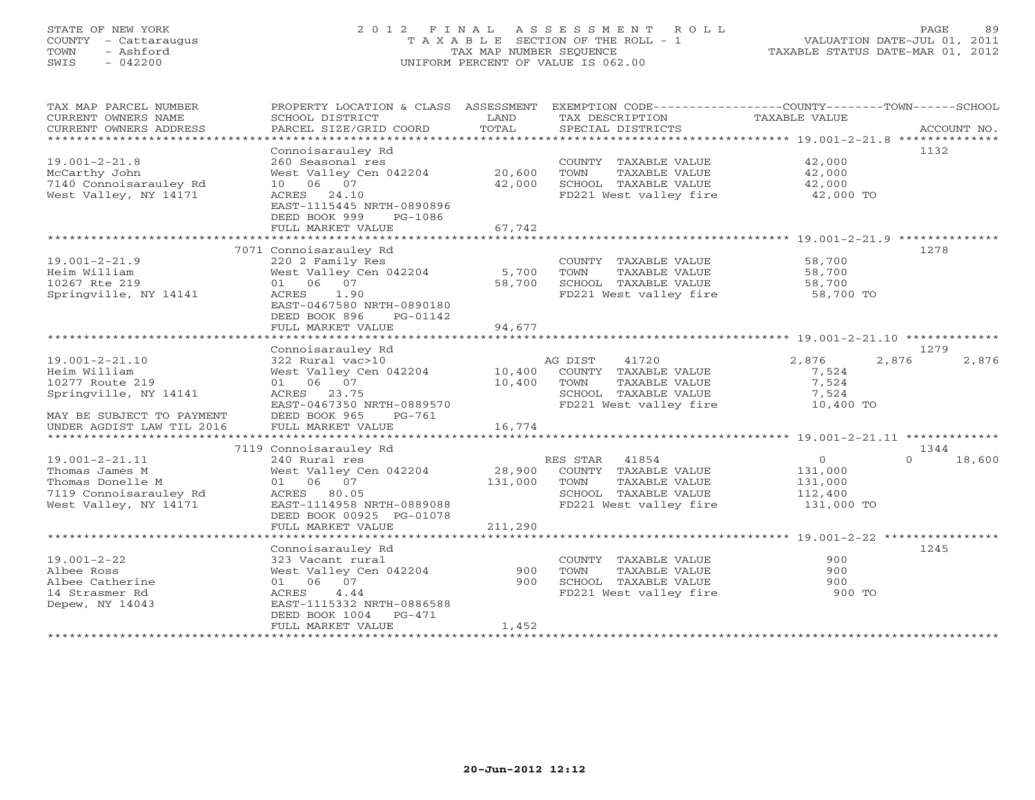# STATE OF NEW YORK 2 0 1 2 F I N A L A S S E S S M E N T R O L L PAGE 89 COUNTY - Cattaraugus T A X A B L E SECTION OF THE ROLL - 1 VALUATION DATE-JUL 01, 2011 TOWN - Ashford TAX MAP NUMBER SEQUENCE TAXABLE STATUS DATE-MAR 01, 2012 SWIS - 042200 UNIFORM PERCENT OF VALUE IS 062.00UNIFORM PERCENT OF VALUE IS 062.00

| TAX MAP PARCEL NUMBER<br>CURRENT OWNERS NAME<br>CURRENT OWNERS ADDRESS                                        | PROPERTY LOCATION & CLASS ASSESSMENT<br>SCHOOL DISTRICT<br>PARCEL SIZE/GRID COORD                                                                                        | LAND<br>TOTAL              | TAX DESCRIPTION<br>SPECIAL DISTRICTS                                                                                 | EXEMPTION CODE----------------COUNTY-------TOWN------SCHOOL<br>TAXABLE VALUE | ACCOUNT NO.    |
|---------------------------------------------------------------------------------------------------------------|--------------------------------------------------------------------------------------------------------------------------------------------------------------------------|----------------------------|----------------------------------------------------------------------------------------------------------------------|------------------------------------------------------------------------------|----------------|
| $19.001 - 2 - 21.8$<br>McCarthy John<br>7140 Connoisarauley Rd<br>West Valley, NY 14171                       | Connoisarauley Rd<br>260 Seasonal res<br>West Valley Cen 042204<br>10 06 07<br>ACRES 24.10<br>EAST-1115445 NRTH-0890896<br>DEED BOOK 999<br>PG-1086<br>FULL MARKET VALUE | 20,600<br>42,000<br>67,742 | COUNTY TAXABLE VALUE<br>TOWN<br>TAXABLE VALUE<br>SCHOOL TAXABLE VALUE<br>FD221 West valley fire                      | 42,000<br>42,000<br>42,000<br>42,000 TO                                      | 1132           |
|                                                                                                               | 7071 Connoisarauley Rd                                                                                                                                                   |                            |                                                                                                                      |                                                                              | 1278           |
| $19.001 - 2 - 21.9$<br>Heim William<br>10267 Rte 219<br>Springville, NY 14141                                 | 220 2 Family Res<br>West Valley Cen 042204<br>01 06 07<br>ACRES<br>1.90<br>EAST-0467580 NRTH-0890180<br>DEED BOOK 896<br>PG-01142                                        | 5,700<br>58,700            | COUNTY TAXABLE VALUE<br>TOWN<br>TAXABLE VALUE<br>SCHOOL TAXABLE VALUE<br>FD221 West valley fire                      | 58,700<br>58,700<br>58,700<br>58,700 TO                                      |                |
|                                                                                                               | FULL MARKET VALUE                                                                                                                                                        | 94,677                     |                                                                                                                      |                                                                              |                |
|                                                                                                               | Connoisarauley Rd                                                                                                                                                        |                            |                                                                                                                      |                                                                              | 1279           |
| $19.001 - 2 - 21.10$<br>Heim William<br>10277 Route 219<br>Springville, NY 14141<br>MAY BE SUBJECT TO PAYMENT | 322 Rural vac>10<br>West Valley Cen 042204<br>01 06 07<br>ACRES 23.75<br>EAST-0467350 NRTH-0889570<br>DEED BOOK 965<br>$PG-761$                                          | 10,400<br>10,400           | 41720<br>AG DIST<br>COUNTY TAXABLE VALUE<br>TAXABLE VALUE<br>TOWN<br>SCHOOL TAXABLE VALUE<br>FD221 West valley fire  | 2,876<br>2,876<br>7,524<br>7,524<br>7,524<br>10,400 TO                       | 2,876          |
| UNDER AGDIST LAW TIL 2016                                                                                     | FULL MARKET VALUE                                                                                                                                                        | 16,774                     |                                                                                                                      |                                                                              |                |
|                                                                                                               |                                                                                                                                                                          |                            |                                                                                                                      |                                                                              |                |
| $19.001 - 2 - 21.11$<br>Thomas James M<br>Thomas Donelle M<br>7119 Connoisarauley Rd<br>West Valley, NY 14171 | 7119 Connoisarauley Rd<br>240 Rural res<br>West Valley Cen 042204<br>01 06 07<br>ACRES 80.05<br>EAST-1114958 NRTH-0889088<br>DEED BOOK 00925 PG-01078                    | 28,900<br>131,000          | RES STAR<br>41854<br>COUNTY TAXABLE VALUE<br>TAXABLE VALUE<br>TOWN<br>SCHOOL TAXABLE VALUE<br>FD221 West valley fire | $\circ$<br>$\Omega$<br>131,000<br>131,000<br>112,400<br>131,000 TO           | 1344<br>18,600 |
|                                                                                                               | FULL MARKET VALUE                                                                                                                                                        | 211,290                    |                                                                                                                      |                                                                              |                |
| $19.001 - 2 - 22$<br>Albee Ross<br>Albee Catherine<br>14 Strasmer Rd<br>Depew, NY 14043                       | Connoisarauley Rd<br>323 Vacant rural<br>West Valley Cen 042204<br>01 06 07<br>4.44<br>ACRES<br>EAST-1115332 NRTH-0886588<br>DEED BOOK 1004<br>PG-471                    | 900<br>900                 | COUNTY TAXABLE VALUE<br>TAXABLE VALUE<br>TOWN<br>SCHOOL TAXABLE VALUE<br>FD221 West valley fire                      | 900<br>900<br>900<br>900 TO                                                  | 1245           |
|                                                                                                               | FULL MARKET VALUE                                                                                                                                                        | 1,452                      |                                                                                                                      |                                                                              |                |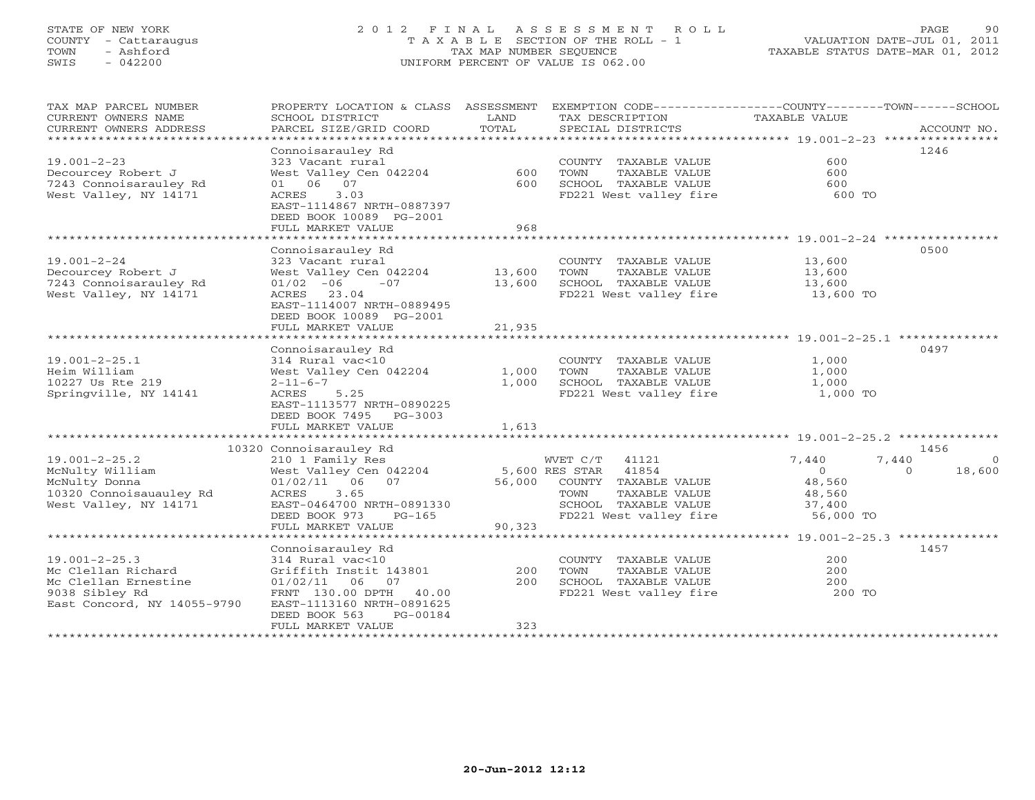# STATE OF NEW YORK 2 0 1 2 F I N A L A S S E S S M E N T R O L L PAGE 90 COUNTY - Cattaraugus T A X A B L E SECTION OF THE ROLL - 1 VALUATION DATE-JUL 01, 2011 TOWN - Ashford TAX MAP NUMBER SEQUENCE TAXABLE STATUS DATE-MAR 01, 2012 SWIS - 042200 UNIFORM PERCENT OF VALUE IS 062.00UNIFORM PERCENT OF VALUE IS 062.00

| TAX MAP PARCEL NUMBER<br>CURRENT OWNERS NAME<br>CURRENT OWNERS ADDRESS<br>***********************                  | PROPERTY LOCATION & CLASS ASSESSMENT<br>SCHOOL DISTRICT<br>PARCEL SIZE/GRID COORD                                                                                                                | LAND<br>TOTAL.             | EXEMPTION CODE-----------------COUNTY-------TOWN------SCHOOL<br>TAX DESCRIPTION<br>SPECIAL DISTRICTS                                            | TAXABLE VALUE                                                | ACCOUNT NO.                         |
|--------------------------------------------------------------------------------------------------------------------|--------------------------------------------------------------------------------------------------------------------------------------------------------------------------------------------------|----------------------------|-------------------------------------------------------------------------------------------------------------------------------------------------|--------------------------------------------------------------|-------------------------------------|
| $19.001 - 2 - 23$<br>Decourcey Robert J<br>7243 Connoisarauley Rd<br>West Valley, NY 14171                         | Connoisarauley Rd<br>323 Vacant rural<br>West Valley Cen 042204<br>01 06 07<br>3.03<br>ACRES<br>EAST-1114867 NRTH-0887397<br>DEED BOOK 10089 PG-2001<br>FULL MARKET VALUE                        | 600<br>600<br>968          | COUNTY TAXABLE VALUE<br>TOWN<br>TAXABLE VALUE<br>SCHOOL TAXABLE VALUE<br>FD221 West valley fire                                                 | 600<br>600<br>600<br>600 TO                                  | 1246                                |
|                                                                                                                    |                                                                                                                                                                                                  |                            |                                                                                                                                                 |                                                              |                                     |
| $19.001 - 2 - 24$<br>Decourcey Robert J<br>7243 Connoisarauley Rd<br>West Valley, NY 14171                         | Connoisarauley Rd<br>323 Vacant rural<br>West Valley Cen 042204<br>$01/02 -06$<br>$-07$<br>ACRES<br>23.04<br>EAST-1114007 NRTH-0889495<br>DEED BOOK 10089 PG-2001<br>FULL MARKET VALUE           | 13,600<br>13,600<br>21,935 | COUNTY TAXABLE VALUE<br>TAXABLE VALUE<br>TOWN<br>SCHOOL TAXABLE VALUE<br>FD221 West valley fire                                                 | 13,600<br>13,600<br>13,600<br>13,600 TO                      | 0500                                |
|                                                                                                                    |                                                                                                                                                                                                  |                            |                                                                                                                                                 |                                                              |                                     |
| $19.001 - 2 - 25.1$<br>Heim William<br>10227 Us Rte 219<br>Springville, NY 14141                                   | Connoisarauley Rd<br>314 Rural vac<10<br>West Valley Cen 042204<br>$2 - 11 - 6 - 7$<br>ACRES<br>5.25<br>EAST-1113577 NRTH-0890225<br>DEED BOOK 7495<br>PG-3003<br>FULL MARKET VALUE              | 1,000<br>1,000<br>1,613    | COUNTY TAXABLE VALUE<br>TOWN<br>TAXABLE VALUE<br>SCHOOL TAXABLE VALUE<br>FD221 West valley fire                                                 | 1,000<br>1,000<br>1,000<br>1,000 TO                          | 0497                                |
|                                                                                                                    |                                                                                                                                                                                                  | ***********                |                                                                                                                                                 | ******************** 19.001-2-25.2 *************             |                                     |
| $19.001 - 2 - 25.2$<br>McNulty William<br>McNulty Donna<br>10320 Connoisauauley Rd<br>West Valley, NY 14171        | 10320 Connoisarauley Rd<br>210 1 Family Res<br>West Valley Cen 042204<br>$01/02/11$ 06<br>07<br>ACRES<br>3.65<br>EAST-0464700 NRTH-0891330<br>DEED BOOK 973<br>$PG-165$<br>FULL MARKET VALUE     | 56,000<br>90,323           | 41121<br>WVET C/T<br>5,600 RES STAR<br>41854<br>COUNTY TAXABLE VALUE<br>TAXABLE VALUE<br>TOWN<br>SCHOOL TAXABLE VALUE<br>FD221 West valley fire | 7,440<br>$\Omega$<br>48,560<br>48,560<br>37,400<br>56,000 TO | 1456<br>7,440<br>18,600<br>$\Omega$ |
|                                                                                                                    |                                                                                                                                                                                                  |                            |                                                                                                                                                 |                                                              |                                     |
| $19.001 - 2 - 25.3$<br>Mc Clellan Richard<br>Mc Clellan Ernestine<br>9038 Sibley Rd<br>East Concord, NY 14055-9790 | Connoisarauley Rd<br>314 Rural vac<10<br>Griffith Instit 143801<br>01/02/11 06<br>07<br>FRNT 130.00 DPTH<br>40.00<br>EAST-1113160 NRTH-0891625<br>PG-00184<br>DEED BOOK 563<br>FULL MARKET VALUE | 200<br>2.00<br>323         | COUNTY TAXABLE VALUE<br>TOWN<br>TAXABLE VALUE<br>SCHOOL TAXABLE VALUE<br>FD221 West valley fire                                                 | 200<br>200<br>200<br>200 TO                                  | 1457                                |
|                                                                                                                    |                                                                                                                                                                                                  |                            |                                                                                                                                                 |                                                              |                                     |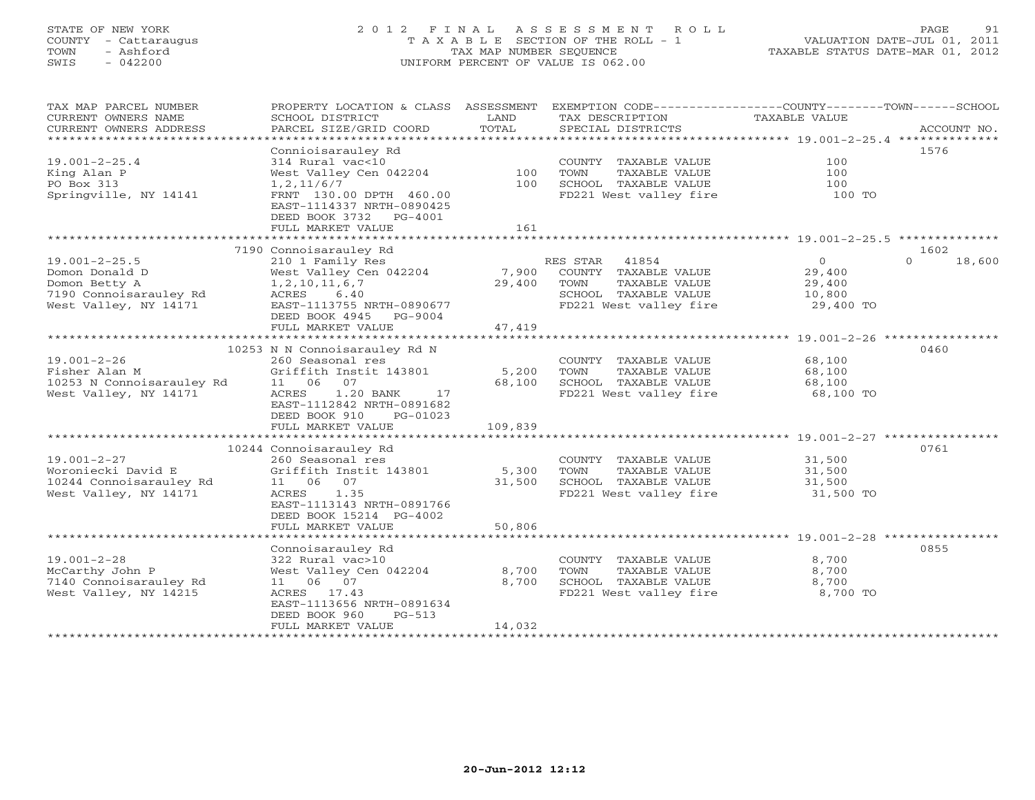# STATE OF NEW YORK 2 0 1 2 F I N A L A S S E S S M E N T R O L L PAGE 91 COUNTY - Cattaraugus T A X A B L E SECTION OF THE ROLL - 1 VALUATION DATE-JUL 01, 2011 TOWN - Ashford TAX MAP NUMBER SEQUENCE TAXABLE STATUS DATE-MAR 01, 2012 SWIS - 042200 UNIFORM PERCENT OF VALUE IS 062.00UNIFORM PERCENT OF VALUE IS 062.00

| TAX MAP PARCEL NUMBER<br>CURRENT OWNERS NAME<br>CURRENT OWNERS ADDRESS                                    | SCHOOL DISTRICT<br>PARCEL SIZE/GRID COORD                                                                                                                                  | LAND<br>TOTAL             | TAX DESCRIPTION<br>SPECIAL DISTRICTS                                                                              | PROPERTY LOCATION & CLASS ASSESSMENT EXEMPTION CODE----------------COUNTY-------TOWN------SCHOOL<br>TAXABLE VALUE<br>ACCOUNT NO. |
|-----------------------------------------------------------------------------------------------------------|----------------------------------------------------------------------------------------------------------------------------------------------------------------------------|---------------------------|-------------------------------------------------------------------------------------------------------------------|----------------------------------------------------------------------------------------------------------------------------------|
|                                                                                                           | Connioisarauley Rd                                                                                                                                                         |                           |                                                                                                                   | 1576                                                                                                                             |
| $19.001 - 2 - 25.4$<br>King Alan P<br>PO Box 313<br>Springville, NY 14141                                 | 314 Rural vac<10<br>West Valley Cen 042204<br>1, 2, 11/6/7<br>FRNT 130.00 DPTH 460.00                                                                                      | 100<br>100                | COUNTY TAXABLE VALUE<br>TOWN<br>TAXABLE VALUE<br>SCHOOL TAXABLE VALUE<br>FD221 West valley fire                   | 100<br>100<br>100<br>100 TO                                                                                                      |
|                                                                                                           | EAST-1114337 NRTH-0890425<br>DEED BOOK 3732 PG-4001<br>FULL MARKET VALUE                                                                                                   | 161                       |                                                                                                                   |                                                                                                                                  |
|                                                                                                           | 7190 Connoisarauley Rd                                                                                                                                                     |                           |                                                                                                                   | 1602                                                                                                                             |
| $19.001 - 2 - 25.5$<br>Domon Donald D<br>Domon Betty A<br>7190 Connoisarauley Rd<br>West Valley, NY 14171 | 210 1 Family Res<br>West Valley Cen 042204<br>1, 2, 10, 11, 6, 7<br>ACRES 6.40<br>EAST-1113755 NRTH-0890677<br>DEED BOOK 4945 PG-9004<br>FULL MARKET VALUE                 | 7,900<br>29,400<br>47,419 | RES STAR 41854<br>COUNTY TAXABLE VALUE<br>TOWN<br>TAXABLE VALUE<br>SCHOOL TAXABLE VALUE<br>FD221 West valley fire | 18,600<br>$\overline{0}$<br>$\Omega$<br>$29,400$<br>$29,400$<br>$29,800$<br>10,800<br>29,400 TO                                  |
|                                                                                                           |                                                                                                                                                                            |                           |                                                                                                                   |                                                                                                                                  |
| $19.001 - 2 - 26$<br>Fisher Alan M<br>10253 N Connoisarauley Rd<br>West Valley, NY 14171                  | 10253 N N Connoisarauley Rd N<br>260 Seasonal res<br>Griffith Instit 143801<br>11 06 07<br>1.20 BANK 17<br>ACRES<br>EAST-1112842 NRTH-0891682<br>DEED BOOK 910<br>PG-01023 | 5,200<br>68,100           | COUNTY TAXABLE VALUE<br>TOWN<br>TAXABLE VALUE<br>SCHOOL TAXABLE VALUE<br>FD221 West valley fire                   | 0460<br>68,100<br>68,100<br>68,100<br>68,100 TO                                                                                  |
|                                                                                                           | FULL MARKET VALUE                                                                                                                                                          | 109,839                   |                                                                                                                   |                                                                                                                                  |
| 19.001-2-27<br>Woroniecki David E<br>10244 Connoisarauley Rd<br>West Valley, NY 14171                     | 10244 Connoisarauley Rd<br>260 Seasonal res<br>Griffith Instit 143801<br>11 06 07<br>ACRES 1.35<br>EAST-1113143 NRTH-0891766<br>DEED BOOK 15214 PG-4002                    | 5,300<br>31,500           | COUNTY TAXABLE VALUE<br>TAXABLE VALUE<br>TOWN<br>SCHOOL TAXABLE VALUE<br>FD221 West valley fire                   | 0761<br>31,500<br>31,500<br>31,500<br>31,500 TO                                                                                  |
|                                                                                                           | FULL MARKET VALUE                                                                                                                                                          | 50,806                    |                                                                                                                   |                                                                                                                                  |
| $19.001 - 2 - 28$<br>McCarthy John P<br>7140 Connoisarauley Rd<br>West Valley, NY 14215                   | Connoisarauley Rd<br>322 Rural vac>10<br>West Valley Cen 042204<br>11 06 07<br>ACRES 17.43<br>EAST-1113656 NRTH-0891634<br>DEED BOOK 960<br>$PG-513$                       | 8,700<br>8,700            | COUNTY TAXABLE VALUE<br>TAXABLE VALUE<br>TOWN<br>SCHOOL TAXABLE VALUE<br>FD221 West valley fire                   | 0855<br>8,700<br>8,700<br>8,700<br>8,700 TO                                                                                      |
|                                                                                                           | FULL MARKET VALUE                                                                                                                                                          | 14,032                    |                                                                                                                   |                                                                                                                                  |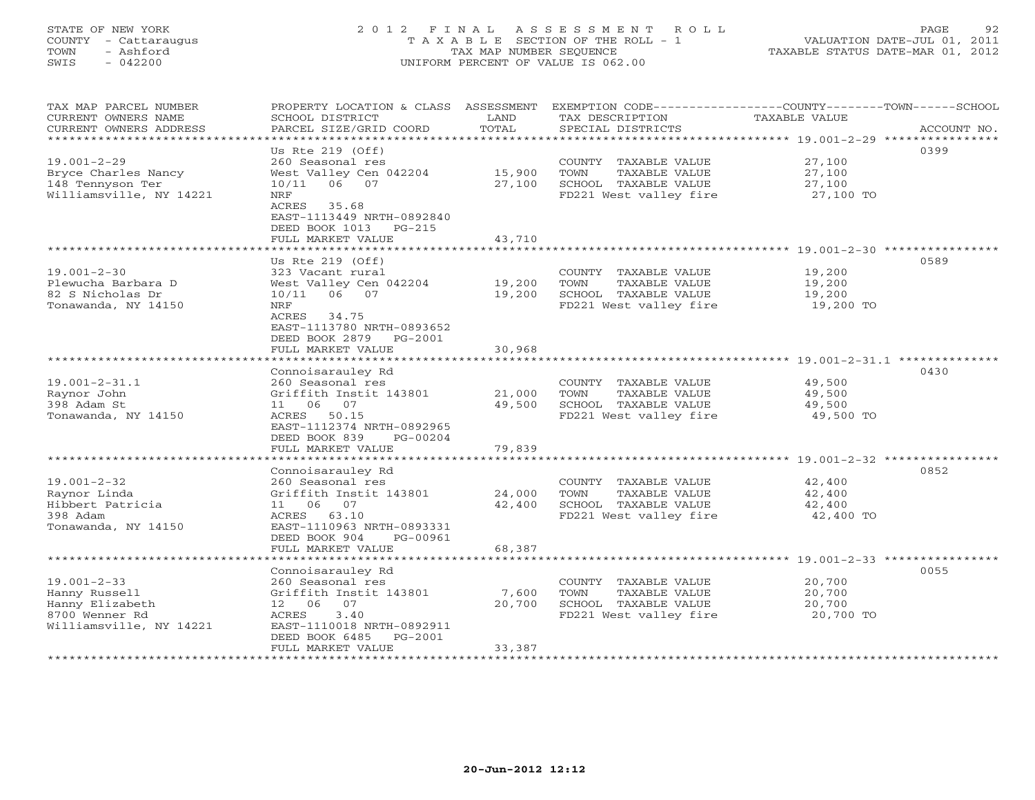# STATE OF NEW YORK 2 0 1 2 F I N A L A S S E S S M E N T R O L L PAGE 92 COUNTY - Cattaraugus T A X A B L E SECTION OF THE ROLL - 1 VALUATION DATE-JUL 01, 2011 TOWN - Ashford TAX MAP NUMBER SEQUENCE TAXABLE STATUS DATE-MAR 01, 2012 SWIS - 042200 UNIFORM PERCENT OF VALUE IS 062.00UNIFORM PERCENT OF VALUE IS 062.00

| TAX MAP PARCEL NUMBER<br>CURRENT OWNERS NAME<br>CURRENT OWNERS ADDRESS             | PROPERTY LOCATION & CLASS ASSESSMENT<br>SCHOOL DISTRICT<br>PARCEL SIZE/GRID COORD               | LAND<br>TOTAL         | TAX DESCRIPTION<br>SPECIAL DISTRICTS                                                                   | EXEMPTION CODE-----------------COUNTY-------TOWN------SCHOOL<br><b>TAXABLE VALUE</b><br>ACCOUNT NO. |
|------------------------------------------------------------------------------------|-------------------------------------------------------------------------------------------------|-----------------------|--------------------------------------------------------------------------------------------------------|-----------------------------------------------------------------------------------------------------|
| *************************                                                          |                                                                                                 |                       |                                                                                                        |                                                                                                     |
|                                                                                    | Us Rte 219 (Off)                                                                                |                       |                                                                                                        | 0399                                                                                                |
| $19.001 - 2 - 29$<br>Bryce Charles Nancy<br>148 Tennyson Ter                       | 260 Seasonal res<br>West Valley Cen 042204<br>06 07<br>10/11                                    | 15,900<br>27,100      | COUNTY TAXABLE VALUE<br>TOWN<br>TAXABLE VALUE<br>SCHOOL TAXABLE VALUE                                  | 27,100<br>27,100<br>27,100                                                                          |
| Williamsville, NY 14221                                                            | NRF<br>35.68<br>ACRES<br>EAST-1113449 NRTH-0892840<br>DEED BOOK 1013<br>$PG-215$                |                       | FD221 West valley fire                                                                                 | 27,100 TO                                                                                           |
|                                                                                    | FULL MARKET VALUE                                                                               | 43,710<br>*********** |                                                                                                        | ************************ 19.001-2-30 ***********                                                    |
|                                                                                    | Us Rte $219$ (Off)                                                                              |                       |                                                                                                        | 0589                                                                                                |
| $19.001 - 2 - 30$<br>Plewucha Barbara D<br>82 S Nicholas Dr<br>Tonawanda, NY 14150 | 323 Vacant rural<br>West Valley Cen 042204<br>06<br>07<br>10/11<br><b>NRF</b><br>ACRES<br>34.75 | 19,200<br>19,200      | COUNTY TAXABLE VALUE<br>TOWN<br>TAXABLE VALUE<br>SCHOOL TAXABLE VALUE<br>FD221 West valley fire        | 19,200<br>19,200<br>19,200<br>19,200 TO                                                             |
|                                                                                    | EAST-1113780 NRTH-0893652<br>DEED BOOK 2879<br>$PG-2001$<br>FULL MARKET VALUE                   | 30,968                |                                                                                                        |                                                                                                     |
|                                                                                    | Connoisarauley Rd                                                                               |                       |                                                                                                        | 0430                                                                                                |
| $19.001 - 2 - 31.1$                                                                | 260 Seasonal res                                                                                |                       | COUNTY TAXABLE VALUE                                                                                   | 49,500                                                                                              |
| Raynor John                                                                        | Griffith Instit 143801                                                                          | 21,000                | TAXABLE VALUE<br>TOWN                                                                                  | 49,500                                                                                              |
| 398 Adam St                                                                        | 11 06 07                                                                                        | 49,500                | SCHOOL TAXABLE VALUE                                                                                   | 49,500                                                                                              |
| Tonawanda, NY 14150                                                                | ACRES<br>50.15<br>EAST-1112374 NRTH-0892965<br>DEED BOOK 839<br>$PG-00204$                      |                       | FD221 West valley fire                                                                                 | 49,500 TO                                                                                           |
|                                                                                    | FULL MARKET VALUE                                                                               | 79,839                |                                                                                                        |                                                                                                     |
|                                                                                    | Connoisarauley Rd                                                                               |                       |                                                                                                        | 0852                                                                                                |
| $19.001 - 2 - 32$<br>Raynor Linda<br>Hibbert Patricia<br>398 Adam                  | 260 Seasonal res<br>Griffith Instit 143801<br>11 06<br>07<br>63.10<br>ACRES                     | 24,000<br>42,400      | COUNTY TAXABLE VALUE<br><b>TAXABLE VALUE</b><br>TOWN<br>SCHOOL TAXABLE VALUE<br>FD221 West valley fire | 42,400<br>42,400<br>42,400<br>42,400 TO                                                             |
| Tonawanda, NY 14150                                                                | EAST-1110963 NRTH-0893331<br>DEED BOOK 904<br>PG-00961<br>FULL MARKET VALUE                     | 68,387                |                                                                                                        |                                                                                                     |
|                                                                                    |                                                                                                 |                       |                                                                                                        |                                                                                                     |
|                                                                                    | Connoisarauley Rd                                                                               |                       |                                                                                                        | 0055                                                                                                |
| $19.001 - 2 - 33$<br>Hanny Russell                                                 | 260 Seasonal res<br>Griffith Instit 143801                                                      | 7,600                 | COUNTY TAXABLE VALUE<br>TOWN<br>TAXABLE VALUE                                                          | 20,700<br>20,700                                                                                    |
| Hanny Elizabeth                                                                    | 12 06 07                                                                                        | 20,700                | SCHOOL TAXABLE VALUE                                                                                   | 20,700                                                                                              |
| 8700 Wenner Rd<br>Williamsville, NY 14221                                          | ACRES<br>3.40<br>EAST-1110018 NRTH-0892911<br>DEED BOOK 6485<br>$PG-2001$                       |                       | FD221 West valley fire                                                                                 | 20,700 TO                                                                                           |
|                                                                                    | FULL MARKET VALUE                                                                               | 33,387                |                                                                                                        |                                                                                                     |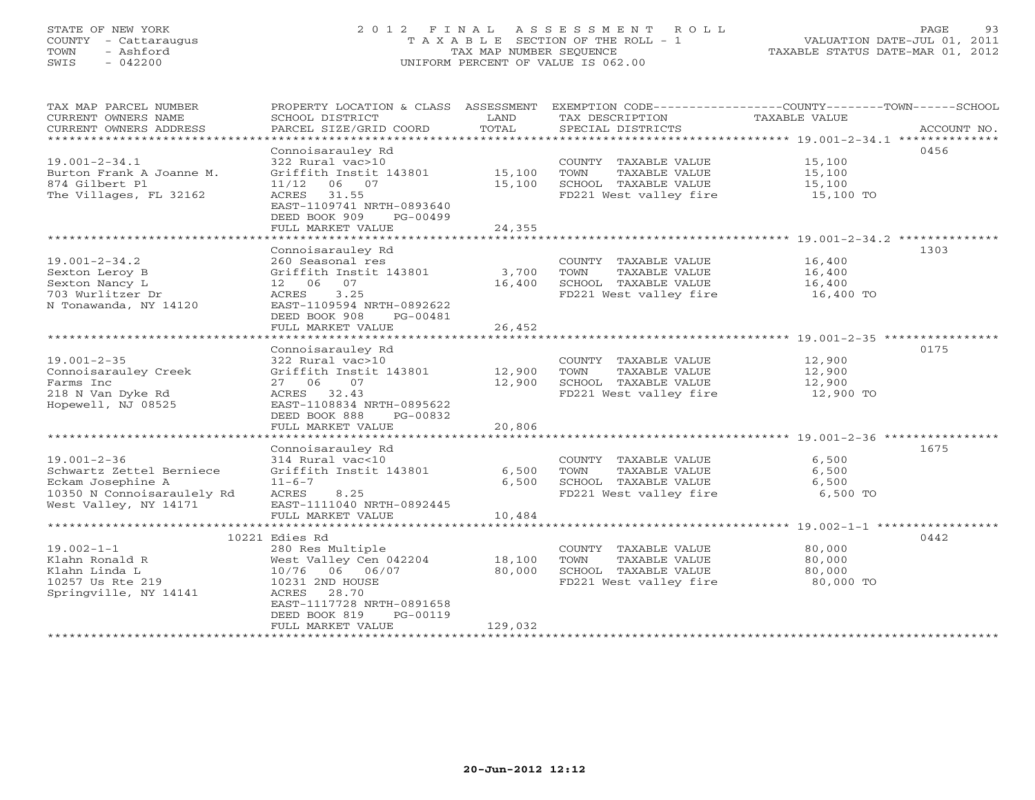# STATE OF NEW YORK 2 0 1 2 F I N A L A S S E S S M E N T R O L L PAGE 93 COUNTY - Cattaraugus T A X A B L E SECTION OF THE ROLL - 1 VALUATION DATE-JUL 01, 2011 TOWN - Ashford TAX MAP NUMBER SEQUENCE TAXABLE STATUS DATE-MAR 01, 2012 SWIS - 042200 UNIFORM PERCENT OF VALUE IS 062.00UNIFORM PERCENT OF VALUE IS 062.00

| TAX MAP PARCEL NUMBER<br>CURRENT OWNERS NAME<br>CURRENT OWNERS ADDRESS                               | PROPERTY LOCATION & CLASS ASSESSMENT<br>SCHOOL DISTRICT<br>PARCEL SIZE/GRID COORD                                           | LAND<br>TOTAL    | TAX DESCRIPTION<br>SPECIAL DISTRICTS                                                            | EXEMPTION CODE-----------------COUNTY-------TOWN------SCHOOL<br>TAXABLE VALUE<br>ACCOUNT NO. |
|------------------------------------------------------------------------------------------------------|-----------------------------------------------------------------------------------------------------------------------------|------------------|-------------------------------------------------------------------------------------------------|----------------------------------------------------------------------------------------------|
|                                                                                                      | Connoisarauley Rd                                                                                                           |                  |                                                                                                 | 0456                                                                                         |
| $19.001 - 2 - 34.1$<br>Burton Frank A Joanne M.<br>874 Gilbert Pl<br>The Villages, FL 32162          | 322 Rural vac>10<br>Griffith Instit 143801<br>11/12 06 07<br>ACRES 31.55                                                    | 15,100<br>15,100 | COUNTY TAXABLE VALUE<br>TOWN<br>TAXABLE VALUE<br>SCHOOL TAXABLE VALUE<br>FD221 West valley fire | 15,100<br>15,100<br>15,100<br>15,100 TO                                                      |
|                                                                                                      | EAST-1109741 NRTH-0893640<br>DEED BOOK 909<br>PG-00499<br>FULL MARKET VALUE                                                 | 24,355           |                                                                                                 |                                                                                              |
|                                                                                                      |                                                                                                                             |                  |                                                                                                 |                                                                                              |
| $19.001 - 2 - 34.2$<br>Sexton Leroy B<br>Sexton Nancy L<br>703 Wurlitzer Dr<br>N Tonawanda, NY 14120 | Connoisarauley Rd<br>260 Seasonal res<br>Griffith Instit 143801<br>12  06  07<br>ACRES<br>3.25<br>EAST-1109594 NRTH-0892622 | 3,700<br>16,400  | COUNTY TAXABLE VALUE<br>TOWN<br>TAXABLE VALUE<br>SCHOOL TAXABLE VALUE<br>FD221 West valley fire | 1303<br>16,400<br>16,400<br>16,400<br>16,400 TO                                              |
|                                                                                                      | DEED BOOK 908<br>PG-00481<br>FULL MARKET VALUE                                                                              | 26,452           |                                                                                                 |                                                                                              |
|                                                                                                      |                                                                                                                             |                  |                                                                                                 |                                                                                              |
|                                                                                                      | Connoisarauley Rd                                                                                                           |                  |                                                                                                 | 0175                                                                                         |
| $19.001 - 2 - 35$<br>Connoisarauley Creek                                                            | 322 Rural vac>10<br>Griffith Instit 143801                                                                                  | 12,900           | COUNTY TAXABLE VALUE<br>TOWN<br>TAXABLE VALUE                                                   | 12,900<br>12,900                                                                             |
| Farms Inc                                                                                            | 07<br>27 06                                                                                                                 | 12,900           | SCHOOL TAXABLE VALUE                                                                            | 12,900                                                                                       |
| 218 N Van Dyke Rd<br>Hopewell, NJ 08525                                                              | ACRES 32.43<br>EAST-1108834 NRTH-0895622<br>DEED BOOK 888<br>PG-00832                                                       |                  | FD221 West valley fire                                                                          | 12,900 TO                                                                                    |
|                                                                                                      | FULL MARKET VALUE                                                                                                           | 20,806           |                                                                                                 |                                                                                              |
|                                                                                                      |                                                                                                                             |                  |                                                                                                 |                                                                                              |
|                                                                                                      | Connoisarauley Rd                                                                                                           |                  |                                                                                                 | 1675                                                                                         |
| $19.001 - 2 - 36$<br>Schwartz Zettel Berniece                                                        | 314 Rural vac<10<br>Griffith Instit 143801                                                                                  | 6,500            | COUNTY TAXABLE VALUE<br>TOWN<br>TAXABLE VALUE                                                   | 6,500<br>6,500                                                                               |
| Eckam Josephine A                                                                                    | $11 - 6 - 7$                                                                                                                | 6,500            | SCHOOL TAXABLE VALUE                                                                            | 6,500                                                                                        |
| 10350 N Connoisaraulely Rd                                                                           | ACRES<br>8.25                                                                                                               |                  | FD221 West valley fire                                                                          | 6,500 TO                                                                                     |
| West Valley, NY 14171                                                                                | EAST-1111040 NRTH-0892445                                                                                                   |                  |                                                                                                 |                                                                                              |
|                                                                                                      | FULL MARKET VALUE                                                                                                           | 10,484           |                                                                                                 |                                                                                              |
|                                                                                                      |                                                                                                                             |                  |                                                                                                 |                                                                                              |
| $19.002 - 1 - 1$                                                                                     | 10221 Edies Rd<br>280 Res Multiple                                                                                          |                  | COUNTY TAXABLE VALUE                                                                            | 0442<br>80,000                                                                               |
| Klahn Ronald R                                                                                       | West Valley Cen 042204                                                                                                      | 18,100           | TOWN<br>TAXABLE VALUE                                                                           | 80,000                                                                                       |
| Klahn Linda L                                                                                        | 10/76 06 06/07                                                                                                              | 80,000           | SCHOOL TAXABLE VALUE                                                                            | 80,000                                                                                       |
| 10257 Us Rte 219                                                                                     | 10231 2ND HOUSE                                                                                                             |                  | FD221 West valley fire                                                                          | 80,000 TO                                                                                    |
| Springville, NY 14141                                                                                | ACRES<br>28.70<br>EAST-1117728 NRTH-0891658<br>DEED BOOK 819<br>PG-00119                                                    |                  |                                                                                                 |                                                                                              |
| **************************                                                                           | FULL MARKET VALUE<br>***********************                                                                                | 129,032          | ********************************                                                                |                                                                                              |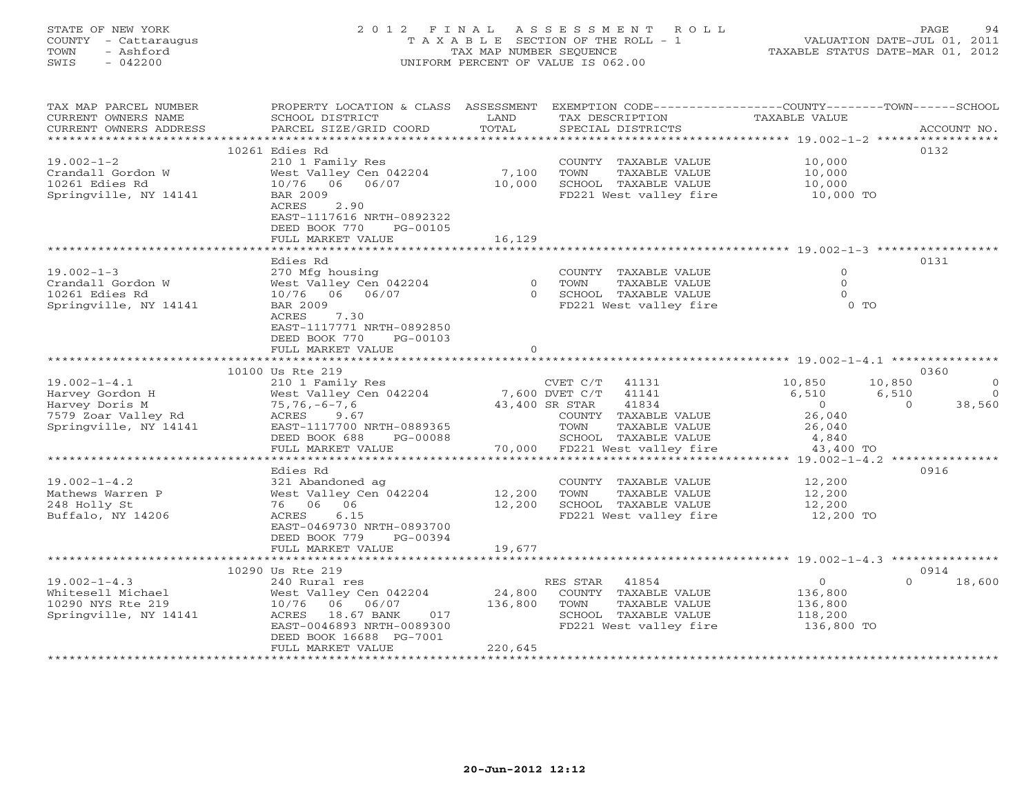# STATE OF NEW YORK 2 0 1 2 F I N A L A S S E S S M E N T R O L L PAGE 94 COUNTY - Cattaraugus T A X A B L E SECTION OF THE ROLL - 1 VALUATION DATE-JUL 01, 2011 TOWN - Ashford TAX MAP NUMBER SEQUENCE TAXABLE STATUS DATE-MAR 01, 2012 SWIS - 042200 UNIFORM PERCENT OF VALUE IS 062.00UNIFORM PERCENT OF VALUE IS 062.00

| TAX MAP PARCEL NUMBER<br>CURRENT OWNERS NAME | PROPERTY LOCATION & CLASS ASSESSMENT<br>SCHOOL DISTRICT | LAND    | EXEMPTION CODE-----------------COUNTY-------TOWN------SCHOOL<br>TAX DESCRIPTION | TAXABLE VALUE                 |                          |
|----------------------------------------------|---------------------------------------------------------|---------|---------------------------------------------------------------------------------|-------------------------------|--------------------------|
| CURRENT OWNERS ADDRESS                       | PARCEL SIZE/GRID COORD                                  | TOTAL   | SPECIAL DISTRICTS                                                               |                               | ACCOUNT NO.              |
|                                              |                                                         |         |                                                                                 |                               |                          |
|                                              | 10261 Edies Rd                                          |         |                                                                                 |                               | 0132                     |
| $19.002 - 1 - 2$                             | 210 1 Family Res                                        |         | COUNTY TAXABLE VALUE                                                            | 10,000                        |                          |
| Crandall Gordon W                            | West Valley Cen 042204                                  | 7,100   | TOWN<br>TAXABLE VALUE                                                           | 10,000                        |                          |
| 10261 Edies Rd                               | 10/76 06 06/07                                          | 10,000  | SCHOOL TAXABLE VALUE                                                            | 10,000<br>10,000<br>10,000 TO |                          |
| Springville, NY 14141                        | <b>BAR 2009</b>                                         |         | FD221 West valley fire                                                          |                               |                          |
|                                              | 2.90<br>ACRES                                           |         |                                                                                 |                               |                          |
|                                              | EAST-1117616 NRTH-0892322<br>DEED BOOK 770<br>PG-00105  |         |                                                                                 |                               |                          |
|                                              | FULL MARKET VALUE                                       | 16,129  |                                                                                 |                               |                          |
|                                              |                                                         |         |                                                                                 |                               |                          |
|                                              | Edies Rd                                                |         |                                                                                 |                               | 0131                     |
| $19.002 - 1 - 3$                             | 270 Mfg housing                                         |         | COUNTY TAXABLE VALUE                                                            | $\circ$                       |                          |
| Crandall Gordon W                            | West Valley Cen 042204<br>10/76 06 06/07                |         | 0 TOWN<br>TAXABLE VALUE                                                         | $\Omega$                      |                          |
| 10261 Edies Rd                               |                                                         |         | 0 SCHOOL TAXABLE VALUE                                                          | $\Omega$                      |                          |
| Springville, NY 14141                        | BAR 2009                                                |         | FD221 West valley fire                                                          | $0$ TO                        |                          |
|                                              | ACRES<br>7.30                                           |         |                                                                                 |                               |                          |
|                                              | EAST-1117771 NRTH-0892850                               |         |                                                                                 |                               |                          |
|                                              | DEED BOOK 770<br>PG-00103<br>FULL MARKET VALUE          | $\circ$ |                                                                                 |                               |                          |
|                                              |                                                         |         |                                                                                 |                               |                          |
|                                              | 10100 Us Rte 219                                        |         |                                                                                 |                               | 0360                     |
| $19.002 - 1 - 4.1$                           | 210 1 Family Res                                        |         | CVET C/T 41131                                                                  | 10,850<br>10,850              | $\circ$                  |
| Harvey Gordon H                              | West Valley Cen 042204                                  |         | 7,600 DVET C/T 41141                                                            | 6,510<br>6,510                | $\bigcirc$               |
| Harvey Doris M                               | 75,76,-6-7,6                                            |         | 43,400 SR STAR<br>41834                                                         | $\overline{0}$                | 38,560<br>$\overline{0}$ |
| 7579 Zoar Valley Rd<br>Springville, NY 14141 | ACRES<br>9.67                                           |         | COUNTY TAXABLE VALUE                                                            | 26,040                        |                          |
| Springville, NY 14141                        | EAST-1117700 NRTH-0889365                               |         | TOWN<br>TAXABLE VALUE                                                           | 26,040                        |                          |
|                                              | DEED BOOK 688<br>PG-00088                               |         | SCHOOL TAXABLE VALUE                                                            | $4,840$<br>$43,400$           |                          |
|                                              | FULL MARKET VALUE                                       |         | 70,000 FD221 West valley fire                                                   | 43,400 TO                     |                          |
|                                              | Edies Rd                                                |         |                                                                                 |                               | 0916                     |
| $19.002 - 1 - 4.2$                           | 321 Abandoned ag                                        |         | COUNTY TAXABLE VALUE                                                            | 12,200                        |                          |
| Mathews Warren P                             | West Valley Cen 042204 12,200                           |         | TOWN<br>TAXABLE VALUE                                                           | 12,200                        |                          |
| 248 Holly St                                 | 76 06 06                                                | 12,200  | SCHOOL TAXABLE VALUE                                                            | 12,200                        |                          |
| Buffalo, NY 14206                            | 6.15<br>ACRES                                           |         | FD221 West valley fire                                                          | 12,200 TO                     |                          |
|                                              | EAST-0469730 NRTH-0893700                               |         |                                                                                 |                               |                          |
|                                              | DEED BOOK 779<br>PG-00394                               |         |                                                                                 |                               |                          |
|                                              | FULL MARKET VALUE                                       | 19,677  |                                                                                 |                               |                          |
|                                              | 10290 Us Rte 219                                        |         |                                                                                 |                               | 0914                     |
| $19.002 - 1 - 4.3$                           | 240 Rural res                                           |         | RES STAR<br>41854                                                               | $\overline{0}$                | $\Omega$<br>18,600       |
| Whitesell Michael                            | West Valley Cen 042204                                  | 24,800  | COUNTY TAXABLE VALUE                                                            | 136,800                       |                          |
| 10290 NYS Rte 219                            | 10/76 06 06/07                                          | 136,800 | TAXABLE VALUE<br>TOWN                                                           | 136,800                       |                          |
| Springville, NY 14141                        | ACRES 18.67 BANK<br>017                                 |         | SCHOOL TAXABLE VALUE                                                            | 118,200                       |                          |
|                                              | EAST-0046893 NRTH-0089300                               |         | FD221 West valley fire                                                          | 136,800 TO                    |                          |
|                                              | DEED BOOK 16688 PG-7001                                 |         |                                                                                 |                               |                          |
|                                              | FULL MARKET VALUE                                       | 220,645 |                                                                                 |                               |                          |
|                                              |                                                         |         |                                                                                 |                               |                          |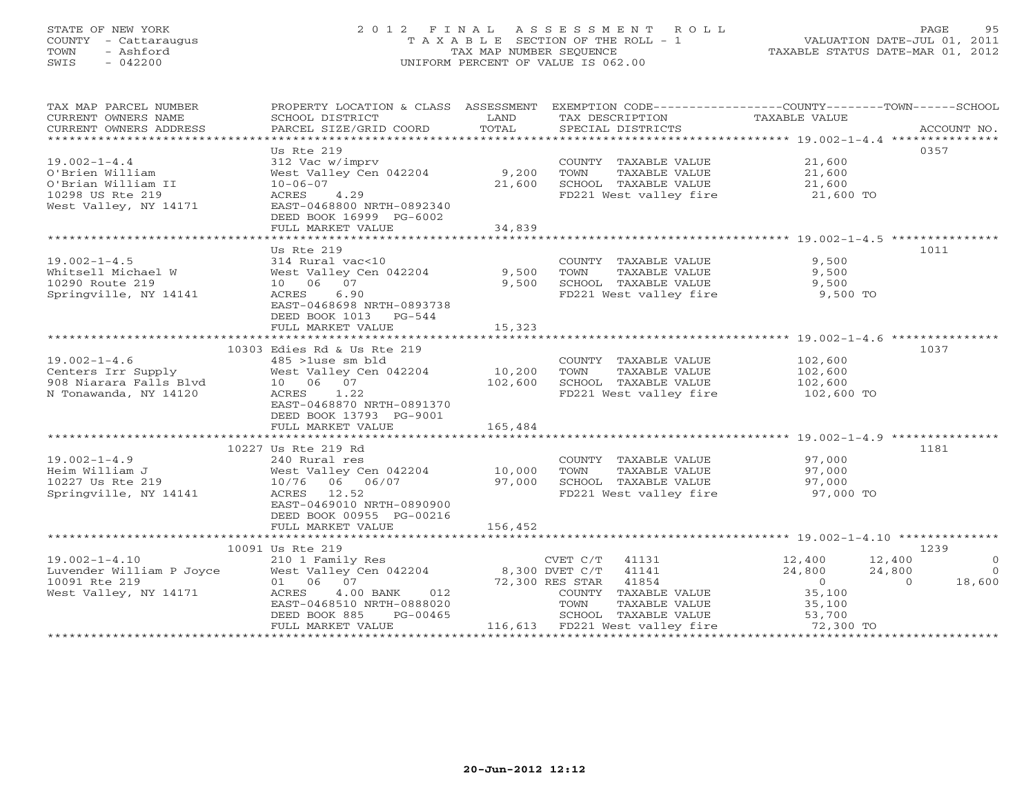# STATE OF NEW YORK 2 0 1 2 F I N A L A S S E S S M E N T R O L L PAGE 95 COUNTY - Cattaraugus T A X A B L E SECTION OF THE ROLL - 1 VALUATION DATE-JUL 01, 2011 TOWN - Ashford TAX MAP NUMBER SEQUENCE TAXABLE STATUS DATE-MAR 01, 2012 SWIS - 042200 UNIFORM PERCENT OF VALUE IS 062.00UNIFORM PERCENT OF VALUE IS 062.00

| TAX MAP PARCEL NUMBER<br>CURRENT OWNERS NAME                                                                                                                                                                                                     | PROPERTY LOCATION & CLASS ASSESSMENT<br>SCHOOL DISTRICT                 | LAND    | TAX DESCRIPTION                                                 | EXEMPTION CODE----------------COUNTY-------TOWN------SCHOOL<br>TAXABLE VALUE |
|--------------------------------------------------------------------------------------------------------------------------------------------------------------------------------------------------------------------------------------------------|-------------------------------------------------------------------------|---------|-----------------------------------------------------------------|------------------------------------------------------------------------------|
|                                                                                                                                                                                                                                                  |                                                                         |         |                                                                 |                                                                              |
| $19.002 - 1 - 4.4$                                                                                                                                                                                                                               | Us Rte 219<br>312 Vac w/imprv                                           |         | COUNTY TAXABLE VALUE 21,600                                     | 0357                                                                         |
| O'Brien William                                                                                                                                                                                                                                  | West Valley Cen 042204 9,200                                            |         | TAXABLE VALUE 21,600<br>TOWN                                    |                                                                              |
| O'Brian William II                                                                                                                                                                                                                               | $10 - 06 - 07$                                                          | 21,600  | SCHOOL TAXABLE VALUE 21,600<br>FD221 West valley fire 21,600 TO |                                                                              |
| 10298 US Rte 219                                                                                                                                                                                                                                 | 4.29<br>ACRES                                                           |         |                                                                 |                                                                              |
| West Valley, NY 14171                                                                                                                                                                                                                            | EAST-0468800 NRTH-0892340                                               |         |                                                                 |                                                                              |
|                                                                                                                                                                                                                                                  | DEED BOOK 16999 PG-6002<br>FULL MARKET VALUE                            | 34,839  |                                                                 |                                                                              |
|                                                                                                                                                                                                                                                  |                                                                         |         |                                                                 |                                                                              |
|                                                                                                                                                                                                                                                  | Us Rte 219                                                              |         |                                                                 | 1011                                                                         |
|                                                                                                                                                                                                                                                  | 314 Rural vac<10                                                        |         | COUNTY TAXABLE VALUE 9,500                                      |                                                                              |
|                                                                                                                                                                                                                                                  | West Valley Cen 042204                                                  | 9,500   |                                                                 |                                                                              |
| 19.002-1-4.5<br>Whitsell Michael W West Valley C<br>10 06 07                                                                                                                                                                                     |                                                                         | 9,500   |                                                                 |                                                                              |
| Springville, NY 14141                                                                                                                                                                                                                            | ACRES<br>6.90                                                           |         | FD221 West valley fire 9,500 TO                                 |                                                                              |
|                                                                                                                                                                                                                                                  | EAST-0468698 NRTH-0893738                                               |         |                                                                 |                                                                              |
|                                                                                                                                                                                                                                                  | DEED BOOK 1013 PG-544                                                   |         |                                                                 |                                                                              |
|                                                                                                                                                                                                                                                  | FULL MARKET VALUE                                                       | 15,323  |                                                                 |                                                                              |
|                                                                                                                                                                                                                                                  |                                                                         |         |                                                                 |                                                                              |
|                                                                                                                                                                                                                                                  | 10303 Edies Rd & Us Rte 219                                             |         |                                                                 | 1037                                                                         |
|                                                                                                                                                                                                                                                  |                                                                         |         | COUNTY TAXABLE VALUE 102,600<br>TOWN<br>TAXABLE VALUE           | 102,600                                                                      |
|                                                                                                                                                                                                                                                  |                                                                         |         | SCHOOL TAXABLE VALUE                                            | 102,600                                                                      |
| 19.002-1-4.6<br>Centers Irr Supply<br>908 Niarara Falls Blvd<br>N Tonawanda, NY 14120<br>2008 Niarara Falls Blvd<br>2008 N Tonawanda, NY 14120<br>2008 N Tonawanda, NY 14120<br>2008 N Tonawanda, NY 14120<br>2008 N Tonawanda, NY 14120<br>2008 |                                                                         |         | FD221 West valley fire 102,600 TO                               |                                                                              |
|                                                                                                                                                                                                                                                  | EAST-0468870 NRTH-0891370                                               |         |                                                                 |                                                                              |
|                                                                                                                                                                                                                                                  | DEED BOOK 13793 PG-9001                                                 |         |                                                                 |                                                                              |
|                                                                                                                                                                                                                                                  | FULL MARKET VALUE                                                       | 165,484 |                                                                 |                                                                              |
|                                                                                                                                                                                                                                                  |                                                                         |         |                                                                 |                                                                              |
|                                                                                                                                                                                                                                                  | 10227 Us Rte 219 Rd                                                     |         |                                                                 | 1181                                                                         |
| $19.002 - 1 - 4.9$                                                                                                                                                                                                                               | 240 Rural res                                                           |         | COUNTY TAXABLE VALUE 97,000<br>TOWN TAXABLE VALUE 97,000        |                                                                              |
| Heim William J                                                                                                                                                                                                                                   | 240 Rural res<br>West Valley Cen 042204 10,000<br>10/76 06 06/07 97,000 |         |                                                                 |                                                                              |
| 10227 Us Rte 219                                                                                                                                                                                                                                 |                                                                         |         | SCHOOL TAXABLE VALUE                                            | 97,000                                                                       |
| Springville, NY 14141                                                                                                                                                                                                                            | ACRES 12.52<br>EAST-0469010 NRTH-0890900                                |         | FD221 West valley fire                                          | 97,000 TO                                                                    |
|                                                                                                                                                                                                                                                  | DEED BOOK 00955 PG-00216                                                |         |                                                                 |                                                                              |
|                                                                                                                                                                                                                                                  | FULL MARKET VALUE                                                       | 156,452 |                                                                 |                                                                              |
|                                                                                                                                                                                                                                                  |                                                                         |         |                                                                 |                                                                              |
|                                                                                                                                                                                                                                                  | 10091 Us Rte 219                                                        |         |                                                                 | 1239                                                                         |
|                                                                                                                                                                                                                                                  |                                                                         |         |                                                                 | 12,400<br>12,400<br>$\overline{0}$                                           |
|                                                                                                                                                                                                                                                  |                                                                         |         |                                                                 | 24,800<br>24,800<br>$\overline{0}$                                           |
| 19.002-1-4.10<br>Luvender William P Joyce Mest Valley Cen 042204 8,300 DVET C/T 41131<br>10091 Rte 219 01 06 07 72.200 PEG CONTRACTER                                                                                                            |                                                                         |         |                                                                 | 18,600<br>$\overline{0}$<br>$\overline{0}$                                   |
| West Valley, NY 14171                                                                                                                                                                                                                            | 4.00 BANK 012<br>ACRES                                                  |         | COUNTY TAXABLE VALUE                                            | 35,100                                                                       |
|                                                                                                                                                                                                                                                  | EAST-0468510 NRTH-0888020                                               |         |                                                                 |                                                                              |
|                                                                                                                                                                                                                                                  | DEED BOOK 885<br>PG-00465                                               |         |                                                                 |                                                                              |
|                                                                                                                                                                                                                                                  | FULL MARKET VALUE                                                       |         | 116,613 FD221 West valley fire                                  | 72,300 TO                                                                    |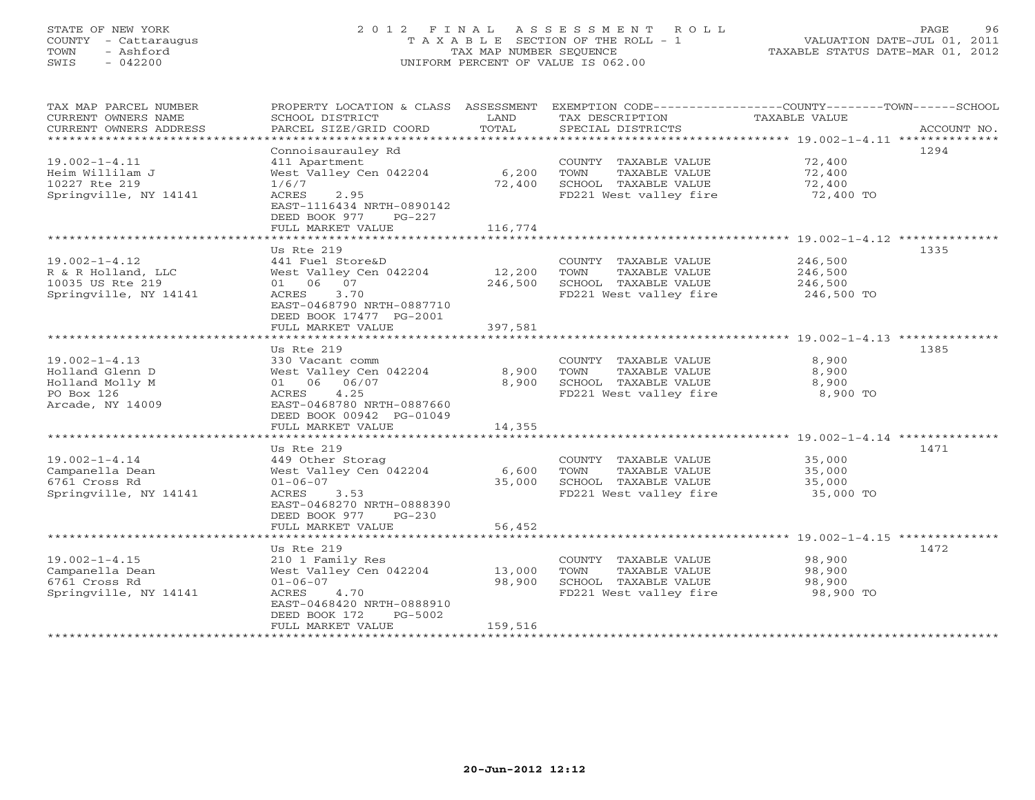# STATE OF NEW YORK 2 0 1 2 F I N A L A S S E S S M E N T R O L L PAGE 96 COUNTY - Cattaraugus T A X A B L E SECTION OF THE ROLL - 1 VALUATION DATE-JUL 01, 2011 TOWN - Ashford TAX MAP NUMBER SEQUENCE TAXABLE STATUS DATE-MAR 01, 2012 SWIS - 042200 UNIFORM PERCENT OF VALUE IS 062.00UNIFORM PERCENT OF VALUE IS 062.00

| TAX MAP PARCEL NUMBER<br>CURRENT OWNERS NAME<br>CURRENT OWNERS ADDRESS<br>************************ | PROPERTY LOCATION & CLASS ASSESSMENT<br>SCHOOL DISTRICT<br>PARCEL SIZE/GRID COORD                                                                                                                           | LAND<br>TOTAL               | TAX DESCRIPTION<br>SPECIAL DISTRICTS                                                            | EXEMPTION CODE-----------------COUNTY-------TOWN-----SCHOOL<br>TAXABLE VALUE<br>ACCOUNT NO. |
|----------------------------------------------------------------------------------------------------|-------------------------------------------------------------------------------------------------------------------------------------------------------------------------------------------------------------|-----------------------------|-------------------------------------------------------------------------------------------------|---------------------------------------------------------------------------------------------|
| $19.002 - 1 - 4.11$<br>Heim Willilam J<br>10227 Rte 219<br>Springville, NY 14141                   | Connoisaurauley Rd<br>411 Apartment<br>West Valley Cen 042204<br>1/6/7<br>2.95<br>ACRES<br>EAST-1116434 NRTH-0890142<br>DEED BOOK 977<br>$PG-227$<br>FULL MARKET VALUE                                      | 6,200<br>72,400<br>116,774  | COUNTY TAXABLE VALUE<br>TAXABLE VALUE<br>TOWN<br>SCHOOL TAXABLE VALUE<br>FD221 West valley fire | 1294<br>72,400<br>72,400<br>72,400<br>72,400 TO                                             |
|                                                                                                    | Us Rte 219                                                                                                                                                                                                  |                             |                                                                                                 | 1335                                                                                        |
| $19.002 - 1 - 4.12$<br>R & R Holland, LLC<br>10035 US Rte 219<br>Springville, NY 14141             | 441 Fuel Store&D<br>West Valley Cen 042204<br>01 06 07<br>3.70<br>ACRES<br>EAST-0468790 NRTH-0887710<br>DEED BOOK 17477 PG-2001                                                                             | 12,200<br>246,500           | COUNTY TAXABLE VALUE<br>TOWN<br>TAXABLE VALUE<br>SCHOOL TAXABLE VALUE<br>FD221 West valley fire | 246,500<br>246,500<br>246,500<br>246,500 TO                                                 |
|                                                                                                    | FULL MARKET VALUE                                                                                                                                                                                           | 397,581                     |                                                                                                 |                                                                                             |
| $19.002 - 1 - 4.13$<br>Holland Glenn D<br>Holland Molly M<br>PO Box 126<br>Arcade, NY 14009        | Us Rte 219<br>330 Vacant comm<br>West Valley Cen 042204<br>01 06 06/07<br>4.25<br>ACRES<br>EAST-0468780 NRTH-0887660<br>DEED BOOK 00942 PG-01049                                                            | 8,900<br>8,900              | COUNTY TAXABLE VALUE<br>TOWN<br>TAXABLE VALUE<br>SCHOOL TAXABLE VALUE<br>FD221 West valley fire | 1385<br>8,900<br>8,900<br>8,900<br>8,900 TO                                                 |
|                                                                                                    | FULL MARKET VALUE                                                                                                                                                                                           | 14,355                      |                                                                                                 |                                                                                             |
| $19.002 - 1 - 4.14$<br>Campanella Dean<br>6761 Cross Rd<br>Springville, NY 14141                   | Us Rte 219<br>449 Other Storag<br>West Valley Cen 042204<br>$01 - 06 - 07$<br>ACRES<br>3.53<br>EAST-0468270 NRTH-0888390<br>DEED BOOK 977<br>$PG-230$<br>FULL MARKET VALUE<br>***************************** | 6,600<br>35,000<br>56,452   | COUNTY TAXABLE VALUE<br>TAXABLE VALUE<br>TOWN<br>SCHOOL TAXABLE VALUE<br>FD221 West valley fire | 1471<br>35,000<br>35,000<br>35,000<br>35,000 TO                                             |
|                                                                                                    | Us Rte 219                                                                                                                                                                                                  |                             |                                                                                                 | 1472                                                                                        |
| $19.002 - 1 - 4.15$<br>Campanella Dean<br>6761 Cross Rd<br>Springville, NY 14141                   | 210 1 Family Res<br>West Valley Cen 042204<br>$01 - 06 - 07$<br>ACRES<br>4.70<br>EAST-0468420 NRTH-0888910<br>DEED BOOK 172<br>PG-5002<br>FULL MARKET VALUE                                                 | 13,000<br>98,900<br>159,516 | COUNTY TAXABLE VALUE<br>TOWN<br>TAXABLE VALUE<br>SCHOOL TAXABLE VALUE<br>FD221 West valley fire | 98,900<br>98,900<br>98,900<br>98,900 TO                                                     |
|                                                                                                    | *************************                                                                                                                                                                                   |                             |                                                                                                 |                                                                                             |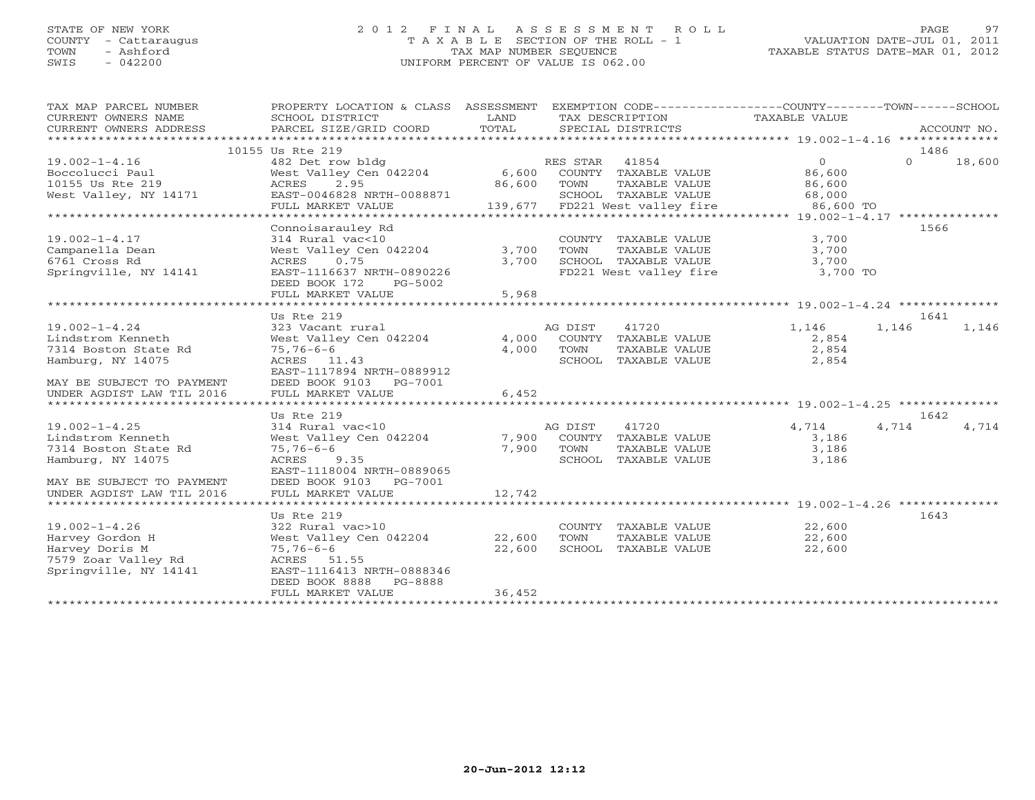# STATE OF NEW YORK 2 0 1 2 F I N A L A S S E S S M E N T R O L L PAGE 97 COUNTY - Cattaraugus T A X A B L E SECTION OF THE ROLL - 1 VALUATION DATE-JUL 01, 2011 TOWN - Ashford TAX MAP NUMBER SEQUENCE TAXABLE STATUS DATE-MAR 01, 2012 SWIS - 042200 UNIFORM PERCENT OF VALUE IS 062.00UNIFORM PERCENT OF VALUE IS 062.00

| TAX MAP PARCEL NUMBER<br>CURRENT OWNERS NAME<br>CURRENT OWNERS ADDRESS | PROPERTY LOCATION & CLASS ASSESSMENT<br>SCHOOL DISTRICT<br>PARCEL SIZE/GRID COORD | LAND<br>TOTAL |          | TAX DESCRIPTION<br>SPECIAL DISTRICTS | EXEMPTION CODE-----------------COUNTY-------TOWN------SCHOOL<br>TAXABLE VALUE |          | ACCOUNT NO. |
|------------------------------------------------------------------------|-----------------------------------------------------------------------------------|---------------|----------|--------------------------------------|-------------------------------------------------------------------------------|----------|-------------|
|                                                                        |                                                                                   |               |          |                                      |                                                                               | 1486     |             |
| $19.002 - 1 - 4.16$                                                    | 10155 Us Rte 219<br>482 Det row bldg                                              |               | RES STAR | 41854                                | $\Omega$                                                                      | $\Omega$ | 18,600      |
| Boccolucci Paul                                                        | West Valley Cen 042204                                                            | 6,600         |          | COUNTY TAXABLE VALUE                 | 86,600                                                                        |          |             |
| 10155 Us Rte 219                                                       | 2.95<br>ACRES                                                                     | 86,600        | TOWN     | TAXABLE VALUE                        | 86,600                                                                        |          |             |
| West Valley, NY 14171                                                  | EAST-0046828 NRTH-0088871                                                         |               |          | SCHOOL TAXABLE VALUE                 | 68,000                                                                        |          |             |
|                                                                        | FULL MARKET VALUE                                                                 | 139,677       |          | FD221 West valley fire               | 86,600 TO                                                                     |          |             |
| **************************                                             |                                                                                   |               |          |                                      |                                                                               |          |             |
|                                                                        | Connoisarauley Rd                                                                 |               |          |                                      |                                                                               | 1566     |             |
| $19.002 - 1 - 4.17$                                                    | 314 Rural vac<10                                                                  |               |          | COUNTY TAXABLE VALUE                 | 3,700                                                                         |          |             |
| Campanella Dean                                                        | West Valley Cen 042204                                                            | 3,700         | TOWN     | TAXABLE VALUE                        | 3,700                                                                         |          |             |
| 6761 Cross Rd                                                          | 0.75<br>ACRES                                                                     | 3,700         |          | SCHOOL TAXABLE VALUE                 | 3,700                                                                         |          |             |
| Springville, NY 14141                                                  | EAST-1116637 NRTH-0890226                                                         |               |          | FD221 West valley fire               | 3,700 TO                                                                      |          |             |
|                                                                        | DEED BOOK 172<br>PG-5002                                                          |               |          |                                      |                                                                               |          |             |
|                                                                        | FULL MARKET VALUE                                                                 | 5,968         |          |                                      |                                                                               |          |             |
|                                                                        |                                                                                   |               |          |                                      |                                                                               |          |             |
|                                                                        | Us Rte 219                                                                        |               |          |                                      |                                                                               | 1641     |             |
| $19.002 - 1 - 4.24$                                                    | 323 Vacant rural                                                                  |               | AG DIST  | 41720                                | 1,146                                                                         | 1,146    | 1,146       |
| Lindstrom Kenneth                                                      | West Valley Cen 042204                                                            | 4,000         |          | COUNTY TAXABLE VALUE                 | 2,854                                                                         |          |             |
| 7314 Boston State Rd                                                   | $75,76-6-6$                                                                       | 4,000         | TOWN     | TAXABLE VALUE                        | 2,854                                                                         |          |             |
| Hamburg, NY 14075                                                      | ACRES 11.43                                                                       |               |          | SCHOOL TAXABLE VALUE                 | 2,854                                                                         |          |             |
|                                                                        | EAST-1117894 NRTH-0889912                                                         |               |          |                                      |                                                                               |          |             |
| MAY BE SUBJECT TO PAYMENT                                              | DEED BOOK 9103<br>PG-7001                                                         |               |          |                                      |                                                                               |          |             |
| UNDER AGDIST LAW TIL 2016                                              | FULL MARKET VALUE                                                                 | 6.452         |          |                                      |                                                                               |          |             |
|                                                                        |                                                                                   |               |          |                                      |                                                                               |          |             |
|                                                                        | Us Rte 219                                                                        |               |          |                                      |                                                                               | 1642     |             |
| $19.002 - 1 - 4.25$                                                    | 314 Rural vac<10                                                                  |               | AG DIST  | 41720                                | 4,714                                                                         | 4,714    | 4,714       |
| Lindstrom Kenneth                                                      | West Valley Cen 042204                                                            | 7,900         |          | COUNTY TAXABLE VALUE                 | 3,186                                                                         |          |             |
| 7314 Boston State Rd                                                   | $75,76-6-6$                                                                       | 7,900         | TOWN     | TAXABLE VALUE                        | 3,186                                                                         |          |             |
| Hamburg, NY 14075                                                      | ACRES<br>9.35                                                                     |               |          | SCHOOL TAXABLE VALUE                 | 3,186                                                                         |          |             |
|                                                                        | EAST-1118004 NRTH-0889065                                                         |               |          |                                      |                                                                               |          |             |
| MAY BE SUBJECT TO PAYMENT                                              | DEED BOOK 9103 PG-7001                                                            |               |          |                                      |                                                                               |          |             |
| UNDER AGDIST LAW TIL 2016                                              | FULL MARKET VALUE                                                                 | 12,742        |          |                                      |                                                                               |          |             |
|                                                                        | Us Rte 219                                                                        |               |          |                                      |                                                                               | 1643     |             |
| $19.002 - 1 - 4.26$                                                    | 322 Rural vac>10                                                                  |               | COUNTY   | TAXABLE VALUE                        | 22,600                                                                        |          |             |
| Harvey Gordon H                                                        | West Valley Cen 042204                                                            | 22,600        | TOWN     | TAXABLE VALUE                        | 22,600                                                                        |          |             |
| Harvey Doris M                                                         | $75,76-6-6$                                                                       | 22,600        |          | SCHOOL TAXABLE VALUE                 | 22,600                                                                        |          |             |
| 7579 Zoar Valley Rd                                                    | ACRES 51.55                                                                       |               |          |                                      |                                                                               |          |             |
| Springville, NY 14141                                                  | EAST-1116413 NRTH-0888346                                                         |               |          |                                      |                                                                               |          |             |
|                                                                        | DEED BOOK 8888<br>PG-8888                                                         |               |          |                                      |                                                                               |          |             |
|                                                                        | FULL MARKET VALUE                                                                 | 36,452        |          |                                      |                                                                               |          |             |
| **********************                                                 |                                                                                   |               |          |                                      |                                                                               |          |             |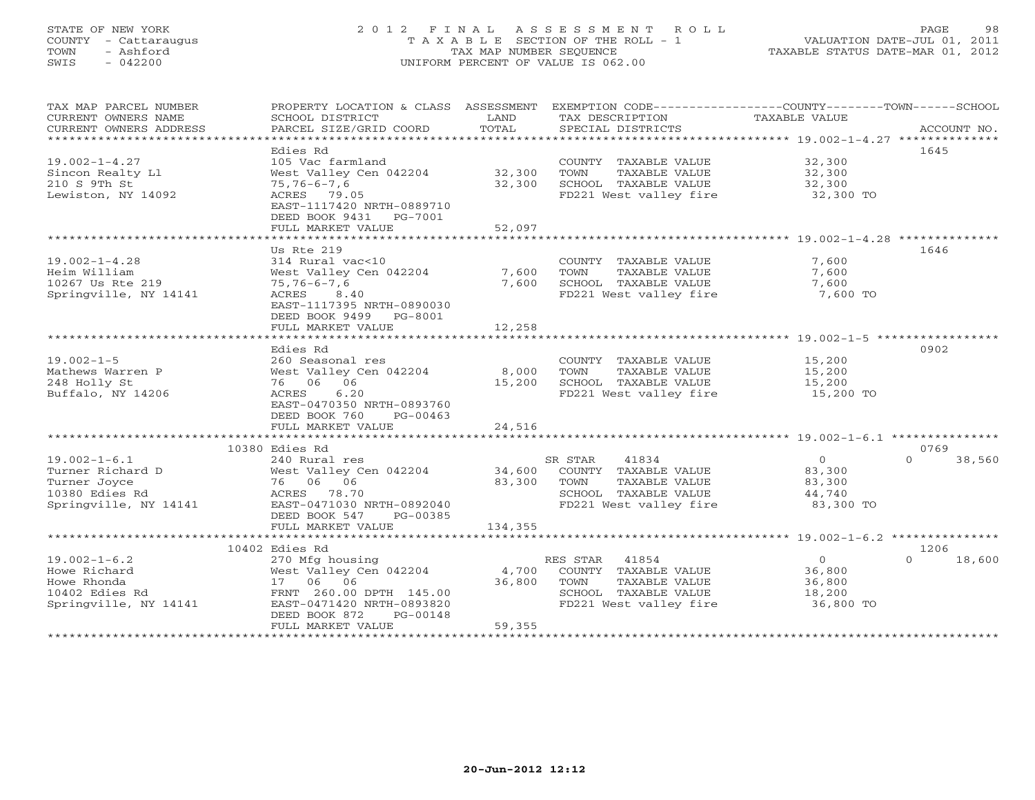# STATE OF NEW YORK 2 0 1 2 F I N A L A S S E S S M E N T R O L L PAGE 98 COUNTY - Cattaraugus T A X A B L E SECTION OF THE ROLL - 1 VALUATION DATE-JUL 01, 2011 TOWN - Ashford TAX MAP NUMBER SEQUENCE TAXABLE STATUS DATE-MAR 01, 2012 SWIS - 042200 UNIFORM PERCENT OF VALUE IS 062.00

| TAX MAP PARCEL NUMBER<br>CURRENT OWNERS NAME<br>CURRENT OWNERS ADDRESS | PROPERTY LOCATION & CLASS ASSESSMENT<br>SCHOOL DISTRICT<br>PARCEL SIZE/GRID COORD         | LAND<br>TOTAL | TAX DESCRIPTION<br>SPECIAL DISTRICTS           | EXEMPTION CODE-----------------COUNTY-------TOWN------SCHOOL<br>TAXABLE VALUE<br>ACCOUNT NO. |
|------------------------------------------------------------------------|-------------------------------------------------------------------------------------------|---------------|------------------------------------------------|----------------------------------------------------------------------------------------------|
|                                                                        |                                                                                           |               |                                                |                                                                                              |
| $19.002 - 1 - 4.27$<br>Sincon Realty Ll                                | Edies Rd<br>105 Vac farmland<br>West Valley Cen 042204                                    | 32,300        | COUNTY TAXABLE VALUE<br>TOWN<br>TAXABLE VALUE  | 1645<br>32,300<br>32,300                                                                     |
| 210 S 9Th St<br>Lewiston, NY 14092                                     | $75, 76 - 6 - 7, 6$<br>ACRES 79.05<br>EAST-1117420 NRTH-0889710<br>DEED BOOK 9431 PG-7001 | 32,300        | SCHOOL TAXABLE VALUE<br>FD221 West valley fire | 32,300<br>32,300 TO                                                                          |
|                                                                        | FULL MARKET VALUE                                                                         | 52,097        |                                                |                                                                                              |
|                                                                        |                                                                                           |               |                                                |                                                                                              |
|                                                                        | Us Rte 219                                                                                |               |                                                | 1646                                                                                         |
| $19.002 - 1 - 4.28$                                                    | 314 Rural vac<10                                                                          |               | COUNTY TAXABLE VALUE                           | 7,600                                                                                        |
| Heim William                                                           | West Valley Cen 042204                                                                    | 7,600         | TOWN<br>TAXABLE VALUE                          | 7,600                                                                                        |
| 10267 Us Rte 219                                                       | 75,76-6-7,6                                                                               | 7,600         | SCHOOL TAXABLE VALUE                           | 7,600                                                                                        |
| Springville, NY 14141                                                  | ACRES 8.40<br>EAST-1117395 NRTH-0890030<br>DEED BOOK 9499 PG-8001                         |               | FD221 West valley fire                         | 7,600 TO                                                                                     |
|                                                                        | FULL MARKET VALUE                                                                         | 12,258        |                                                |                                                                                              |
|                                                                        |                                                                                           |               |                                                |                                                                                              |
|                                                                        | Edies Rd                                                                                  |               |                                                | 0902                                                                                         |
| $19.002 - 1 - 5$                                                       | 260 Seasonal res                                                                          |               | COUNTY TAXABLE VALUE                           | 15,200                                                                                       |
| Mathews Warren P                                                       | West Valley Cen 042204                                                                    | 8,000         | TOWN<br>TAXABLE VALUE                          | 15,200                                                                                       |
| 248 Holly St                                                           | 76 06 06                                                                                  | 15,200        | SCHOOL TAXABLE VALUE                           | 15,200                                                                                       |
| Buffalo, NY 14206                                                      | 6.20<br>ACRES<br>EAST-0470350 NRTH-0893760<br>DEED BOOK 760<br>PG-00463                   |               | FD221 West valley fire                         | 15,200 TO                                                                                    |
|                                                                        | FULL MARKET VALUE                                                                         | 24,516        |                                                |                                                                                              |
|                                                                        |                                                                                           |               |                                                |                                                                                              |
|                                                                        | 10380 Edies Rd                                                                            |               |                                                | 0769                                                                                         |
| $19.002 - 1 - 6.1$                                                     | 240 Rural res                                                                             |               | SR STAR<br>41834                               | $\overline{0}$<br>$\Omega$<br>38,560                                                         |
| Turner Richard D                                                       | West Valley Cen 042204                                                                    | 34,600        | COUNTY TAXABLE VALUE                           | 83,300                                                                                       |
| Turner Joyce                                                           | 76 06 06                                                                                  | 83,300        | TAXABLE VALUE<br>TOWN                          | 83,300                                                                                       |
| 10380 Edies Rd                                                         | ACRES 78.70                                                                               |               | SCHOOL TAXABLE VALUE                           | 44,740                                                                                       |
| Springville, NY 14141 EAST-0471030 NRTH-0892040                        | DEED BOOK 547 PG-00385                                                                    |               | FD221 West valley fire                         | 83,300 TO                                                                                    |
|                                                                        | FULL MARKET VALUE                                                                         | 134,355       |                                                |                                                                                              |
|                                                                        |                                                                                           |               |                                                | 1206                                                                                         |
| $19.002 - 1 - 6.2$                                                     | 10402 Edies Rd<br>270 Mfg housing                                                         |               | RES STAR 41854                                 | $\overline{0}$<br>$\Omega$<br>18,600                                                         |
| Howe Richard                                                           | West Valley Cen 042204                                                                    | 4,700         | COUNTY TAXABLE VALUE                           | 36,800                                                                                       |
| Howe Rhonda                                                            | 17 06 06                                                                                  | 36,800        | TAXABLE VALUE<br>TOWN                          | 36,800                                                                                       |
| 10402 Edies Rd                                                         | FRNT 260.00 DPTH 145.00                                                                   |               | SCHOOL TAXABLE VALUE                           | 18,200                                                                                       |
| Springville, NY 14141                                                  | EAST-0471420 NRTH-0893820                                                                 |               | FD221 West valley fire                         | 36,800 TO                                                                                    |
|                                                                        | DEED BOOK 872<br>PG-00148                                                                 |               |                                                |                                                                                              |
|                                                                        | FULL MARKET VALUE                                                                         | 59,355        |                                                |                                                                                              |
|                                                                        |                                                                                           |               |                                                |                                                                                              |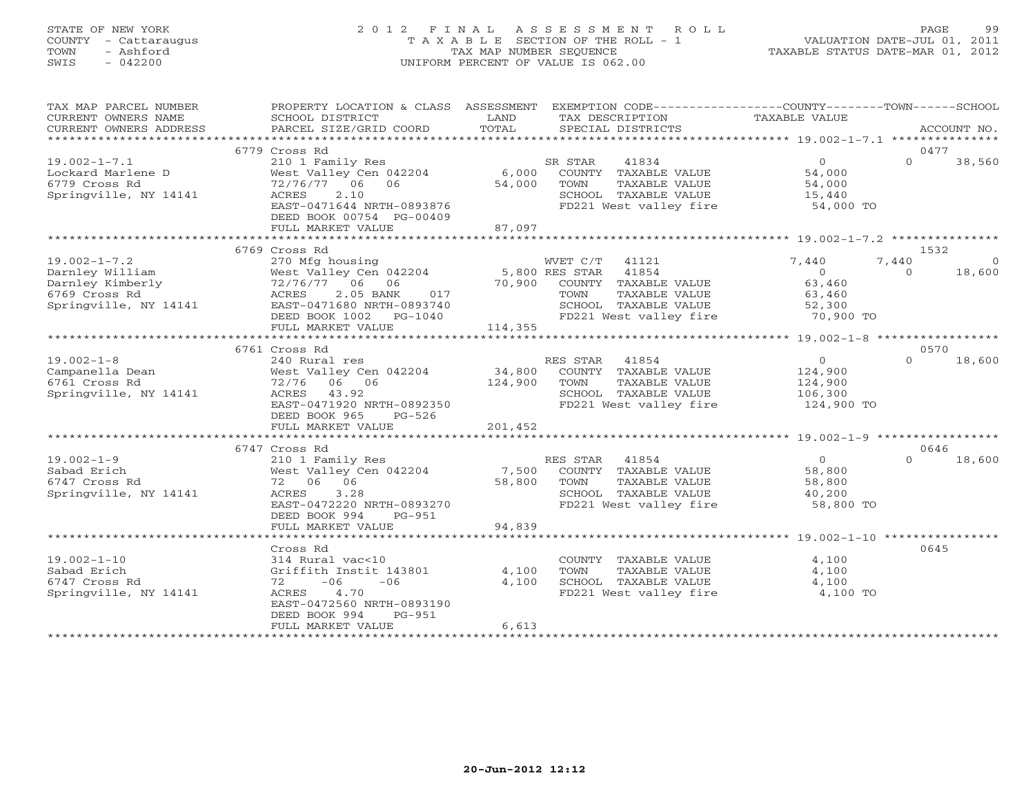# STATE OF NEW YORK 2 0 1 2 F I N A L A S S E S S M E N T R O L L PAGE 99 COUNTY - Cattaraugus T A X A B L E SECTION OF THE ROLL - 1 VALUATION DATE-JUL 01, 2011 TOWN - Ashford TAX MAP NUMBER SEQUENCE TAXABLE STATUS DATE-MAR 01, 2012 SWIS - 042200 UNIFORM PERCENT OF VALUE IS 062.00UNIFORM PERCENT OF VALUE IS 062.00

| TAX MAP PARCEL NUMBER  |                                                                                                                                                                                                                                      |         | PROPERTY LOCATION & CLASS ASSESSMENT EXEMPTION CODE---------------COUNTY-------TOWN-----SCHOOL |                                            |                         |
|------------------------|--------------------------------------------------------------------------------------------------------------------------------------------------------------------------------------------------------------------------------------|---------|------------------------------------------------------------------------------------------------|--------------------------------------------|-------------------------|
| CURRENT OWNERS NAME    | SCHOOL DISTRICT                                                                                                                                                                                                                      | LAND    | TAX DESCRIPTION                                                                                | TAXABLE VALUE                              |                         |
| CURRENT OWNERS ADDRESS | PARCEL SIZE/GRID COORD                                                                                                                                                                                                               | TOTAL   | SPECIAL DISTRICTS                                                                              |                                            | ACCOUNT NO.             |
|                        |                                                                                                                                                                                                                                      |         |                                                                                                |                                            |                         |
|                        | 6779 Cross Rd                                                                                                                                                                                                                        |         |                                                                                                |                                            | 0477                    |
| $19.002 - 1 - 7.1$     | 210 1 Family Res                                                                                                                                                                                                                     |         |                                                                                                | $\begin{array}{c} 0 \\ 54,000 \end{array}$ | $\Omega$<br>38,560      |
| Lockard Marlene D      | West Valley Cen 042204                                                                                                                                                                                                               |         | SR STAR       41834<br>6,000     COUNTY   TAXABLE  VALUE                                       |                                            |                         |
| 6779 Cross Rd          |                                                                                                                                                                                                                                      | 54,000  | TAXABLE VALUE 54,000<br>TOWN                                                                   |                                            |                         |
| Springville, NY 14141  | 72/76/77 06 06<br>72/76/77 06 06<br>ACRES 2.10<br>ACRES<br>2.10                                                                                                                                                                      |         |                                                                                                |                                            |                         |
|                        | EAST-0471644 NRTH-0893876                                                                                                                                                                                                            |         | SCHOOL TAXABLE VALUE 15,440<br>FD221 West valley fire 54,000 TO                                |                                            |                         |
|                        | DEED BOOK 00754 PG-00409                                                                                                                                                                                                             |         |                                                                                                |                                            |                         |
|                        | FULL MARKET VALUE                                                                                                                                                                                                                    | 87,097  |                                                                                                |                                            |                         |
|                        |                                                                                                                                                                                                                                      |         |                                                                                                |                                            |                         |
|                        | 6769 Cross Rd                                                                                                                                                                                                                        |         |                                                                                                |                                            | 1532                    |
| $19.002 - 1 - 7.2$     | 270 Mfg housing                                                                                                                                                                                                                      |         | WVET C/T 41121                                                                                 | 7,440                                      | 7,440<br>$\overline{0}$ |
|                        |                                                                                                                                                                                                                                      |         |                                                                                                | $\overline{0}$                             | $\Omega$                |
| Darnley William        | 016 1991 12/76/77 106 12/76/77 106 16 17<br>Darnley Kimberly 12/76/77 106 06 70,900 COUNTY TAXABLE VALUE<br>5769 Cross Rd 2.05 BANK 017 12/76/77 16 17 12000 2000 2000 12<br>Springville, NY 14141 12000 EAST-0471680 NRTH-0893740 5 |         |                                                                                                |                                            | 18,600                  |
|                        |                                                                                                                                                                                                                                      |         |                                                                                                | 63,460                                     |                         |
|                        |                                                                                                                                                                                                                                      |         |                                                                                                | 63,460                                     |                         |
|                        |                                                                                                                                                                                                                                      |         | SCHOOL TAXABLE VALUE 52,300<br>93740<br>1040 SCHOOL TAXABLE VALUE<br>1040 114,355<br>114,355   |                                            |                         |
|                        | DEED BOOK 1002    PG-1040                                                                                                                                                                                                            |         |                                                                                                | 70,900 TO                                  |                         |
|                        | FULL MARKET VALUE                                                                                                                                                                                                                    |         |                                                                                                |                                            |                         |
|                        |                                                                                                                                                                                                                                      |         |                                                                                                |                                            |                         |
|                        | 6761 Cross Rd                                                                                                                                                                                                                        |         |                                                                                                |                                            | 0570                    |
| $19.002 - 1 - 8$       | 240 Rural res                                                                                                                                                                                                                        |         | RES STAR 41854                                                                                 | $\overline{O}$                             | $\Omega$<br>18,600      |
| Campanella Dean        | West Valley Cen 042204                                                                                                                                                                                                               | 34,800  | COUNTY TAXABLE VALUE                                                                           | 124,900                                    |                         |
| 6761 Cross Rd          | West Valley Cen<br>72/76 06                                                                                                                                                                                                          | 124,900 | TOWN<br>TAXABLE VALUE                                                                          |                                            |                         |
| Springville, NY 14141  | ACRES 43.92                                                                                                                                                                                                                          |         | SCHOOL TAXABLE VALUE                                                                           | 124,900<br>106,300                         |                         |
|                        | EAST-0471920 NRTH-0892350                                                                                                                                                                                                            |         | FD221 West valley fire 124,900 TO                                                              |                                            |                         |
|                        | DEED BOOK 965 PG-526                                                                                                                                                                                                                 |         |                                                                                                |                                            |                         |
|                        | FULL MARKET VALUE                                                                                                                                                                                                                    | 201,452 |                                                                                                |                                            |                         |
|                        |                                                                                                                                                                                                                                      |         |                                                                                                |                                            |                         |
|                        | 6747 Cross Rd                                                                                                                                                                                                                        |         |                                                                                                |                                            | 0646                    |
| $19.002 - 1 - 9$       | 210 1 Family Res                                                                                                                                                                                                                     |         | RES STAR 41854                                                                                 | $\overline{0}$                             | $\Omega$<br>18,600      |
| Sabad Erich            | West Valley Cen 042204 7,500                                                                                                                                                                                                         |         | COUNTY TAXABLE VALUE 58,800                                                                    |                                            |                         |
| 6747 Cross Rd          | 72 06 06                                                                                                                                                                                                                             | 58,800  | TOWN<br>TAXABLE VALUE                                                                          | 58,800                                     |                         |
| Springville, NY 14141  | 3.28<br>ACRES                                                                                                                                                                                                                        |         | SCHOOL TAXABLE VALUE 40,200                                                                    |                                            |                         |
|                        | EAST-0472220 NRTH-0893270                                                                                                                                                                                                            |         | FD221 West valley fire                                                                         | 58,800 TO                                  |                         |
|                        | DEED BOOK 994<br>PG-951                                                                                                                                                                                                              |         |                                                                                                |                                            |                         |
|                        | FULL MARKET VALUE                                                                                                                                                                                                                    | 94,839  |                                                                                                |                                            |                         |
|                        |                                                                                                                                                                                                                                      |         |                                                                                                |                                            |                         |
|                        | Cross Rd                                                                                                                                                                                                                             |         |                                                                                                |                                            | 0645                    |
| $19.002 - 1 - 10$      | 314 Rural vac<10                                                                                                                                                                                                                     |         | COUNTY TAXABLE VALUE                                                                           | 4,100                                      |                         |
| Sabad Erich            |                                                                                                                                                                                                                                      |         | TOWN                                                                                           | 4,100                                      |                         |
| 6747 Cross Rd          | Griffith Instit 143801 4,100<br>$72 - 06$<br>$-06$                                                                                                                                                                                   | 4,100   | TAXABLE VALUE<br>SCHOOL TAXABLE VALUE                                                          | 4,100                                      |                         |
| Springville, NY 14141  | ACRES 4.70                                                                                                                                                                                                                           |         | FD221 West valley fire 4,100 TO                                                                |                                            |                         |
|                        | EAST-0472560 NRTH-0893190                                                                                                                                                                                                            |         |                                                                                                |                                            |                         |
|                        |                                                                                                                                                                                                                                      |         |                                                                                                |                                            |                         |
|                        | DEED BOOK 994<br>PG-951                                                                                                                                                                                                              |         |                                                                                                |                                            |                         |
|                        | FULL MARKET VALUE                                                                                                                                                                                                                    | 6,613   |                                                                                                |                                            |                         |
|                        |                                                                                                                                                                                                                                      |         |                                                                                                |                                            |                         |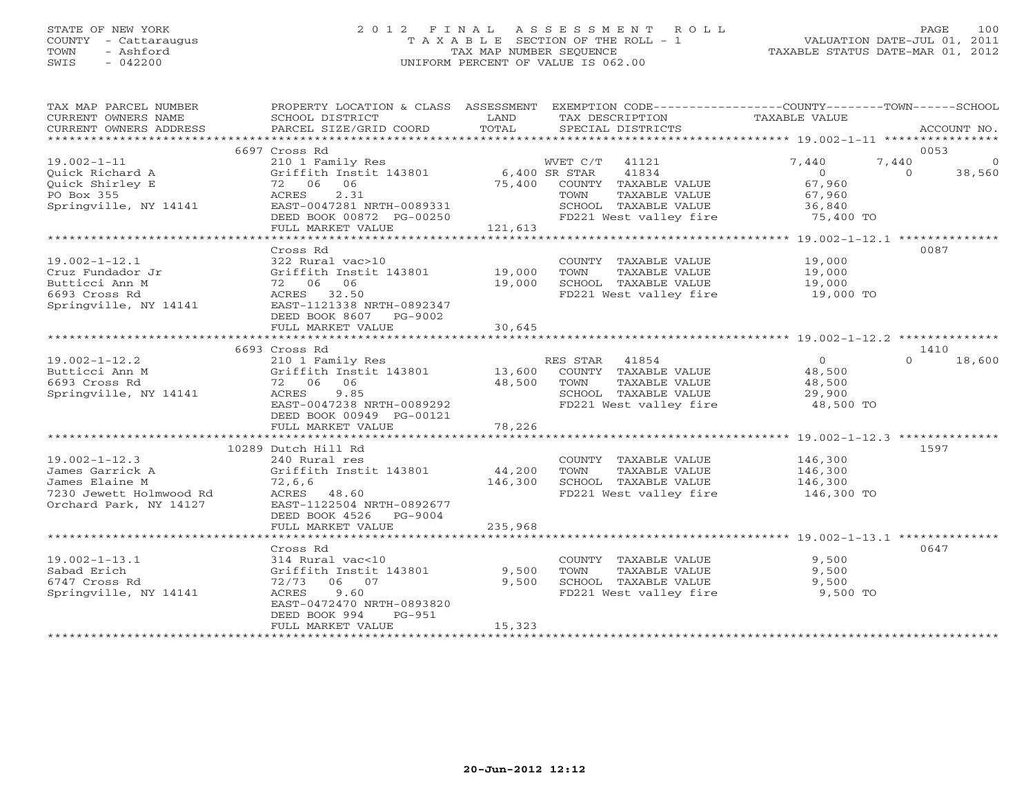# STATE OF NEW YORK 2 0 1 2 F I N A L A S S E S S M E N T R O L L PAGE 100 COUNTY - Cattaraugus T A X A B L E SECTION OF THE ROLL - 1 VALUATION DATE-JUL 01, 2011 TOWN - Ashford TAX MAP NUMBER SEQUENCE TAXABLE STATUS DATE-MAR 01, 2012 SWIS - 042200 UNIFORM PERCENT OF VALUE IS 062.00UNIFORM PERCENT OF VALUE IS 062.00

| TAX MAP PARCEL NUMBER<br>CURRENT OWNERS NAME<br>CURRENT OWNERS ADDRESS                                        | PROPERTY LOCATION & CLASS ASSESSMENT EXEMPTION CODE---------------COUNTY-------TOWN------SCHOOL<br>SCHOOL DISTRICT<br>PARCEL SIZE/GRID COORD                   | LAND<br>TOTAL   | TAX DESCRIPTION<br>SPECIAL DISTRICTS                                                                             | TAXABLE VALUE                                                             | ACCOUNT NO.                     |
|---------------------------------------------------------------------------------------------------------------|----------------------------------------------------------------------------------------------------------------------------------------------------------------|-----------------|------------------------------------------------------------------------------------------------------------------|---------------------------------------------------------------------------|---------------------------------|
|                                                                                                               |                                                                                                                                                                |                 |                                                                                                                  |                                                                           |                                 |
| $19.002 - 1 - 11$                                                                                             | 6697 Cross Rd<br>210 1 Family Res                                                                                                                              |                 | WVET C/T 41121                                                                                                   | 7,440                                                                     | 0053<br>7,440<br>$\overline{0}$ |
| Ouick Richard A<br>Quick Shirley E<br>PO Box 355<br>Springville, NY 14141                                     | Griffith Instit 143801 6,400 SR STAR<br>72 06 06<br>ACRES<br>2.31<br>EAST-0047281 NRTH-0089331                                                                 |                 | 41834<br>$75,400$ COUNTY TAXABLE VALUE<br>TOWN<br>TAXABLE VALUE<br>SCHOOL TAXABLE VALUE                          | $\begin{array}{c}\n 1 + 0 \\  0 \\  67\n \end{array}$<br>67,960<br>36,840 | 38,560<br>$\Omega$              |
|                                                                                                               | DEED BOOK 00872 PG-00250<br>FULL MARKET VALUE                                                                                                                  | 121,613         | FD221 West valley fire 50,400 TO                                                                                 |                                                                           |                                 |
|                                                                                                               | Cross Rd                                                                                                                                                       |                 |                                                                                                                  |                                                                           | 0087                            |
| $19.002 - 1 - 12.1$<br>Cruz Fundador Jr<br>Butticci Ann M<br>6693 Cross Rd                                    | 322 Rural vac>10<br>Griffith Instit 143801 19,000<br>Griffith Insti<br>72 06 06<br>ACRES 32.50<br>4141 EAST-1121338 N                                          | 19,000          | COUNTY TAXABLE VALUE 19,000<br>TOWN<br>TAXABLE VALUE<br>SCHOOL TAXABLE VALUE<br>FD221 West valley fire 19,000 TO | 19,000<br>19,000                                                          |                                 |
| Springville, NY 14141                                                                                         | EAST-1121338 NRTH-0892347<br>DEED BOOK 8607 PG-9002<br>FULL MARKET VALUE                                                                                       | 30,645          |                                                                                                                  |                                                                           |                                 |
|                                                                                                               | **************************                                                                                                                                     | *************   |                                                                                                                  |                                                                           |                                 |
|                                                                                                               | 6693 Cross Rd                                                                                                                                                  |                 |                                                                                                                  |                                                                           | 1410<br>$\Omega$                |
| $19.002 - 1 - 12.2$<br>14141<br>Butticci Ann M<br>6693 Cross Rd<br>Springville, NY 14141                      | 210 1 Family Res<br>Griffith Instit 143801 13,600 COUNTY TAXABLE VALUE<br>72 06 06<br>ACRES<br>9.85<br>EAST-0047238 NRTH-0089292<br>DEED BOOK 00949 PG-00121   | 48,500          | TAXABLE VALUE<br>TOWN<br>SCHOOL TAXABLE VALUE 29,900<br>FD221 West valley fire 48,500 TO                         | $\overline{0}$<br>48,500<br>48,500                                        | 18,600                          |
|                                                                                                               | FULL MARKET VALUE                                                                                                                                              | 78,226          |                                                                                                                  |                                                                           |                                 |
|                                                                                                               |                                                                                                                                                                |                 |                                                                                                                  |                                                                           |                                 |
| $19.002 - 1 - 12.3$<br>James Garrick A<br>James Elaine M<br>7230 Jewett Holmwood Rd<br>Orchard Park, NY 14127 | 10289 Dutch Hill Rd<br>240 Rural res<br>Griffith Instit 143801 44,200<br>72,6,6<br>ACRES<br>ACRES 48.60<br>EAST-1122504 NRTH-0892677<br>DEED BOOK 4526 PG-9004 | 146, 300        | COUNTY TAXABLE VALUE<br>TOWN<br>TAXABLE VALUE                                                                    | 146,300<br>146,300                                                        | 1597                            |
|                                                                                                               | FULL MARKET VALUE                                                                                                                                              | 235,968         |                                                                                                                  |                                                                           |                                 |
|                                                                                                               | Cross Rd                                                                                                                                                       |                 |                                                                                                                  |                                                                           | 0647                            |
| $19.002 - 1 - 13.1$<br>Sabad Erich<br>6747 Cross Rd<br>Springville, NY 14141                                  | 314 Rural vac<10<br>Griffith Instit 143801 9,500<br>72/73 06 07<br>ACRES<br>9.60<br>EAST-0472470 NRTH-0893820<br>DEED BOOK 994<br>PG-951<br>FULL MARKET VALUE  | 9,500<br>15,323 | COUNTY TAXABLE VALUE<br>TAXABLE VALUE<br>TOWN<br>SCHOOL TAXABLE VALUE 9,500<br>FD221 West valley fire 9,500 TO   | 9,500<br>9,500                                                            |                                 |
|                                                                                                               |                                                                                                                                                                |                 |                                                                                                                  |                                                                           |                                 |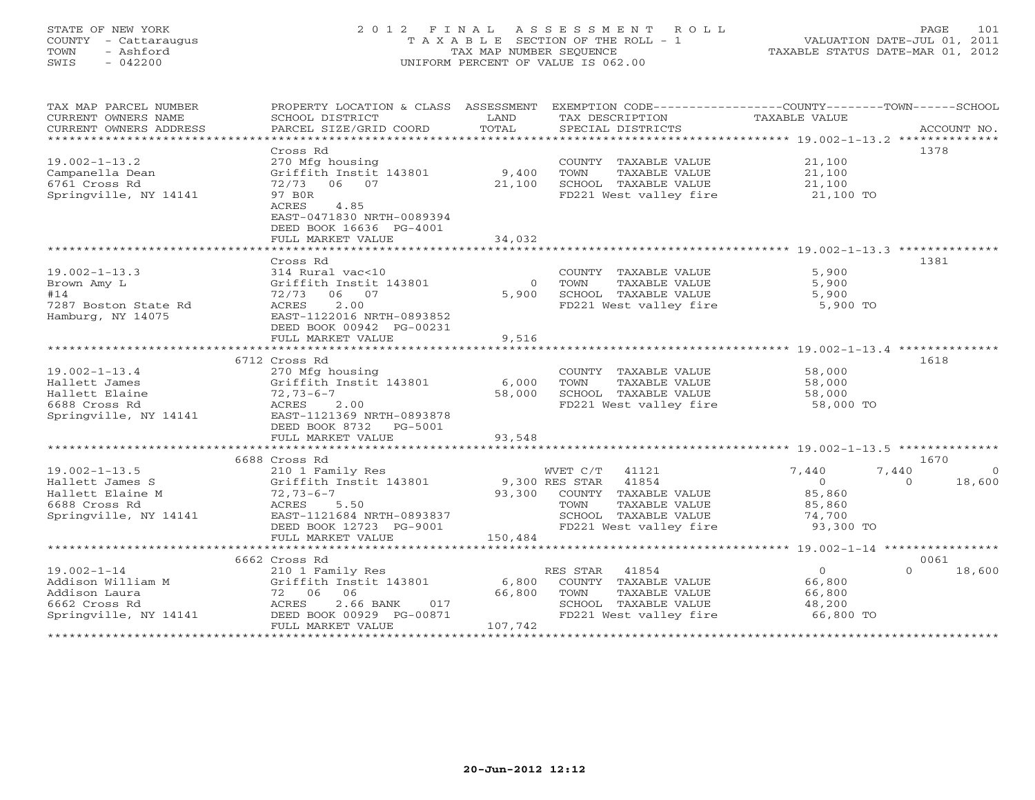# STATE OF NEW YORK 2 0 1 2 F I N A L A S S E S S M E N T R O L L PAGE 101 COUNTY - Cattaraugus T A X A B L E SECTION OF THE ROLL - 1 VALUATION DATE-JUL 01, 2011 TOWN - Ashford TAX MAP NUMBER SEQUENCE TAXABLE STATUS DATE-MAR 01, 2012 SWIS - 042200 UNIFORM PERCENT OF VALUE IS 062.00UNIFORM PERCENT OF VALUE IS 062.00

TAX MAP PARCEL NUMBER PROPERTY LOCATION & CLASS ASSESSMENT EXEMPTION CODE----------------COUNTY-------TOWN------SCHOOL

| CURRENT OWNERS NAME    | SCHOOL DISTRICT                       | LAND                       | TAX DESCRIPTION         | TAXABLE VALUE                                      |                    |
|------------------------|---------------------------------------|----------------------------|-------------------------|----------------------------------------------------|--------------------|
| CURRENT OWNERS ADDRESS | PARCEL SIZE/GRID COORD                | TOTAL                      | SPECIAL DISTRICTS       |                                                    | ACCOUNT NO.        |
|                        |                                       | * * * * * * * * *          |                         | ********** 19.002-1-13.2                           | **************     |
|                        | Cross Rd                              |                            |                         |                                                    | 1378               |
| $19.002 - 1 - 13.2$    | 270 Mfg housing                       |                            | COUNTY TAXABLE VALUE    | 21,100                                             |                    |
| Campanella Dean        | Griffith Instit 143801                | 9,400                      | TOWN<br>TAXABLE VALUE   | 21,100                                             |                    |
| 6761 Cross Rd          | 06 07<br>72/73                        | 21,100                     | SCHOOL TAXABLE VALUE    | 21,100                                             |                    |
| Springville, NY 14141  | 97 BOR                                |                            | FD221 West valley fire  | 21,100 TO                                          |                    |
|                        | ACRES<br>4.85                         |                            |                         |                                                    |                    |
|                        | EAST-0471830 NRTH-0089394             |                            |                         |                                                    |                    |
|                        | DEED BOOK 16636 PG-4001               |                            |                         |                                                    |                    |
|                        |                                       |                            |                         |                                                    |                    |
|                        | FULL MARKET VALUE<br>**************** | 34,032<br><b>+++++++++</b> |                         | **************** 19.002-1-13.3 **                  |                    |
|                        |                                       |                            |                         |                                                    |                    |
|                        | Cross Rd                              |                            |                         |                                                    | 1381               |
| $19.002 - 1 - 13.3$    | 314 Rural vac<10                      |                            | COUNTY<br>TAXABLE VALUE | 5,900                                              |                    |
| Brown Amy L            | Griffith Instit 143801                | $\Omega$                   | TOWN<br>TAXABLE VALUE   | 5,900                                              |                    |
| #14                    | 06 07<br>72/73                        | 5,900                      | SCHOOL TAXABLE VALUE    | 5,900                                              |                    |
| 7287 Boston State Rd   | <b>ACRES</b><br>2.00                  |                            | FD221 West valley fire  | 5,900 TO                                           |                    |
| Hamburg, NY 14075      | EAST-1122016 NRTH-0893852             |                            |                         |                                                    |                    |
|                        | DEED BOOK 00942 PG-00231              |                            |                         |                                                    |                    |
|                        | FULL MARKET VALUE                     | 9,516                      |                         |                                                    |                    |
|                        |                                       |                            |                         | ************** 19.002-1-13.4                       |                    |
|                        | 6712 Cross Rd                         |                            |                         |                                                    | 1618               |
| $19.002 - 1 - 13.4$    | 270 Mfg housing                       |                            | COUNTY<br>TAXABLE VALUE | 58,000                                             |                    |
| Hallett James          | Griffith Instit 143801                | 6,000                      | TOWN<br>TAXABLE VALUE   | 58,000                                             |                    |
| Hallett Elaine         | $72, 73 - 6 - 7$                      | 58,000                     | SCHOOL TAXABLE VALUE    | 58,000                                             |                    |
| 6688 Cross Rd          | ACRES<br>2.00                         |                            | FD221 West valley fire  | 58,000 TO                                          |                    |
| Springville, NY 14141  | EAST-1121369 NRTH-0893878             |                            |                         |                                                    |                    |
|                        | DEED BOOK 8732<br>PG-5001             |                            |                         |                                                    |                    |
|                        | FULL MARKET VALUE                     | 93,548                     |                         |                                                    |                    |
|                        | *******************                   | *********                  |                         | ********************** 19.002-1-13.5 ************* |                    |
|                        | 6688 Cross Rd                         |                            |                         |                                                    | 1670               |
| $19.002 - 1 - 13.5$    | 210 1 Family Res                      |                            | WVET C/T<br>41121       | 7,440                                              | 7,440              |
| Hallett James S        | Griffith Instit 143801                |                            | 41854<br>9,300 RES STAR | $\Omega$                                           | 18,600<br>$\cap$   |
|                        |                                       |                            |                         |                                                    |                    |
| Hallett Elaine M       | $72, 73 - 6 - 7$                      | 93,300                     | COUNTY TAXABLE VALUE    | 85,860                                             |                    |
| 6688 Cross Rd          | <b>ACRES</b><br>5.50                  |                            | TAXABLE VALUE<br>TOWN   | 85,860                                             |                    |
| Springville, NY 14141  | EAST-1121684 NRTH-0893837             |                            | SCHOOL TAXABLE VALUE    | 74,700                                             |                    |
|                        | DEED BOOK 12723 PG-9001               |                            | FD221 West valley fire  | 93,300 TO                                          |                    |
|                        | FULL MARKET VALUE                     | 150,484                    |                         |                                                    |                    |
|                        | * * * * * * * * * * * * * * * * * * * |                            |                         | ********* 19.002-1-14 ***********                  |                    |
|                        | 6662 Cross Rd                         |                            |                         |                                                    | 0061               |
| $19.002 - 1 - 14$      | 210 1 Family Res                      |                            | RES STAR<br>41854       | $\circ$                                            | $\Omega$<br>18,600 |
| Addison William M      | Griffith Instit 143801                | 6,800                      | COUNTY TAXABLE VALUE    | 66,800                                             |                    |
| Addison Laura          | 06<br>72 06                           | 66,800                     | TAXABLE VALUE<br>TOWN   | 66,800                                             |                    |
| 6662 Cross Rd          | ACRES<br>2.66 BANK<br>017             |                            | SCHOOL TAXABLE VALUE    | 48,200                                             |                    |
| Springville, NY 14141  | DEED BOOK 00929 PG-00871              |                            | FD221 West valley fire  | 66,800 TO                                          |                    |
|                        | FULL MARKET VALUE                     | 107,742                    |                         |                                                    |                    |
|                        |                                       |                            |                         |                                                    |                    |
|                        |                                       |                            |                         |                                                    |                    |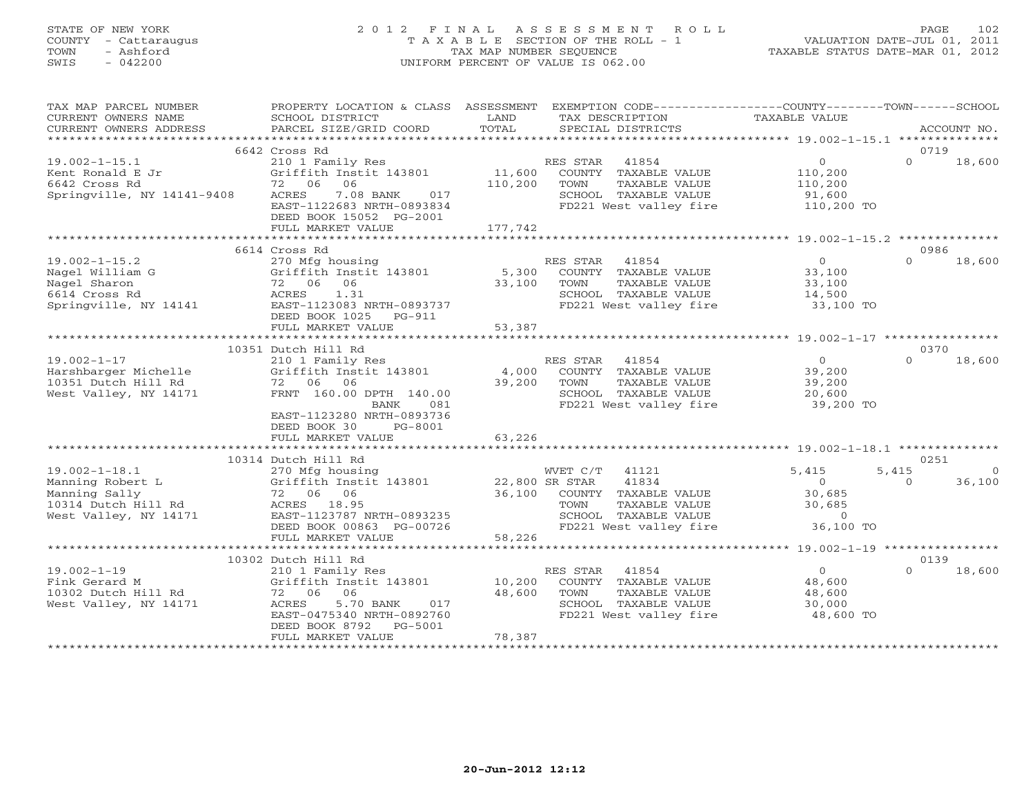# STATE OF NEW YORK 2 0 1 2 F I N A L A S S E S S M E N T R O L L PAGE 102 COUNTY - Cattaraugus T A X A B L E SECTION OF THE ROLL - 1 VALUATION DATE-JUL 01, 2011 TOWN - Ashford TAX MAP NUMBER SEQUENCE TAXABLE STATUS DATE-MAR 01, 2012 SWIS - 042200 UNIFORM PERCENT OF VALUE IS 062.00UNIFORM PERCENT OF VALUE IS 062.00

| TAX MAP PARCEL NUMBER<br>CURRENT OWNERS NAME                                                             | PROPERTY LOCATION & CLASS ASSESSMENT<br>SCHOOL DISTRICT                                                                                                                                            | LAND                         | EXEMPTION CODE-----------------COUNTY-------TOWN------SCHOOL<br>TAX DESCRIPTION                                               | TAXABLE VALUE                                                        |                   |                    |
|----------------------------------------------------------------------------------------------------------|----------------------------------------------------------------------------------------------------------------------------------------------------------------------------------------------------|------------------------------|-------------------------------------------------------------------------------------------------------------------------------|----------------------------------------------------------------------|-------------------|--------------------|
| CURRENT OWNERS ADDRESS                                                                                   | PARCEL SIZE/GRID COORD                                                                                                                                                                             | TOTAL                        | SPECIAL DISTRICTS                                                                                                             |                                                                      |                   | ACCOUNT NO.        |
|                                                                                                          | 6642 Cross Rd                                                                                                                                                                                      |                              |                                                                                                                               |                                                                      | 0719              |                    |
| $19.002 - 1 - 15.1$<br>Kent Ronald E Jr<br>6642 Cross Rd<br>Springville, NY 14141-9408                   | 210 1 Family Res<br>Griffith Instit 143801<br>72 06<br>06<br>ACRES<br>7.08 BANK<br>017<br>EAST-1122683 NRTH-0893834<br>DEED BOOK 15052 PG-2001<br>FULL MARKET VALUE                                | 11,600<br>110,200<br>177,742 | RES STAR 41854<br>COUNTY TAXABLE VALUE<br>TOWN<br>TAXABLE VALUE<br>SCHOOL TAXABLE VALUE<br>FD221 West valley fire             | $\overline{0}$<br>110,200<br>110,200<br>91,600<br>110,200 TO         | $\Omega$          | 18,600             |
|                                                                                                          |                                                                                                                                                                                                    |                              |                                                                                                                               |                                                                      |                   |                    |
| $19.002 - 1 - 15.2$<br>Nagel William G<br>Nagel Sharon<br>6614 Cross Rd<br>Springville, NY 14141         | 6614 Cross Rd<br>270 Mfg housing<br>270 mig nousing<br>Griffith Instit 143801 5,300<br>72 06 06<br>ACRES 1.31<br>EAST-1123083 NRTH-0893737<br>DEED BOOK 1025    PG-911<br>FULL MARKET VALUE        | 33,100<br>53,387             | RES STAR<br>41854<br>COUNTY TAXABLE VALUE<br>TOWN<br>TAXABLE VALUE<br>SCHOOL TAXABLE VALUE<br>FD221 West valley fire          | $0 \qquad \qquad$<br>33,100<br>33,100<br>14,500<br>33,100 TO         | 0986<br>$\Omega$  | 18,600             |
|                                                                                                          |                                                                                                                                                                                                    |                              |                                                                                                                               |                                                                      |                   |                    |
|                                                                                                          | 10351 Dutch Hill Rd                                                                                                                                                                                |                              |                                                                                                                               |                                                                      | 0370              |                    |
| $19.002 - 1 - 17$<br>Harshbarger Michelle<br>10351 Dutch Hill Rd<br>West Valley, NY 14171                | 210 1 Family Res<br>Griffith Instit 143801<br>72 06 06<br>FRNT 160.00 DPTH 140.00<br>BANK<br>081<br>EAST-1123280 NRTH-0893736<br>DEED BOOK 30<br>PG-8001                                           | 4,000<br>39,200              | RES STAR<br>41854<br>COUNTY TAXABLE VALUE<br>TOWN<br>TAXABLE VALUE<br>SCHOOL TAXABLE VALUE<br>FD221 West valley fire          | $\Omega$<br>39,200<br>39,200<br>20,600<br>39,200 TO                  | $\Omega$          | 18,600             |
|                                                                                                          | FULL MARKET VALUE                                                                                                                                                                                  | 63,226                       |                                                                                                                               |                                                                      |                   |                    |
|                                                                                                          |                                                                                                                                                                                                    |                              |                                                                                                                               |                                                                      |                   |                    |
|                                                                                                          | 10314 Dutch Hill Rd                                                                                                                                                                                |                              |                                                                                                                               |                                                                      | 0251              |                    |
| $19.002 - 1 - 18.1$<br>Manning Robert L<br>Manning Sally<br>10314 Dutch Hill Rd<br>West Valley, NY 14171 | 270 Mfg housing<br>270 mig nousing<br>Griffith Instit 143801 22,800 SR STAR<br>72 06 06 36,100 COUNTY<br>ACRES 18.95<br>EAST-1123787 NRTH-0893235<br>DEED BOOK 00863 PG-00726<br>FULL MARKET VALUE | 58,226                       | WVET C/T<br>41121<br>41834<br>COUNTY TAXABLE VALUE<br>TAXABLE VALUE<br>TOWN<br>SCHOOL TAXABLE VALUE<br>FD221 West valley fire | 5,415<br>$\overline{0}$<br>30,685<br>30,685<br>$\Omega$<br>36,100 TO | 5,415<br>$\Omega$ | $\Omega$<br>36,100 |
|                                                                                                          |                                                                                                                                                                                                    |                              |                                                                                                                               |                                                                      |                   |                    |
|                                                                                                          | 10302 Dutch Hill Rd                                                                                                                                                                                |                              |                                                                                                                               |                                                                      | 0139              |                    |
| $19.002 - 1 - 19$<br>Fink Gerard M<br>10302 Dutch Hill Rd<br>West Valley, NY 14171                       | 210 1 Family Res<br>Griffith Instit 143801<br>72 06<br>06<br>5.70 BANK<br>ACRES<br>017<br>EAST-0475340 NRTH-0892760<br>DEED BOOK 8792 PG-5001<br>FULL MARKET VALUE                                 | 10,200<br>48,600<br>78,387   | RES STAR<br>41854<br>COUNTY TAXABLE VALUE<br>TAXABLE VALUE<br>TOWN<br>SCHOOL TAXABLE VALUE<br>FD221 West valley fire          | $\Omega$<br>48,600<br>48,600<br>30,000<br>48,600 TO                  | $\cap$            | 18,600             |
|                                                                                                          |                                                                                                                                                                                                    |                              |                                                                                                                               |                                                                      |                   |                    |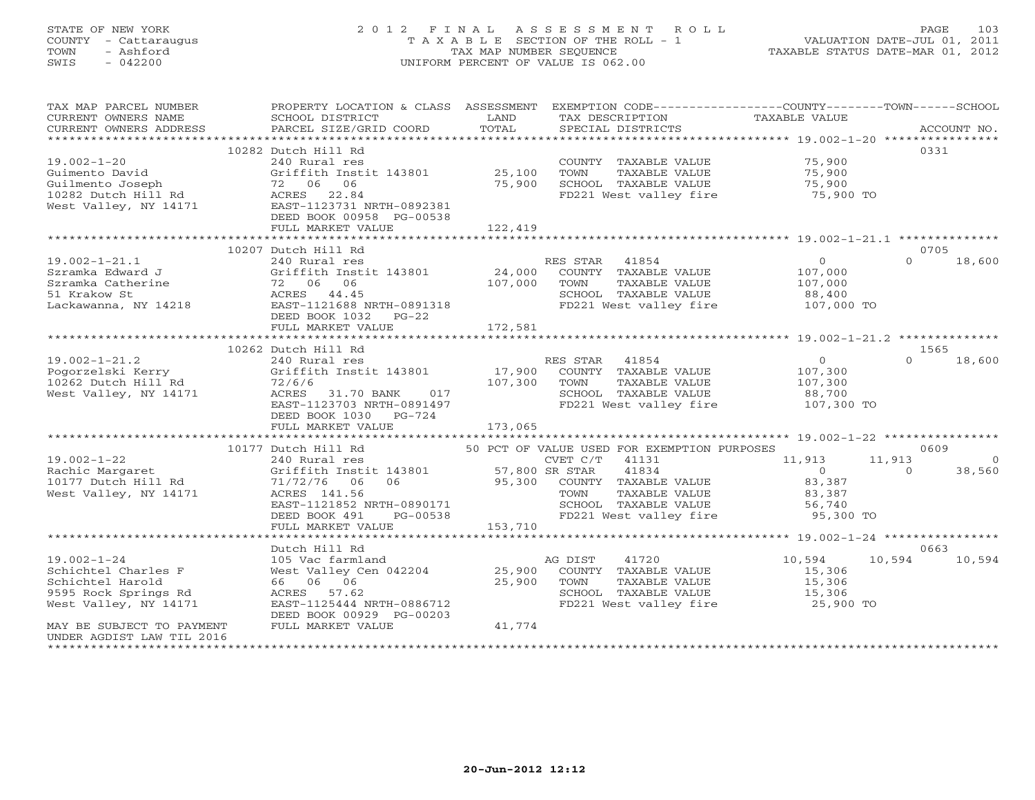# STATE OF NEW YORK 2 0 1 2 F I N A L A S S E S S M E N T R O L L PAGE 103 COUNTY - Cattaraugus T A X A B L E SECTION OF THE ROLL - 1 VALUATION DATE-JUL 01, 2011 TOWN - Ashford TAX MAP NUMBER SEQUENCE TAXABLE STATUS DATE-MAR 01, 2012 SWIS - 042200 UNIFORM PERCENT OF VALUE IS 062.00UNIFORM PERCENT OF VALUE IS 062.00

| TAX MAP PARCEL NUMBER                                                                                                                                                                                                                                                                                                                                                                                                                                                | PROPERTY LOCATION & CLASS ASSESSMENT EXEMPTION CODE----------------COUNTY-------TOWN------SCHOOL |         |                                                                                         |                |                          |
|----------------------------------------------------------------------------------------------------------------------------------------------------------------------------------------------------------------------------------------------------------------------------------------------------------------------------------------------------------------------------------------------------------------------------------------------------------------------|--------------------------------------------------------------------------------------------------|---------|-----------------------------------------------------------------------------------------|----------------|--------------------------|
| CURRENT OWNERS NAME                                                                                                                                                                                                                                                                                                                                                                                                                                                  | SCHOOL DISTRICT                                                                                  | LAND    | TAX DESCRIPTION                                                                         | TAXABLE VALUE  |                          |
|                                                                                                                                                                                                                                                                                                                                                                                                                                                                      |                                                                                                  |         |                                                                                         |                |                          |
|                                                                                                                                                                                                                                                                                                                                                                                                                                                                      |                                                                                                  |         |                                                                                         |                |                          |
|                                                                                                                                                                                                                                                                                                                                                                                                                                                                      | 10282 Dutch Hill Rd                                                                              |         |                                                                                         |                | 0331                     |
| $19.002 - 1 - 20$                                                                                                                                                                                                                                                                                                                                                                                                                                                    | 240 Rural res                                                                                    |         | COUNTY TAXABLE VALUE                                                                    | 75,900         |                          |
| Guimento David                                                                                                                                                                                                                                                                                                                                                                                                                                                       | 240 Kurai res<br>Griffith Instit 143801 25,100                                                   |         | TOWN<br>TAXABLE VALUE                                                                   | 75,900         |                          |
| Guilmento Joseph<br>10282 Dutch Hill Rd<br>West Valley, NY 14171                                                                                                                                                                                                                                                                                                                                                                                                     | 72 06 06                                                                                         | 75,900  | SCHOOL TAXABLE VALUE                                                                    | 75,900         |                          |
|                                                                                                                                                                                                                                                                                                                                                                                                                                                                      | ACRES 22.84                                                                                      |         | FD221 West valley fire                                                                  | 75,900 TO      |                          |
|                                                                                                                                                                                                                                                                                                                                                                                                                                                                      | EAST-1123731 NRTH-0892381                                                                        |         |                                                                                         |                |                          |
|                                                                                                                                                                                                                                                                                                                                                                                                                                                                      | DEED BOOK 00958 PG-00538                                                                         |         |                                                                                         |                |                          |
|                                                                                                                                                                                                                                                                                                                                                                                                                                                                      | FULL MARKET VALUE                                                                                | 122,419 |                                                                                         |                |                          |
|                                                                                                                                                                                                                                                                                                                                                                                                                                                                      |                                                                                                  |         |                                                                                         |                |                          |
|                                                                                                                                                                                                                                                                                                                                                                                                                                                                      | 10207 Dutch Hill Rd                                                                              |         |                                                                                         |                | 0705<br>$\Omega$         |
| $19.002 - 1 - 21.1$<br>$\begin{array}{ccc}\n\text{d} & & \text{d} \\ \text{d} & & \text{e} \\ \text{d} & & \text{e} \\ \text{d} & & \text{e} \\ \text{d} & & \text{e} \\ \text{d} & & \text{e} \\ \text{d} & & \text{e} \\ \text{d} & & \text{e} \\ \text{d} & & \text{e} \\ \text{e} & & \text{e} \\ \text{f} & & \text{e} \\ \text{g} & & \text{e} \\ \text{h} & & \text{e} \\ \text{h} & & \text{e} \\ \text{i} & & \text{e} \\ \text{m} & & \text{e} \\ \text{m$ | 240 Rural res                                                                                    |         | RES STAR 41854                                                                          | $\overline{0}$ | 18,600                   |
| Szramka Edward J                                                                                                                                                                                                                                                                                                                                                                                                                                                     | Griffith Instit 143801                                                                           | 24,000  | COUNTY TAXABLE VALUE                                                                    | 107,000        |                          |
| Szramka Catherine                                                                                                                                                                                                                                                                                                                                                                                                                                                    |                                                                                                  |         | TOWN<br>TAXABLE VALUE                                                                   | 107,000        |                          |
| 51 Krakow St                                                                                                                                                                                                                                                                                                                                                                                                                                                         | ACRES 44.45                                                                                      |         | SCHOOL TAXABLE VALUE                                                                    | 88,400         |                          |
| Lackawanna, NY 14218                                                                                                                                                                                                                                                                                                                                                                                                                                                 | 72 06 06 107,000<br>ACRES 44.45 107,000<br>EAST-1121688 NRTH-0891318                             |         | FD221 West valley fire                                                                  | 107,000 TO     |                          |
|                                                                                                                                                                                                                                                                                                                                                                                                                                                                      | DEED BOOK 1032 PG-22                                                                             |         |                                                                                         |                |                          |
|                                                                                                                                                                                                                                                                                                                                                                                                                                                                      |                                                                                                  |         |                                                                                         |                |                          |
|                                                                                                                                                                                                                                                                                                                                                                                                                                                                      | 10262 Dutch Hill Rd                                                                              |         |                                                                                         |                | 1565                     |
| $19.002 - 1 - 21.2$                                                                                                                                                                                                                                                                                                                                                                                                                                                  |                                                                                                  |         |                                                                                         | 0              | $\Omega$<br>18,600       |
| ron and the server of the server of the server of the server of the server of the server of the server of the server of the server of the server of the server of the server of the server of the server of the server of the                                                                                                                                                                                                                                        |                                                                                                  |         |                                                                                         | 107,300        |                          |
|                                                                                                                                                                                                                                                                                                                                                                                                                                                                      |                                                                                                  |         |                                                                                         | 107,300        |                          |
| West Valley, NY 14171                                                                                                                                                                                                                                                                                                                                                                                                                                                |                                                                                                  |         | SCHOOL TAXABLE VALUE                                                                    | 88,700         |                          |
|                                                                                                                                                                                                                                                                                                                                                                                                                                                                      | ACRES 31.70 BANK 017<br>EAST-1123703 NRTH-0891497                                                |         | FD221 West valley fire                                                                  | 107,300 TO     |                          |
|                                                                                                                                                                                                                                                                                                                                                                                                                                                                      | DEED BOOK 1030 PG-724                                                                            |         |                                                                                         |                |                          |
|                                                                                                                                                                                                                                                                                                                                                                                                                                                                      | FULL MARKET VALUE                                                                                | 173,065 |                                                                                         |                |                          |
|                                                                                                                                                                                                                                                                                                                                                                                                                                                                      |                                                                                                  |         |                                                                                         |                |                          |
|                                                                                                                                                                                                                                                                                                                                                                                                                                                                      | 10177 Dutch Hill Rd                                                                              |         |                                                                                         |                | 0609                     |
| $19.002 - 1 - 22$                                                                                                                                                                                                                                                                                                                                                                                                                                                    | 240 Rural res                                                                                    |         | 50 PCT OF VALUE USED FOR EXEMPTION PURPOSES<br>CYET C/T 41131<br>CVET C/T<br>41131      | 11,913         | 11,913<br>$\overline{0}$ |
| Rachic Margaret                                                                                                                                                                                                                                                                                                                                                                                                                                                      |                                                                                                  |         |                                                                                         | $\overline{O}$ | $\Omega$<br>38,560       |
| Rading Paryor<br>10177 Dutch Hill Rd<br>West Valley NY 14171                                                                                                                                                                                                                                                                                                                                                                                                         | Griffith Instit 143801 57,800 SR STAR 41834<br>71/72/76 06 06 95,300 COUNTY TAXABLE VALUE        |         |                                                                                         | 83,387         |                          |
| West Valley, NY 14171                                                                                                                                                                                                                                                                                                                                                                                                                                                | ACRES 141.56                                                                                     |         | TOWN<br>TAXABLE VALUE                                                                   | 83,387         |                          |
|                                                                                                                                                                                                                                                                                                                                                                                                                                                                      |                                                                                                  |         | SCHOOL TAXABLE VALUE                                                                    | 56,740         |                          |
|                                                                                                                                                                                                                                                                                                                                                                                                                                                                      | EAST-1121852 NRTH-0890171<br>DEED BOOK 491 PG-00538                                              |         | FD221 West valley fire 50,300 TO                                                        |                |                          |
|                                                                                                                                                                                                                                                                                                                                                                                                                                                                      | FULL MARKET VALUE                                                                                | 153,710 |                                                                                         |                |                          |
|                                                                                                                                                                                                                                                                                                                                                                                                                                                                      |                                                                                                  |         |                                                                                         |                |                          |
|                                                                                                                                                                                                                                                                                                                                                                                                                                                                      | Dutch Hill Rd                                                                                    |         |                                                                                         |                | 0663                     |
| $19.002 - 1 - 24$                                                                                                                                                                                                                                                                                                                                                                                                                                                    | 105 Vac farmland                                                                                 |         | 41720<br>AG DIST                                                                        | 10,594         | 10,594<br>10,594         |
| Schichtel Charles F                                                                                                                                                                                                                                                                                                                                                                                                                                                  | West Valley Cen 042204 25,900                                                                    |         | COUNTY TAXABLE VALUE                                                                    | 15,306         |                          |
| Schichtel Harold                                                                                                                                                                                                                                                                                                                                                                                                                                                     | 66 06 06                                                                                         | 25,900  | TOWN<br>TAXABLE VALUE                                                                   | 15,306         |                          |
| 9595 Rock Springs Rd                                                                                                                                                                                                                                                                                                                                                                                                                                                 | ACRES 57.62                                                                                      |         | SCHOOL TAXABLE VALUE<br>SCHOOL TAXABLE VALUE 15,306<br>FD221 West valley fire 25,900 TO |                |                          |
| West Valley, NY 14171                                                                                                                                                                                                                                                                                                                                                                                                                                                | EAST-1125444 NRTH-0886712                                                                        |         |                                                                                         |                |                          |
|                                                                                                                                                                                                                                                                                                                                                                                                                                                                      | DEED BOOK 00929 PG-00203                                                                         |         |                                                                                         |                |                          |
| MAY BE SUBJECT TO PAYMENT                                                                                                                                                                                                                                                                                                                                                                                                                                            | FULL MARKET VALUE                                                                                | 41,774  |                                                                                         |                |                          |
| UNDER AGDIST LAW TIL 2016                                                                                                                                                                                                                                                                                                                                                                                                                                            |                                                                                                  |         |                                                                                         |                |                          |
|                                                                                                                                                                                                                                                                                                                                                                                                                                                                      |                                                                                                  |         |                                                                                         |                |                          |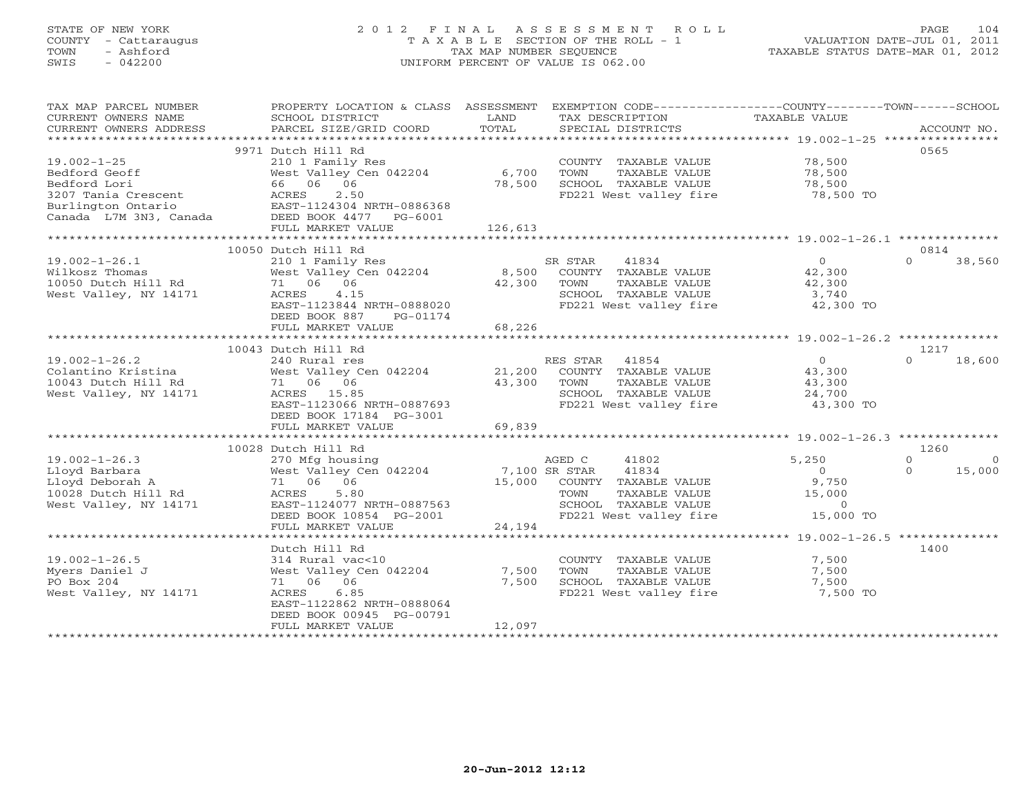# STATE OF NEW YORK 2 0 1 2 F I N A L A S S E S S M E N T R O L L PAGE 104 COUNTY - Cattaraugus T A X A B L E SECTION OF THE ROLL - 1 VALUATION DATE-JUL 01, 2011 TOWN - Ashford TAX MAP NUMBER SEQUENCE TAXABLE STATUS DATE-MAR 01, 2012 SWIS - 042200 UNIFORM PERCENT OF VALUE IS 062.00UNIFORM PERCENT OF VALUE IS 062.00

| TAX MAP PARCEL NUMBER<br>CURRENT OWNERS NAME                                                                                 | PROPERTY LOCATION & CLASS ASSESSMENT EXEMPTION CODE---------------COUNTY-------TOWN------SCHOOL<br>SCHOOL DISTRICT                                                | LAND                     | TAX DESCRIPTION                                                                                                                    | TAXABLE VALUE                                                       |                                                      |
|------------------------------------------------------------------------------------------------------------------------------|-------------------------------------------------------------------------------------------------------------------------------------------------------------------|--------------------------|------------------------------------------------------------------------------------------------------------------------------------|---------------------------------------------------------------------|------------------------------------------------------|
| CURRENT OWNERS ADDRESS                                                                                                       | PARCEL SIZE/GRID COORD                                                                                                                                            | TOTAL                    | SPECIAL DISTRICTS                                                                                                                  |                                                                     | ACCOUNT NO.                                          |
|                                                                                                                              |                                                                                                                                                                   |                          |                                                                                                                                    |                                                                     |                                                      |
| $19.002 - 1 - 25$<br>Bedford Geoff<br>Bedford Lori                                                                           | 9971 Dutch Hill Rd<br>210 1 Family Res<br>West Valley Cen 042204 6,700<br>66 06 06<br>FULL MARKET VALUE                                                           | 78,500<br>126,613        | COUNTY TAXABLE VALUE 78,500<br>TOWN<br>TAXABLE VALUE<br>SCHOOL TAXABLE VALUE<br>FD221 West valley fire 78,500 TO                   | 78,500<br>78,500                                                    | 0565                                                 |
|                                                                                                                              |                                                                                                                                                                   |                          |                                                                                                                                    |                                                                     |                                                      |
| $19.002 - 1 - 26.1$<br>West Valley, NY 14171                                                                                 | 10050 Dutch Hill Rd<br>210 1 Family Res<br>West Valley Cen 042204<br>4.15<br>ACRES<br>EAST-1123844 NRTH-0888020<br>DEED BOOK 887<br>PG-01174<br>FULL MARKET VALUE | 42,300<br>68,226         | SR STAR<br>41834<br>8,500 COUNTY TAXABLE VALUE<br>TAXABLE VALUE<br>TOWN<br>SCHOOL TAXABLE VALUE<br>FD221 West valley fire          | $\overline{0}$<br>42,300<br>42,300<br>3,740<br>42,300 TO            | 0814<br>$\Omega$<br>38,560                           |
|                                                                                                                              | 10043 Dutch Hill Rd                                                                                                                                               |                          |                                                                                                                                    |                                                                     | 1217                                                 |
| 19.002-1-26.2 240 Rural res<br>Colantino Kristina West Valley C<br>10043 Dutch Hill Rd 71 __06 __06<br>West Valley, NY 14171 | 240 Rural res<br>West Valley Cen 042204 21,200 COUNTY TAXABLE VALUE<br>ACRES 15.85<br>EAST-1123066 NRTH-0887693<br>DEED BOOK 17184 PG-3001                        | 43,300                   | RES STAR 41854<br>TOWN<br>TAXABLE VALUE<br>SCHOOL TAXABLE VALUE<br>FD221 West valley fire                                          | $\overline{O}$<br>43,300<br>43,300<br>24,700<br>43,300 TO           | $\Omega$<br>18,600                                   |
|                                                                                                                              | FULL MARKET VALUE                                                                                                                                                 | 69,839                   |                                                                                                                                    |                                                                     |                                                      |
|                                                                                                                              | 10028 Dutch Hill Rd                                                                                                                                               |                          |                                                                                                                                    |                                                                     | 1260                                                 |
| $19.002 - 1 - 26.3$<br>Lloyd Barbara<br>Lloyd Deborah A<br>10028 Dutch Hill Rd<br>West Valley, NY 14171                      | 270 Mfg housing<br>West Valley Cen 042204<br>71 06 06<br>5.80<br>ACRES<br>EAST-1124077 NRTH-0887563<br>DEED BOOK 10854 PG-2001                                    | 7,100 SR STAR            | AGED C<br>41802<br>41834<br>15,000 COUNTY TAXABLE VALUE<br>TOWN<br>TAXABLE VALUE<br>SCHOOL TAXABLE VALUE<br>FD221 West valley fire | 5,250<br>$\overline{0}$<br>9,750<br>15,000<br>$\Omega$<br>15,000 TO | $\mathbf{0}$<br>$\overline{0}$<br>$\Omega$<br>15,000 |
|                                                                                                                              | FULL MARKET VALUE                                                                                                                                                 | 24,194                   |                                                                                                                                    |                                                                     |                                                      |
|                                                                                                                              | Dutch Hill Rd                                                                                                                                                     |                          |                                                                                                                                    |                                                                     | 1400                                                 |
| $19.002 - 1 - 26.5$<br>Myers Daniel J<br>PO Box 204<br>West Valley, NY 14171                                                 | 314 Rural vac<10<br>West Valley Cen 042204<br>71 06 06<br>6.85<br>ACRES<br>EAST-1122862 NRTH-0888064<br>DEED BOOK 00945 PG-00791<br>FULL MARKET VALUE             | 7,500<br>7,500<br>12,097 | COUNTY TAXABLE VALUE<br>TOWN<br>TAXABLE VALUE<br>SCHOOL TAXABLE VALUE<br>FD221 West valley fire                                    | 7,500<br>7,500<br>7,500<br>7,500 TO                                 |                                                      |
|                                                                                                                              |                                                                                                                                                                   |                          |                                                                                                                                    |                                                                     |                                                      |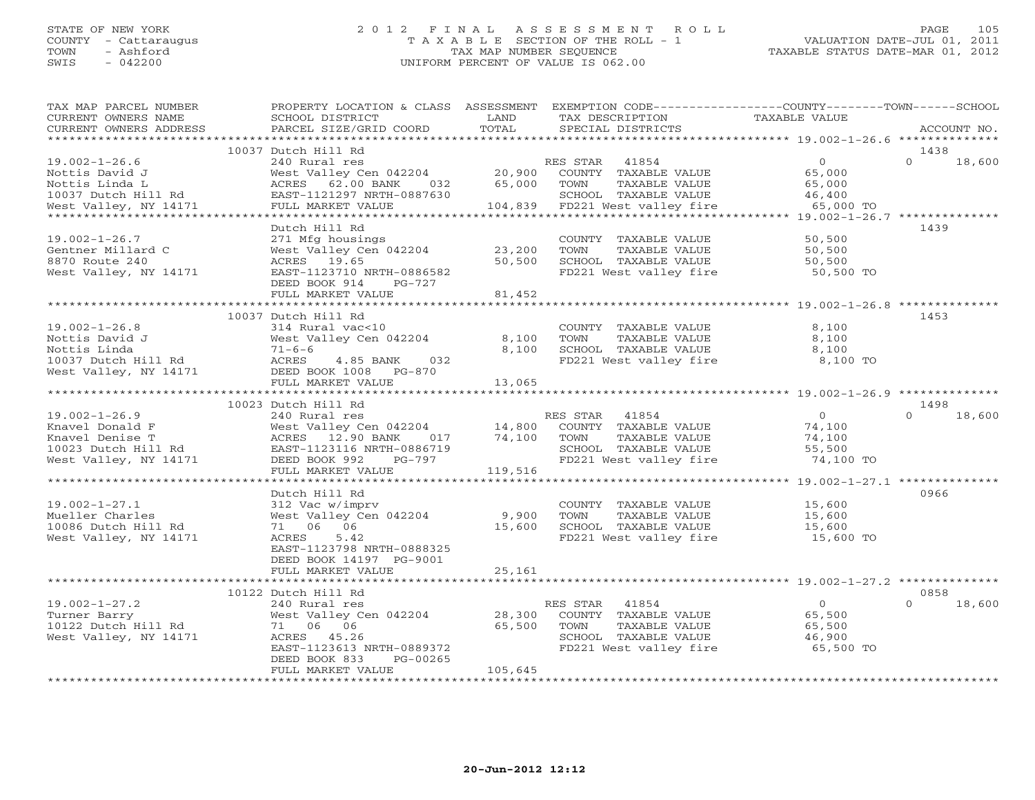#### STATE OF NEW YORK 2 0 1 2 F I N A L A S S E S S M E N T R O L L PAGE 105 COUNTY - Cattaraugus T A X A B L E SECTION OF THE ROLL - 1 VALUATION DATE-JUL 01, 2011 TOWN - Ashford TAX MAP NUMBER SEQUENCE TAXABLE STATUS DATE-MAR 01, 2012 SWIS - 042200 UNIFORM PERCENT OF VALUE IS 062.00UNIFORM PERCENT OF VALUE IS 062.00

| TAX MAP PARCEL NUMBER<br>CURRENT OWNERS NAME                                                              | PROPERTY LOCATION & CLASS ASSESSMENT EXEMPTION CODE----------------COUNTY-------TOWN------SCHOOL<br>SCHOOL DISTRICT                                                         | LAND<br>TOTAL               | TAX DESCRIPTION                                                                                                      | TAXABLE VALUE                                                                        |                    |
|-----------------------------------------------------------------------------------------------------------|-----------------------------------------------------------------------------------------------------------------------------------------------------------------------------|-----------------------------|----------------------------------------------------------------------------------------------------------------------|--------------------------------------------------------------------------------------|--------------------|
| CURRENT OWNERS ADDRESS                                                                                    | PARCEL SIZE/GRID COORD                                                                                                                                                      |                             | SPECIAL DISTRICTS                                                                                                    |                                                                                      | ACCOUNT NO.        |
|                                                                                                           | 10037 Dutch Hill Rd                                                                                                                                                         |                             |                                                                                                                      |                                                                                      | 1438               |
| $19.002 - 1 - 26.6$<br>Nottis David J<br>Nottis Linda L<br>10037 Dutch Hill Rd<br>West Valley, NY 14171   | 240 Rural res<br>West Valley Cen 042204<br>ACRES 62.00 BANK<br>032<br>EAST-1121297 NRTH-0887630<br>FULL MARKET VALUE                                                        | 20,900<br>65,000<br>104,839 | RES STAR<br>41854<br>COUNTY TAXABLE VALUE<br>TOWN<br>TAXABLE VALUE<br>SCHOOL TAXABLE VALUE<br>FD221 West valley fire | $\overline{0}$<br>65,000<br>65,000<br>46,400<br>65,000 TO                            | $\Omega$<br>18,600 |
|                                                                                                           | Dutch Hill Rd                                                                                                                                                               |                             |                                                                                                                      |                                                                                      | 1439               |
| $19.002 - 1 - 26.7$<br>Gentner Millard C<br>8870 Route 240<br>West Valley, NY 14171                       | 271 Mfg housings<br>West Valley Cen 042204<br>ACRES 19.65<br>EAST-1123710 NRTH-0886582<br>DEED BOOK 914<br>PG-727<br>FULL MARKET VALUE                                      | 23,200<br>50,500<br>81,452  | COUNTY TAXABLE VALUE<br>TOWN<br>TAXABLE VALUE<br>SCHOOL TAXABLE VALUE<br>FD221 West valley fire                      | 50,500<br>50,500<br>50,500<br>50,500 TO                                              |                    |
|                                                                                                           |                                                                                                                                                                             |                             |                                                                                                                      |                                                                                      |                    |
| $19.002 - 1 - 26.8$<br>Nottis David J<br>Nottis Linda<br>10037 Dutch Hill Rd<br>West Valley, NY 14171     | 10037 Dutch Hill Rd<br>314 Rural vac<10<br>West Valley Cen 042204<br>$71 - 6 - 6$<br>ACRES<br>4.85 BANK<br>032<br>DEED BOOK 1008 PG-870<br>FULL MARKET VALUE                | 8,100<br>8,100<br>13,065    | COUNTY TAXABLE VALUE<br>TOWN<br>TAXABLE VALUE<br>SCHOOL TAXABLE VALUE<br>FD221 West valley fire                      | 8,100<br>8,100<br>8,100<br>8,100 TO                                                  | 1453               |
| *********************                                                                                     |                                                                                                                                                                             |                             |                                                                                                                      |                                                                                      |                    |
|                                                                                                           | 10023 Dutch Hill Rd                                                                                                                                                         |                             |                                                                                                                      |                                                                                      | 1498               |
| $19.002 - 1 - 26.9$<br>Knavel Donald F<br>Knavel Denise T<br>10023 Dutch Hill Rd<br>West Valley, NY 14171 | 240 Rural res<br>West Valley Cen 042204<br>ACRES 12.90 BANK<br>017<br>EAST-1123116 NRTH-0886719<br>DEED BOOK 992<br>PG-797                                                  | 14,800<br>74,100            | RES STAR 41854<br>COUNTY TAXABLE VALUE<br>TOWN<br>TAXABLE VALUE<br>SCHOOL TAXABLE VALUE<br>FD221 West valley fire    | $\overline{0}$<br>74,100<br>74,100<br>55,500<br>74,100 TO                            | $\Omega$<br>18,600 |
|                                                                                                           | FULL MARKET VALUE                                                                                                                                                           | 119,516                     |                                                                                                                      |                                                                                      |                    |
| $19.002 - 1 - 27.1$<br>Mueller Charles<br>10086 Dutch Hill Rd<br>West Valley, NY 14171                    | ************************<br>Dutch Hill Rd<br>312 Vac w/imprv<br>West Valley Cen 042204<br>71 06 06<br>5.42<br>ACRES<br>EAST-1123798 NRTH-0888325<br>DEED BOOK 14197 PG-9001 | 9,900<br>15,600             | COUNTY TAXABLE VALUE<br>TOWN<br>TAXABLE VALUE<br>SCHOOL TAXABLE VALUE<br>FD221 West valley fire                      | *********** 19.002-1-27.1 ***************<br>15,600<br>15,600<br>15,600<br>15,600 TO | 0966               |
|                                                                                                           | FULL MARKET VALUE                                                                                                                                                           | 25,161                      |                                                                                                                      |                                                                                      |                    |
|                                                                                                           | 10122 Dutch Hill Rd                                                                                                                                                         |                             |                                                                                                                      |                                                                                      | 0858               |
| $19.002 - 1 - 27.2$<br>Turner Barry<br>10122 Dutch Hill Rd<br>West Valley, NY 14171                       | 240 Rural res<br>West Valley Cen 042204<br>71 06 06<br>ACRES 45.26<br>EAST-1123613 NRTH-0889372<br>DEED BOOK 833<br>PG-00265<br>FULL MARKET VALUE                           | 28,300<br>65,500<br>105,645 | RES STAR 41854<br>COUNTY TAXABLE VALUE<br>TOWN<br>TAXABLE VALUE<br>SCHOOL TAXABLE VALUE<br>FD221 West valley fire    | $\Omega$<br>65,500<br>65,500<br>46,900<br>65,500 TO                                  | $\cap$<br>18,600   |
| ***********************                                                                                   |                                                                                                                                                                             |                             |                                                                                                                      |                                                                                      |                    |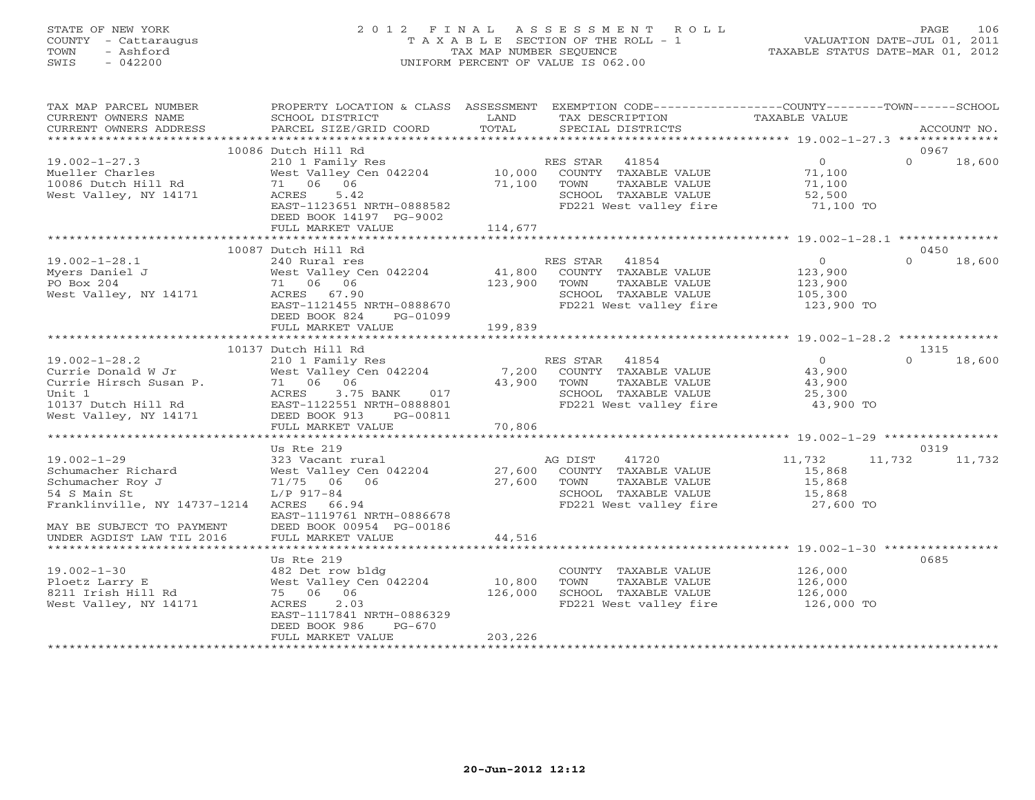# STATE OF NEW YORK 2 0 1 2 F I N A L A S S E S S M E N T R O L L PAGE 106 COUNTY - Cattaraugus T A X A B L E SECTION OF THE ROLL - 1 VALUATION DATE-JUL 01, 2011 TOWN - Ashford TAX MAP NUMBER SEQUENCE TAXABLE STATUS DATE-MAR 01, 2012 SWIS - 042200 UNIFORM PERCENT OF VALUE IS 062.00UNIFORM PERCENT OF VALUE IS 062.00

| TAX MAP PARCEL NUMBER<br>CURRENT OWNERS NAME                                                                                                                                                                                                  | PROPERTY LOCATION & CLASS ASSESSMENT<br>SCHOOL DISTRICT<br><b>Example 12</b> LAND                                                                                                     |                    | EXEMPTION CODE----------------COUNTY-------TOWN------SCHOOL<br>TAX DESCRIPTION                                                                            | TAXABLE VALUE                                                      |                            |
|-----------------------------------------------------------------------------------------------------------------------------------------------------------------------------------------------------------------------------------------------|---------------------------------------------------------------------------------------------------------------------------------------------------------------------------------------|--------------------|-----------------------------------------------------------------------------------------------------------------------------------------------------------|--------------------------------------------------------------------|----------------------------|
| CURRENT OWNERS ADDRESS                                                                                                                                                                                                                        | PARCEL SIZE/GRID COORD                                                                                                                                                                | TOTAL              | SPECIAL DISTRICTS                                                                                                                                         |                                                                    | ACCOUNT NO.                |
|                                                                                                                                                                                                                                               | 10086 Dutch Hill Rd                                                                                                                                                                   |                    |                                                                                                                                                           |                                                                    | 0967                       |
| $19.002 - 1 - 27.3$<br>Mueller Charles<br>10086 Dutch Hill Rd<br>West Valley, NY 14171                                                                                                                                                        | 210 1 Family Res<br>West Valley Cen 042204 10,000 COUNTY TAXABLE VALUE<br>71 06 06 71,100 TOWN TAXABLE VALUE<br>ACRES<br>5.42<br>EAST-1123651 NRTH-0888582<br>DEED BOOK 14197 PG-9002 |                    | RES STAR 41854<br>SCHOOL TAXABLE VALUE 52,500<br>FD221 West valley fire 71,100 TO                                                                         | $\overline{0}$<br>$71,100$<br>$71,100$                             | $\Omega$<br>18,600         |
|                                                                                                                                                                                                                                               | FULL MARKET VALUE                                                                                                                                                                     | 114,677            |                                                                                                                                                           |                                                                    |                            |
|                                                                                                                                                                                                                                               | 10087 Dutch Hill Rd                                                                                                                                                                   |                    |                                                                                                                                                           |                                                                    | 0450                       |
| $19.002 - 1 - 28.1$<br>Myers Daniel J<br>PO Box 204<br>West Valley, NY 14171                                                                                                                                                                  | 240 Rural res<br>West Valley Cen $042204$ 41,800<br>71 06 06<br>ACRES 67.90<br>ACRES 67.90<br>EAST-1121455 NRTH-0888670<br>ERED DOCK 934 DO 01000<br>DEED BOOK 824<br>PG-01099        | 123,900            | RES STAR 41854<br>COUNTY TAXABLE VALUE 123,900<br>TAXABLE VALUE<br>TOWN<br>SCHOOL TAXABLE VALUE<br>FD221 West valley fire 123,900 TO                      | $\overline{0}$<br>123,900<br>105,300                               | $\Omega$<br>18,600         |
|                                                                                                                                                                                                                                               |                                                                                                                                                                                       |                    |                                                                                                                                                           |                                                                    |                            |
| $19.002 - 1 - 28.2$<br>19.002-1-28.2 210 1 Family Res<br>Currie Donald W Jr West Valley Cen 042204<br>Currie Hirsch Susan P. 71 06 06<br>Unit 1 ACRES 3.75 BANK 017<br>10137 Dutch Hill Rd EAST-1122551 NRTH-0888801<br>West Valley, NY 14171 | 10137 Dutch Hill Rd<br>06<br>3.75 BANK 017<br>------ 0988801<br>DEED BOOK 913 PG-00811<br>FULL MARKET VALUE                                                                           | 70,806             | SCHOOL TAXABLE VALUE 25,300<br>FD221 West valley fire 43,900 TO                                                                                           | $\begin{array}{c} 0 \\ 43,900 \end{array}$<br>TAXABLE VALUE 43,900 | 1315<br>$\Omega$<br>18,600 |
|                                                                                                                                                                                                                                               | Us Rte 219                                                                                                                                                                            |                    |                                                                                                                                                           |                                                                    | 0319                       |
| $19.002 - 1 - 29$<br>Schumacher Richard<br>Schumacher Roy J<br>Schumacher Roy J<br>54 S Main St<br>Franklinville, NY 14737-1214<br>MAY BE SUBJECT TO PAYMENT                                                                                  | 323 Vacant rural<br>West Valley Cen 042204<br>71/75 06 06<br>$L/P$ 917-84<br>ACRES 66.94<br>EAST-1119761 NRTH-0886678<br>DEED BOOK 00954 PG-00186                                     | 27,600 TOWN        | 41720<br>AG DIST<br>27,600 COUNTY TAXABLE VALUE<br>TAXABLE VALUE<br>TOWN TAXABLE VALUE<br>SCHOOL TAXABLE VALUE 15,868<br>TIPOL Wort valley fire 37,600 TO | 11,732<br>15,868<br>15,868                                         | 11,732<br>11,732           |
| UNDER AGDIST LAW TIL 2016                                                                                                                                                                                                                     | FULL MARKET VALUE                                                                                                                                                                     | 44,516             |                                                                                                                                                           |                                                                    |                            |
| $19.002 - 1 - 30$<br>Ploetz Larry E<br>8211 Irish Hill Rd<br>West Valley, NY 14171                                                                                                                                                            | Us Rte 219<br>482 Det row bldg<br>West Valley Cen 042204 10,800<br>75 06 06<br>2.03<br>ACRES<br>EAST-1117841 NRTH-0886329<br>DEED BOOK 986<br>PG-670<br>FULL MARKET VALUE             | 126,000<br>203,226 | COUNTY TAXABLE VALUE 126,000<br>TAXABLE VALUE<br>TOWN<br>SCHOOL TAXABLE VALUE<br>FD221 West valley fire 126,000 TO                                        | $126,000$<br>$126,000$                                             | 0685                       |
|                                                                                                                                                                                                                                               |                                                                                                                                                                                       |                    |                                                                                                                                                           |                                                                    |                            |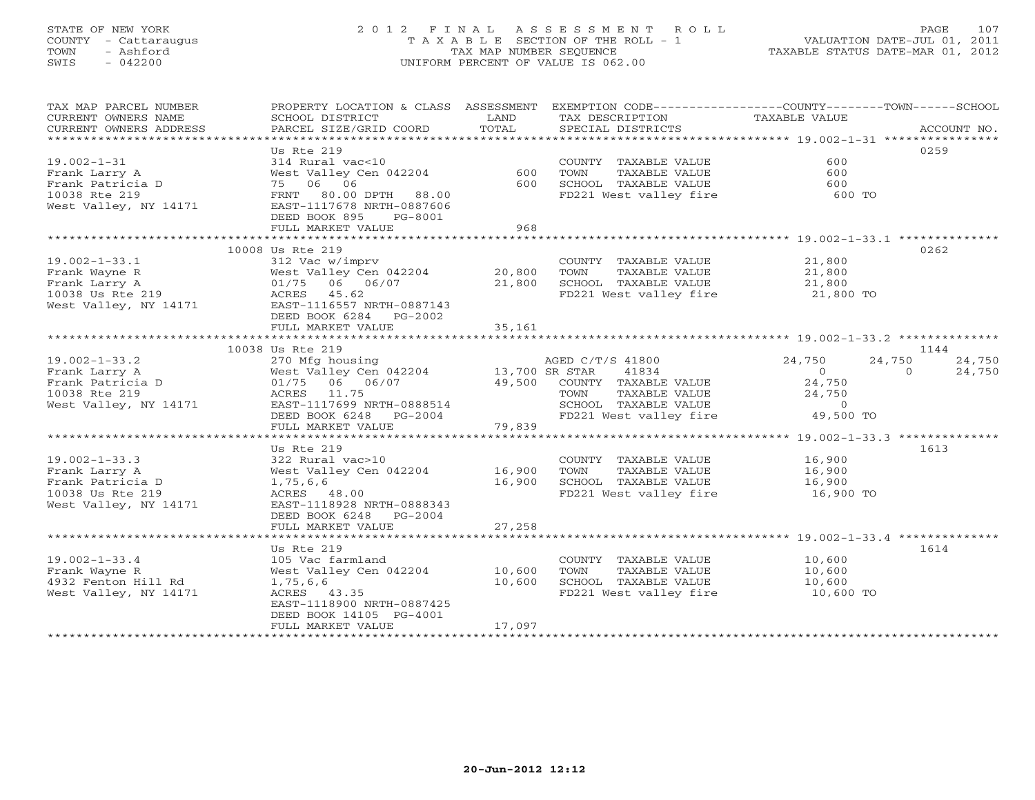# STATE OF NEW YORK 2 0 1 2 F I N A L A S S E S S M E N T R O L L PAGE 107 COUNTY - Cattaraugus T A X A B L E SECTION OF THE ROLL - 1 VALUATION DATE-JUL 01, 2011 TOWN - Ashford TAX MAP NUMBER SEQUENCE TAXABLE STATUS DATE-MAR 01, 2012 SWIS - 042200 UNIFORM PERCENT OF VALUE IS 062.00UNIFORM PERCENT OF VALUE IS 062.00

| TAX MAP PARCEL NUMBER<br>CURRENT OWNERS NAME<br>CURRENT OWNERS ADDRESS                                | PROPERTY LOCATION & CLASS ASSESSMENT EXEMPTION CODE---------------COUNTY-------TOWN-----SCHOOL<br>SCHOOL DISTRICT<br>PARCEL SIZE/GRID COORD                                    | LAND<br>TOTAL                      | TAX DESCRIPTION<br>SPECIAL DISTRICTS                                                                                         | TAXABLE VALUE                                                        | ACCOUNT NO.                           |
|-------------------------------------------------------------------------------------------------------|--------------------------------------------------------------------------------------------------------------------------------------------------------------------------------|------------------------------------|------------------------------------------------------------------------------------------------------------------------------|----------------------------------------------------------------------|---------------------------------------|
| $19.002 - 1 - 31$<br>Frank Larry A<br>Frank Patricia D<br>10038 Rte 219<br>West Valley, NY 14171      | Us Rte 219<br>314 Rural vac<10<br>West Valley Cen 042204<br>75 06 06<br>FRNT 80.00 DPTH<br>88.00<br>EAST-1117678 NRTH-0887606<br>DEED BOOK 895<br>PG-8001<br>FULL MARKET VALUE | 600<br>600<br>968                  | COUNTY TAXABLE VALUE<br>TOWN<br>TAXABLE VALUE<br>SCHOOL TAXABLE VALUE<br>FD221 West valley fire                              | 600<br>600<br>600<br>600 TO                                          | 0259                                  |
|                                                                                                       |                                                                                                                                                                                |                                    |                                                                                                                              |                                                                      |                                       |
| $19.002 - 1 - 33.1$<br>Frank Wayne R<br>Frank Larry A<br>10038 Us Rte 219<br>West Valley, NY 14171    | 10008 Us Rte 219<br>312 Vac w/imprv<br>West Valley Cen 042204<br>$01/75$ 06 06/07<br>ACRES 45.62<br>EAST-1116557 NRTH-0887143<br>DEED BOOK 6284<br>PG-2002                     | 20,800<br>21,800                   | COUNTY TAXABLE VALUE<br>TOWN<br>TAXABLE VALUE<br>SCHOOL TAXABLE VALUE<br>FD221 West valley fire                              | 21,800<br>21,800<br>21,800<br>21,800 TO                              | 0262                                  |
|                                                                                                       | FULL MARKET VALUE                                                                                                                                                              | 35,161                             |                                                                                                                              |                                                                      |                                       |
|                                                                                                       |                                                                                                                                                                                |                                    |                                                                                                                              |                                                                      |                                       |
|                                                                                                       | 10038 Us Rte 219                                                                                                                                                               |                                    |                                                                                                                              |                                                                      | 1144                                  |
| $19.002 - 1 - 33.2$<br>Frank Larry A<br>Frank Patricia D<br>10038 Rte 219<br>West Valley, NY 14171    | 270 Mfg housing<br>West Valley Cen 042204<br>01/75 06 06/07<br>ACRES 11.75<br>EAST-1117699 NRTH-0888514<br>DEED BOOK 6248<br>PG-2004<br>FULL MARKET VALUE                      | 13,700 SR STAR<br>49,500<br>79,839 | AGED C/T/S 41800<br>41834<br>COUNTY TAXABLE VALUE<br>TAXABLE VALUE<br>TOWN<br>SCHOOL TAXABLE VALUE<br>FD221 West valley fire | 24,750<br>$\circ$<br>24,750<br>24,750<br>$\overline{0}$<br>49,500 TO | 24,750<br>24,750<br>24,750<br>$\circ$ |
|                                                                                                       |                                                                                                                                                                                |                                    |                                                                                                                              |                                                                      |                                       |
| $19.002 - 1 - 33.3$<br>Frank Larry A<br>Frank Patricia D<br>10038 Us Rte 219<br>West Valley, NY 14171 | Us Rte 219<br>322 Rural vac>10<br>West Valley Cen 042204<br>1,75,6,6<br>ACRES 48.00<br>EAST-1118928 NRTH-0888343<br>DEED BOOK 6248<br>PG-2004                                  | 16,900<br>16,900                   | COUNTY TAXABLE VALUE<br>TOWN<br>TAXABLE VALUE<br>SCHOOL TAXABLE VALUE<br>FD221 West valley fire                              | 16,900<br>16,900<br>16,900<br>16,900 TO                              | 1613                                  |
|                                                                                                       | FULL MARKET VALUE                                                                                                                                                              | 27,258                             |                                                                                                                              |                                                                      |                                       |
| $19.002 - 1 - 33.4$<br>Frank Wayne R<br>4932 Fenton Hill Rd<br>West Valley, NY 14171                  | Us Rte 219<br>105 Vac farmland<br>West Valley Cen 042204<br>1,75,6,6<br>ACRES 43.35<br>EAST-1118900 NRTH-0887425<br>DEED BOOK 14105 PG-4001<br>FULL MARKET VALUE               | 10,600<br>10,600<br>17,097         | COUNTY TAXABLE VALUE<br>TOWN<br>TAXABLE VALUE<br>SCHOOL TAXABLE VALUE<br>FD221 West valley fire                              | 10,600<br>10,600<br>10,600<br>10,600 TO                              | 1614                                  |
|                                                                                                       |                                                                                                                                                                                |                                    |                                                                                                                              |                                                                      |                                       |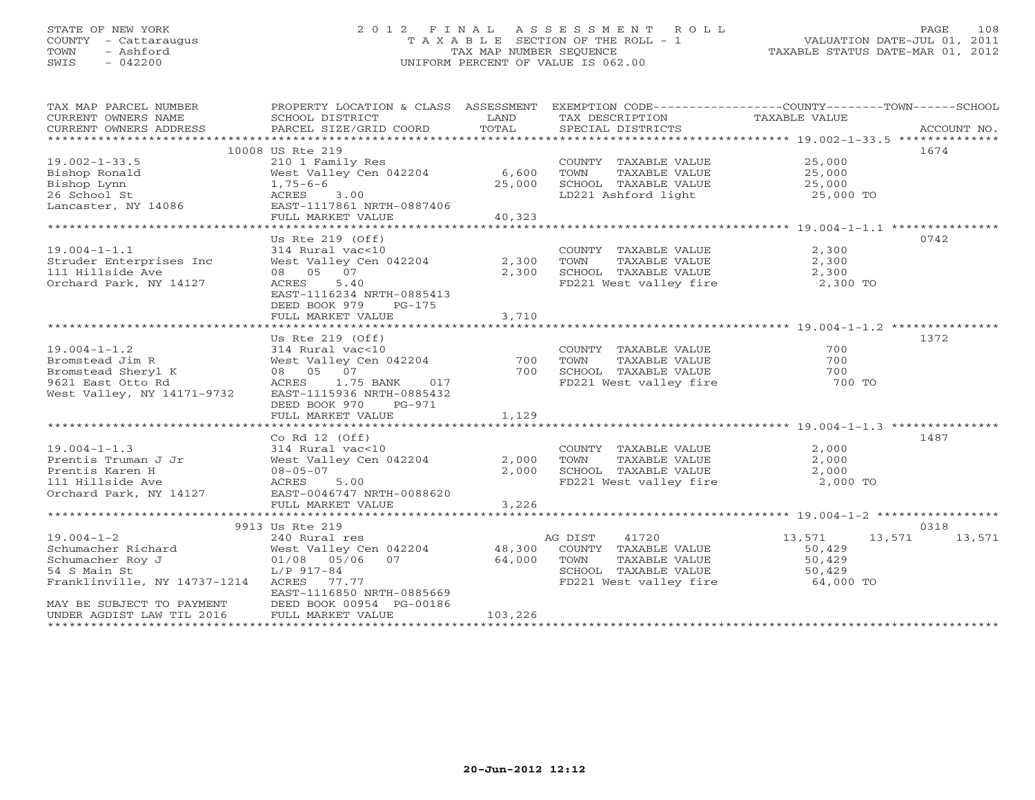# STATE OF NEW YORK 2 0 1 2 F I N A L A S S E S S M E N T R O L L PAGE 108 COUNTY - Cattaraugus T A X A B L E SECTION OF THE ROLL - 1 VALUATION DATE-JUL 01, 2011 TOWN - Ashford TAX MAP NUMBER SEQUENCE TAXABLE STATUS DATE-MAR 01, 2012 SWIS - 042200 UNIFORM PERCENT OF VALUE IS 062.00UNIFORM PERCENT OF VALUE IS 062.00

| TAX MAP PARCEL NUMBER<br>CURRENT OWNERS NAME<br>CURRENT OWNERS ADDRESS | PROPERTY LOCATION & CLASS ASSESSMENT<br>SCHOOL DISTRICT<br>PARCEL SIZE/GRID COORD | LAND<br>TOTAL | TAX DESCRIPTION<br>SPECIAL DISTRICTS | EXEMPTION CODE-----------------COUNTY-------TOWN------SCHOOL<br>TAXABLE VALUE | ACCOUNT NO. |
|------------------------------------------------------------------------|-----------------------------------------------------------------------------------|---------------|--------------------------------------|-------------------------------------------------------------------------------|-------------|
|                                                                        |                                                                                   |               |                                      |                                                                               |             |
|                                                                        | 10008 US Rte 219                                                                  |               |                                      | 1674                                                                          |             |
| $19.002 - 1 - 33.5$                                                    | 210 1 Family Res                                                                  |               | COUNTY TAXABLE VALUE                 | 25,000                                                                        |             |
| Bishop Ronald                                                          | West Valley Cen 042204                                                            | 6,600         | TAXABLE VALUE<br>TOWN                | 25,000                                                                        |             |
| Bishop Lynn                                                            | $1,75-6-6$                                                                        | 25,000        | SCHOOL TAXABLE VALUE                 | 25,000                                                                        |             |
| 26 School St                                                           | ACRES<br>3.00                                                                     |               | LD221 Ashford light                  | 25,000 TO                                                                     |             |
| Lancaster, NY 14086                                                    | EAST-1117861 NRTH-0887406                                                         |               |                                      |                                                                               |             |
|                                                                        | FULL MARKET VALUE                                                                 | 40,323        |                                      |                                                                               |             |
|                                                                        |                                                                                   |               |                                      |                                                                               |             |
|                                                                        | Us Rte $219$ (Off)                                                                |               |                                      | 0742                                                                          |             |
| $19.004 - 1 - 1.1$                                                     | 314 Rural vac<10                                                                  |               | COUNTY TAXABLE VALUE                 | 2,300                                                                         |             |
| Struder Enterprises Inc                                                | West Valley Cen 042204                                                            | 2,300         | TOWN<br>TAXABLE VALUE                | 2,300                                                                         |             |
| 111 Hillside Ave                                                       | 08 05 07                                                                          | 2,300         | SCHOOL TAXABLE VALUE                 | 2,300                                                                         |             |
| Orchard Park, NY 14127                                                 | ACRES<br>5.40                                                                     |               | FD221 West valley fire               | 2,300 TO                                                                      |             |
|                                                                        |                                                                                   |               |                                      |                                                                               |             |
|                                                                        | EAST-1116234 NRTH-0885413                                                         |               |                                      |                                                                               |             |
|                                                                        | DEED BOOK 979<br>$PG-175$                                                         |               |                                      |                                                                               |             |
|                                                                        | FULL MARKET VALUE                                                                 | 3,710         |                                      |                                                                               |             |
|                                                                        |                                                                                   |               |                                      |                                                                               |             |
|                                                                        | Us Rte $219$ (Off)                                                                |               |                                      | 1372                                                                          |             |
| $19.004 - 1 - 1.2$                                                     | 314 Rural vac<10                                                                  |               | COUNTY TAXABLE VALUE                 | 700                                                                           |             |
| Bromstead Jim R                                                        | West Valley Cen 042204                                                            | 700           | TOWN<br>TAXABLE VALUE                | 700                                                                           |             |
| Bromstead Sheryl K                                                     | 08 05 07                                                                          | 700           | SCHOOL TAXABLE VALUE                 | 700                                                                           |             |
| 9621 East Otto Rd                                                      | 1.75 BANK<br>ACRES<br>017                                                         |               | FD221 West valley fire               | 700 TO                                                                        |             |
| West Valley, NY 14171-9732                                             | EAST-1115936 NRTH-0885432                                                         |               |                                      |                                                                               |             |
|                                                                        | DEED BOOK 970<br>PG-971                                                           |               |                                      |                                                                               |             |
|                                                                        | FULL MARKET VALUE                                                                 | 1,129         |                                      |                                                                               |             |
|                                                                        |                                                                                   |               |                                      |                                                                               |             |
|                                                                        | Co Rd $12$ (Off)                                                                  |               |                                      | 1487                                                                          |             |
| $19.004 - 1 - 1.3$                                                     | 314 Rural vac<10                                                                  |               | COUNTY TAXABLE VALUE                 | 2,000                                                                         |             |
| Prentis Truman J Jr                                                    | West Valley Cen 042204                                                            | 2,000         | TOWN<br>TAXABLE VALUE                | 2,000                                                                         |             |
| Prentis Karen H                                                        | $08 - 05 - 07$                                                                    | 2,000         | SCHOOL TAXABLE VALUE                 | 2,000                                                                         |             |
| 111 Hillside Ave                                                       | ACRES<br>5.00                                                                     |               | FD221 West valley fire               | 2,000 TO                                                                      |             |
| Orchard Park, NY 14127                                                 | EAST-0046747 NRTH-0088620                                                         |               |                                      |                                                                               |             |
|                                                                        | FULL MARKET VALUE                                                                 | 3,226         |                                      |                                                                               |             |
|                                                                        |                                                                                   |               |                                      |                                                                               |             |
|                                                                        | 9913 Us Rte 219                                                                   |               |                                      | 0318                                                                          |             |
| $19.004 - 1 - 2$                                                       | 240 Rural res                                                                     |               | 41720<br>AG DIST                     | 13,571<br>13,571                                                              | 13,571      |
| Schumacher Richard                                                     | West Valley Cen 042204                                                            | 48,300        | COUNTY TAXABLE VALUE                 | 50,429                                                                        |             |
| Schumacher Roy J                                                       | $01/08$ $05/06$<br>07                                                             | 64,000        | TOWN<br>TAXABLE VALUE                | 50,429                                                                        |             |
| 54 S Main St                                                           | L/P 917-84                                                                        |               | SCHOOL TAXABLE VALUE                 | 50,429                                                                        |             |
| Franklinville, NY 14737-1214                                           | ACRES<br>77.77                                                                    |               | FD221 West valley fire 64,000 TO     |                                                                               |             |
|                                                                        | EAST-1116850 NRTH-0885669                                                         |               |                                      |                                                                               |             |
| MAY BE SUBJECT TO PAYMENT                                              | DEED BOOK 00954 PG-00186                                                          |               |                                      |                                                                               |             |
| UNDER AGDIST LAW TIL 2016                                              | FULL MARKET VALUE                                                                 | 103,226       |                                      |                                                                               |             |
|                                                                        |                                                                                   |               |                                      |                                                                               |             |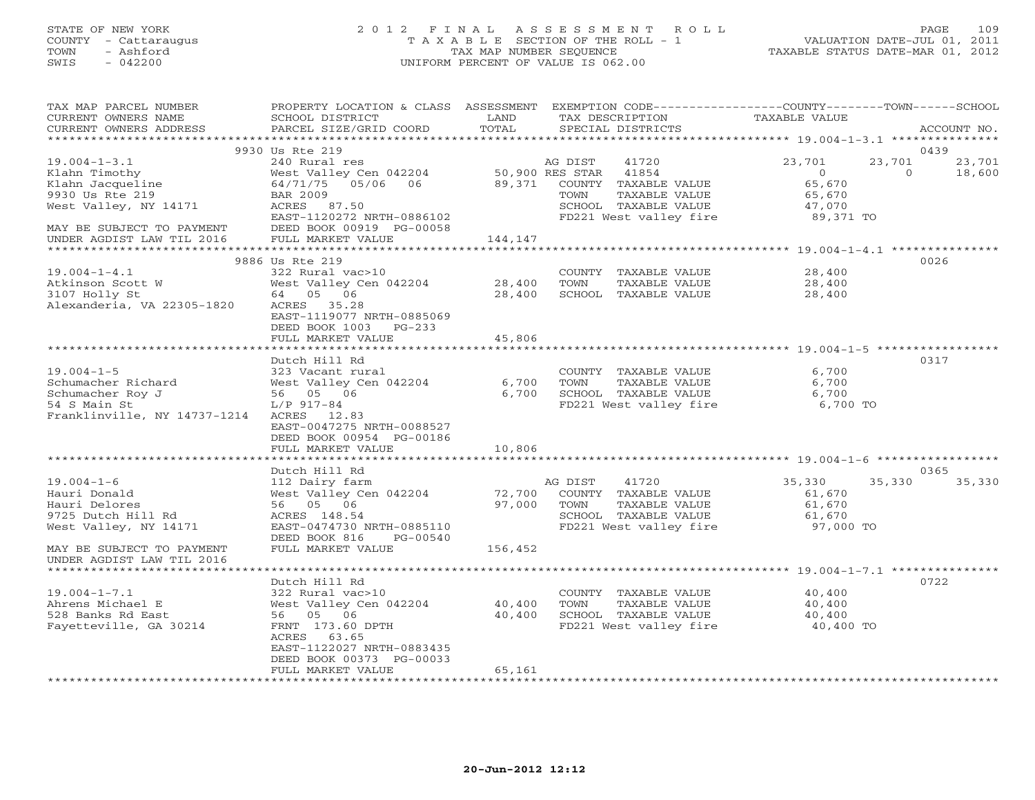## STATE OF NEW YORK 2 0 1 2 F I N A L A S S E S S M E N T R O L L PAGE 109 COUNTY - Cattaraugus T A X A B L E SECTION OF THE ROLL - 1 VALUATION DATE-JUL 01, 2011 TOWN - Ashford TAX MAP NUMBER SEQUENCE TAXABLE STATUS DATE-MAR 01, 2012 SWIS - 042200 UNIFORM PERCENT OF VALUE IS 062.00UNIFORM PERCENT OF VALUE IS 062.00

| TAX MAP PARCEL NUMBER<br>CURRENT OWNERS NAME<br>CURRENT OWNERS ADDRESS                                                                                        | PROPERTY LOCATION & CLASS ASSESSMENT<br>SCHOOL DISTRICT<br>PARCEL SIZE/GRID COORD                                                                                                                  | LAND<br>TOTAL              | TAX DESCRIPTION<br>SPECIAL DISTRICTS                                                                                                         | EXEMPTION CODE-----------------COUNTY-------TOWN------SCHOOL<br>TAXABLE VALUE            | ACCOUNT NO.              |
|---------------------------------------------------------------------------------------------------------------------------------------------------------------|----------------------------------------------------------------------------------------------------------------------------------------------------------------------------------------------------|----------------------------|----------------------------------------------------------------------------------------------------------------------------------------------|------------------------------------------------------------------------------------------|--------------------------|
| ***********************                                                                                                                                       |                                                                                                                                                                                                    |                            |                                                                                                                                              |                                                                                          |                          |
| $19.004 - 1 - 3.1$<br>Klahn Timothy<br>Klahn Jacqueline<br>9930 Us Rte 219<br>West Valley, NY 14171<br>MAY BE SUBJECT TO PAYMENT<br>UNDER AGDIST LAW TIL 2016 | 9930 Us Rte 219<br>240 Rural res<br>West Valley Cen 042204<br>05/06 06<br>64/71/75<br><b>BAR 2009</b><br>ACRES 87.50<br>EAST-1120272 NRTH-0886102<br>DEED BOOK 00919 PG-00058<br>FULL MARKET VALUE | 89,371<br>144,147          | 41720<br>AG DIST<br>50,900 RES STAR 41854<br>COUNTY TAXABLE VALUE<br>TOWN<br>TAXABLE VALUE<br>SCHOOL TAXABLE VALUE<br>FD221 West valley fire | 23,701<br>23,701<br>$\overline{0}$<br>$\circ$<br>65,670<br>65,670<br>47,070<br>89,371 TO | 0439<br>23,701<br>18,600 |
|                                                                                                                                                               |                                                                                                                                                                                                    |                            |                                                                                                                                              |                                                                                          |                          |
| $19.004 - 1 - 4.1$<br>Atkinson Scott W<br>3107 Holly St<br>Alexanderia, VA 22305-1820                                                                         | 9886 Us Rte 219<br>322 Rural vac>10<br>West Valley Cen 042204<br>64 05 06<br>ACRES 35.28<br>EAST-1119077 NRTH-0885069<br>DEED BOOK 1003<br>$PG-233$<br>FULL MARKET VALUE                           | 28,400<br>28,400<br>45,806 | COUNTY TAXABLE VALUE<br>TOWN<br>TAXABLE VALUE<br>SCHOOL TAXABLE VALUE                                                                        | 28,400<br>28,400<br>28,400                                                               | 0026                     |
|                                                                                                                                                               |                                                                                                                                                                                                    |                            |                                                                                                                                              | ********************************* 19.004-1-5 **********                                  |                          |
| $19.004 - 1 - 5$<br>Schumacher Richard<br>Schumacher Roy J<br>54 S Main St<br>Franklinville, NY 14737-1214                                                    | Dutch Hill Rd<br>323 Vacant rural<br>West Valley Cen 042204<br>56 05 06<br>$L/P$ 917-84<br>ACRES 12.83<br>EAST-0047275 NRTH-0088527<br>DEED BOOK 00954 PG-00186<br>FULL MARKET VALUE               | 6,700<br>6,700<br>10,806   | COUNTY TAXABLE VALUE<br>TOWN<br>TAXABLE VALUE<br>SCHOOL TAXABLE VALUE<br>FD221 West valley fire                                              | 6,700<br>6,700<br>6,700<br>6,700 TO                                                      | 0317                     |
|                                                                                                                                                               | Dutch Hill Rd                                                                                                                                                                                      |                            |                                                                                                                                              |                                                                                          | 0365                     |
| $19.004 - 1 - 6$<br>Hauri Donald<br>Hauri Delores<br>9725 Dutch Hill Rd<br>West Valley, NY 14171                                                              | 112 Dairy farm<br>West Valley Cen 042204<br>56 05 06<br>ACRES 148.54<br>EAST-0474730 NRTH-0885110<br>DEED BOOK 816<br>PG-00540                                                                     | 72,700<br>97,000           | 41720<br>AG DIST<br>COUNTY TAXABLE VALUE<br>TOWN<br>TAXABLE VALUE<br>SCHOOL TAXABLE VALUE<br>FD221 West valley fire                          | 35,330<br>35,330<br>61,670<br>61,670<br>61,670<br>97,000 TO                              | 35,330                   |
| MAY BE SUBJECT TO PAYMENT<br>UNDER AGDIST LAW TIL 2016                                                                                                        | FULL MARKET VALUE                                                                                                                                                                                  | 156,452                    |                                                                                                                                              |                                                                                          |                          |
| ********************<br>$19.004 - 1 - 7.1$<br>Ahrens Michael E<br>528 Banks Rd East<br>Fayetteville, GA 30214                                                 | Dutch Hill Rd<br>322 Rural vac>10<br>West Valley Cen 042204<br>56 05 06<br>FRNT 173.60 DPTH<br>ACRES 63.65<br>EAST-1122027 NRTH-0883435                                                            | 40,400<br>40,400           | COUNTY TAXABLE VALUE<br>TOWN<br>TAXABLE VALUE<br>SCHOOL TAXABLE VALUE<br>FD221 West valley fire                                              | 40,400<br>40,400<br>40,400<br>40,400 TO                                                  | 0722                     |
|                                                                                                                                                               | DEED BOOK 00373 PG-00033<br>FULL MARKET VALUE                                                                                                                                                      | 65,161                     |                                                                                                                                              |                                                                                          |                          |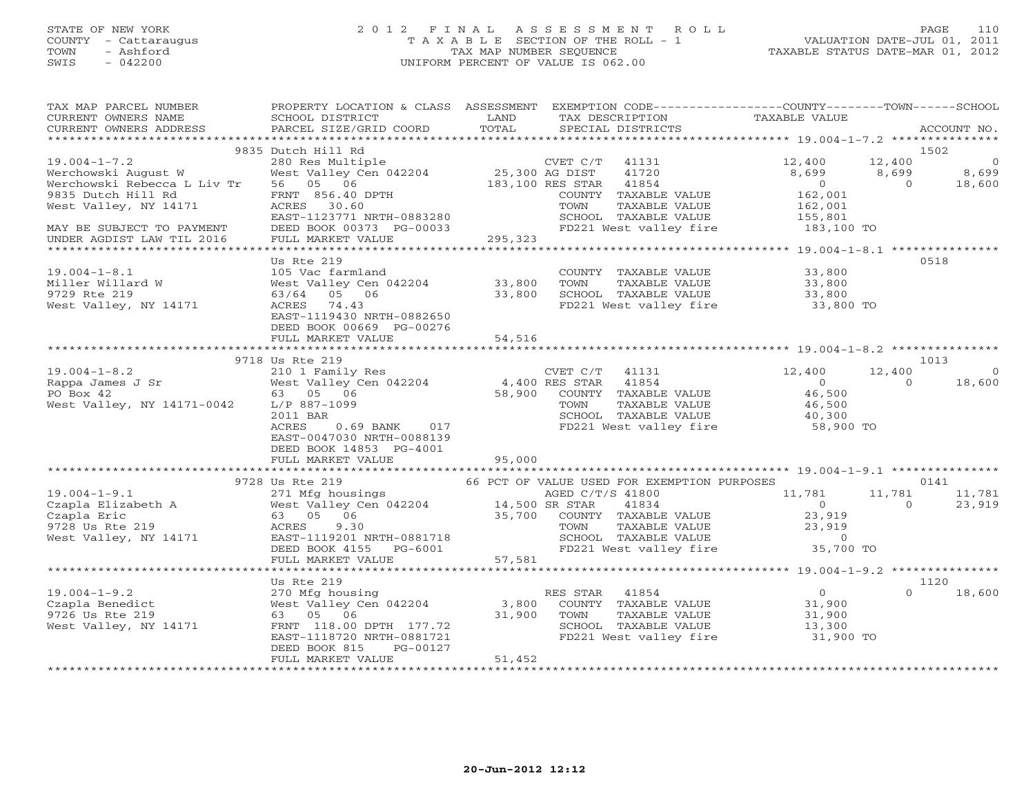## STATE OF NEW YORK 2 0 1 2 F I N A L A S S E S S M E N T R O L L PAGE 110 COUNTY - Cattaraugus T A X A B L E SECTION OF THE ROLL - 1 VALUATION DATE-JUL 01, 2011 TOWN - Ashford TAX MAP NUMBER SEQUENCE TAXABLE STATUS DATE-MAR 01, 2012 SWIS - 042200 UNIFORM PERCENT OF VALUE IS 062.00UNIFORM PERCENT OF VALUE IS 062.00

| TAX MAP PARCEL NUMBER                                                                             | PROPERTY LOCATION & CLASS ASSESSMENT EXEMPTION CODE---------------COUNTY-------TOWN------SCHOOL                                                                                                                                                                                           |        |                      |                                                                                                                                                                                                                    |                          |                                                                                                                                                                                                                                                                                                                                              |
|---------------------------------------------------------------------------------------------------|-------------------------------------------------------------------------------------------------------------------------------------------------------------------------------------------------------------------------------------------------------------------------------------------|--------|----------------------|--------------------------------------------------------------------------------------------------------------------------------------------------------------------------------------------------------------------|--------------------------|----------------------------------------------------------------------------------------------------------------------------------------------------------------------------------------------------------------------------------------------------------------------------------------------------------------------------------------------|
|                                                                                                   |                                                                                                                                                                                                                                                                                           |        |                      |                                                                                                                                                                                                                    |                          |                                                                                                                                                                                                                                                                                                                                              |
| $19.004 - 1 - 7.2$                                                                                | 9835 Dutch Hill Rd                                                                                                                                                                                                                                                                        |        |                      | CVET $C/T$ 41131 12,400 12,400                                                                                                                                                                                     |                          | 1502                                                                                                                                                                                                                                                                                                                                         |
| Werchowski August W<br>Werchowski Rebecca L Liv Tr<br>9835 Dutch Hill Rd<br>West Valley, NY 14171 | Nucum Indian Multiple<br>280 Res Multiple (VET C/T 41131)<br>West Valley Cen 042204 25,300 AG DIST 41720<br>56 05 06 183,100 RES STAR 41854<br>FRNT 856.40 DPTH (COUNTY TAXABLE VA<br>ACRES 30.60 TOWN TAXABLE VA                                                                         |        | COUNTY TAXABLE VALUE | $\begin{array}{c} 0 \\ 162,001 \end{array}$                                                                                                                                                                        |                          | $\begin{array}{cccc} 12,400 & & 12,400 & & & 0 \\ 8,699 & & 8,699 & & 8,699 \\ & & 0 & & 0 & & 18,600 \end{array}$                                                                                                                                                                                                                           |
| MAY BE SUBJECT TO PAYMENT<br>UNDER AGDIST LAW TIL 2016                                            | ACKES 30.00<br>EAST-1123771 NRTH-0883280<br>DEED BOOK 00373 PG-00033<br>DEED BOOK 00373 PG-00033<br>FULL MARKET VALUE 295,323                                                                                                                                                             |        |                      |                                                                                                                                                                                                                    |                          |                                                                                                                                                                                                                                                                                                                                              |
|                                                                                                   | Us Rte 219                                                                                                                                                                                                                                                                                |        |                      |                                                                                                                                                                                                                    |                          | 0518                                                                                                                                                                                                                                                                                                                                         |
| $19.004 - 1 - 8.1$<br>Miller Willard W<br>9729 Rte 219<br>West Valley, NY 14171                   | US RLE 213<br>105 Vac farmland<br>West Valley Cen 042204 33,800<br>63/64 05 06 33,800<br>ACRES 74.43<br>EAST-1119430 NRTH-0882650<br>DEED BOOK 00669 PG-00276                                                                                                                             |        |                      | COUNTY TAXABLE VALUE $33,800$<br>TOWN TAXABLE VALUE $33,800$<br>SCHOOL TAXABLE VALUE $33,800$<br>FD221 West valley fire $33,800$ TO                                                                                |                          |                                                                                                                                                                                                                                                                                                                                              |
|                                                                                                   | FULL MARKET VALUE                                                                                                                                                                                                                                                                         | 54,516 |                      |                                                                                                                                                                                                                    |                          |                                                                                                                                                                                                                                                                                                                                              |
|                                                                                                   |                                                                                                                                                                                                                                                                                           |        |                      |                                                                                                                                                                                                                    |                          | 1013                                                                                                                                                                                                                                                                                                                                         |
|                                                                                                   | $0.69$ BANK $017$<br>ACRES<br>EAST-0047030 NRTH-0088139<br>DEED BOOK 14853 PG-4001                                                                                                                                                                                                        |        |                      | 12,400<br>$\begin{array}{c} 0 \\ 46,500 \end{array}$<br>TOWN     TAXABLE VALUE                    46,500<br>SCHOOL   TAXABLE VALUE                    40,300<br>FD221 West valley fire                   58,900 TO | 12,400<br>$\overline{0}$ | $\overline{a}$ and $\overline{a}$ and $\overline{a}$ and $\overline{a}$ and $\overline{a}$ and $\overline{a}$ and $\overline{a}$ and $\overline{a}$ and $\overline{a}$ and $\overline{a}$ and $\overline{a}$ and $\overline{a}$ and $\overline{a}$ and $\overline{a}$ and $\overline{a}$ and $\overline{a}$ and $\overline{a}$ and<br>18,600 |
|                                                                                                   | FULL MARKET VALUE                                                                                                                                                                                                                                                                         | 95,000 |                      |                                                                                                                                                                                                                    |                          |                                                                                                                                                                                                                                                                                                                                              |
|                                                                                                   |                                                                                                                                                                                                                                                                                           |        |                      |                                                                                                                                                                                                                    |                          |                                                                                                                                                                                                                                                                                                                                              |
|                                                                                                   |                                                                                                                                                                                                                                                                                           |        |                      |                                                                                                                                                                                                                    |                          |                                                                                                                                                                                                                                                                                                                                              |
|                                                                                                   |                                                                                                                                                                                                                                                                                           |        |                      |                                                                                                                                                                                                                    |                          |                                                                                                                                                                                                                                                                                                                                              |
|                                                                                                   | Us Rte 219                                                                                                                                                                                                                                                                                |        |                      |                                                                                                                                                                                                                    |                          | 1120                                                                                                                                                                                                                                                                                                                                         |
| $19.004 - 1 - 9.2$<br>19.004-1-9.2<br>Czapla Benedict<br>9726 Us Rte 219<br>West Valley, NY 14171 | Us Rte 219<br>270 Mfg housing<br>West Valley Cen 042204<br>63 05 06<br>FRNT 118.00 DPTH 177.72<br>EAST-1118720 NRTH-0881721<br>21,900<br>21,900<br>21,900<br>221 West valley fire<br>21,900<br>21,900<br>221 West valley fire<br>21,900<br>21,900<br>221 Wes<br>PG-00127<br>DEED BOOK 815 |        |                      | SCHOOL TAXABLE VALUE 13,300<br>FD221 West valley fire 31,900 TO                                                                                                                                                    | $\Omega$                 | 18,600                                                                                                                                                                                                                                                                                                                                       |
|                                                                                                   | FULL MARKET VALUE                                                                                                                                                                                                                                                                         | 51,452 |                      |                                                                                                                                                                                                                    |                          |                                                                                                                                                                                                                                                                                                                                              |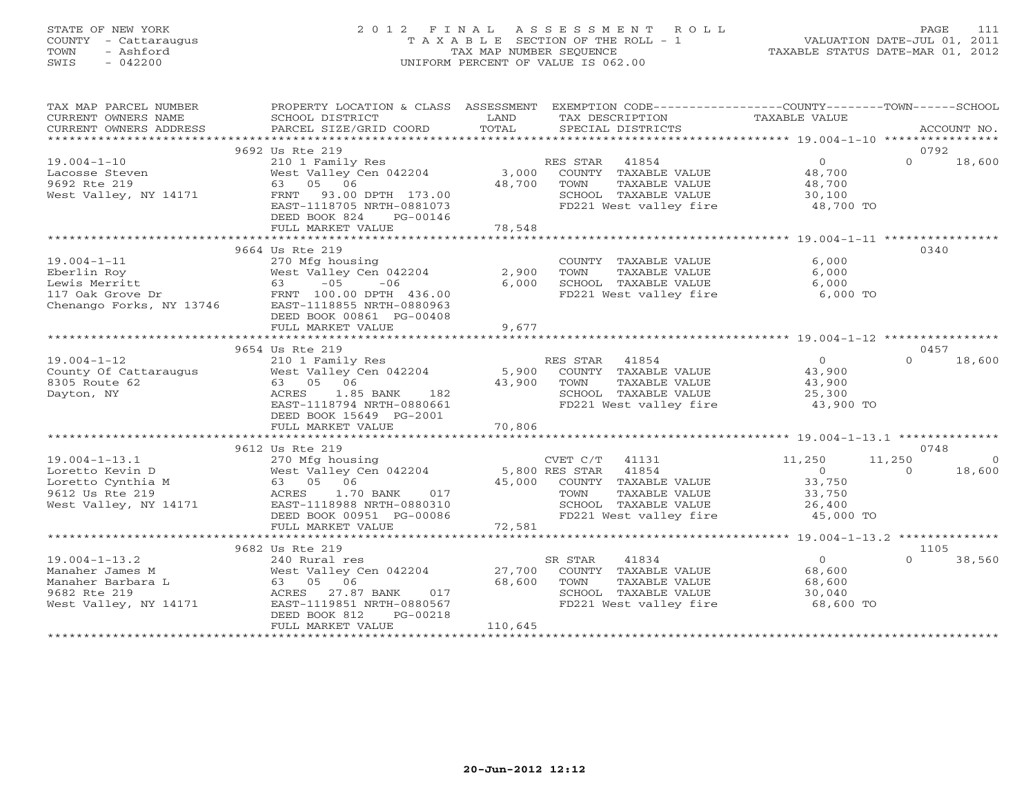## STATE OF NEW YORK 2 0 1 2 F I N A L A S S E S S M E N T R O L L PAGE 111 COUNTY - Cattaraugus T A X A B L E SECTION OF THE ROLL - 1 VALUATION DATE-JUL 01, 2011 TOWN - Ashford TAX MAP NUMBER SEQUENCE TAXABLE STATUS DATE-MAR 01, 2012 SWIS - 042200 UNIFORM PERCENT OF VALUE IS 062.00UNIFORM PERCENT OF VALUE IS 062.00

| TAX MAP PARCEL NUMBER<br>CURRENT OWNERS NAME                                                            | PROPERTY LOCATION & CLASS ASSESSMENT EXEMPTION CODE---------------COUNTY-------TOWN------SCHOOL<br>SCHOOL DISTRICT                                                                                                              | LAND                                    | TAX DESCRIPTION                                                                                                                              | TAXABLE VALUE                                                       |                            |                   |
|---------------------------------------------------------------------------------------------------------|---------------------------------------------------------------------------------------------------------------------------------------------------------------------------------------------------------------------------------|-----------------------------------------|----------------------------------------------------------------------------------------------------------------------------------------------|---------------------------------------------------------------------|----------------------------|-------------------|
| CURRENT OWNERS ADDRESS                                                                                  | PARCEL SIZE/GRID COORD                                                                                                                                                                                                          | TOTAL                                   | SPECIAL DISTRICTS                                                                                                                            |                                                                     |                            | ACCOUNT NO.       |
|                                                                                                         | 9692 Us Rte 219                                                                                                                                                                                                                 |                                         |                                                                                                                                              |                                                                     | 0792                       |                   |
| $19.004 - 1 - 10$<br>Lacosse Steven<br>9692 Rte 219<br>West Valley, NY 14171                            | 210 1 Family Res<br>West Valley Cen 042204<br>63 05 06<br>93.00 DPTH 173.00<br>FRNT<br>EAST-1118705 NRTH-0881073<br>DEED BOOK 824<br>PG-00146                                                                                   | 3,000<br>48,700                         | RES STAR 41854<br>COUNTY TAXABLE VALUE<br>TAXABLE VALUE<br>TOWN<br>SCHOOL TAXABLE VALUE<br>FD221 West valley fire                            | $\overline{0}$<br>48,700<br>48,700<br>30,100<br>30,100<br>48,700 TO | $\Omega$                   | 18,600            |
|                                                                                                         | FULL MARKET VALUE                                                                                                                                                                                                               | 78,548                                  |                                                                                                                                              |                                                                     |                            |                   |
| $19.004 - 1 - 11$<br>Eberlin Roy<br>Lewis Merritt<br>117 Oak Grove Dr<br>Chenango Forks, NY 13746       | 9664 Us Rte 219<br>270 Mfg housing<br>West Valley Cen 042204<br>$-05$<br>$-06$<br>63 —<br>FRNT 100.00 DPTH 436.00<br>EAST-1118855 NRTH-0880963<br>DEED BOOK 00861 PG-00408<br>FULL MARKET VALUE<br>**************************** | 2,900<br>6,000<br>9,677<br>************ | COUNTY TAXABLE VALUE<br>TOWN<br>TAXABLE VALUE<br>SCHOOL TAXABLE VALUE<br>FD221 West valley fire 6,000 TO                                     | 6,000<br>6,000<br>6,000                                             | 0340                       |                   |
|                                                                                                         | 9654 Us Rte 219                                                                                                                                                                                                                 |                                         |                                                                                                                                              |                                                                     | 0457                       |                   |
| $19.004 - 1 - 12$<br>County Of Cattaraugus<br>8305 Route 62<br>Dayton, NY                               | 210 1 Family Res<br>West Valley Cen 042204<br>63 05 06<br>ACRES<br>1.85 BANK 182<br>EAST-1118794 NRTH-0880661<br>DEED BOOK 15649 PG-2001                                                                                        | 5,900<br>43,900                         | RES STAR<br>41854<br>COUNTY TAXABLE VALUE<br>TAXABLE VALUE<br>TOWN<br>SCHOOL TAXABLE VALUE<br>SCHOOL TAXABLE VALUE<br>FD221 West valley fire | $\Omega$<br>43,900<br>43,900<br>25,300<br>43,900 TO                 | $\Omega$                   | 18,600            |
|                                                                                                         | FULL MARKET VALUE                                                                                                                                                                                                               | 70,806                                  |                                                                                                                                              |                                                                     |                            |                   |
|                                                                                                         |                                                                                                                                                                                                                                 |                                         |                                                                                                                                              |                                                                     |                            |                   |
| $19.004 - 1 - 13.1$<br>Loretto Kevin D<br>Loretto Cynthia M<br>9612 Us Rte 219<br>West Valley, NY 14171 | 9612 Us Rte 219<br>270 Mfg housing<br>West Valley Cen 042204<br>63 05 06<br>1.70 BANK<br>017<br>ACRES<br>EAST-1118988 NRTH-0880310<br>DEED BOOK 00951 PG-00086                                                                  | 45,000                                  | CVET C/T<br>41131<br>5,800 RES STAR 41854<br>COUNTY TAXABLE VALUE<br>TOWN<br>TAXABLE VALUE<br>SCHOOL TAXABLE VALUE<br>FD221 West valley fire | 11,250<br>$\overline{0}$<br>33,750<br>33,750<br>26,400<br>45,000 TO | 0748<br>11,250<br>$\Omega$ | $\circ$<br>18,600 |
|                                                                                                         | FULL MARKET VALUE                                                                                                                                                                                                               | 72,581                                  |                                                                                                                                              |                                                                     |                            |                   |
|                                                                                                         |                                                                                                                                                                                                                                 |                                         |                                                                                                                                              |                                                                     |                            |                   |
| $19.004 - 1 - 13.2$<br>Manaher James M<br>Manaher Barbara L<br>9682 Rte 219<br>West Valley, NY 14171    | 9682 Us Rte 219<br>240 Rural res<br>West Valley Cen 042204<br>63 05 06<br>ACRES<br>27.87 BANK<br>017<br>EAST-1119851 NRTH-0880567<br>DEED BOOK 812<br>PG-00218<br>FULL MARKET VALUE                                             | 27,700<br>68,600<br>110,645             | SR STAR<br>41834<br>COUNTY TAXABLE VALUE<br>TOWN<br>TAXABLE VALUE<br>SCHOOL TAXABLE VALUE<br>FD221 West valley fire                          | $\overline{0}$<br>68,600<br>68,600<br>30,040<br>68,600 TO           | 1105<br>$\Omega$           | 38,560            |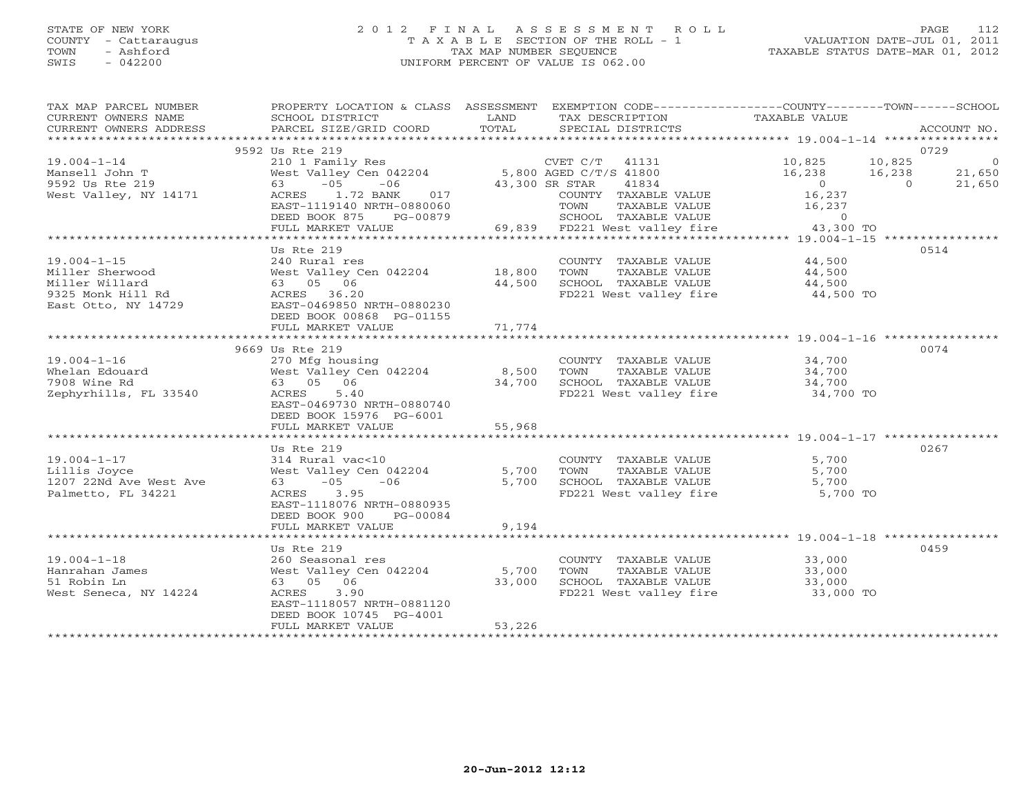## STATE OF NEW YORK 2 0 1 2 F I N A L A S S E S S M E N T R O L L PAGE 112 COUNTY - Cattaraugus T A X A B L E SECTION OF THE ROLL - 1 VALUATION DATE-JUL 01, 2011 TOWN - Ashford TAX MAP NUMBER SEQUENCE TAXABLE STATUS DATE-MAR 01, 2012 SWIS - 042200 UNIFORM PERCENT OF VALUE IS 062.00UNIFORM PERCENT OF VALUE IS 062.00

| TAX MAP PARCEL NUMBER<br>CURRENT OWNERS NAME<br>CURRENT OWNERS ADDRESS | PROPERTY LOCATION & CLASS ASSESSMENT<br><b>Example 12 DE LAND</b><br>SCHOOL DISTRICT<br>PARCEL SIZE/GRID COORD | TOTAL                    | EXEMPTION CODE-----------------COUNTY-------TOWN------SCHOOL<br>TAX DESCRIPTION<br>SPECIAL DISTRICTS | TAXABLE VALUE               | ACCOUNT NO.              |
|------------------------------------------------------------------------|----------------------------------------------------------------------------------------------------------------|--------------------------|------------------------------------------------------------------------------------------------------|-----------------------------|--------------------------|
|                                                                        |                                                                                                                |                          |                                                                                                      |                             |                          |
|                                                                        | 9592 Us Rte 219                                                                                                |                          |                                                                                                      |                             | 0729                     |
| $19.004 - 1 - 14$                                                      | 210 1 Family Res                                                                                               |                          | CVET C/T 41131                                                                                       | 10,825                      | 10,825<br>$\overline{0}$ |
| Mansell John T                                                         | West Valley Cen 042204 5,800 AGED C/T/S 41800                                                                  |                          |                                                                                                      | 16,238                      | 16,238<br>21,650         |
| 9592 Us Rte 219                                                        | $63 - 05$<br>$-06$                                                                                             | 43,300 SR STAR<br>COUNTY | 41834                                                                                                | $\overline{0}$              | 21,650<br>$\overline{0}$ |
| West Valley, NY 14171                                                  | 1.72 BANK<br>017<br>ACRES                                                                                      |                          | COUNTY TAXABLE VALUE                                                                                 | 16,237                      |                          |
|                                                                        | EAST-1119140 NRTH-0880060                                                                                      |                          | TOWN<br>TAXABLE VALUE                                                                                | 16,237                      |                          |
|                                                                        | DEED BOOK 875 PG-00879<br>FULL MARKET VALUE                                                                    |                          | SCHOOL TAXABLE VALUE<br>69,839 FD221 West valley fire                                                | $\overline{0}$<br>43,300 TO |                          |
|                                                                        |                                                                                                                |                          |                                                                                                      |                             |                          |
|                                                                        | Us Rte 219                                                                                                     |                          |                                                                                                      |                             | 0514                     |
| $19.004 - 1 - 15$                                                      | 240 Rural res                                                                                                  |                          | COUNTY TAXABLE VALUE 44,500                                                                          |                             |                          |
| Miller Sherwood                                                        | West Valley Cen 042204 18,800                                                                                  |                          | TOWN<br>TAXABLE VALUE                                                                                |                             |                          |
| Miller Willard                                                         | 63 05 06                                                                                                       | 44,500                   | SCHOOL TAXABLE VALUE                                                                                 | 44,500                      |                          |
| 9325 Monk Hill Rd                                                      | ACRES 36.20                                                                                                    |                          | FD221 West valley fire 44,500 TO                                                                     |                             |                          |
| East Otto, NY 14729                                                    | EAST-0469850 NRTH-0880230                                                                                      |                          |                                                                                                      |                             |                          |
|                                                                        | DEED BOOK 00868 PG-01155                                                                                       |                          |                                                                                                      |                             |                          |
|                                                                        | FULL MARKET VALUE                                                                                              | 71,774                   |                                                                                                      |                             |                          |
|                                                                        |                                                                                                                |                          |                                                                                                      |                             |                          |
|                                                                        | 9669 Us Rte 219                                                                                                |                          |                                                                                                      |                             | 0074                     |
| $19.004 - 1 - 16$                                                      | 270 Mfg housing                                                                                                |                          | COUNTY TAXABLE VALUE 34,700                                                                          |                             |                          |
| Whelan Edouard                                                         | West Valley Cen 042204                                                                                         | 8,500                    | TOWN<br>TAXABLE VALUE                                                                                | 34,700                      |                          |
| 7908 Wine Rd                                                           | 63 05 06                                                                                                       | 34,700                   | SCHOOL TAXABLE VALUE 34,700                                                                          |                             |                          |
| Zephyrhills, FL 33540                                                  | ACRES<br>5.40                                                                                                  |                          | FD221 West valley fire 34,700 TO                                                                     |                             |                          |
|                                                                        | EAST-0469730 NRTH-0880740                                                                                      |                          |                                                                                                      |                             |                          |
|                                                                        | DEED BOOK 15976 PG-6001                                                                                        |                          |                                                                                                      |                             |                          |
|                                                                        | FULL MARKET VALUE                                                                                              | 55,968                   |                                                                                                      |                             |                          |
|                                                                        |                                                                                                                |                          |                                                                                                      |                             |                          |
|                                                                        | Us Rte 219                                                                                                     |                          |                                                                                                      |                             | 0267                     |
| $19.004 - 1 - 17$                                                      | 314 Rural vac<10                                                                                               |                          | COUNTY TAXABLE VALUE                                                                                 | 5,700                       |                          |
| Lillis Joyce                                                           | West Valley Cen 042204                                                                                         | 5,700                    | TOWN<br>TAXABLE VALUE                                                                                | 5,700                       |                          |
| 1207 22Nd Ave West Ave                                                 | $63 -05 -06$                                                                                                   | 5,700                    | SCHOOL TAXABLE VALUE                                                                                 | 5,700                       |                          |
| Palmetto, FL 34221                                                     | ACRES 3.95                                                                                                     |                          | FD221 West valley fire                                                                               | 5,700 TO                    |                          |
|                                                                        | EAST-1118076 NRTH-0880935                                                                                      |                          |                                                                                                      |                             |                          |
|                                                                        | DEED BOOK 900<br>PG-00084                                                                                      |                          |                                                                                                      |                             |                          |
|                                                                        | FULL MARKET VALUE                                                                                              | 9,194                    |                                                                                                      |                             |                          |
|                                                                        |                                                                                                                |                          |                                                                                                      |                             | 0459                     |
| $19.004 - 1 - 18$                                                      | Us Rte 219<br>260 Seasonal res                                                                                 |                          |                                                                                                      | 33,000                      |                          |
| Hanrahan James                                                         | West Valley Cen 042204 5,700                                                                                   |                          | COUNTY TAXABLE VALUE<br>TAXABLE VALUE<br>TOWN                                                        | 33,000                      |                          |
| 51 Robin Ln                                                            | 63 05 06                                                                                                       | 33,000                   |                                                                                                      | 33,000                      |                          |
| West Seneca, NY 14224                                                  | ACRES<br>3.90                                                                                                  |                          | SCHOOL TAXABLE VALUE<br>FD221 West valley fire                                                       | 33,000 TO                   |                          |
|                                                                        | EAST-1118057 NRTH-0881120                                                                                      |                          |                                                                                                      |                             |                          |
|                                                                        | DEED BOOK 10745 PG-4001                                                                                        |                          |                                                                                                      |                             |                          |
|                                                                        | FULL MARKET VALUE                                                                                              | 53,226                   |                                                                                                      |                             |                          |
|                                                                        |                                                                                                                |                          |                                                                                                      |                             |                          |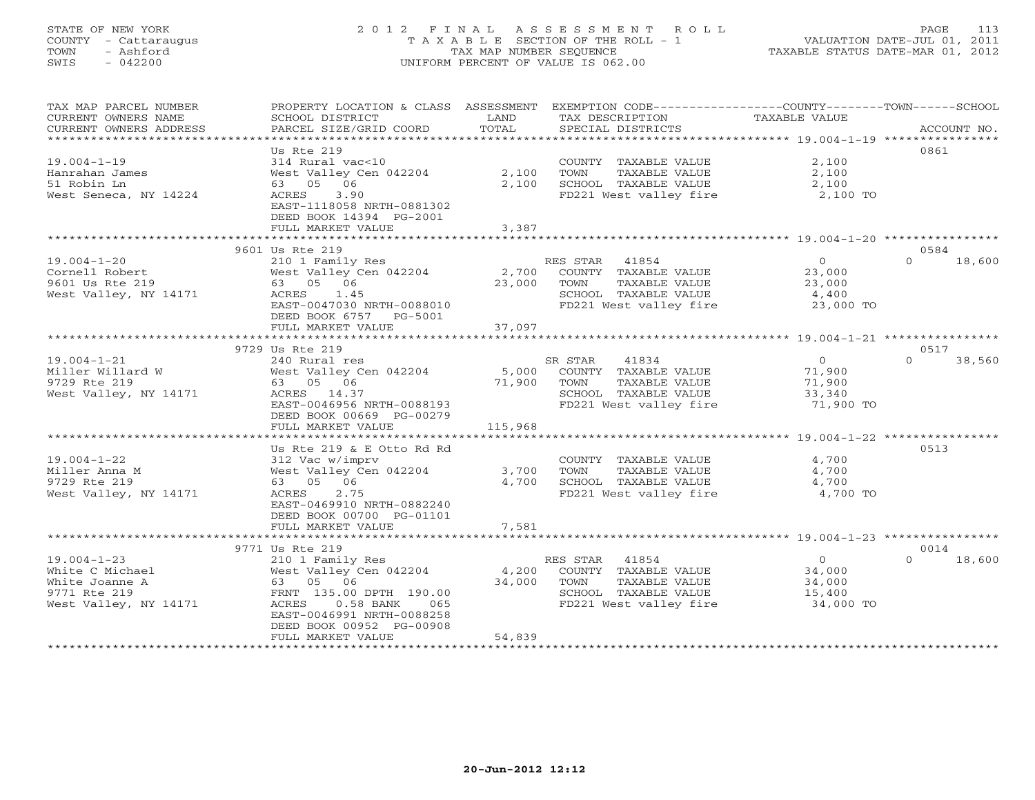## STATE OF NEW YORK 2 0 1 2 F I N A L A S S E S S M E N T R O L L PAGE 113 COUNTY - Cattaraugus T A X A B L E SECTION OF THE ROLL - 1 VALUATION DATE-JUL 01, 2011 TOWN - Ashford TAX MAP NUMBER SEQUENCE TAXABLE STATUS DATE-MAR 01, 2012 SWIS - 042200 UNIFORM PERCENT OF VALUE IS 062.00UNIFORM PERCENT OF VALUE IS 062.00

| TAX MAP PARCEL NUMBER<br>CURRENT OWNERS NAME<br>CURRENT OWNERS ADDRESS | PROPERTY LOCATION & CLASS ASSESSMENT<br>SCHOOL DISTRICT<br>PARCEL SIZE/GRID COORD | LAND<br>TOTAL | EXEMPTION CODE----------------COUNTY-------TOWN------SCHOOL<br>TAX DESCRIPTION<br>SPECIAL DISTRICTS | TAXABLE VALUE     | ACCOUNT NO.        |
|------------------------------------------------------------------------|-----------------------------------------------------------------------------------|---------------|-----------------------------------------------------------------------------------------------------|-------------------|--------------------|
| *********************                                                  |                                                                                   |               |                                                                                                     |                   |                    |
|                                                                        | Us Rte 219                                                                        |               |                                                                                                     |                   | 0861               |
| $19.004 - 1 - 19$<br>Hanrahan James                                    | 314 Rural vac<10<br>West Valley Cen 042204                                        | 2,100         | COUNTY TAXABLE VALUE<br>TOWN                                                                        | 2,100<br>2,100    |                    |
| 51 Robin Ln                                                            | 63 05 06                                                                          | 2,100         | TAXABLE VALUE<br>SCHOOL TAXABLE VALUE                                                               | 2,100             |                    |
| West Seneca, NY 14224                                                  | ACRES<br>3.90                                                                     |               | FD221 West valley fire                                                                              | 2,100 TO          |                    |
|                                                                        | EAST-1118058 NRTH-0881302                                                         |               |                                                                                                     |                   |                    |
|                                                                        | DEED BOOK 14394 PG-2001                                                           |               |                                                                                                     |                   |                    |
|                                                                        | FULL MARKET VALUE                                                                 | 3,387         |                                                                                                     |                   |                    |
|                                                                        |                                                                                   |               |                                                                                                     |                   |                    |
|                                                                        | 9601 Us Rte 219                                                                   |               |                                                                                                     |                   | 0584               |
| $19.004 - 1 - 20$                                                      | 210 1 Family Res                                                                  |               | RES STAR 41854                                                                                      | $\overline{0}$    | $\Omega$<br>18,600 |
| Cornell Robert                                                         | West Valley Cen 042204                                                            | 2,700         | COUNTY TAXABLE VALUE                                                                                | 23,000            |                    |
| 9601 Us Rte 219                                                        | 63 05 06                                                                          | 23,000        | TAXABLE VALUE<br>TOWN                                                                               | 23,000            |                    |
| West Valley, NY 14171                                                  | ACRES 1.45                                                                        |               | SCHOOL TAXABLE VALUE                                                                                | 4,400             |                    |
|                                                                        | EAST-0047030 NRTH-0088010                                                         |               | FD221 West valley fire                                                                              | 23,000 TO         |                    |
|                                                                        | DEED BOOK 6757 PG-5001                                                            |               |                                                                                                     |                   |                    |
|                                                                        | FULL MARKET VALUE                                                                 | 37,097        |                                                                                                     |                   |                    |
|                                                                        | 9729 Us Rte 219                                                                   |               |                                                                                                     |                   | 0517               |
| $19.004 - 1 - 21$                                                      | 240 Rural res                                                                     |               | 41834<br>SR STAR                                                                                    | $\overline{0}$    | $\Omega$<br>38,560 |
| Miller Willard W                                                       | West Valley Cen 042204                                                            | 5,000         | COUNTY TAXABLE VALUE                                                                                | 71,900            |                    |
| 9729 Rte 219                                                           | 63 05 06                                                                          | 71,900        | TAXABLE VALUE<br>TOWN                                                                               | 71,900            |                    |
| West Valley, NY 14171                                                  | ACRES 14.37                                                                       |               | SCHOOL TAXABLE VALUE                                                                                | 33,340            |                    |
|                                                                        | EAST-0046956 NRTH-0088193                                                         |               | FD221 West valley fire                                                                              | 71,900 TO         |                    |
|                                                                        | DEED BOOK 00669 PG-00279                                                          |               |                                                                                                     |                   |                    |
|                                                                        | FULL MARKET VALUE                                                                 | 115,968       |                                                                                                     |                   |                    |
|                                                                        |                                                                                   |               |                                                                                                     |                   |                    |
|                                                                        | Us Rte 219 & E Otto Rd Rd                                                         |               |                                                                                                     |                   | 0513               |
| $19.004 - 1 - 22$                                                      | 312 Vac w/imprv                                                                   |               | COUNTY TAXABLE VALUE                                                                                | 4,700             |                    |
| Miller Anna M                                                          | West Valley Cen 042204                                                            | 3,700         | TAXABLE VALUE<br>TOWN                                                                               | 4,700             |                    |
| 9729 Rte 219                                                           | 63 05 06<br>2.75<br>ACRES                                                         | 4,700         | SCHOOL TAXABLE VALUE                                                                                | 4,700<br>4,700 TO |                    |
| West Valley, NY 14171                                                  | EAST-0469910 NRTH-0882240                                                         |               | FD221 West valley fire                                                                              |                   |                    |
|                                                                        | DEED BOOK 00700 PG-01101                                                          |               |                                                                                                     |                   |                    |
|                                                                        | FULL MARKET VALUE                                                                 | 7,581         |                                                                                                     |                   |                    |
|                                                                        |                                                                                   |               |                                                                                                     |                   |                    |
|                                                                        | 9771 Us Rte 219                                                                   |               |                                                                                                     |                   | 0014               |
| $19.004 - 1 - 23$                                                      | 210 1 Family Res                                                                  |               | 41854<br>RES STAR                                                                                   | $\overline{0}$    | 18,600<br>$\Omega$ |
| White C Michael                                                        | West Valley Cen 042204                                                            | 4,200         | COUNTY TAXABLE VALUE                                                                                | 34,000            |                    |
| White Joanne A                                                         | 63 05 06                                                                          | 34,000        | TOWN<br>TAXABLE VALUE                                                                               | 34,000            |                    |
| 9771 Rte 219                                                           | FRNT 135.00 DPTH 190.00                                                           |               | SCHOOL TAXABLE VALUE                                                                                | 15,400            |                    |
| West Valley, NY 14171                                                  | $0.58$ BANK<br>ACRES<br>065                                                       |               | FD221 West valley fire                                                                              | 34,000 TO         |                    |
|                                                                        | EAST-0046991 NRTH-0088258                                                         |               |                                                                                                     |                   |                    |
|                                                                        | DEED BOOK 00952 PG-00908<br>FULL MARKET VALUE                                     | 54,839        |                                                                                                     |                   |                    |
|                                                                        |                                                                                   |               |                                                                                                     |                   |                    |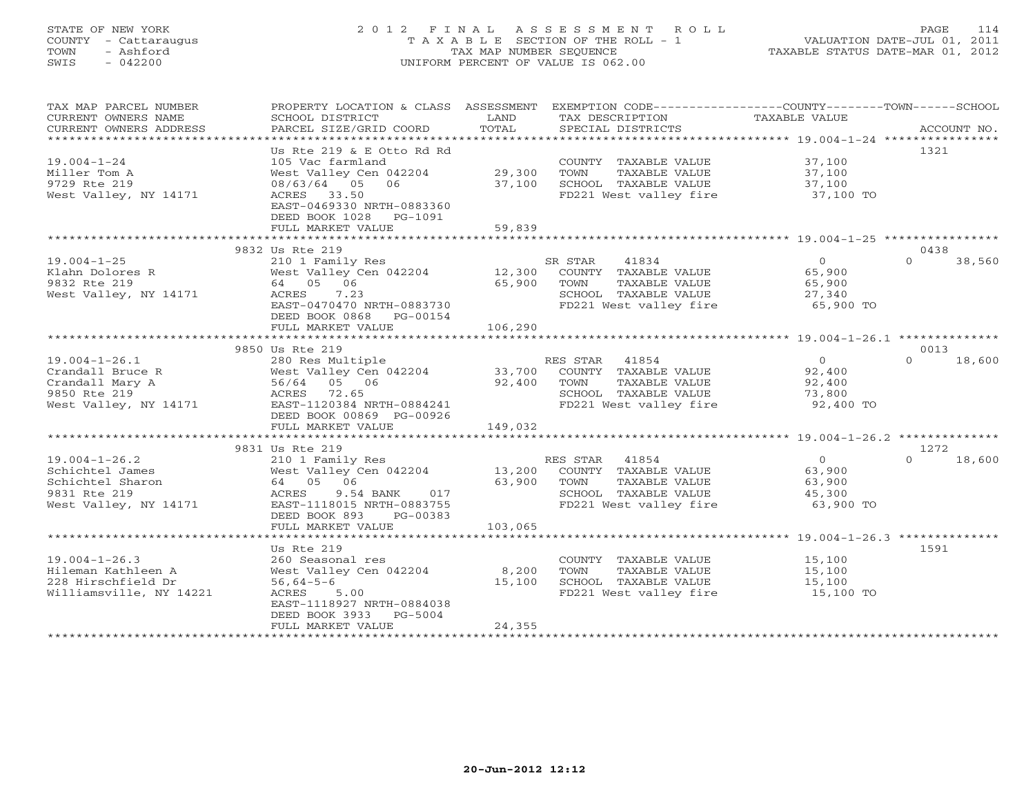## STATE OF NEW YORK 2 0 1 2 F I N A L A S S E S S M E N T R O L L PAGE 114 COUNTY - Cattaraugus T A X A B L E SECTION OF THE ROLL - 1 VALUATION DATE-JUL 01, 2011 TOWN - Ashford TAX MAP NUMBER SEQUENCE TAXABLE STATUS DATE-MAR 01, 2012 SWIS - 042200 UNIFORM PERCENT OF VALUE IS 062.00UNIFORM PERCENT OF VALUE IS 062.00

| TAX MAP PARCEL NUMBER<br>CURRENT OWNERS NAME<br>CURRENT OWNERS ADDRESS                              | PROPERTY LOCATION & CLASS ASSESSMENT<br>SCHOOL DISTRICT<br>PARCEL SIZE/GRID COORD                                                                                                           | LAND<br>TOTAL     | EXEMPTION CODE-----------------COUNTY-------TOWN------SCHOOL<br>TAX DESCRIPTION<br>SPECIAL DISTRICTS                     | TAXABLE VALUE                                             | ACCOUNT NO.                |
|-----------------------------------------------------------------------------------------------------|---------------------------------------------------------------------------------------------------------------------------------------------------------------------------------------------|-------------------|--------------------------------------------------------------------------------------------------------------------------|-----------------------------------------------------------|----------------------------|
| $19.004 - 1 - 24$<br>Miller Tom A<br>9729 Rte 219<br>West Valley, NY 14171                          | Us Rte 219 & E Otto Rd Rd<br>105 Vac farmland<br>West Valley Cen 042204 29,300<br>08/63/64 05 06<br>ACRES 33.50<br>EAST-0469330 NRTH-0883360<br>DEED BOOK 1028 PG-1091<br>FULL MARKET VALUE | 37,100<br>59,839  | COUNTY TAXABLE VALUE<br>TAXABLE VALUE<br>TOWN<br>SCHOOL TAXABLE VALUE<br>FD221 West valley fire                          | 37,100<br>37,100<br>37,100<br>37,100 TO                   | 1321                       |
|                                                                                                     | 9832 Us Rte 219                                                                                                                                                                             |                   |                                                                                                                          |                                                           | 0438                       |
| $19.004 - 1 - 25$<br>Klahn Dolores R<br>9832 Rte 219<br>West Valley, NY 14171                       | 210 1 Family Res<br>West Valley Cen 042204 12,300<br>64 05 06<br>ACRES<br>7.23<br>EAST-0470470 NRTH-0883730<br>DEED BOOK 0868 PG-00154<br>FULL MARKET VALUE                                 | 65,900<br>106,290 | SR STAR<br>41834<br>COUNTY TAXABLE VALUE<br>TAXABLE VALUE<br>TOWN<br>SCHOOL TAXABLE VALUE<br>FD221 West valley fire      | $\overline{0}$<br>65,900<br>65,900<br>27,340<br>65,900 TO | $\Omega$<br>38,560         |
|                                                                                                     |                                                                                                                                                                                             |                   |                                                                                                                          |                                                           |                            |
| $19.004 - 1 - 26.1$<br>Crandall Bruce R<br>Crandall Mary A<br>9850 Rte 219<br>West Valley, NY 14171 | 9850 Us Rte 219<br>280 Res Multiple<br>West Valley Cen 042204<br>West Valley Cen<br>56/64   05   06<br>ACRES 72.65<br>EAST-1120384 NRTH-0884241<br>DEED BOOK 00869 PG-00926                 | 92,400            | RES STAR 41854<br>33,700 COUNTY TAXABLE VALUE<br>TAXABLE VALUE<br>TOWN<br>SCHOOL TAXABLE VALUE<br>FD221 West valley fire | $\overline{0}$<br>92,400<br>92,400<br>73,800<br>92,400 TO | 0013<br>$\Omega$<br>18,600 |
|                                                                                                     | FULL MARKET VALUE                                                                                                                                                                           | 149,032           |                                                                                                                          |                                                           |                            |
|                                                                                                     | 9831 Us Rte 219                                                                                                                                                                             |                   |                                                                                                                          |                                                           | 1272                       |
| $19.004 - 1 - 26.2$<br>Schichtel James<br>Schichtel Sharon<br>9831 Rte 219<br>West Valley, NY 14171 | 210 1 Family Res<br>West Valley Cen 042204<br>64 05 06<br>ACRES<br>9.54 BANK 017<br>EAST-1118015 NRTH-0883755<br>DEED BOOK 893<br>PG-00383                                                  | 13,200<br>63,900  | RES STAR 41854<br>COUNTY TAXABLE VALUE<br>TOWN<br>TAXABLE VALUE<br>SCHOOL TAXABLE VALUE<br>FD221 West valley fire        | $\overline{0}$<br>63,900<br>63,900<br>45,300<br>63,900 TO | $\Omega$<br>18,600         |
|                                                                                                     | FULL MARKET VALUE                                                                                                                                                                           | 103,065           |                                                                                                                          |                                                           |                            |
|                                                                                                     | Us Rte 219                                                                                                                                                                                  |                   |                                                                                                                          |                                                           | 1591                       |
| $19.004 - 1 - 26.3$<br>Hileman Kathleen A<br>228 Hirschfield Dr<br>Williamsville, NY 14221          | 260 Seasonal res<br>West Valley Cen 042204 8,200<br>$56,64-5-6$<br>ACRES 5.00<br>EAST-1118927 NRTH-0884038<br>DEED BOOK 3933<br>$PG-5004$<br>FULL MARKET VALUE                              | 15,100<br>24,355  | COUNTY TAXABLE VALUE<br>TAXABLE VALUE<br>TOWN<br>SCHOOL TAXABLE VALUE<br>FD221 West valley fire                          | 15,100<br>15,100<br>15,100<br>15,100 TO                   |                            |
|                                                                                                     |                                                                                                                                                                                             |                   |                                                                                                                          |                                                           |                            |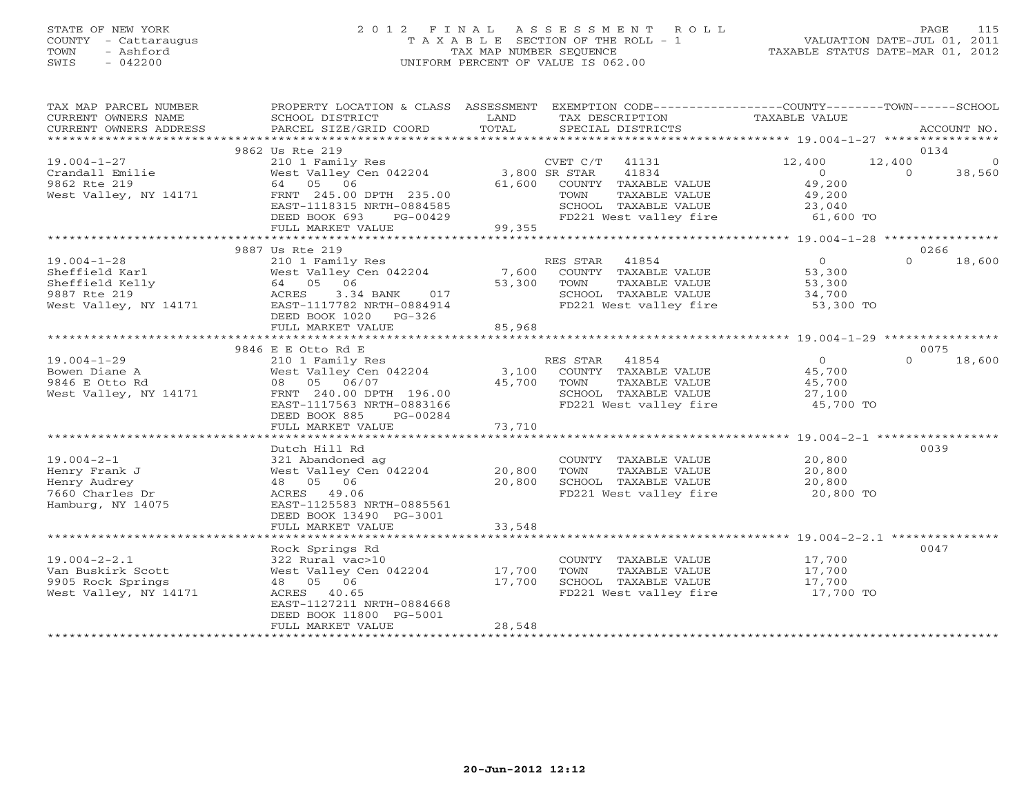## STATE OF NEW YORK 2 0 1 2 F I N A L A S S E S S M E N T R O L L PAGE 115 COUNTY - Cattaraugus T A X A B L E SECTION OF THE ROLL - 1 VALUATION DATE-JUL 01, 2011 TOWN - Ashford TAX MAP NUMBER SEQUENCE TAXABLE STATUS DATE-MAR 01, 2012 SWIS - 042200 UNIFORM PERCENT OF VALUE IS 062.00UNIFORM PERCENT OF VALUE IS 062.00

| TAX MAP PARCEL NUMBER<br>CURRENT OWNERS NAME<br>CURRENT OWNERS ADDRESS | PROPERTY LOCATION & CLASS ASSESSMENT<br>SCHOOL DISTRICT<br>PARCEL SIZE/GRID COORD | LAND<br>TOTAL | EXEMPTION CODE-----------------COUNTY-------TOWN------SCHOOL<br>TAX DESCRIPTION<br>SPECIAL DISTRICTS | TAXABLE VALUE  | ACCOUNT NO.              |
|------------------------------------------------------------------------|-----------------------------------------------------------------------------------|---------------|------------------------------------------------------------------------------------------------------|----------------|--------------------------|
|                                                                        |                                                                                   |               |                                                                                                      |                |                          |
|                                                                        | 9862 Us Rte 219                                                                   |               |                                                                                                      |                | 0134                     |
| $19.004 - 1 - 27$                                                      | 210 1 Family Res                                                                  |               | CVET $C/T$ 41131                                                                                     | 12,400         | 12,400<br>$\overline{0}$ |
| Crandall Emilie                                                        | West Valley Cen 042204 3,800 SR STAR                                              |               | 41834                                                                                                | $\overline{0}$ | 38,560<br>$\Omega$       |
| 9862 Rte 219                                                           | 64 05 06                                                                          |               | 61,600 COUNTY TAXABLE VALUE                                                                          | 49,200         |                          |
| West Valley, NY 14171                                                  | FRNT 245.00 DPTH 235.00                                                           |               | TOWN<br>TAXABLE VALUE                                                                                | 49,200         |                          |
|                                                                        | EAST-1118315 NRTH-0884585                                                         |               | SCHOOL TAXABLE VALUE                                                                                 | 23,040         |                          |
|                                                                        | DEED BOOK 693<br>PG-00429                                                         |               | FD221 West valley fire                                                                               | $61,600$ TO    |                          |
|                                                                        | FULL MARKET VALUE                                                                 | 99,355        |                                                                                                      |                |                          |
|                                                                        |                                                                                   |               |                                                                                                      |                |                          |
|                                                                        | 9887 Us Rte 219                                                                   |               |                                                                                                      |                | 0266                     |
| $19.004 - 1 - 28$                                                      | 210 1 Family Res                                                                  |               | RES STAR 41854                                                                                       | $\overline{0}$ | $\Omega$<br>18,600       |
| Sheffield Karl                                                         | West Valley Cen 042204                                                            | 7,600         | COUNTY TAXABLE VALUE                                                                                 | 53,300         |                          |
| Sheffield Kelly                                                        | 64 05 06                                                                          | 53,300        | TOWN<br>TAXABLE VALUE                                                                                | 53,300         |                          |
| 9887 Rte 219                                                           | ACRES<br>3.34 BANK<br>017                                                         |               | SCHOOL TAXABLE VALUE                                                                                 | 34,700         |                          |
| West Valley, NY 14171                                                  | EAST-1117782 NRTH-0884914                                                         |               | FD221 West valley fire                                                                               | 53,300 TO      |                          |
|                                                                        | DEED BOOK 1020 PG-326                                                             |               |                                                                                                      |                |                          |
|                                                                        | FULL MARKET VALUE                                                                 | 85,968        |                                                                                                      |                |                          |
|                                                                        |                                                                                   |               |                                                                                                      |                |                          |
|                                                                        | 9846 E E Otto Rd E                                                                |               |                                                                                                      |                | 0075                     |
| $19.004 - 1 - 29$                                                      | 210 1 Family Res                                                                  |               | RES STAR 41854                                                                                       | $\overline{0}$ | $\Omega$<br>18,600       |
| Bowen Diane A                                                          | West Valley Cen 042204                                                            | 3,100         | COUNTY TAXABLE VALUE                                                                                 | 45,700         |                          |
| 9846 E Otto Rd                                                         | 08 05 06/07                                                                       | 45,700        | TAXABLE VALUE<br>TOWN                                                                                | 45,700         |                          |
| West Valley, NY 14171                                                  | FRNT 240.00 DPTH 196.00                                                           |               | SCHOOL TAXABLE VALUE                                                                                 | 27,100         |                          |
|                                                                        | EAST-1117563 NRTH-0883166                                                         |               | ALANUL TAXABLE VALUE<br>FD221 West valley fire                                                       | 45,700 TO      |                          |
|                                                                        | DEED BOOK 885<br>PG-00284                                                         |               |                                                                                                      |                |                          |
|                                                                        | FULL MARKET VALUE                                                                 | 73,710        |                                                                                                      |                |                          |
|                                                                        |                                                                                   |               |                                                                                                      |                |                          |
|                                                                        | Dutch Hill Rd                                                                     |               |                                                                                                      |                | 0039                     |
| $19.004 - 2 - 1$                                                       | 321 Abandoned ag                                                                  |               | COUNTY TAXABLE VALUE                                                                                 | 20,800         |                          |
| Henry Frank J                                                          | West Valley Cen 042204                                                            |               |                                                                                                      |                |                          |
|                                                                        |                                                                                   | 20,800        | TAXABLE VALUE<br>TOWN                                                                                | 20,800         |                          |
| Henry Audrey                                                           | 48  05  06                                                                        | 20,800        | SCHOOL TAXABLE VALUE                                                                                 | 20,800         |                          |
| 7660 Charles Dr                                                        | ACRES 49.06                                                                       |               | FD221 West valley fire                                                                               | 20,800 TO      |                          |
| Hamburg, NY 14075                                                      | EAST-1125583 NRTH-0885561                                                         |               |                                                                                                      |                |                          |
|                                                                        | DEED BOOK 13490 PG-3001                                                           |               |                                                                                                      |                |                          |
|                                                                        | FULL MARKET VALUE                                                                 | 33,548        |                                                                                                      |                |                          |
|                                                                        |                                                                                   |               |                                                                                                      |                |                          |
|                                                                        | Rock Springs Rd                                                                   |               |                                                                                                      |                | 0047                     |
| $19.004 - 2 - 2.1$                                                     | 322 Rural vac>10                                                                  |               | COUNTY TAXABLE VALUE                                                                                 | 17,700         |                          |
| Van Buskirk Scott                                                      | West Valley Cen 042204                                                            | 17,700        | TAXABLE VALUE<br>TOWN                                                                                | 17,700         |                          |
| 9905 Rock Springs                                                      | 48 05 06                                                                          | 17,700        | SCHOOL TAXABLE VALUE                                                                                 | 17,700         |                          |
| West Valley, NY 14171                                                  | ACRES 40.65                                                                       |               | FD221 West valley fire                                                                               | 17,700 TO      |                          |
|                                                                        | EAST-1127211 NRTH-0884668                                                         |               |                                                                                                      |                |                          |
|                                                                        | DEED BOOK 11800 PG-5001                                                           |               |                                                                                                      |                |                          |
|                                                                        | FULL MARKET VALUE                                                                 | 28,548        |                                                                                                      |                |                          |
|                                                                        |                                                                                   |               |                                                                                                      |                |                          |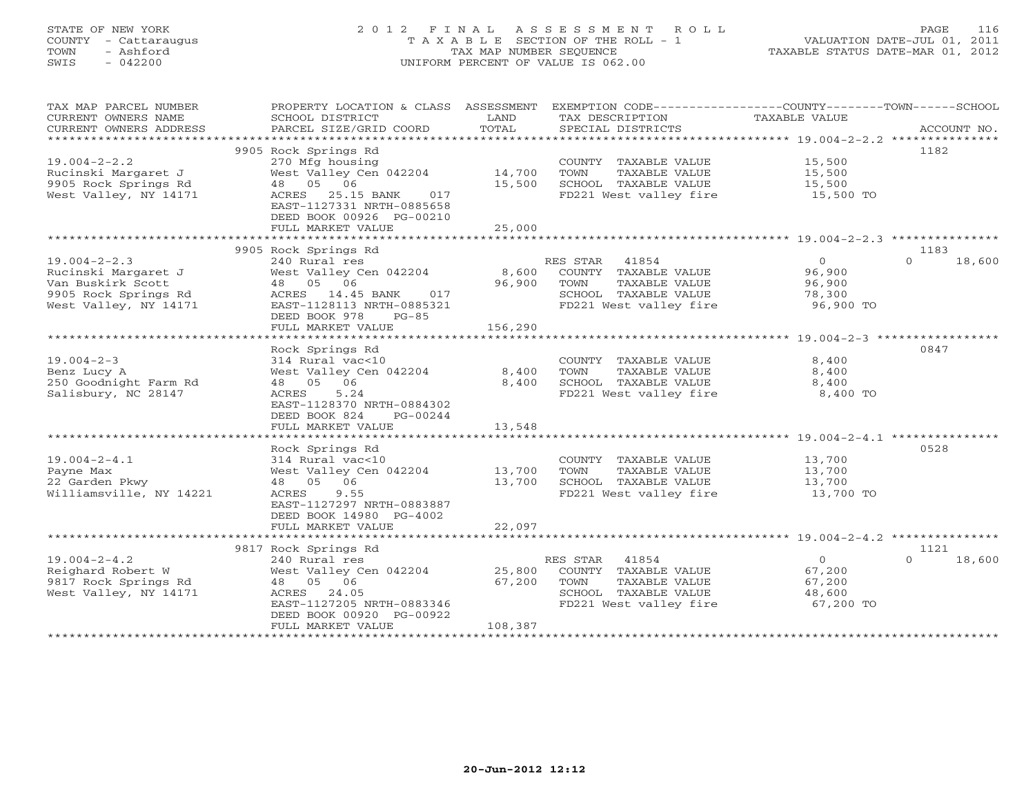## STATE OF NEW YORK 2 0 1 2 F I N A L A S S E S S M E N T R O L L PAGE 116 COUNTY - Cattaraugus T A X A B L E SECTION OF THE ROLL - 1 VALUATION DATE-JUL 01, 2011 TOWN - Ashford TAX MAP NUMBER SEQUENCE TAXABLE STATUS DATE-MAR 01, 2012 SWIS - 042200 UNIFORM PERCENT OF VALUE IS 062.00UNIFORM PERCENT OF VALUE IS 062.00

| TAX MAP PARCEL NUMBER<br>CURRENT OWNERS NAME<br>CURRENT OWNERS ADDRESS | PROPERTY LOCATION & CLASS ASSESSMENT<br>SCHOOL DISTRICT<br>PARCEL SIZE/GRID COORD | LAND<br>TOTAL | EXEMPTION CODE-----------------COUNTY-------TOWN------SCHOOL<br>TAX DESCRIPTION<br>SPECIAL DISTRICTS | TAXABLE VALUE  | ACCOUNT NO.        |
|------------------------------------------------------------------------|-----------------------------------------------------------------------------------|---------------|------------------------------------------------------------------------------------------------------|----------------|--------------------|
|                                                                        |                                                                                   |               |                                                                                                      |                |                    |
|                                                                        | 9905 Rock Springs Rd                                                              |               |                                                                                                      |                | 1182               |
| $19.004 - 2 - 2.2$                                                     | 270 Mfg housing                                                                   |               | COUNTY TAXABLE VALUE                                                                                 | 15,500         |                    |
| Rucinski Margaret J                                                    | West Valley Cen 042204                                                            | 14,700        | TOWN<br>TAXABLE VALUE                                                                                | 15,500         |                    |
| 9905 Rock Springs Rd                                                   | 48 05 06                                                                          | 15,500        | SCHOOL TAXABLE VALUE                                                                                 | 15,500         |                    |
| West Valley, NY 14171                                                  | ACRES 25.15 BANK<br>017<br>EAST-1127331 NRTH-0885658<br>DEED BOOK 00926 PG-00210  |               | FD221 West valley fire 15,500 TO                                                                     |                |                    |
|                                                                        | FULL MARKET VALUE                                                                 | 25,000        |                                                                                                      |                |                    |
|                                                                        |                                                                                   |               |                                                                                                      |                |                    |
|                                                                        | 9905 Rock Springs Rd                                                              |               |                                                                                                      |                | 1183               |
| $19.004 - 2 - 2.3$                                                     | 240 Rural res                                                                     |               | RES STAR 41854                                                                                       | $\overline{0}$ | 18,600<br>$\Omega$ |
| Rucinski Margaret J                                                    | West Valley Cen 042204                                                            |               | 8,600 COUNTY TAXABLE VALUE                                                                           | 96,900         |                    |
| Van Buskirk Scott                                                      | 48 05 06                                                                          | 96,900        | TAXABLE VALUE<br>TOWN                                                                                | 96,900         |                    |
| 9905 Rock Springs Rd                                                   | ACRES 14.45 BANK 017                                                              |               | SCHOOL TAXABLE VALUE<br>FD221 West valley fire                                                       | 78,300         |                    |
| West Valley, NY 14171                                                  | EAST-1128113 NRTH-0885321<br>DEED BOOK 978<br>$PG-85$<br>FULL MARKET VALUE        | 156,290       |                                                                                                      | 96,900 TO      |                    |
|                                                                        |                                                                                   |               |                                                                                                      |                |                    |
|                                                                        | Rock Springs Rd                                                                   |               |                                                                                                      |                | 0847               |
| $19.004 - 2 - 3$                                                       | 314 Rural vac<10                                                                  |               | COUNTY TAXABLE VALUE                                                                                 | 8,400          |                    |
| Benz Lucy A                                                            | West Valley Cen 042204                                                            | 8,400         | TOWN<br>TAXABLE VALUE                                                                                | 8,400          |                    |
| 250 Goodnight Farm Rd                                                  | 48  05  06                                                                        | 8,400         | SCHOOL TAXABLE VALUE                                                                                 | 8,400          |                    |
| Salisbury, NC 28147                                                    | ACRES<br>5.24                                                                     |               | FD221 West valley fire                                                                               | 8,400 TO       |                    |
|                                                                        | EAST-1128370 NRTH-0884302                                                         |               |                                                                                                      |                |                    |
|                                                                        | DEED BOOK 824<br>$PG-00244$                                                       |               |                                                                                                      |                |                    |
|                                                                        | FULL MARKET VALUE                                                                 | 13,548        |                                                                                                      |                |                    |
|                                                                        |                                                                                   |               |                                                                                                      |                |                    |
|                                                                        | Rock Springs Rd                                                                   |               |                                                                                                      |                | 0528               |
| $19.004 - 2 - 4.1$                                                     | 314 Rural vac<10                                                                  |               | COUNTY TAXABLE VALUE                                                                                 | 13,700         |                    |
| Payne Max                                                              | West Valley Cen 042204                                                            | 13,700        | TOWN<br>TAXABLE VALUE                                                                                | 13,700         |                    |
| 22 Garden Pkwy                                                         | 48 05 06                                                                          | 13,700        | SCHOOL TAXABLE VALUE                                                                                 | 13,700         |                    |
| Williamsville, NY 14221                                                | 9.55<br>ACRES                                                                     |               | FD221 West valley fire                                                                               | 13,700 TO      |                    |
|                                                                        | EAST-1127297 NRTH-0883887                                                         |               |                                                                                                      |                |                    |
|                                                                        | DEED BOOK 14980 PG-4002                                                           |               |                                                                                                      |                |                    |
|                                                                        | FULL MARKET VALUE                                                                 | 22,097        |                                                                                                      |                |                    |
|                                                                        |                                                                                   |               |                                                                                                      |                |                    |
|                                                                        | 9817 Rock Springs Rd                                                              |               |                                                                                                      |                | 1121               |
| $19.004 - 2 - 4.2$                                                     | 240 Rural res                                                                     |               | RES STAR 41854                                                                                       | $\overline{O}$ | 18,600<br>$\Omega$ |
| Reighard Robert W                                                      | West Valley Cen 042204                                                            | 25,800        | COUNTY TAXABLE VALUE                                                                                 | 67,200         |                    |
| 9817 Rock Springs Rd                                                   | 48 05 06                                                                          | 67,200        | TOWN<br>TAXABLE VALUE                                                                                | 67,200         |                    |
| West Valley, NY 14171                                                  | ACRES 24.05                                                                       |               | SCHOOL TAXABLE VALUE                                                                                 | 48,600         |                    |
|                                                                        | EAST-1127205 NRTH-0883346                                                         |               | FD221 West valley fire                                                                               | 67,200 TO      |                    |
|                                                                        | DEED BOOK 00920 PG-00922                                                          |               |                                                                                                      |                |                    |
|                                                                        | FULL MARKET VALUE                                                                 | 108,387       |                                                                                                      |                |                    |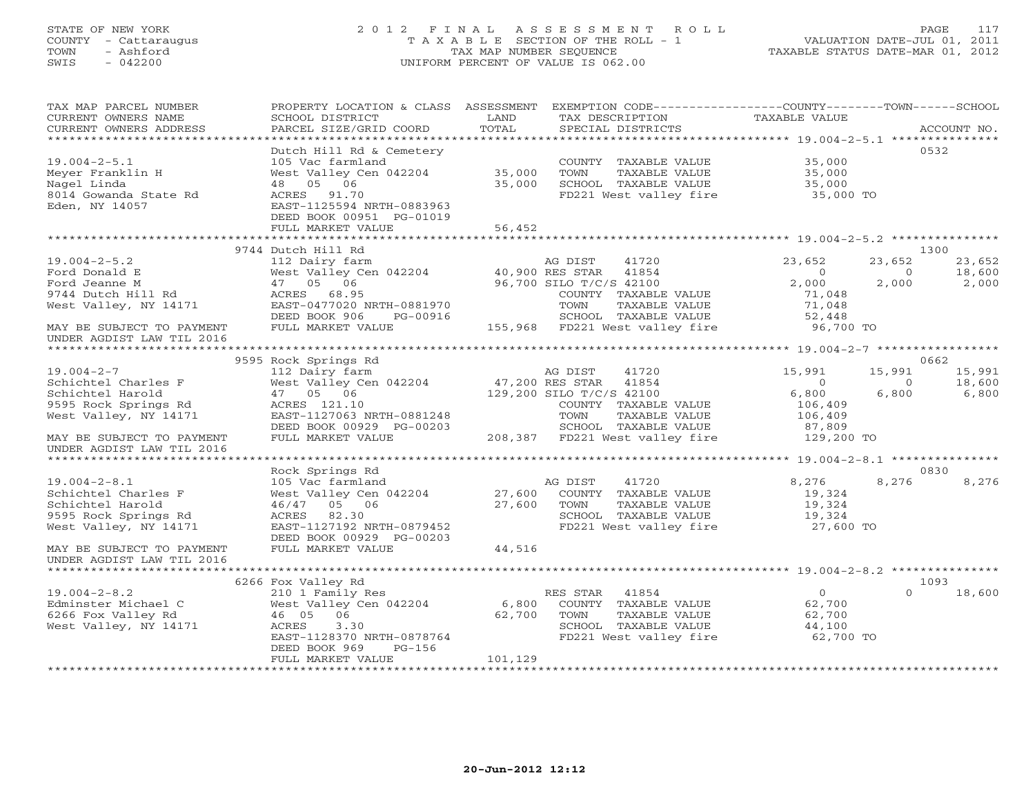## STATE OF NEW YORK 2 0 1 2 F I N A L A S S E S S M E N T R O L L PAGE 117 COUNTY - Cattaraugus T A X A B L E SECTION OF THE ROLL - 1 VALUATION DATE-JUL 01, 2011 TOWN - Ashford TAX MAP NUMBER SEQUENCE TAXABLE STATUS DATE-MAR 01, 2012 SWIS - 042200 UNIFORM PERCENT OF VALUE IS 062.00

| TAX MAP PARCEL NUMBER<br>CURRENT OWNERS NAME<br>CURRENT OWNERS ADDRESS | PROPERTY LOCATION & CLASS ASSESSMENT<br>SCHOOL DISTRICT<br>PARCEL SIZE/GRID COORD | LAND<br>TOTAL | EXEMPTION CODE-----------------COUNTY-------TOWN------SCHOOL<br>TAX DESCRIPTION<br>SPECIAL DISTRICTS | <b>TAXABLE VALUE</b> |          | ACCOUNT NO. |
|------------------------------------------------------------------------|-----------------------------------------------------------------------------------|---------------|------------------------------------------------------------------------------------------------------|----------------------|----------|-------------|
|                                                                        |                                                                                   |               |                                                                                                      |                      |          |             |
|                                                                        | Dutch Hill Rd & Cemetery                                                          |               |                                                                                                      |                      |          | 0532        |
| $19.004 - 2 - 5.1$                                                     | 105 Vac farmland                                                                  |               | COUNTY TAXABLE VALUE                                                                                 | 35,000               |          |             |
| Meyer Franklin H                                                       | West Valley Cen 042204                                                            | 35,000        | TOWN<br>TAXABLE VALUE                                                                                | 35,000               |          |             |
| Nagel Linda                                                            | 48 05 06                                                                          | 35,000        | SCHOOL TAXABLE VALUE                                                                                 | 35,000               |          |             |
| 8014 Gowanda State Rd                                                  | ACRES 91.70                                                                       |               | FD221 West valley fire                                                                               | 35,000 TO            |          |             |
| Eden, NY 14057                                                         | EAST-1125594 NRTH-0883963                                                         |               |                                                                                                      |                      |          |             |
|                                                                        | DEED BOOK 00951 PG-01019                                                          |               |                                                                                                      |                      |          |             |
|                                                                        | FULL MARKET VALUE                                                                 | 56,452        |                                                                                                      |                      |          |             |
|                                                                        |                                                                                   |               |                                                                                                      |                      |          |             |
|                                                                        | 9744 Dutch Hill Rd                                                                |               |                                                                                                      |                      |          | 1300        |
| $19.004 - 2 - 5.2$                                                     | 112 Dairy farm                                                                    |               | 41720<br>AG DIST                                                                                     | 23,652               | 23,652   | 23,652      |
| Ford Donald E                                                          | West Valley Cen 042204                                                            |               | 40,900 RES STAR<br>41854                                                                             | $\circ$              | $\circ$  | 18,600      |
| Ford Jeanne M<br>9744 Dutch Hill Rd                                    | 47 05 06<br>ACRES 68.95                                                           |               | 96,700 SILO T/C/S 42100                                                                              | 2,000                | 2,000    | 2,000       |
| West Valley, NY 14171                                                  | EAST-0477020 NRTH-0881970                                                         |               | COUNTY TAXABLE VALUE<br>TOWN<br>TAXABLE VALUE                                                        | 71,048<br>71,048     |          |             |
|                                                                        | DEED BOOK 906<br>PG-00916                                                         |               | SCHOOL TAXABLE VALUE                                                                                 | 52,448               |          |             |
| MAY BE SUBJECT TO PAYMENT                                              | FULL MARKET VALUE                                                                 |               | 155,968 FD221 West valley fire                                                                       | 96,700 TO            |          |             |
| UNDER AGDIST LAW TIL 2016                                              |                                                                                   |               |                                                                                                      |                      |          |             |
|                                                                        |                                                                                   |               |                                                                                                      |                      |          |             |
|                                                                        | 9595 Rock Springs Rd                                                              |               |                                                                                                      |                      |          | 0662        |
| $19.004 - 2 - 7$                                                       | 112 Dairy farm                                                                    |               | AG DIST<br>41720                                                                                     | 15,991               | 15,991   | 15,991      |
| Schichtel Charles F                                                    | West Valley Cen 042204                                                            |               | 47,200 RES STAR<br>41854                                                                             | $\circ$              | $\circ$  | 18,600      |
| Schichtel Harold                                                       | 47 05 06                                                                          |               | 129,200 SILO T/C/S 42100                                                                             | 6,800                | 6,800    | 6,800       |
| 9595 Rock Springs Rd                                                   | ACRES 121.10                                                                      |               | COUNTY TAXABLE VALUE                                                                                 | 106,409              |          |             |
| West Valley, NY 14171                                                  | EAST-1127063 NRTH-0881248                                                         |               | TOWN<br>TAXABLE VALUE                                                                                | 106,409              |          |             |
|                                                                        | DEED BOOK 00929 PG-00203                                                          |               | SCHOOL TAXABLE VALUE                                                                                 | 87,809               |          |             |
| MAY BE SUBJECT TO PAYMENT                                              | FULL MARKET VALUE                                                                 |               | 208,387 FD221 West valley fire                                                                       | 129,200 TO           |          |             |
| UNDER AGDIST LAW TIL 2016                                              |                                                                                   |               |                                                                                                      |                      |          |             |
|                                                                        | Rock Springs Rd                                                                   |               |                                                                                                      |                      |          | 0830        |
| $19.004 - 2 - 8.1$                                                     | 105 Vac farmland                                                                  |               | 41720<br>AG DIST                                                                                     | 8,276                | 8,276    | 8,276       |
| Schichtel Charles F                                                    | West Valley Cen 042204                                                            | 27,600        | COUNTY TAXABLE VALUE                                                                                 | 19,324               |          |             |
| Schichtel Harold                                                       | 05 06<br>46/47                                                                    | 27,600        | TOWN<br>TAXABLE VALUE                                                                                | 19,324               |          |             |
| 9595 Rock Springs Rd                                                   | ACRES 82.30                                                                       |               | SCHOOL TAXABLE VALUE                                                                                 | 19,324               |          |             |
| West Valley, NY 14171                                                  | EAST-1127192 NRTH-0879452                                                         |               | FD221 West valley fire                                                                               | 27,600 TO            |          |             |
|                                                                        | DEED BOOK 00929 PG-00203                                                          |               |                                                                                                      |                      |          |             |
| MAY BE SUBJECT TO PAYMENT                                              | FULL MARKET VALUE                                                                 | 44,516        |                                                                                                      |                      |          |             |
| UNDER AGDIST LAW TIL 2016                                              |                                                                                   |               |                                                                                                      |                      |          |             |
|                                                                        |                                                                                   |               |                                                                                                      |                      |          |             |
|                                                                        | 6266 Fox Valley Rd                                                                |               |                                                                                                      |                      |          | 1093        |
| $19.004 - 2 - 8.2$                                                     | 210 1 Family Res                                                                  |               | RES STAR 41854                                                                                       | $\circ$              | $\Omega$ | 18,600      |
| Edminster Michael C                                                    | West Valley Cen 042204                                                            | 6,800         | COUNTY TAXABLE VALUE                                                                                 | 62,700               |          |             |
| 6266 Fox Valley Rd                                                     | 06<br>46 05                                                                       | 62,700        | TAXABLE VALUE<br>TOWN                                                                                | 62,700               |          |             |
| West Valley, NY 14171                                                  | 3.30<br>ACRES                                                                     |               | SCHOOL TAXABLE VALUE                                                                                 | 44,100               |          |             |
|                                                                        | EAST-1128370 NRTH-0878764                                                         |               | FD221 West valley fire                                                                               | 62,700 TO            |          |             |
|                                                                        | DEED BOOK 969<br>$PG-156$                                                         |               |                                                                                                      |                      |          |             |
|                                                                        | FULL MARKET VALUE                                                                 | 101,129       |                                                                                                      |                      |          |             |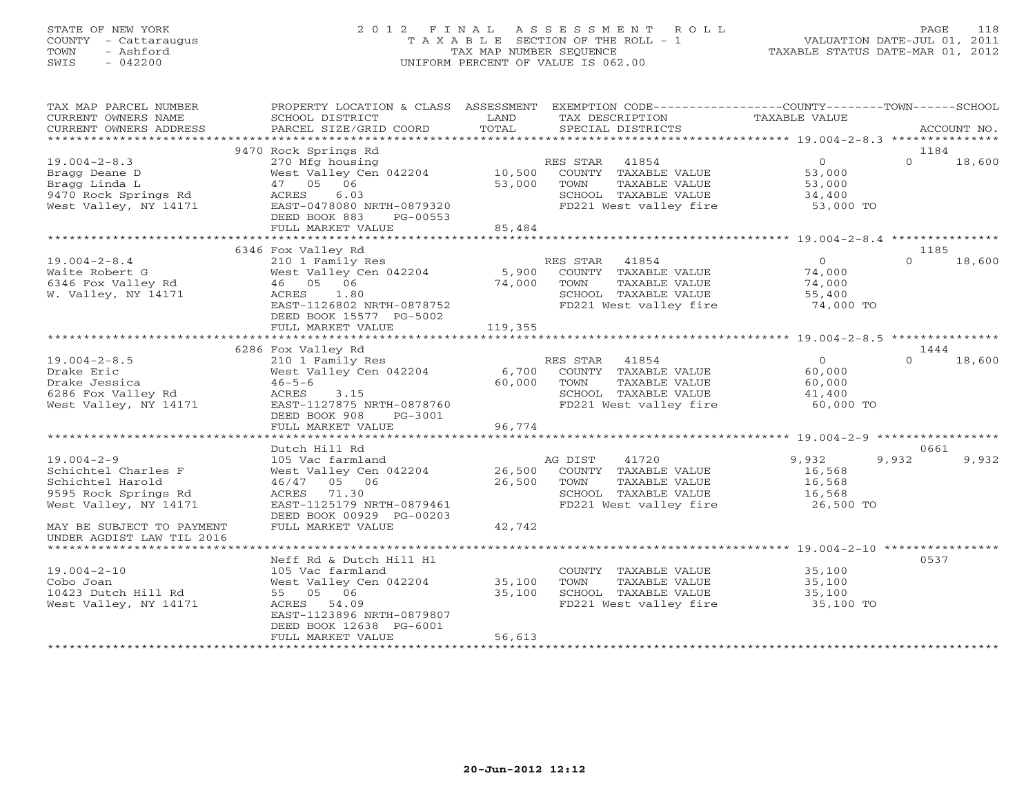## STATE OF NEW YORK 2 0 1 2 F I N A L A S S E S S M E N T R O L L PAGE 118 COUNTY - Cattaraugus T A X A B L E SECTION OF THE ROLL - 1 VALUATION DATE-JUL 01, 2011 TOWN - Ashford TAX MAP NUMBER SEQUENCE TAXABLE STATUS DATE-MAR 01, 2012 SWIS - 042200 UNIFORM PERCENT OF VALUE IS 062.00UNIFORM PERCENT OF VALUE IS 062.00

| TAX MAP PARCEL NUMBER<br>CURRENT OWNERS NAME<br>CURRENT OWNERS ADDRESS                                       | PROPERTY LOCATION & CLASS ASSESSMENT<br>SCHOOL DISTRICT<br>PARCEL SIZE/GRID COORD                                                                               | LAND<br>TOTAL               | EXEMPTION CODE-----------------COUNTY-------TOWN------SCHOOL<br>TAX DESCRIPTION<br>SPECIAL DISTRICTS                           | TAXABLE VALUE                                               | ACCOUNT NO.        |
|--------------------------------------------------------------------------------------------------------------|-----------------------------------------------------------------------------------------------------------------------------------------------------------------|-----------------------------|--------------------------------------------------------------------------------------------------------------------------------|-------------------------------------------------------------|--------------------|
|                                                                                                              |                                                                                                                                                                 |                             |                                                                                                                                |                                                             |                    |
|                                                                                                              | 9470 Rock Springs Rd                                                                                                                                            |                             |                                                                                                                                |                                                             | 1184               |
| $19.004 - 2 - 8.3$<br>Bragg Deane D<br>Bragg Linda L<br>9470 Rock Springs Rd<br>West Valley, NY 14171        | 270 Mfg housing<br>West Valley Cen 042204 10,500<br>47 05 06<br>6.03<br>ACRES<br>EAST-0478080 NRTH-0879320<br>DEED BOOK 883<br>PG-00553                         | 53,000                      | RES STAR 41854<br>COUNTY TAXABLE VALUE<br>TOWN<br>TAXABLE VALUE<br>SCHOOL TAXABLE VALUE<br>FD221 West valley fire              | $\overline{0}$<br>53,000<br>53,000<br>$34,400$<br>53,000 TO | $\Omega$<br>18,600 |
|                                                                                                              | FULL MARKET VALUE                                                                                                                                               | 85,484                      |                                                                                                                                |                                                             |                    |
|                                                                                                              | *************************                                                                                                                                       | * * * * * * * * * * * * * * |                                                                                                                                |                                                             |                    |
|                                                                                                              | 6346 Fox Valley Rd                                                                                                                                              |                             |                                                                                                                                |                                                             | 1185               |
| $19.004 - 2 - 8.4$<br>Waite Robert G<br>6346 Fox Valley Rd<br>W. Valley, NY 14171                            | 210 1 Family Res<br>West Valley Cen 042204<br>46 05 06<br>ACRES<br>1.80<br>EAST-1126802 NRTH-0878752<br>DEED BOOK 15577 PG-5002                                 | 5,900<br>74,000             | RES STAR<br>41854<br>COUNTY TAXABLE VALUE<br>TOWN<br>TAXABLE VALUE<br>SCHOOL TAXABLE VALUE<br>FD221 West valley fire 34,000 TO | $\overline{0}$<br>74,000<br>74,000<br>55,400                | $\Omega$<br>18,600 |
|                                                                                                              | FULL MARKET VALUE                                                                                                                                               | 119,355                     |                                                                                                                                |                                                             |                    |
|                                                                                                              | 6286 Fox Valley Rd                                                                                                                                              |                             |                                                                                                                                |                                                             | 1444               |
| $19.004 - 2 - 8.5$<br>Drake Eric<br>Drake Jessica<br>6286 Fox Valley Rd<br>West Valley, NY 14171             | 210 1 Family Res<br>West Valley Cen 042204<br>$46 - 5 - 6$<br>ACRES<br>3.15<br>EAST-1127875 NRTH-0878760<br>DEED BOOK 908<br>PG-3001<br>FULL MARKET VALUE       | 6,700<br>60,000<br>96,774   | RES STAR 41854<br>COUNTY TAXABLE VALUE<br>TOWN<br>TAXABLE VALUE<br>SCHOOL TAXABLE VALUE<br>FD221 West valley fire              | $\overline{0}$<br>60,000<br>60,000<br>41,400<br>60,000 TO   | $\Omega$<br>18,600 |
| ******************                                                                                           | ****************************                                                                                                                                    |                             |                                                                                                                                |                                                             |                    |
|                                                                                                              | Dutch Hill Rd                                                                                                                                                   |                             |                                                                                                                                |                                                             | 0661               |
| $19.004 - 2 - 9$<br>Schichtel Charles F<br>Schichtel Harold<br>9595 Rock Springs Rd<br>West Valley, NY 14171 | 105 Vac farmland<br>West Valley Cen 042204<br>46/47 05 06<br>ACRES 71.30<br>EAST-1125179 NRTH-0879461<br>DEED BOOK 00929 PG-00203                               | 26,500<br>26,500            | AG DIST<br>41720<br>COUNTY TAXABLE VALUE<br>TOWN<br>TAXABLE VALUE<br>SCHOOL TAXABLE VALUE<br>FD221 West valley fire 26,500 TO  | 9,932<br>16,568<br>16,568<br>16,568                         | 9,932<br>9,932     |
| MAY BE SUBJECT TO PAYMENT<br>UNDER AGDIST LAW TIL 2016                                                       | FULL MARKET VALUE                                                                                                                                               | 42,742                      |                                                                                                                                |                                                             |                    |
| *************************                                                                                    |                                                                                                                                                                 |                             |                                                                                                                                |                                                             |                    |
| $19.004 - 2 - 10$<br>Cobo Joan<br>10423 Dutch Hill Rd<br>West Valley, NY 14171                               | Neff Rd & Dutch Hill Hl<br>105 Vac farmland<br>West Valley Cen 042204 35,100<br>55 05 06<br>ACRES 54.09<br>EAST-1123896 NRTH-0879807<br>DEED BOOK 12638 PG-6001 | 35,100                      | COUNTY TAXABLE VALUE<br>TOWN<br>TAXABLE VALUE<br>SCHOOL TAXABLE VALUE<br>FD221 West valley fire                                | 35,100<br>35,100<br>35,100<br>35,100 TO                     | 0537               |
|                                                                                                              | FULL MARKET VALUE                                                                                                                                               | 56,613                      |                                                                                                                                |                                                             |                    |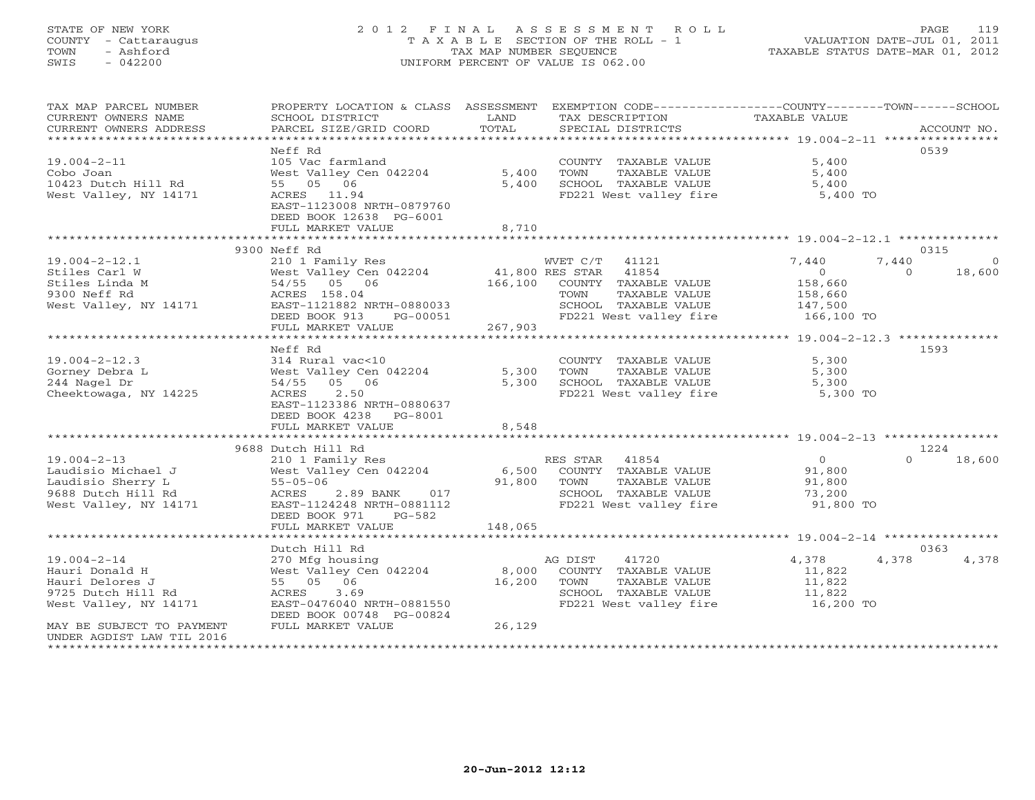## STATE OF NEW YORK 2 0 1 2 F I N A L A S S E S S M E N T R O L L PAGE 119 COUNTY - Cattaraugus T A X A B L E SECTION OF THE ROLL - 1 VALUATION DATE-JUL 01, 2011 TOWN - Ashford TAX MAP NUMBER SEQUENCE TAXABLE STATUS DATE-MAR 01, 2012 SWIS - 042200 UNIFORM PERCENT OF VALUE IS 062.00UNIFORM PERCENT OF VALUE IS 062.00

| TAX MAP PARCEL NUMBER<br>CURRENT OWNERS NAME<br>CURRENT OWNERS ADDRESS | PROPERTY LOCATION & CLASS ASSESSMENT<br>SCHOOL DISTRICT<br>PARCEL SIZE/GRID COORD | LAND<br>TOTAL   | EXEMPTION CODE-----------------COUNTY-------TOWN------SCHOOL<br>TAX DESCRIPTION<br>SPECIAL DISTRICTS | TAXABLE VALUE                                      | ACCOUNT NO.             |
|------------------------------------------------------------------------|-----------------------------------------------------------------------------------|-----------------|------------------------------------------------------------------------------------------------------|----------------------------------------------------|-------------------------|
| **********************                                                 |                                                                                   |                 |                                                                                                      |                                                    |                         |
|                                                                        | Neff Rd                                                                           |                 |                                                                                                      |                                                    | 0539                    |
| $19.004 - 2 - 11$                                                      | 105 Vac farmland                                                                  |                 | COUNTY TAXABLE VALUE                                                                                 | 5,400                                              |                         |
| Cobo Joan<br>10423 Dutch Hill Rd                                       | West Valley Cen 042204<br>55 05 06                                                | 5,400<br>5,400  | TOWN<br>TAXABLE VALUE<br>SCHOOL TAXABLE VALUE                                                        | 5,400<br>5,400                                     |                         |
| West Valley, NY 14171                                                  | ACRES 11.94                                                                       |                 | FD221 West valley fire                                                                               | 5,400 TO                                           |                         |
|                                                                        | EAST-1123008 NRTH-0879760                                                         |                 |                                                                                                      |                                                    |                         |
|                                                                        | DEED BOOK 12638 PG-6001                                                           |                 |                                                                                                      |                                                    |                         |
|                                                                        | FULL MARKET VALUE                                                                 | 8,710           |                                                                                                      |                                                    |                         |
|                                                                        | **************************                                                        | ************    |                                                                                                      |                                                    |                         |
|                                                                        | 9300 Neff Rd                                                                      |                 |                                                                                                      |                                                    | 0315                    |
| $19.004 - 2 - 12.1$                                                    | 210 1 Family Res                                                                  |                 | WVET C/T<br>41121                                                                                    | 7,440                                              | 7,440<br>$\overline{0}$ |
| Stiles Carl W                                                          | West Valley Cen 042204                                                            |                 | 41,800 RES STAR 41854                                                                                | $\circ$                                            | $\Omega$<br>18,600      |
| Stiles Linda M                                                         | 54/55 05 06                                                                       | 166,100         | COUNTY TAXABLE VALUE                                                                                 | 158,660                                            |                         |
| 9300 Neff Rd                                                           | ACRES 158.04                                                                      |                 | TAXABLE VALUE<br>TOWN                                                                                | 158,660                                            |                         |
| West Valley, NY 14171                                                  | EAST-1121882 NRTH-0880033                                                         |                 | SCHOOL TAXABLE VALUE                                                                                 | 147,500                                            |                         |
|                                                                        | DEED BOOK 913<br>PG-00051<br>FULL MARKET VALUE                                    | 267,903         | FD221 West valley fire                                                                               | 166,100 TO                                         |                         |
|                                                                        |                                                                                   |                 |                                                                                                      | ********************* 19.004-2-12.3 ************** |                         |
|                                                                        | Neff Rd                                                                           |                 |                                                                                                      |                                                    | 1593                    |
| $19.004 - 2 - 12.3$                                                    | 314 Rural vac<10                                                                  |                 | COUNTY TAXABLE VALUE                                                                                 | 5,300                                              |                         |
| Gorney Debra L                                                         | West Valley Cen 042204                                                            | 5,300           | TOWN<br>TAXABLE VALUE                                                                                | 5,300                                              |                         |
| 244 Nagel Dr                                                           | 54/55 05 06                                                                       | 5,300           | SCHOOL TAXABLE VALUE                                                                                 | 5,300                                              |                         |
| Cheektowaga, NY 14225                                                  | 2.50<br>ACRES                                                                     |                 | FD221 West valley fire                                                                               | 5,300 TO                                           |                         |
|                                                                        | EAST-1123386 NRTH-0880637                                                         |                 |                                                                                                      |                                                    |                         |
|                                                                        | DEED BOOK 4238<br>PG-8001                                                         |                 |                                                                                                      |                                                    |                         |
|                                                                        | FULL MARKET VALUE                                                                 | 8,548           |                                                                                                      |                                                    |                         |
|                                                                        |                                                                                   |                 |                                                                                                      |                                                    |                         |
|                                                                        | 9688 Dutch Hill Rd                                                                |                 |                                                                                                      |                                                    | 1224                    |
| $19.004 - 2 - 13$                                                      | 210 1 Family Res                                                                  |                 | 41854<br>RES STAR                                                                                    | $\circ$                                            | 18,600<br>$\Omega$      |
| Laudisio Michael J                                                     | West Valley Cen 042204                                                            | 6,500<br>91,800 | COUNTY TAXABLE VALUE<br>TAXABLE VALUE                                                                | 91,800                                             |                         |
| Laudisio Sherry L<br>9688 Dutch Hill Rd                                | $55 - 05 - 06$<br>2.89 BANK<br>017<br>ACRES                                       |                 | TOWN<br>SCHOOL TAXABLE VALUE                                                                         | 91,800<br>73,200                                   |                         |
| West Valley, NY 14171                                                  | EAST-1124248 NRTH-0881112                                                         |                 | FD221 West valley fire                                                                               | 91,800 TO                                          |                         |
|                                                                        | DEED BOOK 971<br>PG-582                                                           |                 |                                                                                                      |                                                    |                         |
|                                                                        | FULL MARKET VALUE                                                                 | 148,065         |                                                                                                      |                                                    |                         |
|                                                                        |                                                                                   |                 |                                                                                                      |                                                    |                         |
|                                                                        | Dutch Hill Rd                                                                     |                 |                                                                                                      |                                                    | 0363                    |
| $19.004 - 2 - 14$                                                      | 270 Mfg housing                                                                   |                 | AG DIST<br>41720                                                                                     | 4,378                                              | 4,378<br>4,378          |
| Hauri Donald H                                                         | West Valley Cen 042204                                                            | 8,000           | COUNTY TAXABLE VALUE                                                                                 | 11,822                                             |                         |
| Hauri Delores J                                                        | 55 05 06                                                                          | 16,200          | TOWN<br>TAXABLE VALUE                                                                                | 11,822                                             |                         |
| 9725 Dutch Hill Rd                                                     | 3.69<br>ACRES                                                                     |                 | SCHOOL TAXABLE VALUE                                                                                 | 11,822                                             |                         |
| West Valley, NY 14171                                                  | EAST-0476040 NRTH-0881550                                                         |                 | FD221 West valley fire                                                                               | 16,200 TO                                          |                         |
|                                                                        | DEED BOOK 00748 PG-00824                                                          |                 |                                                                                                      |                                                    |                         |
| MAY BE SUBJECT TO PAYMENT                                              | FULL MARKET VALUE                                                                 | 26,129          |                                                                                                      |                                                    |                         |
| UNDER AGDIST LAW TIL 2016<br>*********************                     |                                                                                   |                 |                                                                                                      |                                                    |                         |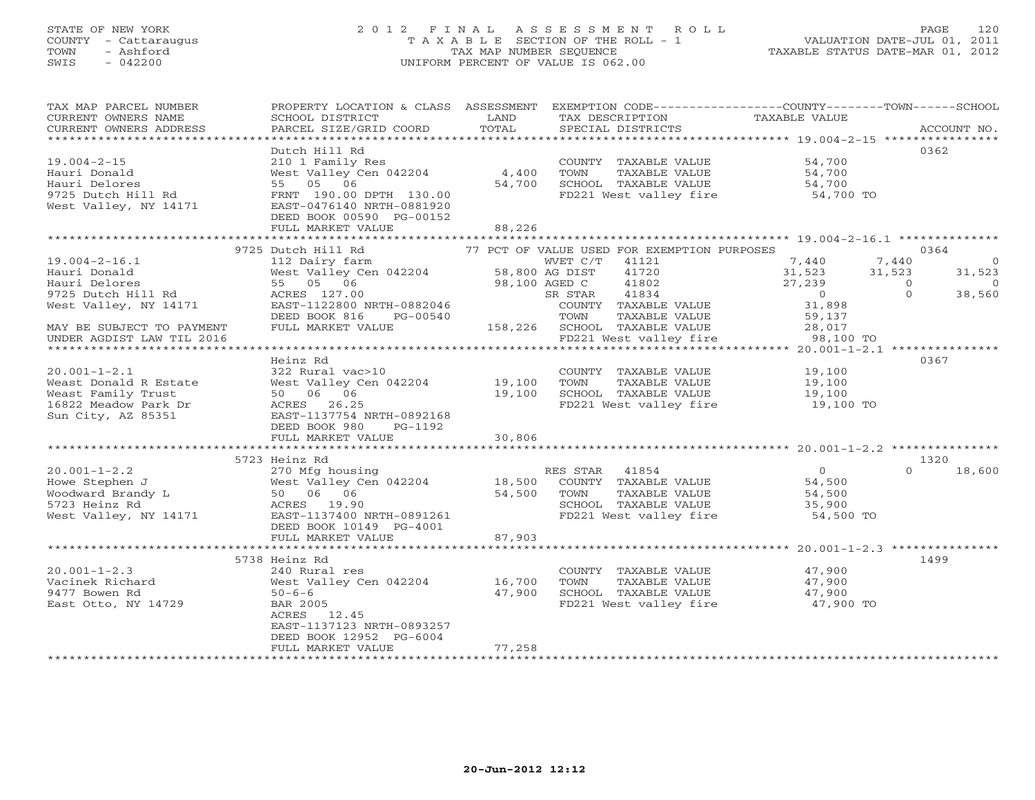## STATE OF NEW YORK 2 0 1 2 F I N A L A S S E S S M E N T R O L L PAGE 120 COUNTY - Cattaraugus T A X A B L E SECTION OF THE ROLL - 1 VALUATION DATE-JUL 01, 2011 TOWN - Ashford TAX MAP NUMBER SEQUENCE TAXABLE STATUS DATE-MAR 01, 2012 SWIS - 042200 UNIFORM PERCENT OF VALUE IS 062.00UNIFORM PERCENT OF VALUE IS 062.00

| TAXABLE VALUE<br>CURRENT OWNERS NAME<br>SCHOOL DISTRICT<br>LAND<br>TAX DESCRIPTION<br>TOTAL<br>CURRENT OWNERS ADDRESS<br>PARCEL SIZE/GRID COORD<br>SPECIAL DISTRICTS<br>ACCOUNT NO.<br>Dutch Hill Rd<br>0362<br>$19.004 - 2 - 15$<br>210 1 Family Res<br>COUNTY TAXABLE VALUE<br>54,700<br>4,400<br>Hauri Donald<br>West Valley Cen 042204<br>TOWN<br>TAXABLE VALUE<br>54,700<br>Hauri Delores<br>55 05 06<br>54,700<br>SCHOOL TAXABLE VALUE<br>54,700<br>9725 Dutch Hill Rd<br>FRNT 190.00 DPTH 130.00<br>FD221 West valley fire<br>54,700 TO<br>West Valley, NY 14171<br>EAST-0476140 NRTH-0881920<br>DEED BOOK 00590 PG-00152<br>88,226<br>FULL MARKET VALUE<br>9725 Dutch Hill Rd<br>77 PCT OF VALUE USED FOR EXEMPTION PURPOSES<br>0364<br>41121<br>7,440<br>$19.004 - 2 - 16.1$<br>112 Dairy farm<br>WVET C/T<br>7,440<br>$\Omega$<br>West Valley Cen 042204<br>41720<br>Hauri Donald<br>58,800 AG DIST<br>98,100 AGED C<br>31,523<br>31,523<br>31,523<br>55 05 06<br>27,239<br>Hauri Delores<br>41802<br>$\overline{0}$<br>$\overline{0}$<br>$\Omega$<br>38,560<br>9725 Dutch Hill Rd<br>ACRES 127.00<br>41834<br>$\sim$ 0<br>SR STAR<br>EAST-1122800 NRTH-0882046<br>West Valley, NY 14171<br>COUNTY TAXABLE VALUE<br>31,898<br>DEED BOOK 816<br>TAXABLE VALUE<br>PG-00540<br>TOWN<br>59,137<br>158,226 SCHOOL TAXABLE VALUE<br>FULL MARKET VALUE<br>MAY BE SUBJECT TO PAYMENT<br>28,017<br>FD221 West valley fire<br>98,100 TO<br>UNDER AGDIST LAW TIL 2016<br>Heinz Rd<br>0367<br>$20.001 - 1 - 2.1$<br>322 Rural vac>10<br>19,100<br>COUNTY TAXABLE VALUE<br>West Valley Cen 042204<br>19,100<br>Weast Donald R Estate<br>TOWN<br>TAXABLE VALUE<br>19,100<br>Weast Family Trust<br>19,100<br>SCHOOL TAXABLE VALUE<br>50 06 06<br>19,100<br>16822 Meadow Park Dr<br>ACRES 26.25<br>FD221 West valley fire<br>19,100 TO<br>Sun City, AZ 85351<br>EAST-1137754 NRTH-0892168<br>DEED BOOK 980<br>PG-1192<br>30,806<br>FULL MARKET VALUE<br>5723 Heinz Rd<br>1320<br>$\Omega$<br>$20.001 - 1 - 2.2$<br>270 Mfg housing<br>RES STAR 41854<br>$\overline{0}$<br>18,600<br>Nest Valley<br>50 06 06<br>ACRES 19.9<br>Howe Stephen J<br>West Valley Cen 042204<br>18,500<br>COUNTY TAXABLE VALUE<br>54,500<br>54,500<br>Woodward Brandy L<br>TAXABLE VALUE<br>TOWN<br>54,500<br>SCHOOL TAXABLE VALUE<br>5723 Heinz Rd<br>ACRES 19.90<br>35,900<br>EAST-1137400 NRTH-0891261<br>FD221 West valley fire<br>54,500 TO<br>West Valley, NY 14171<br>DEED BOOK 10149 PG-4001<br>FULL MARKET VALUE<br>87,903<br>1499<br>5738 Heinz Rd<br>$20.001 - 1 - 2.3$<br>240 Rural res<br>COUNTY TAXABLE VALUE<br>47,900<br>West Valley Cen 042204<br>16,700<br>Vacinek Richard<br>TAXABLE VALUE<br>47,900<br>TOWN<br>47,900<br>9477 Bowen Rd<br>$50 - 6 - 6$<br>SCHOOL TAXABLE VALUE<br>47,900<br>East Otto, NY 14729<br>BAR 2005<br>FD221 West valley fire<br>47,900 TO<br>ACRES<br>12.45<br>EAST-1137123 NRTH-0893257<br>DEED BOOK 12952 PG-6004<br>77,258<br>FULL MARKET VALUE | TAX MAP PARCEL NUMBER |  | PROPERTY LOCATION & CLASS ASSESSMENT EXEMPTION CODE----------------COUNTY-------TOWN------SCHOOL |  |
|--------------------------------------------------------------------------------------------------------------------------------------------------------------------------------------------------------------------------------------------------------------------------------------------------------------------------------------------------------------------------------------------------------------------------------------------------------------------------------------------------------------------------------------------------------------------------------------------------------------------------------------------------------------------------------------------------------------------------------------------------------------------------------------------------------------------------------------------------------------------------------------------------------------------------------------------------------------------------------------------------------------------------------------------------------------------------------------------------------------------------------------------------------------------------------------------------------------------------------------------------------------------------------------------------------------------------------------------------------------------------------------------------------------------------------------------------------------------------------------------------------------------------------------------------------------------------------------------------------------------------------------------------------------------------------------------------------------------------------------------------------------------------------------------------------------------------------------------------------------------------------------------------------------------------------------------------------------------------------------------------------------------------------------------------------------------------------------------------------------------------------------------------------------------------------------------------------------------------------------------------------------------------------------------------------------------------------------------------------------------------------------------------------------------------------------------------------------------------------------------------------------------------------------------------------------------------------------------------------------------------------------------------------------------------------------------------------------------------------------------------------------------------------------------------------------------------------------------------------------------------------------------------------------------------------------------------------------------|-----------------------|--|--------------------------------------------------------------------------------------------------|--|
|                                                                                                                                                                                                                                                                                                                                                                                                                                                                                                                                                                                                                                                                                                                                                                                                                                                                                                                                                                                                                                                                                                                                                                                                                                                                                                                                                                                                                                                                                                                                                                                                                                                                                                                                                                                                                                                                                                                                                                                                                                                                                                                                                                                                                                                                                                                                                                                                                                                                                                                                                                                                                                                                                                                                                                                                                                                                                                                                                                    |                       |  |                                                                                                  |  |
|                                                                                                                                                                                                                                                                                                                                                                                                                                                                                                                                                                                                                                                                                                                                                                                                                                                                                                                                                                                                                                                                                                                                                                                                                                                                                                                                                                                                                                                                                                                                                                                                                                                                                                                                                                                                                                                                                                                                                                                                                                                                                                                                                                                                                                                                                                                                                                                                                                                                                                                                                                                                                                                                                                                                                                                                                                                                                                                                                                    |                       |  |                                                                                                  |  |
|                                                                                                                                                                                                                                                                                                                                                                                                                                                                                                                                                                                                                                                                                                                                                                                                                                                                                                                                                                                                                                                                                                                                                                                                                                                                                                                                                                                                                                                                                                                                                                                                                                                                                                                                                                                                                                                                                                                                                                                                                                                                                                                                                                                                                                                                                                                                                                                                                                                                                                                                                                                                                                                                                                                                                                                                                                                                                                                                                                    |                       |  |                                                                                                  |  |
|                                                                                                                                                                                                                                                                                                                                                                                                                                                                                                                                                                                                                                                                                                                                                                                                                                                                                                                                                                                                                                                                                                                                                                                                                                                                                                                                                                                                                                                                                                                                                                                                                                                                                                                                                                                                                                                                                                                                                                                                                                                                                                                                                                                                                                                                                                                                                                                                                                                                                                                                                                                                                                                                                                                                                                                                                                                                                                                                                                    |                       |  |                                                                                                  |  |
|                                                                                                                                                                                                                                                                                                                                                                                                                                                                                                                                                                                                                                                                                                                                                                                                                                                                                                                                                                                                                                                                                                                                                                                                                                                                                                                                                                                                                                                                                                                                                                                                                                                                                                                                                                                                                                                                                                                                                                                                                                                                                                                                                                                                                                                                                                                                                                                                                                                                                                                                                                                                                                                                                                                                                                                                                                                                                                                                                                    |                       |  |                                                                                                  |  |
|                                                                                                                                                                                                                                                                                                                                                                                                                                                                                                                                                                                                                                                                                                                                                                                                                                                                                                                                                                                                                                                                                                                                                                                                                                                                                                                                                                                                                                                                                                                                                                                                                                                                                                                                                                                                                                                                                                                                                                                                                                                                                                                                                                                                                                                                                                                                                                                                                                                                                                                                                                                                                                                                                                                                                                                                                                                                                                                                                                    |                       |  |                                                                                                  |  |
|                                                                                                                                                                                                                                                                                                                                                                                                                                                                                                                                                                                                                                                                                                                                                                                                                                                                                                                                                                                                                                                                                                                                                                                                                                                                                                                                                                                                                                                                                                                                                                                                                                                                                                                                                                                                                                                                                                                                                                                                                                                                                                                                                                                                                                                                                                                                                                                                                                                                                                                                                                                                                                                                                                                                                                                                                                                                                                                                                                    |                       |  |                                                                                                  |  |
|                                                                                                                                                                                                                                                                                                                                                                                                                                                                                                                                                                                                                                                                                                                                                                                                                                                                                                                                                                                                                                                                                                                                                                                                                                                                                                                                                                                                                                                                                                                                                                                                                                                                                                                                                                                                                                                                                                                                                                                                                                                                                                                                                                                                                                                                                                                                                                                                                                                                                                                                                                                                                                                                                                                                                                                                                                                                                                                                                                    |                       |  |                                                                                                  |  |
|                                                                                                                                                                                                                                                                                                                                                                                                                                                                                                                                                                                                                                                                                                                                                                                                                                                                                                                                                                                                                                                                                                                                                                                                                                                                                                                                                                                                                                                                                                                                                                                                                                                                                                                                                                                                                                                                                                                                                                                                                                                                                                                                                                                                                                                                                                                                                                                                                                                                                                                                                                                                                                                                                                                                                                                                                                                                                                                                                                    |                       |  |                                                                                                  |  |
|                                                                                                                                                                                                                                                                                                                                                                                                                                                                                                                                                                                                                                                                                                                                                                                                                                                                                                                                                                                                                                                                                                                                                                                                                                                                                                                                                                                                                                                                                                                                                                                                                                                                                                                                                                                                                                                                                                                                                                                                                                                                                                                                                                                                                                                                                                                                                                                                                                                                                                                                                                                                                                                                                                                                                                                                                                                                                                                                                                    |                       |  |                                                                                                  |  |
|                                                                                                                                                                                                                                                                                                                                                                                                                                                                                                                                                                                                                                                                                                                                                                                                                                                                                                                                                                                                                                                                                                                                                                                                                                                                                                                                                                                                                                                                                                                                                                                                                                                                                                                                                                                                                                                                                                                                                                                                                                                                                                                                                                                                                                                                                                                                                                                                                                                                                                                                                                                                                                                                                                                                                                                                                                                                                                                                                                    |                       |  |                                                                                                  |  |
|                                                                                                                                                                                                                                                                                                                                                                                                                                                                                                                                                                                                                                                                                                                                                                                                                                                                                                                                                                                                                                                                                                                                                                                                                                                                                                                                                                                                                                                                                                                                                                                                                                                                                                                                                                                                                                                                                                                                                                                                                                                                                                                                                                                                                                                                                                                                                                                                                                                                                                                                                                                                                                                                                                                                                                                                                                                                                                                                                                    |                       |  |                                                                                                  |  |
|                                                                                                                                                                                                                                                                                                                                                                                                                                                                                                                                                                                                                                                                                                                                                                                                                                                                                                                                                                                                                                                                                                                                                                                                                                                                                                                                                                                                                                                                                                                                                                                                                                                                                                                                                                                                                                                                                                                                                                                                                                                                                                                                                                                                                                                                                                                                                                                                                                                                                                                                                                                                                                                                                                                                                                                                                                                                                                                                                                    |                       |  |                                                                                                  |  |
|                                                                                                                                                                                                                                                                                                                                                                                                                                                                                                                                                                                                                                                                                                                                                                                                                                                                                                                                                                                                                                                                                                                                                                                                                                                                                                                                                                                                                                                                                                                                                                                                                                                                                                                                                                                                                                                                                                                                                                                                                                                                                                                                                                                                                                                                                                                                                                                                                                                                                                                                                                                                                                                                                                                                                                                                                                                                                                                                                                    |                       |  |                                                                                                  |  |
|                                                                                                                                                                                                                                                                                                                                                                                                                                                                                                                                                                                                                                                                                                                                                                                                                                                                                                                                                                                                                                                                                                                                                                                                                                                                                                                                                                                                                                                                                                                                                                                                                                                                                                                                                                                                                                                                                                                                                                                                                                                                                                                                                                                                                                                                                                                                                                                                                                                                                                                                                                                                                                                                                                                                                                                                                                                                                                                                                                    |                       |  |                                                                                                  |  |
|                                                                                                                                                                                                                                                                                                                                                                                                                                                                                                                                                                                                                                                                                                                                                                                                                                                                                                                                                                                                                                                                                                                                                                                                                                                                                                                                                                                                                                                                                                                                                                                                                                                                                                                                                                                                                                                                                                                                                                                                                                                                                                                                                                                                                                                                                                                                                                                                                                                                                                                                                                                                                                                                                                                                                                                                                                                                                                                                                                    |                       |  |                                                                                                  |  |
|                                                                                                                                                                                                                                                                                                                                                                                                                                                                                                                                                                                                                                                                                                                                                                                                                                                                                                                                                                                                                                                                                                                                                                                                                                                                                                                                                                                                                                                                                                                                                                                                                                                                                                                                                                                                                                                                                                                                                                                                                                                                                                                                                                                                                                                                                                                                                                                                                                                                                                                                                                                                                                                                                                                                                                                                                                                                                                                                                                    |                       |  |                                                                                                  |  |
|                                                                                                                                                                                                                                                                                                                                                                                                                                                                                                                                                                                                                                                                                                                                                                                                                                                                                                                                                                                                                                                                                                                                                                                                                                                                                                                                                                                                                                                                                                                                                                                                                                                                                                                                                                                                                                                                                                                                                                                                                                                                                                                                                                                                                                                                                                                                                                                                                                                                                                                                                                                                                                                                                                                                                                                                                                                                                                                                                                    |                       |  |                                                                                                  |  |
|                                                                                                                                                                                                                                                                                                                                                                                                                                                                                                                                                                                                                                                                                                                                                                                                                                                                                                                                                                                                                                                                                                                                                                                                                                                                                                                                                                                                                                                                                                                                                                                                                                                                                                                                                                                                                                                                                                                                                                                                                                                                                                                                                                                                                                                                                                                                                                                                                                                                                                                                                                                                                                                                                                                                                                                                                                                                                                                                                                    |                       |  |                                                                                                  |  |
|                                                                                                                                                                                                                                                                                                                                                                                                                                                                                                                                                                                                                                                                                                                                                                                                                                                                                                                                                                                                                                                                                                                                                                                                                                                                                                                                                                                                                                                                                                                                                                                                                                                                                                                                                                                                                                                                                                                                                                                                                                                                                                                                                                                                                                                                                                                                                                                                                                                                                                                                                                                                                                                                                                                                                                                                                                                                                                                                                                    |                       |  |                                                                                                  |  |
|                                                                                                                                                                                                                                                                                                                                                                                                                                                                                                                                                                                                                                                                                                                                                                                                                                                                                                                                                                                                                                                                                                                                                                                                                                                                                                                                                                                                                                                                                                                                                                                                                                                                                                                                                                                                                                                                                                                                                                                                                                                                                                                                                                                                                                                                                                                                                                                                                                                                                                                                                                                                                                                                                                                                                                                                                                                                                                                                                                    |                       |  |                                                                                                  |  |
|                                                                                                                                                                                                                                                                                                                                                                                                                                                                                                                                                                                                                                                                                                                                                                                                                                                                                                                                                                                                                                                                                                                                                                                                                                                                                                                                                                                                                                                                                                                                                                                                                                                                                                                                                                                                                                                                                                                                                                                                                                                                                                                                                                                                                                                                                                                                                                                                                                                                                                                                                                                                                                                                                                                                                                                                                                                                                                                                                                    |                       |  |                                                                                                  |  |
|                                                                                                                                                                                                                                                                                                                                                                                                                                                                                                                                                                                                                                                                                                                                                                                                                                                                                                                                                                                                                                                                                                                                                                                                                                                                                                                                                                                                                                                                                                                                                                                                                                                                                                                                                                                                                                                                                                                                                                                                                                                                                                                                                                                                                                                                                                                                                                                                                                                                                                                                                                                                                                                                                                                                                                                                                                                                                                                                                                    |                       |  |                                                                                                  |  |
|                                                                                                                                                                                                                                                                                                                                                                                                                                                                                                                                                                                                                                                                                                                                                                                                                                                                                                                                                                                                                                                                                                                                                                                                                                                                                                                                                                                                                                                                                                                                                                                                                                                                                                                                                                                                                                                                                                                                                                                                                                                                                                                                                                                                                                                                                                                                                                                                                                                                                                                                                                                                                                                                                                                                                                                                                                                                                                                                                                    |                       |  |                                                                                                  |  |
|                                                                                                                                                                                                                                                                                                                                                                                                                                                                                                                                                                                                                                                                                                                                                                                                                                                                                                                                                                                                                                                                                                                                                                                                                                                                                                                                                                                                                                                                                                                                                                                                                                                                                                                                                                                                                                                                                                                                                                                                                                                                                                                                                                                                                                                                                                                                                                                                                                                                                                                                                                                                                                                                                                                                                                                                                                                                                                                                                                    |                       |  |                                                                                                  |  |
|                                                                                                                                                                                                                                                                                                                                                                                                                                                                                                                                                                                                                                                                                                                                                                                                                                                                                                                                                                                                                                                                                                                                                                                                                                                                                                                                                                                                                                                                                                                                                                                                                                                                                                                                                                                                                                                                                                                                                                                                                                                                                                                                                                                                                                                                                                                                                                                                                                                                                                                                                                                                                                                                                                                                                                                                                                                                                                                                                                    |                       |  |                                                                                                  |  |
|                                                                                                                                                                                                                                                                                                                                                                                                                                                                                                                                                                                                                                                                                                                                                                                                                                                                                                                                                                                                                                                                                                                                                                                                                                                                                                                                                                                                                                                                                                                                                                                                                                                                                                                                                                                                                                                                                                                                                                                                                                                                                                                                                                                                                                                                                                                                                                                                                                                                                                                                                                                                                                                                                                                                                                                                                                                                                                                                                                    |                       |  |                                                                                                  |  |
|                                                                                                                                                                                                                                                                                                                                                                                                                                                                                                                                                                                                                                                                                                                                                                                                                                                                                                                                                                                                                                                                                                                                                                                                                                                                                                                                                                                                                                                                                                                                                                                                                                                                                                                                                                                                                                                                                                                                                                                                                                                                                                                                                                                                                                                                                                                                                                                                                                                                                                                                                                                                                                                                                                                                                                                                                                                                                                                                                                    |                       |  |                                                                                                  |  |
|                                                                                                                                                                                                                                                                                                                                                                                                                                                                                                                                                                                                                                                                                                                                                                                                                                                                                                                                                                                                                                                                                                                                                                                                                                                                                                                                                                                                                                                                                                                                                                                                                                                                                                                                                                                                                                                                                                                                                                                                                                                                                                                                                                                                                                                                                                                                                                                                                                                                                                                                                                                                                                                                                                                                                                                                                                                                                                                                                                    |                       |  |                                                                                                  |  |
|                                                                                                                                                                                                                                                                                                                                                                                                                                                                                                                                                                                                                                                                                                                                                                                                                                                                                                                                                                                                                                                                                                                                                                                                                                                                                                                                                                                                                                                                                                                                                                                                                                                                                                                                                                                                                                                                                                                                                                                                                                                                                                                                                                                                                                                                                                                                                                                                                                                                                                                                                                                                                                                                                                                                                                                                                                                                                                                                                                    |                       |  |                                                                                                  |  |
|                                                                                                                                                                                                                                                                                                                                                                                                                                                                                                                                                                                                                                                                                                                                                                                                                                                                                                                                                                                                                                                                                                                                                                                                                                                                                                                                                                                                                                                                                                                                                                                                                                                                                                                                                                                                                                                                                                                                                                                                                                                                                                                                                                                                                                                                                                                                                                                                                                                                                                                                                                                                                                                                                                                                                                                                                                                                                                                                                                    |                       |  |                                                                                                  |  |
|                                                                                                                                                                                                                                                                                                                                                                                                                                                                                                                                                                                                                                                                                                                                                                                                                                                                                                                                                                                                                                                                                                                                                                                                                                                                                                                                                                                                                                                                                                                                                                                                                                                                                                                                                                                                                                                                                                                                                                                                                                                                                                                                                                                                                                                                                                                                                                                                                                                                                                                                                                                                                                                                                                                                                                                                                                                                                                                                                                    |                       |  |                                                                                                  |  |
|                                                                                                                                                                                                                                                                                                                                                                                                                                                                                                                                                                                                                                                                                                                                                                                                                                                                                                                                                                                                                                                                                                                                                                                                                                                                                                                                                                                                                                                                                                                                                                                                                                                                                                                                                                                                                                                                                                                                                                                                                                                                                                                                                                                                                                                                                                                                                                                                                                                                                                                                                                                                                                                                                                                                                                                                                                                                                                                                                                    |                       |  |                                                                                                  |  |
|                                                                                                                                                                                                                                                                                                                                                                                                                                                                                                                                                                                                                                                                                                                                                                                                                                                                                                                                                                                                                                                                                                                                                                                                                                                                                                                                                                                                                                                                                                                                                                                                                                                                                                                                                                                                                                                                                                                                                                                                                                                                                                                                                                                                                                                                                                                                                                                                                                                                                                                                                                                                                                                                                                                                                                                                                                                                                                                                                                    |                       |  |                                                                                                  |  |
|                                                                                                                                                                                                                                                                                                                                                                                                                                                                                                                                                                                                                                                                                                                                                                                                                                                                                                                                                                                                                                                                                                                                                                                                                                                                                                                                                                                                                                                                                                                                                                                                                                                                                                                                                                                                                                                                                                                                                                                                                                                                                                                                                                                                                                                                                                                                                                                                                                                                                                                                                                                                                                                                                                                                                                                                                                                                                                                                                                    |                       |  |                                                                                                  |  |
|                                                                                                                                                                                                                                                                                                                                                                                                                                                                                                                                                                                                                                                                                                                                                                                                                                                                                                                                                                                                                                                                                                                                                                                                                                                                                                                                                                                                                                                                                                                                                                                                                                                                                                                                                                                                                                                                                                                                                                                                                                                                                                                                                                                                                                                                                                                                                                                                                                                                                                                                                                                                                                                                                                                                                                                                                                                                                                                                                                    |                       |  |                                                                                                  |  |
|                                                                                                                                                                                                                                                                                                                                                                                                                                                                                                                                                                                                                                                                                                                                                                                                                                                                                                                                                                                                                                                                                                                                                                                                                                                                                                                                                                                                                                                                                                                                                                                                                                                                                                                                                                                                                                                                                                                                                                                                                                                                                                                                                                                                                                                                                                                                                                                                                                                                                                                                                                                                                                                                                                                                                                                                                                                                                                                                                                    |                       |  |                                                                                                  |  |
|                                                                                                                                                                                                                                                                                                                                                                                                                                                                                                                                                                                                                                                                                                                                                                                                                                                                                                                                                                                                                                                                                                                                                                                                                                                                                                                                                                                                                                                                                                                                                                                                                                                                                                                                                                                                                                                                                                                                                                                                                                                                                                                                                                                                                                                                                                                                                                                                                                                                                                                                                                                                                                                                                                                                                                                                                                                                                                                                                                    |                       |  |                                                                                                  |  |
|                                                                                                                                                                                                                                                                                                                                                                                                                                                                                                                                                                                                                                                                                                                                                                                                                                                                                                                                                                                                                                                                                                                                                                                                                                                                                                                                                                                                                                                                                                                                                                                                                                                                                                                                                                                                                                                                                                                                                                                                                                                                                                                                                                                                                                                                                                                                                                                                                                                                                                                                                                                                                                                                                                                                                                                                                                                                                                                                                                    |                       |  |                                                                                                  |  |
|                                                                                                                                                                                                                                                                                                                                                                                                                                                                                                                                                                                                                                                                                                                                                                                                                                                                                                                                                                                                                                                                                                                                                                                                                                                                                                                                                                                                                                                                                                                                                                                                                                                                                                                                                                                                                                                                                                                                                                                                                                                                                                                                                                                                                                                                                                                                                                                                                                                                                                                                                                                                                                                                                                                                                                                                                                                                                                                                                                    |                       |  |                                                                                                  |  |
|                                                                                                                                                                                                                                                                                                                                                                                                                                                                                                                                                                                                                                                                                                                                                                                                                                                                                                                                                                                                                                                                                                                                                                                                                                                                                                                                                                                                                                                                                                                                                                                                                                                                                                                                                                                                                                                                                                                                                                                                                                                                                                                                                                                                                                                                                                                                                                                                                                                                                                                                                                                                                                                                                                                                                                                                                                                                                                                                                                    |                       |  |                                                                                                  |  |
|                                                                                                                                                                                                                                                                                                                                                                                                                                                                                                                                                                                                                                                                                                                                                                                                                                                                                                                                                                                                                                                                                                                                                                                                                                                                                                                                                                                                                                                                                                                                                                                                                                                                                                                                                                                                                                                                                                                                                                                                                                                                                                                                                                                                                                                                                                                                                                                                                                                                                                                                                                                                                                                                                                                                                                                                                                                                                                                                                                    |                       |  |                                                                                                  |  |
|                                                                                                                                                                                                                                                                                                                                                                                                                                                                                                                                                                                                                                                                                                                                                                                                                                                                                                                                                                                                                                                                                                                                                                                                                                                                                                                                                                                                                                                                                                                                                                                                                                                                                                                                                                                                                                                                                                                                                                                                                                                                                                                                                                                                                                                                                                                                                                                                                                                                                                                                                                                                                                                                                                                                                                                                                                                                                                                                                                    |                       |  |                                                                                                  |  |
|                                                                                                                                                                                                                                                                                                                                                                                                                                                                                                                                                                                                                                                                                                                                                                                                                                                                                                                                                                                                                                                                                                                                                                                                                                                                                                                                                                                                                                                                                                                                                                                                                                                                                                                                                                                                                                                                                                                                                                                                                                                                                                                                                                                                                                                                                                                                                                                                                                                                                                                                                                                                                                                                                                                                                                                                                                                                                                                                                                    |                       |  |                                                                                                  |  |
|                                                                                                                                                                                                                                                                                                                                                                                                                                                                                                                                                                                                                                                                                                                                                                                                                                                                                                                                                                                                                                                                                                                                                                                                                                                                                                                                                                                                                                                                                                                                                                                                                                                                                                                                                                                                                                                                                                                                                                                                                                                                                                                                                                                                                                                                                                                                                                                                                                                                                                                                                                                                                                                                                                                                                                                                                                                                                                                                                                    |                       |  |                                                                                                  |  |
|                                                                                                                                                                                                                                                                                                                                                                                                                                                                                                                                                                                                                                                                                                                                                                                                                                                                                                                                                                                                                                                                                                                                                                                                                                                                                                                                                                                                                                                                                                                                                                                                                                                                                                                                                                                                                                                                                                                                                                                                                                                                                                                                                                                                                                                                                                                                                                                                                                                                                                                                                                                                                                                                                                                                                                                                                                                                                                                                                                    |                       |  |                                                                                                  |  |
|                                                                                                                                                                                                                                                                                                                                                                                                                                                                                                                                                                                                                                                                                                                                                                                                                                                                                                                                                                                                                                                                                                                                                                                                                                                                                                                                                                                                                                                                                                                                                                                                                                                                                                                                                                                                                                                                                                                                                                                                                                                                                                                                                                                                                                                                                                                                                                                                                                                                                                                                                                                                                                                                                                                                                                                                                                                                                                                                                                    |                       |  |                                                                                                  |  |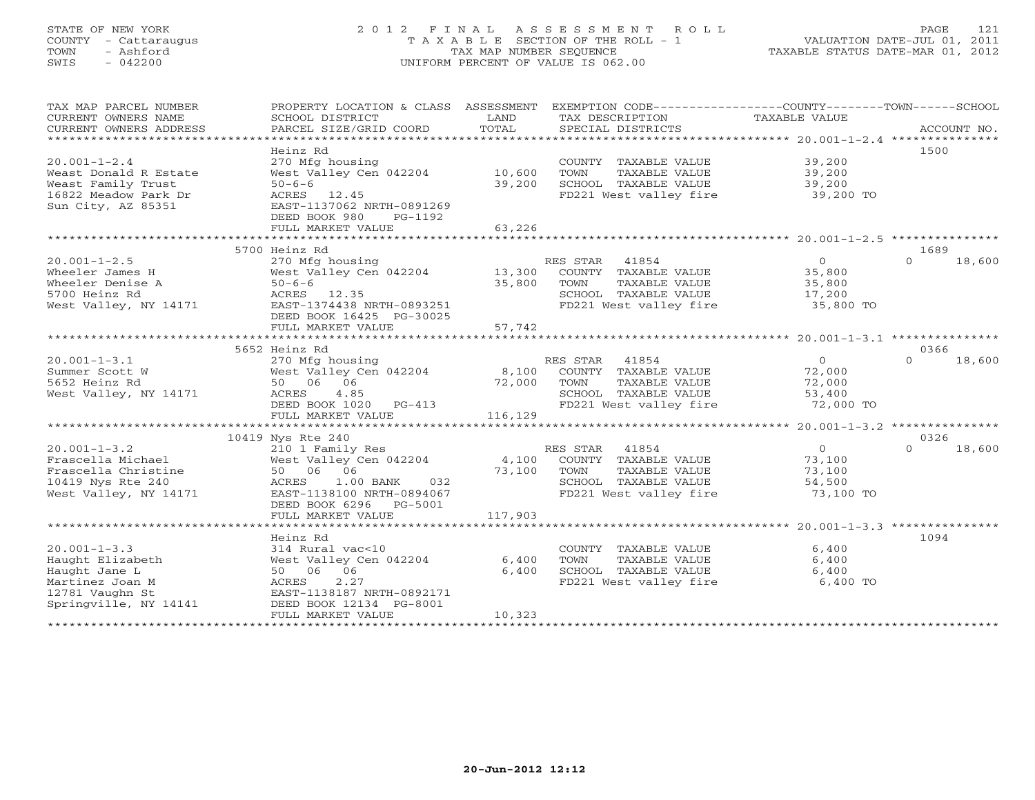## STATE OF NEW YORK 2 0 1 2 F I N A L A S S E S S M E N T R O L L PAGE 121 COUNTY - Cattaraugus T A X A B L E SECTION OF THE ROLL - 1 VALUATION DATE-JUL 01, 2011 TOWN - Ashford TAX MAP NUMBER SEQUENCE TAXABLE STATUS DATE-MAR 01, 2012 SWIS - 042200 UNIFORM PERCENT OF VALUE IS 062.00UNIFORM PERCENT OF VALUE IS 062.00

| TAX MAP PARCEL NUMBER<br>CURRENT OWNERS NAME | PROPERTY LOCATION & CLASS ASSESSMENT<br>SCHOOL DISTRICT | LAND    | EXEMPTION CODE-----------------COUNTY-------TOWN------SCHOOL<br>TAX DESCRIPTION TAXABLE VALUE |                |                    |
|----------------------------------------------|---------------------------------------------------------|---------|-----------------------------------------------------------------------------------------------|----------------|--------------------|
| CURRENT OWNERS ADDRESS                       | PARCEL SIZE/GRID COORD                                  | TOTAL   | SPECIAL DISTRICTS                                                                             |                | ACCOUNT NO.        |
|                                              | Heinz Rd                                                |         |                                                                                               |                | 1500               |
| $20.001 - 1 - 2.4$                           | 270 Mfg housing                                         |         | COUNTY TAXABLE VALUE                                                                          | 39,200         |                    |
| Weast Donald R Estate                        | West Valley Cen 042204                                  | 10,600  | TOWN<br>TAXABLE VALUE                                                                         | 39,200         |                    |
| Weast Family Trust                           | $50 - 6 - 6$                                            | 39,200  | SCHOOL TAXABLE VALUE                                                                          | 39,200         |                    |
| 16822 Meadow Park Dr                         | ACRES 12.45                                             |         | FD221 West valley fire                                                                        | 39,200 TO      |                    |
| Sun City, AZ 85351                           | EAST-1137062 NRTH-0891269                               |         |                                                                                               |                |                    |
|                                              | DEED BOOK 980<br>PG-1192                                |         |                                                                                               |                |                    |
|                                              | FULL MARKET VALUE                                       | 63,226  |                                                                                               |                |                    |
|                                              |                                                         |         |                                                                                               |                |                    |
|                                              | 5700 Heinz Rd                                           |         |                                                                                               |                | 1689               |
| $20.001 - 1 - 2.5$                           | 270 Mfg housing                                         |         | RES STAR<br>41854                                                                             | $\overline{0}$ | $\Omega$<br>18,600 |
| Wheeler James H                              | West Valley Cen 042204 13,300                           |         | COUNTY TAXABLE VALUE                                                                          | 35,800         |                    |
| Wheeler Denise A                             | $50 - 6 - 6$                                            | 35,800  | TOWN<br>TAXABLE VALUE                                                                         | 35,800         |                    |
| 5700 Heinz Rd                                | ACRES 12.35                                             |         | SCHOOL TAXABLE VALUE                                                                          | 17,200         |                    |
| West Valley, NY 14171                        | EAST-1374438 NRTH-0893251                               |         | FD221 West valley fire                                                                        | 35,800 TO      |                    |
|                                              | DEED BOOK 16425 PG-30025<br>FULL MARKET VALUE           | 57,742  |                                                                                               |                |                    |
|                                              |                                                         |         |                                                                                               |                |                    |
|                                              | 5652 Heinz Rd                                           |         |                                                                                               |                | 0366               |
| $20.001 - 1 - 3.1$                           | 270 Mfg housing                                         |         | RES STAR<br>41854                                                                             | $\overline{O}$ | $\Omega$<br>18,600 |
| Summer Scott W                               | West Valley Cen 042204                                  | 8,100   | COUNTY TAXABLE VALUE                                                                          | 72,000         |                    |
| 5652 Heinz Rd                                | 50 06 06                                                | 72,000  | TOWN<br>TAXABLE VALUE                                                                         | 72,000         |                    |
| West Valley, NY 14171                        | ACRES<br>4.85                                           |         | SCHOOL TAXABLE VALUE                                                                          | 53,400         |                    |
|                                              | DEED BOOK 1020 PG-413                                   |         | FD221 West valley fire                                                                        | 72,000 TO      |                    |
|                                              | FULL MARKET VALUE                                       | 116,129 |                                                                                               |                |                    |
|                                              | **************************                              |         |                                                                                               |                |                    |
|                                              | 10419 Nys Rte 240                                       |         |                                                                                               |                | 0326               |
| $20.001 - 1 - 3.2$                           | 210 1 Family Res                                        |         | RES STAR 41854                                                                                | $\overline{0}$ | $\Omega$<br>18,600 |
| Frascella Michael                            | West Valley Cen 042204                                  | 4,100   | COUNTY TAXABLE VALUE                                                                          | 73,100         |                    |
| Frascella Christine                          | 50 06 06                                                | 73,100  | TOWN<br>TAXABLE VALUE                                                                         | 73,100         |                    |
| 10419 Nys Rte 240                            | ACRES<br>$1.00$ BANK<br>032                             |         | SCHOOL TAXABLE VALUE                                                                          | 54,500         |                    |
| West Valley, NY 14171                        | EAST-1138100 NRTH-0894067<br>DEED BOOK 6296 PG-5001     |         | FD221 West valley fire                                                                        | 73,100 TO      |                    |
|                                              | FULL MARKET VALUE                                       | 117,903 |                                                                                               |                |                    |
|                                              |                                                         |         |                                                                                               |                |                    |
|                                              | Heinz Rd                                                |         |                                                                                               |                | 1094               |
| $20.001 - 1 - 3.3$                           | 314 Rural vac<10                                        |         | COUNTY TAXABLE VALUE                                                                          | 6,400          |                    |
| Haught Elizabeth                             | West Valley Cen 042204                                  | 6,400   | TOWN<br>TAXABLE VALUE                                                                         | 6,400          |                    |
| Haught Jane L                                | 50 06 06                                                | 6,400   | SCHOOL TAXABLE VALUE                                                                          | 6,400          |                    |
| Martinez Joan M                              | ACRES<br>2.27                                           |         | FD221 West valley fire                                                                        | 6,400 TO       |                    |
| 12781 Vaughn St                              | EAST-1138187 NRTH-0892171                               |         |                                                                                               |                |                    |
| Springville, NY 14141                        | DEED BOOK 12134 PG-8001                                 |         |                                                                                               |                |                    |
|                                              | FULL MARKET VALUE                                       | 10,323  |                                                                                               |                |                    |
|                                              |                                                         |         |                                                                                               |                |                    |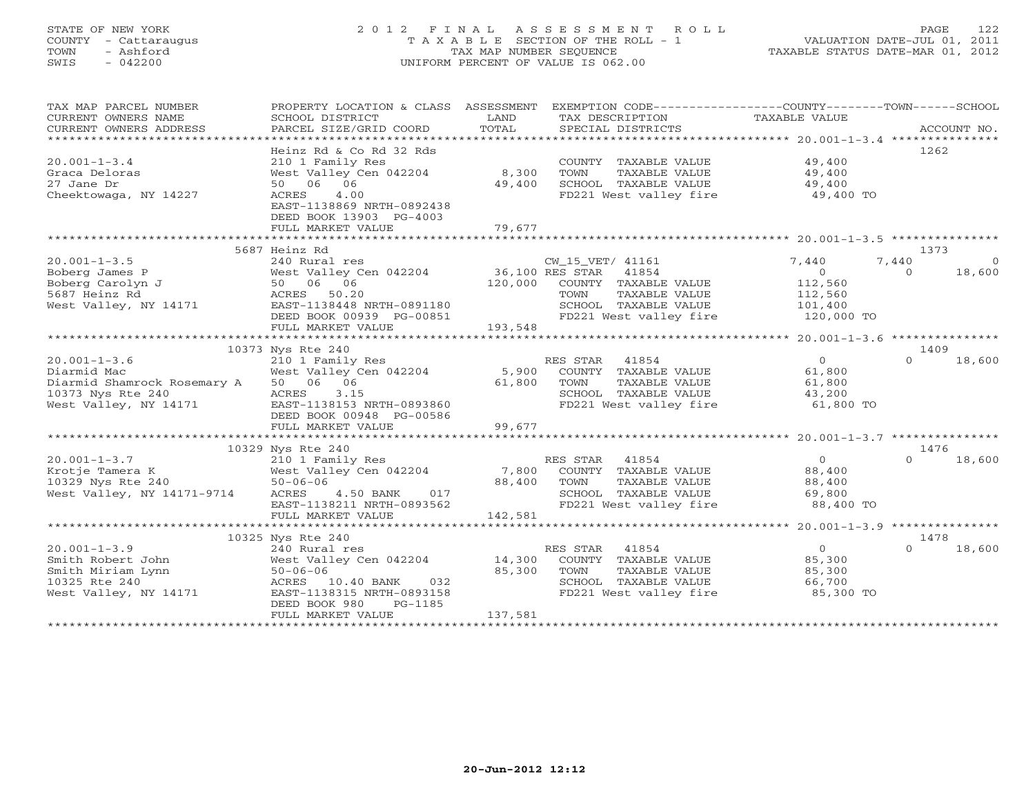## STATE OF NEW YORK 2 0 1 2 F I N A L A S S E S S M E N T R O L L PAGE 122 COUNTY - Cattaraugus T A X A B L E SECTION OF THE ROLL - 1 VALUATION DATE-JUL 01, 2011 TOWN - Ashford TAX MAP NUMBER SEQUENCE TAXABLE STATUS DATE-MAR 01, 2012 SWIS - 042200 UNIFORM PERCENT OF VALUE IS 062.00UNIFORM PERCENT OF VALUE IS 062.00

| TAX MAP PARCEL NUMBER<br>CURRENT OWNERS NAME<br>CURRENT OWNERS ADDRESS | PROPERTY LOCATION & CLASS ASSESSMENT<br>SCHOOL DISTRICT<br>PARCEL SIZE/GRID COORD | LAND<br>TOTAL   | EXEMPTION CODE-----------------COUNTY-------TOWN------SCHOOL<br>TAX DESCRIPTION<br>SPECIAL DISTRICTS | TAXABLE VALUE  | ACCOUNT NO.        |
|------------------------------------------------------------------------|-----------------------------------------------------------------------------------|-----------------|------------------------------------------------------------------------------------------------------|----------------|--------------------|
| ************************                                               | ********************                                                              |                 |                                                                                                      |                |                    |
|                                                                        | Heinz Rd & Co Rd 32 Rds                                                           |                 |                                                                                                      |                | 1262               |
| $20.001 - 1 - 3.4$                                                     | 210 1 Family Res                                                                  |                 | COUNTY TAXABLE VALUE                                                                                 | 49,400         |                    |
| Graca Deloras                                                          | West Valley Cen 042204                                                            | 8,300           | TOWN<br>TAXABLE VALUE                                                                                | 49,400         |                    |
| 27 Jane Dr                                                             | 50 06 06                                                                          | 49,400          | SCHOOL TAXABLE VALUE                                                                                 | 49,400         |                    |
| Cheektowaga, NY 14227                                                  | 4.00<br>ACRES                                                                     |                 | FD221 West valley fire                                                                               | 49,400 TO      |                    |
|                                                                        | EAST-1138869 NRTH-0892438                                                         |                 |                                                                                                      |                |                    |
|                                                                        | DEED BOOK 13903 PG-4003                                                           |                 |                                                                                                      |                |                    |
|                                                                        | FULL MARKET VALUE                                                                 | 79,677          |                                                                                                      |                |                    |
|                                                                        |                                                                                   |                 |                                                                                                      |                |                    |
|                                                                        | 5687 Heinz Rd                                                                     |                 |                                                                                                      |                | 1373               |
| $20.001 - 1 - 3.5$                                                     | 240 Rural res                                                                     |                 | CW_15_VET/ 41161                                                                                     | 7,440          | 7,440<br>$\Omega$  |
| Boberg James P                                                         | West Valley Cen 042204                                                            | 36,100 RES STAR | 41854                                                                                                | $\Omega$       | 18,600<br>$\Omega$ |
| Boberg Carolyn J                                                       | 50 06 06                                                                          | 120,000         | COUNTY TAXABLE VALUE                                                                                 | 112,560        |                    |
| 5687 Heinz Rd                                                          | ACRES 50.20                                                                       |                 | TOWN<br>TAXABLE VALUE                                                                                | 112,560        |                    |
| West Valley, NY 14171                                                  | EAST-1138448 NRTH-0891180                                                         |                 | SCHOOL TAXABLE VALUE                                                                                 | 101,400        |                    |
|                                                                        | DEED BOOK 00939 PG-00851                                                          |                 | FD221 West valley fire                                                                               | 120,000 TO     |                    |
|                                                                        | FULL MARKET VALUE                                                                 | 193,548         |                                                                                                      |                |                    |
|                                                                        |                                                                                   |                 |                                                                                                      |                |                    |
|                                                                        | 10373 Nys Rte 240                                                                 |                 |                                                                                                      |                | 1409               |
| $20.001 - 1 - 3.6$                                                     | 210 1 Family Res                                                                  |                 | RES STAR<br>41854                                                                                    | 0              | $\Omega$<br>18,600 |
| Diarmid Mac                                                            | West Valley Cen 042204                                                            | 5,900           | COUNTY TAXABLE VALUE                                                                                 | 61,800         |                    |
| Diarmid Shamrock Rosemary A                                            | 50 06 06                                                                          | 61,800          | TOWN<br>TAXABLE VALUE                                                                                | 61,800         |                    |
| 10373 Nys Rte 240                                                      | ACRES<br>3.15                                                                     |                 | SCHOOL TAXABLE VALUE                                                                                 | 43,200         |                    |
| West Valley, NY 14171                                                  | EAST-1138153 NRTH-0893860                                                         |                 | FD221 West valley fire                                                                               | 61,800 TO      |                    |
|                                                                        | DEED BOOK 00948 PG-00586                                                          |                 |                                                                                                      |                |                    |
|                                                                        | FULL MARKET VALUE                                                                 | 99,677          |                                                                                                      |                |                    |
|                                                                        | 10329 Nys Rte 240                                                                 |                 |                                                                                                      |                | 1476               |
| $20.001 - 1 - 3.7$                                                     | 210 1 Family Res                                                                  |                 | RES STAR<br>41854                                                                                    | $\overline{0}$ | $\Omega$<br>18,600 |
| Krotje Tamera K                                                        | West Valley Cen 042204                                                            | 7,800           | COUNTY TAXABLE VALUE                                                                                 | 88,400         |                    |
| 10329 Nys Rte 240                                                      | $50 - 06 - 06$                                                                    | 88,400          | TOWN<br>TAXABLE VALUE                                                                                | 88,400         |                    |
| West Valley, NY 14171-9714                                             | 4.50 BANK<br>017<br>ACRES                                                         |                 | SCHOOL TAXABLE VALUE                                                                                 | 69,800         |                    |
|                                                                        | EAST-1138211 NRTH-0893562                                                         |                 | FD221 West valley fire                                                                               | 88,400 TO      |                    |
|                                                                        | FULL MARKET VALUE                                                                 | 142,581         |                                                                                                      |                |                    |
|                                                                        |                                                                                   |                 |                                                                                                      |                |                    |
|                                                                        | 10325 Nys Rte 240                                                                 |                 |                                                                                                      |                | 1478               |
| $20.001 - 1 - 3.9$                                                     | 240 Rural res                                                                     |                 | 41854<br>RES STAR                                                                                    | $\overline{O}$ | $\Omega$<br>18,600 |
| Smith Robert John                                                      | West Valley Cen 042204                                                            | 14,300          | COUNTY TAXABLE VALUE                                                                                 | 85,300         |                    |
| Smith Miriam Lynn                                                      | $50 - 06 - 06$                                                                    | 85,300          | TOWN<br>TAXABLE VALUE                                                                                | 85,300         |                    |
| 10325 Rte 240                                                          | ACRES 10.40 BANK<br>032                                                           |                 | SCHOOL TAXABLE VALUE                                                                                 | 66,700         |                    |
| West Valley, NY 14171                                                  | EAST-1138315 NRTH-0893158                                                         |                 | FD221 West valley fire                                                                               | 85,300 TO      |                    |
|                                                                        | DEED BOOK 980<br>PG-1185                                                          |                 |                                                                                                      |                |                    |
|                                                                        | FULL MARKET VALUE                                                                 | 137,581         |                                                                                                      |                |                    |
|                                                                        |                                                                                   |                 |                                                                                                      |                |                    |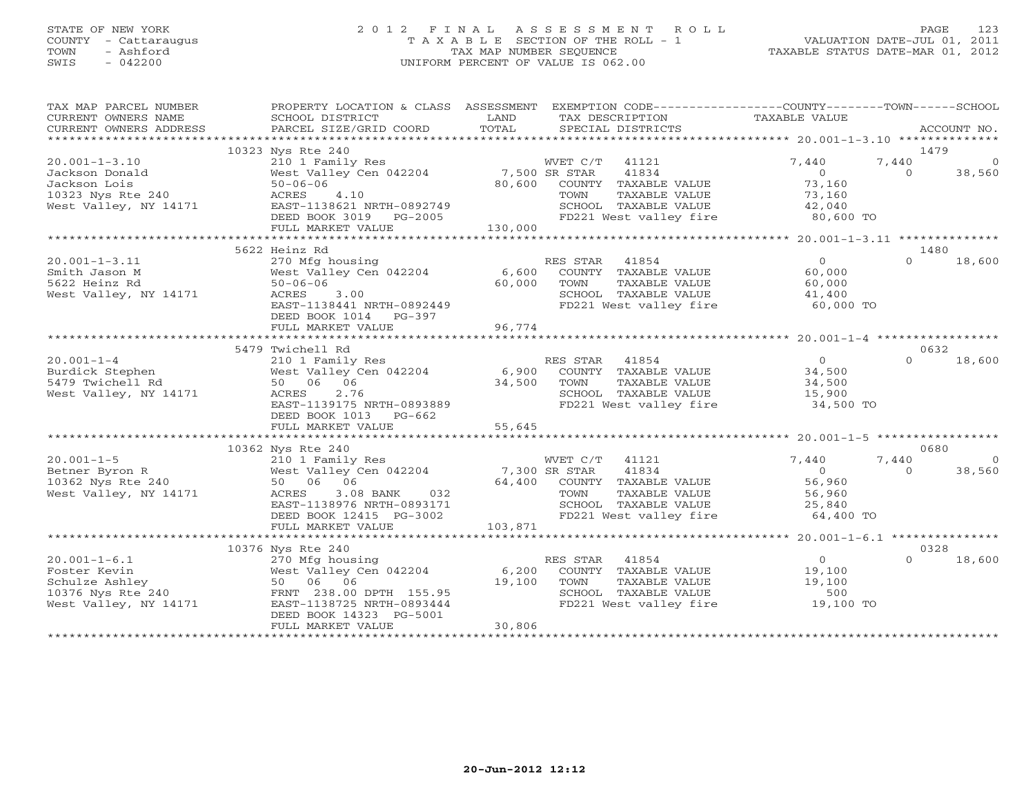## STATE OF NEW YORK 2 0 1 2 F I N A L A S S E S S M E N T R O L L PAGE 123 COUNTY - Cattaraugus T A X A B L E SECTION OF THE ROLL - 1 VALUATION DATE-JUL 01, 2011 TOWN - Ashford TAX MAP NUMBER SEQUENCE TAXABLE STATUS DATE-MAR 01, 2012 SWIS - 042200 UNIFORM PERCENT OF VALUE IS 062.00UNIFORM PERCENT OF VALUE IS 062.00

| 10323 Nys Rte 240<br>1479<br>$20.001 - 1 - 3.10$<br>210 1 Family Res<br>7,440<br>7,440<br>WVET C/T 41121<br>$\overline{0}$<br>West Valley Cen 042204 7,500 SR STAR<br>41834<br>Jackson Donald<br>$\Omega$<br>$\Omega$<br>38,560<br>Jackson Lois<br>80,600<br>COUNTY TAXABLE VALUE<br>73,160<br>$50 - 06 - 06$<br>10323 Nys Rte 240<br>TAXABLE VALUE<br>ACRES<br>4.10<br>TOWN<br>73,160<br>West Valley, NY 14171<br>SCHOOL TAXABLE VALUE<br>EAST-1138621 NRTH-0892749<br>42,040<br>SCHOOL TAXABLE VALUE<br>FD221 West valley fire<br>80,600 TO<br>DEED BOOK 3019 PG-2005<br>FULL MARKET VALUE<br>130,000<br>1480<br>5622 Heinz Rd<br>$\overline{0}$<br>$\Omega$<br>18,600<br>$20.001 - 1 - 3.11$<br>270 Mfg housing<br>RES STAR 41854<br>West Valley Cen 042204<br>6,600<br>Smith Jason M<br>COUNTY TAXABLE VALUE<br>60,000<br>5622 Heinz Rd<br>60,000<br>TAXABLE VALUE<br>$50 - 06 - 06$<br>TOWN<br>60,000<br>West Valley, NY 14171<br>ACRES<br>3.00<br>SCHOOL TAXABLE VALUE<br>41,400<br>EAST-1138441 NRTH-0892449<br>FD221 West valley fire<br>60,000 TO<br>DEED BOOK 1014 PG-397<br>96,774<br>FULL MARKET VALUE<br>0632<br>5479 Twichell Rd<br>$20.001 - 1 - 4$<br>$\cap$<br>18,600<br>210 1 Family Res<br>RES STAR 41854<br>$\overline{0}$<br>Burdick Stephen<br>West Valley Cen 042204<br>6,900<br>COUNTY TAXABLE VALUE<br>34,500<br>5479 Twichell Rd<br>50 06 06<br>34,500<br>TOWN<br>TAXABLE VALUE<br>34,500<br>2.76<br>SCHOOL TAXABLE VALUE<br>West Valley, NY 14171<br>ACRES<br>15,900<br>DONOOD TAXABLE VALUE<br>FD221 West valley fire<br>EAST-1139175 NRTH-0893889<br>34,500 TO<br>DEED BOOK 1013 PG-662<br>55,645<br>FULL MARKET VALUE<br>0680<br>10362 Nys Rte 240<br>$20.001 - 1 - 5$<br>7,440<br>7,440<br>210 1 Family Res<br>West Valley Cen 042204<br>WVET C/T<br>41121<br>$\Omega$<br>7,300 SR STAR<br>41834<br>$\Omega$<br>38,560<br>Betner Byron R<br>$\Omega$<br>10362 Nys Rte 240<br>50 06 06<br>64,400 COUNTY TAXABLE VALUE<br>56,960<br>West Valley, NY 14171<br>$3.08$ BANK<br>032<br>TOWN<br>TAXABLE VALUE<br>56,960<br>ACRES<br>EAST-1138976 NRTH-0893171<br>SCHOOL TAXABLE VALUE<br>25,840<br>FD221 West valley fire<br>64,400 TO<br>DEED BOOK 12415 PG-3002<br>103,871<br>FULL MARKET VALUE<br>10376 Nys Rte 240<br>0328<br>$20.001 - 1 - 6.1$<br>RES STAR<br>41854<br>0<br>$\Omega$<br>18,600<br>270 Mfg housing<br>West Valley Cen 042204 6,200<br>Foster Kevin<br>COUNTY TAXABLE VALUE<br>19,100<br>50 06 06<br>19,100<br>Schulze Ashley<br>TOWN<br>TAXABLE VALUE<br>19,100<br>10376 Nys Rte 240<br>FRNT 238.00 DPTH 155.95<br>SCHOOL TAXABLE VALUE<br>500<br>West Valley, NY 14171<br>EAST-1138725 NRTH-0893444<br>FD221 West valley fire 19,100 TO<br>DEED BOOK 14323 PG-5001<br>FULL MARKET VALUE<br>30,806 | TAX MAP PARCEL NUMBER<br>CURRENT OWNERS NAME<br>CURRENT OWNERS ADDRESS | PROPERTY LOCATION & CLASS ASSESSMENT<br>SCHOOL DISTRICT<br>PARCEL SIZE/GRID COORD | LAND<br>TOTAL | EXEMPTION CODE-----------------COUNTY-------TOWN------SCHOOL<br>TAX DESCRIPTION<br>SPECIAL DISTRICTS | TAXABLE VALUE | ACCOUNT NO. |
|-------------------------------------------------------------------------------------------------------------------------------------------------------------------------------------------------------------------------------------------------------------------------------------------------------------------------------------------------------------------------------------------------------------------------------------------------------------------------------------------------------------------------------------------------------------------------------------------------------------------------------------------------------------------------------------------------------------------------------------------------------------------------------------------------------------------------------------------------------------------------------------------------------------------------------------------------------------------------------------------------------------------------------------------------------------------------------------------------------------------------------------------------------------------------------------------------------------------------------------------------------------------------------------------------------------------------------------------------------------------------------------------------------------------------------------------------------------------------------------------------------------------------------------------------------------------------------------------------------------------------------------------------------------------------------------------------------------------------------------------------------------------------------------------------------------------------------------------------------------------------------------------------------------------------------------------------------------------------------------------------------------------------------------------------------------------------------------------------------------------------------------------------------------------------------------------------------------------------------------------------------------------------------------------------------------------------------------------------------------------------------------------------------------------------------------------------------------------------------------------------------------------------------------------------------------------------------------------------------------------------------------------------------------------------------------------------------------------------------------------------|------------------------------------------------------------------------|-----------------------------------------------------------------------------------|---------------|------------------------------------------------------------------------------------------------------|---------------|-------------|
|                                                                                                                                                                                                                                                                                                                                                                                                                                                                                                                                                                                                                                                                                                                                                                                                                                                                                                                                                                                                                                                                                                                                                                                                                                                                                                                                                                                                                                                                                                                                                                                                                                                                                                                                                                                                                                                                                                                                                                                                                                                                                                                                                                                                                                                                                                                                                                                                                                                                                                                                                                                                                                                                                                                                                 |                                                                        |                                                                                   |               |                                                                                                      |               |             |
|                                                                                                                                                                                                                                                                                                                                                                                                                                                                                                                                                                                                                                                                                                                                                                                                                                                                                                                                                                                                                                                                                                                                                                                                                                                                                                                                                                                                                                                                                                                                                                                                                                                                                                                                                                                                                                                                                                                                                                                                                                                                                                                                                                                                                                                                                                                                                                                                                                                                                                                                                                                                                                                                                                                                                 |                                                                        |                                                                                   |               |                                                                                                      |               |             |
|                                                                                                                                                                                                                                                                                                                                                                                                                                                                                                                                                                                                                                                                                                                                                                                                                                                                                                                                                                                                                                                                                                                                                                                                                                                                                                                                                                                                                                                                                                                                                                                                                                                                                                                                                                                                                                                                                                                                                                                                                                                                                                                                                                                                                                                                                                                                                                                                                                                                                                                                                                                                                                                                                                                                                 |                                                                        |                                                                                   |               |                                                                                                      |               |             |
|                                                                                                                                                                                                                                                                                                                                                                                                                                                                                                                                                                                                                                                                                                                                                                                                                                                                                                                                                                                                                                                                                                                                                                                                                                                                                                                                                                                                                                                                                                                                                                                                                                                                                                                                                                                                                                                                                                                                                                                                                                                                                                                                                                                                                                                                                                                                                                                                                                                                                                                                                                                                                                                                                                                                                 |                                                                        |                                                                                   |               |                                                                                                      |               |             |
|                                                                                                                                                                                                                                                                                                                                                                                                                                                                                                                                                                                                                                                                                                                                                                                                                                                                                                                                                                                                                                                                                                                                                                                                                                                                                                                                                                                                                                                                                                                                                                                                                                                                                                                                                                                                                                                                                                                                                                                                                                                                                                                                                                                                                                                                                                                                                                                                                                                                                                                                                                                                                                                                                                                                                 |                                                                        |                                                                                   |               |                                                                                                      |               |             |
|                                                                                                                                                                                                                                                                                                                                                                                                                                                                                                                                                                                                                                                                                                                                                                                                                                                                                                                                                                                                                                                                                                                                                                                                                                                                                                                                                                                                                                                                                                                                                                                                                                                                                                                                                                                                                                                                                                                                                                                                                                                                                                                                                                                                                                                                                                                                                                                                                                                                                                                                                                                                                                                                                                                                                 |                                                                        |                                                                                   |               |                                                                                                      |               |             |
|                                                                                                                                                                                                                                                                                                                                                                                                                                                                                                                                                                                                                                                                                                                                                                                                                                                                                                                                                                                                                                                                                                                                                                                                                                                                                                                                                                                                                                                                                                                                                                                                                                                                                                                                                                                                                                                                                                                                                                                                                                                                                                                                                                                                                                                                                                                                                                                                                                                                                                                                                                                                                                                                                                                                                 |                                                                        |                                                                                   |               |                                                                                                      |               |             |
|                                                                                                                                                                                                                                                                                                                                                                                                                                                                                                                                                                                                                                                                                                                                                                                                                                                                                                                                                                                                                                                                                                                                                                                                                                                                                                                                                                                                                                                                                                                                                                                                                                                                                                                                                                                                                                                                                                                                                                                                                                                                                                                                                                                                                                                                                                                                                                                                                                                                                                                                                                                                                                                                                                                                                 |                                                                        |                                                                                   |               |                                                                                                      |               |             |
|                                                                                                                                                                                                                                                                                                                                                                                                                                                                                                                                                                                                                                                                                                                                                                                                                                                                                                                                                                                                                                                                                                                                                                                                                                                                                                                                                                                                                                                                                                                                                                                                                                                                                                                                                                                                                                                                                                                                                                                                                                                                                                                                                                                                                                                                                                                                                                                                                                                                                                                                                                                                                                                                                                                                                 |                                                                        |                                                                                   |               |                                                                                                      |               |             |
|                                                                                                                                                                                                                                                                                                                                                                                                                                                                                                                                                                                                                                                                                                                                                                                                                                                                                                                                                                                                                                                                                                                                                                                                                                                                                                                                                                                                                                                                                                                                                                                                                                                                                                                                                                                                                                                                                                                                                                                                                                                                                                                                                                                                                                                                                                                                                                                                                                                                                                                                                                                                                                                                                                                                                 |                                                                        |                                                                                   |               |                                                                                                      |               |             |
|                                                                                                                                                                                                                                                                                                                                                                                                                                                                                                                                                                                                                                                                                                                                                                                                                                                                                                                                                                                                                                                                                                                                                                                                                                                                                                                                                                                                                                                                                                                                                                                                                                                                                                                                                                                                                                                                                                                                                                                                                                                                                                                                                                                                                                                                                                                                                                                                                                                                                                                                                                                                                                                                                                                                                 |                                                                        |                                                                                   |               |                                                                                                      |               |             |
|                                                                                                                                                                                                                                                                                                                                                                                                                                                                                                                                                                                                                                                                                                                                                                                                                                                                                                                                                                                                                                                                                                                                                                                                                                                                                                                                                                                                                                                                                                                                                                                                                                                                                                                                                                                                                                                                                                                                                                                                                                                                                                                                                                                                                                                                                                                                                                                                                                                                                                                                                                                                                                                                                                                                                 |                                                                        |                                                                                   |               |                                                                                                      |               |             |
|                                                                                                                                                                                                                                                                                                                                                                                                                                                                                                                                                                                                                                                                                                                                                                                                                                                                                                                                                                                                                                                                                                                                                                                                                                                                                                                                                                                                                                                                                                                                                                                                                                                                                                                                                                                                                                                                                                                                                                                                                                                                                                                                                                                                                                                                                                                                                                                                                                                                                                                                                                                                                                                                                                                                                 |                                                                        |                                                                                   |               |                                                                                                      |               |             |
|                                                                                                                                                                                                                                                                                                                                                                                                                                                                                                                                                                                                                                                                                                                                                                                                                                                                                                                                                                                                                                                                                                                                                                                                                                                                                                                                                                                                                                                                                                                                                                                                                                                                                                                                                                                                                                                                                                                                                                                                                                                                                                                                                                                                                                                                                                                                                                                                                                                                                                                                                                                                                                                                                                                                                 |                                                                        |                                                                                   |               |                                                                                                      |               |             |
|                                                                                                                                                                                                                                                                                                                                                                                                                                                                                                                                                                                                                                                                                                                                                                                                                                                                                                                                                                                                                                                                                                                                                                                                                                                                                                                                                                                                                                                                                                                                                                                                                                                                                                                                                                                                                                                                                                                                                                                                                                                                                                                                                                                                                                                                                                                                                                                                                                                                                                                                                                                                                                                                                                                                                 |                                                                        |                                                                                   |               |                                                                                                      |               |             |
|                                                                                                                                                                                                                                                                                                                                                                                                                                                                                                                                                                                                                                                                                                                                                                                                                                                                                                                                                                                                                                                                                                                                                                                                                                                                                                                                                                                                                                                                                                                                                                                                                                                                                                                                                                                                                                                                                                                                                                                                                                                                                                                                                                                                                                                                                                                                                                                                                                                                                                                                                                                                                                                                                                                                                 |                                                                        |                                                                                   |               |                                                                                                      |               |             |
|                                                                                                                                                                                                                                                                                                                                                                                                                                                                                                                                                                                                                                                                                                                                                                                                                                                                                                                                                                                                                                                                                                                                                                                                                                                                                                                                                                                                                                                                                                                                                                                                                                                                                                                                                                                                                                                                                                                                                                                                                                                                                                                                                                                                                                                                                                                                                                                                                                                                                                                                                                                                                                                                                                                                                 |                                                                        |                                                                                   |               |                                                                                                      |               |             |
|                                                                                                                                                                                                                                                                                                                                                                                                                                                                                                                                                                                                                                                                                                                                                                                                                                                                                                                                                                                                                                                                                                                                                                                                                                                                                                                                                                                                                                                                                                                                                                                                                                                                                                                                                                                                                                                                                                                                                                                                                                                                                                                                                                                                                                                                                                                                                                                                                                                                                                                                                                                                                                                                                                                                                 |                                                                        |                                                                                   |               |                                                                                                      |               |             |
|                                                                                                                                                                                                                                                                                                                                                                                                                                                                                                                                                                                                                                                                                                                                                                                                                                                                                                                                                                                                                                                                                                                                                                                                                                                                                                                                                                                                                                                                                                                                                                                                                                                                                                                                                                                                                                                                                                                                                                                                                                                                                                                                                                                                                                                                                                                                                                                                                                                                                                                                                                                                                                                                                                                                                 |                                                                        |                                                                                   |               |                                                                                                      |               |             |
|                                                                                                                                                                                                                                                                                                                                                                                                                                                                                                                                                                                                                                                                                                                                                                                                                                                                                                                                                                                                                                                                                                                                                                                                                                                                                                                                                                                                                                                                                                                                                                                                                                                                                                                                                                                                                                                                                                                                                                                                                                                                                                                                                                                                                                                                                                                                                                                                                                                                                                                                                                                                                                                                                                                                                 |                                                                        |                                                                                   |               |                                                                                                      |               |             |
|                                                                                                                                                                                                                                                                                                                                                                                                                                                                                                                                                                                                                                                                                                                                                                                                                                                                                                                                                                                                                                                                                                                                                                                                                                                                                                                                                                                                                                                                                                                                                                                                                                                                                                                                                                                                                                                                                                                                                                                                                                                                                                                                                                                                                                                                                                                                                                                                                                                                                                                                                                                                                                                                                                                                                 |                                                                        |                                                                                   |               |                                                                                                      |               |             |
|                                                                                                                                                                                                                                                                                                                                                                                                                                                                                                                                                                                                                                                                                                                                                                                                                                                                                                                                                                                                                                                                                                                                                                                                                                                                                                                                                                                                                                                                                                                                                                                                                                                                                                                                                                                                                                                                                                                                                                                                                                                                                                                                                                                                                                                                                                                                                                                                                                                                                                                                                                                                                                                                                                                                                 |                                                                        |                                                                                   |               |                                                                                                      |               |             |
|                                                                                                                                                                                                                                                                                                                                                                                                                                                                                                                                                                                                                                                                                                                                                                                                                                                                                                                                                                                                                                                                                                                                                                                                                                                                                                                                                                                                                                                                                                                                                                                                                                                                                                                                                                                                                                                                                                                                                                                                                                                                                                                                                                                                                                                                                                                                                                                                                                                                                                                                                                                                                                                                                                                                                 |                                                                        |                                                                                   |               |                                                                                                      |               |             |
|                                                                                                                                                                                                                                                                                                                                                                                                                                                                                                                                                                                                                                                                                                                                                                                                                                                                                                                                                                                                                                                                                                                                                                                                                                                                                                                                                                                                                                                                                                                                                                                                                                                                                                                                                                                                                                                                                                                                                                                                                                                                                                                                                                                                                                                                                                                                                                                                                                                                                                                                                                                                                                                                                                                                                 |                                                                        |                                                                                   |               |                                                                                                      |               |             |
|                                                                                                                                                                                                                                                                                                                                                                                                                                                                                                                                                                                                                                                                                                                                                                                                                                                                                                                                                                                                                                                                                                                                                                                                                                                                                                                                                                                                                                                                                                                                                                                                                                                                                                                                                                                                                                                                                                                                                                                                                                                                                                                                                                                                                                                                                                                                                                                                                                                                                                                                                                                                                                                                                                                                                 |                                                                        |                                                                                   |               |                                                                                                      |               |             |
|                                                                                                                                                                                                                                                                                                                                                                                                                                                                                                                                                                                                                                                                                                                                                                                                                                                                                                                                                                                                                                                                                                                                                                                                                                                                                                                                                                                                                                                                                                                                                                                                                                                                                                                                                                                                                                                                                                                                                                                                                                                                                                                                                                                                                                                                                                                                                                                                                                                                                                                                                                                                                                                                                                                                                 |                                                                        |                                                                                   |               |                                                                                                      |               |             |
|                                                                                                                                                                                                                                                                                                                                                                                                                                                                                                                                                                                                                                                                                                                                                                                                                                                                                                                                                                                                                                                                                                                                                                                                                                                                                                                                                                                                                                                                                                                                                                                                                                                                                                                                                                                                                                                                                                                                                                                                                                                                                                                                                                                                                                                                                                                                                                                                                                                                                                                                                                                                                                                                                                                                                 |                                                                        |                                                                                   |               |                                                                                                      |               |             |
|                                                                                                                                                                                                                                                                                                                                                                                                                                                                                                                                                                                                                                                                                                                                                                                                                                                                                                                                                                                                                                                                                                                                                                                                                                                                                                                                                                                                                                                                                                                                                                                                                                                                                                                                                                                                                                                                                                                                                                                                                                                                                                                                                                                                                                                                                                                                                                                                                                                                                                                                                                                                                                                                                                                                                 |                                                                        |                                                                                   |               |                                                                                                      |               |             |
|                                                                                                                                                                                                                                                                                                                                                                                                                                                                                                                                                                                                                                                                                                                                                                                                                                                                                                                                                                                                                                                                                                                                                                                                                                                                                                                                                                                                                                                                                                                                                                                                                                                                                                                                                                                                                                                                                                                                                                                                                                                                                                                                                                                                                                                                                                                                                                                                                                                                                                                                                                                                                                                                                                                                                 |                                                                        |                                                                                   |               |                                                                                                      |               |             |
|                                                                                                                                                                                                                                                                                                                                                                                                                                                                                                                                                                                                                                                                                                                                                                                                                                                                                                                                                                                                                                                                                                                                                                                                                                                                                                                                                                                                                                                                                                                                                                                                                                                                                                                                                                                                                                                                                                                                                                                                                                                                                                                                                                                                                                                                                                                                                                                                                                                                                                                                                                                                                                                                                                                                                 |                                                                        |                                                                                   |               |                                                                                                      |               |             |
|                                                                                                                                                                                                                                                                                                                                                                                                                                                                                                                                                                                                                                                                                                                                                                                                                                                                                                                                                                                                                                                                                                                                                                                                                                                                                                                                                                                                                                                                                                                                                                                                                                                                                                                                                                                                                                                                                                                                                                                                                                                                                                                                                                                                                                                                                                                                                                                                                                                                                                                                                                                                                                                                                                                                                 |                                                                        |                                                                                   |               |                                                                                                      |               |             |
|                                                                                                                                                                                                                                                                                                                                                                                                                                                                                                                                                                                                                                                                                                                                                                                                                                                                                                                                                                                                                                                                                                                                                                                                                                                                                                                                                                                                                                                                                                                                                                                                                                                                                                                                                                                                                                                                                                                                                                                                                                                                                                                                                                                                                                                                                                                                                                                                                                                                                                                                                                                                                                                                                                                                                 |                                                                        |                                                                                   |               |                                                                                                      |               |             |
|                                                                                                                                                                                                                                                                                                                                                                                                                                                                                                                                                                                                                                                                                                                                                                                                                                                                                                                                                                                                                                                                                                                                                                                                                                                                                                                                                                                                                                                                                                                                                                                                                                                                                                                                                                                                                                                                                                                                                                                                                                                                                                                                                                                                                                                                                                                                                                                                                                                                                                                                                                                                                                                                                                                                                 |                                                                        |                                                                                   |               |                                                                                                      |               |             |
|                                                                                                                                                                                                                                                                                                                                                                                                                                                                                                                                                                                                                                                                                                                                                                                                                                                                                                                                                                                                                                                                                                                                                                                                                                                                                                                                                                                                                                                                                                                                                                                                                                                                                                                                                                                                                                                                                                                                                                                                                                                                                                                                                                                                                                                                                                                                                                                                                                                                                                                                                                                                                                                                                                                                                 |                                                                        |                                                                                   |               |                                                                                                      |               |             |
|                                                                                                                                                                                                                                                                                                                                                                                                                                                                                                                                                                                                                                                                                                                                                                                                                                                                                                                                                                                                                                                                                                                                                                                                                                                                                                                                                                                                                                                                                                                                                                                                                                                                                                                                                                                                                                                                                                                                                                                                                                                                                                                                                                                                                                                                                                                                                                                                                                                                                                                                                                                                                                                                                                                                                 |                                                                        |                                                                                   |               |                                                                                                      |               |             |
|                                                                                                                                                                                                                                                                                                                                                                                                                                                                                                                                                                                                                                                                                                                                                                                                                                                                                                                                                                                                                                                                                                                                                                                                                                                                                                                                                                                                                                                                                                                                                                                                                                                                                                                                                                                                                                                                                                                                                                                                                                                                                                                                                                                                                                                                                                                                                                                                                                                                                                                                                                                                                                                                                                                                                 |                                                                        |                                                                                   |               |                                                                                                      |               |             |
|                                                                                                                                                                                                                                                                                                                                                                                                                                                                                                                                                                                                                                                                                                                                                                                                                                                                                                                                                                                                                                                                                                                                                                                                                                                                                                                                                                                                                                                                                                                                                                                                                                                                                                                                                                                                                                                                                                                                                                                                                                                                                                                                                                                                                                                                                                                                                                                                                                                                                                                                                                                                                                                                                                                                                 |                                                                        |                                                                                   |               |                                                                                                      |               |             |
|                                                                                                                                                                                                                                                                                                                                                                                                                                                                                                                                                                                                                                                                                                                                                                                                                                                                                                                                                                                                                                                                                                                                                                                                                                                                                                                                                                                                                                                                                                                                                                                                                                                                                                                                                                                                                                                                                                                                                                                                                                                                                                                                                                                                                                                                                                                                                                                                                                                                                                                                                                                                                                                                                                                                                 |                                                                        |                                                                                   |               |                                                                                                      |               |             |
|                                                                                                                                                                                                                                                                                                                                                                                                                                                                                                                                                                                                                                                                                                                                                                                                                                                                                                                                                                                                                                                                                                                                                                                                                                                                                                                                                                                                                                                                                                                                                                                                                                                                                                                                                                                                                                                                                                                                                                                                                                                                                                                                                                                                                                                                                                                                                                                                                                                                                                                                                                                                                                                                                                                                                 |                                                                        |                                                                                   |               |                                                                                                      |               |             |
|                                                                                                                                                                                                                                                                                                                                                                                                                                                                                                                                                                                                                                                                                                                                                                                                                                                                                                                                                                                                                                                                                                                                                                                                                                                                                                                                                                                                                                                                                                                                                                                                                                                                                                                                                                                                                                                                                                                                                                                                                                                                                                                                                                                                                                                                                                                                                                                                                                                                                                                                                                                                                                                                                                                                                 |                                                                        |                                                                                   |               |                                                                                                      |               |             |
|                                                                                                                                                                                                                                                                                                                                                                                                                                                                                                                                                                                                                                                                                                                                                                                                                                                                                                                                                                                                                                                                                                                                                                                                                                                                                                                                                                                                                                                                                                                                                                                                                                                                                                                                                                                                                                                                                                                                                                                                                                                                                                                                                                                                                                                                                                                                                                                                                                                                                                                                                                                                                                                                                                                                                 |                                                                        |                                                                                   |               |                                                                                                      |               |             |
|                                                                                                                                                                                                                                                                                                                                                                                                                                                                                                                                                                                                                                                                                                                                                                                                                                                                                                                                                                                                                                                                                                                                                                                                                                                                                                                                                                                                                                                                                                                                                                                                                                                                                                                                                                                                                                                                                                                                                                                                                                                                                                                                                                                                                                                                                                                                                                                                                                                                                                                                                                                                                                                                                                                                                 |                                                                        |                                                                                   |               |                                                                                                      |               |             |
|                                                                                                                                                                                                                                                                                                                                                                                                                                                                                                                                                                                                                                                                                                                                                                                                                                                                                                                                                                                                                                                                                                                                                                                                                                                                                                                                                                                                                                                                                                                                                                                                                                                                                                                                                                                                                                                                                                                                                                                                                                                                                                                                                                                                                                                                                                                                                                                                                                                                                                                                                                                                                                                                                                                                                 |                                                                        |                                                                                   |               |                                                                                                      |               |             |
|                                                                                                                                                                                                                                                                                                                                                                                                                                                                                                                                                                                                                                                                                                                                                                                                                                                                                                                                                                                                                                                                                                                                                                                                                                                                                                                                                                                                                                                                                                                                                                                                                                                                                                                                                                                                                                                                                                                                                                                                                                                                                                                                                                                                                                                                                                                                                                                                                                                                                                                                                                                                                                                                                                                                                 |                                                                        |                                                                                   |               |                                                                                                      |               |             |
|                                                                                                                                                                                                                                                                                                                                                                                                                                                                                                                                                                                                                                                                                                                                                                                                                                                                                                                                                                                                                                                                                                                                                                                                                                                                                                                                                                                                                                                                                                                                                                                                                                                                                                                                                                                                                                                                                                                                                                                                                                                                                                                                                                                                                                                                                                                                                                                                                                                                                                                                                                                                                                                                                                                                                 |                                                                        |                                                                                   |               |                                                                                                      |               |             |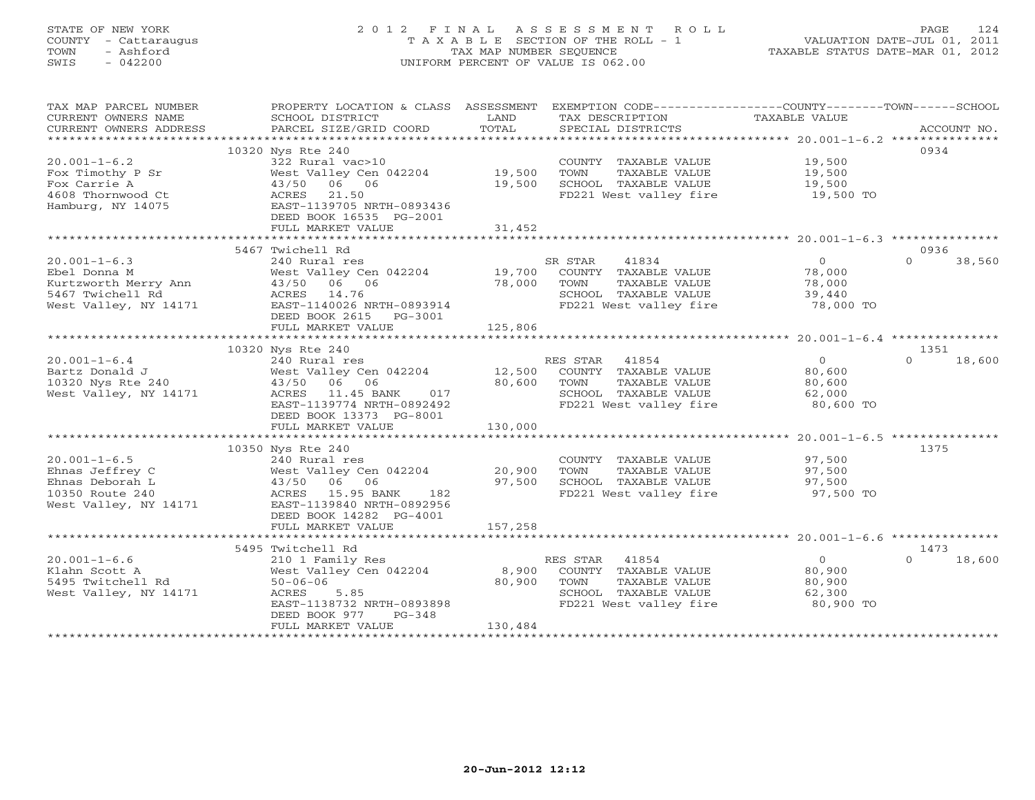## STATE OF NEW YORK 2 0 1 2 F I N A L A S S E S S M E N T R O L L PAGE 124 COUNTY - Cattaraugus T A X A B L E SECTION OF THE ROLL - 1 VALUATION DATE-JUL 01, 2011 TOWN - Ashford TAX MAP NUMBER SEQUENCE TAXABLE STATUS DATE-MAR 01, 2012 SWIS - 042200 UNIFORM PERCENT OF VALUE IS 062.00UNIFORM PERCENT OF VALUE IS 062.00

| TAX MAP PARCEL NUMBER<br>CURRENT OWNERS NAME<br>CURRENT OWNERS ADDRESS | PROPERTY LOCATION & CLASS ASSESSMENT<br>SCHOOL DISTRICT<br>PARCEL SIZE/GRID COORD              | LAND<br>TOTAL | TAX DESCRIPTION<br>SPECIAL DISTRICTS           | EXEMPTION CODE-----------------COUNTY-------TOWN-----SCHOOL<br>TAXABLE VALUE | ACCOUNT NO. |
|------------------------------------------------------------------------|------------------------------------------------------------------------------------------------|---------------|------------------------------------------------|------------------------------------------------------------------------------|-------------|
|                                                                        |                                                                                                |               |                                                |                                                                              |             |
|                                                                        | 10320 Nys Rte 240                                                                              |               |                                                | 0934                                                                         |             |
| $20.001 - 1 - 6.2$                                                     | 322 Rural vac>10                                                                               |               | COUNTY TAXABLE VALUE 19,500                    |                                                                              |             |
| Fox Timothy P Sr                                                       | West Valley Cen 042204 19,500                                                                  |               | TOWN<br>TAXABLE VALUE                          | 19,500                                                                       |             |
| Fox Carrie A                                                           | 43/50 06 06                                                                                    | 19,500        | SCHOOL TAXABLE VALUE                           | 19,500                                                                       |             |
| 4608 Thornwood Ct                                                      | ACRES 21.50                                                                                    |               | FD221 West valley fire 19,500 TO               |                                                                              |             |
| Hamburg, NY 14075                                                      | EAST-1139705 NRTH-0893436                                                                      |               |                                                |                                                                              |             |
|                                                                        | DEED BOOK 16535 PG-2001                                                                        |               |                                                |                                                                              |             |
|                                                                        | FULL MARKET VALUE                                                                              | 31,452        |                                                |                                                                              |             |
|                                                                        | 5467 Twichell Rd                                                                               |               |                                                | 0936                                                                         |             |
| $20.001 - 1 - 6.3$                                                     | 240 Rural res                                                                                  |               | SR STAR<br>41834                               | $\overline{0}$<br>$\Omega$                                                   | 38,560      |
|                                                                        |                                                                                                |               |                                                |                                                                              |             |
|                                                                        | West Valley Cen 042204 19,700 COUNTY TAXABLE VALUE<br>43/50 06 06 10 78,000 TOWN TAXABLE VALUE |               |                                                | 78,000<br>78,000                                                             |             |
|                                                                        |                                                                                                |               |                                                | 39,440                                                                       |             |
|                                                                        |                                                                                                |               | SCHOOL TAXABLE VALUE<br>FD221 West valley fire | $78,000$ TO                                                                  |             |
|                                                                        | DEED BOOK 2615 PG-3001                                                                         |               |                                                |                                                                              |             |
|                                                                        | FULL MARKET VALUE                                                                              | 125,806       |                                                |                                                                              |             |
|                                                                        |                                                                                                |               |                                                |                                                                              |             |
|                                                                        | 10320 Nys Rte 240                                                                              |               |                                                | 1351                                                                         |             |
| $20.001 - 1 - 6.4$                                                     |                                                                                                |               | RES STAR 41854                                 | $\overline{0}$<br>$\Omega$                                                   | 18,600      |
|                                                                        | 240 Rural res R.<br>West Valley Cen 042204 12,500                                              |               | COUNTY TAXABLE VALUE                           | 80,600                                                                       |             |
|                                                                        |                                                                                                | 80,600        | TOWN<br>TAXABLE VALUE                          | 80,600                                                                       |             |
| West Valley, NY 14171                                                  | ACRES 11.45 BANK 017                                                                           |               | SCHOOL TAXABLE VALUE                           | 62,000                                                                       |             |
|                                                                        | EAST-1139774 NRTH-0892492                                                                      |               | FD221 West valley fire 80,600 TO               |                                                                              |             |
|                                                                        | DEED BOOK 13373 PG-8001                                                                        |               |                                                |                                                                              |             |
|                                                                        | FULL MARKET VALUE                                                                              | 130,000       |                                                |                                                                              |             |
|                                                                        |                                                                                                |               |                                                |                                                                              |             |
|                                                                        | 10350 Nys Rte 240                                                                              |               |                                                | 1375                                                                         |             |
| $20.001 - 1 - 6.5$                                                     | 240 Rural res                                                                                  |               | COUNTY TAXABLE VALUE                           | 97,500                                                                       |             |
| Ehnas Jeffrey C                                                        | West Valley Cen 042204 20,900                                                                  |               | TOWN<br>TAXABLE VALUE                          | 97,500                                                                       |             |
| Ehnas Deborah L                                                        |                                                                                                | 97,500        | SCHOOL TAXABLE VALUE                           | 97,500                                                                       |             |
| 10350 Route 240                                                        | West Valley Company<br>43/50 06 06<br>ACRES 15.95 BANK<br>-------1139840 NRTH-0<br>182         |               | FD221 West valley fire                         | 97,500 TO                                                                    |             |
| West Valley, NY 14171                                                  | EAST-1139840 NRTH-0892956                                                                      |               |                                                |                                                                              |             |
|                                                                        | DEED BOOK 14282 PG-4001                                                                        |               |                                                |                                                                              |             |
|                                                                        | FULL MARKET VALUE                                                                              | 157,258       |                                                |                                                                              |             |
|                                                                        |                                                                                                |               |                                                |                                                                              |             |
|                                                                        | 5495 Twitchell Rd                                                                              |               |                                                | 1473                                                                         |             |
| $20.001 - 1 - 6.6$                                                     | 210 1 Family Res                                                                               |               | RES STAR 41854                                 | $\overline{0}$<br>$\Omega$                                                   | 18,600      |
| Klahn Scott A                                                          | West Valley Cen 042204                                                                         | 8,900         | COUNTY TAXABLE VALUE                           | 80,900                                                                       |             |
| 5495 Twitchell Rd                                                      | $50 - 06 - 06$                                                                                 | 80,900        | TOWN<br>TAXABLE VALUE                          | 80,900                                                                       |             |
| West Valley, NY 14171                                                  | 5.85<br>ACRES<br>ACRES 3.85<br>EAST-1138732 NRTH-0893898                                       |               | SCHOOL TAXABLE VALUE                           | 62,300                                                                       |             |
|                                                                        |                                                                                                |               | FD221 West valley fire                         | 80,900 TO                                                                    |             |
|                                                                        | DEED BOOK 977<br>$PG-348$<br>FULL MARKET VALUE                                                 | 130,484       |                                                |                                                                              |             |
|                                                                        |                                                                                                |               |                                                |                                                                              |             |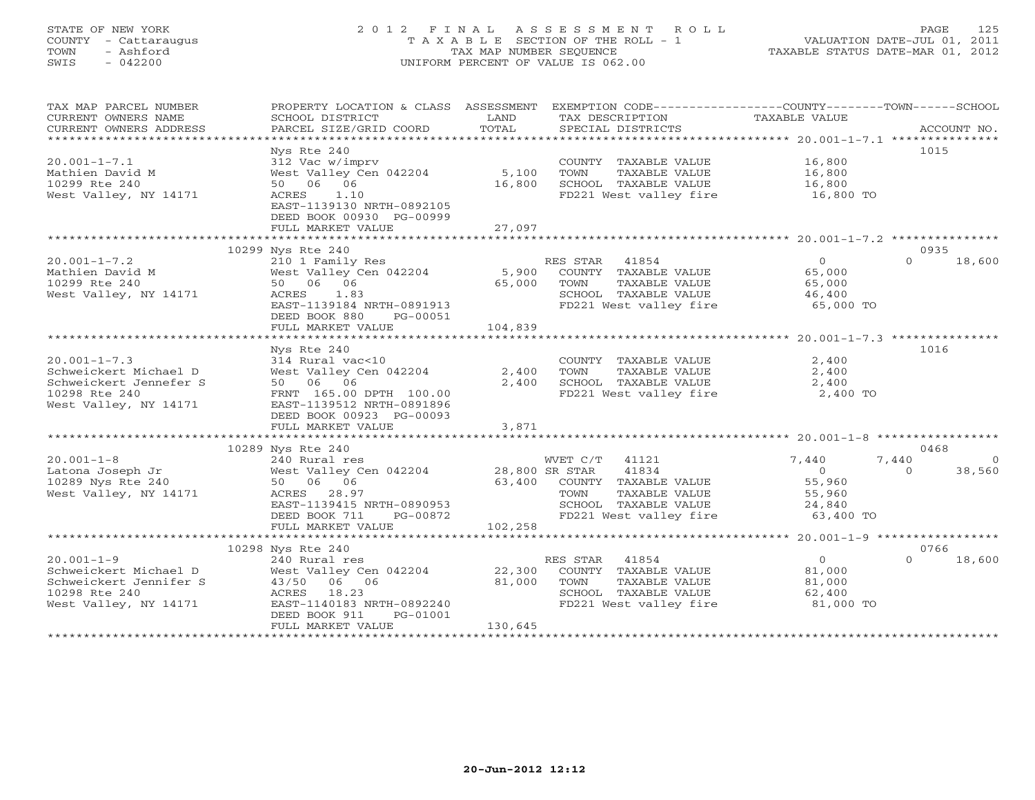## STATE OF NEW YORK 2 0 1 2 F I N A L A S S E S S M E N T R O L L PAGE 125 COUNTY - Cattaraugus T A X A B L E SECTION OF THE ROLL - 1 VALUATION DATE-JUL 01, 2011 TOWN - Ashford TAX MAP NUMBER SEQUENCE TAXABLE STATUS DATE-MAR 01, 2012 SWIS - 042200 UNIFORM PERCENT OF VALUE IS 062.00UNIFORM PERCENT OF VALUE IS 062.00

| TAX MAP PARCEL NUMBER                                                                                                                              | PROPERTY LOCATION & CLASS ASSESSMENT EXEMPTION CODE----------------COUNTY-------TOWN------SCHOOL |         |                                                                 |                         |                                 |
|----------------------------------------------------------------------------------------------------------------------------------------------------|--------------------------------------------------------------------------------------------------|---------|-----------------------------------------------------------------|-------------------------|---------------------------------|
| CURRENT OWNERS NAME                                                                                                                                | SCHOOL DISTRICT                                                                                  | LAND    | TAX DESCRIPTION                                                 | TAXABLE VALUE           |                                 |
|                                                                                                                                                    |                                                                                                  |         |                                                                 |                         |                                 |
|                                                                                                                                                    | Nys Rte 240                                                                                      |         |                                                                 |                         | 1015                            |
| $20.001 - 1 - 7.1$                                                                                                                                 | 312 Vac w/imprv                                                                                  |         | COUNTY TAXABLE VALUE 16,800                                     |                         |                                 |
| Mathien David M                                                                                                                                    | West Valley Cen 042204                                                                           | 5,100   | TOWN                                                            |                         |                                 |
| 10299 Rte 240                                                                                                                                      | 50 06 06                                                                                         | 16,800  | SCHOOL TAXABLE VALUE                                            |                         |                                 |
| West Valley, NY 14171                                                                                                                              | ACRES 1.10                                                                                       |         | FD221 West valley fire 16,800 TO                                |                         |                                 |
|                                                                                                                                                    | EAST-1139130 NRTH-0892105                                                                        |         |                                                                 |                         |                                 |
|                                                                                                                                                    | DEED BOOK 00930 PG-00999                                                                         |         |                                                                 |                         |                                 |
|                                                                                                                                                    | FULL MARKET VALUE                                                                                | 27,097  |                                                                 |                         |                                 |
|                                                                                                                                                    |                                                                                                  |         |                                                                 |                         |                                 |
|                                                                                                                                                    | 10299 Nys Rte 240                                                                                |         |                                                                 |                         | 0935                            |
| $20.001 - 1 - 7.2$                                                                                                                                 | 210 1 Family Res                                                                                 |         | RES STAR 41854<br>5,900 COUNTY TAXABLE VALUE                    | $\sim$ 0                | $\Omega$<br>18,600              |
| 210 1 Family<br>West Valley C<br>50 06 06<br>Mathien David M<br>10299 Rte 240                                                                      | West Valley Cen 042204                                                                           | 65,000  | TAXABLE VALUE                                                   | 65,000<br>65,000        |                                 |
|                                                                                                                                                    | ACRES 1.83                                                                                       |         | TOWN                                                            |                         |                                 |
| West Valley, NY 14171                                                                                                                              | EAST-1139184 NRTH-0891913                                                                        |         | SCHOOL TAXABLE VALUE 46,400<br>FD221 West valley fire 65,000 TO |                         |                                 |
|                                                                                                                                                    | DEED BOOK 880<br>PG-00051                                                                        |         |                                                                 |                         |                                 |
|                                                                                                                                                    | FULL MARKET VALUE                                                                                | 104,839 |                                                                 |                         |                                 |
|                                                                                                                                                    |                                                                                                  |         |                                                                 |                         |                                 |
|                                                                                                                                                    | Nys Rte 240                                                                                      |         |                                                                 |                         | 1016                            |
| $20.001 - 1 - 7.3$                                                                                                                                 | 314 Rural vac<10<br>West Valley Cen 042204<br>50 06 06                                           |         | COUNTY TAXABLE VALUE                                            | 2,400                   |                                 |
|                                                                                                                                                    |                                                                                                  | 2,400   | TOWN<br>TAXABLE VALUE                                           | 2,400                   |                                 |
|                                                                                                                                                    |                                                                                                  | 2,400   | SCHOOL TAXABLE VALUE                                            | 2,400                   |                                 |
| 20.001-1-7.3 314 Rural vac<br>Schweickert Michael D West Valley C<br>Schweickert Jennefer S 50 06 06<br>10298 Rte 240 FRNT 165.00<br>10298 Rte 240 | FRNT 165.00 DPTH 100.00                                                                          |         | FD221 West valley fire 2,400 TO                                 |                         |                                 |
| West Valley, NY 14171                                                                                                                              | EAST-1139512 NRTH-0891896                                                                        |         |                                                                 |                         |                                 |
|                                                                                                                                                    | DEED BOOK 00923 PG-00093                                                                         |         |                                                                 |                         |                                 |
|                                                                                                                                                    | FULL MARKET VALUE                                                                                | 3,871   |                                                                 |                         |                                 |
|                                                                                                                                                    |                                                                                                  |         |                                                                 |                         |                                 |
|                                                                                                                                                    |                                                                                                  |         |                                                                 |                         | 0468<br>7,440<br>$\overline{0}$ |
|                                                                                                                                                    |                                                                                                  |         |                                                                 | 7,440<br>$\overline{0}$ | $\Omega$<br>38,560              |
|                                                                                                                                                    |                                                                                                  |         | 63,400 COUNTY TAXABLE VALUE                                     | 55,960                  |                                 |
| West Valley, NY 14171                                                                                                                              | ACRES 28.97                                                                                      |         | TAXABLE VALUE                                                   | 55,960                  |                                 |
|                                                                                                                                                    |                                                                                                  |         | SCHOOL TAXABLE VALUE 24,840                                     |                         |                                 |
|                                                                                                                                                    | EAST-1139415 NRTH-0890953<br>DEED BOOK 711 PG-00872<br>DEED BOOK 711<br>PG-00872                 |         | FD221 West valley fire                                          | 63,400 TO               |                                 |
|                                                                                                                                                    | FULL MARKET VALUE                                                                                | 102,258 |                                                                 |                         |                                 |
|                                                                                                                                                    |                                                                                                  |         |                                                                 |                         |                                 |
|                                                                                                                                                    | 10298 Nys Rte 240                                                                                |         |                                                                 |                         | 0766                            |
| $20.001 - 1 - 9$                                                                                                                                   | 240 Rural res<br>240 Rural res<br>West Valley Cen 042204 22,300<br>43/50 06 06 81,000            |         | RES STAR 41854                                                  | $\overline{0}$          | $\Omega$<br>18,600              |
| Schweickert Michael D                                                                                                                              |                                                                                                  |         | COUNTY TAXABLE VALUE                                            | 81,000                  |                                 |
| Schweickert Jennifer S                                                                                                                             |                                                                                                  | 81,000  | TAXABLE VALUE<br>TOWN                                           | 81,000<br>62,400        |                                 |
| 10298 Rte 240                                                                                                                                      | ACRES 18.23                                                                                      |         | SCHOOL TAXABLE VALUE                                            |                         |                                 |
| West Valley, NY 14171                                                                                                                              | EAST-1140183 NRTH-0892240                                                                        |         | FD221 West valley fire 81,000 TO                                |                         |                                 |
|                                                                                                                                                    | DEED BOOK 911<br>PG-01001                                                                        |         |                                                                 |                         |                                 |
|                                                                                                                                                    | FULL MARKET VALUE                                                                                | 130,645 |                                                                 |                         |                                 |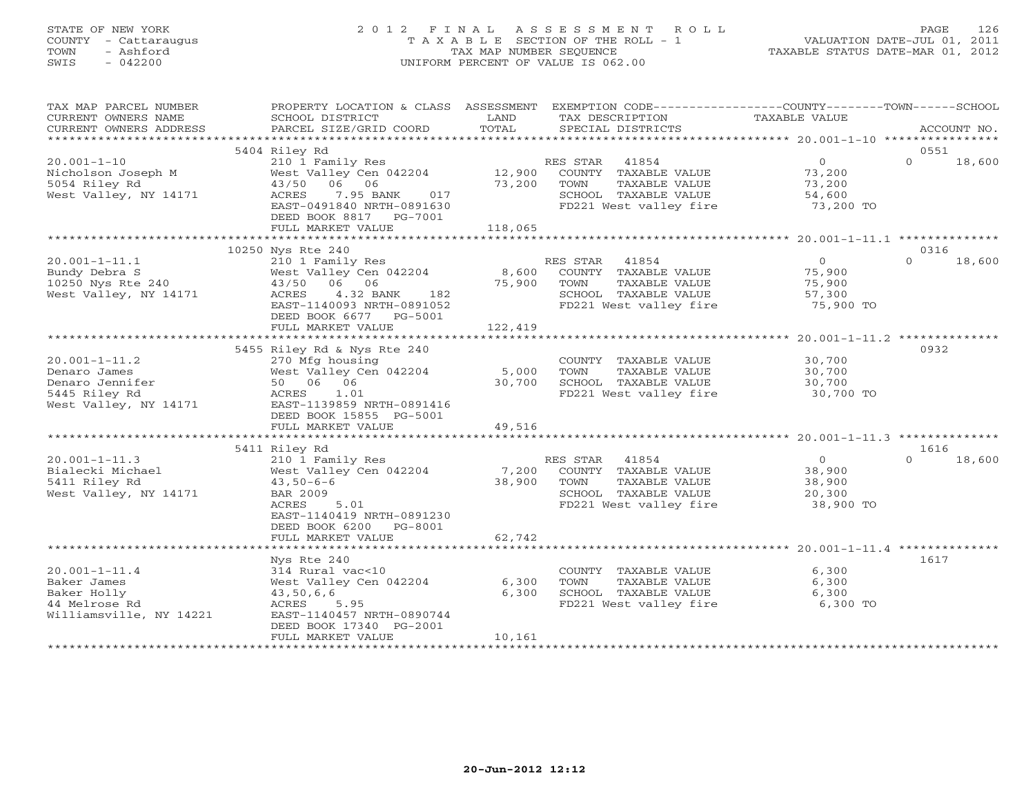## STATE OF NEW YORK 2 0 1 2 F I N A L A S S E S S M E N T R O L L PAGE 126 COUNTY - Cattaraugus T A X A B L E SECTION OF THE ROLL - 1 VALUATION DATE-JUL 01, 2011 TOWN - Ashford TAX MAP NUMBER SEQUENCE TAXABLE STATUS DATE-MAR 01, 2012 SWIS - 042200 UNIFORM PERCENT OF VALUE IS 062.00UNIFORM PERCENT OF VALUE IS 062.00

| TAX MAP PARCEL NUMBER                                                             | PROPERTY LOCATION & CLASS ASSESSMENT EXEMPTION CODE----------------COUNTY-------TOWN------SCHOOL                                                                                                                                                                                                                                                       |             |                                                                                                                                                 |                |          |               |
|-----------------------------------------------------------------------------------|--------------------------------------------------------------------------------------------------------------------------------------------------------------------------------------------------------------------------------------------------------------------------------------------------------------------------------------------------------|-------------|-------------------------------------------------------------------------------------------------------------------------------------------------|----------------|----------|---------------|
|                                                                                   |                                                                                                                                                                                                                                                                                                                                                        |             |                                                                                                                                                 |                |          |               |
|                                                                                   |                                                                                                                                                                                                                                                                                                                                                        |             |                                                                                                                                                 |                |          |               |
|                                                                                   |                                                                                                                                                                                                                                                                                                                                                        |             |                                                                                                                                                 |                |          |               |
|                                                                                   | 5404 Riley Rd                                                                                                                                                                                                                                                                                                                                          |             |                                                                                                                                                 |                | 0551     |               |
| $20.001 - 1 - 10$<br>Nicholson Joseph M<br>5054 Riley Rd<br>West Valley, NY 14171 | RILey Ka<br>210 1 Family Res<br>West Valley Cen 042204 12,900 COUNTY TAXABLE VALUE<br>43/50 06 06 73,200 TOWN TAXABLE VALUE<br>ACRES 7.95 BANK 017 5CHOOL TAXABLE VALUE<br>EAST-0491840 NRTH-0891630 FD221 West valley fire                                                                                                                            |             | RES STAR 41854 0<br>COUNTY TAXABLE VALUE 73,200<br>TOWN TAXABLE VALUE 73,200<br>SCHOOL TAXABLE VALUE 73,200<br>FD221 West valley fire 73,200 TO |                | $\Omega$ | 18,600        |
|                                                                                   |                                                                                                                                                                                                                                                                                                                                                        |             |                                                                                                                                                 |                |          |               |
|                                                                                   |                                                                                                                                                                                                                                                                                                                                                        |             |                                                                                                                                                 |                |          |               |
|                                                                                   |                                                                                                                                                                                                                                                                                                                                                        |             |                                                                                                                                                 |                |          |               |
|                                                                                   |                                                                                                                                                                                                                                                                                                                                                        |             |                                                                                                                                                 |                |          |               |
|                                                                                   | DEED BOOK 8817 PG-7001<br>FULL MARKET VALUE                                                                                                                                                                                                                                                                                                            | 118,065     |                                                                                                                                                 |                |          |               |
|                                                                                   |                                                                                                                                                                                                                                                                                                                                                        |             |                                                                                                                                                 |                |          |               |
|                                                                                   | 10250 Nys Rte 240                                                                                                                                                                                                                                                                                                                                      |             |                                                                                                                                                 |                | 0316     |               |
|                                                                                   | $\begin{tabular}{lllllllllll} 20.001-1-11.1 & 10250 NyS~\text{NCE} & 2101 Family Res & 0 & 0 & 18,600 \\ \text{Bundy Debra S & 0 & 0 & 18,600 \\ \text{Bundy Debra S} & 0 & 0 & 18,600 \\ \text{NyS Rte 240 & 43/50 06 & 06 & 080 \\ \text{West Valley, NY 14171 & 20251 NyS Rte 240 & 43/5 & 432 BANK & 182 \\ \text{West Valley, NY 14171 & 20251 N$ |             |                                                                                                                                                 | $\overline{0}$ |          |               |
|                                                                                   |                                                                                                                                                                                                                                                                                                                                                        |             |                                                                                                                                                 |                |          |               |
|                                                                                   |                                                                                                                                                                                                                                                                                                                                                        |             |                                                                                                                                                 |                |          |               |
|                                                                                   |                                                                                                                                                                                                                                                                                                                                                        |             |                                                                                                                                                 |                |          |               |
|                                                                                   |                                                                                                                                                                                                                                                                                                                                                        |             |                                                                                                                                                 |                |          |               |
|                                                                                   |                                                                                                                                                                                                                                                                                                                                                        |             |                                                                                                                                                 |                |          |               |
|                                                                                   |                                                                                                                                                                                                                                                                                                                                                        |             |                                                                                                                                                 |                |          |               |
|                                                                                   |                                                                                                                                                                                                                                                                                                                                                        |             |                                                                                                                                                 |                |          |               |
|                                                                                   | 5455 Riley Rd & Nys Rte 240                                                                                                                                                                                                                                                                                                                            |             |                                                                                                                                                 |                | 0932     |               |
| $20.001 - 1 - 11.2$                                                               | 270 Mfg housing                                                                                                                                                                                                                                                                                                                                        |             | COUNTY TAXABLE VALUE 30,700                                                                                                                     |                |          |               |
|                                                                                   |                                                                                                                                                                                                                                                                                                                                                        |             | TAXABLE VALUE<br>TOWN                                                                                                                           | 30,700         |          |               |
|                                                                                   |                                                                                                                                                                                                                                                                                                                                                        |             | SCHOOL TAXABLE VALUE                                                                                                                            | 30,700         |          |               |
|                                                                                   |                                                                                                                                                                                                                                                                                                                                                        |             | FD221 West valley fire                                                                                                                          | 30,700 TO      |          |               |
|                                                                                   | 20.001-1-11.2 270 Mfg housing<br>Denaro James West Valley Cen 042204 5,000<br>Denaro Jennifer 50 06 06 30,700<br>5445 Riley Rd ACRES 1.01<br>West Valley, NY 14171 EAST-1139859 NRTH-0891416                                                                                                                                                           |             |                                                                                                                                                 |                |          |               |
|                                                                                   | DEED BOOK 15855 PG-5001                                                                                                                                                                                                                                                                                                                                |             |                                                                                                                                                 |                |          |               |
|                                                                                   | FULL MARKET VALUE 49,516                                                                                                                                                                                                                                                                                                                               |             |                                                                                                                                                 |                |          |               |
|                                                                                   |                                                                                                                                                                                                                                                                                                                                                        |             |                                                                                                                                                 |                |          |               |
|                                                                                   | 5411 Riley Rd                                                                                                                                                                                                                                                                                                                                          |             |                                                                                                                                                 |                | 1616     |               |
| $20.001 - 1 - 11.3$                                                               | 210 1 Family Res<br>210 1 Family Res RES STAR 41854<br>West Valley Cen 042204 7,200 COUNTY TAXABLE VALUE 38,900                                                                                                                                                                                                                                        |             |                                                                                                                                                 |                |          | $0 \t 18,600$ |
| Bialecki Michael                                                                  |                                                                                                                                                                                                                                                                                                                                                        |             |                                                                                                                                                 |                |          |               |
| 5411 Riley Rd                                                                     |                                                                                                                                                                                                                                                                                                                                                        | 38,900 TOWN | TAXABLE VALUE                                                                                                                                   | 38,900         |          |               |
| West Valley, NY 14171                                                             |                                                                                                                                                                                                                                                                                                                                                        |             |                                                                                                                                                 |                |          |               |
|                                                                                   | $43,50-6-6$<br>BAR 2009<br>ACRES 5.01                                                                                                                                                                                                                                                                                                                  |             | CHOOL TAXABLE VALUE<br>FD221 West valley fire 38,900 TO<br>FD221 West valley fire                                                               |                |          |               |
|                                                                                   | EAST-1140419 NRTH-0891230                                                                                                                                                                                                                                                                                                                              |             |                                                                                                                                                 |                |          |               |
|                                                                                   | DEED BOOK 6200 PG-8001                                                                                                                                                                                                                                                                                                                                 |             |                                                                                                                                                 |                |          |               |
|                                                                                   | FULL MARKET VALUE                                                                                                                                                                                                                                                                                                                                      | 62,742      |                                                                                                                                                 |                |          |               |
|                                                                                   |                                                                                                                                                                                                                                                                                                                                                        |             |                                                                                                                                                 |                |          |               |
|                                                                                   | Nys Rte 240                                                                                                                                                                                                                                                                                                                                            |             |                                                                                                                                                 |                | 1617     |               |
| $20.001 - 1 - 11.4$                                                               | 314 Rural vac<10                                                                                                                                                                                                                                                                                                                                       |             | COUNTY TAXABLE VALUE                                                                                                                            | 6,300          |          |               |
| Baker James                                                                       | West Valley Cen 042204 6,300                                                                                                                                                                                                                                                                                                                           |             | TAXABLE VALUE<br>TOWN                                                                                                                           | 6,300          |          |               |
| Baker Holly                                                                       | 43,50,6,6                                                                                                                                                                                                                                                                                                                                              | 6,300       | SCHOOL TAXABLE VALUE 6,300<br>FD221 West valley fire 6,300 TO                                                                                   |                |          |               |
| 44 Melrose Rd                                                                     | ACRES 5.95                                                                                                                                                                                                                                                                                                                                             |             |                                                                                                                                                 |                |          |               |
| Williamsville, NY 14221                                                           | EAST-1140457 NRTH-0890744                                                                                                                                                                                                                                                                                                                              |             |                                                                                                                                                 |                |          |               |
|                                                                                   | DEED BOOK 17340 PG-2001                                                                                                                                                                                                                                                                                                                                |             |                                                                                                                                                 |                |          |               |
|                                                                                   | FULL MARKET VALUE                                                                                                                                                                                                                                                                                                                                      | 10,161      |                                                                                                                                                 |                |          |               |
|                                                                                   |                                                                                                                                                                                                                                                                                                                                                        |             |                                                                                                                                                 |                |          |               |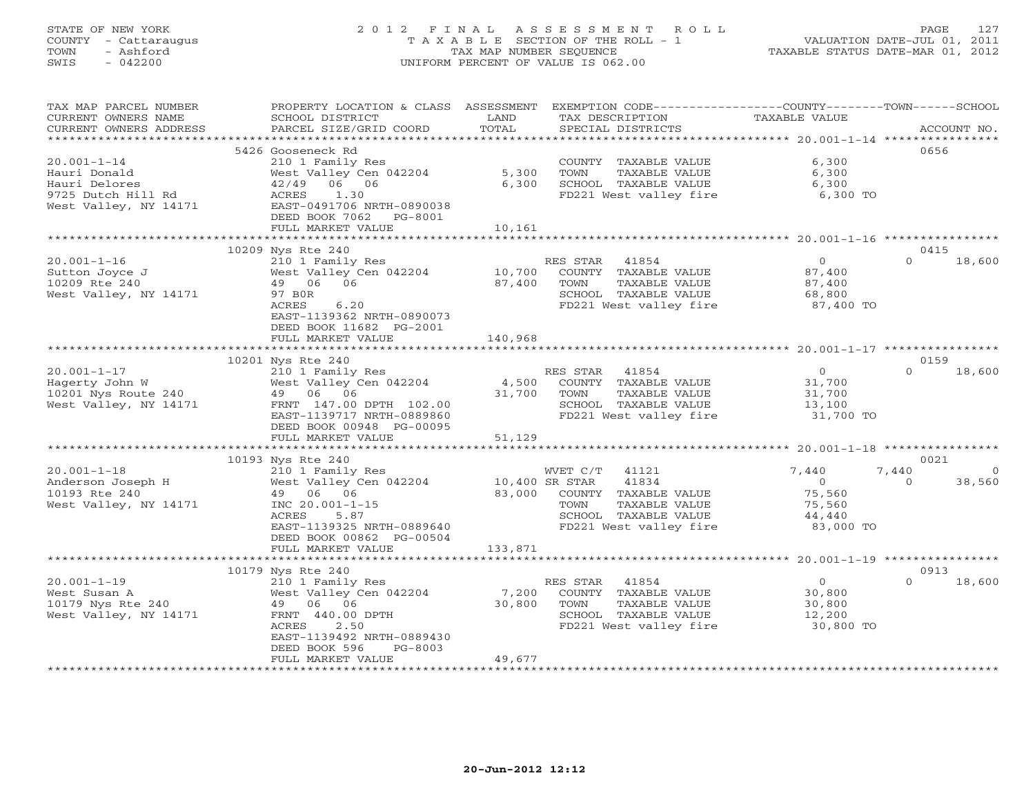## STATE OF NEW YORK 2 0 1 2 F I N A L A S S E S S M E N T R O L L PAGE 127 COUNTY - Cattaraugus T A X A B L E SECTION OF THE ROLL - 1 VALUATION DATE-JUL 01, 2011 TOWN - Ashford TAX MAP NUMBER SEQUENCE TAXABLE STATUS DATE-MAR 01, 2012 SWIS - 042200 UNIFORM PERCENT OF VALUE IS 062.00UNIFORM PERCENT OF VALUE IS 062.00

| TAX MAP PARCEL NUMBER<br>CURRENT OWNERS NAME<br>CURRENT OWNERS ADDRESS | PROPERTY LOCATION & CLASS ASSESSMENT<br>SCHOOL DISTRICT<br>PARCEL SIZE/GRID COORD | LAND<br>TOTAL              | EXEMPTION CODE----------------COUNTY-------TOWN------SCHOOL<br>TAX DESCRIPTION<br>SPECIAL DISTRICTS | TAXABLE VALUE          | ACCOUNT NO.        |
|------------------------------------------------------------------------|-----------------------------------------------------------------------------------|----------------------------|-----------------------------------------------------------------------------------------------------|------------------------|--------------------|
| ***********************                                                |                                                                                   |                            |                                                                                                     |                        |                    |
|                                                                        | 5426 Gooseneck Rd                                                                 |                            |                                                                                                     |                        | 0656               |
| $20.001 - 1 - 14$                                                      | 210 1 Family Res                                                                  |                            | COUNTY TAXABLE VALUE                                                                                | 6,300                  |                    |
| Hauri Donald                                                           | West Valley Cen 042204                                                            | 5,300                      | TAXABLE VALUE<br>TOWN                                                                               | 6,300                  |                    |
| Hauri Delores                                                          | 42/49 06 06                                                                       | 6,300                      | SCHOOL TAXABLE VALUE                                                                                | 6,300                  |                    |
| 9725 Dutch Hill Rd                                                     | 1.30<br>ACRES                                                                     |                            | FD221 West valley fire                                                                              | 6,300 TO               |                    |
| West Valley, NY 14171                                                  | EAST-0491706 NRTH-0890038                                                         |                            |                                                                                                     |                        |                    |
|                                                                        | DEED BOOK 7062 PG-8001                                                            |                            |                                                                                                     |                        |                    |
|                                                                        | FULL MARKET VALUE                                                                 | 10,161                     |                                                                                                     |                        |                    |
|                                                                        |                                                                                   |                            |                                                                                                     |                        |                    |
|                                                                        | 10209 Nys Rte 240                                                                 |                            |                                                                                                     |                        | 0415               |
| $20.001 - 1 - 16$                                                      | 210 1 Family Res                                                                  |                            | RES STAR<br>41854                                                                                   | $\overline{0}$         | $\Omega$<br>18,600 |
| Sutton Joyce J                                                         | West Valley Cen 042204 10,700                                                     |                            | COUNTY TAXABLE VALUE                                                                                | 87,400                 |                    |
| 10209 Rte 240                                                          | 49 06 06                                                                          | 87,400                     | TOWN<br>TAXABLE VALUE                                                                               | 87,400                 |                    |
| West Valley, NY 14171                                                  | 97 BOR                                                                            |                            | SCHOOL TAXABLE VALUE                                                                                | 68,800<br>87,400 TO    |                    |
|                                                                        | ACRES<br>6.20                                                                     |                            | FD221 West valley fire                                                                              |                        |                    |
|                                                                        | EAST-1139362 NRTH-0890073                                                         |                            |                                                                                                     |                        |                    |
|                                                                        | DEED BOOK 11682 PG-2001<br>FULL MARKET VALUE                                      | 140,968                    |                                                                                                     |                        |                    |
|                                                                        |                                                                                   |                            |                                                                                                     |                        |                    |
|                                                                        | 10201 Nys Rte 240                                                                 |                            |                                                                                                     |                        | 0159               |
| $20.001 - 1 - 17$                                                      | 210 1 Family Res                                                                  |                            | RES STAR<br>41854                                                                                   | $\overline{O}$         | $\Omega$<br>18,600 |
| Hagerty John W                                                         | West Valley Cen 042204                                                            | 4,500                      | COUNTY TAXABLE VALUE                                                                                | 31,700                 |                    |
| 10201 Nys Route 240                                                    | 49 06 06                                                                          | 31,700                     | TAXABLE VALUE<br>TOWN                                                                               | 31,700                 |                    |
| West Valley, NY 14171                                                  | FRNT 147.00 DPTH 102.00                                                           |                            | SCHOOL TAXABLE VALUE                                                                                | $31, 100$<br>$13, 100$ |                    |
|                                                                        | EAST-1139717 NRTH-0889860                                                         |                            | FD221 West valley fire 31,700 TO                                                                    |                        |                    |
|                                                                        | DEED BOOK 00948 PG-00095                                                          |                            |                                                                                                     |                        |                    |
|                                                                        | FULL MARKET VALUE                                                                 | 51,129                     |                                                                                                     |                        |                    |
|                                                                        |                                                                                   |                            |                                                                                                     |                        |                    |
|                                                                        | 10193 Nys Rte 240                                                                 |                            |                                                                                                     |                        | 0021               |
| $20.001 - 1 - 18$                                                      | 210 1 Family Res                                                                  | WVET C/T<br>10,400 SR STAR | WVET C/T 41121                                                                                      | 7,440                  | 7,440<br>0         |
| Anderson Joseph H                                                      | West Valley Cen 042204                                                            |                            | 41834                                                                                               | $\overline{0}$         | 38,560<br>$\Omega$ |
| 10193 Rte 240                                                          | 49 06 06                                                                          |                            | 83,000 COUNTY TAXABLE VALUE                                                                         | 75,560                 |                    |
| West Valley, NY 14171                                                  | INC 20.001-1-15<br>ACRES<br>5.87                                                  |                            | TAXABLE VALUE<br>TOWN                                                                               | 75,560                 |                    |
|                                                                        | EAST-1139325 NRTH-0889640                                                         |                            | SCHOOL TAXABLE VALUE<br>FD221 West valley fire                                                      | 44,440<br>83,000 TO    |                    |
|                                                                        | DEED BOOK 00862 PG-00504                                                          |                            |                                                                                                     |                        |                    |
|                                                                        | FULL MARKET VALUE                                                                 | 133,871                    |                                                                                                     |                        |                    |
|                                                                        |                                                                                   |                            |                                                                                                     |                        |                    |
|                                                                        | 10179 Nys Rte 240                                                                 |                            |                                                                                                     |                        | 0913               |
| $20.001 - 1 - 19$                                                      | 210 1 Family Res                                                                  |                            | RES STAR 41854                                                                                      | $\overline{0}$         | $\Omega$<br>18,600 |
| west Susan A<br>10179 Nys Rte 240<br>Mari II                           | West Valley Cen 042204                                                            | 7,200                      | COUNTY TAXABLE VALUE                                                                                |                        |                    |
|                                                                        | 49 06 06                                                                          | 30,800                     | TOWN<br>TAXABLE VALUE                                                                               | 30,800<br>30,800       |                    |
| West Valley, NY 14171                                                  | FRNT 440.00 DPTH                                                                  |                            | SCHOOL TAXABLE VALUE                                                                                | 12,200                 |                    |
|                                                                        | ACRES<br>2.50                                                                     |                            | SUNUUL TAXABLE VALUE<br>FD221 West valley fire                                                      | 30,800 TO              |                    |
|                                                                        | EAST-1139492 NRTH-0889430                                                         |                            |                                                                                                     |                        |                    |
|                                                                        | DEED BOOK 596<br>PG-8003                                                          |                            |                                                                                                     |                        |                    |
|                                                                        | FULL MARKET VALUE                                                                 | 49,677                     |                                                                                                     |                        |                    |
|                                                                        |                                                                                   |                            |                                                                                                     |                        |                    |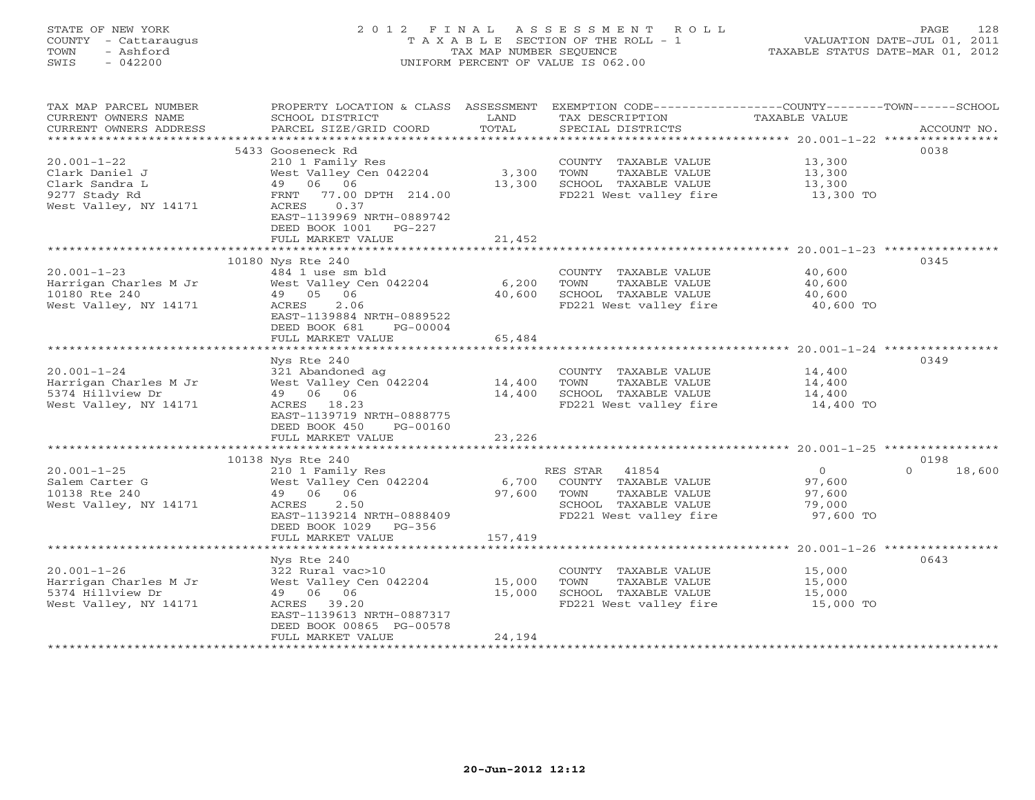## STATE OF NEW YORK 2 0 1 2 F I N A L A S S E S S M E N T R O L L PAGE 128 COUNTY - Cattaraugus T A X A B L E SECTION OF THE ROLL - 1 VALUATION DATE-JUL 01, 2011 TOWN - Ashford TAX MAP NUMBER SEQUENCE TAXABLE STATUS DATE-MAR 01, 2012 SWIS - 042200 UNIFORM PERCENT OF VALUE IS 062.00UNIFORM PERCENT OF VALUE IS 062.00

| TAX MAP PARCEL NUMBER<br>CURRENT OWNERS NAME                                            | PROPERTY LOCATION & CLASS ASSESSMENT<br>SCHOOL DISTRICT                                                                                            | LAND                      | EXEMPTION CODE-----------------COUNTY-------TOWN------SCHOOL<br>TAX DESCRIPTION                                      | TAXABLE VALUE                                             |                            |
|-----------------------------------------------------------------------------------------|----------------------------------------------------------------------------------------------------------------------------------------------------|---------------------------|----------------------------------------------------------------------------------------------------------------------|-----------------------------------------------------------|----------------------------|
| CURRENT OWNERS ADDRESS<br>*******************                                           | PARCEL SIZE/GRID COORD                                                                                                                             | TOTAL                     | SPECIAL DISTRICTS                                                                                                    |                                                           | ACCOUNT NO.                |
|                                                                                         | 5433 Gooseneck Rd                                                                                                                                  |                           |                                                                                                                      |                                                           | 0038                       |
| $20.001 - 1 - 22$<br>Clark Daniel J<br>Clark Sandra L<br>9277 Stady Rd                  | 210 1 Family Res<br>West Valley Cen 042204<br>49 06 06<br>FRNT 77.00 DPTH 214.00                                                                   | 3,300<br>13,300           | COUNTY TAXABLE VALUE<br>TOWN<br>TAXABLE VALUE<br>SCHOOL TAXABLE VALUE<br>FD221 West valley fire                      | 13,300<br>13,300<br>13,300<br>13,300 TO                   |                            |
| West Valley, NY 14171                                                                   | 0.37<br>ACRES<br>EAST-1139969 NRTH-0889742<br>DEED BOOK 1001 PG-227<br>FULL MARKET VALUE                                                           | 21,452                    |                                                                                                                      |                                                           |                            |
|                                                                                         |                                                                                                                                                    |                           |                                                                                                                      |                                                           |                            |
| $20.001 - 1 - 23$<br>Harrigan Charles M Jr<br>10180 Rte 240<br>West Valley, NY 14171    | 10180 Nys Rte 240<br>484 1 use sm bld<br>West Valley Cen 042204<br>49 05 06<br>ACRES<br>2.06<br>EAST-1139884 NRTH-0889522                          | 6,200<br>40,600           | COUNTY TAXABLE VALUE<br>TOWN<br>TAXABLE VALUE<br>SCHOOL TAXABLE VALUE<br>FD221 West valley fire                      | 40,600<br>40,600<br>40,600<br>40,600 TO                   | 0345                       |
|                                                                                         | DEED BOOK 681<br>PG-00004<br>FULL MARKET VALUE                                                                                                     | 65,484                    |                                                                                                                      | **************** 20.001-1-24 *****************            |                            |
|                                                                                         | Nys Rte 240                                                                                                                                        |                           |                                                                                                                      |                                                           | 0349                       |
| $20.001 - 1 - 24$<br>Harrigan Charles M Jr<br>5374 Hillview Dr<br>West Valley, NY 14171 | 321 Abandoned ag<br>West Valley Cen 042204<br>49 06 06<br>ACRES 18.23<br>EAST-1139719 NRTH-0888775<br>DEED BOOK 450<br>PG-00160                    | 14,400<br>14,400          | COUNTY TAXABLE VALUE<br>TOWN<br>TAXABLE VALUE<br>SCHOOL TAXABLE VALUE<br>FD221 West valley fire                      | 14,400<br>14,400<br>14,400<br>14,400 TO                   |                            |
|                                                                                         | FULL MARKET VALUE                                                                                                                                  | 23,226                    |                                                                                                                      |                                                           |                            |
|                                                                                         |                                                                                                                                                    | * * * * * * * * * * * * * |                                                                                                                      |                                                           |                            |
| $20.001 - 1 - 25$<br>Salem Carter G<br>10138 Rte 240<br>West Valley, NY 14171           | 10138 Nys Rte 240<br>210 1 Family Res<br>West Valley Cen 042204<br>49 06 06<br>2.50<br>ACRES<br>EAST-1139214 NRTH-0888409<br>DEED BOOK 1029 PG-356 | 6,700<br>97,600           | RES STAR<br>41854<br>COUNTY TAXABLE VALUE<br>TOWN<br>TAXABLE VALUE<br>SCHOOL TAXABLE VALUE<br>FD221 West valley fire | $\overline{0}$<br>97,600<br>97,600<br>79,000<br>97,600 TO | 0198<br>18,600<br>$\Omega$ |
|                                                                                         | FULL MARKET VALUE                                                                                                                                  | 157,419                   |                                                                                                                      |                                                           |                            |
|                                                                                         |                                                                                                                                                    |                           |                                                                                                                      |                                                           |                            |
| $20.001 - 1 - 26$<br>Harrigan Charles M Jr<br>5374 Hillview Dr<br>West Valley, NY 14171 | Nys Rte 240<br>322 Rural vac>10<br>West Valley Cen 042204<br>49 06 06<br>ACRES 39.20<br>EAST-1139613 NRTH-0887317<br>DEED BOOK 00865 PG-00578      | 15,000<br>15,000          | COUNTY TAXABLE VALUE<br>TOWN<br>TAXABLE VALUE<br>SCHOOL TAXABLE VALUE<br>FD221 West valley fire                      | 15,000<br>15,000<br>15,000<br>15,000 TO                   | 0643                       |
|                                                                                         | FULL MARKET VALUE                                                                                                                                  | 24,194                    |                                                                                                                      |                                                           |                            |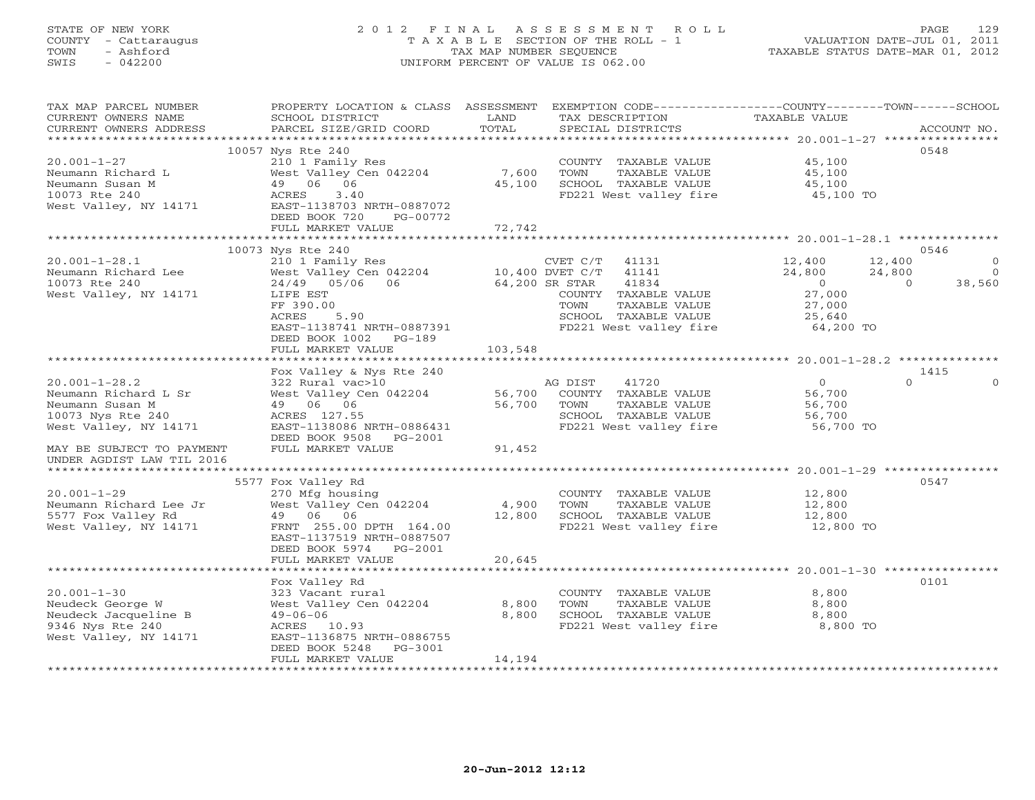## STATE OF NEW YORK 2 0 1 2 F I N A L A S S E S S M E N T R O L L PAGE 129 COUNTY - Cattaraugus T A X A B L E SECTION OF THE ROLL - 1 VALUATION DATE-JUL 01, 2011 TOWN - Ashford TAX MAP NUMBER SEQUENCE TAXABLE STATUS DATE-MAR 01, 2012 SWIS - 042200 UNIFORM PERCENT OF VALUE IS 062.00UNIFORM PERCENT OF VALUE IS 062.00

| TAX MAP PARCEL NUMBER<br>CURRENT OWNERS NAME<br>CURRENT OWNERS ADDRESS               | PROPERTY LOCATION & CLASS ASSESSMENT<br>SCHOOL DISTRICT<br>PARCEL SIZE/GRID COORD                                                                                           | LAND<br>TOTAL   | EXEMPTION CODE-----------------COUNTY-------TOWN------SCHOOL<br>TAX DESCRIPTION<br>SPECIAL DISTRICTS                                                   | TAXABLE VALUE                                                                                     | ACCOUNT NO.                                |
|--------------------------------------------------------------------------------------|-----------------------------------------------------------------------------------------------------------------------------------------------------------------------------|-----------------|--------------------------------------------------------------------------------------------------------------------------------------------------------|---------------------------------------------------------------------------------------------------|--------------------------------------------|
|                                                                                      |                                                                                                                                                                             |                 |                                                                                                                                                        |                                                                                                   |                                            |
| $20.001 - 1 - 27$<br>Neumann Richard L<br>Neumann Susan M                            | 10057 Nys Rte 240<br>210 1 Family Res<br>West Valley Cen 042204<br>49 06 06                                                                                                 | 7,600<br>45,100 | COUNTY TAXABLE VALUE<br>TOWN<br>TAXABLE VALUE<br>SCHOOL TAXABLE VALUE                                                                                  | 45,100<br>45,100<br>45,100                                                                        | 0548                                       |
| 10073 Rte 240<br>West Valley, NY 14171                                               | ACRES<br>3.40<br>EAST-1138703 NRTH-0887072<br>DEED BOOK 720<br>PG-00772<br>FULL MARKET VALUE                                                                                | 72,742          | FD221 West valley fire                                                                                                                                 | 45,100 TO                                                                                         |                                            |
|                                                                                      |                                                                                                                                                                             |                 |                                                                                                                                                        |                                                                                                   |                                            |
|                                                                                      | 10073 Nys Rte 240                                                                                                                                                           |                 |                                                                                                                                                        |                                                                                                   | 0546                                       |
| $20.001 - 1 - 28.1$<br>Neumann Richard Lee<br>10073 Rte 240<br>West Valley, NY 14171 | 210 1 Family Res<br>West Valley Cen 042204<br>24/49 05/06 06 64,200 SR STAR<br>LIFE EST<br>FF 390.00<br>5.90<br>ACRES<br>EAST-1138741 NRTH-0887391<br>DEED BOOK 1002 PG-189 |                 | CVET C/T<br>41131<br>10,400 DVET C/T 41141<br>41834<br>COUNTY TAXABLE VALUE<br>TOWN<br>TAXABLE VALUE<br>SCHOOL TAXABLE VALUE<br>FD221 West valley fire | 12,400<br>12,400<br>24,800<br>24,800<br>$\overline{0}$<br>27,000<br>27,000<br>25,640<br>64,200 TO | $\Omega$<br>$\Omega$<br>38,560<br>$\Omega$ |
|                                                                                      | FULL MARKET VALUE                                                                                                                                                           | 103,548         |                                                                                                                                                        |                                                                                                   |                                            |
|                                                                                      |                                                                                                                                                                             |                 |                                                                                                                                                        |                                                                                                   |                                            |
|                                                                                      | Fox Valley & Nys Rte 240                                                                                                                                                    |                 |                                                                                                                                                        |                                                                                                   | 1415                                       |
| $20.001 - 1 - 28.2$                                                                  | 322 Rural vac>10                                                                                                                                                            |                 | AG DIST<br>41720                                                                                                                                       | $\overline{0}$                                                                                    | $\Omega$<br>$\Omega$                       |
| Neumann Richard L Sr                                                                 | West Valley Cen 042204                                                                                                                                                      | 56,700          | COUNTY TAXABLE VALUE                                                                                                                                   | 56,700                                                                                            |                                            |
| Neumann Susan M                                                                      | 49 06 06                                                                                                                                                                    | 56,700          | TOWN<br>TAXABLE VALUE                                                                                                                                  | 56,700                                                                                            |                                            |
| 10073 Nys Rte 240                                                                    | ACRES 127.55                                                                                                                                                                |                 | SCHOOL TAXABLE VALUE                                                                                                                                   | 56,700                                                                                            |                                            |
| West Valley, NY 14171                                                                | EAST-1138086 NRTH-0886431<br>DEED BOOK 9508 PG-2001                                                                                                                         |                 | FD221 West valley fire                                                                                                                                 | 56,700 TO                                                                                         |                                            |
| MAY BE SUBJECT TO PAYMENT<br>UNDER AGDIST LAW TIL 2016                               | FULL MARKET VALUE                                                                                                                                                           | 91,452          |                                                                                                                                                        |                                                                                                   |                                            |
|                                                                                      |                                                                                                                                                                             |                 |                                                                                                                                                        |                                                                                                   |                                            |
|                                                                                      | 5577 Fox Valley Rd                                                                                                                                                          |                 |                                                                                                                                                        |                                                                                                   | 0547                                       |
| $20.001 - 1 - 29$                                                                    | 270 Mfg housing                                                                                                                                                             |                 | COUNTY TAXABLE VALUE                                                                                                                                   | 12,800                                                                                            |                                            |
| Neumann Richard Lee Jr                                                               | West Valley Cen 042204                                                                                                                                                      | 4,900           | TAXABLE VALUE<br>TOWN                                                                                                                                  | 12,800                                                                                            |                                            |
| 5577 Fox Valley Rd                                                                   | 49 06 06                                                                                                                                                                    | 12,800          | SCHOOL TAXABLE VALUE                                                                                                                                   | 12,800                                                                                            |                                            |
| West Valley, NY 14171                                                                | FRNT 255.00 DPTH 164.00<br>EAST-1137519 NRTH-0887507<br>DEED BOOK 5974 PG-2001                                                                                              |                 | FD221 West valley fire                                                                                                                                 | 12,800 TO                                                                                         |                                            |
|                                                                                      | FULL MARKET VALUE                                                                                                                                                           | 20,645          |                                                                                                                                                        |                                                                                                   |                                            |
|                                                                                      |                                                                                                                                                                             |                 |                                                                                                                                                        |                                                                                                   |                                            |
|                                                                                      | Fox Valley Rd                                                                                                                                                               |                 |                                                                                                                                                        |                                                                                                   | 0101                                       |
| $20.001 - 1 - 30$                                                                    | 323 Vacant rural                                                                                                                                                            |                 | COUNTY TAXABLE VALUE                                                                                                                                   | 8,800                                                                                             |                                            |
| Neudeck George W                                                                     | West Valley Cen 042204                                                                                                                                                      | 8,800           | TOWN<br>TAXABLE VALUE                                                                                                                                  | 8,800                                                                                             |                                            |
| Neudeck Jacqueline B                                                                 | $49 - 06 - 06$                                                                                                                                                              | 8,800           | SCHOOL TAXABLE VALUE                                                                                                                                   | 8,800                                                                                             |                                            |
| 9346 Nys Rte 240                                                                     | ACRES 10.93                                                                                                                                                                 |                 | FD221 West valley fire                                                                                                                                 | 8,800 TO                                                                                          |                                            |
| West Valley, NY 14171                                                                | EAST-1136875 NRTH-0886755                                                                                                                                                   |                 |                                                                                                                                                        |                                                                                                   |                                            |
|                                                                                      | DEED BOOK 5248 PG-3001                                                                                                                                                      |                 |                                                                                                                                                        |                                                                                                   |                                            |
|                                                                                      | FULL MARKET VALUE                                                                                                                                                           | 14,194          |                                                                                                                                                        |                                                                                                   |                                            |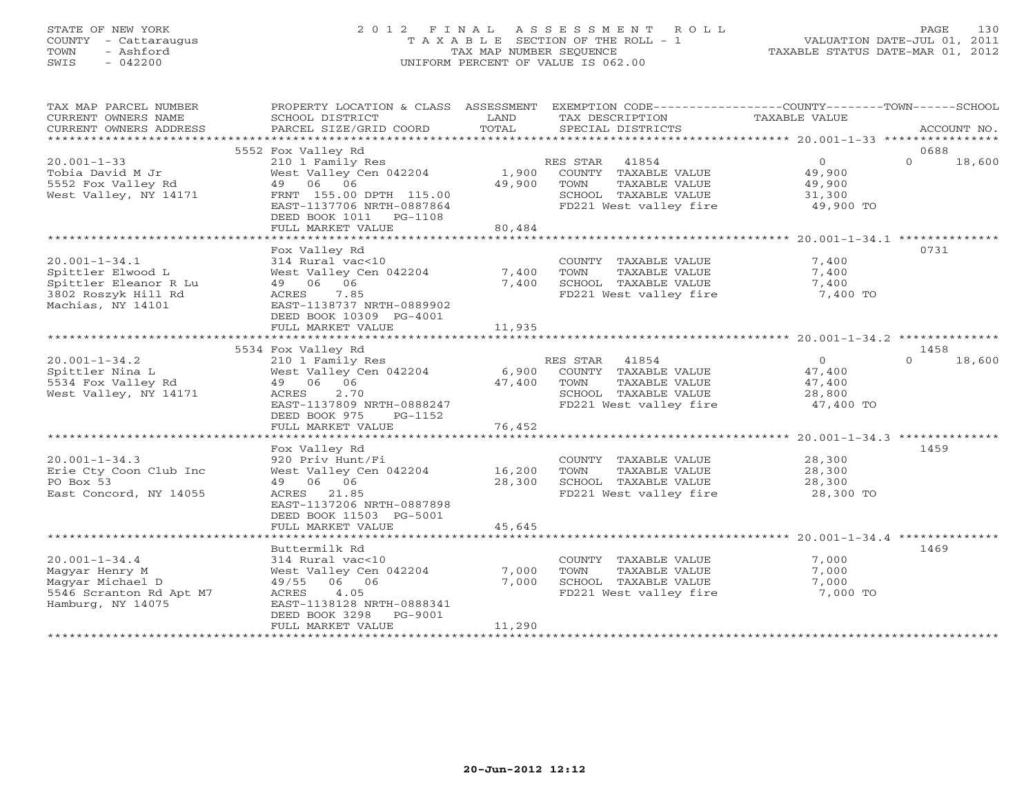## STATE OF NEW YORK 2 0 1 2 F I N A L A S S E S S M E N T R O L L PAGE 130 COUNTY - Cattaraugus T A X A B L E SECTION OF THE ROLL - 1 VALUATION DATE-JUL 01, 2011 TOWN - Ashford TAX MAP NUMBER SEQUENCE TAXABLE STATUS DATE-MAR 01, 2012 SWIS - 042200 UNIFORM PERCENT OF VALUE IS 062.00UNIFORM PERCENT OF VALUE IS 062.00

| TAX MAP PARCEL NUMBER<br>CURRENT OWNERS NAME<br>CURRENT OWNERS ADDRESS<br>***********************             | PROPERTY LOCATION & CLASS ASSESSMENT<br>SCHOOL DISTRICT<br>PARCEL SIZE/GRID COORD                                                                                          | LAND<br>TOTAL              | EXEMPTION CODE-----------------COUNTY-------TOWN------SCHOOL<br>TAX DESCRIPTION<br>SPECIAL DISTRICTS                 | TAXABLE VALUE                                             | ACCOUNT NO.        |
|---------------------------------------------------------------------------------------------------------------|----------------------------------------------------------------------------------------------------------------------------------------------------------------------------|----------------------------|----------------------------------------------------------------------------------------------------------------------|-----------------------------------------------------------|--------------------|
|                                                                                                               | 5552 Fox Valley Rd                                                                                                                                                         |                            |                                                                                                                      |                                                           | 0688               |
| $20.001 - 1 - 33$<br>Tobia David M Jr<br>5552 Fox Valley Rd<br>West Valley, NY 14171                          | 210 1 Family Res<br>West Valley Cen 042204<br>49 06 06<br>FRNT 155.00 DPTH 115.00<br>EAST-1137706 NRTH-0887864<br>DEED BOOK 1011<br>PG-1108<br>FULL MARKET VALUE           | 1,900<br>49,900<br>80,484  | RES STAR 41854<br>COUNTY TAXABLE VALUE<br>TOWN<br>TAXABLE VALUE<br>SCHOOL TAXABLE VALUE<br>FD221 West valley fire    | $\overline{0}$<br>49,900<br>49,900<br>31,300<br>49,900 TO | $\Omega$<br>18,600 |
|                                                                                                               |                                                                                                                                                                            |                            |                                                                                                                      |                                                           |                    |
| $20.001 - 1 - 34.1$<br>Spittler Elwood L<br>Spittler Eleanor R Lu<br>3802 Roszyk Hill Rd<br>Machias, NY 14101 | Fox Valley Rd<br>314 Rural vac<10<br>West Valley Cen 042204<br>49 06 06<br>7.85<br>ACRES<br>EAST-1138737 NRTH-0889902<br>DEED BOOK 10309 PG-4001<br>FULL MARKET VALUE      | 7,400<br>7,400<br>11,935   | COUNTY TAXABLE VALUE<br>TOWN<br>TAXABLE VALUE<br>SCHOOL TAXABLE VALUE<br>FD221 West valley fire                      | 7,400<br>7,400<br>7,400<br>7,400 TO                       | 0731               |
|                                                                                                               | 5534 Fox Valley Rd                                                                                                                                                         |                            |                                                                                                                      |                                                           | 1458               |
| $20.001 - 1 - 34.2$<br>Spittler Nina L<br>5534 Fox Valley Rd<br>West Valley, NY 14171                         | 210 1 Family Res<br>West Valley Cen 042204<br>49 06 06<br>ACRES<br>2.70<br>EAST-1137809 NRTH-0888247<br>DEED BOOK 975<br>PG-1152                                           | 6,900<br>47,400            | RES STAR<br>41854<br>COUNTY TAXABLE VALUE<br>TOWN<br>TAXABLE VALUE<br>SCHOOL TAXABLE VALUE<br>FD221 West valley fire | $\overline{0}$<br>47,400<br>47,400<br>28,800<br>47,400 TO | 18,600<br>$\Omega$ |
|                                                                                                               | FULL MARKET VALUE                                                                                                                                                          | 76,452                     |                                                                                                                      |                                                           |                    |
|                                                                                                               |                                                                                                                                                                            |                            |                                                                                                                      |                                                           |                    |
| $20.001 - 1 - 34.3$<br>Erie Cty Coon Club Inc<br>PO Box 53<br>East Concord, NY 14055                          | Fox Valley Rd<br>920 Priv Hunt/Fi<br>West Valley Cen 042204<br>49 06 06<br>ACRES 21.85<br>EAST-1137206 NRTH-0887898<br>DEED BOOK 11503 PG-5001<br>FULL MARKET VALUE        | 16,200<br>28,300<br>45,645 | COUNTY TAXABLE VALUE<br>TAXABLE VALUE<br>TOWN<br>SCHOOL TAXABLE VALUE<br>FD221 West valley fire                      | 28,300<br>28,300<br>28,300<br>28,300 TO                   | 1459               |
|                                                                                                               |                                                                                                                                                                            |                            |                                                                                                                      |                                                           |                    |
| $20.001 - 1 - 34.4$<br>Maqyar Henry M<br>Magyar Michael D<br>5546 Scranton Rd Apt M7<br>Hamburg, NY 14075     | Buttermilk Rd<br>314 Rural vac<10<br>West Valley Cen 042204<br>49/55 06 06<br>4.05<br>ACRES<br>EAST-1138128 NRTH-0888341<br>DEED BOOK 3298<br>PG-9001<br>FULL MARKET VALUE | 7,000<br>7,000<br>11,290   | COUNTY TAXABLE VALUE<br>TAXABLE VALUE<br>TOWN<br>SCHOOL TAXABLE VALUE<br>FD221 West valley fire                      | 7,000<br>7,000<br>7,000<br>7,000 TO                       | 1469               |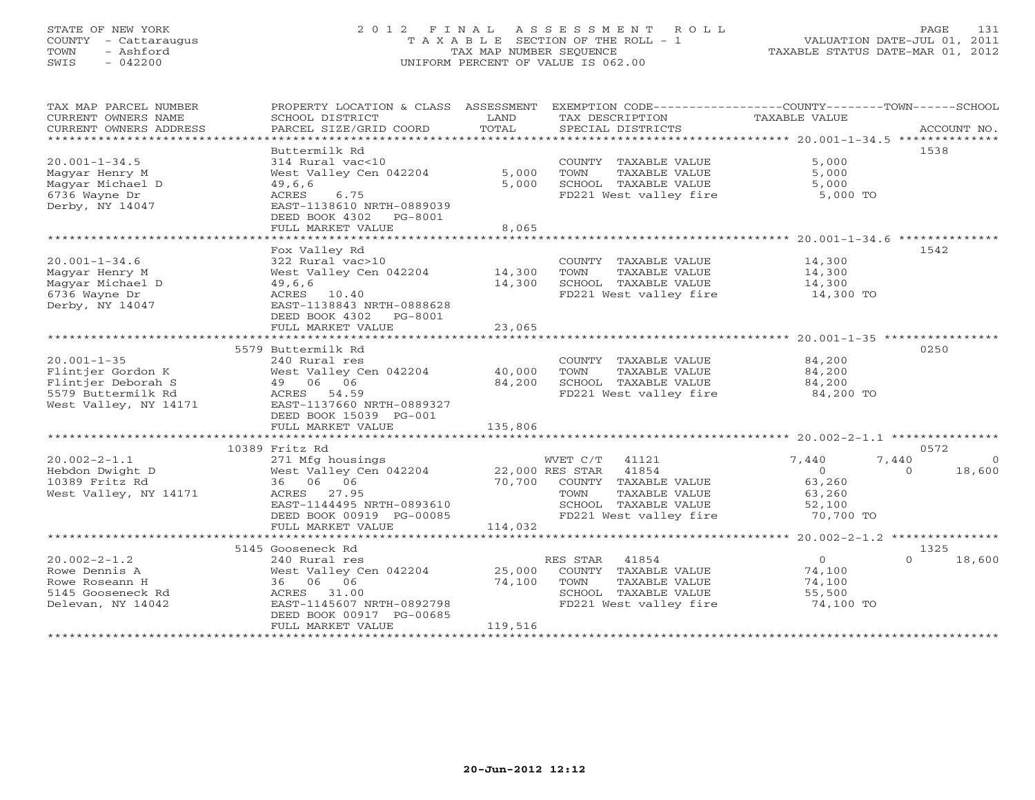## STATE OF NEW YORK 2 0 1 2 F I N A L A S S E S S M E N T R O L L PAGE 131 COUNTY - Cattaraugus T A X A B L E SECTION OF THE ROLL - 1 VALUATION DATE-JUL 01, 2011 TOWN - Ashford TAX MAP NUMBER SEQUENCE TAXABLE STATUS DATE-MAR 01, 2012 SWIS - 042200 UNIFORM PERCENT OF VALUE IS 062.00UNIFORM PERCENT OF VALUE IS 062.00

| TAX MAP PARCEL NUMBER<br>CURRENT OWNERS NAME<br>CURRENT OWNERS ADDRESS | PROPERTY LOCATION & CLASS ASSESSMENT<br>SCHOOL DISTRICT<br>PARCEL SIZE/GRID COORD | LAND<br>TOTAL | EXEMPTION CODE-----------------COUNTY-------TOWN------SCHOOL<br>TAX DESCRIPTION<br>SPECIAL DISTRICTS | TAXABLE VALUE              | ACCOUNT NO. |
|------------------------------------------------------------------------|-----------------------------------------------------------------------------------|---------------|------------------------------------------------------------------------------------------------------|----------------------------|-------------|
|                                                                        |                                                                                   |               |                                                                                                      |                            |             |
|                                                                        | Buttermilk Rd                                                                     |               |                                                                                                      |                            | 1538        |
| $20.001 - 1 - 34.5$                                                    | 314 Rural vac<10                                                                  |               | COUNTY TAXABLE VALUE                                                                                 | 5,000                      |             |
| Maqyar Henry M                                                         | West Valley Cen 042204                                                            | 5,000         | TAXABLE VALUE<br>TOWN                                                                                | 5,000                      |             |
| Magyar Michael D                                                       | 49,6,6                                                                            | 5,000         | SCHOOL TAXABLE VALUE                                                                                 | 5,000                      |             |
| 6736 Wayne Dr                                                          | ACRES<br>6.75                                                                     |               | FD221 West valley fire                                                                               | 5,000 TO                   |             |
| Derby, NY 14047                                                        | EAST-1138610 NRTH-0889039                                                         |               |                                                                                                      |                            |             |
|                                                                        | DEED BOOK 4302<br>PG-8001                                                         |               |                                                                                                      |                            |             |
|                                                                        | FULL MARKET VALUE                                                                 | 8,065         |                                                                                                      |                            |             |
|                                                                        |                                                                                   |               |                                                                                                      |                            |             |
|                                                                        | Fox Valley Rd                                                                     |               |                                                                                                      |                            | 1542        |
| $20.001 - 1 - 34.6$                                                    | 322 Rural vac>10                                                                  |               | COUNTY TAXABLE VALUE                                                                                 | 14,300                     |             |
| Maqyar Henry M                                                         | West Valley Cen 042204                                                            | 14,300        | TOWN<br>TAXABLE VALUE                                                                                | 14,300                     |             |
| Magyar Michael D                                                       | 49,6,6                                                                            | 14,300        | SCHOOL TAXABLE VALUE                                                                                 | 14,300                     |             |
| 6736 Wayne Dr                                                          | ACRES 10.40                                                                       |               | FD221 West valley fire                                                                               | 14,300 TO                  |             |
| Derby, NY 14047                                                        | EAST-1138843 NRTH-0888628                                                         |               |                                                                                                      |                            |             |
|                                                                        | DEED BOOK 4302<br>PG-8001                                                         |               |                                                                                                      |                            |             |
|                                                                        | FULL MARKET VALUE                                                                 | 23,065        |                                                                                                      |                            |             |
|                                                                        |                                                                                   |               |                                                                                                      |                            |             |
|                                                                        | 5579 Buttermilk Rd                                                                |               |                                                                                                      |                            | 0250        |
| $20.001 - 1 - 35$                                                      | 240 Rural res                                                                     |               | COUNTY TAXABLE VALUE                                                                                 | 84,200                     |             |
| Flintjer Gordon K                                                      | West Valley Cen 042204                                                            | 40,000        | TOWN<br>TAXABLE VALUE                                                                                | 84,200                     |             |
| Flintjer Deborah S                                                     | 49 06 06                                                                          | 84,200        | SCHOOL TAXABLE VALUE                                                                                 | 84,200                     |             |
| 5579 Buttermilk Rd                                                     | ACRES<br>54.59                                                                    |               | FD221 West valley fire                                                                               | 84,200 TO                  |             |
| West Valley, NY 14171                                                  | EAST-1137660 NRTH-0889327                                                         |               |                                                                                                      |                            |             |
|                                                                        | DEED BOOK 15039 PG-001                                                            | 135,806       |                                                                                                      |                            |             |
|                                                                        | FULL MARKET VALUE                                                                 |               |                                                                                                      |                            |             |
|                                                                        | 10389 Fritz Rd                                                                    |               |                                                                                                      |                            | 0572        |
| $20.002 - 2 - 1.1$                                                     | 271 Mfg housings                                                                  |               | WVET C/T<br>41121                                                                                    | 7,440<br>7,440             | $\circ$     |
| Hebdon Dwight D                                                        | West Valley Cen 042204                                                            |               | 22,000 RES STAR 41854                                                                                | $\circ$<br>$\Omega$        | 18,600      |
| 10389 Fritz Rd                                                         | 36 06 06                                                                          | 70,700        | COUNTY TAXABLE VALUE                                                                                 | 63,260                     |             |
| West Valley, NY 14171                                                  | ACRES 27.95                                                                       |               | TOWN<br>TAXABLE VALUE                                                                                | 63,260                     |             |
|                                                                        | EAST-1144495 NRTH-0893610                                                         |               | SCHOOL TAXABLE VALUE                                                                                 | 52,100                     |             |
|                                                                        | DEED BOOK 00919 PG-00085                                                          |               | FD221 West valley fire                                                                               | 70,700 TO                  |             |
|                                                                        | FULL MARKET VALUE                                                                 | 114,032       |                                                                                                      |                            |             |
|                                                                        |                                                                                   |               |                                                                                                      |                            |             |
|                                                                        | 5145 Gooseneck Rd                                                                 |               |                                                                                                      |                            | 1325        |
| $20.002 - 2 - 1.2$                                                     | 240 Rural res                                                                     |               | RES STAR<br>41854                                                                                    | $\overline{0}$<br>$\Omega$ | 18,600      |
| Rowe Dennis A                                                          | West Valley Cen 042204                                                            | 25,000        | COUNTY TAXABLE VALUE                                                                                 | 74,100                     |             |
| Rowe Roseann H                                                         | 36 06 06                                                                          | 74,100        | TAXABLE VALUE<br>TOWN                                                                                | 74,100                     |             |
| 5145 Gooseneck Rd                                                      | ACRES<br>31.00                                                                    |               | SCHOOL TAXABLE VALUE                                                                                 | 55,500                     |             |
| Delevan, NY 14042                                                      | EAST-1145607 NRTH-0892798                                                         |               | FD221 West valley fire                                                                               | 74,100 TO                  |             |
|                                                                        | DEED BOOK 00917 PG-00685                                                          |               |                                                                                                      |                            |             |
|                                                                        | FULL MARKET VALUE                                                                 | 119,516       |                                                                                                      |                            |             |
|                                                                        |                                                                                   |               |                                                                                                      |                            |             |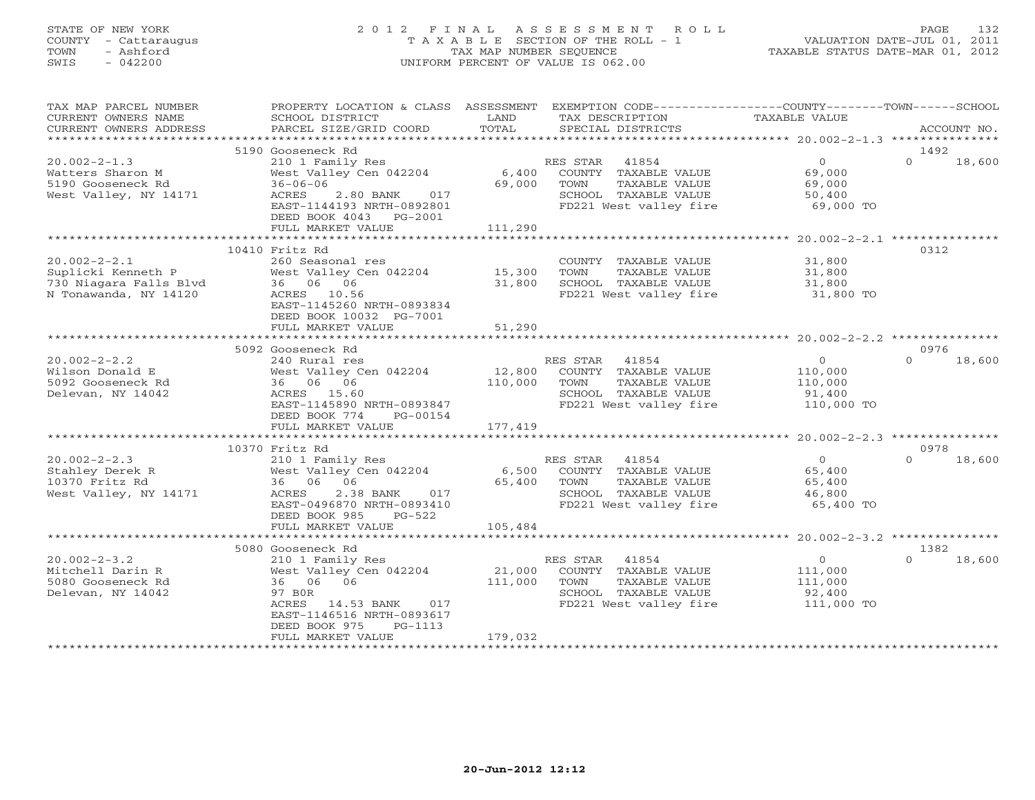## STATE OF NEW YORK 2 0 1 2 F I N A L A S S E S S M E N T R O L L PAGE 132 COUNTY - Cattaraugus T A X A B L E SECTION OF THE ROLL - 1 VALUATION DATE-JUL 01, 2011 TOWN - Ashford TAX MAP NUMBER SEQUENCE TAXABLE STATUS DATE-MAR 01, 2012 SWIS - 042200 UNIFORM PERCENT OF VALUE IS 062.00UNIFORM PERCENT OF VALUE IS 062.00

| TAX MAP PARCEL NUMBER                                                                 | PROPERTY LOCATION & CLASS ASSESSMENT EXEMPTION CODE---------------COUNTY-------TOWN------SCHOOL                           |             |                                                                                                                 |                                                               |                            |
|---------------------------------------------------------------------------------------|---------------------------------------------------------------------------------------------------------------------------|-------------|-----------------------------------------------------------------------------------------------------------------|---------------------------------------------------------------|----------------------------|
| CURRENT OWNERS NAME                                                                   | SCHOOL DISTRICT                                                                                                           | LAND        | TAX DESCRIPTION                                                                                                 | TAXABLE VALUE                                                 |                            |
| CURRENT OWNERS ADDRESS                                                                | PARCEL SIZE/GRID COORD                                                                                                    | TOTAL       | SPECIAL DISTRICTS                                                                                               |                                                               | ACCOUNT NO.                |
|                                                                                       |                                                                                                                           |             |                                                                                                                 |                                                               |                            |
|                                                                                       | 5190 Gooseneck Rd                                                                                                         |             |                                                                                                                 |                                                               | 1492<br>$\Omega$           |
| $20.002 - 2 - 1.3$                                                                    |                                                                                                                           |             |                                                                                                                 | $\overline{O}$<br>69,000                                      | 18,600                     |
| Watters Sharon M<br>5190 Gooseneck Rd                                                 |                                                                                                                           | 69,000 TOWN | TAXABLE VALUE                                                                                                   |                                                               |                            |
| West Valley, NY 14171                                                                 | $36 - 06 - 06$<br>ACRES 2.80 BANK 017                                                                                     |             | SCHOOL TAXABLE VALUE                                                                                            | $69,000$<br>50,400                                            |                            |
|                                                                                       | EAST-1144193 NRTH-0892801                                                                                                 |             | FD221 West valley fire 69,000 TO                                                                                |                                                               |                            |
|                                                                                       | DEED BOOK 4043 PG-2001                                                                                                    |             |                                                                                                                 |                                                               |                            |
|                                                                                       | FULL MARKET VALUE                                                                                                         | 111,290     |                                                                                                                 |                                                               |                            |
|                                                                                       |                                                                                                                           |             |                                                                                                                 |                                                               |                            |
|                                                                                       | 10410 Fritz Rd                                                                                                            |             |                                                                                                                 |                                                               | 0312                       |
| $20.002 - 2 - 2.1$                                                                    | 260 Seasonal res                                                                                                          |             | COUNTY TAXABLE VALUE 31,800                                                                                     |                                                               |                            |
|                                                                                       | West Valley Cen 042204 15,300                                                                                             |             | TOWN                                                                                                            |                                                               |                            |
|                                                                                       | 36 06 06                                                                                                                  | 31,800      | SCHOOL TAXABLE VALUE                                                                                            | TAXABLE VALUE<br>TAXABLE VALUE 31,800<br>TAXABLE VALUE 31,800 |                            |
| 20.002-2-2.1<br>Suplicki Kenneth P<br>730 Niagara Falls Blvd<br>N Tonawanda, NY 14120 | ACRES 10.56                                                                                                               |             | FD221 West valley fire 31,800 TO                                                                                |                                                               |                            |
|                                                                                       | EAST-1145260 NRTH-0893834                                                                                                 |             |                                                                                                                 |                                                               |                            |
|                                                                                       | DEED BOOK 10032 PG-7001                                                                                                   |             |                                                                                                                 |                                                               |                            |
|                                                                                       |                                                                                                                           |             |                                                                                                                 |                                                               |                            |
|                                                                                       |                                                                                                                           |             |                                                                                                                 |                                                               |                            |
|                                                                                       | 5092 Gooseneck Rd                                                                                                         |             |                                                                                                                 |                                                               | 0976                       |
| $20.002 - 2 - 2.2$                                                                    | 240 Rural res<br>West Valley Cen 042204 12,800 COUNT<br>36 106 106                                                        |             | RES STAR<br>41854                                                                                               | $\overline{0}$                                                | $\Omega$<br>18,600         |
| Wilson Donald E                                                                       |                                                                                                                           |             | COUNTY TAXABLE VALUE                                                                                            | 110,000                                                       |                            |
| 5092 Gooseneck Rd                                                                     |                                                                                                                           |             | TAXABLE VALUE                                                                                                   | 110,000                                                       |                            |
| Delevan, NY 14042                                                                     | ACRES 15.60                                                                                                               |             | SCHOOL TAXABLE VALUE                                                                                            | 91,400                                                        |                            |
|                                                                                       | EAST-1145890 NRTH-0893847                                                                                                 |             | FD221 West valley fire 110,000 TO                                                                               |                                                               |                            |
|                                                                                       | DEED BOOK 774 PG-00154                                                                                                    |             |                                                                                                                 |                                                               |                            |
|                                                                                       | FULL MARKET VALUE                                                                                                         | 177,419     |                                                                                                                 |                                                               |                            |
|                                                                                       |                                                                                                                           |             |                                                                                                                 |                                                               |                            |
| $20.002 - 2 - 2.3$                                                                    | 10370 Fritz Rd                                                                                                            |             |                                                                                                                 |                                                               | 0978<br>$\Omega$<br>18,600 |
| Stahley Derek R                                                                       | 210 I Family Res<br>West Valley Cen 042204 6,500 COUNTY TAXABLE VALUE 65,400<br>36 06 06 65.400 65.400 TOWN TAXABLE VALUE |             |                                                                                                                 |                                                               |                            |
| 10370 Fritz Rd                                                                        |                                                                                                                           |             |                                                                                                                 |                                                               |                            |
| West Valley, NY 14171                                                                 | ACRES<br>2.38 BANK<br>017                                                                                                 |             |                                                                                                                 |                                                               |                            |
|                                                                                       | EAST-0496870 NRTH-0893410                                                                                                 |             | TOWN TAAADDE vADOL<br>SCHOOL TAXABLE VALUE 46,800<br>TROO1 Woot valley fire 65,400 TO<br>FD221 West valley fire |                                                               |                            |
|                                                                                       | DEED BOOK 985<br>PG-522                                                                                                   |             |                                                                                                                 |                                                               |                            |
|                                                                                       | FULL MARKET VALUE                                                                                                         | 105,484     |                                                                                                                 |                                                               |                            |
|                                                                                       |                                                                                                                           |             |                                                                                                                 |                                                               |                            |
|                                                                                       | 5080 Gooseneck Rd                                                                                                         |             |                                                                                                                 |                                                               | 1382                       |
| $20.002 - 2 - 3.2$                                                                    | 210 1 Family Res                                                                                                          |             | RES STAR 41854<br>en 042204 21,000 COUNTY TAXABLE VALUE<br>111,000 TOWN TAXABLE VALUE                           | $\begin{array}{c} 0 \\ 111,000 \end{array}$                   | $\Omega$<br>18,600         |
| Mitchell Darin R                                                                      | West Valley Cen 042204                                                                                                    |             |                                                                                                                 |                                                               |                            |
| 5080 Gooseneck Rd                                                                     | 36 06 06                                                                                                                  |             |                                                                                                                 | 111,000                                                       |                            |
| Delevan, NY 14042                                                                     | 97 BOR                                                                                                                    |             | SCHOOL TAXABLE VALUE                                                                                            | 92,400                                                        |                            |
|                                                                                       | ACRES 14.53 BANK 017                                                                                                      |             | FD221 West valley fire 111,000 TO                                                                               |                                                               |                            |
|                                                                                       | EAST-1146516 NRTH-0893617                                                                                                 |             |                                                                                                                 |                                                               |                            |
|                                                                                       | DEED BOOK 975<br>PG-1113                                                                                                  |             |                                                                                                                 |                                                               |                            |
|                                                                                       | FULL MARKET VALUE                                                                                                         | 179,032     |                                                                                                                 |                                                               |                            |
|                                                                                       |                                                                                                                           |             |                                                                                                                 |                                                               |                            |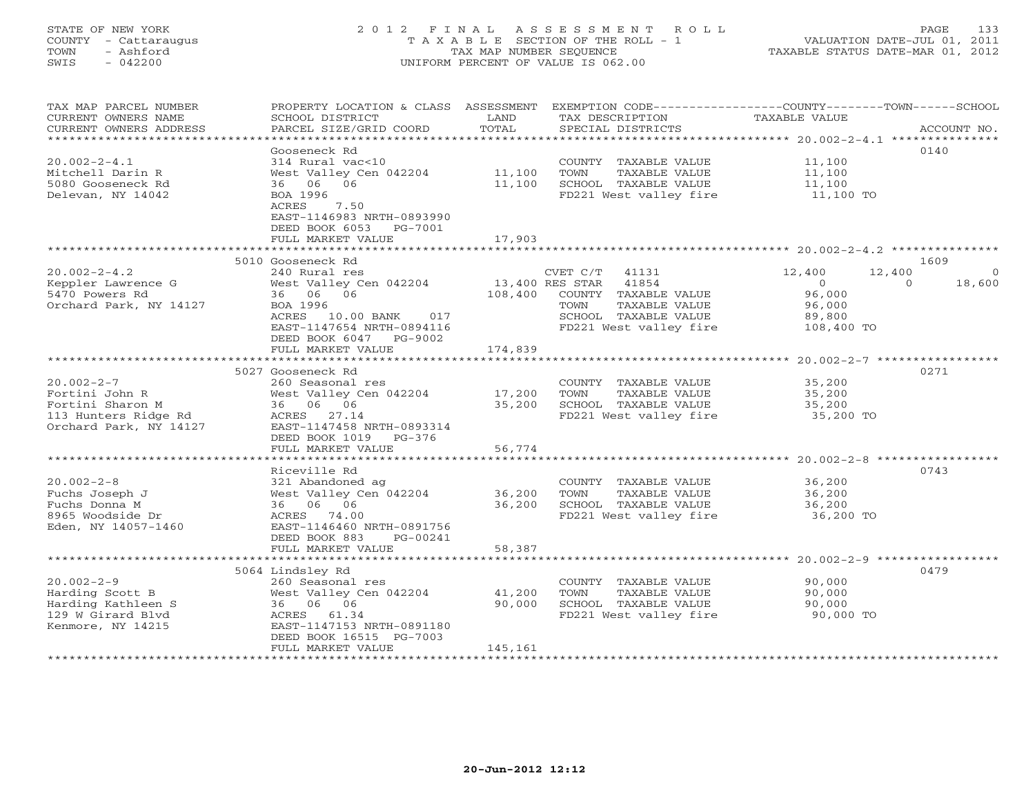## STATE OF NEW YORK 2 0 1 2 F I N A L A S S E S S M E N T R O L L PAGE 133 COUNTY - Cattaraugus T A X A B L E SECTION OF THE ROLL - 1 VALUATION DATE-JUL 01, 2011 TOWN - Ashford TAX MAP NUMBER SEQUENCE TAXABLE STATUS DATE-MAR 01, 2012 SWIS - 042200 UNIFORM PERCENT OF VALUE IS 062.00UNIFORM PERCENT OF VALUE IS 062.00

| TAX MAP PARCEL NUMBER<br>CURRENT OWNERS NAME<br>CURRENT OWNERS ADDRESS | SCHOOL DISTRICT<br>PARCEL SIZE/GRID COORD                            | LAND<br>TOTAL            | PROPERTY LOCATION & CLASS ASSESSMENT EXEMPTION CODE----------------COUNTY-------TOWN------SCHOOL<br>TAX DESCRIPTION<br>SPECIAL DISTRICTS | TAXABLE VALUE                                       | ACCOUNT NO. |
|------------------------------------------------------------------------|----------------------------------------------------------------------|--------------------------|------------------------------------------------------------------------------------------------------------------------------------------|-----------------------------------------------------|-------------|
|                                                                        |                                                                      |                          |                                                                                                                                          |                                                     |             |
|                                                                        | Gooseneck Rd                                                         |                          |                                                                                                                                          |                                                     | 0140        |
| $20.002 - 2 - 4.1$                                                     | 314 Rural vac<10                                                     |                          | COUNTY TAXABLE VALUE                                                                                                                     | 11,100                                              |             |
| Mitchell Darin R                                                       | West Valley Cen 042204                                               | 11,100                   | TOWN<br>TAXABLE VALUE                                                                                                                    | 11,100                                              |             |
| 5080 Gooseneck Rd                                                      | 36 06 06                                                             | 11,100                   | SCHOOL TAXABLE VALUE                                                                                                                     | 11,100                                              |             |
| Delevan, NY 14042                                                      | BOA 1996                                                             |                          | FD221 West valley fire                                                                                                                   | 11,100 TO                                           |             |
|                                                                        | ACRES<br>7.50<br>EAST-1146983 NRTH-0893990<br>DEED BOOK 6053 PG-7001 |                          |                                                                                                                                          |                                                     |             |
|                                                                        | FULL MARKET VALUE                                                    | 17,903                   |                                                                                                                                          |                                                     |             |
|                                                                        |                                                                      |                          |                                                                                                                                          |                                                     |             |
|                                                                        | 5010 Gooseneck Rd                                                    |                          |                                                                                                                                          |                                                     | 1609        |
| $20.002 - 2 - 4.2$                                                     | 240 Rural res                                                        |                          | $CVET C/T$ 41131                                                                                                                         | 12,400<br>12,400                                    | $\Omega$    |
| Keppler Lawrence G                                                     | West Valley Cen 042204                                               |                          | 13,400 RES STAR 41854                                                                                                                    | $\circ$<br>$\Omega$                                 | 18,600      |
| 5470 Powers Rd                                                         | 36 06 06                                                             | 108,400                  | COUNTY TAXABLE VALUE                                                                                                                     | 96,000                                              |             |
| Orchard Park, NY 14127                                                 | BOA 1996                                                             |                          | TOWN<br>TAXABLE VALUE                                                                                                                    | 96,000                                              |             |
|                                                                        | ACRES 10.00 BANK 017<br>EAST-1147654 NRTH-0894116                    |                          | SCHOOL TAXABLE VALUE<br>FD221 West valley fire                                                                                           | 89,800<br>108,400 TO                                |             |
|                                                                        | DEED BOOK 6047 PG-9002                                               |                          |                                                                                                                                          |                                                     |             |
|                                                                        | FULL MARKET VALUE                                                    | 174,839                  |                                                                                                                                          |                                                     |             |
|                                                                        | *****************************                                        | *************            |                                                                                                                                          | ********************* 20.002-2-7 ****************** |             |
|                                                                        | 5027 Gooseneck Rd                                                    |                          |                                                                                                                                          |                                                     | 0271        |
| $20.002 - 2 - 7$                                                       | 260 Seasonal res                                                     |                          | COUNTY TAXABLE VALUE                                                                                                                     | 35,200                                              |             |
| Fortini John R                                                         | West Valley Cen 042204                                               | 17,200                   | TAXABLE VALUE<br>TOWN                                                                                                                    | 35,200                                              |             |
| Fortini Sharon M                                                       | 36 06 06                                                             | 35,200                   | SCHOOL TAXABLE VALUE                                                                                                                     | 35,200                                              |             |
| 113 Hunters Ridge Rd                                                   | ACRES 27.14                                                          |                          | FD221 West valley fire                                                                                                                   | 35,200 TO                                           |             |
| Orchard Park, NY 14127                                                 | EAST-1147458 NRTH-0893314                                            |                          |                                                                                                                                          |                                                     |             |
|                                                                        | DEED BOOK 1019 PG-376                                                |                          |                                                                                                                                          |                                                     |             |
|                                                                        | FULL MARKET VALUE                                                    | 56,774                   |                                                                                                                                          |                                                     |             |
|                                                                        |                                                                      |                          |                                                                                                                                          |                                                     |             |
|                                                                        | Riceville Rd                                                         |                          |                                                                                                                                          |                                                     | 0743        |
| $20.002 - 2 - 8$                                                       | 321 Abandoned ag                                                     |                          | COUNTY TAXABLE VALUE                                                                                                                     | 36,200                                              |             |
| Fuchs Joseph J                                                         | West Valley Cen 042204                                               | 36,200                   | TOWN<br>TAXABLE VALUE                                                                                                                    | 36,200                                              |             |
| Fuchs Donna M                                                          | 36 06 06                                                             | 36,200                   | SCHOOL TAXABLE VALUE                                                                                                                     | 36,200                                              |             |
| 8965 Woodside Dr                                                       | ACRES 74.00                                                          |                          | FD221 West valley fire                                                                                                                   | 36,200 TO                                           |             |
| Eden, NY 14057-1460                                                    | EAST-1146460 NRTH-0891756                                            |                          |                                                                                                                                          |                                                     |             |
|                                                                        | DEED BOOK 883<br>PG-00241                                            |                          |                                                                                                                                          |                                                     |             |
|                                                                        | FULL MARKET VALUE<br>******************************                  | 58,387<br>************** |                                                                                                                                          |                                                     |             |
|                                                                        | 5064 Lindsley Rd                                                     |                          |                                                                                                                                          |                                                     | 0479        |
| $20.002 - 2 - 9$                                                       | 260 Seasonal res                                                     |                          | COUNTY TAXABLE VALUE                                                                                                                     | 90,000                                              |             |
| Harding Scott B                                                        | West Valley Cen 042204                                               | 41,200                   | TOWN<br>TAXABLE VALUE                                                                                                                    | 90,000                                              |             |
| Harding Kathleen S                                                     | 36 06 06                                                             | 90,000                   | SCHOOL TAXABLE VALUE                                                                                                                     | 90,000                                              |             |
| 129 W Girard Blvd                                                      | ACRES 61.34                                                          |                          | FD221 West valley fire                                                                                                                   | 90,000 TO                                           |             |
| Kenmore, NY 14215                                                      | EAST-1147153 NRTH-0891180                                            |                          |                                                                                                                                          |                                                     |             |
|                                                                        | DEED BOOK 16515 PG-7003                                              |                          |                                                                                                                                          |                                                     |             |
|                                                                        | FULL MARKET VALUE                                                    | 145,161                  |                                                                                                                                          |                                                     |             |
|                                                                        |                                                                      |                          |                                                                                                                                          |                                                     |             |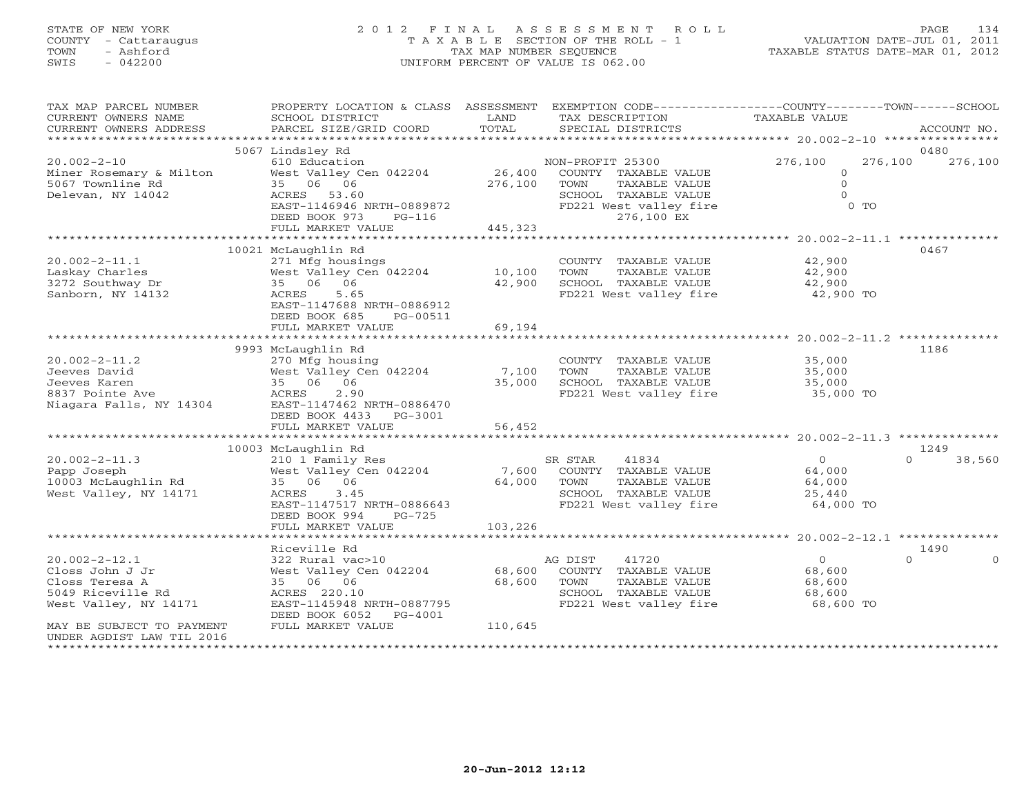## STATE OF NEW YORK 2 0 1 2 F I N A L A S S E S S M E N T R O L L PAGE 134 COUNTY - Cattaraugus T A X A B L E SECTION OF THE ROLL - 1 VALUATION DATE-JUL 01, 2011 TOWN - Ashford TAX MAP NUMBER SEQUENCE TAXABLE STATUS DATE-MAR 01, 2012 SWIS - 042200 UNIFORM PERCENT OF VALUE IS 062.00UNIFORM PERCENT OF VALUE IS 062.00

| TAX MAP PARCEL NUMBER<br>CURRENT OWNERS NAME<br>CURRENT OWNERS ADDRESS                                                              | PROPERTY LOCATION & CLASS ASSESSMENT<br>SCHOOL DISTRICT<br>PARCEL SIZE/GRID COORD                                                                                           | LAND<br>TOTAL                | EXEMPTION CODE-----------------COUNTY-------TOWN------SCHOOL<br>TAX DESCRIPTION<br>SPECIAL DISTRICTS                              | TAXABLE VALUE                                                        | ACCOUNT NO.          |
|-------------------------------------------------------------------------------------------------------------------------------------|-----------------------------------------------------------------------------------------------------------------------------------------------------------------------------|------------------------------|-----------------------------------------------------------------------------------------------------------------------------------|----------------------------------------------------------------------|----------------------|
| *******************                                                                                                                 |                                                                                                                                                                             |                              |                                                                                                                                   |                                                                      |                      |
| $20.002 - 2 - 10$<br>Miner Rosemary & Milton<br>5067 Townline Rd<br>Delevan, NY 14042                                               | 5067 Lindsley Rd<br>610 Education<br>West Valley Cen 042204<br>35 06 06<br>ACRES 53.60<br>EAST-1146946 NRTH-0889872<br>DEED BOOK 973<br>$PG-116$<br>FULL MARKET VALUE       | 26,400<br>276,100<br>445,323 | NON-PROFIT 25300<br>COUNTY TAXABLE VALUE<br>TOWN<br>TAXABLE VALUE<br>SCHOOL TAXABLE VALUE<br>FD221 West valley fire<br>276,100 EX | 276,100<br>276,100<br>$\mathbf{0}$<br>$\Omega$<br>$\Omega$<br>$0$ TO | 0480<br>276,100      |
|                                                                                                                                     | **************************                                                                                                                                                  |                              |                                                                                                                                   |                                                                      |                      |
| $20.002 - 2 - 11.1$<br>Laskay Charles<br>3272 Southway Dr<br>Sanborn, NY 14132                                                      | 10021 McLaughlin Rd<br>271 Mfg housings<br>West Valley Cen 042204<br>35 06 06<br>ACRES<br>5.65<br>EAST-1147688 NRTH-0886912<br>DEED BOOK 685<br>PG-00511                    | 10,100<br>42,900             | COUNTY TAXABLE VALUE<br>TOWN<br>TAXABLE VALUE<br>SCHOOL TAXABLE VALUE<br>FD221 West valley fire                                   | 42,900<br>42,900<br>42,900<br>42,900 TO                              | 0467                 |
|                                                                                                                                     | FULL MARKET VALUE                                                                                                                                                           | 69,194                       |                                                                                                                                   |                                                                      |                      |
| $20.002 - 2 - 11.2$<br>Jeeves David<br>Jeeves Karen<br>8837 Pointe Ave<br>Niagara Falls, NY 14304                                   | 9993 McLaughlin Rd<br>270 Mfg housing<br>West Valley Cen 042204<br>35 06 06<br>ACRES<br>2.90<br>EAST-1147462 NRTH-0886470<br>DEED BOOK 4433<br>PG-3001<br>FULL MARKET VALUE | 7,100<br>35,000<br>56,452    | COUNTY TAXABLE VALUE<br>TOWN<br>TAXABLE VALUE<br>SCHOOL TAXABLE VALUE<br>FD221 West valley fire                                   | 35,000<br>35,000<br>35,000<br>35,000 TO                              | 1186                 |
|                                                                                                                                     | 10003 McLaughlin Rd                                                                                                                                                         |                              |                                                                                                                                   |                                                                      | 1249                 |
| $20.002 - 2 - 11.3$<br>Papp Joseph<br>10003 McLaughlin Rd<br>West Valley, NY 14171                                                  | 210 1 Family Res<br>West Valley Cen 042204<br>35 06 06<br>3.45<br>ACRES<br>EAST-1147517 NRTH-0886643<br>DEED BOOK 994<br>$PG-725$                                           | 7,600<br>64,000              | 41834<br>SR STAR<br>COUNTY TAXABLE VALUE<br>TOWN<br>TAXABLE VALUE<br>SCHOOL TAXABLE VALUE<br>FD221 West valley fire               | $\Omega$<br>64,000<br>64,000<br>25,440<br>64,000 TO                  | $\Omega$<br>38,560   |
|                                                                                                                                     | FULL MARKET VALUE                                                                                                                                                           | 103,226                      |                                                                                                                                   |                                                                      |                      |
|                                                                                                                                     | Riceville Rd                                                                                                                                                                |                              |                                                                                                                                   |                                                                      | 1490                 |
| $20.002 - 2 - 12.1$<br>Closs John J Jr<br>Closs Teresa A<br>5049 Riceville Rd<br>West Valley, NY 14171<br>MAY BE SUBJECT TO PAYMENT | 322 Rural vac>10<br>West Valley Cen 042204<br>35 06 06<br>ACRES 220.10<br>EAST-1145948 NRTH-0887795<br>DEED BOOK 6052 PG-4001<br>FULL MARKET VALUE                          | 68,600<br>68,600<br>110,645  | 41720<br>AG DIST<br>COUNTY TAXABLE VALUE<br>TOWN<br>TAXABLE VALUE<br>SCHOOL TAXABLE VALUE<br>FD221 West valley fire               | $\circ$<br>68,600<br>68,600<br>68,600<br>68,600 TO                   | $\Omega$<br>$\Omega$ |
| UNDER AGDIST LAW TIL 2016                                                                                                           |                                                                                                                                                                             |                              |                                                                                                                                   |                                                                      |                      |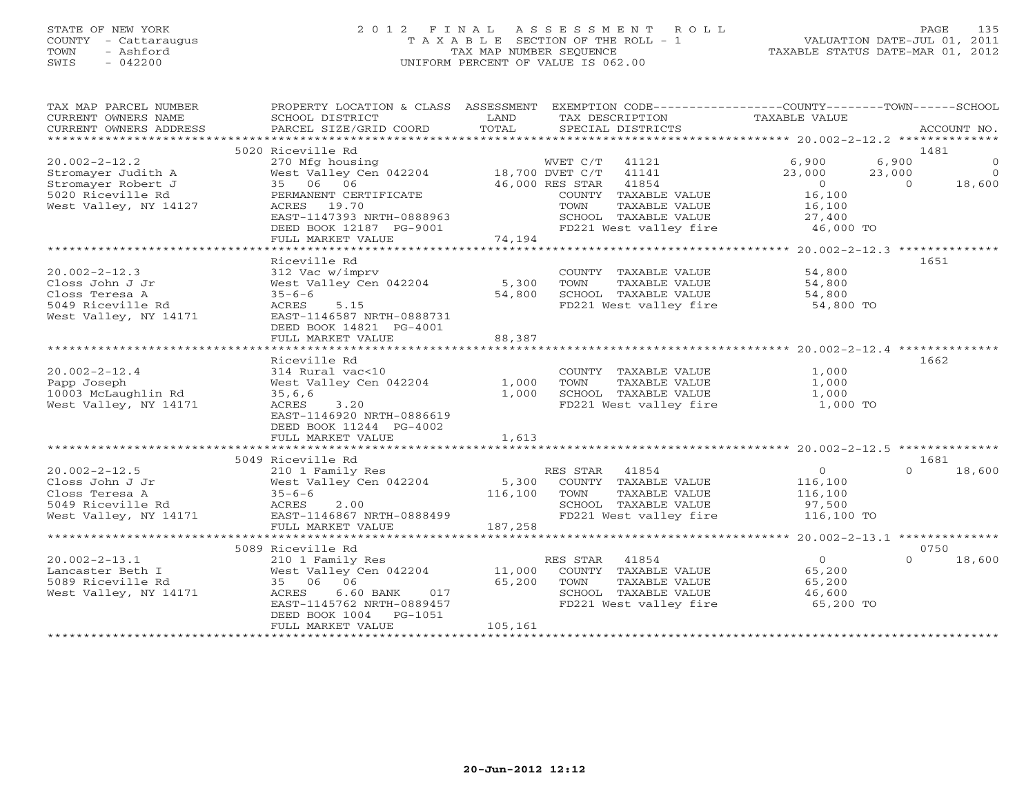# STATE OF NEW YORK 2 0 1 2 F I N A L A S S E S S M E N T R O L L PAGE 135 COUNTY - Cattaraugus T A X A B L E SECTION OF THE ROLL - 1 VALUATION DATE-JUL 01, 2011 TOWN - Ashford TAX MAP NUMBER SEQUENCE TAXABLE STATUS DATE-MAR 01, 2012 SWIS - 042200 UNIFORM PERCENT OF VALUE IS 062.00

| TAX MAP PARCEL NUMBER<br>CURRENT OWNERS NAME<br>CURRENT OWNERS ADDRESS | PROPERTY LOCATION & CLASS ASSESSMENT EXEMPTION CODE---------------COUNTY-------TOWN------SCHOOL<br>SCHOOL DISTRICT<br>PARCEL SIZE/GRID COORD | LAND<br>TOTAL |                       | TAX DESCRIPTION<br>SPECIAL DISTRICTS  | TAXABLE VALUE                    |                | ACCOUNT NO.    |
|------------------------------------------------------------------------|----------------------------------------------------------------------------------------------------------------------------------------------|---------------|-----------------------|---------------------------------------|----------------------------------|----------------|----------------|
|                                                                        |                                                                                                                                              |               |                       |                                       |                                  |                |                |
|                                                                        | 5020 Riceville Rd                                                                                                                            |               |                       |                                       |                                  | 1481           |                |
| $20.002 - 2 - 12.2$                                                    | 270 Mfg housing                                                                                                                              |               | WVET C/T 41121        |                                       | 6,900                            | 6,900          | $\Omega$       |
| Stromayer Judith A                                                     | West Valley Cen 042204 18,700 DVET C/T 41141                                                                                                 |               |                       |                                       | 23,000                           | 23,000         | $\overline{0}$ |
| Stromayer Robert J                                                     | 35 06 06                                                                                                                                     |               | 46,000 RES STAR 41854 |                                       | $\overline{0}$                   | $\overline{0}$ | 18,600         |
| 5020 Riceville Rd                                                      | PERMANENT CERTIFICATE                                                                                                                        |               |                       | COUNTY TAXABLE VALUE                  | 16,100                           |                |                |
| West Valley, NY 14127                                                  | ACRES 19.70                                                                                                                                  |               | TOWN                  | TAXABLE VALUE                         | 16,100                           |                |                |
|                                                                        | EAST-1147393 NRTH-0888963                                                                                                                    |               |                       | SCHOOL TAXABLE VALUE                  | 27,400                           |                |                |
|                                                                        | DEED BOOK 12187 PG-9001                                                                                                                      |               |                       |                                       | FD221 West valley fire 46,000 TO |                |                |
|                                                                        | FULL MARKET VALUE                                                                                                                            | 74,194        |                       |                                       |                                  |                |                |
|                                                                        |                                                                                                                                              |               |                       |                                       |                                  |                |                |
|                                                                        | Riceville Rd                                                                                                                                 |               |                       |                                       |                                  | 1651           |                |
| $20.002 - 2 - 12.3$                                                    | 312 Vac w/imprv                                                                                                                              |               |                       | COUNTY TAXABLE VALUE                  | 54,800                           |                |                |
| Closs John J Jr                                                        | West Valley Cen 042204                                                                                                                       | 5,300         | TOWN                  | TAXABLE VALUE                         | 54,800                           |                |                |
| Closs Teresa A                                                         | $35 - 6 - 6$                                                                                                                                 | 54,800        |                       | SCHOOL TAXABLE VALUE                  | 54,800<br>54,800 TO              |                |                |
| 5049 Riceville Rd                                                      | 5.15<br>ACRES                                                                                                                                |               |                       | FD221 West valley fire                |                                  |                |                |
| West Valley, NY 14171                                                  | EAST-1146587 NRTH-0888731                                                                                                                    |               |                       |                                       |                                  |                |                |
|                                                                        | DEED BOOK 14821 PG-4001                                                                                                                      |               |                       |                                       |                                  |                |                |
|                                                                        | FULL MARKET VALUE                                                                                                                            | 88,387        |                       |                                       |                                  |                |                |
|                                                                        | Riceville Rd                                                                                                                                 |               |                       |                                       |                                  | 1662           |                |
| $20.002 - 2 - 12.4$                                                    | 314 Rural vac<10                                                                                                                             |               |                       |                                       | 1,000                            |                |                |
| Papp Joseph                                                            | West Valley Cen 042204                                                                                                                       | 1,000         | TOWN                  | COUNTY TAXABLE VALUE<br>TAXABLE VALUE | 1,000                            |                |                |
| 10003 McLaughlin Rd                                                    | 35,6,6                                                                                                                                       | 1,000         |                       | SCHOOL TAXABLE VALUE                  | 1,000                            |                |                |
| West Valley, NY 14171                                                  | ACRES 3.20                                                                                                                                   |               |                       | FD221 West valley fire                | $1,000$ TO                       |                |                |
|                                                                        | EAST-1146920 NRTH-0886619                                                                                                                    |               |                       |                                       |                                  |                |                |
|                                                                        | DEED BOOK 11244 PG-4002                                                                                                                      |               |                       |                                       |                                  |                |                |
|                                                                        | FULL MARKET VALUE                                                                                                                            | 1,613         |                       |                                       |                                  |                |                |
|                                                                        |                                                                                                                                              |               |                       |                                       |                                  |                |                |
|                                                                        | 5049 Riceville Rd                                                                                                                            |               |                       |                                       |                                  | 1681           |                |
| $20.002 - 2 - 12.5$                                                    | 210 1 Family Res                                                                                                                             |               | RES STAR 41854        |                                       | $\overline{0}$                   | $\cap$         | 18,600         |
| Closs John J Jr                                                        | West Valley Cen 042204                                                                                                                       | 5,300         |                       | COUNTY TAXABLE VALUE                  | 116,100                          |                |                |
| Closs Teresa A                                                         | $35 - 6 - 6$                                                                                                                                 | 116,100       | TOWN                  | TAXABLE VALUE                         | 116,100                          |                |                |
| 5049 Riceville Rd                                                      | ACRES<br>2.00                                                                                                                                |               |                       | SCHOOL TAXABLE VALUE                  | 97,500                           |                |                |
| West Valley, NY 14171                                                  | EAST-1146867 NRTH-0888499                                                                                                                    |               |                       | FD221 West valley fire                | 116,100 TO                       |                |                |
|                                                                        | FULL MARKET VALUE                                                                                                                            | 187,258       |                       |                                       |                                  |                |                |
|                                                                        |                                                                                                                                              |               |                       |                                       |                                  |                |                |
|                                                                        | 5089 Riceville Rd                                                                                                                            |               |                       |                                       |                                  | 0750           |                |
| $20.002 - 2 - 13.1$                                                    | 210 1 Family Res                                                                                                                             |               | RES STAR 41854        |                                       | $\overline{0}$                   | $\Omega$       | 18,600         |
| Lancaster Beth I                                                       | West Valley Cen 042204                                                                                                                       | 11,000        |                       | COUNTY TAXABLE VALUE                  | 65,200                           |                |                |
| 5089 Riceville Rd                                                      | 35 06 06                                                                                                                                     | 65,200        | TOWN                  | TAXABLE VALUE                         | 65,200                           |                |                |
| West Valley, NY 14171                                                  | ACRES<br>6.60 BANK<br>017                                                                                                                    |               |                       | SCHOOL TAXABLE VALUE                  | 46,600                           |                |                |
|                                                                        | EAST-1145762 NRTH-0889457                                                                                                                    |               |                       | FD221 West valley fire                | 65,200 TO                        |                |                |
|                                                                        | DEED BOOK 1004 PG-1051                                                                                                                       |               |                       |                                       |                                  |                |                |
|                                                                        | FULL MARKET VALUE                                                                                                                            | 105,161       |                       |                                       |                                  |                |                |
|                                                                        |                                                                                                                                              |               |                       |                                       |                                  |                |                |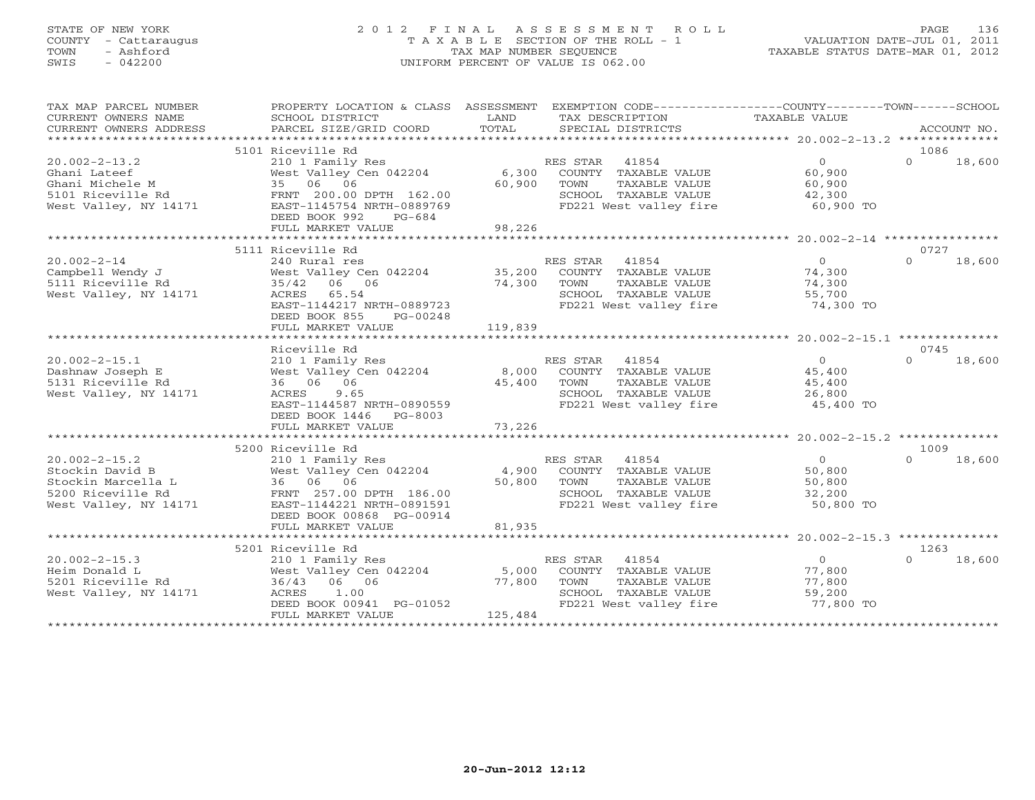## STATE OF NEW YORK 2 0 1 2 F I N A L A S S E S S M E N T R O L L PAGE 136 COUNTY - Cattaraugus T A X A B L E SECTION OF THE ROLL - 1 VALUATION DATE-JUL 01, 2011 TOWN - Ashford TAX MAP NUMBER SEQUENCE TAXABLE STATUS DATE-MAR 01, 2012 SWIS - 042200 UNIFORM PERCENT OF VALUE IS 062.00UNIFORM PERCENT OF VALUE IS 062.00

| TAX MAP PARCEL NUMBER<br>CURRENT OWNERS NAME<br>CURRENT OWNERS ADDRESS                                     | PROPERTY LOCATION & CLASS ASSESSMENT EXEMPTION CODE---------------COUNTY-------TOWN------SCHOOL<br>SCHOOL DISTRICT<br>PARCEL SIZE/GRID COORD                    | LAND<br>TOTAL     | TAX DESCRIPTION<br>SPECIAL DISTRICTS                                                                                                            | TAXABLE VALUE                                                         | ACCOUNT NO.                |
|------------------------------------------------------------------------------------------------------------|-----------------------------------------------------------------------------------------------------------------------------------------------------------------|-------------------|-------------------------------------------------------------------------------------------------------------------------------------------------|-----------------------------------------------------------------------|----------------------------|
|                                                                                                            |                                                                                                                                                                 |                   |                                                                                                                                                 |                                                                       |                            |
| $20.002 - 2 - 13.2$<br>Ghani Lateef<br>Ghani Michele M<br>5101 Riceville Rd<br>West Valley, NY 14171       | 5101 Riceville Rd<br>210 1 Family Res<br>West Valley Cen 042204<br>35 06 06<br>FRNT 200.00 DPTH 162.00<br>EAST-1145754 NRTH-0889769<br>DEED BOOK 992<br>PG-684  | 60,900            | RES STAR 41854<br>6,300 COUNTY TAXABLE VALUE<br>TOWN<br>TAXABLE VALUE<br>SCHOOL TAXABLE VALUE<br>FD221 West valley fire 60,900 TO               | $\overline{0}$<br>60,900<br>60,900<br>42,300                          | 1086<br>$\Omega$<br>18,600 |
|                                                                                                            | FULL MARKET VALUE                                                                                                                                               | 98,226            |                                                                                                                                                 |                                                                       |                            |
|                                                                                                            |                                                                                                                                                                 |                   |                                                                                                                                                 |                                                                       |                            |
| $20.002 - 2 - 14$<br>Campbell Wendy J<br>5111 Riceville Rd<br>West Valley, NY 14171                        | 5111 Riceville Rd<br>35/42 06 06<br>ACRES 65.54<br>EAST-1144217 NRTH-0889723<br>DEED BOOK 855<br>PG-00248<br>FULL MARKET VALUE                                  | 74,300<br>119,839 | TOWN<br>TAXABLE VALUE<br>SCHOOL TAXABLE VALUE<br>FD221 West valley fire 74,300 TO                                                               | $\overline{0}$<br>74,300<br>74,300<br>55,700                          | 0727<br>$\Omega$<br>18,600 |
|                                                                                                            |                                                                                                                                                                 |                   |                                                                                                                                                 |                                                                       |                            |
|                                                                                                            | Riceville Rd                                                                                                                                                    |                   |                                                                                                                                                 |                                                                       | 0745                       |
| $20.002 - 2 - 15.1$<br>Dashnaw Joseph E<br>5131 Riceville Rd<br>West Valley, NY 14171                      | 210 1 Family Res<br>West Valley Cen 042204 8,000 COUNTY TAXABLE VALUE<br>36 06 06<br>ACRES 9.65<br>EAST-1144587 NRTH-0890559<br>DEED BOOK 1446 PG-8003          | 45,400            | RES STAR<br>41854<br>TOWN<br>TAXABLE VALUE<br>SCHOOL TAXABLE VALUE<br>DUNUUL TAAABLE VALUE<br>FD221 West valley fire                            | $\overline{0}$<br>45,400<br>45,400<br>26,800<br>45,400 TO             | $\Omega$<br>18,600         |
|                                                                                                            | FULL MARKET VALUE                                                                                                                                               | 73,226            |                                                                                                                                                 |                                                                       |                            |
|                                                                                                            |                                                                                                                                                                 |                   |                                                                                                                                                 |                                                                       |                            |
| $20.002 - 2 - 15.2$<br>Stockin David B<br>Stockin Marcella L<br>5200 Riceville Rd<br>West Valley, NY 14171 | 5200 Riceville Rd<br>210 1 Family Res<br>West Valley Cen 042204<br>36 06 06<br>FRNT 257.00 DPTH 186.00<br>EAST-1144221 NRTH-0891591<br>DEED BOOK 00868 PG-00914 | 50,800            | RES STAR 41854<br>4,900 COUNTY TAXABLE VALUE<br>TOWN<br>TAXABLE VALUE<br>SCHOOL TAXABLE VALUE<br>ALAUUL TAXABLE VALUE<br>FD221 West valley fire | $\overline{0}$<br>50,800<br>50,800<br>32,200<br>$32,200$ TO 50,800 TO | 1009<br>$\Omega$<br>18,600 |
|                                                                                                            | FULL MARKET VALUE                                                                                                                                               | 81,935            |                                                                                                                                                 |                                                                       |                            |
|                                                                                                            |                                                                                                                                                                 |                   |                                                                                                                                                 |                                                                       |                            |
| $20.002 - 2 - 15.3$<br>Heim Donald L<br>5201 Riceville Rd<br>West Valley, NY 14171                         | 5201 Riceville Rd<br>210 1 Family Res<br>1.00<br>ACRES<br>DEED BOOK 00941 PG-01052<br>FULL MARKET VALUE                                                         | 125,484           | RES STAR<br>41854<br>SCHOOL TAXABLE VALUE<br>FD221 West valley fire                                                                             | $\overline{0}$<br>77,800<br>77,800<br>59,200<br>77,800 TO             | 1263<br>$\Omega$<br>18,600 |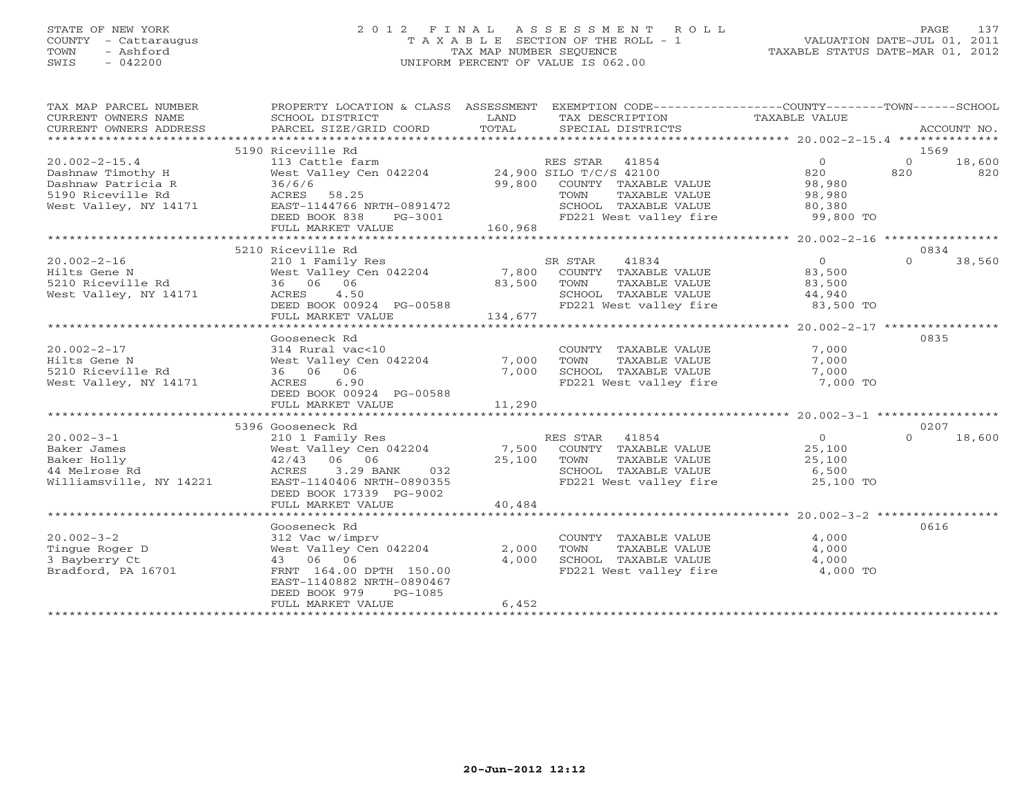## STATE OF NEW YORK 2 0 1 2 F I N A L A S S E S S M E N T R O L L PAGE 137 COUNTY - Cattaraugus T A X A B L E SECTION OF THE ROLL - 1 VALUATION DATE-JUL 01, 2011 TOWN - Ashford TAX MAP NUMBER SEQUENCE TAXABLE STATUS DATE-MAR 01, 2012 SWIS - 042200 UNIFORM PERCENT OF VALUE IS 062.00UNIFORM PERCENT OF VALUE IS 062.00

| TAX MAP PARCEL NUMBER<br>$\begin{tabular}{lllllll} \multicolumn{2}{c}{\textbf{CURRENT}} & \multicolumn{2}{c}{\textbf{WMERS}} & \multicolumn{2}{c}{\textbf{NAME}} & \multicolumn{2}{c}{\textbf{SCHOOL}} & \multicolumn{2}{c}{\textbf{ISTRICT}} & \multicolumn{2}{c}{\textbf{LAND}} & \multicolumn{2}{c}{\textbf{TAX} BESCRIPITION} & \multicolumn{2}{c}{\textbf{TAX} ABLE} & \multicolumn{2}{c}{\textbf{NALUE}} & \multicolumn{2}{c}{\textbf{NACCOUNT NO.}} \\ & & & & & & & & \\ \multicolumn{2}{c$ | PROPERTY LOCATION & CLASS ASSESSMENT EXEMPTION CODE----------------COUNTY-------TOWN------SCHOOL |             |                                                     |                |                    |
|-----------------------------------------------------------------------------------------------------------------------------------------------------------------------------------------------------------------------------------------------------------------------------------------------------------------------------------------------------------------------------------------------------------------------------------------------------------------------------------------------------|--------------------------------------------------------------------------------------------------|-------------|-----------------------------------------------------|----------------|--------------------|
| CURRENT OWNERS ADDRESS                                                                                                                                                                                                                                                                                                                                                                                                                                                                              |                                                                                                  |             |                                                     |                |                    |
|                                                                                                                                                                                                                                                                                                                                                                                                                                                                                                     | 5190 Riceville Rd                                                                                |             |                                                     |                | 1569               |
| $20.002 - 2 - 15.4$                                                                                                                                                                                                                                                                                                                                                                                                                                                                                 |                                                                                                  |             |                                                     | $\overline{0}$ | 18,600<br>$\Omega$ |
| Dashnaw Timothy H                                                                                                                                                                                                                                                                                                                                                                                                                                                                                   | 113 Cattle farm RES STAR 41854<br>West Valley Cen 042204 24,900 SILO T/C/S 42100                 |             |                                                     | 820            | 820<br>820         |
| Dashnaw Patricia R                                                                                                                                                                                                                                                                                                                                                                                                                                                                                  | 36/6/6                                                                                           |             | 99,800 COUNTY TAXABLE VALUE                         | 98,980         |                    |
|                                                                                                                                                                                                                                                                                                                                                                                                                                                                                                     | ACRES 58.25                                                                                      |             | TOWN<br>TAXABLE VALUE                               | 98,980         |                    |
| West Valley, NY 14171<br>West Valley, NY 14171                                                                                                                                                                                                                                                                                                                                                                                                                                                      | EAST-1144766 NRTH-0891472                                                                        |             | SCHOOL TAXABLE VALUE 80,380                         |                |                    |
|                                                                                                                                                                                                                                                                                                                                                                                                                                                                                                     | DEED BOOK 838<br>PG-3001                                                                         |             | FD221 West valley fire 99,800 TO                    |                |                    |
|                                                                                                                                                                                                                                                                                                                                                                                                                                                                                                     | FULL MARKET VALUE                                                                                | 160,968     |                                                     |                |                    |
|                                                                                                                                                                                                                                                                                                                                                                                                                                                                                                     |                                                                                                  |             |                                                     |                |                    |
|                                                                                                                                                                                                                                                                                                                                                                                                                                                                                                     | 5210 Riceville Rd                                                                                |             |                                                     |                | 0834               |
| $20.002 - 2 - 16$                                                                                                                                                                                                                                                                                                                                                                                                                                                                                   | 210 1 Family Res                                                                                 |             | SR STAR<br>41834                                    | $\overline{0}$ | $\Omega$<br>38,560 |
| Hilts Gene N                                                                                                                                                                                                                                                                                                                                                                                                                                                                                        | West Valley Cen 042204 7,800 COUNTY TAXABLE VALUE<br>36 06 06 06 83,500 TOWN TAXABLE VALUE       |             |                                                     | 83,500         |                    |
| 5210 Riceville Rd                                                                                                                                                                                                                                                                                                                                                                                                                                                                                   |                                                                                                  |             |                                                     | 83,500         |                    |
| West Valley, NY 14171                                                                                                                                                                                                                                                                                                                                                                                                                                                                               | 4.50<br>ACRES 4.50<br>DEED BOOK 00924 PG-00588                                                   |             | SCHOOL TAXABLE VALUE 44,940                         |                |                    |
|                                                                                                                                                                                                                                                                                                                                                                                                                                                                                                     |                                                                                                  |             | FD221 West valley fire                              | 83,500 TO      |                    |
|                                                                                                                                                                                                                                                                                                                                                                                                                                                                                                     | FULL MARKET VALUE                                                                                | 134,677     |                                                     |                |                    |
|                                                                                                                                                                                                                                                                                                                                                                                                                                                                                                     |                                                                                                  |             |                                                     |                |                    |
|                                                                                                                                                                                                                                                                                                                                                                                                                                                                                                     | Gooseneck Rd                                                                                     |             |                                                     |                | 0835               |
| $20.002 - 2 - 17$                                                                                                                                                                                                                                                                                                                                                                                                                                                                                   | 314 Rural vac<10                                                                                 |             | COUNTY TAXABLE VALUE                                | 7,000          |                    |
| Hilts Gene N                                                                                                                                                                                                                                                                                                                                                                                                                                                                                        | West Valley Cen 042204                                                                           | 7,000       | TOWN<br>TAXABLE VALUE<br>SCHOOL TAXABLE VALUE 7,000 | 7,000          |                    |
| 5210 Riceville Rd                                                                                                                                                                                                                                                                                                                                                                                                                                                                                   | 36 06 06                                                                                         | 7,000       |                                                     |                |                    |
| West Valley, NY 14171                                                                                                                                                                                                                                                                                                                                                                                                                                                                               | ACRES<br>6.90                                                                                    |             | FD221 West valley fire 3,000 TO                     |                |                    |
|                                                                                                                                                                                                                                                                                                                                                                                                                                                                                                     | DEED BOOK 00924 PG-00588<br>FULL MARKET VALUE                                                    | 11,290      |                                                     |                |                    |
|                                                                                                                                                                                                                                                                                                                                                                                                                                                                                                     |                                                                                                  |             |                                                     |                |                    |
|                                                                                                                                                                                                                                                                                                                                                                                                                                                                                                     | 5396 Gooseneck Rd                                                                                |             |                                                     |                | 0207               |
| $20.002 - 3 - 1$                                                                                                                                                                                                                                                                                                                                                                                                                                                                                    |                                                                                                  |             |                                                     | $\overline{0}$ | $\Omega$<br>18,600 |
| Baker James                                                                                                                                                                                                                                                                                                                                                                                                                                                                                         |                                                                                                  |             |                                                     | 25,100         |                    |
| Baker Holly                                                                                                                                                                                                                                                                                                                                                                                                                                                                                         | 42/43 06 06                                                                                      | 25,100 TOWN | TAXABLE VALUE                                       | 25,100         |                    |
| 44 Melrose Rd                                                                                                                                                                                                                                                                                                                                                                                                                                                                                       | ACRES 3.29 BANK<br>032                                                                           |             | SCHOOL TAXABLE VALUE                                | 6,500          |                    |
| Williamsville, NY 14221                                                                                                                                                                                                                                                                                                                                                                                                                                                                             | EAST-1140406 NRTH-0890355                                                                        |             | FD221 West valley fire 35,100 TO                    |                |                    |
|                                                                                                                                                                                                                                                                                                                                                                                                                                                                                                     | DEED BOOK 17339 PG-9002                                                                          |             |                                                     |                |                    |
|                                                                                                                                                                                                                                                                                                                                                                                                                                                                                                     | FULL MARKET VALUE                                                                                | 40,484      |                                                     |                |                    |
|                                                                                                                                                                                                                                                                                                                                                                                                                                                                                                     |                                                                                                  |             |                                                     |                |                    |
|                                                                                                                                                                                                                                                                                                                                                                                                                                                                                                     | Gooseneck Rd                                                                                     |             |                                                     |                | 0616               |
| $20.002 - 3 - 2$                                                                                                                                                                                                                                                                                                                                                                                                                                                                                    | 312 Vac w/imprv                                                                                  |             | COUNTY TAXABLE VALUE                                | 4,000          |                    |
| Tinque Roger D                                                                                                                                                                                                                                                                                                                                                                                                                                                                                      | West Valley Cen 042204                                                                           | 2,000       | TAXABLE VALUE<br>TOWN                               | 4,000          |                    |
| 3 Bayberry Ct                                                                                                                                                                                                                                                                                                                                                                                                                                                                                       | 43 06 06                                                                                         | 4,000       | SCHOOL TAXABLE VALUE                                | 4,000          |                    |
| Bradford, PA 16701                                                                                                                                                                                                                                                                                                                                                                                                                                                                                  | FRNT 164.00 DPTH 150.00                                                                          |             | FD221 West valley fire 4,000 TO                     |                |                    |
|                                                                                                                                                                                                                                                                                                                                                                                                                                                                                                     | EAST-1140882 NRTH-0890467                                                                        |             |                                                     |                |                    |
|                                                                                                                                                                                                                                                                                                                                                                                                                                                                                                     | DEED BOOK 979<br>PG-1085                                                                         |             |                                                     |                |                    |
|                                                                                                                                                                                                                                                                                                                                                                                                                                                                                                     | FULL MARKET VALUE                                                                                | 6,452       |                                                     |                |                    |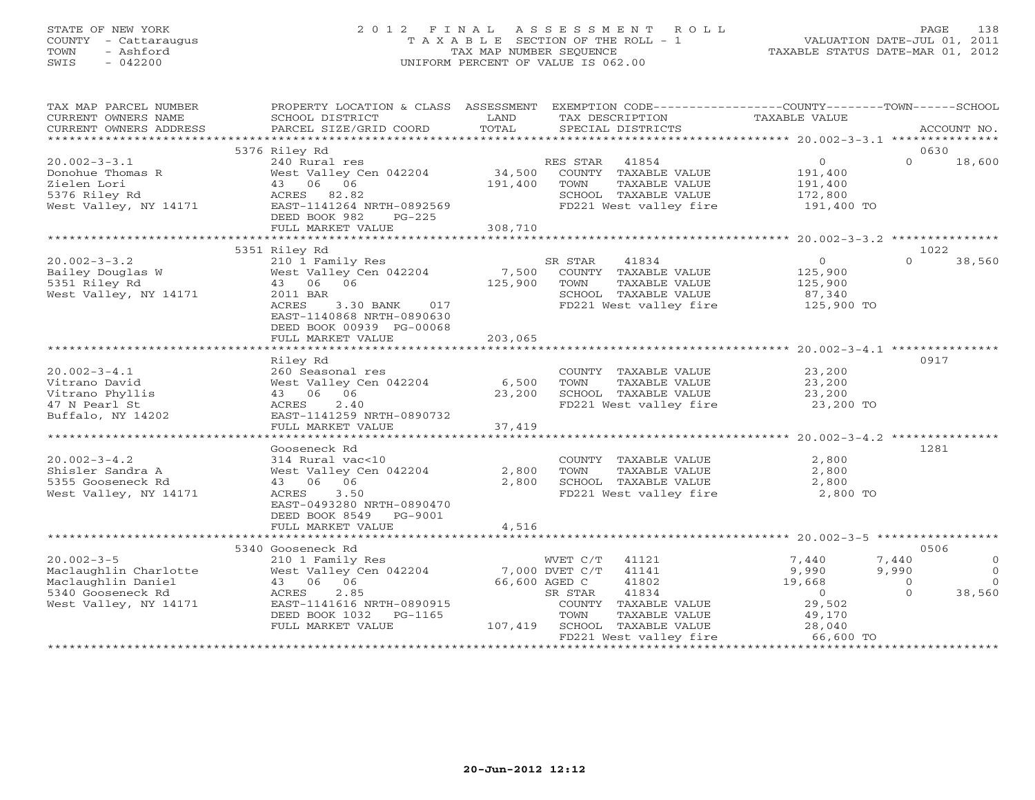## STATE OF NEW YORK 2 0 1 2 F I N A L A S S E S S M E N T R O L L PAGE 138 COUNTY - Cattaraugus T A X A B L E SECTION OF THE ROLL - 1 VALUATION DATE-JUL 01, 2011 TOWN - Ashford TAX MAP NUMBER SEQUENCE TAXABLE STATUS DATE-MAR 01, 2012 SWIS - 042200 UNIFORM PERCENT OF VALUE IS 062.00UNIFORM PERCENT OF VALUE IS 062.00

| TAX MAP PARCEL NUMBER                         | PROPERTY LOCATION & CLASS ASSESSMENT EXEMPTION CODE----------------COUNTY-------TOWN------SCHOOL |               |                                                                          |                                                                        |                  |                |                |
|-----------------------------------------------|--------------------------------------------------------------------------------------------------|---------------|--------------------------------------------------------------------------|------------------------------------------------------------------------|------------------|----------------|----------------|
| CURRENT OWNERS NAME<br>CURRENT OWNERS ADDRESS | SCHOOL DISTRICT<br>PARCEL SIZE/GRID COORD                                                        | LAND<br>TOTAL | TAX DESCRIPTION<br>SPECIAL DISTRICTS                                     |                                                                        | TAXABLE VALUE    |                | ACCOUNT NO.    |
|                                               |                                                                                                  |               |                                                                          |                                                                        |                  |                |                |
|                                               | 5376 Riley Rd                                                                                    |               |                                                                          |                                                                        |                  |                | 0630           |
| $20.002 - 3 - 3.1$                            | 240 Rural res                                                                                    |               | RES STAR 41854                                                           |                                                                        | $\overline{0}$   | $\Omega$       | 18,600         |
| Donohue Thomas R                              | West Valley Cen 042204                                                                           | 34,500        |                                                                          | COUNTY TAXABLE VALUE                                                   | 191,400          |                |                |
| Zielen Lori                                   | 43 06 06                                                                                         | 191,400       | TOWN                                                                     | TAXABLE VALUE                                                          | 191,400          |                |                |
| 5376 Riley Rd                                 | ACRES 82.82                                                                                      |               |                                                                          | SCHOOL TAXABLE VALUE                                                   | 172,800          |                |                |
| West Valley, NY 14171                         | EAST-1141264 NRTH-0892569                                                                        |               |                                                                          | FD221 West valley fire                                                 | 191,400 TO       |                |                |
|                                               | DEED BOOK 982<br>PG-225                                                                          |               |                                                                          |                                                                        |                  |                |                |
|                                               | FULL MARKET VALUE                                                                                | 308,710       |                                                                          |                                                                        |                  |                |                |
|                                               |                                                                                                  |               |                                                                          |                                                                        |                  |                |                |
|                                               | 5351 Riley Rd                                                                                    |               |                                                                          |                                                                        |                  |                | 1022           |
| $20.002 - 3 - 3.2$                            | 210 1 Family Res                                                                                 |               | SR STAR                                                                  | 41834                                                                  | $\overline{0}$   | $\Omega$       | 38,560         |
| Bailey Douglas W<br>5351 Riley Rd             | West Valley Cen 042204                                                                           | 7,500         |                                                                          | COUNTY TAXABLE VALUE                                                   | 125,900          |                |                |
| 5351 Riley Rd                                 | 43 06 06                                                                                         | 125,900       | TOWN                                                                     | TAXABLE VALUE                                                          | 125,900          |                |                |
| West Valley, NY 14171                         | 2011 BAR                                                                                         |               |                                                                          | SCHOOL TAXABLE VALUE                                                   | 87,340           |                |                |
|                                               | ACRES<br>3.30 BANK 017                                                                           |               |                                                                          | FD221 West valley fire                                                 | 125,900 TO       |                |                |
|                                               | EAST-1140868 NRTH-0890630                                                                        |               |                                                                          |                                                                        |                  |                |                |
|                                               | DEED BOOK 00939 PG-00068                                                                         |               |                                                                          |                                                                        |                  |                |                |
|                                               | FULL MARKET VALUE                                                                                | 203,065       |                                                                          |                                                                        |                  |                |                |
|                                               |                                                                                                  |               |                                                                          |                                                                        |                  |                |                |
|                                               | Riley Rd                                                                                         |               |                                                                          |                                                                        |                  |                | 0917           |
| $20.002 - 3 - 4.1$                            | 260 Seasonal res                                                                                 |               |                                                                          | COUNTY TAXABLE VALUE                                                   | 23,200<br>23,200 |                |                |
| Vitrano David                                 | West Valley Cen 042204 6,500                                                                     |               | TOWN                                                                     | TAXABLE VALUE                                                          | 23,200           |                |                |
| Vitrano Phyllis                               | 43 06 06                                                                                         | 23,200        |                                                                          | SCHOOL TAXABLE VALUE<br>SUNUUL TAXABLE VALUE<br>FD221 West valley fire | 23,200           |                |                |
| 47 N Pearl St                                 | 2.40<br>ACRES                                                                                    |               |                                                                          |                                                                        | $23,200$ TO      |                |                |
| Buffalo, NY 14202                             | EAST-1141259 NRTH-0890732                                                                        |               |                                                                          |                                                                        |                  |                |                |
|                                               | FULL MARKET VALUE                                                                                | 37,419        |                                                                          |                                                                        |                  |                |                |
|                                               |                                                                                                  |               |                                                                          |                                                                        |                  |                |                |
| $20.002 - 3 - 4.2$                            | Gooseneck Rd                                                                                     |               |                                                                          |                                                                        | 2,800            | 1281           |                |
| Shisler Sandra A                              | 314 Rural vac<10<br>West Valley Cen 042204                                                       | 2,800         | <b>TOWN</b>                                                              | COUNTY TAXABLE VALUE<br>TAXABLE VALUE                                  | 2,800            |                |                |
| 5355 Gooseneck Rd                             | 43 06 06                                                                                         | 2,800         |                                                                          |                                                                        | 2,800            |                |                |
| West Valley, NY 14171                         | ACRES<br>3.50                                                                                    |               |                                                                          | SCHOOL TAXABLE VALUE<br>FD221 West valley fire                         | 2,800 TO         |                |                |
|                                               | EAST-0493280 NRTH-0890470                                                                        |               |                                                                          |                                                                        |                  |                |                |
|                                               | DEED BOOK 8549<br>PG-9001                                                                        |               |                                                                          |                                                                        |                  |                |                |
|                                               | FULL MARKET VALUE                                                                                | 4,516         |                                                                          |                                                                        |                  |                |                |
|                                               |                                                                                                  |               |                                                                          |                                                                        |                  |                |                |
|                                               | 5340 Gooseneck Rd                                                                                |               |                                                                          |                                                                        |                  |                | 0506           |
| $20.002 - 3 - 5$                              | 210 1 Family Res                                                                                 |               |                                                                          |                                                                        | 7,440            | 7,440          | $\overline{0}$ |
| Maclaughlin Charlotte                         | West Valley Cen 042204                                                                           |               |                                                                          |                                                                        | 9,990            | 9,990          | $\Omega$       |
| Maclaughlin Daniel                            | 43 06 06                                                                                         |               | WVET C/T 41121<br>7,000 DVET C/T 41141<br>66,600 AGED C<br>66,600 AGED C |                                                                        | 19,668           | $\overline{0}$ | $\Omega$       |
| 5340 Gooseneck Rd                             | ACRES<br>2.85                                                                                    |               | SR STAR                                                                  | 41834                                                                  | $\overline{0}$   | $\Omega$       | 38,560         |
| West Valley, NY 14171                         | EAST-1141616 NRTH-0890915                                                                        |               |                                                                          | COUNTY TAXABLE VALUE                                                   | 29,502           |                |                |
|                                               | DEED BOOK 1032 PG-1165                                                                           |               | TOWN                                                                     | TAXABLE VALUE                                                          | 49,170           |                |                |
|                                               | FULL MARKET VALUE                                                                                |               |                                                                          | 107,419 SCHOOL TAXABLE VALUE                                           | 28,040           |                |                |
|                                               |                                                                                                  |               |                                                                          | FD221 West valley fire                                                 | $66,600$ TO      |                |                |
|                                               |                                                                                                  |               |                                                                          |                                                                        |                  |                |                |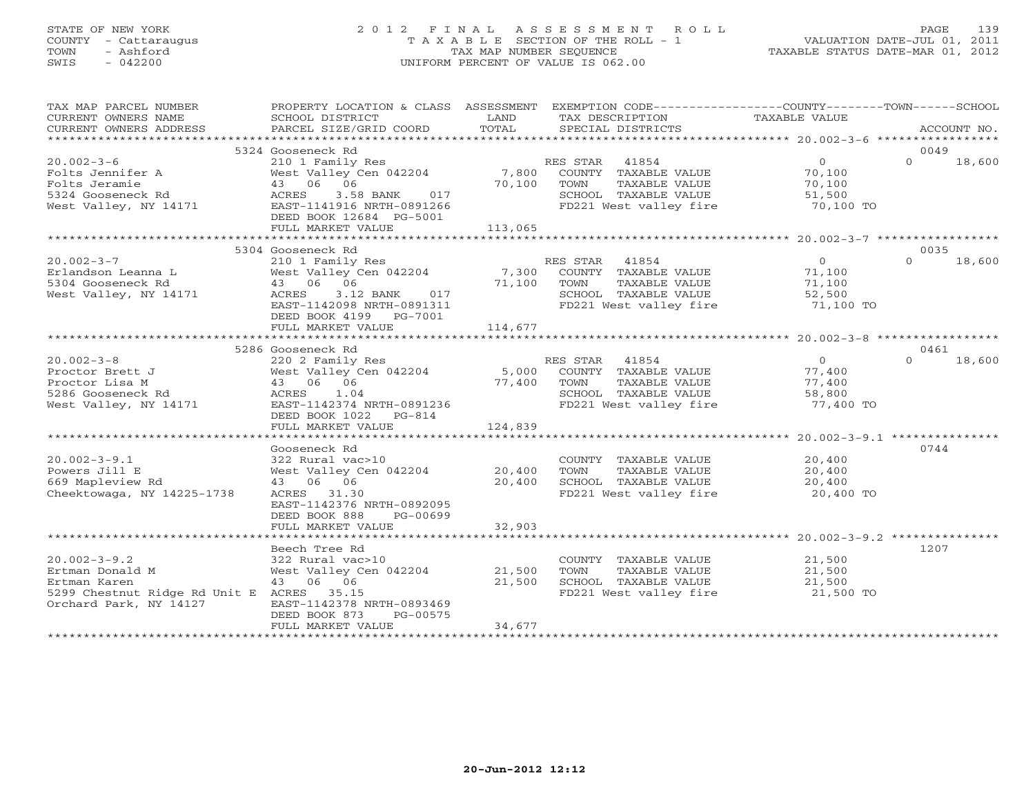## STATE OF NEW YORK 2 0 1 2 F I N A L A S S E S S M E N T R O L L PAGE 139 COUNTY - Cattaraugus T A X A B L E SECTION OF THE ROLL - 1 VALUATION DATE-JUL 01, 2011 TOWN - Ashford TAX MAP NUMBER SEQUENCE TAXABLE STATUS DATE-MAR 01, 2012 SWIS - 042200 UNIFORM PERCENT OF VALUE IS 062.00UNIFORM PERCENT OF VALUE IS 062.00

| TAX MAP PARCEL NUMBER<br>CURRENT OWNERS NAME<br>CURRENT OWNERS ADDRESS                                                       | PROPERTY LOCATION & CLASS ASSESSMENT EXEMPTION CODE---------------COUNTY-------TOWN-----SCHOOL<br>SCHOOL DISTRICT<br><b>Example 12 Distribution of the LAND</b><br>PARCEL SIZE/GRID COORD                                                                                  | TOTAL                            | TAX DESCRIPTION                        TAXABLE VALUE<br>SPECIAL DISTRICTS<br>SPECIAL DISTRICTS  |                                                                                   | ACCOUNT NO.                |
|------------------------------------------------------------------------------------------------------------------------------|----------------------------------------------------------------------------------------------------------------------------------------------------------------------------------------------------------------------------------------------------------------------------|----------------------------------|-------------------------------------------------------------------------------------------------|-----------------------------------------------------------------------------------|----------------------------|
|                                                                                                                              |                                                                                                                                                                                                                                                                            |                                  |                                                                                                 |                                                                                   |                            |
| $20.002 - 3 - 6$<br>Folts Jennifer A<br>Folts Jeramie<br>5324 Gooseneck Rd<br>West Valley, NY 14171                          | 5324 Gooseneck Rd<br>210 1 Family Res (RES STAR 41854)<br>West Valley Cen 042204 (7,800 COUNTY TAXABLE VALUE<br>43 06 06<br>3.58 BANK<br>017<br>ACRES<br>EAST-1141916 NRTH-0891266<br>DEED BOOK 12684 PG-5001<br>FULL MARKET VALUE                                         | 70,100 TOWN<br>SCHOOL<br>113,065 | TAXABLE VALUE<br>SCHOOL TAXABLE VALUE<br>FD221 West valley fire                                 | $0 \qquad \qquad$<br>70,100<br>70,100<br>51,500<br>70,100 TO                      | 0049<br>$\Omega$<br>18,600 |
|                                                                                                                              | 5304 Gooseneck Rd                                                                                                                                                                                                                                                          |                                  |                                                                                                 |                                                                                   | 0035                       |
| $20.002 - 3 - 7$<br>Erlandson Leanna L<br>5304 Gooseneck Rd<br>6 West Valley, NY 14171 (ACRES 3.12                           | Gooseneck Rd<br>210 1 Family Res<br>West Valley Cen 042204 7,300 COUNTY TAXABLE VALUE<br>43 06 06 71,100 TOWN TAXABLE VALUE<br>ACRES 3.12 BANK 017 SCHOOL TAXABLE VALUE<br>FAST-1142098 NRTH-0891311 FD221 West valley fire<br>DEED BOOK 4199 PG-7001<br>FULL MARKET VALUE | 114,677                          | SCHOOL TAXABLE VALUE<br>FD221 West valley fire                                                  | $\overline{0}$<br>$71,100$<br>$71,100$<br>71,100<br>52,500<br>52,500<br>71,100 TO | $\Omega$<br>18,600         |
|                                                                                                                              |                                                                                                                                                                                                                                                                            |                                  |                                                                                                 |                                                                                   |                            |
|                                                                                                                              | 5286 Gooseneck Rd                                                                                                                                                                                                                                                          |                                  |                                                                                                 |                                                                                   | 0461                       |
| $20.002 - 3 - 8$                                                                                                             | 220 2 Family Res<br>West Valley Cen 042204 5,000 COUNTY TAXABLE VALUE<br>43 06 06 77,400 TOWN TAXABLE VALUE<br>DEED BOOK 1022    PG-814                                                                                                                                    |                                  | TAXABLE VALUE<br>SCHOOL TAXABLE VALUE<br>FD221 West valley fire                                 | $\overline{0}$<br>77,400<br>77,400<br>58,800<br>77,400 TO                         | $\Omega$<br>18,600         |
|                                                                                                                              | FULL MARKET VALUE                                                                                                                                                                                                                                                          | 124,839                          |                                                                                                 |                                                                                   |                            |
|                                                                                                                              |                                                                                                                                                                                                                                                                            |                                  |                                                                                                 |                                                                                   |                            |
| $20.002 - 3 - 9.1$<br>Powers Jill E<br>669 Mapleview Rd<br>Cheektowaga, NY 14225-1738                                        | Gooseneck Rd<br>322 Rural vac $>10$<br>West Valley Cen 042204 20,400<br>43 06 06<br>ACRES 31.30<br>EAST-1142376 NRTH-0892095<br>DEED BOOK 888<br>PG-00699                                                                                                                  | 20,400                           | COUNTY TAXABLE VALUE<br>TAXABLE VALUE<br>TOWN<br>SCHOOL TAXABLE VALUE<br>FD221 West valley fire | 20,400<br>20,400<br>20,400<br>20,400 TO                                           | 0744                       |
|                                                                                                                              | FULL MARKET VALUE                                                                                                                                                                                                                                                          | 32,903                           |                                                                                                 |                                                                                   |                            |
|                                                                                                                              | Beech Tree Rd                                                                                                                                                                                                                                                              |                                  |                                                                                                 |                                                                                   | 1207                       |
| $20.002 - 3 - 9.2$<br>Ertman Donald M<br>Ertman Karen<br>5299 Chestnut Ridge Rd Unit E ACRES 35.15<br>Orchard Park, NY 14127 | 322 Rural vac>10<br>West Valley Cen 042204 21,500<br>43 06 06<br>EAST-1142378 NRTH-0893469<br>DEED BOOK 873<br>PG-00575<br>FULL MARKET VALUE                                                                                                                               | 21,500<br>34,677                 | COUNTY TAXABLE VALUE<br>TAXABLE VALUE<br>TOWN<br>SCHOOL TAXABLE VALUE<br>FD221 West valley fire | 21,500<br>21,500<br>21,500<br>$21,500$ TO                                         |                            |
|                                                                                                                              |                                                                                                                                                                                                                                                                            |                                  |                                                                                                 |                                                                                   |                            |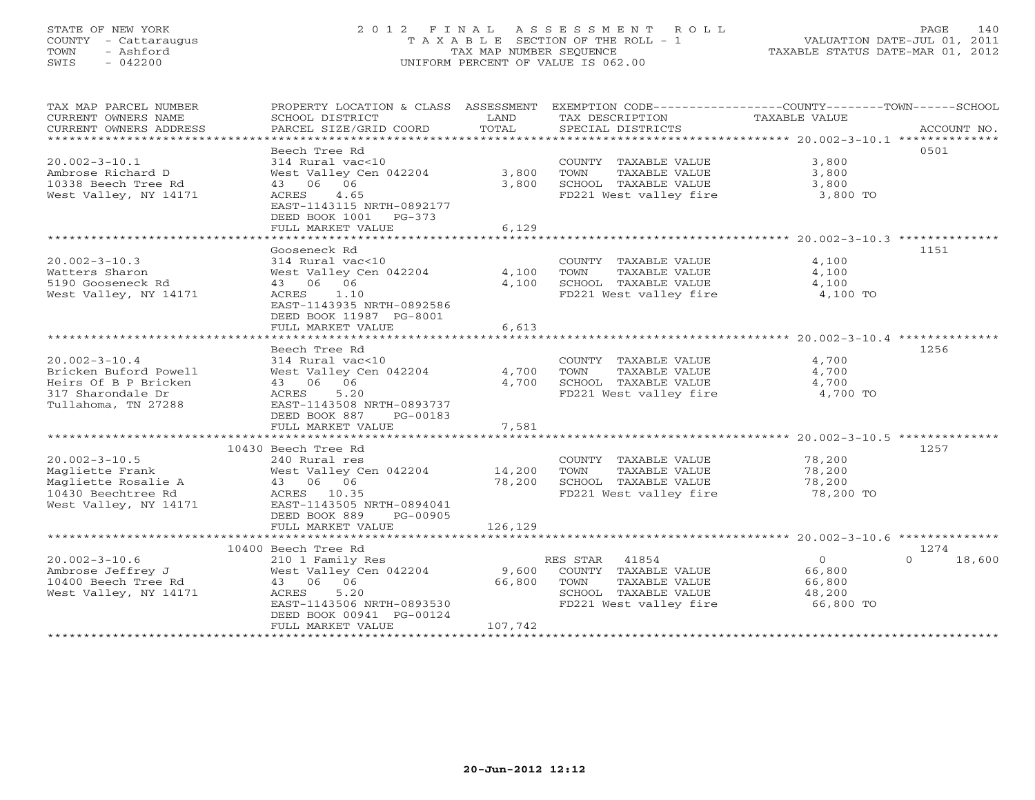## STATE OF NEW YORK 2 0 1 2 F I N A L A S S E S S M E N T R O L L PAGE 140 COUNTY - Cattaraugus T A X A B L E SECTION OF THE ROLL - 1 VALUATION DATE-JUL 01, 2011 TOWN - Ashford TAX MAP NUMBER SEQUENCE TAXABLE STATUS DATE-MAR 01, 2012 SWIS - 042200 UNIFORM PERCENT OF VALUE IS 062.00UNIFORM PERCENT OF VALUE IS 062.00

| TAX MAP PARCEL NUMBER<br>CURRENT OWNERS NAME<br>CURRENT OWNERS ADDRESS<br>****************************** | PROPERTY LOCATION & CLASS ASSESSMENT<br>SCHOOL DISTRICT<br>PARCEL SIZE/GRID COORD        | LAND<br>TOTAL    | EXEMPTION CODE-----------------COUNTY-------TOWN------SCHOOL<br>TAX DESCRIPTION<br>SPECIAL DISTRICTS | TAXABLE VALUE           | ACCOUNT NO. |
|----------------------------------------------------------------------------------------------------------|------------------------------------------------------------------------------------------|------------------|------------------------------------------------------------------------------------------------------|-------------------------|-------------|
|                                                                                                          | Beech Tree Rd                                                                            |                  |                                                                                                      |                         | 0501        |
| $20.002 - 3 - 10.1$<br>Ambrose Richard D<br>10338 Beech Tree Rd                                          | 314 Rural vac<10<br>West Valley Cen 042204<br>43 06 06                                   | 3,800<br>3,800   | COUNTY TAXABLE VALUE<br>TAXABLE VALUE<br>TOWN<br>SCHOOL TAXABLE VALUE                                | 3,800<br>3,800<br>3,800 |             |
| West Valley, NY 14171                                                                                    | ACRES<br>4.65<br>EAST-1143115 NRTH-0892177<br>DEED BOOK 1001 PG-373<br>FULL MARKET VALUE | 6,129            | FD221 West valley fire                                                                               | 3,800 TO                |             |
|                                                                                                          |                                                                                          |                  |                                                                                                      |                         |             |
|                                                                                                          | Gooseneck Rd                                                                             |                  |                                                                                                      |                         | 1151        |
| $20.002 - 3 - 10.3$                                                                                      | 314 Rural vac<10                                                                         |                  | COUNTY TAXABLE VALUE                                                                                 | 4,100                   |             |
| Watters Sharon                                                                                           | West Valley Cen 042204                                                                   | 4,100            | TOWN<br>TAXABLE VALUE                                                                                | 4,100                   |             |
| 5190 Gooseneck Rd                                                                                        | 43 06 06                                                                                 | 4,100            | SCHOOL TAXABLE VALUE                                                                                 | 4,100                   |             |
| West Valley, NY 14171                                                                                    | ACRES<br>1.10<br>EAST-1143935 NRTH-0892586<br>DEED BOOK 11987 PG-8001                    |                  | FD221 West valley fire                                                                               | 4,100 TO                |             |
|                                                                                                          | FULL MARKET VALUE                                                                        | 6,613            |                                                                                                      |                         |             |
|                                                                                                          | Beech Tree Rd                                                                            |                  |                                                                                                      |                         | 1256        |
| $20.002 - 3 - 10.4$                                                                                      | 314 Rural vac<10                                                                         |                  | COUNTY TAXABLE VALUE                                                                                 | 4,700                   |             |
| Bricken Buford Powell                                                                                    | West Valley Cen 042204                                                                   | 4,700            | TAXABLE VALUE<br>TOWN                                                                                | 4,700                   |             |
| Heirs Of B P Bricken                                                                                     | 43 06 06                                                                                 | 4,700            | SCHOOL TAXABLE VALUE                                                                                 | 4,700                   |             |
| 317 Sharondale Dr                                                                                        | ACRES<br>5.20                                                                            |                  | FD221 West valley fire                                                                               | 4,700 TO                |             |
| Tullahoma, TN 27288                                                                                      | EAST-1143508 NRTH-0893737                                                                |                  |                                                                                                      |                         |             |
|                                                                                                          | DEED BOOK 887<br>PG-00183                                                                |                  |                                                                                                      |                         |             |
|                                                                                                          | FULL MARKET VALUE                                                                        | 7,581            |                                                                                                      |                         |             |
|                                                                                                          |                                                                                          |                  |                                                                                                      |                         |             |
|                                                                                                          | 10430 Beech Tree Rd                                                                      |                  |                                                                                                      |                         | 1257        |
| $20.002 - 3 - 10.5$                                                                                      | 240 Rural res                                                                            |                  | COUNTY TAXABLE VALUE                                                                                 | 78,200                  |             |
| Magliette Frank                                                                                          | West Valley Cen 042204                                                                   | 14,200           | TOWN<br>TAXABLE VALUE                                                                                | 78,200                  |             |
| Magliette Rosalie A                                                                                      | 43 06 06                                                                                 | 78,200           | SCHOOL TAXABLE VALUE                                                                                 | 78,200                  |             |
| 10430 Beechtree Rd<br>West Valley, NY 14171                                                              | ACRES 10.35<br>EAST-1143505 NRTH-0894041<br>DEED BOOK 889<br>PG-00905                    |                  | FD221 West valley fire                                                                               | 78,200 TO               |             |
|                                                                                                          | FULL MARKET VALUE                                                                        | 126,129          |                                                                                                      |                         |             |
|                                                                                                          |                                                                                          |                  |                                                                                                      |                         |             |
|                                                                                                          | 10400 Beech Tree Rd                                                                      |                  |                                                                                                      |                         | 1274        |
| $20.002 - 3 - 10.6$                                                                                      | 210 1 Family Res                                                                         |                  | RES STAR 41854                                                                                       | $\circ$                 | 18,600      |
| Ambrose Jeffrey J                                                                                        | West Valley Cen 042204                                                                   | 9,600            | COUNTY TAXABLE VALUE                                                                                 | 66,800                  |             |
| 10400 Beech Tree Rd                                                                                      | 43 06 06                                                                                 | 66,800           | TOWN<br>TAXABLE VALUE                                                                                | 66,800                  |             |
| West Valley, NY 14171                                                                                    | ACRES<br>5.20                                                                            |                  | SCHOOL TAXABLE VALUE                                                                                 | 48,200                  |             |
|                                                                                                          | EAST-1143506 NRTH-0893530                                                                |                  | FD221 West valley fire                                                                               | 66,800 TO               |             |
|                                                                                                          | DEED BOOK 00941 PG-00124                                                                 |                  |                                                                                                      |                         |             |
|                                                                                                          | FULL MARKET VALUE                                                                        | 107,742          |                                                                                                      |                         |             |
|                                                                                                          | **************************                                                               | **************** |                                                                                                      |                         |             |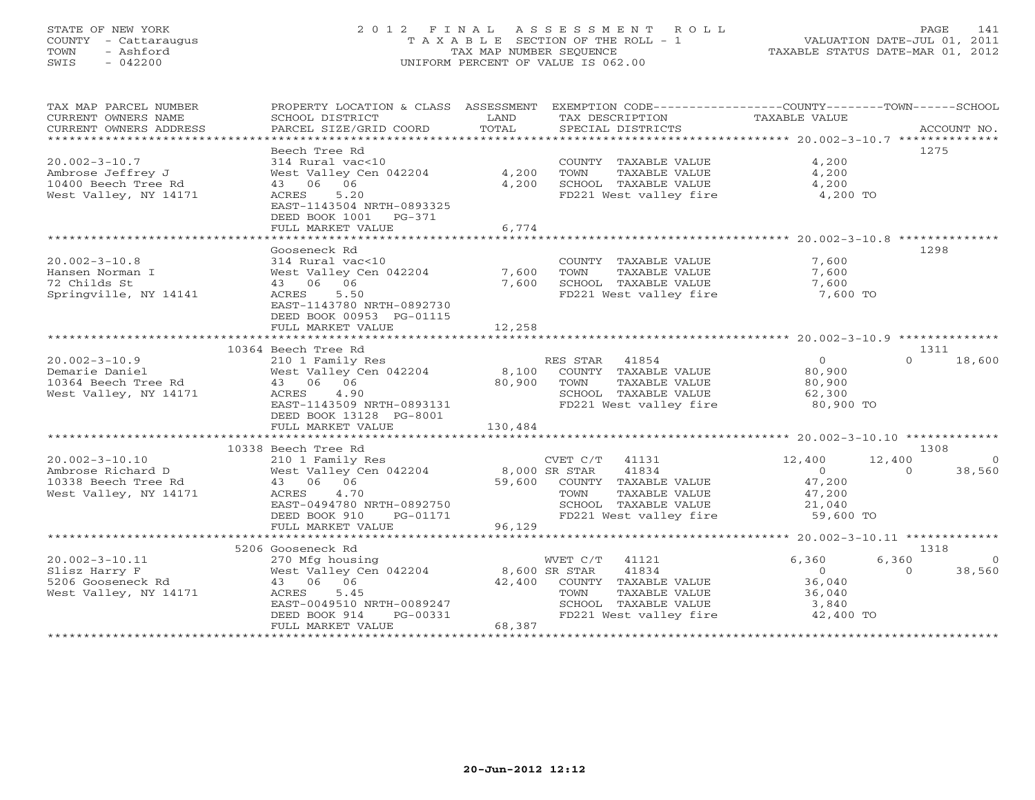## STATE OF NEW YORK 2 0 1 2 F I N A L A S S E S S M E N T R O L L PAGE 141 COUNTY - Cattaraugus T A X A B L E SECTION OF THE ROLL - 1 VALUATION DATE-JUL 01, 2011 TOWN - Ashford TAX MAP NUMBER SEQUENCE TAXABLE STATUS DATE-MAR 01, 2012 SWIS - 042200 UNIFORM PERCENT OF VALUE IS 062.00UNIFORM PERCENT OF VALUE IS 062.00

| TAX MAP PARCEL NUMBER<br>CURRENT OWNERS NAME<br>CURRENT OWNERS ADDRESS                    | PROPERTY LOCATION & CLASS ASSESSMENT EXEMPTION CODE----------------COUNTY-------TOWN------SCHOOL<br>SCHOOL DISTRICT<br>PARCEL SIZE/GRID COORD                            | LAND<br>TOTAL            | TAX DESCRIPTION<br>SPECIAL DISTRICTS                                                                                                      | TAXABLE VALUE                                                       | ACCOUNT NO.                                    |
|-------------------------------------------------------------------------------------------|--------------------------------------------------------------------------------------------------------------------------------------------------------------------------|--------------------------|-------------------------------------------------------------------------------------------------------------------------------------------|---------------------------------------------------------------------|------------------------------------------------|
| $20.002 - 3 - 10.7$<br>Ambrose Jeffrey J<br>10400 Beech Tree Rd<br>West Valley, NY 14171  | Beech Tree Rd<br>314 Rural vac<10<br>West Valley Cen 042204<br>43 06 06<br>ACRES<br>5.20<br>EAST-1143504 NRTH-0893325<br>DEED BOOK 1001<br>$PG-371$<br>FULL MARKET VALUE | 4,200<br>4,200<br>6,774  | COUNTY TAXABLE VALUE<br>TOWN<br>TAXABLE VALUE<br>SCHOOL TAXABLE VALUE<br>FD221 West valley fire                                           | 4,200<br>4,200<br>4,200<br>4,200 TO                                 | 1275                                           |
|                                                                                           | Gooseneck Rd                                                                                                                                                             |                          |                                                                                                                                           |                                                                     | 1298                                           |
| $20.002 - 3 - 10.8$<br>Hansen Norman I<br>72 Childs St<br>Springville, NY 14141           | 314 Rural vac<10<br>West Valley Cen 042204<br>43 06 06<br>ACRES<br>5.50<br>EAST-1143780 NRTH-0892730<br>DEED BOOK 00953 PG-01115<br>FULL MARKET VALUE                    | 7,600<br>7,600<br>12,258 | COUNTY TAXABLE VALUE<br>TOWN<br>TAXABLE VALUE<br>SCHOOL TAXABLE VALUE<br>FD221 West valley fire 7,600 TO                                  | 7,600<br>7,600<br>7,600                                             |                                                |
|                                                                                           |                                                                                                                                                                          |                          |                                                                                                                                           |                                                                     |                                                |
| $20.002 - 3 - 10.9$<br>Demarie Daniel<br>10364 Beech Tree Rd<br>West Valley, NY 14171     | 10364 Beech Tree Rd<br>210 1 Family Res<br>West Valley Cen 042204<br>West Valley C<br>43 06 06<br>4.90<br>ACRES<br>EAST-1143509 NRTH-0893131<br>DEED BOOK 13128 PG-8001  | 8,100<br>80,900          | RES STAR 41854<br>COUNTY TAXABLE VALUE<br>TAXABLE VALUE<br>TOWN<br>SCHOOL TAXABLE VALUE<br>SCHOOL TAXABLE VALUE<br>FD221 West valley fire | $\overline{0}$<br>80,900<br>80,900<br>62,300<br>80,900 TO           | 1311<br>$\Omega$<br>18,600                     |
|                                                                                           | FULL MARKET VALUE                                                                                                                                                        | 130,484                  |                                                                                                                                           |                                                                     |                                                |
|                                                                                           | 10338 Beech Tree Rd                                                                                                                                                      |                          |                                                                                                                                           |                                                                     | 1308                                           |
| $20.002 - 3 - 10.10$<br>Ambrose Richard D<br>10338 Beech Tree Rd<br>West Valley, NY 14171 | 210 1 Family Res<br>West Valley Cen 042204<br>43 06 06<br>ACRES<br>4.70<br>EAST-0494780 NRTH-0892750<br>DEED BOOK 910<br>PG-01171                                        | 8,000 SR STAR<br>59,600  | CVET C/T<br>41131<br>41834<br>COUNTY TAXABLE VALUE<br>TOWN<br>TAXABLE VALUE<br>SCHOOL TAXABLE VALUE<br>FD221 West valley fire             | 12,400<br>$\overline{0}$<br>47,200<br>47,200<br>21,040<br>59,600 TO | 12,400<br>$\overline{0}$<br>$\Omega$<br>38,560 |
|                                                                                           | FULL MARKET VALUE                                                                                                                                                        | 96,129                   |                                                                                                                                           |                                                                     |                                                |
|                                                                                           | 5206 Gooseneck Rd                                                                                                                                                        |                          |                                                                                                                                           |                                                                     | 1318                                           |
| $20.002 - 3 - 10.11$<br>Slisz Harry F<br>5206 Gooseneck Rd<br>West Valley, NY 14171       | 270 Mfg housing<br>West Valley Cen 042204 8,600 SR STAR<br>43 06 06<br>ACRES<br>5.45<br>EAST-0049510 NRTH-0089247<br>DEED BOOK 914<br>PG-00331<br>FULL MARKET VALUE      | 42,400<br>68,387         | WVET C/T 41121<br>41834<br>COUNTY TAXABLE VALUE<br>TAXABLE VALUE<br>TOWN<br>Under Taxable Value<br>FD221 West valley fire                 | 6,360<br>$\overline{0}$<br>36,040<br>36,040<br>3,840<br>42,400 TO   | 6,360<br>$\overline{0}$<br>38,560<br>$\Omega$  |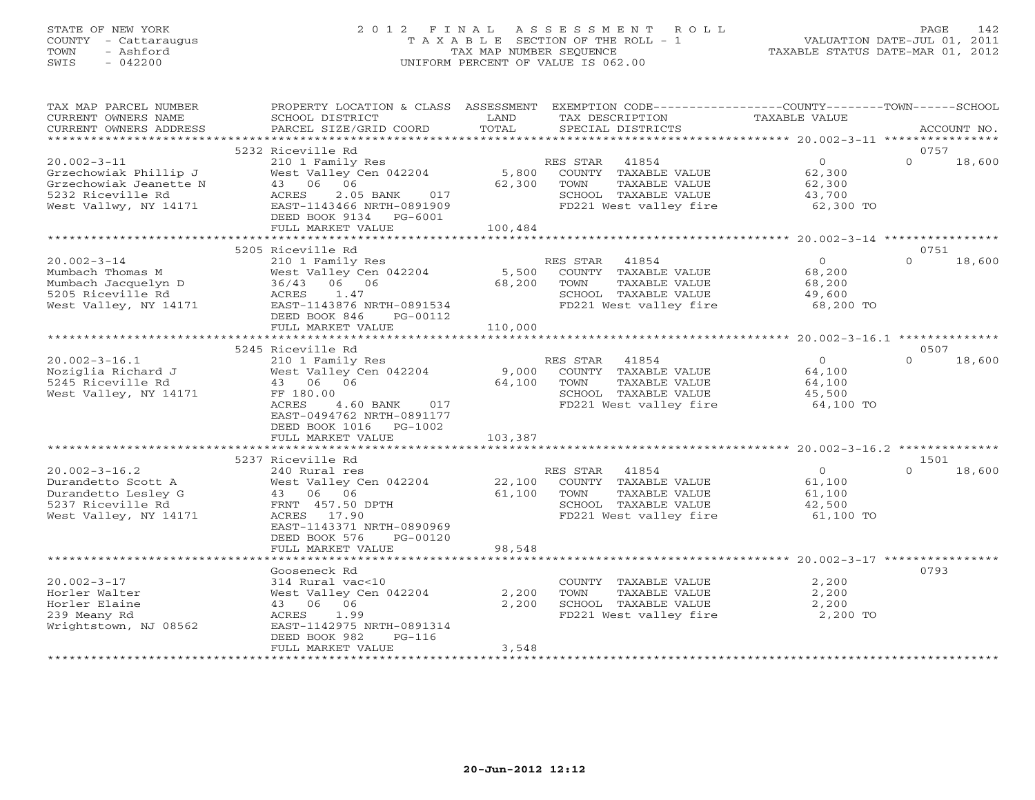## STATE OF NEW YORK 2 0 1 2 F I N A L A S S E S S M E N T R O L L PAGE 142 COUNTY - Cattaraugus T A X A B L E SECTION OF THE ROLL - 1 VALUATION DATE-JUL 01, 2011 TOWN - Ashford TAX MAP NUMBER SEQUENCE TAXABLE STATUS DATE-MAR 01, 2012 SWIS - 042200 UNIFORM PERCENT OF VALUE IS 062.00UNIFORM PERCENT OF VALUE IS 062.00

| TAX MAP PARCEL NUMBER                          | PROPERTY LOCATION & CLASS ASSESSMENT                |                 | EXEMPTION CODE-----------------COUNTY-------TOWN------SCHOOL |                      |                    |
|------------------------------------------------|-----------------------------------------------------|-----------------|--------------------------------------------------------------|----------------------|--------------------|
| CURRENT OWNERS NAME                            | SCHOOL DISTRICT                                     | LAND            | TAX DESCRIPTION                                              | <b>TAXABLE VALUE</b> |                    |
| CURRENT OWNERS ADDRESS<br>******************** | PARCEL SIZE/GRID COORD<br>***********************   | TOTAL           | SPECIAL DISTRICTS                                            |                      | ACCOUNT NO.        |
|                                                | 5232 Riceville Rd                                   |                 |                                                              |                      | 0757               |
| $20.002 - 3 - 11$                              | 210 1 Family Res                                    |                 | RES STAR<br>41854                                            | $\overline{O}$       | $\Omega$<br>18,600 |
| Grzechowiak Phillip J                          | West Valley Cen 042204                              | 5,800           | COUNTY TAXABLE VALUE                                         | 62,300               |                    |
| Grzechowiak Jeanette N                         | 43 06 06                                            | 62,300          | TOWN<br>TAXABLE VALUE                                        | 62,300               |                    |
| 5232 Riceville Rd                              | 2.05 BANK<br>ACRES<br>017                           |                 | SCHOOL TAXABLE VALUE                                         | 43,700               |                    |
| West Vallwy, NY 14171                          | EAST-1143466 NRTH-0891909                           |                 | FD221 West valley fire                                       | 62,300 TO            |                    |
|                                                | DEED BOOK 9134 PG-6001                              |                 |                                                              |                      |                    |
|                                                | FULL MARKET VALUE                                   | 100,484         |                                                              |                      |                    |
|                                                |                                                     |                 |                                                              |                      |                    |
|                                                | 5205 Riceville Rd                                   |                 |                                                              |                      | 0751               |
| $20.002 - 3 - 14$                              | 210 1 Family Res<br>West Valley Cen 042204          |                 | RES STAR<br>41854                                            | $\Omega$             | $\Omega$<br>18,600 |
| Mumbach Thomas M<br>Mumbach Jacquelyn D        | 36/43 06 06                                         | 5,500<br>68,200 | COUNTY TAXABLE VALUE<br>TAXABLE VALUE<br>TOWN                | 68,200<br>68,200     |                    |
| 5205 Riceville Rd                              | 1.47<br>ACRES                                       |                 | SCHOOL TAXABLE VALUE                                         | 49,600               |                    |
| West Valley, NY 14171                          | EAST-1143876 NRTH-0891534                           |                 | FD221 West valley fire                                       | 68,200 TO            |                    |
|                                                | DEED BOOK 846<br>PG-00112                           |                 |                                                              |                      |                    |
|                                                | FULL MARKET VALUE                                   | 110,000         |                                                              |                      |                    |
|                                                |                                                     |                 |                                                              |                      |                    |
|                                                | 5245 Riceville Rd                                   |                 |                                                              |                      | 0507               |
| $20.002 - 3 - 16.1$                            | 210 1 Family Res                                    |                 | RES STAR 41854                                               | $\overline{0}$       | $\Omega$<br>18,600 |
| Noziglia Richard J                             | West Valley Cen 042204                              | 9,000           | COUNTY TAXABLE VALUE                                         | 64,100               |                    |
| 5245 Riceville Rd                              | 43 06 06                                            | 64,100          | TOWN<br>TAXABLE VALUE                                        | 64,100               |                    |
| West Valley, NY 14171                          | FF 180.00                                           |                 | SCHOOL TAXABLE VALUE                                         | 45,500               |                    |
|                                                | $4.60$ BANK<br>ACRES<br>017                         |                 | FD221 West valley fire                                       | 64,100 TO            |                    |
|                                                | EAST-0494762 NRTH-0891177<br>DEED BOOK 1016 PG-1002 |                 |                                                              |                      |                    |
|                                                | FULL MARKET VALUE                                   | 103,387         |                                                              |                      |                    |
|                                                |                                                     |                 |                                                              |                      |                    |
|                                                | 5237 Riceville Rd                                   |                 |                                                              |                      | 1501               |
| $20.002 - 3 - 16.2$                            | 240 Rural res                                       |                 | RES STAR<br>41854                                            | $\overline{0}$       | 18,600<br>$\Omega$ |
| Durandetto Scott A                             | West Valley Cen 042204                              | 22,100          | COUNTY TAXABLE VALUE                                         | 61,100               |                    |
| Durandetto Lesley G                            | 43 06 06                                            | 61,100          | TAXABLE VALUE<br>TOWN                                        | 61,100               |                    |
| 5237 Riceville Rd                              | FRNT 457.50 DPTH                                    |                 | SCHOOL TAXABLE VALUE                                         | 42,500               |                    |
| West Valley, NY 14171                          | ACRES 17.90                                         |                 | FD221 West valley fire                                       | 61,100 TO            |                    |
|                                                | EAST-1143371 NRTH-0890969                           |                 |                                                              |                      |                    |
|                                                | DEED BOOK 576<br>PG-00120                           |                 |                                                              |                      |                    |
|                                                | FULL MARKET VALUE                                   | 98,548          |                                                              |                      |                    |
|                                                | Gooseneck Rd                                        |                 |                                                              |                      | 0793               |
| $20.002 - 3 - 17$                              | 314 Rural vac<10                                    |                 | COUNTY TAXABLE VALUE                                         | 2,200                |                    |
| Horler Walter                                  | West Valley Cen 042204                              | 2,200           | TAXABLE VALUE<br>TOWN                                        | 2,200                |                    |
| Horler Elaine                                  | 43 06 06                                            | 2,200           | SCHOOL TAXABLE VALUE                                         | 2,200                |                    |
| 239 Meany Rd                                   | ACRES<br>1.99                                       |                 | FD221 West valley fire                                       | 2,200 TO             |                    |
| Wrightstown, NJ 08562                          | EAST-1142975 NRTH-0891314                           |                 |                                                              |                      |                    |
|                                                | DEED BOOK 982<br>$PG-116$                           |                 |                                                              |                      |                    |
|                                                | FULL MARKET VALUE                                   | 3,548           |                                                              |                      |                    |
|                                                |                                                     |                 |                                                              |                      |                    |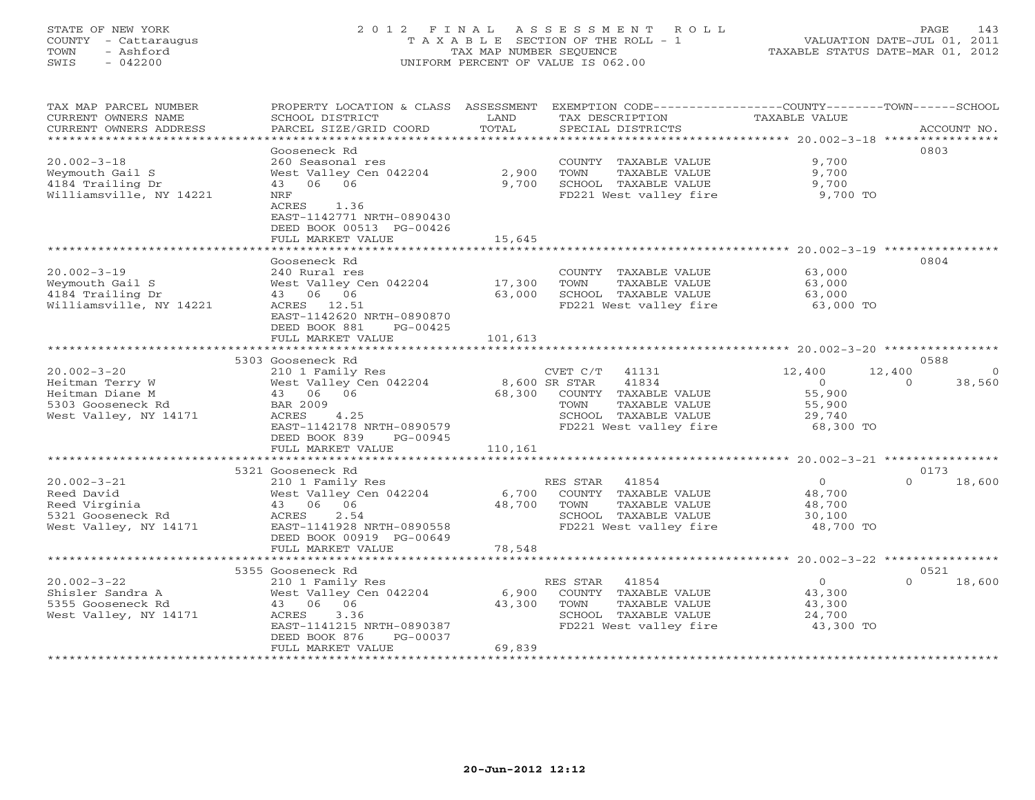## STATE OF NEW YORK 2 0 1 2 F I N A L A S S E S S M E N T R O L L PAGE 143 COUNTY - Cattaraugus T A X A B L E SECTION OF THE ROLL - 1 VALUATION DATE-JUL 01, 2011 TOWN - Ashford TAX MAP NUMBER SEQUENCE TAXABLE STATUS DATE-MAR 01, 2012 SWIS - 042200 UNIFORM PERCENT OF VALUE IS 062.00UNIFORM PERCENT OF VALUE IS 062.00

| TAX MAP PARCEL NUMBER<br>CURRENT OWNERS NAME | PROPERTY LOCATION & CLASS ASSESSMENT<br>SCHOOL DISTRICT | LAND    | EXEMPTION CODE-----------------COUNTY-------TOWN------SCHOOL<br>TAX DESCRIPTION | TAXABLE VALUE       |                          |
|----------------------------------------------|---------------------------------------------------------|---------|---------------------------------------------------------------------------------|---------------------|--------------------------|
| CURRENT OWNERS ADDRESS                       | PARCEL SIZE/GRID COORD                                  | TOTAL   | SPECIAL DISTRICTS                                                               |                     | ACCOUNT NO.              |
| **********************                       | Gooseneck Rd                                            |         |                                                                                 |                     | 0803                     |
| $20.002 - 3 - 18$                            | 260 Seasonal res                                        |         | COUNTY TAXABLE VALUE                                                            | 9,700               |                          |
| Weymouth Gail S                              | West Valley Cen 042204                                  | 2,900   | TOWN<br>TAXABLE VALUE                                                           | 9,700               |                          |
| 4184 Trailing Dr                             | 43 06 06                                                | 9,700   | SCHOOL TAXABLE VALUE                                                            | 9,700               |                          |
| Williamsville, NY 14221                      | NRF                                                     |         | FD221 West valley fire                                                          | 9,700 TO            |                          |
|                                              | ACRES<br>1.36                                           |         |                                                                                 |                     |                          |
|                                              | EAST-1142771 NRTH-0890430                               |         |                                                                                 |                     |                          |
|                                              | DEED BOOK 00513 PG-00426                                |         |                                                                                 |                     |                          |
|                                              | FULL MARKET VALUE                                       | 15,645  |                                                                                 |                     |                          |
|                                              |                                                         |         |                                                                                 |                     |                          |
|                                              | Gooseneck Rd                                            |         |                                                                                 | 63,000              | 0804                     |
| $20.002 - 3 - 19$<br>Weymouth Gail S         | 240 Rural res<br>West Valley Cen 042204                 | 17,300  | COUNTY TAXABLE VALUE<br>TAXABLE VALUE<br>TOWN                                   | 63,000              |                          |
| 4184 Trailing Dr                             | 43 06 06                                                | 63,000  | SCHOOL TAXABLE VALUE                                                            | 63,000              |                          |
| Williamsville, NY 14221                      | ACRES 12.51                                             |         | FD221 West valley fire                                                          | 63,000 TO           |                          |
|                                              | EAST-1142620 NRTH-0890870                               |         |                                                                                 |                     |                          |
|                                              | DEED BOOK 881<br>PG-00425                               |         |                                                                                 |                     |                          |
|                                              | FULL MARKET VALUE                                       | 101,613 |                                                                                 |                     |                          |
|                                              |                                                         |         |                                                                                 |                     |                          |
|                                              | 5303 Gooseneck Rd                                       |         |                                                                                 |                     | 0588                     |
| $20.002 - 3 - 20$                            | 210 1 Family Res                                        |         | $CVET C/T$ 41131                                                                | 12,400              | 12,400<br>$\overline{0}$ |
| Heitman Terry W                              | West Valley Cen 042204                                  |         | 8,600 SR STAR<br>41834                                                          | $\overline{O}$      | $\Omega$<br>38,560       |
| Heitman Diane M<br>5303 Gooseneck Rd         | 43 06 06<br>BAR 2009                                    | 68,300  | COUNTY TAXABLE VALUE<br>TAXABLE VALUE<br>TOWN                                   | 55,900<br>55,900    |                          |
| West Valley, NY 14171                        | ACRES<br>4.25                                           |         | SCHOOL TAXABLE VALUE                                                            | 29,740              |                          |
|                                              | EAST-1142178 NRTH-0890579                               |         | FD221 West valley fire                                                          | 68,300 TO           |                          |
|                                              | DEED BOOK 839<br>PG-00945                               |         |                                                                                 |                     |                          |
|                                              | FULL MARKET VALUE                                       | 110,161 |                                                                                 |                     |                          |
|                                              |                                                         |         |                                                                                 |                     |                          |
|                                              | 5321 Gooseneck Rd                                       |         |                                                                                 |                     | 0173                     |
| $20.002 - 3 - 21$                            | 210 1 Family Res                                        |         | RES STAR 41854                                                                  | $\overline{0}$      | $\Omega$<br>18,600       |
| Reed David                                   | West Valley Cen 042204                                  | 6,700   | COUNTY TAXABLE VALUE                                                            | 48,700              |                          |
| Reed Virginia<br>5321 Gooseneck Rd           | 43 06 06<br>ACRES<br>2.54                               | 48,700  | TOWN<br>TAXABLE VALUE<br>SCHOOL TAXABLE VALUE                                   | 48,700<br>30,100    |                          |
| West Valley, NY 14171                        | EAST-1141928 NRTH-0890558                               |         | FD221 West valley fire                                                          | 48,700 TO           |                          |
|                                              | DEED BOOK 00919 PG-00649                                |         |                                                                                 |                     |                          |
|                                              | FULL MARKET VALUE                                       | 78,548  |                                                                                 |                     |                          |
|                                              | ************************                                |         |                                                                                 |                     |                          |
|                                              | 5355 Gooseneck Rd                                       |         |                                                                                 |                     | 0521                     |
| $20.002 - 3 - 22$                            | 210 1 Family Res                                        |         | RES STAR 41854                                                                  | $\overline{0}$      | $\Omega$<br>18,600       |
| Shisler Sandra A                             | West Valley Cen 042204                                  | 6,900   | COUNTY TAXABLE VALUE                                                            | 43,300              |                          |
| 5355 Gooseneck Rd                            | 43 06 06                                                | 43,300  | TOWN<br>TAXABLE VALUE                                                           | 43,300              |                          |
| West Valley, NY 14171                        | ACRES<br>3.36<br>EAST-1141215 NRTH-0890387              |         | SCHOOL TAXABLE VALUE<br>FD221 West valley fire                                  | 24,700<br>43,300 TO |                          |
|                                              | DEED BOOK 876<br>PG-00037                               |         |                                                                                 |                     |                          |
|                                              | FULL MARKET VALUE                                       | 69,839  |                                                                                 |                     |                          |
|                                              |                                                         |         |                                                                                 |                     |                          |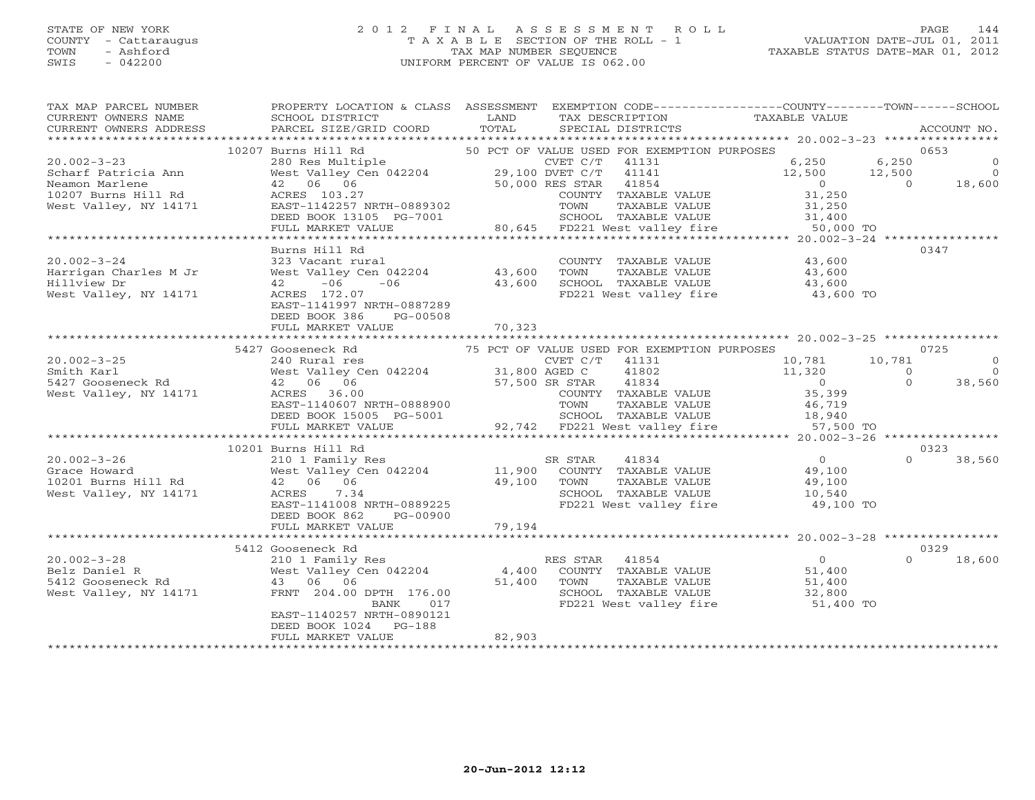#### STATE OF NEW YORK 2 0 1 2 F I N A L A S S E S S M E N T R O L L PAGE 144 COUNTY - Cattaraugus T A X A B L E SECTION OF THE ROLL - 1 VALUATION DATE-JUL 01, 2011 TOWN - Ashford TAX MAP NUMBER SEQUENCE TAXABLE STATUS DATE-MAR 01, 2012 SWIS - 042200 UNIFORM PERCENT OF VALUE IS 062.00UNIFORM PERCENT OF VALUE IS 062.00

| TAX MAP PARCEL NUMBER<br>CURRENT OWNERS NAME<br>CURRENT OWNERS ADDRESS | PROPERTY LOCATION & CLASS ASSESSMENT<br>SCHOOL DISTRICT<br>PARCEL SIZE/GRID COORD | LAND<br>TOTAL | EXEMPTION CODE-----------------COUNTY-------TOWN------SCHOOL<br>TAX DESCRIPTION<br>SPECIAL DISTRICTS | TAXABLE VALUE            | ACCOUNT NO.                               |
|------------------------------------------------------------------------|-----------------------------------------------------------------------------------|---------------|------------------------------------------------------------------------------------------------------|--------------------------|-------------------------------------------|
|                                                                        |                                                                                   |               |                                                                                                      |                          |                                           |
|                                                                        | 10207 Burns Hill Rd                                                               |               | 50 PCT OF VALUE USED FOR EXEMPTION PURPOSES                                                          |                          | 0653                                      |
| $20.002 - 3 - 23$                                                      | 280 Res Multiple                                                                  |               | CVET C/T<br>41131                                                                                    | 6,250                    | 6,250<br>$\overline{0}$<br>$\overline{0}$ |
| Scharf Patricia Ann                                                    | West Valley Cen 042204 29,100 DVET C/T                                            |               | 41141                                                                                                | 12,500<br>$\overline{O}$ | 12,500<br>18,600<br>$\Omega$              |
| Neamon Marlene                                                         | 42 06 06                                                                          |               | 50,000 RES STAR<br>41854                                                                             |                          |                                           |
| 10207 Burns Hill Rd                                                    | ACRES 103.27<br>EAST-1142257 NRTH-0889302                                         |               | COUNTY TAXABLE VALUE<br>TOWN                                                                         | 31,250                   |                                           |
| West Valley, NY 14171                                                  |                                                                                   |               | TAXABLE VALUE                                                                                        | 31,250                   |                                           |
|                                                                        | DEED BOOK 13105 PG-7001<br>FULL MARKET VALUE                                      |               | SCHOOL TAXABLE VALUE<br>80,645 FD221 West valley fire                                                | 31,400<br>50,000 TO      |                                           |
|                                                                        | ***************************                                                       |               |                                                                                                      |                          |                                           |
|                                                                        | Burns Hill Rd                                                                     |               |                                                                                                      |                          | 0347                                      |
| $20.002 - 3 - 24$                                                      | 323 Vacant rural                                                                  |               |                                                                                                      | 43,600                   |                                           |
|                                                                        | West Valley Cen 042204                                                            | 43,600        | COUNTY TAXABLE VALUE<br>TOWN<br>TAXABLE VALUE                                                        | 43,600                   |                                           |
| Harrigan Charles M Jr<br>Hillview Dr                                   | $-06$<br>$-06$<br>42                                                              | 43,600        | SCHOOL TAXABLE VALUE                                                                                 |                          |                                           |
| West Valley, NY 14171                                                  | ACRES 172.07                                                                      |               | SCHOOL TAXABLE VALUE<br>FD221 West valley fire                                                       | 43,600<br>43,600 TO      |                                           |
|                                                                        | EAST-1141997 NRTH-0887289                                                         |               |                                                                                                      |                          |                                           |
|                                                                        | DEED BOOK 386<br>PG-00508                                                         |               |                                                                                                      |                          |                                           |
|                                                                        | FULL MARKET VALUE                                                                 | 70,323        |                                                                                                      |                          |                                           |
|                                                                        |                                                                                   |               |                                                                                                      |                          |                                           |
|                                                                        | 5427 Gooseneck Rd                                                                 |               | 75 PCT OF VALUE USED FOR EXEMPTION PURPOSES                                                          |                          | 0725                                      |
| $20.002 - 3 - 25$                                                      | 240 Rural res                                                                     |               | CVET C/T 41131                                                                                       | 10,781                   | 10,781<br>$\circ$                         |
| Smith Karl                                                             |                                                                                   |               | 41802                                                                                                | 11,320                   | $\Omega$<br>$\circ$                       |
| 5427 Gooseneck Rd                                                      | West Valley Cen 042204 31,800 AGED C<br>42 06 06 57,500 SR STAR                   |               | 41834                                                                                                | $\overline{0}$           | $\Omega$<br>38,560                        |
| West Valley, NY 14171                                                  | ACRES 36.00                                                                       |               | COUNTY TAXABLE VALUE                                                                                 | 35,399                   |                                           |
|                                                                        | EAST-1140607 NRTH-0888900                                                         |               | TAXABLE VALUE<br>TOWN                                                                                | 46,719                   |                                           |
|                                                                        | DEED BOOK 15005 PG-5001                                                           |               |                                                                                                      |                          |                                           |
|                                                                        | FULL MARKET VALUE                                                                 |               |                                                                                                      |                          |                                           |
|                                                                        |                                                                                   |               |                                                                                                      |                          |                                           |
|                                                                        | 10201 Burns Hill Rd                                                               |               |                                                                                                      |                          | 0323                                      |
| $20.002 - 3 - 26$                                                      | 210 1 Family Res                                                                  |               | SR STAR<br>41834                                                                                     | $\overline{0}$           | $\Omega$<br>38,560                        |
| Grace Howard                                                           | West Valley Cen 042204                                                            | 11,900        | COUNTY TAXABLE VALUE                                                                                 | 49,100                   |                                           |
| 10201 Burns Hill Rd                                                    | 42 06 06                                                                          | 49,100        | TOWN<br>TAXABLE VALUE                                                                                | 49,100                   |                                           |
| West Valley, NY 14171                                                  | 7.34<br>ACRES                                                                     |               | SCHOOL TAXABLE VALUE                                                                                 | 10,540                   |                                           |
|                                                                        | EAST-1141008 NRTH-0889225                                                         |               | FD221 West valley fire                                                                               | 49,100 TO                |                                           |
|                                                                        | DEED BOOK 862<br>PG-00900                                                         |               |                                                                                                      |                          |                                           |
|                                                                        | FULL MARKET VALUE                                                                 | 79,194        |                                                                                                      |                          |                                           |
|                                                                        |                                                                                   |               |                                                                                                      |                          |                                           |
|                                                                        | 5412 Gooseneck Rd                                                                 |               |                                                                                                      |                          | 0329                                      |
| $20.002 - 3 - 28$                                                      | 210 1 Family Res                                                                  |               | 41854<br>RES STAR                                                                                    | $\overline{0}$           | 18,600<br>$\Omega$                        |
| Belz Daniel R                                                          | West Valley Cen 042204                                                            | 4,400         | COUNTY TAXABLE VALUE                                                                                 | 51,400                   |                                           |
| 5412 Gooseneck Rd                                                      | 43 06 06                                                                          | 51,400        | TOWN<br>TAXABLE VALUE                                                                                | 51,400                   |                                           |
| West Valley, NY 14171                                                  | FRNT 204.00 DPTH 176.00                                                           |               | SCHOOL TAXABLE VALUE                                                                                 | 32,800                   |                                           |
|                                                                        | BANK<br>017                                                                       |               | FD221 West valley fire                                                                               | $51,400$ TO              |                                           |
|                                                                        | EAST-1140257 NRTH-0890121                                                         |               |                                                                                                      |                          |                                           |
|                                                                        | DEED BOOK 1024<br>$PG-188$                                                        |               |                                                                                                      |                          |                                           |
|                                                                        | FULL MARKET VALUE                                                                 | 82,903        |                                                                                                      |                          |                                           |
|                                                                        |                                                                                   |               |                                                                                                      |                          |                                           |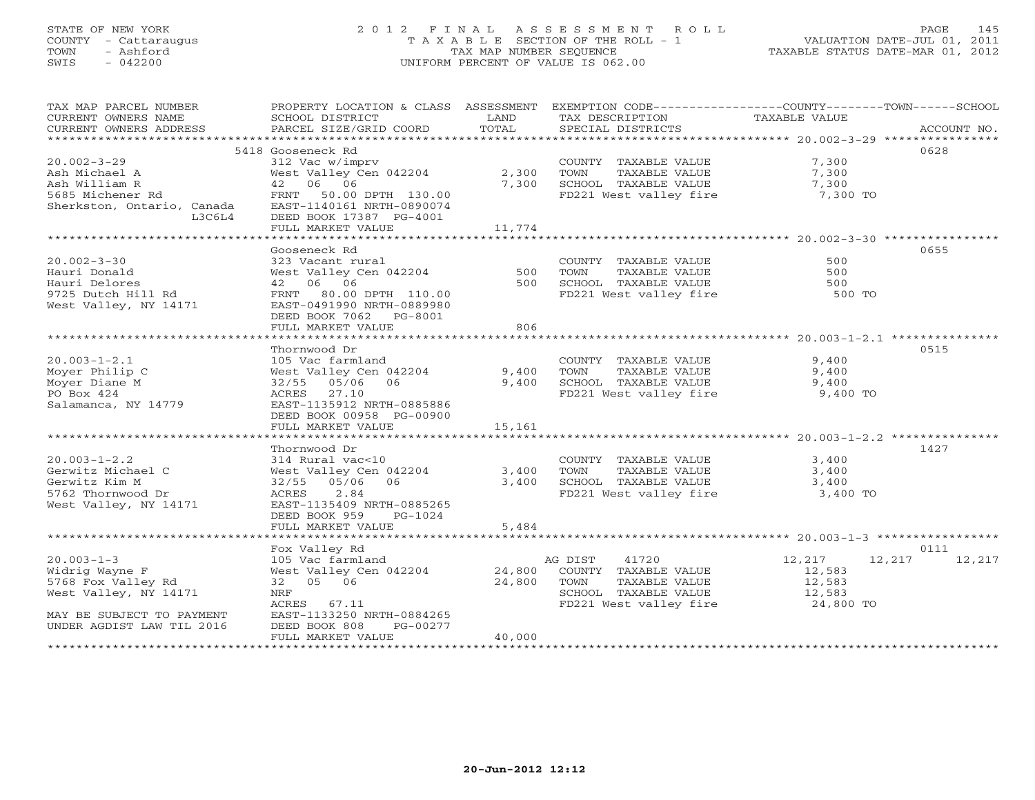# STATE OF NEW YORK 2 0 1 2 F I N A L A S S E S S M E N T R O L L PAGE 145 COUNTY - Cattaraugus T A X A B L E SECTION OF THE ROLL - 1 VALUATION DATE-JUL 01, 2011 TOWN - Ashford TAX MAP NUMBER SEQUENCE TAXABLE STATUS DATE-MAR 01, 2012 SWIS - 042200 UNIFORM PERCENT OF VALUE IS 062.00UNIFORM PERCENT OF VALUE IS 062.00

| TAX MAP PARCEL NUMBER<br>CURRENT OWNERS NAME<br>CURRENT OWNERS ADDRESS | PROPERTY LOCATION & CLASS ASSESSMENT<br>SCHOOL DISTRICT<br>PARCEL SIZE/GRID COORD | LAND<br>TOTAL | EXEMPTION CODE-----------------COUNTY-------TOWN------SCHOOL<br>TAX DESCRIPTION<br>SPECIAL DISTRICTS | <b>TAXABLE VALUE</b> | ACCOUNT NO. |
|------------------------------------------------------------------------|-----------------------------------------------------------------------------------|---------------|------------------------------------------------------------------------------------------------------|----------------------|-------------|
|                                                                        |                                                                                   |               |                                                                                                      |                      |             |
|                                                                        | 5418 Gooseneck Rd                                                                 |               |                                                                                                      |                      | 0628        |
| $20.002 - 3 - 29$                                                      | 312 Vac w/imprv                                                                   |               | COUNTY TAXABLE VALUE                                                                                 | 7,300                |             |
| Ash Michael A                                                          | West Valley Cen 042204                                                            | 2,300         | TOWN<br>TAXABLE VALUE                                                                                | 7,300                |             |
| Ash William R                                                          | 42 06 06                                                                          | 7,300         | SCHOOL TAXABLE VALUE                                                                                 | 7,300                |             |
| 5685 Michener Rd                                                       | FRNT<br>50.00 DPTH 130.00                                                         |               | FD221 West valley fire                                                                               | 7,300 TO             |             |
| Sherkston, Ontario, Canada                                             | EAST-1140161 NRTH-0890074                                                         |               |                                                                                                      |                      |             |
| L3C6L4                                                                 | DEED BOOK 17387 PG-4001                                                           |               |                                                                                                      |                      |             |
|                                                                        | FULL MARKET VALUE                                                                 | 11,774        |                                                                                                      |                      |             |
|                                                                        | Gooseneck Rd                                                                      |               |                                                                                                      |                      | 0655        |
| $20.002 - 3 - 30$                                                      | 323 Vacant rural                                                                  |               | COUNTY TAXABLE VALUE                                                                                 | 500                  |             |
| Hauri Donald                                                           | West Valley Cen 042204                                                            | 500           | TAXABLE VALUE<br>TOWN                                                                                | 500                  |             |
| Hauri Delores                                                          | 42 06 06                                                                          | 500           | SCHOOL TAXABLE VALUE                                                                                 | 500                  |             |
| 9725 Dutch Hill Rd                                                     | 80.00 DPTH 110.00<br>FRNT                                                         |               | FD221 West valley fire                                                                               | 500 TO               |             |
| West Valley, NY 14171                                                  | EAST-0491990 NRTH-0889980                                                         |               |                                                                                                      |                      |             |
|                                                                        | DEED BOOK 7062<br>PG-8001                                                         |               |                                                                                                      |                      |             |
|                                                                        | FULL MARKET VALUE                                                                 | 806           |                                                                                                      |                      |             |
|                                                                        |                                                                                   |               |                                                                                                      |                      |             |
|                                                                        | Thornwood Dr                                                                      |               |                                                                                                      |                      | 0515        |
| $20.003 - 1 - 2.1$                                                     | 105 Vac farmland                                                                  |               | COUNTY TAXABLE VALUE                                                                                 | 9,400                |             |
| Moyer Philip C                                                         | West Valley Cen 042204                                                            | 9,400         | TOWN<br>TAXABLE VALUE                                                                                | 9,400                |             |
| Mover Diane M                                                          | 32/55<br>05/06<br>06                                                              | 9,400         | SCHOOL TAXABLE VALUE                                                                                 | 9,400                |             |
| PO Box 424                                                             | 27.10<br>ACRES                                                                    |               | FD221 West valley fire                                                                               | 9,400 TO             |             |
| Salamanca, NY 14779                                                    | EAST-1135912 NRTH-0885886                                                         |               |                                                                                                      |                      |             |
|                                                                        | DEED BOOK 00958 PG-00900                                                          |               |                                                                                                      |                      |             |
|                                                                        | FULL MARKET VALUE                                                                 | 15,161        |                                                                                                      |                      |             |
|                                                                        | Thornwood Dr                                                                      |               |                                                                                                      |                      | 1427        |
| $20.003 - 1 - 2.2$                                                     | 314 Rural vac<10                                                                  |               | COUNTY TAXABLE VALUE                                                                                 | 3,400                |             |
| Gerwitz Michael C                                                      | West Valley Cen 042204                                                            | 3,400         | TOWN<br>TAXABLE VALUE                                                                                | 3,400                |             |
| Gerwitz Kim M                                                          | 32/55 05/06<br>06                                                                 | 3,400         | SCHOOL TAXABLE VALUE                                                                                 | 3,400                |             |
| 5762 Thornwood Dr                                                      | 2.84<br>ACRES                                                                     |               | FD221 West valley fire                                                                               | 3,400 TO             |             |
| West Valley, NY 14171                                                  | EAST-1135409 NRTH-0885265                                                         |               |                                                                                                      |                      |             |
|                                                                        | DEED BOOK 959<br>$PG-1024$                                                        |               |                                                                                                      |                      |             |
|                                                                        | FULL MARKET VALUE                                                                 | 5,484         |                                                                                                      |                      |             |
|                                                                        |                                                                                   |               |                                                                                                      |                      |             |
|                                                                        | Fox Valley Rd                                                                     |               |                                                                                                      |                      | 0111        |
| $20.003 - 1 - 3$                                                       | 105 Vac farmland                                                                  |               | AG DIST<br>41720                                                                                     | 12,217<br>12,217     | 12,217      |
| Widrig Wayne F                                                         | West Valley Cen 042204                                                            | 24,800        | COUNTY TAXABLE VALUE                                                                                 | 12,583               |             |
| 5768 Fox Valley Rd                                                     | 32 05 06                                                                          | 24,800        | TOWN<br>TAXABLE VALUE                                                                                | 12,583               |             |
| West Valley, NY 14171                                                  | <b>NRF</b>                                                                        |               | SCHOOL TAXABLE VALUE                                                                                 | 12,583               |             |
|                                                                        | ACRES 67.11                                                                       |               | FD221 West valley fire                                                                               | 24,800 TO            |             |
| MAY BE SUBJECT TO PAYMENT<br>UNDER AGDIST LAW TIL 2016                 | EAST-1133250 NRTH-0884265<br>DEED BOOK 808<br>PG-00277                            |               |                                                                                                      |                      |             |
|                                                                        | FULL MARKET VALUE                                                                 | 40,000        |                                                                                                      |                      |             |
|                                                                        |                                                                                   |               | ******************************                                                                       |                      |             |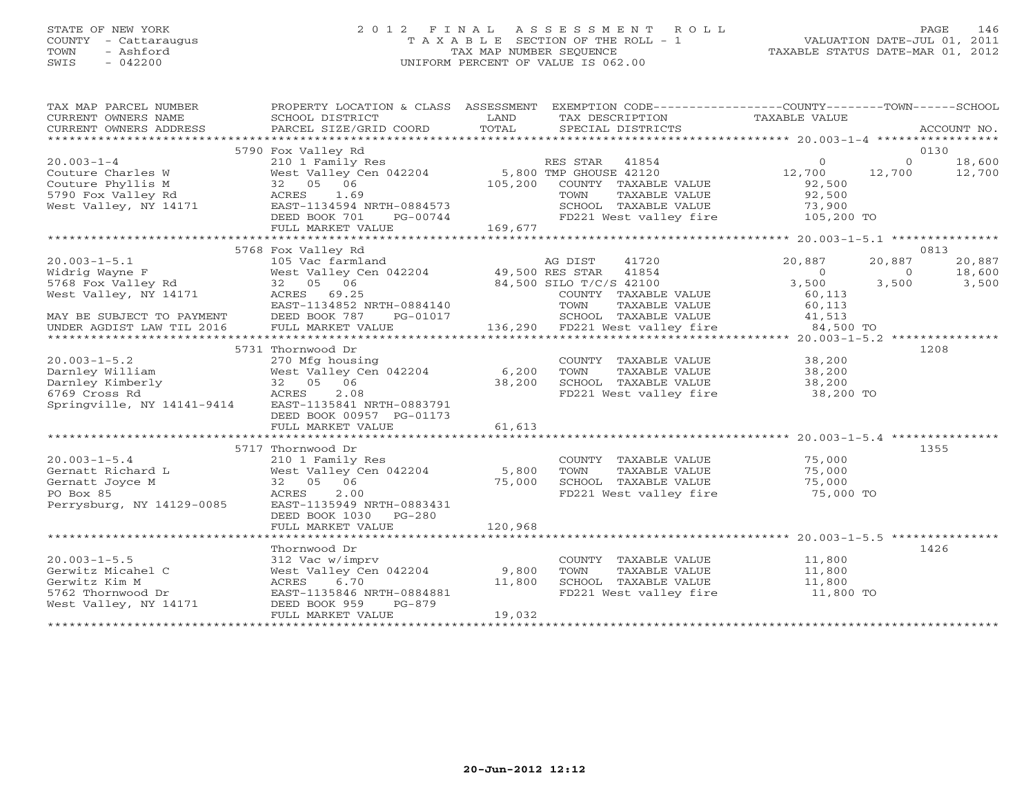## STATE OF NEW YORK 2 0 1 2 F I N A L A S S E S S M E N T R O L L PAGE 146 COUNTY - Cattaraugus T A X A B L E SECTION OF THE ROLL - 1 VALUATION DATE-JUL 01, 2011 TOWN - Ashford TAX MAP NUMBER SEQUENCE TAXABLE STATUS DATE-MAR 01, 2012 SWIS - 042200 UNIFORM PERCENT OF VALUE IS 062.00

| TOTAL<br>PARCEL SIZE/GRID COORD<br>SPECIAL DISTRICTS<br>ACCOUNT NO.<br>CURRENT OWNERS ADDRESS<br>5790 Fox Valley Rd<br>0130<br>210 1 Family Res<br>West Valley Cen 042204 5,800 TMP GHOUSE 42120<br>32 05 06<br>2010 105,200 COUNTY TAXABLE VALUE<br>$\begin{matrix}0\\12,700\\0\end{matrix}$<br>$20.003 - 1 - 4$<br>$\overline{O}$<br>18,600<br>12,700 12,700<br>Couture Charles W<br>Couture Charles W West Valley Control of 105,200<br>S790 Fox Valley Rd ACRES 1.69<br>West Valley, NY 14171 EAST-1134594 NRTH-0884573<br>Nest Valley, NY 14171 EAST-1134594 NRTH-0884573<br>92,500<br>92,500<br>TOWN<br>TAXABLE VALUE<br>SCHOOL TAXABLE VALUE 73,900<br>FD221 West valley fire 105,200 TO<br>5768 Fox Valley Rd<br>0813<br>105 Vac farmland<br>105 Vac farmland<br>West Valley Cen 042204 49,500 RES STAR 41854<br>32 05 06 84,500 SILO T/C/S 42100<br>ACRES 69.25 COUNTY TAXABLE<br>$20.003 - 1 - 5.1$<br>20,887<br>20,887<br>20,887<br>Valley Rd 100 vac Lands<br>Widrig Wayne F West Valley C<br>5768 Fox Valley Rd 32 05 06<br>Widrig Wayne F<br>18,600<br>$\Omega$<br>$\Omega$<br>3,500<br>3,500<br>3,500<br>West Valley, NY 14171<br>ACRES 69.25<br>EAST-1134852 NRTH-0884140<br>COUNTY TAXABLE VALUE<br>60,113<br>TOWN<br>TAXABLE VALUE<br>60,113<br>5731 Thornwood Dr<br>1208<br>38,200<br>270 Mfg housing<br>COUNTY TAXABLE VALUE<br>TOWN<br>TAXABLE VALUE<br>38,200<br>38,200<br>SCHOOL TAXABLE VALUE<br>FD221 West valley fire 38,200 TO<br>EAST-1135841 NRTH-0883791<br>Springville, NY 14141-9414<br>DEED BOOK 00957 PG-01173<br>61,613<br>FULL MARKET VALUE<br>1355<br>5717 Thornwood Dr<br>$20.003 - 1 - 5.4$<br>75,000<br>COUNTY TAXABLE VALUE<br>210 1 Family Res<br>20.003-1-5.4<br>Gernatt Richard L<br>Gernatt Joyce M<br>PO Box 85<br>West Valley Cen 042204 5,800<br>32 05 06 75,000<br>TAXABLE VALUE<br>75,000<br>TOWN<br>75,000<br>SCHOOL TAXABLE VALUE<br>2.00<br>FD221 West valley fire 75,000 TO<br>ACRES<br>Perrysburg, NY 14129-0085<br>EAST-1135949 NRTH-0883431<br>DEED BOOK 1030 PG-280<br>120,968<br>FULL MARKET VALUE<br>1426<br>Thornwood Dr<br>$20.003 - 1 - 5.5$<br>312 Vac w/imprv<br>COUNTY TAXABLE VALUE 11,800<br>West Valley Cen 042204 9,800<br>Gerwitz Micahel C<br>TOWN       TAXABLE  VALUE<br>SCHOOL    TAXABLE  VALUE<br>11,800<br>11,800<br>Gerwitz Kim M<br>ACRES<br>6.70<br>11,800<br>EAST-1135846 NRTH-0884881<br>FD221 West valley fire 50 11,800 TO<br>5762 Thornwood Dr<br>West Valley, NY 14171<br>PG-879<br>DEED BOOK 959 | TAX MAP PARCEL NUMBER<br>CURRENT OWNERS NAME | SCHOOL DISTRICT   | LAND   | PROPERTY LOCATION & CLASS ASSESSMENT EXEMPTION CODE---------------COUNTY-------TOWN------SCHOOL<br>TAX DESCRIPTION TAXABLE VALUE |  |  |
|------------------------------------------------------------------------------------------------------------------------------------------------------------------------------------------------------------------------------------------------------------------------------------------------------------------------------------------------------------------------------------------------------------------------------------------------------------------------------------------------------------------------------------------------------------------------------------------------------------------------------------------------------------------------------------------------------------------------------------------------------------------------------------------------------------------------------------------------------------------------------------------------------------------------------------------------------------------------------------------------------------------------------------------------------------------------------------------------------------------------------------------------------------------------------------------------------------------------------------------------------------------------------------------------------------------------------------------------------------------------------------------------------------------------------------------------------------------------------------------------------------------------------------------------------------------------------------------------------------------------------------------------------------------------------------------------------------------------------------------------------------------------------------------------------------------------------------------------------------------------------------------------------------------------------------------------------------------------------------------------------------------------------------------------------------------------------------------------------------------------------------------------------------------------------------------------------------------------------------------------------------------------------------------------------------------------------------------------------------------------------------------------------------------------------------------------------------------------------------------|----------------------------------------------|-------------------|--------|----------------------------------------------------------------------------------------------------------------------------------|--|--|
|                                                                                                                                                                                                                                                                                                                                                                                                                                                                                                                                                                                                                                                                                                                                                                                                                                                                                                                                                                                                                                                                                                                                                                                                                                                                                                                                                                                                                                                                                                                                                                                                                                                                                                                                                                                                                                                                                                                                                                                                                                                                                                                                                                                                                                                                                                                                                                                                                                                                                          |                                              |                   |        |                                                                                                                                  |  |  |
|                                                                                                                                                                                                                                                                                                                                                                                                                                                                                                                                                                                                                                                                                                                                                                                                                                                                                                                                                                                                                                                                                                                                                                                                                                                                                                                                                                                                                                                                                                                                                                                                                                                                                                                                                                                                                                                                                                                                                                                                                                                                                                                                                                                                                                                                                                                                                                                                                                                                                          |                                              |                   |        |                                                                                                                                  |  |  |
|                                                                                                                                                                                                                                                                                                                                                                                                                                                                                                                                                                                                                                                                                                                                                                                                                                                                                                                                                                                                                                                                                                                                                                                                                                                                                                                                                                                                                                                                                                                                                                                                                                                                                                                                                                                                                                                                                                                                                                                                                                                                                                                                                                                                                                                                                                                                                                                                                                                                                          |                                              |                   |        |                                                                                                                                  |  |  |
|                                                                                                                                                                                                                                                                                                                                                                                                                                                                                                                                                                                                                                                                                                                                                                                                                                                                                                                                                                                                                                                                                                                                                                                                                                                                                                                                                                                                                                                                                                                                                                                                                                                                                                                                                                                                                                                                                                                                                                                                                                                                                                                                                                                                                                                                                                                                                                                                                                                                                          |                                              |                   |        |                                                                                                                                  |  |  |
|                                                                                                                                                                                                                                                                                                                                                                                                                                                                                                                                                                                                                                                                                                                                                                                                                                                                                                                                                                                                                                                                                                                                                                                                                                                                                                                                                                                                                                                                                                                                                                                                                                                                                                                                                                                                                                                                                                                                                                                                                                                                                                                                                                                                                                                                                                                                                                                                                                                                                          |                                              |                   |        |                                                                                                                                  |  |  |
|                                                                                                                                                                                                                                                                                                                                                                                                                                                                                                                                                                                                                                                                                                                                                                                                                                                                                                                                                                                                                                                                                                                                                                                                                                                                                                                                                                                                                                                                                                                                                                                                                                                                                                                                                                                                                                                                                                                                                                                                                                                                                                                                                                                                                                                                                                                                                                                                                                                                                          |                                              |                   |        |                                                                                                                                  |  |  |
|                                                                                                                                                                                                                                                                                                                                                                                                                                                                                                                                                                                                                                                                                                                                                                                                                                                                                                                                                                                                                                                                                                                                                                                                                                                                                                                                                                                                                                                                                                                                                                                                                                                                                                                                                                                                                                                                                                                                                                                                                                                                                                                                                                                                                                                                                                                                                                                                                                                                                          |                                              |                   |        |                                                                                                                                  |  |  |
|                                                                                                                                                                                                                                                                                                                                                                                                                                                                                                                                                                                                                                                                                                                                                                                                                                                                                                                                                                                                                                                                                                                                                                                                                                                                                                                                                                                                                                                                                                                                                                                                                                                                                                                                                                                                                                                                                                                                                                                                                                                                                                                                                                                                                                                                                                                                                                                                                                                                                          |                                              |                   |        |                                                                                                                                  |  |  |
|                                                                                                                                                                                                                                                                                                                                                                                                                                                                                                                                                                                                                                                                                                                                                                                                                                                                                                                                                                                                                                                                                                                                                                                                                                                                                                                                                                                                                                                                                                                                                                                                                                                                                                                                                                                                                                                                                                                                                                                                                                                                                                                                                                                                                                                                                                                                                                                                                                                                                          |                                              |                   |        |                                                                                                                                  |  |  |
|                                                                                                                                                                                                                                                                                                                                                                                                                                                                                                                                                                                                                                                                                                                                                                                                                                                                                                                                                                                                                                                                                                                                                                                                                                                                                                                                                                                                                                                                                                                                                                                                                                                                                                                                                                                                                                                                                                                                                                                                                                                                                                                                                                                                                                                                                                                                                                                                                                                                                          |                                              |                   |        |                                                                                                                                  |  |  |
|                                                                                                                                                                                                                                                                                                                                                                                                                                                                                                                                                                                                                                                                                                                                                                                                                                                                                                                                                                                                                                                                                                                                                                                                                                                                                                                                                                                                                                                                                                                                                                                                                                                                                                                                                                                                                                                                                                                                                                                                                                                                                                                                                                                                                                                                                                                                                                                                                                                                                          |                                              |                   |        |                                                                                                                                  |  |  |
|                                                                                                                                                                                                                                                                                                                                                                                                                                                                                                                                                                                                                                                                                                                                                                                                                                                                                                                                                                                                                                                                                                                                                                                                                                                                                                                                                                                                                                                                                                                                                                                                                                                                                                                                                                                                                                                                                                                                                                                                                                                                                                                                                                                                                                                                                                                                                                                                                                                                                          |                                              |                   |        |                                                                                                                                  |  |  |
|                                                                                                                                                                                                                                                                                                                                                                                                                                                                                                                                                                                                                                                                                                                                                                                                                                                                                                                                                                                                                                                                                                                                                                                                                                                                                                                                                                                                                                                                                                                                                                                                                                                                                                                                                                                                                                                                                                                                                                                                                                                                                                                                                                                                                                                                                                                                                                                                                                                                                          |                                              |                   |        |                                                                                                                                  |  |  |
|                                                                                                                                                                                                                                                                                                                                                                                                                                                                                                                                                                                                                                                                                                                                                                                                                                                                                                                                                                                                                                                                                                                                                                                                                                                                                                                                                                                                                                                                                                                                                                                                                                                                                                                                                                                                                                                                                                                                                                                                                                                                                                                                                                                                                                                                                                                                                                                                                                                                                          |                                              |                   |        |                                                                                                                                  |  |  |
|                                                                                                                                                                                                                                                                                                                                                                                                                                                                                                                                                                                                                                                                                                                                                                                                                                                                                                                                                                                                                                                                                                                                                                                                                                                                                                                                                                                                                                                                                                                                                                                                                                                                                                                                                                                                                                                                                                                                                                                                                                                                                                                                                                                                                                                                                                                                                                                                                                                                                          |                                              |                   |        |                                                                                                                                  |  |  |
|                                                                                                                                                                                                                                                                                                                                                                                                                                                                                                                                                                                                                                                                                                                                                                                                                                                                                                                                                                                                                                                                                                                                                                                                                                                                                                                                                                                                                                                                                                                                                                                                                                                                                                                                                                                                                                                                                                                                                                                                                                                                                                                                                                                                                                                                                                                                                                                                                                                                                          |                                              |                   |        |                                                                                                                                  |  |  |
|                                                                                                                                                                                                                                                                                                                                                                                                                                                                                                                                                                                                                                                                                                                                                                                                                                                                                                                                                                                                                                                                                                                                                                                                                                                                                                                                                                                                                                                                                                                                                                                                                                                                                                                                                                                                                                                                                                                                                                                                                                                                                                                                                                                                                                                                                                                                                                                                                                                                                          |                                              |                   |        |                                                                                                                                  |  |  |
|                                                                                                                                                                                                                                                                                                                                                                                                                                                                                                                                                                                                                                                                                                                                                                                                                                                                                                                                                                                                                                                                                                                                                                                                                                                                                                                                                                                                                                                                                                                                                                                                                                                                                                                                                                                                                                                                                                                                                                                                                                                                                                                                                                                                                                                                                                                                                                                                                                                                                          |                                              |                   |        |                                                                                                                                  |  |  |
|                                                                                                                                                                                                                                                                                                                                                                                                                                                                                                                                                                                                                                                                                                                                                                                                                                                                                                                                                                                                                                                                                                                                                                                                                                                                                                                                                                                                                                                                                                                                                                                                                                                                                                                                                                                                                                                                                                                                                                                                                                                                                                                                                                                                                                                                                                                                                                                                                                                                                          |                                              |                   |        |                                                                                                                                  |  |  |
|                                                                                                                                                                                                                                                                                                                                                                                                                                                                                                                                                                                                                                                                                                                                                                                                                                                                                                                                                                                                                                                                                                                                                                                                                                                                                                                                                                                                                                                                                                                                                                                                                                                                                                                                                                                                                                                                                                                                                                                                                                                                                                                                                                                                                                                                                                                                                                                                                                                                                          |                                              |                   |        |                                                                                                                                  |  |  |
|                                                                                                                                                                                                                                                                                                                                                                                                                                                                                                                                                                                                                                                                                                                                                                                                                                                                                                                                                                                                                                                                                                                                                                                                                                                                                                                                                                                                                                                                                                                                                                                                                                                                                                                                                                                                                                                                                                                                                                                                                                                                                                                                                                                                                                                                                                                                                                                                                                                                                          |                                              |                   |        |                                                                                                                                  |  |  |
|                                                                                                                                                                                                                                                                                                                                                                                                                                                                                                                                                                                                                                                                                                                                                                                                                                                                                                                                                                                                                                                                                                                                                                                                                                                                                                                                                                                                                                                                                                                                                                                                                                                                                                                                                                                                                                                                                                                                                                                                                                                                                                                                                                                                                                                                                                                                                                                                                                                                                          |                                              |                   |        |                                                                                                                                  |  |  |
|                                                                                                                                                                                                                                                                                                                                                                                                                                                                                                                                                                                                                                                                                                                                                                                                                                                                                                                                                                                                                                                                                                                                                                                                                                                                                                                                                                                                                                                                                                                                                                                                                                                                                                                                                                                                                                                                                                                                                                                                                                                                                                                                                                                                                                                                                                                                                                                                                                                                                          |                                              |                   |        |                                                                                                                                  |  |  |
|                                                                                                                                                                                                                                                                                                                                                                                                                                                                                                                                                                                                                                                                                                                                                                                                                                                                                                                                                                                                                                                                                                                                                                                                                                                                                                                                                                                                                                                                                                                                                                                                                                                                                                                                                                                                                                                                                                                                                                                                                                                                                                                                                                                                                                                                                                                                                                                                                                                                                          |                                              |                   |        |                                                                                                                                  |  |  |
|                                                                                                                                                                                                                                                                                                                                                                                                                                                                                                                                                                                                                                                                                                                                                                                                                                                                                                                                                                                                                                                                                                                                                                                                                                                                                                                                                                                                                                                                                                                                                                                                                                                                                                                                                                                                                                                                                                                                                                                                                                                                                                                                                                                                                                                                                                                                                                                                                                                                                          |                                              |                   |        |                                                                                                                                  |  |  |
|                                                                                                                                                                                                                                                                                                                                                                                                                                                                                                                                                                                                                                                                                                                                                                                                                                                                                                                                                                                                                                                                                                                                                                                                                                                                                                                                                                                                                                                                                                                                                                                                                                                                                                                                                                                                                                                                                                                                                                                                                                                                                                                                                                                                                                                                                                                                                                                                                                                                                          |                                              |                   |        |                                                                                                                                  |  |  |
|                                                                                                                                                                                                                                                                                                                                                                                                                                                                                                                                                                                                                                                                                                                                                                                                                                                                                                                                                                                                                                                                                                                                                                                                                                                                                                                                                                                                                                                                                                                                                                                                                                                                                                                                                                                                                                                                                                                                                                                                                                                                                                                                                                                                                                                                                                                                                                                                                                                                                          |                                              |                   |        |                                                                                                                                  |  |  |
|                                                                                                                                                                                                                                                                                                                                                                                                                                                                                                                                                                                                                                                                                                                                                                                                                                                                                                                                                                                                                                                                                                                                                                                                                                                                                                                                                                                                                                                                                                                                                                                                                                                                                                                                                                                                                                                                                                                                                                                                                                                                                                                                                                                                                                                                                                                                                                                                                                                                                          |                                              |                   |        |                                                                                                                                  |  |  |
|                                                                                                                                                                                                                                                                                                                                                                                                                                                                                                                                                                                                                                                                                                                                                                                                                                                                                                                                                                                                                                                                                                                                                                                                                                                                                                                                                                                                                                                                                                                                                                                                                                                                                                                                                                                                                                                                                                                                                                                                                                                                                                                                                                                                                                                                                                                                                                                                                                                                                          |                                              |                   |        |                                                                                                                                  |  |  |
|                                                                                                                                                                                                                                                                                                                                                                                                                                                                                                                                                                                                                                                                                                                                                                                                                                                                                                                                                                                                                                                                                                                                                                                                                                                                                                                                                                                                                                                                                                                                                                                                                                                                                                                                                                                                                                                                                                                                                                                                                                                                                                                                                                                                                                                                                                                                                                                                                                                                                          |                                              |                   |        |                                                                                                                                  |  |  |
|                                                                                                                                                                                                                                                                                                                                                                                                                                                                                                                                                                                                                                                                                                                                                                                                                                                                                                                                                                                                                                                                                                                                                                                                                                                                                                                                                                                                                                                                                                                                                                                                                                                                                                                                                                                                                                                                                                                                                                                                                                                                                                                                                                                                                                                                                                                                                                                                                                                                                          |                                              |                   |        |                                                                                                                                  |  |  |
|                                                                                                                                                                                                                                                                                                                                                                                                                                                                                                                                                                                                                                                                                                                                                                                                                                                                                                                                                                                                                                                                                                                                                                                                                                                                                                                                                                                                                                                                                                                                                                                                                                                                                                                                                                                                                                                                                                                                                                                                                                                                                                                                                                                                                                                                                                                                                                                                                                                                                          |                                              |                   |        |                                                                                                                                  |  |  |
|                                                                                                                                                                                                                                                                                                                                                                                                                                                                                                                                                                                                                                                                                                                                                                                                                                                                                                                                                                                                                                                                                                                                                                                                                                                                                                                                                                                                                                                                                                                                                                                                                                                                                                                                                                                                                                                                                                                                                                                                                                                                                                                                                                                                                                                                                                                                                                                                                                                                                          |                                              |                   |        |                                                                                                                                  |  |  |
|                                                                                                                                                                                                                                                                                                                                                                                                                                                                                                                                                                                                                                                                                                                                                                                                                                                                                                                                                                                                                                                                                                                                                                                                                                                                                                                                                                                                                                                                                                                                                                                                                                                                                                                                                                                                                                                                                                                                                                                                                                                                                                                                                                                                                                                                                                                                                                                                                                                                                          |                                              |                   |        |                                                                                                                                  |  |  |
|                                                                                                                                                                                                                                                                                                                                                                                                                                                                                                                                                                                                                                                                                                                                                                                                                                                                                                                                                                                                                                                                                                                                                                                                                                                                                                                                                                                                                                                                                                                                                                                                                                                                                                                                                                                                                                                                                                                                                                                                                                                                                                                                                                                                                                                                                                                                                                                                                                                                                          |                                              |                   |        |                                                                                                                                  |  |  |
|                                                                                                                                                                                                                                                                                                                                                                                                                                                                                                                                                                                                                                                                                                                                                                                                                                                                                                                                                                                                                                                                                                                                                                                                                                                                                                                                                                                                                                                                                                                                                                                                                                                                                                                                                                                                                                                                                                                                                                                                                                                                                                                                                                                                                                                                                                                                                                                                                                                                                          |                                              |                   |        |                                                                                                                                  |  |  |
|                                                                                                                                                                                                                                                                                                                                                                                                                                                                                                                                                                                                                                                                                                                                                                                                                                                                                                                                                                                                                                                                                                                                                                                                                                                                                                                                                                                                                                                                                                                                                                                                                                                                                                                                                                                                                                                                                                                                                                                                                                                                                                                                                                                                                                                                                                                                                                                                                                                                                          |                                              |                   |        |                                                                                                                                  |  |  |
|                                                                                                                                                                                                                                                                                                                                                                                                                                                                                                                                                                                                                                                                                                                                                                                                                                                                                                                                                                                                                                                                                                                                                                                                                                                                                                                                                                                                                                                                                                                                                                                                                                                                                                                                                                                                                                                                                                                                                                                                                                                                                                                                                                                                                                                                                                                                                                                                                                                                                          |                                              |                   |        |                                                                                                                                  |  |  |
|                                                                                                                                                                                                                                                                                                                                                                                                                                                                                                                                                                                                                                                                                                                                                                                                                                                                                                                                                                                                                                                                                                                                                                                                                                                                                                                                                                                                                                                                                                                                                                                                                                                                                                                                                                                                                                                                                                                                                                                                                                                                                                                                                                                                                                                                                                                                                                                                                                                                                          |                                              |                   |        |                                                                                                                                  |  |  |
|                                                                                                                                                                                                                                                                                                                                                                                                                                                                                                                                                                                                                                                                                                                                                                                                                                                                                                                                                                                                                                                                                                                                                                                                                                                                                                                                                                                                                                                                                                                                                                                                                                                                                                                                                                                                                                                                                                                                                                                                                                                                                                                                                                                                                                                                                                                                                                                                                                                                                          |                                              |                   |        |                                                                                                                                  |  |  |
|                                                                                                                                                                                                                                                                                                                                                                                                                                                                                                                                                                                                                                                                                                                                                                                                                                                                                                                                                                                                                                                                                                                                                                                                                                                                                                                                                                                                                                                                                                                                                                                                                                                                                                                                                                                                                                                                                                                                                                                                                                                                                                                                                                                                                                                                                                                                                                                                                                                                                          |                                              |                   |        |                                                                                                                                  |  |  |
|                                                                                                                                                                                                                                                                                                                                                                                                                                                                                                                                                                                                                                                                                                                                                                                                                                                                                                                                                                                                                                                                                                                                                                                                                                                                                                                                                                                                                                                                                                                                                                                                                                                                                                                                                                                                                                                                                                                                                                                                                                                                                                                                                                                                                                                                                                                                                                                                                                                                                          |                                              |                   |        |                                                                                                                                  |  |  |
|                                                                                                                                                                                                                                                                                                                                                                                                                                                                                                                                                                                                                                                                                                                                                                                                                                                                                                                                                                                                                                                                                                                                                                                                                                                                                                                                                                                                                                                                                                                                                                                                                                                                                                                                                                                                                                                                                                                                                                                                                                                                                                                                                                                                                                                                                                                                                                                                                                                                                          |                                              |                   |        |                                                                                                                                  |  |  |
|                                                                                                                                                                                                                                                                                                                                                                                                                                                                                                                                                                                                                                                                                                                                                                                                                                                                                                                                                                                                                                                                                                                                                                                                                                                                                                                                                                                                                                                                                                                                                                                                                                                                                                                                                                                                                                                                                                                                                                                                                                                                                                                                                                                                                                                                                                                                                                                                                                                                                          |                                              |                   |        |                                                                                                                                  |  |  |
|                                                                                                                                                                                                                                                                                                                                                                                                                                                                                                                                                                                                                                                                                                                                                                                                                                                                                                                                                                                                                                                                                                                                                                                                                                                                                                                                                                                                                                                                                                                                                                                                                                                                                                                                                                                                                                                                                                                                                                                                                                                                                                                                                                                                                                                                                                                                                                                                                                                                                          |                                              |                   |        |                                                                                                                                  |  |  |
|                                                                                                                                                                                                                                                                                                                                                                                                                                                                                                                                                                                                                                                                                                                                                                                                                                                                                                                                                                                                                                                                                                                                                                                                                                                                                                                                                                                                                                                                                                                                                                                                                                                                                                                                                                                                                                                                                                                                                                                                                                                                                                                                                                                                                                                                                                                                                                                                                                                                                          |                                              |                   |        |                                                                                                                                  |  |  |
|                                                                                                                                                                                                                                                                                                                                                                                                                                                                                                                                                                                                                                                                                                                                                                                                                                                                                                                                                                                                                                                                                                                                                                                                                                                                                                                                                                                                                                                                                                                                                                                                                                                                                                                                                                                                                                                                                                                                                                                                                                                                                                                                                                                                                                                                                                                                                                                                                                                                                          |                                              | FULL MARKET VALUE | 19,032 |                                                                                                                                  |  |  |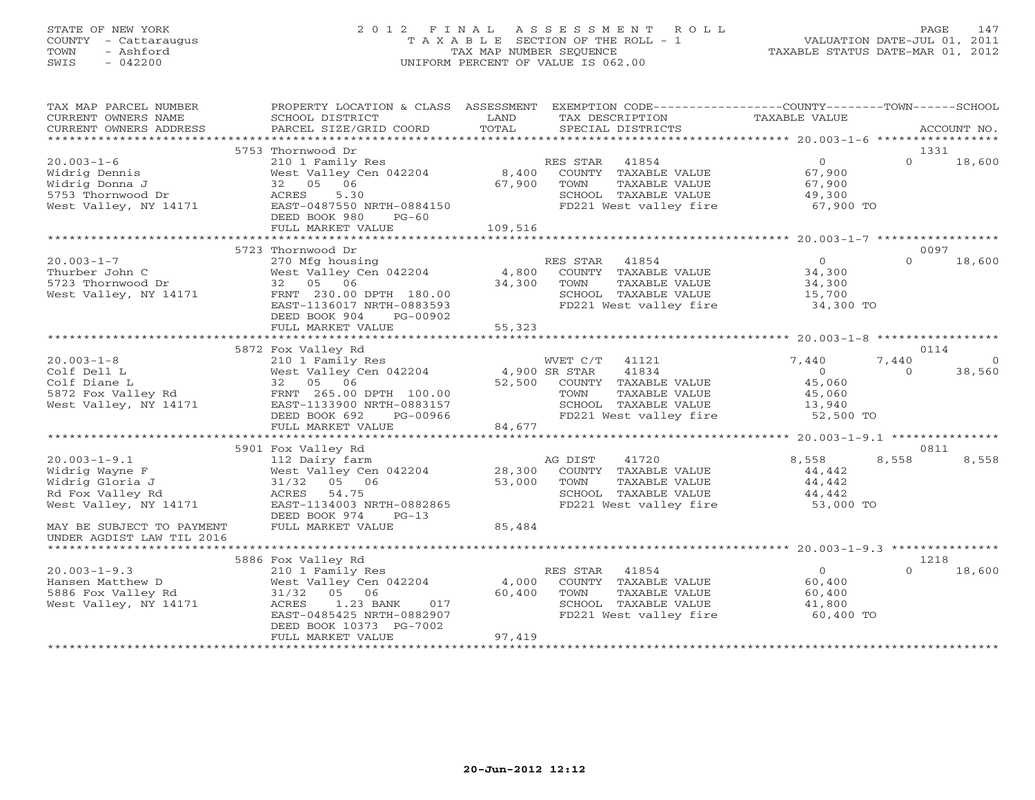## STATE OF NEW YORK 2 0 1 2 F I N A L A S S E S S M E N T R O L L PAGE 147 COUNTY - Cattaraugus T A X A B L E SECTION OF THE ROLL - 1 VALUATION DATE-JUL 01, 2011 TOWN - Ashford TAX MAP NUMBER SEQUENCE TAXABLE STATUS DATE-MAR 01, 2012 SWIS - 042200 UNIFORM PERCENT OF VALUE IS 062.00UNIFORM PERCENT OF VALUE IS 062.00

| TAX MAP PARCEL NUMBER<br>CURRENT OWNERS NAME                                                         | PROPERTY LOCATION & CLASS ASSESSMENT EXEMPTION CODE---------------COUNTY-------TOWN------SCHOOL<br>SCHOOL DISTRICT                                                      | LAND                              | TAX DESCRIPTION                                                                                                                      | TAXABLE VALUE                                                       |                   |                          |
|------------------------------------------------------------------------------------------------------|-------------------------------------------------------------------------------------------------------------------------------------------------------------------------|-----------------------------------|--------------------------------------------------------------------------------------------------------------------------------------|---------------------------------------------------------------------|-------------------|--------------------------|
| CURRENT OWNERS ADDRESS                                                                               | PARCEL SIZE/GRID COORD                                                                                                                                                  | TOTAL                             | SPECIAL DISTRICTS                                                                                                                    |                                                                     |                   | ACCOUNT NO.              |
|                                                                                                      | 5753 Thornwood Dr                                                                                                                                                       |                                   |                                                                                                                                      |                                                                     | 1331              |                          |
| $20.003 - 1 - 6$<br>Widrig Dennis<br>Widrig Donna J<br>5753 Thornwood Dr<br>West Valley, NY 14171    | 210 1 Family Res<br>West Valley Cen 042204<br>32 05 06<br>ACRES<br>5.30<br>EAST-0487550 NRTH-0884150<br>DEED BOOK 980<br>$PG-60$<br>FULL MARKET VALUE                   | 8,400<br>67,900<br>109,516        | RES STAR 41854<br>COUNTY TAXABLE VALUE<br>TOWN<br>TAXABLE VALUE<br>SCHOOL TAXABLE VALUE<br>FD221 West valley fire                    | $\overline{0}$<br>67,900<br>67,900<br>49,300<br>67,900 TO           | $\Omega$          | 18,600                   |
|                                                                                                      |                                                                                                                                                                         |                                   |                                                                                                                                      |                                                                     |                   |                          |
| $20.003 - 1 - 7$<br>Thurber John C<br>5723 Thornwood Dr<br>West Valley, NY 14171                     | 5723 Thornwood Dr<br>270 Mfg housing<br>West Valley Cen 042204<br>32 05 06<br>FRNT 230.00 DPTH 180.00<br>EAST-1136017 NRTH-0883593                                      | 4,800<br>34,300                   | RES STAR<br>41854<br>COUNTY TAXABLE VALUE<br>TOWN<br>TAXABLE VALUE<br>SCHOOL TAXABLE VALUE<br>FD221 West valley fire                 | 0<br>34,300<br>34,300<br>15,700<br>34,300 TO                        | 0097<br>$\Omega$  | 18,600                   |
|                                                                                                      | DEED BOOK 904 PG-00902<br>FULL MARKET VALUE                                                                                                                             | 55,323                            |                                                                                                                                      |                                                                     |                   |                          |
|                                                                                                      |                                                                                                                                                                         |                                   |                                                                                                                                      |                                                                     |                   |                          |
|                                                                                                      | 5872 Fox Valley Rd                                                                                                                                                      |                                   |                                                                                                                                      |                                                                     | 0114              |                          |
| $20.003 - 1 - 8$<br>Colf Dell L<br>Colf Diane L<br>5872 Fox Valley Rd<br>West Valley, NY 14171       | 210 1 Family Res<br>West Valley Cen 042204<br>32 05 06<br>FRNT 265.00 DPTH 100.00<br>EAST-1133900 NRTH-0883157<br>DEED BOOK 692<br>PG-00966<br>FULL MARKET VALUE        | 4,900 SR STAR<br>52,500<br>84,677 | WVET C/T 41121<br>41834<br>COUNTY TAXABLE VALUE<br>TOWN<br>TAXABLE VALUE<br>SCHOOL TAXABLE VALUE<br>FD221 West valley fire 52,500 TO | 7,440<br>$\overline{0}$<br>45,060<br>45,060<br>$45,000$<br>$13,940$ | 7,440<br>$\Omega$ | $\overline{0}$<br>38,560 |
|                                                                                                      |                                                                                                                                                                         |                                   |                                                                                                                                      |                                                                     |                   |                          |
|                                                                                                      | 5901 Fox Valley Rd                                                                                                                                                      |                                   |                                                                                                                                      |                                                                     | 0811              |                          |
| $20.003 - 1 - 9.1$<br>Widrig Wayne F<br>Widrig Gloria J<br>Rd Fox Valley Rd<br>West Valley, NY 14171 | 112 Dairy farm<br>West Valley Cen 042204<br>31/32 05 06<br>ACRES 54.75<br>EAST-1134003 NRTH-0882865<br>DEED BOOK 974<br>$PG-13$                                         | 28,300<br>53,000                  | AG DIST<br>41720<br>COUNTY TAXABLE VALUE<br>TOWN<br>TAXABLE VALUE<br>SCHOOL TAXABLE VALUE<br>FD221 West valley fire 53,000 TO        | 8,558<br>44,442<br>44,442<br>44,442                                 | 8,558             | 8,558                    |
| MAY BE SUBJECT TO PAYMENT<br>UNDER AGDIST LAW TIL 2016                                               | FULL MARKET VALUE                                                                                                                                                       | 85,484                            |                                                                                                                                      |                                                                     |                   |                          |
|                                                                                                      |                                                                                                                                                                         |                                   |                                                                                                                                      |                                                                     |                   |                          |
| $20.003 - 1 - 9.3$<br>Hansen Matthew D<br>5886 Fox Valley Rd<br>West Valley, NY 14171                | 5886 Fox Valley Rd<br>210 1 Family Res<br>West Valley Cen 042204<br>31/32<br>05 06<br>ACRES<br>1.23 BANK<br>017<br>EAST-0485425 NRTH-0882907<br>DEED BOOK 10373 PG-7002 | 4,000<br>60,400                   | RES STAR<br>41854<br>COUNTY TAXABLE VALUE<br>TOWN<br>TAXABLE VALUE<br>SCHOOL TAXABLE VALUE<br>FD221 West valley fire                 | 0<br>60,400<br>60,400<br>41,800<br>60,400 TO                        | 1218<br>$\Omega$  | 18,600                   |
|                                                                                                      | FULL MARKET VALUE                                                                                                                                                       | 97,419                            |                                                                                                                                      |                                                                     |                   |                          |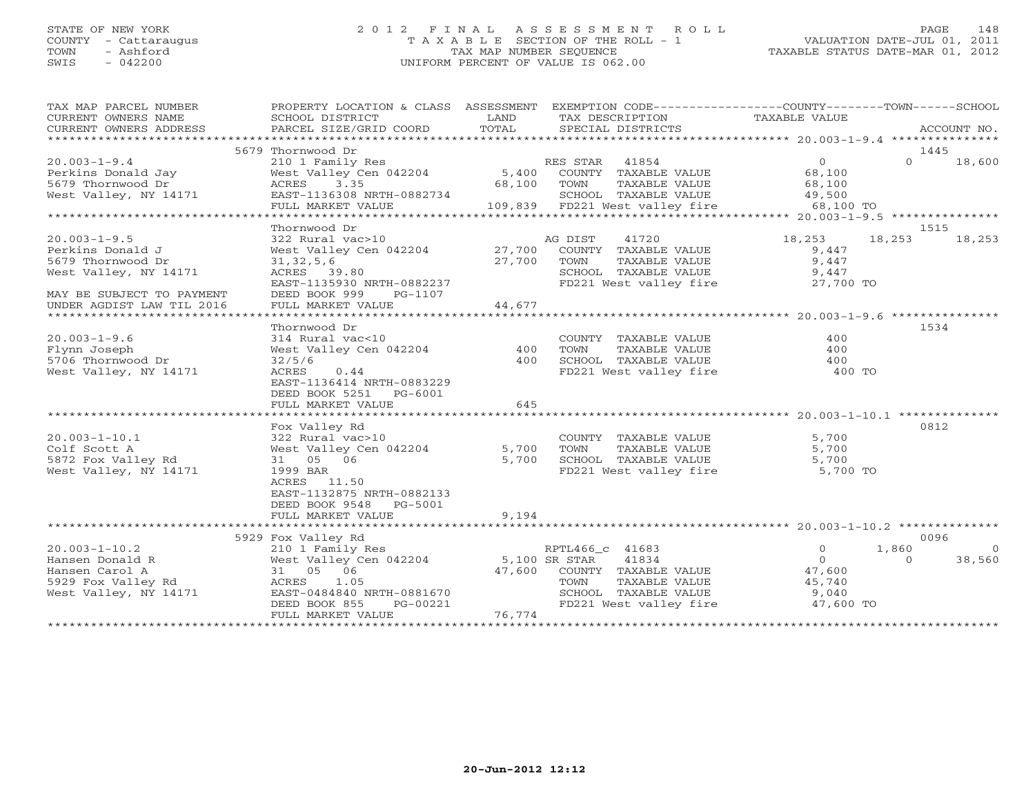## STATE OF NEW YORK 2 0 1 2 F I N A L A S S E S S M E N T R O L L PAGE 148 COUNTY - Cattaraugus T A X A B L E SECTION OF THE ROLL - 1 VALUATION DATE-JUL 01, 2011 TOWN - Ashford TAX MAP NUMBER SEQUENCE TAXABLE STATUS DATE-MAR 01, 2012 SWIS - 042200 UNIFORM PERCENT OF VALUE IS 062.00

| TAX MAP PARCEL NUMBER<br>CURRENT OWNERS NAME | PROPERTY LOCATION & CLASS ASSESSMENT EXEMPTION CODE---------------COUNTY-------TOWN------SCHOOL<br>SCHOOL DISTRICT | LAND   |                 |                                                |                                                 |                         |
|----------------------------------------------|--------------------------------------------------------------------------------------------------------------------|--------|-----------------|------------------------------------------------|-------------------------------------------------|-------------------------|
| CURRENT OWNERS ADDRESS                       | PARCEL SIZE/GRID COORD                                                                                             | TOTAL  |                 |                                                | TAX DESCRIPTION TAXABLE VALUE SPECIAL DISTRICTS | ACCOUNT NO.             |
|                                              |                                                                                                                    |        |                 |                                                |                                                 |                         |
|                                              | 5679 Thornwood Dr                                                                                                  |        |                 |                                                |                                                 | 1445                    |
|                                              | 210 1 Family Res                                                                                                   |        | RES STAR 41854  |                                                | $\overline{O}$                                  | $\cap$<br>18,600        |
|                                              | West Valley Cen 042204                                                                                             |        |                 | 5,400 COUNTY TAXABLE VALUE                     | 68,100                                          |                         |
|                                              |                                                                                                                    |        | 68,100 TOWN     | TAXABLE VALUE                                  | 68,100                                          |                         |
|                                              | EAST-1136308 NRTH-0882734                                                                                          |        |                 | SCHOOL TAXABLE VALUE                           | 49,500                                          |                         |
|                                              | FULL MARKET VALUE                                                                                                  |        |                 | 109,839 FD221 West valley fire                 | 68,100 TO                                       |                         |
|                                              |                                                                                                                    |        |                 |                                                |                                                 |                         |
|                                              | Thornwood Dr                                                                                                       |        |                 |                                                |                                                 | 1515                    |
| $20.003 - 1 - 9.5$                           | 322 Rural vac>10                                                                                                   |        | AG DIST         | 41720                                          | 18,253                                          | 18,253<br>18,253        |
| Perkins Donald J                             |                                                                                                                    |        |                 |                                                | 9,447                                           |                         |
| 5679 Thornwood Dr                            | 31, 32, 5, 6                                                                                                       |        | 27,700 TOWN     | TAXABLE VALUE                                  | 9,447                                           |                         |
| West Valley, NY 14171                        | ACRES 39.80                                                                                                        |        |                 | SCHOOL TAXABLE VALUE                           | 9,447                                           |                         |
|                                              | EAST-1135930 NRTH-0882237                                                                                          |        |                 |                                                | FD221 West valley fire 27,700 TO                |                         |
| MAY BE SUBJECT TO PAYMENT                    | DEED BOOK 999<br>PG-1107                                                                                           |        |                 |                                                |                                                 |                         |
| UNDER AGDIST LAW TIL 2016                    | FULL MARKET VALUE                                                                                                  | 44,677 |                 |                                                |                                                 |                         |
|                                              |                                                                                                                    |        |                 |                                                |                                                 |                         |
|                                              | Thornwood Dr                                                                                                       |        |                 |                                                |                                                 | 1534                    |
| $20.003 - 1 - 9.6$                           | 314 Rural vac<10                                                                                                   |        |                 | COUNTY TAXABLE VALUE                           | 400                                             |                         |
| Flynn Joseph                                 | West Valley Cen 042204                                                                                             | 400    | TOWN            | TAXABLE VALUE                                  | 400                                             |                         |
| 5706 Thornwood Dr                            | 32/5/6                                                                                                             | 400    |                 | SCHOOL TAXABLE VALUE                           | 400                                             |                         |
| West Valley, NY 14171                        | ACRES<br>0.44                                                                                                      |        |                 | FD221 West valley fire                         | 400 TO                                          |                         |
|                                              | EAST-1136414 NRTH-0883229                                                                                          |        |                 |                                                |                                                 |                         |
|                                              | DEED BOOK 5251 PG-6001                                                                                             |        |                 |                                                |                                                 |                         |
|                                              | FULL MARKET VALUE                                                                                                  | 645    |                 |                                                |                                                 |                         |
|                                              |                                                                                                                    |        |                 |                                                |                                                 |                         |
|                                              | Fox Valley Rd                                                                                                      |        |                 |                                                |                                                 | 0812                    |
| $20.003 - 1 - 10.1$                          | 322 Rural vac>10                                                                                                   |        |                 | COUNTY TAXABLE VALUE                           | 5,700                                           |                         |
| Colf Scott A                                 | West Valley Cen 042204                                                                                             | 5,700  | TOWN            | TAXABLE VALUE                                  | 5,700                                           |                         |
| 5872 Fox Valley Rd                           | 31 05 06                                                                                                           | 5,700  |                 |                                                | SCHOOL TAXABLE VALUE 5,700                      |                         |
| West Valley, NY 14171                        | 1999 BAR                                                                                                           |        |                 |                                                | FD221 West valley fire 5,700 TO                 |                         |
|                                              | ACRES 11.50                                                                                                        |        |                 |                                                |                                                 |                         |
|                                              | EAST-1132875 NRTH-0882133                                                                                          |        |                 |                                                |                                                 |                         |
|                                              | DEED BOOK 9548 PG-5001                                                                                             |        |                 |                                                |                                                 |                         |
|                                              | FULL MARKET VALUE                                                                                                  | 9,194  |                 |                                                |                                                 |                         |
|                                              |                                                                                                                    |        |                 |                                                |                                                 |                         |
|                                              | 5929 Fox Valley Rd                                                                                                 |        |                 |                                                |                                                 | 0096                    |
| $20.003 - 1 - 10.2$                          | 210 1 Family Res                                                                                                   |        | RPTL466 c 41683 |                                                | $\circ$                                         | 1,860<br>$\overline{0}$ |
| Hansen Donald R                              | West Valley Cen 042204 5,100 SR STAR                                                                               |        |                 | 41834                                          | $\overline{O}$                                  | 38,560<br>$\Omega$      |
| Hansen Carol A                               | 31 05 06                                                                                                           |        |                 | 47,600 COUNTY TAXABLE VALUE                    | 47,600                                          |                         |
| 5929 Fox Valley Rd                           | ACRES<br>1.05                                                                                                      |        | TOWN            | TAXABLE VALUE                                  | 45,740                                          |                         |
| West Valley, NY 14171                        | EAST-0484840 NRTH-0881670                                                                                          |        |                 |                                                |                                                 |                         |
|                                              | PG-00221                                                                                                           |        |                 | SCHOOL TAXABLE VALUE<br>FD221 West valley fire | 9,040<br>47,600 TO                              |                         |
|                                              | DEED BOOK 855                                                                                                      | 76,774 |                 |                                                |                                                 |                         |
|                                              | FULL MARKET VALUE                                                                                                  |        |                 |                                                |                                                 |                         |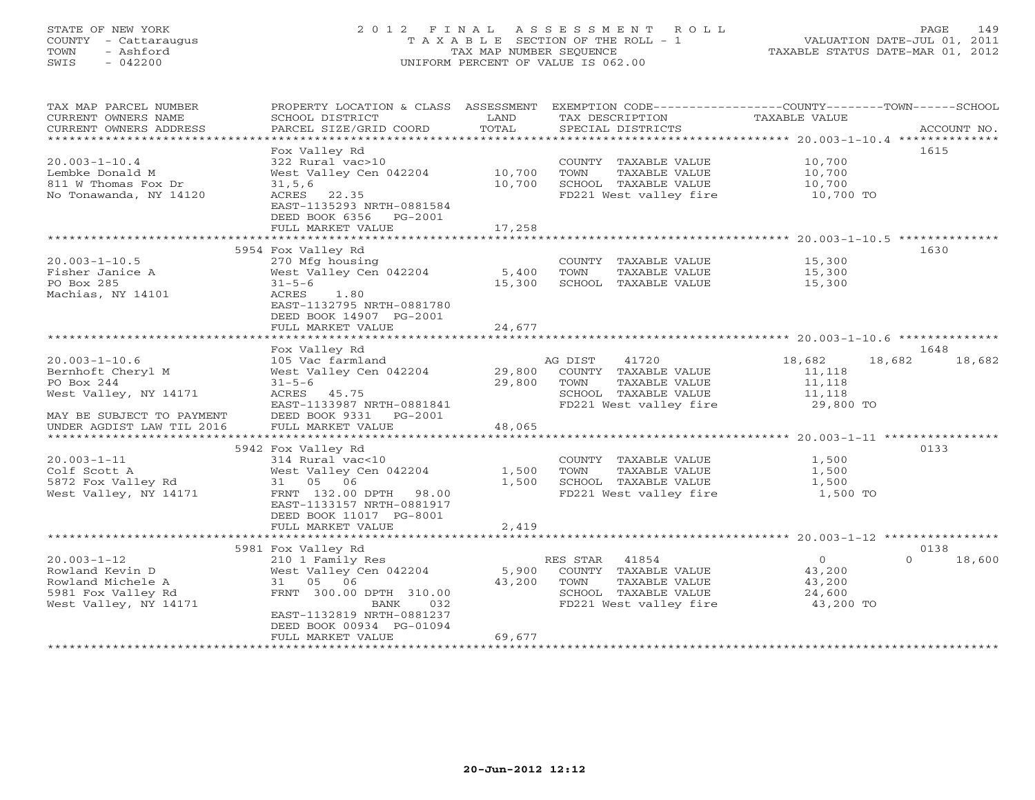# STATE OF NEW YORK 2 0 1 2 F I N A L A S S E S S M E N T R O L L PAGE 149 COUNTY - Cattaraugus T A X A B L E SECTION OF THE ROLL - 1 VALUATION DATE-JUL 01, 2011 TOWN - Ashford TAX MAP NUMBER SEQUENCE TAXABLE STATUS DATE-MAR 01, 2012 SWIS - 042200 UNIFORM PERCENT OF VALUE IS 062.00UNIFORM PERCENT OF VALUE IS 062.00

| TAX MAP PARCEL NUMBER<br>CURRENT OWNERS NAME<br>CURRENT OWNERS ADDRESS | PROPERTY LOCATION & CLASS ASSESSMENT<br>SCHOOL DISTRICT<br>PARCEL SIZE/GRID COORD | LAND<br>TOTAL    | TAX DESCRIPTION<br>SPECIAL DISTRICTS          | EXEMPTION CODE-----------------COUNTY-------TOWN------SCHOOL<br>TAXABLE VALUE | ACCOUNT NO. |
|------------------------------------------------------------------------|-----------------------------------------------------------------------------------|------------------|-----------------------------------------------|-------------------------------------------------------------------------------|-------------|
| ***********************                                                |                                                                                   |                  |                                               |                                                                               |             |
|                                                                        | Fox Valley Rd                                                                     |                  |                                               |                                                                               | 1615        |
| $20.003 - 1 - 10.4$                                                    | 322 Rural vac>10                                                                  |                  | COUNTY TAXABLE VALUE                          | 10,700                                                                        |             |
| Lembke Donald M<br>811 W Thomas Fox Dr                                 | West Valley Cen 042204                                                            | 10,700<br>10,700 | TOWN<br>TAXABLE VALUE<br>SCHOOL TAXABLE VALUE | 10,700<br>10,700                                                              |             |
| No Tonawanda, NY 14120                                                 | 31, 5, 6<br>ACRES 22.35                                                           |                  | FD221 West valley fire                        | 10,700 TO                                                                     |             |
|                                                                        | EAST-1135293 NRTH-0881584                                                         |                  |                                               |                                                                               |             |
|                                                                        | DEED BOOK 6356 PG-2001                                                            |                  |                                               |                                                                               |             |
|                                                                        | FULL MARKET VALUE                                                                 | 17,258           |                                               |                                                                               |             |
|                                                                        |                                                                                   |                  |                                               |                                                                               |             |
|                                                                        | 5954 Fox Valley Rd                                                                |                  |                                               |                                                                               | 1630        |
| $20.003 - 1 - 10.5$                                                    | 270 Mfg housing                                                                   |                  | COUNTY TAXABLE VALUE                          | 15,300                                                                        |             |
| Fisher Janice A                                                        | West Valley Cen 042204                                                            | 5,400            | TOWN<br>TAXABLE VALUE                         | 15,300                                                                        |             |
| PO Box 285                                                             | $31 - 5 - 6$                                                                      | 15,300           | SCHOOL TAXABLE VALUE                          | 15,300                                                                        |             |
| Machias, NY 14101                                                      | ACRES<br>1.80                                                                     |                  |                                               |                                                                               |             |
|                                                                        | EAST-1132795 NRTH-0881780                                                         |                  |                                               |                                                                               |             |
|                                                                        | DEED BOOK 14907 PG-2001<br>FULL MARKET VALUE                                      | 24,677           |                                               |                                                                               |             |
|                                                                        |                                                                                   |                  |                                               |                                                                               |             |
|                                                                        | Fox Valley Rd                                                                     |                  |                                               |                                                                               | 1648        |
| $20.003 - 1 - 10.6$                                                    | 105 Vac farmland                                                                  |                  | 41720<br>AG DIST                              | 18,682<br>18,682                                                              | 18,682      |
| Bernhoft Cheryl M                                                      | West Valley Cen 042204                                                            | 29,800           | COUNTY TAXABLE VALUE                          | 11,118                                                                        |             |
| PO Box 244                                                             | $31 - 5 - 6$                                                                      | 29,800           | TOWN<br>TAXABLE VALUE                         | 11,118                                                                        |             |
| West Valley, NY 14171                                                  | ACRES 45.75                                                                       |                  | SCHOOL TAXABLE VALUE                          | 11,118                                                                        |             |
|                                                                        | EAST-1133987 NRTH-0881841                                                         |                  | FD221 West valley fire                        | 29,800 TO                                                                     |             |
| MAY BE SUBJECT TO PAYMENT                                              | DEED BOOK 9331 PG-2001                                                            |                  |                                               |                                                                               |             |
| UNDER AGDIST LAW TIL 2016                                              | FULL MARKET VALUE                                                                 | 48,065           |                                               |                                                                               |             |
|                                                                        |                                                                                   |                  |                                               |                                                                               |             |
| $20.003 - 1 - 11$                                                      | 5942 Fox Valley Rd<br>314 Rural vac<10                                            |                  | COUNTY TAXABLE VALUE                          | 1,500                                                                         | 0133        |
| Colf Scott A                                                           | West Valley Cen 042204                                                            | 1,500            | TOWN<br>TAXABLE VALUE                         | 1,500                                                                         |             |
| 5872 Fox Valley Rd                                                     | 31 05 06                                                                          | 1,500            | SCHOOL TAXABLE VALUE                          | 1,500                                                                         |             |
| West Valley, NY 14171                                                  | FRNT 132.00 DPTH 98.00                                                            |                  | FD221 West valley fire                        | 1,500 TO                                                                      |             |
|                                                                        | EAST-1133157 NRTH-0881917                                                         |                  |                                               |                                                                               |             |
|                                                                        | DEED BOOK 11017 PG-8001                                                           |                  |                                               |                                                                               |             |
|                                                                        | FULL MARKET VALUE                                                                 | 2,419            |                                               |                                                                               |             |
|                                                                        | *****************************                                                     | ************     |                                               |                                                                               |             |
|                                                                        | 5981 Fox Valley Rd                                                                |                  |                                               |                                                                               | 0138        |
| $20.003 - 1 - 12$                                                      | 210 1 Family Res                                                                  |                  | RES STAR<br>41854                             | $\overline{0}$<br>$\Omega$                                                    | 18,600      |
| Rowland Kevin D                                                        | West Valley Cen 042204                                                            | 5,900            | COUNTY TAXABLE VALUE                          | 43,200                                                                        |             |
| Rowland Michele A<br>5981 Fox Valley Rd                                | 31 05 06<br>FRNT 300.00 DPTH 310.00                                               | 43,200           | TOWN<br>TAXABLE VALUE<br>SCHOOL TAXABLE VALUE | 43,200<br>24,600                                                              |             |
| West Valley, NY 14171                                                  | BANK<br>032                                                                       |                  | FD221 West valley fire                        | 43,200 TO                                                                     |             |
|                                                                        | EAST-1132819 NRTH-0881237                                                         |                  |                                               |                                                                               |             |
|                                                                        | DEED BOOK 00934 PG-01094                                                          |                  |                                               |                                                                               |             |
|                                                                        | FULL MARKET VALUE                                                                 | 69,677           |                                               |                                                                               |             |
|                                                                        | *******************                                                               |                  |                                               |                                                                               |             |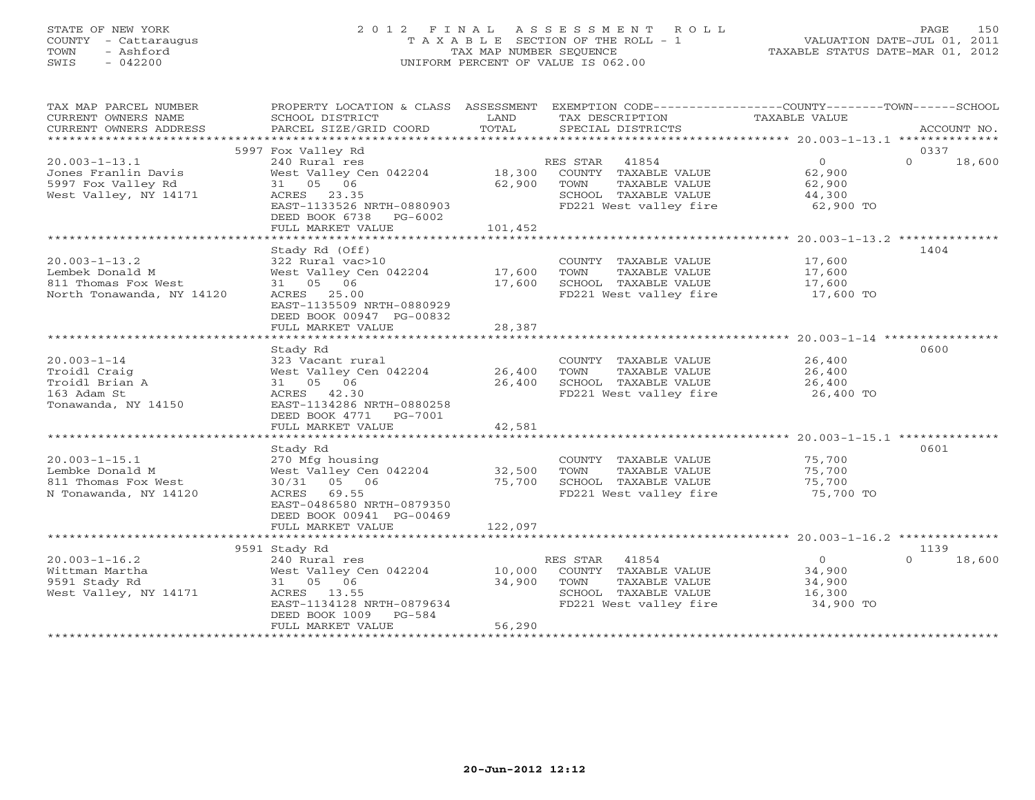## STATE OF NEW YORK 2 0 1 2 F I N A L A S S E S S M E N T R O L L PAGE 150 COUNTY - Cattaraugus T A X A B L E SECTION OF THE ROLL - 1 VALUATION DATE-JUL 01, 2011 TOWN - Ashford TAX MAP NUMBER SEQUENCE TAXABLE STATUS DATE-MAR 01, 2012 SWIS - 042200 UNIFORM PERCENT OF VALUE IS 062.00UNIFORM PERCENT OF VALUE IS 062.00

| TAX MAP PARCEL NUMBER                                   | PROPERTY LOCATION & CLASS ASSESSMENT EXEMPTION CODE----------------COUNTY-------TOWN------SCHOOL |               |                                  |                  |                    |
|---------------------------------------------------------|--------------------------------------------------------------------------------------------------|---------------|----------------------------------|------------------|--------------------|
| CURRENT OWNERS NAME                                     | SCHOOL DISTRICT                                                                                  | LAND<br>TOTAL | TAX DESCRIPTION                  | TAXABLE VALUE    |                    |
| CURRENT OWNERS ADDRESS                                  | PARCEL SIZE/GRID COORD                                                                           |               | SPECIAL DISTRICTS                |                  | ACCOUNT NO.        |
|                                                         | 5997 Fox Valley Rd                                                                               |               |                                  |                  | 0337               |
| $20.003 - 1 - 13.1$                                     | 240 Rural res                                                                                    |               | RES STAR 41854                   | $\overline{0}$   | $\Omega$<br>18,600 |
|                                                         | West Valley Cen 042204                                                                           |               | 18,300 COUNTY TAXABLE VALUE      | 62,900           |                    |
| - 2000 rianilh Davis<br>5997 Fox Valley Rd<br>Mest Vall | 31 05 06                                                                                         | 62,900        | TOWN<br>TAXABLE VALUE            | 62,900           |                    |
| West Valley, NY 14171                                   | ACRES 23.35                                                                                      |               | SCHOOL TAXABLE VALUE             | 44,300           |                    |
|                                                         | EAST-1133526 NRTH-0880903                                                                        |               | FD221 West valley fire           | 62,900 TO        |                    |
|                                                         | DEED BOOK 6738 PG-6002                                                                           |               |                                  |                  |                    |
|                                                         | FULL MARKET VALUE                                                                                | 101,452       |                                  |                  |                    |
|                                                         |                                                                                                  |               |                                  |                  |                    |
|                                                         | Stady Rd (Off)                                                                                   |               |                                  |                  | 1404               |
| $20.003 - 1 - 13.2$                                     | 322 Rural vac>10                                                                                 |               | COUNTY TAXABLE VALUE 17,600      |                  |                    |
| Lembek Donald M                                         | West Valley Cen 042204                                                                           | 17,600        | TAXABLE VALUE<br>TOWN            | 17,600           |                    |
| 811 Thomas Fox West                                     | 31 05 06                                                                                         | 17,600        | SCHOOL TAXABLE VALUE             | 17,600           |                    |
| North Tonawanda, NY 14120                               | ACRES 25.00                                                                                      |               | FD221 West valley fire 17,600 TO |                  |                    |
|                                                         | EAST-1135509 NRTH-0880929                                                                        |               |                                  |                  |                    |
|                                                         | DEED BOOK 00947 PG-00832                                                                         |               |                                  |                  |                    |
|                                                         | FULL MARKET VALUE                                                                                | 28,387        |                                  |                  |                    |
|                                                         |                                                                                                  |               |                                  |                  |                    |
|                                                         | Stady Rd                                                                                         |               |                                  |                  | 0600               |
| $20.003 - 1 - 14$                                       | 323 Vacant rural                                                                                 |               | COUNTY TAXABLE VALUE 26,400      |                  |                    |
| Troidl Craig                                            | West Valley Cen 042204 26,400<br>31 05 06                                                        |               | TOWN<br>TAXABLE VALUE            | 26,400<br>26,400 |                    |
| Troidl Brian A                                          |                                                                                                  | 26,400        | SCHOOL TAXABLE VALUE             | 26,400 TO        |                    |
| 163 Adam St<br>Tonawanda, NY 14150                      | ACRES 42.30<br>EAST-1134286 NRTH-0880258                                                         |               | FD221 West valley fire           |                  |                    |
|                                                         | DEED BOOK 4771 PG-7001                                                                           |               |                                  |                  |                    |
|                                                         | FULL MARKET VALUE                                                                                | 42,581        |                                  |                  |                    |
|                                                         |                                                                                                  |               |                                  |                  |                    |
|                                                         | Stady Rd                                                                                         |               |                                  |                  | 0601               |
| $20.003 - 1 - 15.1$                                     | 270 Mfg housing                                                                                  |               | COUNTY TAXABLE VALUE             | 75,700           |                    |
| Lembke Donald M                                         | West Valley Cen 042204 32,500                                                                    |               | TOWN<br>TAXABLE VALUE            | 75,700           |                    |
| 811 Thomas Fox West                                     | 30/31 05 06                                                                                      | 75,700        | SCHOOL TAXABLE VALUE             | 75,700           |                    |
| N Tonawanda, NY 14120                                   | ACRES 69.55                                                                                      |               | FD221 West valley fire           | 75,700 TO        |                    |
|                                                         | EAST-0486580 NRTH-0879350                                                                        |               |                                  |                  |                    |
|                                                         | DEED BOOK 00941 PG-00469                                                                         |               |                                  |                  |                    |
|                                                         | FULL MARKET VALUE                                                                                | 122,097       |                                  |                  |                    |
|                                                         |                                                                                                  |               |                                  |                  |                    |
|                                                         | 9591 Stady Rd                                                                                    |               |                                  |                  | 1139               |
| $20.003 - 1 - 16.2$                                     | 240 Rural res                                                                                    |               | RES STAR 41854                   | $\overline{0}$   | $\Omega$<br>18,600 |
| Wittman Martha                                          | West Valley Cen 042204 10,000                                                                    |               | COUNTY TAXABLE VALUE             | 34,900           |                    |
| 9591 Stady Rd                                           | 31 05 06                                                                                         | 34,900        | TAXABLE VALUE<br>TOWN            | 34,900           |                    |
| West Valley, NY 14171                                   | ACRES 13.55                                                                                      |               | SCHOOL TAXABLE VALUE             | 16,300           |                    |
|                                                         | EAST-1134128 NRTH-0879634                                                                        |               | FD221 West valley fire           | 34,900 TO        |                    |
|                                                         | DEED BOOK 1009<br>PG-584<br>FULL MARKET VALUE                                                    | 56,290        |                                  |                  |                    |
|                                                         |                                                                                                  |               |                                  |                  |                    |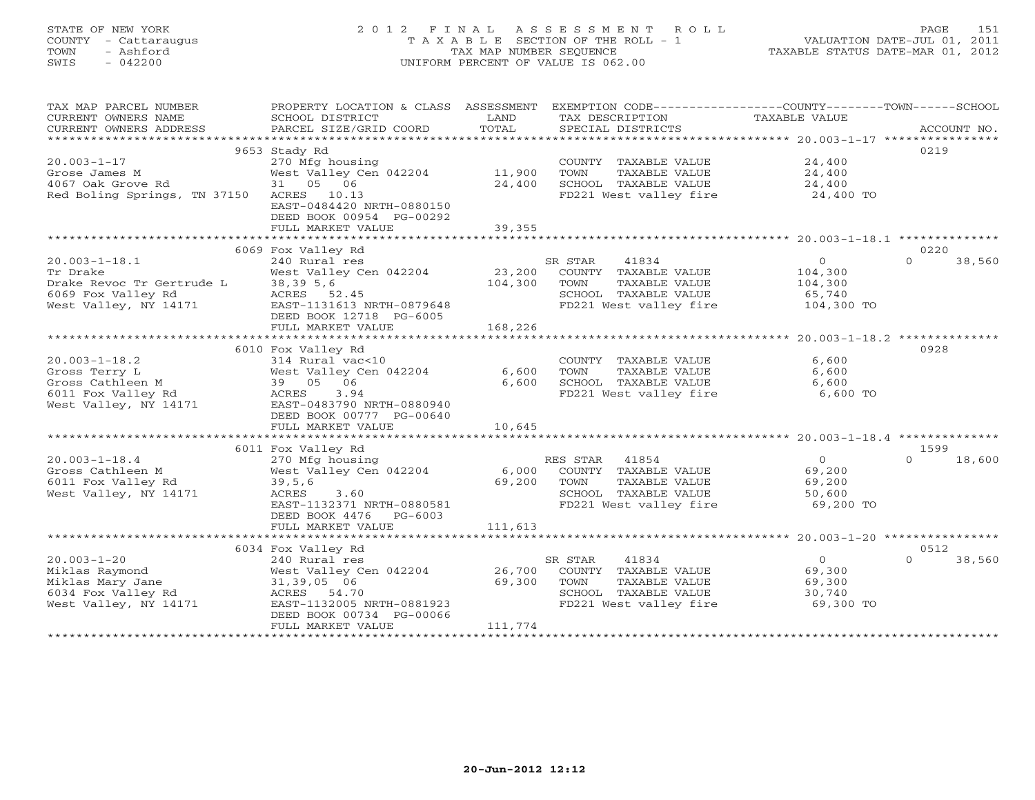# STATE OF NEW YORK 2 0 1 2 F I N A L A S S E S S M E N T R O L L PAGE 151 COUNTY - Cattaraugus T A X A B L E SECTION OF THE ROLL - 1 VALUATION DATE-JUL 01, 2011 TOWN - Ashford TAX MAP NUMBER SEQUENCE TAXABLE STATUS DATE-MAR 01, 2012 SWIS - 042200 UNIFORM PERCENT OF VALUE IS 062.00UNIFORM PERCENT OF VALUE IS 062.00

| TAX MAP PARCEL NUMBER                                                                                           | PROPERTY LOCATION & CLASS ASSESSMENT EXEMPTION CODE----------------COUNTY-------TOWN------SCHOOL |         |                                                          |                  |                    |
|-----------------------------------------------------------------------------------------------------------------|--------------------------------------------------------------------------------------------------|---------|----------------------------------------------------------|------------------|--------------------|
| CURRENT OWNERS NAME                                                                                             | SCHOOL DISTRICT                                                                                  | LAND    | TAX DESCRIPTION                                          | TAXABLE VALUE    |                    |
| .CURRENT OWNERS ADDRESS PARCEL SIZE/GRID COORD TOTAL SPECIAL DISTRICTS ACCOUNT NO ACCOUNT NO ACCOUNT NO ACCOUNT | PARCEL SIZE/GRID COORD                                                                           | TOTAL   |                                                          |                  |                    |
|                                                                                                                 |                                                                                                  |         |                                                          |                  |                    |
|                                                                                                                 | 9653 Stady Rd                                                                                    |         |                                                          |                  | 0219               |
| $20.003 - 1 - 17$                                                                                               | 270 Mfg housing                                                                                  |         | COUNTY TAXABLE VALUE                                     | 24,400           |                    |
| Grose James M                                                                                                   | West Valley Cen 042204                                                                           | 11,900  | TOWN<br>TAXABLE VALUE                                    | 24,400<br>24,400 |                    |
| 4067 Oak Grove Rd                                                                                               | 31 05 06                                                                                         | 24,400  | SCHOOL TAXABLE VALUE                                     |                  |                    |
| Red Boling Springs, TN 37150 ACRES 10.13                                                                        |                                                                                                  |         | FD221 West valley fire 24,400 TO                         |                  |                    |
|                                                                                                                 | EAST-0484420 NRTH-0880150                                                                        |         |                                                          |                  |                    |
|                                                                                                                 | DEED BOOK 00954 PG-00292                                                                         |         |                                                          |                  |                    |
|                                                                                                                 | FULL MARKET VALUE                                                                                | 39,355  |                                                          |                  |                    |
|                                                                                                                 |                                                                                                  |         |                                                          |                  |                    |
|                                                                                                                 | 6069 Fox Valley Rd                                                                               |         |                                                          |                  | 0220               |
| $20.003 - 1 - 18.1$                                                                                             | 240 Rural res                                                                                    |         | SR STAR<br>41834                                         | $\overline{0}$   | $\Omega$<br>38,560 |
| Tr Drake                                                                                                        | West Valley Cen 042204                                                                           |         | 23,200 COUNTY TAXABLE VALUE                              | 104,300          |                    |
| Drake Revoc Tr Gertrude L 38,39 5,6                                                                             |                                                                                                  | 104,300 | TOWN<br>TAXABLE VALUE                                    | 104,300          |                    |
|                                                                                                                 |                                                                                                  |         | SCHOOL TAXABLE VALUE                                     | 65,740           |                    |
|                                                                                                                 |                                                                                                  |         | FD221 West valley fire                                   | 104,300 TO       |                    |
|                                                                                                                 | DEED BOOK 12718 PG-6005                                                                          |         |                                                          |                  |                    |
|                                                                                                                 | FULL MARKET VALUE                                                                                | 168,226 |                                                          |                  |                    |
|                                                                                                                 |                                                                                                  |         |                                                          |                  |                    |
|                                                                                                                 | 6010 Fox Valley Rd                                                                               |         |                                                          |                  | 0928               |
| $20.003 - 1 - 18.2$                                                                                             | 314 Rural vac<10                                                                                 |         | COUNTY TAXABLE VALUE                                     | 6,600            |                    |
| Gross Terry L                                                                                                   | West Valley Cen 042204<br>West Valley OS<br>39 05 06                                             | 6,600   | TOWN<br>TAXABLE VALUE                                    | 6,600            |                    |
| Gross Cathleen M                                                                                                |                                                                                                  | 6,600   | SCHOOL TAXABLE VALUE                                     | 6,600            |                    |
| 6011 Fox Valley Rd Boll Fox Valley, NY 14171 BAST-0483                                                          | 3.94                                                                                             |         | FD221 West valley fire                                   | 6,600 TO         |                    |
|                                                                                                                 | EAST-0483790 NRTH-0880940                                                                        |         |                                                          |                  |                    |
|                                                                                                                 | DEED BOOK 00777 PG-00640                                                                         |         |                                                          |                  |                    |
|                                                                                                                 | FULL MARKET VALUE                                                                                | 10,645  |                                                          |                  |                    |
|                                                                                                                 |                                                                                                  |         |                                                          |                  |                    |
|                                                                                                                 | 6011 Fox Valley Rd                                                                               |         |                                                          |                  | 1599<br>$\Omega$   |
| $20.003 - 1 - 18.4$                                                                                             | 270 Mfg housing<br>270 Mfg housing<br>West Valley Cen 042204                                     |         | RES STAR 41854                                           | $\overline{0}$   | 18,600             |
| Gross Cathleen M                                                                                                |                                                                                                  | 6,000   | COUNTY TAXABLE VALUE                                     | 69,200           |                    |
| 39, 5, 6<br>6011 Fox Valley Rd                                                                                  |                                                                                                  | 69,200  | TAXABLE VALUE<br>TOWN                                    | 69,200           |                    |
| West Valley, NY 14171                                                                                           | ACRES<br>3.60                                                                                    |         | SCHOOL TAXABLE VALUE<br>FD221 West valley fire 69,200 TO | 50,600           |                    |
|                                                                                                                 | EAST-1132371 NRTH-0880581                                                                        |         |                                                          |                  |                    |
|                                                                                                                 | DEED BOOK 4476 PG-6003<br>FULL MARKET VALUE                                                      | 111,613 |                                                          |                  |                    |
|                                                                                                                 |                                                                                                  |         |                                                          |                  |                    |
|                                                                                                                 | 6034 Fox Valley Rd                                                                               |         |                                                          |                  | 0512               |
| $20.003 - 1 - 20$                                                                                               | 240 Rural res                                                                                    |         | 41834<br>SR STAR                                         | $\overline{0}$   | $\Omega$           |
|                                                                                                                 | West Valley Cen 042204 26,700                                                                    |         | COUNTY TAXABLE VALUE                                     | 69,300           | 38,560             |
| Miklas Raymond                                                                                                  | 31,39,05 06                                                                                      | 69,300  | TOWN<br>TAXABLE VALUE                                    | 69,300           |                    |
|                                                                                                                 |                                                                                                  |         |                                                          |                  |                    |
| Miklas Mary Jane<br>6034 Fox Valley Rd<br>West Valley, NY 14171                                                 | ACRES 54.70<br>EAST-1132005 NRTH-0881923                                                         |         | SCHOOL TAXABLE VALUE                                     | 30,740           |                    |
|                                                                                                                 |                                                                                                  |         | FD221 West valley fire                                   | 69,300 TO        |                    |
|                                                                                                                 | DEED BOOK 00734 PG-00066<br>FULL MARKET VALUE                                                    | 111,774 |                                                          |                  |                    |
|                                                                                                                 |                                                                                                  |         |                                                          |                  |                    |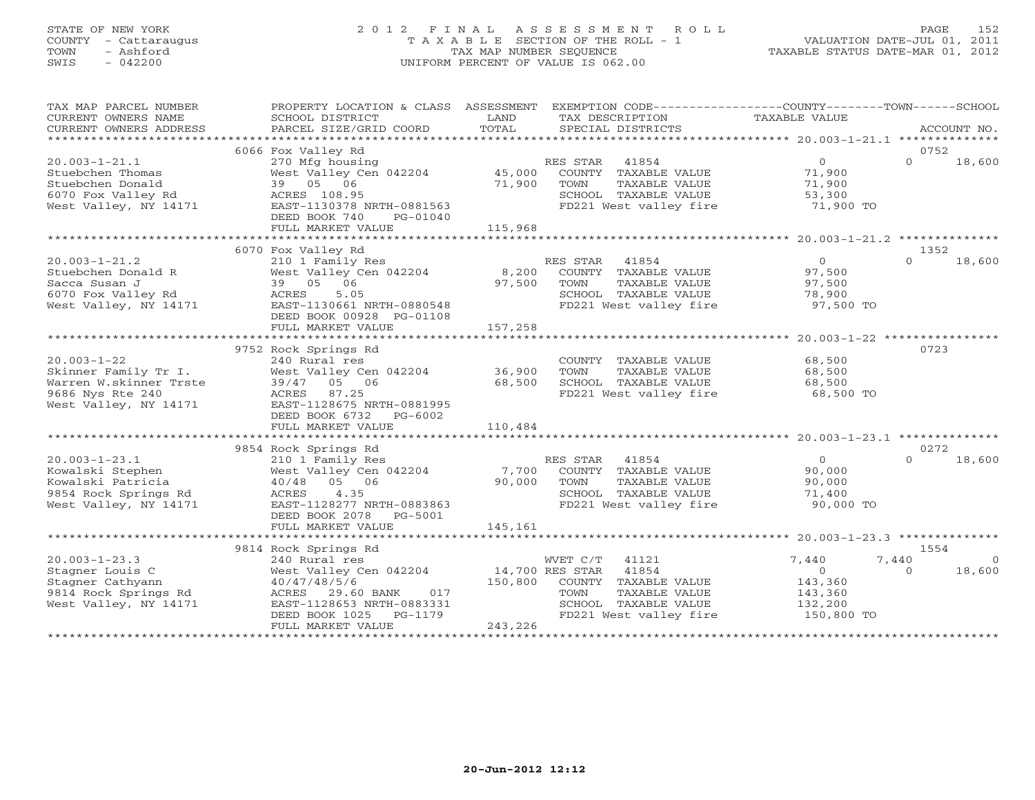## STATE OF NEW YORK 2 0 1 2 F I N A L A S S E S S M E N T R O L L PAGE 152 COUNTY - Cattaraugus T A X A B L E SECTION OF THE ROLL - 1 VALUATION DATE-JUL 01, 2011 TOWN - Ashford TAX MAP NUMBER SEQUENCE TAXABLE STATUS DATE-MAR 01, 2012 SWIS - 042200 UNIFORM PERCENT OF VALUE IS 062.00

| TAX MAP PARCEL NUMBER                                                                                                                                                                          | PROPERTY LOCATION & CLASS ASSESSMENT EXEMPTION CODE----------------COUNTY-------TOWN------SCHOOL                                                                                                                                                                                                                                                                                                                                    |                   |                                                                                                                                                              |                                                        |                                               |
|------------------------------------------------------------------------------------------------------------------------------------------------------------------------------------------------|-------------------------------------------------------------------------------------------------------------------------------------------------------------------------------------------------------------------------------------------------------------------------------------------------------------------------------------------------------------------------------------------------------------------------------------|-------------------|--------------------------------------------------------------------------------------------------------------------------------------------------------------|--------------------------------------------------------|-----------------------------------------------|
|                                                                                                                                                                                                | 6066 Fox Valley Rd                                                                                                                                                                                                                                                                                                                                                                                                                  |                   |                                                                                                                                                              |                                                        | 0752                                          |
| $20.003 - 1 - 21.1$<br>Stuebchen Thomas<br>Stuebchen Donald<br>6070 Fox Valley Rd<br>West Valley, $\vec{NT}$ 14171                                                                             | 270 Mfg housing<br>West Valley Cen 042204 45,000<br>39 05 06<br>ACRES 108.95<br>EAST-1130378 NRTH-0881563<br>DEED BOOK 740<br>PG-01040<br>FULL MARKET VALUE                                                                                                                                                                                                                                                                         | 71,900<br>115,968 | RES STAR 41854<br>COUNTY TAXABLE VALUE<br>TOWN<br>TAXABLE VALUE<br>SCHOOL TAXABLE VALUE<br>FD221 West valley fire 53,300<br>TD221 West valley fire 71,900 TO | $\overline{0}$<br>71,900<br>71,900                     | $\Omega$<br>18,600                            |
|                                                                                                                                                                                                | 6070 Fox Valley Rd                                                                                                                                                                                                                                                                                                                                                                                                                  |                   |                                                                                                                                                              |                                                        | 1352                                          |
| $20.003 - 1 - 21.2$                                                                                                                                                                            | POR VALLEY IN THE RES STAR 41854 (1854)<br>210 1 Family Res (2001) RES STAR 41854 (2011) 97,500<br>39 05 06 (2011) 97,500 (2011) 97,500 (2011) PAXABLE VALUE (2013) 97,500<br>Stuebchen Donald R (Exp. of Mest Valley Cen 042204)<br>Sacca Susan J (39 05 06 (97)<br>6070 Fox Valley Rd (ACRES 5.05 Mest Valley, NY 14171 (1880548 (1880)<br>Mest Valley, NY 14171 (1880548 (1880)<br>DEED BOOK 00928 PG-01108<br>FULL MARKET VALUE | 157,258           | SCHOOL TAXABLE VALUE 78,900<br>FD221 West valley fire 97,500 TO                                                                                              |                                                        | 18,600<br>$\Omega$                            |
|                                                                                                                                                                                                |                                                                                                                                                                                                                                                                                                                                                                                                                                     |                   |                                                                                                                                                              |                                                        |                                               |
|                                                                                                                                                                                                | 9752 Rock Springs Rd<br>20.003-1-22<br>Skinner Family Tr I. West Valley Cen 042204<br>Warren W.skinner Trste 39/47 05 06 68,500<br>9686 Nys Rte 240 ACRES 87.25<br>West Valley, NY 14171 EAST-1128675 NRTH-0881995<br>DEED BOOK 6732 PG-6002                                                                                                                                                                                        |                   | COUNTY TAXABLE VALUE 68,500<br>TOWN<br>TAXABLE VALUE<br>SCHOOL TAXABLE VALUE 68,500<br>FD221 West valley fire 68,500 TO                                      | 68,500                                                 | 0723                                          |
|                                                                                                                                                                                                | FULL MARKET VALUE                                                                                                                                                                                                                                                                                                                                                                                                                   | 110,484           |                                                                                                                                                              |                                                        |                                               |
|                                                                                                                                                                                                |                                                                                                                                                                                                                                                                                                                                                                                                                                     |                   |                                                                                                                                                              |                                                        |                                               |
| 20.003-1-23.1<br>Kowalski Stephen<br>Kowalski Patricia<br>9854 Rock Springs Rd<br>West Valley, NY 14171                                                                                        | 9854 Rock Springs Rd<br>210 1 Family Res<br>West Valley Cen 042204 7,700<br>40/48 05 06<br>4.35<br>ACRES<br>EAST-1128277 NRTH-0883863<br>DEED BOOK 2078    PG-5001                                                                                                                                                                                                                                                                  | 90,000            | RES STAR 41854<br>ES STAR 41854<br>COUNTY TAXABLE VALUE<br>TAXABLE VALUE<br>TOWN<br>SCHOOL TAXABLE VALUE<br>FD221 West valley fire 90,000 TO                 | $\overline{0}$<br>90,000<br>90,000<br>90,000<br>71,400 | 0272<br>$\Omega$<br>18,600                    |
|                                                                                                                                                                                                | FULL MARKET VALUE                                                                                                                                                                                                                                                                                                                                                                                                                   | 145,161           |                                                                                                                                                              |                                                        |                                               |
|                                                                                                                                                                                                | 9814 Rock Springs Rd                                                                                                                                                                                                                                                                                                                                                                                                                |                   |                                                                                                                                                              |                                                        | 1554                                          |
| $20.003 - 1 - 23.3$<br>Extragreer Louis C and Mest Valley Cen 042<br>Stagner Cathyann 1974/48/5/6<br>19814 Rock Springs Rd ACRES 29.60 BANK<br>19814 Mest Valley, NY 14171 EAST-1128653 NRTH-0 | 240 Rural res<br>West Valley Cen 042204 14,700 RES STAR 41854<br>017<br>EAST-1128653 NRTH-0883331<br>DEED BOOK 1025<br>PG-1179<br>FULL MARKET VALUE                                                                                                                                                                                                                                                                                 | 243,226           | WVET C/T 41121<br>150,800 COUNTY TAXABLE VALUE<br>TAXABLE VALUE<br>TOWN<br>SCHOOL TAXABLE VALUE 132,200<br>FD221 West valley fire 150,800 TO                 | 7,440<br>$\overline{0}$<br>143,360<br>143,360          | 7,440<br>$\overline{0}$<br>$\Omega$<br>18,600 |
|                                                                                                                                                                                                |                                                                                                                                                                                                                                                                                                                                                                                                                                     |                   |                                                                                                                                                              |                                                        |                                               |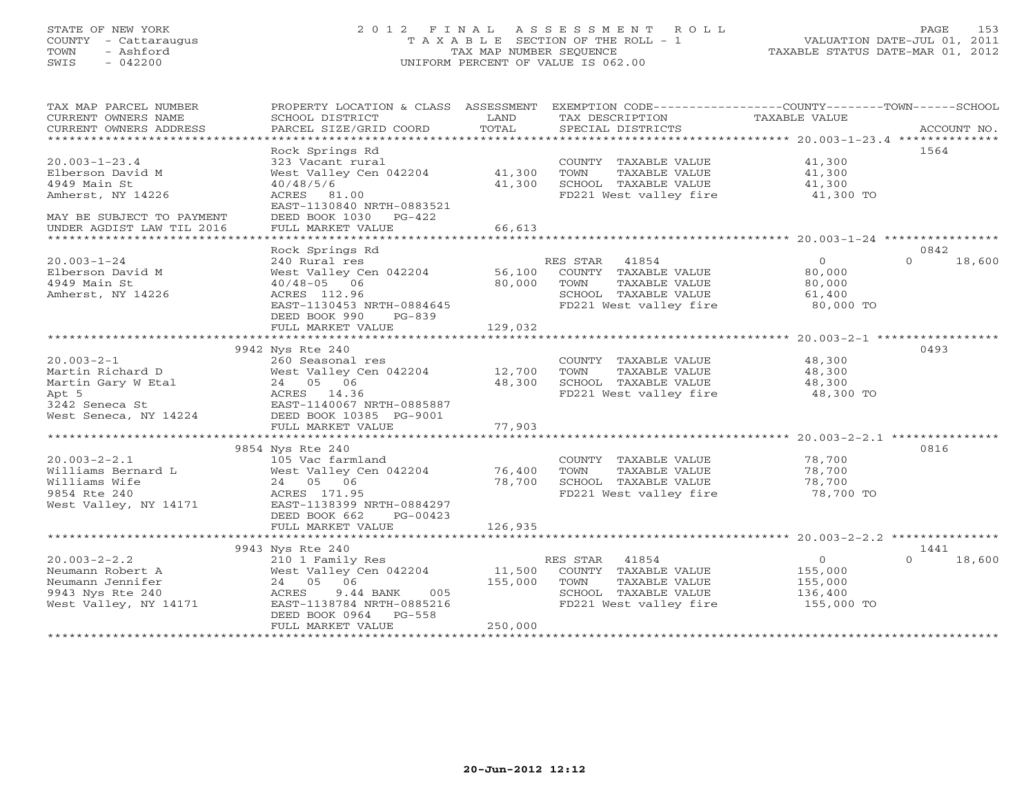# STATE OF NEW YORK 2 0 1 2 F I N A L A S S E S S M E N T R O L L PAGE 153 COUNTY - Cattaraugus T A X A B L E SECTION OF THE ROLL - 1 VALUATION DATE-JUL 01, 2011 TOWN - Ashford TAX MAP NUMBER SEQUENCE TAXABLE STATUS DATE-MAR 01, 2012 SWIS - 042200 UNIFORM PERCENT OF VALUE IS 062.00

| TAX MAP PARCEL NUMBER<br>CURRENT OWNERS NAME<br>CURRENT OWNERS ADDRESS                                                                 | PROPERTY LOCATION & CLASS ASSESSMENT<br>SCHOOL DISTRICT<br>PARCEL SIZE/GRID COORD                                                                                                                        | LAND<br>TOTAL                | EXEMPTION CODE-----------------COUNTY-------TOWN------SCHOOL<br>TAX DESCRIPTION TAXABLE VALUE SPECIAL DISTRICTS              |                                                           | ACCOUNT NO.                |
|----------------------------------------------------------------------------------------------------------------------------------------|----------------------------------------------------------------------------------------------------------------------------------------------------------------------------------------------------------|------------------------------|------------------------------------------------------------------------------------------------------------------------------|-----------------------------------------------------------|----------------------------|
| $20.003 - 1 - 23.4$<br>Elberson David M<br>4949 Main St<br>Amherst, NY 14226<br>MAY BE SUBJECT TO PAYMENT<br>UNDER AGDIST LAW TIL 2016 | Rock Springs Rd<br>323 Vacant rural<br>West Valley Cen 042204 41,300<br>40/48/5/6<br>ACRES 81.00<br>EAST-1130840 NRTH-0883521<br>DEED BOOK 1030 PG-422<br>FULL MARKET VALUE                              | 41,300<br>66,613             | COUNTY TAXABLE VALUE<br>TAXABLE VALUE<br>TOWN<br>SCHOOL TAXABLE VALUE<br>FD221 West valley fire                              | 41,300<br>41,300<br>41,300<br>41,300 TO                   | 1564                       |
|                                                                                                                                        |                                                                                                                                                                                                          |                              |                                                                                                                              |                                                           | 0842                       |
| $20.003 - 1 - 24$<br>Elberson David M<br>4949 Main St<br>Amherst, NY 14226                                                             | Rock Springs Rd<br>240 Rural res<br>West Valley Cen 042204 56,100 COUNTY TAXABLE VALUE<br>$40/48 - 05$ 06<br>ACRES 112.96<br>EAST-1130453 NRTH-0884645<br>DEED BOOK 990<br>$PG-839$<br>FULL MARKET VALUE | 80,000<br>129,032            | RES STAR 41854<br>TOWN<br>TAXABLE VALUE<br>SCHOOL TAXABLE VALUE<br>FD221 West valley fire                                    | $\overline{0}$<br>80,000<br>80,000<br>61,400<br>80,000 TO | $\Omega$<br>18,600         |
|                                                                                                                                        | 9942 Nys Rte 240                                                                                                                                                                                         |                              |                                                                                                                              |                                                           | 0493                       |
| $20.003 - 2 - 1$<br>Martin Richard D<br>Martin Gary W Etal<br>Apt 5<br>3242 Seneca St<br>West Seneca, NY 14224                         | 260 Seasonal res<br>West Valley Cen 042204 12,700<br>24 05 06<br>ACRES 14.36<br>ACRES 14.50<br>EAST-1140067 NRTH-0885887<br>CAST 20105 PC-9001<br>DEED BOOK 10385 PG-9001                                | 48,300                       | COUNTY TAXABLE VALUE 48,300<br>TAXABLE VALUE<br>TOWN<br>SCHOOL TAXABLE VALUE<br>FD221 West valley fire 48,300 TO             | 48,300<br>$\frac{1}{48}$ , 300                            |                            |
|                                                                                                                                        | FULL MARKET VALUE                                                                                                                                                                                        | 77,903                       |                                                                                                                              |                                                           |                            |
| West Valley, NY 14171                                                                                                                  | EAST-1138399 NRTH-0884297                                                                                                                                                                                |                              | COUNTY TAXABLE VALUE<br>TOWN<br>TAXABLE VALUE<br>SCHOOL TAXABLE VALUE<br>FD221 West valley fire                              | 78,700<br>78,700<br>78,700<br>78,700 TO                   | 0816                       |
|                                                                                                                                        | DEED BOOK 662<br>PG-00423<br>FULL MARKET VALUE                                                                                                                                                           | 126,935                      |                                                                                                                              |                                                           |                            |
|                                                                                                                                        |                                                                                                                                                                                                          |                              |                                                                                                                              |                                                           |                            |
| $20.003 - 2 - 2.2$<br>Neumann Robert A<br>Neumann Jennifer<br>9943 Nys Rte 240<br>West Valley, NY 14171                                | 9943 Nys Rte 240<br>210 1 Family Res<br>West Valley Cen 042204<br>24 05 06<br>9.44 BANK 005<br>ACRES<br>EAST-1138784 NRTH-0885216<br>DEED BOOK 0964 PG-558<br>FULL MARKET VALUE                          | 11,500<br>155,000<br>250,000 | RES STAR 41854<br>COUNTY TAXABLE VALUE<br>TAXABLE VALUE<br>TOWN<br>SCHOOL TAXABLE VALUE<br>FD221 West valley fire 155,000 TO | $\overline{0}$<br>155,000<br>155,000<br>136,400           | 1441<br>18,600<br>$\Omega$ |
|                                                                                                                                        |                                                                                                                                                                                                          |                              |                                                                                                                              |                                                           |                            |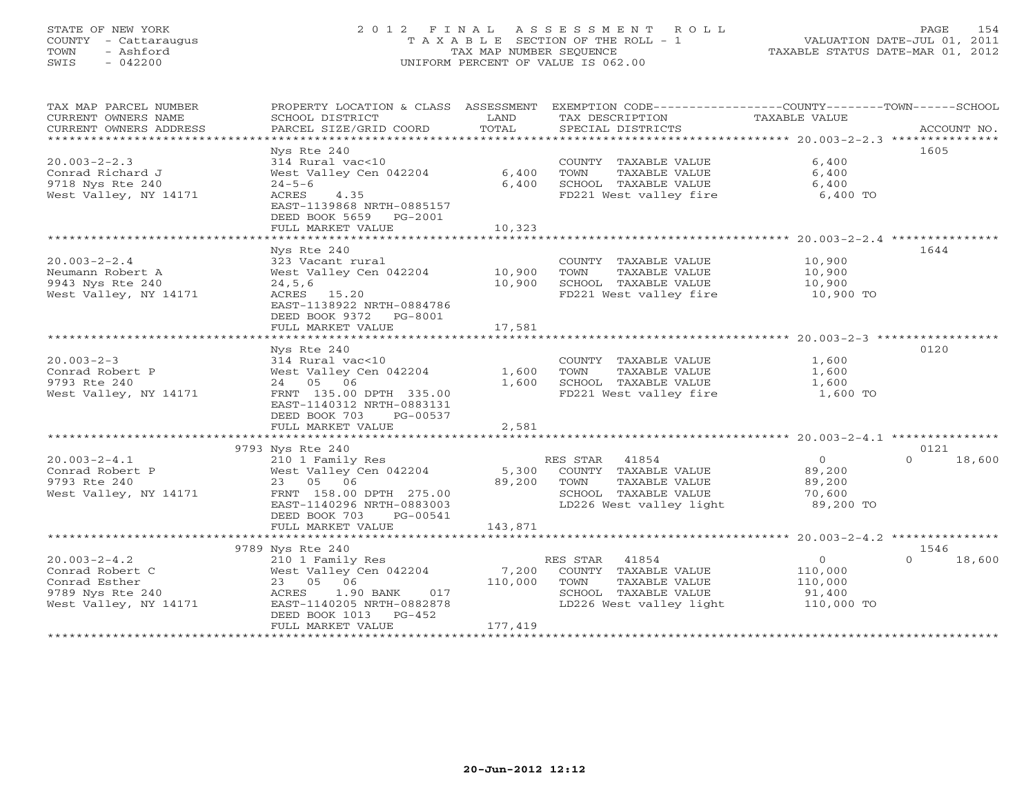# STATE OF NEW YORK 2 0 1 2 F I N A L A S S E S S M E N T R O L L PAGE 154 COUNTY - Cattaraugus T A X A B L E SECTION OF THE ROLL - 1 VALUATION DATE-JUL 01, 2011 TOWN - Ashford TAX MAP NUMBER SEQUENCE TAXABLE STATUS DATE-MAR 01, 2012 SWIS - 042200 UNIFORM PERCENT OF VALUE IS 062.00UNIFORM PERCENT OF VALUE IS 062.00

| TAX MAP PARCEL NUMBER<br>CURRENT OWNERS NAME<br>CURRENT OWNERS ADDRESS                              | PROPERTY LOCATION & CLASS ASSESSMENT<br>SCHOOL DISTRICT<br>PARCEL SIZE/GRID COORD                                                                                                       | LAND<br>TOTAL               | TAX DESCRIPTION<br>SPECIAL DISTRICTS                                                                               | EXEMPTION CODE-----------------COUNTY-------TOWN------SCHOOL<br>TAXABLE VALUE<br>ACCOUNT NO. |  |
|-----------------------------------------------------------------------------------------------------|-----------------------------------------------------------------------------------------------------------------------------------------------------------------------------------------|-----------------------------|--------------------------------------------------------------------------------------------------------------------|----------------------------------------------------------------------------------------------|--|
| $20.003 - 2 - 2.3$<br>Conrad Richard J<br>9718 Nys Rte 240<br>West Valley, NY 14171                 | Nys Rte 240<br>314 Rural vac<10<br>West Valley Cen 042204<br>$24 - 5 - 6$<br>ACRES<br>4.35<br>EAST-1139868 NRTH-0885157<br>DEED BOOK 5659<br>PG-2001<br>FULL MARKET VALUE               | 6,400<br>6,400<br>10,323    | COUNTY TAXABLE VALUE<br>TOWN<br>TAXABLE VALUE<br>SCHOOL TAXABLE VALUE<br>FD221 West valley fire                    | 1605<br>6,400<br>6,400<br>6,400<br>6,400 TO                                                  |  |
| $20.003 - 2 - 2.4$<br>Neumann Robert A<br>9943 Nys Rte 240<br>West Valley, NY 14171                 | Nys Rte 240<br>323 Vacant rural<br>West Valley Cen 042204<br>24, 5, 6<br>ACRES 15.20<br>EAST-1138922 NRTH-0884786<br>DEED BOOK 9372<br>PG-8001<br>FULL MARKET VALUE                     | 10,900<br>10,900<br>17,581  | COUNTY TAXABLE VALUE<br>TOWN<br>TAXABLE VALUE<br>SCHOOL TAXABLE VALUE<br>FD221 West valley fire                    | 1644<br>10,900<br>10,900<br>10,900<br>10,900 TO                                              |  |
| $20.003 - 2 - 3$<br>Conrad Robert P<br>9793 Rte 240<br>West Valley, NY 14171                        | Nys Rte 240<br>314 Rural vac<10<br>West Valley Cen 042204<br>24 05 06<br>FRNT 135.00 DPTH 335.00<br>EAST-1140312 NRTH-0883131<br>DEED BOOK 703<br>PG-00537<br>FULL MARKET VALUE         | 1,600<br>1,600<br>2,581     | COUNTY TAXABLE VALUE<br>TOWN<br>TAXABLE VALUE<br>SCHOOL TAXABLE VALUE<br>FD221 West valley fire                    | 0120<br>1,600<br>1,600<br>1,600<br>1,600 TO                                                  |  |
| $20.003 - 2 - 4.1$<br>Conrad Robert P<br>9793 Rte 240<br>West Valley, NY 14171                      | 9793 Nys Rte 240<br>210 1 Family Res<br>West Valley Cen 042204<br>23 05 06<br>FRNT 158.00 DPTH 275.00<br>EAST-1140296 NRTH-0883003<br>DEED BOOK 703<br>PG-00541<br>FULL MARKET VALUE    | 5,300<br>89,200<br>143,871  | RES STAR 41854<br>COUNTY TAXABLE VALUE<br>TAXABLE VALUE<br>TOWN<br>SCHOOL TAXABLE VALUE<br>LD226 West valley light | 0121<br>$\circ$<br>$\Omega$<br>18,600<br>89,200<br>89,200<br>70,600<br>89,200 TO             |  |
| $20.003 - 2 - 4.2$<br>Conrad Robert C<br>Conrad Esther<br>9789 Nys Rte 240<br>West Valley, NY 14171 | 9789 Nys Rte 240<br>210 1 Family Res<br>West Valley Cen 042204<br>23 05 06<br>017<br>ACRES<br>1.90 BANK<br>EAST-1140205 NRTH-0882878<br>DEED BOOK 1013<br>$PG-452$<br>FULL MARKET VALUE | 7,200<br>110,000<br>177,419 | RES STAR 41854<br>COUNTY TAXABLE VALUE<br>TOWN<br>TAXABLE VALUE<br>SCHOOL TAXABLE VALUE<br>LD226 West valley light | 1546<br>$\circ$<br>18,600<br>$\Omega$<br>110,000<br>110,000<br>91,400<br>110,000 TO          |  |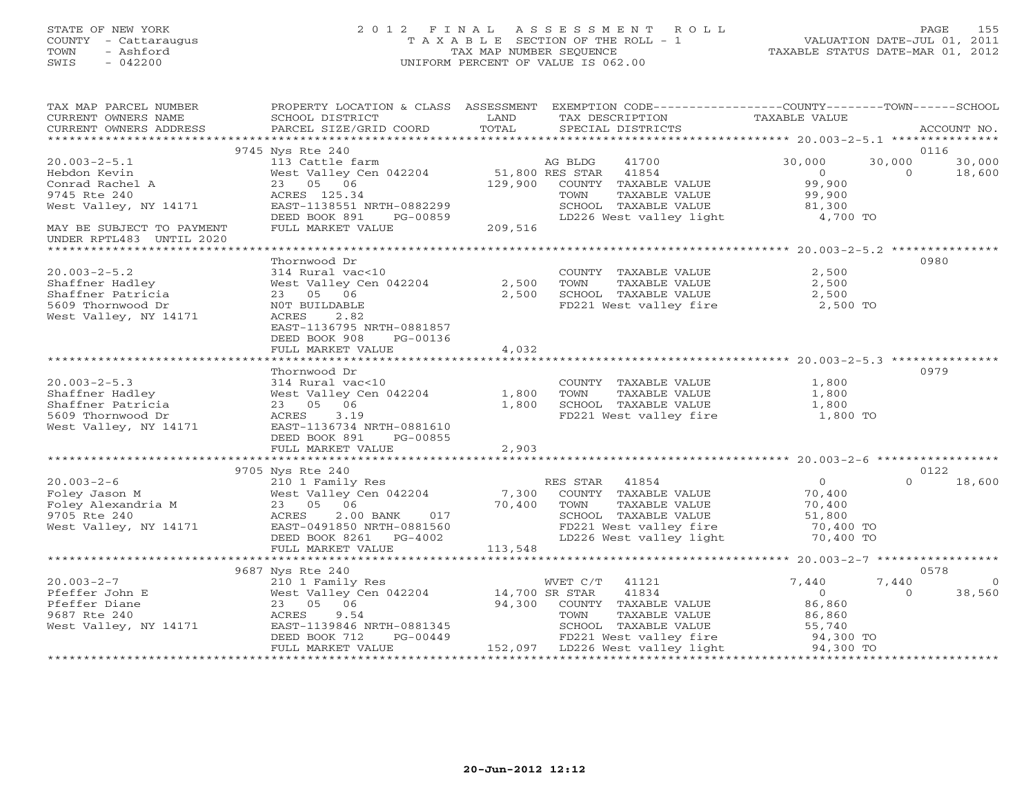# STATE OF NEW YORK 2 0 1 2 F I N A L A S S E S S M E N T R O L L PAGE 155 COUNTY - Cattaraugus T A X A B L E SECTION OF THE ROLL - 1 VALUATION DATE-JUL 01, 2011 TOWN - Ashford TAX MAP NUMBER SEQUENCE TAXABLE STATUS DATE-MAR 01, 2012 SWIS - 042200 UNIFORM PERCENT OF VALUE IS 062.00UNIFORM PERCENT OF VALUE IS 062.00

| TAX MAP PARCEL NUMBER                                                                                                                                                                                                                                              | PROPERTY LOCATION & CLASS ASSESSMENT EXEMPTION CODE----------------COUNTY-------TOWN------SCHOOL                   |         |                                 |                                                                           |                |                |
|--------------------------------------------------------------------------------------------------------------------------------------------------------------------------------------------------------------------------------------------------------------------|--------------------------------------------------------------------------------------------------------------------|---------|---------------------------------|---------------------------------------------------------------------------|----------------|----------------|
| CURRENT OWNERS NAME                                                                                                                                                                                                                                                | SCHOOL DISTRICT                                                                                                    | LAND    | TAX DESCRIPTION                 | TAXABLE VALUE                                                             |                |                |
| .CURRENT OWNERS ADDRESS PARCEL SIZE/GRID COORD TOTAL SPECIAL DISTRICTS ACCOUNT NO ACCOUNT NO ACCOUNT NO ARE A LATA AND A LATA A LATA A LATA A LATA A LATA A LATA A LATA A LATA A LATA A LATA A LATA A LATA A LATA A LATA A LAT                                     |                                                                                                                    |         |                                 |                                                                           |                |                |
|                                                                                                                                                                                                                                                                    |                                                                                                                    |         |                                 |                                                                           |                |                |
|                                                                                                                                                                                                                                                                    | 9745 Nys Rte 240                                                                                                   |         |                                 |                                                                           | 0116           |                |
| $20.003 - 2 - 5.1$                                                                                                                                                                                                                                                 | AG BLDG 41700<br>West Valley Cen 042204 51,800 RES STAR 41854<br>23 05 06 129,900 COUNTY TAXABLE<br>RACES 129.5.34 |         |                                 | 30,000                                                                    | 30,000         | 30,000         |
| Hebdon Kevin                                                                                                                                                                                                                                                       |                                                                                                                    |         |                                 | $\overline{0}$                                                            | $\overline{0}$ | 18,600         |
| Conrad Rachel A                                                                                                                                                                                                                                                    |                                                                                                                    |         | COUNTY TAXABLE VALUE            | 99,900<br>99,900                                                          |                |                |
| 9745 Rte 240                                                                                                                                                                                                                                                       | ACRES 125.34                                                                                                       |         |                                 | TAXABLE VALUE                                                             |                |                |
| West Valley, NY 14171                                                                                                                                                                                                                                              | EAST-1138551 NRTH-0882299                                                                                          |         |                                 | SCHOOL TAXABLE VALUE 81,300<br>LD226 West valley light 4,700 TO           |                |                |
|                                                                                                                                                                                                                                                                    | DEED BOOK 891<br>PG-00859                                                                                          |         |                                 |                                                                           |                |                |
| MAY BE SUBJECT TO PAYMENT                                                                                                                                                                                                                                          | FULL MARKET VALUE                                                                                                  | 209,516 |                                 |                                                                           |                |                |
| UNDER RPTL483 UNTIL 2020                                                                                                                                                                                                                                           |                                                                                                                    |         |                                 |                                                                           |                |                |
|                                                                                                                                                                                                                                                                    |                                                                                                                    |         |                                 |                                                                           |                |                |
|                                                                                                                                                                                                                                                                    | Thornwood Dr                                                                                                       |         |                                 |                                                                           | 0980           |                |
| $20.003 - 2 - 5.2$                                                                                                                                                                                                                                                 | 314 Rural vac<10                                                                                                   |         | COUNTY TAXABLE VALUE            | 2,500                                                                     |                |                |
|                                                                                                                                                                                                                                                                    |                                                                                                                    |         |                                 | TAXABLE VALUE<br>2,500                                                    |                |                |
|                                                                                                                                                                                                                                                                    |                                                                                                                    |         |                                 | 2,500 SCHOOL TAXABLE VALUE 2,500<br>FD221 West valley fire 2,500 TO       |                |                |
|                                                                                                                                                                                                                                                                    |                                                                                                                    |         |                                 |                                                                           |                |                |
| West Valley, NY 14171                                                                                                                                                                                                                                              | ACRES<br>2.82                                                                                                      |         |                                 |                                                                           |                |                |
|                                                                                                                                                                                                                                                                    | EAST-1136795 NRTH-0881857                                                                                          |         |                                 |                                                                           |                |                |
|                                                                                                                                                                                                                                                                    | DEED BOOK 908<br>PG-00136                                                                                          |         |                                 |                                                                           |                |                |
|                                                                                                                                                                                                                                                                    | FULL MARKET VALUE                                                                                                  | 4,032   |                                 |                                                                           |                |                |
|                                                                                                                                                                                                                                                                    |                                                                                                                    |         |                                 |                                                                           |                |                |
|                                                                                                                                                                                                                                                                    | Thornwood Dr                                                                                                       |         |                                 |                                                                           | 0979           |                |
|                                                                                                                                                                                                                                                                    |                                                                                                                    |         |                                 | COUNTY TAXABLE VALUE<br>1,800                                             |                |                |
|                                                                                                                                                                                                                                                                    |                                                                                                                    |         |                                 |                                                                           |                |                |
| 20.003-2-5.3<br>Shaffner Hadley<br>Shaffner Patricia<br>Shaffner Patricia<br>5609 Thornwood Dr<br>West Valley, NY 14171<br>EARES<br>EARES<br>EARES<br>FORES<br>THE 23 05 06<br>23 05 06<br>23 05 06<br>23 1,800<br>23 05 06<br>23 1,800<br>23 19<br>23 19<br>23 19 |                                                                                                                    |         |                                 |                                                                           |                |                |
|                                                                                                                                                                                                                                                                    |                                                                                                                    |         |                                 | FD221 West valley fire 1,800 TO                                           |                |                |
|                                                                                                                                                                                                                                                                    |                                                                                                                    |         |                                 |                                                                           |                |                |
|                                                                                                                                                                                                                                                                    | DEED BOOK 891<br>PG-00855                                                                                          |         |                                 |                                                                           |                |                |
|                                                                                                                                                                                                                                                                    | FULL MARKET VALUE                                                                                                  | 2,903   |                                 |                                                                           |                |                |
|                                                                                                                                                                                                                                                                    |                                                                                                                    |         |                                 |                                                                           |                |                |
|                                                                                                                                                                                                                                                                    |                                                                                                                    |         |                                 |                                                                           | 0122           | $0 \t 18,600$  |
|                                                                                                                                                                                                                                                                    |                                                                                                                    |         |                                 |                                                                           |                |                |
|                                                                                                                                                                                                                                                                    |                                                                                                                    |         |                                 |                                                                           |                |                |
|                                                                                                                                                                                                                                                                    |                                                                                                                    |         |                                 |                                                                           |                |                |
| 9705 Nys Rte 240<br>Poley Jason M and Mest Valley Cen 042204<br>Foley Alexandria M 23 05 06<br>9705 Rte 240<br>West Valley Cen 042204<br>9705 Rte 240<br>West Valley, NY 14171<br>West Valley, NY 14171<br>Poley Basset 2.00 BANK 017<br>Mest Va                   |                                                                                                                    |         |                                 | TOWN TAXABLE VALUE<br>SCHOOL TAXABLE VALUE 51,800<br>Allow fire 70,400 TO |                |                |
|                                                                                                                                                                                                                                                                    | DEED BOOK 8261 PG-4002                                                                                             |         |                                 | FD221 West valley fire 70,400 TO<br>LD226 West valley light 70,400 TO     |                |                |
|                                                                                                                                                                                                                                                                    | FULL MARKET VALUE                                                                                                  | 113,548 |                                 |                                                                           |                |                |
|                                                                                                                                                                                                                                                                    |                                                                                                                    |         |                                 |                                                                           |                |                |
|                                                                                                                                                                                                                                                                    | 9687 Nys Rte 240                                                                                                   |         |                                 |                                                                           | 0578           |                |
| $20.003 - 2 - 7$                                                                                                                                                                                                                                                   |                                                                                                                    |         | WVET C/T 41121                  | 7,440                                                                     | 7,440          | $\overline{0}$ |
| Pfeffer John E                                                                                                                                                                                                                                                     |                                                                                                                    |         | 41834                           | $\overline{0}$                                                            | $\Omega$       | 38,560         |
| Pfeffer Diane                                                                                                                                                                                                                                                      | 210 1 Family Res<br>WVET C/T<br>WEST Vest Valley Cen 042204<br>23 05 06<br>ACRES 9.54<br>24,300 COUNTY             |         | 94,300 COUNTY TAXABLE VALUE     |                                                                           |                |                |
| 9687 Rte 240                                                                                                                                                                                                                                                       |                                                                                                                    |         |                                 | 86,860<br>86,860<br>TAXABLE VALUE                                         |                |                |
| West Valley, NY 14171                                                                                                                                                                                                                                              | EAST-1139846 NRTH-0881345                                                                                          |         |                                 |                                                                           |                |                |
|                                                                                                                                                                                                                                                                    | DEED BOOK 712                                                                                                      |         |                                 |                                                                           |                |                |
|                                                                                                                                                                                                                                                                    | FULL MARKET VALUE                                                                                                  |         | 152,097 LD226 West valley light | 94,300 TO                                                                 |                |                |
|                                                                                                                                                                                                                                                                    |                                                                                                                    |         |                                 |                                                                           |                |                |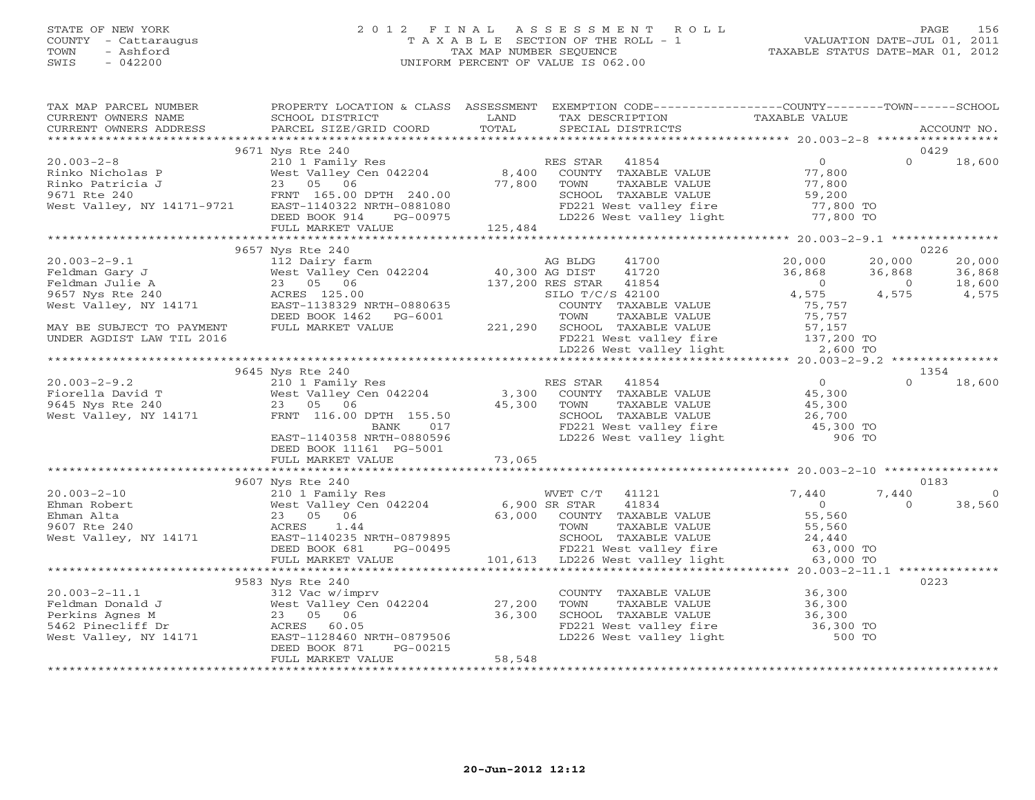# STATE OF NEW YORK 2 0 1 2 F I N A L A S S E S S M E N T R O L L PAGE 156 COUNTY - Cattaraugus T A X A B L E SECTION OF THE ROLL - 1 VALUATION DATE-JUL 01, 2011 TOWN - Ashford TAX MAP NUMBER SEQUENCE TAXABLE STATUS DATE-MAR 01, 2012 SWIS - 042200 UNIFORM PERCENT OF VALUE IS 062.00UNIFORM PERCENT OF VALUE IS 062.00

| TAX MAP PARCEL NUMBER<br>CURRENT OWNERS NAME<br>CURRENT OWNERS ADDRESS                                                                                                                                                             | SCHOOL DISTRICT<br>PARCEL SIZE/GRID COORD                                                                                                                                                                                                       | LAND<br>TOTAL                   | PROPERTY LOCATION & CLASS ASSESSMENT EXEMPTION CODE---------------COUNTY-------TOWN------SCHOOL<br>TAX DESCRIPTION<br>SPECIAL DISTRICTS                                                                       | TAXABLE VALUE                                         |                                                     | ACCOUNT NO.                         |
|------------------------------------------------------------------------------------------------------------------------------------------------------------------------------------------------------------------------------------|-------------------------------------------------------------------------------------------------------------------------------------------------------------------------------------------------------------------------------------------------|---------------------------------|---------------------------------------------------------------------------------------------------------------------------------------------------------------------------------------------------------------|-------------------------------------------------------|-----------------------------------------------------|-------------------------------------|
|                                                                                                                                                                                                                                    |                                                                                                                                                                                                                                                 |                                 |                                                                                                                                                                                                               |                                                       |                                                     |                                     |
| $20.003 - 2 - 8$<br>Rinko Nicholas P<br>Rinko Patricia J<br>9671 Rte 240<br>West Valley, NY 14171-9721 EAST-1140322 NRTH-0881080                                                                                                   | 9671 Nys Rte 240<br>210 1 Family Res<br>West Valley Cen 042204 8,400<br>23 05 06 77.800<br>P<br>West Valley Cen 042204<br>J<br>23 05 06<br>FRNT 165.00 DPTH 240.00<br>TRNT 165.00 DPTH 240.00<br>DEED BOOK 914<br>PG-00975<br>FULL MARKET VALUE | 77,800<br>125,484               | RES STAR 41854<br>COUNTY TAXABLE VALUE<br>TAXABLE VALUE<br>TOWN<br>SCHOOL TAXABLE VALUE<br>FD221 West valley fire 77,800 TO<br>LD226 West valley light 77,800 TO                                              | $\overline{0}$<br>77,800<br>77,800<br>59,200          | 0429<br>$\Omega$                                    | 18,600                              |
|                                                                                                                                                                                                                                    |                                                                                                                                                                                                                                                 |                                 |                                                                                                                                                                                                               |                                                       |                                                     |                                     |
| $20.003 - 2 - 9.1$<br>Feldman Gary J<br>Feldman Julie A<br>9657 Nys Rte 240<br>West Valley, NY 14171<br>MAY BE SUBJECT TO PAYMENT<br>UNDER AGDIST LAW TIL 2016                                                                     | 9657 Nys Rte 240<br>AG BLDG 41700<br>West Valley Cen 042204 40,300 AG DIST 41720<br>23 05 06 137,200 RES STAR 41854<br>ACRES 125.00 STIO TIO TION CALLET<br>EAST-1138329 NRTH-0880635<br>DEED BOOK 1462<br>PG-6001<br>FULL MARKET VALUE         |                                 | COUNTY TAXABLE VALUE<br>0635<br>1001 TOWN TAXABLE VALUE<br>221,290 SCHOOL TAXABLE VALUE<br>FD221 West valley fire 137,200 TO<br>LD226 West valley light 2,600 TO<br>2.600 TO<br>2.600 TO                      | 20,000<br>36,868<br>$\overline{0}$<br>4,575<br>75,757 | 0226<br>20,000<br>36,868<br>$\overline{0}$<br>4,575 | 20,000<br>36,868<br>18,600<br>4,575 |
|                                                                                                                                                                                                                                    |                                                                                                                                                                                                                                                 |                                 |                                                                                                                                                                                                               |                                                       |                                                     |                                     |
|                                                                                                                                                                                                                                    | 9645 Nys Rte 240                                                                                                                                                                                                                                |                                 |                                                                                                                                                                                                               |                                                       | 1354                                                |                                     |
| Fiorella David T<br>Physics and Transform of Mest Valley Ceneral Assembly Research<br>Physics 21 (16.00 DPTH 155 50 (45,300 Mest Valley, NY 14171 RRNT 116.00 DPTH 155 50 (45,300 Mest Valley, NY 14171 RRNT 116.00 DPTH 155 50 (1 | EAST-1140358 NRTH-0880596<br>DEED BOOK 11161 PG-5001                                                                                                                                                                                            |                                 | RES STAR 41854<br>COUNTY TAXABLE VALUE<br>TOWN<br>TAXABLE VALUE<br>SCHOOL TAXABLE VALUE<br>FD221 West valley fire $26,700$<br>LD226 West valley light $45,300$ TO                                             | $\overline{O}$<br>45,300<br>45,300                    | $\cap$                                              | 18,600                              |
|                                                                                                                                                                                                                                    | FULL MARKET VALUE                                                                                                                                                                                                                               | 73,065                          |                                                                                                                                                                                                               |                                                       |                                                     |                                     |
|                                                                                                                                                                                                                                    |                                                                                                                                                                                                                                                 |                                 |                                                                                                                                                                                                               |                                                       |                                                     |                                     |
| $20.003 - 2 - 10$<br>Ehman Robert<br>Ehman Alta<br>9607 Rte 240<br>West Valley, NY 14171                                                                                                                                           | 9607 Nys Rte 240<br>210 1 Family Res<br>210 1 Family Res<br>West Valley Cen 042204 6,900 SR STAR<br>23 05 06<br>ACRES<br>1.44<br>EAST-1140235 NRTH-0879895<br>DEED BOOK 681<br>PG-00495                                                         |                                 | WVET C/T<br>41121<br>41834<br>63,000 COUNTY TAXABLE VALUE<br>TOWN<br>TAXABLE VALUE<br>32,440<br>SCHOOL TAXABLE VALUE 101,613<br>FD221 West valley fire 63,000 TO<br>101,613 LD226 West valley light 63,000 TO | 7,440<br>$\overline{0}$<br>55,560<br>55,560           | 0183<br>7,440<br>$\Omega$                           | $\Omega$<br>38,560                  |
|                                                                                                                                                                                                                                    | FULL MARKET VALUE                                                                                                                                                                                                                               |                                 |                                                                                                                                                                                                               |                                                       |                                                     |                                     |
| $20.003 - 2 - 11.1$<br>20.003-2-11.1 312 Vac w/impr<br>Feldman Donald J West Valley Ce<br>Perkins Agnes M 23 05 06<br>5462 Pinecliff Dr ACRES 60.05<br>West Valley, NY 14171 EAST-1128460 P                                        | 9583 Nys Rte 240<br>312 Vac w/imprv<br>West Valley Cen 042204 27,200<br>EAST-1128460 NRTH-0879506<br>DEED BOOK 871<br>PG-00215<br>FULL MARKET VALUE                                                                                             | $\frac{27}{36}$ , 300<br>58,548 | COUNTY TAXABLE VALUE<br>TOWN<br>TAXABLE VALUE<br>SCHOOL TAXABLE VALUE<br>FD221 West valley fire<br>LD226 West valley light                                                                                    | 36,300<br>36,300<br>36,300<br>36,300 TO<br>500 TO     | 0223                                                |                                     |
|                                                                                                                                                                                                                                    |                                                                                                                                                                                                                                                 |                                 |                                                                                                                                                                                                               |                                                       |                                                     |                                     |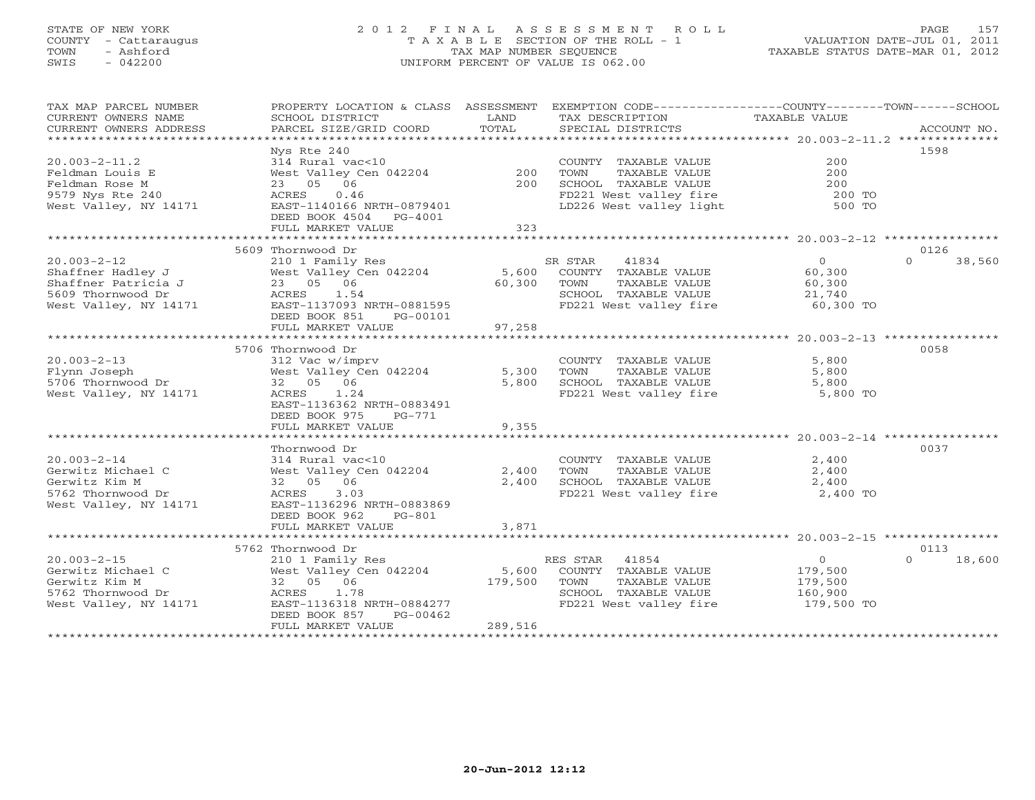# STATE OF NEW YORK 2 0 1 2 F I N A L A S S E S S M E N T R O L L PAGE 157 COUNTY - Cattaraugus T A X A B L E SECTION OF THE ROLL - 1 VALUATION DATE-JUL 01, 2011 TOWN - Ashford TAX MAP NUMBER SEQUENCE TAXABLE STATUS DATE-MAR 01, 2012 SWIS - 042200 UNIFORM PERCENT OF VALUE IS 062.00

| TAX MAP PARCEL NUMBER<br>CURRENT OWNERS NAME<br>CURRENT OWNERS ADDRESS                                      | PROPERTY LOCATION & CLASS ASSESSMENT<br>SCHOOL DISTRICT<br>PARCEL SIZE/GRID COORD                                                                                           | LAND<br>TOTAL               | EXEMPTION CODE-----------------COUNTY-------TOWN-----SCHOOL<br>TAX DESCRIPTION<br>SPECIAL DISTRICTS                        | TAXABLE VALUE                                          | ACCOUNT NO.                |
|-------------------------------------------------------------------------------------------------------------|-----------------------------------------------------------------------------------------------------------------------------------------------------------------------------|-----------------------------|----------------------------------------------------------------------------------------------------------------------------|--------------------------------------------------------|----------------------------|
| $20.003 - 2 - 11.2$<br>Feldman Louis E<br>Feldman Rose M<br>9579 Nys Rte 240<br>West Valley, NY 14171       | Nys Rte 240<br>314 Rural vac<10<br>West Valley Cen 042204<br>23 05 06<br>ACRES<br>0.46<br>EAST-1140166 NRTH-0879401<br>DEED BOOK 4504<br>PG-4001<br>FULL MARKET VALUE       | 200<br>200<br>323           | COUNTY TAXABLE VALUE<br>TOWN<br>TAXABLE VALUE<br>SCHOOL TAXABLE VALUE<br>FD221 West valley fire<br>LD226 West valley light | 200<br>200<br>200<br>200 TO<br>500 TO                  | 1598                       |
|                                                                                                             | 5609 Thornwood Dr                                                                                                                                                           |                             |                                                                                                                            |                                                        | 0126                       |
| $20.003 - 2 - 12$<br>Shaffner Hadley J<br>Shaffner Patricia J<br>5609 Thornwood Dr<br>West Valley, NY 14171 | 210 1 Family Res<br>West Valley Cen 042204<br>23 05 06<br>ACRES<br>1.54<br>EAST-1137093 NRTH-0881595<br>DEED BOOK 851<br>PG-00101<br>FULL MARKET VALUE                      | 5,600<br>60,300<br>97,258   | SR STAR<br>41834<br>COUNTY TAXABLE VALUE<br>TOWN<br>TAXABLE VALUE<br>SCHOOL TAXABLE VALUE<br>FD221 West valley fire        | $\circ$<br>60,300<br>60,300<br>21,740<br>60,300 TO     | $\Omega$<br>38,560         |
|                                                                                                             |                                                                                                                                                                             |                             |                                                                                                                            |                                                        |                            |
| $20.003 - 2 - 13$<br>Flynn Joseph<br>5706 Thornwood Dr<br>West Valley, NY 14171                             | 5706 Thornwood Dr<br>312 Vac w/imprv<br>West Valley Cen 042204<br>32 05 06<br>1.24<br>ACRES<br>EAST-1136362 NRTH-0883491<br>DEED BOOK 975<br>PG-771                         | 5,300<br>5,800              | COUNTY TAXABLE VALUE<br>TAXABLE VALUE<br>TOWN<br>SCHOOL TAXABLE VALUE<br>FD221 West valley fire                            | 5,800<br>5,800<br>5,800<br>5,800 TO                    | 0058                       |
|                                                                                                             | FULL MARKET VALUE                                                                                                                                                           | 9,355                       |                                                                                                                            |                                                        |                            |
| $20.003 - 2 - 14$<br>Gerwitz Michael C<br>Gerwitz Kim M<br>5762 Thornwood Dr<br>West Valley, NY 14171       | Thornwood Dr<br>314 Rural vac<10<br>West Valley Cen 042204<br>32 05 06<br>3.03<br>ACRES<br>EAST-1136296 NRTH-0883869<br>DEED BOOK 962<br>$PG-801$                           | 2,400<br>2,400              | COUNTY TAXABLE VALUE<br>TOWN<br>TAXABLE VALUE<br>SCHOOL TAXABLE VALUE<br>FD221 West valley fire                            | 2,400<br>2,400<br>2,400<br>2,400 TO                    | 0037                       |
|                                                                                                             | FULL MARKET VALUE                                                                                                                                                           | 3,871                       |                                                                                                                            |                                                        |                            |
|                                                                                                             |                                                                                                                                                                             |                             |                                                                                                                            |                                                        |                            |
| $20.003 - 2 - 15$<br>Gerwitz Michael C<br>Gerwitz Kim M<br>5762 Thornwood Dr<br>West Valley, NY 14171       | 5762 Thornwood Dr<br>210 1 Family Res<br>West Valley Cen 042204<br>32 05 06<br>1.78<br>ACRES<br>EAST-1136318 NRTH-0884277<br>DEED BOOK 857<br>PG-00462<br>FULL MARKET VALUE | 5,600<br>179,500<br>289,516 | 41854<br>RES STAR<br>COUNTY TAXABLE VALUE<br>TAXABLE VALUE<br>TOWN<br>SCHOOL TAXABLE VALUE<br>FD221 West valley fire       | $\circ$<br>179,500<br>179,500<br>160,900<br>179,500 TO | 0113<br>18,600<br>$\Omega$ |
|                                                                                                             |                                                                                                                                                                             |                             |                                                                                                                            |                                                        |                            |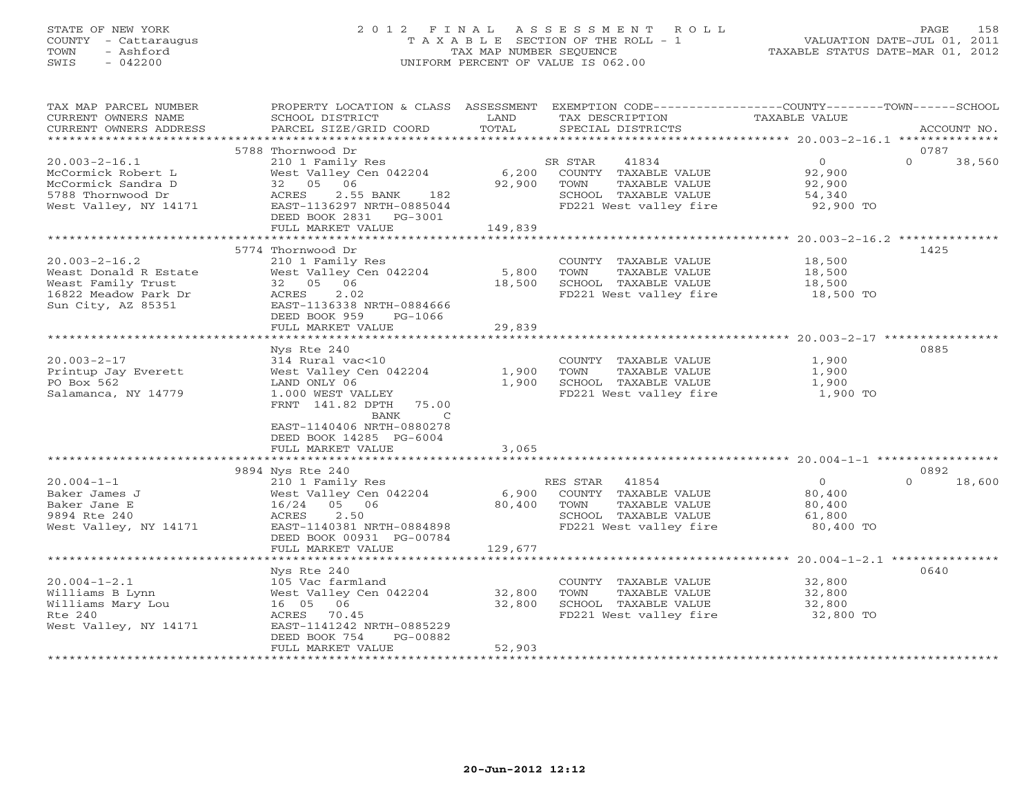## STATE OF NEW YORK 2 0 1 2 F I N A L A S S E S S M E N T R O L L PAGE 158 COUNTY - Cattaraugus T A X A B L E SECTION OF THE ROLL - 1 VALUATION DATE-JUL 01, 2011 TOWN - Ashford TAX MAP NUMBER SEQUENCE TAXABLE STATUS DATE-MAR 01, 2012 SWIS - 042200 UNIFORM PERCENT OF VALUE IS 062.00UNIFORM PERCENT OF VALUE IS 062.00

| TAX MAP PARCEL NUMBER<br>CURRENT OWNERS NAME                                                                                                                                                   | PROPERTY LOCATION & CLASS ASSESSMENT<br>SCHOOL DISTRICT                                                                                                  | LAND             | EXEMPTION CODE-----------------COUNTY-------TOWN------SCHOOL<br>TAX DESCRIPTION                                                | TAXABLE VALUE                                             |                    |
|------------------------------------------------------------------------------------------------------------------------------------------------------------------------------------------------|----------------------------------------------------------------------------------------------------------------------------------------------------------|------------------|--------------------------------------------------------------------------------------------------------------------------------|-----------------------------------------------------------|--------------------|
| CURRENT OWNERS ADDRESS                                                                                                                                                                         | PARCEL SIZE/GRID COORD                                                                                                                                   | TOTAL            | SPECIAL DISTRICTS                                                                                                              |                                                           | ACCOUNT NO.        |
|                                                                                                                                                                                                | 5788 Thornwood Dr                                                                                                                                        |                  |                                                                                                                                |                                                           | 0787               |
| $20.003 - 2 - 16.1$<br>McCormick Robert L<br>McCormick Sandra D<br>5788 Thornwood Dr<br>West Valley, NY 14171                                                                                  | 210 1 Family Res<br>West Valley Cen 042204<br>32 05 06<br>ACRES<br>2.55 BANK 182<br>EAST-1136297 NRTH-0885044<br>DEED BOOK 2831 PG-3001                  | 6,200<br>92,900  | 41834<br>SR STAR<br>COUNTY TAXABLE VALUE<br>TAXABLE VALUE<br>TOWN<br>SCHOOL TAXABLE VALUE<br>FD221 West valley fire 92,900 TO  | $\overline{0}$<br>92,900<br>92,900<br>54,340              | $\Omega$<br>38,560 |
|                                                                                                                                                                                                | FULL MARKET VALUE                                                                                                                                        | 149,839          |                                                                                                                                |                                                           |                    |
|                                                                                                                                                                                                |                                                                                                                                                          |                  |                                                                                                                                |                                                           |                    |
| $20.003 - 2 - 16.2$<br>Weast Donald R Estate<br>16822 Meadow Park Dr (16822 Meadow Park Dr (16822 Meadow Park Dr (1682 Meadow Park Dr (1682 Meadow Park Dr (16<br>Sun City, AZ 85351 (1786339) | 5774 Thornwood Dr<br>210 1 Family Res<br>West Valley Cen 042204<br>2.02<br>EAST-1136338 NRTH-0884666<br>DEED BOOK 959 PG-1066                            | 5,800<br>18,500  | COUNTY TAXABLE VALUE<br>TOWN<br>TAXABLE VALUE<br>SCHOOL TAXABLE VALUE<br>FD221 West valley fire 18,500 TO                      | 18,500<br>18,500<br>18,500                                | 1425               |
|                                                                                                                                                                                                | FULL MARKET VALUE                                                                                                                                        | 29,839           |                                                                                                                                |                                                           |                    |
|                                                                                                                                                                                                |                                                                                                                                                          |                  |                                                                                                                                |                                                           |                    |
|                                                                                                                                                                                                | Nys Rte 240                                                                                                                                              |                  |                                                                                                                                |                                                           | 0885               |
| $20.003 - 2 - 17$<br>Printup Jay Everett<br>PO Box 562<br>Salamanca, NY 14779                                                                                                                  | 314 Rural vac<10<br>West Valley Cen 042204<br>LAND ONLY 06<br>1.000 WEST VALLEY<br>FRNT 141.82 DPTH 75.00<br>$\mathcal{C}$<br>BANK                       | 1,900<br>1,900   | COUNTY TAXABLE VALUE<br>TAXABLE VALUE<br>TOWN<br>SCHOOL TAXABLE VALUE<br>FD221 West valley fire 1,900 TO                       | 1,900<br>1,900<br>1,900                                   |                    |
|                                                                                                                                                                                                | EAST-1140406 NRTH-0880278<br>DEED BOOK 14285 PG-6004<br>FULL MARKET VALUE                                                                                | 3,065            |                                                                                                                                |                                                           |                    |
|                                                                                                                                                                                                | 9894 Nys Rte 240                                                                                                                                         |                  |                                                                                                                                |                                                           | 0892               |
| $20.004 - 1 - 1$<br>Baker James J<br>Baker Jane E<br>9894 Rte 240<br>West Valley, NY 14171                                                                                                     | 210 1 Family Res<br>West Valley Cen 042204<br>16/24 05 06<br>ACRES<br>2.50<br>EAST-1140381 NRTH-0884898<br>DEED BOOK 00931 PG-00784<br>FULL MARKET VALUE | 129,677          | RES STAR 41854<br>6,900 COUNTY TAXABLE VALUE<br>80,400 TOWN<br>TAXABLE VALUE<br>SCHOOL TAXABLE VALUE<br>FD221 West valley fire | $\overline{0}$<br>80,400<br>80,400<br>61,800<br>80,400 TO | $\Omega$<br>18,600 |
|                                                                                                                                                                                                | ****************************                                                                                                                             |                  |                                                                                                                                |                                                           |                    |
| $20.004 - 1 - 2.1$<br>Williams B Lynn<br>Williams Mary Lou<br>Rte 240<br>West Valley, NY 14171                                                                                                 | Nys Rte 240<br>105 Vac farmland<br>West Valley Cen 042204<br>16 05 06<br>ACRES 70.45<br>EAST-1141242 NRTH-0885229<br>DEED BOOK 754<br>PG-00882           | 32,800<br>32,800 | COUNTY TAXABLE VALUE<br>TOWN<br>TAXABLE VALUE<br>SCHOOL TAXABLE VALUE<br>FD221 West valley fire                                | 32,800<br>32,800<br>$32,800$ TO                           | 0640               |
|                                                                                                                                                                                                | FULL MARKET VALUE                                                                                                                                        | 52,903           |                                                                                                                                |                                                           |                    |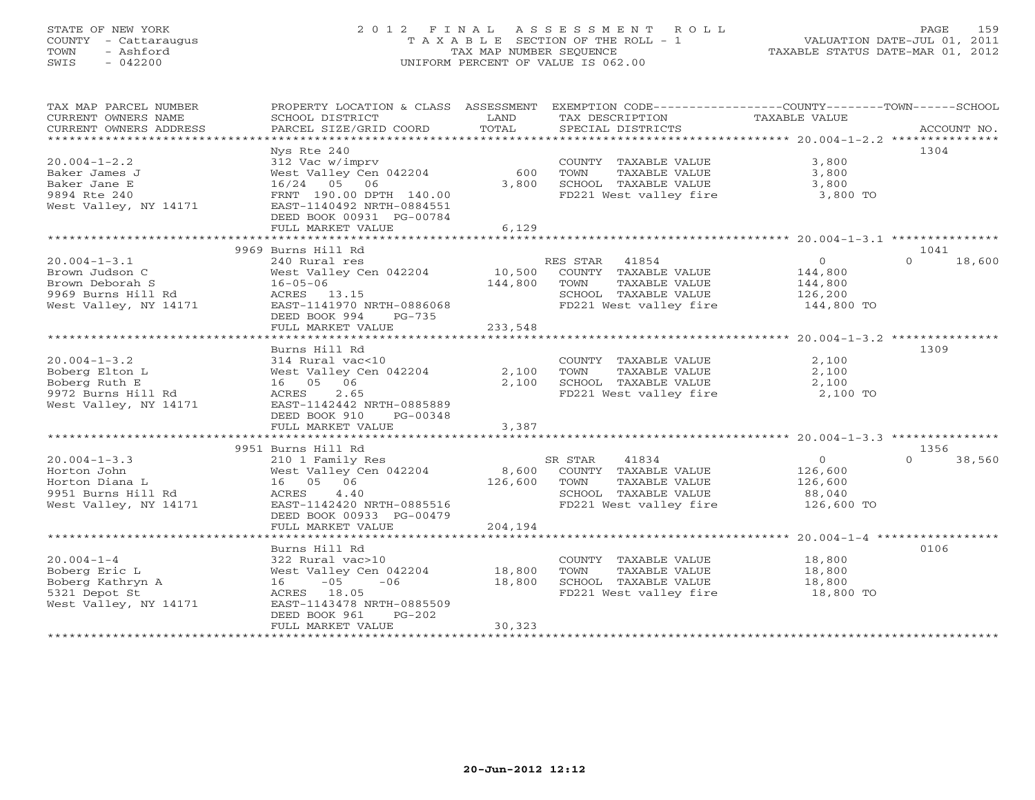# STATE OF NEW YORK 2 0 1 2 F I N A L A S S E S S M E N T R O L L PAGE 159 COUNTY - Cattaraugus T A X A B L E SECTION OF THE ROLL - 1 VALUATION DATE-JUL 01, 2011 TOWN - Ashford TAX MAP NUMBER SEQUENCE TAXABLE STATUS DATE-MAR 01, 2012 SWIS - 042200 UNIFORM PERCENT OF VALUE IS 062.00UNIFORM PERCENT OF VALUE IS 062.00

| TAX MAP PARCEL NUMBER                         | PROPERTY LOCATION & CLASS ASSESSMENT EXEMPTION CODE----------------COUNTY-------TOWN------SCHOOL |                  |                                               |                  |                    |
|-----------------------------------------------|--------------------------------------------------------------------------------------------------|------------------|-----------------------------------------------|------------------|--------------------|
| CURRENT OWNERS NAME<br>CURRENT OWNERS ADDRESS | SCHOOL DISTRICT<br>PARCEL SIZE/GRID COORD                                                        | LAND<br>TOTAL    | TAX DESCRIPTION<br>SPECIAL DISTRICTS          | TAXABLE VALUE    | ACCOUNT NO.        |
|                                               |                                                                                                  |                  |                                               |                  |                    |
|                                               | Nys Rte 240                                                                                      |                  |                                               |                  | 1304               |
| $20.004 - 1 - 2.2$                            | 312 Vac w/imprv                                                                                  |                  | COUNTY TAXABLE VALUE                          | 3,800            |                    |
| Baker James J                                 | West Valley Cen 042204                                                                           | 600              | TOWN<br>TAXABLE VALUE                         | 3,800            |                    |
| Baker Jane E                                  | 16/24 05 06                                                                                      | 3,800            | SCHOOL TAXABLE VALUE                          | 3,800            |                    |
| 9894 Rte 240                                  | FRNT 190.00 DPTH 140.00                                                                          |                  | FD221 West valley fire                        | 3,800 TO         |                    |
| West Valley, NY 14171                         | EAST-1140492 NRTH-0884551                                                                        |                  |                                               |                  |                    |
|                                               | DEED BOOK 00931 PG-00784                                                                         |                  |                                               |                  |                    |
|                                               | FULL MARKET VALUE                                                                                | 6,129            |                                               |                  |                    |
|                                               |                                                                                                  |                  |                                               |                  |                    |
|                                               | 9969 Burns Hill Rd                                                                               |                  |                                               |                  | 1041               |
| $20.004 - 1 - 3.1$                            | 240 Rural res                                                                                    |                  | RES STAR 41854                                | $\overline{0}$   | $\Omega$<br>18,600 |
| Brown Judson C                                | West Valley Cen 042204                                                                           | 10,500           | COUNTY TAXABLE VALUE                          | 144,800          |                    |
| Brown Deborah S                               | $16 - 05 - 06$                                                                                   | 144,800          | TOWN<br>TAXABLE VALUE                         | 144,800          |                    |
| 9969 Burns Hill Rd                            | ACRES 13.15                                                                                      |                  | SCHOOL TAXABLE VALUE                          | 126,200          |                    |
| West Valley, NY 14171                         | EAST-1141970 NRTH-0886068                                                                        |                  | FD221 West valley fire                        | 144,800 TO       |                    |
|                                               | DEED BOOK 994<br>PG-735                                                                          |                  |                                               |                  |                    |
|                                               | FULL MARKET VALUE                                                                                | 233,548          |                                               |                  |                    |
|                                               | Burns Hill Rd                                                                                    |                  |                                               |                  | 1309               |
| $20.004 - 1 - 3.2$                            | 314 Rural vac<10                                                                                 |                  | COUNTY TAXABLE VALUE                          | 2,100            |                    |
| Boberg Elton L                                | West Valley Cen 042204                                                                           | 2,100            | TOWN<br>TAXABLE VALUE                         | 2,100            |                    |
| Boberg Ruth E                                 | 16  05  06                                                                                       | 2,100            | SCHOOL TAXABLE VALUE                          | 2,100            |                    |
| 9972 Burns Hill Rd                            | ACRES<br>2.65                                                                                    |                  | FD221 West valley fire                        | 2,100 TO         |                    |
| West Valley, NY 14171                         | EAST-1142442 NRTH-0885889                                                                        |                  |                                               |                  |                    |
|                                               | DEED BOOK 910<br>PG-00348                                                                        |                  |                                               |                  |                    |
|                                               | FULL MARKET VALUE                                                                                | 3,387            |                                               |                  |                    |
|                                               |                                                                                                  |                  |                                               |                  |                    |
|                                               | 9951 Burns Hill Rd                                                                               |                  |                                               |                  | 1356               |
| $20.004 - 1 - 3.3$                            | 210 1 Family Res                                                                                 |                  | SR STAR<br>41834                              | $\overline{0}$   | 38,560<br>$\Omega$ |
| Horton John                                   | West Valley Cen 042204                                                                           | 8,600            | COUNTY TAXABLE VALUE                          | 126,600          |                    |
| Horton Diana L                                | 16  05  06                                                                                       | 126,600          | TOWN<br>TAXABLE VALUE                         | 126,600          |                    |
| 9951 Burns Hill Rd                            | ACRES 4.40                                                                                       |                  | SCHOOL TAXABLE VALUE                          | 88,040           |                    |
| West Valley, NY 14171                         | EAST-1142420 NRTH-0885516                                                                        |                  | FD221 West valley fire 126,600 TO             |                  |                    |
|                                               | DEED BOOK 00933 PG-00479                                                                         |                  |                                               |                  |                    |
|                                               | FULL MARKET VALUE                                                                                | 204,194          |                                               |                  |                    |
|                                               |                                                                                                  |                  |                                               |                  |                    |
| $20.004 - 1 - 4$                              | Burns Hill Rd                                                                                    |                  |                                               |                  | 0106               |
|                                               | 322 Rural vac>10                                                                                 |                  | COUNTY TAXABLE VALUE                          | 18,800           |                    |
| Boberg Eric L<br>Boberg Kathryn A             | West Valley Cen 042204<br>$16 - 05$<br>$-06$                                                     | 18,800<br>18,800 | TOWN<br>TAXABLE VALUE<br>SCHOOL TAXABLE VALUE | 18,800<br>18,800 |                    |
| 5321 Depot St                                 | ACRES 18.05                                                                                      |                  | FD221 West valley fire                        | 18,800 TO        |                    |
| West Valley, NY 14171                         | EAST-1143478 NRTH-0885509                                                                        |                  |                                               |                  |                    |
|                                               | DEED BOOK 961<br>$PG-202$                                                                        |                  |                                               |                  |                    |
|                                               | FULL MARKET VALUE                                                                                | 30,323           |                                               |                  |                    |
|                                               |                                                                                                  |                  |                                               |                  |                    |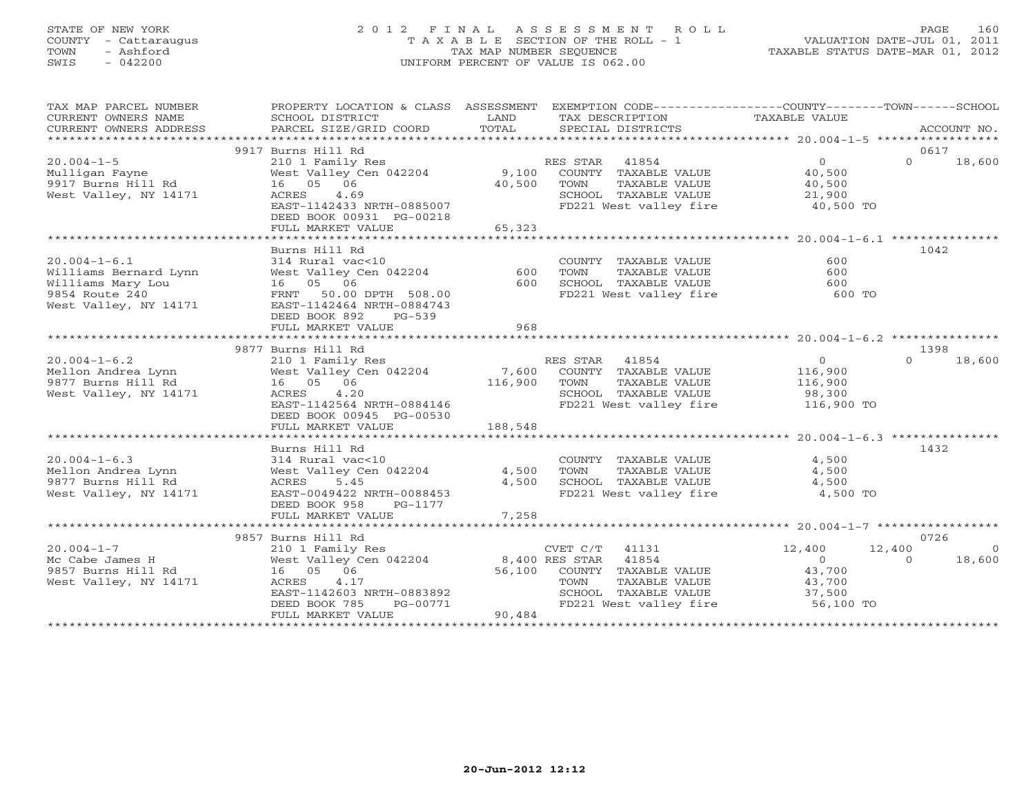# STATE OF NEW YORK 2 0 1 2 F I N A L A S S E S S M E N T R O L L PAGE 160 COUNTY - Cattaraugus T A X A B L E SECTION OF THE ROLL - 1 VALUATION DATE-JUL 01, 2011 TOWN - Ashford TAX MAP NUMBER SEQUENCE TAXABLE STATUS DATE-MAR 01, 2012 SWIS - 042200 UNIFORM PERCENT OF VALUE IS 062.00UNIFORM PERCENT OF VALUE IS 062.00

| TAX MAP PARCEL NUMBER<br>CURRENT OWNERS NAME<br>CURRENT OWNERS ADDRESS                                      | PROPERTY LOCATION & CLASS ASSESSMENT<br>SCHOOL DISTRICT<br>PARCEL SIZE/GRID COORD                                                                                                                        | LAND<br>TOTAL           | TAX DESCRIPTION<br>SPECIAL DISTRICTS                                                                                        | EXEMPTION CODE-----------------COUNTY-------TOWN------SCHOOL<br>TAXABLE VALUE | ACCOUNT NO.              |
|-------------------------------------------------------------------------------------------------------------|----------------------------------------------------------------------------------------------------------------------------------------------------------------------------------------------------------|-------------------------|-----------------------------------------------------------------------------------------------------------------------------|-------------------------------------------------------------------------------|--------------------------|
|                                                                                                             | 9917 Burns Hill Rd                                                                                                                                                                                       |                         |                                                                                                                             |                                                                               | 0617                     |
| $20.004 - 1 - 5$<br>Mulligan Fayne<br>9917 Burns Hill Rd<br>West Valley, NY 14171                           | 210 1 Family Res<br>West Valley Cen 042204 9,100<br>16  05  06<br>4.69<br>ACRES<br>EAST-1142433 NRTH-0885007<br>DEED BOOK 00931 PG-00218<br>FULL MARKET VALUE                                            | 40,500<br>65,323        | RES STAR 41854<br>COUNTY TAXABLE VALUE<br>TOWN<br>TAXABLE VALUE<br>SCHOOL TAXABLE VALUE<br>FD221 West valley fire 40,500 TO | $\overline{0}$<br>$\Omega$<br>40,500<br>40,500<br>21,900                      | 18,600                   |
|                                                                                                             | Burns Hill Rd                                                                                                                                                                                            |                         |                                                                                                                             |                                                                               | 1042                     |
| $20.004 - 1 - 6.1$<br>Williams Bernard Lynn<br>Williams Mary Lou<br>9854 Route 240<br>West Valley, NY 14171 | 314 Rural vac<10<br>West Valley Cen 042204<br>16  05  06<br>FRNT 50.00 DPTH 508.00<br>EAST-1142464 NRTH-0884743<br>DEED BOOK 892<br>$PG-539$<br>FULL MARKET VALUE                                        | 600<br>600<br>968       | COUNTY TAXABLE VALUE<br>TOWN<br>TAXABLE VALUE<br>ANDUL TAXABLE VALUE<br>FD221 West valley fire                              | 600<br>600<br>600<br>600 TO                                                   |                          |
|                                                                                                             |                                                                                                                                                                                                          |                         |                                                                                                                             |                                                                               |                          |
| $20.004 - 1 - 6.2$<br>Mellon Andrea Lynn<br>9877 Burns Hill Rd<br>West Valley, NY 14171                     | 9877 Burns Hill Rd<br>210 1 Family Res<br>West Valley Cen 042204 7,600 COUNTY TAXABLE VALUE<br>16  05  06<br>4.20<br>ACRES<br>EAST-1142564 NRTH-0884146<br>DEED BOOK 00945 PG-00530<br>FULL MARKET VALUE | 116,900<br>188,548      | RES STAR 41854<br>TOWN<br>TAXABLE VALUE<br>SCHOOL TAXABLE VALUE<br>FD221 West valley fire 116,900 TO                        | $\overline{0}$<br>$\Omega$<br>116,900<br>116,900<br>98,300                    | 1398<br>18,600           |
|                                                                                                             | Burns Hill Rd                                                                                                                                                                                            |                         |                                                                                                                             |                                                                               | 1432                     |
| $20.004 - 1 - 6.3$<br>Mellon Andrea Lynn<br>9877 Burns Hill Rd<br>West Valley, NY 14171                     | 314 Rural vac<10<br>West Valley Cen 042204<br>ACRES 5.45<br>EAST-0049422 NRTH-0088453<br>DEED BOOK 958<br>PG-1177<br>FULL MARKET VALUE                                                                   | 4,500<br>4,500<br>7,258 | COUNTY TAXABLE VALUE<br>TAXABLE VALUE<br>TOWN<br>SCHOOL TAXABLE VALUE<br>FD221 West valley fire                             | 4,500<br>4,500<br>4,500<br>4,500 TO                                           |                          |
|                                                                                                             | 9857 Burns Hill Rd                                                                                                                                                                                       |                         |                                                                                                                             |                                                                               | 0726                     |
| $20.004 - 1 - 7$<br>Mc Cabe James H<br>9857 Burns Hill Rd<br>West Valley, NY 14171                          | 210 1 Family Res<br>West Valley Cen 042204 8,400 RES STAR 41854<br>16 05 06<br>ACRES<br>4.17<br>EAST-1142603 NRTH-0883892<br>DEED BOOK 785<br>PG-00771<br>FULL MARKET VALUE                              | 56,100<br>90,484        | CVET C/T 41131<br>COUNTY TAXABLE VALUE<br>TOWN<br>TAXABLE VALUE<br>SCHOOL TAXABLE VALUE<br>FD221 West valley fire 56,100 TO | 12,400<br>12,400<br>$\circ$<br>$\Omega$<br>43,700<br>43,700<br>37,500         | $\overline{0}$<br>18,600 |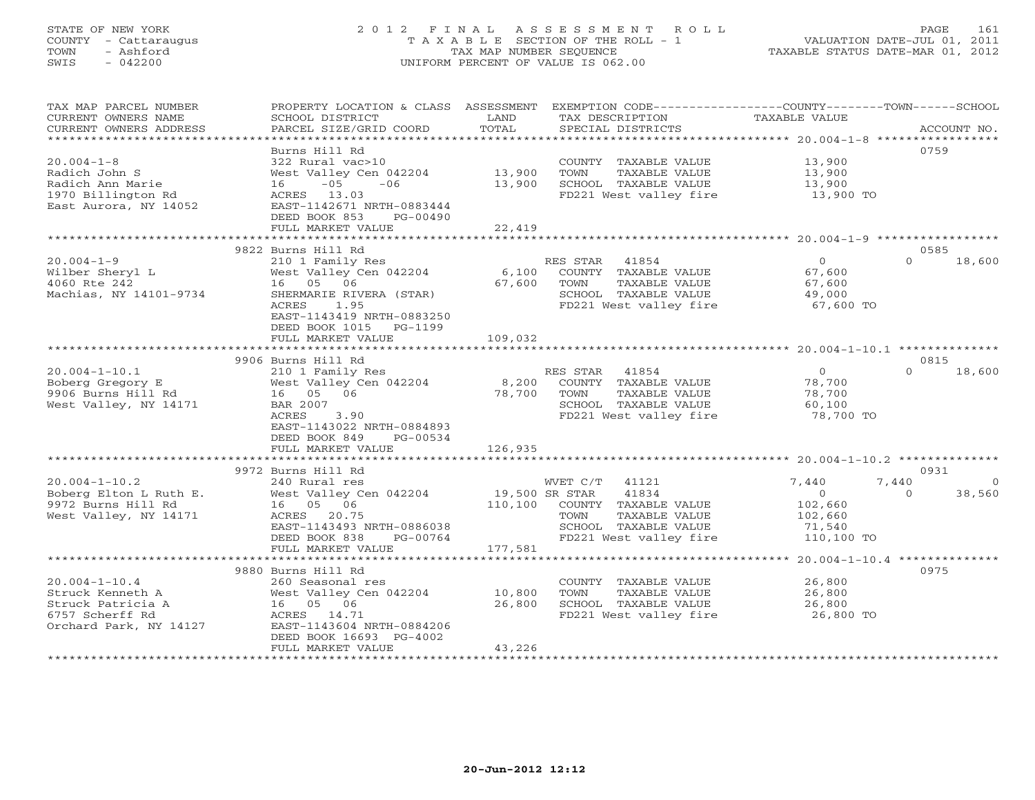# STATE OF NEW YORK 2 0 1 2 F I N A L A S S E S S M E N T R O L L PAGE 161 COUNTY - Cattaraugus T A X A B L E SECTION OF THE ROLL - 1 VALUATION DATE-JUL 01, 2011 TOWN - Ashford TAX MAP NUMBER SEQUENCE TAXABLE STATUS DATE-MAR 01, 2012 SWIS - 042200 UNIFORM PERCENT OF VALUE IS 062.00UNIFORM PERCENT OF VALUE IS 062.00

| TAX MAP PARCEL NUMBER          | PROPERTY LOCATION & CLASS ASSESSMENT |             | EXEMPTION CODE----------------COUNTY-------TOWN------SCHOOL |                |                    |
|--------------------------------|--------------------------------------|-------------|-------------------------------------------------------------|----------------|--------------------|
| CURRENT OWNERS NAME            | SCHOOL DISTRICT                      | LAND        | TAX DESCRIPTION                                             | TAXABLE VALUE  |                    |
| CURRENT OWNERS ADDRESS         | PARCEL SIZE/GRID COORD               | TOTAL       | SPECIAL DISTRICTS                                           |                | ACCOUNT NO.        |
| ****************************** |                                      |             |                                                             |                |                    |
|                                | Burns Hill Rd                        |             |                                                             |                | 0759               |
| $20.004 - 1 - 8$               | 322 Rural vac>10                     |             | COUNTY TAXABLE VALUE                                        | 13,900         |                    |
| Radich John S                  | West Valley Cen 042204               | 13,900      | TOWN<br>TAXABLE VALUE                                       | 13,900         |                    |
| Radich Ann Marie               | $16 -05 -06$                         | 13,900      | SCHOOL TAXABLE VALUE                                        | 13,900         |                    |
| 1970 Billington Rd             | ACRES 13.03                          |             | FD221 West valley fire                                      | 13,900 TO      |                    |
| East Aurora, NY 14052          | EAST-1142671 NRTH-0883444            |             |                                                             |                |                    |
|                                | DEED BOOK 853<br>PG-00490            |             |                                                             |                |                    |
|                                | FULL MARKET VALUE                    | 22,419      |                                                             |                |                    |
|                                |                                      |             |                                                             |                |                    |
|                                | 9822 Burns Hill Rd                   |             |                                                             |                | 0585               |
| $20.004 - 1 - 9$               | 210 1 Family Res                     |             | RES STAR 41854                                              | $\overline{0}$ | $\Omega$<br>18,600 |
| Wilber Sheryl L                | West Valley Cen 042204               |             | 6,100 COUNTY TAXABLE VALUE                                  | 67,600         |                    |
| 4060 Rte 242                   | 16 05 06                             | 67,600 TOWN | TAXABLE VALUE                                               | 67,600         |                    |
| Machias, NY 14101-9734         | SHERMARIE RIVERA (STAR)              |             | SCHOOL TAXABLE VALUE                                        | 49,000         |                    |
|                                | ACRES<br>1.95                        |             | FD221 West valley fire 67,600 TO                            |                |                    |
|                                | EAST-1143419 NRTH-0883250            |             |                                                             |                |                    |
|                                | DEED BOOK 1015 PG-1199               |             |                                                             |                |                    |
|                                | FULL MARKET VALUE                    | 109,032     |                                                             |                |                    |
|                                |                                      |             |                                                             |                |                    |
|                                | 9906 Burns Hill Rd                   |             |                                                             |                | 0815               |
| $20.004 - 1 - 10.1$            | 210 1 Family Res                     |             | RES STAR 41854                                              | $\overline{0}$ | $\Omega$<br>18,600 |
| Boberg Gregory E               | West Valley Cen 042204               | 8,200       | COUNTY TAXABLE VALUE                                        | 78,700         |                    |
| 9906 Burns Hill Rd             | 16  05  06                           | 78,700      | TOWN<br>TAXABLE VALUE                                       | 78,700         |                    |
| West Valley, NY 14171          | BAR 2007                             |             | SCHOOL TAXABLE VALUE                                        | 60,100         |                    |
|                                | ACRES 3.90                           |             | FD221 West valley fire                                      | 78,700 TO      |                    |
|                                | EAST-1143022 NRTH-0884893            |             |                                                             |                |                    |
|                                | DEED BOOK 849<br>PG-00534            |             |                                                             |                |                    |
|                                | FULL MARKET VALUE                    | 126,935     |                                                             |                |                    |
|                                |                                      |             |                                                             |                |                    |
|                                | 9972 Burns Hill Rd                   |             |                                                             |                | 0931               |
| $20.004 - 1 - 10.2$            | 240 Rural res                        |             | WVET C/T 41121                                              | 7,440          | 7,440<br>- 0       |
|                                |                                      |             | 41834                                                       | $\overline{0}$ | 38,560<br>$\Omega$ |
| 9972 Burns Hill Rd             | 16  05  06                           |             | 110,100 COUNTY TAXABLE VALUE                                | 102,660        |                    |
| West Valley, NY 14171          | ACRES 20.75                          |             | TAXABLE VALUE<br>TOWN                                       | 102,660        |                    |
|                                | EAST-1143493 NRTH-0886038            |             | SCHOOL TAXABLE VALUE                                        | 71,540         |                    |
|                                | DEED BOOK 838<br>PG-00764            |             | FD221 West valley fire                                      | 110,100 TO     |                    |
|                                | FULL MARKET VALUE                    | 177,581     |                                                             |                |                    |
|                                |                                      |             |                                                             |                |                    |
|                                | 9880 Burns Hill Rd                   |             |                                                             |                | 0975               |
| $20.004 - 1 - 10.4$            | 260 Seasonal res                     |             | COUNTY TAXABLE VALUE                                        | 26,800         |                    |
| Struck Kenneth A               | West Valley Cen 042204               | 10,800      | TOWN<br>TAXABLE VALUE                                       | 26,800         |                    |
| Struck Patricia A              | 16 05 06                             | 26,800      | SCHOOL TAXABLE VALUE                                        | 26,800         |                    |
| 6757 Scherff Rd                | ACRES 14.71                          |             | FD221 West valley fire                                      | 26,800 TO      |                    |
| Orchard Park, NY 14127         | EAST-1143604 NRTH-0884206            |             |                                                             |                |                    |
|                                | DEED BOOK 16693 PG-4002              |             |                                                             |                |                    |
|                                | FULL MARKET VALUE                    | 43,226      |                                                             |                |                    |
|                                |                                      |             |                                                             |                |                    |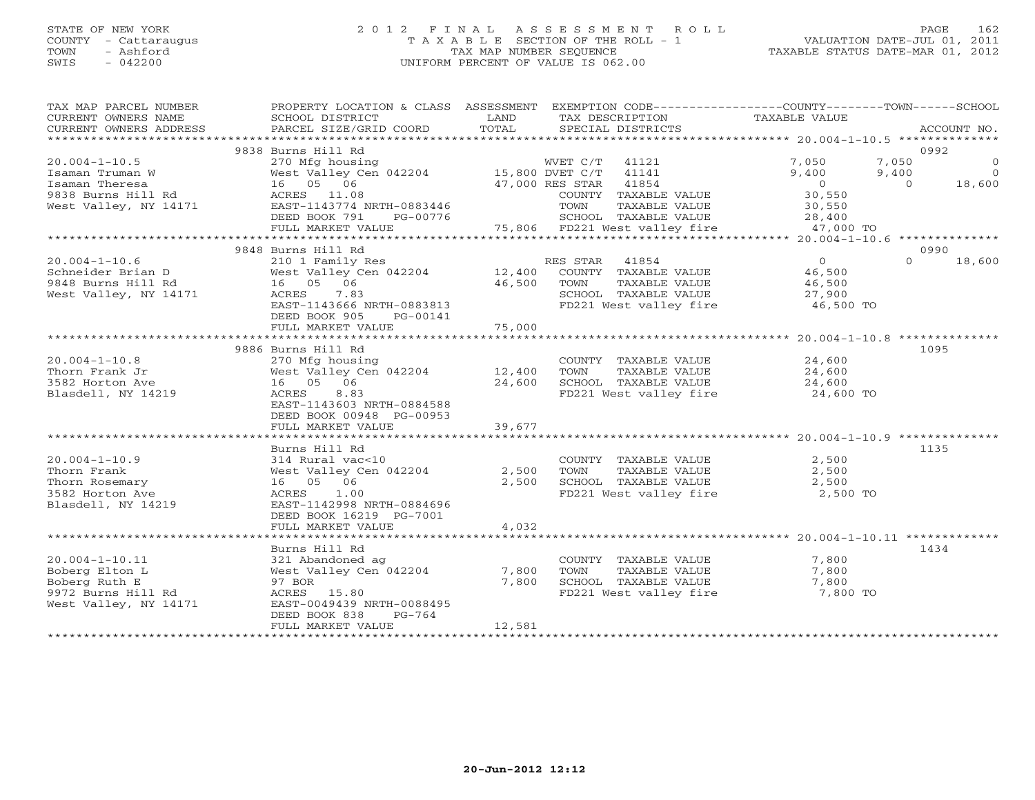# STATE OF NEW YORK 2 0 1 2 F I N A L A S S E S S M E N T R O L L PAGE 162 COUNTY - Cattaraugus T A X A B L E SECTION OF THE ROLL - 1 VALUATION DATE-JUL 01, 2011 TOWN - Ashford TAX MAP NUMBER SEQUENCE TAXABLE STATUS DATE-MAR 01, 2012 SWIS - 042200 UNIFORM PERCENT OF VALUE IS 062.00UNIFORM PERCENT OF VALUE IS 062.00

| TAX MAP PARCEL NUMBER<br>CURRENT OWNERS NAME<br>CURRENT OWNERS ADDRESS | PROPERTY LOCATION & CLASS ASSESSMENT<br>SCHOOL DISTRICT<br>PARCEL SIZE/GRID COORD | LAND<br>TOTAL | EXEMPTION CODE-----------------COUNTY-------TOWN------SCHOOL<br>TAX DESCRIPTION<br>SPECIAL DISTRICTS | TAXABLE VALUE  | ACCOUNT NO.           |
|------------------------------------------------------------------------|-----------------------------------------------------------------------------------|---------------|------------------------------------------------------------------------------------------------------|----------------|-----------------------|
| ***********************                                                |                                                                                   |               |                                                                                                      |                |                       |
|                                                                        | 9838 Burns Hill Rd                                                                |               |                                                                                                      |                | 0992                  |
| $20.004 - 1 - 10.5$                                                    | 270 Mfg housing                                                                   |               | WVET C/T<br>41121                                                                                    | 7,050          | 7,050<br>$\mathbf{0}$ |
| Isaman Truman W                                                        | West Valley Cen $042204$ 15,800 DVET C/T                                          |               | 41141                                                                                                | 9,400          | 9,400<br>$\Omega$     |
| Isaman Theresa                                                         | 16 05 06                                                                          |               | 41854<br>47,000 RES STAR                                                                             | $\circ$        | 18,600<br>$\Omega$    |
| 9838 Burns Hill Rd                                                     | ACRES 11.08                                                                       |               | COUNTY TAXABLE VALUE                                                                                 | 30,550         |                       |
| West Valley, NY 14171                                                  | EAST-1143774 NRTH-0883446                                                         |               | TOWN<br>TAXABLE VALUE                                                                                | 30,550         |                       |
|                                                                        | DEED BOOK 791<br>PG-00776                                                         |               | SCHOOL TAXABLE VALUE                                                                                 | 28,400         |                       |
|                                                                        | FULL MARKET VALUE                                                                 |               | 75,806 FD221 West valley fire                                                                        | 47,000 TO      |                       |
|                                                                        |                                                                                   |               |                                                                                                      |                |                       |
|                                                                        | 9848 Burns Hill Rd                                                                |               |                                                                                                      |                | 0990                  |
| $20.004 - 1 - 10.6$                                                    | 210 1 Family Res                                                                  |               | RES STAR 41854                                                                                       | $\overline{0}$ | $\Omega$<br>18,600    |
| Schneider Brian D                                                      | West Valley Cen 042204                                                            | 12,400        | COUNTY TAXABLE VALUE                                                                                 | 46,500         |                       |
| 9848 Burns Hill Rd                                                     | 06<br>16 05                                                                       | 46,500        | TOWN<br>TAXABLE VALUE                                                                                | 46,500         |                       |
| West Valley, NY 14171                                                  | 7.83<br>ACRES                                                                     |               | SCHOOL TAXABLE VALUE                                                                                 | 27,900         |                       |
|                                                                        |                                                                                   |               |                                                                                                      |                |                       |
|                                                                        | EAST-1143666 NRTH-0883813                                                         |               | FD221 West valley fire                                                                               | 46,500 TO      |                       |
|                                                                        | DEED BOOK 905<br>PG-00141                                                         |               |                                                                                                      |                |                       |
|                                                                        | FULL MARKET VALUE                                                                 | 75,000        |                                                                                                      |                |                       |
|                                                                        |                                                                                   |               |                                                                                                      |                |                       |
|                                                                        | 9886 Burns Hill Rd                                                                |               |                                                                                                      |                | 1095                  |
| $20.004 - 1 - 10.8$                                                    | 270 Mfg housing                                                                   |               | COUNTY TAXABLE VALUE                                                                                 | 24,600         |                       |
| Thorn Frank Jr                                                         | West Valley Cen 042204                                                            | 12,400        | TOWN<br>TAXABLE VALUE                                                                                | 24,600         |                       |
| 3582 Horton Ave                                                        | 06<br>16 05                                                                       | 24,600        | SCHOOL TAXABLE VALUE                                                                                 | 24,600         |                       |
| Blasdell, NY 14219                                                     | 8.83<br>ACRES                                                                     |               | FD221 West valley fire                                                                               | 24,600 TO      |                       |
|                                                                        | EAST-1143603 NRTH-0884588                                                         |               |                                                                                                      |                |                       |
|                                                                        | DEED BOOK 00948 PG-00953                                                          |               |                                                                                                      |                |                       |
|                                                                        | FULL MARKET VALUE                                                                 | 39,677        |                                                                                                      |                |                       |
|                                                                        |                                                                                   |               |                                                                                                      |                |                       |
|                                                                        | Burns Hill Rd                                                                     |               |                                                                                                      |                | 1135                  |
| $20.004 - 1 - 10.9$                                                    | 314 Rural vac<10                                                                  |               | COUNTY TAXABLE VALUE                                                                                 | 2,500          |                       |
| Thorn Frank                                                            | West Valley Cen 042204                                                            | 2,500         | TOWN<br>TAXABLE VALUE                                                                                | 2,500          |                       |
| Thorn Rosemary                                                         | 16 05 06                                                                          | 2,500         | SCHOOL TAXABLE VALUE                                                                                 | 2,500          |                       |
| 3582 Horton Ave                                                        | 1.00<br>ACRES                                                                     |               | FD221 West valley fire                                                                               | 2,500 TO       |                       |
| Blasdell, NY 14219                                                     | EAST-1142998 NRTH-0884696                                                         |               |                                                                                                      |                |                       |
|                                                                        | DEED BOOK 16219 PG-7001                                                           |               |                                                                                                      |                |                       |
|                                                                        | FULL MARKET VALUE                                                                 | 4,032         |                                                                                                      |                |                       |
|                                                                        |                                                                                   |               |                                                                                                      |                |                       |
|                                                                        |                                                                                   |               |                                                                                                      |                |                       |
|                                                                        | Burns Hill Rd                                                                     |               |                                                                                                      |                | 1434                  |
| $20.004 - 1 - 10.11$                                                   | 321 Abandoned ag                                                                  |               | COUNTY TAXABLE VALUE                                                                                 | 7,800          |                       |
| Boberg Elton L                                                         | West Valley Cen 042204                                                            | 7,800         | TOWN<br>TAXABLE VALUE                                                                                | 7,800          |                       |
| Boberg Ruth E                                                          | 97 BOR                                                                            | 7,800         | SCHOOL TAXABLE VALUE                                                                                 | 7,800          |                       |
| 9972 Burns Hill Rd                                                     | ACRES 15.80                                                                       |               | FD221 West valley fire                                                                               | 7,800 TO       |                       |
| West Valley, NY 14171                                                  | EAST-0049439 NRTH-0088495                                                         |               |                                                                                                      |                |                       |
|                                                                        | $PG-764$<br>DEED BOOK 838                                                         |               |                                                                                                      |                |                       |
|                                                                        | FULL MARKET VALUE                                                                 | 12,581        |                                                                                                      |                |                       |
| *******************                                                    |                                                                                   |               |                                                                                                      |                |                       |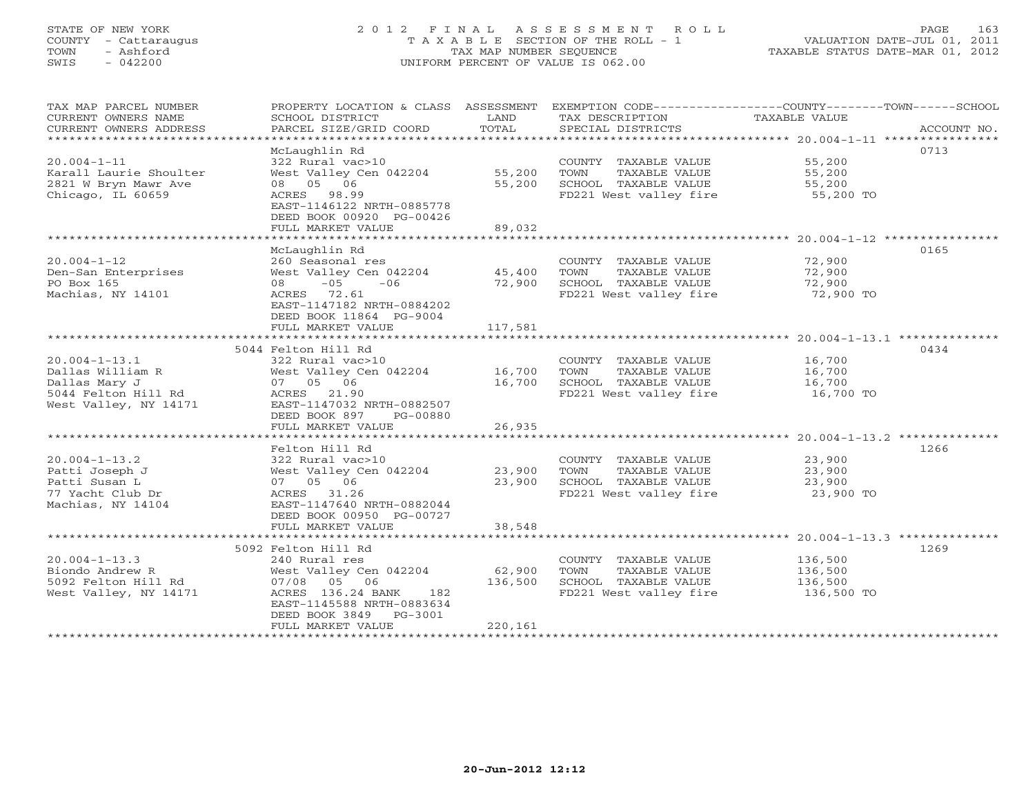# STATE OF NEW YORK 2 0 1 2 F I N A L A S S E S S M E N T R O L L PAGE 163 COUNTY - Cattaraugus T A X A B L E SECTION OF THE ROLL - 1 VALUATION DATE-JUL 01, 2011 TOWN - Ashford TAX MAP NUMBER SEQUENCE TAXABLE STATUS DATE-MAR 01, 2012 SWIS - 042200 UNIFORM PERCENT OF VALUE IS 062.00UNIFORM PERCENT OF VALUE IS 062.00

| TAX MAP PARCEL NUMBER<br>CURRENT OWNERS NAME<br>CURRENT OWNERS ADDRESS                                   | SCHOOL DISTRICT<br>PARCEL SIZE/GRID COORD                                                                                                                                             | LAND<br>TOTAL                | TAX DESCRIPTION TAXABLE VALUE<br>SPECIAL DISTRICTS                                                        | PROPERTY LOCATION & CLASS ASSESSMENT EXEMPTION CODE---------------COUNTY-------TOWN------SCHOOL<br>ACCOUNT NO. |
|----------------------------------------------------------------------------------------------------------|---------------------------------------------------------------------------------------------------------------------------------------------------------------------------------------|------------------------------|-----------------------------------------------------------------------------------------------------------|----------------------------------------------------------------------------------------------------------------|
| ******************************                                                                           |                                                                                                                                                                                       |                              |                                                                                                           |                                                                                                                |
| $20.004 - 1 - 11$<br>Karall Laurie Shoulter<br>2821 W Bryn Mawr Ave<br>Chicago, IL 60659                 | McLaughlin Rd<br>322 Rural vac>10<br>West Valley Cen 042204<br>08  05  06<br>ACRES 98.99<br>EAST-1146122 NRTH-0885778<br>DEED BOOK 00920 PG-00426                                     | 55,200<br>55,200             | COUNTY TAXABLE VALUE<br>TAXABLE VALUE<br>TOWN<br>SCHOOL TAXABLE VALUE<br>FD221 West valley fire           | 0713<br>55,200<br>55,200<br>55,200<br>55,200 TO                                                                |
|                                                                                                          | FULL MARKET VALUE                                                                                                                                                                     | 89,032                       |                                                                                                           |                                                                                                                |
|                                                                                                          |                                                                                                                                                                                       |                              |                                                                                                           |                                                                                                                |
| $20.004 - 1 - 12$<br>Den-San Enterprises<br>PO Box 165<br>Machias, NY 14101                              | McLaughlin Rd<br>260 Seasonal res<br>West Valley Cen 042204 45,400<br>$-05 -06$<br>08<br>ACRES 72.61<br>EAST-1147182 NRTH-0884202<br>DEED BOOK 11864 PG-9004                          | 72,900<br>117,581            | COUNTY TAXABLE VALUE<br>TAXABLE VALUE<br>TOWN<br>SCHOOL TAXABLE VALUE<br>FD221 West valley fire 72,900 TO | 0165<br>72,900<br>72,900<br>72,900                                                                             |
|                                                                                                          | FULL MARKET VALUE                                                                                                                                                                     |                              |                                                                                                           |                                                                                                                |
|                                                                                                          | 5044 Felton Hill Rd                                                                                                                                                                   |                              |                                                                                                           | 0434                                                                                                           |
| $20.004 - 1 - 13.1$<br>Dallas William R<br>Dallas Mary J<br>5044 Felton Hill Rd<br>West Valley, NY 14171 | 322 Rural vac>10<br>West Valley Cen 042204 16,700<br>07 05 06<br>ACRES 21.90<br>EAST-1147032 NRTH-0882507<br>DEED BOOK 897<br>PG-00880                                                | 16,700                       | COUNTY TAXABLE VALUE<br>TAXABLE VALUE<br>TOWN<br>SCHOOL TAXABLE VALUE<br>FD221 West valley fire           | 16,700<br>16,700<br>16,700<br>16,700 TO                                                                        |
|                                                                                                          | FULL MARKET VALUE                                                                                                                                                                     | 26,935                       |                                                                                                           |                                                                                                                |
|                                                                                                          |                                                                                                                                                                                       |                              |                                                                                                           |                                                                                                                |
| $20.004 - 1 - 13.2$<br>Patti Joseph J<br>Patti Susan L<br>77 Yacht Club Dr<br>Machias, NY 14104          | Felton Hill Rd<br>322 Rural vac>10<br>West Valley Cen 042204 23,900<br>07 05 06<br>ACRES 31.26<br>EAST-1147640 NRTH-0882044<br>DEED BOOK 00950 PG-00727                               | 23,900                       | COUNTY TAXABLE VALUE<br>TOWN<br>TAXABLE VALUE<br>SCHOOL TAXABLE VALUE<br>FD221 West valley fire           | 1266<br>23,900<br>23,900<br>23,900<br>23,900 TO                                                                |
|                                                                                                          | FULL MARKET VALUE                                                                                                                                                                     | 38,548                       |                                                                                                           |                                                                                                                |
|                                                                                                          |                                                                                                                                                                                       |                              |                                                                                                           |                                                                                                                |
| $20.004 - 1 - 13.3$<br>Biondo Andrew R<br>5092 Felton Hill Rd<br>West Valley, NY 14171                   | 5092 Felton Hill Rd<br>240 Rural res<br>West Valley Cen 042204<br>07/08 05 06<br>ACRES 136.24 BANK<br>182<br>EAST-1145588 NRTH-0883634<br>DEED BOOK 3849 PG-3001<br>FULL MARKET VALUE | 62,900<br>136,500<br>220,161 | COUNTY TAXABLE VALUE<br>TOWN<br>TAXABLE VALUE<br>SCHOOL TAXABLE VALUE<br>FD221 West valley fire           | 1269<br>136,500<br>136,500<br>136,500<br>136,500 TO                                                            |
| *************************                                                                                |                                                                                                                                                                                       |                              |                                                                                                           |                                                                                                                |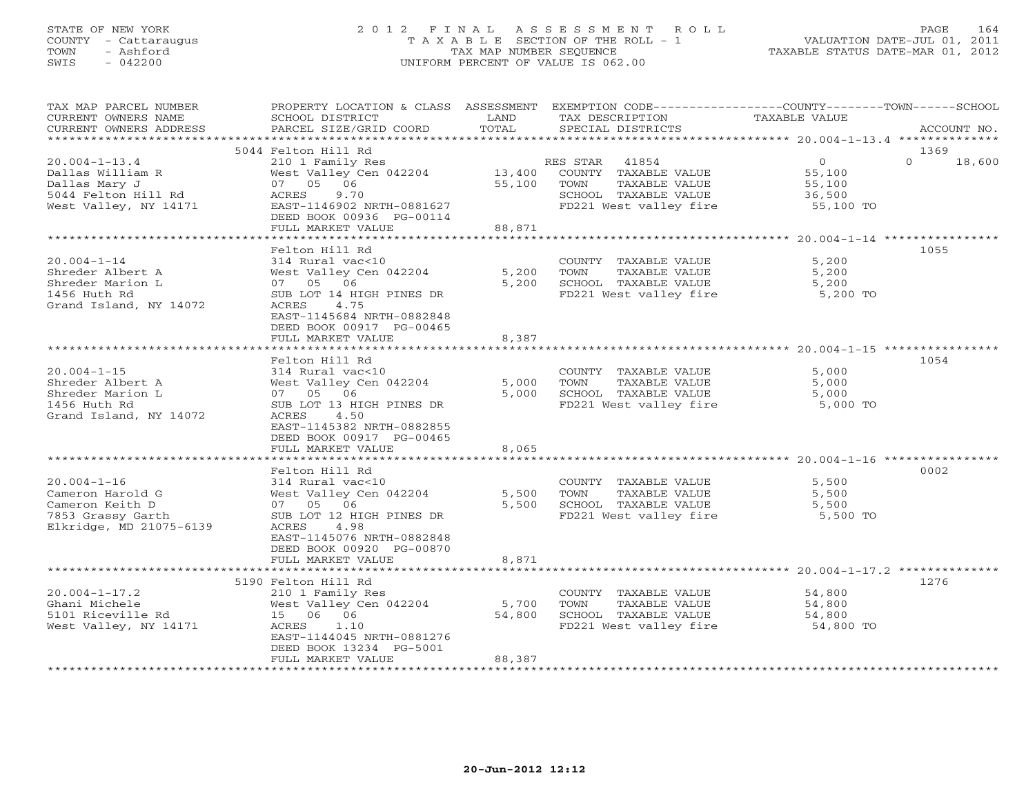## STATE OF NEW YORK 2 0 1 2 F I N A L A S S E S S M E N T R O L L PAGE 164 COUNTY - Cattaraugus T A X A B L E SECTION OF THE ROLL - 1 VALUATION DATE-JUL 01, 2011 TOWN - Ashford TAX MAP NUMBER SEQUENCE TAXABLE STATUS DATE-MAR 01, 2012 SWIS - 042200 UNIFORM PERCENT OF VALUE IS 062.00UNIFORM PERCENT OF VALUE IS 062.00

| TAX MAP PARCEL NUMBER<br>CURRENT OWNERS NAME<br>CURRENT OWNERS ADDRESS                                   | PROPERTY LOCATION & CLASS ASSESSMENT<br>SCHOOL DISTRICT<br>PARCEL SIZE/GRID COORD                                                                                                                   | LAND<br>TOTAL              | EXEMPTION CODE-----------------COUNTY-------TOWN------SCHOOL<br>TAX DESCRIPTION<br>SPECIAL DISTRICTS                 | <b>TAXABLE VALUE</b>                                      | ACCOUNT NO.                |
|----------------------------------------------------------------------------------------------------------|-----------------------------------------------------------------------------------------------------------------------------------------------------------------------------------------------------|----------------------------|----------------------------------------------------------------------------------------------------------------------|-----------------------------------------------------------|----------------------------|
| ***********************                                                                                  |                                                                                                                                                                                                     |                            |                                                                                                                      |                                                           |                            |
| $20.004 - 1 - 13.4$<br>Dallas William R<br>Dallas Mary J<br>5044 Felton Hill Rd<br>West Valley, NY 14171 | 5044 Felton Hill Rd<br>210 1 Family Res<br>West Valley Cen 042204<br>07 05 06<br>ACRES<br>9.70<br>EAST-1146902 NRTH-0881627<br>DEED BOOK 00936 PG-00114<br>FULL MARKET VALUE                        | 13,400<br>55,100<br>88,871 | RES STAR<br>41854<br>COUNTY TAXABLE VALUE<br>TOWN<br>TAXABLE VALUE<br>SCHOOL TAXABLE VALUE<br>FD221 West valley fire | $\overline{O}$<br>55,100<br>55,100<br>36,500<br>55,100 TO | 1369<br>$\Omega$<br>18,600 |
|                                                                                                          |                                                                                                                                                                                                     |                            |                                                                                                                      |                                                           |                            |
| $20.004 - 1 - 14$<br>Shreder Albert A<br>Shreder Marion L<br>1456 Huth Rd<br>Grand Island, NY 14072      | Felton Hill Rd<br>314 Rural vac<10<br>West Valley Cen 042204<br>07 05 06<br>SUB LOT 14 HIGH PINES DR<br>4.75<br>ACRES<br>EAST-1145684 NRTH-0882848<br>DEED BOOK 00917 PG-00465<br>FULL MARKET VALUE | 5,200<br>5,200<br>8,387    | COUNTY TAXABLE VALUE<br>TOWN<br>TAXABLE VALUE<br>SCHOOL TAXABLE VALUE<br>FD221 West valley fire                      | 5,200<br>5,200<br>5,200<br>5,200 TO                       | 1055                       |
|                                                                                                          |                                                                                                                                                                                                     |                            |                                                                                                                      |                                                           |                            |
| $20.004 - 1 - 15$<br>Shreder Albert A<br>Shreder Marion L<br>1456 Huth Rd<br>Grand Island, NY 14072      | Felton Hill Rd<br>314 Rural vac<10<br>West Valley Cen 042204<br>07 05 06<br>SUB LOT 13 HIGH PINES DR<br>4.50<br>ACRES<br>EAST-1145382 NRTH-0882855<br>DEED BOOK 00917 PG-00465                      | 5,000<br>5,000             | COUNTY TAXABLE VALUE<br>TAXABLE VALUE<br>TOWN<br>SCHOOL TAXABLE VALUE<br>FD221 West valley fire                      | 5,000<br>5,000<br>5,000<br>5,000 TO                       | 1054                       |
|                                                                                                          | FULL MARKET VALUE<br>******************                                                                                                                                                             | 8,065                      |                                                                                                                      |                                                           |                            |
| $20.004 - 1 - 16$<br>Cameron Harold G<br>Cameron Keith D<br>7853 Grassy Garth<br>Elkridge, MD 21075-6139 | Felton Hill Rd<br>314 Rural vac<10<br>West Valley Cen 042204<br>07 05 06<br>SUB LOT 12 HIGH PINES DR<br>4.98<br>ACRES<br>EAST-1145076 NRTH-0882848<br>DEED BOOK 00920 PG-00870                      | 5,500<br>5,500             | COUNTY TAXABLE VALUE<br>TOWN<br>TAXABLE VALUE<br>SCHOOL TAXABLE VALUE<br>FD221 West valley fire                      | 5,500<br>5,500<br>5,500<br>5,500 TO                       | 0002                       |
|                                                                                                          | FULL MARKET VALUE<br>************************                                                                                                                                                       | 8,871                      |                                                                                                                      |                                                           |                            |
| $20.004 - 1 - 17.2$<br>Ghani Michele<br>5101 Riceville Rd<br>West Valley, NY 14171                       | 5190 Felton Hill Rd<br>210 1 Family Res<br>West Valley Cen 042204<br>15 06 06<br>ACRES<br>1.10<br>EAST-1144045 NRTH-0881276<br>DEED BOOK 13234 PG-5001                                              | 5,700<br>54,800            | COUNTY TAXABLE VALUE<br>TOWN<br>TAXABLE VALUE<br>SCHOOL TAXABLE VALUE<br>FD221 West valley fire                      | 54,800<br>54,800<br>54,800<br>54,800 TO                   | 1276                       |
|                                                                                                          | FULL MARKET VALUE                                                                                                                                                                                   | 88,387                     |                                                                                                                      |                                                           |                            |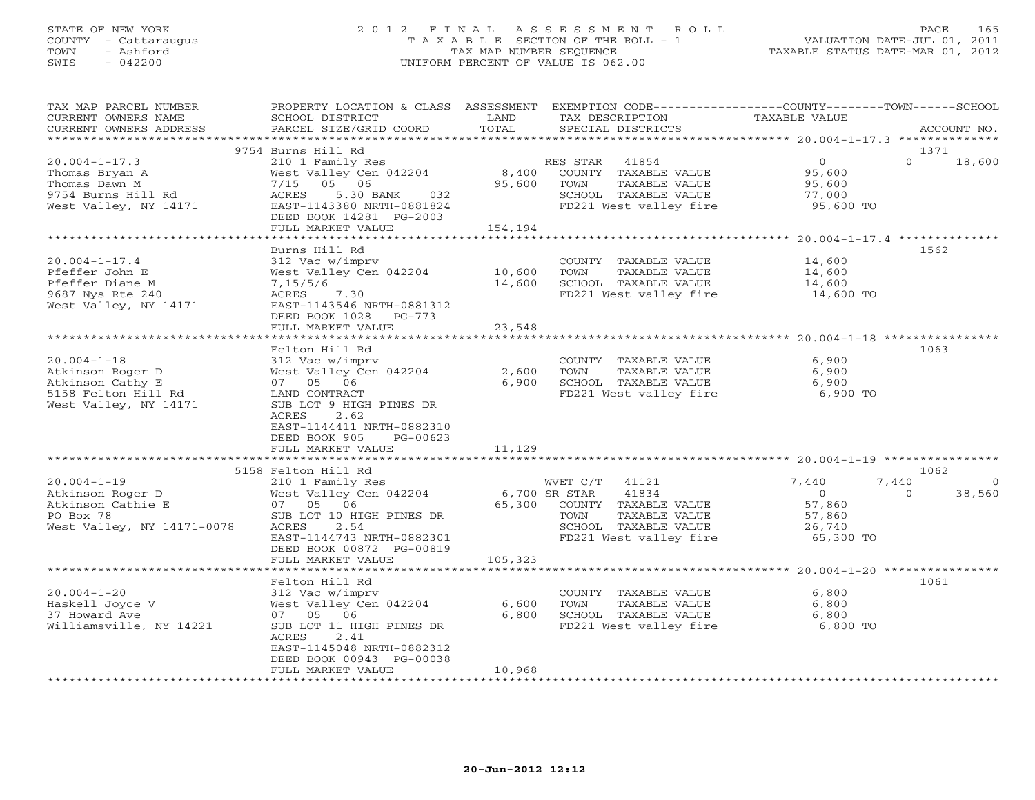## STATE OF NEW YORK 2 0 1 2 F I N A L A S S E S S M E N T R O L L PAGE 165 COUNTY - Cattaraugus T A X A B L E SECTION OF THE ROLL - 1 VALUATION DATE-JUL 01, 2011 TOWN - Ashford TAX MAP NUMBER SEQUENCE TAXABLE STATUS DATE-MAR 01, 2012 SWIS - 042200 UNIFORM PERCENT OF VALUE IS 062.00UNIFORM PERCENT OF VALUE IS 062.00

| TAX MAP PARCEL NUMBER<br>CURRENT OWNERS NAME<br>CURRENT OWNERS ADDRESS                                | PROPERTY LOCATION & CLASS ASSESSMENT<br>SCHOOL DISTRICT<br>PARCEL SIZE/GRID COORD                                                                                                          | LAND<br>TOTAL              | EXEMPTION CODE-----------------COUNTY-------TOWN------SCHOOL<br>TAX DESCRIPTION<br>SPECIAL DISTRICTS                       | TAXABLE VALUE                                               | ACCOUNT NO.                             |
|-------------------------------------------------------------------------------------------------------|--------------------------------------------------------------------------------------------------------------------------------------------------------------------------------------------|----------------------------|----------------------------------------------------------------------------------------------------------------------------|-------------------------------------------------------------|-----------------------------------------|
| ***********************                                                                               |                                                                                                                                                                                            |                            |                                                                                                                            |                                                             |                                         |
| $20.004 - 1 - 17.3$<br>Thomas Bryan A<br>Thomas Dawn M<br>9754 Burns Hill Rd<br>West Valley, NY 14171 | 9754 Burns Hill Rd<br>210 1 Family Res<br>West Valley Cen 042204<br>$7/15$ 05 06<br>ACRES<br>5.30 BANK<br>032<br>EAST-1143380 NRTH-0881824<br>DEED BOOK 14281 PG-2003<br>FULL MARKET VALUE | 8,400<br>95,600<br>154,194 | RES STAR<br>41854<br>COUNTY TAXABLE VALUE<br>TAXABLE VALUE<br>TOWN<br>SCHOOL TAXABLE VALUE<br>FD221 West valley fire       | $\overline{0}$<br>95,600<br>95,600<br>77,000<br>95,600 TO   | 1371<br>$\Omega$<br>18,600              |
|                                                                                                       |                                                                                                                                                                                            |                            |                                                                                                                            |                                                             |                                         |
| $20.004 - 1 - 17.4$<br>Pfeffer John E<br>Pfeffer Diane M<br>9687 Nys Rte 240<br>West Valley, NY 14171 | Burns Hill Rd<br>312 Vac w/imprv<br>West Valley Cen 042204<br>7,15/5/6<br>ACRES<br>7.30<br>EAST-1143546 NRTH-0881312<br>DEED BOOK 1028 PG-773                                              | 10,600<br>14,600           | COUNTY TAXABLE VALUE<br>TOWN<br>TAXABLE VALUE<br>SCHOOL TAXABLE VALUE<br>FD221 West valley fire                            | 14,600<br>14,600<br>14,600<br>14,600 TO                     | 1562                                    |
|                                                                                                       | FULL MARKET VALUE                                                                                                                                                                          | 23,548                     |                                                                                                                            |                                                             |                                         |
| $20.004 - 1 - 18$                                                                                     | * * * * * * * * * * * * * * * * * * * *<br>Felton Hill Rd                                                                                                                                  | *********************      | COUNTY TAXABLE VALUE                                                                                                       | 6,900                                                       | 1063                                    |
| Atkinson Roger D<br>Atkinson Cathy E<br>5158 Felton Hill Rd<br>West Valley, NY 14171                  | 312 Vac w/imprv<br>West Valley Cen 042204<br>07 05 06<br>LAND CONTRACT<br>SUB LOT 9 HIGH PINES DR<br>2.62<br>ACRES                                                                         | 2,600<br>6,900             | TOWN<br>TAXABLE VALUE<br>SCHOOL TAXABLE VALUE<br>FD221 West valley fire                                                    | 6,900<br>6,900<br>6,900 TO                                  |                                         |
|                                                                                                       | EAST-1144411 NRTH-0882310<br>DEED BOOK 905<br>PG-00623<br>FULL MARKET VALUE<br>***************************                                                                                 | 11,129                     |                                                                                                                            |                                                             |                                         |
|                                                                                                       | 5158 Felton Hill Rd                                                                                                                                                                        |                            |                                                                                                                            |                                                             | 1062                                    |
| $20.004 - 1 - 19$<br>Atkinson Roger D<br>Atkinson Cathie E<br>PO Box 78<br>West Valley, NY 14171-0078 | 210 1 Family Res<br>West Valley Cen 042204<br>07 05 06<br>SUB LOT 10 HIGH PINES DR<br>ACRES<br>2.54<br>EAST-1144743 NRTH-0882301<br>DEED BOOK 00872 PG-00819                               | 6,700 SR STAR<br>65,300    | WVET C/T 41121<br>41834<br>COUNTY TAXABLE VALUE<br>TAXABLE VALUE<br>TOWN<br>SCHOOL TAXABLE VALUE<br>FD221 West valley fire | 7,440<br>$\circ$<br>57,860<br>57,860<br>26,740<br>65,300 TO | 7,440<br>$\Omega$<br>$\Omega$<br>38,560 |
|                                                                                                       | FULL MARKET VALUE                                                                                                                                                                          | 105,323                    |                                                                                                                            |                                                             |                                         |
|                                                                                                       |                                                                                                                                                                                            |                            |                                                                                                                            |                                                             |                                         |
| $20.004 - 1 - 20$<br>Haskell Joyce V<br>37 Howard Ave<br>Williamsville, NY 14221                      | Felton Hill Rd<br>312 Vac w/imprv<br>West Valley Cen 042204<br>07 05 06<br>SUB LOT 11 HIGH PINES DR<br>ACRES<br>2.41<br>EAST-1145048 NRTH-0882312<br>DEED BOOK 00943 PG-00038              | 6,600<br>6,800             | COUNTY TAXABLE VALUE<br>TAXABLE VALUE<br>TOWN<br>SCHOOL TAXABLE VALUE<br>FD221 West valley fire                            | 6,800<br>6,800<br>6,800<br>6,800 TO                         | 1061                                    |
|                                                                                                       | FULL MARKET VALUE                                                                                                                                                                          | 10,968                     |                                                                                                                            |                                                             |                                         |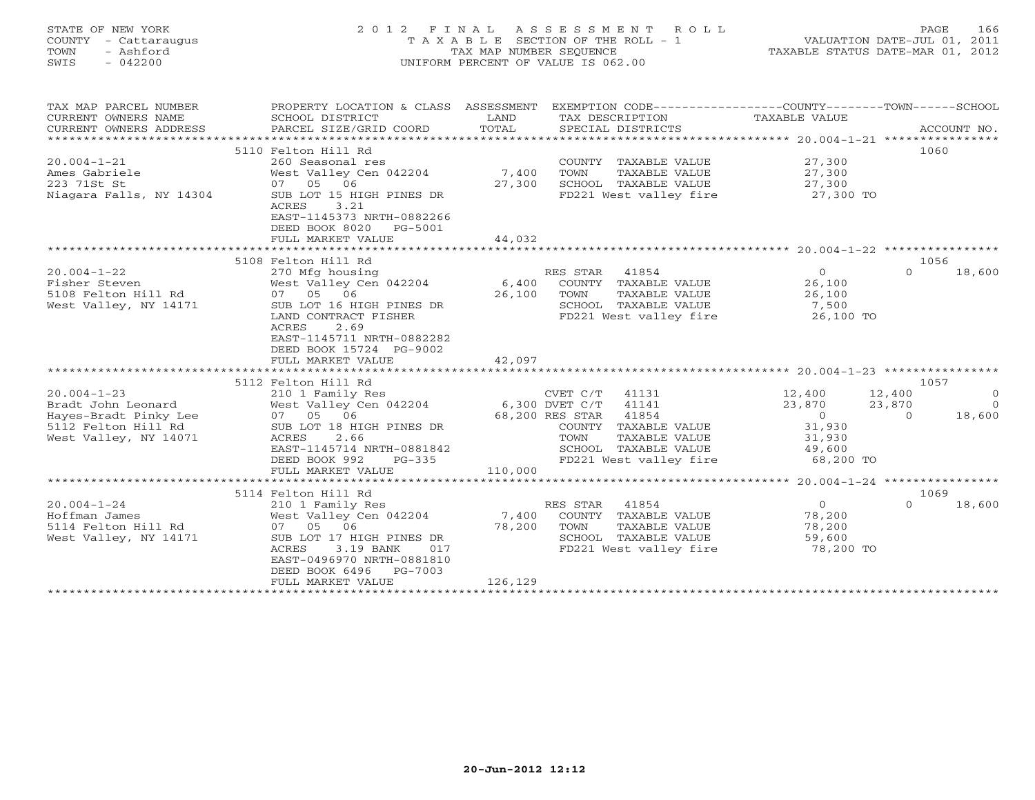| STATE OF NEW YORK<br>COUNTY<br>- Cattaraugus<br>- Ashford<br>TOWN<br>SWIS<br>$-042200$ | 2 0 1 2<br>TAXABLE                                                     | F T N A L<br>TAX MAP NUMBER SEOUENCE | ASSESSMENT ROLL<br>SECTION OF THE ROLL - 1<br>UNIFORM PERCENT OF VALUE IS 062.00 | 166<br>PAGE<br>VALUATION DATE-JUL 01, 2011<br>TAXABLE STATUS DATE-MAR 01, 2012       |
|----------------------------------------------------------------------------------------|------------------------------------------------------------------------|--------------------------------------|----------------------------------------------------------------------------------|--------------------------------------------------------------------------------------|
| TAX MAP PARCEL NUMBER<br>CURRENT OWNERS NAME<br>CURRENT OWNERS ADDRESS                 | PROPERTY LOCATION & CLASS<br>SCHOOL DISTRICT<br>PARCEL SIZE/GRID COORD | ASSESSMENT<br>LAND<br>TOTAL          | EXEMPTION CODE--<br>TAX DESCRIPTION<br>SPECIAL DISTRICTS                         | $-$ SCHOOL<br>---------------COUNTY--------TOWN-----<br>TAXABLE VALUE<br>ACCOUNT NO. |
|                                                                                        | 5110 Felton Hill Rd                                                    |                                      |                                                                                  | 1060                                                                                 |
| $20.004 - 1 - 21$                                                                      | 260 Seasonal res                                                       |                                      | COUNTY<br>TAXABLE VALUE                                                          | 27,300                                                                               |
| Ames Gabriele                                                                          | West Valley Cen 042204                                                 | 7,400                                | TOWN<br>TAXABLE VALUE                                                            | 27,300                                                                               |
| 223 71St St                                                                            | 05<br>07<br>06                                                         | 27,300                               | SCHOOL<br>TAXABLE VALUE                                                          | 27,300                                                                               |
| Niagara Falls, NY 14304                                                                | SUB LOT 15 HIGH PINES DR<br>3.21<br>ACRES<br>EAST-1145373 NRTH-0882266 |                                      | FD221 West valley fire                                                           | 27,300 TO                                                                            |

DEED BOOK 8020 PG-5001

|                       | FULL MARKET VALUE         | 44,032                           |                                       |                |
|-----------------------|---------------------------|----------------------------------|---------------------------------------|----------------|
|                       |                           |                                  |                                       |                |
|                       | 5108 Felton Hill Rd       |                                  | 1056                                  |                |
| $20.004 - 1 - 22$     | 270 Mfg housing           | RES STAR<br>41854                | $\Omega$<br>$\Omega$                  | 18,600         |
| Fisher Steven         | West Valley Cen 042204    | 6,400<br>COUNTY<br>TAXABLE VALUE | 26,100                                |                |
| 5108 Felton Hill Rd   | 07 05 06                  | 26,100<br>TOWN<br>TAXABLE VALUE  | 26,100                                |                |
| West Valley, NY 14171 | SUB LOT 16 HIGH PINES DR  | SCHOOL<br>TAXABLE VALUE          | 7,500                                 |                |
|                       | LAND CONTRACT FISHER      | FD221 West valley fire           | 26,100 TO                             |                |
|                       | 2.69<br>ACRES             |                                  |                                       |                |
|                       | EAST-1145711 NRTH-0882282 |                                  |                                       |                |
|                       | DEED BOOK 15724 PG-9002   |                                  |                                       |                |
|                       | FULL MARKET VALUE         | 42,097                           |                                       |                |
|                       |                           |                                  |                                       |                |
|                       | 5112 Felton Hill Rd       |                                  | 1057                                  |                |
| $20.004 - 1 - 23$     | 210 1 Family Res          | 41131<br>CVET C/T                | 12,400<br>12,400                      | $\overline{0}$ |
| Bradt John Leonard    | West Valley Cen 042204    | 6,300 DVET C/T<br>41141          | 23,870<br>23,870                      | $\Omega$       |
| Hayes-Bradt Pinky Lee | 07 05 06                  | 68,200 RES STAR<br>41854         | $\Omega$<br>$\Omega$                  | 18,600         |
| 5112 Felton Hill Rd   | SUB LOT 18 HIGH PINES DR  | COUNTY<br>TAXABLE VALUE          | 31,930                                |                |
| West Valley, NY 14071 | 2.66<br>ACRES             | TOWN<br>TAXABLE VALUE            | 31,930                                |                |
|                       | EAST-1145714 NRTH-0881842 | SCHOOL<br>TAXABLE VALUE          | 49,600                                |                |
|                       | DEED BOOK 992<br>PG-335   | FD221 West valley fire           | 68,200 TO                             |                |
|                       | FULL MARKET VALUE         | 110,000                          |                                       |                |
|                       |                           | * * * * * * * * * * * * * *      | ******** 20.004-1-24 **************** |                |
|                       | 5114 Felton Hill Rd       |                                  | 1069                                  |                |
| $20.004 - 1 - 24$     | 210 1 Family Res          | RES STAR<br>41854                | $\overline{0}$<br>$\circ$             | 18,600         |
| Hoffman James         | West Valley Cen 042204    | 7,400<br>COUNTY<br>TAXABLE VALUE | 78,200                                |                |
| 5114 Felton Hill Rd   | 07 05 06                  | 78,200<br>TOWN<br>TAXABLE VALUE  | 78,200                                |                |
| West Valley, NY 14171 | SUB LOT 17 HIGH PINES DR  | SCHOOL<br>TAXABLE VALUE          | 59,600                                |                |
|                       | 3.19 BANK<br>017<br>ACRES | FD221 West valley fire           | 78,200 TO                             |                |
|                       | EAST-0496970 NRTH-0881810 |                                  |                                       |                |
|                       | DEED BOOK 6496 PG-7003    |                                  |                                       |                |
|                       | FULL MARKET VALUE         | 126,129                          |                                       |                |
|                       |                           |                                  |                                       |                |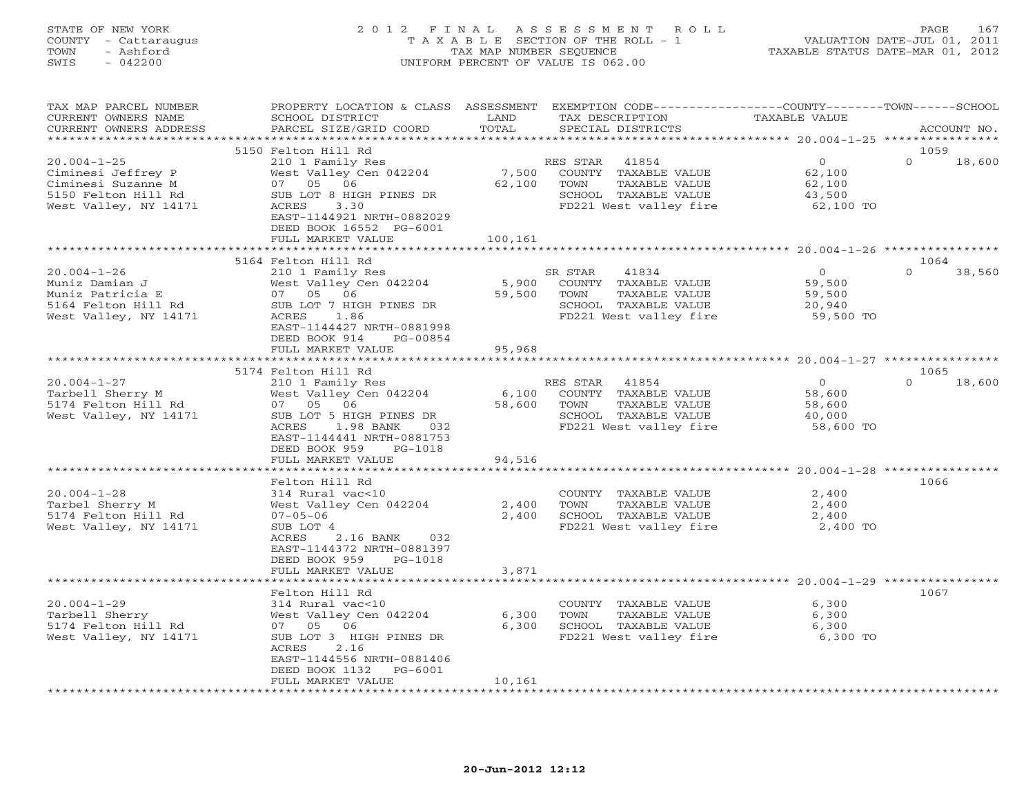## STATE OF NEW YORK 2 0 1 2 F I N A L A S S E S S M E N T R O L L PAGE 167 COUNTY - Cattaraugus T A X A B L E SECTION OF THE ROLL - 1 VALUATION DATE-JUL 01, 2011 TOWN - Ashford TAX MAP NUMBER SEQUENCE TAXABLE STATUS DATE-MAR 01, 2012 SWIS - 042200 UNIFORM PERCENT OF VALUE IS 062.00UNIFORM PERCENT OF VALUE IS 062.00

| TAX MAP PARCEL NUMBER<br>CURRENT OWNERS NAME                                                                  | PROPERTY LOCATION & CLASS ASSESSMENT EXEMPTION CODE---------------COUNTY-------TOWN------SCHOOL<br>SCHOOL DISTRICT                                                                                       | LAND                    | TAX DESCRIPTION                                                                                                      | TAXABLE VALUE                                             |                            |
|---------------------------------------------------------------------------------------------------------------|----------------------------------------------------------------------------------------------------------------------------------------------------------------------------------------------------------|-------------------------|----------------------------------------------------------------------------------------------------------------------|-----------------------------------------------------------|----------------------------|
| CURRENT OWNERS ADDRESS                                                                                        | PARCEL SIZE/GRID COORD                                                                                                                                                                                   | TOTAL                   | SPECIAL DISTRICTS                                                                                                    |                                                           | ACCOUNT NO.                |
|                                                                                                               | 5150 Felton Hill Rd                                                                                                                                                                                      |                         |                                                                                                                      |                                                           | 1059                       |
| $20.004 - 1 - 25$<br>Ciminesi Jeffrey P<br>Ciminesi Suzanne M<br>5150 Felton Hill Rd<br>West Valley, NY 14171 | 210 1 Family Res<br>West Valley Cen 042204<br>07 05 06<br>SUB LOT 8 HIGH PINES DR<br>ACRES<br>3.30<br>EAST-1144921 NRTH-0882029<br>DEED BOOK 16552 PG-6001                                               | 7,500<br>62,100         | RES STAR<br>41854<br>COUNTY TAXABLE VALUE<br>TAXABLE VALUE<br>TOWN<br>SCHOOL TAXABLE VALUE<br>FD221 West valley fire | $\overline{0}$<br>62,100<br>62,100<br>43,500<br>62,100 TO | $\Omega$<br>18,600         |
|                                                                                                               | FULL MARKET VALUE                                                                                                                                                                                        | 100,161<br>************ |                                                                                                                      |                                                           |                            |
| $20.004 - 1 - 26$<br>Muniz Damian J<br>Muniz Patricia E<br>5164 Felton Hill Rd<br>West Valley, NY 14171       | 5164 Felton Hill Rd<br>210 1 Family Res<br>West Valley Cen 042204<br>07 05 06<br>SUB LOT 7 HIGH PINES DR<br>1.86<br>ACRES<br>EAST-1144427 NRTH-0881998<br>DEED BOOK 914<br>PG-00854                      | 5,900<br>59,500         | SR STAR<br>41834<br>COUNTY TAXABLE VALUE<br>TAXABLE VALUE<br>TOWN<br>SCHOOL TAXABLE VALUE<br>FD221 West valley fire  | $\overline{0}$<br>59,500<br>59,500<br>20,940<br>59,500 TO | 1064<br>$\Omega$<br>38,560 |
|                                                                                                               | FULL MARKET VALUE                                                                                                                                                                                        | 95,968                  |                                                                                                                      |                                                           |                            |
|                                                                                                               | 5174 Felton Hill Rd                                                                                                                                                                                      |                         |                                                                                                                      |                                                           | 1065                       |
| $20.004 - 1 - 27$<br>Tarbell Sherry M<br>5174 Felton Hill Rd<br>West Valley, NY 14171                         | 210 1 Family Res<br>West Valley Cen 042204<br>07 05 06<br>SUB LOT 5 HIGH PINES DR<br>1.98 BANK<br>ACRES<br>032<br>EAST-1144441 NRTH-0881753<br>DEED BOOK 959<br>PG-1018                                  | 6,100<br>58,600         | RES STAR 41854<br>COUNTY TAXABLE VALUE<br>TOWN<br>TAXABLE VALUE<br>SCHOOL TAXABLE VALUE<br>FD221 West valley fire    | $\overline{0}$<br>58,600<br>58,600<br>40,000<br>58,600 TO | $\Omega$<br>18,600         |
|                                                                                                               | FULL MARKET VALUE                                                                                                                                                                                        | 94,516                  |                                                                                                                      |                                                           |                            |
|                                                                                                               |                                                                                                                                                                                                          |                         |                                                                                                                      |                                                           |                            |
| $20.004 - 1 - 28$<br>Tarbel Sherry M<br>5174 Felton Hill Rd<br>West Valley, NY 14171                          | Felton Hill Rd<br>314 Rural vac<10<br>West Valley Cen 042204<br>$07 - 05 - 06$<br>SUB LOT 4<br>ACRES<br>2.16 BANK<br>032<br>EAST-1144372 NRTH-0881397<br>DEED BOOK 959<br>PG-1018                        | 2,400<br>2,400          | COUNTY TAXABLE VALUE<br>TOWN<br>TAXABLE VALUE<br>SCHOOL TAXABLE VALUE<br>FD221 West valley fire                      | 2,400<br>2,400<br>2,400<br>2,400 TO                       | 1066                       |
|                                                                                                               | FULL MARKET VALUE                                                                                                                                                                                        | 3,871                   |                                                                                                                      |                                                           |                            |
| $20.004 - 1 - 29$<br>Tarbell Sherry<br>5174 Felton Hill Rd<br>West Valley, NY 14171                           | *************************<br>Felton Hill Rd<br>314 Rural vac<10<br>West Valley Cen 042204<br>07 05 06<br>SUB LOT 3 HIGH PINES DR<br>ACRES<br>2.16<br>EAST-1144556 NRTH-0881406<br>DEED BOOK 1132 PG-6001 | 6,300<br>6,300          | COUNTY TAXABLE VALUE<br>TAXABLE VALUE<br>TOWN<br>SCHOOL TAXABLE VALUE<br>FD221 West valley fire                      | 6,300<br>6,300<br>6,300<br>6,300 TO                       | 1067                       |
|                                                                                                               | FULL MARKET VALUE                                                                                                                                                                                        | 10,161                  |                                                                                                                      |                                                           |                            |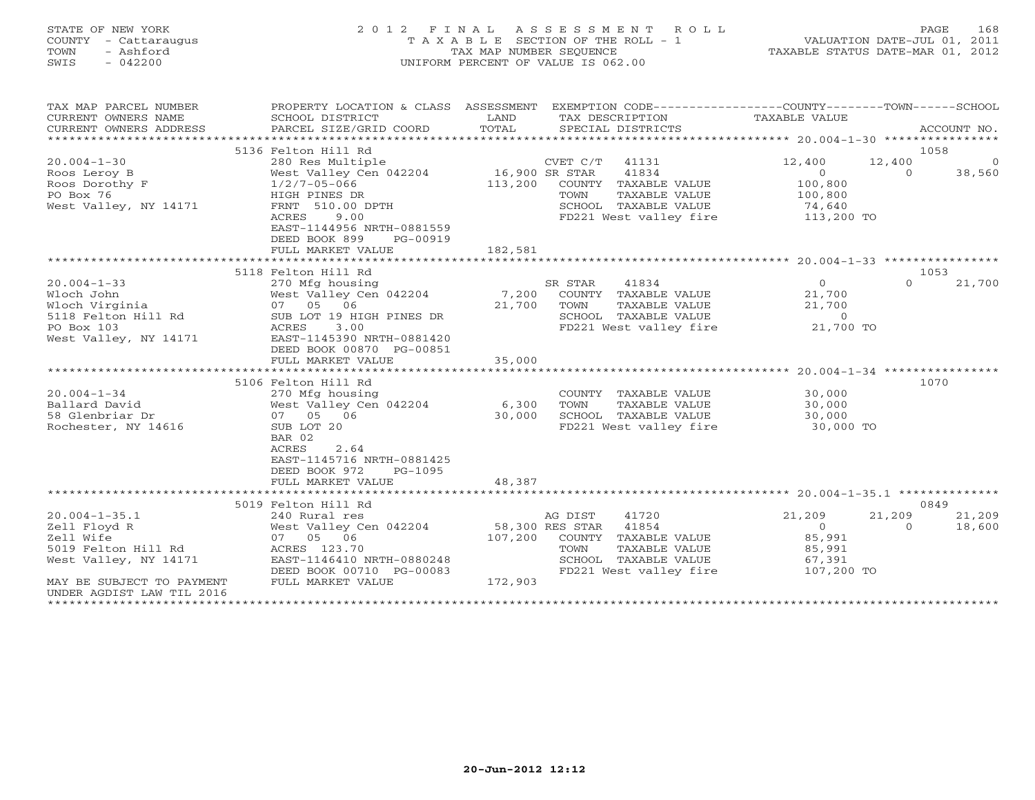STATE OF NEW YORK 2 0 1 2 F I N A L A S S E S S M E N T R O L L PAGE 168 COUNTY - Cattaraugus T A X A B L E SECTION OF THE ROLL - 1 VALUATION DATE-JUL 01, 2011 TOWN - Ashford TAX MAP NUMBER SEQUENCE TAXABLE STATUS DATE-MAR 01, 2012 SWIS - 042200 UNIFORM PERCENT OF VALUE IS 062.00 TAX MAP PARCEL NUMBER PROPERTY LOCATION & CLASS ASSESSMENT EXEMPTION CODE-----------------COUNTY-------TOWN------SCHOOL<br>CURRENT OWNERS NAME SCHOOL DISTRICT LAND T

| CONVENT CMMREVS MAME      | POUNDE DIPINTOI           | LAIND          | TWV DEPOLITIOM           | IAAADLE VALUE  |             |          |
|---------------------------|---------------------------|----------------|--------------------------|----------------|-------------|----------|
| CURRENT OWNERS ADDRESS    | PARCEL SIZE/GRID COORD    | TOTAL          | SPECIAL DISTRICTS        |                | ACCOUNT NO. |          |
|                           |                           |                |                          |                |             |          |
|                           | 5136 Felton Hill Rd       |                |                          |                | 1058        |          |
| $20.004 - 1 - 30$         | 280 Res Multiple          |                | CVET C/T<br>41131        | 12,400         | 12,400      | $\Omega$ |
| Roos Leroy B              | West Valley Cen 042204    | 16,900 SR STAR | 41834                    | $\Omega$       | $\cap$      | 38,560   |
| Roos Dorothy F            | $1/2/7 - 05 - 066$        | 113,200        | COUNTY TAXABLE VALUE     | 100,800        |             |          |
| PO Box 76                 | HIGH PINES DR             |                | TAXABLE VALUE<br>TOWN    | 100,800        |             |          |
| West Valley, NY 14171     | FRNT 510.00 DPTH          |                | SCHOOL TAXABLE VALUE     | 74,640         |             |          |
|                           | <b>ACRES</b><br>9.00      |                | FD221 West valley fire   | 113,200 TO     |             |          |
|                           | EAST-1144956 NRTH-0881559 |                |                          |                |             |          |
|                           | DEED BOOK 899<br>PG-00919 |                |                          |                |             |          |
|                           | FULL MARKET VALUE         | 182,581        |                          |                |             |          |
|                           |                           |                |                          |                |             |          |
|                           | 5118 Felton Hill Rd       |                |                          |                | 1053        |          |
| $20.004 - 1 - 33$         | 270 Mfg housing           |                | 41834<br>SR STAR         | $\overline{O}$ | $\Omega$    | 21,700   |
| Wloch John                | West Valley Cen 042204    | 7,200          | COUNTY TAXABLE VALUE     | 21,700         |             |          |
| Wloch Virginia            | 07 05 06                  | 21,700         | TOWN<br>TAXABLE VALUE    | 21,700         |             |          |
| 5118 Felton Hill Rd       | SUB LOT 19 HIGH PINES DR  |                | SCHOOL TAXABLE VALUE     | $\circ$        |             |          |
| PO Box 103                | 3.00<br>ACRES             |                | FD221 West valley fire   | 21,700 TO      |             |          |
| West Valley, NY 14171     | EAST-1145390 NRTH-0881420 |                |                          |                |             |          |
|                           | DEED BOOK 00870 PG-00851  |                |                          |                |             |          |
|                           | FULL MARKET VALUE         | 35,000         |                          |                |             |          |
|                           |                           |                |                          |                |             |          |
|                           | 5106 Felton Hill Rd       |                |                          |                | 1070        |          |
| $20.004 - 1 - 34$         | 270 Mfg housing           |                | COUNTY TAXABLE VALUE     | 30,000         |             |          |
| Ballard David             | West Valley Cen 042204    | 6,300          | TOWN<br>TAXABLE VALUE    | 30,000         |             |          |
| 58 Glenbriar Dr           | 07 05 06                  | 30,000         | SCHOOL TAXABLE VALUE     | 30,000         |             |          |
| Rochester, NY 14616       | SUB LOT 20                |                | FD221 West valley fire   | 30,000 TO      |             |          |
|                           | BAR 02                    |                |                          |                |             |          |
|                           | ACRES<br>2.64             |                |                          |                |             |          |
|                           | EAST-1145716 NRTH-0881425 |                |                          |                |             |          |
|                           | DEED BOOK 972<br>PG-1095  |                |                          |                |             |          |
|                           | FULL MARKET VALUE         | 48,387         |                          |                |             |          |
|                           |                           |                |                          |                |             |          |
|                           | 5019 Felton Hill Rd       |                |                          |                | 0849        |          |
| $20.004 - 1 - 35.1$       | 240 Rural res             |                | AG DIST<br>41720         | 21,209         | 21,209      | 21,209   |
| Zell Floyd R              | West Valley Cen 042204    |                | 58,300 RES STAR<br>41854 | $\Omega$       | $\Omega$    | 18,600   |
| Zell Wife                 | 07 05 06                  | 107,200        | COUNTY TAXABLE VALUE     | 85,991         |             |          |
| 5019 Felton Hill Rd       | ACRES 123.70              |                | TAXABLE VALUE<br>TOWN    | 85,991         |             |          |
| West Valley, NY 14171     | EAST-1146410 NRTH-0880248 |                | SCHOOL TAXABLE VALUE     | 67,391         |             |          |
|                           | DEED BOOK 00710 PG-00083  |                | FD221 West valley fire   | 107,200 TO     |             |          |
| MAY BE SUBJECT TO PAYMENT | FULL MARKET VALUE         | 172,903        |                          |                |             |          |
| UNDER AGDIST LAW TIL 2016 |                           |                |                          |                |             |          |
|                           |                           |                |                          |                |             |          |
|                           |                           |                |                          |                |             |          |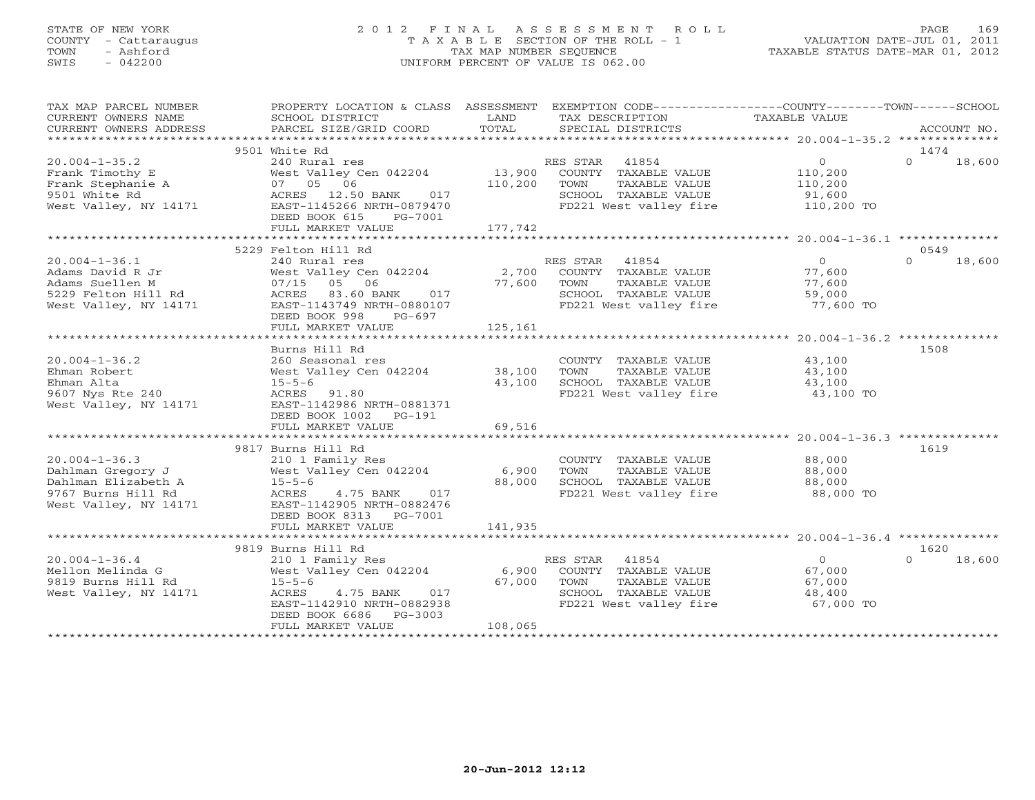## STATE OF NEW YORK 2 0 1 2 F I N A L A S S E S S M E N T R O L L PAGE 169 COUNTY - Cattaraugus T A X A B L E SECTION OF THE ROLL - 1 VALUATION DATE-JUL 01, 2011 TOWN - Ashford TAX MAP NUMBER SEQUENCE TAXABLE STATUS DATE-MAR 01, 2012 SWIS - 042200 UNIFORM PERCENT OF VALUE IS 062.00UNIFORM PERCENT OF VALUE IS 062.00

| SCHOOL DISTRICT                                                                                                                                                     | LAND                                                                                                                           | TAX DESCRIPTION                                                                                 | TAXABLE VALUE                                               |                                                                                                                                                                                              |
|---------------------------------------------------------------------------------------------------------------------------------------------------------------------|--------------------------------------------------------------------------------------------------------------------------------|-------------------------------------------------------------------------------------------------|-------------------------------------------------------------|----------------------------------------------------------------------------------------------------------------------------------------------------------------------------------------------|
|                                                                                                                                                                     |                                                                                                                                |                                                                                                 |                                                             | 1474                                                                                                                                                                                         |
| 240 Rural res<br>West Valley Cen 042204<br>07 05 06<br>017<br>ACRES 12.50 BANK<br>EAST-1145266 NRTH-0879470<br>DEED BOOK 615<br>PG-7001<br>FULL MARKET VALUE        | 13,900<br>110,200<br>177,742                                                                                                   | COUNTY TAXABLE VALUE<br>TOWN<br>TAXABLE VALUE<br>SCHOOL TAXABLE VALUE                           | $\Omega$<br>110,200<br>110,200<br>91,600<br>110,200 TO      | $\Omega$<br>18,600                                                                                                                                                                           |
|                                                                                                                                                                     |                                                                                                                                |                                                                                                 |                                                             | 0549                                                                                                                                                                                         |
| 240 Rural res<br>West Valley Cen 042204<br>07/15 05 06<br>ACRES 83.60 BANK<br>017<br>EAST-1143749 NRTH-0880107<br>DEED BOOK 998<br>PG-697<br>FULL MARKET VALUE      | 77,600<br>125,161                                                                                                              | TOWN<br>TAXABLE VALUE<br>SCHOOL TAXABLE VALUE                                                   | $\overline{0}$<br>77,600<br>77,600<br>59,000<br>77,600 TO   | $\Omega$<br>18,600                                                                                                                                                                           |
|                                                                                                                                                                     |                                                                                                                                |                                                                                                 |                                                             | 1508                                                                                                                                                                                         |
| 260 Seasonal res<br>West Valley Cen 042204<br>$15 - 5 - 6$<br>ACRES 91.80<br>EAST-1142986 NRTH-0881371                                                              | 38,100<br>43,100                                                                                                               | COUNTY TAXABLE VALUE<br>TAXABLE VALUE<br>TOWN<br>SCHOOL TAXABLE VALUE                           | 43,100<br>43,100<br>43,100<br>43,100 TO                     |                                                                                                                                                                                              |
| FULL MARKET VALUE                                                                                                                                                   | 69,516                                                                                                                         |                                                                                                 |                                                             |                                                                                                                                                                                              |
| 9817 Burns Hill Rd<br>210 1 Family Res<br>West Valley Cen 042204<br>$15 - 5 - 6$<br>ACRES<br>4.75 BANK<br>017<br>EAST-1142905 NRTH-0882476                          | 6,900<br>88,000                                                                                                                | COUNTY TAXABLE VALUE<br>TOWN<br>TAXABLE VALUE<br>SCHOOL TAXABLE VALUE<br>FD221 West valley fire | 88,000<br>88,000<br>88,000<br>88,000 TO                     | 1619                                                                                                                                                                                         |
| FULL MARKET VALUE                                                                                                                                                   | 141,935                                                                                                                        |                                                                                                 |                                                             |                                                                                                                                                                                              |
|                                                                                                                                                                     |                                                                                                                                |                                                                                                 |                                                             |                                                                                                                                                                                              |
| 210 1 Family Res<br>West Valley Cen 042204<br>$15 - 5 - 6$<br>017<br>ACRES<br>4.75 BANK<br>EAST-1142910 NRTH-0882938<br>DEED BOOK 6686 PG-3003<br>FULL MARKET VALUE | 6,900<br>67,000<br>108,065                                                                                                     | COUNTY TAXABLE VALUE<br>TOWN<br>TAXABLE VALUE<br>SCHOOL TAXABLE VALUE                           | $\overline{0}$<br>67,000<br>67,000<br>48,400<br>67,000 TO   | 1620<br>$\Omega$<br>18,600                                                                                                                                                                   |
|                                                                                                                                                                     | 9501 White Rd<br>5229 Felton Hill Rd<br>Burns Hill Rd<br>DEED BOOK 1002 PG-191<br>DEED BOOK 8313 PG-7001<br>9819 Burns Hill Rd | PROPERTY LOCATION & CLASS ASSESSMENT                                                            | RES STAR 41854<br>RES STAR 41854<br>2,700<br>RES STAR 41854 | EXEMPTION CODE-----------------COUNTY-------TOWN------SCHOOL<br>FD221 West valley fire<br>COUNTY TAXABLE VALUE<br>FD221 West valley fire<br>FD221 West valley fire<br>FD221 West valley fire |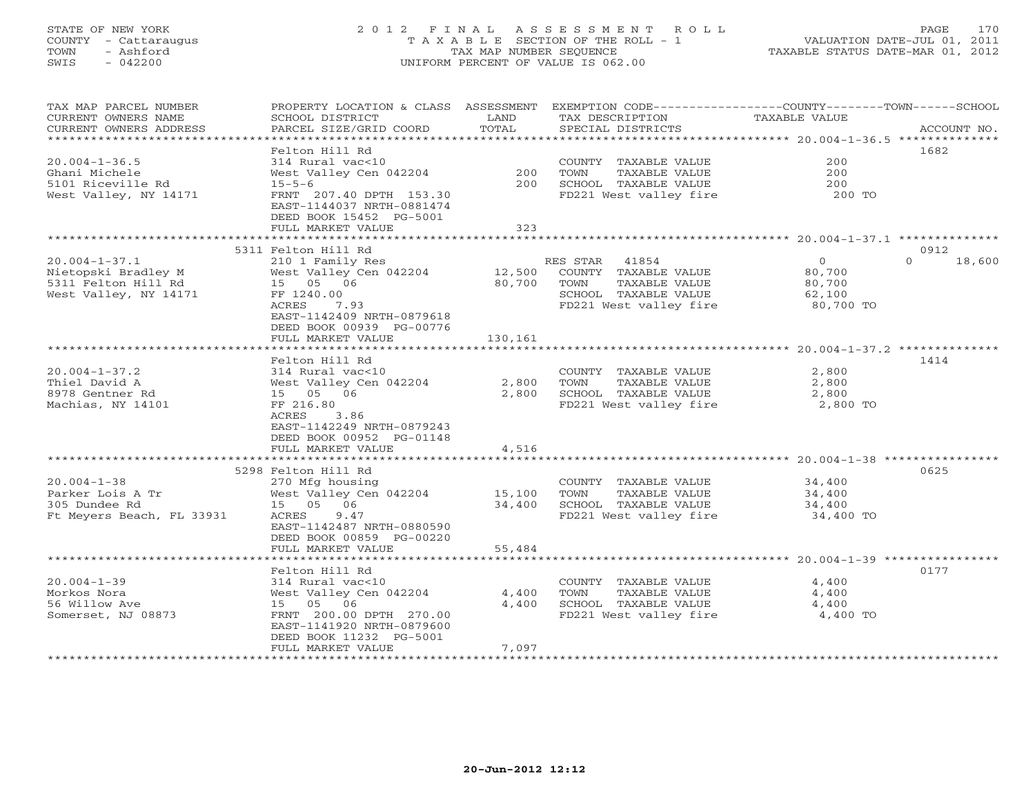# STATE OF NEW YORK 2 0 1 2 F I N A L A S S E S S M E N T R O L L PAGE 170 COUNTY - Cattaraugus T A X A B L E SECTION OF THE ROLL - 1 VALUATION DATE-JUL 01, 2011 TOWN - Ashford TAX MAP NUMBER SEQUENCE TAXABLE STATUS DATE-MAR 01, 2012 SWIS - 042200 UNIFORM PERCENT OF VALUE IS 062.00UNIFORM PERCENT OF VALUE IS 062.00

| TAX MAP PARCEL NUMBER<br>CURRENT OWNERS NAME | PROPERTY LOCATION & CLASS<br>SCHOOL DISTRICT         | ASSESSMENT<br>LAND  | TAX DESCRIPTION                                | EXEMPTION CODE----------------COUNTY-------TOWN-----SCHOOL<br>TAXABLE VALUE |             |
|----------------------------------------------|------------------------------------------------------|---------------------|------------------------------------------------|-----------------------------------------------------------------------------|-------------|
| CURRENT OWNERS ADDRESS                       | PARCEL SIZE/GRID COORD                               | TOTAL               | SPECIAL DISTRICTS                              |                                                                             | ACCOUNT NO. |
| *********************                        |                                                      |                     |                                                |                                                                             |             |
| $20.004 - 1 - 36.5$                          | Felton Hill Rd<br>314 Rural vac<10                   |                     |                                                | 200                                                                         | 1682        |
| Ghani Michele                                | West Valley Cen 042204                               | 200                 | COUNTY TAXABLE VALUE<br>TOWN<br>TAXABLE VALUE  | 200                                                                         |             |
| 5101 Riceville Rd                            | $15 - 5 - 6$                                         | 200                 | SCHOOL TAXABLE VALUE                           | 200                                                                         |             |
| West Valley, NY 14171                        | FRNT 207.40 DPTH 153.30                              |                     | FD221 West valley fire                         | 200 TO                                                                      |             |
|                                              | EAST-1144037 NRTH-0881474                            |                     |                                                |                                                                             |             |
|                                              | DEED BOOK 15452 PG-5001                              |                     |                                                |                                                                             |             |
|                                              | FULL MARKET VALUE                                    | 323                 |                                                |                                                                             |             |
|                                              | *****************************                        |                     |                                                |                                                                             |             |
|                                              | 5311 Felton Hill Rd                                  |                     |                                                |                                                                             | 0912        |
| $20.004 - 1 - 37.1$                          | 210 1 Family Res                                     |                     | RES STAR<br>41854                              | $\Omega$<br>$\circ$                                                         | 18,600      |
| Nietopski Bradley M                          | West Valley Cen 042204                               | 12,500              | COUNTY TAXABLE VALUE                           | 80,700                                                                      |             |
| 5311 Felton Hill Rd                          | 15 05<br>06                                          | 80,700              | TOWN<br>TAXABLE VALUE                          | 80,700                                                                      |             |
| West Valley, NY 14171                        | FF 1240.00                                           |                     | SCHOOL TAXABLE VALUE                           | 62,100                                                                      |             |
|                                              | ACRES<br>7.93                                        |                     | FD221 West valley fire                         | 80,700 TO                                                                   |             |
|                                              | EAST-1142409 NRTH-0879618                            |                     |                                                |                                                                             |             |
|                                              | DEED BOOK 00939 PG-00776                             |                     |                                                |                                                                             |             |
|                                              | FULL MARKET VALUE                                    | 130,161<br>******** |                                                |                                                                             |             |
|                                              |                                                      |                     |                                                | ******************** 20.004-1-37.2 **************                           |             |
|                                              | Felton Hill Rd                                       |                     |                                                |                                                                             | 1414        |
| $20.004 - 1 - 37.2$                          | 314 Rural vac<10                                     |                     | COUNTY TAXABLE VALUE                           | 2,800                                                                       |             |
| Thiel David A                                | West Valley Cen 042204                               | 2,800               | TOWN<br>TAXABLE VALUE                          | 2,800                                                                       |             |
| 8978 Gentner Rd<br>Machias, NY 14101         | 15 05 06<br>FF 216.80                                | 2,800               | SCHOOL TAXABLE VALUE<br>FD221 West valley fire | 2,800<br>2,800 TO                                                           |             |
|                                              | 3.86<br>ACRES                                        |                     |                                                |                                                                             |             |
|                                              | EAST-1142249 NRTH-0879243                            |                     |                                                |                                                                             |             |
|                                              | DEED BOOK 00952 PG-01148                             |                     |                                                |                                                                             |             |
|                                              | FULL MARKET VALUE                                    | 4,516               |                                                |                                                                             |             |
|                                              | *******************                                  |                     |                                                |                                                                             |             |
|                                              | 5298 Felton Hill Rd                                  |                     |                                                |                                                                             | 0625        |
| $20.004 - 1 - 38$                            | 270 Mfg housing                                      |                     | COUNTY TAXABLE VALUE                           | 34,400                                                                      |             |
| Parker Lois A Tr                             | West Valley Cen 042204                               | 15,100              | TAXABLE VALUE<br>TOWN                          | 34,400                                                                      |             |
| 305 Dundee Rd                                | 15 05 06                                             | 34,400              | SCHOOL TAXABLE VALUE                           | 34,400                                                                      |             |
| Ft Meyers Beach, FL 33931                    | ACRES<br>9.47                                        |                     | FD221 West valley fire                         | 34,400 TO                                                                   |             |
|                                              | EAST-1142487 NRTH-0880590                            |                     |                                                |                                                                             |             |
|                                              | DEED BOOK 00859 PG-00220                             |                     |                                                |                                                                             |             |
|                                              | FULL MARKET VALUE                                    | 55,484              |                                                |                                                                             |             |
|                                              | *****************                                    | ************        |                                                |                                                                             |             |
|                                              | Felton Hill Rd                                       |                     |                                                |                                                                             | 0177        |
| $20.004 - 1 - 39$                            | 314 Rural vac<10                                     |                     | COUNTY TAXABLE VALUE                           | 4,400                                                                       |             |
| Morkos Nora                                  | West Valley Cen 042204                               | 4,400               | TAXABLE VALUE<br>TOWN                          | 4,400                                                                       |             |
| 56 Willow Ave                                | 15 05 06                                             | 4,400               | SCHOOL TAXABLE VALUE                           | 4,400                                                                       |             |
| Somerset, NJ 08873                           | FRNT 200.00 DPTH 270.00                              |                     | FD221 West valley fire                         | 4,400 TO                                                                    |             |
|                                              | EAST-1141920 NRTH-0879600<br>DEED BOOK 11232 PG-5001 |                     |                                                |                                                                             |             |
|                                              | FULL MARKET VALUE                                    | 7,097               |                                                |                                                                             |             |
|                                              | *******************                                  |                     |                                                |                                                                             |             |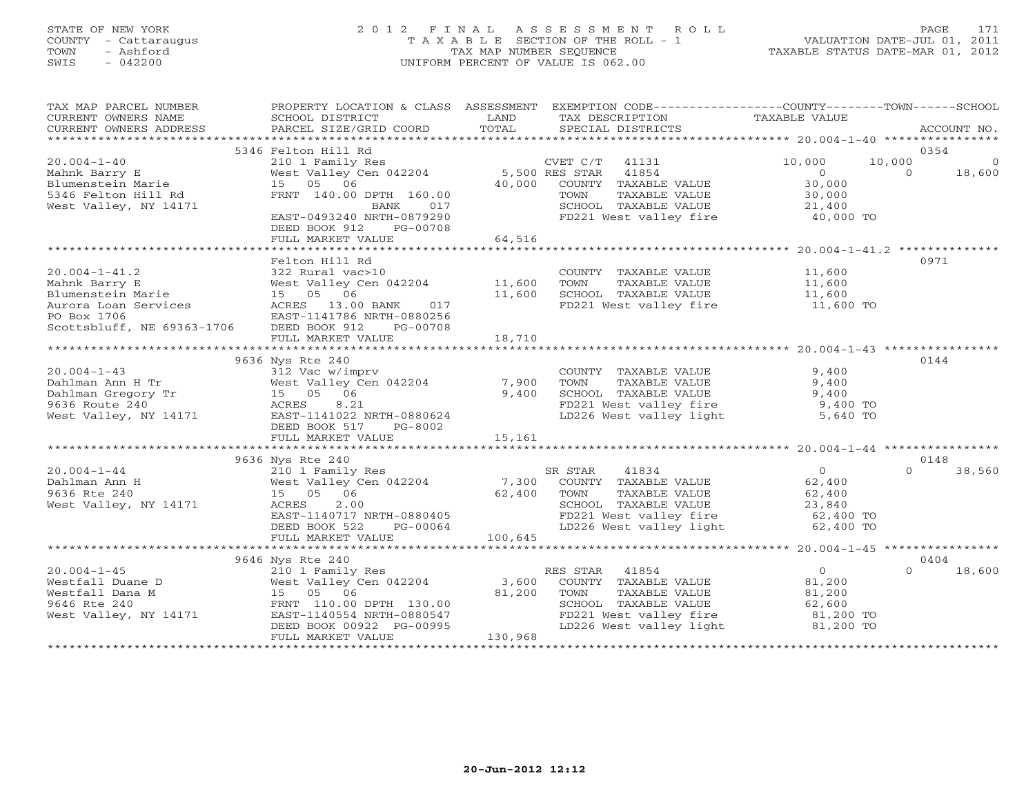# STATE OF NEW YORK 2 0 1 2 F I N A L A S S E S S M E N T R O L L PAGE 171 COUNTY - Cattaraugus T A X A B L E SECTION OF THE ROLL - 1 VALUATION DATE-JUL 01, 2011 TOWN - Ashford TAX MAP NUMBER SEQUENCE TAXABLE STATUS DATE-MAR 01, 2012 SWIS - 042200 UNIFORM PERCENT OF VALUE IS 062.00UNIFORM PERCENT OF VALUE IS 062.00

| TAX MAP PARCEL NUMBER<br>CURRENT OWNERS NAME<br>CURRENT OWNERS ADDRESS | PROPERTY LOCATION & CLASS ASSESSMENT EXEMPTION CODE---------------COUNTY-------TOWN------SCHOOL<br>SCHOOL DISTRICT<br>PARCEL SIZE/GRID COORD | LAND<br>TOTAL | TAX DESCRIPTION<br>SERCIAL DISTRICTS<br>SPECIAL DISTRICTS             |                      | ACCOUNT NO.        |
|------------------------------------------------------------------------|----------------------------------------------------------------------------------------------------------------------------------------------|---------------|-----------------------------------------------------------------------|----------------------|--------------------|
|                                                                        |                                                                                                                                              |               |                                                                       |                      |                    |
|                                                                        | 5346 Felton Hill Rd                                                                                                                          |               |                                                                       |                      | 0354               |
| $20.004 - 1 - 40$                                                      | 210 1 Family Res                                                                                                                             |               | CVET $C/T$ 41131                                                      | 10,000               | 10,000<br>$\circ$  |
| Mahnk Barry E                                                          | West Valley Cen 042204 5,500 RES STAR                                                                                                        |               | 41854                                                                 | $\Omega$             | 18,600<br>$\Omega$ |
| Blumenstein Marie                                                      | 15 05 06                                                                                                                                     | 40,000        | COUNTY TAXABLE VALUE                                                  | 30,000               |                    |
| 5346 Felton Hill Rd                                                    | FRNT 140.00 DPTH 160.00                                                                                                                      |               | TOWN<br>TAXABLE VALUE                                                 | 30,000               |                    |
| West Valley, NY 14171                                                  | BANK<br>017                                                                                                                                  |               | SCHOOL TAXABLE VALUE                                                  | 21,400               |                    |
|                                                                        | EAST-0493240 NRTH-0879290<br>DEED BOOK 912<br>PG-00708                                                                                       |               | FD221 West valley fire 40,000 TO                                      |                      |                    |
|                                                                        | FULL MARKET VALUE                                                                                                                            | 64,516        |                                                                       |                      |                    |
|                                                                        |                                                                                                                                              |               |                                                                       |                      |                    |
|                                                                        | Felton Hill Rd                                                                                                                               |               |                                                                       |                      | 0971               |
| $20.004 - 1 - 41.2$                                                    | 322 Rural vac>10                                                                                                                             |               | COUNTY TAXABLE VALUE                                                  | 11,600               |                    |
| Mahnk Barry E                                                          | West Valley Cen 042204 11,600                                                                                                                |               | TOWN<br>TAXABLE VALUE                                                 | 11,600               |                    |
| Blumenstein Marie                                                      | 15 05 06                                                                                                                                     | 11,600        | SCHOOL TAXABLE VALUE                                                  | 11,600               |                    |
| Aurora Loan Services                                                   | 017                                                                                                                                          |               | FD221 West valley fire 11,600 TO                                      |                      |                    |
| PO Box 1706                                                            | EAST-1141786 NRTH-0880256                                                                                                                    |               |                                                                       |                      |                    |
| Scottsbluff, NE 69363-1706                                             | DEED BOOK 912<br>PG-00708                                                                                                                    |               |                                                                       |                      |                    |
|                                                                        |                                                                                                                                              |               |                                                                       |                      |                    |
|                                                                        |                                                                                                                                              |               |                                                                       |                      |                    |
|                                                                        | 9636 Nys Rte 240                                                                                                                             |               |                                                                       |                      | 0144               |
| $20.004 - 1 - 43$                                                      | 312 Vac w/imprv                                                                                                                              |               | COUNTY TAXABLE VALUE                                                  | 9,400                |                    |
| Dahlman Ann H Tr                                                       | West Valley Cen 042204                                                                                                                       | 7,900         | TOWN<br>TAXABLE VALUE                                                 | 9,400                |                    |
| Dahlman Gregory Tr                                                     | 15 05 06                                                                                                                                     | 9,400         | SCHOOL TAXABLE VALUE                                                  | 9,400                |                    |
| 9636 Route 240                                                         | 8.21<br>ACRES                                                                                                                                |               | FD221 West valley fire 9,400 TO<br>LD226 West valley light 5,640 TO   |                      |                    |
| West Valley, NY 14171                                                  | EAST-1141022 NRTH-0880624                                                                                                                    |               |                                                                       |                      |                    |
|                                                                        | DEED BOOK 517<br>PG-8002                                                                                                                     |               |                                                                       |                      |                    |
|                                                                        | FULL MARKET VALUE                                                                                                                            | 15,161        |                                                                       |                      |                    |
|                                                                        |                                                                                                                                              |               |                                                                       |                      |                    |
|                                                                        | 9636 Nys Rte 240                                                                                                                             |               |                                                                       |                      | 0148               |
| $20.004 - 1 - 44$                                                      | 210 1 Family Res                                                                                                                             |               | SR STAR<br>41834                                                      | $\overline{0}$       | $\Omega$<br>38,560 |
| Dahlman Ann H                                                          | West Valley Cen 042204                                                                                                                       | 7,300         | COUNTY TAXABLE VALUE                                                  | 62,400               |                    |
| 9636 Rte 240                                                           | 15 05 06                                                                                                                                     | 62,400        | TOWN<br>TAXABLE VALUE                                                 | 62,400               |                    |
| West Valley, NY 14171                                                  | ACRES<br>2.00                                                                                                                                |               | SCHOOL TAXABLE VALUE                                                  | $23,01$<br>62,400 TO |                    |
|                                                                        | EAST-1140717 NRTH-0880405                                                                                                                    |               | FD221 West valley fire 62,400 TO<br>LD226 West valley light 62,400 TO |                      |                    |
|                                                                        | DEED BOOK 522<br>PG-00064                                                                                                                    |               |                                                                       |                      |                    |
|                                                                        | FULL MARKET VALUE                                                                                                                            | 100,645       |                                                                       |                      |                    |
|                                                                        |                                                                                                                                              |               |                                                                       |                      |                    |
|                                                                        | 9646 Nys Rte 240                                                                                                                             |               |                                                                       |                      | 0404               |
| $20.004 - 1 - 45$                                                      | 210 1 Family Res<br>West Valley Cen 042204                                                                                                   |               | RES STAR<br>41854                                                     | $\overline{0}$       | 18,600<br>$\Omega$ |
| Westfall Duane D                                                       |                                                                                                                                              | 3,600         | COUNTY TAXABLE VALUE                                                  | 81,200               |                    |
| Westfall Dana M                                                        | 15 05 06                                                                                                                                     | 81,200        | TOWN<br>TAXABLE VALUE                                                 | 81,200               |                    |
| 9646 Rte 240                                                           | FRNT 110.00 DPTH 130.00                                                                                                                      |               | SCHOOL TAXABLE VALUE                                                  | 62,600               |                    |
| West Valley, NY 14171                                                  | EAST-1140554 NRTH-0880547                                                                                                                    |               | FD221 West valley fire                                                | 81,200 TO            |                    |
|                                                                        | DEED BOOK 00922 PG-00995                                                                                                                     |               | LD226 West valley light                                               | 81,200 TO            |                    |
|                                                                        | FULL MARKET VALUE                                                                                                                            | 130,968       |                                                                       |                      |                    |
|                                                                        |                                                                                                                                              |               |                                                                       |                      |                    |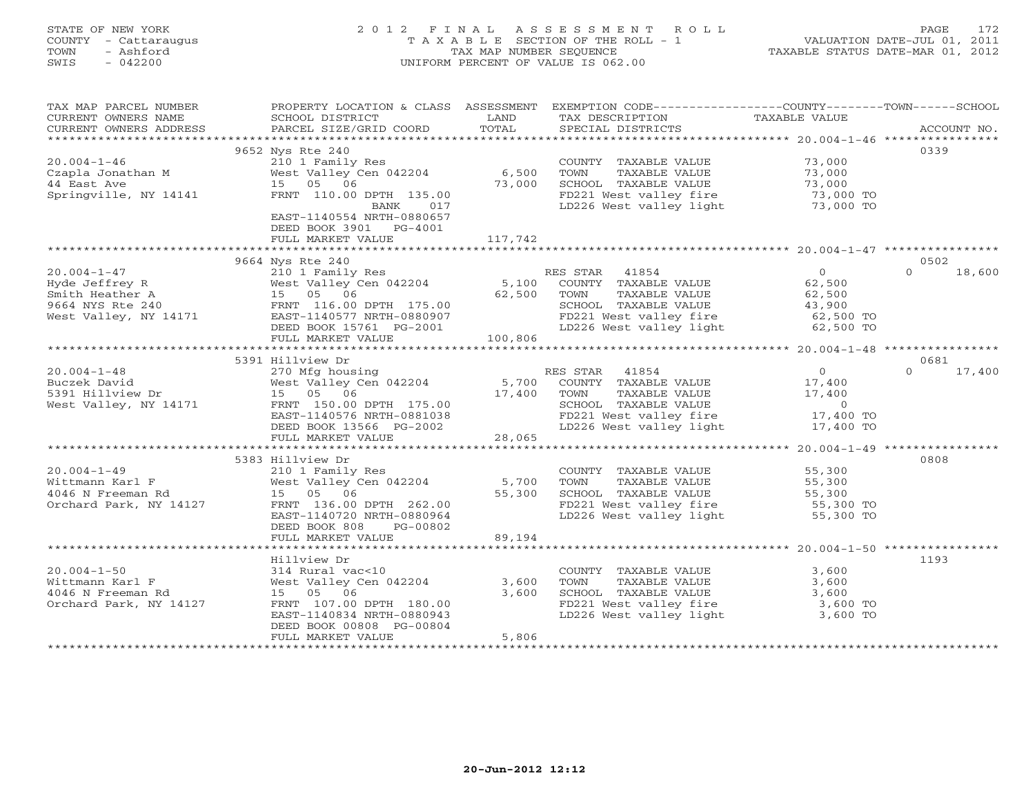# STATE OF NEW YORK 2 0 1 2 F I N A L A S S E S S M E N T R O L L PAGE 172 COUNTY - Cattaraugus T A X A B L E SECTION OF THE ROLL - 1 VALUATION DATE-JUL 01, 2011 TOWN - Ashford TAX MAP NUMBER SEQUENCE TAXABLE STATUS DATE-MAR 01, 2012 SWIS - 042200 UNIFORM PERCENT OF VALUE IS 062.00UNIFORM PERCENT OF VALUE IS 062.00

| TAX MAP PARCEL NUMBER  | PROPERTY LOCATION & CLASS ASSESSMENT |         | EXEMPTION CODE-----------------COUNTY-------TOWN------SCHOOL |                     |                    |
|------------------------|--------------------------------------|---------|--------------------------------------------------------------|---------------------|--------------------|
| CURRENT OWNERS NAME    | SCHOOL DISTRICT                      | LAND    | TAX DESCRIPTION                                              | TAXABLE VALUE       |                    |
| CURRENT OWNERS ADDRESS | PARCEL SIZE/GRID COORD               | TOTAL   | SPECIAL DISTRICTS                                            |                     | ACCOUNT NO.        |
|                        |                                      |         |                                                              |                     |                    |
|                        | 9652 Nys Rte 240                     |         |                                                              |                     | 0339               |
| $20.004 - 1 - 46$      | 210 1 Family Res                     |         | COUNTY TAXABLE VALUE                                         | 73,000              |                    |
| Czapla Jonathan M      | West Valley Cen 042204               | 6,500   | TOWN<br>TAXABLE VALUE                                        | 73,000              |                    |
| 44 East Ave            | 15 05 06                             | 73,000  | SCHOOL TAXABLE VALUE                                         | 73,000              |                    |
| Springville, NY 14141  | FRNT 110.00 DPTH 135.00              |         | FD221 West valley fire                                       | 73,000 TO           |                    |
|                        | BANK<br>017                          |         | LD226 West valley light 73,000 TO                            |                     |                    |
|                        | EAST-1140554 NRTH-0880657            |         |                                                              |                     |                    |
|                        | DEED BOOK 3901 PG-4001               |         |                                                              |                     |                    |
|                        | FULL MARKET VALUE                    | 117,742 |                                                              |                     |                    |
|                        |                                      |         |                                                              |                     |                    |
|                        | 9664 Nys Rte 240                     |         |                                                              |                     | 0502               |
| $20.004 - 1 - 47$      | 210 1 Family Res                     |         | RES STAR 41854                                               | $\overline{0}$      | $\Omega$<br>18,600 |
| Hyde Jeffrey R         | West Valley Cen 042204               |         | 5,100 COUNTY TAXABLE VALUE                                   | 62,500              |                    |
| Smith Heather A        |                                      | 62,500  | TAXABLE VALUE<br>TOWN                                        | 62,500              |                    |
| 9664 NYS Rte 240       | 15 05 06<br>FRNT 116.00 DPTH 175.00  |         | SCHOOL TAXABLE VALUE                                         | 43,900              |                    |
| West Valley, NY 14171  | EAST-1140577 NRTH-0880907            |         |                                                              | 62,500 TO           |                    |
|                        | DEED BOOK 15761 PG-2001              |         | FD221 West valley fire<br>LD226 West valley light            | 62,500 TO           |                    |
|                        | FULL MARKET VALUE                    | 100,806 |                                                              |                     |                    |
|                        |                                      |         |                                                              |                     |                    |
|                        | 5391 Hillview Dr                     |         |                                                              |                     | 0681               |
| $20.004 - 1 - 48$      | 270 Mfg housing                      |         | RES STAR 41854                                               | $\overline{0}$      | 17,400<br>$\Omega$ |
| Buczek David           | West Valley Cen 042204               |         | 5,700 COUNTY TAXABLE VALUE                                   | 17,400              |                    |
| 5391 Hillview Dr       | West vailey (1980)<br>15 05 06       | 17,400  | TOWN<br>TAXABLE VALUE                                        | 17,400              |                    |
| West Valley, NY 14171  | FRNT 150.00 DPTH 175.00              |         | SCHOOL TAXABLE VALUE                                         | $\overline{0}$      |                    |
|                        | EAST-1140576 NRTH-0881038            |         | FD221 West valley fire                                       | 17,400 TO           |                    |
|                        | DEED BOOK 13566 PG-2002              |         | LD226 West valley light                                      | 17,400 TO           |                    |
|                        | FULL MARKET VALUE                    | 28,065  |                                                              |                     |                    |
|                        |                                      |         |                                                              |                     |                    |
|                        | 5383 Hillview Dr                     |         |                                                              |                     | 0808               |
| $20.004 - 1 - 49$      | 210 1 Family Res                     |         | COUNTY TAXABLE VALUE                                         | 55,300              |                    |
| Wittmann Karl F        | West Valley Cen 042204 5,700         |         | TAXABLE VALUE<br>TOWN                                        | 55,300              |                    |
| 4046 N Freeman Rd      | 15 05 06                             | 55,300  | SCHOOL TAXABLE VALUE                                         |                     |                    |
| Orchard Park, NY 14127 | FRNT 136.00 DPTH 262.00              |         | Noncon Thanbur VALUE<br>FD221 West valley fire               | 55,300<br>55,300 TO |                    |
|                        | EAST-1140720 NRTH-0880964            |         | LD226 West valley light                                      | 55,300 TO           |                    |
|                        | DEED BOOK 808<br>PG-00802            |         |                                                              |                     |                    |
|                        | FULL MARKET VALUE                    | 89,194  |                                                              |                     |                    |
|                        |                                      |         |                                                              |                     |                    |
|                        | Hillview Dr                          |         |                                                              |                     | 1193               |
| $20.004 - 1 - 50$      | 314 Rural vac<10                     |         | COUNTY TAXABLE VALUE                                         | 3,600               |                    |
| Wittmann Karl F        | West Valley Cen 042204               | 3,600   | TOWN<br>TAXABLE VALUE                                        | 3,600               |                    |
| 4046 N Freeman Rd      | 15 05 06                             | 3,600   | SCHOOL TAXABLE VALUE                                         | 3,600               |                    |
| Orchard Park, NY 14127 | FRNT 107.00 DPTH 180.00              |         |                                                              | 3,600 TO            |                    |
|                        | EAST-1140834 NRTH-0880943            |         | FD221 West valley fire<br>LD226 West valley light            | 3,600 TO            |                    |
|                        | DEED BOOK 00808 PG-00804             |         |                                                              |                     |                    |
|                        | FULL MARKET VALUE                    | 5,806   |                                                              |                     |                    |
|                        |                                      |         |                                                              |                     |                    |
|                        |                                      |         |                                                              |                     |                    |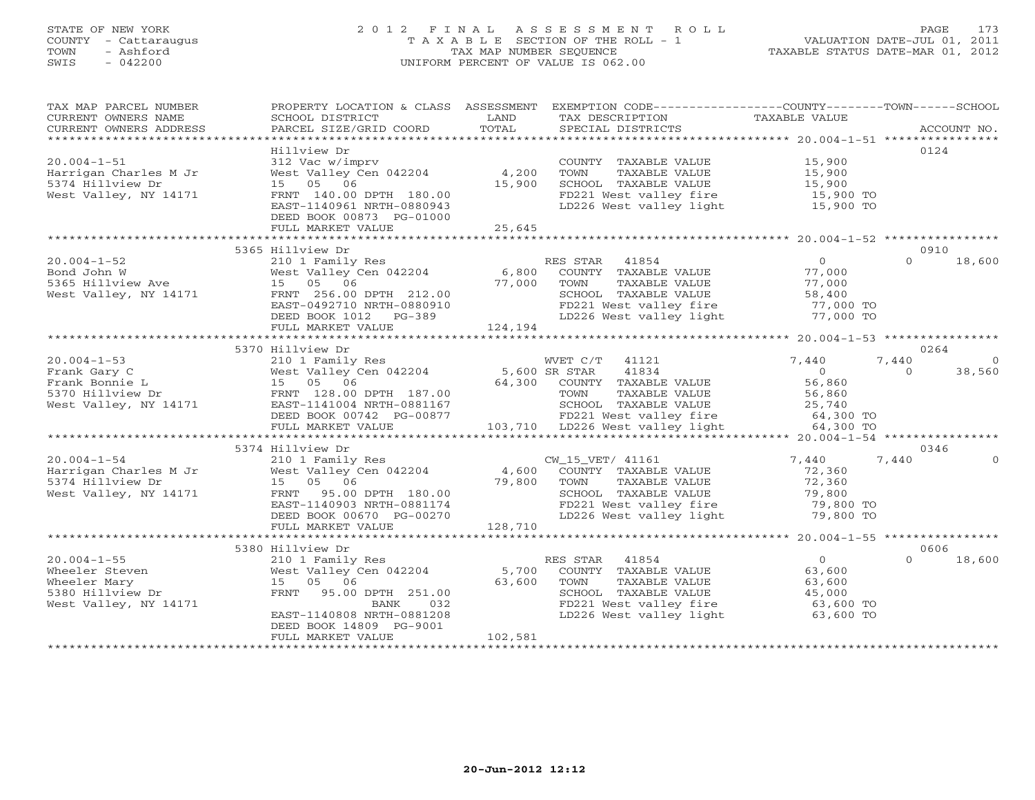## STATE OF NEW YORK 2 0 1 2 F I N A L A S S E S S M E N T R O L L PAGE 173 COUNTY - Cattaraugus T A X A B L E SECTION OF THE ROLL - 1 VALUATION DATE-JUL 01, 2011 TOWN - Ashford TAX MAP NUMBER SEQUENCE TAXABLE STATUS DATE-MAR 01, 2012 SWIS - 042200 UNIFORM PERCENT OF VALUE IS 062.00UNIFORM PERCENT OF VALUE IS 062.00

| TAX MAP PARCEL NUMBER<br>CURRENT OWNERS NAME<br>CURRENT OWNERS ADDRESS | PROPERTY LOCATION & CLASS ASSESSMENT<br>SCHOOL DISTRICT<br>PARCEL SIZE/GRID COORD | LAND<br>TOTAL | EXEMPTION CODE-----------------COUNTY-------TOWN------SCHOOL<br>TAX DESCRIPTION<br>SPECIAL DISTRICTS | <b>TAXABLE VALUE</b>     | ACCOUNT NO.        |
|------------------------------------------------------------------------|-----------------------------------------------------------------------------------|---------------|------------------------------------------------------------------------------------------------------|--------------------------|--------------------|
|                                                                        |                                                                                   |               |                                                                                                      |                          |                    |
|                                                                        | Hillview Dr                                                                       |               |                                                                                                      |                          | 0124               |
| $20.004 - 1 - 51$                                                      | 312 Vac w/imprv                                                                   |               | COUNTY TAXABLE VALUE                                                                                 | 15,900                   |                    |
| Harrigan Charles M Jr                                                  | West Valley Cen 042204                                                            | 4,200         | TOWN<br>TAXABLE VALUE                                                                                | 15,900                   |                    |
| 5374 Hillview Dr                                                       | 15 05 06                                                                          | 15,900        | SCHOOL TAXABLE VALUE                                                                                 | 15,900                   |                    |
| West Valley, NY 14171                                                  | FRNT 140.00 DPTH 180.00<br>EAST-1140961 NRTH-0880943                              |               | FD221 West valley fire<br>LD226 West valley light                                                    | 15,900 TO<br>15,900 TO   |                    |
|                                                                        | DEED BOOK 00873 PG-01000                                                          |               |                                                                                                      |                          |                    |
|                                                                        | FULL MARKET VALUE                                                                 | 25,645        |                                                                                                      |                          |                    |
|                                                                        |                                                                                   |               |                                                                                                      |                          |                    |
|                                                                        | 5365 Hillview Dr                                                                  |               |                                                                                                      |                          | 0910               |
| $20.004 - 1 - 52$                                                      | 210 1 Family Res                                                                  |               | RES STAR<br>41854                                                                                    | $\Omega$                 | $\Omega$<br>18,600 |
| Bond John W                                                            | West Valley Cen 042204                                                            | 6,800         | COUNTY TAXABLE VALUE                                                                                 | 77,000                   |                    |
| 5365 Hillview Ave                                                      | 15 05 06                                                                          | 77,000        | TOWN<br>TAXABLE VALUE                                                                                | 77,000                   |                    |
| West Valley, NY 14171                                                  | FRNT 256.00 DPTH 212.00                                                           |               | SCHOOL TAXABLE VALUE                                                                                 | 58,400                   |                    |
|                                                                        | EAST-0492710 NRTH-0880910                                                         |               | FD221 West valley fire                                                                               | 77,000 TO                |                    |
|                                                                        | DEED BOOK 1012 PG-389                                                             |               | LD226 West valley light                                                                              | 77,000 TO                |                    |
|                                                                        | FULL MARKET VALUE                                                                 | 124, 194      |                                                                                                      |                          |                    |
|                                                                        |                                                                                   |               |                                                                                                      |                          |                    |
|                                                                        | 5370 Hillview Dr                                                                  |               |                                                                                                      |                          | 0264               |
| $20.004 - 1 - 53$                                                      | 210 1 Family Res                                                                  |               | WVET C/T 41121                                                                                       | 7,440                    | 7,440<br>$\Omega$  |
| Frank Gary C                                                           | West Valley Cen 042204                                                            | 5,600 SR STAR | 41834                                                                                                | $\Omega$                 | 38,560<br>$\Omega$ |
| Frank Bonnie L                                                         | 15 05 06                                                                          | 64,300        | COUNTY TAXABLE VALUE                                                                                 | 56,860                   |                    |
| 5370 Hillview Dr<br>West Valley, NY 14171                              | FRNT 128.00 DPTH 187.00                                                           |               | TOWN<br>TAXABLE VALUE                                                                                | 56,860                   |                    |
|                                                                        | EAST-1141004 NRTH-0881167                                                         |               | SCHOOL TAXABLE VALUE                                                                                 | 25,740                   |                    |
|                                                                        | DEED BOOK 00742 PG-00877                                                          |               | 5-00877 FD221 West valley fire 64,300 TO<br>103,710 LD226 West valley light 64,300 TO                |                          |                    |
|                                                                        | FULL MARKET VALUE                                                                 |               |                                                                                                      |                          |                    |
|                                                                        |                                                                                   |               |                                                                                                      |                          |                    |
|                                                                        | 5374 Hillview Dr                                                                  |               |                                                                                                      |                          | 0346               |
| $20.004 - 1 - 54$                                                      | 210 1 Family Res                                                                  |               | CW_15_VET/ 41161                                                                                     | 7,440                    | 7,440<br>$\Omega$  |
| Harrigan Charles M Jr                                                  | West Valley Cen 042204                                                            | 4,600         | COUNTY TAXABLE VALUE                                                                                 | 72,360                   |                    |
| 5374 Hillview Dr                                                       | 15 05 06                                                                          | 79,800        | TOWN<br>TAXABLE VALUE                                                                                | 72,360                   |                    |
| West Valley, NY 14171                                                  | FRNT 95.00 DPTH 180.00<br>EAST-1140903 NRTH-0881174                               |               | SCHOOL TAXABLE VALUE<br>FD221 West valley fire                                                       | 79,800<br>79,800 TO      |                    |
|                                                                        | DEED BOOK 00670 PG-00270                                                          |               | LD226 West valley light                                                                              | 79,800 TO                |                    |
|                                                                        | FULL MARKET VALUE                                                                 | 128,710       |                                                                                                      |                          |                    |
|                                                                        |                                                                                   |               |                                                                                                      |                          |                    |
|                                                                        | 5380 Hillview Dr                                                                  |               |                                                                                                      |                          | 0606               |
| $20.004 - 1 - 55$                                                      | 210 1 Family Res                                                                  |               | RES STAR 41854                                                                                       | $\overline{O}$           | $\Omega$<br>18,600 |
| Wheeler Steven                                                         | West Valley Cen 042204                                                            | 5,700         | COUNTY TAXABLE VALUE                                                                                 | 63,600                   |                    |
| Wheeler Mary                                                           | 15 05 06                                                                          | 63,600        | TOWN<br>TAXABLE VALUE                                                                                | 63,600                   |                    |
| 5380 Hillview Dr                                                       | FRNT<br>95.00 DPTH 251.00                                                         |               | SCHOOL TAXABLE VALUE                                                                                 |                          |                    |
| West Valley, NY 14171                                                  | BANK<br>032                                                                       |               | FD221 West valley fire                                                                               | $45,000$ TO<br>63,600 TO |                    |
|                                                                        | EAST-1140808 NRTH-0881208                                                         |               | LD226 West valley light 63,600 TO                                                                    |                          |                    |
|                                                                        | DEED BOOK 14809 PG-9001                                                           |               |                                                                                                      |                          |                    |
|                                                                        | FULL MARKET VALUE                                                                 | 102,581       |                                                                                                      |                          |                    |
|                                                                        |                                                                                   |               |                                                                                                      |                          |                    |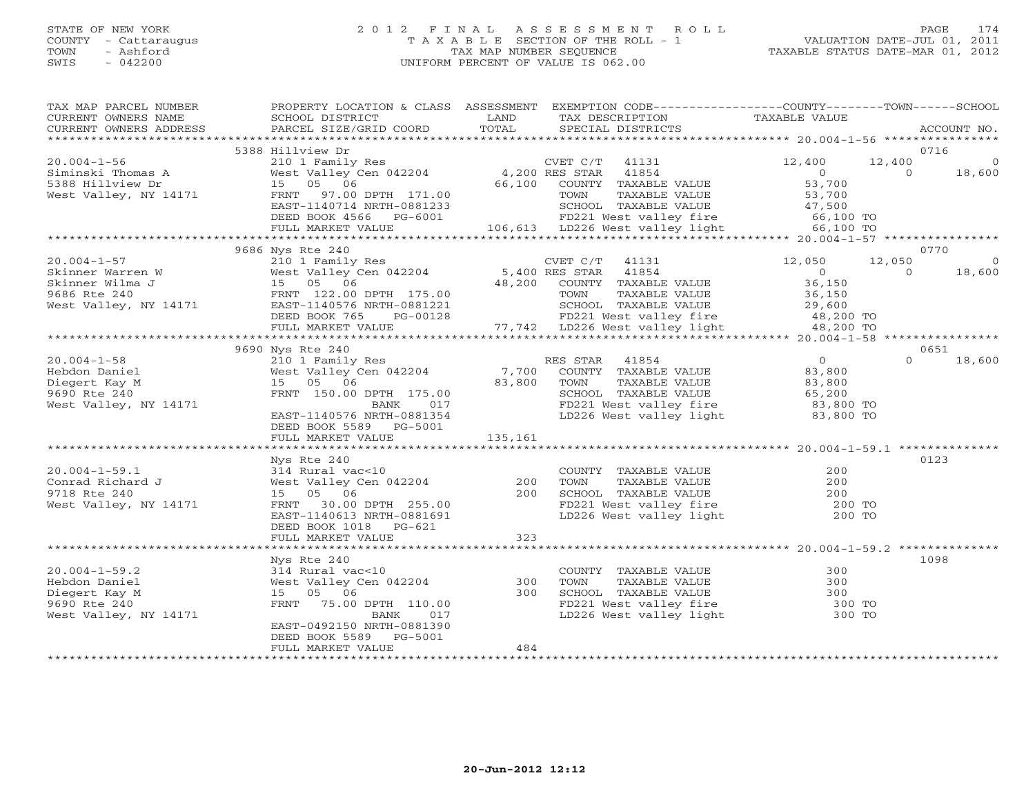## STATE OF NEW YORK 2 0 1 2 F I N A L A S S E S S M E N T R O L L PAGE 174 COUNTY - Cattaraugus T A X A B L E SECTION OF THE ROLL - 1 VALUATION DATE-JUL 01, 2011 TOWN - Ashford TAX MAP NUMBER SEQUENCE TAXABLE STATUS DATE-MAR 01, 2012 SWIS - 042200 UNIFORM PERCENT OF VALUE IS 062.00UNIFORM PERCENT OF VALUE IS 062.00

| TAX MAP PARCEL NUMBER<br>CURRENT OWNERS NAME<br>CURRENT OWNERS ADDRESS                                                                                                                                                                                                                                                                                                                                       | SCHOOL DISTRICT<br>PARCEL SIZE/GRID COORD                                                                                                                                                                                                                                                           | LAND<br>TOTAL | PROPERTY LOCATION & CLASS ASSESSMENT EXEMPTION CODE---------------COUNTY-------TOWN------SCHOOL<br>TAX DESCRIPTION<br>SPECIAL DISTRICTS | TAXABLE VALUE       | ACCOUNT NO.        |
|--------------------------------------------------------------------------------------------------------------------------------------------------------------------------------------------------------------------------------------------------------------------------------------------------------------------------------------------------------------------------------------------------------------|-----------------------------------------------------------------------------------------------------------------------------------------------------------------------------------------------------------------------------------------------------------------------------------------------------|---------------|-----------------------------------------------------------------------------------------------------------------------------------------|---------------------|--------------------|
|                                                                                                                                                                                                                                                                                                                                                                                                              |                                                                                                                                                                                                                                                                                                     |               |                                                                                                                                         |                     |                    |
|                                                                                                                                                                                                                                                                                                                                                                                                              | 5388 Hillview Dr                                                                                                                                                                                                                                                                                    |               |                                                                                                                                         |                     | 0716               |
| $20.004 - 1 - 56$                                                                                                                                                                                                                                                                                                                                                                                            | $\begin{array}{ccc}\n- & \text{F}\text{curl} & \text{F}\text{res} & & & \text{CVET C/T} \\ \text{West Valley Cen 042204} & & 4,200 \text{ RES STAR} & \\ 15 & 05 & 06 & 66,100 & 222 \\ \text{FRNT} & & 07,22 & 222 \\ \text{FRRT} & & 01 & 01 & 01 \\ \text{FRRT} & & 01 & 01 & 01 \\ \end{array}$ |               | CVET $C/T$ 41131                                                                                                                        | 12,400              | 12,400<br>0        |
| Siminski Thomas A                                                                                                                                                                                                                                                                                                                                                                                            |                                                                                                                                                                                                                                                                                                     |               | 41854                                                                                                                                   | $\overline{0}$      | $\Omega$<br>18,600 |
| 5388 Hillview Dr                                                                                                                                                                                                                                                                                                                                                                                             |                                                                                                                                                                                                                                                                                                     |               | 66,100 COUNTY TAXABLE VALUE                                                                                                             | 53,700              |                    |
| West Valley, NY 14171                                                                                                                                                                                                                                                                                                                                                                                        |                                                                                                                                                                                                                                                                                                     |               |                                                                                                                                         |                     |                    |
|                                                                                                                                                                                                                                                                                                                                                                                                              | FRNT 97.00 DPTH 171.00<br>EAST-1140714 NRTH-0881233<br>DEED BOOK 4566 PG-6001 POWN TAXABLE VALUE 47,500<br>FULL MARKET VALUE 106,613 LD226 West valley light 66,100 TO                                                                                                                              |               |                                                                                                                                         | 47,500<br>66,100 TO |                    |
|                                                                                                                                                                                                                                                                                                                                                                                                              |                                                                                                                                                                                                                                                                                                     |               |                                                                                                                                         |                     |                    |
|                                                                                                                                                                                                                                                                                                                                                                                                              |                                                                                                                                                                                                                                                                                                     |               |                                                                                                                                         |                     |                    |
|                                                                                                                                                                                                                                                                                                                                                                                                              | 9686 Nys Rte 240                                                                                                                                                                                                                                                                                    |               |                                                                                                                                         |                     | 0770               |
|                                                                                                                                                                                                                                                                                                                                                                                                              |                                                                                                                                                                                                                                                                                                     |               |                                                                                                                                         |                     | 12,050<br>$\circ$  |
|                                                                                                                                                                                                                                                                                                                                                                                                              |                                                                                                                                                                                                                                                                                                     |               |                                                                                                                                         |                     | $\Omega$           |
|                                                                                                                                                                                                                                                                                                                                                                                                              |                                                                                                                                                                                                                                                                                                     |               |                                                                                                                                         |                     | 18,600             |
|                                                                                                                                                                                                                                                                                                                                                                                                              |                                                                                                                                                                                                                                                                                                     |               |                                                                                                                                         |                     |                    |
|                                                                                                                                                                                                                                                                                                                                                                                                              |                                                                                                                                                                                                                                                                                                     |               |                                                                                                                                         |                     |                    |
|                                                                                                                                                                                                                                                                                                                                                                                                              |                                                                                                                                                                                                                                                                                                     |               |                                                                                                                                         |                     |                    |
|                                                                                                                                                                                                                                                                                                                                                                                                              |                                                                                                                                                                                                                                                                                                     |               |                                                                                                                                         |                     |                    |
|                                                                                                                                                                                                                                                                                                                                                                                                              |                                                                                                                                                                                                                                                                                                     |               |                                                                                                                                         |                     |                    |
| $\begin{tabular}{lllllllllllll} 20.004-1-57 & \mbox{\sc A}x\mbox{\sc in} & \mbox{\sc A}x\mbox{\sc in} & \mbox{\sc A}x\mbox{\sc in} & \mbox{\sc A}x\mbox{\sc in} & \mbox{\sc A}x\mbox{\sc in} & \mbox{\sc A}x\mbox{\sc in} & \mbox{\sc A}x\mbox{\sc in} & \mbox{\sc A}x\mbox{\sc in} & \mbox{\sc A}x\mbox{\sc in} & \mbox{\sc A}x\mbox{\sc in} & \mbox{\sc A}x\mbox{\sc in} & \mbox{\sc A}x\mbox{\sc in} & \$ |                                                                                                                                                                                                                                                                                                     |               |                                                                                                                                         |                     | 0651               |
| $20.004 - 1 - 58$                                                                                                                                                                                                                                                                                                                                                                                            |                                                                                                                                                                                                                                                                                                     |               |                                                                                                                                         | $\overline{0}$      | $\Omega$<br>18,600 |
| Hebdon Daniel                                                                                                                                                                                                                                                                                                                                                                                                |                                                                                                                                                                                                                                                                                                     |               |                                                                                                                                         | 83,800<br>83,800    |                    |
| Diegert Kay M                                                                                                                                                                                                                                                                                                                                                                                                |                                                                                                                                                                                                                                                                                                     | 83,800        | TAXABLE VALUE                                                                                                                           |                     |                    |
| 9690 Rte 240                                                                                                                                                                                                                                                                                                                                                                                                 | FRNT 150.00 DPTH 175.00                                                                                                                                                                                                                                                                             |               | SCHOOL TAXABLE VALUE                                                                                                                    |                     |                    |
| West Valley, NY 14171                                                                                                                                                                                                                                                                                                                                                                                        | BANK 017                                                                                                                                                                                                                                                                                            |               | FD221 West valley fire                                                                                                                  | 65,200<br>83,800 TO |                    |
|                                                                                                                                                                                                                                                                                                                                                                                                              | EAST-1140576 NRTH-0881354                                                                                                                                                                                                                                                                           |               | LD226 West valley light 83,800 TO                                                                                                       |                     |                    |
|                                                                                                                                                                                                                                                                                                                                                                                                              | DEED BOOK 5589 PG-5001                                                                                                                                                                                                                                                                              |               |                                                                                                                                         |                     |                    |
|                                                                                                                                                                                                                                                                                                                                                                                                              | FULL MARKET VALUE                                                                                                                                                                                                                                                                                   | 135,161       |                                                                                                                                         |                     |                    |
|                                                                                                                                                                                                                                                                                                                                                                                                              |                                                                                                                                                                                                                                                                                                     |               |                                                                                                                                         |                     |                    |
|                                                                                                                                                                                                                                                                                                                                                                                                              | Nys Rte 240                                                                                                                                                                                                                                                                                         |               |                                                                                                                                         |                     | 0123               |
| $20.004 - 1 - 59.1$                                                                                                                                                                                                                                                                                                                                                                                          | 314 Rural vac<10                                                                                                                                                                                                                                                                                    |               | COUNTY TAXABLE VALUE                                                                                                                    | 200                 |                    |
| Conrad Richard J                                                                                                                                                                                                                                                                                                                                                                                             | West Valley Cen 042204                                                                                                                                                                                                                                                                              | 200           | TAXABLE VALUE<br>TOWN                                                                                                                   | 200                 |                    |
| 9718 Rte 240                                                                                                                                                                                                                                                                                                                                                                                                 | 15 05 06                                                                                                                                                                                                                                                                                            | 200           | SCHOOL TAXABLE VALUE                                                                                                                    | $200$<br>$200$ TO   |                    |
| West Valley, NY 14171                                                                                                                                                                                                                                                                                                                                                                                        | FRNT 30.00 DPTH 255.00                                                                                                                                                                                                                                                                              |               | FD221 West valley fire 300 TO<br>LD226 West valley light 300 TO                                                                         |                     |                    |
|                                                                                                                                                                                                                                                                                                                                                                                                              | EAST-1140613 NRTH-0881691                                                                                                                                                                                                                                                                           |               |                                                                                                                                         |                     |                    |
|                                                                                                                                                                                                                                                                                                                                                                                                              | DEED BOOK 1018<br>PG-621                                                                                                                                                                                                                                                                            |               |                                                                                                                                         |                     |                    |
|                                                                                                                                                                                                                                                                                                                                                                                                              | FULL MARKET VALUE                                                                                                                                                                                                                                                                                   | 323           |                                                                                                                                         |                     |                    |
|                                                                                                                                                                                                                                                                                                                                                                                                              |                                                                                                                                                                                                                                                                                                     |               |                                                                                                                                         |                     |                    |
|                                                                                                                                                                                                                                                                                                                                                                                                              | Nys Rte 240                                                                                                                                                                                                                                                                                         |               |                                                                                                                                         |                     | 1098               |
| $20.004 - 1 - 59.2$                                                                                                                                                                                                                                                                                                                                                                                          | 314 Rural vac<10                                                                                                                                                                                                                                                                                    |               | COUNTY TAXABLE VALUE                                                                                                                    | 300                 |                    |
| Hebdon Daniel                                                                                                                                                                                                                                                                                                                                                                                                | West Valley Cen 042204                                                                                                                                                                                                                                                                              | 300           | TOWN<br>TAXABLE VALUE                                                                                                                   | 300                 |                    |
| Diegert Kay M                                                                                                                                                                                                                                                                                                                                                                                                | 15 05 06                                                                                                                                                                                                                                                                                            | 300           | SCHOOL TAXABLE VALUE                                                                                                                    | $\frac{300}{200}$   |                    |
| 9690 Rte 240                                                                                                                                                                                                                                                                                                                                                                                                 | FRNT<br>75.00 DPTH 110.00                                                                                                                                                                                                                                                                           |               | FD221 West valley fire 300 TO<br>LD226 West valley light 300 TO                                                                         |                     |                    |
| West Valley, NY 14171                                                                                                                                                                                                                                                                                                                                                                                        | BANK<br>017<br>EAST-0492150 NRTH-0881390                                                                                                                                                                                                                                                            |               |                                                                                                                                         |                     |                    |
|                                                                                                                                                                                                                                                                                                                                                                                                              | DEED BOOK 5589 PG-5001                                                                                                                                                                                                                                                                              |               |                                                                                                                                         |                     |                    |
|                                                                                                                                                                                                                                                                                                                                                                                                              | FULL MARKET VALUE                                                                                                                                                                                                                                                                                   | 484           |                                                                                                                                         |                     |                    |
|                                                                                                                                                                                                                                                                                                                                                                                                              |                                                                                                                                                                                                                                                                                                     |               | ********************************                                                                                                        |                     |                    |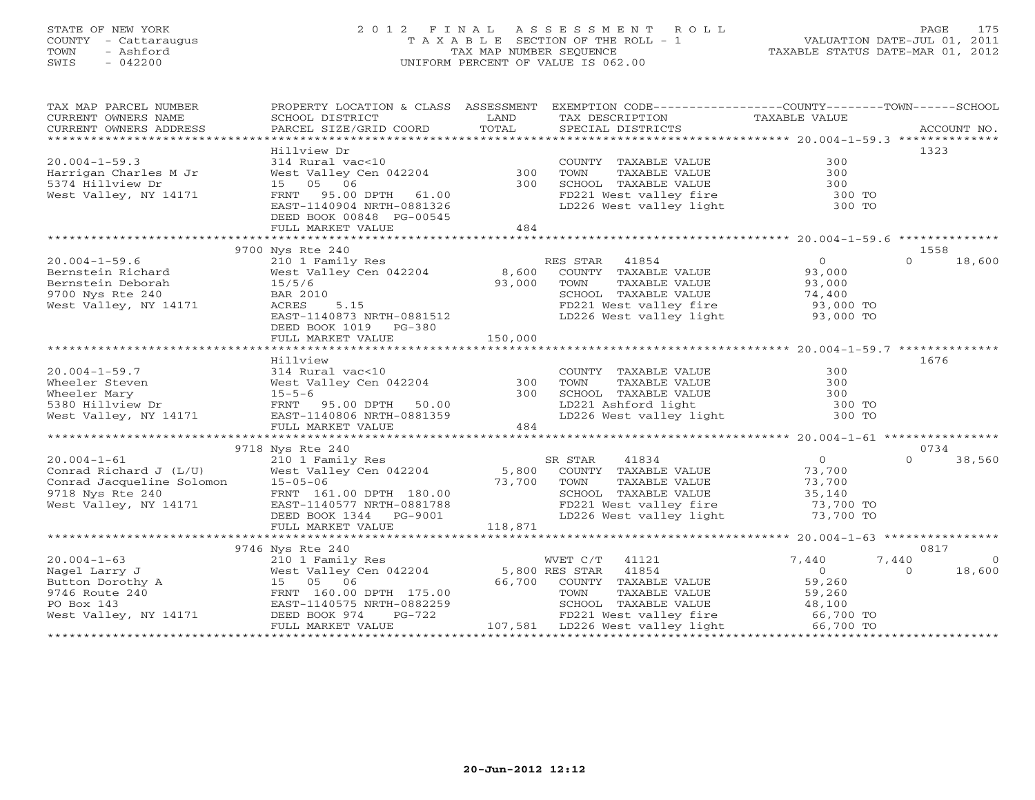## STATE OF NEW YORK 2 0 1 2 F I N A L A S S E S S M E N T R O L L PAGE 175 COUNTY - Cattaraugus T A X A B L E SECTION OF THE ROLL - 1 VALUATION DATE-JUL 01, 2011 TOWN - Ashford **TAX MAP NUMBER SEQUENCE** TAX TAXABLE STATUS DATE-MAR 01, 2012<br>TRIS - 042200 SWIS - 042200 UNIFORM PERCENT OF VALUE IS 062.00

| TAX MAP PARCEL NUMBER<br>CURRENT OWNERS NAME<br>CURRENT OWNERS ADDRESS                                    | SCHOOL DISTRICT<br>PARCEL SIZE/GRID COORD                       | LAND<br>TOTAL   | PROPERTY LOCATION & CLASS ASSESSMENT EXEMPTION CODE----------------COUNTY-------TOWN------SCHOOL<br>TAX DESCRIPTION<br>SPECIAL DISTRICTS | TAXABLE VALUE            | ACCOUNT NO.                |
|-----------------------------------------------------------------------------------------------------------|-----------------------------------------------------------------|-----------------|------------------------------------------------------------------------------------------------------------------------------------------|--------------------------|----------------------------|
|                                                                                                           |                                                                 |                 |                                                                                                                                          |                          |                            |
|                                                                                                           | Hillview Dr                                                     |                 |                                                                                                                                          |                          | 1323                       |
| $20.004 - 1 - 59.3$                                                                                       | 314 Rural vac<10                                                |                 | COUNTY TAXABLE VALUE                                                                                                                     | 300                      |                            |
| Harrigan Charles M Jr                                                                                     | West Valley Cen 042204                                          | 300             | TOWN<br>TAXABLE VALUE                                                                                                                    | 300                      |                            |
| 5374 Hillview Dr                                                                                          | 15 05 06                                                        | 300             | SCHOOL TAXABLE VALUE                                                                                                                     | 300                      |                            |
| West Valley, NY 14171                                                                                     | FRNT<br>95.00 DPTH 61.00                                        |                 | FD221 West valley fire                                                                                                                   | 300 TO                   |                            |
|                                                                                                           | EAST-1140904 NRTH-0881326                                       |                 | LD226 West valley light                                                                                                                  | 300 TO                   |                            |
|                                                                                                           | DEED BOOK 00848 PG-00545                                        |                 |                                                                                                                                          |                          |                            |
|                                                                                                           | FULL MARKET VALUE                                               | 484             |                                                                                                                                          |                          |                            |
|                                                                                                           |                                                                 |                 |                                                                                                                                          |                          |                            |
|                                                                                                           | 9700 Nys Rte 240                                                |                 |                                                                                                                                          |                          | 1558<br>$\Omega$           |
| $20.004 - 1 - 59.6$                                                                                       | 210 1 Family Res                                                |                 | RES STAR<br>41854                                                                                                                        | $\overline{0}$           | 18,600                     |
| Bernstein Richard                                                                                         | West Valley Cen 042204                                          | 8,600<br>93,000 | COUNTY TAXABLE VALUE                                                                                                                     |                          |                            |
| Bernstein Deborah                                                                                         | 15/5/6                                                          |                 | TOWN<br>TAXABLE VALUE<br>SCHOOL TAXABLE VALUE                                                                                            | 93, UU<br>93, 000<br>100 |                            |
| 9700 Nys Rte 240<br>West Valley, NY 14171                                                                 | BAR 2010<br>5.15<br>ACRES                                       |                 | SCHOOL TAXABLE VALUE<br>FD221 West valley fire                                                                                           | 74,400<br>93,000 TO      |                            |
|                                                                                                           | EAST-1140873 NRTH-0881512                                       |                 | LD226 West valley light 93,000 TO                                                                                                        |                          |                            |
|                                                                                                           | DEED BOOK 1019 PG-380                                           |                 |                                                                                                                                          |                          |                            |
|                                                                                                           | FULL MARKET VALUE                                               | 150,000         |                                                                                                                                          |                          |                            |
|                                                                                                           |                                                                 |                 |                                                                                                                                          |                          |                            |
|                                                                                                           | Hillview                                                        |                 |                                                                                                                                          |                          | 1676                       |
| $20.004 - 1 - 59.7$                                                                                       | 314 Rural vac<10                                                |                 | COUNTY TAXABLE VALUE                                                                                                                     | 300                      |                            |
| Verlative and the state of the Meeter Mary<br>Wheeler Mary 15-5-6<br>5380 Hillview Dr. (195.00 DPTH 50.00 |                                                                 | 300             | TAXABLE VALUE<br>TOWN                                                                                                                    | 300                      |                            |
|                                                                                                           |                                                                 | 300             | SCHOOL TAXABLE VALUE                                                                                                                     | 300                      |                            |
|                                                                                                           |                                                                 |                 | SCHOOL TAXABLE VALUE<br>LD221 Ashford light                                                                                              | 300 TO                   |                            |
| West Valley, NY 14171                                                                                     | EAST-1140806 NRTH-0881359                                       |                 | LD226 West valley light                                                                                                                  | 300 TO                   |                            |
|                                                                                                           | FULL MARKET VALUE                                               | 484             |                                                                                                                                          |                          |                            |
|                                                                                                           |                                                                 |                 |                                                                                                                                          |                          |                            |
|                                                                                                           | 9718 Nys Rte 240                                                |                 |                                                                                                                                          |                          | 0734                       |
| $20.004 - 1 - 61$                                                                                         | 210 1 Family Res                                                |                 | SR STAR<br>41834                                                                                                                         | $\overline{0}$           | $\Omega$<br>38,560         |
| Conrad Richard J $(L/U)$                                                                                  | West Valley Cen 042204                                          | 5,800           | COUNTY TAXABLE VALUE                                                                                                                     | 73,700                   |                            |
| Conrad Jacqueline Solomon 15-05-06<br>9718 Nys Rte 240 FRNT 161                                           |                                                                 | 73,700          | TOWN<br>TAXABLE VALUE                                                                                                                    | 73,700                   |                            |
|                                                                                                           | FRNT 161.00 DPTH 180.00                                         |                 | SCHOOL TAXABLE VALUE                                                                                                                     | 35,140                   |                            |
| West Valley, NY 14171                                                                                     | EAST-1140577 NRTH-0881788                                       |                 | FD221 West valley fire                                                                                                                   | $73,700$ TO              |                            |
|                                                                                                           | DEED BOOK 1344 PG-9001                                          |                 | LD226 West valley light                                                                                                                  | 73,700 TO                |                            |
|                                                                                                           | FULL MARKET VALUE                                               | 118,871         |                                                                                                                                          |                          |                            |
|                                                                                                           |                                                                 |                 |                                                                                                                                          |                          |                            |
|                                                                                                           | 9746 Nys Rte 240                                                |                 |                                                                                                                                          |                          | 0817                       |
| $20.004 - 1 - 63$                                                                                         | 210 1 Family Res<br>West Valley Cen 042204 5,800 RES STAR 41854 |                 | WVET C/T 41121                                                                                                                           | 7,440<br>7,440           | $\overline{0}$<br>$\Omega$ |
| Nagel Larry J                                                                                             | 15 05 06                                                        | 66,700          |                                                                                                                                          | $\overline{O}$           | 18,600                     |
| Button Dorothy A<br>9746 Route 240                                                                        | FRNT 160.00 DPTH 175.00                                         |                 | COUNTY TAXABLE VALUE<br>TOWN<br>TAXABLE VALUE                                                                                            | 59,260                   |                            |
| PO Box 143                                                                                                | EAST-1140575 NRTH-0882259                                       |                 | SCHOOL TAXABLE VALUE                                                                                                                     | 59,260<br>48,100         |                            |
| West Valley, NY 14171                                                                                     | DEED BOOK 974<br>PG-722                                         |                 | FD221 West valley fire                                                                                                                   | 66,700 TO                |                            |
|                                                                                                           | FULL MARKET VALUE                                               |                 | 107,581 LD226 West valley light                                                                                                          | 66,700 TO                |                            |
|                                                                                                           |                                                                 |                 |                                                                                                                                          |                          |                            |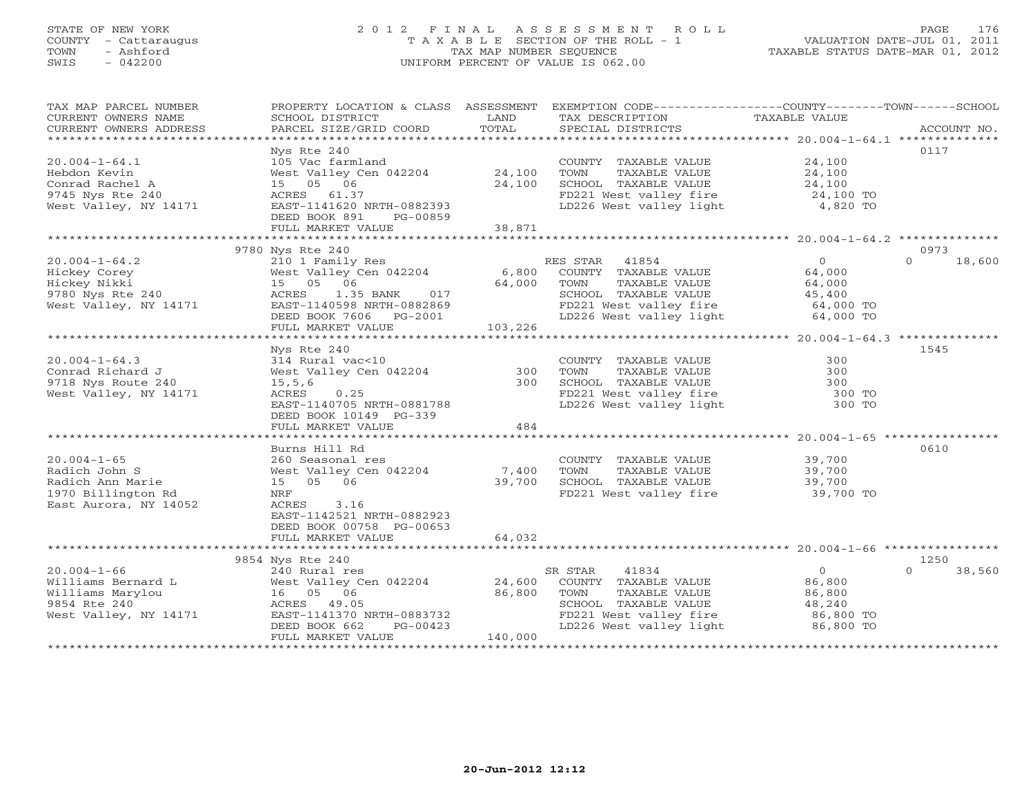# STATE OF NEW YORK 2 0 1 2 F I N A L A S S E S S M E N T R O L L PAGE 176 COUNTY - Cattaraugus T A X A B L E SECTION OF THE ROLL - 1 VALUATION DATE-JUL 01, 2011 TOWN - Ashford TAX MAP NUMBER SEQUENCE TAXABLE STATUS DATE-MAR 01, 2012 SWIS - 042200 UNIFORM PERCENT OF VALUE IS 062.00UNIFORM PERCENT OF VALUE IS 062.00

| TAX MAP PARCEL NUMBER<br>CURRENT OWNERS NAME | PROPERTY LOCATION & CLASS ASSESSMENT<br>SCHOOL DISTRICT | LAND    | EXEMPTION CODE-----------------COUNTY-------TOWN------SCHOOL<br>TAX DESCRIPTION | TAXABLE VALUE  |                    |
|----------------------------------------------|---------------------------------------------------------|---------|---------------------------------------------------------------------------------|----------------|--------------------|
| CURRENT OWNERS ADDRESS                       | PARCEL SIZE/GRID COORD                                  | TOTAL   | SPECIAL DISTRICTS                                                               |                | ACCOUNT NO.        |
|                                              | Nys Rte 240                                             |         |                                                                                 |                | 0117               |
| $20.004 - 1 - 64.1$                          | 105 Vac farmland                                        |         | COUNTY TAXABLE VALUE                                                            | 24,100         |                    |
| Hebdon Kevin                                 | West Valley Cen 042204                                  | 24,100  | TOWN<br>TAXABLE VALUE                                                           | 24,100         |                    |
| Conrad Rachel A                              | 15 05 06                                                | 24,100  | SCHOOL TAXABLE VALUE                                                            | 24,100         |                    |
| 9745 Nys Rte 240                             | ACRES 61.37                                             |         |                                                                                 | 24,100 TO      |                    |
| West Valley, NY 14171                        | EAST-1141620 NRTH-0882393                               |         | FD221 West valley fire<br>LD226 West valley light                               | 4,820 TO       |                    |
|                                              | DEED BOOK 891<br>PG-00859                               |         |                                                                                 |                |                    |
|                                              | FULL MARKET VALUE                                       | 38,871  |                                                                                 |                |                    |
|                                              |                                                         |         |                                                                                 |                |                    |
|                                              | 9780 Nys Rte 240                                        |         |                                                                                 |                | 0973               |
| $20.004 - 1 - 64.2$                          | 210 1 Family Res                                        |         | RES STAR 41854                                                                  | $\overline{0}$ | $\Omega$<br>18,600 |
| Hickey Corey                                 | West Valley Cen 042204                                  | 6,800   | COUNTY TAXABLE VALUE                                                            | 64,000         |                    |
| Hickey Nikki                                 | 15 05 06                                                | 64,000  | TOWN<br>TAXABLE VALUE                                                           | 64,000         |                    |
| 9780 Nys Rte 240                             | 1.35 BANK<br>017<br>ACRES                               |         | SCHOOL TAXABLE VALUE                                                            | 45,400         |                    |
| West Valley, NY 14171                        | EAST-1140598 NRTH-0882869                               |         | FD221 West valley fire<br>LD226 West valley light                               | 64,000 TO      |                    |
|                                              | DEED BOOK 7606 PG-2001                                  |         |                                                                                 | 64,000 TO      |                    |
|                                              | FULL MARKET VALUE                                       | 103,226 |                                                                                 |                |                    |
|                                              |                                                         |         |                                                                                 |                |                    |
|                                              | Nys Rte 240                                             |         |                                                                                 |                | 1545               |
| $20.004 - 1 - 64.3$                          | 314 Rural vac<10                                        |         | COUNTY TAXABLE VALUE                                                            | 300            |                    |
| Conrad Richard J                             | West Valley Cen 042204                                  | 300     | TOWN<br>TAXABLE VALUE                                                           | 300            |                    |
| 9718 Nys Route 240                           | 15, 5, 6                                                | 300     | SCHOOL TAXABLE VALUE                                                            | 300            |                    |
| West Valley, NY 14171                        | ACRES<br>0.25                                           |         | FD221 West valley fire<br>T.D226 West valley light                              | 300 TO         |                    |
|                                              | EAST-1140705 NRTH-0881788                               |         | LD226 West valley light                                                         | 300 TO         |                    |
|                                              | DEED BOOK 10149 PG-339<br>FULL MARKET VALUE             | 484     |                                                                                 |                |                    |
|                                              |                                                         |         |                                                                                 |                |                    |
|                                              | Burns Hill Rd                                           |         |                                                                                 |                | 0610               |
| $20.004 - 1 - 65$                            | 260 Seasonal res                                        |         | COUNTY TAXABLE VALUE                                                            | 39,700         |                    |
| Radich John S                                | West Valley Cen 042204                                  | 7,400   | TOWN<br>TAXABLE VALUE                                                           | 39,700         |                    |
| Radich Ann Marie                             | 15  05  06                                              | 39,700  | SCHOOL TAXABLE VALUE                                                            | 39,700         |                    |
| 1970 Billington Rd                           | NRF                                                     |         | FD221 West valley fire                                                          | 39,700 TO      |                    |
| East Aurora, NY 14052                        | ACRES<br>3.16                                           |         |                                                                                 |                |                    |
|                                              | EAST-1142521 NRTH-0882923                               |         |                                                                                 |                |                    |
|                                              | DEED BOOK 00758 PG-00653                                |         |                                                                                 |                |                    |
|                                              | FULL MARKET VALUE                                       | 64,032  |                                                                                 |                |                    |
|                                              |                                                         |         |                                                                                 |                |                    |
|                                              | 9854 Nys Rte 240                                        |         |                                                                                 |                | 1250               |
| $20.004 - 1 - 66$                            | 240 Rural res                                           |         | SR STAR<br>41834                                                                | $\Omega$       | 38,560<br>$\Omega$ |
| Williams Bernard L                           | West Valley Cen 042204                                  | 24,600  | COUNTY TAXABLE VALUE                                                            | 86,800         |                    |
| Williams Marylou                             | 16 05 06                                                | 86,800  | TOWN<br>TAXABLE VALUE                                                           | 86,800         |                    |
| 9854 Rte 240                                 | ACRES 49.05                                             |         | SCHOOL TAXABLE VALUE                                                            | 48,240         |                    |
| West Valley, NY 14171                        | EAST-1141370 NRTH-0883732                               |         | FD221 West valley fire<br>ID221 West valley light                               | 86,800 TO      |                    |
|                                              | DEED BOOK 662<br>PG-00423                               |         | LD226 West valley light                                                         | 86,800 TO      |                    |
|                                              | FULL MARKET VALUE                                       | 140,000 |                                                                                 |                |                    |
|                                              |                                                         |         |                                                                                 |                |                    |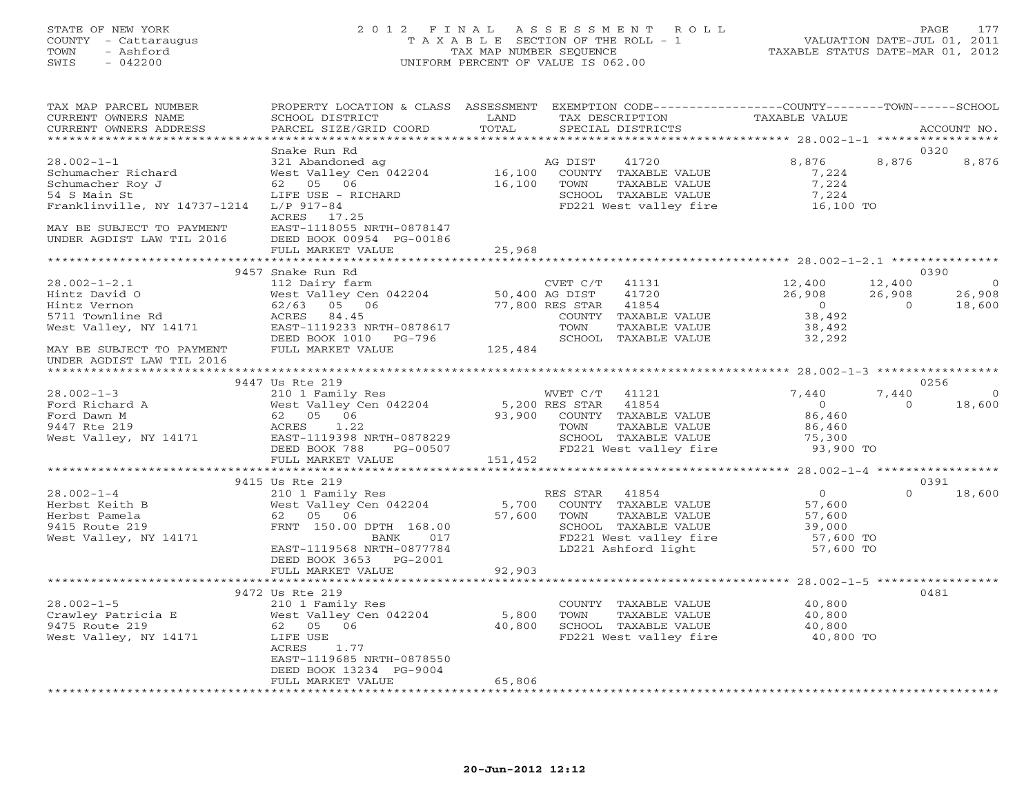## STATE OF NEW YORK 2 0 1 2 F I N A L A S S E S S M E N T R O L L PAGE 177 COUNTY - Cattaraugus T A X A B L E SECTION OF THE ROLL - 1 VALUATION DATE-JUL 01, 2011 TOWN - Ashford TAX MAP NUMBER SEQUENCE TAXABLE STATUS DATE-MAR 01, 2012 SWIS - 042200 UNIFORM PERCENT OF VALUE IS 062.00UNIFORM PERCENT OF VALUE IS 062.00

| TAX MAP PARCEL NUMBER<br>CURRENT OWNERS NAME<br>CURRENT OWNERS ADDRESS                                                | PROPERTY LOCATION & CLASS ASSESSMENT EXEMPTION CODE----------------COUNTY-------TOWN------SCHOOL<br><b>Example 12</b> LAND<br>SCHOOL DISTRICT<br>PARCEL SIZE/GRID COORD                                                                                                               | TOTAL                     | TAX DESCRIPTION<br>SPECIAL DISTRICTS                                                                                                                                             | TAXABLE VALUE    | ACCOUNT NO.                                   |
|-----------------------------------------------------------------------------------------------------------------------|---------------------------------------------------------------------------------------------------------------------------------------------------------------------------------------------------------------------------------------------------------------------------------------|---------------------------|----------------------------------------------------------------------------------------------------------------------------------------------------------------------------------|------------------|-----------------------------------------------|
|                                                                                                                       |                                                                                                                                                                                                                                                                                       |                           |                                                                                                                                                                                  |                  |                                               |
| $28.002 - 1 - 1$<br>Schumacher Richard<br>Schumacher Roy J<br>54 S Main St<br>Franklinville, NY 14737-1214 L/P 917-84 | Snake Run Rd<br>Since Number 2012 and the Magnus Community Conservation and Magnus and Magnus 21 Abandoned ag as a conservation of the Magnus 16,100 COUNTY TAXABLE VALUE of the Magnus CHOOL TOWN TAXABLE VALUE $\frac{L}{P}$ 917-84 and the Magn<br>ACRES 17.25                     |                           | COUNTY TAXABLE VALUE<br>TOWN TAXABLE VALUE 7,224<br>SCHOOL TAXABLE VALUE 7,224<br>FD221 West valley fire 16,100 TO                                                               | 8,876            | 0320<br>8,876<br>8,876                        |
| MAY BE SUBJECT TO PAYMENT<br>UNDER AGDIST LAW TIL 2016                                                                | EAST-1118055 NRTH-0878147<br>DEED BOOK 00954 PG-00186<br>FULL MARKET VALUE                                                                                                                                                                                                            | 25,968                    |                                                                                                                                                                                  |                  |                                               |
|                                                                                                                       |                                                                                                                                                                                                                                                                                       |                           |                                                                                                                                                                                  |                  |                                               |
| UNDER AGDIST LAW TIL 2016                                                                                             | 9457 Snake Run Rd                                                                                                                                                                                                                                                                     |                           | CVET C/T 41131 12,400 12,400<br>AG DIST 41720 26,908 26,908<br>RES STAR 41854 0 0 0<br>COUNTY TAXABLE VALUE 38,492<br>TOWN TAXABLE VALUE 38,492                                  | 38,492<br>32,292 | 0390<br>$\overline{0}$<br>26,908<br>18,600    |
|                                                                                                                       |                                                                                                                                                                                                                                                                                       |                           |                                                                                                                                                                                  |                  |                                               |
|                                                                                                                       | 9447 Us Rte 219                                                                                                                                                                                                                                                                       |                           |                                                                                                                                                                                  |                  | 0256                                          |
|                                                                                                                       |                                                                                                                                                                                                                                                                                       |                           |                                                                                                                                                                                  |                  | 7,440<br>$\overline{0}$<br>$\Omega$<br>18,600 |
|                                                                                                                       | FULL MARKET VALUE                                                                                                                                                                                                                                                                     | 151,452                   |                                                                                                                                                                                  |                  |                                               |
|                                                                                                                       |                                                                                                                                                                                                                                                                                       |                           |                                                                                                                                                                                  |                  |                                               |
| $28.002 - 1 - 4$<br>Herbst Keith B<br>Herbst Pamela<br>9415 Route 219<br>West Valley, NY 14171                        | 9415 Us Rte 219<br>USING LEADING RESSEAR 41854<br>Nest Valley Cen 042204 5,700 COUNTY TAXABLE VALUE<br>62 05 06 57,600 TOWN TAXABLE VALUE<br>FRNT 150.00 DPTH 168.00 57,600 SCHOOL TAXABLE VALUE<br>BANK 017 FD221 West valley fire<br>EAST-1119568 NRTH-08<br>DEED BOOK 3653 PG-2001 |                           | RES STAR 41854 0<br>COUNTY TAXABLE VALUE 57,600<br>TOWN TAXABLE VALUE 57,600<br>SCHOOL TAXABLE VALUE 57,600<br>FD221 West valley fire 57,600 TO<br>LD221 Ashford light 57,600 TO |                  | 0391<br>$0 \t 18,600$                         |
|                                                                                                                       | FULL MARKET VALUE                                                                                                                                                                                                                                                                     | 92,903                    |                                                                                                                                                                                  |                  |                                               |
|                                                                                                                       | 9472 Us Rte 219                                                                                                                                                                                                                                                                       |                           |                                                                                                                                                                                  |                  | 0481                                          |
| 28.002-1-5<br>Crawley Patricia E 210 1 Family Res<br>9475 Route 219 62 05 06<br>96 West Valley, NY 14171 LIFE USE     | ACRES 1.77<br>EAST-1119685 NRTH-0878550<br>DEED BOOK 13234 PG-9004<br>FULL MARKET VALUE                                                                                                                                                                                               | 5,800<br>40,800<br>65,806 | COUNTY TAXABLE VALUE $40,800$<br>TOWN TAXABLE VALUE $40,800$<br>SCHOOL TAXABLE VALUE $40,800$<br>FD221 West valley fire $40,800$ TO<br>****************************              |                  |                                               |
|                                                                                                                       |                                                                                                                                                                                                                                                                                       |                           |                                                                                                                                                                                  |                  |                                               |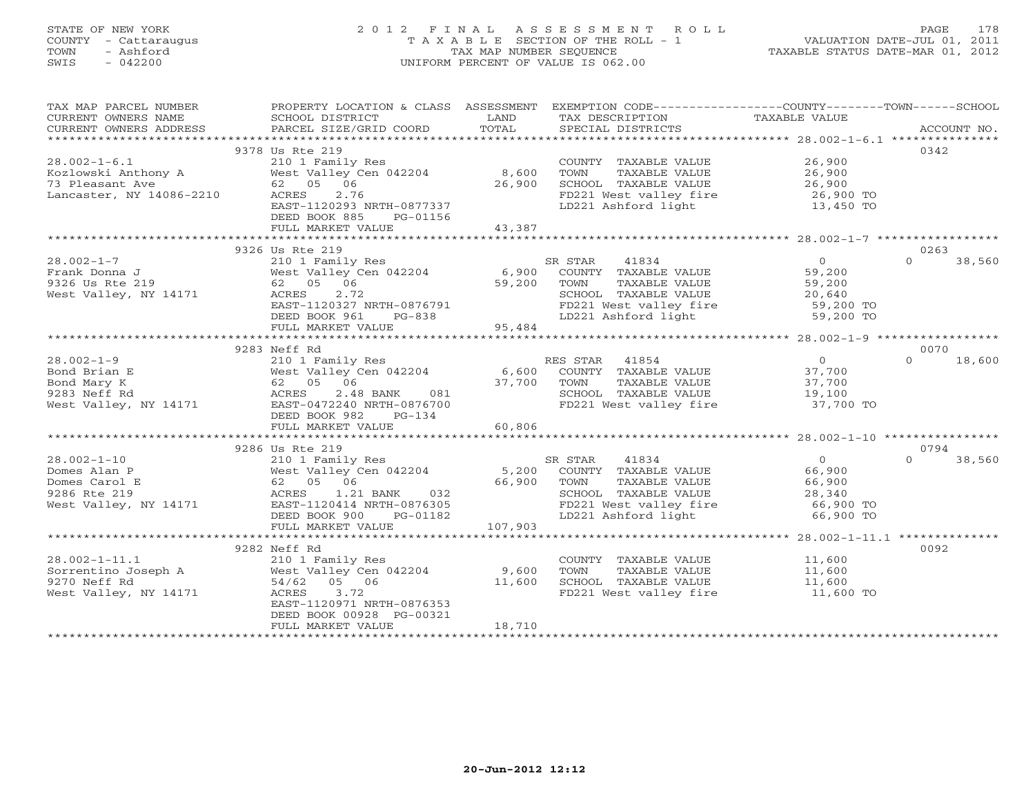## STATE OF NEW YORK 2 0 1 2 F I N A L A S S E S S M E N T R O L L PAGE 178 COUNTY - Cattaraugus T A X A B L E SECTION OF THE ROLL - 1 VALUATION DATE-JUL 01, 2011 TOWN - Ashford TAX MAP NUMBER SEQUENCE TAXABLE STATUS DATE-MAR 01, 2012 SWIS - 042200 UNIFORM PERCENT OF VALUE IS 062.00UNIFORM PERCENT OF VALUE IS 062.00

| 9378 Us Rte 219<br>0342<br>COUNTY TAXABLE VALUE 26,900<br>$28.002 - 1 - 6.1$<br>210 1 Family Res<br>Kozlowski Anthony A<br>West Valley Cen 042204 8,600<br>26,900<br>26,900<br>TOWN<br>TAXABLE VALUE<br>62 05 06<br>26,900<br>SCHOOL TAXABLE VALUE 26,900<br>FD221 West valley fire 26,900 TO<br>73 Pleasant Ave<br>Lancaster, NY 14086-2210<br>2.76<br>ACRES<br>LD221 Ashford light<br>EAST-1120293 NRTH-0877337<br>13,450 TO<br>DEED BOOK 885<br>PG-01156<br>43,387<br>FULL MARKET VALUE<br>9326 Us Rte 219<br>0263<br>US KEE 219<br>210 1 Family Res<br>West Valley Cen 042204<br>6,900 COUNTY TAXABLE VALUE 59,200<br>62 05 06<br>59,200 59,200 TOWN TAXABLE VALUE 59,200<br>EAST-1120327 NRTH-0876791 FD221 West valley fire 59,200<br>FD221 West valley fire 59<br>$\Omega$<br>38,560<br>$28.002 - 1 - 7$<br>Frank Donna J<br>$\overline{9}$<br>9326 Us Rte 219<br>West Valley, NY 14171<br>SCHOOL TAXABLE VALUE $20,640$<br>FD221 West valley fire 59,200 TO<br>LD221 Ashford light 59,200 TO<br>95,484<br>DEED BOOK 961<br>PG-838<br>FULL MARKET VALUE<br>9283 Neff Rd<br>0070<br>$28.002 - 1 - 9$<br>$\begin{array}{c} 0 \\ 37,700 \end{array}$<br>$\Omega$<br>18,600<br>Bond Brian E<br>Bond Mary K<br>TAXABLE VALUE 37,700<br>9283 Neff Rd<br>19,100<br>FD221 West valley fire 37,700 TO<br>West Valley, NY 14171<br>EAST-0472240 NRTH-0876700<br>DEED BOOK 982<br>PG-134<br>60,806<br>FULL MARKET VALUE<br>0794<br>9286 Us Rte 219<br>$\overline{0}$<br>$\Omega$<br>$28.002 - 1 - 10$<br>SR STAR 41834<br>38,560<br>COUNTY TAXABLE VALUE 66,900<br>Domes Alan P<br>$06$<br>$1.21$ BANK 032<br>0414 NRTH-0876305<br>K 900 PG-01182<br>Domes Carol E<br>TOWN<br>TAXABLE VALUE<br>66,900<br>COMPOSITION CONTRACTOR CONSULTED A SCHOOL TAXABLE VALUE<br>FD221 West valley fire the 66,900 TO<br>LD221 Ashford light 66,900 TO<br>9286 Rte 219<br>West Valley, NY 14171<br>EAST-1120414 NRTH-0876305<br>DEED BOOK 900<br>107,903<br>FULL MARKET VALUE<br>9282 Neff Rd<br>0092<br>COUNTY TAXABLE VALUE 11,600<br>TAXABLE VALUE<br>TOWN<br>11,600<br>11,600<br>SCHOOL TAXABLE VALUE<br>FD221 West valley fire 11,600 TO<br>West Valley, NY 14171<br>ACRES<br>3.72<br>EAST-1120971 NRTH-0876353<br>DEED BOOK 00928 PG-00321<br>18,710<br>FULL MARKET VALUE | TAX MAP PARCEL NUMBER<br>CURRENT OWNERS NAME<br>CURRENT OWNERS ADDRESS | PROPERTY LOCATION & CLASS ASSESSMENT<br>SCHOOL DISTRICT<br>PARCEL SIZE/GRID COORD | <b>LAND</b><br>TOTAL | EXEMPTION CODE-----------------COUNTY-------TOWN-----SCHOOL<br>TAX DESCRIPTION<br>SPECIAL DISTRICTS | TAXABLE VALUE | ACCOUNT NO. |
|----------------------------------------------------------------------------------------------------------------------------------------------------------------------------------------------------------------------------------------------------------------------------------------------------------------------------------------------------------------------------------------------------------------------------------------------------------------------------------------------------------------------------------------------------------------------------------------------------------------------------------------------------------------------------------------------------------------------------------------------------------------------------------------------------------------------------------------------------------------------------------------------------------------------------------------------------------------------------------------------------------------------------------------------------------------------------------------------------------------------------------------------------------------------------------------------------------------------------------------------------------------------------------------------------------------------------------------------------------------------------------------------------------------------------------------------------------------------------------------------------------------------------------------------------------------------------------------------------------------------------------------------------------------------------------------------------------------------------------------------------------------------------------------------------------------------------------------------------------------------------------------------------------------------------------------------------------------------------------------------------------------------------------------------------------------------------------------------------------------------------------------------------------------------------------------------------------------------------------------------------------------|------------------------------------------------------------------------|-----------------------------------------------------------------------------------|----------------------|-----------------------------------------------------------------------------------------------------|---------------|-------------|
|                                                                                                                                                                                                                                                                                                                                                                                                                                                                                                                                                                                                                                                                                                                                                                                                                                                                                                                                                                                                                                                                                                                                                                                                                                                                                                                                                                                                                                                                                                                                                                                                                                                                                                                                                                                                                                                                                                                                                                                                                                                                                                                                                                                                                                                                |                                                                        |                                                                                   |                      |                                                                                                     |               |             |
|                                                                                                                                                                                                                                                                                                                                                                                                                                                                                                                                                                                                                                                                                                                                                                                                                                                                                                                                                                                                                                                                                                                                                                                                                                                                                                                                                                                                                                                                                                                                                                                                                                                                                                                                                                                                                                                                                                                                                                                                                                                                                                                                                                                                                                                                |                                                                        |                                                                                   |                      |                                                                                                     |               |             |
|                                                                                                                                                                                                                                                                                                                                                                                                                                                                                                                                                                                                                                                                                                                                                                                                                                                                                                                                                                                                                                                                                                                                                                                                                                                                                                                                                                                                                                                                                                                                                                                                                                                                                                                                                                                                                                                                                                                                                                                                                                                                                                                                                                                                                                                                |                                                                        |                                                                                   |                      |                                                                                                     |               |             |
|                                                                                                                                                                                                                                                                                                                                                                                                                                                                                                                                                                                                                                                                                                                                                                                                                                                                                                                                                                                                                                                                                                                                                                                                                                                                                                                                                                                                                                                                                                                                                                                                                                                                                                                                                                                                                                                                                                                                                                                                                                                                                                                                                                                                                                                                |                                                                        |                                                                                   |                      |                                                                                                     |               |             |
|                                                                                                                                                                                                                                                                                                                                                                                                                                                                                                                                                                                                                                                                                                                                                                                                                                                                                                                                                                                                                                                                                                                                                                                                                                                                                                                                                                                                                                                                                                                                                                                                                                                                                                                                                                                                                                                                                                                                                                                                                                                                                                                                                                                                                                                                |                                                                        |                                                                                   |                      |                                                                                                     |               |             |
|                                                                                                                                                                                                                                                                                                                                                                                                                                                                                                                                                                                                                                                                                                                                                                                                                                                                                                                                                                                                                                                                                                                                                                                                                                                                                                                                                                                                                                                                                                                                                                                                                                                                                                                                                                                                                                                                                                                                                                                                                                                                                                                                                                                                                                                                |                                                                        |                                                                                   |                      |                                                                                                     |               |             |
|                                                                                                                                                                                                                                                                                                                                                                                                                                                                                                                                                                                                                                                                                                                                                                                                                                                                                                                                                                                                                                                                                                                                                                                                                                                                                                                                                                                                                                                                                                                                                                                                                                                                                                                                                                                                                                                                                                                                                                                                                                                                                                                                                                                                                                                                |                                                                        |                                                                                   |                      |                                                                                                     |               |             |
|                                                                                                                                                                                                                                                                                                                                                                                                                                                                                                                                                                                                                                                                                                                                                                                                                                                                                                                                                                                                                                                                                                                                                                                                                                                                                                                                                                                                                                                                                                                                                                                                                                                                                                                                                                                                                                                                                                                                                                                                                                                                                                                                                                                                                                                                |                                                                        |                                                                                   |                      |                                                                                                     |               |             |
|                                                                                                                                                                                                                                                                                                                                                                                                                                                                                                                                                                                                                                                                                                                                                                                                                                                                                                                                                                                                                                                                                                                                                                                                                                                                                                                                                                                                                                                                                                                                                                                                                                                                                                                                                                                                                                                                                                                                                                                                                                                                                                                                                                                                                                                                |                                                                        |                                                                                   |                      |                                                                                                     |               |             |
|                                                                                                                                                                                                                                                                                                                                                                                                                                                                                                                                                                                                                                                                                                                                                                                                                                                                                                                                                                                                                                                                                                                                                                                                                                                                                                                                                                                                                                                                                                                                                                                                                                                                                                                                                                                                                                                                                                                                                                                                                                                                                                                                                                                                                                                                |                                                                        |                                                                                   |                      |                                                                                                     |               |             |
|                                                                                                                                                                                                                                                                                                                                                                                                                                                                                                                                                                                                                                                                                                                                                                                                                                                                                                                                                                                                                                                                                                                                                                                                                                                                                                                                                                                                                                                                                                                                                                                                                                                                                                                                                                                                                                                                                                                                                                                                                                                                                                                                                                                                                                                                |                                                                        |                                                                                   |                      |                                                                                                     |               |             |
|                                                                                                                                                                                                                                                                                                                                                                                                                                                                                                                                                                                                                                                                                                                                                                                                                                                                                                                                                                                                                                                                                                                                                                                                                                                                                                                                                                                                                                                                                                                                                                                                                                                                                                                                                                                                                                                                                                                                                                                                                                                                                                                                                                                                                                                                |                                                                        |                                                                                   |                      |                                                                                                     |               |             |
|                                                                                                                                                                                                                                                                                                                                                                                                                                                                                                                                                                                                                                                                                                                                                                                                                                                                                                                                                                                                                                                                                                                                                                                                                                                                                                                                                                                                                                                                                                                                                                                                                                                                                                                                                                                                                                                                                                                                                                                                                                                                                                                                                                                                                                                                |                                                                        |                                                                                   |                      |                                                                                                     |               |             |
|                                                                                                                                                                                                                                                                                                                                                                                                                                                                                                                                                                                                                                                                                                                                                                                                                                                                                                                                                                                                                                                                                                                                                                                                                                                                                                                                                                                                                                                                                                                                                                                                                                                                                                                                                                                                                                                                                                                                                                                                                                                                                                                                                                                                                                                                |                                                                        |                                                                                   |                      |                                                                                                     |               |             |
|                                                                                                                                                                                                                                                                                                                                                                                                                                                                                                                                                                                                                                                                                                                                                                                                                                                                                                                                                                                                                                                                                                                                                                                                                                                                                                                                                                                                                                                                                                                                                                                                                                                                                                                                                                                                                                                                                                                                                                                                                                                                                                                                                                                                                                                                |                                                                        |                                                                                   |                      |                                                                                                     |               |             |
|                                                                                                                                                                                                                                                                                                                                                                                                                                                                                                                                                                                                                                                                                                                                                                                                                                                                                                                                                                                                                                                                                                                                                                                                                                                                                                                                                                                                                                                                                                                                                                                                                                                                                                                                                                                                                                                                                                                                                                                                                                                                                                                                                                                                                                                                |                                                                        |                                                                                   |                      |                                                                                                     |               |             |
|                                                                                                                                                                                                                                                                                                                                                                                                                                                                                                                                                                                                                                                                                                                                                                                                                                                                                                                                                                                                                                                                                                                                                                                                                                                                                                                                                                                                                                                                                                                                                                                                                                                                                                                                                                                                                                                                                                                                                                                                                                                                                                                                                                                                                                                                |                                                                        |                                                                                   |                      |                                                                                                     |               |             |
|                                                                                                                                                                                                                                                                                                                                                                                                                                                                                                                                                                                                                                                                                                                                                                                                                                                                                                                                                                                                                                                                                                                                                                                                                                                                                                                                                                                                                                                                                                                                                                                                                                                                                                                                                                                                                                                                                                                                                                                                                                                                                                                                                                                                                                                                |                                                                        |                                                                                   |                      |                                                                                                     |               |             |
|                                                                                                                                                                                                                                                                                                                                                                                                                                                                                                                                                                                                                                                                                                                                                                                                                                                                                                                                                                                                                                                                                                                                                                                                                                                                                                                                                                                                                                                                                                                                                                                                                                                                                                                                                                                                                                                                                                                                                                                                                                                                                                                                                                                                                                                                |                                                                        |                                                                                   |                      |                                                                                                     |               |             |
|                                                                                                                                                                                                                                                                                                                                                                                                                                                                                                                                                                                                                                                                                                                                                                                                                                                                                                                                                                                                                                                                                                                                                                                                                                                                                                                                                                                                                                                                                                                                                                                                                                                                                                                                                                                                                                                                                                                                                                                                                                                                                                                                                                                                                                                                |                                                                        |                                                                                   |                      |                                                                                                     |               |             |
|                                                                                                                                                                                                                                                                                                                                                                                                                                                                                                                                                                                                                                                                                                                                                                                                                                                                                                                                                                                                                                                                                                                                                                                                                                                                                                                                                                                                                                                                                                                                                                                                                                                                                                                                                                                                                                                                                                                                                                                                                                                                                                                                                                                                                                                                |                                                                        |                                                                                   |                      |                                                                                                     |               |             |
|                                                                                                                                                                                                                                                                                                                                                                                                                                                                                                                                                                                                                                                                                                                                                                                                                                                                                                                                                                                                                                                                                                                                                                                                                                                                                                                                                                                                                                                                                                                                                                                                                                                                                                                                                                                                                                                                                                                                                                                                                                                                                                                                                                                                                                                                |                                                                        |                                                                                   |                      |                                                                                                     |               |             |
|                                                                                                                                                                                                                                                                                                                                                                                                                                                                                                                                                                                                                                                                                                                                                                                                                                                                                                                                                                                                                                                                                                                                                                                                                                                                                                                                                                                                                                                                                                                                                                                                                                                                                                                                                                                                                                                                                                                                                                                                                                                                                                                                                                                                                                                                |                                                                        |                                                                                   |                      |                                                                                                     |               |             |
|                                                                                                                                                                                                                                                                                                                                                                                                                                                                                                                                                                                                                                                                                                                                                                                                                                                                                                                                                                                                                                                                                                                                                                                                                                                                                                                                                                                                                                                                                                                                                                                                                                                                                                                                                                                                                                                                                                                                                                                                                                                                                                                                                                                                                                                                |                                                                        |                                                                                   |                      |                                                                                                     |               |             |
|                                                                                                                                                                                                                                                                                                                                                                                                                                                                                                                                                                                                                                                                                                                                                                                                                                                                                                                                                                                                                                                                                                                                                                                                                                                                                                                                                                                                                                                                                                                                                                                                                                                                                                                                                                                                                                                                                                                                                                                                                                                                                                                                                                                                                                                                |                                                                        |                                                                                   |                      |                                                                                                     |               |             |
|                                                                                                                                                                                                                                                                                                                                                                                                                                                                                                                                                                                                                                                                                                                                                                                                                                                                                                                                                                                                                                                                                                                                                                                                                                                                                                                                                                                                                                                                                                                                                                                                                                                                                                                                                                                                                                                                                                                                                                                                                                                                                                                                                                                                                                                                |                                                                        |                                                                                   |                      |                                                                                                     |               |             |
|                                                                                                                                                                                                                                                                                                                                                                                                                                                                                                                                                                                                                                                                                                                                                                                                                                                                                                                                                                                                                                                                                                                                                                                                                                                                                                                                                                                                                                                                                                                                                                                                                                                                                                                                                                                                                                                                                                                                                                                                                                                                                                                                                                                                                                                                |                                                                        |                                                                                   |                      |                                                                                                     |               |             |
|                                                                                                                                                                                                                                                                                                                                                                                                                                                                                                                                                                                                                                                                                                                                                                                                                                                                                                                                                                                                                                                                                                                                                                                                                                                                                                                                                                                                                                                                                                                                                                                                                                                                                                                                                                                                                                                                                                                                                                                                                                                                                                                                                                                                                                                                |                                                                        |                                                                                   |                      |                                                                                                     |               |             |
|                                                                                                                                                                                                                                                                                                                                                                                                                                                                                                                                                                                                                                                                                                                                                                                                                                                                                                                                                                                                                                                                                                                                                                                                                                                                                                                                                                                                                                                                                                                                                                                                                                                                                                                                                                                                                                                                                                                                                                                                                                                                                                                                                                                                                                                                |                                                                        |                                                                                   |                      |                                                                                                     |               |             |
|                                                                                                                                                                                                                                                                                                                                                                                                                                                                                                                                                                                                                                                                                                                                                                                                                                                                                                                                                                                                                                                                                                                                                                                                                                                                                                                                                                                                                                                                                                                                                                                                                                                                                                                                                                                                                                                                                                                                                                                                                                                                                                                                                                                                                                                                |                                                                        |                                                                                   |                      |                                                                                                     |               |             |
|                                                                                                                                                                                                                                                                                                                                                                                                                                                                                                                                                                                                                                                                                                                                                                                                                                                                                                                                                                                                                                                                                                                                                                                                                                                                                                                                                                                                                                                                                                                                                                                                                                                                                                                                                                                                                                                                                                                                                                                                                                                                                                                                                                                                                                                                |                                                                        |                                                                                   |                      |                                                                                                     |               |             |
|                                                                                                                                                                                                                                                                                                                                                                                                                                                                                                                                                                                                                                                                                                                                                                                                                                                                                                                                                                                                                                                                                                                                                                                                                                                                                                                                                                                                                                                                                                                                                                                                                                                                                                                                                                                                                                                                                                                                                                                                                                                                                                                                                                                                                                                                |                                                                        |                                                                                   |                      |                                                                                                     |               |             |
|                                                                                                                                                                                                                                                                                                                                                                                                                                                                                                                                                                                                                                                                                                                                                                                                                                                                                                                                                                                                                                                                                                                                                                                                                                                                                                                                                                                                                                                                                                                                                                                                                                                                                                                                                                                                                                                                                                                                                                                                                                                                                                                                                                                                                                                                |                                                                        |                                                                                   |                      |                                                                                                     |               |             |
|                                                                                                                                                                                                                                                                                                                                                                                                                                                                                                                                                                                                                                                                                                                                                                                                                                                                                                                                                                                                                                                                                                                                                                                                                                                                                                                                                                                                                                                                                                                                                                                                                                                                                                                                                                                                                                                                                                                                                                                                                                                                                                                                                                                                                                                                |                                                                        |                                                                                   |                      |                                                                                                     |               |             |
|                                                                                                                                                                                                                                                                                                                                                                                                                                                                                                                                                                                                                                                                                                                                                                                                                                                                                                                                                                                                                                                                                                                                                                                                                                                                                                                                                                                                                                                                                                                                                                                                                                                                                                                                                                                                                                                                                                                                                                                                                                                                                                                                                                                                                                                                |                                                                        |                                                                                   |                      |                                                                                                     |               |             |
|                                                                                                                                                                                                                                                                                                                                                                                                                                                                                                                                                                                                                                                                                                                                                                                                                                                                                                                                                                                                                                                                                                                                                                                                                                                                                                                                                                                                                                                                                                                                                                                                                                                                                                                                                                                                                                                                                                                                                                                                                                                                                                                                                                                                                                                                |                                                                        |                                                                                   |                      |                                                                                                     |               |             |
|                                                                                                                                                                                                                                                                                                                                                                                                                                                                                                                                                                                                                                                                                                                                                                                                                                                                                                                                                                                                                                                                                                                                                                                                                                                                                                                                                                                                                                                                                                                                                                                                                                                                                                                                                                                                                                                                                                                                                                                                                                                                                                                                                                                                                                                                |                                                                        |                                                                                   |                      |                                                                                                     |               |             |
|                                                                                                                                                                                                                                                                                                                                                                                                                                                                                                                                                                                                                                                                                                                                                                                                                                                                                                                                                                                                                                                                                                                                                                                                                                                                                                                                                                                                                                                                                                                                                                                                                                                                                                                                                                                                                                                                                                                                                                                                                                                                                                                                                                                                                                                                |                                                                        |                                                                                   |                      |                                                                                                     |               |             |
|                                                                                                                                                                                                                                                                                                                                                                                                                                                                                                                                                                                                                                                                                                                                                                                                                                                                                                                                                                                                                                                                                                                                                                                                                                                                                                                                                                                                                                                                                                                                                                                                                                                                                                                                                                                                                                                                                                                                                                                                                                                                                                                                                                                                                                                                |                                                                        |                                                                                   |                      |                                                                                                     |               |             |
|                                                                                                                                                                                                                                                                                                                                                                                                                                                                                                                                                                                                                                                                                                                                                                                                                                                                                                                                                                                                                                                                                                                                                                                                                                                                                                                                                                                                                                                                                                                                                                                                                                                                                                                                                                                                                                                                                                                                                                                                                                                                                                                                                                                                                                                                |                                                                        |                                                                                   |                      |                                                                                                     |               |             |
|                                                                                                                                                                                                                                                                                                                                                                                                                                                                                                                                                                                                                                                                                                                                                                                                                                                                                                                                                                                                                                                                                                                                                                                                                                                                                                                                                                                                                                                                                                                                                                                                                                                                                                                                                                                                                                                                                                                                                                                                                                                                                                                                                                                                                                                                |                                                                        |                                                                                   |                      |                                                                                                     |               |             |
|                                                                                                                                                                                                                                                                                                                                                                                                                                                                                                                                                                                                                                                                                                                                                                                                                                                                                                                                                                                                                                                                                                                                                                                                                                                                                                                                                                                                                                                                                                                                                                                                                                                                                                                                                                                                                                                                                                                                                                                                                                                                                                                                                                                                                                                                |                                                                        |                                                                                   |                      |                                                                                                     |               |             |
|                                                                                                                                                                                                                                                                                                                                                                                                                                                                                                                                                                                                                                                                                                                                                                                                                                                                                                                                                                                                                                                                                                                                                                                                                                                                                                                                                                                                                                                                                                                                                                                                                                                                                                                                                                                                                                                                                                                                                                                                                                                                                                                                                                                                                                                                |                                                                        |                                                                                   |                      |                                                                                                     |               |             |
|                                                                                                                                                                                                                                                                                                                                                                                                                                                                                                                                                                                                                                                                                                                                                                                                                                                                                                                                                                                                                                                                                                                                                                                                                                                                                                                                                                                                                                                                                                                                                                                                                                                                                                                                                                                                                                                                                                                                                                                                                                                                                                                                                                                                                                                                |                                                                        |                                                                                   |                      |                                                                                                     |               |             |
|                                                                                                                                                                                                                                                                                                                                                                                                                                                                                                                                                                                                                                                                                                                                                                                                                                                                                                                                                                                                                                                                                                                                                                                                                                                                                                                                                                                                                                                                                                                                                                                                                                                                                                                                                                                                                                                                                                                                                                                                                                                                                                                                                                                                                                                                |                                                                        |                                                                                   |                      |                                                                                                     |               |             |
|                                                                                                                                                                                                                                                                                                                                                                                                                                                                                                                                                                                                                                                                                                                                                                                                                                                                                                                                                                                                                                                                                                                                                                                                                                                                                                                                                                                                                                                                                                                                                                                                                                                                                                                                                                                                                                                                                                                                                                                                                                                                                                                                                                                                                                                                |                                                                        |                                                                                   |                      |                                                                                                     |               |             |
|                                                                                                                                                                                                                                                                                                                                                                                                                                                                                                                                                                                                                                                                                                                                                                                                                                                                                                                                                                                                                                                                                                                                                                                                                                                                                                                                                                                                                                                                                                                                                                                                                                                                                                                                                                                                                                                                                                                                                                                                                                                                                                                                                                                                                                                                |                                                                        |                                                                                   |                      |                                                                                                     |               |             |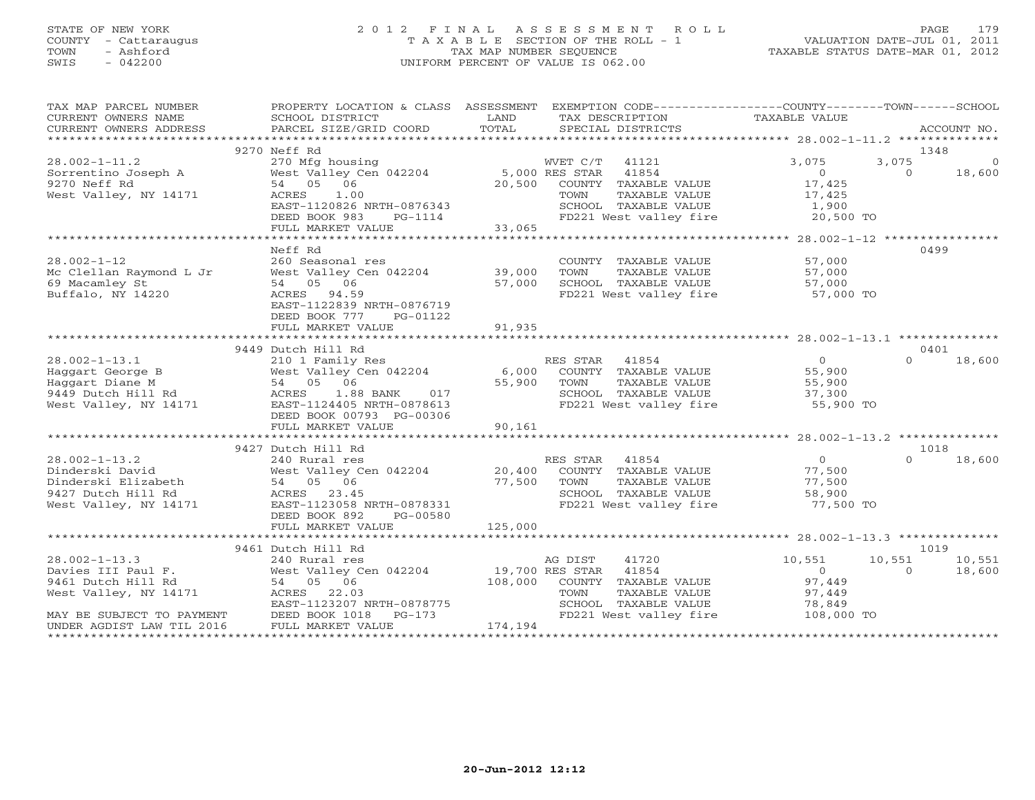# STATE OF NEW YORK 2 0 1 2 F I N A L A S S E S S M E N T R O L L PAGE 179 COUNTY - Cattaraugus T A X A B L E SECTION OF THE ROLL - 1 VALUATION DATE-JUL 01, 2011 TOWN - Ashford TAX MAP NUMBER SEQUENCE TAXABLE STATUS DATE-MAR 01, 2012 SWIS - 042200 UNIFORM PERCENT OF VALUE IS 062.00

| TAX MAP PARCEL NUMBER<br>CURRENT OWNERS NAME                                        | PROPERTY LOCATION & CLASS ASSESSMENT EXEMPTION CODE----------------COUNTY-------TOWN------SCHOOL<br>SCHOOL DISTRICT | LAND    | TAX DESCRIPTION                                                                                         | TAXABLE VALUE                         |               |                          |
|-------------------------------------------------------------------------------------|---------------------------------------------------------------------------------------------------------------------|---------|---------------------------------------------------------------------------------------------------------|---------------------------------------|---------------|--------------------------|
|                                                                                     |                                                                                                                     |         |                                                                                                         |                                       |               |                          |
|                                                                                     | 9270 Neff Rd                                                                                                        |         |                                                                                                         | 3,075                                 | 1348<br>3,075 |                          |
| $28.002 - 1 - 11.2$<br>Sorrentino Joseph A<br>9270 Neff Rd<br>West Valley, NY 14171 | 270 Mfg housing<br>West Valley Cen 042204 5,000 RES STAR<br>54 05 06<br>1.00<br>ACRES<br>EAST-1120826 NRTH-0876343  |         | WVET C/T 41121<br>41854<br>20,500 COUNTY TAXABLE VALUE<br>TAXABLE VALUE<br>TOWN<br>SCHOOL TAXABLE VALUE | $\Omega$<br>17,425<br>17,425<br>1,900 | $\Omega$      | $\overline{0}$<br>18,600 |
|                                                                                     | DEED BOOK 983<br>PG-1114<br>FULL MARKET VALUE                                                                       | 33,065  | FD221 West valley fire 20,500 TO                                                                        |                                       |               |                          |
|                                                                                     |                                                                                                                     |         |                                                                                                         |                                       |               |                          |
|                                                                                     | Neff Rd                                                                                                             |         |                                                                                                         |                                       | 0499          |                          |
| $28.002 - 1 - 12$                                                                   | 260 Seasonal res                                                                                                    |         | COUNTY TAXABLE VALUE                                                                                    | 57,000                                |               |                          |
| Mc Clellan Raymond L Jr                                                             | West Valley Cen 042204 39,000                                                                                       |         | TOWN<br>TAXABLE VALUE                                                                                   | 57,000<br>57,000                      |               |                          |
| 69 Macamley St                                                                      | 54 05 06                                                                                                            | 57,000  | SCHOOL TAXABLE VALUE                                                                                    |                                       |               |                          |
| Buffalo, NY 14220                                                                   | ACRES 94.59<br>EAST-1122839 NRTH-0876719<br>DEED BOOK 777<br>PG-01122<br>FULL MARKET VALUE                          | 91,935  | FD221 West valley fire 57,000 TO                                                                        |                                       |               |                          |
|                                                                                     |                                                                                                                     |         |                                                                                                         |                                       |               |                          |
|                                                                                     | 9449 Dutch Hill Rd                                                                                                  |         |                                                                                                         |                                       | 0401          |                          |
| $28.002 - 1 - 13.1$                                                                 |                                                                                                                     |         | 41854<br>RES STAR                                                                                       | $\overline{0}$                        | $\cap$        | 18,600                   |
| Haggart George B                                                                    | 210 1 Family Res<br>West Valley Cen 042204                                                                          |         | 6,000 COUNTY TAXABLE VALUE                                                                              | 55,900                                |               |                          |
| Haggart Diane M                                                                     | 54 05 06                                                                                                            | 55,900  | TOWN<br>TAXABLE VALUE                                                                                   | 55,900                                |               |                          |
| 9449 Dutch Hill Rd                                                                  | ACRES<br>1.88 BANK 017                                                                                              |         |                                                                                                         | 37,300                                |               |                          |
| West Valley, NY 14171                                                               | EAST-1124405 NRTH-0878613<br>DEED BOOK 00793 PG-00306                                                               |         | SCHOOL TAXABLE VALUE<br>FD221 West valley fire                                                          | 55,900 TO                             |               |                          |
|                                                                                     | FULL MARKET VALUE                                                                                                   | 90,161  |                                                                                                         |                                       |               |                          |
|                                                                                     |                                                                                                                     |         |                                                                                                         |                                       |               |                          |
|                                                                                     | 9427 Dutch Hill Rd                                                                                                  |         |                                                                                                         |                                       | 1018          |                          |
| $28.002 - 1 - 13.2$                                                                 | 240 Rural res RE<br>West Valley Cen 042204 20,400                                                                   |         | RES STAR<br>41854                                                                                       | 0                                     | $\Omega$      | 18,600                   |
| Dinderski David                                                                     |                                                                                                                     |         | COUNTY TAXABLE VALUE                                                                                    | 77,500                                |               |                          |
| Dinderski Elizabeth                                                                 | 54 05 06                                                                                                            | 77,500  | TOWN<br>TAXABLE VALUE                                                                                   | 77,500                                |               |                          |
| 9427 Dutch Hill Rd                                                                  | ACRES 23.45                                                                                                         |         | SCHOOL TAXABLE VALUE                                                                                    | 58,900                                |               |                          |
| West Valley, NY 14171                                                               | EAST-1123058 NRTH-0878331<br>DEED BOOK 892<br>PG-00580                                                              |         | FD221 West valley fire                                                                                  | 77,500 TO                             |               |                          |
|                                                                                     | FULL MARKET VALUE                                                                                                   | 125,000 |                                                                                                         |                                       |               |                          |
|                                                                                     | 9461 Dutch Hill Rd                                                                                                  |         |                                                                                                         |                                       | 1019          |                          |
| $28.002 - 1 - 13.3$                                                                 | 240 Rural res                                                                                                       |         | AG DIST<br>41720                                                                                        | 10,551                                | 10,551        | 10,551                   |
| Davies III Paul F.                                                                  | West Valley Cen 042204 19,700 RES STAR 41854                                                                        |         |                                                                                                         | $\overline{0}$                        | $\Omega$      | 18,600                   |
| 9461 Dutch Hill Rd                                                                  | 54 05 06                                                                                                            | 108,000 | COUNTY TAXABLE VALUE                                                                                    | 97,449                                |               |                          |
| West Valley, NY 14171                                                               | ACRES 22.03                                                                                                         |         | TOWN<br>TAXABLE VALUE                                                                                   | 97,449                                |               |                          |
|                                                                                     | EAST-1123207 NRTH-0878775                                                                                           |         | SCHOOL TAXABLE VALUE                                                                                    | 78,849                                |               |                          |
| MAY BE SUBJECT TO PAYMENT<br>UNDER AGDIST LAW TIL 2016                              | $PG-173$<br>DEED BOOK 1018<br>FULL MARKET VALUE                                                                     | 174,194 | FD221 West valley fire                                                                                  | 108,000 TO                            |               |                          |
|                                                                                     |                                                                                                                     |         |                                                                                                         |                                       |               |                          |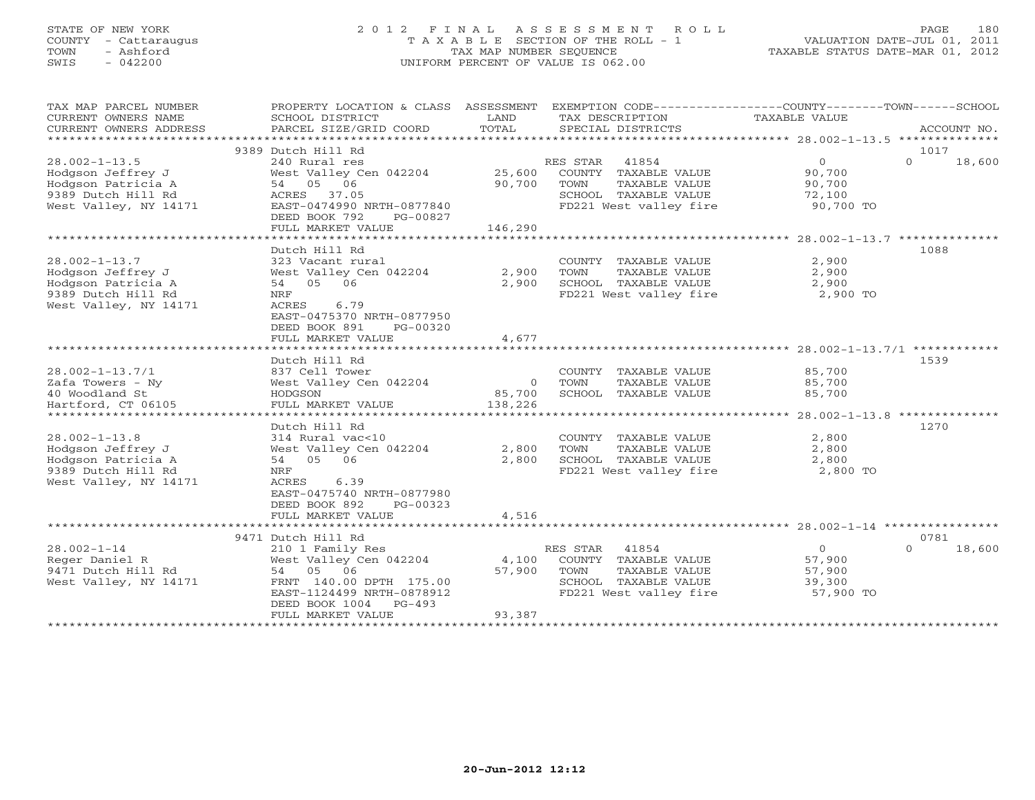## STATE OF NEW YORK 2 0 1 2 F I N A L A S S E S S M E N T R O L L PAGE 180 COUNTY - Cattaraugus T A X A B L E SECTION OF THE ROLL - 1 VALUATION DATE-JUL 01, 2011 TOWN - Ashford TAX MAP NUMBER SEQUENCE TAXABLE STATUS DATE-MAR 01, 2012 SWIS - 042200 UNIFORM PERCENT OF VALUE IS 062.00UNIFORM PERCENT OF VALUE IS 062.00

| TAX MAP PARCEL NUMBER<br>CURRENT OWNERS NAME<br>CURRENT OWNERS ADDRESS                                        | PROPERTY LOCATION & CLASS ASSESSMENT EXEMPTION CODE---------------COUNTY-------TOWN------SCHOOL<br>SCHOOL DISTRICT<br>PARCEL SIZE/GRID COORD                                       | LAND<br>TOTAL               | TAX DESCRIPTION<br>SPECIAL DISTRICTS                                                                                    | TAXABLE VALUE                                             | ACCOUNT NO.                |
|---------------------------------------------------------------------------------------------------------------|------------------------------------------------------------------------------------------------------------------------------------------------------------------------------------|-----------------------------|-------------------------------------------------------------------------------------------------------------------------|-----------------------------------------------------------|----------------------------|
| 9389 Dutch Hill Rd<br>1017                                                                                    |                                                                                                                                                                                    |                             |                                                                                                                         |                                                           |                            |
| $28.002 - 1 - 13.5$<br>Hodgson Jeffrey J<br>Hodgson Patricia A<br>9389 Dutch Hill Rd<br>West Valley, NY 14171 | 240 Rural res<br>West Valley Cen 042204 25,600<br>54 05 06<br>ACRES 37.05<br>EAST-0474990 NRTH-0877840<br>DEED BOOK 792<br>PG-00827<br>FULL MARKET VALUE                           | 90,700<br>146,290           | RES STAR 41854<br>COUNTY TAXABLE VALUE<br>TOWN<br>TAXABLE VALUE<br>SCHOOL TAXABLE VALUE<br>FD221 West valley fire       | $\overline{0}$<br>90,700<br>90,700<br>72,100<br>90,700 TO | $\Omega$<br>18,600         |
|                                                                                                               | Dutch Hill Rd                                                                                                                                                                      |                             |                                                                                                                         |                                                           | 1088                       |
| $28.002 - 1 - 13.7$<br>Hodgson Jeffrey J<br>Hodgson Patricia A<br>9389 Dutch Hill Rd<br>West Valley, NY 14171 | 323 Vacant rural<br>West Valley Cen 042204<br>54 05 06<br>NRF<br>6.79<br>ACRES<br>EAST-0475370 NRTH-0877950<br>DEED BOOK 891<br>PG-00320                                           | 2,900<br>2,900              | COUNTY TAXABLE VALUE<br>TAXABLE VALUE<br>TOWN<br>SCHOOL TAXABLE VALUE<br>FD221 West valley fire                         | 2,900<br>2,900<br>2,900<br>2,900 TO                       |                            |
|                                                                                                               | FULL MARKET VALUE                                                                                                                                                                  | 4,677                       |                                                                                                                         |                                                           |                            |
| $28.002 - 1 - 13.7/1$<br>Zafa Towers - Ny<br>40 Woodland St<br>Hartford, CT 06105                             | Dutch Hill Rd<br>837 Cell Tower<br>West Valley Cen 042204<br>HODGSON<br>FULL MARKET VALUE                                                                                          | 0 TOWN<br>85,700<br>138,226 | COUNTY TAXABLE VALUE<br>TAXABLE VALUE<br>SCHOOL TAXABLE VALUE                                                           | 85,700<br>85,700<br>85,700                                | 1539                       |
|                                                                                                               | Dutch Hill Rd                                                                                                                                                                      |                             |                                                                                                                         |                                                           | 1270                       |
| $28.002 - 1 - 13.8$<br>Hodgson Jeffrey J<br>Hodgson Patricia A<br>9389 Dutch Hill Rd<br>West Valley, NY 14171 | 314 Rural vac<10<br>West Valley Cen 042204<br>54 05 06<br>NRF<br>6.39<br>ACRES<br>EAST-0475740 NRTH-0877980<br>DEED BOOK 892<br>PG-00323                                           | 2,800<br>2,800<br>4,516     | COUNTY TAXABLE VALUE<br>TAXABLE VALUE<br>TOWN<br>SCHOOL TAXABLE VALUE<br>FD221 West valley fire                         | 2,800<br>2,800<br>2,800<br>2,800 TO                       |                            |
| FULL MARKET VALUE<br>********************************                                                         |                                                                                                                                                                                    |                             |                                                                                                                         |                                                           |                            |
| $28.002 - 1 - 14$<br>Reger Daniel R<br>9471 Dutch Hill Rd<br>West Valley, NY 14171                            | 9471 Dutch Hill Rd<br>210 1 Family Res<br>West Valley Cen 042204<br>54 05 06<br>FRNT 140.00 DPTH 175.00<br>EAST-1124499 NRTH-0878912<br>DEED BOOK 1004 PG-493<br>FULL MARKET VALUE | 57,900<br>93,387            | RES STAR 41854<br>4,100 COUNTY TAXABLE VALUE<br>TAXABLE VALUE<br>TOWN<br>SCHOOL TAXABLE VALUE<br>FD221 West valley fire | $\overline{0}$<br>57,900<br>57,900<br>39,300<br>57,900 TO | 0781<br>$\Omega$<br>18,600 |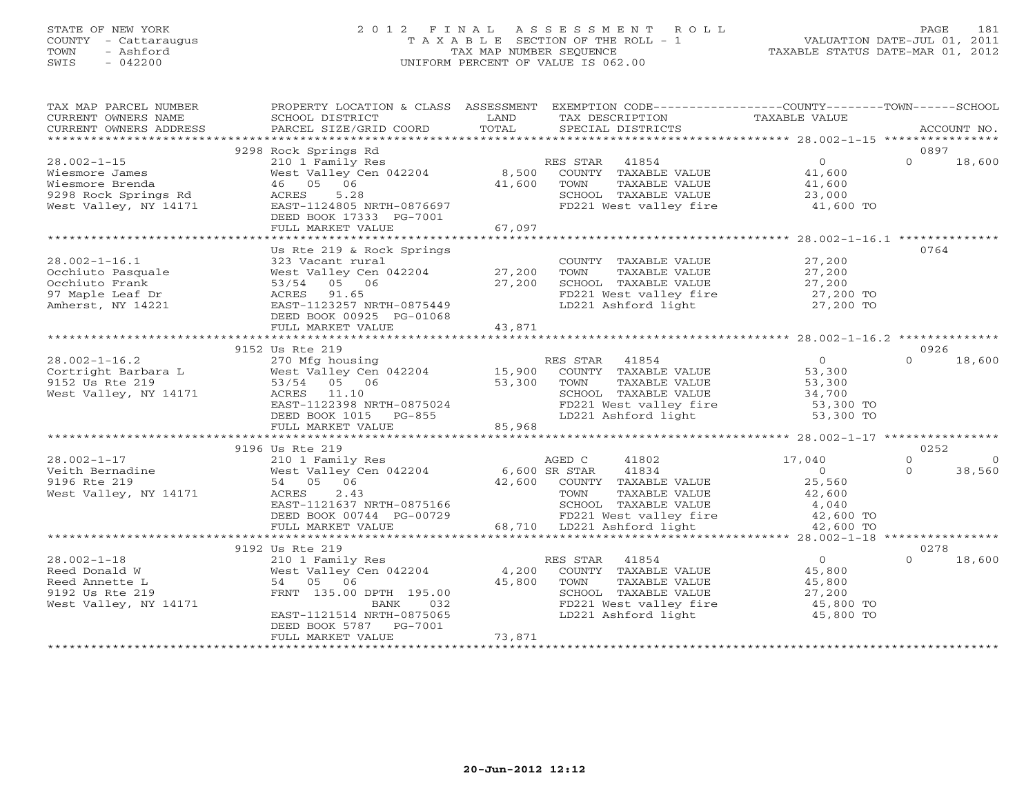## STATE OF NEW YORK 2 0 1 2 F I N A L A S S E S S M E N T R O L L PAGE 181 COUNTY - Cattaraugus T A X A B L E SECTION OF THE ROLL - 1 VALUATION DATE-JUL 01, 2011 TOWN - Ashford TAX MAP NUMBER SEQUENCE TAXABLE STATUS DATE-MAR 01, 2012 SWIS - 042200 UNIFORM PERCENT OF VALUE IS 062.00UNIFORM PERCENT OF VALUE IS 062.00

| TAX MAP PARCEL NUMBER<br>CURRENT OWNERS NAME                                                            | PROPERTY LOCATION & CLASS ASSESSMENT EXEMPTION CODE---------------COUNTY-------TOWN------SCHOOL<br>SCHOOL DISTRICT                                                                              | LAND                 | TAX DESCRIPTION                                                                                                                                                                                  | TAXABLE VALUE                      |                 |                |
|---------------------------------------------------------------------------------------------------------|-------------------------------------------------------------------------------------------------------------------------------------------------------------------------------------------------|----------------------|--------------------------------------------------------------------------------------------------------------------------------------------------------------------------------------------------|------------------------------------|-----------------|----------------|
|                                                                                                         | 9298 Rock Springs Rd                                                                                                                                                                            |                      |                                                                                                                                                                                                  |                                    | 0897            |                |
| $28.002 - 1 - 15$<br>Wiesmore James<br>Wiesmore Brenda<br>9298 Rock Springs Rd<br>West Valley, NY 14171 | 210 1 Family Res<br>West Valley Cen 042204 8,500 COUNTY TAXABLE VALUE 41,600<br>46 05 06<br>ACRES<br>5.28<br>EAST-1124805 NRTH-0876697<br>DEED BOOK 17333 PG-7001<br>FULL MARKET VALUE          | 41,600<br>67,097     | RES STAR 41854<br>TOWN<br>TAXABLE VALUE<br>SCHOOL TAXABLE VALUE 23,000<br>FD221 West valley fire 41,600 TO                                                                                       | $\overline{0}$<br>41,600           | $\Omega$        | 18,600         |
|                                                                                                         |                                                                                                                                                                                                 |                      |                                                                                                                                                                                                  |                                    |                 |                |
| $28.002 - 1 - 16.1$<br>Occhiuto Pasquale<br>Occhiuto Frank<br>97 Maple Leaf Dr<br>Amherst, NY 14221     | Us Rte 219 & Rock Springs<br>323 Vacant rural<br>West Valley Cen 042204 27,200<br>53/54 05 06<br>ACRES 91.65<br>EAST-1123257 NRTH-0875449<br>DEED BOOK 00925 PG-01068                           | $\frac{1}{27}$ , 200 | COUNTY TAXABLE VALUE 27,200<br>TOWN TAXABLE VALUE 27,200<br>SCHOOL TAXABLE VALUE 27,200<br>FD221 West valley fire 27,200 TO<br>FD221 West valley fire 27,200 TO<br>LD221 Ashford light 27,200 TO |                                    | 0764            |                |
|                                                                                                         | FULL MARKET VALUE                                                                                                                                                                               | 43,871               |                                                                                                                                                                                                  |                                    |                 |                |
|                                                                                                         | 9152 Us Rte 219                                                                                                                                                                                 |                      |                                                                                                                                                                                                  |                                    | 0926            |                |
| $28.002 - 1 - 16.2$<br>West Valley, NY 14171                                                            | 270 Mfg housing<br>ACKES 11.10<br>EAST-1122398 NRTH-0875024<br>DEED BOOK 1015 - DO 055<br>DEED BOOK 1015 PG-855<br>FULL MARKET VALUE 85,968                                                     |                      | RES STAR 41854<br>SCHOOL TAXABLE VALUE $\begin{array}{ccc} 34,700 \\ \text{FD221 West valley fire} \\ \text{LD221 Ashford light} \\ \end{array}$ 53,300 TO                                       | $\overline{0}$                     | $\Omega$        | 18,600         |
|                                                                                                         |                                                                                                                                                                                                 |                      |                                                                                                                                                                                                  |                                    |                 |                |
| $28.002 - 1 - 17$                                                                                       | 9196 Us Rte 219                                                                                                                                                                                 |                      | 41802                                                                                                                                                                                            | 17,040                             | 0252<br>$\circ$ | $\overline{0}$ |
| 20.002-1-17<br>Veith Bernadine<br>9196 Rte 219<br>9196 Rte 219<br>West Valley, NY 14171                 | 210 1 Family Res<br>West Valley Cen 042204 6,600 SR STAR<br>54 05 06 42.600 COUNTY<br>2.43<br>ACRES<br>ACRES 2.43<br>EAST-1121637 NRTH-0875166<br>DEED BOOK 00744 PG-00729<br>FULL MARKET VALUE |                      | 41834<br>42,600 COUNTY TAXABLE VALUE<br>TOWN<br>TAXABLE VALUE<br>-0875166 5CHOOL TAXABLE VALUE (4,040<br>24,040 FD221 West valley fire 42,600 TO<br>68,710 LD221 Ashford light 42,600 TO         | $\overline{0}$<br>25,560<br>42,600 | $\Omega$        | 38,560         |
|                                                                                                         | 9192 Us Rte 219                                                                                                                                                                                 |                      |                                                                                                                                                                                                  |                                    | 0278            |                |
| $28.002 - 1 - 18$<br>Reed Donald W<br>Reed Annette L<br>9192 Us Rte 219<br>West Valley, NY 14171        | 54 05 06<br>FRNT 135.00 DPTH 195.00<br>BANK<br>032<br>EAST-1121514 NRTH-0875065<br>DEED BOOK 5787 PG-7001<br>FULL MARKET VALUE                                                                  | 45,800<br>73,871     | TOWN<br>TAXABLE VALUE<br>SCHOOL TAXABLE VALUE $27,200$<br>FD221 West valley fire $45,800$ TO<br>LD221 Ashford light $45,800$ TO                                                                  | $\overline{0}$<br>45,800<br>45,800 | $\Omega$        | 18,600         |
|                                                                                                         |                                                                                                                                                                                                 |                      |                                                                                                                                                                                                  |                                    |                 |                |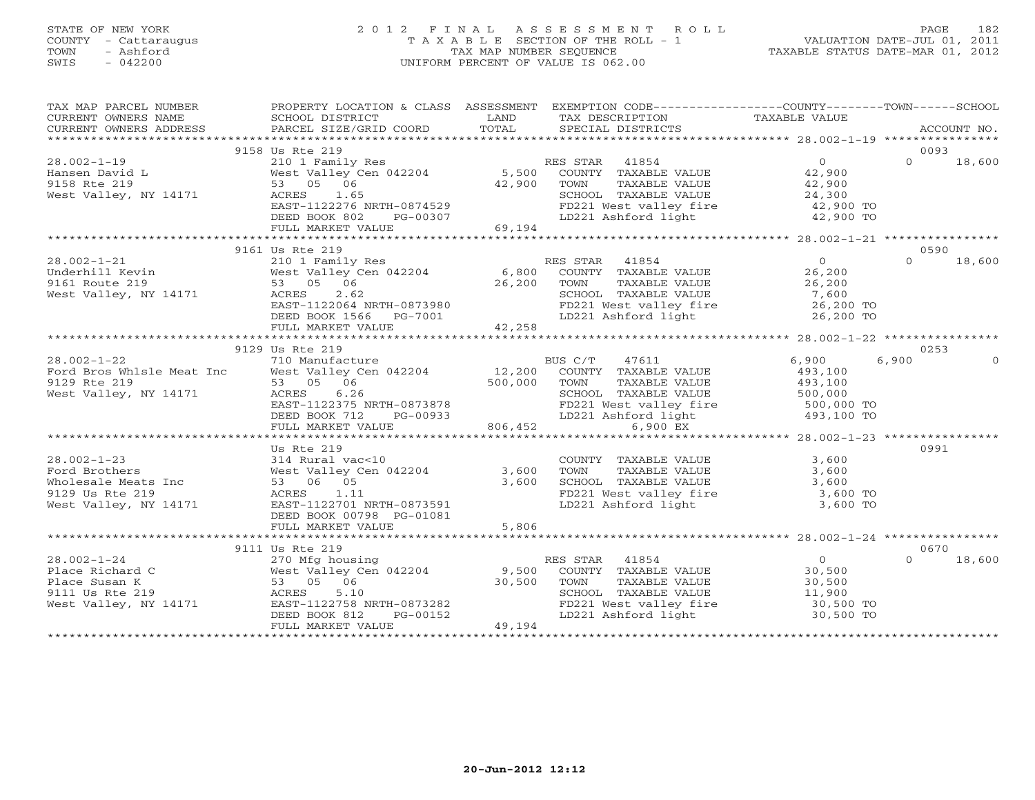## STATE OF NEW YORK 2 0 1 2 F I N A L A S S E S S M E N T R O L L PAGE 182 COUNTY - Cattaraugus T A X A B L E SECTION OF THE ROLL - 1 VALUATION DATE-JUL 01, 2011 TOWN - Ashford TAX MAP NUMBER SEQUENCE TAXABLE STATUS DATE-MAR 01, 2012 SWIS - 042200 UNIFORM PERCENT OF VALUE IS 062.00

| TAX MAP PARCEL NUMBER                                                                                                                                                                                                                                                               |                                                                                                                                                                |       | PROPERTY LOCATION & CLASS ASSESSMENT EXEMPTION CODE----------------COUNTY-------TOWN------SCHOOL                                                                                                                                                                            |         |                  |          |
|-------------------------------------------------------------------------------------------------------------------------------------------------------------------------------------------------------------------------------------------------------------------------------------|----------------------------------------------------------------------------------------------------------------------------------------------------------------|-------|-----------------------------------------------------------------------------------------------------------------------------------------------------------------------------------------------------------------------------------------------------------------------------|---------|------------------|----------|
| CURRENT OWNERS NAME SCHOOL DISTRICT                                                                                                                                                                                                                                                 |                                                                                                                                                                | LAND  | TAX DESCRIPTION TAXABLE VALUE                                                                                                                                                                                                                                               |         |                  |          |
| CURRENT OWNERS ADDRESS                                                                                                                                                                                                                                                              |                                                                                                                                                                |       |                                                                                                                                                                                                                                                                             |         |                  |          |
|                                                                                                                                                                                                                                                                                     |                                                                                                                                                                |       |                                                                                                                                                                                                                                                                             |         |                  |          |
|                                                                                                                                                                                                                                                                                     | 9158 Us Rte 219                                                                                                                                                |       |                                                                                                                                                                                                                                                                             |         | 0093<br>$\Omega$ |          |
| $28.002 - 1 - 19$                                                                                                                                                                                                                                                                   |                                                                                                                                                                |       |                                                                                                                                                                                                                                                                             |         |                  | 18,600   |
| Hansen David Land State Vest Valley C<br>9158 Rte 219 153 05 06                                                                                                                                                                                                                     |                                                                                                                                                                |       |                                                                                                                                                                                                                                                                             |         |                  |          |
| West Valley, NY 14171 ACRES 1.65                                                                                                                                                                                                                                                    |                                                                                                                                                                |       |                                                                                                                                                                                                                                                                             |         |                  |          |
|                                                                                                                                                                                                                                                                                     | 53 05 06 42,900 TOWN<br>ACRES 1.65 42,900 TOWN<br>EAST-1122276 NRTH-0874529 FD221                                                                              |       | SCHOOL TAXABLE VALUE<br>FD221 West valley fire $24,300$ TO<br>LD221 Ashford light $42,900$ TO                                                                                                                                                                               |         |                  |          |
|                                                                                                                                                                                                                                                                                     | DEED BOOK 802                                                                                                                                                  |       |                                                                                                                                                                                                                                                                             |         |                  |          |
|                                                                                                                                                                                                                                                                                     | $PG-00307$<br>LUE 69,194<br>FULL MARKET VALUE                                                                                                                  |       |                                                                                                                                                                                                                                                                             |         |                  |          |
|                                                                                                                                                                                                                                                                                     |                                                                                                                                                                |       |                                                                                                                                                                                                                                                                             |         |                  |          |
|                                                                                                                                                                                                                                                                                     | 9161 Us Rte 219                                                                                                                                                |       |                                                                                                                                                                                                                                                                             |         | 0590             |          |
| 38.002-1-21<br>28.002-1-21<br>29.002-1-21<br>26,200<br>26.200<br>26.200<br>26.200<br>26.200<br>26.200<br>26.200<br>26.200<br>26.200<br>26.200<br>26.200<br>26.200<br>26.200<br>26.200<br>26.200<br>26.200<br>26.200<br>26.200<br>26.200<br>26.200<br>26.200<br>26.200<br>26.200<br> |                                                                                                                                                                |       |                                                                                                                                                                                                                                                                             |         | $\cap$           | 18,600   |
|                                                                                                                                                                                                                                                                                     |                                                                                                                                                                |       |                                                                                                                                                                                                                                                                             |         |                  |          |
|                                                                                                                                                                                                                                                                                     |                                                                                                                                                                |       |                                                                                                                                                                                                                                                                             |         |                  |          |
|                                                                                                                                                                                                                                                                                     |                                                                                                                                                                |       |                                                                                                                                                                                                                                                                             |         |                  |          |
|                                                                                                                                                                                                                                                                                     |                                                                                                                                                                |       |                                                                                                                                                                                                                                                                             |         |                  |          |
|                                                                                                                                                                                                                                                                                     |                                                                                                                                                                |       |                                                                                                                                                                                                                                                                             |         |                  |          |
|                                                                                                                                                                                                                                                                                     | West Valley Cen 042204<br>53 05 06 06 26,200 TOWN<br>ACRES 2.62<br>EAST-1122064 NRTH-0873980 SCHOO<br>DEED BOOK 1566 PG-7001 12221<br>FULL MARKET VALUE 42,258 |       |                                                                                                                                                                                                                                                                             |         |                  |          |
|                                                                                                                                                                                                                                                                                     |                                                                                                                                                                |       |                                                                                                                                                                                                                                                                             |         |                  |          |
|                                                                                                                                                                                                                                                                                     | 9129 Us Rte 219                                                                                                                                                |       |                                                                                                                                                                                                                                                                             |         | 0253             |          |
|                                                                                                                                                                                                                                                                                     |                                                                                                                                                                |       |                                                                                                                                                                                                                                                                             | 6,900   | 6,900            | $\Omega$ |
|                                                                                                                                                                                                                                                                                     |                                                                                                                                                                |       |                                                                                                                                                                                                                                                                             | 493,100 |                  |          |
|                                                                                                                                                                                                                                                                                     |                                                                                                                                                                |       |                                                                                                                                                                                                                                                                             |         |                  |          |
|                                                                                                                                                                                                                                                                                     |                                                                                                                                                                |       |                                                                                                                                                                                                                                                                             |         |                  |          |
|                                                                                                                                                                                                                                                                                     |                                                                                                                                                                |       |                                                                                                                                                                                                                                                                             |         |                  |          |
|                                                                                                                                                                                                                                                                                     |                                                                                                                                                                |       |                                                                                                                                                                                                                                                                             |         |                  |          |
| 28.002-1-22<br>POLE Mailer Meat Inc and Manufacture<br>Ford Bros Whlsle Meat Inc West Valley Cen 042204<br>West Valley, NY 14171<br>Main Same Communication<br>Same Source and Mailey Cen 042204<br>Same Source SCROOL TAXABLE VALUE<br>Sam                                         |                                                                                                                                                                |       | FOWN TAXABLE VALUE<br>SCHOOL TAXABLE VALUE<br>SCHOOL TAXABLE VALUE<br>FD221 West valley fire<br>LD221 Ashford light<br>6,900 EX<br>FOR 193,100 TO                                                                                                                           |         |                  |          |
|                                                                                                                                                                                                                                                                                     |                                                                                                                                                                |       |                                                                                                                                                                                                                                                                             |         |                  |          |
|                                                                                                                                                                                                                                                                                     | Us Rte 219                                                                                                                                                     |       |                                                                                                                                                                                                                                                                             |         | 0991             |          |
|                                                                                                                                                                                                                                                                                     |                                                                                                                                                                |       |                                                                                                                                                                                                                                                                             |         |                  |          |
|                                                                                                                                                                                                                                                                                     |                                                                                                                                                                |       |                                                                                                                                                                                                                                                                             |         |                  |          |
|                                                                                                                                                                                                                                                                                     |                                                                                                                                                                |       |                                                                                                                                                                                                                                                                             |         |                  |          |
|                                                                                                                                                                                                                                                                                     |                                                                                                                                                                |       | COUNTY TAXABLE VALUE $\begin{array}{ccc} 3,600 \ \text{TOMN} & \text{TAXABLE VALUE} & 3,600 \ \text{SCHOOL} & \text{TAXABLE VALUE} & 3,600 \ \text{FD221 West valley fire} & 3,600 \ \text{LD221 Ashford light} & 3,600 \ \text{LO221 Ashford light} & 3,600 \ \end{array}$ |         |                  |          |
|                                                                                                                                                                                                                                                                                     |                                                                                                                                                                |       |                                                                                                                                                                                                                                                                             |         |                  |          |
|                                                                                                                                                                                                                                                                                     | DEED BOOK 00798 PG-01081                                                                                                                                       |       |                                                                                                                                                                                                                                                                             |         |                  |          |
|                                                                                                                                                                                                                                                                                     | FULL MARKET VALUE                                                                                                                                              | 5,806 |                                                                                                                                                                                                                                                                             |         |                  |          |
|                                                                                                                                                                                                                                                                                     |                                                                                                                                                                |       |                                                                                                                                                                                                                                                                             |         |                  |          |
|                                                                                                                                                                                                                                                                                     | 9111 Us Rte 219                                                                                                                                                |       |                                                                                                                                                                                                                                                                             |         | 0670             |          |
|                                                                                                                                                                                                                                                                                     |                                                                                                                                                                |       | RES STAR 41854                                                                                                                                                                                                                                                              |         | $\Omega$         | 18,600   |
| 28.002-1-24 270 Mfg housing RI<br>Place Richard C West Valley Cen 042204 9,500<br>Place Susan K 53 05 06 30,500<br>9111 Us Rte 219 ACRES 5.10<br>West Valley, NY 14171 EAST-1122758 NRTH-0873282                                                                                    |                                                                                                                                                                |       | ES STAR 41854 0<br>COUNTY TAXABLE VALUE 30,500                                                                                                                                                                                                                              |         |                  |          |
|                                                                                                                                                                                                                                                                                     |                                                                                                                                                                |       |                                                                                                                                                                                                                                                                             |         |                  |          |
|                                                                                                                                                                                                                                                                                     |                                                                                                                                                                |       |                                                                                                                                                                                                                                                                             |         |                  |          |
|                                                                                                                                                                                                                                                                                     |                                                                                                                                                                |       | TOWN TAXABLE VALUE $30,500$<br>SCHOOL TAXABLE VALUE 11,900<br>FD221 West valley fire $30,500$ TO<br>LD221 Ashford light $30,500$ TO                                                                                                                                         |         |                  |          |
|                                                                                                                                                                                                                                                                                     | WEST VALLEY CENTREL 042204<br>ACRES 5.10<br>EAST-1122758 NRTH-0873282<br>DEED BOOK 812 PG-00152<br>FULL MARKET VALUE 49,194                                    |       |                                                                                                                                                                                                                                                                             |         |                  |          |
|                                                                                                                                                                                                                                                                                     |                                                                                                                                                                |       |                                                                                                                                                                                                                                                                             |         |                  |          |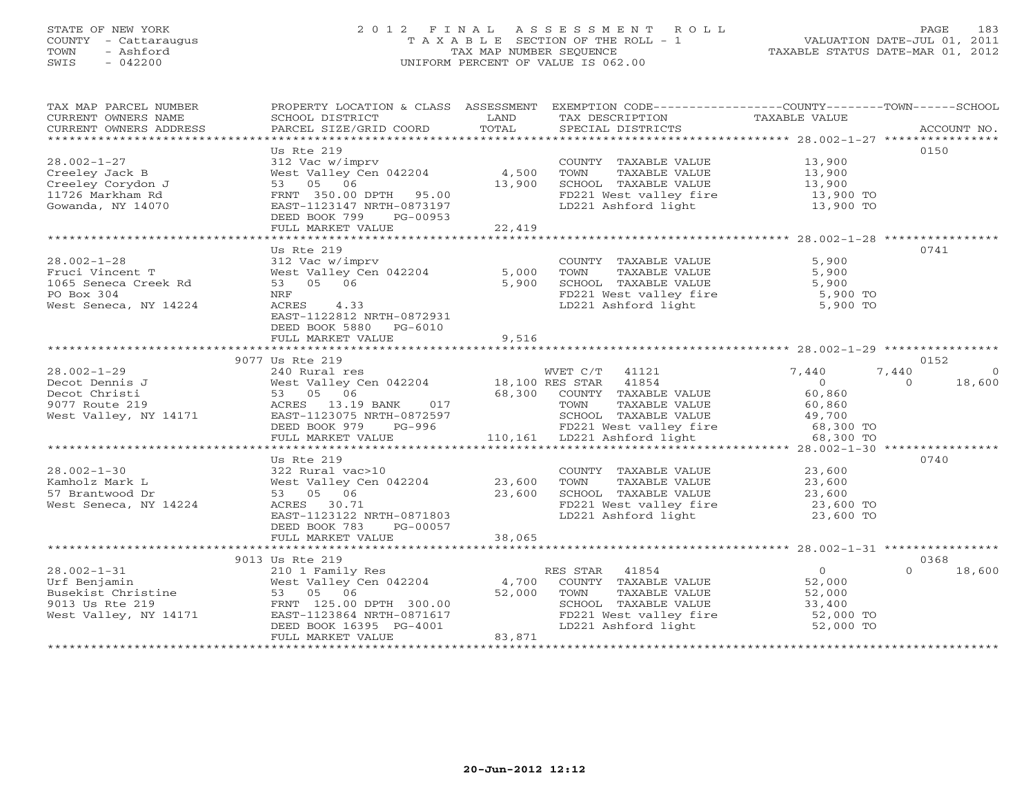## STATE OF NEW YORK 2 0 1 2 F I N A L A S S E S S M E N T R O L L PAGE 183 COUNTY - Cattaraugus T A X A B L E SECTION OF THE ROLL - 1 VALUATION DATE-JUL 01, 2011 TOWN - Ashford TAX MAP NUMBER SEQUENCE TAXABLE STATUS DATE-MAR 01, 2012 SWIS - 042200 UNIFORM PERCENT OF VALUE IS 062.00UNIFORM PERCENT OF VALUE IS 062.00

| TAX MAP PARCEL NUMBER<br>CURRENT OWNERS NAME<br>CURRENT OWNERS ADDRESS | PROPERTY LOCATION & CLASS ASSESSMENT EXEMPTION CODE---------------COUNTY-------TOWN------SCHOOL<br>SCHOOL DISTRICT<br>PARCEL SIZE/GRID COORD | LAND<br>TOTAL | TAX DESCRIPTION<br>SPECIAL DISTRICTS                                                       | TAXABLE VALUE            | ACCOUNT NO.        |
|------------------------------------------------------------------------|----------------------------------------------------------------------------------------------------------------------------------------------|---------------|--------------------------------------------------------------------------------------------|--------------------------|--------------------|
|                                                                        |                                                                                                                                              |               |                                                                                            |                          |                    |
|                                                                        | Us Rte 219                                                                                                                                   |               |                                                                                            |                          | 0150               |
| $28.002 - 1 - 27$                                                      | 312 Vac w/imprv                                                                                                                              |               | COUNTY TAXABLE VALUE                                                                       | 13,900                   |                    |
| Creeley Jack B                                                         | West Valley Cen 042204                                                                                                                       | 4,500         | TOWN<br>TAXABLE VALUE                                                                      | 13,900                   |                    |
| Creeley Corydon J                                                      | 53 05 06                                                                                                                                     | 13,900        | SCHOOL TAXABLE VALUE                                                                       | 13,900<br>13,900         |                    |
| 11726 Markham Rd                                                       | FRNT 350.00 DPTH 95.00                                                                                                                       |               | FD221 West valley fire<br>T.D221 Ashford light                                             | 13,900 TO<br>13,900 TO   |                    |
| Gowanda, NY 14070                                                      | EAST-1123147 NRTH-0873197<br>DEED BOOK 799                                                                                                   |               |                                                                                            |                          |                    |
|                                                                        | PG-00953<br>FULL MARKET VALUE                                                                                                                | 22,419        |                                                                                            |                          |                    |
|                                                                        |                                                                                                                                              |               |                                                                                            |                          |                    |
|                                                                        | Us Rte 219                                                                                                                                   |               |                                                                                            |                          | 0741               |
| $28.002 - 1 - 28$                                                      | 312 Vac w/imprv                                                                                                                              |               | COUNTY TAXABLE VALUE                                                                       | 5,900                    |                    |
| Fruci Vincent T                                                        | West Valley Cen 042204                                                                                                                       | 5,000         | TOWN<br>TAXABLE VALUE                                                                      | 5,900                    |                    |
| 1065 Seneca Creek Rd                                                   | 53 05 06                                                                                                                                     | 5,900         |                                                                                            | 5,900                    |                    |
| PO Box 304                                                             | NRF                                                                                                                                          |               |                                                                                            | $5,900$ TO<br>5,900 TO   |                    |
| West Seneca, NY 14224                                                  | ACRES<br>4.33                                                                                                                                |               | SCHOOL TAXABLE VALUE<br>FD221 West valley fire<br>LD221 Ashford light                      | 5,900 TO                 |                    |
|                                                                        | EAST-1122812 NRTH-0872931                                                                                                                    |               |                                                                                            |                          |                    |
|                                                                        | DEED BOOK 5880 PG-6010                                                                                                                       |               |                                                                                            |                          |                    |
|                                                                        |                                                                                                                                              |               |                                                                                            |                          |                    |
|                                                                        | 9077 Us Rte 219                                                                                                                              |               |                                                                                            |                          | 0152               |
| $28.002 - 1 - 29$                                                      | 240 Rural res                                                                                                                                |               | WVET C/T<br>41121                                                                          | 7,440                    | 7,440<br>$\Omega$  |
| Decot Dennis J                                                         | West Valley Cen 042204 18,100 RES STAR 41854                                                                                                 |               |                                                                                            | $\Omega$                 | $\Omega$<br>18,600 |
| Decot Christi                                                          | 53 05 06                                                                                                                                     | 68,300        | COUNTY TAXABLE VALUE                                                                       | 60,860                   |                    |
| 9077 Route 219                                                         | ACRES 13.19 BANK<br>017                                                                                                                      |               | TOWN<br>TAXABLE VALUE                                                                      | 60,860                   |                    |
| West Valley, NY 14171                                                  | EAST-1123075 NRTH-0872597                                                                                                                    |               |                                                                                            |                          |                    |
|                                                                        | DEED BOOK 979<br>PG-996                                                                                                                      |               |                                                                                            | 49,700<br>68,300 TO      |                    |
|                                                                        | FULL MARKET VALUE                                                                                                                            |               |                                                                                            | 68,300 TO                |                    |
|                                                                        |                                                                                                                                              |               |                                                                                            |                          |                    |
| $28.002 - 1 - 30$                                                      | Us Rte 219<br>322 Rural vac>10                                                                                                               |               | COUNTY TAXABLE VALUE                                                                       | 23,600                   | 0740               |
| Kamholz Mark L                                                         | West Valley Cen 042204 23,600                                                                                                                |               | TOWN<br>TAXABLE VALUE                                                                      | 23,600                   |                    |
| 57 Brantwood Dr                                                        | 53 05 06                                                                                                                                     | 23,600        | SCHOOL TAXABLE VALUE                                                                       | 23,600                   |                    |
| West Seneca, NY 14224                                                  | ACRES 30.71                                                                                                                                  |               |                                                                                            |                          |                    |
|                                                                        | EAST-1123122 NRTH-0871803                                                                                                                    |               | FD221 West valley fire $23,600$ TO<br>LD221 Ashford light 23,600 TO<br>LD221 Ashford light | 23,600 TO                |                    |
|                                                                        | DEED BOOK 783<br>PG-00057                                                                                                                    |               |                                                                                            |                          |                    |
|                                                                        | FULL MARKET VALUE                                                                                                                            | 38,065        |                                                                                            |                          |                    |
|                                                                        | ********************************                                                                                                             |               |                                                                                            |                          |                    |
|                                                                        | 9013 Us Rte 219                                                                                                                              |               |                                                                                            |                          | 0368               |
| $28.002 - 1 - 31$<br>Urf Benjamin                                      | 210 1 Family Res<br>West Valley Cen 042204                                                                                                   | 4,700         | 41854<br>RES STAR<br>COUNTY TAXABLE VALUE                                                  | $\overline{0}$<br>52,000 | 18,600<br>$\Omega$ |
| Busekist Christine                                                     | 53 05 06                                                                                                                                     | 52,000        | TAXABLE VALUE<br>TOWN                                                                      | 52,000                   |                    |
| 9013 Us Rte 219                                                        | FRNT 125.00 DPTH 300.00                                                                                                                      |               | SCHOOL TAXABLE VALUE                                                                       | 33,400                   |                    |
| West Valley, NY 14171                                                  | EAST-1123864 NRTH-0871617                                                                                                                    |               | FD221 West valley fire                                                                     | 52,000 TO                |                    |
|                                                                        | DEED BOOK 16395 PG-4001                                                                                                                      |               | LD221 Ashford light                                                                        | 52,000 TO                |                    |
|                                                                        | FULL MARKET VALUE                                                                                                                            | 83,871        |                                                                                            |                          |                    |
|                                                                        |                                                                                                                                              |               |                                                                                            |                          |                    |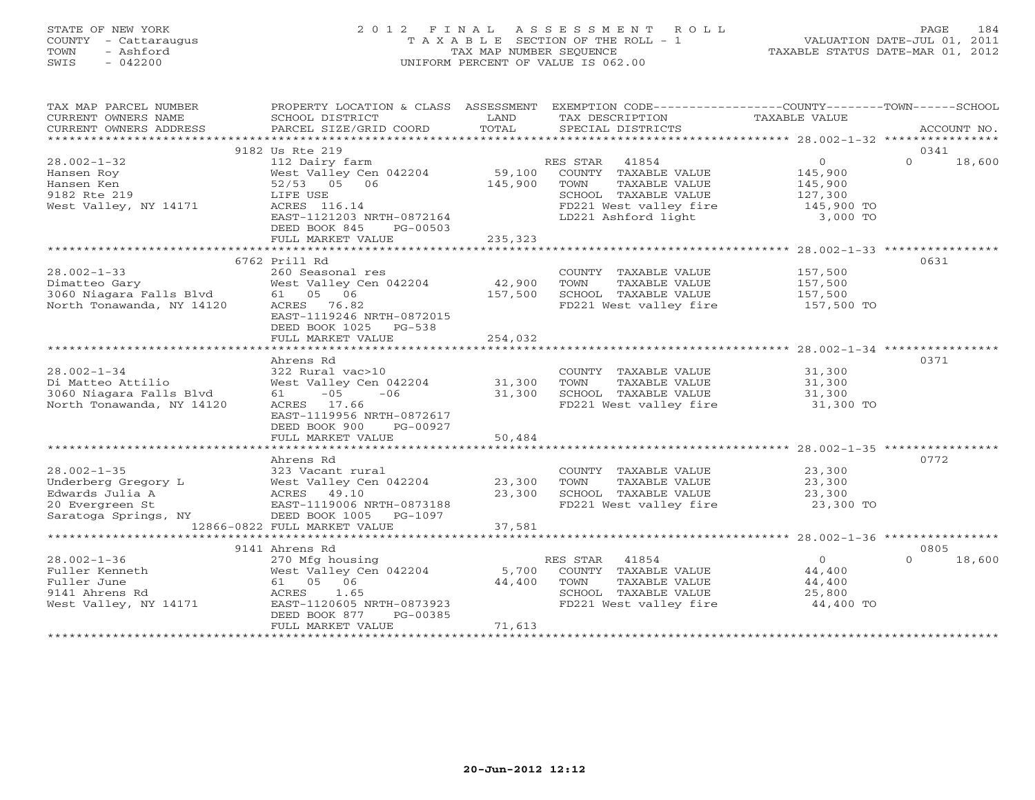## STATE OF NEW YORK 2 0 1 2 F I N A L A S S E S S M E N T R O L L PAGE 184 COUNTY - Cattaraugus T A X A B L E SECTION OF THE ROLL - 1 VALUATION DATE-JUL 01, 2011 TOWN - Ashford TAX MAP NUMBER SEQUENCE TAXABLE STATUS DATE-MAR 01, 2012 SWIS - 042200 UNIFORM PERCENT OF VALUE IS 062.00UNIFORM PERCENT OF VALUE IS 062.00

| TAX MAP PARCEL NUMBER<br>CURRENT OWNERS NAME<br>CURRENT OWNERS ADDRESS                                                                                                      | PROPERTY LOCATION & CLASS ASSESSMENT EXEMPTION CODE--------------COUNTY-------TOWN------SCHOOL<br>SCHOOL DISTRICT<br>PARCEL SIZE/GRID COORD | <b>LAND</b><br>TOTAL | TAX DESCRIPTION<br>SPECIAL DISTRICTS                                                              | TAXABLE VALUE                         | ACCOUNT NO.                |
|-----------------------------------------------------------------------------------------------------------------------------------------------------------------------------|---------------------------------------------------------------------------------------------------------------------------------------------|----------------------|---------------------------------------------------------------------------------------------------|---------------------------------------|----------------------------|
|                                                                                                                                                                             |                                                                                                                                             |                      |                                                                                                   |                                       |                            |
| $28.002 - 1 - 32$<br>Hansen Roy                                                                                                                                             | 9182 Us Rte 219<br>112 Dairy farm                                                                                                           |                      | RES STAR 41854<br>COUNTY TAXABLE VALUE                                                            | $\overline{0}$<br>145,900             | 0341<br>$\Omega$<br>18,600 |
| Hansen Ken                                                                                                                                                                  | West Valley Cen 042204 59,100<br>52/53 05 06                                                                                                | 145,900              | TOWN<br>TAXABLE VALUE                                                                             | 145,900                               |                            |
| 9182 Rte 219<br>West Valley, NY 14171                                                                                                                                       | LIFE USE<br>ACRES 116.14                                                                                                                    |                      | SCHOOL TAXABLE VALUE<br>FD221 West valley fire<br>T.D221 Nest valley fire<br>T.D221 Ashford light | $\frac{127}{145}$ , 300<br>145,900 TO |                            |
|                                                                                                                                                                             | EAST-1121203 NRTH-0872164<br>DEED BOOK 845<br>PG-00503                                                                                      |                      |                                                                                                   | 3,000 TO                              |                            |
|                                                                                                                                                                             | FULL MARKET VALUE                                                                                                                           | 235,323              |                                                                                                   |                                       |                            |
|                                                                                                                                                                             | 6762 Prill Rd                                                                                                                               |                      |                                                                                                   |                                       | 0631                       |
| $28.002 - 1 - 33$                                                                                                                                                           | 260 Seasonal res                                                                                                                            |                      |                                                                                                   |                                       |                            |
|                                                                                                                                                                             |                                                                                                                                             |                      | COUNTY TAXABLE VALUE<br>TAXABLE VALUE<br>TOWN                                                     | 157,500<br>157,500                    |                            |
|                                                                                                                                                                             |                                                                                                                                             |                      |                                                                                                   |                                       |                            |
|                                                                                                                                                                             |                                                                                                                                             |                      | SCHOOL TAXABLE VALUE 157,500<br>FD221 West valley fire 157,500 TO<br>FD221 West valley fire       |                                       |                            |
|                                                                                                                                                                             | EAST-1119246 NRTH-0872015                                                                                                                   |                      |                                                                                                   |                                       |                            |
|                                                                                                                                                                             | DEED BOOK 1025 PG-538                                                                                                                       |                      |                                                                                                   |                                       |                            |
|                                                                                                                                                                             | FULL MARKET VALUE                                                                                                                           | 254,032              |                                                                                                   |                                       |                            |
|                                                                                                                                                                             |                                                                                                                                             |                      |                                                                                                   |                                       |                            |
|                                                                                                                                                                             | Ahrens Rd                                                                                                                                   |                      |                                                                                                   |                                       | 0371                       |
| $28.002 - 1 - 34$                                                                                                                                                           | 322 Rural vac>10                                                                                                                            |                      | COUNTY TAXABLE VALUE                                                                              | 31,300                                |                            |
| Di Matteo Attilio                                                                                                                                                           | West Valley Cen 042204 31,300                                                                                                               |                      | TOWN                                                                                              | TAXABLE VALUE 31,300                  |                            |
| 3060 Niagara Falls Blyd                                                                                                                                                     | $61 -05 -06$                                                                                                                                | 31,300               | SCHOOL TAXABLE VALUE 31,300<br>FD221 West valley fire 31,300 TO                                   |                                       |                            |
| North Tonawanda, NY 14120                                                                                                                                                   | ACRES 17.66                                                                                                                                 |                      |                                                                                                   |                                       |                            |
|                                                                                                                                                                             | EAST-1119956 NRTH-0872617                                                                                                                   |                      |                                                                                                   |                                       |                            |
|                                                                                                                                                                             | DEED BOOK 900<br>PG-00927                                                                                                                   |                      |                                                                                                   |                                       |                            |
|                                                                                                                                                                             | FULL MARKET VALUE                                                                                                                           | 50,484               |                                                                                                   |                                       |                            |
|                                                                                                                                                                             |                                                                                                                                             |                      |                                                                                                   |                                       |                            |
|                                                                                                                                                                             | Ahrens Rd                                                                                                                                   |                      |                                                                                                   |                                       | 0772                       |
|                                                                                                                                                                             |                                                                                                                                             |                      | COUNTY TAXABLE VALUE                                                                              | 23,300                                |                            |
|                                                                                                                                                                             |                                                                                                                                             |                      | TOWN                                                                                              | TAXABLE VALUE 23,300                  |                            |
| 28.002-1-35<br>Underberg Gregory L 323 Vacant rural<br>Edwards Julia A 1 23,300<br>20 Evergreen St EAST-1119006 NRTH-0873188<br>Saratoga Springs, NY DEED BOOK 1005 PG-1097 |                                                                                                                                             |                      | SCHOOL TAXABLE VALUE                                                                              | 23,300                                |                            |
|                                                                                                                                                                             |                                                                                                                                             |                      | FD221 West valley fire 23,300 TO                                                                  |                                       |                            |
|                                                                                                                                                                             |                                                                                                                                             |                      |                                                                                                   |                                       |                            |
|                                                                                                                                                                             | 12866-0822 FULL MARKET VALUE                                                                                                                | 37,581               |                                                                                                   |                                       |                            |
|                                                                                                                                                                             |                                                                                                                                             |                      |                                                                                                   |                                       |                            |
| $28.002 - 1 - 36$                                                                                                                                                           | 9141 Ahrens Rd<br>270 Mfg housing                                                                                                           |                      |                                                                                                   | $\overline{0}$                        | 0805<br>$\Omega$           |
| Fuller Kenneth                                                                                                                                                              | West Valley Cen 042204                                                                                                                      | 5,700                | RES STAR 41854<br>COUNTY TAXABLE VALUE 44,400                                                     |                                       | 18,600                     |
| Fuller June                                                                                                                                                                 | 61 05 06                                                                                                                                    | 44,400               | TAXABLE VALUE<br>TOWN                                                                             | 44,400                                |                            |
| 9141 Ahrens Rd                                                                                                                                                              | ACRES<br>1.65                                                                                                                               |                      | SCHOOL TAXABLE VALUE                                                                              | 25,800                                |                            |
| West Valley, NY 14171                                                                                                                                                       | EAST-1120605 NRTH-0873923                                                                                                                   |                      | FD221 West valley fire 44,400 TO                                                                  |                                       |                            |
|                                                                                                                                                                             | DEED BOOK 877<br>PG-00385                                                                                                                   |                      |                                                                                                   |                                       |                            |
|                                                                                                                                                                             | FULL MARKET VALUE                                                                                                                           | 71,613               |                                                                                                   |                                       |                            |
|                                                                                                                                                                             |                                                                                                                                             |                      |                                                                                                   |                                       |                            |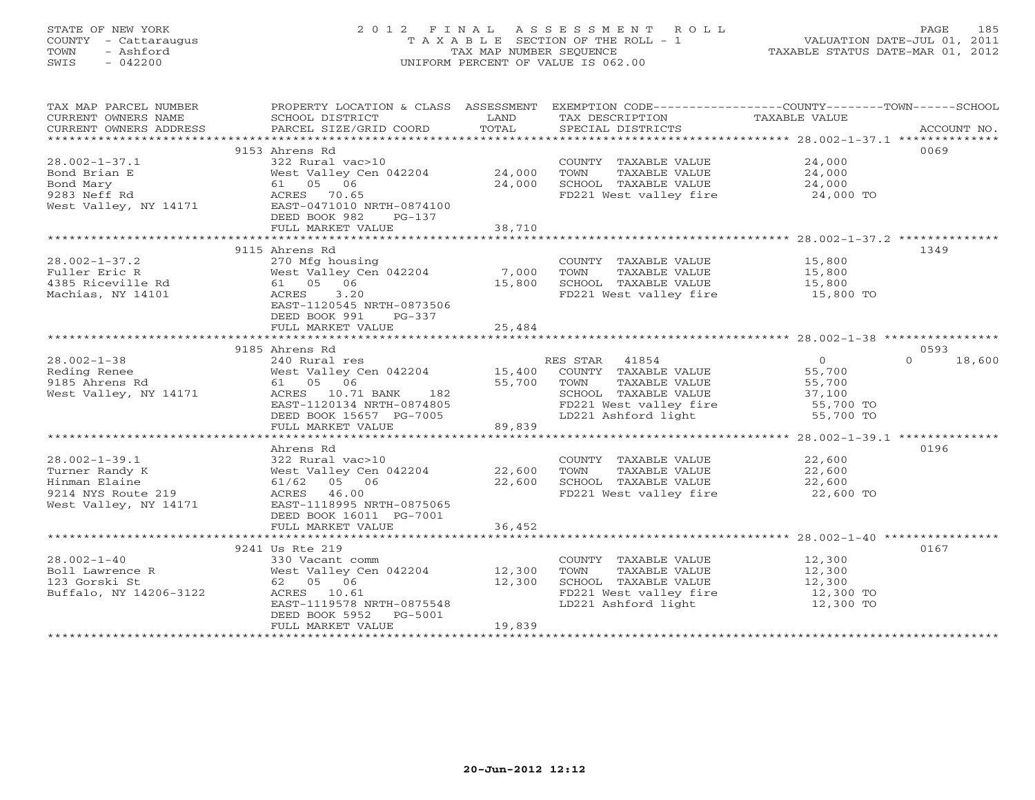## STATE OF NEW YORK 2 0 1 2 F I N A L A S S E S S M E N T R O L L PAGE 185 COUNTY - Cattaraugus T A X A B L E SECTION OF THE ROLL - 1 VALUATION DATE-JUL 01, 2011 TOWN - Ashford TAX MAP NUMBER SEQUENCE TAXABLE STATUS DATE-MAR 01, 2012 SWIS - 042200 UNIFORM PERCENT OF VALUE IS 062.00UNIFORM PERCENT OF VALUE IS 062.00

| TAX MAP PARCEL NUMBER<br>CURRENT OWNERS NAME<br>CURRENT OWNERS ADDRESS | PROPERTY LOCATION & CLASS ASSESSMENT EXEMPTION CODE---------------COUNTY-------TOWN------SCHOOL<br>SCHOOL DISTRICT<br>PARCEL SIZE/GRID COORD | LAND<br>TOTAL | TAX DESCRIPTION TAXABLE VALUE<br>SPECIAL DISTRICTS              |                      | ACCOUNT NO.        |
|------------------------------------------------------------------------|----------------------------------------------------------------------------------------------------------------------------------------------|---------------|-----------------------------------------------------------------|----------------------|--------------------|
|                                                                        |                                                                                                                                              |               |                                                                 |                      |                    |
|                                                                        | 9153 Ahrens Rd                                                                                                                               |               |                                                                 |                      | 0069               |
| $28.002 - 1 - 37.1$                                                    | 322 Rural vac>10                                                                                                                             |               | COUNTY TAXABLE VALUE                                            | $24,000$<br>$24,000$ |                    |
| Bond Brian E                                                           | West Valley Cen 042204 24,000                                                                                                                |               | TOWN<br>TAXABLE VALUE                                           |                      |                    |
| Bond Mary                                                              | 61 05 06                                                                                                                                     | 24,000        | SCHOOL TAXABLE VALUE                                            | 24,000               |                    |
| 9283 Neff Rd                                                           | ACRES 70.65                                                                                                                                  |               | FD221 West valley fire                                          | 24,000 TO            |                    |
| West Valley, NY 14171                                                  | EAST-0471010 NRTH-0874100                                                                                                                    |               |                                                                 |                      |                    |
|                                                                        | DEED BOOK 982<br>$PG-137$                                                                                                                    |               |                                                                 |                      |                    |
|                                                                        | FULL MARKET VALUE                                                                                                                            | 38,710        |                                                                 |                      |                    |
|                                                                        |                                                                                                                                              |               |                                                                 |                      |                    |
|                                                                        | 9115 Ahrens Rd                                                                                                                               |               |                                                                 |                      | 1349               |
| $28.002 - 1 - 37.2$                                                    | 270 Mfg housing                                                                                                                              |               | COUNTY TAXABLE VALUE                                            | 15,800               |                    |
|                                                                        | West Valley Cen 042204 7,000                                                                                                                 |               |                                                                 |                      |                    |
| Fuller Eric R                                                          |                                                                                                                                              |               | TAXABLE VALUE<br>TOWN                                           | 15,800               |                    |
| 4385 Riceville Rd                                                      | 61  05  06                                                                                                                                   | 15,800        | SCHOOL TAXABLE VALUE                                            | 15,800               |                    |
| Machias, NY 14101                                                      | 3.20<br>ACRES                                                                                                                                |               | FD221 West valley fire 15,800 TO                                |                      |                    |
|                                                                        | EAST-1120545 NRTH-0873506                                                                                                                    |               |                                                                 |                      |                    |
|                                                                        | DEED BOOK 991<br>PG-337                                                                                                                      |               |                                                                 |                      |                    |
|                                                                        | FULL MARKET VALUE                                                                                                                            | 25,484        |                                                                 |                      |                    |
|                                                                        |                                                                                                                                              |               |                                                                 |                      |                    |
|                                                                        | 9185 Ahrens Rd                                                                                                                               |               |                                                                 |                      | 0593               |
| $28.002 - 1 - 38$                                                      | 240 Rural res                                                                                                                                |               | RES STAR 41854                                                  | $\overline{0}$       | 18,600<br>$\Omega$ |
| Reding Renee                                                           | West Valley Cen 042204 15,400 COUNTY TAXABLE VALUE<br>61 05 06 55,700 TOWN TAXABLE VALUE                                                     |               |                                                                 | 55,700               |                    |
| 9185 Ahrens Rd                                                         |                                                                                                                                              |               |                                                                 | 55,700               |                    |
| West Valley, NY 14171                                                  | ACRES 10.71 BANK 182                                                                                                                         |               | SCHOOL TAXABLE VALUE 37,100<br>FD221 West valley fire 55,700 TO |                      |                    |
|                                                                        | EAST-1120134 NRTH-0874805                                                                                                                    |               |                                                                 |                      |                    |
|                                                                        | DEED BOOK 15657 PG-7005                                                                                                                      |               | LD221 Ashford light                                             | 55,700 TO            |                    |
|                                                                        | FULL MARKET VALUE                                                                                                                            | 89,839        |                                                                 |                      |                    |
|                                                                        |                                                                                                                                              |               |                                                                 |                      |                    |
|                                                                        | Ahrens Rd                                                                                                                                    |               |                                                                 |                      | 0196               |
| $28.002 - 1 - 39.1$                                                    | 322 Rural vac>10                                                                                                                             |               | COUNTY TAXABLE VALUE                                            | 22,600               |                    |
| Turner Randy K                                                         | West Valley Cen 042204                                                                                                                       | 22,600        | TOWN<br>TAXABLE VALUE                                           | 22,600               |                    |
| Hinman Elaine                                                          | 05 06<br>61/62                                                                                                                               | 22,600        | SCHOOL TAXABLE VALUE                                            | 22,600               |                    |
| 9214 NYS Route 219                                                     | ACRES 46.00                                                                                                                                  |               | FD221 West valley fire                                          | 22,600 TO            |                    |
| West Valley, NY 14171                                                  | EAST-1118995 NRTH-0875065                                                                                                                    |               |                                                                 |                      |                    |
|                                                                        | DEED BOOK 16011 PG-7001                                                                                                                      |               |                                                                 |                      |                    |
|                                                                        | FULL MARKET VALUE                                                                                                                            | 36,452        |                                                                 |                      |                    |
|                                                                        |                                                                                                                                              |               |                                                                 |                      |                    |
|                                                                        | 9241 Us Rte 219                                                                                                                              |               |                                                                 |                      | 0167               |
| $28.002 - 1 - 40$                                                      | 330 Vacant comm                                                                                                                              |               | COUNTY TAXABLE VALUE                                            | 12,300               |                    |
| Boll Lawrence R                                                        | West Valley Cen 042204 12,300                                                                                                                |               | TOWN<br>TAXABLE VALUE                                           | 12,300               |                    |
| 123 Gorski St                                                          | 62 05 06                                                                                                                                     | 12,300        | SCHOOL TAXABLE VALUE                                            | 12,300               |                    |
| Buffalo, NY 14206-3122                                                 | ACRES 10.61                                                                                                                                  |               | FD221 West valley fire                                          | 12,300 TO            |                    |
|                                                                        | EAST-1119578 NRTH-0875548                                                                                                                    |               | LD221 Ashford light                                             | 12,300 TO            |                    |
|                                                                        | DEED BOOK 5952<br>PG-5001                                                                                                                    |               |                                                                 |                      |                    |
|                                                                        | FULL MARKET VALUE                                                                                                                            | 19,839        |                                                                 |                      |                    |
| *************************                                              |                                                                                                                                              |               |                                                                 |                      |                    |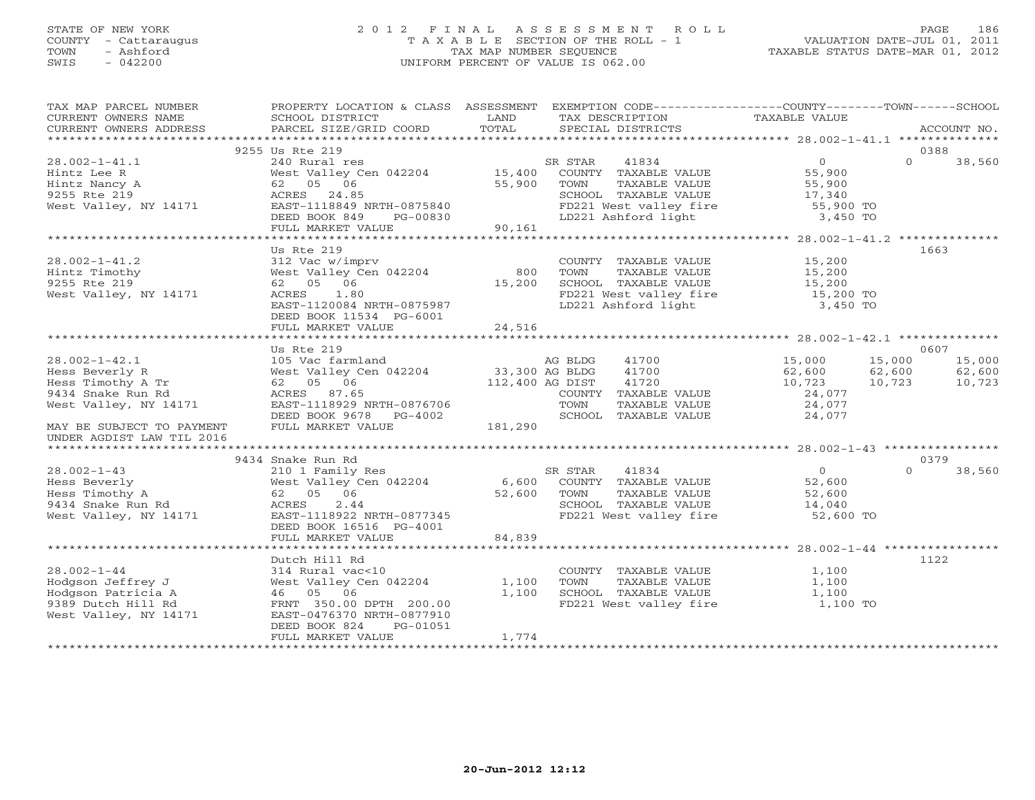## STATE OF NEW YORK 2 0 1 2 F I N A L A S S E S S M E N T R O L L PAGE 186 COUNTY - Cattaraugus T A X A B L E SECTION OF THE ROLL - 1 VALUATION DATE-JUL 01, 2011 TOWN - Ashford TAX MAP NUMBER SEQUENCE TAXABLE STATUS DATE-MAR 01, 2012 SWIS - 042200 UNIFORM PERCENT OF VALUE IS 062.00UNIFORM PERCENT OF VALUE IS 062.00

| TAX MAP PARCEL NUMBER<br>CURRENT OWNERS NAME<br>CURRENT OWNERS ADDRESS                                                                | PROPERTY LOCATION & CLASS ASSESSMENT EXEMPTION CODE---------------COUNTY-------TOWN------SCHOOL<br>SCHOOL DISTRICT<br>PARCEL SIZE/GRID COORD                                                          | LAND<br>TOTAL                                | TAX DESCRIPTION<br>SPECIAL DISTRICTS                                                                                      | TAXABLE VALUE                                                           |                            | ACCOUNT NO.                          |
|---------------------------------------------------------------------------------------------------------------------------------------|-------------------------------------------------------------------------------------------------------------------------------------------------------------------------------------------------------|----------------------------------------------|---------------------------------------------------------------------------------------------------------------------------|-------------------------------------------------------------------------|----------------------------|--------------------------------------|
|                                                                                                                                       |                                                                                                                                                                                                       |                                              |                                                                                                                           |                                                                         |                            |                                      |
|                                                                                                                                       | 9255 Us Rte 219                                                                                                                                                                                       |                                              |                                                                                                                           |                                                                         | 0388                       |                                      |
| $28.002 - 1 - 41.1$<br>Hintz Lee R<br>Hintz Nancy A<br>9255 Rte 219<br>West Valley, NY 14171                                          | 240 Rural res<br>West Valley Cen 042204 15,400 COUNTY TAXABLE VALUE<br>62 05 06<br>ACRES 24.85<br>EAST-1118849 NRTH-0875840<br>DEED BOOK 849<br>PG-00830                                              | 55,900<br>90, 161                            | SR STAR<br>41834<br>TOWN<br>TAXABLE VALUE<br>SCHOOL TAXABLE VALUE<br>FD221 West valley fire<br>LD221 Ashford light        | $\overline{0}$<br>55,900<br>55,900<br>17,340<br>$55,900$ TO<br>3,450 TO | $\Omega$                   | 38,560                               |
|                                                                                                                                       | FULL MARKET VALUE                                                                                                                                                                                     |                                              |                                                                                                                           |                                                                         |                            |                                      |
| $28.002 - 1 - 41.2$<br>Hintz Timothy<br>9255 Rte 219<br>West Valley, NY 14171                                                         | Us Rte 219<br>312 Vac w/imprv<br>West Valley Cen 042204<br>62 05 06<br>ACRES 1.80<br>EAST-1120084 NRTH-0875987<br>DEED BOOK 11534 PG-6001                                                             | 800<br>15,200                                | COUNTY TAXABLE VALUE<br>TOWN     TAXABLE VALUE<br>SCHOOL TAXABLE VALUE<br>FD221 West valley fire<br>LD221 Ashford light   | 15,200<br>15,200<br>15,200<br>15,200 TO<br>3,450 TO                     | 1663                       |                                      |
|                                                                                                                                       | FULL MARKET VALUE                                                                                                                                                                                     | 24,516                                       |                                                                                                                           |                                                                         |                            |                                      |
|                                                                                                                                       | Us Rte 219                                                                                                                                                                                            |                                              |                                                                                                                           |                                                                         | 0607                       |                                      |
| $28.002 - 1 - 42.1$<br>Hess Beverly R<br>Hess Timothy A Tr<br>9434 Snake Run Rd<br>West Valley, NY 14171<br>MAY BE SUBJECT TO PAYMENT | 105 Vac farmland<br>West Valley Cen 042204<br>62 05 06<br>ACRES 87.65<br>EAST-1118929 NRTH-0876706<br>DEED BOOK 9678 PG-4002<br>FULL MARKET VALUE                                                     | 33,300 AG BLDG<br>112,400 AG DIST<br>181,290 | AG BLDG<br>41700<br>41700<br>41720<br>COUNTY TAXABLE VALUE<br>TOWN<br>TAXABLE VALUE<br>SCHOOL TAXABLE VALUE               | 15,000<br>62,600<br>10,723<br>24,077<br>24,077<br>24,077                | 15,000<br>62,600<br>10,723 | 15,000<br>62,600<br>62,600<br>10,723 |
| UNDER AGDIST LAW TIL 2016                                                                                                             |                                                                                                                                                                                                       |                                              |                                                                                                                           |                                                                         |                            |                                      |
|                                                                                                                                       |                                                                                                                                                                                                       |                                              |                                                                                                                           |                                                                         |                            |                                      |
|                                                                                                                                       | 9434 Snake Run Rd                                                                                                                                                                                     |                                              |                                                                                                                           |                                                                         | 0379                       |                                      |
| $28.002 - 1 - 43$<br>Hess Beverly<br>Hess Timothy A<br>9434 Snake Run Rd<br>West Valley, NY 14171                                     | 210 1 Family Res<br>West Valley Cen 042204<br>62 05 06<br>ACRES<br>2.44<br>EAST-1118922 NRTH-0877345<br>DEED BOOK 16516 PG-4001<br>FULL MARKET VALUE                                                  | 52,600<br>84,839                             | SR STAR<br>41834<br>6,600 COUNTY TAXABLE VALUE<br>TOWN<br>TAXABLE VALUE<br>SCHOOL TAXABLE VALUE<br>FD221 West valley fire | $\overline{0}$<br>52,600<br>52,600<br>14,040<br>$52,600$ TO             | $\Omega$                   | 38,560                               |
|                                                                                                                                       |                                                                                                                                                                                                       |                                              |                                                                                                                           |                                                                         |                            |                                      |
| $28.002 - 1 - 44$<br>Hodgson Jeffrey J<br>Hodgson Patricia A<br>9389 Dutch Hill Rd<br>West Valley, NY 14171                           | Dutch Hill Rd<br>314 Rural vac<10<br>314 Rufai Vac<10<br>West Valley Cen 042204<br>46 05 06<br>FRNT 350.00 DPTH 200.00<br>EAST-0476370 NRTH-0877910<br>DEED BOOK 824<br>PG-01051<br>FULL MARKET VALUE | 1,100<br>1,100<br>1,774                      | COUNTY TAXABLE VALUE<br>TAXABLE VALUE<br>TOWN<br>SCHOOL TAXABLE VALUE<br>FD221 West valley fire                           | 1,100<br>1,100<br>1,100<br>1,100 TO                                     | 1122                       |                                      |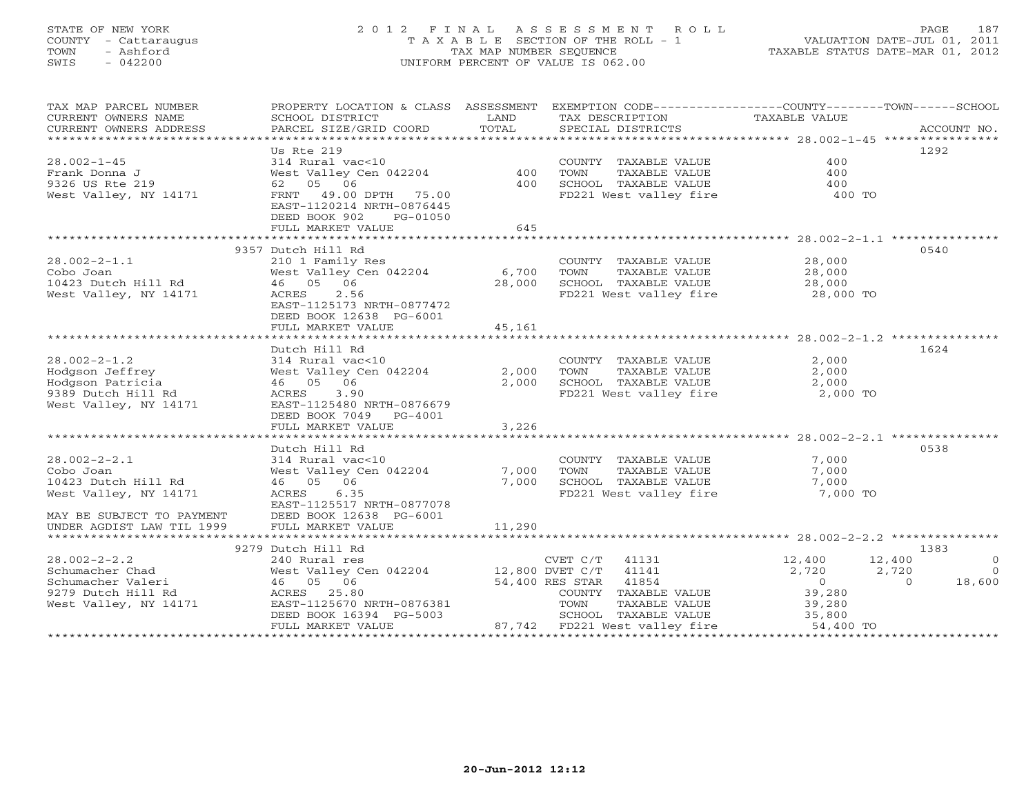# STATE OF NEW YORK 2 0 1 2 F I N A L A S S E S S M E N T R O L L PAGE 187 COUNTY - Cattaraugus T A X A B L E SECTION OF THE ROLL - 1 VALUATION DATE-JUL 01, 2011 TOWN - Ashford COMPUTER SEQUENCE TAX MAP NUMBER SEQUENCE TAXABLE STATUS DATE-MAR 01, 2012<br>
TAX MAP NUMBER SEQUENCE TAXABLE STATUS DATE-MAR 01, 2012<br>
SWIS - 042200 SWIS - 042200 UNIFORM PERCENT OF VALUE IS 062.00

| TAX MAP PARCEL NUMBER<br>CURRENT OWNERS NAME<br>CURRENT OWNERS ADDRESS | PROPERTY LOCATION & CLASS ASSESSMENT EXEMPTION CODE---------------COUNTY-------TOWN-----SCHOOL<br>SCHOOL DISTRICT<br>PARCEL SIZE/GRID COORD | <b>EXAMPLE SERVICE SERVICE SERVICE SERVICE SERVICE SERVICE SERVICE SERVICE SERVICE SERVICE SERVICE SERVICE SERVICE</b><br>TOTAL | TAX DESCRIPTION TAXABLE VALUE<br>SPECIAL DISTRICTS                  |                                              | ACCOUNT NO.              |
|------------------------------------------------------------------------|---------------------------------------------------------------------------------------------------------------------------------------------|---------------------------------------------------------------------------------------------------------------------------------|---------------------------------------------------------------------|----------------------------------------------|--------------------------|
| $28.002 - 1 - 45$<br>Frank Donna J                                     | Us Rte 219<br>314 Rural vac<10<br>West Valley Cen 042204                                                                                    | 400                                                                                                                             | COUNTY TAXABLE VALUE<br>TOWN<br>TAXABLE VALUE                       | 400<br>400                                   | 1292                     |
| 9326 US Rte 219<br>West Valley, NY 14171                               | 62 05 06<br>FRNT 49.00 DPTH 75.00<br>EAST-1120214 NRTH-0876445<br>DEED BOOK 902<br>PG-01050                                                 | 400<br>645                                                                                                                      | SCHOOL TAXABLE VALUE<br>FD221 West valley fire                      | 400<br>400 TO                                |                          |
|                                                                        | FULL MARKET VALUE                                                                                                                           |                                                                                                                                 |                                                                     |                                              |                          |
|                                                                        | 9357 Dutch Hill Rd                                                                                                                          |                                                                                                                                 |                                                                     |                                              | 0540                     |
| $28.002 - 2 - 1.1$                                                     | 210 1 Family Res                                                                                                                            |                                                                                                                                 | COUNTY TAXABLE VALUE 28,000                                         |                                              |                          |
|                                                                        | West Valley Cen $042204$ 6,700                                                                                                              |                                                                                                                                 | TOWN                                                                | TAXABLE VALUE 28,000<br>TAXABLE VALUE 28,000 |                          |
| Cobo Joan<br>10423 Dutch Hill Rd                                       | 46 05 06                                                                                                                                    | 28,000                                                                                                                          | SCHOOL TAXABLE VALUE                                                |                                              |                          |
| West Valley, NY 14171                                                  | ACRES<br>2.56<br>EAST-1125173 NRTH-0877472<br>DEED BOOK 12638 PG-6001                                                                       |                                                                                                                                 | FD221 West valley fire 28,000 TO                                    |                                              |                          |
|                                                                        | FULL MARKET VALUE                                                                                                                           | 45,161                                                                                                                          |                                                                     |                                              |                          |
|                                                                        |                                                                                                                                             |                                                                                                                                 |                                                                     |                                              |                          |
|                                                                        | Dutch Hill Rd                                                                                                                               |                                                                                                                                 |                                                                     |                                              | 1624                     |
| $28.002 - 2 - 1.2$                                                     | 314 Rural vac<10<br>314 Rural vac<br>West Valley C<br>46 05 06                                                                              |                                                                                                                                 | COUNTY TAXABLE VALUE                                                | 2,000                                        |                          |
| Hodgson Jeffrey<br>Hodgson Patricia                                    | West Valley Cen 042204                                                                                                                      | 2,000<br>2,000                                                                                                                  | TOWN<br>TAXABLE VALUE<br>SCHOOL TAXABLE VALUE                       | 2,000<br>2,000                               |                          |
| 9389 Dutch Hill Rd                                                     | ACRES<br>3.90                                                                                                                               |                                                                                                                                 |                                                                     |                                              |                          |
| West Valley, NY 14171                                                  | EAST-1125480 NRTH-0876679                                                                                                                   |                                                                                                                                 | FD221 West valley fire 2,000 TO                                     |                                              |                          |
|                                                                        | DEED BOOK 7049 PG-4001                                                                                                                      |                                                                                                                                 |                                                                     |                                              |                          |
|                                                                        | FULL MARKET VALUE                                                                                                                           | 3,226                                                                                                                           |                                                                     |                                              |                          |
|                                                                        |                                                                                                                                             |                                                                                                                                 |                                                                     |                                              |                          |
|                                                                        | Dutch Hill Rd                                                                                                                               |                                                                                                                                 |                                                                     |                                              | 0538                     |
| $28.002 - 2 - 2.1$                                                     |                                                                                                                                             |                                                                                                                                 | COUNTY TAXABLE VALUE                                                | 7,000                                        |                          |
| Cobo Joan                                                              | 314 Rural vac<10<br>West Valley Cen 042204                                                                                                  | 7,000                                                                                                                           | TOWN<br>TAXABLE VALUE                                               | 7,000                                        |                          |
| 10423 Dutch Hill Rd                                                    | 46 05 06                                                                                                                                    | 7,000                                                                                                                           | SCHOOL TAXABLE VALUE                                                | 7,000                                        |                          |
| West Valley, NY 14171                                                  | ACRES 6.35                                                                                                                                  |                                                                                                                                 | FD221 West valley fire                                              | 7,000 TO                                     |                          |
|                                                                        | EAST-1125517 NRTH-0877078                                                                                                                   |                                                                                                                                 |                                                                     |                                              |                          |
| MAY BE SUBJECT TO PAYMENT                                              | DEED BOOK 12638 PG-6001                                                                                                                     |                                                                                                                                 |                                                                     |                                              |                          |
| UNDER AGDIST LAW TIL 1999                                              | FULL MARKET VALUE                                                                                                                           | 11,290                                                                                                                          |                                                                     |                                              |                          |
|                                                                        |                                                                                                                                             |                                                                                                                                 |                                                                     |                                              |                          |
|                                                                        | 9279 Dutch Hill Rd                                                                                                                          |                                                                                                                                 |                                                                     |                                              | 1383<br>$\circ$          |
| $28.002 - 2 - 2.2$                                                     | 240 Rural res<br>West Valley Cen 042204 12,800 DVET C/T 41141                                                                               |                                                                                                                                 | CVET $C/T$ 41131                                                    | 12,400<br>12,400                             |                          |
| Schumacher Chad<br>Schumacher Valeri                                   | 46 05 06                                                                                                                                    |                                                                                                                                 | 54,400 RES STAR 41854                                               | 2,720<br>2,720<br>$\overline{0}$<br>$\Omega$ | $\overline{0}$<br>18,600 |
| 9279 Dutch Hill Rd                                                     | ACRES 25.80                                                                                                                                 |                                                                                                                                 | COUNTY TAXABLE VALUE                                                | 39,280                                       |                          |
| West Valley, NY 14171                                                  | EAST-1125670 NRTH-0876381                                                                                                                   |                                                                                                                                 | TOWN                                                                |                                              |                          |
|                                                                        | DEED BOOK 16394 PG-5003                                                                                                                     |                                                                                                                                 | TAXADID V.L.<br>TAXABLE VALUE<br>----------<br>SCHOOL TAXABLE VALUE | 39,280<br>35,800                             |                          |
|                                                                        | FULL MARKET VALUE                                                                                                                           |                                                                                                                                 | 87,742 FD221 West valley fire                                       | $54,400$ TO                                  |                          |
|                                                                        |                                                                                                                                             |                                                                                                                                 |                                                                     |                                              |                          |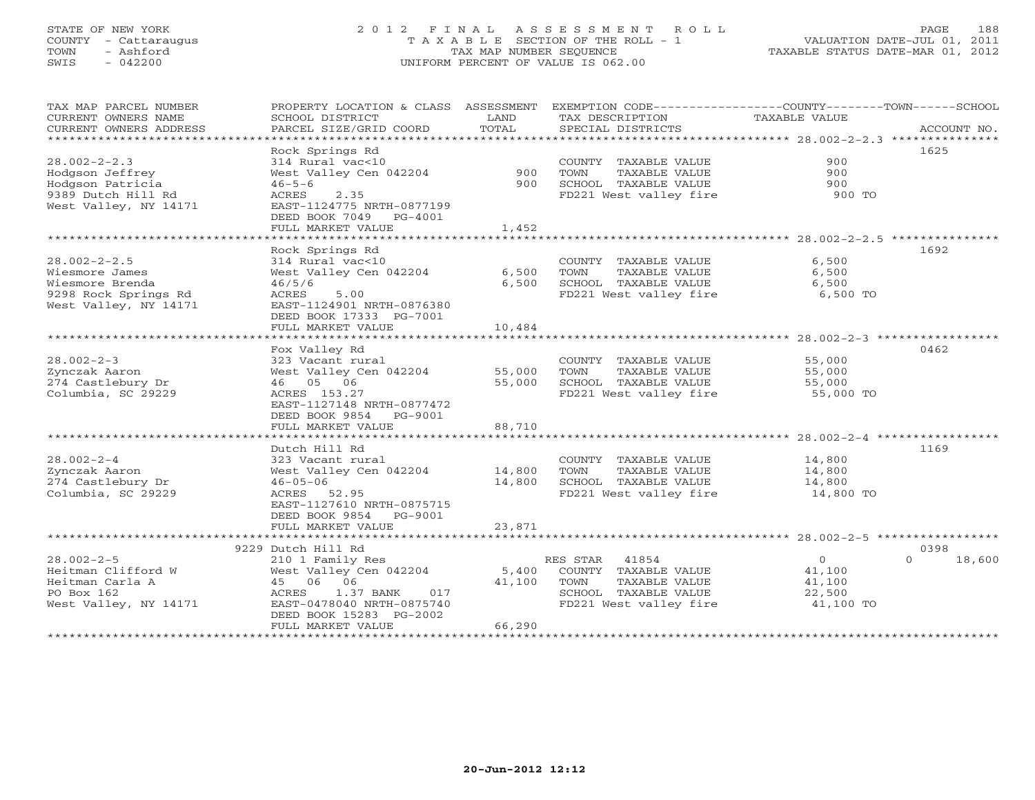# STATE OF NEW YORK 2 0 1 2 F I N A L A S S E S S M E N T R O L L PAGE 188 COUNTY - Cattaraugus T A X A B L E SECTION OF THE ROLL - 1 VALUATION DATE-JUL 01, 2011 TOWN - Ashford TAX MAP NUMBER SEQUENCE TAXABLE STATUS DATE-MAR 01, 2012 SWIS - 042200 UNIFORM PERCENT OF VALUE IS 062.00UNIFORM PERCENT OF VALUE IS 062.00

| TAX MAP PARCEL NUMBER<br>CURRENT OWNERS NAME<br>CURRENT OWNERS ADDRESS                                   | PROPERTY LOCATION & CLASS ASSESSMENT<br>SCHOOL DISTRICT<br>PARCEL SIZE/GRID COORD                                                                                                      | LAND<br>TOTAL              | EXEMPTION CODE-----------------COUNTY-------TOWN-----SCHOOL<br>TAX DESCRIPTION<br>SPECIAL DISTRICTS                  | TAXABLE VALUE                                      | ACCOUNT NO.                |
|----------------------------------------------------------------------------------------------------------|----------------------------------------------------------------------------------------------------------------------------------------------------------------------------------------|----------------------------|----------------------------------------------------------------------------------------------------------------------|----------------------------------------------------|----------------------------|
| $28.002 - 2 - 2.3$<br>Hodgson Jeffrey<br>Hodgson Patricia<br>9389 Dutch Hill Rd<br>West Valley, NY 14171 | Rock Springs Rd<br>314 Rural vac<10<br>West Valley Cen 042204<br>$46 - 5 - 6$<br>ACRES<br>2.35<br>EAST-1124775 NRTH-0877199<br>DEED BOOK 7049 PG-4001<br>FULL MARKET VALUE             | 900<br>900<br>1,452        | COUNTY TAXABLE VALUE<br>TAXABLE VALUE<br>TOWN<br>SCHOOL TAXABLE VALUE<br>FD221 West valley fire                      | 900<br>900<br>900<br>900 TO                        | 1625                       |
| $28.002 - 2 - 2.5$<br>Wiesmore James<br>Wiesmore Brenda<br>9298 Rock Springs Rd<br>West Valley, NY 14171 | Rock Springs Rd<br>314 Rural vac<10<br>West Valley Cen 042204<br>46/5/6<br>ACRES<br>5.00<br>EAST-1124901 NRTH-0876380<br>DEED BOOK 17333 PG-7001<br>FULL MARKET VALUE                  | 6,500<br>6,500<br>10,484   | COUNTY TAXABLE VALUE<br>TOWN<br>TAXABLE VALUE<br>SCHOOL TAXABLE VALUE<br>FD221 West valley fire                      | 6,500<br>6,500<br>6,500<br>6,500 TO                | 1692                       |
| $28.002 - 2 - 3$<br>Zynczak Aaron<br>274 Castlebury Dr<br>Columbia, SC 29229                             | Fox Valley Rd<br>323 Vacant rural<br>West Valley Cen 042204<br>46 05 06<br>ACRES 153.27<br>EAST-1127148 NRTH-0877472<br>DEED BOOK 9854 PG-9001<br>FULL MARKET VALUE                    | 55,000<br>55,000<br>88,710 | COUNTY TAXABLE VALUE<br>TOWN<br>TAXABLE VALUE<br>SCHOOL TAXABLE VALUE<br>FD221 West valley fire                      | 55,000<br>55,000<br>55,000<br>55,000 TO            | 0462                       |
| $28.002 - 2 - 4$<br>Zynczak Aaron<br>274 Castlebury Dr<br>Columbia, SC 29229                             | Dutch Hill Rd<br>323 Vacant rural<br>West Valley Cen 042204<br>$46 - 05 - 06$<br>ACRES 52.95<br>EAST-1127610 NRTH-0875715<br>DEED BOOK 9854 PG-9001<br>FULL MARKET VALUE               | 14,800<br>14,800<br>23,871 | COUNTY TAXABLE VALUE<br>TOWN<br>TAXABLE VALUE<br>SCHOOL TAXABLE VALUE<br>FD221 West valley fire                      | 14,800<br>14,800<br>14,800<br>14,800 TO            | 1169                       |
| $28.002 - 2 - 5$<br>Heitman Clifford W<br>Heitman Carla A<br>PO Box 162<br>West Valley, NY 14171         | 9229 Dutch Hill Rd<br>210 1 Family Res<br>West Valley Cen 042204<br>45 06 06<br>1.37 BANK<br>017<br>ACRES<br>EAST-0478040 NRTH-0875740<br>DEED BOOK 15283 PG-2002<br>FULL MARKET VALUE | 5,400<br>41,100<br>66,290  | RES STAR<br>41854<br>COUNTY TAXABLE VALUE<br>TOWN<br>TAXABLE VALUE<br>SCHOOL TAXABLE VALUE<br>FD221 West valley fire | $\circ$<br>41,100<br>41,100<br>22,500<br>41,100 TO | 0398<br>18,600<br>$\Omega$ |
|                                                                                                          |                                                                                                                                                                                        |                            |                                                                                                                      |                                                    |                            |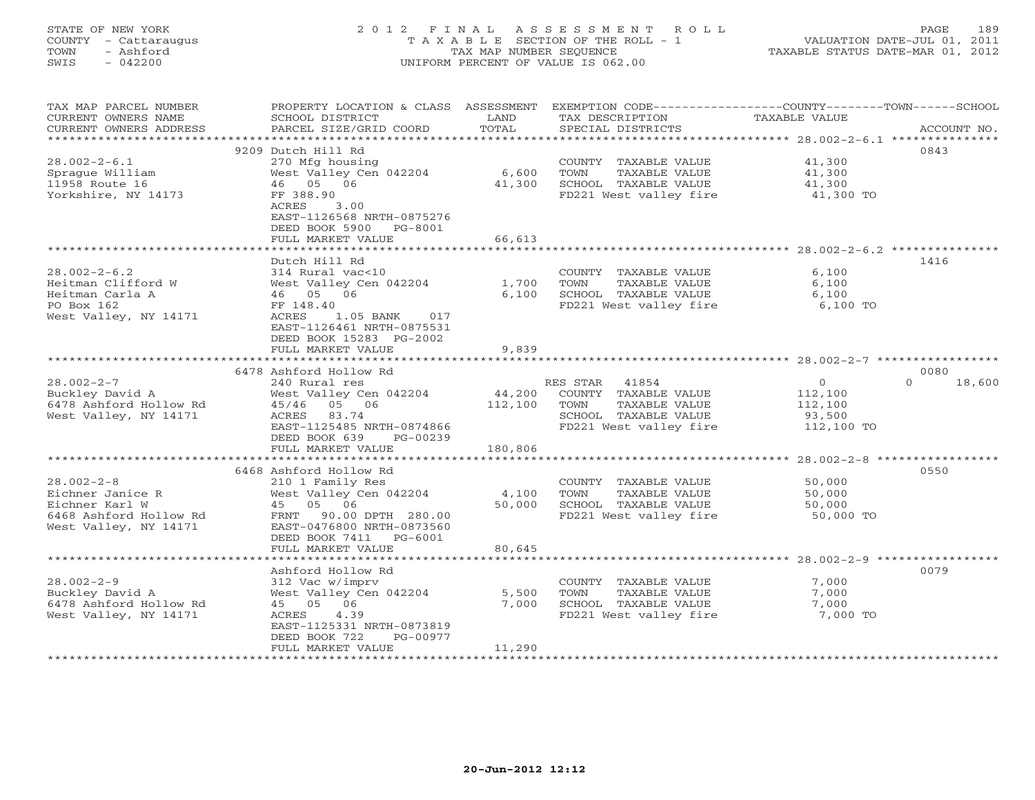## STATE OF NEW YORK 2 0 1 2 F I N A L A S S E S S M E N T R O L L PAGE 189 COUNTY - Cattaraugus T A X A B L E SECTION OF THE ROLL - 1 VALUATION DATE-JUL 01, 2011 TOWN - Ashford TAX MAP NUMBER SEQUENCE TAXABLE STATUS DATE-MAR 01, 2012 SWIS - 042200 UNIFORM PERCENT OF VALUE IS 062.00UNIFORM PERCENT OF VALUE IS 062.00

| TAX MAP PARCEL NUMBER                         | PROPERTY LOCATION & CLASS ASSESSMENT |                | EXEMPTION CODE-----------------COUNTY-------TOWN------SCHOOL |                                                         |                    |
|-----------------------------------------------|--------------------------------------|----------------|--------------------------------------------------------------|---------------------------------------------------------|--------------------|
| CURRENT OWNERS NAME                           | SCHOOL DISTRICT                      | LAND           | TAX DESCRIPTION                                              | TAXABLE VALUE                                           |                    |
| CURRENT OWNERS ADDRESS<br>******************* | PARCEL SIZE/GRID COORD               | TOTAL          | SPECIAL DISTRICTS                                            |                                                         | ACCOUNT NO.        |
|                                               |                                      |                |                                                              |                                                         |                    |
|                                               | 9209 Dutch Hill Rd                   |                |                                                              |                                                         | 0843               |
| $28.002 - 2 - 6.1$                            | 270 Mfg housing                      |                | COUNTY TAXABLE VALUE                                         | 41,300                                                  |                    |
| Spraque William                               | West Valley Cen 042204               | 6,600          | TOWN<br>TAXABLE VALUE                                        | 41,300                                                  |                    |
| 11958 Route 16                                | 46 05 06                             | 41,300         | SCHOOL TAXABLE VALUE                                         | 41,300                                                  |                    |
| Yorkshire, NY 14173                           | FF 388.90                            |                | FD221 West valley fire                                       | 41,300 TO                                               |                    |
|                                               | ACRES<br>3.00                        |                |                                                              |                                                         |                    |
|                                               | EAST-1126568 NRTH-0875276            |                |                                                              |                                                         |                    |
|                                               | DEED BOOK 5900 PG-8001               |                |                                                              |                                                         |                    |
|                                               | FULL MARKET VALUE                    | 66,613         |                                                              |                                                         |                    |
|                                               |                                      |                |                                                              |                                                         |                    |
|                                               | Dutch Hill Rd                        |                |                                                              |                                                         | 1416               |
| $28.002 - 2 - 6.2$                            | 314 Rural vac<10                     |                | COUNTY TAXABLE VALUE                                         | 6.100                                                   |                    |
| Heitman Clifford W                            | West Valley Cen 042204               | 1,700          | TAXABLE VALUE<br>TOWN                                        | 6,100                                                   |                    |
| Heitman Carla A                               | 46 05 06                             | 6.100          | SCHOOL TAXABLE VALUE                                         | 6,100                                                   |                    |
| PO Box 162                                    | FF 148.40                            |                | FD221 West valley fire                                       | 6,100 TO                                                |                    |
| West Valley, NY 14171                         | ACRES<br>$1.05$ BANK<br>017          |                |                                                              |                                                         |                    |
|                                               | EAST-1126461 NRTH-0875531            |                |                                                              |                                                         |                    |
|                                               | DEED BOOK 15283 PG-2002              |                |                                                              |                                                         |                    |
|                                               | FULL MARKET VALUE                    | 9,839          |                                                              |                                                         |                    |
|                                               | ********************************     |                |                                                              |                                                         |                    |
|                                               | 6478 Ashford Hollow Rd               |                |                                                              |                                                         | 0080               |
| $28.002 - 2 - 7$                              | 240 Rural res                        |                | RES STAR 41854                                               | $\circ$                                                 | $\Omega$<br>18,600 |
| Buckley David A                               | West Valley Cen 042204               | 44,200         | COUNTY TAXABLE VALUE                                         | 112,100                                                 |                    |
| 6478 Ashford Hollow Rd                        | 45/46 05 06                          | 112,100        | TOWN<br>TAXABLE VALUE                                        | 112,100                                                 |                    |
| West Valley, NY 14171                         | ACRES 83.74                          |                | SCHOOL TAXABLE VALUE                                         | 93,500                                                  |                    |
|                                               | EAST-1125485 NRTH-0874866            |                | FD221 West valley fire                                       | 112,100 TO                                              |                    |
|                                               | DEED BOOK 639<br>PG-00239            |                |                                                              |                                                         |                    |
|                                               | FULL MARKET VALUE                    | 180,806        |                                                              | ************************ 28.002-2-8 ******************  |                    |
|                                               |                                      |                |                                                              |                                                         |                    |
|                                               | 6468 Ashford Hollow Rd               |                |                                                              |                                                         | 0550               |
| $28.002 - 2 - 8$                              | 210 1 Family Res                     |                | COUNTY TAXABLE VALUE                                         | 50,000                                                  |                    |
| Eichner Janice R                              | West Valley Cen 042204               | 4,100          | TAXABLE VALUE<br>TOWN                                        | 50,000                                                  |                    |
| Eichner Karl W                                | 45 05 06                             | 50,000         | SCHOOL TAXABLE VALUE                                         | 50,000                                                  |                    |
| 6468 Ashford Hollow Rd                        | FRNT 90.00 DPTH 280.00               |                | FD221 West valley fire                                       | 50,000 TO                                               |                    |
| West Valley, NY 14171                         | EAST-0476800 NRTH-0873560            |                |                                                              |                                                         |                    |
|                                               | DEED BOOK 7411<br>PG-6001            |                |                                                              |                                                         |                    |
|                                               | FULL MARKET VALUE                    | 80,645         |                                                              | ************************* 28.002-2-9 ****************** |                    |
|                                               |                                      |                |                                                              |                                                         | 0079               |
| $28.002 - 2 - 9$                              | Ashford Hollow Rd                    |                | COUNTY TAXABLE VALUE                                         | 7,000                                                   |                    |
|                                               | 312 Vac w/imprv                      |                | TOWN                                                         |                                                         |                    |
| Buckley David A<br>6478 Ashford Hollow Rd     | West Valley Cen 042204<br>45 05 06   | 5,500<br>7,000 | TAXABLE VALUE<br>SCHOOL TAXABLE VALUE                        | 7,000<br>7,000                                          |                    |
|                                               | 4.39<br>ACRES                        |                | FD221 West valley fire                                       | 7,000 TO                                                |                    |
| West Valley, NY 14171                         | EAST-1125331 NRTH-0873819            |                |                                                              |                                                         |                    |
|                                               | DEED BOOK 722<br>PG-00977            |                |                                                              |                                                         |                    |
|                                               | FULL MARKET VALUE                    | 11,290         |                                                              |                                                         |                    |
|                                               |                                      |                |                                                              |                                                         |                    |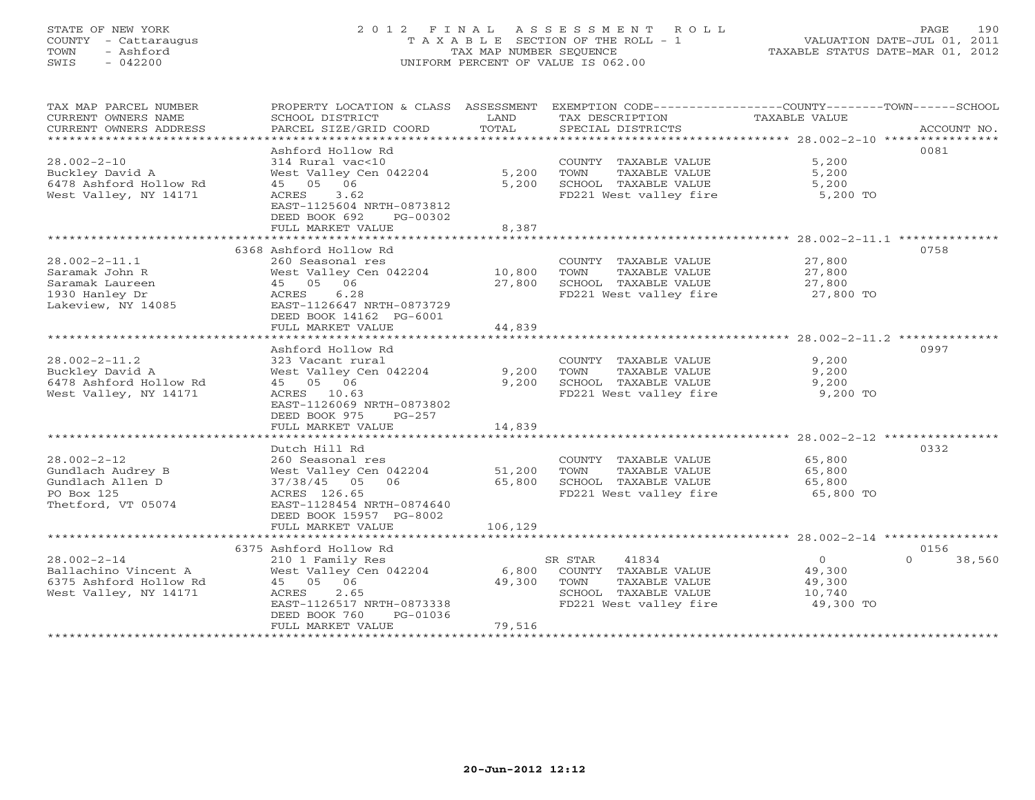## STATE OF NEW YORK 2 0 1 2 F I N A L A S S E S S M E N T R O L L PAGE 190 COUNTY - Cattaraugus T A X A B L E SECTION OF THE ROLL - 1 VALUATION DATE-JUL 01, 2011 TOWN - Ashford TAX MAP NUMBER SEQUENCE TAXABLE STATUS DATE-MAR 01, 2012 SWIS - 042200 UNIFORM PERCENT OF VALUE IS 062.00UNIFORM PERCENT OF VALUE IS 062.00

| SCHOOL DISTRICT<br>PARCEL SIZE/GRID COORD<br>******************************                                                                              | LAND<br>TOTAL                                                                                                                                                   | TAX DESCRIPTION<br>SPECIAL DISTRICTS                                                                     | <b>TAXABLE VALUE</b><br>ACCOUNT NO.                                                                                        |
|----------------------------------------------------------------------------------------------------------------------------------------------------------|-----------------------------------------------------------------------------------------------------------------------------------------------------------------|----------------------------------------------------------------------------------------------------------|----------------------------------------------------------------------------------------------------------------------------|
| Ashford Hollow Rd<br>314 Rural vac<10<br>West Valley Cen 042204<br>45 05 06<br>ACRES 3.62<br>EAST-1125604 NRTH-0873812<br>DEED BOOK 692<br>PG-00302      | 5,200<br>5,200                                                                                                                                                  | COUNTY TAXABLE VALUE<br>TAXABLE VALUE<br>TOWN<br>SCHOOL TAXABLE VALUE<br>FD221 West valley fire          | 0081<br>5,200<br>5,200<br>5,200<br>5,200 TO                                                                                |
|                                                                                                                                                          |                                                                                                                                                                 |                                                                                                          |                                                                                                                            |
|                                                                                                                                                          |                                                                                                                                                                 |                                                                                                          | 0758                                                                                                                       |
| 260 Seasonal res<br>West Valley Cen 042204<br>45 05 06<br>6.28<br>ACRES<br>EAST-1126647 NRTH-0873729                                                     | 10,800<br>27,800                                                                                                                                                | COUNTY TAXABLE VALUE<br>TOWN<br>TAXABLE VALUE<br>SCHOOL TAXABLE VALUE<br>FD221 West valley fire          | 27,800<br>27,800<br>27,800<br>27,800 TO                                                                                    |
|                                                                                                                                                          |                                                                                                                                                                 |                                                                                                          |                                                                                                                            |
|                                                                                                                                                          |                                                                                                                                                                 |                                                                                                          |                                                                                                                            |
| Ashford Hollow Rd<br>323 Vacant rural<br>West Valley Cen 042204<br>45 05 06<br>ACRES 10.63<br>EAST-1126069 NRTH-0873802<br>DEED BOOK 975<br>$PG-257$     | 9,200<br>9,200                                                                                                                                                  | COUNTY TAXABLE VALUE<br>TOWN<br>TAXABLE VALUE<br>SCHOOL TAXABLE VALUE<br>FD221 West valley fire          | 0997<br>9,200<br>9,200<br>9,200<br>9,200 TO                                                                                |
|                                                                                                                                                          |                                                                                                                                                                 |                                                                                                          |                                                                                                                            |
| Dutch Hill Rd<br>260 Seasonal res<br>West Valley Cen 042204<br>37/38/45 05<br>06<br>ACRES 126.65<br>EAST-1128454 NRTH-0874640<br>DEED BOOK 15957 PG-8002 | 51,200<br>65,800                                                                                                                                                | COUNTY TAXABLE VALUE<br>TOWN<br>TAXABLE VALUE<br>SCHOOL TAXABLE VALUE<br>FD221 West valley fire          | 0332<br>65,800<br>65,800<br>65,800<br>65,800 TO                                                                            |
|                                                                                                                                                          |                                                                                                                                                                 |                                                                                                          |                                                                                                                            |
|                                                                                                                                                          |                                                                                                                                                                 |                                                                                                          |                                                                                                                            |
| 210 1 Family Res<br>West Valley Cen 042204<br>45 05 06<br>2.65<br>ACRES<br>EAST-1126517 NRTH-0873338<br>PG-01036<br>DEED BOOK 760<br>FULL MARKET VALUE   | 6,800<br>49,300<br>79,516                                                                                                                                       | 41834<br>COUNTY TAXABLE VALUE<br>TOWN<br>TAXABLE VALUE<br>SCHOOL TAXABLE VALUE<br>FD221 West valley fire | 0156<br>$\circ$<br>$\Omega$<br>38,560<br>49,300<br>49,300<br>10,740<br>49,300 TO                                           |
|                                                                                                                                                          | FULL MARKET VALUE<br>6368 Ashford Hollow Rd<br>DEED BOOK 14162 PG-6001<br>FULL MARKET VALUE<br>FULL MARKET VALUE<br>FULL MARKET VALUE<br>6375 Ashford Hollow Rd | 8,387<br>44,839<br>14,839<br>106,129                                                                     | PROPERTY LOCATION & CLASS ASSESSMENT EXEMPTION CODE----------------COUNTY-------TOWN------SCHOOL<br>***********<br>SR STAR |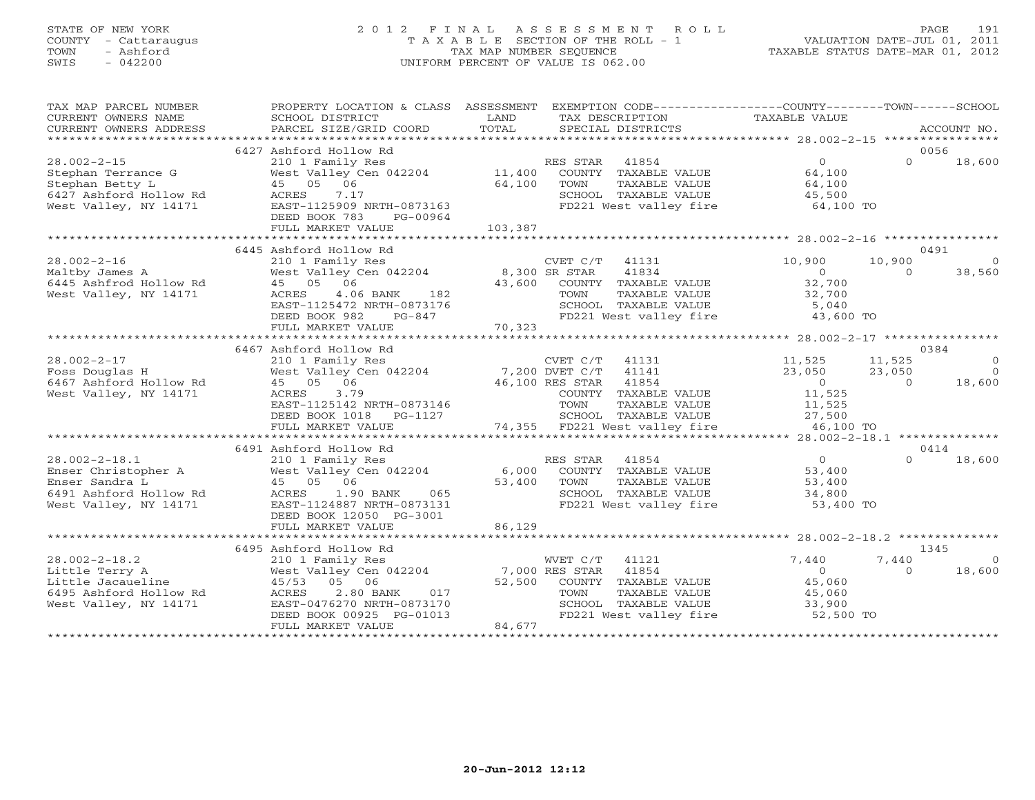## STATE OF NEW YORK 2 0 1 2 F I N A L A S S E S S M E N T R O L L PAGE 191 COUNTY - Cattaraugus T A X A B L E SECTION OF THE ROLL - 1 VALUATION DATE-JUL 01, 2011 TOWN - Ashford TAX MAP NUMBER SEQUENCE TAXABLE STATUS DATE-MAR 01, 2012 SWIS - 042200 UNIFORM PERCENT OF VALUE IS 062.00

| TAX MAP PARCEL NUMBER<br>CURRENT OWNERS NAME<br>CURRENT OWNERS ADDRESS                                          | PROPERTY LOCATION & CLASS ASSESSMENT<br>SCHOOL DISTRICT<br>PARCEL SIZE/GRID COORD                                                                                    | LAND<br>TAX DESCRIPTION<br>TOTAL<br>SPECIAL DISTRICTS                                                                                                                             | EXEMPTION CODE-----------------COUNTY-------TOWN------SCHOOL<br>TAXABLE VALUE<br>ACCOUNT NO.                                        |
|-----------------------------------------------------------------------------------------------------------------|----------------------------------------------------------------------------------------------------------------------------------------------------------------------|-----------------------------------------------------------------------------------------------------------------------------------------------------------------------------------|-------------------------------------------------------------------------------------------------------------------------------------|
|                                                                                                                 | 6427 Ashford Hollow Rd                                                                                                                                               |                                                                                                                                                                                   | 0056                                                                                                                                |
| $28.002 - 2 - 15$<br>Stephan Terrance G<br>Stephan Betty L<br>6427 Ashford Hollow Rd<br>West Valley, NY 14171   | 210 1 Family Res<br>West Valley Cen 042204 11,400<br>45 05 06<br>ACRES<br>7.17<br>EAST-1125909 NRTH-0873163<br>DEED BOOK 783<br>PG-00964<br>FULL MARKET VALUE        | RES STAR 41854<br>COUNTY TAXABLE VALUE<br>64,100<br>TOWN<br>TAXABLE VALUE<br>SCHOOL TAXABLE VALUE<br>FD221 West valley fire<br>103,387                                            | $\overline{0}$<br>$\Omega$<br>18,600<br>64,100<br>64,100<br>45,500<br>64,100 TO                                                     |
|                                                                                                                 | 6445 Ashford Hollow Rd                                                                                                                                               |                                                                                                                                                                                   | 0491                                                                                                                                |
| $28.002 - 2 - 16$<br>Maltby James A<br>6445 Ashfrod Hollow Rd<br>West Valley, NY 14171                          | 210 1 Family Res<br>West Valley Cen 042204<br>45 05<br>06<br>4.06 BANK<br>182<br>ACRES<br>EAST-1125472 NRTH-0873176<br>DEED BOOK 982<br>PG-847<br>FULL MARKET VALUE  | CVET C/T<br>41131<br>8,300 SR STAR<br>41834<br>43,600 COUNTY TAXABLE VALUE<br>TAXABLE VALUE<br>TOWN<br>SCHOOL TAXABLE VALUE<br>FD221 West valley fire 43,600 TO<br>70,323         | 10,900<br>10,900<br>$\circ$<br>38,560<br>$\overline{0}$<br>$\Omega$<br>32,700<br>32,700<br>5,040                                    |
|                                                                                                                 | 6467 Ashford Hollow Rd                                                                                                                                               |                                                                                                                                                                                   | 0384                                                                                                                                |
| $28.002 - 2 - 17$<br>Foss Douglas H<br>6467 Ashford Hollow Rd<br>West Valley, NY 14171                          | 45 05 06<br>ACRES<br>3.79<br>EAST-1125142 NRTH-0873146<br>DEED BOOK 1018    PG-1127                                                                                  | 210 1 Family Res<br>West Valley Cen 042204 7,200 DVET C/T 41141<br>46,100 RES STAR<br>41854<br>COUNTY TAXABLE VALUE<br>TOWN<br>TAXABLE VALUE                                      | $\Omega$<br>11,525<br>11,525<br>23,050<br>$\bigcap$<br>23,050<br>$\overline{0}$<br>$\Omega$<br>18,600<br>11,525<br>11,525<br>27,500 |
|                                                                                                                 | FULL MARKET VALUE                                                                                                                                                    | SCHOOL TAXABLE VALUE<br>74,355 FD221 West valley fire                                                                                                                             | 46,100 TO                                                                                                                           |
|                                                                                                                 | 6491 Ashford Hollow Rd                                                                                                                                               |                                                                                                                                                                                   | 0414                                                                                                                                |
| $28.002 - 2 - 18.1$<br>Enser Christopher A<br>Enser Sandra L<br>6491 Ashford Hollow Rd<br>West Valley, NY 14171 | 210 1 Family Res<br>West Valley Cen 042204<br>45 05 06<br>ACRES<br>1.90 BANK<br>065<br>EAST-1124887 NRTH-0873131<br>DEED BOOK 12050 PG-3001                          | RES STAR<br>41854<br>6,000<br>COUNTY TAXABLE VALUE<br>53,400<br>TAXABLE VALUE<br>TOWN<br>SCHOOL TAXABLE VALUE<br>FD221 West valley fire 53,400 TO                                 | $\overline{0}$<br>$\cap$<br>18,600<br>53,400<br>53,400<br>34,800                                                                    |
|                                                                                                                 | FULL MARKET VALUE                                                                                                                                                    | 86,129                                                                                                                                                                            |                                                                                                                                     |
|                                                                                                                 | 6495 Ashford Hollow Rd                                                                                                                                               |                                                                                                                                                                                   | 1345                                                                                                                                |
| $28.002 - 2 - 18.2$<br>Little Terry A<br>Little Jacaueline<br>6495 Ashford Hollow Rd<br>West Valley, NY 14171   | 210 1 Family Res<br>West Valley Cen 042204<br>45/53 05 06<br>ACRES<br>2.80 BANK<br>017<br>EAST-0476270 NRTH-0873170<br>DEED BOOK 00925 PG-01013<br>FULL MARKET VALUE | WVET C/T 41121<br>7,000 RES STAR<br>41854<br>52,500<br>COUNTY TAXABLE VALUE<br>TAXABLE VALUE<br>TOWN<br>SCHOOL TAXABLE VALUE 33,900<br>FD221 West valley fire 52,500 TO<br>84,677 | 7,440<br>7,440<br>$\overline{0}$<br>$\overline{0}$<br>$\Omega$<br>18,600<br>45,060<br>45,060                                        |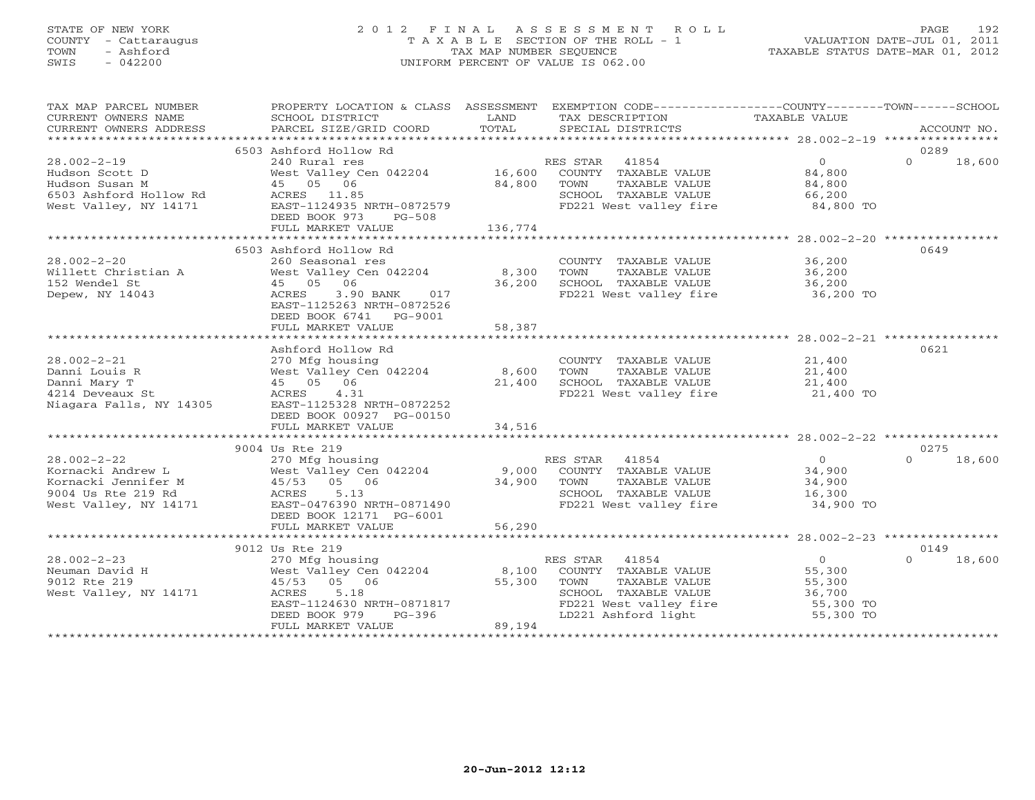# STATE OF NEW YORK 2 0 1 2 F I N A L A S S E S S M E N T R O L L PAGE 192 COUNTY - Cattaraugus T A X A B L E SECTION OF THE ROLL - 1 VALUATION DATE-JUL 01, 2011 TOWN - Ashford TAX MAP NUMBER SEQUENCE TAXABLE STATUS DATE-MAR 01, 2012 SWIS - 042200 UNIFORM PERCENT OF VALUE IS 062.00

| TAX MAP PARCEL NUMBER<br>CURRENT OWNERS NAME<br>- CONNER ADDRESS PARCEL SIZE/GRID COORD TOTAL SECIAL DISTRICTS ACCOUNT NO.<br>- ELET SIZE/GRID COORD TOTAL SECIAL DISTRICTS PARCEL ACCOUNT NO ACCOUNT NO ACCOUNT AND A SECIAL DISTRICTS | PROPERTY LOCATION & CLASS ASSESSMENT<br>SCHOOL DISTRICT                                                                                                                  | LAND              | EXEMPTION CODE-----------------COUNTY-------TOWN------SCHOOL<br>TAX DESCRIPTION                                                                    | TAXABLE VALUE                                             |                            |
|-----------------------------------------------------------------------------------------------------------------------------------------------------------------------------------------------------------------------------------------|--------------------------------------------------------------------------------------------------------------------------------------------------------------------------|-------------------|----------------------------------------------------------------------------------------------------------------------------------------------------|-----------------------------------------------------------|----------------------------|
|                                                                                                                                                                                                                                         | 6503 Ashford Hollow Rd                                                                                                                                                   |                   |                                                                                                                                                    |                                                           | 0289                       |
| $28.002 - 2 - 19$<br>Hudson Scott D<br>Hudson Susan M<br>6503 Ashford Hollow Rd<br>West Valley, NY 14171                                                                                                                                | 240 Rural res<br>West Valley Cen 042204 16,600<br>45 05 06<br>ACRES 11.85<br>EAST-1124935 NRTH-0872579<br>DEED BOOK 973<br>$PG-508$<br>FULL MARKET VALUE                 | 84,800<br>136,774 | RES STAR 41854<br>COUNTY TAXABLE VALUE<br>TOWN<br>TAXABLE VALUE<br>SCHOOL TAXABLE VALUE<br>FD221 West valley fire                                  | $\Omega$<br>84,800<br>84,800<br>66,200<br>84,800 TO       | $\Omega$<br>18,600         |
|                                                                                                                                                                                                                                         | 6503 Ashford Hollow Rd                                                                                                                                                   |                   |                                                                                                                                                    |                                                           | 0649                       |
| $28.002 - 2 - 20$<br>Willett Christian A<br>152 Wendel St<br>Depew, NY 14043                                                                                                                                                            | 260 Seasonal res<br>West Valley Cen 042204 8,300<br>45 05 06<br>ACRES<br>3.90 BANK<br>017<br>EAST-1125263 NRTH-0872526<br>DEED BOOK 6741 PG-9001                         | 36,200            | COUNTY TAXABLE VALUE 36,200<br>TOWN<br>TAXABLE VALUE<br>SCHOOL TAXABLE VALUE<br>FD221 West valley fire 36,200 TO                                   | 36,200<br>36,200                                          |                            |
|                                                                                                                                                                                                                                         | FULL MARKET VALUE                                                                                                                                                        | 58,387            |                                                                                                                                                    |                                                           |                            |
| $28.002 - 2 - 21$<br>Danni Louis R<br>Danni Mary T<br>4214 Deveaux St<br>Niagara Falls, NY 14305                                                                                                                                        | Ashford Hollow Rd<br>270 Mfg housing<br>West Valley Cen 042204 8,600<br>45 05 06<br>4.31<br>ACRES<br>EAST-1125328 NRTH-0872252<br>DEED BOOK 00927 PG-00150               | 21,400            | COUNTY TAXABLE VALUE 21,400<br>TOWN<br>TAXABLE VALUE<br>SCHOOL TAXABLE VALUE<br>FD221 West valley fire 21,400 TO                                   | 21,400<br>21,400<br>21,400                                | 0621                       |
|                                                                                                                                                                                                                                         | FULL MARKET VALUE                                                                                                                                                        | 34,516            |                                                                                                                                                    |                                                           |                            |
|                                                                                                                                                                                                                                         |                                                                                                                                                                          |                   |                                                                                                                                                    |                                                           | 0275                       |
|                                                                                                                                                                                                                                         | 9004 Us Rte 219<br>DEED BOOK 12171 PG-6001                                                                                                                               | 34,900            | RES STAR 41854<br>9,000 COUNTY TAXABLE VALUE<br>TOWN<br>TAXABLE VALUE<br>SCHOOL TAXABLE VALUE<br>FD221 West valley fire 34,900 TO                  | $\overline{0}$<br>34,900<br>34,900<br>16,300              | $\Omega$<br>18,600         |
|                                                                                                                                                                                                                                         | FULL MARKET VALUE                                                                                                                                                        | 56,290            |                                                                                                                                                    |                                                           |                            |
|                                                                                                                                                                                                                                         |                                                                                                                                                                          |                   |                                                                                                                                                    |                                                           |                            |
| $28.002 - 2 - 23$<br>Neuman David H<br>9012 Rte 219<br>West Valley, NY 14171                                                                                                                                                            | 9012 Us Rte 219<br>270 Mfg housing<br>West Valley Cen 042204 8,100<br>45/53 05 06<br>5.18<br>ACRES<br>EAST-1124630 NRTH-0871817<br>DEED BOOK 979 PG-396<br>DEED BOOK 979 | 55,300            | RES STAR 41854<br>COUNTY TAXABLE VALUE<br>TAXABLE VALUE<br>TOWN<br>SCHOOL TAXABLE VALUE<br>FD221 West valley fire 55,300 TO<br>LD221 Ashford light | $\overline{0}$<br>55,300<br>55,300<br>36,700<br>55,300 TO | 0149<br>$\Omega$<br>18,600 |
|                                                                                                                                                                                                                                         | FULL MARKET VALUE                                                                                                                                                        | 89,194            |                                                                                                                                                    |                                                           |                            |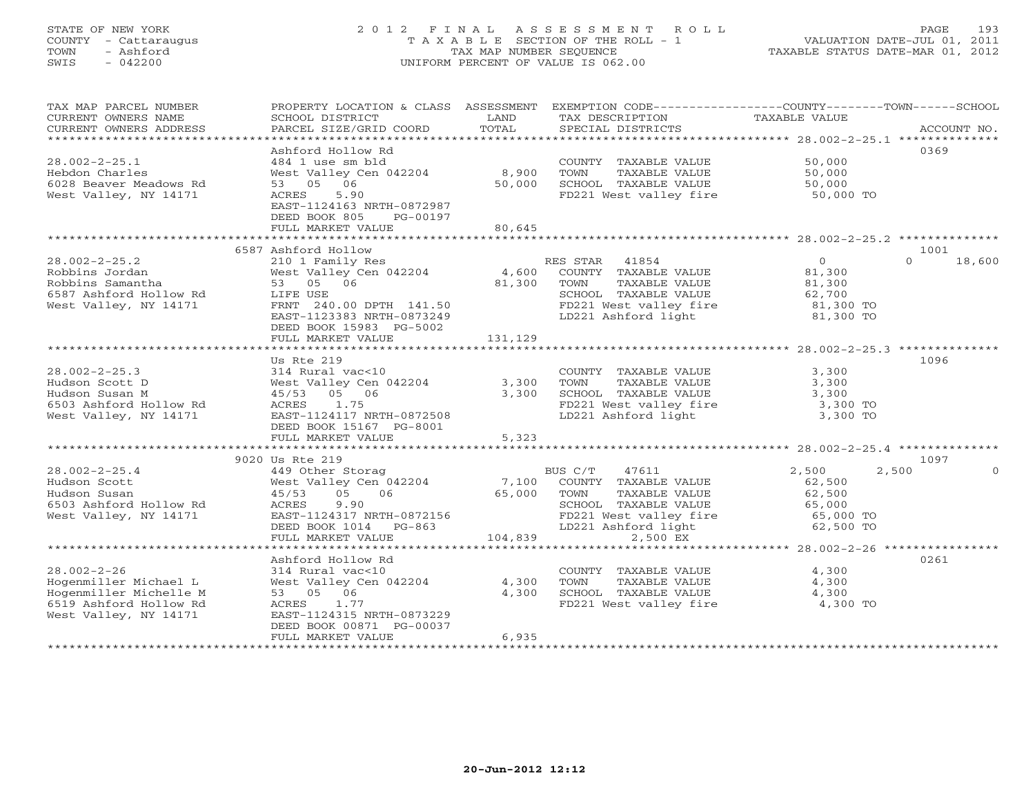## STATE OF NEW YORK 2 0 1 2 F I N A L A S S E S S M E N T R O L L PAGE 193 COUNTY - Cattaraugus T A X A B L E SECTION OF THE ROLL - 1 VALUATION DATE-JUL 01, 2011 TOWN - Ashford TAX MAP NUMBER SEQUENCE TAXABLE STATUS DATE-MAR 01, 2012 SWIS - 042200 UNIFORM PERCENT OF VALUE IS 062.00UNIFORM PERCENT OF VALUE IS 062.00

| TAX MAP PARCEL NUMBER<br>CURRENT OWNERS NAME<br>CURRENT OWNERS ADDRESS | PROPERTY LOCATION & CLASS ASSESSMENT<br>SCHOOL DISTRICT<br>PARCEL SIZE/GRID COORD | LAND<br>TOTAL | EXEMPTION CODE----------------COUNTY-------TOWN------SCHOOL<br>TAX DESCRIPTION<br>SPECIAL DISTRICTS    | TAXABLE VALUE  | ACCOUNT NO.        |
|------------------------------------------------------------------------|-----------------------------------------------------------------------------------|---------------|--------------------------------------------------------------------------------------------------------|----------------|--------------------|
|                                                                        |                                                                                   |               |                                                                                                        |                |                    |
|                                                                        | Ashford Hollow Rd                                                                 |               |                                                                                                        |                | 0369               |
| $28.002 - 2 - 25.1$                                                    | 484 1 use sm bld                                                                  |               | COUNTY TAXABLE VALUE                                                                                   | 50,000         |                    |
| Hebdon Charles                                                         | West Valley Cen 042204                                                            | 8,900         | TOWN<br>TAXABLE VALUE                                                                                  | 50,000         |                    |
| 6028 Beaver Meadows Rd                                                 | 53 05 06                                                                          | 50,000        | SCHOOL TAXABLE VALUE                                                                                   | 50,000         |                    |
| West Valley, NY 14171                                                  | ACRES<br>5.90<br>EAST-1124163 NRTH-0872987                                        |               | FD221 West valley fire 50,000 TO                                                                       |                |                    |
|                                                                        | DEED BOOK 805<br>PG-00197                                                         |               |                                                                                                        |                |                    |
|                                                                        | FULL MARKET VALUE                                                                 | 80,645        |                                                                                                        |                |                    |
|                                                                        |                                                                                   |               |                                                                                                        |                |                    |
|                                                                        | 6587 Ashford Hollow                                                               |               |                                                                                                        |                | 1001               |
| $28.002 - 2 - 25.2$                                                    | 210 1 Family Res                                                                  |               | RES STAR 41854                                                                                         | $\overline{0}$ | $\Omega$<br>18,600 |
| Robbins Jordan                                                         | West Valley Cen 042204                                                            | 4,600         | COUNTY TAXABLE VALUE                                                                                   | 81,300         |                    |
| Robbins Samantha                                                       | 53 05 06                                                                          | 81,300        | TAXABLE VALUE<br>TOWN                                                                                  | 81,300         |                    |
| 6587 Ashford Hollow Rd                                                 | LIFE USE                                                                          |               | SCHOOL TAXABLE VALUE                                                                                   | 62,700         |                    |
| West Valley, NY 14171                                                  | FRNT 240.00 DPTH 141.50                                                           |               | FD221 West valley fire<br>ID221 West valley fire<br>ID221 Achford light                                | 81,300 TO      |                    |
|                                                                        | EAST-1123383 NRTH-0873249                                                         |               | LD221 Ashford light                                                                                    | 81,300 TO      |                    |
|                                                                        | DEED BOOK 15983 PG-5002                                                           |               |                                                                                                        |                |                    |
|                                                                        | FULL MARKET VALUE                                                                 | 131,129       |                                                                                                        |                |                    |
|                                                                        |                                                                                   |               |                                                                                                        |                |                    |
|                                                                        | Us Rte 219                                                                        |               |                                                                                                        |                | 1096               |
| $28.002 - 2 - 25.3$                                                    | 314 Rural vac<10                                                                  |               | COUNTY TAXABLE VALUE                                                                                   | 3,300          |                    |
| Hudson Scott D                                                         | West Valley Cen 042204 3,300                                                      | 3,300         | TOWN<br>TAXABLE VALUE                                                                                  | 3,300<br>3,300 |                    |
| Hudson Susan M<br>6503 Ashford Hollow Rd                               | 45/53 05 06<br>ACRES 1.75                                                         |               | SCHOOL TAXABLE VALUE<br>FD221 West valley fire                                                         | 3,300 TO       |                    |
| West Valley, NY 14171                                                  | EAST-1124117 NRTH-0872508                                                         |               | LD221 Ashford light                                                                                    | 3,300 TO       |                    |
|                                                                        | DEED BOOK 15167 PG-8001                                                           |               |                                                                                                        |                |                    |
|                                                                        | FULL MARKET VALUE                                                                 | 5,323         |                                                                                                        |                |                    |
|                                                                        |                                                                                   |               |                                                                                                        |                |                    |
|                                                                        | 9020 Us Rte 219                                                                   |               |                                                                                                        |                | 1097               |
| $28.002 - 2 - 25.4$                                                    |                                                                                   |               | BUS C/T 47611<br>7,100 COUNTY TAXABLE VALUE                                                            | 2,500<br>2,500 | $\Omega$           |
| Hudson Scott                                                           | 449 Other Storag<br>West Valley Cen 042204                                        |               |                                                                                                        | 62,500         |                    |
| Hudson Susan                                                           | 06<br>45/53<br>05                                                                 | 65,000        | TAXABLE VALUE<br>TOWN                                                                                  | 62,500         |                    |
| 6503 Ashford Hollow Rd                                                 | 9.90<br>ACRES                                                                     |               | SCHOOL TAXABLE VALUE $65,000$<br>FD221 West valley fire $65,000$ TO<br>LD221 Ashford light $62,500$ TO |                |                    |
| West Valley, NY 14171                                                  | EAST-1124317 NRTH-0872156                                                         |               |                                                                                                        |                |                    |
|                                                                        | DEED BOOK 1014 PG-863                                                             |               |                                                                                                        |                |                    |
|                                                                        | FULL MARKET VALUE                                                                 | 104,839       | 2,500 EX                                                                                               |                |                    |
|                                                                        |                                                                                   |               |                                                                                                        |                |                    |
|                                                                        | Ashford Hollow Rd                                                                 |               |                                                                                                        |                | 0261               |
| $28.002 - 2 - 26$<br>Hogenmiller Michael L                             | 314 Rural vac<10<br>West Valley Cen 042204                                        | 4,300         | COUNTY TAXABLE VALUE<br>TOWN<br>TAXABLE VALUE                                                          | 4,300          |                    |
| Hogenmiller Michelle M                                                 | 53 05 06                                                                          | 4,300         | SCHOOL TAXABLE VALUE                                                                                   | 4,300<br>4,300 |                    |
| 6519 Ashford Hollow Rd                                                 | ACRES 1.77                                                                        |               | FD221 West valley fire                                                                                 | 4,300 TO       |                    |
| West Valley, NY 14171                                                  | EAST-1124315 NRTH-0873229                                                         |               |                                                                                                        |                |                    |
|                                                                        | DEED BOOK 00871 PG-00037                                                          |               |                                                                                                        |                |                    |
|                                                                        | FULL MARKET VALUE                                                                 | 6,935         |                                                                                                        |                |                    |
|                                                                        |                                                                                   |               |                                                                                                        |                |                    |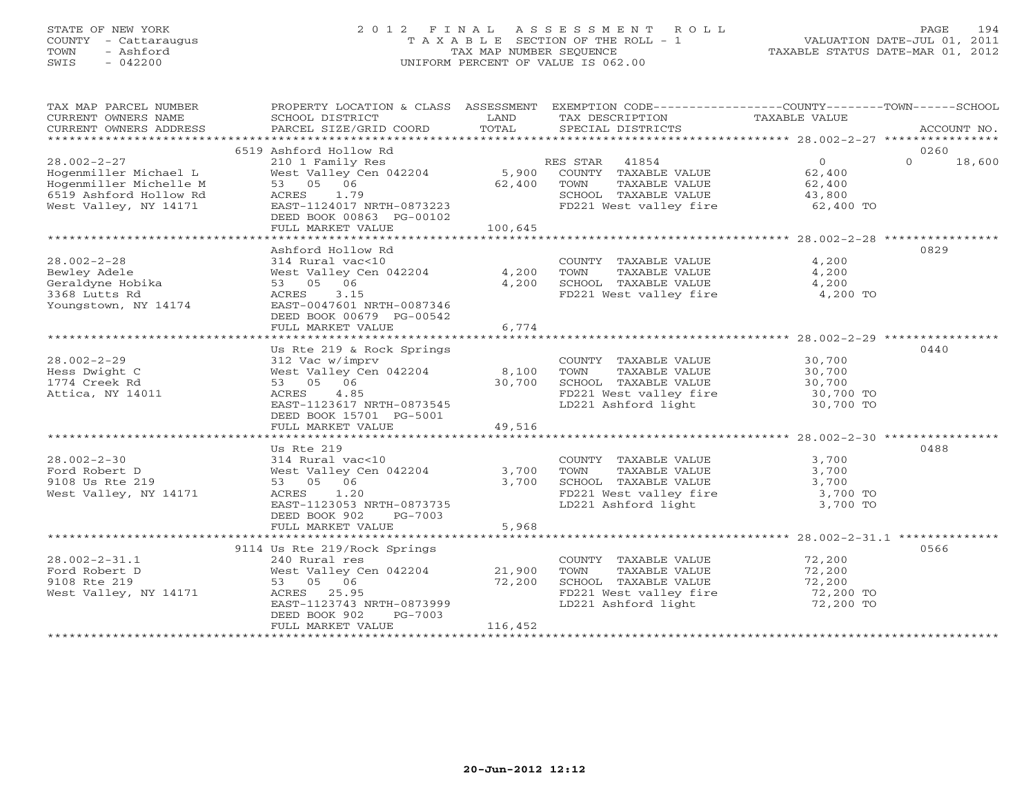# STATE OF NEW YORK 2 0 1 2 F I N A L A S S E S S M E N T R O L L PAGE 194 COUNTY - Cattaraugus T A X A B L E SECTION OF THE ROLL - 1 VALUATION DATE-JUL 01, 2011 TOWN - Ashford TAX MAP NUMBER SEQUENCE TAXABLE STATUS DATE-MAR 01, 2012 SWIS - 042200 UNIFORM PERCENT OF VALUE IS 062.00UNIFORM PERCENT OF VALUE IS 062.00

| TAX MAP PARCEL NUMBER<br>CURRENT OWNERS NAME<br>CURRENT OWNERS ADDRESS                                                  | PROPERTY LOCATION & CLASS ASSESSMENT<br>SCHOOL DISTRICT<br>PARCEL SIZE/GRID COORD                                                                                                | LAND<br>TOTAL               | EXEMPTION CODE-----------------COUNTY-------TOWN------SCHOOL<br>TAX DESCRIPTION<br>SPECIAL DISTRICTS                      | TAXABLE VALUE                                          | ACCOUNT NO.        |
|-------------------------------------------------------------------------------------------------------------------------|----------------------------------------------------------------------------------------------------------------------------------------------------------------------------------|-----------------------------|---------------------------------------------------------------------------------------------------------------------------|--------------------------------------------------------|--------------------|
|                                                                                                                         | 6519 Ashford Hollow Rd                                                                                                                                                           |                             |                                                                                                                           |                                                        | 0260               |
| $28.002 - 2 - 27$<br>Hogenmiller Michael L<br>Hogenmiller Michelle M<br>6519 Ashford Hollow Rd<br>West Valley, NY 14171 | 210 1 Family Res<br>West Valley Cen 042204<br>53 05 06<br>ACRES<br>1.79<br>EAST-1124017 NRTH-0873223<br>DEED BOOK 00863 PG-00102<br>FULL MARKET VALUE                            | 5,900<br>62,400<br>100,645  | RES STAR 41854<br>COUNTY TAXABLE VALUE<br>TOWN<br>TAXABLE VALUE<br>SCHOOL TAXABLE VALUE<br>FD221 West valley fire         | $\Omega$<br>62,400<br>62,400<br>43,800<br>62,400 TO    | $\Omega$<br>18,600 |
|                                                                                                                         | Ashford Hollow Rd                                                                                                                                                                |                             |                                                                                                                           |                                                        | 0829               |
| $28.002 - 2 - 28$<br>Bewley Adele<br>Geraldyne Hobika<br>3368 Lutts Rd<br>Youngstown, NY 14174                          | 314 Rural vac<10<br>West Valley Cen 042204<br>53 05 06<br>ACRES<br>3.15<br>EAST-0047601 NRTH-0087346<br>DEED BOOK 00679 PG-00542<br>FULL MARKET VALUE                            | 4,200<br>4,200<br>6,774     | COUNTY TAXABLE VALUE<br>TOWN<br>TAXABLE VALUE<br>SCHOOL TAXABLE VALUE<br>FD221 West valley fire 4,200 TO                  | 4,200<br>4,200<br>4,200                                |                    |
|                                                                                                                         |                                                                                                                                                                                  |                             |                                                                                                                           |                                                        |                    |
| $28.002 - 2 - 29$<br>Hess Dwight C<br>1774 Creek Rd<br>Attica, NY 14011                                                 | Us Rte 219 & Rock Springs<br>312 Vac w/imprv<br>West Valley Cen 042204<br>53 05 06<br>4.85<br>ACRES<br>EAST-1123617 NRTH-0873545<br>DEED BOOK 15701 PG-5001                      | 8,100<br>30,700             | COUNTY TAXABLE VALUE<br>TOWN<br>TAXABLE VALUE<br>SCHOOL TAXABLE VALUE<br>FD221 West valley fire<br>FD221 West valley fire | 30,700<br>30,700<br>30,700<br>30,700 TO<br>30,700 TO   | 0440               |
|                                                                                                                         | FULL MARKET VALUE                                                                                                                                                                | 49,516                      |                                                                                                                           |                                                        |                    |
| $28.002 - 2 - 30$<br>Ford Robert D<br>9108 Us Rte 219<br>West Valley, NY 14171                                          | Us Rte 219<br>314 Rural vac<10<br>West Valley Cen 042204<br>53 05 06<br>ACRES<br>1.20<br>EAST-1123053 NRTH-0873735                                                               | 3,700<br>3,700              | COUNTY TAXABLE VALUE<br>TAXABLE VALUE<br>TOWN<br>SCHOOL TAXABLE VALUE<br>FD221 West valley fire<br>LD221 Ashford light    | 3,700<br>3,700<br>3,700<br>3,700 TO<br>3,700 TO        | 0488               |
|                                                                                                                         | DEED BOOK 902<br>PG-7003<br>FULL MARKET VALUE                                                                                                                                    | 5,968                       |                                                                                                                           |                                                        |                    |
|                                                                                                                         |                                                                                                                                                                                  |                             |                                                                                                                           |                                                        |                    |
| $28.002 - 2 - 31.1$<br>Ford Robert D<br>9108 Rte 219<br>West Valley, NY 14171                                           | 9114 Us Rte 219/Rock Springs<br>240 Rural res<br>West Valley Cen 042204<br>53 05 06<br>ACRES 25.95<br>EAST-1123743 NRTH-0873999<br>DEED BOOK 902<br>PG-7003<br>FULL MARKET VALUE | 21,900<br>72,200<br>116,452 | COUNTY TAXABLE VALUE<br>TAXABLE VALUE<br>TOWN<br>SCHOOL TAXABLE VALUE<br>FD221 West valley fire<br>LD221 Ashford light    | 72,200<br>72,200<br>72,200<br>$72,200$ TO<br>72,200 TO | 0566               |
|                                                                                                                         |                                                                                                                                                                                  |                             |                                                                                                                           |                                                        |                    |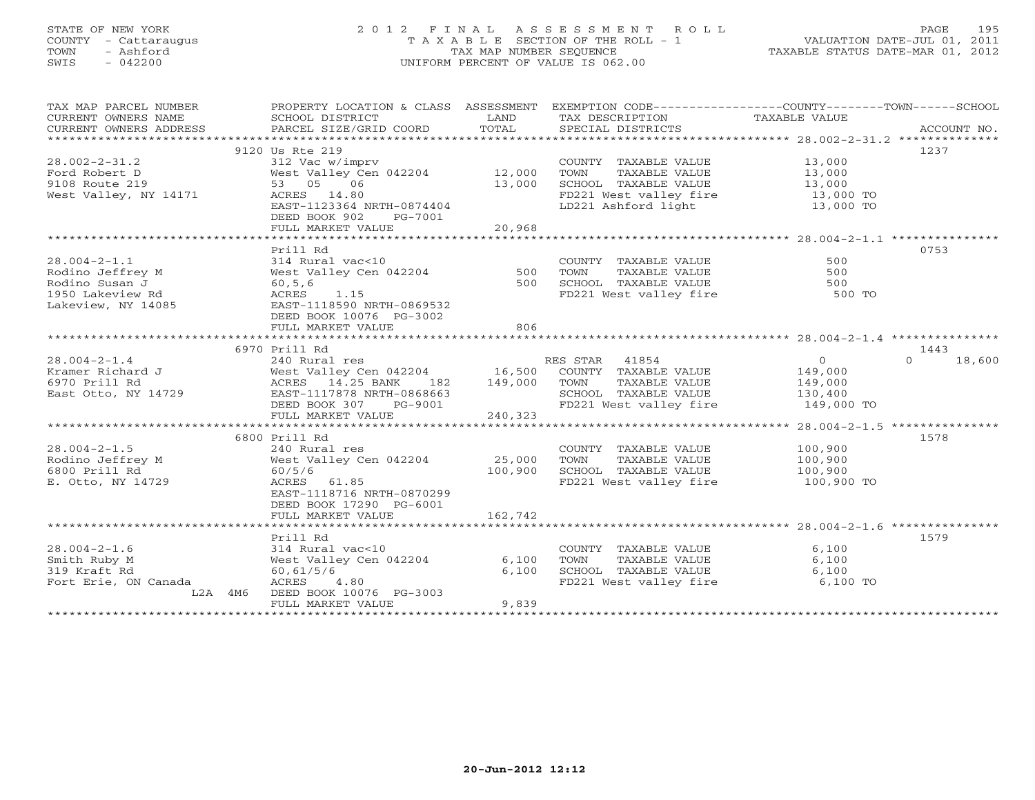## STATE OF NEW YORK 2 0 1 2 F I N A L A S S E S S M E N T R O L L PAGE 195 COUNTY - Cattaraugus T A X A B L E SECTION OF THE ROLL - 1 VALUATION DATE-JUL 01, 2011 TOWN - Ashford TAX MAP NUMBER SEQUENCE TAXABLE STATUS DATE-MAR 01, 2012 SWIS - 042200 UNIFORM PERCENT OF VALUE IS 062.00UNIFORM PERCENT OF VALUE IS 062.00

| TAX MAP PARCEL NUMBER<br>$\begin{tabular}{lllllll} \multicolumn{2}{c}{\textbf{CURRENT}} & \multicolumn{2}{c}{\textbf{WMERS}} & \multicolumn{2}{c}{\textbf{NAME}} & \multicolumn{2}{c}{\textbf{SCHOOL}} & \multicolumn{2}{c}{\textbf{DISTRICT}} & \multicolumn{2}{c}{\textbf{LAND}} & \multicolumn{2}{c}{\textbf{TAX} \textbf{DESCRIPTION}} & \multicolumn{2}{c}{\textbf{TAXABLE} \textbf{ VALUE}} & \multicolumn{2}{c}{\textbf{ACCOUNT NO.}} \\ & & & & & & & & \\ \multicolumn{2}{c}{\textbf{CURRENT}} &$<br>CURRENT OWNERS ADDRESS | PROPERTY LOCATION & CLASS ASSESSMENT                             |         | EXEMPTION CODE-----------------COUNTY-------TOWN------SCHOOL                                                                          |          |               |
|--------------------------------------------------------------------------------------------------------------------------------------------------------------------------------------------------------------------------------------------------------------------------------------------------------------------------------------------------------------------------------------------------------------------------------------------------------------------------------------------------------------------------------------|------------------------------------------------------------------|---------|---------------------------------------------------------------------------------------------------------------------------------------|----------|---------------|
|                                                                                                                                                                                                                                                                                                                                                                                                                                                                                                                                      |                                                                  |         |                                                                                                                                       |          |               |
|                                                                                                                                                                                                                                                                                                                                                                                                                                                                                                                                      | 9120 Us Rte 219                                                  |         |                                                                                                                                       |          | 1237          |
|                                                                                                                                                                                                                                                                                                                                                                                                                                                                                                                                      |                                                                  |         | COUNTY TAXABLE VALUE 13,000                                                                                                           |          |               |
|                                                                                                                                                                                                                                                                                                                                                                                                                                                                                                                                      |                                                                  |         |                                                                                                                                       |          |               |
|                                                                                                                                                                                                                                                                                                                                                                                                                                                                                                                                      |                                                                  |         |                                                                                                                                       |          |               |
| West Valley, NY 14171                                                                                                                                                                                                                                                                                                                                                                                                                                                                                                                |                                                                  |         |                                                                                                                                       |          |               |
|                                                                                                                                                                                                                                                                                                                                                                                                                                                                                                                                      | ACRES 14.80<br>EAST-1123364 NRTH-0874404                         |         | TOWN TAXABLE VALUE $13,000$<br>SCHOOL TAXABLE VALUE $13,000$<br>FD221 West valley fire $13,000$ TO<br>LD221 Ashford light $13,000$ TO |          |               |
|                                                                                                                                                                                                                                                                                                                                                                                                                                                                                                                                      | DEED BOOK 902<br>PG-7001                                         |         |                                                                                                                                       |          |               |
|                                                                                                                                                                                                                                                                                                                                                                                                                                                                                                                                      |                                                                  |         |                                                                                                                                       |          |               |
|                                                                                                                                                                                                                                                                                                                                                                                                                                                                                                                                      |                                                                  |         |                                                                                                                                       |          |               |
|                                                                                                                                                                                                                                                                                                                                                                                                                                                                                                                                      | Prill Rd                                                         |         |                                                                                                                                       |          | 0753          |
| Notino Jeffrey M<br>Rodino Jeffrey M<br>Rodino Susan J<br>1950 Lakeview Rd<br>1950 Lakeview Rd                                                                                                                                                                                                                                                                                                                                                                                                                                       |                                                                  |         | COUNTY TAXABLE VALUE                                                                                                                  | 500      |               |
|                                                                                                                                                                                                                                                                                                                                                                                                                                                                                                                                      |                                                                  |         |                                                                                                                                       |          |               |
|                                                                                                                                                                                                                                                                                                                                                                                                                                                                                                                                      |                                                                  |         |                                                                                                                                       |          |               |
|                                                                                                                                                                                                                                                                                                                                                                                                                                                                                                                                      | ACRES 1.15                                                       |         | FD221 West valley fire 500 TO                                                                                                         |          |               |
| Rodino Susan o<br>1950 Lakeview Rd<br>Lakeview, NY 14085                                                                                                                                                                                                                                                                                                                                                                                                                                                                             | EAST-1118590 NRTH-0869532                                        |         |                                                                                                                                       |          |               |
|                                                                                                                                                                                                                                                                                                                                                                                                                                                                                                                                      | DEED BOOK 10076 PG-3002                                          |         |                                                                                                                                       |          |               |
|                                                                                                                                                                                                                                                                                                                                                                                                                                                                                                                                      | FULL MARKET VALUE                                                | 806     |                                                                                                                                       |          |               |
|                                                                                                                                                                                                                                                                                                                                                                                                                                                                                                                                      |                                                                  |         |                                                                                                                                       |          |               |
|                                                                                                                                                                                                                                                                                                                                                                                                                                                                                                                                      | 6970 Prill Rd                                                    |         |                                                                                                                                       |          | 1443          |
|                                                                                                                                                                                                                                                                                                                                                                                                                                                                                                                                      |                                                                  |         |                                                                                                                                       |          | $0 \t 18,600$ |
|                                                                                                                                                                                                                                                                                                                                                                                                                                                                                                                                      |                                                                  |         |                                                                                                                                       |          |               |
|                                                                                                                                                                                                                                                                                                                                                                                                                                                                                                                                      |                                                                  |         |                                                                                                                                       |          |               |
|                                                                                                                                                                                                                                                                                                                                                                                                                                                                                                                                      |                                                                  |         | FD221 West valley fire 149,000 TO                                                                                                     |          |               |
| 28.004-2-1.4<br>EX STAR 41854<br>EX STAR 41854<br>EX STAR 41854<br>EX STAR 41854<br>EX STAR 41854<br>Mest Valley Cen 042204<br>ACRES 14.25 BANK 182 149,000 TOWN TAXABLE VALUE<br>EX 149,000<br>EX 149,000 SCHOOL TAXABLE VALUE<br>DEED BOOK 307 P                                                                                                                                                                                                                                                                                   |                                                                  |         |                                                                                                                                       |          |               |
|                                                                                                                                                                                                                                                                                                                                                                                                                                                                                                                                      |                                                                  |         |                                                                                                                                       |          |               |
|                                                                                                                                                                                                                                                                                                                                                                                                                                                                                                                                      | 6800 Prill Rd                                                    |         |                                                                                                                                       |          | 1578          |
| $28.004 - 2 - 1.5$                                                                                                                                                                                                                                                                                                                                                                                                                                                                                                                   | 240 Rural res                                                    |         | COUNTY TAXABLE VALUE 100,900                                                                                                          |          |               |
| Rodino Jeffrey M                                                                                                                                                                                                                                                                                                                                                                                                                                                                                                                     |                                                                  |         |                                                                                                                                       |          |               |
| 6800 Prill Rd                                                                                                                                                                                                                                                                                                                                                                                                                                                                                                                        | 240 Rural res<br>West Valley Cen 042204 25,000<br>60/5/6 100,900 |         | SCHOOL TAXABLE VALUE                                                                                                                  |          |               |
| E. Otto, NY 14729                                                                                                                                                                                                                                                                                                                                                                                                                                                                                                                    | ACRES 61.85                                                      |         | FD221 West valley fire 100,900 TO                                                                                                     |          |               |
|                                                                                                                                                                                                                                                                                                                                                                                                                                                                                                                                      | EAST-1118716 NRTH-0870299                                        |         |                                                                                                                                       |          |               |
|                                                                                                                                                                                                                                                                                                                                                                                                                                                                                                                                      | DEED BOOK 17290 PG-6001                                          |         |                                                                                                                                       |          |               |
|                                                                                                                                                                                                                                                                                                                                                                                                                                                                                                                                      | FULL MARKET VALUE                                                | 162,742 |                                                                                                                                       |          |               |
|                                                                                                                                                                                                                                                                                                                                                                                                                                                                                                                                      |                                                                  |         |                                                                                                                                       |          |               |
|                                                                                                                                                                                                                                                                                                                                                                                                                                                                                                                                      | Prill Rd                                                         |         |                                                                                                                                       |          | 1579          |
| $28.004 - 2 - 1.6$                                                                                                                                                                                                                                                                                                                                                                                                                                                                                                                   | 314 Rural vac<10                                                 |         | COUNTY TAXABLE VALUE 6,100                                                                                                            |          |               |
| Smith Ruby M                                                                                                                                                                                                                                                                                                                                                                                                                                                                                                                         | West Valley Cen 042204 6,100                                     |         | TAXABLE VALUE<br>TOWN                                                                                                                 | 6,100    |               |
| 319 Kraft Rd                                                                                                                                                                                                                                                                                                                                                                                                                                                                                                                         | 60, 61/5/6                                                       | 6,100   | SCHOOL TAXABLE VALUE<br>FD221 West valley fire                                                                                        | 6,100    |               |
| Fort Erie, ON Canada                                                                                                                                                                                                                                                                                                                                                                                                                                                                                                                 | ACRES<br>4.80                                                    |         |                                                                                                                                       | 6,100 TO |               |
| L2A 4M6                                                                                                                                                                                                                                                                                                                                                                                                                                                                                                                              | DEED BOOK 10076 PG-3003                                          |         |                                                                                                                                       |          |               |
|                                                                                                                                                                                                                                                                                                                                                                                                                                                                                                                                      | FULL MARKET VALUE                                                | 9,839   |                                                                                                                                       |          |               |
|                                                                                                                                                                                                                                                                                                                                                                                                                                                                                                                                      |                                                                  |         |                                                                                                                                       |          |               |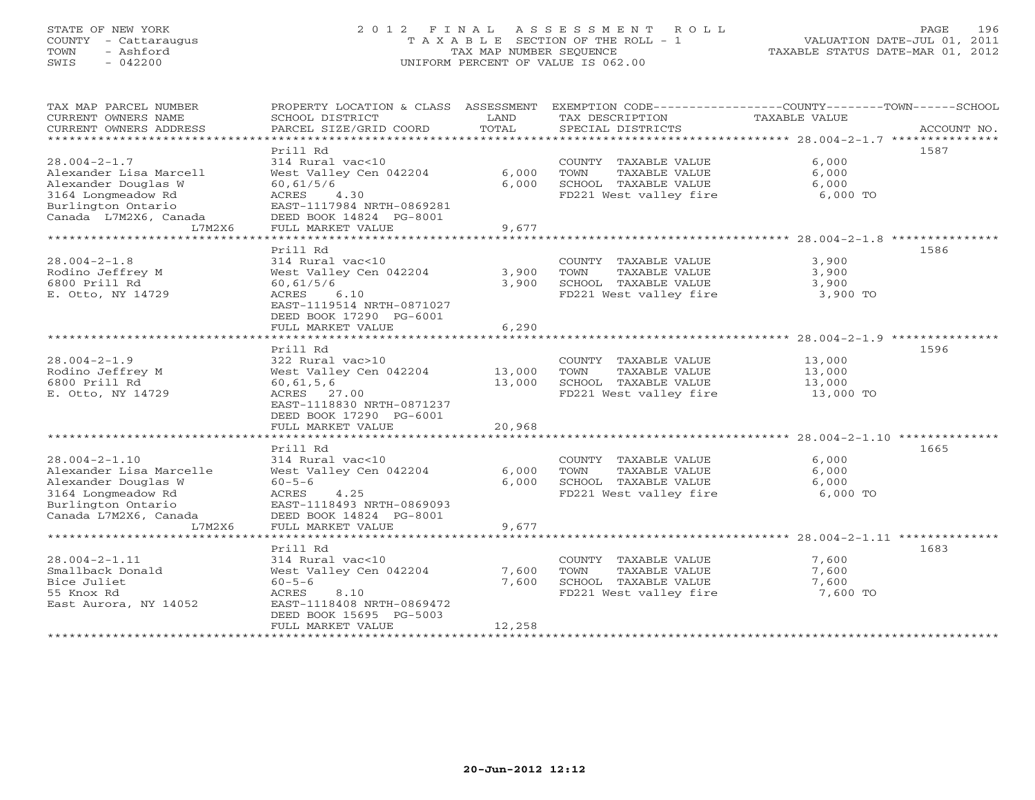# STATE OF NEW YORK 2 0 1 2 F I N A L A S S E S S M E N T R O L L PAGE 196 COUNTY - Cattaraugus T A X A B L E SECTION OF THE ROLL - 1 VALUATION DATE-JUL 01, 2011 TOWN - Ashford TAX MAP NUMBER SEQUENCE TAXABLE STATUS DATE-MAR 01, 2012 SWIS - 042200 UNIFORM PERCENT OF VALUE IS 062.00UNIFORM PERCENT OF VALUE IS 062.00

| TAX MAP PARCEL NUMBER<br>CURRENT OWNERS NAME<br>CURRENT OWNERS ADDRESS                                          | PROPERTY LOCATION & CLASS ASSESSMENT<br>SCHOOL DISTRICT<br>PARCEL SIZE/GRID COORD                      | LAND<br>TOTAL    | TAX DESCRIPTION<br>SPECIAL DISTRICTS                                                            | EXEMPTION CODE-----------------COUNTY-------TOWN------SCHOOL<br>TAXABLE VALUE<br>ACCOUNT NO. |
|-----------------------------------------------------------------------------------------------------------------|--------------------------------------------------------------------------------------------------------|------------------|-------------------------------------------------------------------------------------------------|----------------------------------------------------------------------------------------------|
|                                                                                                                 | Prill Rd                                                                                               |                  |                                                                                                 | 1587                                                                                         |
| $28.004 - 2 - 1.7$<br>Alexander Lisa Marcell<br>Alexander Douglas W<br>3164 Longmeadow Rd<br>Burlington Ontario | 314 Rural vac<10<br>West Valley Cen 042204<br>60, 61/5/6<br>4.30<br>ACRES<br>EAST-1117984 NRTH-0869281 | 6,000<br>6,000   | COUNTY TAXABLE VALUE<br>TOWN<br>TAXABLE VALUE<br>SCHOOL TAXABLE VALUE<br>FD221 West valley fire | 6,000<br>6,000<br>6,000<br>6,000 TO                                                          |
| Canada L7M2X6, Canada<br>L7M2X6                                                                                 | DEED BOOK 14824 PG-8001<br>FULL MARKET VALUE                                                           | 9,677            |                                                                                                 |                                                                                              |
|                                                                                                                 |                                                                                                        |                  |                                                                                                 |                                                                                              |
|                                                                                                                 | Prill Rd                                                                                               |                  |                                                                                                 | 1586                                                                                         |
| $28.004 - 2 - 1.8$                                                                                              | 314 Rural vac<10                                                                                       |                  | COUNTY TAXABLE VALUE                                                                            | 3,900                                                                                        |
| Rodino Jeffrey M                                                                                                | West Valley Cen 042204                                                                                 | 3,900            | TOWN<br>TAXABLE VALUE                                                                           | 3,900                                                                                        |
| 6800 Prill Rd                                                                                                   | 60, 61/5/6                                                                                             | 3,900            | SCHOOL TAXABLE VALUE                                                                            | 3,900                                                                                        |
| E. Otto, NY 14729                                                                                               | ACRES<br>6.10<br>EAST-1119514 NRTH-0871027<br>DEED BOOK 17290 PG-6001                                  |                  | FD221 West valley fire                                                                          | 3,900 TO                                                                                     |
|                                                                                                                 | FULL MARKET VALUE                                                                                      | 6,290            |                                                                                                 |                                                                                              |
|                                                                                                                 | *************************                                                                              | ***********      |                                                                                                 |                                                                                              |
|                                                                                                                 | Prill Rd                                                                                               |                  |                                                                                                 | 1596                                                                                         |
| $28.004 - 2 - 1.9$<br>Rodino Jeffrey M                                                                          | 322 Rural vac>10<br>West Valley Cen 042204                                                             |                  | COUNTY TAXABLE VALUE<br>TOWN                                                                    | 13,000<br>13,000                                                                             |
| 6800 Prill Rd                                                                                                   | 60, 61, 5, 6                                                                                           | 13,000<br>13,000 | TAXABLE VALUE<br>SCHOOL TAXABLE VALUE                                                           | 13,000                                                                                       |
| E. Otto, NY 14729                                                                                               | ACRES 27.00<br>EAST-1118830 NRTH-0871237                                                               |                  | FD221 West valley fire                                                                          | 13,000 TO                                                                                    |
|                                                                                                                 | DEED BOOK 17290 PG-6001                                                                                |                  |                                                                                                 |                                                                                              |
|                                                                                                                 | FULL MARKET VALUE                                                                                      | 20,968           |                                                                                                 |                                                                                              |
|                                                                                                                 | Prill Rd                                                                                               |                  |                                                                                                 | 1665                                                                                         |
| $28.004 - 2 - 1.10$                                                                                             | 314 Rural vac<10                                                                                       |                  | COUNTY TAXABLE VALUE                                                                            | 6,000                                                                                        |
| Alexander Lisa Marcelle                                                                                         | West Valley Cen 042204                                                                                 | 6,000            | TOWN<br>TAXABLE VALUE                                                                           | 6,000                                                                                        |
| Alexander Douglas W                                                                                             | $60 - 5 - 6$                                                                                           | 6,000            | SCHOOL TAXABLE VALUE                                                                            | 6,000                                                                                        |
| 3164 Longmeadow Rd                                                                                              | ACRES<br>4.25                                                                                          |                  | FD221 West valley fire                                                                          | 6,000 TO                                                                                     |
| Burlington Ontario                                                                                              | EAST-1118493 NRTH-0869093                                                                              |                  |                                                                                                 |                                                                                              |
| Canada L7M2X6, Canada                                                                                           | DEED BOOK 14824 PG-8001                                                                                |                  |                                                                                                 |                                                                                              |
| L7M2X6                                                                                                          | FULL MARKET VALUE                                                                                      | 9,677            |                                                                                                 |                                                                                              |
|                                                                                                                 |                                                                                                        |                  |                                                                                                 |                                                                                              |
|                                                                                                                 | Prill Rd                                                                                               |                  |                                                                                                 | 1683                                                                                         |
| $28.004 - 2 - 1.11$                                                                                             | 314 Rural vac<10                                                                                       |                  | COUNTY TAXABLE VALUE                                                                            | 7,600                                                                                        |
| Smallback Donald                                                                                                | West Valley Cen 042204                                                                                 | 7,600            | TAXABLE VALUE<br>TOWN                                                                           | 7,600                                                                                        |
| Bice Juliet                                                                                                     | $60 - 5 - 6$                                                                                           | 7,600            | SCHOOL TAXABLE VALUE                                                                            | 7,600                                                                                        |
| 55 Knox Rd                                                                                                      | ACRES<br>8.10<br>EAST-1118408 NRTH-0869472                                                             |                  | FD221 West valley fire                                                                          | 7,600 TO                                                                                     |
| East Aurora, NY 14052                                                                                           | DEED BOOK 15695 PG-5003                                                                                |                  |                                                                                                 |                                                                                              |
|                                                                                                                 | FULL MARKET VALUE                                                                                      | 12,258           |                                                                                                 |                                                                                              |
|                                                                                                                 |                                                                                                        |                  |                                                                                                 |                                                                                              |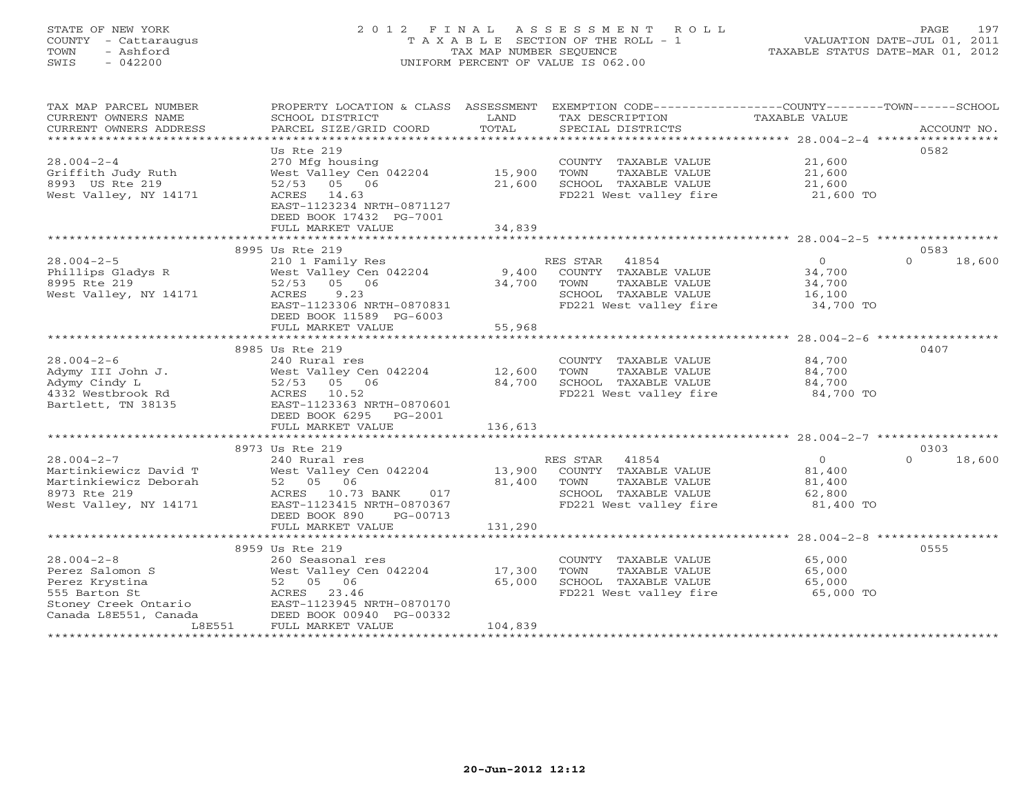# STATE OF NEW YORK 2 0 1 2 F I N A L A S S E S S M E N T R O L L PAGE 197 COUNTY - Cattaraugus T A X A B L E SECTION OF THE ROLL - 1 VALUATION DATE-JUL 01, 2011 TOWN - Ashford TAX MAP NUMBER SEQUENCE TAXABLE STATUS DATE-MAR 01, 2012 SWIS - 042200 UNIFORM PERCENT OF VALUE IS 062.00UNIFORM PERCENT OF VALUE IS 062.00

| TAX MAP PARCEL NUMBER<br>CURRENT OWNERS NAME<br>CURRENT OWNERS ADDRESS<br>************************** | PROPERTY LOCATION & CLASS ASSESSMENT<br>SCHOOL DISTRICT<br>PARCEL SIZE/GRID COORD | LAND<br>TOTAL | EXEMPTION CODE-----------------COUNTY-------TOWN-----SCHOOL<br>TAX DESCRIPTION<br>SPECIAL DISTRICTS | TAXABLE VALUE                                     | ACCOUNT NO.        |
|------------------------------------------------------------------------------------------------------|-----------------------------------------------------------------------------------|---------------|-----------------------------------------------------------------------------------------------------|---------------------------------------------------|--------------------|
|                                                                                                      |                                                                                   |               |                                                                                                     |                                                   |                    |
|                                                                                                      | Us Rte 219                                                                        |               |                                                                                                     |                                                   | 0582               |
| $28.004 - 2 - 4$                                                                                     | 270 Mfg housing                                                                   |               | COUNTY TAXABLE VALUE                                                                                | 21,600                                            |                    |
| Griffith Judy Ruth                                                                                   | West Valley Cen 042204                                                            | 15,900        | TOWN<br>TAXABLE VALUE                                                                               | 21,600                                            |                    |
| 8993 US Rte 219                                                                                      | 52/53 05 06                                                                       | 21,600        | SCHOOL TAXABLE VALUE                                                                                | 21,600                                            |                    |
| West Valley, NY 14171                                                                                | ACRES 14.63                                                                       |               | FD221 West valley fire                                                                              | 21,600 TO                                         |                    |
|                                                                                                      | EAST-1123234 NRTH-0871127                                                         |               |                                                                                                     |                                                   |                    |
|                                                                                                      | DEED BOOK 17432 PG-7001                                                           |               |                                                                                                     |                                                   |                    |
|                                                                                                      | FULL MARKET VALUE                                                                 | 34,839        |                                                                                                     |                                                   |                    |
|                                                                                                      |                                                                                   |               |                                                                                                     |                                                   |                    |
|                                                                                                      | 8995 Us Rte 219                                                                   |               |                                                                                                     |                                                   | 0583               |
| $28.004 - 2 - 5$                                                                                     | 210 1 Family Res                                                                  |               | RES STAR<br>41854                                                                                   | $\overline{O}$                                    | $\Omega$<br>18,600 |
| Phillips Gladys R                                                                                    | West Valley Cen 042204                                                            | 9,400         | COUNTY TAXABLE VALUE                                                                                | 34,700                                            |                    |
| 8995 Rte 219                                                                                         | 52/53 05 06                                                                       | 34,700        | TAXABLE VALUE<br>TOWN                                                                               | 34,700                                            |                    |
| West Valley, NY 14171                                                                                | ACRES<br>9.23                                                                     |               | SCHOOL TAXABLE VALUE                                                                                | 16,100                                            |                    |
|                                                                                                      | EAST-1123306 NRTH-0870831                                                         |               | FD221 West valley fire                                                                              | 34,700 TO                                         |                    |
|                                                                                                      | DEED BOOK 11589 PG-6003                                                           |               |                                                                                                     |                                                   |                    |
|                                                                                                      | FULL MARKET VALUE                                                                 | 55,968        |                                                                                                     |                                                   |                    |
|                                                                                                      | **************************                                                        | ************  |                                                                                                     | ******************** 28.004-2-6 ***************** |                    |
|                                                                                                      | 8985 Us Rte 219                                                                   |               |                                                                                                     |                                                   | 0407               |
| $28.004 - 2 - 6$                                                                                     | 240 Rural res                                                                     |               | COUNTY TAXABLE VALUE                                                                                | 84,700                                            |                    |
|                                                                                                      | West Valley Cen 042204                                                            | 12,600        | TOWN<br>TAXABLE VALUE                                                                               | 84,700                                            |                    |
| Adymy III John J.<br>Adymy Cindy L                                                                   | 52/53<br>05 06                                                                    | 84,700        | SCHOOL TAXABLE VALUE                                                                                | 84,700                                            |                    |
|                                                                                                      |                                                                                   |               |                                                                                                     |                                                   |                    |
| 4332 Westbrook Rd                                                                                    | ACRES 10.52                                                                       |               | FD221 West valley fire                                                                              | 84,700 TO                                         |                    |
| Bartlett, TN 38135                                                                                   | EAST-1123363 NRTH-0870601                                                         |               |                                                                                                     |                                                   |                    |
|                                                                                                      | DEED BOOK 6295 PG-2001                                                            |               |                                                                                                     |                                                   |                    |
|                                                                                                      | FULL MARKET VALUE                                                                 | 136,613       |                                                                                                     |                                                   |                    |
|                                                                                                      |                                                                                   |               |                                                                                                     |                                                   |                    |
|                                                                                                      | 8973 Us Rte 219                                                                   |               |                                                                                                     |                                                   | 0303               |
| $28.004 - 2 - 7$                                                                                     | 240 Rural res                                                                     |               | RES STAR 41854                                                                                      | $\overline{0}$                                    | $\Omega$<br>18,600 |
| Martinkiewicz David T                                                                                | West Valley Cen 042204                                                            | 13,900        | COUNTY TAXABLE VALUE                                                                                | 81,400                                            |                    |
| Martinkiewicz Deborah                                                                                | 52 05 06                                                                          | 81,400        | TAXABLE VALUE<br>TOWN                                                                               | 81,400                                            |                    |
| 8973 Rte 219                                                                                         | ACRES 10.73 BANK<br>017                                                           |               | SCHOOL TAXABLE VALUE                                                                                | 62,800                                            |                    |
| West Valley, NY 14171                                                                                | EAST-1123415 NRTH-0870367                                                         |               | FD221 West valley fire                                                                              | 81,400 TO                                         |                    |
|                                                                                                      | PG-00713<br>DEED BOOK 890                                                         |               |                                                                                                     |                                                   |                    |
|                                                                                                      | FULL MARKET VALUE                                                                 | 131,290       |                                                                                                     |                                                   |                    |
|                                                                                                      |                                                                                   |               |                                                                                                     |                                                   |                    |
|                                                                                                      | 8959 Us Rte 219                                                                   |               |                                                                                                     |                                                   | 0555               |
| $28.004 - 2 - 8$                                                                                     | 260 Seasonal res                                                                  |               | COUNTY TAXABLE VALUE                                                                                | 65,000                                            |                    |
| Perez Salomon S                                                                                      | West Valley Cen 042204                                                            | 17,300        | TOWN<br>TAXABLE VALUE                                                                               | 65,000                                            |                    |
| Perez Krystina                                                                                       | 52 05 06                                                                          | 65,000        | SCHOOL TAXABLE VALUE                                                                                | 65,000                                            |                    |
| 555 Barton St                                                                                        | ACRES 23.46                                                                       |               | FD221 West valley fire                                                                              | 65,000 TO                                         |                    |
| Stoney Creek Ontario                                                                                 | EAST-1123945 NRTH-0870170                                                         |               |                                                                                                     |                                                   |                    |
| Canada L8E551, Canada                                                                                | DEED BOOK 00940 PG-00332                                                          |               |                                                                                                     |                                                   |                    |
| L8E551                                                                                               | FULL MARKET VALUE                                                                 | 104,839       |                                                                                                     |                                                   |                    |
|                                                                                                      |                                                                                   |               |                                                                                                     |                                                   |                    |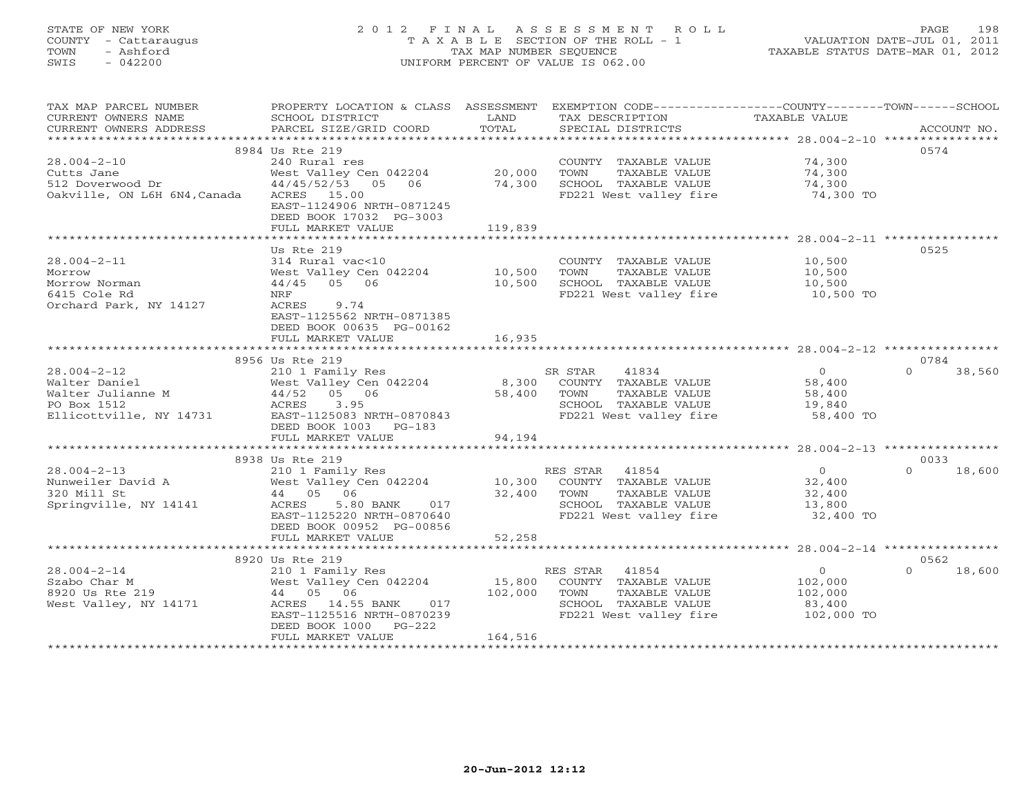## STATE OF NEW YORK 2 0 1 2 F I N A L A S S E S S M E N T R O L L PAGE 198 COUNTY - Cattaraugus T A X A B L E SECTION OF THE ROLL - 1 VALUATION DATE-JUL 01, 2011 TOWN - Ashford TAX MAP NUMBER SEQUENCE TAXABLE STATUS DATE-MAR 01, 2012 SWIS - 042200 UNIFORM PERCENT OF VALUE IS 062.00UNIFORM PERCENT OF VALUE IS 062.00

| TAX MAP PARCEL NUMBER<br>CURRENT OWNERS NAME<br>CURRENT OWNERS ADDRESS                                                                                                 | PROPERTY LOCATION & CLASS ASSESSMENT EXEMPTION CODE--------------COUNTY-------TOWN------SCHOOL<br>SCHOOL DISTRICT<br>PARCEL SIZE/GRID COORD | LAND<br>TOTAL | TAX DESCRIPTION<br>SPECIAL DISTRICTS                            | TAXABLE VALUE            | ACCOUNT NO.        |
|------------------------------------------------------------------------------------------------------------------------------------------------------------------------|---------------------------------------------------------------------------------------------------------------------------------------------|---------------|-----------------------------------------------------------------|--------------------------|--------------------|
|                                                                                                                                                                        |                                                                                                                                             |               |                                                                 |                          |                    |
|                                                                                                                                                                        | 8984 Us Rte 219                                                                                                                             |               |                                                                 |                          | 0574               |
| $28.004 - 2 - 10$                                                                                                                                                      | 240 Rural res                                                                                                                               |               | COUNTY TAXABLE VALUE 74,300                                     |                          |                    |
| Cutts Jane                                                                                                                                                             | West Valley Cen 042204 20,000<br>44/45/52/53 05 06 74,300                                                                                   |               | TOWN<br>TAXABLE VALUE                                           | 74,300                   |                    |
| Cutts Jane<br>512 Doverwood Dr                                                                                                                                         | 44/45/52/53 05 06                                                                                                                           |               | SCHOOL TAXABLE VALUE                                            | 74,300                   |                    |
| Oakville, ON L6H 6N4, Canada                                                                                                                                           | ACRES 15.00                                                                                                                                 |               | FD221 West valley fire 34,300 TO                                |                          |                    |
|                                                                                                                                                                        | EAST-1124906 NRTH-0871245                                                                                                                   |               |                                                                 |                          |                    |
|                                                                                                                                                                        | DEED BOOK 17032 PG-3003                                                                                                                     |               |                                                                 |                          |                    |
|                                                                                                                                                                        | FULL MARKET VALUE                                                                                                                           | 119,839       |                                                                 |                          |                    |
|                                                                                                                                                                        |                                                                                                                                             |               |                                                                 |                          |                    |
|                                                                                                                                                                        | Us Rte 219                                                                                                                                  |               |                                                                 |                          | 0525               |
| $28.004 - 2 - 11$                                                                                                                                                      | 314 Rural vac<10<br>West Valley Cen 042204 10,500 TOWN                                                                                      |               | COUNTY TAXABLE VALUE                                            | 10,500<br>10,500         |                    |
| Morrow<br>Morrow Norman                                                                                                                                                | 44/45 05 06                                                                                                                                 |               | TAXABLE VALUE<br>SCHOOL TAXABLE VALUE                           |                          |                    |
| 6415 Cole Rd                                                                                                                                                           | NRF                                                                                                                                         | 10,500        | роноод тахавью VALUE<br>FD221 West valley fire                  | 10,500<br>10,500 TO      |                    |
| Orchard Park, NY 14127                                                                                                                                                 | ACRES 9.74                                                                                                                                  |               |                                                                 |                          |                    |
|                                                                                                                                                                        | EAST-1125562 NRTH-0871385                                                                                                                   |               |                                                                 |                          |                    |
|                                                                                                                                                                        | DEED BOOK 00635 PG-00162                                                                                                                    |               |                                                                 |                          |                    |
|                                                                                                                                                                        | FULL MARKET VALUE                                                                                                                           | 16,935        |                                                                 |                          |                    |
|                                                                                                                                                                        |                                                                                                                                             |               |                                                                 |                          |                    |
|                                                                                                                                                                        | 8956 Us Rte 219                                                                                                                             |               |                                                                 |                          | 0784               |
| $28.004 - 2 - 12$                                                                                                                                                      | 210 1 Family Res                                                                                                                            |               | SR STAR 41834                                                   | $\overline{0}$           | $\Omega$<br>38,560 |
| Walter Daniel<br>West Valley Cen 042204 8,300 COUNTY TAXABLE VALUE<br>West Valley Cen 042204 8,300 COUNTY TAXABLE VALUE<br>PO Box 1512 ACRES 3.95 SCHOOL TAXABLE VALUE |                                                                                                                                             |               |                                                                 | 58,400                   |                    |
|                                                                                                                                                                        |                                                                                                                                             |               |                                                                 | 58,400                   |                    |
|                                                                                                                                                                        |                                                                                                                                             |               | SCHOOL TAXABLE VALUE                                            | 19,840                   |                    |
| Ellicottville, NY 14731                                                                                                                                                | EAST-1125083 NRTH-0870843                                                                                                                   |               | FD221 West valley fire                                          | 58,400 TO                |                    |
|                                                                                                                                                                        | DEED BOOK 1003 PG-183                                                                                                                       |               |                                                                 |                          |                    |
|                                                                                                                                                                        | FULL MARKET VALUE                                                                                                                           | 94,194        |                                                                 |                          |                    |
|                                                                                                                                                                        |                                                                                                                                             |               |                                                                 |                          |                    |
|                                                                                                                                                                        | 8938 Us Rte 219                                                                                                                             |               |                                                                 |                          | 0033               |
| $28.004 - 2 - 13$                                                                                                                                                      |                                                                                                                                             |               |                                                                 | $\overline{0}$<br>32,400 | 18,600<br>$\Omega$ |
| Nunweiler David A<br>320 Mill St                                                                                                                                       |                                                                                                                                             |               |                                                                 | 32,400                   |                    |
| Springville, NY 14141                                                                                                                                                  |                                                                                                                                             |               |                                                                 |                          |                    |
|                                                                                                                                                                        | $5.80$ BANK 017<br>32,400<br>320 NRTH 0072<br>EAST-1125220 NRTH-0870640                                                                     |               | SCHOOL TAXABLE VALUE 13,800<br>FD221 West valley fire 32,400 TO |                          |                    |
|                                                                                                                                                                        | DEED BOOK 00952 PG-00856                                                                                                                    |               |                                                                 |                          |                    |
|                                                                                                                                                                        | FULL MARKET VALUE                                                                                                                           | 52,258        |                                                                 |                          |                    |
|                                                                                                                                                                        |                                                                                                                                             |               |                                                                 |                          |                    |
|                                                                                                                                                                        | 8920 Us Rte 219                                                                                                                             |               |                                                                 |                          | 0562               |
| $28.004 - 2 - 14$                                                                                                                                                      | 210 1 Family Res                                                                                                                            |               | RES STAR 41854                                                  | $\overline{0}$           | $\Omega$<br>18,600 |
| Szabo Char M                                                                                                                                                           | 210 1 Family Res<br>West Valley Cen 042204     15,800<br>44  05  06          102.000                                                        |               | COUNTY TAXABLE VALUE                                            | 102,000                  |                    |
| 8920 Us Rte 219                                                                                                                                                        | 44 05 06                                                                                                                                    | 102,000       | TOWN<br>TAXABLE VALUE                                           | 102,000                  |                    |
| West Valley, NY 14171                                                                                                                                                  | ACRES 14.55 BANK 017<br>EAST-1125516 NRTH-0870239                                                                                           |               | SCHOOL TAXABLE VALUE                                            | 83,400                   |                    |
|                                                                                                                                                                        |                                                                                                                                             |               | FD221 West valley fire                                          | 102,000 TO               |                    |
|                                                                                                                                                                        | DEED BOOK 1000 PG-222                                                                                                                       |               |                                                                 |                          |                    |
|                                                                                                                                                                        | FULL MARKET VALUE                                                                                                                           | 164,516       |                                                                 |                          |                    |
|                                                                                                                                                                        |                                                                                                                                             |               |                                                                 |                          |                    |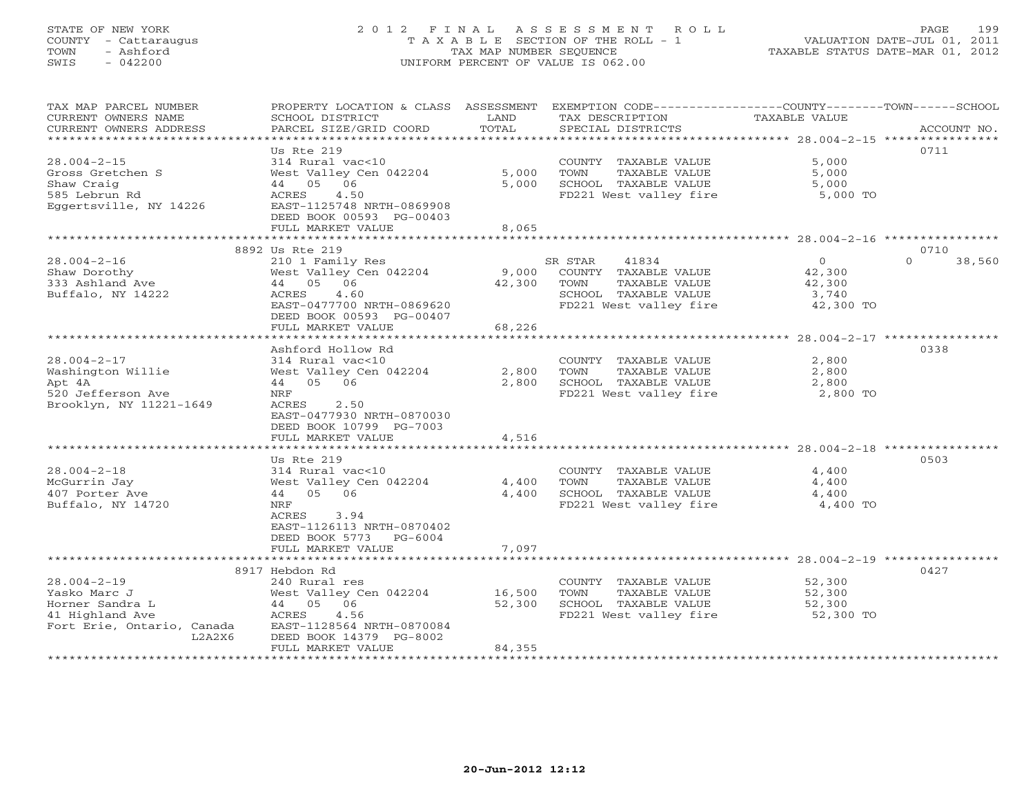## STATE OF NEW YORK 2 0 1 2 F I N A L A S S E S S M E N T R O L L PAGE 199 COUNTY - Cattaraugus T A X A B L E SECTION OF THE ROLL - 1 VALUATION DATE-JUL 01, 2011 TOWN - Ashford TAX MAP NUMBER SEQUENCE TAXABLE STATUS DATE-MAR 01, 2012 SWIS - 042200 UNIFORM PERCENT OF VALUE IS 062.00UNIFORM PERCENT OF VALUE IS 062.00

| TAX MAP PARCEL NUMBER<br>CURRENT OWNERS NAME<br>CURRENT OWNERS ADDRESS | PROPERTY LOCATION & CLASS ASSESSMENT<br>SCHOOL DISTRICT | LAND<br>TOTAL | EXEMPTION CODE-----------------COUNTY-------TOWN------SCHOOL<br>TAX DESCRIPTION<br>SPECIAL DISTRICTS | TAXABLE VALUE  | ACCOUNT NO.        |
|------------------------------------------------------------------------|---------------------------------------------------------|---------------|------------------------------------------------------------------------------------------------------|----------------|--------------------|
| ********************                                                   | PARCEL SIZE/GRID COORD                                  |               |                                                                                                      |                |                    |
|                                                                        | Us Rte 219                                              |               |                                                                                                      |                | 0711               |
| $28.004 - 2 - 15$                                                      | 314 Rural vac<10                                        |               | COUNTY TAXABLE VALUE                                                                                 | 5,000          |                    |
| Gross Gretchen S                                                       | West Valley Cen 042204                                  | 5,000         | TOWN<br>TAXABLE VALUE                                                                                | 5,000          |                    |
| Shaw Craig<br>585 Lebrun Rd                                            | 44 05 06<br>ACRES<br>4.50                               | 5,000         | SCHOOL TAXABLE VALUE                                                                                 | 5,000          |                    |
| Eggertsville, NY 14226                                                 | EAST-1125748 NRTH-0869908                               |               | FD221 West valley fire                                                                               | 5,000 TO       |                    |
|                                                                        | DEED BOOK 00593 PG-00403                                |               |                                                                                                      |                |                    |
|                                                                        | FULL MARKET VALUE                                       | 8,065         |                                                                                                      |                |                    |
|                                                                        |                                                         |               |                                                                                                      |                |                    |
|                                                                        | 8892 Us Rte 219                                         |               |                                                                                                      |                | 0710               |
| $28.004 - 2 - 16$                                                      | 210 1 Family Res                                        |               | SR STAR<br>41834                                                                                     | $\circ$        | $\Omega$<br>38,560 |
| Shaw Dorothy                                                           | West Valley Cen 042204                                  | 9,000         | COUNTY TAXABLE VALUE                                                                                 | 42,300         |                    |
| 333 Ashland Ave                                                        | 44 05 06                                                | 42,300        | TOWN<br>TAXABLE VALUE                                                                                | 42,300         |                    |
| Buffalo, NY 14222                                                      | 4.60<br>ACRES                                           |               | SCHOOL TAXABLE VALUE                                                                                 | 3,740          |                    |
|                                                                        | EAST-0477700 NRTH-0869620                               |               | FD221 West valley fire                                                                               | 42,300 TO      |                    |
|                                                                        | DEED BOOK 00593 PG-00407                                |               |                                                                                                      |                |                    |
|                                                                        | FULL MARKET VALUE                                       | 68,226        |                                                                                                      |                |                    |
|                                                                        |                                                         |               |                                                                                                      |                |                    |
| $28.004 - 2 - 17$                                                      | Ashford Hollow Rd<br>314 Rural vac<10                   |               |                                                                                                      |                | 0338               |
| Washington Willie                                                      | West Valley Cen 042204                                  | 2,800         | COUNTY TAXABLE VALUE<br>TOWN<br>TAXABLE VALUE                                                        | 2,800<br>2,800 |                    |
| Apt 4A                                                                 | 44 05 06                                                | 2,800         | SCHOOL TAXABLE VALUE                                                                                 | 2,800          |                    |
| 520 Jefferson Ave                                                      | <b>NRF</b>                                              |               | FD221 West valley fire                                                                               | 2,800 TO       |                    |
| Brooklyn, NY 11221-1649                                                | 2.50<br>ACRES                                           |               |                                                                                                      |                |                    |
|                                                                        | EAST-0477930 NRTH-0870030                               |               |                                                                                                      |                |                    |
|                                                                        | DEED BOOK 10799 PG-7003                                 |               |                                                                                                      |                |                    |
|                                                                        | FULL MARKET VALUE                                       | 4,516         |                                                                                                      |                |                    |
|                                                                        |                                                         |               |                                                                                                      |                |                    |
|                                                                        | Us Rte 219                                              |               |                                                                                                      |                | 0503               |
| $28.004 - 2 - 18$                                                      | 314 Rural vac<10                                        |               | COUNTY TAXABLE VALUE                                                                                 | 4,400          |                    |
| McGurrin Jay                                                           | West Valley Cen 042204                                  | 4,400         | TAXABLE VALUE<br>TOWN                                                                                | 4,400          |                    |
| 407 Porter Ave                                                         | 44 05 06                                                | 4,400         | SCHOOL TAXABLE VALUE                                                                                 | 4,400          |                    |
| Buffalo, NY 14720                                                      | NRF                                                     |               | FD221 West valley fire                                                                               | 4,400 TO       |                    |
|                                                                        | ACRES<br>3.94<br>EAST-1126113 NRTH-0870402              |               |                                                                                                      |                |                    |
|                                                                        | DEED BOOK 5773<br>PG-6004                               |               |                                                                                                      |                |                    |
|                                                                        | FULL MARKET VALUE                                       | 7,097         |                                                                                                      |                |                    |
|                                                                        | ***********************                                 | ************  |                                                                                                      |                |                    |
|                                                                        | 8917 Hebdon Rd                                          |               |                                                                                                      |                | 0427               |
| $28.004 - 2 - 19$                                                      | 240 Rural res                                           |               | COUNTY TAXABLE VALUE                                                                                 | 52,300         |                    |
| Yasko Marc J                                                           | West Valley Cen 042204                                  | 16,500        | TAXABLE VALUE<br>TOWN                                                                                | 52,300         |                    |
| Horner Sandra L                                                        | 44 05 06                                                | 52,300        | SCHOOL TAXABLE VALUE                                                                                 | 52,300         |                    |
| 41 Highland Ave                                                        | ACRES<br>4.56                                           |               | FD221 West valley fire                                                                               | 52,300 TO      |                    |
| Fort Erie, Ontario, Canada                                             | EAST-1128564 NRTH-0870084                               |               |                                                                                                      |                |                    |
| L2A2X6                                                                 | DEED BOOK 14379 PG-8002                                 |               |                                                                                                      |                |                    |
|                                                                        | FULL MARKET VALUE                                       | 84,355        |                                                                                                      |                |                    |
|                                                                        |                                                         |               |                                                                                                      |                |                    |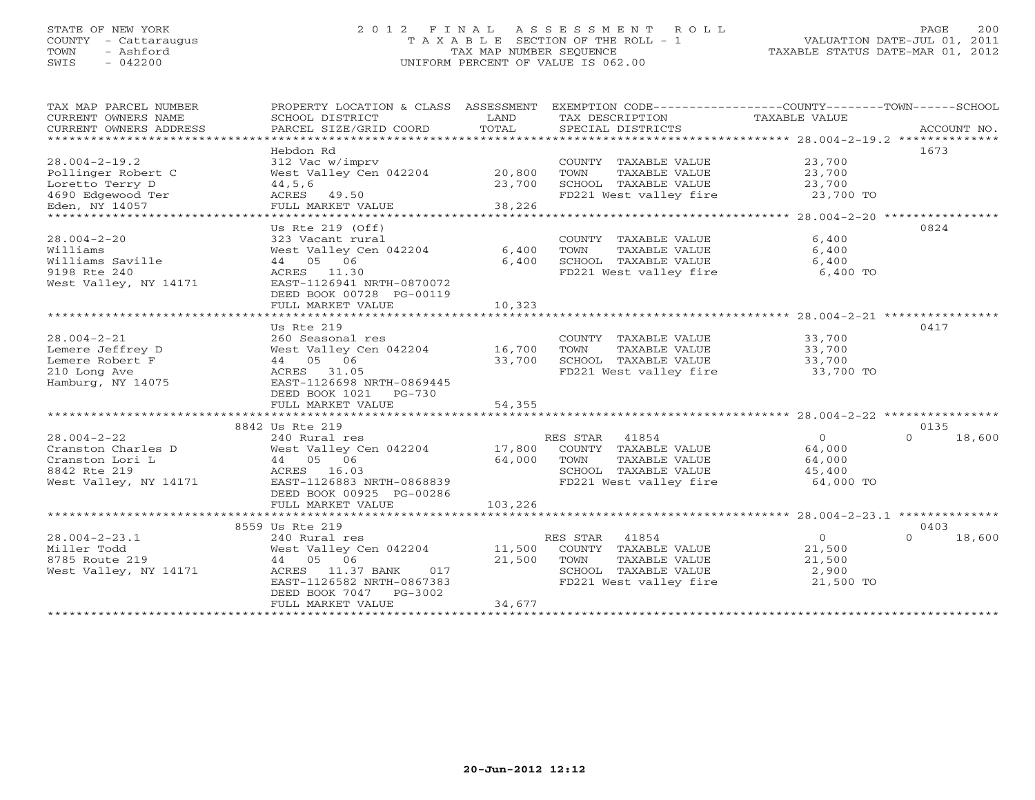## STATE OF NEW YORK 2 0 1 2 F I N A L A S S E S S M E N T R O L L PAGE 200 COUNTY - Cattaraugus T A X A B L E SECTION OF THE ROLL - 1 VALUATION DATE-JUL 01, 2011 TOWN - Ashford TAX MAP NUMBER SEQUENCE TAXABLE STATUS DATE-MAR 01, 2012 SWIS - 042200 UNIFORM PERCENT OF VALUE IS 062.00UNIFORM PERCENT OF VALUE IS 062.00

| TAX MAP PARCEL NUMBER<br>CURRENT OWNERS NAME<br>CURRENT OWNERS ADDRESS | PROPERTY LOCATION & CLASS ASSESSMENT<br>SCHOOL DISTRICT<br>PARCEL SIZE/GRID COORD | LAND<br>TOTAL | EXEMPTION CODE----------------COUNTY-------TOWN------SCHOOL<br>TAX DESCRIPTION<br>SPECIAL DISTRICTS | TAXABLE VALUE  | ACCOUNT NO.        |
|------------------------------------------------------------------------|-----------------------------------------------------------------------------------|---------------|-----------------------------------------------------------------------------------------------------|----------------|--------------------|
|                                                                        |                                                                                   |               |                                                                                                     |                |                    |
|                                                                        | Hebdon Rd                                                                         |               |                                                                                                     |                | 1673               |
| $28.004 - 2 - 19.2$                                                    | 312 Vac w/imprv                                                                   |               | COUNTY TAXABLE VALUE                                                                                | 23,700         |                    |
| Pollinger Robert C                                                     | West Valley Cen 042204                                                            | 20,800        | TOWN<br>TAXABLE VALUE                                                                               | 23,700         |                    |
| Loretto Terry D                                                        | 44, 5, 6                                                                          | 23,700        | SCHOOL TAXABLE VALUE                                                                                | 23,700         |                    |
| 4690 Edgewood Ter                                                      | ACRES 49.50                                                                       |               | FD221 West valley fire                                                                              | 23,700 TO      |                    |
| Eden, NY 14057                                                         | FULL MARKET VALUE                                                                 | 38,226        |                                                                                                     |                |                    |
| ************************                                               |                                                                                   |               |                                                                                                     |                |                    |
|                                                                        | Us Rte 219 (Off)                                                                  |               |                                                                                                     |                | 0824               |
| $28.004 - 2 - 20$                                                      | 323 Vacant rural                                                                  |               | COUNTY TAXABLE VALUE                                                                                | 6,400          |                    |
| Williams                                                               | West Valley Cen 042204                                                            | 6,400         | TOWN<br>TAXABLE VALUE                                                                               | 6,400          |                    |
|                                                                        |                                                                                   |               |                                                                                                     |                |                    |
| Williams Saville                                                       | 44 05 06                                                                          | 6,400         | SCHOOL TAXABLE VALUE                                                                                | 6,400          |                    |
| 9198 Rte 240                                                           | ACRES 11.30                                                                       |               | FD221 West valley fire                                                                              | 6,400 TO       |                    |
| West Valley, NY 14171                                                  | EAST-1126941 NRTH-0870072                                                         |               |                                                                                                     |                |                    |
|                                                                        | DEED BOOK 00728 PG-00119                                                          |               |                                                                                                     |                |                    |
|                                                                        | FULL MARKET VALUE                                                                 | 10,323        |                                                                                                     |                |                    |
|                                                                        |                                                                                   |               |                                                                                                     |                |                    |
|                                                                        | Us Rte 219                                                                        |               |                                                                                                     |                | 0417               |
| $28.004 - 2 - 21$                                                      | 260 Seasonal res                                                                  |               | COUNTY TAXABLE VALUE                                                                                | 33,700         |                    |
| Lemere Jeffrey D                                                       | West Valley Cen 042204 16,700                                                     |               | TOWN<br>TAXABLE VALUE                                                                               | 33,700         |                    |
| Lemere Robert F                                                        | 44 05 06                                                                          | 33,700        | SCHOOL TAXABLE VALUE                                                                                | 33,700         |                    |
| 210 Long Ave                                                           | ACRES 31.05                                                                       |               | FD221 West valley fire                                                                              | 33,700 TO      |                    |
|                                                                        |                                                                                   |               |                                                                                                     |                |                    |
| Hamburg, NY 14075                                                      | EAST-1126698 NRTH-0869445                                                         |               |                                                                                                     |                |                    |
|                                                                        | DEED BOOK 1021 PG-730                                                             |               |                                                                                                     |                |                    |
|                                                                        | FULL MARKET VALUE                                                                 | 54,355        |                                                                                                     |                |                    |
|                                                                        |                                                                                   |               |                                                                                                     |                |                    |
|                                                                        | 8842 Us Rte 219                                                                   |               |                                                                                                     |                | 0135               |
| $28.004 - 2 - 22$                                                      | 240 Rural res                                                                     |               | RES STAR 41854                                                                                      | $\overline{0}$ | $\Omega$<br>18,600 |
| Cranston Charles D                                                     | West Valley Cen 042204                                                            | 17,800        | COUNTY TAXABLE VALUE                                                                                | 64,000         |                    |
| Cranston Lori L                                                        | 44 05 06                                                                          | 64,000        | TOWN<br>TAXABLE VALUE                                                                               | 64,000         |                    |
| 8842 Rte 219                                                           | ACRES 16.03                                                                       |               | SCHOOL TAXABLE VALUE                                                                                | 45,400         |                    |
| West Valley, NY 14171                                                  | EAST-1126883 NRTH-0868839                                                         |               | FD221 West valley fire                                                                              | 64,000 TO      |                    |
|                                                                        | DEED BOOK 00925 PG-00286                                                          |               |                                                                                                     |                |                    |
|                                                                        | FULL MARKET VALUE                                                                 | 103,226       |                                                                                                     |                |                    |
|                                                                        |                                                                                   |               |                                                                                                     |                |                    |
|                                                                        | 8559 Us Rte 219                                                                   |               |                                                                                                     |                | 0403               |
|                                                                        |                                                                                   |               |                                                                                                     |                |                    |
| $28.004 - 2 - 23.1$                                                    | 240 Rural res                                                                     |               | 41854<br>RES STAR                                                                                   | $\overline{O}$ | $\Omega$<br>18,600 |
| Miller Todd                                                            | West Valley Cen 042204                                                            | 11,500        | COUNTY TAXABLE VALUE                                                                                | 21,500         |                    |
| 8785 Route 219                                                         | 44 05 06                                                                          | 21,500        | TOWN<br>TAXABLE VALUE                                                                               | 21,500         |                    |
| West Valley, NY 14171                                                  | ACRES 11.37 BANK<br>017                                                           |               | SCHOOL TAXABLE VALUE                                                                                | 2,900          |                    |
|                                                                        | EAST-1126582 NRTH-0867383                                                         |               | FD221 West valley fire                                                                              | 21,500 TO      |                    |
|                                                                        | DEED BOOK 7047<br>PG-3002                                                         |               |                                                                                                     |                |                    |
|                                                                        | FULL MARKET VALUE                                                                 | 34,677        |                                                                                                     |                |                    |
|                                                                        |                                                                                   |               |                                                                                                     |                |                    |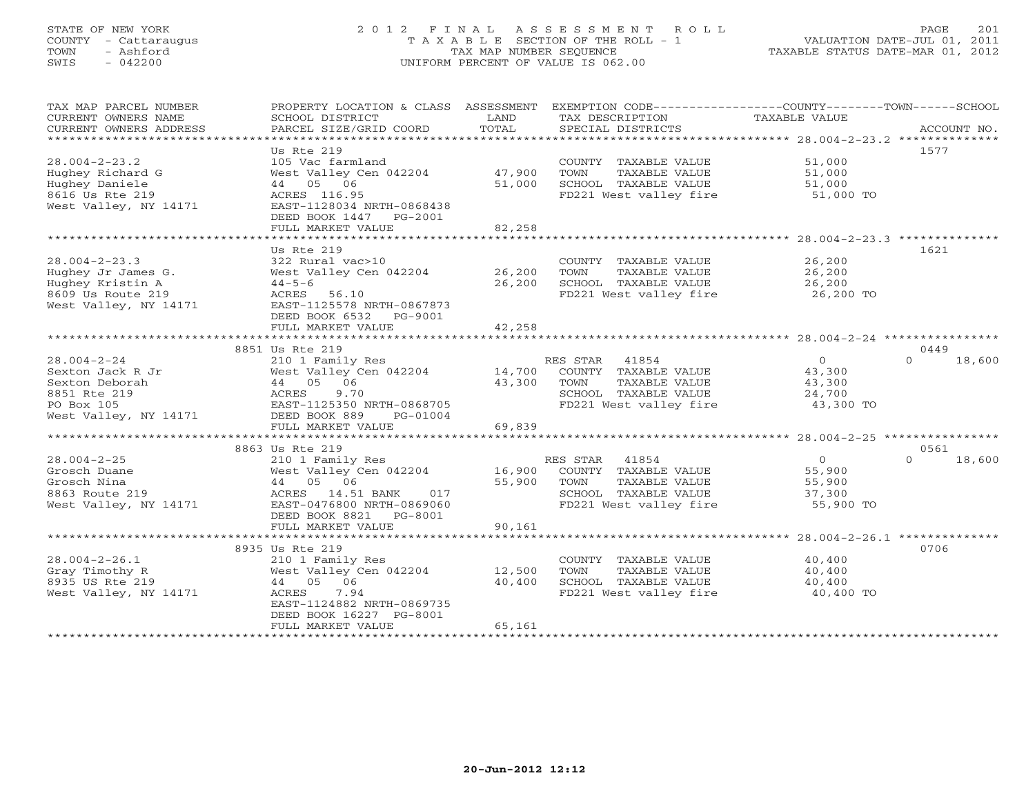## STATE OF NEW YORK 2 0 1 2 F I N A L A S S E S S M E N T R O L L PAGE 201 COUNTY - Cattaraugus T A X A B L E SECTION OF THE ROLL - 1 VALUATION DATE-JUL 01, 2011 TOWN - Ashford TAX MAP NUMBER SEQUENCE TAXABLE STATUS DATE-MAR 01, 2012 SWIS - 042200 UNIFORM PERCENT OF VALUE IS 062.00UNIFORM PERCENT OF VALUE IS 062.00

| TAX MAP PARCEL NUMBER  | PROPERTY LOCATION & CLASS ASSESSMENT               |        |                                                | EXEMPTION CODE-----------------COUNTY-------TOWN------SCHOOL |  |
|------------------------|----------------------------------------------------|--------|------------------------------------------------|--------------------------------------------------------------|--|
| CURRENT OWNERS NAME    | SCHOOL DISTRICT                                    | LAND   | TAX DESCRIPTION TAXABLE VALUE                  |                                                              |  |
| CURRENT OWNERS ADDRESS | PARCEL SIZE/GRID COORD                             | TOTAL  | SPECIAL DISTRICTS                              | ACCOUNT NO.                                                  |  |
|                        |                                                    |        |                                                |                                                              |  |
|                        | Us Rte 219                                         |        |                                                | 1577                                                         |  |
| $28.004 - 2 - 23.2$    | 105 Vac farmland                                   |        | COUNTY TAXABLE VALUE                           | 51,000                                                       |  |
| Hughey Richard G       | West Valley Cen 042204                             | 47,900 | TAXABLE VALUE<br>TOWN                          | 51,000                                                       |  |
| Hughey Daniele         | 44 05 06                                           | 51,000 | SCHOOL TAXABLE VALUE                           | 51,000                                                       |  |
| 8616 Us Rte 219        | ACRES 116.95                                       |        | FD221 West valley fire                         | 51,000 TO                                                    |  |
| West Valley, NY 14171  | EAST-1128034 NRTH-0868438                          |        |                                                |                                                              |  |
|                        | DEED BOOK 1447 PG-2001                             |        |                                                |                                                              |  |
|                        |                                                    | 82,258 |                                                |                                                              |  |
|                        | FULL MARKET VALUE                                  |        |                                                |                                                              |  |
|                        |                                                    |        |                                                |                                                              |  |
|                        | Us Rte 219                                         |        |                                                | 1621                                                         |  |
| $28.004 - 2 - 23.3$    | 322 Rural vac>10                                   |        | COUNTY TAXABLE VALUE                           | 26,200                                                       |  |
| Hughey Jr James G.     | West Valley Cen 042204                             | 26,200 | TOWN<br>TAXABLE VALUE                          | 26,200                                                       |  |
| Hughey Kristin A       | $44 - 5 - 6$                                       | 26,200 | SCHOOL TAXABLE VALUE                           | 26,200                                                       |  |
| 8609 Us Route 219      | ACRES 56.10                                        |        | FD221 West valley fire                         | 26,200 TO                                                    |  |
| West Valley, NY 14171  | EAST-1125578 NRTH-0867873                          |        |                                                |                                                              |  |
|                        | DEED BOOK 6532 PG-9001                             |        |                                                |                                                              |  |
|                        | FULL MARKET VALUE                                  | 42,258 |                                                |                                                              |  |
|                        |                                                    |        |                                                |                                                              |  |
|                        | 8851 Us Rte 219                                    |        |                                                | 0449                                                         |  |
| $28.004 - 2 - 24$      | 210 1 Family Res                                   |        | RES STAR 41854                                 | $\overline{0}$<br>$\Omega$<br>18,600                         |  |
| Sexton Jack R Jr       | West Valley Cen 042204 14,700 COUNTY TAXABLE VALUE |        |                                                | 43,300                                                       |  |
| Sexton Deborah         | 44 05 06                                           | 43,300 | TOWN<br>TAXABLE VALUE                          | 43,300                                                       |  |
| 8851 Rte 219           | ACRES<br>9.70                                      |        | SCHOOL TAXABLE VALUE                           | 24,700                                                       |  |
| PO Box 105             | EAST-1125350 NRTH-0868705                          |        | FD221 West valley fire                         | 43,300 TO                                                    |  |
| West Valley, NY 14171  | DEED BOOK 889<br>PG-01004                          |        |                                                |                                                              |  |
|                        | FULL MARKET VALUE                                  | 69,839 |                                                |                                                              |  |
|                        |                                                    |        |                                                |                                                              |  |
|                        | 8863 Us Rte 219                                    |        |                                                | 0561                                                         |  |
| $28.004 - 2 - 25$      | 210 1 Family Res                                   |        | RES STAR<br>41854                              | 0<br>$\Omega$<br>18,600                                      |  |
| Grosch Duane           | West Valley Cen 042204 16,900 COUNTY TAXABLE VALUE |        |                                                | 55,900                                                       |  |
| Grosch Nina            | 44 05 06                                           | 55,900 | TAXABLE VALUE<br>TOWN                          | 55,900                                                       |  |
| 8863 Route 219         | ACRES 14.51 BANK 017                               |        | SCHOOL TAXABLE VALUE                           | 37,300                                                       |  |
| West Valley, NY 14171  | EAST-0476800 NRTH-0869060                          |        | FD221 West valley fire 55,900 TO               |                                                              |  |
|                        | DEED BOOK 8821 PG-8001                             |        |                                                |                                                              |  |
|                        | FULL MARKET VALUE                                  | 90,161 |                                                |                                                              |  |
|                        |                                                    |        |                                                |                                                              |  |
|                        | 8935 Us Rte 219                                    |        |                                                | 0706                                                         |  |
|                        |                                                    |        |                                                |                                                              |  |
| $28.004 - 2 - 26.1$    | 210 1 Family Res<br>West Valley Cen 042204 12,500  |        | COUNTY TAXABLE VALUE<br>TOWN<br>TAXABLE VALUE  | 40,400                                                       |  |
| Gray Timothy R         |                                                    |        |                                                | 40,400                                                       |  |
| 8935 US Rte 219        | 44 05 06                                           | 40,400 | SCHOOL TAXABLE VALUE<br>FD221 West valley fire | 40,400                                                       |  |
| West Valley, NY 14171  | ACRES<br>7.94                                      |        |                                                | 40,400 TO                                                    |  |
|                        | EAST-1124882 NRTH-0869735                          |        |                                                |                                                              |  |
|                        | DEED BOOK 16227 PG-8001                            |        |                                                |                                                              |  |
|                        | FULL MARKET VALUE                                  | 65,161 |                                                |                                                              |  |
|                        |                                                    |        |                                                |                                                              |  |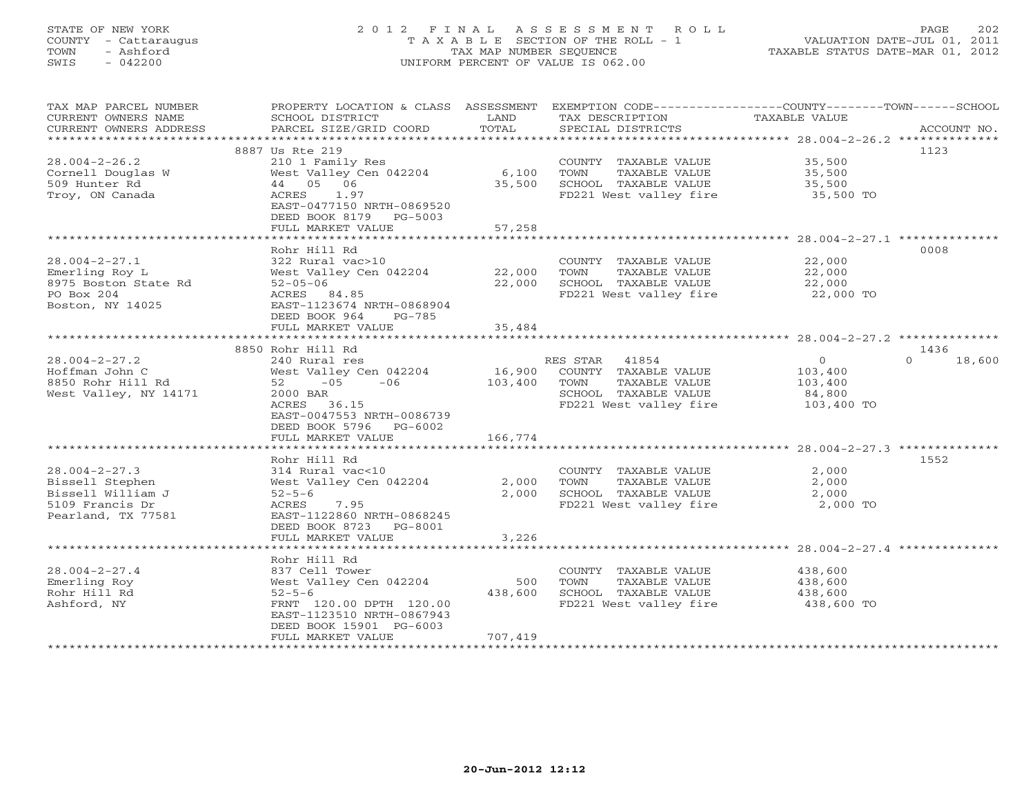## STATE OF NEW YORK 2 0 1 2 F I N A L A S S E S S M E N T R O L L PAGE 202 COUNTY - Cattaraugus T A X A B L E SECTION OF THE ROLL - 1 VALUATION DATE-JUL 01, 2011 TOWN - Ashford TAX MAP NUMBER SEQUENCE TAXABLE STATUS DATE-MAR 01, 2012 SWIS - 042200 UNIFORM PERCENT OF VALUE IS 062.00UNIFORM PERCENT OF VALUE IS 062.00

| TAX MAP PARCEL NUMBER<br>CURRENT OWNERS NAME<br>CURRENT OWNERS ADDRESS | PROPERTY LOCATION & CLASS ASSESSMENT<br>SCHOOL DISTRICT<br>PARCEL SIZE/GRID COORD | LAND<br>TOTAL | TAX DESCRIPTION<br>SPECIAL DISTRICTS | EXEMPTION CODE-----------------COUNTY-------TOWN------SCHOOL<br>TAXABLE VALUE<br>ACCOUNT NO. |
|------------------------------------------------------------------------|-----------------------------------------------------------------------------------|---------------|--------------------------------------|----------------------------------------------------------------------------------------------|
| ***********************                                                |                                                                                   |               |                                      |                                                                                              |
| $28.004 - 2 - 26.2$                                                    | 8887 Us Rte 219<br>210 1 Family Res                                               |               | COUNTY TAXABLE VALUE                 | 1123<br>35,500                                                                               |
| Cornell Douglas W                                                      | West Valley Cen 042204                                                            | 6,100         | TOWN<br>TAXABLE VALUE                | 35,500                                                                                       |
| 509 Hunter Rd                                                          | 44 05 06                                                                          | 35,500        | SCHOOL TAXABLE VALUE                 | 35,500                                                                                       |
| Troy, ON Canada                                                        | ACRES<br>1.97                                                                     |               | FD221 West valley fire               | — <b>1999</b> , 35, 500 то                                                                   |
|                                                                        | EAST-0477150 NRTH-0869520                                                         |               |                                      |                                                                                              |
|                                                                        | DEED BOOK 8179 PG-5003                                                            |               |                                      |                                                                                              |
|                                                                        | FULL MARKET VALUE                                                                 | 57,258        |                                      |                                                                                              |
|                                                                        |                                                                                   |               |                                      |                                                                                              |
|                                                                        | Rohr Hill Rd                                                                      |               |                                      | 0008                                                                                         |
| $28.004 - 2 - 27.1$                                                    | 322 Rural vac>10                                                                  |               | COUNTY TAXABLE VALUE                 | 22,000                                                                                       |
| Emerling Roy L                                                         | West Valley Cen 042204                                                            | 22,000        | TOWN<br>TAXABLE VALUE                | 22,000                                                                                       |
| 8975 Boston State Rd                                                   | $52 - 05 - 06$                                                                    | 22,000        | SCHOOL TAXABLE VALUE                 | 22,000                                                                                       |
| PO Box 204                                                             | ACRES 84.85                                                                       |               | FD221 West valley fire               | 22,000 TO                                                                                    |
| Boston, NY 14025                                                       | EAST-1123674 NRTH-0868904                                                         |               |                                      |                                                                                              |
|                                                                        | DEED BOOK 964<br>PG-785                                                           |               |                                      |                                                                                              |
|                                                                        | FULL MARKET VALUE                                                                 | 35,484        |                                      |                                                                                              |
|                                                                        | 8850 Rohr Hill Rd                                                                 |               |                                      | 1436                                                                                         |
| $28.004 - 2 - 27.2$                                                    | 240 Rural res                                                                     |               | RES STAR 41854                       | $\Omega$<br>18,600<br>$\circ$                                                                |
| Hoffman John C                                                         | West Valley Cen 042204                                                            | 16,900        | COUNTY TAXABLE VALUE                 | 103,400                                                                                      |
| 8850 Rohr Hill Rd                                                      | $52 - 05$<br>$-06$                                                                | 103,400       | TOWN<br>TAXABLE VALUE                | 103,400                                                                                      |
| West Valley, NY 14171                                                  | 2000 BAR                                                                          |               | SCHOOL TAXABLE VALUE                 | 84,800                                                                                       |
|                                                                        | ACRES 36.15                                                                       |               | FD221 West valley fire               | 103,400 TO                                                                                   |
|                                                                        | EAST-0047553 NRTH-0086739                                                         |               |                                      |                                                                                              |
|                                                                        | DEED BOOK 5796 PG-6002                                                            |               |                                      |                                                                                              |
|                                                                        | FULL MARKET VALUE                                                                 | 166,774       |                                      |                                                                                              |
|                                                                        |                                                                                   |               |                                      |                                                                                              |
|                                                                        | Rohr Hill Rd                                                                      |               |                                      | 1552                                                                                         |
| $28.004 - 2 - 27.3$                                                    | 314 Rural vac<10                                                                  |               | COUNTY TAXABLE VALUE                 | 2,000                                                                                        |
| Bissell Stephen                                                        | West Valley Cen 042204                                                            | 2,000         | TOWN<br>TAXABLE VALUE                | 2,000                                                                                        |
| Bissell William J                                                      | $52 - 5 - 6$                                                                      | 2,000         | SCHOOL TAXABLE VALUE                 | 2,000                                                                                        |
| 5109 Francis Dr<br>Pearland, TX 77581                                  | ACRES<br>7.95<br>EAST-1122860 NRTH-0868245                                        |               | FD221 West valley fire               | 2,000 TO                                                                                     |
|                                                                        | DEED BOOK 8723 PG-8001                                                            |               |                                      |                                                                                              |
|                                                                        | FULL MARKET VALUE                                                                 | 3,226         |                                      |                                                                                              |
|                                                                        |                                                                                   |               |                                      |                                                                                              |
|                                                                        | Rohr Hill Rd                                                                      |               |                                      |                                                                                              |
| $28.004 - 2 - 27.4$                                                    | 837 Cell Tower                                                                    |               | COUNTY TAXABLE VALUE                 | 438,600                                                                                      |
| Emerling Roy                                                           | West Valley Cen 042204                                                            | 500           | TAXABLE VALUE<br>TOWN                | 438,600                                                                                      |
| Rohr Hill Rd                                                           | $52 - 5 - 6$                                                                      | 438,600       | SCHOOL TAXABLE VALUE                 | 438,600                                                                                      |
| Ashford, NY                                                            | FRNT 120.00 DPTH 120.00                                                           |               | FD221 West valley fire               | 438,600 TO                                                                                   |
|                                                                        | EAST-1123510 NRTH-0867943                                                         |               |                                      |                                                                                              |
|                                                                        | DEED BOOK 15901 PG-6003                                                           |               |                                      |                                                                                              |
|                                                                        | FULL MARKET VALUE                                                                 | 707,419       |                                      |                                                                                              |
|                                                                        |                                                                                   |               |                                      |                                                                                              |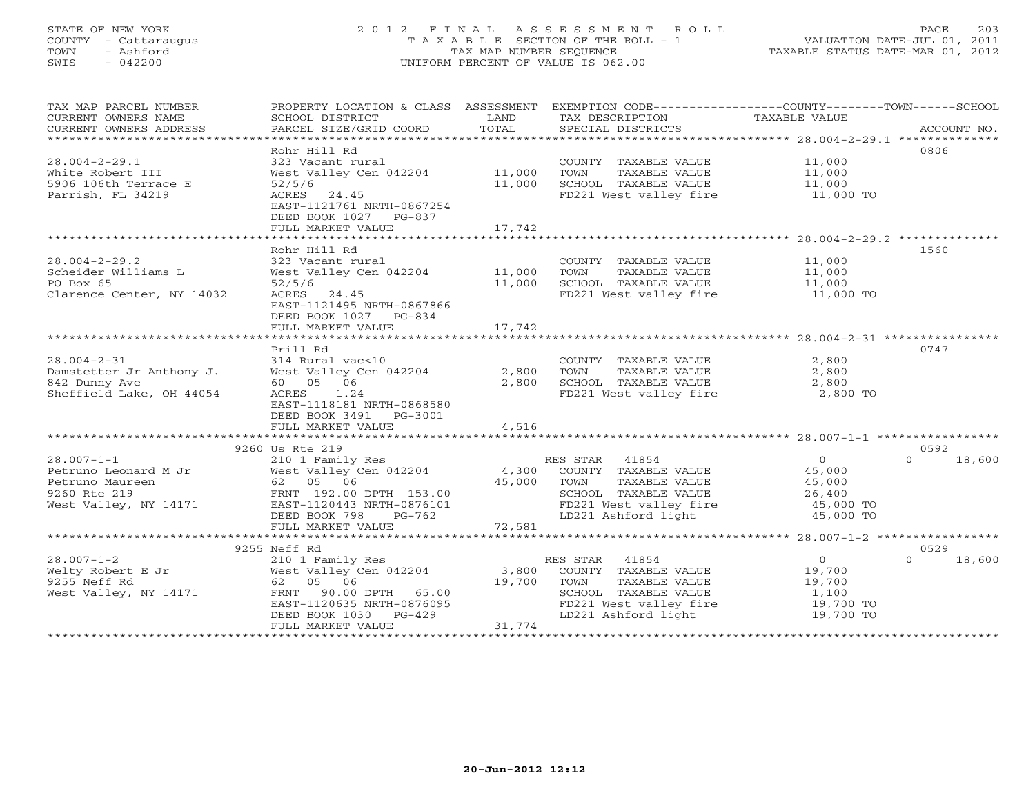## STATE OF NEW YORK 2 0 1 2 F I N A L A S S E S S M E N T R O L L PAGE 203 COUNTY - Cattaraugus T A X A B L E SECTION OF THE ROLL - 1 VALUATION DATE-JUL 01, 2011 TOWN - Ashford TAX MAP NUMBER SEQUENCE TAXABLE STATUS DATE-MAR 01, 2012 SWIS - 042200 UNIFORM PERCENT OF VALUE IS 062.00UNIFORM PERCENT OF VALUE IS 062.00

| TAX MAP PARCEL NUMBER<br>CURRENT OWNERS NAME<br>CURRENT OWNERS ADDRESS                               | PROPERTY LOCATION & CLASS ASSESSMENT<br>SCHOOL DISTRICT<br>PARCEL SIZE/GRID COORD                                                                                  | LAND<br>TOTAL              | EXEMPTION CODE-----------------COUNTY-------TOWN-----SCHOOL<br>TAX DESCRIPTION<br>SPECIAL DISTRICTS                                      | TAXABLE VALUE                                                   | ACCOUNT NO.        |
|------------------------------------------------------------------------------------------------------|--------------------------------------------------------------------------------------------------------------------------------------------------------------------|----------------------------|------------------------------------------------------------------------------------------------------------------------------------------|-----------------------------------------------------------------|--------------------|
| $28.004 - 2 - 29.1$<br>White Robert III<br>5906 106th Terrace E<br>Parrish, FL 34219                 | Rohr Hill Rd<br>323 Vacant rural<br>West Valley Cen 042204<br>52/5/6<br>ACRES 24.45<br>EAST-1121761 NRTH-0867254<br>DEED BOOK 1027<br>PG-837<br>FULL MARKET VALUE  | 11,000<br>11,000<br>17,742 | COUNTY TAXABLE VALUE<br>TOWN<br>TAXABLE VALUE<br>SCHOOL TAXABLE VALUE<br>FD221 West valley fire                                          | 11,000<br>11,000<br>11,000<br>11,000 TO                         | 0806               |
|                                                                                                      | Rohr Hill Rd                                                                                                                                                       |                            |                                                                                                                                          |                                                                 | 1560               |
| $28.004 - 2 - 29.2$<br>Scheider Williams L<br>PO Box 65<br>Clarence Center, NY 14032                 | 323 Vacant rural<br>West Valley Cen 042204<br>52/5/6<br>ACRES 24.45<br>EAST-1121495 NRTH-0867866<br>DEED BOOK 1027 PG-834                                          | 11,000<br>11,000           | COUNTY TAXABLE VALUE<br>TOWN<br>TAXABLE VALUE<br>SCHOOL TAXABLE VALUE<br>FD221 West valley fire                                          | 11,000<br>11,000<br>11,000<br>11,000 TO                         |                    |
|                                                                                                      | FULL MARKET VALUE                                                                                                                                                  | 17,742                     |                                                                                                                                          |                                                                 |                    |
|                                                                                                      | Prill Rd                                                                                                                                                           |                            |                                                                                                                                          |                                                                 | 0747               |
| $28.004 - 2 - 31$<br>Damstetter Jr Anthony J.<br>842 Dunny Ave<br>Sheffield Lake, OH 44054           | 314 Rural vac<10<br>West Valley Cen 042204<br>60 05 06<br>ACRES<br>1.24<br>EAST-1118181 NRTH-0868580<br>DEED BOOK 3491 PG-3001                                     | 2,800<br>2,800             | COUNTY TAXABLE VALUE<br>TOWN<br>TAXABLE VALUE<br>SCHOOL TAXABLE VALUE<br>FD221 West valley fire                                          | 2,800<br>2,800<br>2,800<br>2,800 TO                             |                    |
|                                                                                                      | FULL MARKET VALUE                                                                                                                                                  | 4,516                      |                                                                                                                                          |                                                                 |                    |
|                                                                                                      | 9260 Us Rte 219                                                                                                                                                    |                            |                                                                                                                                          |                                                                 | 0592               |
| $28.007 - 1 - 1$<br>Petruno Leonard M Jr<br>Petruno Maureen<br>9260 Rte 219<br>West Valley, NY 14171 | 210 1 Family Res<br>West Valley Cen 042204<br>62 05 06<br>FRNT 192.00 DPTH 153.00<br>EAST-1120443 NRTH-0876101<br>DEED BOOK 798<br>PG-762                          | 4,300<br>45,000            | RES STAR 41854<br>COUNTY TAXABLE VALUE<br>TAXABLE VALUE<br>TOWN<br>SCHOOL TAXABLE VALUE<br>FD221 West valley fire<br>LD221 Ashford light | $\circ$<br>45,000<br>45,000<br>26,400<br>45,000 TO<br>45,000 TO | $\Omega$<br>18,600 |
|                                                                                                      | FULL MARKET VALUE                                                                                                                                                  | 72,581                     |                                                                                                                                          |                                                                 |                    |
|                                                                                                      | 9255 Neff Rd                                                                                                                                                       |                            |                                                                                                                                          |                                                                 | 0529               |
| $28.007 - 1 - 2$<br>Welty Robert E Jr<br>9255 Neff Rd<br>West Valley, NY 14171                       | 210 1 Family Res<br>West Valley Cen 042204<br>62 05 06<br>90.00 DPTH 65.00<br>FRNT<br>EAST-1120635 NRTH-0876095<br>$PG-429$<br>DEED BOOK 1030<br>FULL MARKET VALUE | 3,800<br>19,700<br>31,774  | RES STAR 41854<br>COUNTY TAXABLE VALUE<br>TAXABLE VALUE<br>TOWN<br>SCHOOL TAXABLE VALUE<br>FD221 West valley fire<br>LD221 Ashford light | $\circ$<br>19,700<br>19,700<br>1,100<br>19,700 TO<br>19,700 TO  | $\Omega$<br>18,600 |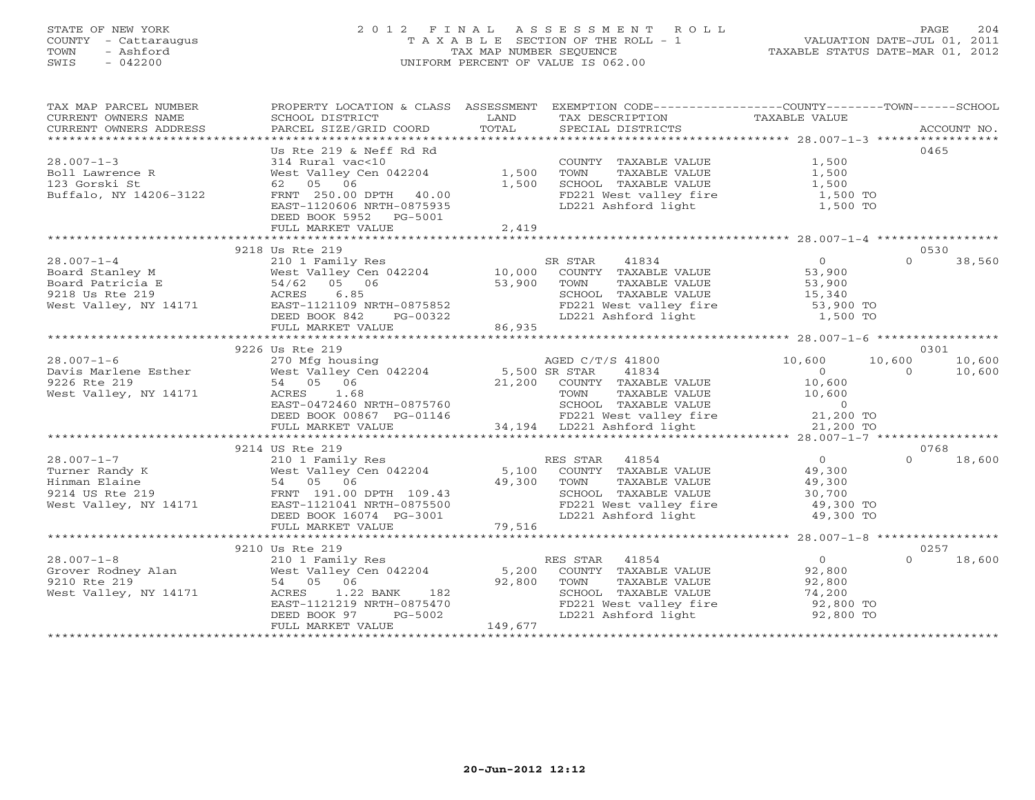## STATE OF NEW YORK 2 0 1 2 F I N A L A S S E S S M E N T R O L L PAGE 204 COUNTY - Cattaraugus T A X A B L E SECTION OF THE ROLL - 1 VALUATION DATE-JUL 01, 2011 TOWN - Ashford TAX MAP NUMBER SEQUENCE TAXABLE STATUS DATE-MAR 01, 2012 SWIS - 042200 UNIFORM PERCENT OF VALUE IS 062.00UNIFORM PERCENT OF VALUE IS 062.00

| COUNERY OWNERS ADDRESS FORCEL SIZE/GRID COORD TOTAL SECIAL DISTRICTS ACCOUNT NO.<br>TERRET SECIAL SECIAL SECIAL DISTRICTS PARCEL ACCOUNT NO.<br>Us Rte 219 & Neff Rd Rd<br>0465<br>$28.007 - 1 - 3$<br>314 Rural vac<10<br>1,500<br>COUNTY TAXABLE VALUE<br>West Valley Cen 042204 1,500<br>1,500<br>Boll Lawrence R<br>TOWN<br>TAXABLE VALUE<br>62 05 06<br>1,500<br>SCHOOL TAXABLE VALUE<br>123 Gorski St<br>SCHOOL TAXABLE VALUE $1,500$<br>FD221 West valley fire $1,500$ TO<br>LD221 Ashford light $1,500$ TO<br>Buffalo, NY 14206-3122<br>FRNT 250.00 DPTH 40.00<br>EAST-1120606 NRTH-0875935<br>DEED BOOK 5952 PG-5001<br>2,419<br>FULL MARKET VALUE<br>0530<br>9218 Us Rte 219<br>210 1 Family Res<br>$28.007 - 1 - 4$<br>41834<br>$\overline{O}$<br>SR STAR<br>$\Omega$<br>38,560<br>West Valley Cen 042204 10,000<br>53,900<br>53,900<br>COUNTY TAXABLE VALUE<br>Board Stanley M<br>West Valley Cen<br>54/62 05 06<br>ACRES 6.85<br>14171 EAST-1121109 NRT<br>Board Patricia E<br>53,900<br>TOWN<br>TAXABLE VALUE<br>15,340<br>9218 Us Rte 219<br>SCHOOL TAXABLE VALUE<br>EAST-1121109 NRTH-0875852<br>West Valley, NY 14171<br>FD221 West valley fire 53,900 TO<br>LD221 Ashford light 1,500 TO<br>PG-00322<br>DEED BOOK 842<br>86,935<br>FULL MARKET VALUE<br>0301<br>9226 Us Rte 219<br>270 Mfg housing<br>West Valley Cen 042204 5,500 SR STAR<br>54 05 06 21,200 COUNTY<br>$28.007 - 1 - 6$<br>AGED C/T/S 41800<br>10,600<br>10,600<br>10,600<br>41834<br>10,600<br>Davis Marlene Esther<br>$\overline{0}$<br>$\Omega$<br>21,200 COUNTY TAXABLE VALUE<br>9226 Rte 219<br>10,600<br>West Valley, NY 14171<br>1.68<br>TOWN TAXABLE VALUE 10,600<br>SCHOOL TAXABLE VALUE 0<br>FD221 West valley fire 21,200 TO<br>34,194 LD221 Ashford light 21,200 TO<br>ACRES<br>EAST-0472460 NRTH-0875760<br>DEED BOOK 00867 PG-01146<br>FULL MARKET VALUE 34,194 |
|------------------------------------------------------------------------------------------------------------------------------------------------------------------------------------------------------------------------------------------------------------------------------------------------------------------------------------------------------------------------------------------------------------------------------------------------------------------------------------------------------------------------------------------------------------------------------------------------------------------------------------------------------------------------------------------------------------------------------------------------------------------------------------------------------------------------------------------------------------------------------------------------------------------------------------------------------------------------------------------------------------------------------------------------------------------------------------------------------------------------------------------------------------------------------------------------------------------------------------------------------------------------------------------------------------------------------------------------------------------------------------------------------------------------------------------------------------------------------------------------------------------------------------------------------------------------------------------------------------------------------------------------------------------------------------------------------------------------------------------------------------------------------------------------------------------------------------------------------------------|
|                                                                                                                                                                                                                                                                                                                                                                                                                                                                                                                                                                                                                                                                                                                                                                                                                                                                                                                                                                                                                                                                                                                                                                                                                                                                                                                                                                                                                                                                                                                                                                                                                                                                                                                                                                                                                                                                  |
|                                                                                                                                                                                                                                                                                                                                                                                                                                                                                                                                                                                                                                                                                                                                                                                                                                                                                                                                                                                                                                                                                                                                                                                                                                                                                                                                                                                                                                                                                                                                                                                                                                                                                                                                                                                                                                                                  |
|                                                                                                                                                                                                                                                                                                                                                                                                                                                                                                                                                                                                                                                                                                                                                                                                                                                                                                                                                                                                                                                                                                                                                                                                                                                                                                                                                                                                                                                                                                                                                                                                                                                                                                                                                                                                                                                                  |
|                                                                                                                                                                                                                                                                                                                                                                                                                                                                                                                                                                                                                                                                                                                                                                                                                                                                                                                                                                                                                                                                                                                                                                                                                                                                                                                                                                                                                                                                                                                                                                                                                                                                                                                                                                                                                                                                  |
|                                                                                                                                                                                                                                                                                                                                                                                                                                                                                                                                                                                                                                                                                                                                                                                                                                                                                                                                                                                                                                                                                                                                                                                                                                                                                                                                                                                                                                                                                                                                                                                                                                                                                                                                                                                                                                                                  |
|                                                                                                                                                                                                                                                                                                                                                                                                                                                                                                                                                                                                                                                                                                                                                                                                                                                                                                                                                                                                                                                                                                                                                                                                                                                                                                                                                                                                                                                                                                                                                                                                                                                                                                                                                                                                                                                                  |
|                                                                                                                                                                                                                                                                                                                                                                                                                                                                                                                                                                                                                                                                                                                                                                                                                                                                                                                                                                                                                                                                                                                                                                                                                                                                                                                                                                                                                                                                                                                                                                                                                                                                                                                                                                                                                                                                  |
|                                                                                                                                                                                                                                                                                                                                                                                                                                                                                                                                                                                                                                                                                                                                                                                                                                                                                                                                                                                                                                                                                                                                                                                                                                                                                                                                                                                                                                                                                                                                                                                                                                                                                                                                                                                                                                                                  |
|                                                                                                                                                                                                                                                                                                                                                                                                                                                                                                                                                                                                                                                                                                                                                                                                                                                                                                                                                                                                                                                                                                                                                                                                                                                                                                                                                                                                                                                                                                                                                                                                                                                                                                                                                                                                                                                                  |
|                                                                                                                                                                                                                                                                                                                                                                                                                                                                                                                                                                                                                                                                                                                                                                                                                                                                                                                                                                                                                                                                                                                                                                                                                                                                                                                                                                                                                                                                                                                                                                                                                                                                                                                                                                                                                                                                  |
|                                                                                                                                                                                                                                                                                                                                                                                                                                                                                                                                                                                                                                                                                                                                                                                                                                                                                                                                                                                                                                                                                                                                                                                                                                                                                                                                                                                                                                                                                                                                                                                                                                                                                                                                                                                                                                                                  |
|                                                                                                                                                                                                                                                                                                                                                                                                                                                                                                                                                                                                                                                                                                                                                                                                                                                                                                                                                                                                                                                                                                                                                                                                                                                                                                                                                                                                                                                                                                                                                                                                                                                                                                                                                                                                                                                                  |
|                                                                                                                                                                                                                                                                                                                                                                                                                                                                                                                                                                                                                                                                                                                                                                                                                                                                                                                                                                                                                                                                                                                                                                                                                                                                                                                                                                                                                                                                                                                                                                                                                                                                                                                                                                                                                                                                  |
|                                                                                                                                                                                                                                                                                                                                                                                                                                                                                                                                                                                                                                                                                                                                                                                                                                                                                                                                                                                                                                                                                                                                                                                                                                                                                                                                                                                                                                                                                                                                                                                                                                                                                                                                                                                                                                                                  |
|                                                                                                                                                                                                                                                                                                                                                                                                                                                                                                                                                                                                                                                                                                                                                                                                                                                                                                                                                                                                                                                                                                                                                                                                                                                                                                                                                                                                                                                                                                                                                                                                                                                                                                                                                                                                                                                                  |
|                                                                                                                                                                                                                                                                                                                                                                                                                                                                                                                                                                                                                                                                                                                                                                                                                                                                                                                                                                                                                                                                                                                                                                                                                                                                                                                                                                                                                                                                                                                                                                                                                                                                                                                                                                                                                                                                  |
|                                                                                                                                                                                                                                                                                                                                                                                                                                                                                                                                                                                                                                                                                                                                                                                                                                                                                                                                                                                                                                                                                                                                                                                                                                                                                                                                                                                                                                                                                                                                                                                                                                                                                                                                                                                                                                                                  |
|                                                                                                                                                                                                                                                                                                                                                                                                                                                                                                                                                                                                                                                                                                                                                                                                                                                                                                                                                                                                                                                                                                                                                                                                                                                                                                                                                                                                                                                                                                                                                                                                                                                                                                                                                                                                                                                                  |
|                                                                                                                                                                                                                                                                                                                                                                                                                                                                                                                                                                                                                                                                                                                                                                                                                                                                                                                                                                                                                                                                                                                                                                                                                                                                                                                                                                                                                                                                                                                                                                                                                                                                                                                                                                                                                                                                  |
|                                                                                                                                                                                                                                                                                                                                                                                                                                                                                                                                                                                                                                                                                                                                                                                                                                                                                                                                                                                                                                                                                                                                                                                                                                                                                                                                                                                                                                                                                                                                                                                                                                                                                                                                                                                                                                                                  |
|                                                                                                                                                                                                                                                                                                                                                                                                                                                                                                                                                                                                                                                                                                                                                                                                                                                                                                                                                                                                                                                                                                                                                                                                                                                                                                                                                                                                                                                                                                                                                                                                                                                                                                                                                                                                                                                                  |
|                                                                                                                                                                                                                                                                                                                                                                                                                                                                                                                                                                                                                                                                                                                                                                                                                                                                                                                                                                                                                                                                                                                                                                                                                                                                                                                                                                                                                                                                                                                                                                                                                                                                                                                                                                                                                                                                  |
|                                                                                                                                                                                                                                                                                                                                                                                                                                                                                                                                                                                                                                                                                                                                                                                                                                                                                                                                                                                                                                                                                                                                                                                                                                                                                                                                                                                                                                                                                                                                                                                                                                                                                                                                                                                                                                                                  |
|                                                                                                                                                                                                                                                                                                                                                                                                                                                                                                                                                                                                                                                                                                                                                                                                                                                                                                                                                                                                                                                                                                                                                                                                                                                                                                                                                                                                                                                                                                                                                                                                                                                                                                                                                                                                                                                                  |
|                                                                                                                                                                                                                                                                                                                                                                                                                                                                                                                                                                                                                                                                                                                                                                                                                                                                                                                                                                                                                                                                                                                                                                                                                                                                                                                                                                                                                                                                                                                                                                                                                                                                                                                                                                                                                                                                  |
|                                                                                                                                                                                                                                                                                                                                                                                                                                                                                                                                                                                                                                                                                                                                                                                                                                                                                                                                                                                                                                                                                                                                                                                                                                                                                                                                                                                                                                                                                                                                                                                                                                                                                                                                                                                                                                                                  |
|                                                                                                                                                                                                                                                                                                                                                                                                                                                                                                                                                                                                                                                                                                                                                                                                                                                                                                                                                                                                                                                                                                                                                                                                                                                                                                                                                                                                                                                                                                                                                                                                                                                                                                                                                                                                                                                                  |
|                                                                                                                                                                                                                                                                                                                                                                                                                                                                                                                                                                                                                                                                                                                                                                                                                                                                                                                                                                                                                                                                                                                                                                                                                                                                                                                                                                                                                                                                                                                                                                                                                                                                                                                                                                                                                                                                  |
| 9214 US Rte 219<br>0768                                                                                                                                                                                                                                                                                                                                                                                                                                                                                                                                                                                                                                                                                                                                                                                                                                                                                                                                                                                                                                                                                                                                                                                                                                                                                                                                                                                                                                                                                                                                                                                                                                                                                                                                                                                                                                          |
| $28.007 - 1 - 7$<br>$\overline{0}$<br>RES STAR<br>41854<br>18,600<br>210 1 Family Res<br>West Valley Cen 042204<br>$5,100$ RF<br>$\cap$                                                                                                                                                                                                                                                                                                                                                                                                                                                                                                                                                                                                                                                                                                                                                                                                                                                                                                                                                                                                                                                                                                                                                                                                                                                                                                                                                                                                                                                                                                                                                                                                                                                                                                                          |
| 49,300<br>Turner Randy K<br>COUNTY TAXABLE VALUE                                                                                                                                                                                                                                                                                                                                                                                                                                                                                                                                                                                                                                                                                                                                                                                                                                                                                                                                                                                                                                                                                                                                                                                                                                                                                                                                                                                                                                                                                                                                                                                                                                                                                                                                                                                                                 |
| 210 1 Family<br>West Valley (<br>54 05 06<br>FRNT 191.00<br>Hinman Elaine<br>49,300<br>TOWN<br>TAXABLE VALUE<br>49,300                                                                                                                                                                                                                                                                                                                                                                                                                                                                                                                                                                                                                                                                                                                                                                                                                                                                                                                                                                                                                                                                                                                                                                                                                                                                                                                                                                                                                                                                                                                                                                                                                                                                                                                                           |
| 9214 US Rte 219<br>SCHOOL TAXABLE VALUE 30,700<br>FD221 West valley fire 49,300 TO<br>FRNT 191.00 DPTH 109.43                                                                                                                                                                                                                                                                                                                                                                                                                                                                                                                                                                                                                                                                                                                                                                                                                                                                                                                                                                                                                                                                                                                                                                                                                                                                                                                                                                                                                                                                                                                                                                                                                                                                                                                                                    |
| West Valley, NY 14171<br>EAST-1121041 NRTH-0875500                                                                                                                                                                                                                                                                                                                                                                                                                                                                                                                                                                                                                                                                                                                                                                                                                                                                                                                                                                                                                                                                                                                                                                                                                                                                                                                                                                                                                                                                                                                                                                                                                                                                                                                                                                                                               |
| LD221 Ashford light<br>DEED BOOK 16074 PG-3001<br>49,300 TO                                                                                                                                                                                                                                                                                                                                                                                                                                                                                                                                                                                                                                                                                                                                                                                                                                                                                                                                                                                                                                                                                                                                                                                                                                                                                                                                                                                                                                                                                                                                                                                                                                                                                                                                                                                                      |
| 79,516<br>FULL MARKET VALUE                                                                                                                                                                                                                                                                                                                                                                                                                                                                                                                                                                                                                                                                                                                                                                                                                                                                                                                                                                                                                                                                                                                                                                                                                                                                                                                                                                                                                                                                                                                                                                                                                                                                                                                                                                                                                                      |
|                                                                                                                                                                                                                                                                                                                                                                                                                                                                                                                                                                                                                                                                                                                                                                                                                                                                                                                                                                                                                                                                                                                                                                                                                                                                                                                                                                                                                                                                                                                                                                                                                                                                                                                                                                                                                                                                  |
| 9210 Us Rte 219<br>0257                                                                                                                                                                                                                                                                                                                                                                                                                                                                                                                                                                                                                                                                                                                                                                                                                                                                                                                                                                                                                                                                                                                                                                                                                                                                                                                                                                                                                                                                                                                                                                                                                                                                                                                                                                                                                                          |
| $\overline{0}$<br>$\Omega$<br>RES STAR 41854<br>18,600                                                                                                                                                                                                                                                                                                                                                                                                                                                                                                                                                                                                                                                                                                                                                                                                                                                                                                                                                                                                                                                                                                                                                                                                                                                                                                                                                                                                                                                                                                                                                                                                                                                                                                                                                                                                           |
| $210$ 1 Family Res<br>Grover Rodney Alan (10) West Valley Cen 042204 (5,200<br>9210 Rts 219<br>92,800<br>COUNTY TAXABLE VALUE                                                                                                                                                                                                                                                                                                                                                                                                                                                                                                                                                                                                                                                                                                                                                                                                                                                                                                                                                                                                                                                                                                                                                                                                                                                                                                                                                                                                                                                                                                                                                                                                                                                                                                                                    |
| 9210 Rte 219<br>54 05 06<br>92,800<br>TAXABLE VALUE<br>TOWN<br>92,800                                                                                                                                                                                                                                                                                                                                                                                                                                                                                                                                                                                                                                                                                                                                                                                                                                                                                                                                                                                                                                                                                                                                                                                                                                                                                                                                                                                                                                                                                                                                                                                                                                                                                                                                                                                            |
| 74,200<br>West Valley, NY 14171<br>1.22 BANK<br>182<br>SCHOOL TAXABLE VALUE<br>ACRES                                                                                                                                                                                                                                                                                                                                                                                                                                                                                                                                                                                                                                                                                                                                                                                                                                                                                                                                                                                                                                                                                                                                                                                                                                                                                                                                                                                                                                                                                                                                                                                                                                                                                                                                                                             |
| FD221 West valley fire<br>LD221 Ashford light<br>EAST-1121219 NRTH-0875470<br>92,800 TO                                                                                                                                                                                                                                                                                                                                                                                                                                                                                                                                                                                                                                                                                                                                                                                                                                                                                                                                                                                                                                                                                                                                                                                                                                                                                                                                                                                                                                                                                                                                                                                                                                                                                                                                                                          |
| DEED BOOK 97<br>PG-5002<br>92,800 TO                                                                                                                                                                                                                                                                                                                                                                                                                                                                                                                                                                                                                                                                                                                                                                                                                                                                                                                                                                                                                                                                                                                                                                                                                                                                                                                                                                                                                                                                                                                                                                                                                                                                                                                                                                                                                             |
| 149,677<br>FULL MARKET VALUE                                                                                                                                                                                                                                                                                                                                                                                                                                                                                                                                                                                                                                                                                                                                                                                                                                                                                                                                                                                                                                                                                                                                                                                                                                                                                                                                                                                                                                                                                                                                                                                                                                                                                                                                                                                                                                     |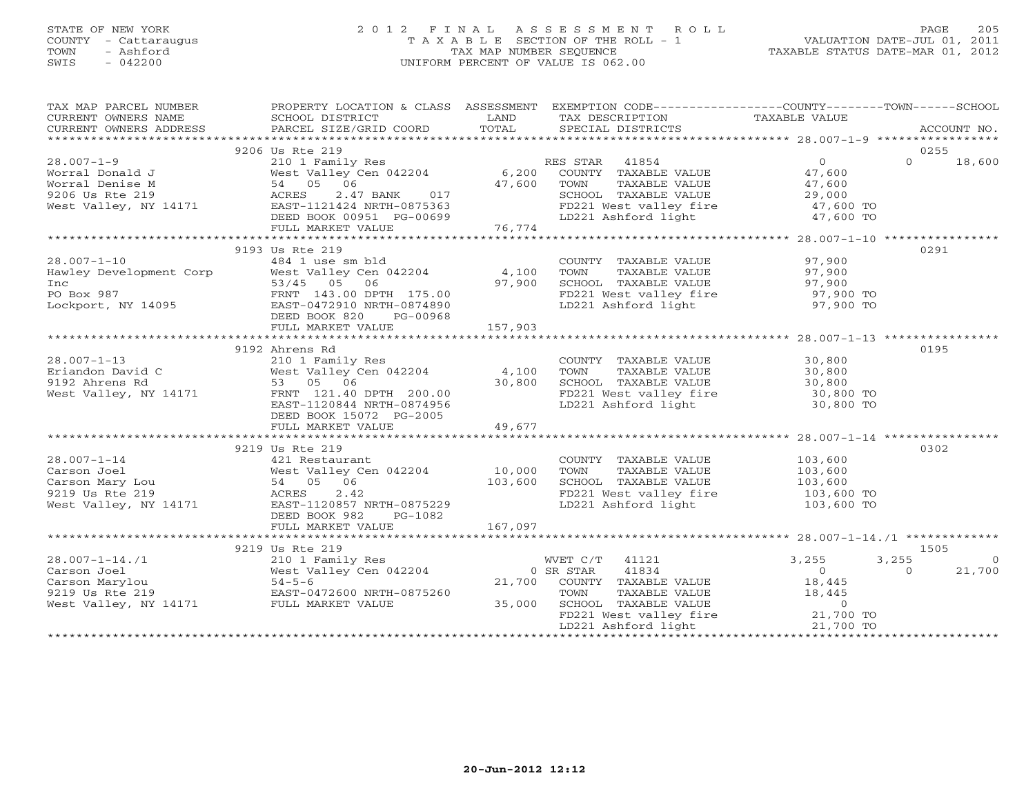## STATE OF NEW YORK 2 0 1 2 F I N A L A S S E S S M E N T R O L L PAGE 205 COUNTY - Cattaraugus T A X A B L E SECTION OF THE ROLL - 1 VALUATION DATE-JUL 01, 2011 TOWN - Ashford TAX MAP NUMBER SEQUENCE TAXABLE STATUS DATE-MAR 01, 2012 SWIS - 042200 UNIFORM PERCENT OF VALUE IS 062.00UNIFORM PERCENT OF VALUE IS 062.00

| TAX MAP PARCEL NUMBER | PROPERTY LOCATION & CLASS ASSESSMENT EXEMPTION CODE----------------COUNTY-------TOWN------SCHOOL                                                                                                                                                                                                                                                                                                                                             |        |                                                                                                                                                                             |                          |
|-----------------------|----------------------------------------------------------------------------------------------------------------------------------------------------------------------------------------------------------------------------------------------------------------------------------------------------------------------------------------------------------------------------------------------------------------------------------------------|--------|-----------------------------------------------------------------------------------------------------------------------------------------------------------------------------|--------------------------|
|                       |                                                                                                                                                                                                                                                                                                                                                                                                                                              |        |                                                                                                                                                                             |                          |
|                       |                                                                                                                                                                                                                                                                                                                                                                                                                                              |        |                                                                                                                                                                             |                          |
|                       |                                                                                                                                                                                                                                                                                                                                                                                                                                              |        |                                                                                                                                                                             |                          |
|                       | 9206 Us Rte 219<br>$\begin{array}{cccccccc} 28.007-1-9 & 9206 \text{ Use } \texttt{Re} & 219 & 18,600 \\ \texttt{Worral Donald J} & 2101 \texttt{ Family Res} & 6,200 \texttt{COUNTY} & \texttt{TAXABLE VALUE} & 0 & 0 & 18,600 \\ \texttt{Worral Denald J} & 54 & 05 & 66 & 2101 \texttt{Family Res} & 6,200 \texttt{COUNTY} & \texttt{TAXABLE VALUE} & 47,600 \\ \texttt{Worral Denise M} & 54 & 05 & 66 & 47,600 \texttt{TONITY} & \text$ |        |                                                                                                                                                                             | 0255                     |
|                       |                                                                                                                                                                                                                                                                                                                                                                                                                                              |        |                                                                                                                                                                             |                          |
|                       |                                                                                                                                                                                                                                                                                                                                                                                                                                              |        |                                                                                                                                                                             |                          |
|                       |                                                                                                                                                                                                                                                                                                                                                                                                                                              |        |                                                                                                                                                                             |                          |
|                       |                                                                                                                                                                                                                                                                                                                                                                                                                                              |        |                                                                                                                                                                             |                          |
|                       |                                                                                                                                                                                                                                                                                                                                                                                                                                              |        |                                                                                                                                                                             |                          |
|                       |                                                                                                                                                                                                                                                                                                                                                                                                                                              |        |                                                                                                                                                                             |                          |
|                       |                                                                                                                                                                                                                                                                                                                                                                                                                                              |        |                                                                                                                                                                             |                          |
|                       |                                                                                                                                                                                                                                                                                                                                                                                                                                              |        |                                                                                                                                                                             |                          |
|                       | 9193 Us Rte 219                                                                                                                                                                                                                                                                                                                                                                                                                              |        |                                                                                                                                                                             | 0291                     |
|                       |                                                                                                                                                                                                                                                                                                                                                                                                                                              |        |                                                                                                                                                                             |                          |
|                       |                                                                                                                                                                                                                                                                                                                                                                                                                                              |        |                                                                                                                                                                             |                          |
|                       |                                                                                                                                                                                                                                                                                                                                                                                                                                              |        |                                                                                                                                                                             |                          |
|                       |                                                                                                                                                                                                                                                                                                                                                                                                                                              |        |                                                                                                                                                                             |                          |
|                       |                                                                                                                                                                                                                                                                                                                                                                                                                                              |        |                                                                                                                                                                             |                          |
|                       |                                                                                                                                                                                                                                                                                                                                                                                                                                              |        |                                                                                                                                                                             |                          |
|                       |                                                                                                                                                                                                                                                                                                                                                                                                                                              |        |                                                                                                                                                                             |                          |
|                       |                                                                                                                                                                                                                                                                                                                                                                                                                                              |        |                                                                                                                                                                             |                          |
|                       | 9192 Ahrens Rd                                                                                                                                                                                                                                                                                                                                                                                                                               |        |                                                                                                                                                                             | 0195                     |
|                       |                                                                                                                                                                                                                                                                                                                                                                                                                                              |        |                                                                                                                                                                             |                          |
|                       |                                                                                                                                                                                                                                                                                                                                                                                                                                              |        |                                                                                                                                                                             |                          |
|                       |                                                                                                                                                                                                                                                                                                                                                                                                                                              |        |                                                                                                                                                                             |                          |
|                       | 28.007-1-13<br>Eriandon David C<br>210 1 Family Res<br>210 1 Family Res<br>210 1 Family Res<br>210 1 Family Res<br>210 202204<br>202204 202204<br>200.00<br>200.00<br>200.00<br>200.00<br>200.00<br>201 West Valley, NY 14171<br>200.00<br>200.00<br>200.00<br>2                                                                                                                                                                             |        |                                                                                                                                                                             |                          |
|                       |                                                                                                                                                                                                                                                                                                                                                                                                                                              |        |                                                                                                                                                                             |                          |
|                       | DEED BOOK 15072 PG-2005                                                                                                                                                                                                                                                                                                                                                                                                                      |        |                                                                                                                                                                             |                          |
|                       | FULL MARKET VALUE                                                                                                                                                                                                                                                                                                                                                                                                                            | 49,677 |                                                                                                                                                                             |                          |
|                       |                                                                                                                                                                                                                                                                                                                                                                                                                                              |        |                                                                                                                                                                             |                          |
|                       | 9219 Us Rte 219                                                                                                                                                                                                                                                                                                                                                                                                                              |        |                                                                                                                                                                             | 0302                     |
|                       |                                                                                                                                                                                                                                                                                                                                                                                                                                              |        |                                                                                                                                                                             |                          |
|                       |                                                                                                                                                                                                                                                                                                                                                                                                                                              |        |                                                                                                                                                                             |                          |
|                       |                                                                                                                                                                                                                                                                                                                                                                                                                                              |        |                                                                                                                                                                             |                          |
|                       |                                                                                                                                                                                                                                                                                                                                                                                                                                              |        |                                                                                                                                                                             |                          |
|                       | 28.007-1-14<br>Carson Joel and the state of the state of the state of the state of the state of the state of the state of the state of the state of the state of the state of the state of the state of the state of the state o                                                                                                                                                                                                             |        | COUNTY TAXABLE VALUE $103,600$<br>TOWN TAXABLE VALUE $103,600$<br>SCHOOL TAXABLE VALUE $103,600$<br>FD221 West valley fire $103,600$ TO<br>LD221 Ashford light $103,600$ TO |                          |
|                       | PG-1082<br>DEED BOOK 982                                                                                                                                                                                                                                                                                                                                                                                                                     |        |                                                                                                                                                                             |                          |
|                       |                                                                                                                                                                                                                                                                                                                                                                                                                                              |        |                                                                                                                                                                             |                          |
|                       |                                                                                                                                                                                                                                                                                                                                                                                                                                              |        |                                                                                                                                                                             |                          |
|                       | 9219 Us Rte 219                                                                                                                                                                                                                                                                                                                                                                                                                              |        |                                                                                                                                                                             | 1505                     |
|                       |                                                                                                                                                                                                                                                                                                                                                                                                                                              |        |                                                                                                                                                                             | $3,255$ 0                |
|                       |                                                                                                                                                                                                                                                                                                                                                                                                                                              |        |                                                                                                                                                                             | $\overline{0}$<br>21,700 |
|                       |                                                                                                                                                                                                                                                                                                                                                                                                                                              |        |                                                                                                                                                                             |                          |
|                       |                                                                                                                                                                                                                                                                                                                                                                                                                                              |        |                                                                                                                                                                             |                          |
|                       |                                                                                                                                                                                                                                                                                                                                                                                                                                              |        |                                                                                                                                                                             |                          |
|                       | $\begin{array}{cccccc} 28.007-1-14.71 & 9219 \text{ Us } \text{R} \text{te } 219 & 210 \text{ I Family Res} & & & & & & & & 3,255 & 3 \\ \text{Carson Joel} & 210 & 1\text{ Family Res} & 0 & 0\text{ SR } \text{STAR} & 41834 & 0 \\ \text{Carson Marylou} & 54-5-6 & 21,700 & \text{COUNTY } \text{TXABLE VALUE} & 18,445 \\ \text{P219 Us } \text{R} \text{te } 219 & \text{EAST}-0472600 \text{ NRTH}-$                                  |        |                                                                                                                                                                             |                          |
|                       |                                                                                                                                                                                                                                                                                                                                                                                                                                              |        |                                                                                                                                                                             |                          |
|                       |                                                                                                                                                                                                                                                                                                                                                                                                                                              |        |                                                                                                                                                                             |                          |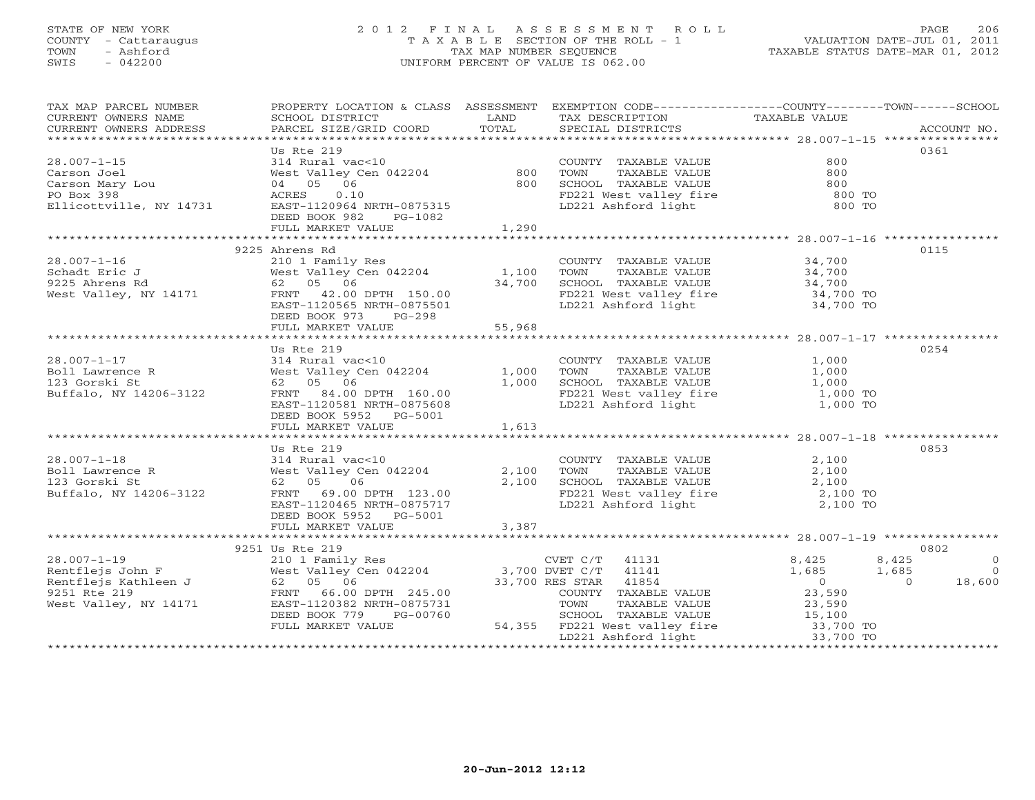## STATE OF NEW YORK 2 0 1 2 F I N A L A S S E S S M E N T R O L L PAGE 206 COUNTY - Cattaraugus T A X A B L E SECTION OF THE ROLL - 1 VALUATION DATE-JUL 01, 2011 TOWN - Ashford TAX MAP NUMBER SEQUENCE TAXABLE STATUS DATE-MAR 01, 2012 SWIS - 042200 UNIFORM PERCENT OF VALUE IS 062.00UNIFORM PERCENT OF VALUE IS 062.00

| TAX MAP PARCEL NUMBER                                                                                                                                                                                                                    | PROPERTY LOCATION & CLASS ASSESSMENT EXEMPTION CODE----------------COUNTY-------TOWN------SCHOOL |       |                                                                                                                                                          |             |                |
|------------------------------------------------------------------------------------------------------------------------------------------------------------------------------------------------------------------------------------------|--------------------------------------------------------------------------------------------------|-------|----------------------------------------------------------------------------------------------------------------------------------------------------------|-------------|----------------|
| CURRENT OWNERS NAME                                                                                                                                                                                                                      |                                                                                                  |       | TAX DESCRIPTION TAXABLE VALUE                                                                                                                            |             |                |
| CURRENT OWNERS ADDRESS                                                                                                                                                                                                                   |                                                                                                  |       |                                                                                                                                                          |             |                |
|                                                                                                                                                                                                                                          |                                                                                                  |       |                                                                                                                                                          |             |                |
|                                                                                                                                                                                                                                          | Us Rte 219                                                                                       |       |                                                                                                                                                          |             | 0361           |
|                                                                                                                                                                                                                                          |                                                                                                  |       | COUNTY TAXABLE VALUE $1000$<br>TOWN TAXABLE VALUE $200$<br>SCHOOL TAXABLE VALUE $800$<br>FD221 West valley fire $800$ TO<br>LD221 Ashford light $800$ TO |             |                |
|                                                                                                                                                                                                                                          |                                                                                                  |       |                                                                                                                                                          |             |                |
|                                                                                                                                                                                                                                          |                                                                                                  |       |                                                                                                                                                          |             |                |
|                                                                                                                                                                                                                                          |                                                                                                  |       |                                                                                                                                                          |             |                |
|                                                                                                                                                                                                                                          |                                                                                                  |       |                                                                                                                                                          |             |                |
|                                                                                                                                                                                                                                          | DEED BOOK 982<br>PG-1082                                                                         |       |                                                                                                                                                          |             |                |
|                                                                                                                                                                                                                                          | FULL MARKET VALUE                                                                                | 1,290 |                                                                                                                                                          |             |                |
|                                                                                                                                                                                                                                          |                                                                                                  |       |                                                                                                                                                          |             |                |
|                                                                                                                                                                                                                                          | 9225 Ahrens Rd                                                                                   |       |                                                                                                                                                          |             | 0115           |
| 28.007-1-16<br>Schadt Eric J<br>9225 Ahrens Rd<br>West Valley, NY 14171<br>West Valley, NY 14171<br>ERST-1120565 NRTH-0875501<br>ERST-1120565 NRTH-0875501                                                                               |                                                                                                  |       | COUNTY TAXABLE VALUE<br>TOWN TAXABLE VALUE 34,700<br>SCHOOL TAXABLE VALUE 34,700<br>FD221 West valley fire 34,700 TO<br>LD221 Ashford light 34,700 TO    |             |                |
|                                                                                                                                                                                                                                          |                                                                                                  |       |                                                                                                                                                          |             |                |
|                                                                                                                                                                                                                                          |                                                                                                  |       |                                                                                                                                                          |             |                |
|                                                                                                                                                                                                                                          |                                                                                                  |       |                                                                                                                                                          |             |                |
|                                                                                                                                                                                                                                          |                                                                                                  |       |                                                                                                                                                          |             |                |
|                                                                                                                                                                                                                                          |                                                                                                  |       |                                                                                                                                                          |             |                |
|                                                                                                                                                                                                                                          |                                                                                                  |       |                                                                                                                                                          |             |                |
|                                                                                                                                                                                                                                          |                                                                                                  |       |                                                                                                                                                          |             |                |
|                                                                                                                                                                                                                                          |                                                                                                  |       |                                                                                                                                                          |             |                |
|                                                                                                                                                                                                                                          | Us Rte 219                                                                                       |       |                                                                                                                                                          |             | 0254           |
| $28.007 - 1 - 17$                                                                                                                                                                                                                        |                                                                                                  |       | COUNTY TAXABLE VALUE<br>TOWN      TAXABLE VALUE                                                                                                          | 1,000       |                |
| Boll Lawrence R<br>123 Gorski St                                                                                                                                                                                                         | 314 Rural vac<10<br>R West Valley Cen 042204 1,000<br>62 05 06 1,000<br>PENT 84.00 DPTH 160.00   |       | TOWN TAXABLE VALUE 1,000<br>SCHOOL TAXABLE VALUE 1,000<br>FD221 West valley fire 1,000 TO<br>LD221 Ashford light 1,000 TO                                |             |                |
| 123 Gorski St                                                                                                                                                                                                                            |                                                                                                  |       |                                                                                                                                                          |             |                |
| Buffalo, NY 14206-3122                                                                                                                                                                                                                   |                                                                                                  |       |                                                                                                                                                          |             |                |
|                                                                                                                                                                                                                                          | FRNT 84.00 DPTH 160.00<br>EAST-1120581 NRTH-0875608                                              |       |                                                                                                                                                          |             |                |
|                                                                                                                                                                                                                                          | DEED BOOK 5952 PG-5001                                                                           |       |                                                                                                                                                          |             |                |
|                                                                                                                                                                                                                                          | FULL MARKET VALUE                                                                                | 1,613 |                                                                                                                                                          |             |                |
|                                                                                                                                                                                                                                          |                                                                                                  |       |                                                                                                                                                          |             |                |
|                                                                                                                                                                                                                                          |                                                                                                  |       |                                                                                                                                                          |             | 0853           |
|                                                                                                                                                                                                                                          |                                                                                                  |       | COUNTY TAXABLE VALUE                                                                                                                                     | 2,100       |                |
|                                                                                                                                                                                                                                          |                                                                                                  |       |                                                                                                                                                          |             |                |
|                                                                                                                                                                                                                                          |                                                                                                  |       |                                                                                                                                                          |             |                |
|                                                                                                                                                                                                                                          |                                                                                                  |       | COMINI TAXABLE VALUE<br>TOWN TAXABLE VALUE<br>SCHOOL TAXABLE VALUE<br>FD221 West valley fire<br>LD221 Ashford light<br>2,100 TO<br>2,100 TO              |             |                |
|                                                                                                                                                                                                                                          |                                                                                                  |       |                                                                                                                                                          |             |                |
|                                                                                                                                                                                                                                          | DEED BOOK 5952 PG-5001                                                                           |       |                                                                                                                                                          |             |                |
|                                                                                                                                                                                                                                          |                                                                                                  |       |                                                                                                                                                          |             |                |
|                                                                                                                                                                                                                                          |                                                                                                  |       |                                                                                                                                                          |             |                |
|                                                                                                                                                                                                                                          | 9251 Us Rte 219                                                                                  |       |                                                                                                                                                          |             | 0802           |
|                                                                                                                                                                                                                                          |                                                                                                  |       | CVET C/T 41131                                                                                                                                           | 8,425 8,425 | $\overline{0}$ |
|                                                                                                                                                                                                                                          |                                                                                                  |       |                                                                                                                                                          |             | $\bigcap$      |
| 28.007-1-19<br>Rentflejs John F 210 1 Family Res<br>Mest Valley Cen 042204 3,700 DVET C/T 41141<br>Rentflejs Kathleen J 62 05 06 33,700 RES STAR 41854<br>9251 Rte 219 FRNT 66.00 DPTH 245.00 COUNTY TAXABLE VA<br>West Valley, NY 14171 |                                                                                                  |       |                                                                                                                                                          |             | 18,600         |
|                                                                                                                                                                                                                                          |                                                                                                  |       |                                                                                                                                                          |             |                |
|                                                                                                                                                                                                                                          |                                                                                                  |       |                                                                                                                                                          |             |                |
|                                                                                                                                                                                                                                          | DEED BOOK 779 PG-00760                                                                           |       |                                                                                                                                                          |             |                |
|                                                                                                                                                                                                                                          | FULL MARKET VALUE                                                                                |       |                                                                                                                                                          |             |                |
|                                                                                                                                                                                                                                          |                                                                                                  |       |                                                                                                                                                          |             |                |
|                                                                                                                                                                                                                                          |                                                                                                  |       |                                                                                                                                                          |             |                |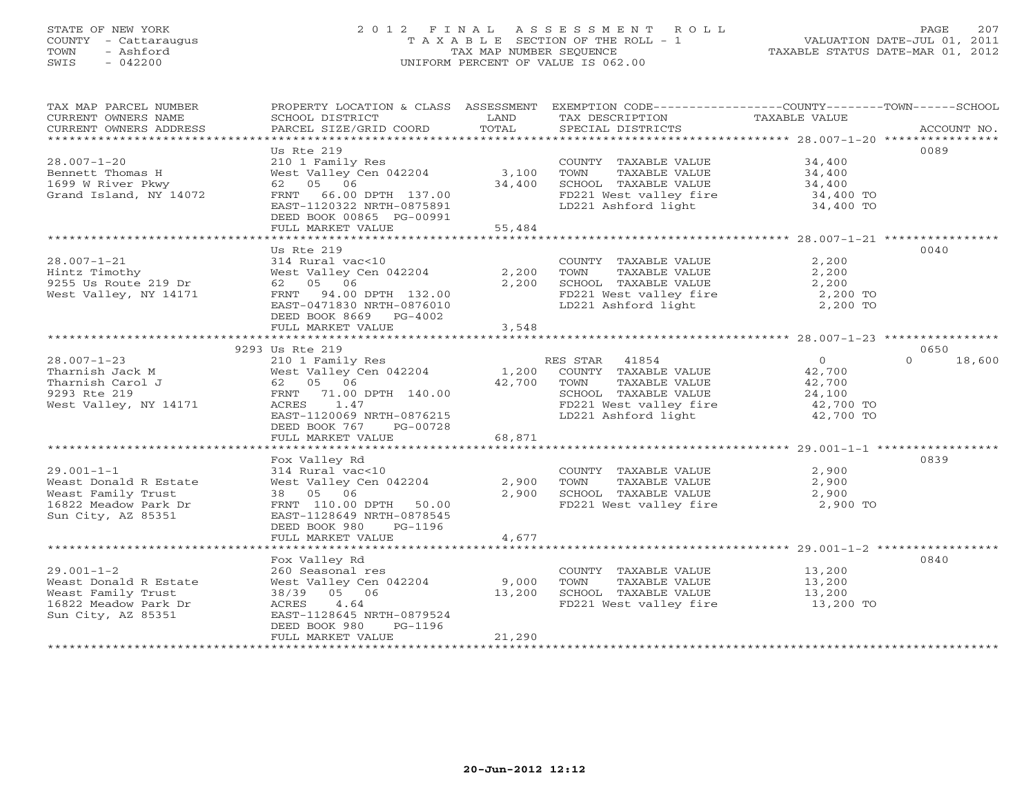## STATE OF NEW YORK 2 0 1 2 F I N A L A S S E S S M E N T R O L L PAGE 207 COUNTY - Cattaraugus T A X A B L E SECTION OF THE ROLL - 1 VALUATION DATE-JUL 01, 2011 TOWN - Ashford TAX MAP NUMBER SEQUENCE TAXABLE STATUS DATE-MAR 01, 2012 SWIS - 042200 UNIFORM PERCENT OF VALUE IS 062.00UNIFORM PERCENT OF VALUE IS 062.00

| TAX MAP PARCEL NUMBER                                                                                                                                                                                             |                                                                                                                                                                                                                                       |        | PROPERTY LOCATION & CLASS ASSESSMENT EXEMPTION CODE---------------COUNTY-------TOWN-----SCHOOL |               |                    |
|-------------------------------------------------------------------------------------------------------------------------------------------------------------------------------------------------------------------|---------------------------------------------------------------------------------------------------------------------------------------------------------------------------------------------------------------------------------------|--------|------------------------------------------------------------------------------------------------|---------------|--------------------|
| CURRENT OWNERS NAME                                                                                                                                                                                               | SCHOOL DISTRICT                                                                                                                                                                                                                       | LAND   | TAX DESCRIPTION                                                                                | TAXABLE VALUE |                    |
| CURRENT OWNERS NATH SURCEL SIZE/GRID COORD TOTAL SPECIAL DISTRICTS (2007-1-20 ********************************<br>CURRENT OWNERS ADDRESS PARCEL SIZE/GRID COORD TOTAL SPECIAL DISTRICTS<br>CURRENT OWNERS ADDRESS |                                                                                                                                                                                                                                       |        |                                                                                                |               |                    |
|                                                                                                                                                                                                                   |                                                                                                                                                                                                                                       |        |                                                                                                |               |                    |
|                                                                                                                                                                                                                   | Us Rte 219                                                                                                                                                                                                                            |        |                                                                                                |               | 0089               |
| $28.007 - 1 - 20$                                                                                                                                                                                                 |                                                                                                                                                                                                                                       |        |                                                                                                |               |                    |
| Bennett Thomas H                                                                                                                                                                                                  |                                                                                                                                                                                                                                       |        |                                                                                                |               |                    |
| 1699 W River Pkwy                                                                                                                                                                                                 |                                                                                                                                                                                                                                       |        |                                                                                                |               |                    |
| Grand Island, NY 14072                                                                                                                                                                                            | 210 1 Family Res<br>West Valley Cen 042204 3,100 TOWN TAXABLE VALUE 34,400<br>62 05 06 34,400 SCHOOL TAXABLE VALUE 34,400<br>FRNT 66.00 DPTH 137.00 FD221 West valley fire 34,400 TO<br>EAST-1120322 NRTH-0875891 LD221 Ashford light |        |                                                                                                |               |                    |
|                                                                                                                                                                                                                   |                                                                                                                                                                                                                                       |        |                                                                                                |               |                    |
|                                                                                                                                                                                                                   | DEED BOOK 00865 PG-00991                                                                                                                                                                                                              |        |                                                                                                |               |                    |
|                                                                                                                                                                                                                   | FULL MARKET VALUE                                                                                                                                                                                                                     | 55,484 |                                                                                                |               |                    |
|                                                                                                                                                                                                                   |                                                                                                                                                                                                                                       |        |                                                                                                |               |                    |
|                                                                                                                                                                                                                   | Us Rte 219                                                                                                                                                                                                                            |        |                                                                                                |               | 0040               |
| $28.007 - 1 - 21$                                                                                                                                                                                                 | 314 Rural vac<10                                                                                                                                                                                                                      |        | COUNTY TAXABLE VALUE                                                                           | 2,200         |                    |
|                                                                                                                                                                                                                   | West Valley Cen 042204 2,200                                                                                                                                                                                                          |        |                                                                                                |               |                    |
| Hintz Timothy<br>9255 Us Route 219 Dr                                                                                                                                                                             | West Valle,<br>62 05 06<br>----- 94.00                                                                                                                                                                                                |        | TOWN TAXABLE VALUE<br>SCHOOL TAXABLE VALUE                                                     | 2,200         |                    |
|                                                                                                                                                                                                                   |                                                                                                                                                                                                                                       | 2,200  |                                                                                                | 2,200         |                    |
| West Valley, NY 14171                                                                                                                                                                                             | FRNT 94.00 DPTH 132.00<br>EAST-0471830 NRTH-0876010                                                                                                                                                                                   |        | FD221 West valley fire $2,200$ TO<br>LD221 Ashford light $2,200$ TO                            |               |                    |
|                                                                                                                                                                                                                   |                                                                                                                                                                                                                                       |        |                                                                                                |               |                    |
|                                                                                                                                                                                                                   | DEED BOOK 8669 PG-4002                                                                                                                                                                                                                |        |                                                                                                |               |                    |
|                                                                                                                                                                                                                   |                                                                                                                                                                                                                                       |        |                                                                                                |               |                    |
|                                                                                                                                                                                                                   |                                                                                                                                                                                                                                       |        |                                                                                                |               |                    |
|                                                                                                                                                                                                                   | 9293 Us Rte 219                                                                                                                                                                                                                       |        |                                                                                                |               | 0650               |
|                                                                                                                                                                                                                   |                                                                                                                                                                                                                                       |        |                                                                                                |               | $\Omega$<br>18,600 |
|                                                                                                                                                                                                                   |                                                                                                                                                                                                                                       |        |                                                                                                |               |                    |
|                                                                                                                                                                                                                   |                                                                                                                                                                                                                                       |        |                                                                                                |               |                    |
|                                                                                                                                                                                                                   |                                                                                                                                                                                                                                       |        |                                                                                                |               |                    |
|                                                                                                                                                                                                                   |                                                                                                                                                                                                                                       |        |                                                                                                |               |                    |
|                                                                                                                                                                                                                   |                                                                                                                                                                                                                                       |        |                                                                                                |               |                    |
|                                                                                                                                                                                                                   | DEED BOOK 767 PG-00728                                                                                                                                                                                                                |        |                                                                                                |               |                    |
|                                                                                                                                                                                                                   | FULL MARKET VALUE                                                                                                                                                                                                                     | 68,871 |                                                                                                |               |                    |
|                                                                                                                                                                                                                   |                                                                                                                                                                                                                                       |        |                                                                                                |               |                    |
|                                                                                                                                                                                                                   | Fox Valley Rd                                                                                                                                                                                                                         |        |                                                                                                |               | 0839               |
| $29.001 - 1 - 1$                                                                                                                                                                                                  |                                                                                                                                                                                                                                       |        |                                                                                                |               |                    |
|                                                                                                                                                                                                                   | $314$ Rural vac<10<br>West Valley Cen 042204 2,900                                                                                                                                                                                    | 2,900  | COUNTY TAXABLE VALUE $2,900$<br>TOWN TAXABLE VALUE $2,900$                                     |               |                    |
|                                                                                                                                                                                                                   |                                                                                                                                                                                                                                       | 2,900  |                                                                                                |               |                    |
|                                                                                                                                                                                                                   |                                                                                                                                                                                                                                       |        |                                                                                                |               |                    |
|                                                                                                                                                                                                                   |                                                                                                                                                                                                                                       |        |                                                                                                |               |                    |
|                                                                                                                                                                                                                   | DEED BOOK 980 PG-1196                                                                                                                                                                                                                 |        |                                                                                                |               |                    |
|                                                                                                                                                                                                                   | FULL MARKET VALUE                                                                                                                                                                                                                     | 4,677  |                                                                                                |               |                    |
|                                                                                                                                                                                                                   |                                                                                                                                                                                                                                       |        |                                                                                                |               |                    |
|                                                                                                                                                                                                                   | Fox Valley Rd                                                                                                                                                                                                                         |        |                                                                                                |               | 0840               |
| $29.001 - 1 - 2$                                                                                                                                                                                                  |                                                                                                                                                                                                                                       |        | COUNTY TAXABLE VALUE 13,200                                                                    |               |                    |
| Weast Donald R Estate                                                                                                                                                                                             | 260 Seasonal res<br>West Valley Cen 042204 9,000                                                                                                                                                                                      |        | TOWN                                                                                           |               |                    |
| Weast Family Trust                                                                                                                                                                                                | 38/39 05 06                                                                                                                                                                                                                           |        | TAXABLE VALUE 13,200<br>TAXABLE VALUE 13,200<br>SCHOOL TAXABLE VALUE                           |               |                    |
|                                                                                                                                                                                                                   |                                                                                                                                                                                                                                       | 13,200 | FD221 West valley fire 13,200 TO                                                               |               |                    |
| 16822 Meadow Park Dr<br>Sun City, AZ 85351                                                                                                                                                                        | ACRES 4.64                                                                                                                                                                                                                            |        |                                                                                                |               |                    |
| Sun City, AZ 85351                                                                                                                                                                                                | EAST-1128645 NRTH-0879524                                                                                                                                                                                                             |        |                                                                                                |               |                    |
|                                                                                                                                                                                                                   | DEED BOOK 980<br>PG-1196                                                                                                                                                                                                              |        |                                                                                                |               |                    |
|                                                                                                                                                                                                                   | FULL MARKET VALUE                                                                                                                                                                                                                     | 21,290 |                                                                                                |               |                    |
|                                                                                                                                                                                                                   |                                                                                                                                                                                                                                       |        |                                                                                                |               |                    |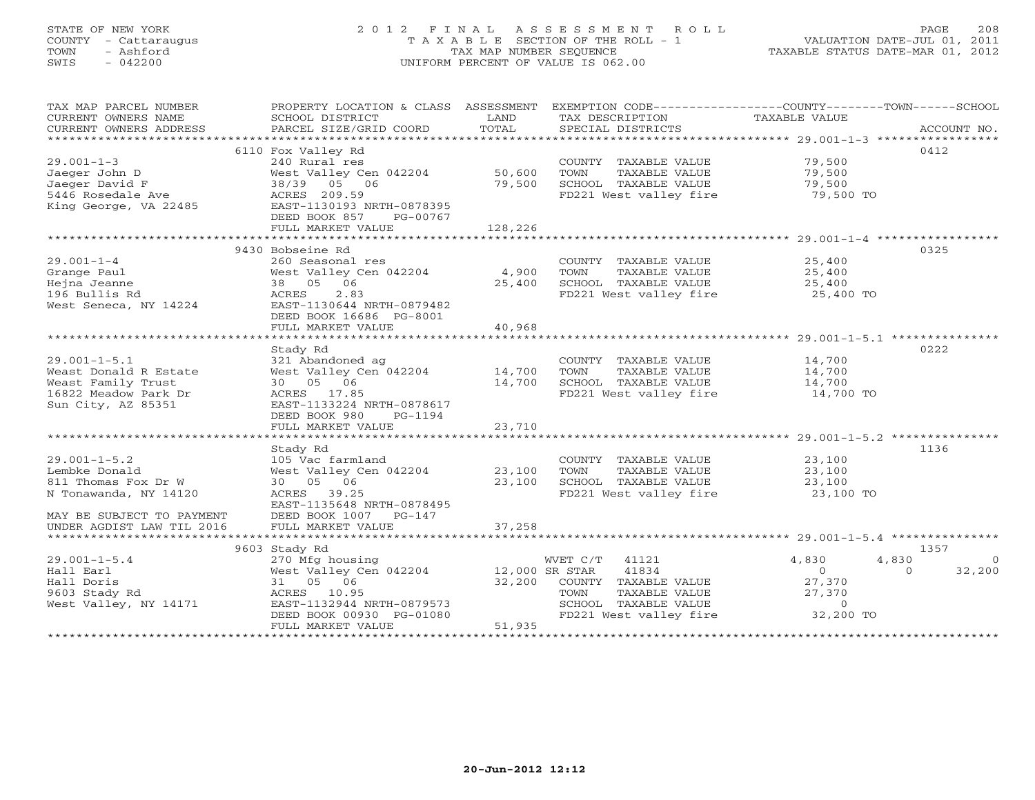## STATE OF NEW YORK 2 0 1 2 F I N A L A S S E S S M E N T R O L L PAGE 208 COUNTY - Cattaraugus T A X A B L E SECTION OF THE ROLL - 1 VALUATION DATE-JUL 01, 2011 TOWN - Ashford TAX MAP NUMBER SEQUENCE TAXABLE STATUS DATE-MAR 01, 2012 SWIS - 042200 UNIFORM PERCENT OF VALUE IS 062.00UNIFORM PERCENT OF VALUE IS 062.00

| TAX MAP PARCEL NUMBER<br>CURRENT OWNERS NAME<br>CURRENT OWNERS ADDRESS | SCHOOL DISTRICT<br>PARCEL SIZE/GRID COORD | LAND<br>TOTAL | PROPERTY LOCATION & CLASS ASSESSMENT EXEMPTION CODE---------------COUNTY-------TOWN------SCHOOL<br>TAX DESCRIPTION TAXABLE VALUE<br>SPECIAL DISTRICTS |                  | ACCOUNT NO.        |
|------------------------------------------------------------------------|-------------------------------------------|---------------|-------------------------------------------------------------------------------------------------------------------------------------------------------|------------------|--------------------|
|                                                                        |                                           |               |                                                                                                                                                       |                  |                    |
|                                                                        | 6110 Fox Valley Rd                        |               |                                                                                                                                                       |                  | 0412               |
| $29.001 - 1 - 3$                                                       | 240 Rural res                             |               | COUNTY TAXABLE VALUE                                                                                                                                  | 79,500           |                    |
| Jaeger John D                                                          | West Valley Cen 042204 50,600             |               | TOWN<br>TAXABLE VALUE                                                                                                                                 | 79,500           |                    |
| Jaeger David F                                                         | 38/39 05 06                               | 79,500        | SCHOOL TAXABLE VALUE                                                                                                                                  | 79,500           |                    |
| 5446 Rosedale Ave                                                      | ACRES 209.59                              |               | FD221 West valley fire                                                                                                                                | 79,500 TO        |                    |
| King George, VA 22485                                                  | EAST-1130193 NRTH-0878395                 |               |                                                                                                                                                       |                  |                    |
|                                                                        | DEED BOOK 857 PG-00767                    |               |                                                                                                                                                       |                  |                    |
|                                                                        | FULL MARKET VALUE                         | 128,226       |                                                                                                                                                       |                  |                    |
|                                                                        |                                           |               |                                                                                                                                                       |                  |                    |
|                                                                        | 9430 Bobseine Rd                          |               |                                                                                                                                                       |                  | 0325               |
| $29.001 - 1 - 4$                                                       | 260 Seasonal res                          |               | COUNTY TAXABLE VALUE                                                                                                                                  | 25,400           |                    |
| Grange Paul                                                            | West Valley Cen 042204 4,900              |               | TOWN<br>TAXABLE VALUE                                                                                                                                 | 25,400           |                    |
| Hejna Jeanne                                                           | 38 05 06                                  | 25,400        | SCHOOL TAXABLE VALUE                                                                                                                                  | 25,400           |                    |
| 196 Bullis Rd                                                          | 2.83<br>ACRES                             |               | FD221 West valley fire 25,400 TO                                                                                                                      |                  |                    |
| West Seneca, NY 14224                                                  | EAST-1130644 NRTH-0879482                 |               |                                                                                                                                                       |                  |                    |
|                                                                        | DEED BOOK 16686 PG-8001                   |               |                                                                                                                                                       |                  |                    |
|                                                                        | FULL MARKET VALUE                         | 40,968        |                                                                                                                                                       |                  |                    |
|                                                                        |                                           |               |                                                                                                                                                       |                  |                    |
|                                                                        | Stady Rd                                  |               |                                                                                                                                                       |                  | 0222               |
| $29.001 - 1 - 5.1$                                                     | 321 Abandoned ag                          |               | COUNTY TAXABLE VALUE 14,700                                                                                                                           |                  |                    |
|                                                                        |                                           |               |                                                                                                                                                       |                  |                    |
| Weast Donald R Estate                                                  | West Valley Cen 042204 14,700             |               | TOWN<br>TAXABLE VALUE                                                                                                                                 | 14,700<br>14,700 |                    |
| Weast Family Trust                                                     | 30 05 06                                  | 14,700        | SCHOOL TAXABLE VALUE                                                                                                                                  |                  |                    |
| 16822 Meadow Park Dr                                                   | ACRES 17.85                               |               | FD221 West valley fire 14,700 TO                                                                                                                      |                  |                    |
| Sun City, AZ 85351                                                     | EAST-1133224 NRTH-0878617                 |               |                                                                                                                                                       |                  |                    |
|                                                                        | DEED BOOK 980<br>PG-1194                  |               |                                                                                                                                                       |                  |                    |
|                                                                        | FULL MARKET VALUE                         | 23,710        |                                                                                                                                                       |                  |                    |
|                                                                        |                                           |               |                                                                                                                                                       |                  |                    |
|                                                                        | Stady Rd                                  |               |                                                                                                                                                       |                  | 1136               |
| $29.001 - 1 - 5.2$                                                     | 105 Vac farmland                          |               | COUNTY TAXABLE VALUE                                                                                                                                  | 23,100           |                    |
| Lembke Donald                                                          | West Valley Cen 042204 23,100             |               | TOWN<br>TAXABLE VALUE                                                                                                                                 | 23,100           |                    |
| 811 Thomas Fox Dr W                                                    | 30 05 06                                  | 23,100        | SCHOOL TAXABLE VALUE                                                                                                                                  | 23,100           |                    |
| N Tonawanda, NY 14120                                                  | ACRES 39.25                               |               | FD221 West valley fire                                                                                                                                | 23,100 TO        |                    |
|                                                                        | EAST-1135648 NRTH-0878495                 |               |                                                                                                                                                       |                  |                    |
| MAY BE SUBJECT TO PAYMENT                                              | DEED BOOK 1007 PG-147                     |               |                                                                                                                                                       |                  |                    |
| UNDER AGDIST LAW TIL 2016                                              | FULL MARKET VALUE                         | 37,258        |                                                                                                                                                       |                  |                    |
|                                                                        |                                           |               |                                                                                                                                                       |                  |                    |
|                                                                        | 9603 Stady Rd                             |               |                                                                                                                                                       |                  | 1357               |
| $29.001 - 1 - 5.4$                                                     | 270 Mfg housing                           |               | WVET C/T 41121                                                                                                                                        | 4,830<br>4,830   | $\Omega$           |
| Hall Earl                                                              | West Valley Cen 042204 12,000 SR STAR     |               | 41834                                                                                                                                                 | $\overline{0}$   | $\Omega$<br>32,200 |
| Hall Doris                                                             | 31 05 06                                  |               | 32,200 COUNTY TAXABLE VALUE                                                                                                                           | 27,370           |                    |
| 9603 Stady Rd                                                          | ACRES 10.95                               |               | TAXABLE VALUE<br>TOWN                                                                                                                                 | 27,370           |                    |
| West Valley, NY 14171                                                  | EAST-1132944 NRTH-0879573                 |               | SCHOOL TAXABLE VALUE                                                                                                                                  | $\overline{0}$   |                    |
|                                                                        | DEED BOOK 00930 PG-01080                  |               |                                                                                                                                                       |                  |                    |
|                                                                        | FULL MARKET VALUE                         | 51,935        |                                                                                                                                                       |                  |                    |
|                                                                        |                                           |               |                                                                                                                                                       |                  |                    |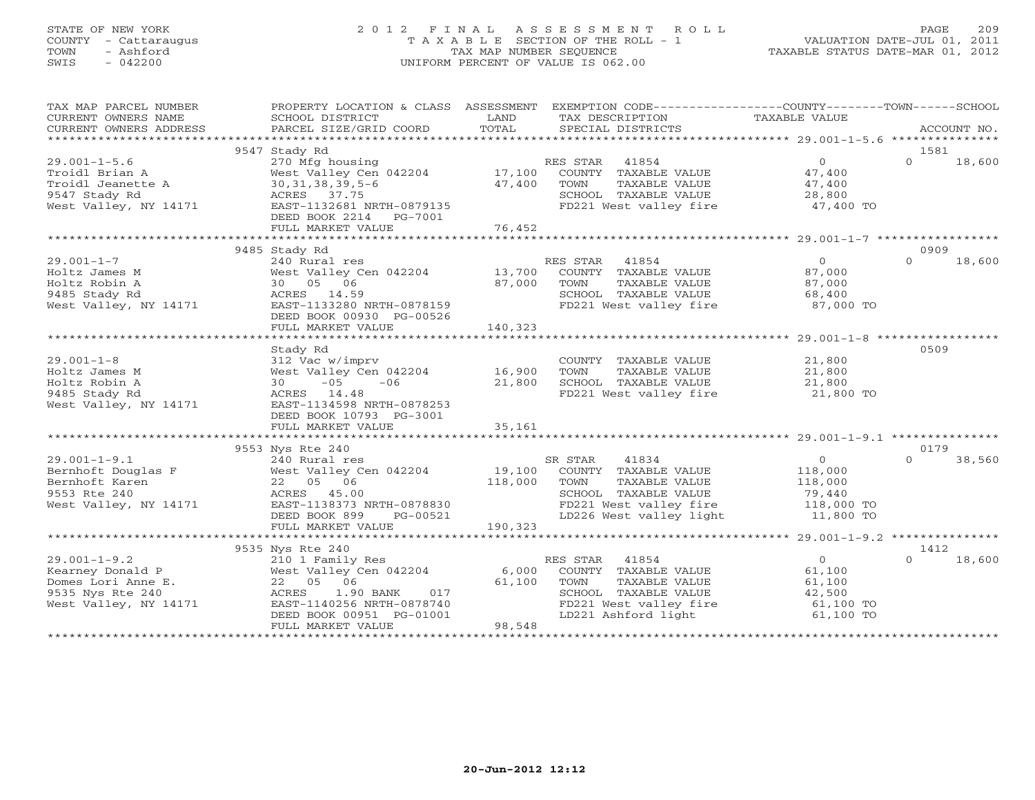# STATE OF NEW YORK 2 0 1 2 F I N A L A S S E S S M E N T R O L L PAGE 209 COUNTY - Cattaraugus T A X A B L E SECTION OF THE ROLL - 1 VALUATION DATE-JUL 01, 2011 TOWN - Ashford COMPUTER SEQUENCE TAX MAP NUMBER SEQUENCE TAXABLE STATUS DATE-MAR 01, 2012<br>
TAX MAP NUMBER SEQUENCE TAXABLE STATUS DATE-MAR 01, 2012<br>
SWIS - 042200 SWIS - 042200 UNIFORM PERCENT OF VALUE IS 062.00

| TAX MAP PARCEL NUMBER<br>CURRENT OWNERS NAME                                                                         | PROPERTY LOCATION & CLASS ASSESSMENT EXEMPTION CODE---------------COUNTY-------TOWN------SCHOOL<br>SCHOOL DISTRICT                                                                                              | LAND              | TAX DESCRIPTION                                                                                                                   | TAXABLE VALUE                                                       |                            |
|----------------------------------------------------------------------------------------------------------------------|-----------------------------------------------------------------------------------------------------------------------------------------------------------------------------------------------------------------|-------------------|-----------------------------------------------------------------------------------------------------------------------------------|---------------------------------------------------------------------|----------------------------|
|                                                                                                                      |                                                                                                                                                                                                                 |                   |                                                                                                                                   |                                                                     |                            |
| $29.001 - 1 - 5.6$<br>Troidl Brian A<br>Troidl Jeanette A<br>9547 Stady Rd<br>9547 Stady Rd<br>West Valley, NY 14171 | 9547 Stady Rd<br>270 Mfg housing<br>West Valley Cen 042204 17,100 COUNTY TAXABLE VALUE<br>$30, 31, 38, 39, 5 - 6$<br>ACRES 37.75<br>EAST-1132681 NRTH-0879135<br>DEED BOOK 2214    PG-7001<br>FULL MARKET VALUE | 47,400<br>76,452  | RES STAR 41854<br>TOWN<br>TAXABLE VALUE<br>SCHOOL TAXABLE VALUE<br>FD221 West valley fire 37,400 TO                               | $\overline{0}$<br>47,400<br>47,400                                  | 1581<br>$\Omega$<br>18,600 |
|                                                                                                                      |                                                                                                                                                                                                                 |                   |                                                                                                                                   |                                                                     |                            |
| $29.001 - 1 - 7$<br>Holtz James M<br>Holtz Robin A<br>9485 Stady Rd<br>West Valley, NY 14171                         | 9485 Stady Rd<br>240 Rural res<br>West Valley Cen 042204 13,700<br>30 05 06<br>ACRES 14.59<br>EAST-1133280 NRTH-0878159<br>DEED BOOK 00930 PG-00526<br>FULL MARKET VALUE                                        | 87,000<br>140,323 | RES STAR 41854<br>COUNTY TAXABLE VALUE<br>TOWN     TAXABLE VALUE<br>SCHOOL TAXABLE VALUE<br>FD221 West valley fire                | $\overline{0}$<br>87,000<br>87,000<br>68,400<br>68,400<br>87,000 TO | 0909<br>18,600<br>$\Omega$ |
|                                                                                                                      | **************************                                                                                                                                                                                      |                   |                                                                                                                                   |                                                                     |                            |
| $29.001 - 1 - 8$<br>Holtz James M<br>Holtz Robin A<br>9485 Stady Rd<br>West Valley, NY 14171                         | Stady Rd<br>312 Vac w/imprv<br>West Valley Cen 042204 16,900<br>$-06$ 21,800<br>$30 -05$<br>ACRES 14.48<br>EAST-1134598 NRTH-0878253<br>DEED BOOK 10793 PG-3001                                                 |                   | COUNTY TAXABLE VALUE<br>TOWN<br>TAXABLE VALUE<br>SCHOOL TAXABLE VALUE 21,800<br>FD221 West valley fire 21,800 TO                  | 21,800<br>21,800                                                    | 0509                       |
|                                                                                                                      | FULL MARKET VALUE                                                                                                                                                                                               | 35,161            |                                                                                                                                   |                                                                     |                            |
|                                                                                                                      | 9553 Nys Rte 240                                                                                                                                                                                                |                   |                                                                                                                                   |                                                                     | 0179                       |
| $29.001 - 1 - 9.1$<br>Bernhoft Douglas F<br>Bernhoft Karen<br>9553 Rte 240<br>West Valley, NY 14171                  | 240 Rural res<br>West Valley Cen 042204 19,100 COUNTY TAXABLE VALUE<br>22 05 06<br>ACRES 45.00<br>EAST-1138373 NRTH-0878830<br>DEED BOOK 899<br>PG-00521                                                        | 118,000           | SR STAR<br>41834<br>TOWN<br>TAXABLE VALUE<br>SCHOOL TAXABLE VALUE<br>FD221 West valley fire 118,000 TO<br>LD226 West valley light | 0<br>118,000<br>118,000<br>79,440<br>11,800 TO                      | $\Omega$<br>38,560         |
|                                                                                                                      | FULL MARKET VALUE                                                                                                                                                                                               | 190,323           |                                                                                                                                   |                                                                     |                            |
| $29.001 - 1 - 9.2$<br>Exerney Donald P<br>Domes Lori Anne E.<br>9535 Nys Rte 240                                     | 9535 Nys Rte 240<br>210 1 Family Res<br>West $Valley$ Cen $042204$ 6,000<br>22  05  06<br>017<br>ACRES<br>1.90 BANK                                                                                             | 61,100            | RES STAR 41854<br>COUNTY TAXABLE VALUE<br>TOWN<br>TAXABLE VALUE<br>SCHOOL TAXABLE VALUE                                           | $\overline{0}$<br>61,100<br>61,100<br>42,500                        | 1412<br>$\Omega$<br>18,600 |
| West Valley, NY 14171                                                                                                | EAST-1140256 NRTH-0878740<br>DEED BOOK 00951 PG-01001<br>FULL MARKET VALUE                                                                                                                                      | 98,548            | FD221 West valley fire<br>LD221 Ashford light<br>LD221 Ashford light                                                              | 61,100 TO<br>61,100 TO                                              |                            |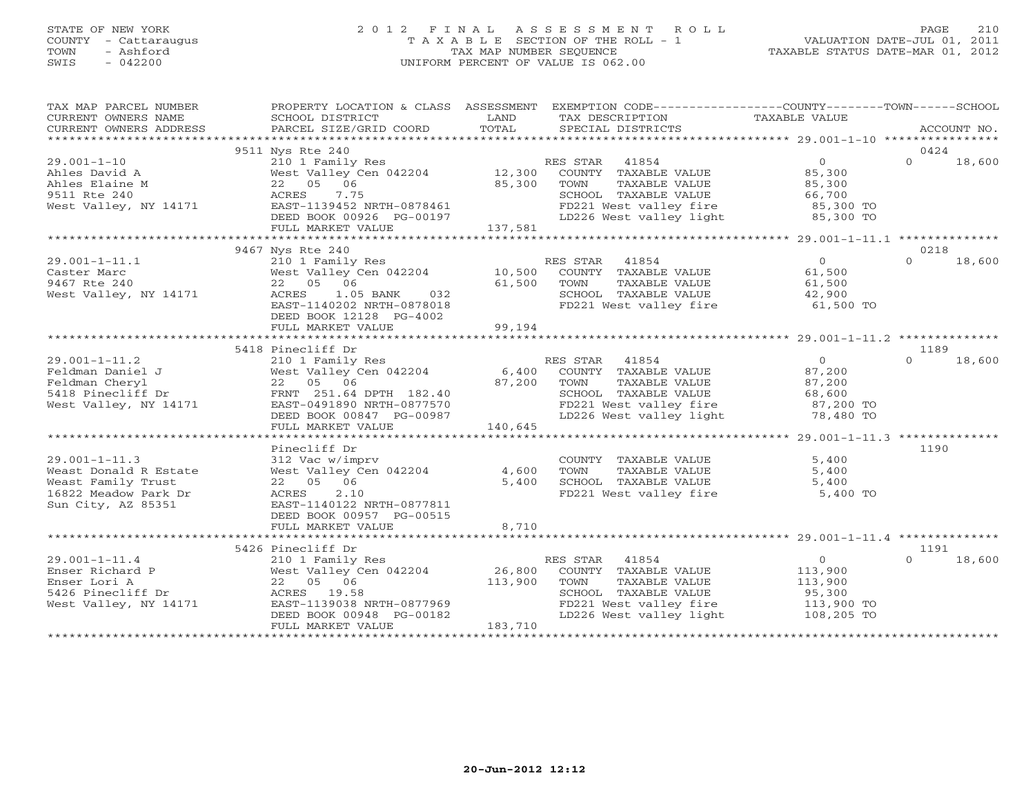## STATE OF NEW YORK 2 0 1 2 F I N A L A S S E S S M E N T R O L L PAGE 210 COUNTY - Cattaraugus T A X A B L E SECTION OF THE ROLL - 1 VALUATION DATE-JUL 01, 2011 TOWN - Ashford TAX MAP NUMBER SEQUENCE TAXABLE STATUS DATE-MAR 01, 2012 SWIS - 042200 UNIFORM PERCENT OF VALUE IS 062.00UNIFORM PERCENT OF VALUE IS 062.00

| TAX MAP PARCEL NUMBER                                                                                                                                                                                                                                                                                                                                                                                                                                                                                                  |                                                              |             | PROPERTY LOCATION & CLASS ASSESSMENT EXEMPTION CODE----------------COUNTY-------TOWN------SCHOOL |                          |                    |
|------------------------------------------------------------------------------------------------------------------------------------------------------------------------------------------------------------------------------------------------------------------------------------------------------------------------------------------------------------------------------------------------------------------------------------------------------------------------------------------------------------------------|--------------------------------------------------------------|-------------|--------------------------------------------------------------------------------------------------|--------------------------|--------------------|
| CURRENT OWNERS NAME                                                                                                                                                                                                                                                                                                                                                                                                                                                                                                    | SCHOOL DISTRICT                                              | LAND        | TAX DESCRIPTION                                                                                  | TAXABLE VALUE            |                    |
| $\begin{minipage}{.45\textwidth} \begin{minipage}{.45\textwidth} \begin{minipage}{.45\textwidth} \begin{minipage}{.45\textwidth} \begin{minipage}{.45\textwidth} \begin{minipage}{.45\textwidth} \begin{minipage}{.45\textwidth} \begin{minipage}{.45\textwidth} \begin{minipage}{.45\textwidth} \begin{minipage}{.45\textwidth} \begin{minipage}{.45\textwidth} \begin{minipage}{.45\textwidth} \begin{minipage}{.45\textwidth} \begin{minipage}{.45\textwidth} \begin{minipage}{.45\textwidth} \begin{minipage}{.45$ |                                                              |             |                                                                                                  |                          |                    |
|                                                                                                                                                                                                                                                                                                                                                                                                                                                                                                                        | 9511 Nys Rte 240                                             |             |                                                                                                  |                          | 0424               |
| $29.001 - 1 - 10$                                                                                                                                                                                                                                                                                                                                                                                                                                                                                                      | 210 1 Family Res                                             |             | RES STAR 41854                                                                                   | $\overline{0}$           | $\Omega$<br>18,600 |
| Ahles David A                                                                                                                                                                                                                                                                                                                                                                                                                                                                                                          |                                                              |             | West Valley Cen 042204 12,300 COUNTY TAXABLE VALUE                                               | 85,300                   |                    |
| Ahles Elaine M                                                                                                                                                                                                                                                                                                                                                                                                                                                                                                         |                                                              | 85,300      | TOWN<br>TAXABLE VALUE                                                                            | 85,300                   |                    |
| West Valley C<br>22 05 06<br>22 05 06 ACRES<br>24171 EAST-1139452<br>9511 Rte 240                                                                                                                                                                                                                                                                                                                                                                                                                                      | 7.75                                                         |             | SCHOOL TAXABLE VALUE                                                                             |                          |                    |
| West Valley, NY 14171                                                                                                                                                                                                                                                                                                                                                                                                                                                                                                  | EAST-1139452 NRTH-0878461                                    |             |                                                                                                  | 66,700<br>85,300 TO      |                    |
|                                                                                                                                                                                                                                                                                                                                                                                                                                                                                                                        | DEED BOOK 00926 PG-00197                                     |             | FD221 West valley fire 35,300 TO<br>LD226 West valley light 35,300 TO                            |                          |                    |
|                                                                                                                                                                                                                                                                                                                                                                                                                                                                                                                        | FULL MARKET VALUE                                            | 137,581     |                                                                                                  |                          |                    |
|                                                                                                                                                                                                                                                                                                                                                                                                                                                                                                                        |                                                              |             |                                                                                                  |                          |                    |
|                                                                                                                                                                                                                                                                                                                                                                                                                                                                                                                        | 9467 Nys Rte 240                                             |             |                                                                                                  |                          | 0218               |
| $29.001 - 1 - 11.1$                                                                                                                                                                                                                                                                                                                                                                                                                                                                                                    |                                                              |             |                                                                                                  | $\overline{0}$           | $\Omega$<br>18,600 |
| Caster Marc                                                                                                                                                                                                                                                                                                                                                                                                                                                                                                            |                                                              |             |                                                                                                  | 61,500                   |                    |
| 9467 Rte 240                                                                                                                                                                                                                                                                                                                                                                                                                                                                                                           |                                                              |             |                                                                                                  | 61,500                   |                    |
| West Valley, NY 14171                                                                                                                                                                                                                                                                                                                                                                                                                                                                                                  | 1.05 BANK 032<br>ACRES                                       |             | SCHOOL TAXABLE VALUE<br>FD221 West valley fire                                                   | 42,900                   |                    |
|                                                                                                                                                                                                                                                                                                                                                                                                                                                                                                                        | EAST-1140202 NRTH-0878018                                    |             |                                                                                                  | $42,300$ TO<br>61,500 TO |                    |
|                                                                                                                                                                                                                                                                                                                                                                                                                                                                                                                        | DEED BOOK 12128 PG-4002                                      |             |                                                                                                  |                          |                    |
|                                                                                                                                                                                                                                                                                                                                                                                                                                                                                                                        | FULL MARKET VALUE                                            | 99,194      |                                                                                                  |                          |                    |
|                                                                                                                                                                                                                                                                                                                                                                                                                                                                                                                        | 5418 Pinecliff Dr                                            |             |                                                                                                  |                          | 1189               |
| $29.001 - 1 - 11.2$                                                                                                                                                                                                                                                                                                                                                                                                                                                                                                    |                                                              |             |                                                                                                  | $\overline{O}$           | 18,600<br>$\Omega$ |
| 29.001-1-11.2<br>Feldman Daniel J<br>Feldman Cheryl<br>5418 Pinecliff Dr<br>West Valley, NY 14171                                                                                                                                                                                                                                                                                                                                                                                                                      |                                                              |             |                                                                                                  | 87,200                   |                    |
|                                                                                                                                                                                                                                                                                                                                                                                                                                                                                                                        |                                                              | 87,200 TOWN | TAXABLE VALUE                                                                                    | 87,200                   |                    |
|                                                                                                                                                                                                                                                                                                                                                                                                                                                                                                                        |                                                              |             |                                                                                                  |                          |                    |
|                                                                                                                                                                                                                                                                                                                                                                                                                                                                                                                        | 22 05 06<br>FRNT 251.64 DPTH 182.40<br>- 21200 NPTH-0877570  |             | SCHOOL TAXABLE VALUE 68,600<br>FD221 West valley fire 67,200 TO                                  |                          |                    |
|                                                                                                                                                                                                                                                                                                                                                                                                                                                                                                                        | DEED BOOK 00847 PG-00987                                     |             | LD226 West valley light                                                                          | 78,480 TO                |                    |
|                                                                                                                                                                                                                                                                                                                                                                                                                                                                                                                        | FULL MARKET VALUE                                            | 140,645     |                                                                                                  |                          |                    |
|                                                                                                                                                                                                                                                                                                                                                                                                                                                                                                                        |                                                              |             |                                                                                                  |                          |                    |
|                                                                                                                                                                                                                                                                                                                                                                                                                                                                                                                        | Pinecliff Dr                                                 |             |                                                                                                  |                          | 1190               |
| $29.001 - 1 - 11.3$                                                                                                                                                                                                                                                                                                                                                                                                                                                                                                    | 312 Vac w/imprv (COUNT)<br>West Valley Cen 042204 4,600 TOWN |             | COUNTY TAXABLE VALUE                                                                             | 5,400                    |                    |
| 29.001-1-11.3<br>Weast Donald R Estate<br>                                                                                                                                                                                                                                                                                                                                                                                                                                                                             |                                                              |             | TAXABLE VALUE                                                                                    | 5,400                    |                    |
|                                                                                                                                                                                                                                                                                                                                                                                                                                                                                                                        | 22 05 06                                                     | 5,400       | SCHOOL TAXABLE VALUE                                                                             | 5,400                    |                    |
|                                                                                                                                                                                                                                                                                                                                                                                                                                                                                                                        | 2.10                                                         |             | FD221 West valley fire                                                                           | 5,400 TO                 |                    |
|                                                                                                                                                                                                                                                                                                                                                                                                                                                                                                                        | EAST-1140122 NRTH-0877811                                    |             |                                                                                                  |                          |                    |
|                                                                                                                                                                                                                                                                                                                                                                                                                                                                                                                        | DEED BOOK 00957 PG-00515                                     |             |                                                                                                  |                          |                    |
|                                                                                                                                                                                                                                                                                                                                                                                                                                                                                                                        | FULL MARKET VALUE                                            | 8,710       |                                                                                                  |                          |                    |
|                                                                                                                                                                                                                                                                                                                                                                                                                                                                                                                        |                                                              |             |                                                                                                  |                          |                    |
|                                                                                                                                                                                                                                                                                                                                                                                                                                                                                                                        | 5426 Pinecliff Dr                                            |             |                                                                                                  |                          | 1191               |
| $29.001 - 1 - 11.4$<br>29.001-1-11.4 210 1 Family Res<br>Enser Richard P West Valley Cen 042204 26,800<br>Enser Lori A 22 05 06 113,900<br>5426 Pinecliff Dr ACRES 19.58<br>West Valley, NY 14171 EAST-1139038 NRTH-0877969                                                                                                                                                                                                                                                                                            | 210 1 Family Res                                             |             | RES STAR 41854                                                                                   | $\overline{0}$           | 18,600             |
|                                                                                                                                                                                                                                                                                                                                                                                                                                                                                                                        |                                                              |             | COUNTY TAXABLE VALUE                                                                             | 113,900                  |                    |
|                                                                                                                                                                                                                                                                                                                                                                                                                                                                                                                        |                                                              |             | TOWN<br>TAXABLE VALUE<br>SCHOOL TAXABLE VALUE                                                    | 113,900                  |                    |
|                                                                                                                                                                                                                                                                                                                                                                                                                                                                                                                        |                                                              |             |                                                                                                  | 95,300                   |                    |
|                                                                                                                                                                                                                                                                                                                                                                                                                                                                                                                        | DEED BOOK 00948 PG-00182                                     |             | FD221 West valley fire 113,900 TO<br>LD226 West valley light 108,205 TO                          |                          |                    |
|                                                                                                                                                                                                                                                                                                                                                                                                                                                                                                                        | FULL MARKET VALUE                                            | 183,710     |                                                                                                  |                          |                    |
|                                                                                                                                                                                                                                                                                                                                                                                                                                                                                                                        |                                                              |             |                                                                                                  |                          |                    |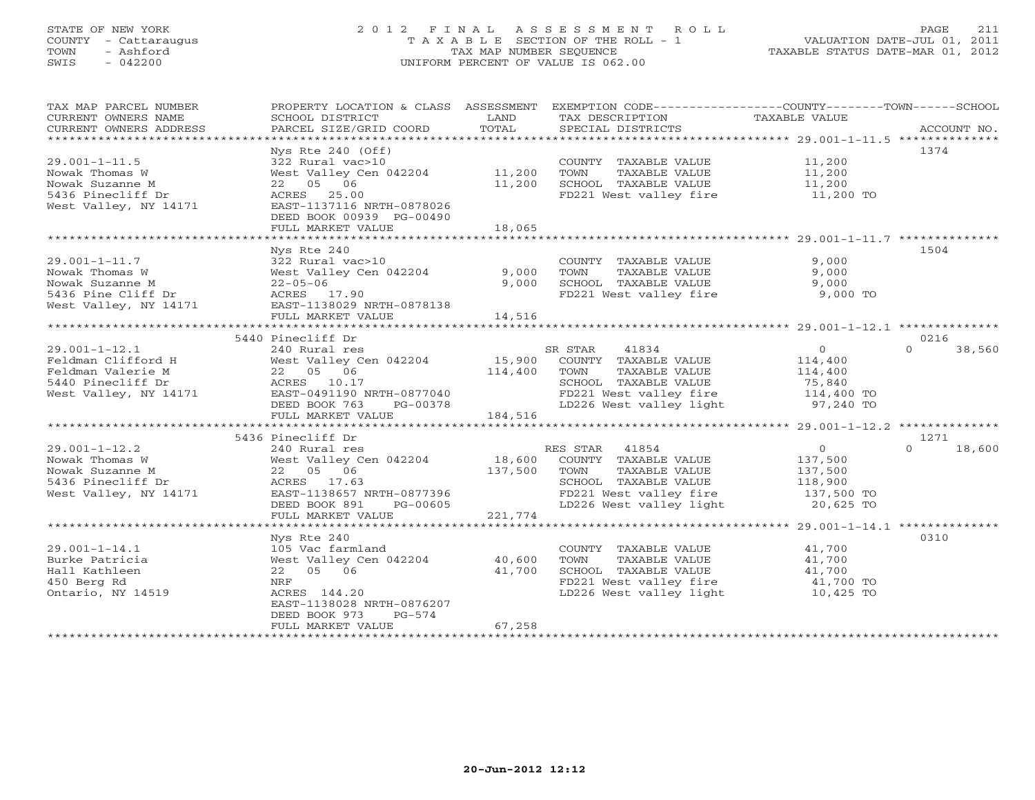## STATE OF NEW YORK 2 0 1 2 F I N A L A S S E S S M E N T R O L L PAGE 211 COUNTY - Cattaraugus T A X A B L E SECTION OF THE ROLL - 1 VALUATION DATE-JUL 01, 2011 TOWN - Ashford TAX MAP NUMBER SEQUENCE TAXABLE STATUS DATE-MAR 01, 2012 SWIS - 042200 UNIFORM PERCENT OF VALUE IS 062.00UNIFORM PERCENT OF VALUE IS 062.00

| TAX MAP PARCEL NUMBER<br>CURRENT OWNERS NAME<br>CURRENT OWNERS ADDRESS                                       | PROPERTY LOCATION & CLASS ASSESSMENT<br>SCHOOL DISTRICT<br>PARCEL SIZE/GRID COORD                                                                                                  | LAND<br>TOTAL                | EXEMPTION CODE-----------------COUNTY-------TOWN------SCHOOL<br>TAX DESCRIPTION<br>SPECIAL DISTRICTS                                            | TAXABLE VALUE                                                              | ACCOUNT NO.                |
|--------------------------------------------------------------------------------------------------------------|------------------------------------------------------------------------------------------------------------------------------------------------------------------------------------|------------------------------|-------------------------------------------------------------------------------------------------------------------------------------------------|----------------------------------------------------------------------------|----------------------------|
| $29.001 - 1 - 11.5$<br>Nowak Thomas W<br>Nowak Suzanne M<br>5436 Pinecliff Dr<br>West Valley, NY 14171       | $Nys$ Rte 240 (Off)<br>322 Rural vac>10<br>West Valley Cen 042204<br>22 05 06<br>ACRES 25.00<br>EAST-1137116 NRTH-0878026<br>DEED BOOK 00939 PG-00490<br>FULL MARKET VALUE         | 11,200<br>11,200<br>18,065   | COUNTY TAXABLE VALUE<br>TOWN<br>TAXABLE VALUE<br>SCHOOL TAXABLE VALUE<br>FD221 West valley fire                                                 | 11,200<br>11,200<br>11,200<br>11,200 TO                                    | 1374                       |
| $29.001 - 1 - 11.7$<br>Nowak Thomas W<br>Nowak Suzanne M<br>5436 Pine Cliff Dr<br>West Valley, NY 14171      | Nys Rte 240<br>322 Rural vac>10<br>West Valley Cen 042204<br>$22 - 05 - 06$<br>ACRES 17.90<br>EAST-1138029 NRTH-0878138<br>FULL MARKET VALUE                                       | 9,000<br>9,000<br>14,516     | COUNTY TAXABLE VALUE<br>TOWN<br>TAXABLE VALUE<br>SCHOOL TAXABLE VALUE<br>FD221 West valley fire                                                 | 9,000<br>9,000<br>9,000<br>9,000 TO                                        | 1504                       |
| $29.001 - 1 - 12.1$<br>Feldman Clifford H<br>Feldman Valerie M<br>5440 Pinecliff Dr<br>West Valley, NY 14171 | 5440 Pinecliff Dr<br>240 Rural res<br>West Valley Cen 042204<br>22 05 06<br>ACRES 10.17<br>EAST-0491190 NRTH-0877040<br>DEED BOOK 763<br>PG-00378<br>FULL MARKET VALUE             | 15,900<br>114,400<br>184,516 | SR STAR<br>41834<br>COUNTY TAXABLE VALUE<br>TOWN<br>TAXABLE VALUE<br>SCHOOL TAXABLE VALUE<br>FD221 West valley fire<br>LD226 West valley light  | $\overline{0}$<br>114,400<br>114,400<br>75,840<br>114,400 TO<br>97,240 TO  | 0216<br>$\Omega$<br>38,560 |
|                                                                                                              | ************************                                                                                                                                                           | ***********                  |                                                                                                                                                 | *********** 29.001-1-12.2 ***************                                  |                            |
| $29.001 - 1 - 12.2$<br>Nowak Thomas W<br>Nowak Suzanne M<br>5436 Pinecliff Dr<br>West Valley, NY 14171       | 5436 Pinecliff Dr<br>240 Rural res<br>West Valley Cen 042204<br>22 05 06<br>ACRES 17.63<br>EAST-1138657 NRTH-0877396<br>DEED BOOK 891<br>PG-00605<br>FULL MARKET VALUE             | 18,600<br>137,500<br>221,774 | 41854<br>RES STAR<br>COUNTY TAXABLE VALUE<br>TOWN<br>TAXABLE VALUE<br>SCHOOL TAXABLE VALUE<br>FD221 West valley fire<br>LD226 West valley light | $\overline{O}$<br>137,500<br>137,500<br>118,900<br>137,500 TO<br>20,625 TO | 1271<br>18,600<br>$\Omega$ |
|                                                                                                              |                                                                                                                                                                                    |                              |                                                                                                                                                 |                                                                            |                            |
| $29.001 - 1 - 14.1$<br>Burke Patricia<br>Hall Kathleen<br>450 Berg Rd<br>Ontario, NY 14519                   | Nys Rte 240<br>105 Vac farmland<br>West Valley Cen 042204<br>22 05 06<br><b>NRF</b><br>ACRES 144.20<br>EAST-1138028 NRTH-0876207<br>$PG-574$<br>DEED BOOK 973<br>FULL MARKET VALUE | 40,600<br>41,700<br>67,258   | COUNTY TAXABLE VALUE<br>TOWN<br>TAXABLE VALUE<br>SCHOOL TAXABLE VALUE<br>FD221 West valley fire<br>LD226 West valley light                      | 41,700<br>41,700<br>41,700<br>41,700 TO<br>10,425 TO                       | 0310                       |
|                                                                                                              |                                                                                                                                                                                    |                              |                                                                                                                                                 |                                                                            |                            |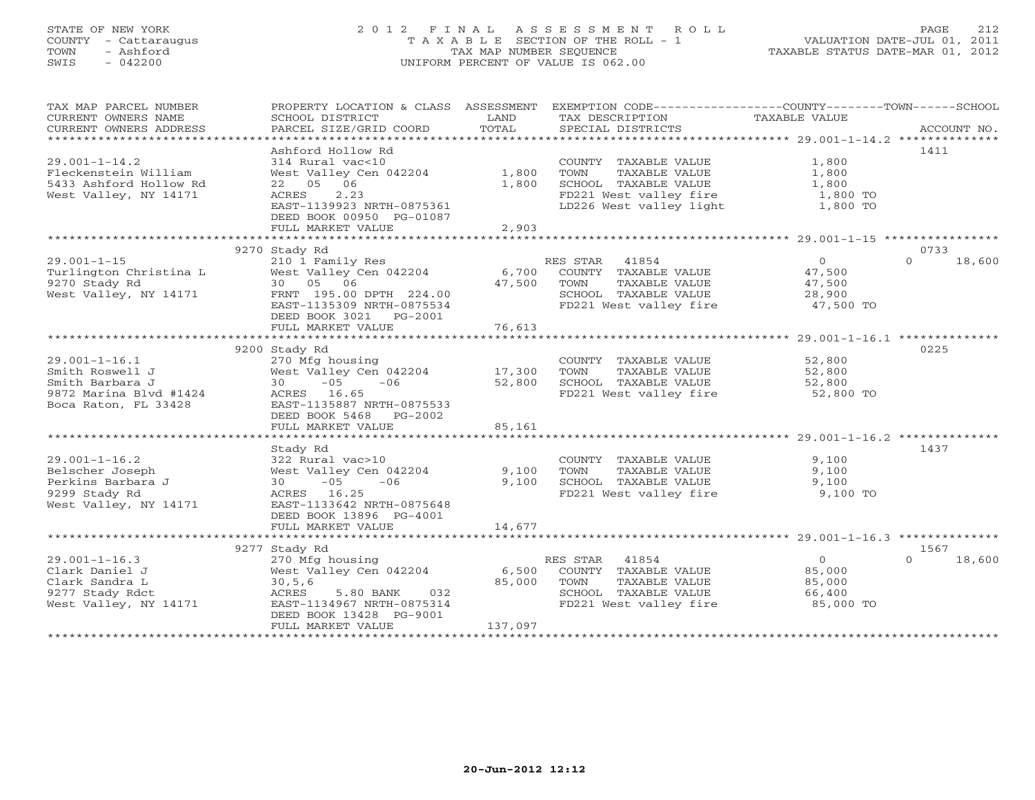## STATE OF NEW YORK 2 0 1 2 F I N A L A S S E S S M E N T R O L L PAGE 212 COUNTY - Cattaraugus T A X A B L E SECTION OF THE ROLL - 1 VALUATION DATE-JUL 01, 2011 TOWN - Ashford TAX MAP NUMBER SEQUENCE TAXABLE STATUS DATE-MAR 01, 2012 SWIS - 042200 UNIFORM PERCENT OF VALUE IS 062.00UNIFORM PERCENT OF VALUE IS 062.00

| TAX MAP PARCEL NUMBER<br>CURRENT OWNERS NAME<br>CURRENT OWNERS ADDRESS                                        | SCHOOL DISTRICT<br>PARCEL SIZE/GRID COORD                                                                                                                                        | LAND<br>TOTAL              | PROPERTY LOCATION & CLASS ASSESSMENT EXEMPTION CODE---------------COUNTY-------TOWN------SCHOOL<br>TAX DESCRIPTION<br>SPECIAL DISTRICTS | TAXABLE VALUE                                             | ACCOUNT NO.        |
|---------------------------------------------------------------------------------------------------------------|----------------------------------------------------------------------------------------------------------------------------------------------------------------------------------|----------------------------|-----------------------------------------------------------------------------------------------------------------------------------------|-----------------------------------------------------------|--------------------|
| $29.001 - 1 - 14.2$<br>Fleckenstein William<br>5433 Ashford Hollow Rd<br>West Valley, NY 14171                | Ashford Hollow Rd<br>314 Rural vac<10<br>West Valley Cen 042204 1,800<br>22 05 06<br>2.23<br>ACRES<br>EAST-1139923 NRTH-0875361<br>DEED BOOK 00950 PG-01087<br>FULL MARKET VALUE | 1,800<br>2,903             | COUNTY TAXABLE VALUE<br>TOWN<br>TAXABLE VALUE<br>SCHOOL TAXABLE VALUE<br>FD221 West valley fire<br>LD226 West valley light              | 1,800<br>1,800<br>1,800<br>1,800 TO<br>1,800 TO           | 1411               |
|                                                                                                               | 9270 Stady Rd                                                                                                                                                                    |                            |                                                                                                                                         |                                                           | 0733               |
| $29.001 - 1 - 15$<br>Turlington Christina L<br>9270 Stady Rd<br>West Valley, NY 14171 FRNT 195.00 DPTH 224.00 | 210 1 Family Res<br>West Valley Cen 042204<br>30 05 06<br>EAST-1135309 NRTH-0875534<br>DEED BOOK 3021 PG-2001<br>FULL MARKET VALUE                                               | 6,700<br>47,500<br>76,613  | RES STAR 41854<br>COUNTY TAXABLE VALUE<br>TOWN<br>TAXABLE VALUE<br>SCHOOL TAXABLE VALUE 28,900<br>FD221 West valley fire                | $\overline{0}$<br>47,500<br>47,500<br>47,500 TO           | 18,600<br>$\Omega$ |
|                                                                                                               |                                                                                                                                                                                  |                            |                                                                                                                                         |                                                           |                    |
| $29.001 - 1 - 16.1$<br>Smith Roswell J<br>Smith Barbara J<br>$9872$ Marine Blvd #1424<br>Boca Raton, FL 33428 | 9200 Stady Rd<br>270 Mfg housing<br>West Valley Cen 042204<br>$30 -05 -06$<br>ACRES 16.65<br>EAST-1135887 NRTH-0875533<br>DEED BOOK 5468 PG-2002                                 | 17,300<br>52,800           | COUNTY TAXABLE VALUE 52,800<br>TOWN<br>TAXABLE VALUE<br>SCHOOL TAXABLE VALUE 52,800<br>FD221 West valley fire                           | 52,800<br>52,800 TO                                       | 0225               |
|                                                                                                               | FULL MARKET VALUE                                                                                                                                                                | 85,161                     |                                                                                                                                         |                                                           |                    |
| $29.001 - 1 - 16.2$<br>Belscher Joseph<br>Perkins Barbara J<br>9299 Stady Rd<br>West Valley, NY 14171         | Stady Rd<br>322 Rural vac>10<br>West Valley Cen 042204<br>$-06$<br>$30 -05$<br>ACRES 16.25<br>EAST-1133642 NRTH-0875648<br>DEED BOOK 13896 PG-4001                               | 9,100<br>9,100             | COUNTY TAXABLE VALUE<br>TOWN<br>TAXABLE VALUE<br>SCHOOL TAXABLE VALUE<br>FD221 West valley fire                                         | 9,100<br>9,100<br>9,100<br>9,100 TO                       | 1437               |
|                                                                                                               | FULL MARKET VALUE                                                                                                                                                                | 14,677                     |                                                                                                                                         |                                                           |                    |
|                                                                                                               | 9277 Stady Rd                                                                                                                                                                    |                            |                                                                                                                                         |                                                           | 1567               |
| $29.001 - 1 - 16.3$<br>Clark Daniel J<br>Clark Sandra L<br>9277 Stady Rdct<br>West Valley, NY 14171           | 270 Mfg housing<br>West Valley Cen 042204<br>30, 5, 6<br>032<br>ACRES<br>5.80 BANK<br>EAST-1134967 NRTH-0875314<br>DEED BOOK 13428 PG-9001<br>FULL MARKET VALUE                  | 6,500<br>85,000<br>137,097 | RES STAR 41854<br>COUNTY TAXABLE VALUE<br>TOWN<br>TAXABLE VALUE<br>SCHOOL TAXABLE VALUE<br>FD221 West valley fire                       | $\overline{0}$<br>85,000<br>85,000<br>66,400<br>85,000 TO | $\Omega$<br>18,600 |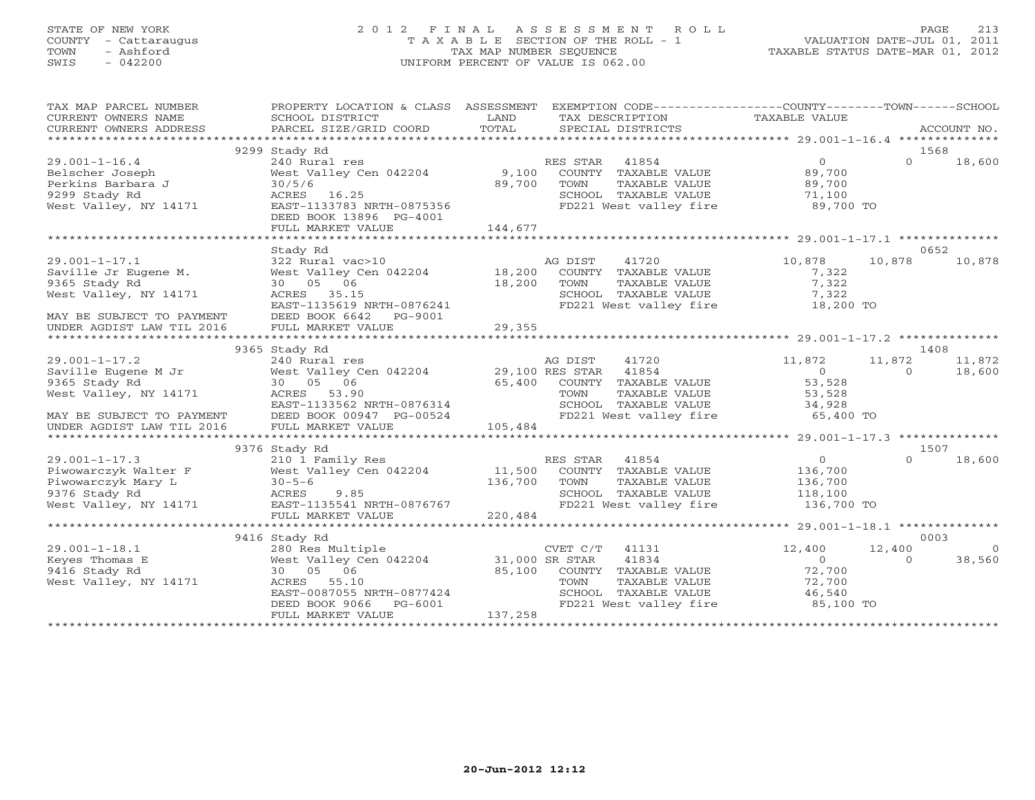## STATE OF NEW YORK 2 0 1 2 F I N A L A S S E S S M E N T R O L L PAGE 213 COUNTY - Cattaraugus T A X A B L E SECTION OF THE ROLL - 1 VALUATION DATE-JUL 01, 2011 TOWN - Ashford TAX MAP NUMBER SEQUENCE TAXABLE STATUS DATE-MAR 01, 2012 SWIS - 042200 UNIFORM PERCENT OF VALUE IS 062.00UNIFORM PERCENT OF VALUE IS 062.00

| TAX MAP PARCEL NUMBER<br>CURRENT OWNERS NAME<br>CURRENT OWNERS ADDRESS                                                                          | PROPERTY LOCATION & CLASS ASSESSMENT<br>SCHOOL DISTRICT<br>PARCEL SIZE/GRID COORD                                                                                   | LAND<br>TOTAL                | EXEMPTION CODE-----------------COUNTY-------TOWN------SCHOOL<br>TAX DESCRIPTION<br>SPECIAL DISTRICTS                                   | TAXABLE VALUE                                                                 | ACCOUNT NO.                          |
|-------------------------------------------------------------------------------------------------------------------------------------------------|---------------------------------------------------------------------------------------------------------------------------------------------------------------------|------------------------------|----------------------------------------------------------------------------------------------------------------------------------------|-------------------------------------------------------------------------------|--------------------------------------|
|                                                                                                                                                 |                                                                                                                                                                     |                              |                                                                                                                                        |                                                                               |                                      |
|                                                                                                                                                 | 9299 Stady Rd                                                                                                                                                       |                              |                                                                                                                                        |                                                                               | 1568                                 |
| $29.001 - 1 - 16.4$<br>Belscher Joseph<br>Perkins Barbara J<br>9299 Stady Rd<br>West Valley, NY 14171                                           | 240 Rural res<br>West Valley Cen 042204<br>30/5/6<br>ACRES 16.25<br>EAST-1133783 NRTH-0875356<br>DEED BOOK 13896 PG-4001                                            | 9,100<br>89,700              | RES STAR 41854<br>COUNTY TAXABLE VALUE<br>TOWN<br>TAXABLE VALUE<br>SCHOOL TAXABLE VALUE<br>FD221 West valley fire                      | $\Omega$<br>89,700<br>89,700<br>71,100<br>89,700 TO                           | $\Omega$<br>18,600                   |
|                                                                                                                                                 | FULL MARKET VALUE                                                                                                                                                   | 144,677                      |                                                                                                                                        |                                                                               |                                      |
|                                                                                                                                                 |                                                                                                                                                                     |                              |                                                                                                                                        |                                                                               |                                      |
| $29.001 - 1 - 17.1$<br>Saville Jr Eugene M.<br>9365 Stady Rd<br>West Valley, NY 14171<br>MAY BE SUBJECT TO PAYMENT<br>UNDER AGDIST LAW TIL 2016 | Stady Rd<br>322 Rural vac>10<br>West Valley Cen 042204<br>30 05 06<br>ACRES 35.15<br>EAST-1135619 NRTH-0876241<br>DEED BOOK 6642 PG-9001<br>FULL MARKET VALUE       | 18,200<br>18,200<br>29,355   | 41720<br>AG DIST<br>COUNTY TAXABLE VALUE<br>TOWN<br>TAXABLE VALUE<br>SCHOOL TAXABLE VALUE<br>FD221 West valley fire                    | 10,878<br>10,878<br>7,322<br>7,322<br>7,322<br>18,200 TO                      | 0652<br>10,878                       |
|                                                                                                                                                 |                                                                                                                                                                     |                              |                                                                                                                                        |                                                                               |                                      |
|                                                                                                                                                 | 9365 Stady Rd                                                                                                                                                       |                              |                                                                                                                                        |                                                                               | 1408                                 |
| $29.001 - 1 - 17.2$<br>Saville Eugene M Jr<br>9365 Stady Rd<br>West Valley, NY 14171<br>MAY BE SUBJECT TO PAYMENT                               | 240 Rural res<br>West Valley Cen 042204 29,100 RES STAR<br>30 05 06<br>ACRES 53.90<br>EAST-1133562 NRTH-0876314<br>DEED BOOK 00947 PG-00524                         | 65,400                       | 41720<br>AG DIST<br>41854<br>COUNTY TAXABLE VALUE<br>TOWN<br>TAXABLE VALUE<br>SCHOOL TAXABLE VALUE<br>FD221 West valley fire 65,400 TO | 11,872<br>11,872<br>$\overline{0}$<br>53,528<br>53,528<br>34,928              | 11,872<br>18,600<br>$\overline{0}$   |
| UNDER AGDIST LAW TIL 2016                                                                                                                       | FULL MARKET VALUE                                                                                                                                                   | 105,484                      |                                                                                                                                        |                                                                               |                                      |
|                                                                                                                                                 | 9376 Stady Rd                                                                                                                                                       |                              |                                                                                                                                        |                                                                               | 1507                                 |
| $29.001 - 1 - 17.3$<br>Piwowarczyk Walter F<br>Piwowarczyk Mary L<br>9376 Stady Rd<br>West Valley, NY 14171                                     | 210 1 Family Res<br>West Valley Cen 042204<br>$30 - 5 - 6$<br>ACRES<br>9.85<br>EAST-1135541 NRTH-0876767<br>FULL MARKET VALUE                                       | 11,500<br>136,700<br>220,484 | RES STAR<br>41854<br>COUNTY TAXABLE VALUE<br>TOWN<br>TAXABLE VALUE<br>SCHOOL TAXABLE VALUE<br>FD221 West valley fire                   | $\overline{0}$<br>136,700<br>136,700<br>118,100<br>136,700 TO                 | 18,600<br>$\Omega$                   |
|                                                                                                                                                 | 9416 Stady Rd                                                                                                                                                       |                              |                                                                                                                                        |                                                                               | 0003                                 |
| $29.001 - 1 - 18.1$<br>Keyes Thomas E<br>9416 Stady Rd<br>West Valley, NY 14171                                                                 | 280 Res Multiple<br>West Valley Cen 042204 31,000 SR STAR<br>30 05 06<br>ACRES 55.10<br>EAST-0087055 NRTH-0877424<br>DEED BOOK 9066<br>PG-6001<br>FULL MARKET VALUE | 85,100<br>137,258            | CVET C/T<br>41131<br>41834<br>COUNTY TAXABLE VALUE<br>TOWN<br>TAXABLE VALUE<br>SCHOOL TAXABLE VALUE<br>FD221 West valley fire          | 12,400<br>12,400<br>$\overline{0}$<br>72,700<br>72,700<br>46,540<br>85,100 TO | $\overline{0}$<br>$\Omega$<br>38,560 |
|                                                                                                                                                 |                                                                                                                                                                     |                              |                                                                                                                                        |                                                                               |                                      |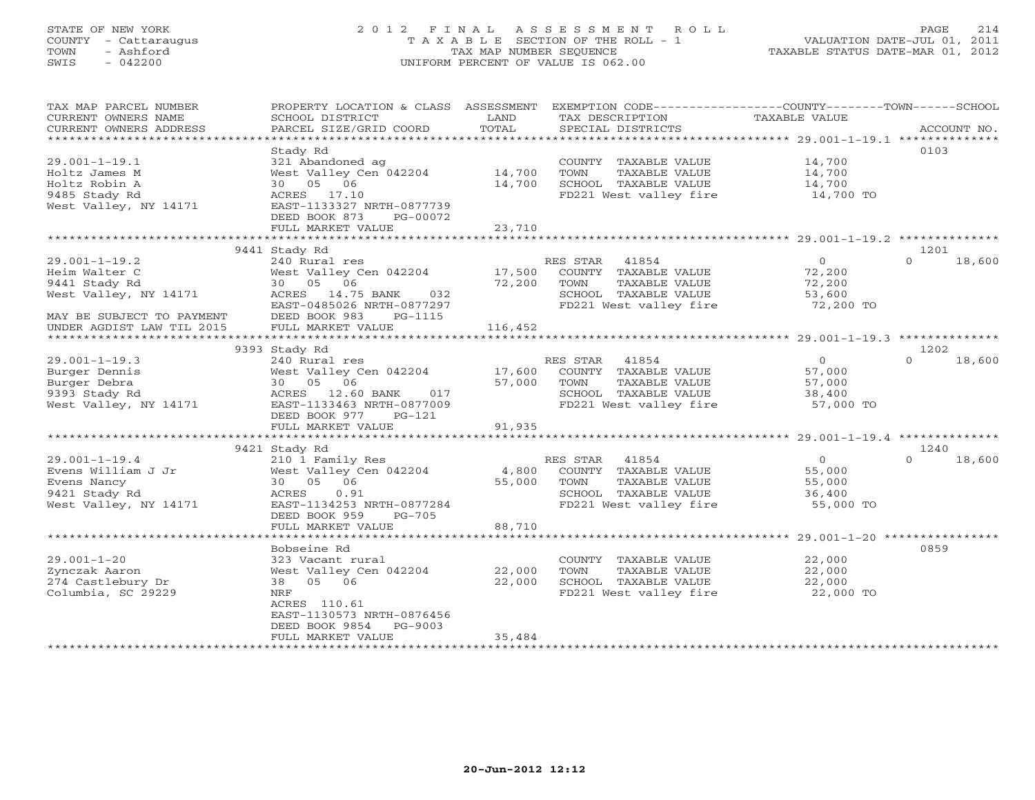## STATE OF NEW YORK 2 0 1 2 F I N A L A S S E S S M E N T R O L L PAGE 214 COUNTY - Cattaraugus T A X A B L E SECTION OF THE ROLL - 1 VALUATION DATE-JUL 01, 2011 TOWN - Ashford TAX MAP NUMBER SEQUENCE TAXABLE STATUS DATE-MAR 01, 2012 SWIS - 042200 UNIFORM PERCENT OF VALUE IS 062.00UNIFORM PERCENT OF VALUE IS 062.00

| TAX MAP PARCEL NUMBER<br>CURRENT OWNERS NAME<br>CURRENT OWNERS ADDRESS | PROPERTY LOCATION & CLASS ASSESSMENT<br>SCHOOL DISTRICT<br>PARCEL SIZE/GRID COORD | LAND<br>TOTAL | EXEMPTION CODE-----------------COUNTY-------TOWN------SCHOOL<br>TAX DESCRIPTION<br>SPECIAL DISTRICTS | TAXABLE VALUE                                      | ACCOUNT NO.        |
|------------------------------------------------------------------------|-----------------------------------------------------------------------------------|---------------|------------------------------------------------------------------------------------------------------|----------------------------------------------------|--------------------|
| **************************                                             |                                                                                   |               |                                                                                                      |                                                    |                    |
|                                                                        | Stady Rd                                                                          |               |                                                                                                      |                                                    | 0103               |
| $29.001 - 1 - 19.1$                                                    | 321 Abandoned ag                                                                  |               | COUNTY TAXABLE VALUE                                                                                 | 14,700                                             |                    |
| Holtz James M                                                          | West Valley Cen 042204                                                            | 14,700        | TOWN<br>TAXABLE VALUE                                                                                | 14,700                                             |                    |
| Holtz Robin A                                                          | 30 05 06                                                                          | 14,700        | SCHOOL TAXABLE VALUE                                                                                 | 14,700                                             |                    |
| 9485 Stady Rd                                                          | ACRES 17.10                                                                       |               | FD221 West valley fire                                                                               | 14,700 TO                                          |                    |
| West Valley, NY 14171                                                  | EAST-1133327 NRTH-0877739                                                         |               |                                                                                                      |                                                    |                    |
|                                                                        | DEED BOOK 873<br>PG-00072                                                         |               |                                                                                                      |                                                    |                    |
|                                                                        | FULL MARKET VALUE                                                                 | 23,710        |                                                                                                      |                                                    |                    |
|                                                                        |                                                                                   |               |                                                                                                      |                                                    |                    |
|                                                                        | 9441 Stady Rd                                                                     |               |                                                                                                      |                                                    | 1201               |
| $29.001 - 1 - 19.2$                                                    | 240 Rural res                                                                     |               | RES STAR<br>41854                                                                                    | $\circ$                                            | $\Omega$<br>18,600 |
| Heim Walter C                                                          | West Valley Cen 042204                                                            | 17,500        | COUNTY TAXABLE VALUE                                                                                 | 72,200                                             |                    |
| 9441 Stady Rd                                                          | 30 05 06                                                                          | 72,200        | TOWN<br>TAXABLE VALUE                                                                                | 72,200                                             |                    |
| West Valley, NY 14171                                                  | ACRES 14.75 BANK<br>032                                                           |               | SCHOOL TAXABLE VALUE                                                                                 | 53,600                                             |                    |
|                                                                        | EAST-0485026 NRTH-0877297                                                         |               | FD221 West valley fire                                                                               | 72,200 TO                                          |                    |
| MAY BE SUBJECT TO PAYMENT                                              | DEED BOOK 983<br>PG-1115                                                          |               |                                                                                                      |                                                    |                    |
| UNDER AGDIST LAW TIL 2015                                              | FULL MARKET VALUE                                                                 | 116,452       |                                                                                                      |                                                    |                    |
|                                                                        |                                                                                   |               |                                                                                                      |                                                    |                    |
|                                                                        | 9393 Stady Rd                                                                     |               |                                                                                                      |                                                    | 1202               |
| $29.001 - 1 - 19.3$                                                    | 240 Rural res                                                                     |               | RES STAR<br>41854                                                                                    | $\overline{0}$                                     | $\Omega$<br>18,600 |
| Burger Dennis                                                          | West Valley Cen 042204                                                            | 17,600        | COUNTY TAXABLE VALUE                                                                                 | 57,000                                             |                    |
| Burger Debra                                                           | 30 05 06                                                                          | 57,000        | TOWN<br>TAXABLE VALUE                                                                                | 57,000                                             |                    |
| 9393 Stady Rd                                                          | ACRES 12.60 BANK<br>017                                                           |               | SCHOOL TAXABLE VALUE                                                                                 | 38,400                                             |                    |
| West Valley, NY 14171                                                  | EAST-1133463 NRTH-0877009                                                         |               | FD221 West valley fire                                                                               | 57,000 TO                                          |                    |
|                                                                        | DEED BOOK 977<br>$PG-121$                                                         |               |                                                                                                      |                                                    |                    |
|                                                                        | FULL MARKET VALUE                                                                 | 91,935        |                                                                                                      |                                                    |                    |
|                                                                        |                                                                                   |               |                                                                                                      |                                                    |                    |
|                                                                        | 9421 Stady Rd                                                                     |               |                                                                                                      |                                                    | 1240               |
| $29.001 - 1 - 19.4$                                                    | 210 1 Family Res                                                                  |               | RES STAR<br>41854                                                                                    | $\Omega$                                           | $\Omega$<br>18,600 |
| Evens William J Jr                                                     | West Valley Cen 042204                                                            | 4,800         | COUNTY TAXABLE VALUE                                                                                 | 55,000                                             |                    |
| Evens Nancy                                                            | 30  05  06                                                                        | 55,000        | TOWN<br>TAXABLE VALUE                                                                                | 55,000                                             |                    |
| 9421 Stady Rd                                                          | <b>ACRES</b><br>0.91                                                              |               | SCHOOL TAXABLE VALUE                                                                                 | 36,400                                             |                    |
| West Valley, NY 14171                                                  | EAST-1134253 NRTH-0877284                                                         |               | FD221 West valley fire                                                                               | 55,000 TO                                          |                    |
|                                                                        | DEED BOOK 959<br>$PG-705$                                                         |               |                                                                                                      |                                                    |                    |
|                                                                        | FULL MARKET VALUE                                                                 | 88,710        |                                                                                                      |                                                    |                    |
|                                                                        | ******************                                                                | ********      |                                                                                                      | ******************** 29.001-1-20 ***************** |                    |
|                                                                        | Bobseine Rd                                                                       |               |                                                                                                      |                                                    | 0859               |
| $29.001 - 1 - 20$                                                      | 323 Vacant rural                                                                  |               | COUNTY TAXABLE VALUE                                                                                 | 22,000                                             |                    |
| Zynczak Aaron                                                          | West Valley Cen 042204                                                            | 22,000        | TOWN<br>TAXABLE VALUE                                                                                | 22,000                                             |                    |
| 274 Castlebury Dr                                                      | 38 05 06                                                                          | 22,000        | SCHOOL TAXABLE VALUE                                                                                 | 22,000                                             |                    |
| Columbia, SC 29229                                                     | NRF                                                                               |               | FD221 West valley fire                                                                               | 22,000 TO                                          |                    |
|                                                                        | ACRES 110.61                                                                      |               |                                                                                                      |                                                    |                    |
|                                                                        | EAST-1130573 NRTH-0876456                                                         |               |                                                                                                      |                                                    |                    |
|                                                                        | DEED BOOK 9854<br>PG-9003                                                         |               |                                                                                                      |                                                    |                    |
|                                                                        | FULL MARKET VALUE                                                                 | 35,484        |                                                                                                      |                                                    |                    |
|                                                                        |                                                                                   |               |                                                                                                      |                                                    |                    |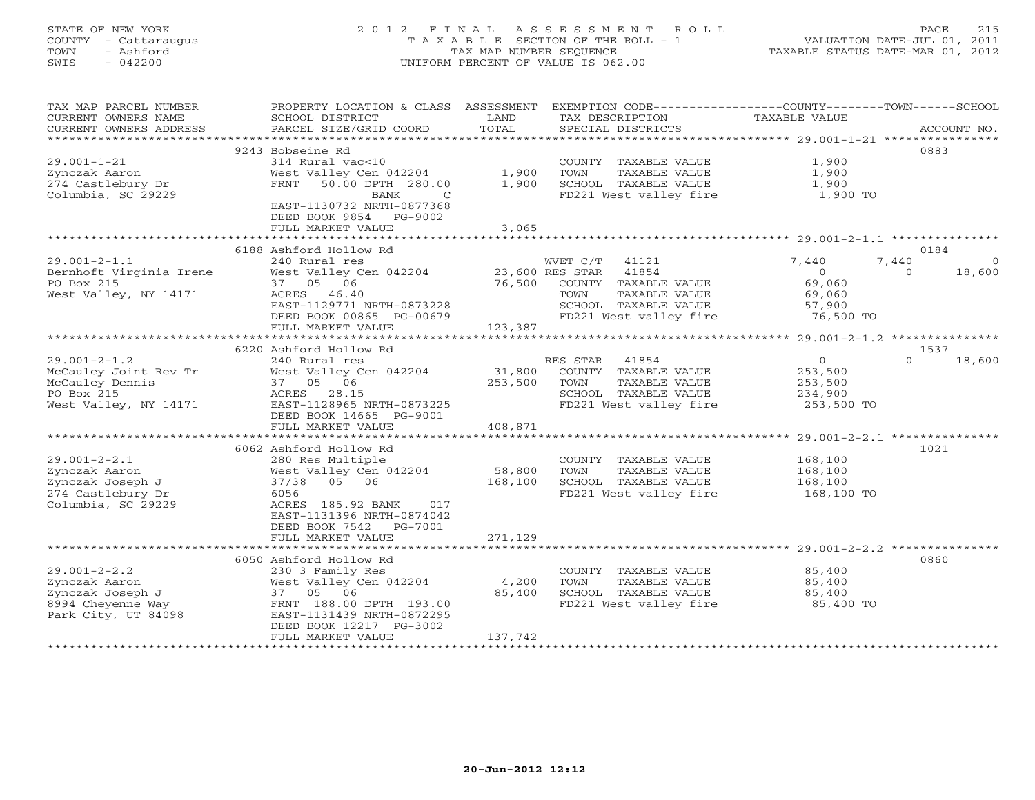# STATE OF NEW YORK 2 0 1 2 F I N A L A S S E S S M E N T R O L L PAGE 215 COUNTY - Cattaraugus T A X A B L E SECTION OF THE ROLL - 1 VALUATION DATE-JUL 01, 2011 TOWN - Ashford TAX MAP NUMBER SEQUENCE TAXABLE STATUS DATE-MAR 01, 2012 SWIS - 042200 UNIFORM PERCENT OF VALUE IS 062.00UNIFORM PERCENT OF VALUE IS 062.00

| TAX MAP PARCEL NUMBER<br>CURRENT OWNERS NAME            | PROPERTY LOCATION & CLASS ASSESSMENT<br>SCHOOL DISTRICT                                                  | LAND           | EXEMPTION CODE-----------------COUNTY-------TOWN------SCHOOL<br>TAX DESCRIPTION | <b>TAXABLE VALUE</b>    |                    |
|---------------------------------------------------------|----------------------------------------------------------------------------------------------------------|----------------|---------------------------------------------------------------------------------|-------------------------|--------------------|
| CURRENT OWNERS ADDRESS                                  | PARCEL SIZE/GRID COORD                                                                                   | TOTAL          | SPECIAL DISTRICTS                                                               |                         | ACCOUNT NO.        |
|                                                         | 9243 Bobseine Rd                                                                                         |                |                                                                                 |                         | 0883               |
| $29.001 - 1 - 21$<br>Zynczak Aaron<br>274 Castlebury Dr | 314 Rural vac<10<br>West Valley Cen 042204<br>FRNT<br>50.00 DPTH 280.00                                  | 1,900<br>1,900 | COUNTY TAXABLE VALUE<br>TOWN<br>TAXABLE VALUE<br>SCHOOL TAXABLE VALUE           | 1,900<br>1,900<br>1,900 |                    |
| Columbia, SC 29229                                      | <b>BANK</b><br>$\mathcal{C}$<br>EAST-1130732 NRTH-0877368<br>DEED BOOK 9854 PG-9002<br>FULL MARKET VALUE |                | FD221 West valley fire                                                          | 1,900 TO                |                    |
|                                                         |                                                                                                          | 3,065          |                                                                                 |                         |                    |
|                                                         | 6188 Ashford Hollow Rd                                                                                   |                |                                                                                 |                         | 0184               |
| $29.001 - 2 - 1.1$                                      | 240 Rural res                                                                                            |                | WVET C/T<br>41121                                                               | 7,440                   | 7,440<br>$\circ$   |
| Bernhoft Virginia Irene                                 | West Valley Cen 042204                                                                                   |                | 23,600 RES STAR 41854                                                           | $\Omega$                | $\Omega$<br>18,600 |
| PO Box 215                                              | 37 05 06                                                                                                 | 76,500         | COUNTY TAXABLE VALUE                                                            | 69,060                  |                    |
| West Valley, NY 14171                                   | ACRES 46.40                                                                                              |                | TOWN<br>TAXABLE VALUE                                                           | 69,060                  |                    |
|                                                         | EAST-1129771 NRTH-0873228                                                                                |                | SCHOOL TAXABLE VALUE                                                            | 57,900                  |                    |
|                                                         | DEED BOOK 00865 PG-00679                                                                                 |                | FD221 West valley fire                                                          | 76,500 TO               |                    |
|                                                         | FULL MARKET VALUE                                                                                        | 123,387        |                                                                                 |                         |                    |
|                                                         | 6220 Ashford Hollow Rd                                                                                   |                |                                                                                 |                         | 1537               |
| $29.001 - 2 - 1.2$                                      | 240 Rural res                                                                                            |                | RES STAR 41854                                                                  | $\overline{0}$          | 18,600<br>$\Omega$ |
| McCauley Joint Rev Tr                                   | West Valley Cen 042204                                                                                   | 31,800         | COUNTY TAXABLE VALUE                                                            | 253,500                 |                    |
| McCauley Dennis                                         | 37 05 06                                                                                                 | 253,500        | TOWN<br>TAXABLE VALUE                                                           | 253,500                 |                    |
| PO Box 215                                              | ACRES 28.15                                                                                              |                | SCHOOL TAXABLE VALUE                                                            | 234,900                 |                    |
| West Valley, NY 14171                                   | EAST-1128965 NRTH-0873225<br>DEED BOOK 14665 PG-9001                                                     |                | FD221 West valley fire                                                          | 253,500 TO              |                    |
|                                                         | FULL MARKET VALUE                                                                                        | 408,871        |                                                                                 |                         |                    |
|                                                         |                                                                                                          |                |                                                                                 |                         | 1021               |
| $29.001 - 2 - 2.1$                                      | 6062 Ashford Hollow Rd<br>280 Res Multiple                                                               |                | COUNTY TAXABLE VALUE                                                            | 168,100                 |                    |
| Zynczak Aaron                                           | West Valley Cen 042204                                                                                   | 58,800         | TOWN<br>TAXABLE VALUE                                                           | 168,100                 |                    |
| Zynczak Joseph J                                        | 37/38 05 06                                                                                              | 168,100        | SCHOOL TAXABLE VALUE                                                            | 168,100                 |                    |
| 274 Castlebury Dr                                       | 6056                                                                                                     |                | FD221 West valley fire                                                          | 168,100 TO              |                    |
| Columbia, SC 29229                                      | ACRES 185.92 BANK<br>017<br>EAST-1131396 NRTH-0874042                                                    |                |                                                                                 |                         |                    |
|                                                         | DEED BOOK 7542<br>PG-7001<br>FULL MARKET VALUE                                                           | 271,129        |                                                                                 |                         |                    |
|                                                         |                                                                                                          |                |                                                                                 |                         |                    |
|                                                         | 6050 Ashford Hollow Rd                                                                                   |                |                                                                                 |                         | 0860               |
| $29.001 - 2 - 2.2$                                      | 230 3 Family Res                                                                                         |                | COUNTY TAXABLE VALUE                                                            | 85,400                  |                    |
| Zynczak Aaron                                           | West Valley Cen 042204                                                                                   | 4,200          | TAXABLE VALUE<br>TOWN                                                           | 85,400                  |                    |
| Zynczak Joseph J                                        | 37 05 06                                                                                                 | 85,400         | SCHOOL TAXABLE VALUE                                                            | 85,400                  |                    |
| 8994 Cheyenne Way                                       | FRNT 188.00 DPTH 193.00                                                                                  |                | FD221 West valley fire                                                          | 85,400 TO               |                    |
| Park City, UT 84098                                     | EAST-1131439 NRTH-0872295                                                                                |                |                                                                                 |                         |                    |
|                                                         | DEED BOOK 12217 PG-3002                                                                                  |                |                                                                                 |                         |                    |
|                                                         | FULL MARKET VALUE                                                                                        | 137,742        |                                                                                 |                         |                    |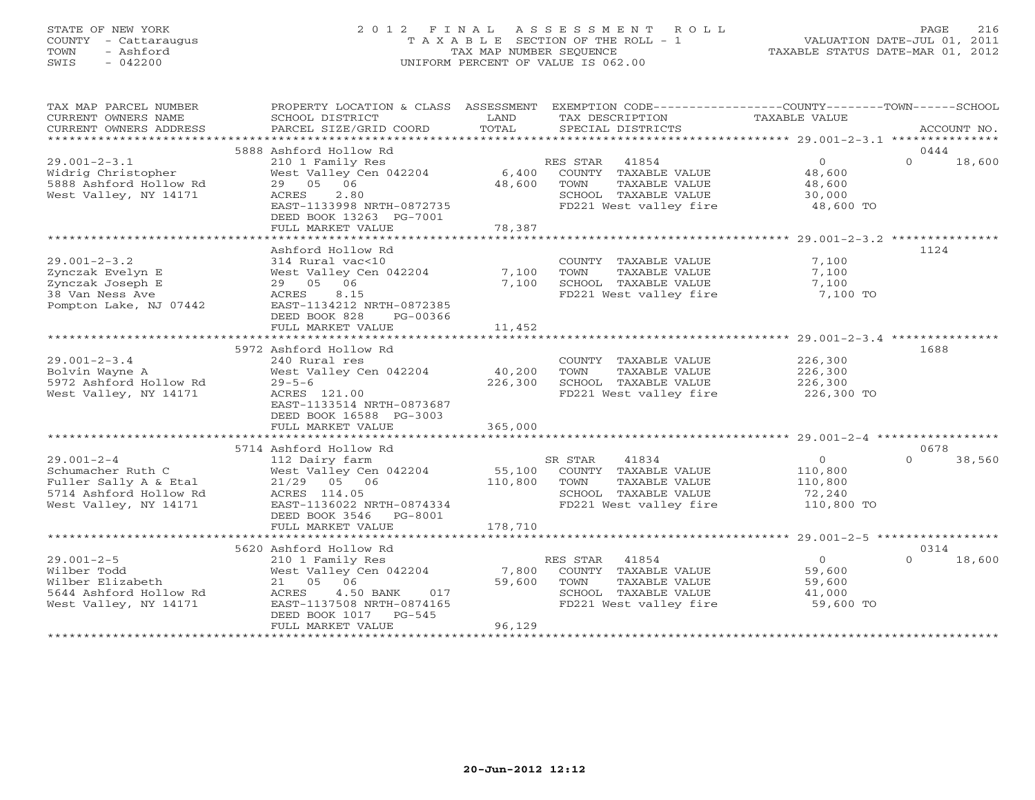## STATE OF NEW YORK 2 0 1 2 F I N A L A S S E S S M E N T R O L L PAGE 216 COUNTY - Cattaraugus T A X A B L E SECTION OF THE ROLL - 1 VALUATION DATE-JUL 01, 2011 TOWN - Ashford TAX MAP NUMBER SEQUENCE TAXABLE STATUS DATE-MAR 01, 2012 SWIS - 042200 UNIFORM PERCENT OF VALUE IS 062.00UNIFORM PERCENT OF VALUE IS 062.00

| TAX MAP PARCEL NUMBER  | PROPERTY LOCATION & CLASS ASSESSMENT EXEMPTION CODE---------------COUNTY-------TOWN------SCHOOL |         |                                  |                |                    |
|------------------------|-------------------------------------------------------------------------------------------------|---------|----------------------------------|----------------|--------------------|
| CURRENT OWNERS NAME    | SCHOOL DISTRICT                                                                                 | LAND    | TAX DESCRIPTION                  | TAXABLE VALUE  |                    |
| CURRENT OWNERS ADDRESS | PARCEL SIZE/GRID COORD                                                                          | TOTAL   | SPECIAL DISTRICTS                |                | ACCOUNT NO.        |
|                        |                                                                                                 |         |                                  |                |                    |
|                        | 5888 Ashford Hollow Rd                                                                          |         |                                  |                | 0444               |
| $29.001 - 2 - 3.1$     | 210 1 Family Res                                                                                |         | RES STAR 41854                   | $\overline{O}$ | $\Omega$<br>18,600 |
| Widrig Christopher     | West Valley Cen 042204                                                                          | 6,400   | COUNTY TAXABLE VALUE             | 48,600         |                    |
| 5888 Ashford Hollow Rd | 29 05 06                                                                                        | 48,600  | TOWN<br>TAXABLE VALUE            | 48,600         |                    |
| West Valley, NY 14171  | ACRES<br>2.80                                                                                   |         | SCHOOL TAXABLE VALUE             | 30,000         |                    |
|                        | EAST-1133998 NRTH-0872735                                                                       |         | FD221 West valley fire 48,600 TO |                |                    |
|                        | DEED BOOK 13263 PG-7001                                                                         |         |                                  |                |                    |
|                        | FULL MARKET VALUE                                                                               | 78,387  |                                  |                |                    |
|                        |                                                                                                 |         |                                  |                |                    |
|                        | Ashford Hollow Rd                                                                               |         |                                  |                | 1124               |
| $29.001 - 2 - 3.2$     | 314 Rural vac<10                                                                                |         | COUNTY TAXABLE VALUE             | 7,100          |                    |
| Zynczak Evelyn E       | West Valley Cen 042204                                                                          | 7,100   | TOWN<br>TAXABLE VALUE            | 7,100          |                    |
| Zynczak Joseph E       | 29 05 06                                                                                        | 7,100   | SCHOOL TAXABLE VALUE             | 7,100          |                    |
| 38 Van Ness Ave        | ACRES 8.15                                                                                      |         | FD221 West valley fire           | 7,100 TO       |                    |
| Pompton Lake, NJ 07442 | EAST-1134212 NRTH-0872385                                                                       |         |                                  |                |                    |
|                        | DEED BOOK 828<br>PG-00366                                                                       |         |                                  |                |                    |
|                        | FULL MARKET VALUE                                                                               | 11,452  |                                  |                |                    |
|                        |                                                                                                 |         |                                  |                |                    |
|                        | 5972 Ashford Hollow Rd                                                                          |         |                                  |                | 1688               |
| $29.001 - 2 - 3.4$     | 240 Rural res                                                                                   |         | COUNTY TAXABLE VALUE             | 226,300        |                    |
| Bolvin Wayne A         | West Valley Cen 042204                                                                          | 40,200  | TOWN<br>TAXABLE VALUE            | 226,300        |                    |
| 5972 Ashford Hollow Rd | $29 - 5 - 6$                                                                                    | 226,300 | SCHOOL TAXABLE VALUE             | 226,300        |                    |
| West Valley, NY 14171  | ACRES 121.00                                                                                    |         | FD221 West valley fire           | 226,300 TO     |                    |
|                        | EAST-1133514 NRTH-0873687                                                                       |         |                                  |                |                    |
|                        | DEED BOOK 16588 PG-3003                                                                         |         |                                  |                |                    |
|                        | FULL MARKET VALUE                                                                               | 365,000 |                                  |                |                    |
|                        |                                                                                                 |         |                                  |                |                    |
|                        | 5714 Ashford Hollow Rd                                                                          |         |                                  |                | 0678               |
| $29.001 - 2 - 4$       | 112 Dairy farm                                                                                  |         | SR STAR<br>41834                 | $\overline{O}$ | $\Omega$<br>38,560 |
| Schumacher Ruth C      | West Valley Cen 042204                                                                          | 55,100  | COUNTY TAXABLE VALUE             | 110,800        |                    |
| Fuller Sally A & Etal  | 21/29 05 06                                                                                     | 110,800 | TOWN<br>TAXABLE VALUE            | 110,800        |                    |
| 5714 Ashford Hollow Rd | ACRES 114.05                                                                                    |         | SCHOOL TAXABLE VALUE             | 72,240         |                    |
| West Valley, NY 14171  | EAST-1136022 NRTH-0874334                                                                       |         | FD221 West valley fire           | 110,800 TO     |                    |
|                        | DEED BOOK 3546 PG-8001                                                                          |         |                                  |                |                    |
|                        | FULL MARKET VALUE                                                                               | 178,710 |                                  |                |                    |
|                        |                                                                                                 |         |                                  |                |                    |
|                        | 5620 Ashford Hollow Rd                                                                          |         |                                  |                | 0314               |
| $29.001 - 2 - 5$       | 210 1 Family Res                                                                                |         | RES STAR 41854                   | $\overline{0}$ | 18,600<br>$\Omega$ |
| Wilber Todd            | West Valley Cen 042204                                                                          | 7,800   | COUNTY TAXABLE VALUE             | 59,600         |                    |
| Wilber Elizabeth       | 21 05 06                                                                                        | 59,600  | TAXABLE VALUE<br>TOWN            | 59,600         |                    |
| 5644 Ashford Hollow Rd | ACRES<br>4.50 BANK<br>017                                                                       |         | SCHOOL TAXABLE VALUE             | 41,000         |                    |
| West Valley, NY 14171  | EAST-1137508 NRTH-0874165                                                                       |         | FD221 West valley fire           | 59,600 TO      |                    |
|                        | DEED BOOK 1017 PG-545                                                                           |         |                                  |                |                    |
|                        | FULL MARKET VALUE                                                                               | 96,129  |                                  |                |                    |
|                        |                                                                                                 |         |                                  |                |                    |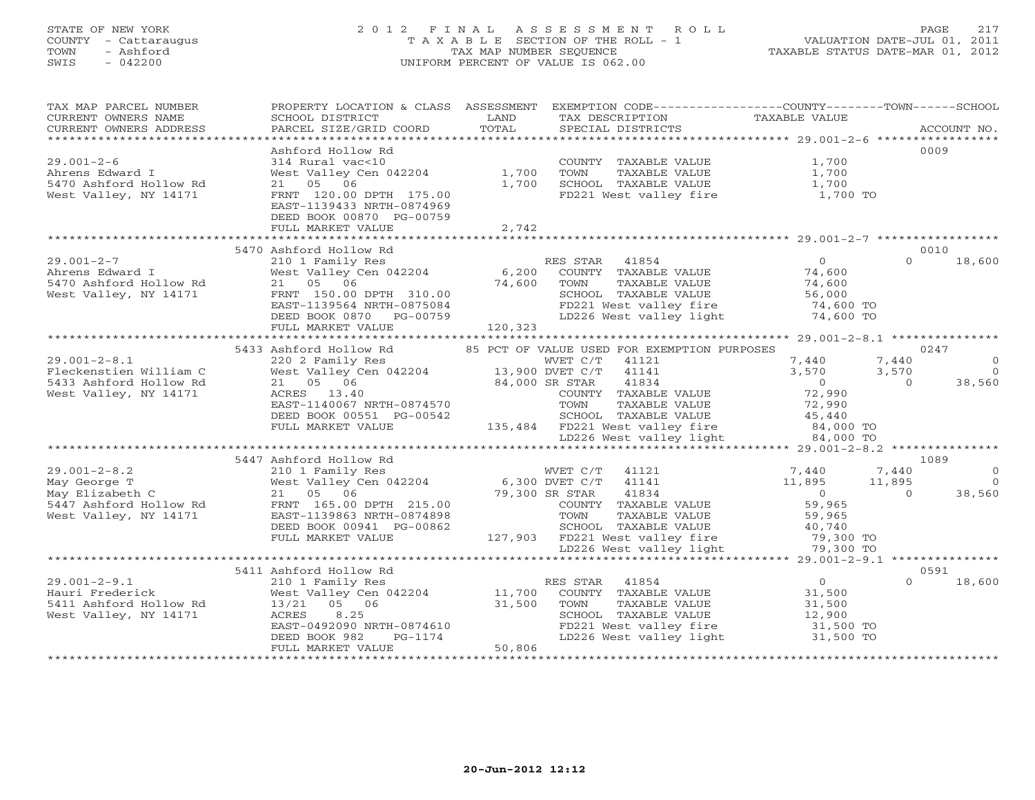# STATE OF NEW YORK 2 0 1 2 F I N A L A S S E S S M E N T R O L L PAGE 217 COUNTY - Cattaraugus T A X A B L E SECTION OF THE ROLL - 1 VALUATION DATE-JUL 01, 2011 TOWN - Ashford TAX MAP NUMBER SEQUENCE TAXABLE STATUS DATE-MAR 01, 2012 SWIS - 042200 UNIFORM PERCENT OF VALUE IS 062.00UNIFORM PERCENT OF VALUE IS 062.00

| TAX MAP PARCEL NUMBER<br>CURRENT OWNERS NAME<br>CURRENT OWNERS ADDRESS                   | PROPERTY LOCATION & CLASS ASSESSMENT EXEMPTION CODE---------------COUNTY-------TOWN------SCHOOL<br>SCHOOL DISTRICT<br>PARCEL SIZE/GRID COORD                                                                               | LAND<br>TOTAL     | TAX DESCRIPTION<br>SPECIAL DISTRICTS                                                                                                                                                                                               | TAXABLE VALUE                                                          | ACCOUNT NO.                                                           |
|------------------------------------------------------------------------------------------|----------------------------------------------------------------------------------------------------------------------------------------------------------------------------------------------------------------------------|-------------------|------------------------------------------------------------------------------------------------------------------------------------------------------------------------------------------------------------------------------------|------------------------------------------------------------------------|-----------------------------------------------------------------------|
|                                                                                          |                                                                                                                                                                                                                            |                   |                                                                                                                                                                                                                                    |                                                                        |                                                                       |
| $29.001 - 2 - 6$<br>Ahrens Edward I<br>5470 Ashford Hollow Rd<br>West Valley, NY 14171   | Ashford Hollow Rd<br>314 Rural vac<10<br>West Valley Cen 042204<br>21 05 06<br>FRNT 120.00 DPTH 175.00                                                                                                                     | 1,700<br>1,700    | COUNTY TAXABLE VALUE 1,700<br>TOWN<br>TAXABLE VALUE<br>SCHOOL TAXABLE VALUE<br>FD221 West valley fire 1,700 TO                                                                                                                     | 1,700<br>1,700                                                         | 0009                                                                  |
|                                                                                          | EAST-1139433 NRTH-0874969<br>DEED BOOK 00870 PG-00759<br>FULL MARKET VALUE                                                                                                                                                 | 2,742             |                                                                                                                                                                                                                                    |                                                                        |                                                                       |
|                                                                                          |                                                                                                                                                                                                                            |                   |                                                                                                                                                                                                                                    |                                                                        |                                                                       |
| $29.001 - 2 - 7$<br>Ahrens Edward I<br>5470 Ashford Hollow Rd<br>West Valley, NY 14171   | 5470 Ashford Hollow Rd<br>210 1 Family Res<br>210 1 Family Res<br>West Valley Cen 042204 6,200<br>21 05 06<br>FRNT 150.00 DPTH 310.00<br>EAST-1139564 NRTH-0875084<br>DEED BOOK 0870 PG-00759<br>FULL MARKET VALUE         | 74,600<br>120,323 | RES STAR 41854<br>COUNTY TAXABLE VALUE<br>TOWN<br>TAXABLE VALUE<br>SCHOOL TAXABLE VALUE<br>FD221 West valley fire 74,600 TO<br>LD226 West valley light 74,600 TO                                                                   | $\overline{0}$<br>74,600<br>74,600<br>56,000<br>74,600 TO              | 0010<br>$\Omega$<br>18,600                                            |
|                                                                                          |                                                                                                                                                                                                                            |                   |                                                                                                                                                                                                                                    |                                                                        |                                                                       |
| $29.001 - 2 - 8.1$<br>Fleckenstien William C                                             | 5433 Ashford Hollow Rd<br>220 2 Family Res<br>West Valley Cen 042204 13,900 DVET C/T                                                                                                                                       |                   | 85 PCT OF VALUE USED FOR EXEMPTION PURPOSES<br>WVET C/T<br>41121<br>41141                                                                                                                                                          | 7,440<br>3,570                                                         | 0247<br>7,440<br>$\circ$<br>3,570<br>$\bigcirc$                       |
| 5433 Ashford Hollow Rd<br>West Valley, NY 14171                                          | 21 05 06<br>ACRES 13.40<br>EAST-1140067 NRTH-0874570<br>DEED BOOK 00551 PG-00542<br>FULL MARKET VALUE                                                                                                                      | 84,000 SR STAR    | 41834<br>COUNTY TAXABLE VALUE<br>TOWN<br>TAXABLE VALUE<br>LD226 West valley light                                                                                                                                                  | $\overline{0}$<br>72,990<br>72,990<br>45,440<br>84,000 TO<br>84,000 TO | 38,560<br>$\Omega$                                                    |
|                                                                                          |                                                                                                                                                                                                                            |                   |                                                                                                                                                                                                                                    |                                                                        |                                                                       |
|                                                                                          | 5447 Ashford Hollow Rd                                                                                                                                                                                                     |                   |                                                                                                                                                                                                                                    |                                                                        | 1089                                                                  |
| $29.001 - 2 - 8.2$<br>May George T<br>May Elizabeth C<br>West Valley, NY 14171           | 210 1 Family Res<br>West Valley Cen 042204 6,300 DVET C/T<br>79 300 SR STAR<br>21 05 06<br>5447 Ashford Hollow Rd<br>FRNT 165.00 DPTH 215.00<br>EAST-1139863 NRTH-0874898<br>DEED BOOK 00941 PG-00862<br>FULL MARKET VALUE |                   | 41121<br>41141<br>79,300 SR STAR<br>41834<br>COUNTY TAXABLE VALUE<br>TOWN<br>TAXABLE VALUE<br>SCHOOL TAXABLE VALUE<br>SCHOOL TAXABLE VALUE 40,740<br>127,903 FD221 West valley fire 79,300 TO<br>LD226 West valley light 79,300 TO | 7,440<br>11,895<br>$\sim$ 0<br>59,965<br>59,965<br>40,740              | 7,440<br>$\overline{0}$<br>$\bigcirc$<br>11,895<br>38,560<br>$\Omega$ |
|                                                                                          |                                                                                                                                                                                                                            |                   |                                                                                                                                                                                                                                    |                                                                        |                                                                       |
|                                                                                          | 5411 Ashford Hollow Rd                                                                                                                                                                                                     |                   |                                                                                                                                                                                                                                    |                                                                        | 0591                                                                  |
| $29.001 - 2 - 9.1$<br>Hauri Frederick<br>5411 Ashford Hollow Rd<br>West Valley, NY 14171 | 210 1 Family Res<br>West Valley Cen 042204 11,700<br>13/21 05 06<br>ACRES<br>8.25<br>EAST-0492090 NRTH-0874610<br>DEED BOOK 982<br>PG-1174<br>FULL MARKET VALUE                                                            | 31,500<br>50,806  | RES STAR<br>41854<br>COUNTY TAXABLE VALUE<br>TOWN<br>TAXABLE VALUE<br>SCHOOL TAXABLE VALUE<br>FD221 West valley fire<br>LD226 West valley light                                                                                    | $\overline{0}$<br>31,500<br>31,500<br>12,900<br>31,500 TO<br>31,500 TO | $\Omega$<br>18,600                                                    |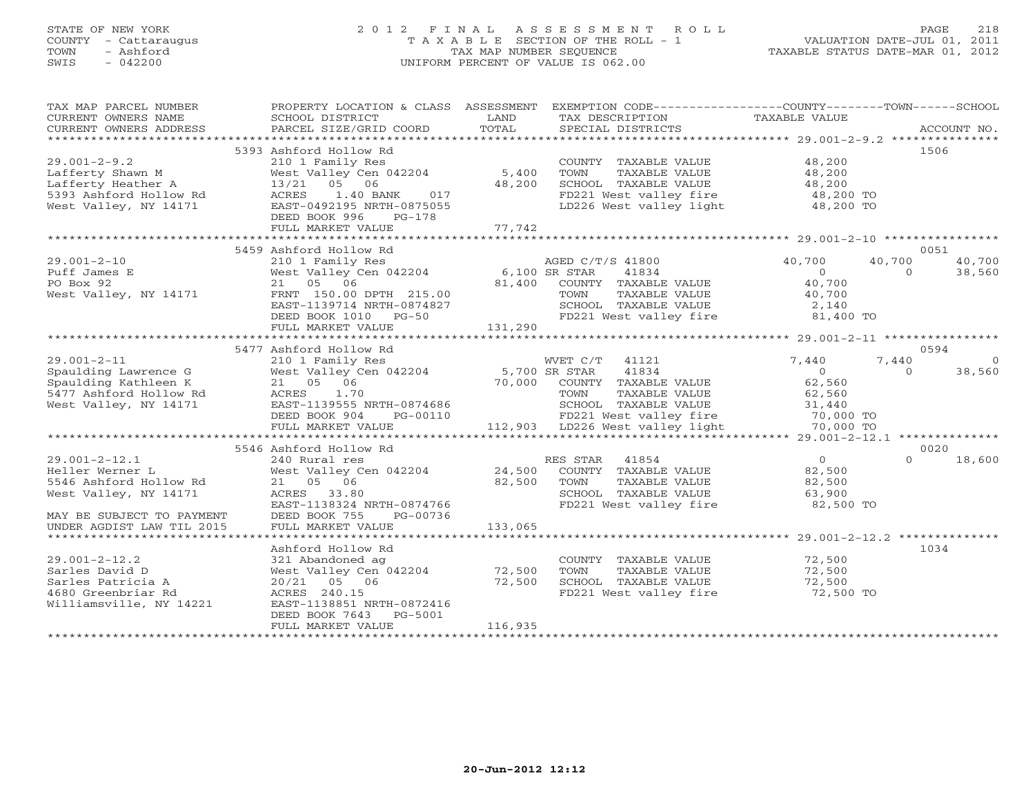# STATE OF NEW YORK 2 0 1 2 F I N A L A S S E S S M E N T R O L L PAGE 218 COUNTY - Cattaraugus T A X A B L E SECTION OF THE ROLL - 1 VALUATION DATE-JUL 01, 2011 TOWN - Ashford TAX MAP NUMBER SEQUENCE TAXABLE STATUS DATE-MAR 01, 2012 SWIS - 042200 UNIFORM PERCENT OF VALUE IS 062.00UNIFORM PERCENT OF VALUE IS 062.00

| TAX MAP PARCEL NUMBER<br>CURRENT OWNERS NAME<br>CURRENT OWNERS ADDRESS | SCHOOL DISTRICT<br>PARCEL SIZE/GRID COORD                            | LAND<br>TOTAL | PROPERTY LOCATION & CLASS ASSESSMENT EXEMPTION CODE----------------COUNTY-------TOWN------SCHOOL<br>TAX DESCRIPTION<br>SPECIAL DISTRICTS | TAXABLE VALUE  |          | ACCOUNT NO. |
|------------------------------------------------------------------------|----------------------------------------------------------------------|---------------|------------------------------------------------------------------------------------------------------------------------------------------|----------------|----------|-------------|
|                                                                        |                                                                      |               |                                                                                                                                          |                |          |             |
|                                                                        | 5393 Ashford Hollow Rd                                               |               |                                                                                                                                          |                |          | 1506        |
| $29.001 - 2 - 9.2$                                                     | 210 1 Family Res                                                     |               | COUNTY TAXABLE VALUE 48,200                                                                                                              |                |          |             |
| Lafferty Shawn M                                                       | West Valley Cen 042204                                               | 5,400         | TOWN<br>TAXABLE VALUE                                                                                                                    | 48,200         |          |             |
| Lafferty Heather A                                                     | 13/21 05 06                                                          | 48,200        | SCHOOL TAXABLE VALUE                                                                                                                     | 48,200         |          |             |
| 5393 Ashford Hollow Rd                                                 | ACRES<br>1.40 BANK<br>017                                            |               | FD221 West valley fire                                                                                                                   | 48,200 TO      |          |             |
| West Valley, NY 14171                                                  | EAST-0492195 NRTH-0875055                                            |               | LD226 West valley light                                                                                                                  | 48,200 TO      |          |             |
|                                                                        | DEED BOOK 996<br>$PG-178$                                            |               |                                                                                                                                          |                |          |             |
|                                                                        | FULL MARKET VALUE                                                    | 77,742        |                                                                                                                                          |                |          |             |
|                                                                        |                                                                      |               |                                                                                                                                          |                |          |             |
|                                                                        | 5459 Ashford Hollow Rd                                               |               |                                                                                                                                          |                |          | 0051        |
| $29.001 - 2 - 10$                                                      | AGED C/1<br>210 1 Family Res<br>West Valley Cen 042204 6,100 SR STAR |               | AGED C/T/S 41800                                                                                                                         | 40,700         | 40,700   | 40,700      |
| Puff James E                                                           |                                                                      |               | 41834                                                                                                                                    | $\Omega$       | $\Omega$ | 38,560      |
| PO Box 92                                                              | 21  05  06                                                           |               | 81,400 COUNTY TAXABLE VALUE                                                                                                              | 40,700         |          |             |
| West Valley, NY 14171                                                  | FRNT 150.00 DPTH 215.00                                              |               | TAXABLE VALUE<br>TOWN                                                                                                                    | 40,700         |          |             |
|                                                                        | EAST-1139714 NRTH-0874827                                            |               | SCHOOL TAXABLE VALUE                                                                                                                     | 2,140          |          |             |
|                                                                        | DEED BOOK 1010 PG-50                                                 |               | FD221 West valley fire 81,400 TO                                                                                                         |                |          |             |
|                                                                        | FULL MARKET VALUE                                                    | 131,290       |                                                                                                                                          |                |          |             |
|                                                                        |                                                                      |               |                                                                                                                                          |                |          |             |
|                                                                        | 5477 Ashford Hollow Rd                                               |               |                                                                                                                                          |                |          | 0594        |
| $29.001 - 2 - 11$                                                      | 210 1 Family Res WVET C/T<br>West Valley Cen 042204 5,700 SR STAR    |               | WVET C/T 41121                                                                                                                           | 7,440          | 7,440    | $\Omega$    |
| Spaulding Lawrence G                                                   |                                                                      |               | 41834                                                                                                                                    | $\Omega$       | $\Omega$ | 38,560      |
| Spaulding Kathleen K                                                   | 21 05 06                                                             |               | 70,000 COUNTY TAXABLE VALUE                                                                                                              | 62,560         |          |             |
| 5477 Ashford Hollow Rd                                                 | ACRES<br>1.70                                                        |               | TOWN<br>TAXABLE VALUE                                                                                                                    | 62,560         |          |             |
| West Valley, NY 14171                                                  | EAST-1139555 NRTH-0874686                                            |               | SCHOOL TAXABLE VALUE                                                                                                                     | 31,440         |          |             |
|                                                                        | DEED BOOK 904<br>PG-00110                                            |               | FD221 West valley fire 30,000 TO<br>112,903 LD226 West valley light 30,000 TO                                                            |                |          |             |
|                                                                        | FULL MARKET VALUE                                                    |               |                                                                                                                                          |                |          |             |
|                                                                        |                                                                      |               |                                                                                                                                          |                |          |             |
|                                                                        | 5546 Ashford Hollow Rd                                               |               |                                                                                                                                          |                |          | 0020        |
| $29.001 - 2 - 12.1$                                                    | 240 Rural res                                                        |               | RES STAR<br>41854                                                                                                                        | $\overline{0}$ | $\Omega$ | 18,600      |
| Heller Werner L                                                        | West Valley Cen 042204                                               |               | 24,500 COUNTY TAXABLE VALUE                                                                                                              | 82,500         |          |             |
| 5546 Ashford Hollow Rd                                                 | 21 05 06                                                             | 82,500        | TOWN<br>TAXABLE VALUE                                                                                                                    | 82,500         |          |             |
| West Valley, NY 14171                                                  | ACRES 33.80                                                          |               | SCHOOL TAXABLE VALUE                                                                                                                     | 63,900         |          |             |
|                                                                        | EAST-1138324 NRTH-0874766                                            |               | FD221 West valley fire 82,500 TO                                                                                                         |                |          |             |
| MAY BE SUBJECT TO PAYMENT                                              | DEED BOOK 755<br>PG-00736                                            |               |                                                                                                                                          |                |          |             |
| UNDER AGDIST LAW TIL 2015                                              | FULL MARKET VALUE                                                    | 133,065       |                                                                                                                                          |                |          |             |
|                                                                        |                                                                      |               |                                                                                                                                          |                |          |             |
|                                                                        | Ashford Hollow Rd                                                    |               |                                                                                                                                          |                |          | 1034        |
| $29.001 - 2 - 12.2$                                                    | 321 Abandoned ag                                                     |               | COUNTY TAXABLE VALUE                                                                                                                     | 72,500         |          |             |
| Sarles David D                                                         | West Valley Cen 042204 72,500                                        |               | TOWN<br>TAXABLE VALUE                                                                                                                    | 72,500         |          |             |
| Sarles Patricia A                                                      | 20/21 05 06                                                          | 72,500        | SCHOOL TAXABLE VALUE                                                                                                                     | 72,500         |          |             |
| 4680 Greenbriar Rd                                                     | ACRES 240.15                                                         |               | FD221 West valley fire                                                                                                                   | 72,500 TO      |          |             |
| Williamsville, NY 14221                                                | EAST-1138851 NRTH-0872416                                            |               |                                                                                                                                          |                |          |             |
|                                                                        | DEED BOOK 7643<br>PG-5001                                            |               |                                                                                                                                          |                |          |             |
|                                                                        | FULL MARKET VALUE                                                    | 116,935       |                                                                                                                                          |                |          |             |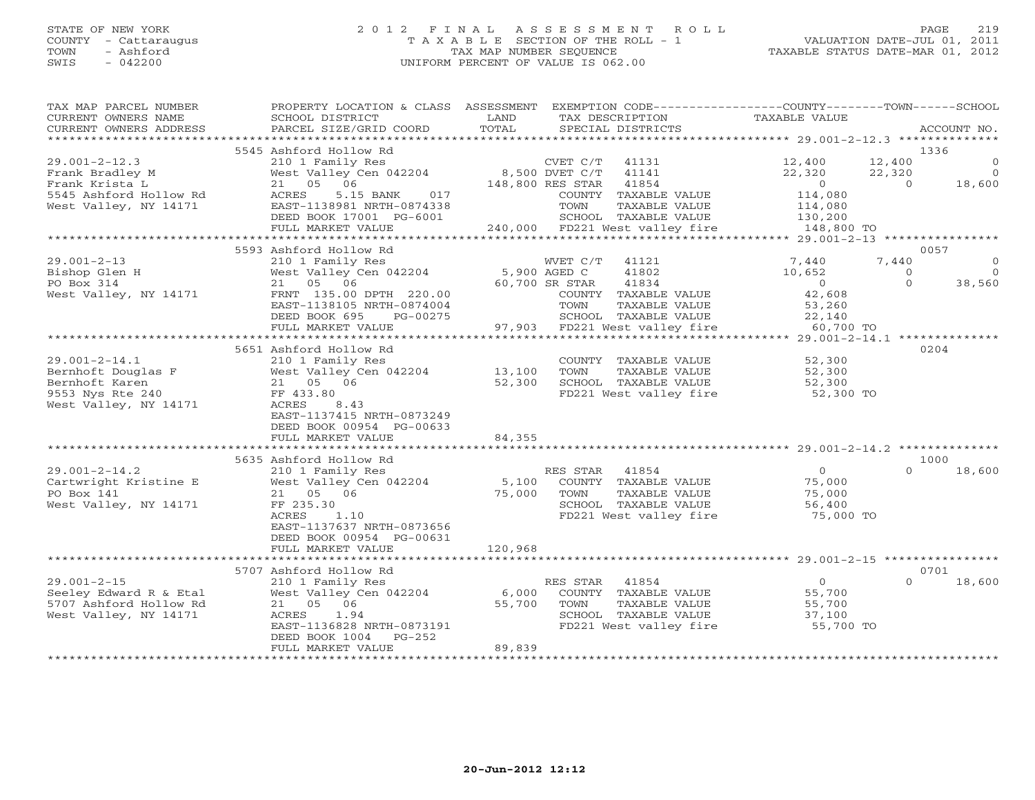## STATE OF NEW YORK 2 0 1 2 F I N A L A S S E S S M E N T R O L L PAGE 219 COUNTY - Cattaraugus T A X A B L E SECTION OF THE ROLL - 1 VALUATION DATE-JUL 01, 2011 TOWN - Ashford TAX MAP NUMBER SEQUENCE TAXABLE STATUS DATE-MAR 01, 2012 SWIS - 042200 UNIFORM PERCENT OF VALUE IS 062.00UNIFORM PERCENT OF VALUE IS 062.00

| ************************<br>5545 Ashford Hollow Rd<br>1336<br>12,400<br>$29.001 - 2 - 12.3$<br>210 1 Family Res<br>CVET C/T<br>41131<br>12,400<br>$\mathbf{0}$<br>8,500 DVET C/T<br>$\Omega$<br>Frank Bradley M<br>West Valley Cen 042204<br>41141<br>22,320<br>22,320<br>06<br>Frank Krista L<br>21 05<br>148,800 RES STAR<br>41854<br>$\overline{0}$<br>$\cap$<br>18,600<br>5545 Ashford Hollow Rd<br>ACRES<br>5.15 BANK<br>017<br>COUNTY TAXABLE VALUE<br>114,080<br>EAST-1138981 NRTH-0874338<br>West Valley, NY 14171<br>TOWN<br>TAXABLE VALUE<br>114,080<br>DEED BOOK 17001 PG-6001<br>SCHOOL TAXABLE VALUE<br>130,200<br>240,000 FD221 West valley fire<br>FULL MARKET VALUE<br>148,800 TO<br>***********************<br>5593 Ashford Hollow Rd<br>0057<br>$29.001 - 2 - 13$<br>210 1 Family Res<br>WVET C/T<br>41121<br>7,440<br>7,440<br>$\mathbf{0}$<br>5,900 AGED C<br>41802<br>$\Omega$<br>Bishop Glen H<br>West Valley Cen 042204<br>10,652<br>$\circ$<br>PO Box 314<br>$\Omega$<br>$\Omega$<br>21 05 06<br>60,700 SR STAR<br>41834<br>38,560<br>42,608<br>West Valley, NY 14171<br>FRNT 135.00 DPTH 220.00<br>COUNTY TAXABLE VALUE<br>EAST-1138105 NRTH-0874004<br>TOWN<br>TAXABLE VALUE<br>53,260<br>DEED BOOK 695<br>PG-00275<br>SCHOOL TAXABLE VALUE<br>22,140<br>97,903<br>FULL MARKET VALUE<br>FD221 West valley fire<br>60,700 TO<br>************************<br>0204<br>5651 Ashford Hollow Rd<br>$29.001 - 2 - 14.1$<br>210 1 Family Res<br>52,300<br>COUNTY TAXABLE VALUE<br>Bernhoft Douglas F<br>West Valley Cen 042204<br>13,100<br>TOWN<br>TAXABLE VALUE<br>52,300<br>52,300<br>SCHOOL TAXABLE VALUE<br>Bernhoft Karen<br>21 05 06<br>52,300<br>9553 Nys Rte 240<br>FF 433.80<br>FD221 West valley fire<br>52,300 TO<br>West Valley, NY 14171<br>ACRES<br>8.43<br>EAST-1137415 NRTH-0873249<br>DEED BOOK 00954 PG-00633<br>84,355<br>FULL MARKET VALUE<br>5635 Ashford Hollow Rd<br>1000<br>$29.001 - 2 - 14.2$<br>41854<br>$\Omega$<br>$\Omega$<br>18,600<br>210 1 Family Res<br>RES STAR<br>Cartwright Kristine E<br>West Valley Cen 042204<br>5,100<br>COUNTY TAXABLE VALUE<br>75,000<br>PO Box 141<br>21 05 06<br>75,000<br>TOWN<br>TAXABLE VALUE<br>75,000<br>West Valley, NY 14171<br>FF 235.30<br>SCHOOL TAXABLE VALUE<br>56,400<br>75,000 TO<br>1.10<br>FD221 West valley fire<br>ACRES<br>EAST-1137637 NRTH-0873656<br>DEED BOOK 00954 PG-00631<br>FULL MARKET VALUE<br>120,968<br>************************ 29.001-2-15 *****************<br>.<br>*********<br>5707 Ashford Hollow Rd<br>0701<br>$29.001 - 2 - 15$<br>210 1 Family Res<br>RES STAR<br>41854<br>$\overline{O}$<br>$\Omega$<br>18,600<br>West Valley Cen 042204<br>6,000<br>55,700<br>Seeley Edward R & Etal<br>COUNTY TAXABLE VALUE<br>5707 Ashford Hollow Rd<br>21  05  06<br>55,700<br>TAXABLE VALUE<br>TOWN<br>55,700<br>West Valley, NY 14171<br>ACRES<br>1.94<br>SCHOOL TAXABLE VALUE<br>37,100<br>EAST-1136828 NRTH-0873191<br>FD221 West valley fire<br>55,700 TO<br>DEED BOOK 1004<br>$PG-252$<br>89,839<br>FULL MARKET VALUE | TAX MAP PARCEL NUMBER<br>CURRENT OWNERS NAME<br>CURRENT OWNERS ADDRESS | PROPERTY LOCATION & CLASS ASSESSMENT<br>SCHOOL DISTRICT<br>PARCEL SIZE/GRID COORD | LAND<br>TOTAL | EXEMPTION CODE-----------------COUNTY-------TOWN------SCHOOL<br>TAX DESCRIPTION<br>SPECIAL DISTRICTS | TAXABLE VALUE | ACCOUNT NO. |
|------------------------------------------------------------------------------------------------------------------------------------------------------------------------------------------------------------------------------------------------------------------------------------------------------------------------------------------------------------------------------------------------------------------------------------------------------------------------------------------------------------------------------------------------------------------------------------------------------------------------------------------------------------------------------------------------------------------------------------------------------------------------------------------------------------------------------------------------------------------------------------------------------------------------------------------------------------------------------------------------------------------------------------------------------------------------------------------------------------------------------------------------------------------------------------------------------------------------------------------------------------------------------------------------------------------------------------------------------------------------------------------------------------------------------------------------------------------------------------------------------------------------------------------------------------------------------------------------------------------------------------------------------------------------------------------------------------------------------------------------------------------------------------------------------------------------------------------------------------------------------------------------------------------------------------------------------------------------------------------------------------------------------------------------------------------------------------------------------------------------------------------------------------------------------------------------------------------------------------------------------------------------------------------------------------------------------------------------------------------------------------------------------------------------------------------------------------------------------------------------------------------------------------------------------------------------------------------------------------------------------------------------------------------------------------------------------------------------------------------------------------------------------------------------------------------------------------------------------------------------------------------------------------------------------------------------------------------------------------------------------------------------------------------|------------------------------------------------------------------------|-----------------------------------------------------------------------------------|---------------|------------------------------------------------------------------------------------------------------|---------------|-------------|
|                                                                                                                                                                                                                                                                                                                                                                                                                                                                                                                                                                                                                                                                                                                                                                                                                                                                                                                                                                                                                                                                                                                                                                                                                                                                                                                                                                                                                                                                                                                                                                                                                                                                                                                                                                                                                                                                                                                                                                                                                                                                                                                                                                                                                                                                                                                                                                                                                                                                                                                                                                                                                                                                                                                                                                                                                                                                                                                                                                                                                                          |                                                                        |                                                                                   |               |                                                                                                      |               |             |
|                                                                                                                                                                                                                                                                                                                                                                                                                                                                                                                                                                                                                                                                                                                                                                                                                                                                                                                                                                                                                                                                                                                                                                                                                                                                                                                                                                                                                                                                                                                                                                                                                                                                                                                                                                                                                                                                                                                                                                                                                                                                                                                                                                                                                                                                                                                                                                                                                                                                                                                                                                                                                                                                                                                                                                                                                                                                                                                                                                                                                                          |                                                                        |                                                                                   |               |                                                                                                      |               |             |
|                                                                                                                                                                                                                                                                                                                                                                                                                                                                                                                                                                                                                                                                                                                                                                                                                                                                                                                                                                                                                                                                                                                                                                                                                                                                                                                                                                                                                                                                                                                                                                                                                                                                                                                                                                                                                                                                                                                                                                                                                                                                                                                                                                                                                                                                                                                                                                                                                                                                                                                                                                                                                                                                                                                                                                                                                                                                                                                                                                                                                                          |                                                                        |                                                                                   |               |                                                                                                      |               |             |
|                                                                                                                                                                                                                                                                                                                                                                                                                                                                                                                                                                                                                                                                                                                                                                                                                                                                                                                                                                                                                                                                                                                                                                                                                                                                                                                                                                                                                                                                                                                                                                                                                                                                                                                                                                                                                                                                                                                                                                                                                                                                                                                                                                                                                                                                                                                                                                                                                                                                                                                                                                                                                                                                                                                                                                                                                                                                                                                                                                                                                                          |                                                                        |                                                                                   |               |                                                                                                      |               |             |
|                                                                                                                                                                                                                                                                                                                                                                                                                                                                                                                                                                                                                                                                                                                                                                                                                                                                                                                                                                                                                                                                                                                                                                                                                                                                                                                                                                                                                                                                                                                                                                                                                                                                                                                                                                                                                                                                                                                                                                                                                                                                                                                                                                                                                                                                                                                                                                                                                                                                                                                                                                                                                                                                                                                                                                                                                                                                                                                                                                                                                                          |                                                                        |                                                                                   |               |                                                                                                      |               |             |
|                                                                                                                                                                                                                                                                                                                                                                                                                                                                                                                                                                                                                                                                                                                                                                                                                                                                                                                                                                                                                                                                                                                                                                                                                                                                                                                                                                                                                                                                                                                                                                                                                                                                                                                                                                                                                                                                                                                                                                                                                                                                                                                                                                                                                                                                                                                                                                                                                                                                                                                                                                                                                                                                                                                                                                                                                                                                                                                                                                                                                                          |                                                                        |                                                                                   |               |                                                                                                      |               |             |
|                                                                                                                                                                                                                                                                                                                                                                                                                                                                                                                                                                                                                                                                                                                                                                                                                                                                                                                                                                                                                                                                                                                                                                                                                                                                                                                                                                                                                                                                                                                                                                                                                                                                                                                                                                                                                                                                                                                                                                                                                                                                                                                                                                                                                                                                                                                                                                                                                                                                                                                                                                                                                                                                                                                                                                                                                                                                                                                                                                                                                                          |                                                                        |                                                                                   |               |                                                                                                      |               |             |
|                                                                                                                                                                                                                                                                                                                                                                                                                                                                                                                                                                                                                                                                                                                                                                                                                                                                                                                                                                                                                                                                                                                                                                                                                                                                                                                                                                                                                                                                                                                                                                                                                                                                                                                                                                                                                                                                                                                                                                                                                                                                                                                                                                                                                                                                                                                                                                                                                                                                                                                                                                                                                                                                                                                                                                                                                                                                                                                                                                                                                                          |                                                                        |                                                                                   |               |                                                                                                      |               |             |
|                                                                                                                                                                                                                                                                                                                                                                                                                                                                                                                                                                                                                                                                                                                                                                                                                                                                                                                                                                                                                                                                                                                                                                                                                                                                                                                                                                                                                                                                                                                                                                                                                                                                                                                                                                                                                                                                                                                                                                                                                                                                                                                                                                                                                                                                                                                                                                                                                                                                                                                                                                                                                                                                                                                                                                                                                                                                                                                                                                                                                                          |                                                                        |                                                                                   |               |                                                                                                      |               |             |
|                                                                                                                                                                                                                                                                                                                                                                                                                                                                                                                                                                                                                                                                                                                                                                                                                                                                                                                                                                                                                                                                                                                                                                                                                                                                                                                                                                                                                                                                                                                                                                                                                                                                                                                                                                                                                                                                                                                                                                                                                                                                                                                                                                                                                                                                                                                                                                                                                                                                                                                                                                                                                                                                                                                                                                                                                                                                                                                                                                                                                                          |                                                                        |                                                                                   |               |                                                                                                      |               |             |
|                                                                                                                                                                                                                                                                                                                                                                                                                                                                                                                                                                                                                                                                                                                                                                                                                                                                                                                                                                                                                                                                                                                                                                                                                                                                                                                                                                                                                                                                                                                                                                                                                                                                                                                                                                                                                                                                                                                                                                                                                                                                                                                                                                                                                                                                                                                                                                                                                                                                                                                                                                                                                                                                                                                                                                                                                                                                                                                                                                                                                                          |                                                                        |                                                                                   |               |                                                                                                      |               |             |
|                                                                                                                                                                                                                                                                                                                                                                                                                                                                                                                                                                                                                                                                                                                                                                                                                                                                                                                                                                                                                                                                                                                                                                                                                                                                                                                                                                                                                                                                                                                                                                                                                                                                                                                                                                                                                                                                                                                                                                                                                                                                                                                                                                                                                                                                                                                                                                                                                                                                                                                                                                                                                                                                                                                                                                                                                                                                                                                                                                                                                                          |                                                                        |                                                                                   |               |                                                                                                      |               |             |
|                                                                                                                                                                                                                                                                                                                                                                                                                                                                                                                                                                                                                                                                                                                                                                                                                                                                                                                                                                                                                                                                                                                                                                                                                                                                                                                                                                                                                                                                                                                                                                                                                                                                                                                                                                                                                                                                                                                                                                                                                                                                                                                                                                                                                                                                                                                                                                                                                                                                                                                                                                                                                                                                                                                                                                                                                                                                                                                                                                                                                                          |                                                                        |                                                                                   |               |                                                                                                      |               |             |
|                                                                                                                                                                                                                                                                                                                                                                                                                                                                                                                                                                                                                                                                                                                                                                                                                                                                                                                                                                                                                                                                                                                                                                                                                                                                                                                                                                                                                                                                                                                                                                                                                                                                                                                                                                                                                                                                                                                                                                                                                                                                                                                                                                                                                                                                                                                                                                                                                                                                                                                                                                                                                                                                                                                                                                                                                                                                                                                                                                                                                                          |                                                                        |                                                                                   |               |                                                                                                      |               |             |
|                                                                                                                                                                                                                                                                                                                                                                                                                                                                                                                                                                                                                                                                                                                                                                                                                                                                                                                                                                                                                                                                                                                                                                                                                                                                                                                                                                                                                                                                                                                                                                                                                                                                                                                                                                                                                                                                                                                                                                                                                                                                                                                                                                                                                                                                                                                                                                                                                                                                                                                                                                                                                                                                                                                                                                                                                                                                                                                                                                                                                                          |                                                                        |                                                                                   |               |                                                                                                      |               |             |
|                                                                                                                                                                                                                                                                                                                                                                                                                                                                                                                                                                                                                                                                                                                                                                                                                                                                                                                                                                                                                                                                                                                                                                                                                                                                                                                                                                                                                                                                                                                                                                                                                                                                                                                                                                                                                                                                                                                                                                                                                                                                                                                                                                                                                                                                                                                                                                                                                                                                                                                                                                                                                                                                                                                                                                                                                                                                                                                                                                                                                                          |                                                                        |                                                                                   |               |                                                                                                      |               |             |
|                                                                                                                                                                                                                                                                                                                                                                                                                                                                                                                                                                                                                                                                                                                                                                                                                                                                                                                                                                                                                                                                                                                                                                                                                                                                                                                                                                                                                                                                                                                                                                                                                                                                                                                                                                                                                                                                                                                                                                                                                                                                                                                                                                                                                                                                                                                                                                                                                                                                                                                                                                                                                                                                                                                                                                                                                                                                                                                                                                                                                                          |                                                                        |                                                                                   |               |                                                                                                      |               |             |
|                                                                                                                                                                                                                                                                                                                                                                                                                                                                                                                                                                                                                                                                                                                                                                                                                                                                                                                                                                                                                                                                                                                                                                                                                                                                                                                                                                                                                                                                                                                                                                                                                                                                                                                                                                                                                                                                                                                                                                                                                                                                                                                                                                                                                                                                                                                                                                                                                                                                                                                                                                                                                                                                                                                                                                                                                                                                                                                                                                                                                                          |                                                                        |                                                                                   |               |                                                                                                      |               |             |
|                                                                                                                                                                                                                                                                                                                                                                                                                                                                                                                                                                                                                                                                                                                                                                                                                                                                                                                                                                                                                                                                                                                                                                                                                                                                                                                                                                                                                                                                                                                                                                                                                                                                                                                                                                                                                                                                                                                                                                                                                                                                                                                                                                                                                                                                                                                                                                                                                                                                                                                                                                                                                                                                                                                                                                                                                                                                                                                                                                                                                                          |                                                                        |                                                                                   |               |                                                                                                      |               |             |
|                                                                                                                                                                                                                                                                                                                                                                                                                                                                                                                                                                                                                                                                                                                                                                                                                                                                                                                                                                                                                                                                                                                                                                                                                                                                                                                                                                                                                                                                                                                                                                                                                                                                                                                                                                                                                                                                                                                                                                                                                                                                                                                                                                                                                                                                                                                                                                                                                                                                                                                                                                                                                                                                                                                                                                                                                                                                                                                                                                                                                                          |                                                                        |                                                                                   |               |                                                                                                      |               |             |
|                                                                                                                                                                                                                                                                                                                                                                                                                                                                                                                                                                                                                                                                                                                                                                                                                                                                                                                                                                                                                                                                                                                                                                                                                                                                                                                                                                                                                                                                                                                                                                                                                                                                                                                                                                                                                                                                                                                                                                                                                                                                                                                                                                                                                                                                                                                                                                                                                                                                                                                                                                                                                                                                                                                                                                                                                                                                                                                                                                                                                                          |                                                                        |                                                                                   |               |                                                                                                      |               |             |
|                                                                                                                                                                                                                                                                                                                                                                                                                                                                                                                                                                                                                                                                                                                                                                                                                                                                                                                                                                                                                                                                                                                                                                                                                                                                                                                                                                                                                                                                                                                                                                                                                                                                                                                                                                                                                                                                                                                                                                                                                                                                                                                                                                                                                                                                                                                                                                                                                                                                                                                                                                                                                                                                                                                                                                                                                                                                                                                                                                                                                                          |                                                                        |                                                                                   |               |                                                                                                      |               |             |
|                                                                                                                                                                                                                                                                                                                                                                                                                                                                                                                                                                                                                                                                                                                                                                                                                                                                                                                                                                                                                                                                                                                                                                                                                                                                                                                                                                                                                                                                                                                                                                                                                                                                                                                                                                                                                                                                                                                                                                                                                                                                                                                                                                                                                                                                                                                                                                                                                                                                                                                                                                                                                                                                                                                                                                                                                                                                                                                                                                                                                                          |                                                                        |                                                                                   |               |                                                                                                      |               |             |
|                                                                                                                                                                                                                                                                                                                                                                                                                                                                                                                                                                                                                                                                                                                                                                                                                                                                                                                                                                                                                                                                                                                                                                                                                                                                                                                                                                                                                                                                                                                                                                                                                                                                                                                                                                                                                                                                                                                                                                                                                                                                                                                                                                                                                                                                                                                                                                                                                                                                                                                                                                                                                                                                                                                                                                                                                                                                                                                                                                                                                                          |                                                                        |                                                                                   |               |                                                                                                      |               |             |
|                                                                                                                                                                                                                                                                                                                                                                                                                                                                                                                                                                                                                                                                                                                                                                                                                                                                                                                                                                                                                                                                                                                                                                                                                                                                                                                                                                                                                                                                                                                                                                                                                                                                                                                                                                                                                                                                                                                                                                                                                                                                                                                                                                                                                                                                                                                                                                                                                                                                                                                                                                                                                                                                                                                                                                                                                                                                                                                                                                                                                                          |                                                                        |                                                                                   |               |                                                                                                      |               |             |
|                                                                                                                                                                                                                                                                                                                                                                                                                                                                                                                                                                                                                                                                                                                                                                                                                                                                                                                                                                                                                                                                                                                                                                                                                                                                                                                                                                                                                                                                                                                                                                                                                                                                                                                                                                                                                                                                                                                                                                                                                                                                                                                                                                                                                                                                                                                                                                                                                                                                                                                                                                                                                                                                                                                                                                                                                                                                                                                                                                                                                                          |                                                                        |                                                                                   |               |                                                                                                      |               |             |
|                                                                                                                                                                                                                                                                                                                                                                                                                                                                                                                                                                                                                                                                                                                                                                                                                                                                                                                                                                                                                                                                                                                                                                                                                                                                                                                                                                                                                                                                                                                                                                                                                                                                                                                                                                                                                                                                                                                                                                                                                                                                                                                                                                                                                                                                                                                                                                                                                                                                                                                                                                                                                                                                                                                                                                                                                                                                                                                                                                                                                                          |                                                                        |                                                                                   |               |                                                                                                      |               |             |
|                                                                                                                                                                                                                                                                                                                                                                                                                                                                                                                                                                                                                                                                                                                                                                                                                                                                                                                                                                                                                                                                                                                                                                                                                                                                                                                                                                                                                                                                                                                                                                                                                                                                                                                                                                                                                                                                                                                                                                                                                                                                                                                                                                                                                                                                                                                                                                                                                                                                                                                                                                                                                                                                                                                                                                                                                                                                                                                                                                                                                                          |                                                                        |                                                                                   |               |                                                                                                      |               |             |
|                                                                                                                                                                                                                                                                                                                                                                                                                                                                                                                                                                                                                                                                                                                                                                                                                                                                                                                                                                                                                                                                                                                                                                                                                                                                                                                                                                                                                                                                                                                                                                                                                                                                                                                                                                                                                                                                                                                                                                                                                                                                                                                                                                                                                                                                                                                                                                                                                                                                                                                                                                                                                                                                                                                                                                                                                                                                                                                                                                                                                                          |                                                                        |                                                                                   |               |                                                                                                      |               |             |
|                                                                                                                                                                                                                                                                                                                                                                                                                                                                                                                                                                                                                                                                                                                                                                                                                                                                                                                                                                                                                                                                                                                                                                                                                                                                                                                                                                                                                                                                                                                                                                                                                                                                                                                                                                                                                                                                                                                                                                                                                                                                                                                                                                                                                                                                                                                                                                                                                                                                                                                                                                                                                                                                                                                                                                                                                                                                                                                                                                                                                                          |                                                                        |                                                                                   |               |                                                                                                      |               |             |
|                                                                                                                                                                                                                                                                                                                                                                                                                                                                                                                                                                                                                                                                                                                                                                                                                                                                                                                                                                                                                                                                                                                                                                                                                                                                                                                                                                                                                                                                                                                                                                                                                                                                                                                                                                                                                                                                                                                                                                                                                                                                                                                                                                                                                                                                                                                                                                                                                                                                                                                                                                                                                                                                                                                                                                                                                                                                                                                                                                                                                                          |                                                                        |                                                                                   |               |                                                                                                      |               |             |
|                                                                                                                                                                                                                                                                                                                                                                                                                                                                                                                                                                                                                                                                                                                                                                                                                                                                                                                                                                                                                                                                                                                                                                                                                                                                                                                                                                                                                                                                                                                                                                                                                                                                                                                                                                                                                                                                                                                                                                                                                                                                                                                                                                                                                                                                                                                                                                                                                                                                                                                                                                                                                                                                                                                                                                                                                                                                                                                                                                                                                                          |                                                                        |                                                                                   |               |                                                                                                      |               |             |
|                                                                                                                                                                                                                                                                                                                                                                                                                                                                                                                                                                                                                                                                                                                                                                                                                                                                                                                                                                                                                                                                                                                                                                                                                                                                                                                                                                                                                                                                                                                                                                                                                                                                                                                                                                                                                                                                                                                                                                                                                                                                                                                                                                                                                                                                                                                                                                                                                                                                                                                                                                                                                                                                                                                                                                                                                                                                                                                                                                                                                                          |                                                                        |                                                                                   |               |                                                                                                      |               |             |
|                                                                                                                                                                                                                                                                                                                                                                                                                                                                                                                                                                                                                                                                                                                                                                                                                                                                                                                                                                                                                                                                                                                                                                                                                                                                                                                                                                                                                                                                                                                                                                                                                                                                                                                                                                                                                                                                                                                                                                                                                                                                                                                                                                                                                                                                                                                                                                                                                                                                                                                                                                                                                                                                                                                                                                                                                                                                                                                                                                                                                                          |                                                                        |                                                                                   |               |                                                                                                      |               |             |
|                                                                                                                                                                                                                                                                                                                                                                                                                                                                                                                                                                                                                                                                                                                                                                                                                                                                                                                                                                                                                                                                                                                                                                                                                                                                                                                                                                                                                                                                                                                                                                                                                                                                                                                                                                                                                                                                                                                                                                                                                                                                                                                                                                                                                                                                                                                                                                                                                                                                                                                                                                                                                                                                                                                                                                                                                                                                                                                                                                                                                                          |                                                                        |                                                                                   |               |                                                                                                      |               |             |
|                                                                                                                                                                                                                                                                                                                                                                                                                                                                                                                                                                                                                                                                                                                                                                                                                                                                                                                                                                                                                                                                                                                                                                                                                                                                                                                                                                                                                                                                                                                                                                                                                                                                                                                                                                                                                                                                                                                                                                                                                                                                                                                                                                                                                                                                                                                                                                                                                                                                                                                                                                                                                                                                                                                                                                                                                                                                                                                                                                                                                                          |                                                                        |                                                                                   |               |                                                                                                      |               |             |
|                                                                                                                                                                                                                                                                                                                                                                                                                                                                                                                                                                                                                                                                                                                                                                                                                                                                                                                                                                                                                                                                                                                                                                                                                                                                                                                                                                                                                                                                                                                                                                                                                                                                                                                                                                                                                                                                                                                                                                                                                                                                                                                                                                                                                                                                                                                                                                                                                                                                                                                                                                                                                                                                                                                                                                                                                                                                                                                                                                                                                                          |                                                                        |                                                                                   |               |                                                                                                      |               |             |
|                                                                                                                                                                                                                                                                                                                                                                                                                                                                                                                                                                                                                                                                                                                                                                                                                                                                                                                                                                                                                                                                                                                                                                                                                                                                                                                                                                                                                                                                                                                                                                                                                                                                                                                                                                                                                                                                                                                                                                                                                                                                                                                                                                                                                                                                                                                                                                                                                                                                                                                                                                                                                                                                                                                                                                                                                                                                                                                                                                                                                                          |                                                                        |                                                                                   |               |                                                                                                      |               |             |
|                                                                                                                                                                                                                                                                                                                                                                                                                                                                                                                                                                                                                                                                                                                                                                                                                                                                                                                                                                                                                                                                                                                                                                                                                                                                                                                                                                                                                                                                                                                                                                                                                                                                                                                                                                                                                                                                                                                                                                                                                                                                                                                                                                                                                                                                                                                                                                                                                                                                                                                                                                                                                                                                                                                                                                                                                                                                                                                                                                                                                                          |                                                                        |                                                                                   |               |                                                                                                      |               |             |
|                                                                                                                                                                                                                                                                                                                                                                                                                                                                                                                                                                                                                                                                                                                                                                                                                                                                                                                                                                                                                                                                                                                                                                                                                                                                                                                                                                                                                                                                                                                                                                                                                                                                                                                                                                                                                                                                                                                                                                                                                                                                                                                                                                                                                                                                                                                                                                                                                                                                                                                                                                                                                                                                                                                                                                                                                                                                                                                                                                                                                                          |                                                                        |                                                                                   |               |                                                                                                      |               |             |
|                                                                                                                                                                                                                                                                                                                                                                                                                                                                                                                                                                                                                                                                                                                                                                                                                                                                                                                                                                                                                                                                                                                                                                                                                                                                                                                                                                                                                                                                                                                                                                                                                                                                                                                                                                                                                                                                                                                                                                                                                                                                                                                                                                                                                                                                                                                                                                                                                                                                                                                                                                                                                                                                                                                                                                                                                                                                                                                                                                                                                                          |                                                                        |                                                                                   |               |                                                                                                      |               |             |
|                                                                                                                                                                                                                                                                                                                                                                                                                                                                                                                                                                                                                                                                                                                                                                                                                                                                                                                                                                                                                                                                                                                                                                                                                                                                                                                                                                                                                                                                                                                                                                                                                                                                                                                                                                                                                                                                                                                                                                                                                                                                                                                                                                                                                                                                                                                                                                                                                                                                                                                                                                                                                                                                                                                                                                                                                                                                                                                                                                                                                                          |                                                                        |                                                                                   |               |                                                                                                      |               |             |
|                                                                                                                                                                                                                                                                                                                                                                                                                                                                                                                                                                                                                                                                                                                                                                                                                                                                                                                                                                                                                                                                                                                                                                                                                                                                                                                                                                                                                                                                                                                                                                                                                                                                                                                                                                                                                                                                                                                                                                                                                                                                                                                                                                                                                                                                                                                                                                                                                                                                                                                                                                                                                                                                                                                                                                                                                                                                                                                                                                                                                                          |                                                                        |                                                                                   |               |                                                                                                      |               |             |
|                                                                                                                                                                                                                                                                                                                                                                                                                                                                                                                                                                                                                                                                                                                                                                                                                                                                                                                                                                                                                                                                                                                                                                                                                                                                                                                                                                                                                                                                                                                                                                                                                                                                                                                                                                                                                                                                                                                                                                                                                                                                                                                                                                                                                                                                                                                                                                                                                                                                                                                                                                                                                                                                                                                                                                                                                                                                                                                                                                                                                                          |                                                                        |                                                                                   |               |                                                                                                      |               |             |
|                                                                                                                                                                                                                                                                                                                                                                                                                                                                                                                                                                                                                                                                                                                                                                                                                                                                                                                                                                                                                                                                                                                                                                                                                                                                                                                                                                                                                                                                                                                                                                                                                                                                                                                                                                                                                                                                                                                                                                                                                                                                                                                                                                                                                                                                                                                                                                                                                                                                                                                                                                                                                                                                                                                                                                                                                                                                                                                                                                                                                                          |                                                                        |                                                                                   |               |                                                                                                      |               |             |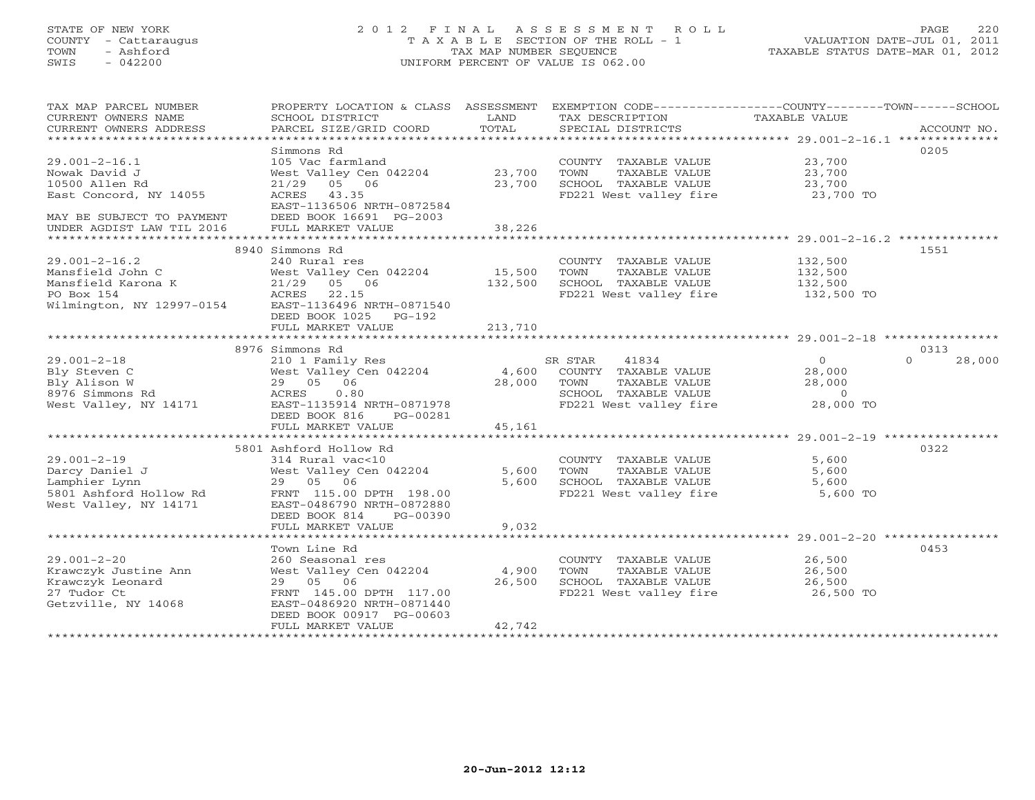## STATE OF NEW YORK 2 0 1 2 F I N A L A S S E S S M E N T R O L L PAGE 220 COUNTY - Cattaraugus T A X A B L E SECTION OF THE ROLL - 1 VALUATION DATE-JUL 01, 2011 TOWN - Ashford TAX MAP NUMBER SEQUENCE TAXABLE STATUS DATE-MAR 01, 2012 SWIS - 042200 UNIFORM PERCENT OF VALUE IS 062.00UNIFORM PERCENT OF VALUE IS 062.00

| TAX MAP PARCEL NUMBER<br>CURRENT OWNERS NAME<br>CURRENT OWNERS ADDRESS                                                 | SCHOOL DISTRICT<br>PARCEL SIZE/GRID COORD                                                                                                                        | LAND<br>TOTAL    | TAX DESCRIPTION TAXABLE VALUE<br>SPECIAL DISTRICTS                                                    | PROPERTY LOCATION & CLASS ASSESSMENT EXEMPTION CODE----------------COUNTY-------TOWN------SCHOOL<br>ACCOUNT NO. |
|------------------------------------------------------------------------------------------------------------------------|------------------------------------------------------------------------------------------------------------------------------------------------------------------|------------------|-------------------------------------------------------------------------------------------------------|-----------------------------------------------------------------------------------------------------------------|
| $29.001 - 2 - 16.1$<br>Nowak David J<br>10500 Allen Rd<br>East Concord, NY 14055                                       | Simmons Rd<br>105 Vac farmland<br>West Valley Cen 042204<br>$21/29$ 05 06<br>ACRES 43.35                                                                         | 23,700<br>23,700 | COUNTY TAXABLE VALUE<br>TOWN<br>TAXABLE VALUE<br>SCHOOL TAXABLE VALUE<br>FD221 West valley fire       | 0205<br>23,700<br>23,700<br>23,700<br>23,700 TO                                                                 |
| MAY BE SUBJECT TO PAYMENT<br>UNDER AGDIST LAW TIL 2016                                                                 | EAST-1136506 NRTH-0872584<br>DEED BOOK 16691 PG-2003<br>FULL MARKET VALUE                                                                                        | 38,226           |                                                                                                       |                                                                                                                 |
|                                                                                                                        | 8940 Simmons Rd                                                                                                                                                  |                  |                                                                                                       | 1551                                                                                                            |
| $29.001 - 2 - 16.2$<br>Mansfield John C<br>Mansfield Karona K<br>PO Box 154<br>PO Box 154<br>Wilmington, NY 12997-0154 | 240 Rural res<br>West Valley Cen 042204 15,500<br>21/29 05 06<br>ACRES<br>22.15<br>EAST-1136496 NRTH-0871540<br>DEED BOOK 1025 PG-192                            | 132,500          | COUNTY TAXABLE VALUE<br>TOWN<br>TAXABLE VALUE<br>SCHOOL TAXABLE VALUE<br>FD221 West valley fire       | 132,500<br>132,500<br>132,500<br>132,500 TO                                                                     |
|                                                                                                                        | FULL MARKET VALUE                                                                                                                                                | 213,710          |                                                                                                       |                                                                                                                 |
|                                                                                                                        |                                                                                                                                                                  |                  |                                                                                                       |                                                                                                                 |
| $29.001 - 2 - 18$                                                                                                      | 8976 Simmons Rd<br>210 1 Family Res                                                                                                                              |                  | SR STAR<br>41834                                                                                      | 0313<br>$\Omega$<br>28,000<br>$\Omega$                                                                          |
| Bly Steven C<br>Bly Alison W<br>8976 Simmons Rd<br>West Valley, NY 14171                                               | West Valley Cen 042204<br>29 05 06<br>ACRES<br>0.80<br>EAST-1135914 NRTH-0871978<br>DEED BOOK 816<br>PG-00281                                                    | 28,000           | 4,600 COUNTY TAXABLE VALUE<br>TOWN<br>TAXABLE VALUE<br>SCHOOL TAXABLE VALUE<br>FD221 West valley fire | 28,000<br>28,000<br>$\overline{0}$<br>28,000 TO                                                                 |
|                                                                                                                        | FULL MARKET VALUE                                                                                                                                                | 45,161           |                                                                                                       |                                                                                                                 |
|                                                                                                                        | 5801 Ashford Hollow Rd                                                                                                                                           |                  |                                                                                                       | 0322                                                                                                            |
| $29.001 - 2 - 19$<br>Darcy Daniel J<br>Lamphier Lynn<br>5801 Ashford Hollow Rd<br>West Valley, NY 14171                | 314 Rural vac<10<br>West Valley Cen 042204<br>29 05 06<br>FRNT 115.00 DPTH 198.00<br>EAST-0486790 NRTH-0872880<br>DEED BOOK 814<br>PG-00390<br>FULL MARKET VALUE | 5,600<br>5,600   | COUNTY TAXABLE VALUE<br>TOWN<br>TAXABLE VALUE<br>SCHOOL TAXABLE VALUE<br>FD221 West valley fire       | 5,600<br>5,600<br>5,600<br>5,600 TO                                                                             |
|                                                                                                                        |                                                                                                                                                                  | 9,032            |                                                                                                       |                                                                                                                 |
|                                                                                                                        | Town Line Rd                                                                                                                                                     |                  |                                                                                                       | 0453                                                                                                            |
| $29.001 - 2 - 20$<br>Krawczyk Justine Ann<br>Krawczyk Leonard<br>27 Tudor Ct<br>Getzville, NY 14068                    | 260 Seasonal res<br>West Valley Cen 042204<br>29 05 06<br>FRNT 145.00 DPTH 117.00<br>EAST-0486920 NRTH-0871440<br>DEED BOOK 00917 PG-00603                       | 4,900<br>26,500  | COUNTY TAXABLE VALUE<br>TOWN<br>TAXABLE VALUE<br>SCHOOL TAXABLE VALUE<br>FD221 West valley fire       | 26,500<br>26,500<br>26,500<br>26,500 TO                                                                         |
|                                                                                                                        | FULL MARKET VALUE                                                                                                                                                | 42,742           |                                                                                                       |                                                                                                                 |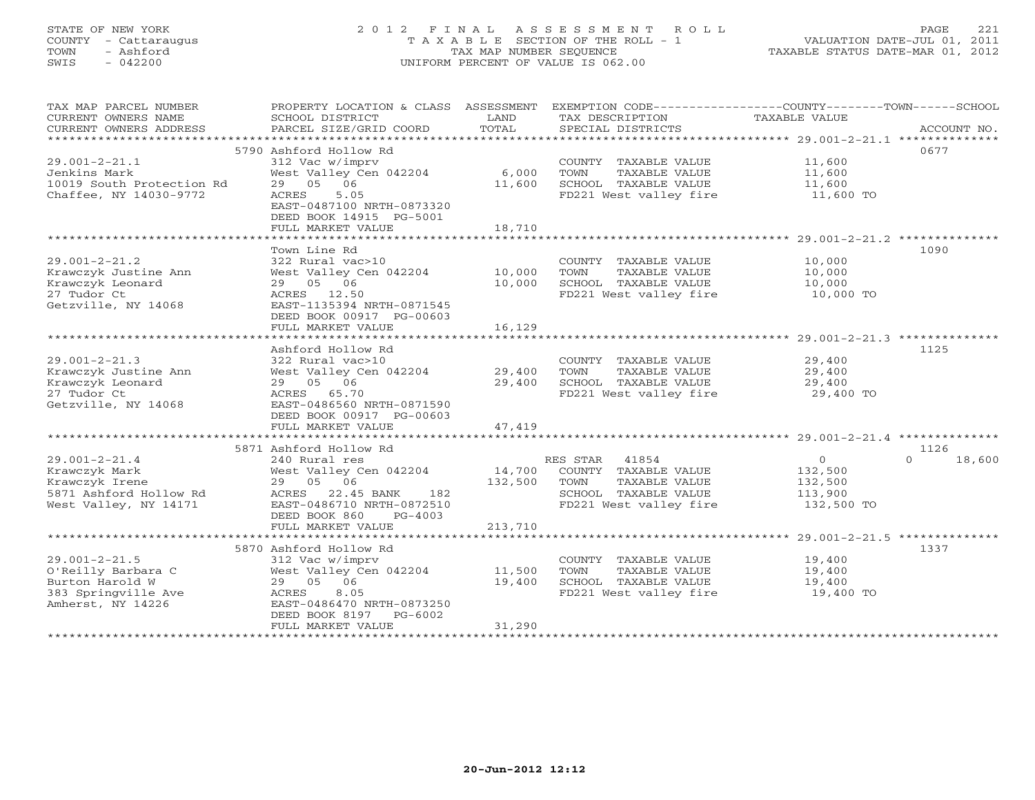# STATE OF NEW YORK 2 0 1 2 F I N A L A S S E S S M E N T R O L L PAGE 221 COUNTY - Cattaraugus T A X A B L E SECTION OF THE ROLL - 1 VALUATION DATE-JUL 01, 2011 TOWN - Ashford TAX MAP NUMBER SEQUENCE TAXABLE STATUS DATE-MAR 01, 2012 SWIS - 042200 UNIFORM PERCENT OF VALUE IS 062.00UNIFORM PERCENT OF VALUE IS 062.00

| TAX MAP PARCEL NUMBER<br>CURRENT OWNERS NAME<br>CURRENT OWNERS ADDRESS                                    | PROPERTY LOCATION & CLASS ASSESSMENT<br>SCHOOL DISTRICT<br>PARCEL SIZE/GRID COORD                                                       | LAND<br>TOTAL     | EXEMPTION CODE-----------------COUNTY-------TOWN-----SCHOOL<br>TAX DESCRIPTION<br>SPECIAL DISTRICTS               | TAXABLE VALUE                                          | ACCOUNT NO.        |
|-----------------------------------------------------------------------------------------------------------|-----------------------------------------------------------------------------------------------------------------------------------------|-------------------|-------------------------------------------------------------------------------------------------------------------|--------------------------------------------------------|--------------------|
| *************************<br>$29.001 - 2 - 21.1$                                                          | 5790 Ashford Hollow Rd<br>312 Vac w/imprv                                                                                               |                   | COUNTY TAXABLE VALUE                                                                                              | 11,600                                                 | 0677               |
| Jenkins Mark<br>10019 South Protection Rd<br>Chaffee, NY 14030-9772                                       | West Valley Cen 042204<br>29 05 06<br>5.05<br>ACRES<br>EAST-0487100 NRTH-0873320                                                        | 6,000<br>11,600   | TOWN<br>TAXABLE VALUE<br>SCHOOL TAXABLE VALUE<br>FD221 West valley fire                                           | 11,600<br>11,600<br>11,600 TO                          |                    |
|                                                                                                           | DEED BOOK 14915 PG-5001<br>FULL MARKET VALUE                                                                                            | 18,710            |                                                                                                                   |                                                        |                    |
|                                                                                                           | Town Line Rd                                                                                                                            |                   |                                                                                                                   |                                                        | 1090               |
| $29.001 - 2 - 21.2$<br>Krawczyk Justine Ann<br>Krawczyk Leonard<br>27 Tudor Ct                            | 322 Rural vac>10<br>West Valley Cen 042204<br>29 05 06<br>ACRES 12.50                                                                   | 10,000<br>10,000  | COUNTY TAXABLE VALUE<br>TOWN<br>TAXABLE VALUE<br>SCHOOL TAXABLE VALUE<br>FD221 West valley fire                   | 10,000<br>10,000<br>10,000<br>10,000 TO                |                    |
| Getzville, NY 14068                                                                                       | EAST-1135394 NRTH-0871545<br>DEED BOOK 00917 PG-00603<br>FULL MARKET VALUE                                                              | 16,129            |                                                                                                                   |                                                        |                    |
|                                                                                                           | Ashford Hollow Rd                                                                                                                       |                   |                                                                                                                   |                                                        | 1125               |
| $29.001 - 2 - 21.3$<br>Krawczyk Justine Ann<br>Krawczyk Leonard<br>27 Tudor Ct<br>Getzville, NY 14068     | 322 Rural vac>10<br>West Valley Cen 042204<br>29 05 06<br>ACRES 65.70<br>EAST-0486560 NRTH-0871590<br>DEED BOOK 00917 PG-00603          | 29,400<br>29,400  | COUNTY TAXABLE VALUE<br>TOWN<br>TAXABLE VALUE<br>SCHOOL TAXABLE VALUE<br>FD221 West valley fire                   | 29,400<br>29,400<br>29,400<br>29,400 TO                |                    |
|                                                                                                           | FULL MARKET VALUE                                                                                                                       | 47,419            |                                                                                                                   |                                                        |                    |
|                                                                                                           | 5871 Ashford Hollow Rd                                                                                                                  |                   |                                                                                                                   |                                                        | 1126               |
| $29.001 - 2 - 21.4$<br>Krawczyk Mark<br>Krawczyk Irene<br>5871 Ashford Hollow Rd<br>West Valley, NY 14171 | 240 Rural res<br>West Valley Cen 042204<br>29 05 06<br>ACRES 22.45 BANK<br>182<br>EAST-0486710 NRTH-0872510<br>DEED BOOK 860<br>PG-4003 | 14,700<br>132,500 | RES STAR 41854<br>COUNTY TAXABLE VALUE<br>TAXABLE VALUE<br>TOWN<br>SCHOOL TAXABLE VALUE<br>FD221 West valley fire | $\circ$<br>132,500<br>132,500<br>113,900<br>132,500 TO | $\Omega$<br>18,600 |
|                                                                                                           | FULL MARKET VALUE                                                                                                                       | 213,710           |                                                                                                                   |                                                        |                    |
|                                                                                                           | 5870 Ashford Hollow Rd                                                                                                                  |                   |                                                                                                                   |                                                        | 1337               |
| $29.001 - 2 - 21.5$<br>O'Reilly Barbara C<br>Burton Harold W<br>383 Springville Ave<br>Amherst, NY 14226  | 312 Vac w/imprv<br>West Valley Cen 042204<br>29 05 06<br>ACRES<br>8.05<br>EAST-0486470 NRTH-0873250<br>DEED BOOK 8197<br>PG-6002        | 11,500<br>19,400  | COUNTY TAXABLE VALUE<br>TOWN<br>TAXABLE VALUE<br>SCHOOL TAXABLE VALUE<br>FD221 West valley fire                   | 19,400<br>19,400<br>19,400<br>19,400 TO                |                    |
|                                                                                                           | FULL MARKET VALUE                                                                                                                       | 31,290            |                                                                                                                   |                                                        |                    |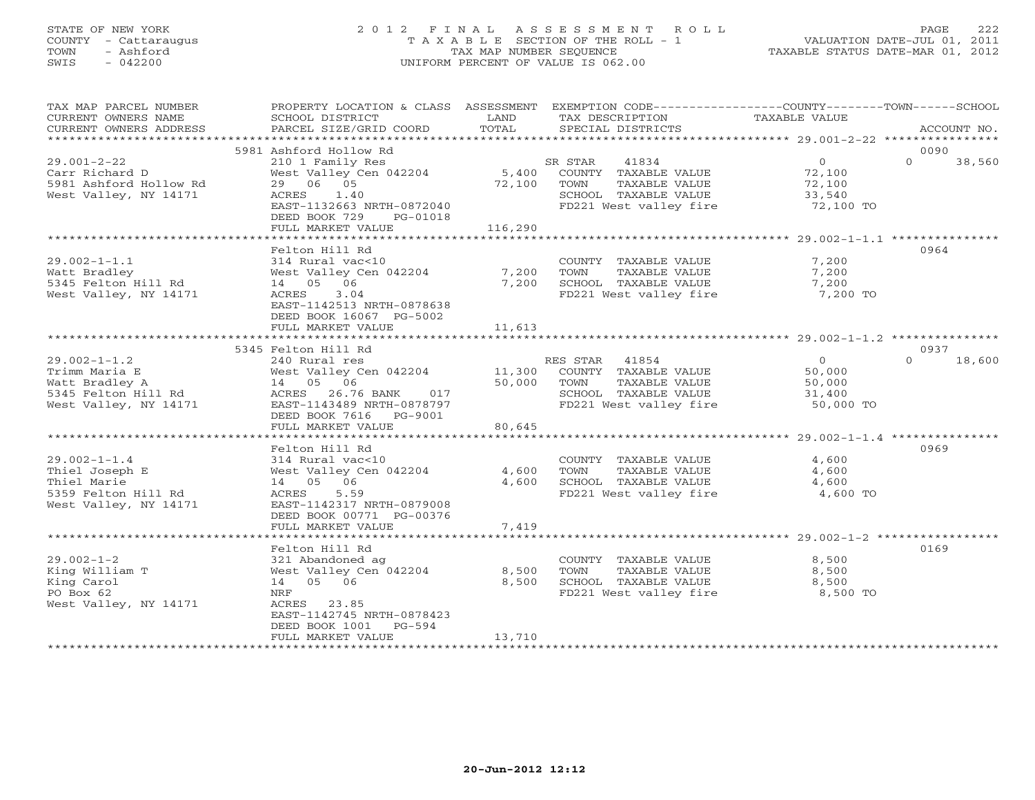## STATE OF NEW YORK 2 0 1 2 F I N A L A S S E S S M E N T R O L L PAGE 222 COUNTY - Cattaraugus T A X A B L E SECTION OF THE ROLL - 1 VALUATION DATE-JUL 01, 2011 TOWN - Ashford TAX MAP NUMBER SEQUENCE TAXABLE STATUS DATE-MAR 01, 2012 SWIS - 042200 UNIFORM PERCENT OF VALUE IS 062.00UNIFORM PERCENT OF VALUE IS 062.00

| TAX MAP PARCEL NUMBER  | PROPERTY LOCATION & CLASS ASSESSMENT EXEMPTION CODE----------------COUNTY-------TOWN------SCHOOL                                                                                                                                                                                                          |                         |                                                                                       |                |                    |
|------------------------|-----------------------------------------------------------------------------------------------------------------------------------------------------------------------------------------------------------------------------------------------------------------------------------------------------------|-------------------------|---------------------------------------------------------------------------------------|----------------|--------------------|
| CURRENT OWNERS NAME    | SCHOOL DISTRICT                                                                                                                                                                                                                                                                                           | LAND                    | TAX DESCRIPTION                                                                       | TAXABLE VALUE  |                    |
| CURRENT OWNERS ADDRESS | PARCEL SIZE/GRID COORD                                                                                                                                                                                                                                                                                    | TOTAL                   | SPECIAL DISTRICTS                                                                     |                | ACCOUNT NO.        |
|                        |                                                                                                                                                                                                                                                                                                           |                         |                                                                                       |                |                    |
|                        | 5981 Ashford Hollow Rd                                                                                                                                                                                                                                                                                    |                         |                                                                                       |                | 0090               |
| $29.001 - 2 - 22$      | 210 1 Family Res                                                                                                                                                                                                                                                                                          |                         | SR STAR<br>41834                                                                      | $\overline{0}$ | $\Omega$<br>38,560 |
| Carr Richard D         | $\frac{210}{100}$ $\frac{1}{200}$ $\frac{1}{200}$ $\frac{1}{200}$ $\frac{1}{200}$ $\frac{1}{200}$ $\frac{1}{200}$ $\frac{1}{200}$ $\frac{1}{200}$ $\frac{1}{200}$ $\frac{1}{200}$ $\frac{1}{200}$ $\frac{1}{200}$ $\frac{1}{200}$ $\frac{1}{200}$ $\frac{1}{200}$ $\frac{1}{200}$ $\frac{1}{200}$ $\frac$ |                         | COUNTY TAXABLE VALUE                                                                  | 72,100         |                    |
| 5981 Ashford Hollow Rd | 29 06 05                                                                                                                                                                                                                                                                                                  | 72,100                  | TOWN<br>TAXABLE VALUE                                                                 | 72,100         |                    |
| West Valley, NY 14171  | ACRES 1.40                                                                                                                                                                                                                                                                                                |                         | SCHOOL TAXABLE VALUE                                                                  | 33,540         |                    |
|                        | EAST-1132663 NRTH-0872040                                                                                                                                                                                                                                                                                 |                         | FD221 West valley fire 32,100 TO                                                      |                |                    |
|                        | DEED BOOK 729<br>PG-01018                                                                                                                                                                                                                                                                                 |                         |                                                                                       |                |                    |
|                        | FULL MARKET VALUE                                                                                                                                                                                                                                                                                         | 116,290                 |                                                                                       |                |                    |
|                        |                                                                                                                                                                                                                                                                                                           |                         |                                                                                       |                |                    |
|                        | Felton Hill Rd                                                                                                                                                                                                                                                                                            |                         |                                                                                       |                | 0964               |
| $29.002 - 1 - 1.1$     | 314 Rural vac<10                                                                                                                                                                                                                                                                                          |                         | COUNTY TAXABLE VALUE                                                                  | 7,200          |                    |
| Watt Bradley           |                                                                                                                                                                                                                                                                                                           |                         | TAXABLE VALUE<br>TOWN                                                                 | 7,200          |                    |
| 5345 Felton Hill Rd    |                                                                                                                                                                                                                                                                                                           | 7,200<br>7,200<br>7,200 | SCHOOL TAXABLE VALUE                                                                  | 7,200          |                    |
| West Valley, NY 14171  | West Valley Cen 042204<br>14 05 06<br>ACRES 3.04                                                                                                                                                                                                                                                          |                         | FD221 West valley fire                                                                | 7,200 TO       |                    |
|                        | EAST-1142513 NRTH-0878638                                                                                                                                                                                                                                                                                 |                         |                                                                                       |                |                    |
|                        | DEED BOOK 16067 PG-5002                                                                                                                                                                                                                                                                                   |                         |                                                                                       |                |                    |
|                        | FULL MARKET VALUE                                                                                                                                                                                                                                                                                         | 11,613                  |                                                                                       |                |                    |
|                        |                                                                                                                                                                                                                                                                                                           |                         |                                                                                       |                |                    |
|                        | 5345 Felton Hill Rd                                                                                                                                                                                                                                                                                       |                         |                                                                                       |                | 0937               |
| $29.002 - 1 - 1.2$     | 240 Rural res                                                                                                                                                                                                                                                                                             |                         | RES STAR 41854                                                                        | $\overline{0}$ | $\Omega$<br>18,600 |
|                        | West Valley Cen 042204 11,300                                                                                                                                                                                                                                                                             |                         | COUNTY TAXABLE VALUE                                                                  | 50,000         |                    |
|                        |                                                                                                                                                                                                                                                                                                           | 50,000                  | TOWN<br>TAXABLE VALUE                                                                 | 50,000         |                    |
|                        | 017                                                                                                                                                                                                                                                                                                       |                         | TOWN TAXABLE VALUE<br>SCHOOL TAXABLE VALUE 31,400<br>TROOL Wort valley fire 50,000 TO |                |                    |
| West Valley, NY 14171  | EAST-1143489 NRTH-0878797                                                                                                                                                                                                                                                                                 |                         | FD221 West valley fire                                                                |                |                    |
|                        | DEED BOOK 7616 PG-9001                                                                                                                                                                                                                                                                                    |                         |                                                                                       |                |                    |
|                        | FULL MARKET VALUE                                                                                                                                                                                                                                                                                         | 80,645                  |                                                                                       |                |                    |
|                        |                                                                                                                                                                                                                                                                                                           | * * * * * * * * * * *   | *********************************** 29.002-1-1.4 ****************                     |                |                    |
|                        | Felton Hill Rd                                                                                                                                                                                                                                                                                            |                         |                                                                                       |                | 0969               |
| $29.002 - 1 - 1.4$     | 314 Rural vac<10                                                                                                                                                                                                                                                                                          |                         | COUNTY TAXABLE VALUE                                                                  | 4,600          |                    |
| Thiel Joseph E         | West Valley Cen 042204                                                                                                                                                                                                                                                                                    | 4,600                   | TOWN<br>TAXABLE VALUE                                                                 | 4,600          |                    |
| Thiel Marie            | 14  05  06                                                                                                                                                                                                                                                                                                | 4,600                   | SCHOOL TAXABLE VALUE 4,600                                                            |                |                    |
| 5359 Felton Hill Rd    | ACRES 5.59                                                                                                                                                                                                                                                                                                |                         | FD221 West valley fire                                                                | 4,600 TO       |                    |
| West Valley, NY 14171  | EAST-1142317 NRTH-0879008                                                                                                                                                                                                                                                                                 |                         |                                                                                       |                |                    |
|                        |                                                                                                                                                                                                                                                                                                           |                         |                                                                                       |                |                    |
|                        | DEED BOOK 00771 PG-00376<br>FULL MARKET VALUE                                                                                                                                                                                                                                                             | 7,419                   |                                                                                       |                |                    |
|                        |                                                                                                                                                                                                                                                                                                           |                         |                                                                                       |                |                    |
|                        |                                                                                                                                                                                                                                                                                                           |                         |                                                                                       |                |                    |
| $29.002 - 1 - 2$       | Felton Hill Rd                                                                                                                                                                                                                                                                                            |                         |                                                                                       | 8,500          | 0169               |
|                        | 321 Abandoned ag                                                                                                                                                                                                                                                                                          |                         | COUNTY TAXABLE VALUE                                                                  |                |                    |
| King William T         | West Valley Cen 042204                                                                                                                                                                                                                                                                                    | 8,500                   | TAXABLE VALUE 8,500<br>TOWN                                                           |                |                    |
| King Carol             | 14  05  06                                                                                                                                                                                                                                                                                                | 8,500                   | SCHOOL TAXABLE VALUE                                                                  | 8,500          |                    |
| PO Box 62              | NRF                                                                                                                                                                                                                                                                                                       |                         | FD221 West valley fire 8,500 TO                                                       |                |                    |
| West Valley, NY 14171  | ACRES 23.85                                                                                                                                                                                                                                                                                               |                         |                                                                                       |                |                    |
|                        | EAST-1142745 NRTH-0878423                                                                                                                                                                                                                                                                                 |                         |                                                                                       |                |                    |
|                        | DEED BOOK 1001<br>PG-594                                                                                                                                                                                                                                                                                  |                         |                                                                                       |                |                    |
|                        | FULL MARKET VALUE<br>***************************                                                                                                                                                                                                                                                          | 13,710                  |                                                                                       |                |                    |
|                        |                                                                                                                                                                                                                                                                                                           |                         |                                                                                       |                |                    |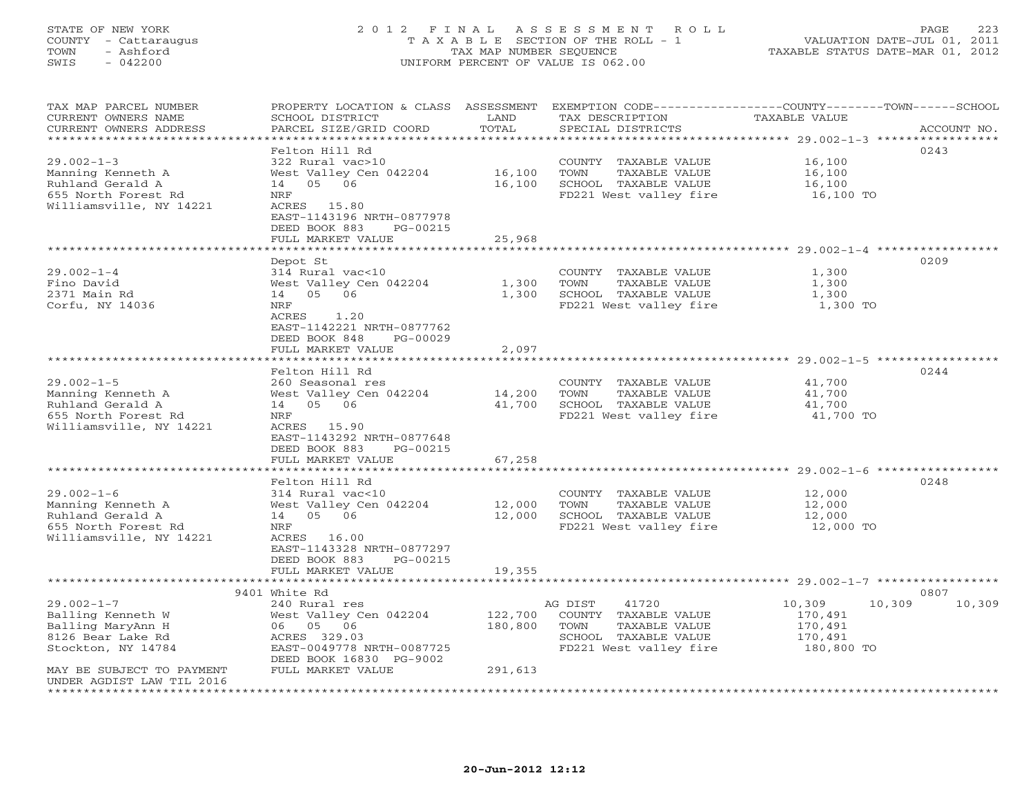## STATE OF NEW YORK 2 0 1 2 F I N A L A S S E S S M E N T R O L L PAGE 223 COUNTY - Cattaraugus T A X A B L E SECTION OF THE ROLL - 1 VALUATION DATE-JUL 01, 2011 TOWN - Ashford TAX MAP NUMBER SEQUENCE TAXABLE STATUS DATE-MAR 01, 2012 SWIS - 042200 UNIFORM PERCENT OF VALUE IS 062.00UNIFORM PERCENT OF VALUE IS 062.00

| TAX MAP PARCEL NUMBER<br>CURRENT OWNERS NAME<br>CURRENT OWNERS ADDRESS | PROPERTY LOCATION & CLASS ASSESSMENT<br>SCHOOL DISTRICT<br>PARCEL SIZE/GRID COORD | LAND<br>TOTAL    | TAX DESCRIPTION<br>SPECIAL DISTRICTS | EXEMPTION CODE-----------------COUNTY-------TOWN------SCHOOL<br>TAXABLE VALUE | ACCOUNT NO. |
|------------------------------------------------------------------------|-----------------------------------------------------------------------------------|------------------|--------------------------------------|-------------------------------------------------------------------------------|-------------|
| **********************                                                 |                                                                                   |                  |                                      |                                                                               |             |
|                                                                        | Felton Hill Rd                                                                    |                  |                                      |                                                                               | 0243        |
| $29.002 - 1 - 3$                                                       | 322 Rural vac>10                                                                  |                  | COUNTY TAXABLE VALUE                 | 16,100                                                                        |             |
| Manning Kenneth A                                                      | West Valley Cen 042204                                                            | 16,100           | TOWN<br>TAXABLE VALUE                | 16,100                                                                        |             |
| Ruhland Gerald A                                                       | 05 06<br>14                                                                       | 16,100           | SCHOOL TAXABLE VALUE                 | 16,100                                                                        |             |
| 655 North Forest Rd                                                    | NRF                                                                               |                  | FD221 West valley fire               | 16,100 TO                                                                     |             |
| Williamsville, NY 14221                                                | ACRES 15.80                                                                       |                  |                                      |                                                                               |             |
|                                                                        | EAST-1143196 NRTH-0877978                                                         |                  |                                      |                                                                               |             |
|                                                                        | DEED BOOK 883<br>PG-00215                                                         |                  |                                      |                                                                               |             |
|                                                                        | FULL MARKET VALUE                                                                 | 25,968           |                                      |                                                                               |             |
|                                                                        |                                                                                   |                  |                                      |                                                                               |             |
|                                                                        | Depot St                                                                          |                  |                                      |                                                                               | 0209        |
| $29.002 - 1 - 4$                                                       | 314 Rural vac<10                                                                  |                  | COUNTY TAXABLE VALUE                 | 1,300                                                                         |             |
| Fino David                                                             | West Valley Cen 042204                                                            | 1,300            | TAXABLE VALUE<br>TOWN                | 1,300                                                                         |             |
| 2371 Main Rd                                                           | 14 05 06                                                                          | 1,300            | SCHOOL TAXABLE VALUE                 | 1,300                                                                         |             |
| Corfu, NY 14036                                                        | <b>NRF</b>                                                                        |                  | FD221 West valley fire               | 1,300 TO                                                                      |             |
|                                                                        | ACRES<br>1.20                                                                     |                  |                                      |                                                                               |             |
|                                                                        |                                                                                   |                  |                                      |                                                                               |             |
|                                                                        | EAST-1142221 NRTH-0877762                                                         |                  |                                      |                                                                               |             |
|                                                                        | DEED BOOK 848<br>PG-00029                                                         |                  |                                      |                                                                               |             |
|                                                                        | FULL MARKET VALUE                                                                 | 2,097<br>******* |                                      |                                                                               |             |
|                                                                        |                                                                                   |                  |                                      | ****************** 29.002-1-5 ******************                              |             |
|                                                                        | Felton Hill Rd                                                                    |                  |                                      |                                                                               | 0244        |
| $29.002 - 1 - 5$                                                       | 260 Seasonal res                                                                  |                  | COUNTY TAXABLE VALUE                 | 41,700                                                                        |             |
| Manning Kenneth A                                                      | West Valley Cen 042204                                                            | 14,200           | TAXABLE VALUE<br>TOWN                | 41,700                                                                        |             |
| Ruhland Gerald A                                                       | 14  05  06                                                                        | 41,700           | SCHOOL TAXABLE VALUE                 | 41,700                                                                        |             |
| 655 North Forest Rd                                                    | NRF                                                                               |                  | FD221 West valley fire               | 41,700 TO                                                                     |             |
| Williamsville, NY 14221                                                | ACRES 15.90                                                                       |                  |                                      |                                                                               |             |
|                                                                        | EAST-1143292 NRTH-0877648                                                         |                  |                                      |                                                                               |             |
|                                                                        | DEED BOOK 883<br>PG-00215                                                         |                  |                                      |                                                                               |             |
|                                                                        | FULL MARKET VALUE                                                                 | 67,258           |                                      |                                                                               |             |
| **********************                                                 | ********************                                                              |                  |                                      |                                                                               |             |
|                                                                        | Felton Hill Rd                                                                    |                  |                                      |                                                                               | 0248        |
| $29.002 - 1 - 6$                                                       | 314 Rural vac<10                                                                  |                  | COUNTY TAXABLE VALUE                 | 12,000                                                                        |             |
| Manning Kenneth A                                                      | West Valley Cen 042204                                                            | 12,000           | TAXABLE VALUE<br>TOWN                | 12,000                                                                        |             |
| Ruhland Gerald A                                                       | 14 05 06                                                                          | 12,000           | SCHOOL TAXABLE VALUE                 | 12,000                                                                        |             |
| 655 North Forest Rd                                                    | NRF                                                                               |                  | FD221 West valley fire               | 12,000 TO                                                                     |             |
| Williamsville, NY 14221                                                | ACRES 16.00                                                                       |                  |                                      |                                                                               |             |
|                                                                        | EAST-1143328 NRTH-0877297                                                         |                  |                                      |                                                                               |             |
|                                                                        | DEED BOOK 883<br>PG-00215                                                         |                  |                                      |                                                                               |             |
|                                                                        | FULL MARKET VALUE                                                                 | 19,355           |                                      |                                                                               |             |
|                                                                        |                                                                                   |                  |                                      |                                                                               |             |
|                                                                        | 9401 White Rd                                                                     |                  |                                      |                                                                               | 0807        |
| $29.002 - 1 - 7$                                                       | 240 Rural res                                                                     |                  | 41720<br>AG DIST                     | 10,309<br>10,309                                                              | 10,309      |
| Balling Kenneth W                                                      | West Valley Cen 042204                                                            | 122,700          | COUNTY TAXABLE VALUE                 | 170,491                                                                       |             |
| Balling MaryAnn H                                                      | 06 05 06                                                                          | 180,800          | TOWN<br>TAXABLE VALUE                | 170,491                                                                       |             |
| 8126 Bear Lake Rd                                                      | ACRES 329.03                                                                      |                  | SCHOOL TAXABLE VALUE                 | 170,491                                                                       |             |
| Stockton, NY 14784                                                     | EAST-0049778 NRTH-0087725                                                         |                  | FD221 West valley fire               | 180,800 TO                                                                    |             |
|                                                                        | DEED BOOK 16830 PG-9002                                                           |                  |                                      |                                                                               |             |
| MAY BE SUBJECT TO PAYMENT                                              | FULL MARKET VALUE                                                                 | 291,613          |                                      |                                                                               |             |
| UNDER AGDIST LAW TIL 2016                                              |                                                                                   |                  |                                      |                                                                               |             |
| ****************************                                           |                                                                                   |                  |                                      |                                                                               |             |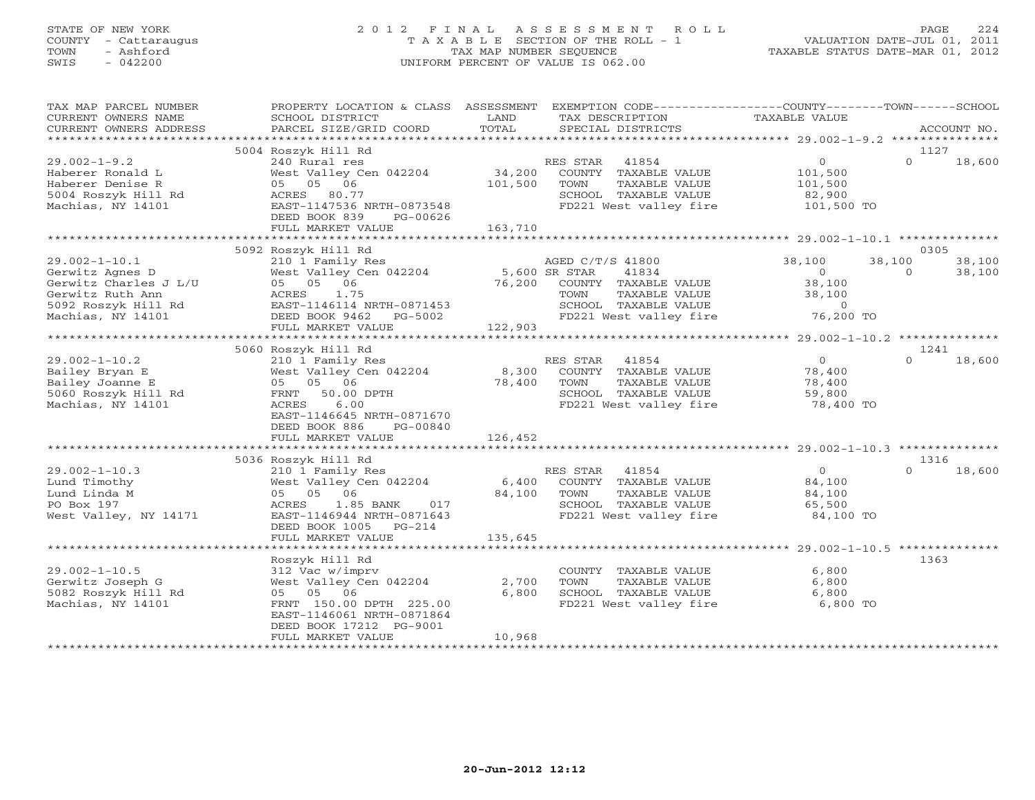## STATE OF NEW YORK 2 0 1 2 F I N A L A S S E S S M E N T R O L L PAGE 224 COUNTY - Cattaraugus T A X A B L E SECTION OF THE ROLL - 1 VALUATION DATE-JUL 01, 2011 TOWN - Ashford TAX MAP NUMBER SEQUENCE TAXABLE STATUS DATE-MAR 01, 2012 SWIS - 042200 UNIFORM PERCENT OF VALUE IS 062.00UNIFORM PERCENT OF VALUE IS 062.00

| TAX MAP PARCEL NUMBER<br>CURRENT OWNERS NAME<br>CURRENT OWNERS ADDRESS                                                          | PROPERTY LOCATION & CLASS ASSESSMENT<br>SCHOOL DISTRICT<br>PARCEL SIZE/GRID COORD                                                                                                                   | LAND<br>TOTAL                      | EXEMPTION CODE-----------------COUNTY-------TOWN------SCHOOL<br>TAX DESCRIPTION<br>SPECIAL DISTRICTS                         | <b>TAXABLE VALUE</b>                                                  | ACCOUNT NO.                                    |
|---------------------------------------------------------------------------------------------------------------------------------|-----------------------------------------------------------------------------------------------------------------------------------------------------------------------------------------------------|------------------------------------|------------------------------------------------------------------------------------------------------------------------------|-----------------------------------------------------------------------|------------------------------------------------|
|                                                                                                                                 |                                                                                                                                                                                                     |                                    |                                                                                                                              |                                                                       |                                                |
| $29.002 - 1 - 9.2$<br>Haberer Ronald L<br>Haberer Denise R<br>5004 Roszyk Hill Rd<br>Machias, NY 14101                          | 5004 Roszyk Hill Rd<br>240 Rural res<br>West Valley Cen 042204<br>05 05 06<br>ACRES 80.77<br>EAST-1147536 NRTH-0873548<br>DEED BOOK 839<br>PG-00626<br>FULL MARKET VALUE                            | 34,200<br>101,500<br>163,710       | 41854<br>RES STAR<br>COUNTY TAXABLE VALUE<br>TOWN<br>TAXABLE VALUE<br>SCHOOL TAXABLE VALUE<br>FD221 West valley fire         | $\circ$<br>101,500<br>101,500<br>82,900<br>101,500 TO                 | 1127<br>$\Omega$<br>18,600                     |
|                                                                                                                                 |                                                                                                                                                                                                     |                                    |                                                                                                                              |                                                                       |                                                |
| $29.002 - 1 - 10.1$<br>Gerwitz Agnes D<br>Gerwitz Charles J L/U<br>Gerwitz Ruth Ann<br>5092 Roszyk Hill Rd<br>Machias, NY 14101 | 5092 Roszyk Hill Rd<br>210 1 Family Res<br>West Valley Cen 042204<br>05 05 06<br>1.75<br>ACRES<br>EAST-1146114 NRTH-0871453<br>DEED BOOK 9462<br>PG-5002<br>FULL MARKET VALUE                       | 5,600 SR STAR<br>76,200<br>122,903 | AGED C/T/S 41800<br>41834<br>COUNTY TAXABLE VALUE<br>TOWN<br>TAXABLE VALUE<br>SCHOOL TAXABLE VALUE<br>FD221 West valley fire | 38,100<br>$\Omega$<br>38,100<br>38,100<br>$\overline{0}$<br>76,200 TO | 0305<br>38,100<br>38,100<br>$\Omega$<br>38,100 |
|                                                                                                                                 |                                                                                                                                                                                                     |                                    |                                                                                                                              |                                                                       |                                                |
| $29.002 - 1 - 10.2$<br>Bailey Bryan E<br>Bailey Joanne E<br>5060 Roszyk Hill Rd<br>Machias, NY 14101                            | 5060 Roszyk Hill Rd<br>210 1 Family Res<br>West Valley Cen 042204<br>05 05 06<br>50.00 DPTH<br>FRNT<br>6.00<br>ACRES<br>EAST-1146645 NRTH-0871670<br>DEED BOOK 886<br>PG-00840<br>FULL MARKET VALUE | 8,300<br>78,400<br>126,452         | RES STAR<br>41854<br>COUNTY TAXABLE VALUE<br>TOWN<br>TAXABLE VALUE<br>SCHOOL TAXABLE VALUE<br>FD221 West valley fire         | $\circ$<br>78,400<br>78,400<br>59,800<br>78,400 TO                    | 1241<br>$\Omega$<br>18,600                     |
|                                                                                                                                 |                                                                                                                                                                                                     |                                    |                                                                                                                              |                                                                       |                                                |
| $29.002 - 1 - 10.3$<br>Lund Timothy<br>Lund Linda M<br>PO Box 197<br>West Valley, NY 14171                                      | 5036 Roszyk Hill Rd<br>210 1 Family Res<br>West Valley Cen 042204<br>05 05 06<br>1.85 BANK<br>017<br>ACRES<br>EAST-1146944 NRTH-0871643<br>DEED BOOK 1005<br>$PG-214$                               | 6,400<br>84,100                    | 41854<br>RES STAR<br>COUNTY TAXABLE VALUE<br>TAXABLE VALUE<br>TOWN<br>SCHOOL TAXABLE VALUE<br>FD221 West valley fire         | $\overline{0}$<br>84,100<br>84,100<br>65,500<br>84,100 TO             | 1316<br>$\Omega$<br>18,600                     |
|                                                                                                                                 | FULL MARKET VALUE                                                                                                                                                                                   | 135,645                            |                                                                                                                              |                                                                       |                                                |
| $29.002 - 1 - 10.5$<br>Gerwitz Joseph G<br>5082 Roszyk Hill Rd<br>Machias, NY 14101                                             | Roszyk Hill Rd<br>312 Vac w/imprv<br>West Valley Cen 042204<br>05 05 06<br>FRNT 150.00 DPTH 225.00<br>EAST-1146061 NRTH-0871864<br>DEED BOOK 17212 PG-9001<br>FULL MARKET VALUE                     | 2,700<br>6,800<br>10,968           | COUNTY TAXABLE VALUE<br>TOWN<br>TAXABLE VALUE<br>SCHOOL TAXABLE VALUE<br>FD221 West valley fire                              | 6,800<br>6,800<br>6,800<br>6,800 TO                                   | 1363                                           |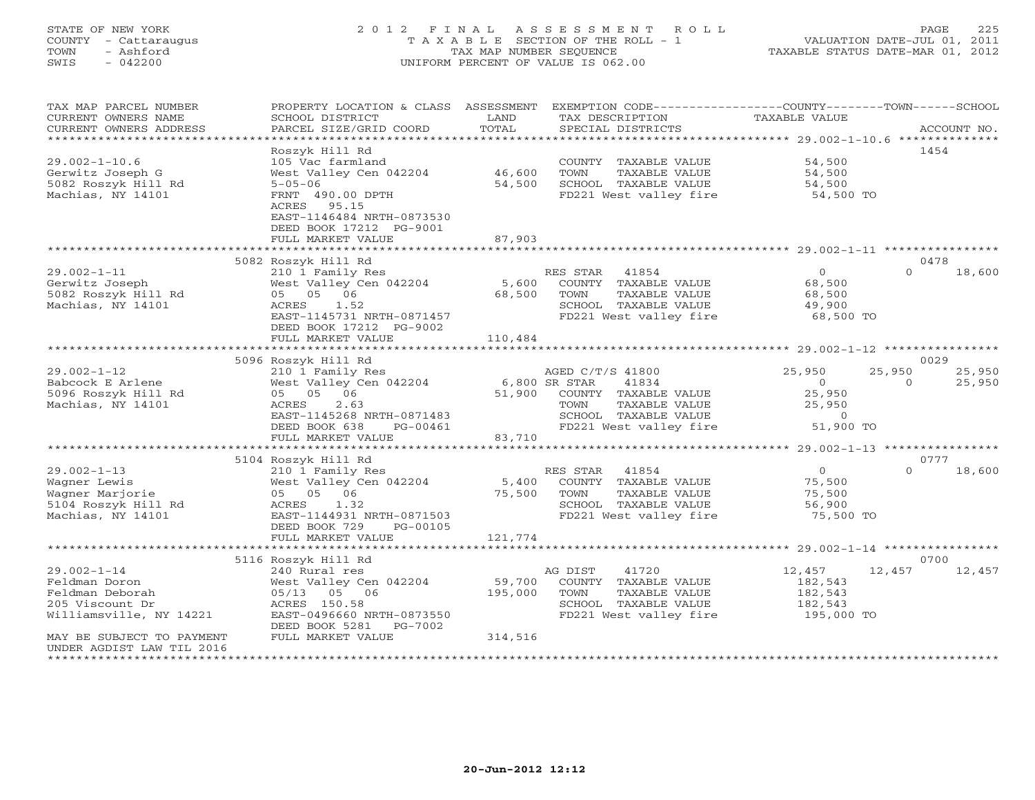# STATE OF NEW YORK 2 0 1 2 F I N A L A S S E S S M E N T R O L L PAGE 225 COUNTY - Cattaraugus T A X A B L E SECTION OF THE ROLL - 1 VALUATION DATE-JUL 01, 2011 TOWN - Ashford TAX MAP NUMBER SEQUENCE TAXABLE STATUS DATE-MAR 01, 2012 SWIS - 042200 UNIFORM PERCENT OF VALUE IS 062.00UNIFORM PERCENT OF VALUE IS 062.00

| TAX MAP PARCEL NUMBER     | PROPERTY LOCATION & CLASS ASSESSMENT |               | EXEMPTION CODE-----------------COUNTY-------TOWN------SCHOOL |                |                    |
|---------------------------|--------------------------------------|---------------|--------------------------------------------------------------|----------------|--------------------|
| CURRENT OWNERS NAME       | SCHOOL DISTRICT                      | LAND          | TAX DESCRIPTION                                              | TAXABLE VALUE  |                    |
| CURRENT OWNERS ADDRESS    | PARCEL SIZE/GRID COORD               | TOTAL         | SPECIAL DISTRICTS                                            |                | ACCOUNT NO.        |
| ************************* |                                      |               |                                                              |                |                    |
|                           | Roszyk Hill Rd                       |               |                                                              |                | 1454               |
| $29.002 - 1 - 10.6$       | 105 Vac farmland                     |               | COUNTY TAXABLE VALUE                                         | 54,500         |                    |
| Gerwitz Joseph G          | West Valley Cen 042204               | 46,600        | TAXABLE VALUE<br>TOWN                                        | 54,500         |                    |
| 5082 Roszyk Hill Rd       | $5 - 05 - 06$                        | 54,500        | SCHOOL TAXABLE VALUE                                         | 54,500         |                    |
| Machias, NY 14101         | FRNT 490.00 DPTH                     |               | FD221 West valley fire                                       | 54,500 TO      |                    |
|                           | ACRES 95.15                          |               |                                                              |                |                    |
|                           | EAST-1146484 NRTH-0873530            |               |                                                              |                |                    |
|                           | DEED BOOK 17212 PG-9001              |               |                                                              |                |                    |
|                           | FULL MARKET VALUE                    | 87,903        |                                                              |                |                    |
|                           |                                      |               |                                                              |                |                    |
|                           | 5082 Roszyk Hill Rd                  |               |                                                              |                | 0478               |
| $29.002 - 1 - 11$         | 210 1 Family Res                     |               | RES STAR<br>41854                                            | $\overline{0}$ | $\Omega$<br>18,600 |
| Gerwitz Joseph            | West Valley Cen 042204               | 5,600         | COUNTY TAXABLE VALUE                                         | 68,500         |                    |
| 5082 Roszyk Hill Rd       | 05 05 06                             | 68,500        | TOWN<br>TAXABLE VALUE                                        | 68,500         |                    |
| Machias, NY 14101         | ACRES<br>1.52                        |               | SCHOOL TAXABLE VALUE                                         | 49,900         |                    |
|                           | EAST-1145731 NRTH-0871457            |               | FD221 West valley fire                                       | 68,500 TO      |                    |
|                           | DEED BOOK 17212 PG-9002              |               |                                                              |                |                    |
|                           | FULL MARKET VALUE                    | 110,484       |                                                              |                |                    |
|                           |                                      |               |                                                              |                |                    |
|                           | 5096 Roszyk Hill Rd                  |               |                                                              |                | 0029               |
| $29.002 - 1 - 12$         | 210 1 Family Res                     |               | AGED C/T/S 41800                                             | 25,950         | 25,950<br>25,950   |
| Babcock E Arlene          | West Valley Cen 042204               | 6,800 SR STAR | 41834                                                        | $\overline{O}$ | 25,950<br>$\Omega$ |
| 5096 Roszyk Hill Rd       | 05 05 06                             | 51,900        | COUNTY TAXABLE VALUE                                         | 25,950         |                    |
| Machias, NY 14101         | ACRES<br>2.63                        |               | TOWN<br>TAXABLE VALUE                                        | 25,950         |                    |
|                           | EAST-1145268 NRTH-0871483            |               | SCHOOL TAXABLE VALUE                                         | $\Omega$       |                    |
|                           | DEED BOOK 638<br>PG-00461            |               | FD221 West valley fire                                       | 51,900 TO      |                    |
|                           |                                      | 83,710        |                                                              |                |                    |
|                           | FULL MARKET VALUE                    |               |                                                              |                |                    |
|                           | 5104 Roszyk Hill Rd                  |               |                                                              |                | 0777               |
|                           |                                      |               |                                                              | $\Omega$       | $\Omega$           |
| $29.002 - 1 - 13$         | 210 1 Family Res                     |               | RES STAR<br>41854                                            |                | 18,600             |
| Wagner Lewis              | West Valley Cen 042204               | 5,400         | COUNTY TAXABLE VALUE                                         | 75,500         |                    |
| Wagner Marjorie           | 05 05 06                             | 75,500        | TOWN<br>TAXABLE VALUE                                        | 75,500         |                    |
| 5104 Roszyk Hill Rd       | ACRES 1.32                           |               | SCHOOL TAXABLE VALUE                                         | 56,900         |                    |
| Machias, NY 14101         | EAST-1144931 NRTH-0871503            |               | FD221 West valley fire                                       | 75,500 TO      |                    |
|                           | DEED BOOK 729<br>PG-00105            |               |                                                              |                |                    |
|                           | FULL MARKET VALUE                    | 121,774       |                                                              |                |                    |
|                           |                                      |               |                                                              |                |                    |
|                           | 5116 Roszyk Hill Rd                  |               |                                                              |                | 0700               |
| $29.002 - 1 - 14$         | 240 Rural res                        |               | 41720<br>AG DIST                                             | 12,457         | 12,457<br>12,457   |
| Feldman Doron             | West Valley Cen 042204               | 59,700        | COUNTY TAXABLE VALUE                                         | 182,543        |                    |
| Feldman Deborah           | 05/13 05 06                          | 195,000       | TAXABLE VALUE<br>TOWN                                        | 182,543        |                    |
| 205 Viscount Dr           | ACRES 150.58                         |               | SCHOOL TAXABLE VALUE                                         | 182,543        |                    |
| Williamsville, NY 14221   | EAST-0496660 NRTH-0873550            |               | FD221 West valley fire                                       | 195,000 TO     |                    |
|                           | DEED BOOK 5281<br>PG-7002            |               |                                                              |                |                    |
| MAY BE SUBJECT TO PAYMENT | FULL MARKET VALUE                    | 314,516       |                                                              |                |                    |
| UNDER AGDIST LAW TIL 2016 |                                      |               |                                                              |                |                    |
|                           |                                      |               |                                                              |                |                    |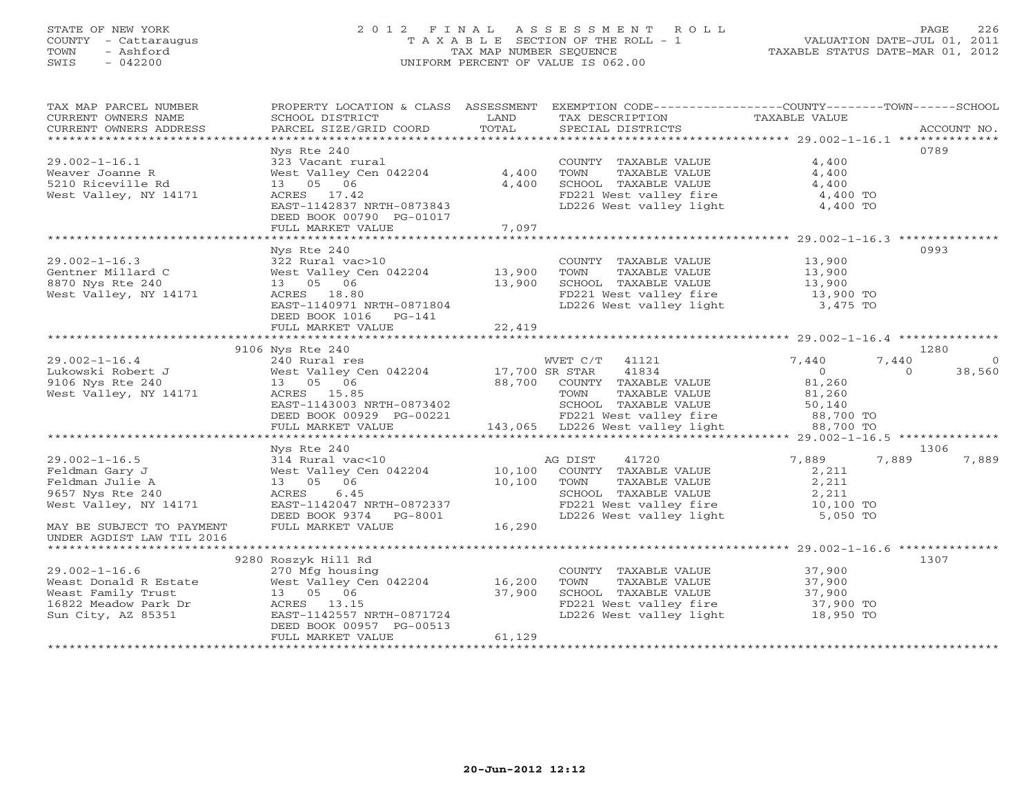## STATE OF NEW YORK 2 0 1 2 F I N A L A S S E S S M E N T R O L L PAGE 226 COUNTY - Cattaraugus T A X A B L E SECTION OF THE ROLL - 1 VALUATION DATE-JUL 01, 2011 TOWN - Ashford TAX MAP NUMBER SEQUENCE TAXABLE STATUS DATE-MAR 01, 2012 SWIS - 042200 UNIFORM PERCENT OF VALUE IS 062.00UNIFORM PERCENT OF VALUE IS 062.00

| TAX MAP PARCEL NUMBER<br>CURRENT OWNERS NAME<br>CURRENT OWNERS ADDRESS                                                                                                                                                                                         | SCHOOL DISTRICT<br>PARCEL SIZE/GRID COORD                            | <b>EXAMPLE SETTLE SETTLE SETTLE SETTLE SETTLE SETTLE SETTLE SETTLE SETTLE SETTLE SETTLE SETTLE SETTLE SETTLE SET</b><br>TOTAL | PROPERTY LOCATION & CLASS ASSESSMENT EXEMPTION CODE---------------COUNTY-------TOWN------SCHOOL<br>TAX DESCRIPTION TAXABLE VALUE SPECIAL DISTRICTS |       | ACCOUNT NO.    |
|----------------------------------------------------------------------------------------------------------------------------------------------------------------------------------------------------------------------------------------------------------------|----------------------------------------------------------------------|-------------------------------------------------------------------------------------------------------------------------------|----------------------------------------------------------------------------------------------------------------------------------------------------|-------|----------------|
| $29.002 - 1 - 16.1$                                                                                                                                                                                                                                            | Nys Rte 240                                                          |                                                                                                                               | COUNTY TAXABLE VALUE 4,400                                                                                                                         |       | 0789           |
| Weaver Joanne R<br>5210 Riceville Rd                                                                                                                                                                                                                           | 323 Vacant rural<br>West Valley Cen 042204 4,400<br>13  05  06       | 4,400                                                                                                                         | TAXABLE VALUE<br>TOWN                                                                                                                              | 4,400 |                |
| West Valley, NY 14171                                                                                                                                                                                                                                          | ACRES 17.42<br>EAST-1142837 NRTH-0873843<br>DEED BOOK 00790 PG-01017 |                                                                                                                               | SCHOOL TAXABLE VALUE<br>FD221 West valley fire $4,400$ TO<br>LD226 West valley light $4,400$ TO                                                    |       |                |
|                                                                                                                                                                                                                                                                |                                                                      |                                                                                                                               |                                                                                                                                                    |       |                |
|                                                                                                                                                                                                                                                                |                                                                      |                                                                                                                               |                                                                                                                                                    |       | 0993           |
| 29.002-1-16.3<br>Gentner Millard C 322 Rural vac>10<br>8870 Nys Rte 240<br>West Valley Cen 042204<br>13,900<br>West Valley, NY 14171<br>Mest Valley Cen 042204<br>13,900<br>13,900<br>13,900<br>13,900<br>13,900<br>13,900<br>13,900<br>13,900<br>13,900<br>13 | Nys Rte 240                                                          |                                                                                                                               |                                                                                                                                                    |       |                |
|                                                                                                                                                                                                                                                                |                                                                      |                                                                                                                               |                                                                                                                                                    |       |                |
|                                                                                                                                                                                                                                                                |                                                                      |                                                                                                                               |                                                                                                                                                    |       |                |
|                                                                                                                                                                                                                                                                |                                                                      |                                                                                                                               |                                                                                                                                                    |       |                |
|                                                                                                                                                                                                                                                                |                                                                      |                                                                                                                               |                                                                                                                                                    |       |                |
|                                                                                                                                                                                                                                                                | DEED BOOK 1016 PG-141                                                |                                                                                                                               |                                                                                                                                                    |       |                |
|                                                                                                                                                                                                                                                                |                                                                      | 22,419                                                                                                                        |                                                                                                                                                    |       |                |
|                                                                                                                                                                                                                                                                | 9106 Nys Rte 240                                                     |                                                                                                                               |                                                                                                                                                    |       | 1280           |
| 29.002-1-16.4<br>240 Rural res<br>240 Rural rest valley Cen 042204 (17,700 SR STAR 41834<br>2106 Nys Rte 240 (13 05 06 88,700 COUNTY TAXABLE VALUE West Valley, NY 14171 (2008)<br>2008 Mest Valley, NY 14171 (2008)<br>2008 15.85                             |                                                                      |                                                                                                                               |                                                                                                                                                    |       |                |
|                                                                                                                                                                                                                                                                |                                                                      |                                                                                                                               |                                                                                                                                                    |       |                |
|                                                                                                                                                                                                                                                                |                                                                      |                                                                                                                               |                                                                                                                                                    |       |                |
|                                                                                                                                                                                                                                                                |                                                                      |                                                                                                                               |                                                                                                                                                    |       |                |
|                                                                                                                                                                                                                                                                |                                                                      |                                                                                                                               |                                                                                                                                                    |       |                |
|                                                                                                                                                                                                                                                                |                                                                      |                                                                                                                               |                                                                                                                                                    |       |                |
|                                                                                                                                                                                                                                                                |                                                                      |                                                                                                                               |                                                                                                                                                    |       |                |
|                                                                                                                                                                                                                                                                | Nys Rte 240                                                          |                                                                                                                               |                                                                                                                                                    |       | 1306           |
|                                                                                                                                                                                                                                                                |                                                                      |                                                                                                                               |                                                                                                                                                    | 7,889 | 7,889<br>7,889 |
|                                                                                                                                                                                                                                                                |                                                                      |                                                                                                                               |                                                                                                                                                    | 2,211 |                |
|                                                                                                                                                                                                                                                                |                                                                      |                                                                                                                               | TAXABLE VALUE                                                                                                                                      | 2,211 |                |
|                                                                                                                                                                                                                                                                |                                                                      |                                                                                                                               |                                                                                                                                                    |       |                |
|                                                                                                                                                                                                                                                                |                                                                      |                                                                                                                               |                                                                                                                                                    |       |                |
|                                                                                                                                                                                                                                                                |                                                                      |                                                                                                                               |                                                                                                                                                    |       |                |
|                                                                                                                                                                                                                                                                |                                                                      |                                                                                                                               |                                                                                                                                                    |       |                |
| UNDER AGDIST LAW TIL 2016                                                                                                                                                                                                                                      |                                                                      |                                                                                                                               |                                                                                                                                                    |       |                |
|                                                                                                                                                                                                                                                                | 9280 Roszyk Hill Rd                                                  |                                                                                                                               |                                                                                                                                                    |       | 1307           |
|                                                                                                                                                                                                                                                                |                                                                      |                                                                                                                               |                                                                                                                                                    |       |                |
|                                                                                                                                                                                                                                                                |                                                                      |                                                                                                                               |                                                                                                                                                    |       |                |
|                                                                                                                                                                                                                                                                |                                                                      |                                                                                                                               |                                                                                                                                                    |       |                |
|                                                                                                                                                                                                                                                                |                                                                      |                                                                                                                               |                                                                                                                                                    |       |                |
| 9280 Koszyk Hill Rd<br>Weast Donald R Estate Mest Valley Cen 042204 (16,200 TOWN TAXABLE VALUE 37,900<br>Weast Family Trust 13 05 06 37,900 SCHOOL TAXABLE VALUE 37,900<br>16822 Meadow Park Dr ACRES 13.15<br>Sun City, AZ 85351 EAST                         |                                                                      |                                                                                                                               |                                                                                                                                                    |       |                |
|                                                                                                                                                                                                                                                                | DEED BOOK 00957 PG-00513                                             | 61,129                                                                                                                        |                                                                                                                                                    |       |                |
|                                                                                                                                                                                                                                                                | FULL MARKET VALUE                                                    |                                                                                                                               |                                                                                                                                                    |       |                |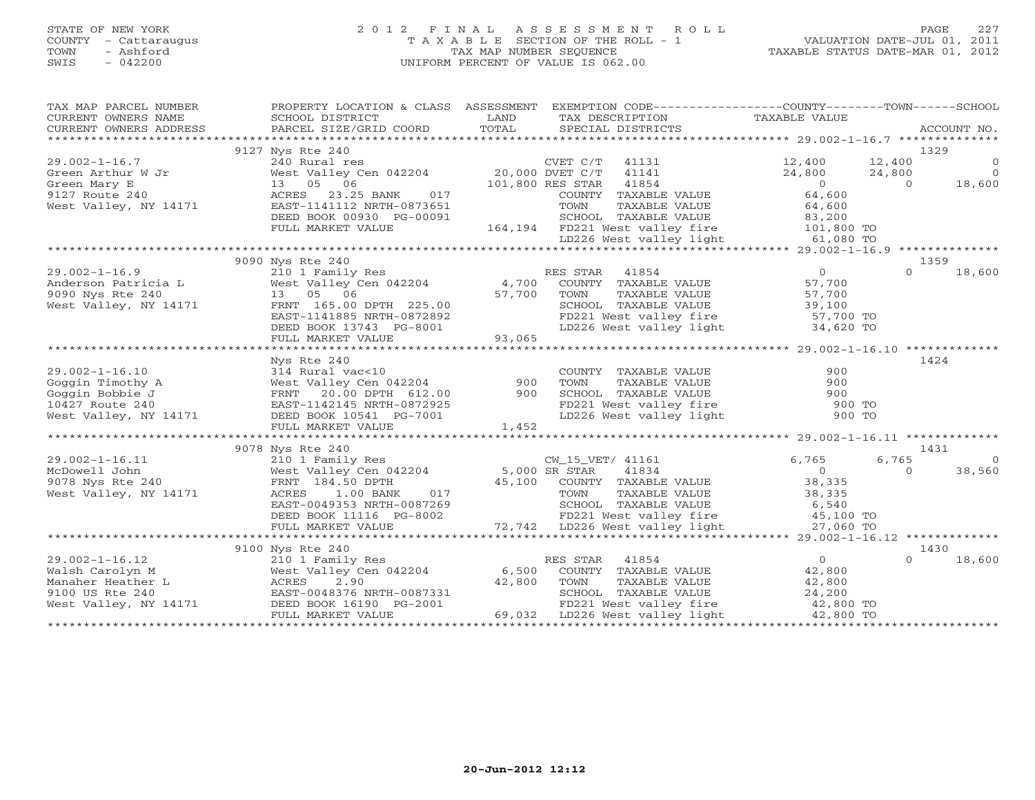# STATE OF NEW YORK 2 0 1 2 F I N A L A S S E S S M E N T R O L L PAGE 227 COUNTY - Cattaraugus T A X A B L E SECTION OF THE ROLL - 1 VALUATION DATE-JUL 01, 2011 TOWN - Ashford TAX MAP NUMBER SEQUENCE TAXABLE STATUS DATE-MAR 01, 2012 SWIS - 042200 UNIFORM PERCENT OF VALUE IS 062.00UNIFORM PERCENT OF VALUE IS 062.00

| TAX MAP PARCEL NUMBER<br>CURRENT OWNERS NAME<br>CURRENT OWNERS ADDRESS | PROPERTY LOCATION & CLASS ASSESSMENT<br>SCHOOL DISTRICT<br>PARCEL SIZE/GRID COORD | LAND<br>TOTAL   | EXEMPTION CODE-----------------COUNTY-------TOWN------SCHOOL<br>TAX DESCRIPTION<br>SPECIAL DISTRICTS | TAXABLE VALUE  |                  | ACCOUNT NO. |
|------------------------------------------------------------------------|-----------------------------------------------------------------------------------|-----------------|------------------------------------------------------------------------------------------------------|----------------|------------------|-------------|
|                                                                        |                                                                                   |                 |                                                                                                      |                |                  |             |
|                                                                        | 9127 Nys Rte 240                                                                  |                 |                                                                                                      |                | 1329             |             |
| $29.002 - 1 - 16.7$                                                    | 240 Rural res                                                                     |                 | CVET C/T<br>41131                                                                                    | 12,400         | 12,400           | $\circ$     |
| Green Arthur W Jr                                                      | West Valley Cen 042204                                                            | 20,000 DVET C/T | 41141                                                                                                | 24,800         | 24,800           | $\bigcirc$  |
| Green Mary E                                                           | 06<br>13 05                                                                       |                 | 101,800 RES STAR<br>41854                                                                            | $\Omega$       | $\Omega$         | 18,600      |
| 9127 Route 240                                                         | 017<br>ACRES<br>23.25 BANK                                                        |                 | COUNTY TAXABLE VALUE                                                                                 | 64,600         |                  |             |
| West Valley, NY 14171                                                  | EAST-1141112 NRTH-0873651                                                         |                 | TAXABLE VALUE<br>TOWN                                                                                | 64,600         |                  |             |
|                                                                        | DEED BOOK 00930 PG-00091                                                          |                 | SCHOOL TAXABLE VALUE                                                                                 | 83,200         |                  |             |
|                                                                        | FULL MARKET VALUE                                                                 |                 | 164,194 FD221 West valley fire                                                                       | 101,800 TO     |                  |             |
|                                                                        |                                                                                   |                 | LD226 West valley light                                                                              | 61,080 TO      |                  |             |
|                                                                        |                                                                                   |                 |                                                                                                      |                |                  |             |
|                                                                        | 9090 Nys Rte 240                                                                  |                 |                                                                                                      |                | 1359             |             |
| $29.002 - 1 - 16.9$                                                    | 210 1 Family Res                                                                  |                 | RES STAR<br>41854                                                                                    | $\overline{0}$ | $\Omega$         | 18,600      |
| Anderson Patricia L                                                    | West Valley Cen 042204                                                            | 4,700           | COUNTY TAXABLE VALUE                                                                                 | 57,700         |                  |             |
| 9090 Nys Rte 240                                                       | 13 05 06                                                                          | 57,700          | TOWN<br>TAXABLE VALUE                                                                                | 57,700         |                  |             |
| West Valley, NY 14171                                                  | FRNT 165.00 DPTH 225.00                                                           |                 | SCHOOL TAXABLE VALUE                                                                                 | 39,100         |                  |             |
|                                                                        | EAST-1141885 NRTH-0872892                                                         |                 |                                                                                                      | 57,700 TO      |                  |             |
|                                                                        | DEED BOOK 13743 PG-8001                                                           |                 | FD221 West valley fire<br>LD226 West valley light                                                    | 34,620 TO      |                  |             |
|                                                                        | FULL MARKET VALUE                                                                 | 93,065          |                                                                                                      |                |                  |             |
|                                                                        |                                                                                   |                 |                                                                                                      |                |                  |             |
|                                                                        | Nys Rte 240                                                                       |                 |                                                                                                      |                | 1424             |             |
| $29.002 - 1 - 16.10$                                                   | 314 Rural vac<10                                                                  |                 | COUNTY TAXABLE VALUE                                                                                 | 900            |                  |             |
| Goggin Timothy A                                                       | West Valley Cen 042204                                                            | 900             | TOWN<br>TAXABLE VALUE                                                                                | 900            |                  |             |
| Goggin Bobbie J                                                        | 20.00 DPTH 612.00<br>FRNT                                                         | 900             | SCHOOL TAXABLE VALUE                                                                                 | 900            |                  |             |
| 10427 Route 240                                                        | EAST-1142145 NRTH-0872925                                                         |                 | SUNUUL TAXABLE VALUE<br>FD221 West valley fire                                                       | 900 TO         |                  |             |
| West Valley, NY 14171                                                  | DEED BOOK 10541 PG-7001                                                           |                 | LD226 West valley light                                                                              | 900 TO         |                  |             |
|                                                                        | FULL MARKET VALUE                                                                 | 1,452           |                                                                                                      |                |                  |             |
|                                                                        |                                                                                   |                 |                                                                                                      |                |                  |             |
|                                                                        | 9078 Nys Rte 240                                                                  |                 |                                                                                                      |                | 1431             |             |
| $29.002 - 1 - 16.11$                                                   | 210 1 Family Res                                                                  |                 | CW_15_VET/ 41161                                                                                     | 6,765          | 6,765            |             |
| McDowell John                                                          | West Valley Cen 042204                                                            |                 | 5,000 SR STAR<br>41834                                                                               | $\circ$        | $\Omega$         | 38,560      |
| 9078 Nys Rte 240                                                       | FRNT 184.50 DPTH                                                                  | 45,100          | COUNTY TAXABLE VALUE                                                                                 | 38,335         |                  |             |
| West Valley, NY 14171                                                  | ACRES<br>$1.00$ BANK<br>017                                                       |                 | TOWN<br>TAXABLE VALUE                                                                                | 38,335         |                  |             |
|                                                                        | EAST-0049353 NRTH-0087269                                                         |                 | SCHOOL TAXABLE VALUE                                                                                 | 6,540          |                  |             |
|                                                                        | DEED BOOK 11116 PG-8002                                                           |                 | FD221 West valley fire                                                                               | 45,100 TO      |                  |             |
|                                                                        | FULL MARKET VALUE<br>*******************************                              |                 | $72,742$ LD226 West valley light                                                                     | 27,060 TO      |                  |             |
|                                                                        |                                                                                   |                 |                                                                                                      |                |                  |             |
|                                                                        | 9100 Nys Rte 240                                                                  |                 |                                                                                                      | $\overline{0}$ | 1430<br>$\Omega$ |             |
| $29.002 - 1 - 16.12$                                                   | 210 1 Family Res                                                                  |                 | 41854<br>RES STAR                                                                                    |                |                  | 18,600      |
| Walsh Carolyn M                                                        | West Valley Cen 042204                                                            | 6,500           | COUNTY TAXABLE VALUE                                                                                 | 42,800         |                  |             |
| Manaher Heather L                                                      | ACRES<br>2.90                                                                     | 42,800          | TOWN<br>TAXABLE VALUE                                                                                | 42,800         |                  |             |
| 9100 US Rte 240                                                        | EAST-0048376 NRTH-0087331                                                         |                 | SCHOOL TAXABLE VALUE                                                                                 | 24,200         |                  |             |
| West Valley, NY 14171                                                  | DEED BOOK 16190 PG-2001                                                           |                 | FD221 West valley fire                                                                               | 42,800 TO      |                  |             |
|                                                                        | FULL MARKET VALUE                                                                 |                 | 69,032 LD226 West valley light                                                                       | 42,800 TO      |                  |             |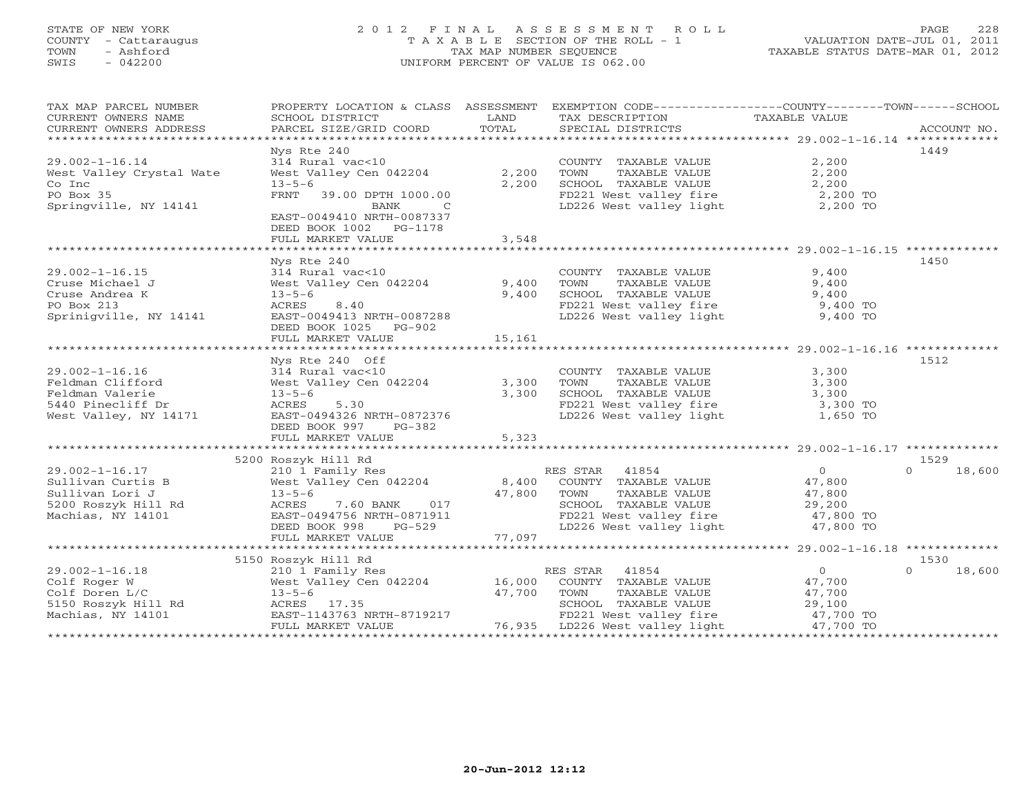# STATE OF NEW YORK 2 0 1 2 F I N A L A S S E S S M E N T R O L L PAGE 228 COUNTY - Cattaraugus T A X A B L E SECTION OF THE ROLL - 1 VALUATION DATE-JUL 01, 2011 TOWN - Ashford TAX MAP NUMBER SEQUENCE TAXABLE STATUS DATE-MAR 01, 2012 SWIS - 042200 UNIFORM PERCENT OF VALUE IS 062.00

| TAX MAP PARCEL NUMBER    |                                                  |        | PROPERTY LOCATION & CLASS ASSESSMENT EXEMPTION CODE---------------COUNTY-------TOWN------SCHOOL                                   |                      |                    |
|--------------------------|--------------------------------------------------|--------|-----------------------------------------------------------------------------------------------------------------------------------|----------------------|--------------------|
| CURRENT OWNERS NAME      | SCHOOL DISTRICT                                  | LAND   | TAX DESCRIPTION TAXABLE VALUE                                                                                                     |                      |                    |
| CURRENT OWNERS ADDRESS   | PARCEL SIZE/GRID COORD                           | TOTAL  | SPECIAL DISTRICTS                                                                                                                 |                      | ACCOUNT NO.        |
|                          |                                                  |        |                                                                                                                                   |                      |                    |
|                          | Nys Rte 240                                      |        |                                                                                                                                   |                      | 1449               |
| $29.002 - 1 - 16.14$     | 314 Rural vac<10                                 |        | COUNTY TAXABLE VALUE                                                                                                              | 2,200                |                    |
|                          | West Valley Cen 042204                           | 2,200  | TOWN<br>TAXABLE VALUE                                                                                                             | 2,200                |                    |
| West Valley Crystal Wate |                                                  |        |                                                                                                                                   |                      |                    |
| Co Inc                   | $13 - 5 - 6$                                     | 2,200  | SCHOOL TAXABLE VALUE                                                                                                              | 2,200                |                    |
| PO Box 35                | FRNT 39.00 DPTH 1000.00                          |        | FD221 West valley fire 2,200 TO<br>LD226 West valley light 2,200 TO                                                               |                      |                    |
| Springville, NY 14141    | BANK<br>$\overline{C}$                           |        |                                                                                                                                   |                      |                    |
|                          | EAST-0049410 NRTH-0087337                        |        |                                                                                                                                   |                      |                    |
|                          | DEED BOOK 1002 PG-1178                           |        |                                                                                                                                   |                      |                    |
|                          | FULL MARKET VALUE                                | 3,548  |                                                                                                                                   |                      |                    |
|                          |                                                  |        |                                                                                                                                   |                      |                    |
|                          | Nys Rte 240                                      |        |                                                                                                                                   |                      | 1450               |
| $29.002 - 1 - 16.15$     | 314 Rural vac<10                                 |        | COUNTY TAXABLE VALUE 9,400                                                                                                        |                      |                    |
| Cruse Michael J          | West Valley Cen 042204                           | 9,400  | TOWN<br>TAXABLE VALUE                                                                                                             |                      |                    |
| Cruse Andrea K           | $13 - 5 - 6$                                     | 9,400  | SCHOOL TAXABLE VALUE                                                                                                              | 9,400<br>9,400       |                    |
|                          |                                                  |        |                                                                                                                                   |                      |                    |
| PO Box 213               | ACRES<br>8.40                                    |        | FD221 West valley fire<br>LD226 West valley light                                                                                 | 9,400 TO             |                    |
| Sprinigville, NY 14141   | EAST-0049413 NRTH-0087288                        |        |                                                                                                                                   | 9,400 TO             |                    |
|                          | DEED BOOK 1025 PG-902                            |        |                                                                                                                                   |                      |                    |
|                          | FULL MARKET VALUE                                | 15,161 |                                                                                                                                   |                      |                    |
|                          |                                                  |        |                                                                                                                                   |                      |                    |
|                          | Nys Rte 240 Off                                  |        |                                                                                                                                   |                      | 1512               |
| $29.002 - 1 - 16.16$     |                                                  |        | $\begin{array}{cccc}\n\text{COUNTY} & \text{TAXABLE VALUE} & & & 3,300 \\ \hline\n\end{array}$                                    |                      |                    |
| Feldman Clifford         | 314 Rural vac<10<br>West Valley Cen 042204 3,300 |        | TOWN<br>TAXABLE VALUE                                                                                                             | 3,300                |                    |
| Feldman Valerie          | $13 - 5 - 6$                                     | 3,300  |                                                                                                                                   |                      |                    |
| 5440 Pinecliff Dr        | ACRES<br>5.30                                    |        |                                                                                                                                   |                      |                    |
| West Valley, NY 14171    | EAST-0494326 NRTH-0872376                        |        | FD221 West valley fire 3,300 TO<br>LD226 West valley light 1,650 TO                                                               |                      |                    |
|                          | DEED BOOK 997 PG-382                             |        |                                                                                                                                   |                      |                    |
|                          |                                                  |        |                                                                                                                                   |                      |                    |
|                          | FULL MARKET VALUE                                | 5,323  |                                                                                                                                   |                      |                    |
|                          |                                                  |        |                                                                                                                                   |                      |                    |
|                          | 5200 Roszyk Hill Rd                              |        |                                                                                                                                   |                      | 1529               |
| $29.002 - 1 - 16.17$     | 210 1 Family Res<br>West Valley Cen 042204 8,400 |        | RES STAR 41854                                                                                                                    | $\overline{0}$       | 18,600             |
| Sullivan Curtis B        |                                                  |        | COUNTY TAXABLE VALUE 47,800                                                                                                       |                      |                    |
| Sullivan Lori J          | $13 - 5 - 6$                                     | 47,800 | TOWN<br>TAXABLE VALUE                                                                                                             | 47,800               |                    |
| $5200$ Roszyk Hill Rd    | ACRES<br>7.60 BANK<br>017                        |        | SCHOOL TAXABLE VALUE                                                                                                              | $\frac{1}{29}$ , 200 |                    |
| Machias, NY 14101        | EAST-0494756 NRTH-0871911                        |        |                                                                                                                                   |                      |                    |
|                          | RTH-0871911<br>PG-529<br>DEED BOOK 998           |        | FD221 West valley fire $\begin{array}{ccc} 47,800 & \text{TO} \\ \text{LD226 West valley light} & 47,800 & \text{TO} \end{array}$ |                      |                    |
|                          | FULL MARKET VALUE                                | 77,097 |                                                                                                                                   |                      |                    |
|                          |                                                  |        |                                                                                                                                   |                      |                    |
|                          | 5150 Roszyk Hill Rd                              |        |                                                                                                                                   |                      | 1530               |
| $29.002 - 1 - 16.18$     | 210 1 Family Res                                 |        | RES STAR 41854                                                                                                                    | $\overline{0}$       | 18,600<br>$\Omega$ |
| Colf Roger W             | West $Valley$ Cen $042204$ 16,000                |        | COUNTY TAXABLE VALUE                                                                                                              | 47,700               |                    |
|                          |                                                  |        |                                                                                                                                   |                      |                    |
| Colf Doren L/C           | $13 - 5 - 6$                                     | 47,700 | TOWN<br>TAXABLE VALUE                                                                                                             | 47,700               |                    |
| $5150$ Roszyk Hill Rd    | ACRES 17.35                                      |        | SCHOOL TAXABLE VALUE                                                                                                              | 29,100<br>47,700 TO  |                    |
| Machias, NY 14101        | EAST-1143763 NRTH-8719217                        |        | FD221 West valley fire                                                                                                            |                      |                    |
|                          | FULL MARKET VALUE                                |        | 76,935 LD226 West valley light 47,700 TO                                                                                          |                      |                    |
|                          |                                                  |        |                                                                                                                                   |                      |                    |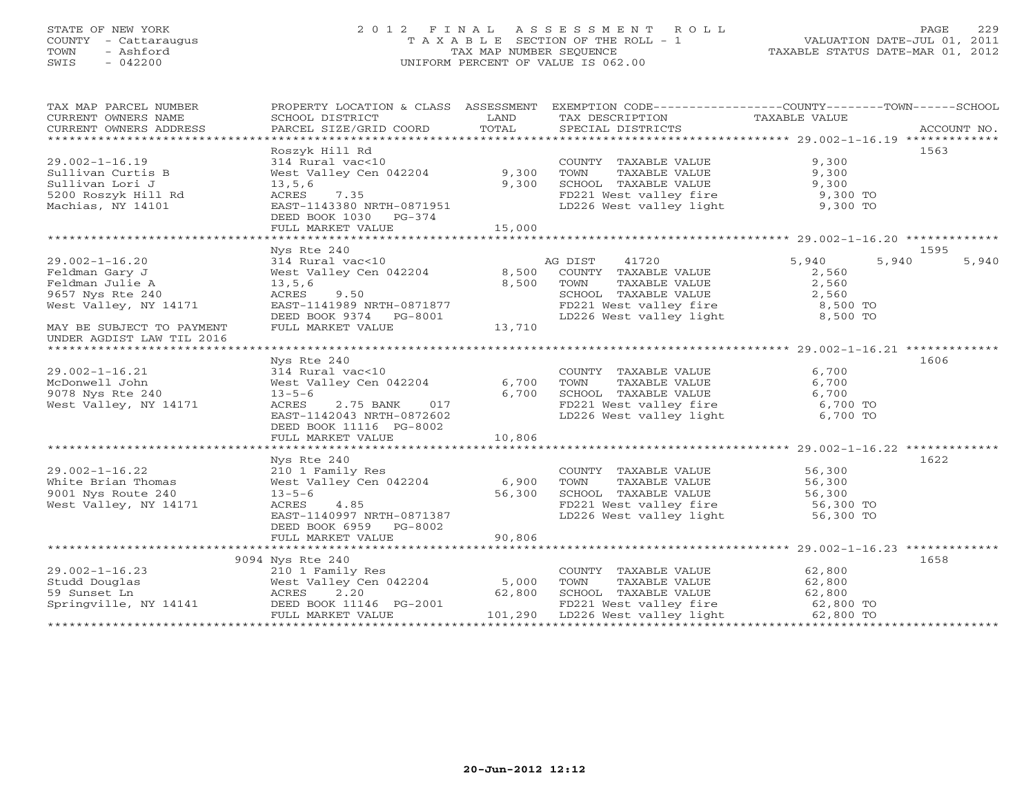## STATE OF NEW YORK 2 0 1 2 F I N A L A S S E S S M E N T R O L L PAGE 229 COUNTY - Cattaraugus T A X A B L E SECTION OF THE ROLL - 1 VALUATION DATE-JUL 01, 2011 TOWN - Ashford TAX MAP NUMBER SEQUENCE TAXABLE STATUS DATE-MAR 01, 2012 SWIS - 042200 UNIFORM PERCENT OF VALUE IS 062.00

| TAX MAP PARCEL NUMBER<br>CURRENT OWNERS NAME<br>CURRENT OWNERS ADDRESS                                   | SCHOOL DISTRICT<br>PARCEL SIZE/GRID COORD                                                                                                                      | LAND<br>TOTAL              | PROPERTY LOCATION & CLASS ASSESSMENT EXEMPTION CODE---------------COUNTY-------TOWN------SCHOOL<br>TAX DESCRIPTION<br>SPECIAL DISTRICTS                      | TAXABLE VALUE                                        | ACCOUNT NO.   |
|----------------------------------------------------------------------------------------------------------|----------------------------------------------------------------------------------------------------------------------------------------------------------------|----------------------------|--------------------------------------------------------------------------------------------------------------------------------------------------------------|------------------------------------------------------|---------------|
| $29.002 - 1 - 16.19$<br>Sullivan Curtis B<br>Sullivan Lori J<br>5200 Roszyk Hill Rd<br>Machias, NY 14101 | Roszyk Hill Rd<br>314 Rural vac<10<br>West Valley Cen 042204<br>13, 5, 6<br>ACRES<br>7.35<br>EAST-1143380 NRTH-0871951<br>DEED BOOK 1030 PG-374                | 9,300<br>9,300             | COUNTY TAXABLE VALUE<br>TOWN<br>TAXABLE VALUE<br>SCHOOL TAXABLE VALUE<br>FD221 West valley fire 9,300 TO<br>LD226 West valley light 9,300 TO                 | 9,300<br>9,300<br>9,300                              | 1563          |
|                                                                                                          | FULL MARKET VALUE                                                                                                                                              | 15,000                     |                                                                                                                                                              |                                                      |               |
| $29.002 - 1 - 16.20$<br>Feldman Gary J<br>Feldman Julie A<br>9657 Nys Rte 240                            | Nys Rte 240<br>314 Rural vac<10<br>West Valley Cen 042204<br>13, 5, 6<br>ACRES<br>9.50                                                                         | 8,500<br>8,500             | 41720<br>AG DIST<br>COUNTY TAXABLE VALUE<br>TAXABLE VALUE<br>TOWN<br>SCHOOL TAXABLE VALUE                                                                    | 5,940<br>5,940<br>2,560<br>2,560<br>2,560            | 1595<br>5,940 |
| West Valley, NY 14171<br>MAY BE SUBJECT TO PAYMENT<br>UNDER AGDIST LAW TIL 2016                          | EAST-1141989 NRTH-0871877<br>DEED BOOK 9374 PG-8001<br>FULL MARKET VALUE                                                                                       | 13,710                     | FD221 West valley fire<br>LD226 West valley light                                                                                                            | 8,500 TO<br>8,500 TO                                 |               |
| $29.002 - 1 - 16.21$<br>McDonwell John<br>9078 Nys Rte 240<br>West Valley, NY 14171                      | Nys Rte 240<br>314 Rural vac<10<br>West Valley Cen 042204<br>$13 - 5 - 6$<br>2.75 BANK<br>ACRES<br>017<br>EAST-1142043 NRTH-0872602<br>DEED BOOK 11116 PG-8002 | 6,700<br>6,700             | COUNTY TAXABLE VALUE<br>TOWN<br>TAXABLE VALUE<br>SCHOOL TAXABLE VALUE<br>FD221 West valley fire<br>LD226 West valley light                                   | 6,700<br>6,700<br>6,700<br>6,700 TO<br>6,700 TO      | 1606          |
|                                                                                                          | FULL MARKET VALUE                                                                                                                                              | 10,806                     |                                                                                                                                                              |                                                      |               |
| $29.002 - 1 - 16.22$<br>White Brian Thomas<br>9001 Nys Route 240<br>West Valley, NY 14171                | Nys Rte 240<br>210 1 Family Res<br>West Valley Cen 042204 6,900<br>$13 - 5 - 6$<br>ACRES<br>4.85<br>EAST-1140997 NRTH-0871387<br>DEED BOOK 6959 PG-8002        | 56,300                     | COUNTY TAXABLE VALUE<br>TOWN<br>TAXABLE VALUE<br>SCHOOL TAXABLE VALUE<br>SCHOOL TAXABLE VALUE<br>FD221 West valley fire<br>LD226 West valley light 56,300 TO | 56,300<br>56,300<br>56,300<br>56,300 TO              | 1622          |
|                                                                                                          | FULL MARKET VALUE                                                                                                                                              | 90,806                     |                                                                                                                                                              |                                                      |               |
| $29.002 - 1 - 16.23$<br>Studd Douglas<br>59 Sunset Ln<br>Springville, NY 14141                           | 9094 Nys Rte 240<br>210 1 Family Res<br>West Valley Cen 042204<br>ACRES<br>2.20<br>DEED BOOK 11146 PG-2001<br>FULL MARKET VALUE                                | 5,000<br>62,800<br>101,290 | COUNTY TAXABLE VALUE<br>TOWN<br>TAXABLE VALUE<br>SCHOOL TAXABLE VALUE<br>FD221 West valley fire<br>LD226 West valley light                                   | 62,800<br>62,800<br>62,800<br>62,800 TO<br>62,800 TO | 1658          |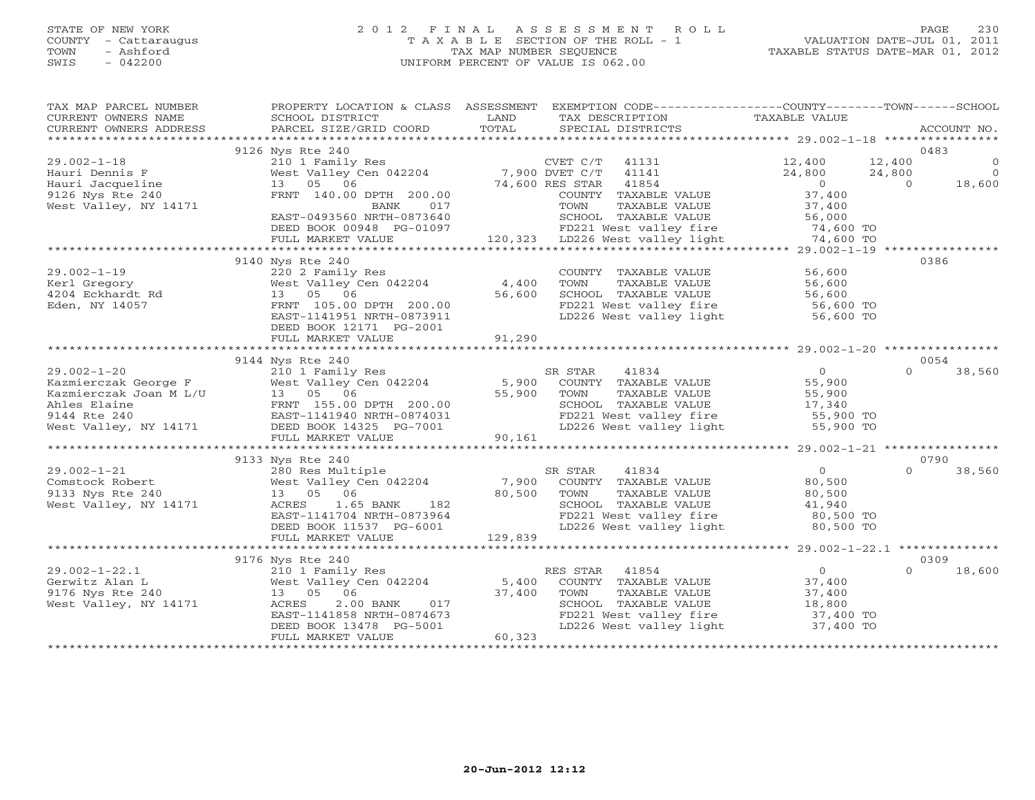## STATE OF NEW YORK 2 0 1 2 F I N A L A S S E S S M E N T R O L L PAGE 230 COUNTY - Cattaraugus T A X A B L E SECTION OF THE ROLL - 1 VALUATION DATE-JUL 01, 2011 TOWN - Ashford TAX MAP NUMBER SEQUENCE TAXABLE STATUS DATE-MAR 01, 2012 SWIS - 042200 UNIFORM PERCENT OF VALUE IS 062.00UNIFORM PERCENT OF VALUE IS 062.00

| TAX MAP PARCEL NUMBER<br>CURRENT OWNERS NAME<br>CURRENT OWNERS ADDRESS                                                                                                                               | SCHOOL DISTRICT<br>PARCEL SIZE/GRID COORD                      | LAND<br>TOTAL | PROPERTY LOCATION & CLASS ASSESSMENT EXEMPTION CODE----------------COUNTY-------TOWN------SCHOOL<br>TAX DESCRIPTION<br>SERCIAL DISTRICTS<br>SPECIAL DISTRICTS |                                   |          | ACCOUNT NO.    |
|------------------------------------------------------------------------------------------------------------------------------------------------------------------------------------------------------|----------------------------------------------------------------|---------------|---------------------------------------------------------------------------------------------------------------------------------------------------------------|-----------------------------------|----------|----------------|
|                                                                                                                                                                                                      |                                                                |               |                                                                                                                                                               |                                   |          |                |
|                                                                                                                                                                                                      | 9126 Nys Rte 240                                               |               |                                                                                                                                                               |                                   | 0483     |                |
| $29.002 - 1 - 18$                                                                                                                                                                                    | 210 1 Family Res                                               |               | CVET $C/T$ 41131                                                                                                                                              | 12,400                            | 12,400   | $\circ$        |
| Hauri Dennis F                                                                                                                                                                                       | West Valley Cen $042204$ 7,900 DVET C/T                        |               | 41141                                                                                                                                                         | 24,800                            | 24,800   | $\overline{a}$ |
| Hauri Jacqueline                                                                                                                                                                                     | 13 05 06                                                       |               | 74,600 RES STAR 41854                                                                                                                                         | $\overline{0}$                    | $\Omega$ | 18,600         |
| 9126 Nys Rte 240                                                                                                                                                                                     | FRNT 140.00 DPTH 200.00                                        |               | COUNTY TAXABLE VALUE                                                                                                                                          | 37,400                            |          |                |
| West Valley, NY 14171                                                                                                                                                                                | BANK<br>017                                                    |               | TOWN<br>TAXABLE VALUE                                                                                                                                         | 37,400                            |          |                |
|                                                                                                                                                                                                      | EAST-0493560 NRTH-0873640                                      |               | SCHOOL TAXABLE VALUE                                                                                                                                          | 56,000                            |          |                |
|                                                                                                                                                                                                      | DEED BOOK 00948 PG-01097                                       |               | FD221 West valley fire                                                                                                                                        | 74,600 TO                         |          |                |
|                                                                                                                                                                                                      | FULL MARKET VALUE                                              |               | 120,323 LD226 West valley light                                                                                                                               | 74,600 TO                         |          |                |
|                                                                                                                                                                                                      |                                                                |               |                                                                                                                                                               |                                   |          |                |
|                                                                                                                                                                                                      | 9140 Nys Rte 240                                               |               |                                                                                                                                                               |                                   | 0386     |                |
| $29.002 - 1 - 19$                                                                                                                                                                                    | 220 2 Family Res                                               |               | COUNTY TAXABLE VALUE                                                                                                                                          | 56,600                            |          |                |
| Kerl Gregory                                                                                                                                                                                         | West Valley Cen 042204                                         | 4,400         | TAXABLE VALUE<br>TOWN                                                                                                                                         | 56,600                            |          |                |
| 4204 Eckhardt Rd<br>Eden, NY 14057                                                                                                                                                                   | 13 05 06                                                       | 56,600        | SCHOOL TAXABLE VALUE                                                                                                                                          | 56,600                            |          |                |
|                                                                                                                                                                                                      | FRNT 105.00 DPTH 200.00                                        |               | FD221 West valley fire 56,600 TO                                                                                                                              |                                   |          |                |
|                                                                                                                                                                                                      | EAST-1141951 NRTH-0873911                                      |               | LD226 West valley light                                                                                                                                       | 56,600 TO                         |          |                |
|                                                                                                                                                                                                      | DEED BOOK 12171 PG-2001                                        |               |                                                                                                                                                               |                                   |          |                |
|                                                                                                                                                                                                      | FULL MARKET VALUE                                              | 91,290        |                                                                                                                                                               |                                   |          |                |
|                                                                                                                                                                                                      |                                                                |               |                                                                                                                                                               |                                   |          |                |
|                                                                                                                                                                                                      | 9144 Nys Rte 240                                               |               |                                                                                                                                                               |                                   | 0054     |                |
| $29.002 - 1 - 20$<br>Kazmierczak George F                                                                                                                                                            | 210 1 Family Res<br>210 1 Family Res<br>West Valley Cen 042204 |               | 41834<br>SR STAR                                                                                                                                              | $\overline{0}$                    | $\Omega$ | 38,560         |
|                                                                                                                                                                                                      |                                                                |               | 5,900 COUNTY TAXABLE VALUE                                                                                                                                    | 55,900                            |          |                |
|                                                                                                                                                                                                      |                                                                | 55,900        | TAXABLE VALUE<br>TOWN                                                                                                                                         | ۔ , رو<br>17, 340<br>חף –         |          |                |
|                                                                                                                                                                                                      |                                                                |               | SCHOOL TAXABLE VALUE                                                                                                                                          |                                   |          |                |
|                                                                                                                                                                                                      |                                                                |               | FD221 West valley fire                                                                                                                                        | 55,900 TO                         |          |                |
| Examiencial Joan M L/U<br>Examiencial Joan M L/U<br>200.00<br>200.00<br>2014 Rte 240<br>2014 Rte 240<br>2014 Rte 240<br>2014 Rte 240<br>2014 Rte 240<br>2014 Rte 240<br>2021 BEED BOOK 14325<br>2021 |                                                                |               | LD226 West valley light                                                                                                                                       | 55,900 TO                         |          |                |
|                                                                                                                                                                                                      | FULL MARKET VALUE                                              | 90,161        |                                                                                                                                                               |                                   |          |                |
|                                                                                                                                                                                                      |                                                                |               |                                                                                                                                                               |                                   | 0790     |                |
| $29.002 - 1 - 21$                                                                                                                                                                                    | 9133 Nys Rte 240<br>280 Res Multiple                           |               | SR STAR<br>41834                                                                                                                                              | $\overline{0}$                    | $\Omega$ |                |
| Comstock Robert                                                                                                                                                                                      | West Valley Cen 042204                                         |               | 7,900 COUNTY TAXABLE VALUE                                                                                                                                    | 80,500                            |          | 38,560         |
|                                                                                                                                                                                                      |                                                                |               |                                                                                                                                                               |                                   |          |                |
| 9133 Nys Rte 240<br>West Valley, NY 14171                                                                                                                                                            | 13 05<br>06<br>ACRES<br>1.65 BANK<br>182                       | 80,500        | TOWN<br>TAXABLE VALUE<br>SCHOOL TAXABLE VALUE                                                                                                                 | 80,500<br>$41,940$<br>$80,500$ TO |          |                |
|                                                                                                                                                                                                      | EAST-1141704 NRTH-0873964                                      |               |                                                                                                                                                               |                                   |          |                |
|                                                                                                                                                                                                      | DEED BOOK 11537 PG-6001                                        |               | FD221 West valley fire 30,500 TO<br>LD226 West valley light 30,500 TO                                                                                         |                                   |          |                |
|                                                                                                                                                                                                      | FULL MARKET VALUE                                              | 129,839       |                                                                                                                                                               |                                   |          |                |
|                                                                                                                                                                                                      |                                                                |               |                                                                                                                                                               |                                   |          |                |
|                                                                                                                                                                                                      | 9176 Nys Rte 240                                               |               |                                                                                                                                                               |                                   | 0309     |                |
| $29.002 - 1 - 22.1$                                                                                                                                                                                  |                                                                |               | RES STAR<br>41854                                                                                                                                             | $\overline{0}$                    | $\Omega$ | 18,600         |
| Gerwitz Alan L                                                                                                                                                                                       | 210 1 Family Res<br>West Valley Cen 042204                     | 5,400         | COUNTY TAXABLE VALUE                                                                                                                                          | 37,400                            |          |                |
| 9176 Nys Rte 240                                                                                                                                                                                     | 13 05 06                                                       | 37,400        | TOWN<br>TAXABLE VALUE                                                                                                                                         | 37,400                            |          |                |
| West Valley, NY 14171                                                                                                                                                                                | 017<br>ACRES<br>$2.00$ BANK                                    |               | SCHOOL TAXABLE VALUE                                                                                                                                          | 18,800                            |          |                |
|                                                                                                                                                                                                      | EAST-1141858 NRTH-0874673                                      |               |                                                                                                                                                               |                                   |          |                |
|                                                                                                                                                                                                      | DEED BOOK 13478 PG-5001                                        |               | FD221 West valley fire<br>LD226 West valley light                                                                                                             | $37,400$ TO<br>37,400 TO          |          |                |
|                                                                                                                                                                                                      | FULL MARKET VALUE                                              | 60,323        |                                                                                                                                                               |                                   |          |                |
|                                                                                                                                                                                                      |                                                                |               |                                                                                                                                                               |                                   |          |                |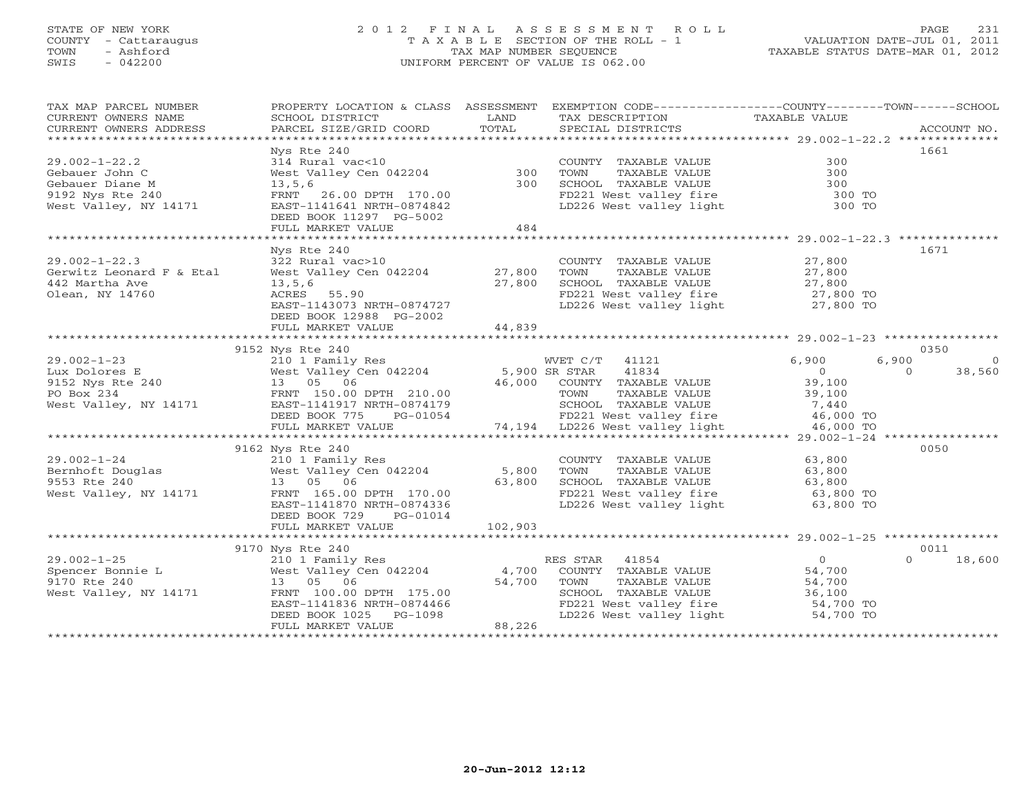# STATE OF NEW YORK 2 0 1 2 F I N A L A S S E S S M E N T R O L L PAGE 231 COUNTY - Cattaraugus T A X A B L E SECTION OF THE ROLL - 1 VALUATION DATE-JUL 01, 2011 TOWN - Ashford COMPUTER SEQUENCE TAX MAP NUMBER SEQUENCE TAXABLE STATUS DATE-MAR 01, 2012<br>
TAX MAP NUMBER SEQUENCE TAXABLE STATUS DATE-MAR 01, 2012<br>
SWIS - 042200 SWIS - 042200 UNIFORM PERCENT OF VALUE IS 062.00

| TAX MAP PARCEL NUMBER<br>CURRENT OWNERS NAME<br>CURRENT OWNERS ADDRESS                    | PROPERTY LOCATION & CLASS ASSESSMENT<br>SCHOOL DISTRICT<br>PARCEL SIZE/GRID COORD | LAND<br>TOTAL | EXEMPTION CODE-----------------COUNTY-------TOWN------SCHOOL<br>TAX DESCRIPTION<br>SPECIAL DISTRICTS | TAXABLE VALUE          | ACCOUNT NO.        |
|-------------------------------------------------------------------------------------------|-----------------------------------------------------------------------------------|---------------|------------------------------------------------------------------------------------------------------|------------------------|--------------------|
|                                                                                           |                                                                                   |               |                                                                                                      |                        |                    |
|                                                                                           | Nys Rte 240                                                                       |               |                                                                                                      |                        | 1661               |
| $29.002 - 1 - 22.2$                                                                       | 314 Rural vac<10                                                                  |               | COUNTY TAXABLE VALUE                                                                                 | 300                    |                    |
| Gebauer John C                                                                            | West Valley Cen 042204                                                            | 300           | TOWN<br>TAXABLE VALUE                                                                                | 300                    |                    |
| Gebauer Diane M                                                                           | 13, 5, 6                                                                          | 300           | SCHOOL TAXABLE VALUE                                                                                 | 300                    |                    |
| 9192 Nys Rte 240                                                                          | FRNT 26.00 DPTH 170.00                                                            |               | FD221 West valley fire                                                                               | 300 TO                 |                    |
| West Valley, NY 14171                                                                     | EAST-1141641 NRTH-0874842                                                         |               | LD226 West valley light                                                                              | 300 TO                 |                    |
|                                                                                           | DEED BOOK 11297 PG-5002                                                           |               |                                                                                                      |                        |                    |
|                                                                                           | FULL MARKET VALUE                                                                 | 484           |                                                                                                      |                        |                    |
|                                                                                           |                                                                                   |               |                                                                                                      |                        |                    |
|                                                                                           | Nys Rte 240                                                                       |               |                                                                                                      |                        | 1671               |
| $29.002 - 1 - 22.3$                                                                       | 322 Rural vac>10                                                                  |               | COUNTY TAXABLE VALUE 27,800                                                                          |                        |                    |
| Gerwitz Leonard F & Etal                                                                  | West Valley Cen 042204 27,800                                                     |               | TOWN<br>TAXABLE VALUE                                                                                |                        |                    |
| 442 Martha Ave                                                                            | 13, 5, 6                                                                          | 27,800        | SCHOOL TAXABLE VALUE                                                                                 | 27,800<br>27,800       |                    |
| Olean, NY 14760                                                                           | ACRES<br>55.90                                                                    |               |                                                                                                      |                        |                    |
|                                                                                           | EAST-1143073 NRTH-0874727                                                         |               | FD221 West valley fire<br>LD226 West valley light                                                    | 27,800 TO<br>27,800 TO |                    |
|                                                                                           |                                                                                   |               |                                                                                                      |                        |                    |
|                                                                                           | DEED BOOK 12988 PG-2002                                                           |               |                                                                                                      |                        |                    |
|                                                                                           | FULL MARKET VALUE                                                                 | 44,839        |                                                                                                      |                        |                    |
|                                                                                           |                                                                                   |               |                                                                                                      |                        |                    |
|                                                                                           | 9152 Nys Rte 240                                                                  |               |                                                                                                      |                        | 0350               |
| $29.002 - 1 - 23$                                                                         |                                                                                   |               | WVET C/T 41121                                                                                       | 6,900                  | 6,900<br>$\Omega$  |
| Lux Dolores E<br>Lux Dolores E<br>9152 Nys Rte 240<br>PO Box 234<br>West Valley, NY 14171 |                                                                                   |               | 41834                                                                                                | $\overline{0}$         | 38,560<br>$\Omega$ |
|                                                                                           | 13 05 06                                                                          |               | 46,000 COUNTY TAXABLE VALUE                                                                          | 39,100                 |                    |
|                                                                                           | FRNT 150.00 DPTH 210.00                                                           |               | TAXABLE VALUE<br>TOWN                                                                                | 39,100                 |                    |
|                                                                                           | EAST-1141917 NRTH-0874179                                                         |               | SCHOOL TAXABLE VALUE                                                                                 | 7,440                  |                    |
|                                                                                           | DEED BOOK 775<br>PG-01054                                                         |               | FD221 West valley fire<br>74,194 LD226 West valley light                                             | 46,000 TO              |                    |
|                                                                                           | FULL MARKET VALUE                                                                 |               |                                                                                                      | 46,000 TO              |                    |
|                                                                                           |                                                                                   |               |                                                                                                      |                        |                    |
|                                                                                           | 9162 Nys Rte 240                                                                  |               |                                                                                                      |                        | 0050               |
| $29.002 - 1 - 24$                                                                         |                                                                                   |               | COUNTY TAXABLE VALUE                                                                                 | 63,800                 |                    |
| Bernhoft Douglas                                                                          | 210 1 Family Res<br>West Valley Cen 042204                                        | 5,800         | TOWN<br>TAXABLE VALUE                                                                                | 63,800                 |                    |
| 9553 Rte 240                                                                              | 13 05 06                                                                          | 63,800        | SCHOOL TAXABLE VALUE                                                                                 |                        |                    |
| West Valley, NY 14171                                                                     | FRNT 165.00 DPTH 170.00                                                           |               |                                                                                                      | 63,800<br>63,800 TO    |                    |
|                                                                                           | EAST-1141870 NRTH-0874336                                                         |               | FD221 West valley fire 63,800 TO<br>LD226 West valley light 63,800 TO                                |                        |                    |
|                                                                                           | DEED BOOK 729<br>PG-01014                                                         |               |                                                                                                      |                        |                    |
|                                                                                           | FULL MARKET VALUE                                                                 | 102,903       |                                                                                                      |                        |                    |
|                                                                                           |                                                                                   |               |                                                                                                      |                        |                    |
|                                                                                           | 9170 Nys Rte 240                                                                  |               |                                                                                                      |                        | 0011               |
| $29.002 - 1 - 25$                                                                         |                                                                                   |               | RES STAR 41854                                                                                       | $\overline{0}$         | $\Omega$<br>18,600 |
|                                                                                           | 210 1 Family Res<br>West Valley Cen $042204$ 4,700                                |               |                                                                                                      |                        |                    |
| Spencer Bonnie L                                                                          | 13 05 06                                                                          |               | COUNTY TAXABLE VALUE                                                                                 | 54,700                 |                    |
| 9170 Rte 240                                                                              |                                                                                   | 54,700        | TAXABLE VALUE<br>TOWN                                                                                | 54,700                 |                    |
| West Valley, NY 14171                                                                     | FRNT 100.00 DPTH 175.00                                                           |               | SCHOOL TAXABLE VALUE                                                                                 | 36,100                 |                    |
|                                                                                           | EAST-1141836 NRTH-0874466                                                         |               | FD221 West valley fire<br>LD226 West valley light                                                    | $54,700$ TO            |                    |
|                                                                                           | DEED BOOK 1025<br>PG-1098                                                         |               |                                                                                                      | 54,700 TO              |                    |
|                                                                                           | FULL MARKET VALUE                                                                 | 88,226        |                                                                                                      |                        |                    |
|                                                                                           |                                                                                   |               |                                                                                                      |                        |                    |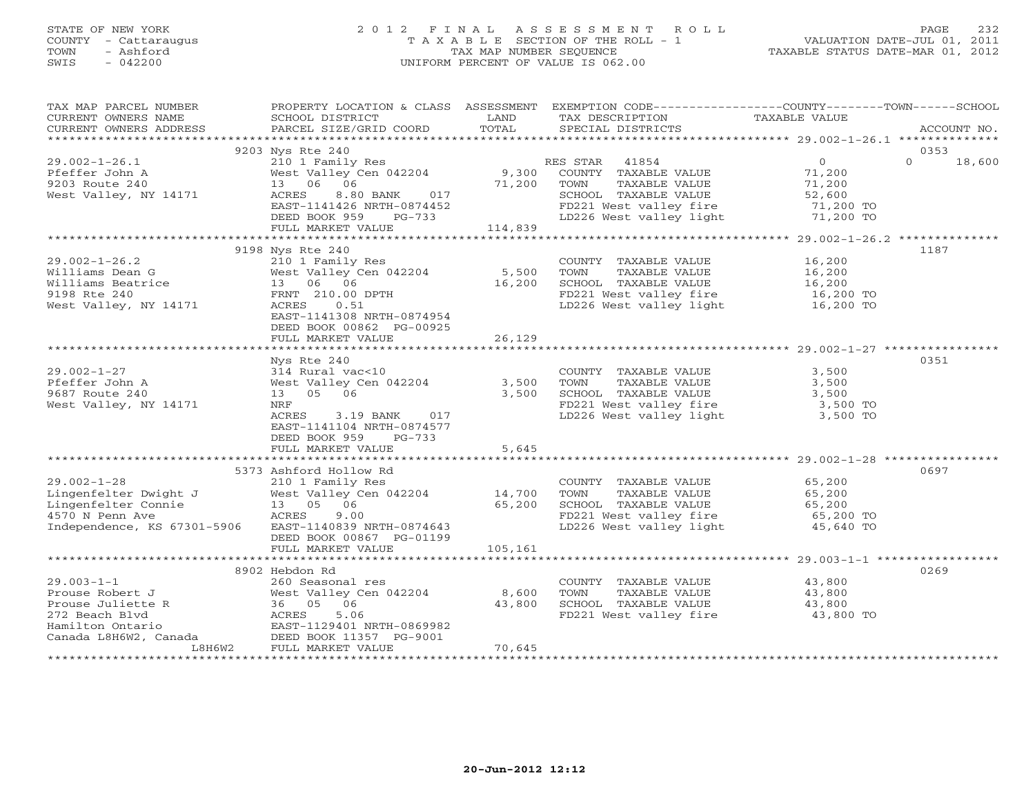## STATE OF NEW YORK 2 0 1 2 F I N A L A S S E S S M E N T R O L L PAGE 232 COUNTY - Cattaraugus T A X A B L E SECTION OF THE ROLL - 1 VALUATION DATE-JUL 01, 2011 TOWN - Ashford TAX MAP NUMBER SEQUENCE TAXABLE STATUS DATE-MAR 01, 2012 SWIS - 042200 UNIFORM PERCENT OF VALUE IS 062.00UNIFORM PERCENT OF VALUE IS 062.00

| TOTAL<br>CURRENT OWNERS ADDRESS<br>PARCEL SIZE/GRID COORD<br>SPECIAL DISTRICTS<br>ACCOUNT NO.<br>9203 Nys Rte 240<br>0353<br>$\overline{0}$<br>$\Omega$<br>18,600<br>$29.002 - 1 - 26.1$<br>71,200<br>Pfeffer John A<br>71,200<br>9203 Route 240<br>13 06 06<br>TAXABLE VALUE<br>TOWN<br>71,200<br>West Valley, NY 14171<br>ACRES<br>8.80 BANK 017<br>SCHOOL TAXABLE VALUE<br>52,600<br>FD221 West valley fire 71,200 TO<br>EAST-1141426 NRTH-0874452<br>LD226 West valley light<br>DEED BOOK 959 PG-733<br>71,200 TO<br>114,839<br>FULL MARKET VALUE<br>9198 Nys Rte 240<br>1187<br>$29.002 - 1 - 26.2$<br>210 1 Family Res<br>COUNTY TAXABLE VALUE 16,200<br>Villiams Dean G Mest Valley (<br>Williams Beatrice 13 06 06<br>11 06 06<br>West Valley Cen 042204<br>5,500<br>TOWN      TAXABLE VALUE<br>SCHOOL   TAXABLE VALUE<br>16,200<br>16,200<br>16,200<br>9198 Rte 240<br>FRNT 210.00 DPTH |
|--------------------------------------------------------------------------------------------------------------------------------------------------------------------------------------------------------------------------------------------------------------------------------------------------------------------------------------------------------------------------------------------------------------------------------------------------------------------------------------------------------------------------------------------------------------------------------------------------------------------------------------------------------------------------------------------------------------------------------------------------------------------------------------------------------------------------------------------------------------------------------------------------|
|                                                                                                                                                                                                                                                                                                                                                                                                                                                                                                                                                                                                                                                                                                                                                                                                                                                                                                  |
|                                                                                                                                                                                                                                                                                                                                                                                                                                                                                                                                                                                                                                                                                                                                                                                                                                                                                                  |
|                                                                                                                                                                                                                                                                                                                                                                                                                                                                                                                                                                                                                                                                                                                                                                                                                                                                                                  |
|                                                                                                                                                                                                                                                                                                                                                                                                                                                                                                                                                                                                                                                                                                                                                                                                                                                                                                  |
|                                                                                                                                                                                                                                                                                                                                                                                                                                                                                                                                                                                                                                                                                                                                                                                                                                                                                                  |
|                                                                                                                                                                                                                                                                                                                                                                                                                                                                                                                                                                                                                                                                                                                                                                                                                                                                                                  |
|                                                                                                                                                                                                                                                                                                                                                                                                                                                                                                                                                                                                                                                                                                                                                                                                                                                                                                  |
|                                                                                                                                                                                                                                                                                                                                                                                                                                                                                                                                                                                                                                                                                                                                                                                                                                                                                                  |
|                                                                                                                                                                                                                                                                                                                                                                                                                                                                                                                                                                                                                                                                                                                                                                                                                                                                                                  |
|                                                                                                                                                                                                                                                                                                                                                                                                                                                                                                                                                                                                                                                                                                                                                                                                                                                                                                  |
|                                                                                                                                                                                                                                                                                                                                                                                                                                                                                                                                                                                                                                                                                                                                                                                                                                                                                                  |
|                                                                                                                                                                                                                                                                                                                                                                                                                                                                                                                                                                                                                                                                                                                                                                                                                                                                                                  |
|                                                                                                                                                                                                                                                                                                                                                                                                                                                                                                                                                                                                                                                                                                                                                                                                                                                                                                  |
|                                                                                                                                                                                                                                                                                                                                                                                                                                                                                                                                                                                                                                                                                                                                                                                                                                                                                                  |
|                                                                                                                                                                                                                                                                                                                                                                                                                                                                                                                                                                                                                                                                                                                                                                                                                                                                                                  |
| FD221 West valley fire 16,200 TO<br>LD226 West valley light 16,200 TO<br>West Valley, NY 14171<br>ACRES<br>0.51                                                                                                                                                                                                                                                                                                                                                                                                                                                                                                                                                                                                                                                                                                                                                                                  |
| EAST-1141308 NRTH-0874954                                                                                                                                                                                                                                                                                                                                                                                                                                                                                                                                                                                                                                                                                                                                                                                                                                                                        |
| DEED BOOK 00862 PG-00925                                                                                                                                                                                                                                                                                                                                                                                                                                                                                                                                                                                                                                                                                                                                                                                                                                                                         |
| 26,129<br>FULL MARKET VALUE                                                                                                                                                                                                                                                                                                                                                                                                                                                                                                                                                                                                                                                                                                                                                                                                                                                                      |
|                                                                                                                                                                                                                                                                                                                                                                                                                                                                                                                                                                                                                                                                                                                                                                                                                                                                                                  |
| 0351<br>Nys Rte 240                                                                                                                                                                                                                                                                                                                                                                                                                                                                                                                                                                                                                                                                                                                                                                                                                                                                              |
| $29.002 - 1 - 27$<br>3,500<br>314 Rural vac<10<br>COUNTY TAXABLE VALUE                                                                                                                                                                                                                                                                                                                                                                                                                                                                                                                                                                                                                                                                                                                                                                                                                           |
| West Valley Cen 042204<br>3,500<br>Pfeffer John A<br>TOWN<br>TAXABLE VALUE<br>3,500                                                                                                                                                                                                                                                                                                                                                                                                                                                                                                                                                                                                                                                                                                                                                                                                              |
| 3,500<br>9687 Route 240<br>13 05 06<br>SCHOOL TAXABLE VALUE                                                                                                                                                                                                                                                                                                                                                                                                                                                                                                                                                                                                                                                                                                                                                                                                                                      |
| SCHOOL TAXABLE VALUE 3,500<br>FD221 West valley fire 3,500 TO<br>West Valley, NY 14171<br><b>NRF</b>                                                                                                                                                                                                                                                                                                                                                                                                                                                                                                                                                                                                                                                                                                                                                                                             |
| LD226 West valley light<br>ACRES<br>3.19 BANK 017<br>3,500 TO                                                                                                                                                                                                                                                                                                                                                                                                                                                                                                                                                                                                                                                                                                                                                                                                                                    |
| EAST-1141104 NRTH-0874577                                                                                                                                                                                                                                                                                                                                                                                                                                                                                                                                                                                                                                                                                                                                                                                                                                                                        |
| DEED BOOK 959<br>PG-733                                                                                                                                                                                                                                                                                                                                                                                                                                                                                                                                                                                                                                                                                                                                                                                                                                                                          |
| 5,645<br>FULL MARKET VALUE                                                                                                                                                                                                                                                                                                                                                                                                                                                                                                                                                                                                                                                                                                                                                                                                                                                                       |
|                                                                                                                                                                                                                                                                                                                                                                                                                                                                                                                                                                                                                                                                                                                                                                                                                                                                                                  |
| 0697<br>5373 Ashford Hollow Rd                                                                                                                                                                                                                                                                                                                                                                                                                                                                                                                                                                                                                                                                                                                                                                                                                                                                   |
| 65,200<br>$29.002 - 1 - 28$<br>COUNTY TAXABLE VALUE<br>210 1 Family Res                                                                                                                                                                                                                                                                                                                                                                                                                                                                                                                                                                                                                                                                                                                                                                                                                          |
| West Valley Cen 042204 14,700<br>65,200<br>65,200<br>TOWN<br>TAXABLE VALUE                                                                                                                                                                                                                                                                                                                                                                                                                                                                                                                                                                                                                                                                                                                                                                                                                       |
| 65,200<br>SCHOOL TAXABLE VALUE                                                                                                                                                                                                                                                                                                                                                                                                                                                                                                                                                                                                                                                                                                                                                                                                                                                                   |
| FD221 West valley fire<br>LD226 West valley light<br>4570 N Penn Ave<br>ACRES<br>9.00<br>$65,200$ TO                                                                                                                                                                                                                                                                                                                                                                                                                                                                                                                                                                                                                                                                                                                                                                                             |
| Independence, KS 67301-5906<br>EAST-1140839 NRTH-0874643<br>45,640 TO                                                                                                                                                                                                                                                                                                                                                                                                                                                                                                                                                                                                                                                                                                                                                                                                                            |
| DEED BOOK 00867 PG-01199                                                                                                                                                                                                                                                                                                                                                                                                                                                                                                                                                                                                                                                                                                                                                                                                                                                                         |
| 105,161<br>FULL MARKET VALUE                                                                                                                                                                                                                                                                                                                                                                                                                                                                                                                                                                                                                                                                                                                                                                                                                                                                     |
|                                                                                                                                                                                                                                                                                                                                                                                                                                                                                                                                                                                                                                                                                                                                                                                                                                                                                                  |
| 0269<br>8902 Hebdon Rd                                                                                                                                                                                                                                                                                                                                                                                                                                                                                                                                                                                                                                                                                                                                                                                                                                                                           |
| $29.003 - 1 - 1$<br>43,800<br>260 Seasonal res<br>COUNTY TAXABLE VALUE                                                                                                                                                                                                                                                                                                                                                                                                                                                                                                                                                                                                                                                                                                                                                                                                                           |
| 43,800<br>West Valley Cen 042204 8,600<br>TAXABLE VALUE<br>Prouse Robert J<br>TOWN                                                                                                                                                                                                                                                                                                                                                                                                                                                                                                                                                                                                                                                                                                                                                                                                               |
| 43,800<br>Prouse Juliette R<br>36 05 06<br>SCHOOL TAXABLE VALUE 43,800<br>FD221 West valley fire 43,800 TO                                                                                                                                                                                                                                                                                                                                                                                                                                                                                                                                                                                                                                                                                                                                                                                       |
| 272 Beach Blvd<br>ACRES<br>5.06                                                                                                                                                                                                                                                                                                                                                                                                                                                                                                                                                                                                                                                                                                                                                                                                                                                                  |
| Hamilton Ontario<br>EAST-1129401 NRTH-0869982                                                                                                                                                                                                                                                                                                                                                                                                                                                                                                                                                                                                                                                                                                                                                                                                                                                    |
| Canada L8H6W2, Canada<br>DEED BOOK 11357 PG-9001<br>T.8H6W2                                                                                                                                                                                                                                                                                                                                                                                                                                                                                                                                                                                                                                                                                                                                                                                                                                      |
| FULL MARKET VALUE<br>70,645                                                                                                                                                                                                                                                                                                                                                                                                                                                                                                                                                                                                                                                                                                                                                                                                                                                                      |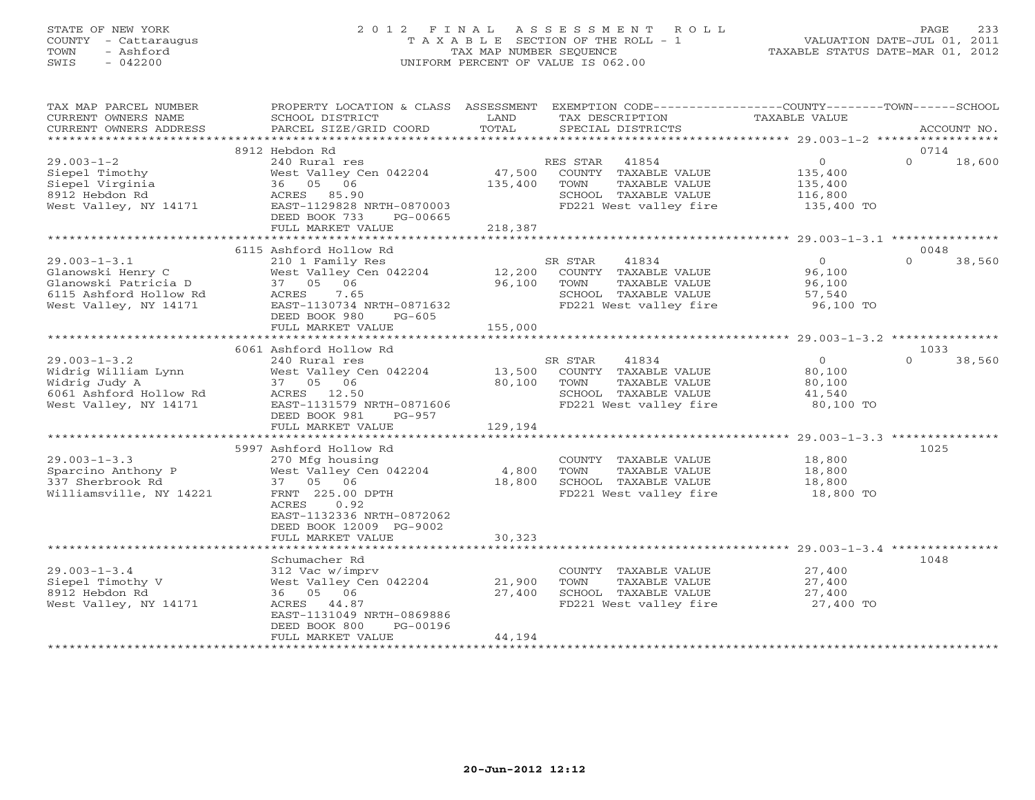# STATE OF NEW YORK 2 0 1 2 F I N A L A S S E S S M E N T R O L L PAGE 233 COUNTY - Cattaraugus T A X A B L E SECTION OF THE ROLL - 1 VALUATION DATE-JUL 01, 2011 TOWN - Ashford TAX MAP NUMBER SEQUENCE TAXABLE STATUS DATE-MAR 01, 2012 SWIS - 042200 UNIFORM PERCENT OF VALUE IS 062.00UNIFORM PERCENT OF VALUE IS 062.00

| TAX MAP PARCEL NUMBER<br>CURRENT OWNERS NAME<br>CURRENT OWNERS ADDRESS                                             | PROPERTY LOCATION & CLASS ASSESSMENT EXEMPTION CODE----------------COUNTY-------TOWN------SCHOOL<br>SCHOOL DISTRICT<br>PARCEL SIZE/GRID COORD                                | LAND<br>TOTAL                | TAX DESCRIPTION<br>SPECIAL DISTRICTS                                                                                | TAXABLE VALUE                                                 | ACCOUNT NO.                |
|--------------------------------------------------------------------------------------------------------------------|------------------------------------------------------------------------------------------------------------------------------------------------------------------------------|------------------------------|---------------------------------------------------------------------------------------------------------------------|---------------------------------------------------------------|----------------------------|
|                                                                                                                    |                                                                                                                                                                              |                              |                                                                                                                     |                                                               |                            |
| $29.003 - 1 - 2$<br>Siepel Timothy<br>Siepel Virginia<br>8912 Hebdon Rd<br>West Valley, NY 14171                   | 8912 Hebdon Rd<br>240 Rural res<br>West Valley Cen 042204<br>36 05 06<br>ACRES 85.90<br>EAST-1129828 NRTH-0870003<br>DEED BOOK 733<br>PG-00665<br>FULL MARKET VALUE          | 47,500<br>135,400<br>218,387 | RES STAR 41854<br>COUNTY TAXABLE VALUE<br>TOWN<br>TAXABLE VALUE<br>SCHOOL TAXABLE VALUE<br>FD221 West valley fire   | $\overline{O}$<br>135,400<br>135,400<br>116,800<br>135,400 TO | 0714<br>$\Omega$<br>18,600 |
|                                                                                                                    |                                                                                                                                                                              |                              |                                                                                                                     |                                                               |                            |
| $29.003 - 1 - 3.1$<br>Glanowski Henry C<br>Glanowski Patricia D<br>6115 Ashford Hollow Rd<br>West Valley, NY 14171 | 6115 Ashford Hollow Rd<br>210 1 Family Res<br>West Valley Cen 042204<br>37 05 06<br>7.65<br>ACRES<br>EAST-1130734 NRTH-0871632<br>DEED BOOK 980<br>$PG-605$                  | 12,200<br>96,100             | 41834<br>SR STAR<br>COUNTY TAXABLE VALUE<br>TAXABLE VALUE<br>TOWN<br>SCHOOL TAXABLE VALUE<br>FD221 West valley fire | $\overline{0}$<br>96,100<br>96,100<br>57,540<br>96,100 TO     | 0048<br>$\Omega$<br>38,560 |
|                                                                                                                    | FULL MARKET VALUE                                                                                                                                                            | 155,000                      |                                                                                                                     |                                                               |                            |
| $29.003 - 1 - 3.2$<br>Widrig William Lynn                                                                          | 6061 Ashford Hollow Rd<br>240 Rural res<br>West Valley Cen 042204                                                                                                            | 13,500                       | SR STAR<br>41834<br>COUNTY TAXABLE VALUE                                                                            | $\circ$<br>80,100                                             | 1033<br>$\cap$<br>38,560   |
| Widrig Judy A<br>6061 Ashford Hollow Rd<br>West Valley, NY 14171                                                   | 37 05 06<br>ACRES 12.50<br>EAST-1131579 NRTH-0871606<br>DEED BOOK 981<br>$PG-957$<br>FULL MARKET VALUE                                                                       | 80,100<br>129,194            | TOWN<br>TAXABLE VALUE<br>SCHOOL TAXABLE VALUE<br>FD221 West valley fire                                             | 80,100<br>41,540<br>80,100 TO                                 |                            |
|                                                                                                                    |                                                                                                                                                                              |                              |                                                                                                                     |                                                               |                            |
| $29.003 - 1 - 3.3$<br>Sparcino Anthony P<br>337 Sherbrook Rd<br>Williamsville, NY 14221                            | 5997 Ashford Hollow Rd<br>270 Mfg housing<br>West Valley Cen 042204<br>37 05 06<br>FRNT 225.00 DPTH<br>ACRES<br>0.92<br>EAST-1132336 NRTH-0872062<br>DEED BOOK 12009 PG-9002 | 4,800<br>18,800              | COUNTY TAXABLE VALUE<br>TOWN<br>TAXABLE VALUE<br>SCHOOL TAXABLE VALUE<br>FD221 West valley fire                     | 18,800<br>18,800<br>18,800<br>18,800 TO                       | 1025                       |
|                                                                                                                    | FULL MARKET VALUE                                                                                                                                                            | 30,323                       |                                                                                                                     |                                                               |                            |
| $29.003 - 1 - 3.4$<br>Siepel Timothy V<br>8912 Hebdon Rd<br>West Valley, NY 14171                                  | Schumacher Rd<br>312 Vac w/imprv<br>West Valley Cen 042204<br>36 05 06<br>ACRES 44.87<br>EAST-1131049 NRTH-0869886<br>DEED BOOK 800<br>PG-00196<br>FULL MARKET VALUE         | 21,900<br>27,400<br>44,194   | COUNTY TAXABLE VALUE<br>TOWN<br>TAXABLE VALUE<br>SCHOOL TAXABLE VALUE<br>FD221 West valley fire                     | 27,400<br>27,400<br>27,400<br>27,400 TO                       | 1048                       |
| *********************                                                                                              |                                                                                                                                                                              |                              |                                                                                                                     |                                                               |                            |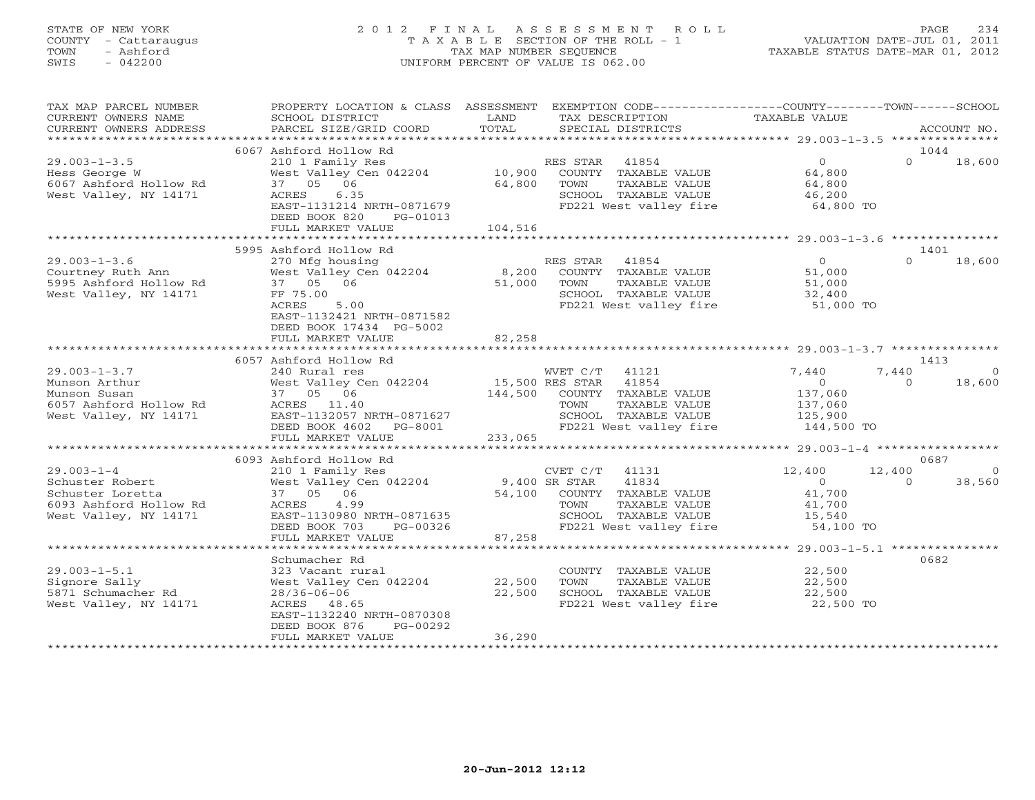# STATE OF NEW YORK 2 0 1 2 F I N A L A S S E S S M E N T R O L L PAGE 234 COUNTY - Cattaraugus T A X A B L E SECTION OF THE ROLL - 1 VALUATION DATE-JUL 01, 2011 TOWN - Ashford TAX MAP NUMBER SEQUENCE TAXABLE STATUS DATE-MAR 01, 2012 SWIS - 042200 UNIFORM PERCENT OF VALUE IS 062.00UNIFORM PERCENT OF VALUE IS 062.00

| TAX MAP PARCEL NUMBER<br>CURRENT OWNERS NAME<br>CURRENT OWNERS ADDRESS                                     | PROPERTY LOCATION & CLASS ASSESSMENT<br>SCHOOL DISTRICT<br>PARCEL SIZE/GRID COORD                                                                                              | LAND<br>TOTAL              | EXEMPTION CODE-----------------COUNTY-------TOWN------SCHOOL<br>TAX DESCRIPTION<br>SPECIAL DISTRICTS                                 | TAXABLE VALUE                                                 |                    | ACCOUNT NO.        |
|------------------------------------------------------------------------------------------------------------|--------------------------------------------------------------------------------------------------------------------------------------------------------------------------------|----------------------------|--------------------------------------------------------------------------------------------------------------------------------------|---------------------------------------------------------------|--------------------|--------------------|
|                                                                                                            |                                                                                                                                                                                |                            |                                                                                                                                      |                                                               |                    |                    |
|                                                                                                            | 6067 Ashford Hollow Rd                                                                                                                                                         |                            |                                                                                                                                      |                                                               | 1044               |                    |
| $29.003 - 1 - 3.5$<br>Hess George W<br>6067 Ashford Hollow Rd<br>West Valley, NY 14171                     | 210 1 Family Res<br>West Valley Cen 042204<br>06<br>37 05<br>6.35<br>ACRES<br>EAST-1131214 NRTH-0871679<br>DEED BOOK 820<br>PG-01013                                           | 10,900<br>64,800           | 41854<br>RES STAR<br>COUNTY TAXABLE VALUE<br>TAXABLE VALUE<br>TOWN<br>SCHOOL TAXABLE VALUE<br>FD221 West valley fire                 | $\overline{0}$<br>64,800<br>64,800<br>46,200<br>64,800 TO     | $\Omega$           | 18,600             |
|                                                                                                            | FULL MARKET VALUE                                                                                                                                                              | 104,516                    |                                                                                                                                      |                                                               |                    |                    |
|                                                                                                            |                                                                                                                                                                                |                            |                                                                                                                                      |                                                               |                    |                    |
|                                                                                                            | 5995 Ashford Hollow Rd                                                                                                                                                         |                            |                                                                                                                                      |                                                               | 1401               |                    |
| $29.003 - 1 - 3.6$<br>Courtney Ruth Ann<br>5995 Ashford Hollow Rd<br>West Valley, NY 14171                 | 270 Mfg housing<br>West Valley Cen 042204<br>37 05 06<br>FF 75.00<br>5.00<br>ACRES<br>EAST-1132421 NRTH-0871582<br>DEED BOOK 17434 PG-5002                                     | 8,200<br>51,000            | RES STAR<br>41854<br>COUNTY TAXABLE VALUE<br>TAXABLE VALUE<br>TOWN<br>SCHOOL TAXABLE VALUE<br>FD221 West valley fire                 | $\overline{O}$<br>51,000<br>51,000<br>32,400<br>51,000 TO     | $\Omega$           | 18,600             |
|                                                                                                            | FULL MARKET VALUE                                                                                                                                                              | 82,258                     |                                                                                                                                      |                                                               |                    |                    |
|                                                                                                            | 6057 Ashford Hollow Rd                                                                                                                                                         |                            |                                                                                                                                      |                                                               | 1413               |                    |
| $29.003 - 1 - 3.7$<br>Munson Arthur<br>Munson Susan<br>6057 Ashford Hollow Rd<br>West Valley, NY 14171     | 240 Rural res<br>West Valley Cen 042204<br>37 05 06<br>ACRES 11.40<br>EAST-1132057 NRTH-0871627                                                                                | 15,500 RES STAR            | WVET C/T<br>41121<br>41854<br>144,500 COUNTY TAXABLE VALUE<br>TAXABLE VALUE<br>TOWN<br>SCHOOL TAXABLE VALUE                          | 7,440<br>$\circ$<br>137,060<br>137,060<br>125,900             | 7,440<br>$\Omega$  | $\Omega$<br>18,600 |
|                                                                                                            | DEED BOOK 4602<br>PG-8001<br>FULL MARKET VALUE                                                                                                                                 | 233,065                    | FD221 West valley fire                                                                                                               | 144,500 TO                                                    |                    |                    |
|                                                                                                            |                                                                                                                                                                                |                            |                                                                                                                                      |                                                               |                    |                    |
|                                                                                                            | 6093 Ashford Hollow Rd                                                                                                                                                         |                            |                                                                                                                                      |                                                               | 0687               |                    |
| $29.003 - 1 - 4$<br>Schuster Robert<br>Schuster Loretta<br>6093 Ashford Hollow Rd<br>West Valley, NY 14171 | 210 1 Family Res<br>West Valley Cen 042204<br>37 05 06<br>ACRES<br>4.99<br>EAST-1130980 NRTH-0871635<br>DEED BOOK 703<br>PG-00326                                              | 9,400 SR STAR              | CVET C/T<br>41131<br>41834<br>54,100 COUNTY TAXABLE VALUE<br>TAXABLE VALUE<br>TOWN<br>SCHOOL TAXABLE VALUE<br>FD221 West valley fire | 12,400<br>$\Omega$<br>41,700<br>41,700<br>15,540<br>54,100 TO | 12,400<br>$\Omega$ | $\Omega$<br>38,560 |
|                                                                                                            | FULL MARKET VALUE                                                                                                                                                              | 87,258                     |                                                                                                                                      |                                                               |                    |                    |
|                                                                                                            |                                                                                                                                                                                |                            |                                                                                                                                      |                                                               |                    |                    |
| $29.003 - 1 - 5.1$<br>Signore Sally<br>5871 Schumacher Rd<br>West Valley, NY 14171                         | Schumacher Rd<br>323 Vacant rural<br>West Valley Cen 042204<br>$28/36 - 06 - 06$<br>ACRES 48.65<br>EAST-1132240 NRTH-0870308<br>DEED BOOK 876<br>PG-00292<br>FULL MARKET VALUE | 22,500<br>22,500<br>36,290 | COUNTY TAXABLE VALUE<br>TOWN<br>TAXABLE VALUE<br>SCHOOL TAXABLE VALUE<br>FD221 West valley fire                                      | 22,500<br>22,500<br>22,500<br>22,500 TO                       | 0682               |                    |
|                                                                                                            | ********************                                                                                                                                                           |                            |                                                                                                                                      |                                                               |                    |                    |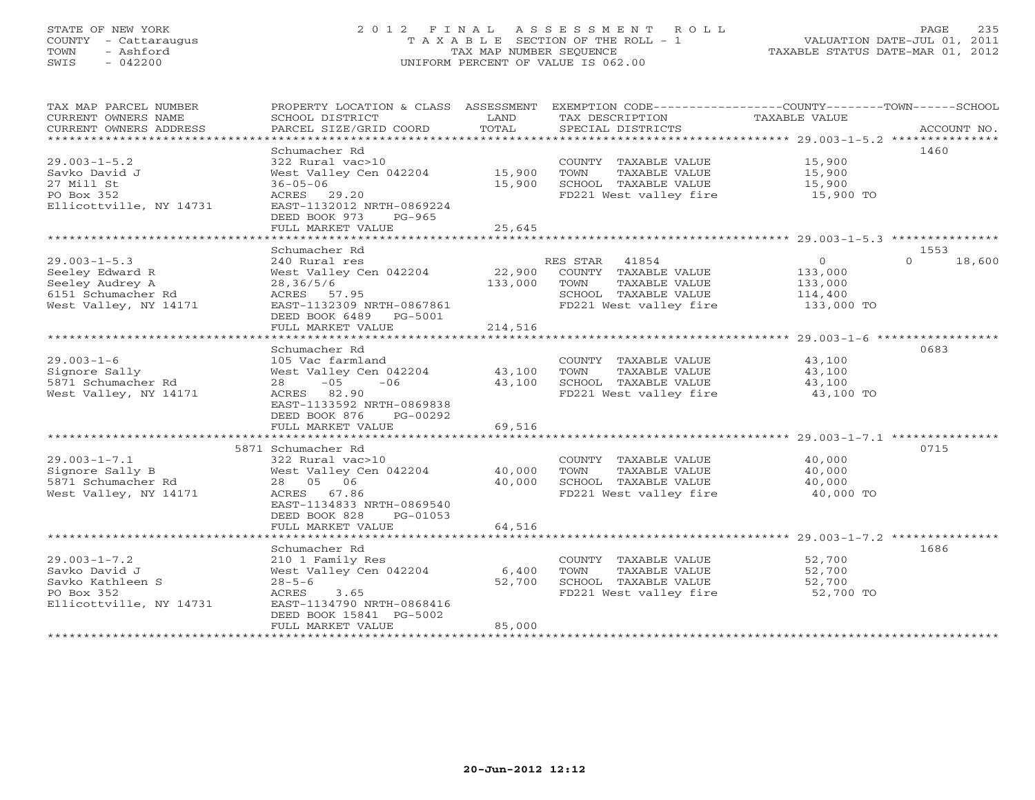## STATE OF NEW YORK 2 0 1 2 F I N A L A S S E S S M E N T R O L L PAGE 235 COUNTY - Cattaraugus T A X A B L E SECTION OF THE ROLL - 1 VALUATION DATE-JUL 01, 2011 TOWN - Ashford TAX MAP NUMBER SEQUENCE TAXABLE STATUS DATE-MAR 01, 2012 SWIS - 042200 UNIFORM PERCENT OF VALUE IS 062.00UNIFORM PERCENT OF VALUE IS 062.00

| TAX MAP PARCEL NUMBER<br>CURRENT OWNERS NAME<br>CURRENT OWNERS ADDRESS<br>************************      | PROPERTY LOCATION & CLASS ASSESSMENT<br>SCHOOL DISTRICT<br>PARCEL SIZE/GRID COORD                                                                                                                          | LAND<br>TOTAL                | EXEMPTION CODE-----------------COUNTY-------TOWN------SCHOOL<br>TAX DESCRIPTION<br>SPECIAL DISTRICTS              | TAXABLE VALUE                                          | ACCOUNT NO.        |
|---------------------------------------------------------------------------------------------------------|------------------------------------------------------------------------------------------------------------------------------------------------------------------------------------------------------------|------------------------------|-------------------------------------------------------------------------------------------------------------------|--------------------------------------------------------|--------------------|
| $29.003 - 1 - 5.2$<br>Savko David J<br>27 Mill St<br>PO Box 352<br>Ellicottville, NY 14731              | Schumacher Rd<br>322 Rural vac>10<br>West Valley Cen 042204<br>$36 - 05 - 06$<br>ACRES 29.20<br>EAST-1132012 NRTH-0869224<br>DEED BOOK 973<br>$PG-965$<br>FULL MARKET VALUE<br>*************************** | 15,900<br>15,900<br>25,645   | COUNTY TAXABLE VALUE<br>TOWN<br>TAXABLE VALUE<br>SCHOOL TAXABLE VALUE<br>FD221 West valley fire                   | 15,900<br>15,900<br>15,900<br>15,900 TO                | 1460               |
|                                                                                                         | Schumacher Rd                                                                                                                                                                                              |                              |                                                                                                                   |                                                        | 1553               |
| $29.003 - 1 - 5.3$<br>Seeley Edward R<br>Seeley Audrey A<br>6151 Schumacher Rd<br>West Valley, NY 14171 | 240 Rural res<br>West Valley Cen 042204<br>28, 36/5/6<br>ACRES 57.95<br>EAST-1132309 NRTH-0867861<br>DEED BOOK 6489<br>PG-5001<br>FULL MARKET VALUE                                                        | 22,900<br>133,000<br>214,516 | RES STAR 41854<br>COUNTY TAXABLE VALUE<br>TOWN<br>TAXABLE VALUE<br>SCHOOL TAXABLE VALUE<br>FD221 West valley fire | $\circ$<br>133,000<br>133,000<br>114,400<br>133,000 TO | $\Omega$<br>18,600 |
|                                                                                                         |                                                                                                                                                                                                            |                              |                                                                                                                   |                                                        |                    |
| $29.003 - 1 - 6$<br>Signore Sally<br>5871 Schumacher Rd<br>West Valley, NY 14171                        | Schumacher Rd<br>105 Vac farmland<br>West Valley Cen 042204<br>28<br>$-05$<br>$-06$<br>82.90<br>ACRES<br>EAST-1133592 NRTH-0869838<br>DEED BOOK 876<br>PG-00292                                            | 43,100<br>43,100             | COUNTY TAXABLE VALUE<br>TOWN<br>TAXABLE VALUE<br>SCHOOL TAXABLE VALUE<br>FD221 West valley fire                   | 43,100<br>43,100<br>43,100<br>43,100 TO                | 0683               |
|                                                                                                         | FULL MARKET VALUE                                                                                                                                                                                          | 69,516                       |                                                                                                                   |                                                        |                    |
|                                                                                                         |                                                                                                                                                                                                            |                              |                                                                                                                   |                                                        |                    |
| $29.003 - 1 - 7.1$<br>Signore Sally B<br>5871 Schumacher Rd<br>West Valley, NY 14171                    | 5871 Schumacher Rd<br>322 Rural vac>10<br>West Valley Cen 042204<br>28  05  06<br>ACRES 67.86<br>EAST-1134833 NRTH-0869540<br>DEED BOOK 828<br>PG-01053<br>FULL MARKET VALUE                               | 40,000<br>40,000<br>64,516   | COUNTY TAXABLE VALUE<br>TAXABLE VALUE<br>TOWN<br>SCHOOL TAXABLE VALUE<br>FD221 West valley fire                   | 40,000<br>40,000<br>40,000<br>40,000 TO                | 0715               |
| ******************************                                                                          |                                                                                                                                                                                                            |                              |                                                                                                                   |                                                        |                    |
| $29.003 - 1 - 7.2$<br>Savko David J<br>Savko Kathleen S<br>PO Box 352<br>Ellicottville, NY 14731        | Schumacher Rd<br>210 1 Family Res<br>West Valley Cen 042204<br>$28 - 5 - 6$<br>ACRES<br>3.65<br>EAST-1134790 NRTH-0868416<br>DEED BOOK 15841 PG-5002<br>FULL MARKET VALUE                                  | 6,400<br>52,700<br>85,000    | COUNTY TAXABLE VALUE<br>TAXABLE VALUE<br>TOWN<br>SCHOOL TAXABLE VALUE<br>FD221 West valley fire                   | 52,700<br>52,700<br>52,700<br>52,700 TO                | 1686               |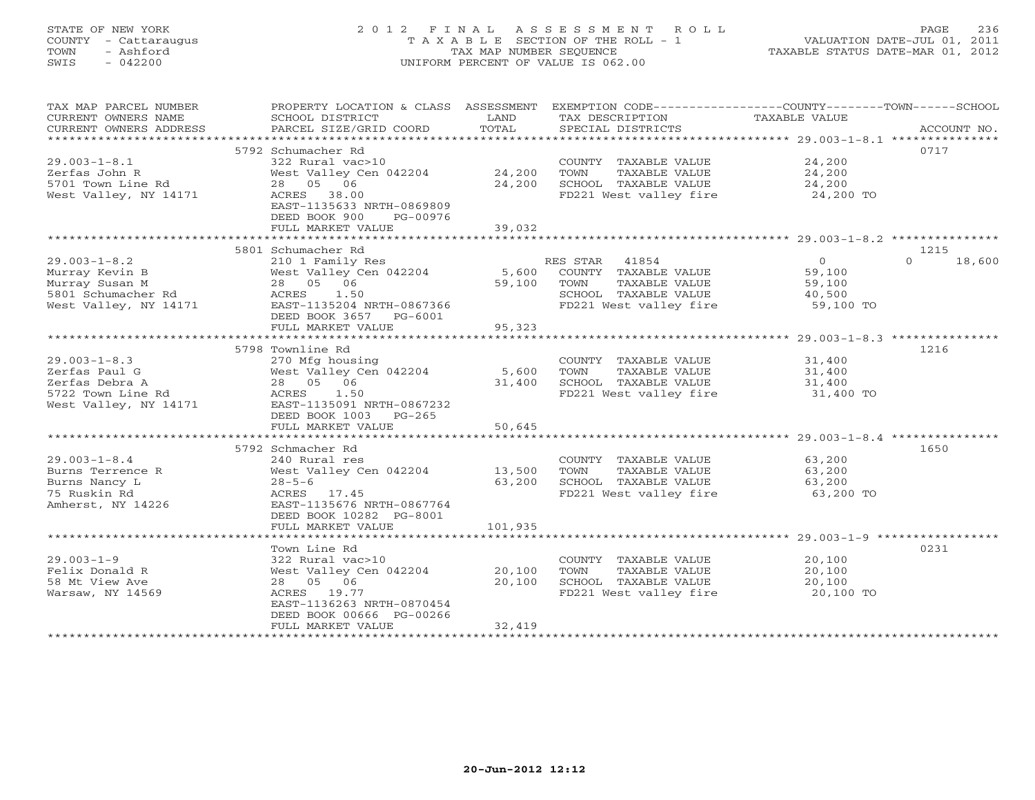# STATE OF NEW YORK 2 0 1 2 F I N A L A S S E S S M E N T R O L L PAGE 236 COUNTY - Cattaraugus T A X A B L E SECTION OF THE ROLL - 1 VALUATION DATE-JUL 01, 2011 TOWN - Ashford TAX MAP NUMBER SEQUENCE TAXABLE STATUS DATE-MAR 01, 2012 SWIS - 042200 UNIFORM PERCENT OF VALUE IS 062.00UNIFORM PERCENT OF VALUE IS 062.00

| TAX MAP PARCEL NUMBER<br>CURRENT OWNERS NAME<br>CURRENT OWNERS ADDRESS | PROPERTY LOCATION & CLASS ASSESSMENT EXEMPTION CODE---------------COUNTY-------TOWN-----SCHOOL<br>SCHOOL DISTRICT<br>PARCEL SIZE/GRID COORD | LAND<br>TOTAL | TAX DESCRIPTION<br>SPECIAL DISTRICTS | TAXABLE VALUE                                        | ACCOUNT NO.        |
|------------------------------------------------------------------------|---------------------------------------------------------------------------------------------------------------------------------------------|---------------|--------------------------------------|------------------------------------------------------|--------------------|
|                                                                        |                                                                                                                                             |               |                                      |                                                      |                    |
|                                                                        | 5792 Schumacher Rd                                                                                                                          |               |                                      |                                                      | 0717               |
| $29.003 - 1 - 8.1$                                                     | 322 Rural vac>10                                                                                                                            |               | COUNTY TAXABLE VALUE                 | 24,200                                               |                    |
| Zerfas John R                                                          | West Valley Cen 042204 24,200                                                                                                               |               | TOWN<br>TAXABLE VALUE                | 24,200                                               |                    |
| 5701 Town Line Rd                                                      | 28 05 06                                                                                                                                    | 24,200        | SCHOOL TAXABLE VALUE                 | 24,200                                               |                    |
| West Valley, NY 14171                                                  | ACRES 38.00                                                                                                                                 |               | FD221 West valley fire               | 24,200 TO                                            |                    |
|                                                                        | EAST-1135633 NRTH-0869809                                                                                                                   |               |                                      |                                                      |                    |
|                                                                        | DEED BOOK 900<br>PG-00976                                                                                                                   |               |                                      |                                                      |                    |
|                                                                        | FULL MARKET VALUE                                                                                                                           | 39,032        |                                      |                                                      |                    |
|                                                                        |                                                                                                                                             |               |                                      |                                                      |                    |
|                                                                        | 5801 Schumacher Rd                                                                                                                          |               |                                      |                                                      | 1215               |
| $29.003 - 1 - 8.2$                                                     | 210 1 Family Res                                                                                                                            |               | RES STAR 41854                       | $\overline{O}$                                       | 18,600<br>$\Omega$ |
| Murray Kevin B                                                         | West Valley Cen 042204                                                                                                                      | 5,600         | COUNTY TAXABLE VALUE                 | 59,100<br>59,100                                     |                    |
| Murray Susan M                                                         | 28 05 06                                                                                                                                    | 59,100        | TOWN<br>TAXABLE VALUE                |                                                      |                    |
| 5801 Schumacher Rd                                                     | ACRES 1.50                                                                                                                                  |               | SCHOOL TAXABLE VALUE                 | 40,500                                               |                    |
| West Valley, NY 14171                                                  | EAST-1135204 NRTH-0867366                                                                                                                   |               | FD221 West valley fire               | 59,100 TO                                            |                    |
|                                                                        | DEED BOOK 3657 PG-6001                                                                                                                      |               |                                      |                                                      |                    |
|                                                                        | FULL MARKET VALUE                                                                                                                           | 95,323        |                                      |                                                      |                    |
|                                                                        | **************************                                                                                                                  | ************* |                                      | *********************** 29.003-1-8.3 *************** |                    |
|                                                                        | 5798 Townline Rd                                                                                                                            |               |                                      |                                                      | 1216               |
| $29.003 - 1 - 8.3$                                                     | 270 Mfg housing                                                                                                                             |               | COUNTY TAXABLE VALUE                 | 31,400                                               |                    |
| Zerfas Paul G                                                          | West Valley Cen 042204                                                                                                                      | 5,600         | TOWN<br>TAXABLE VALUE                | 31,400                                               |                    |
| Zerfas Debra A                                                         | 28 05 06                                                                                                                                    | 31,400        | SCHOOL TAXABLE VALUE                 | 31,400                                               |                    |
| 5722 Town Line Rd                                                      | ACRES 1.50                                                                                                                                  |               | FD221 West valley fire               | 31,400 TO                                            |                    |
| West Valley, NY 14171                                                  | EAST-1135091 NRTH-0867232                                                                                                                   |               |                                      |                                                      |                    |
|                                                                        | DEED BOOK 1003 PG-265                                                                                                                       |               |                                      |                                                      |                    |
|                                                                        | FULL MARKET VALUE                                                                                                                           | 50,645        |                                      |                                                      |                    |
|                                                                        |                                                                                                                                             |               |                                      |                                                      |                    |
|                                                                        | 5792 Schmacher Rd                                                                                                                           |               |                                      |                                                      | 1650               |
| $29.003 - 1 - 8.4$                                                     | 240 Rural res                                                                                                                               |               | COUNTY TAXABLE VALUE                 | 63,200                                               |                    |
| Burns Terrence R                                                       | West Valley Cen 042204                                                                                                                      | 13,500        | TOWN<br>TAXABLE VALUE                | 63,200                                               |                    |
| Burns Nancy L                                                          | $28 - 5 - 6$                                                                                                                                | 63,200        | SCHOOL TAXABLE VALUE                 | 63,200                                               |                    |
| 75 Ruskin Rd                                                           | ACRES 17.45                                                                                                                                 |               | FD221 West valley fire               | 63,200 TO                                            |                    |
| Amherst, NY 14226                                                      | EAST-1135676 NRTH-0867764                                                                                                                   |               |                                      |                                                      |                    |
|                                                                        | DEED BOOK 10282 PG-8001                                                                                                                     |               |                                      |                                                      |                    |
|                                                                        | FULL MARKET VALUE                                                                                                                           | 101,935       |                                      |                                                      |                    |
|                                                                        |                                                                                                                                             |               |                                      |                                                      |                    |
|                                                                        | Town Line Rd                                                                                                                                |               |                                      |                                                      | 0231               |
| $29.003 - 1 - 9$                                                       | 322 Rural vac>10                                                                                                                            |               | COUNTY TAXABLE VALUE                 | 20,100                                               |                    |
| Felix Donald R                                                         | West Valley Cen 042204                                                                                                                      | 20,100        | TOWN<br>TAXABLE VALUE                | 20,100                                               |                    |
| 58 Mt View Ave                                                         | 28 05 06                                                                                                                                    | 20,100        | SCHOOL TAXABLE VALUE                 | 20,100                                               |                    |
| Warsaw, NY 14569                                                       | ACRES 19.77                                                                                                                                 |               | FD221 West valley fire               | 20,100 TO                                            |                    |
|                                                                        | EAST-1136263 NRTH-0870454                                                                                                                   |               |                                      |                                                      |                    |
|                                                                        | DEED BOOK 00666 PG-00266                                                                                                                    |               |                                      |                                                      |                    |
|                                                                        | FULL MARKET VALUE                                                                                                                           | 32,419        |                                      |                                                      |                    |
|                                                                        | ***********************                                                                                                                     |               |                                      |                                                      |                    |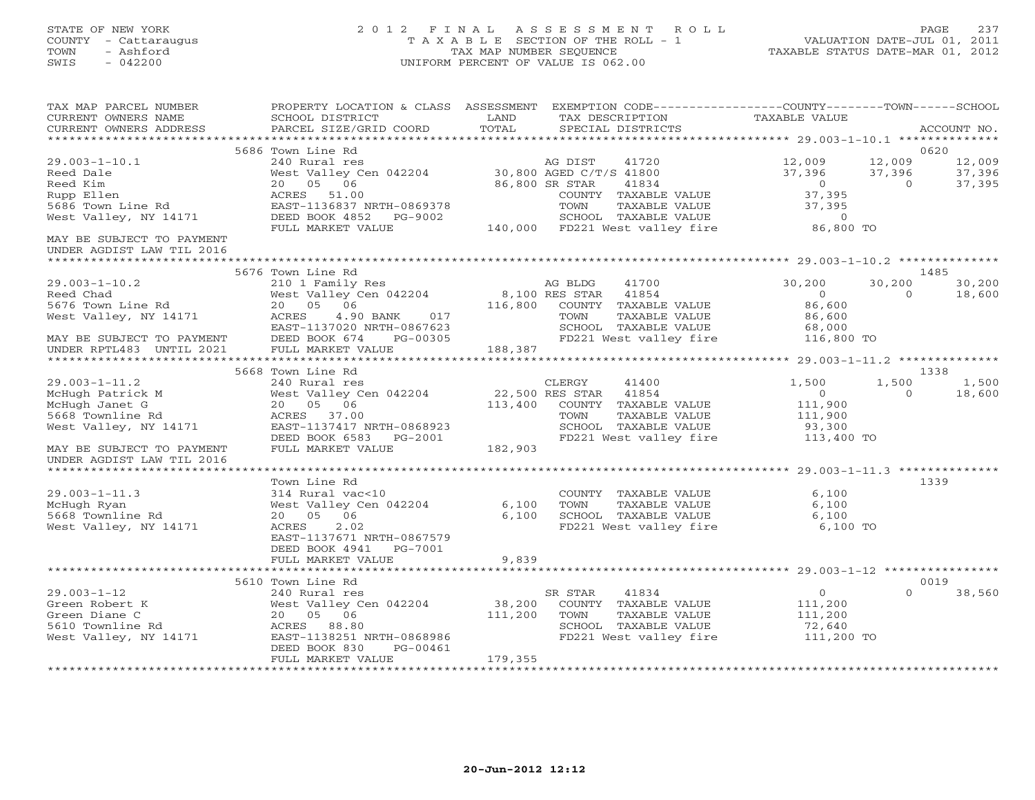# STATE OF NEW YORK 2 0 1 2 F I N A L A S S E S S M E N T R O L L PAGE 237 COUNTY - Cattaraugus T A X A B L E SECTION OF THE ROLL - 1 VALUATION DATE-JUL 01, 2011 TOWN - Ashford TAX MAP NUMBER SEQUENCE TAXABLE STATUS DATE-MAR 01, 2012 SWIS - 042200 UNIFORM PERCENT OF VALUE IS 062.00UNIFORM PERCENT OF VALUE IS 062.00

| TAX MAP PARCEL NUMBER<br>CURRENT OWNERS NAME<br>CURRENT OWNERS ADDRESS                                                                                           | PROPERTY LOCATION & CLASS ASSESSMENT EXEMPTION CODE----------------COUNTY-------TOWN------SCHOOL<br>SCHOOL DISTRICT<br>PARCEL SIZE/GRID COORD                                                                                                                             | LAND<br>TOTAL              | TAX DESCRIPTION TAXABLE VALUE<br>SPECIAL DISTRICTS<br>SPECIAL DISTRICTS                                                                                                                                                                                                                                    |                                                                       |                    | ACCOUNT NO.                        |
|------------------------------------------------------------------------------------------------------------------------------------------------------------------|---------------------------------------------------------------------------------------------------------------------------------------------------------------------------------------------------------------------------------------------------------------------------|----------------------------|------------------------------------------------------------------------------------------------------------------------------------------------------------------------------------------------------------------------------------------------------------------------------------------------------------|-----------------------------------------------------------------------|--------------------|------------------------------------|
| $29.003 - 1 - 10.1$<br>Reed Dale<br>Reed Kim<br>Rupp Ellen<br>5686 Town Line Rd<br>West Valley, NY 14171                                                         | 5686 Town Line Rd<br>240 Rural res<br>West Valley Cen 042204 30,800 AGED C/T/S 41800<br>20 05 06 86,800 SR STAR 41834<br>ACRES 51.00 COUNTY TAXABLE<br>ACRES 51.00<br>EAST-1136837 NRTH-0869378<br>DEED BOOK 4852 PG-9002<br>FULL MARKET VALUE                            | TOWN                       | COUNTY TAXABLE VALUE<br>TAXABLE VALUE<br>-9002 SCHOOL TAXABLE VALUE<br>140,000 FD221 West valley fire 36,800 TO                                                                                                                                                                                            | 12,009 12,009 12,009<br>$37,396$ $37,396$ 0<br>37,395<br>37,395       |                    | 0620<br>37,396<br>37,395<br>37,395 |
| MAY BE SUBJECT TO PAYMENT<br>UNDER AGDIST LAW TIL 2016                                                                                                           |                                                                                                                                                                                                                                                                           |                            |                                                                                                                                                                                                                                                                                                            |                                                                       |                    |                                    |
| $29.003 - 1 - 10.2$<br>MAY BE SUBJECT TO PAYMENT DEED BOOK 674<br>UNDER RPTL483 UNTIL 2021 FULL MARKET VP                                                        | 5676 Town Line Rd<br>Town Line Rd<br>210 1 Family Res<br>West Valley Cen 042204<br>West Valley Cen 042204<br>20 05 06<br>ACRES 4.90 BANK 017<br>EAST-1137020 NRTH-0867623<br>DEED BOOK 674 PG-00305<br>PULL MARKET VALUE<br>PULL MARKET VALUE<br>PULL MARKET VALUE<br>PUL |                            | SCHOOL TAXABLE VALUE 68,000<br>FD221 West valley fire 116,800 TO                                                                                                                                                                                                                                           | 30,200<br>$\overline{0}$<br>86,600<br>86,600                          | 30,200<br>$\Omega$ | 1485<br>30,200<br>18,600           |
|                                                                                                                                                                  | 5668 Town Line Rd                                                                                                                                                                                                                                                         |                            |                                                                                                                                                                                                                                                                                                            |                                                                       |                    | 1338                               |
| $29.003 - 1 - 11.2$<br>McHugh Patrick M<br>McHugh Janet G<br>5668 Townline Rd<br>West Valley, NY 14171<br>MAY BE SUBJECT TO PAYMENT<br>UNDER AGDIST LAW TIL 2016 | 240 Rural res<br>West Valley Cen 042204 22,500 RES STAR 41854<br>20 05 06 113,400 COUNTY TAXABLE<br>ACRES 37.00<br>EAST-1137417 NRTH-0868923<br>DEED BOOK 6583 PG-2001<br>FULL MARKET VALUE                                                                               | CLERGY<br>TOWN<br>182,903  | 41400<br>COUNTY TAXABLE VALUE<br>TAXABLE VALUE<br>SCHOOL TAXABLE VALUE<br>FD221 West valley fire                                                                                                                                                                                                           | 1,500<br>$\overline{0}$<br>111,900<br>111,900<br>93,300<br>113,400 TO | 1,500<br>$\Omega$  | 1,500<br>18,600                    |
| $29.003 - 1 - 11.3$<br>ichugn Ryan<br>5668 Townline Rd<br>West Voll<br>West Valley, NY 14171                                                                     | Town Line Rd<br>314 Rural vac<10<br>West Valley Cen 042204 6,100<br>20  05  06<br>2.02<br>ACRES<br>EAST-1137671 NRTH-0867579<br>DEED BOOK 4941<br>PG-7001<br>FULL MARKET VALUE                                                                                            | TOWN<br>6,100<br>9,839     | COUNTY TAXABLE VALUE<br>TAXABLE VALUE<br>SCHOOL TAXABLE VALUE<br>FD221 West valley fire 6,100 TO                                                                                                                                                                                                           | 6,100<br>6,100<br>6,100                                               |                    | 1339                               |
|                                                                                                                                                                  | 5610 Town Line Rd                                                                                                                                                                                                                                                         |                            |                                                                                                                                                                                                                                                                                                            |                                                                       |                    | 0019                               |
| $29.003 - 1 - 12$<br>Green Robert K<br>Green Diane C<br>Green Diane C<br>5610 Townline Rd<br>West Valley, NY 14171                                               | 240 Rural res<br>240 Rural res<br>West Valley Cen 042204 38,200<br>20 05 06 111,200<br>ACRES 88.80<br>EAST-1138251 NRTH-0868986<br>DEED BOOK 830<br>PG-00461<br>FULL MARKET VALUE                                                                                         | SR STAR<br>TOWN<br>179,355 | 41834<br>COUNTY TAXABLE VALUE<br>TAXABLE VALUE<br>SCHOOL TAXABLE VALUE<br>FD221 West valley fire that is a more than the more than the material of the material of the material of the m<br>The material of the material of the material of the material of the material of the material of the material o | $\overline{0}$<br>111,200<br>111,200<br>72,640                        | $\Omega$           | 38,560                             |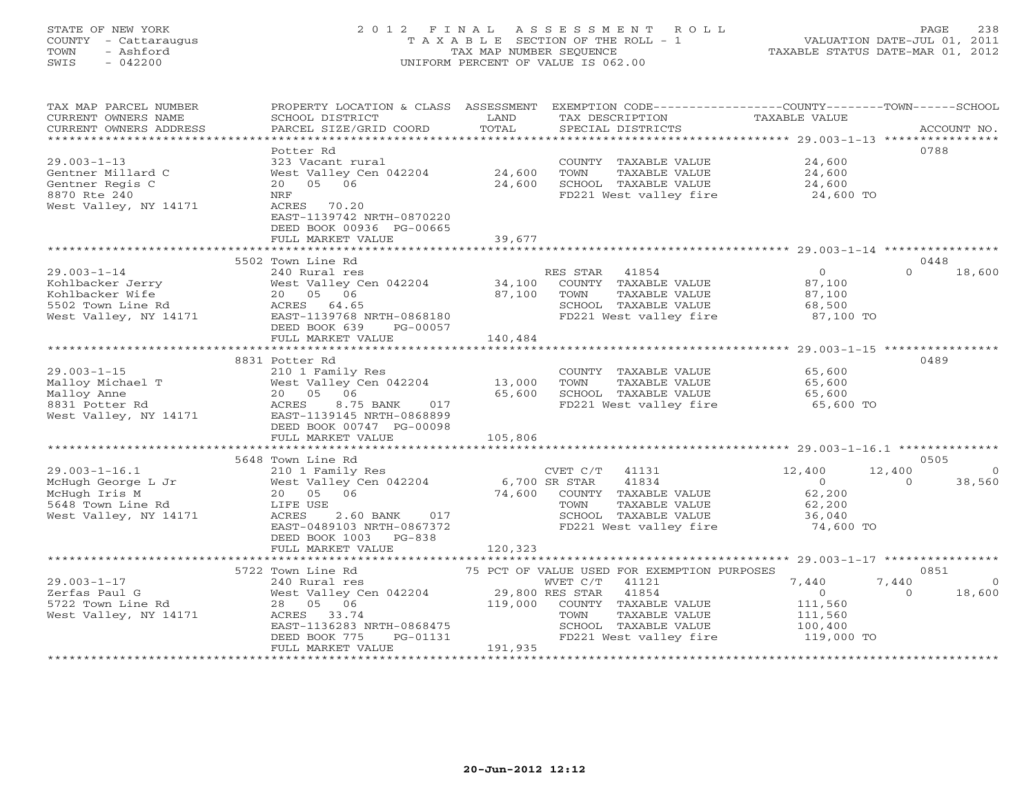## STATE OF NEW YORK 2 0 1 2 F I N A L A S S E S S M E N T R O L L PAGE 238 COUNTY - Cattaraugus T A X A B L E SECTION OF THE ROLL - 1 VALUATION DATE-JUL 01, 2011 TOWN - Ashford TAX MAP NUMBER SEQUENCE TAXABLE STATUS DATE-MAR 01, 2012 SWIS - 042200 UNIFORM PERCENT OF VALUE IS 062.00UNIFORM PERCENT OF VALUE IS 062.00

| TAX MAP PARCEL NUMBER  | PROPERTY LOCATION & CLASS ASSESSMENT   |               |                                             | EXEMPTION CODE-----------------COUNTY-------TOWN------SCHOOL |                |
|------------------------|----------------------------------------|---------------|---------------------------------------------|--------------------------------------------------------------|----------------|
| CURRENT OWNERS NAME    | SCHOOL DISTRICT                        | LAND          | TAX DESCRIPTION                             | TAXABLE VALUE                                                |                |
| CURRENT OWNERS ADDRESS | PARCEL SIZE/GRID COORD                 | TOTAL         | SPECIAL DISTRICTS                           |                                                              | ACCOUNT NO.    |
|                        |                                        |               |                                             |                                                              |                |
|                        | Potter Rd                              |               |                                             |                                                              | 0788           |
| $29.003 - 1 - 13$      | 323 Vacant rural                       |               | COUNTY TAXABLE VALUE                        | 24,600                                                       |                |
| Gentner Millard C      | West Valley Cen 042204                 | 24,600        | TOWN<br>TAXABLE VALUE                       | 24,600                                                       |                |
| Gentner Regis C        | 20  05  06                             | 24,600        | SCHOOL TAXABLE VALUE                        | 24,600                                                       |                |
| 8870 Rte 240           | NRF                                    |               | FD221 West valley fire                      | 24,600 TO                                                    |                |
| West Valley, NY 14171  | ACRES 70.20                            |               |                                             |                                                              |                |
|                        | EAST-1139742 NRTH-0870220              |               |                                             |                                                              |                |
|                        | DEED BOOK 00936 PG-00665               |               |                                             |                                                              |                |
|                        | FULL MARKET VALUE                      | 39,677        |                                             |                                                              |                |
|                        |                                        |               |                                             |                                                              |                |
|                        | 5502 Town Line Rd                      |               |                                             |                                                              | 0448           |
| $29.003 - 1 - 14$      | 240 Rural res                          |               | RES STAR 41854                              | $\overline{0}$<br>$\Omega$                                   | 18,600         |
| Kohlbacker Jerry       | West Valley Cen 042204                 | 34,100        | COUNTY TAXABLE VALUE                        | 87,100                                                       |                |
| Kohlbacker Wife        | 20  05  06                             | 87,100        | TOWN<br>TAXABLE VALUE                       | 87,100                                                       |                |
| 5502 Town Line Rd      | ACRES 64.65                            |               | SCHOOL TAXABLE VALUE                        | 68,500                                                       |                |
|                        |                                        |               |                                             |                                                              |                |
| West Valley, NY 14171  | EAST-1139768 NRTH-0868180              |               | FD221 West valley fire                      | 87,100 TO                                                    |                |
|                        | DEED BOOK 639<br>PG-00057              |               |                                             |                                                              |                |
|                        | FULL MARKET VALUE                      | 140,484       |                                             |                                                              |                |
|                        |                                        |               |                                             |                                                              |                |
|                        | 8831 Potter Rd                         |               |                                             |                                                              | 0489           |
| $29.003 - 1 - 15$      | 210 1 Family Res                       |               | COUNTY TAXABLE VALUE                        | 65,600                                                       |                |
| Malloy Michael T       | West Valley Cen 042204                 | 13,000        | TOWN<br>TAXABLE VALUE                       | 65,600                                                       |                |
| Malloy Anne            | 20 05<br>06                            | 65,600        | SCHOOL TAXABLE VALUE                        | 65,600                                                       |                |
| 8831 Potter Rd         | ACRES<br>8.75 BANK<br>017              |               | FD221 West valley fire                      | 65,600 TO                                                    |                |
| West Valley, NY 14171  | EAST-1139145 NRTH-0868899              |               |                                             |                                                              |                |
|                        | DEED BOOK 00747 PG-00098               |               |                                             |                                                              |                |
|                        | FULL MARKET VALUE                      | 105,806       |                                             |                                                              |                |
|                        |                                        |               |                                             |                                                              |                |
|                        | 5648 Town Line Rd                      |               |                                             |                                                              | 0505           |
| $29.003 - 1 - 16.1$    | 210 1 Family Res                       |               | CVET C/T 41131                              | 12,400<br>12,400                                             | $\overline{0}$ |
| McHugh George L Jr     | West Valley Cen 042204                 | 6,700 SR STAR | 41834                                       | $\overline{0}$<br>$\Omega$                                   | 38,560         |
| McHugh Iris M          | 20  05  06                             | 74,600        | COUNTY TAXABLE VALUE                        | 62,200                                                       |                |
| 5648 Town Line Rd      | LIFE USE                               |               | TOWN<br>TAXABLE VALUE                       | 62,200                                                       |                |
| West Valley, NY 14171  | 2.60 BANK<br>ACRES<br>017              |               | SCHOOL TAXABLE VALUE                        | 36,040                                                       |                |
|                        | EAST-0489103 NRTH-0867372              |               | FD221 West valley fire                      | 74,600 TO                                                    |                |
|                        | DEED BOOK 1003<br>$PG-838$             |               |                                             |                                                              |                |
|                        | FULL MARKET VALUE                      | 120,323       |                                             |                                                              |                |
|                        |                                        |               |                                             |                                                              |                |
|                        | 5722 Town Line Rd                      |               | 75 PCT OF VALUE USED FOR EXEMPTION PURPOSES |                                                              | 0851           |
| $29.003 - 1 - 17$      | 240 Rural res                          |               | WVET C/T<br>41121                           | 7,440<br>7,440                                               | $\circ$        |
| Zerfas Paul G          | West Valley Cen 042204 29,800 RES STAR |               | 41854                                       | $\overline{0}$<br>$\Omega$                                   | 18,600         |
| 5722 Town Line Rd      | 28 05 06                               | 119,000       | COUNTY TAXABLE VALUE                        | 111,560                                                      |                |
| West Valley, NY 14171  | ACRES 33.74                            |               | TAXABLE VALUE<br>TOWN                       | 111,560                                                      |                |
|                        | EAST-1136283 NRTH-0868475              |               | SCHOOL TAXABLE VALUE                        | 100,400                                                      |                |
|                        | DEED BOOK 775<br>PG-01131              |               | FD221 West valley fire                      | 119,000 TO                                                   |                |
|                        | FULL MARKET VALUE                      | 191,935       |                                             |                                                              |                |
|                        |                                        |               |                                             |                                                              |                |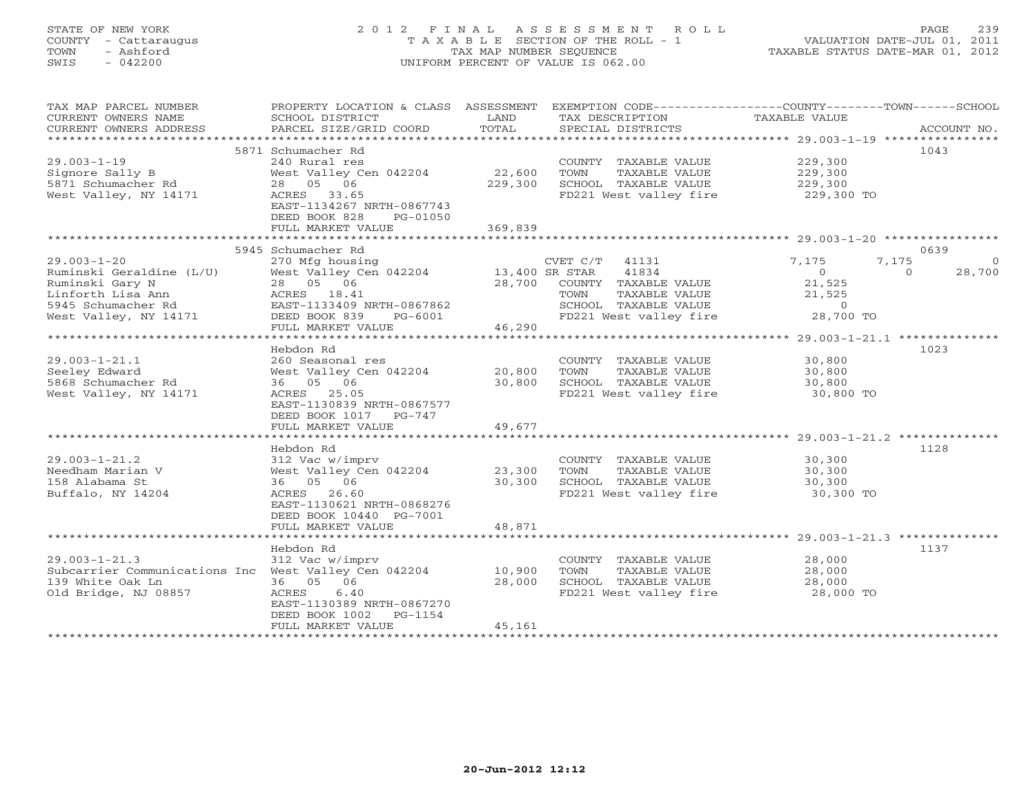# STATE OF NEW YORK 2 0 1 2 F I N A L A S S E S S M E N T R O L L PAGE 239 COUNTY - Cattaraugus T A X A B L E SECTION OF THE ROLL - 1 VALUATION DATE-JUL 01, 2011 TOWN - Ashford TAX MAP NUMBER SEQUENCE TAXABLE STATUS DATE-MAR 01, 2012 SWIS - 042200 UNIFORM PERCENT OF VALUE IS 062.00UNIFORM PERCENT OF VALUE IS 062.00

| TAX MAP PARCEL NUMBER                                |                                           |                | PROPERTY LOCATION & CLASS ASSESSMENT EXEMPTION CODE----------------COUNTY-------TOWN------SCHOOL |                          |                    |
|------------------------------------------------------|-------------------------------------------|----------------|--------------------------------------------------------------------------------------------------|--------------------------|--------------------|
| CURRENT OWNERS NAME<br>CURRENT OWNERS ADDRESS        | SCHOOL DISTRICT<br>PARCEL SIZE/GRID COORD | LAND<br>TOTAL  | TAX DESCRIPTION<br>SPECIAL DISTRICTS                                                             | TAXABLE VALUE            | ACCOUNT NO.        |
| *************************                            |                                           |                |                                                                                                  |                          |                    |
|                                                      | 5871 Schumacher Rd                        |                |                                                                                                  |                          | 1043               |
| $29.003 - 1 - 19$                                    | 240 Rural res                             |                | COUNTY TAXABLE VALUE                                                                             | 229,300                  |                    |
| Signore Sally B                                      | West Valley Cen 042204                    | 22,600         | TOWN<br>TAXABLE VALUE                                                                            | 229,300                  |                    |
| 5871 Schumacher Rd                                   | 28 05 06                                  | 229,300        | SCHOOL TAXABLE VALUE                                                                             | 229,300                  |                    |
| West Valley, NY 14171                                | ACRES 33.65                               |                | FD221 West valley fire                                                                           | 229,300 TO               |                    |
|                                                      | EAST-1134267 NRTH-0867743                 |                |                                                                                                  |                          |                    |
|                                                      | DEED BOOK 828<br>PG-01050                 |                |                                                                                                  |                          |                    |
|                                                      | FULL MARKET VALUE                         | 369,839        |                                                                                                  |                          |                    |
|                                                      |                                           |                |                                                                                                  |                          |                    |
|                                                      | 5945 Schumacher Rd                        |                |                                                                                                  |                          | 0639               |
| $29.003 - 1 - 20$                                    | 270 Mfg housing                           |                | CVET C/T<br>41131                                                                                | 7,175<br>7,175           | $\Omega$           |
| Ruminski Geraldine (L/U)                             | West Valley Cen 042204                    | 13,400 SR STAR | 41834                                                                                            | $\circ$                  | $\Omega$<br>28,700 |
| Ruminski Gary N                                      | 28  05  06                                | 28,700         | COUNTY TAXABLE VALUE                                                                             | 21,525                   |                    |
| Linforth Lisa Ann<br>5945 Schumacher Rd              | ACRES 18.41<br>EAST-1133409 NRTH-0867862  |                | TAXABLE VALUE<br>TOWN<br>SCHOOL TAXABLE VALUE                                                    | 21,525<br>$\overline{0}$ |                    |
| West Valley, NY 14171                                | PG-6001                                   |                | FD221 West valley fire                                                                           | 28,700 TO                |                    |
|                                                      | DEED BOOK 839<br>FULL MARKET VALUE        | 46,290         |                                                                                                  |                          |                    |
|                                                      |                                           |                |                                                                                                  |                          |                    |
|                                                      | Hebdon Rd                                 |                |                                                                                                  |                          | 1023               |
| $29.003 - 1 - 21.1$                                  | 260 Seasonal res                          |                | COUNTY TAXABLE VALUE                                                                             | 30,800                   |                    |
| Seeley Edward                                        | West Valley Cen 042204                    | 20,800         | TAXABLE VALUE<br>TOWN                                                                            | 30,800                   |                    |
| 5868 Schumacher Rd                                   | 36 05 06                                  | 30,800         | SCHOOL TAXABLE VALUE                                                                             | 30,800                   |                    |
| West Valley, NY 14171                                | ACRES 25.05                               |                | FD221 West valley fire                                                                           | 30,800 TO                |                    |
|                                                      | EAST-1130839 NRTH-0867577                 |                |                                                                                                  |                          |                    |
|                                                      | DEED BOOK 1017 PG-747                     |                |                                                                                                  |                          |                    |
|                                                      | FULL MARKET VALUE                         | 49,677         |                                                                                                  |                          |                    |
|                                                      |                                           |                |                                                                                                  |                          |                    |
|                                                      | Hebdon Rd                                 |                |                                                                                                  |                          | 1128               |
| $29.003 - 1 - 21.2$                                  | 312 Vac w/imprv                           |                | COUNTY TAXABLE VALUE                                                                             | 30,300                   |                    |
| Needham Marian V                                     | West Valley Cen 042204                    | 23,300         | TOWN<br>TAXABLE VALUE                                                                            | 30,300                   |                    |
| 158 Alabama St<br>Buffalo, NY 14204                  | 36 05 06<br>26.60                         | 30,300         | SCHOOL TAXABLE VALUE<br>FD221 West valley fire                                                   | 30,300                   |                    |
|                                                      | ACRES<br>EAST-1130621 NRTH-0868276        |                |                                                                                                  | 30,300 TO                |                    |
|                                                      | DEED BOOK 10440 PG-7001                   |                |                                                                                                  |                          |                    |
|                                                      | FULL MARKET VALUE                         | 48,871         |                                                                                                  |                          |                    |
|                                                      | ********************                      |                |                                                                                                  |                          |                    |
|                                                      | Hebdon Rd                                 |                |                                                                                                  |                          | 1137               |
| $29.003 - 1 - 21.3$                                  | 312 Vac w/imprv                           |                | COUNTY TAXABLE VALUE                                                                             | 28,000                   |                    |
| Subcarrier Communications Inc West Valley Cen 042204 |                                           | 10,900         | TOWN<br>TAXABLE VALUE                                                                            | 28,000                   |                    |
| 139 White Oak Ln                                     | 36 05 06                                  | 28,000         | SCHOOL TAXABLE VALUE                                                                             | 28,000                   |                    |
| Old Bridge, NJ 08857                                 | 6.40<br>ACRES                             |                | FD221 West valley fire                                                                           | 28,000 TO                |                    |
|                                                      | EAST-1130389 NRTH-0867270                 |                |                                                                                                  |                          |                    |
|                                                      | DEED BOOK 1002<br>PG-1154                 |                |                                                                                                  |                          |                    |
|                                                      | FULL MARKET VALUE                         | 45,161         |                                                                                                  |                          |                    |
|                                                      |                                           |                |                                                                                                  |                          |                    |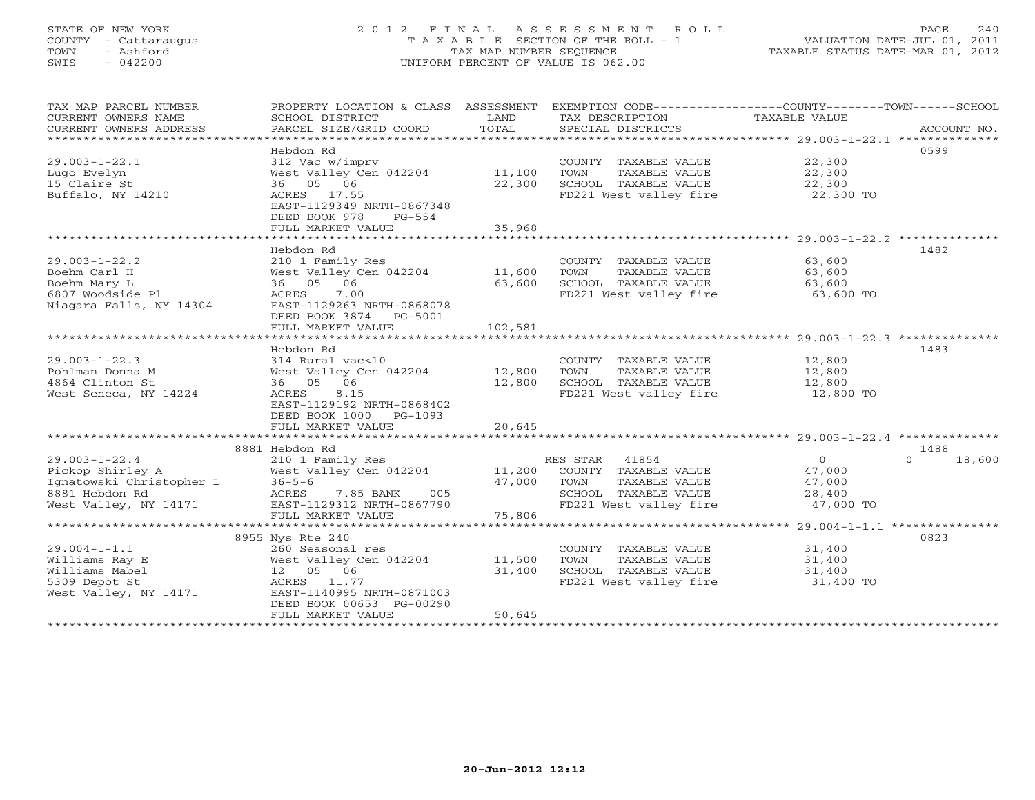## STATE OF NEW YORK 2 0 1 2 F I N A L A S S E S S M E N T R O L L PAGE 240 COUNTY - Cattaraugus T A X A B L E SECTION OF THE ROLL - 1 VALUATION DATE-JUL 01, 2011 TOWN - Ashford TAX MAP NUMBER SEQUENCE TAXABLE STATUS DATE-MAR 01, 2012 SWIS - 042200 UNIFORM PERCENT OF VALUE IS 062.00UNIFORM PERCENT OF VALUE IS 062.00

| ************************* 29.003-1-22.1 **************<br>**********<br>0599<br>Hebdon Rd<br>$29.003 - 1 - 22.1$<br>22,300<br>312 Vac w/imprv<br>COUNTY TAXABLE VALUE<br>Lugo Evelyn<br>West Valley Cen 042204<br>TOWN<br>TAXABLE VALUE<br>22,300<br>11,100<br>36 05 06<br>15 Claire St<br>22,300<br>SCHOOL TAXABLE VALUE<br>22,300<br>Buffalo, NY 14210<br>ACRES 17.55<br>FD221 West valley fire<br>22,300 TO<br>EAST-1129349 NRTH-0867348<br>DEED BOOK 978<br>$PG-554$<br>FULL MARKET VALUE<br>35,968<br>*****************<br>**************** 29.003-1-22.2 *********<br>1482<br>Hebdon Rd<br>$29.003 - 1 - 22.2$<br>210 1 Family Res<br>COUNTY TAXABLE VALUE<br>63,600<br>Boehm Carl H<br>West Valley Cen 042204<br>TAXABLE VALUE<br>11,600<br>TOWN<br>63,600<br>06<br>Boehm Mary L<br>36 05<br>63,600<br>SCHOOL TAXABLE VALUE<br>63,600<br>6807 Woodside Pl<br>ACRES<br>7.00<br>FD221 West valley fire<br>63,600 TO<br>Niagara Falls, NY 14304<br>EAST-1129263 NRTH-0868078<br>DEED BOOK 3874<br>PG-5001<br>102,581<br>FULL MARKET VALUE<br>1483<br>Hebdon Rd<br>$29.003 - 1 - 22.3$<br>314 Rural vac<10<br>COUNTY TAXABLE VALUE<br>12,800<br>Pohlman Donna M<br>TOWN<br>TAXABLE VALUE<br>West Valley Cen 042204<br>12,800<br>12,800<br>4864 Clinton St<br>36 05<br>06<br>12,800<br>SCHOOL TAXABLE VALUE<br>12,800<br>West Seneca, NY 14224<br>8.15<br>FD221 West valley fire<br>ACRES<br>12,800 TO<br>EAST-1129192 NRTH-0868402<br>DEED BOOK 1000<br>PG-1093<br>20,645<br>FULL MARKET VALUE<br>*********************<br>8881 Hebdon Rd<br>1488<br>$29.003 - 1 - 22.4$<br>210 1 Family Res<br>RES STAR<br>41854<br>$\circ$<br>18,600<br>$\cap$<br>Pickop Shirley A<br>West Valley Cen 042204<br>11,200<br>COUNTY TAXABLE VALUE<br>47,000<br>Ignatowski Christopher L<br>47,000<br><b>TOWN</b><br>TAXABLE VALUE<br>$36 - 5 - 6$<br>47,000<br>8881 Hebdon Rd<br>ACRES<br>7.85 BANK<br>005<br>SCHOOL TAXABLE VALUE<br>28,400<br>47,000 TO<br>West Valley, NY 14171<br>EAST-1129312 NRTH-0867790<br>FD221 West valley fire<br>FULL MARKET VALUE<br>75,806<br>**********************<br>************<br>***************** 29.004-1-1.1 ****************<br>8955 Nys Rte 240<br>0823<br>$29.004 - 1 - 1.1$<br>260 Seasonal res<br>31,400<br>COUNTY TAXABLE VALUE<br>11,500<br>Williams Ray E<br>West Valley Cen 042204<br>TOWN<br>TAXABLE VALUE<br>31,400<br>Williams Mabel<br>12  05  06<br>31,400<br>SCHOOL TAXABLE VALUE<br>31,400<br>FD221 West valley fire<br>5309 Depot St<br>ACRES 11.77<br>31,400 TO<br>West Valley, NY 14171<br>EAST-1140995 NRTH-0871003<br>DEED BOOK 00653 PG-00290<br>FULL MARKET VALUE<br>50,645 | TAX MAP PARCEL NUMBER<br>CURRENT OWNERS NAME | PROPERTY LOCATION & CLASS ASSESSMENT<br>SCHOOL DISTRICT | LAND  | EXEMPTION CODE-----------------COUNTY-------TOWN------SCHOOL<br>TAX DESCRIPTION | TAXABLE VALUE |             |
|------------------------------------------------------------------------------------------------------------------------------------------------------------------------------------------------------------------------------------------------------------------------------------------------------------------------------------------------------------------------------------------------------------------------------------------------------------------------------------------------------------------------------------------------------------------------------------------------------------------------------------------------------------------------------------------------------------------------------------------------------------------------------------------------------------------------------------------------------------------------------------------------------------------------------------------------------------------------------------------------------------------------------------------------------------------------------------------------------------------------------------------------------------------------------------------------------------------------------------------------------------------------------------------------------------------------------------------------------------------------------------------------------------------------------------------------------------------------------------------------------------------------------------------------------------------------------------------------------------------------------------------------------------------------------------------------------------------------------------------------------------------------------------------------------------------------------------------------------------------------------------------------------------------------------------------------------------------------------------------------------------------------------------------------------------------------------------------------------------------------------------------------------------------------------------------------------------------------------------------------------------------------------------------------------------------------------------------------------------------------------------------------------------------------------------------------------------------------------------------------------------------------------------------------------------------------------------------------------------------------------|----------------------------------------------|---------------------------------------------------------|-------|---------------------------------------------------------------------------------|---------------|-------------|
|                                                                                                                                                                                                                                                                                                                                                                                                                                                                                                                                                                                                                                                                                                                                                                                                                                                                                                                                                                                                                                                                                                                                                                                                                                                                                                                                                                                                                                                                                                                                                                                                                                                                                                                                                                                                                                                                                                                                                                                                                                                                                                                                                                                                                                                                                                                                                                                                                                                                                                                                                                                                                              | CURRENT OWNERS ADDRESS                       | PARCEL SIZE/GRID COORD                                  | TOTAL | SPECIAL DISTRICTS                                                               |               | ACCOUNT NO. |
|                                                                                                                                                                                                                                                                                                                                                                                                                                                                                                                                                                                                                                                                                                                                                                                                                                                                                                                                                                                                                                                                                                                                                                                                                                                                                                                                                                                                                                                                                                                                                                                                                                                                                                                                                                                                                                                                                                                                                                                                                                                                                                                                                                                                                                                                                                                                                                                                                                                                                                                                                                                                                              |                                              |                                                         |       |                                                                                 |               |             |
|                                                                                                                                                                                                                                                                                                                                                                                                                                                                                                                                                                                                                                                                                                                                                                                                                                                                                                                                                                                                                                                                                                                                                                                                                                                                                                                                                                                                                                                                                                                                                                                                                                                                                                                                                                                                                                                                                                                                                                                                                                                                                                                                                                                                                                                                                                                                                                                                                                                                                                                                                                                                                              |                                              |                                                         |       |                                                                                 |               |             |
|                                                                                                                                                                                                                                                                                                                                                                                                                                                                                                                                                                                                                                                                                                                                                                                                                                                                                                                                                                                                                                                                                                                                                                                                                                                                                                                                                                                                                                                                                                                                                                                                                                                                                                                                                                                                                                                                                                                                                                                                                                                                                                                                                                                                                                                                                                                                                                                                                                                                                                                                                                                                                              |                                              |                                                         |       |                                                                                 |               |             |
|                                                                                                                                                                                                                                                                                                                                                                                                                                                                                                                                                                                                                                                                                                                                                                                                                                                                                                                                                                                                                                                                                                                                                                                                                                                                                                                                                                                                                                                                                                                                                                                                                                                                                                                                                                                                                                                                                                                                                                                                                                                                                                                                                                                                                                                                                                                                                                                                                                                                                                                                                                                                                              |                                              |                                                         |       |                                                                                 |               |             |
|                                                                                                                                                                                                                                                                                                                                                                                                                                                                                                                                                                                                                                                                                                                                                                                                                                                                                                                                                                                                                                                                                                                                                                                                                                                                                                                                                                                                                                                                                                                                                                                                                                                                                                                                                                                                                                                                                                                                                                                                                                                                                                                                                                                                                                                                                                                                                                                                                                                                                                                                                                                                                              |                                              |                                                         |       |                                                                                 |               |             |
|                                                                                                                                                                                                                                                                                                                                                                                                                                                                                                                                                                                                                                                                                                                                                                                                                                                                                                                                                                                                                                                                                                                                                                                                                                                                                                                                                                                                                                                                                                                                                                                                                                                                                                                                                                                                                                                                                                                                                                                                                                                                                                                                                                                                                                                                                                                                                                                                                                                                                                                                                                                                                              |                                              |                                                         |       |                                                                                 |               |             |
|                                                                                                                                                                                                                                                                                                                                                                                                                                                                                                                                                                                                                                                                                                                                                                                                                                                                                                                                                                                                                                                                                                                                                                                                                                                                                                                                                                                                                                                                                                                                                                                                                                                                                                                                                                                                                                                                                                                                                                                                                                                                                                                                                                                                                                                                                                                                                                                                                                                                                                                                                                                                                              |                                              |                                                         |       |                                                                                 |               |             |
|                                                                                                                                                                                                                                                                                                                                                                                                                                                                                                                                                                                                                                                                                                                                                                                                                                                                                                                                                                                                                                                                                                                                                                                                                                                                                                                                                                                                                                                                                                                                                                                                                                                                                                                                                                                                                                                                                                                                                                                                                                                                                                                                                                                                                                                                                                                                                                                                                                                                                                                                                                                                                              |                                              |                                                         |       |                                                                                 |               |             |
|                                                                                                                                                                                                                                                                                                                                                                                                                                                                                                                                                                                                                                                                                                                                                                                                                                                                                                                                                                                                                                                                                                                                                                                                                                                                                                                                                                                                                                                                                                                                                                                                                                                                                                                                                                                                                                                                                                                                                                                                                                                                                                                                                                                                                                                                                                                                                                                                                                                                                                                                                                                                                              |                                              |                                                         |       |                                                                                 |               |             |
|                                                                                                                                                                                                                                                                                                                                                                                                                                                                                                                                                                                                                                                                                                                                                                                                                                                                                                                                                                                                                                                                                                                                                                                                                                                                                                                                                                                                                                                                                                                                                                                                                                                                                                                                                                                                                                                                                                                                                                                                                                                                                                                                                                                                                                                                                                                                                                                                                                                                                                                                                                                                                              |                                              |                                                         |       |                                                                                 |               |             |
|                                                                                                                                                                                                                                                                                                                                                                                                                                                                                                                                                                                                                                                                                                                                                                                                                                                                                                                                                                                                                                                                                                                                                                                                                                                                                                                                                                                                                                                                                                                                                                                                                                                                                                                                                                                                                                                                                                                                                                                                                                                                                                                                                                                                                                                                                                                                                                                                                                                                                                                                                                                                                              |                                              |                                                         |       |                                                                                 |               |             |
|                                                                                                                                                                                                                                                                                                                                                                                                                                                                                                                                                                                                                                                                                                                                                                                                                                                                                                                                                                                                                                                                                                                                                                                                                                                                                                                                                                                                                                                                                                                                                                                                                                                                                                                                                                                                                                                                                                                                                                                                                                                                                                                                                                                                                                                                                                                                                                                                                                                                                                                                                                                                                              |                                              |                                                         |       |                                                                                 |               |             |
|                                                                                                                                                                                                                                                                                                                                                                                                                                                                                                                                                                                                                                                                                                                                                                                                                                                                                                                                                                                                                                                                                                                                                                                                                                                                                                                                                                                                                                                                                                                                                                                                                                                                                                                                                                                                                                                                                                                                                                                                                                                                                                                                                                                                                                                                                                                                                                                                                                                                                                                                                                                                                              |                                              |                                                         |       |                                                                                 |               |             |
|                                                                                                                                                                                                                                                                                                                                                                                                                                                                                                                                                                                                                                                                                                                                                                                                                                                                                                                                                                                                                                                                                                                                                                                                                                                                                                                                                                                                                                                                                                                                                                                                                                                                                                                                                                                                                                                                                                                                                                                                                                                                                                                                                                                                                                                                                                                                                                                                                                                                                                                                                                                                                              |                                              |                                                         |       |                                                                                 |               |             |
|                                                                                                                                                                                                                                                                                                                                                                                                                                                                                                                                                                                                                                                                                                                                                                                                                                                                                                                                                                                                                                                                                                                                                                                                                                                                                                                                                                                                                                                                                                                                                                                                                                                                                                                                                                                                                                                                                                                                                                                                                                                                                                                                                                                                                                                                                                                                                                                                                                                                                                                                                                                                                              |                                              |                                                         |       |                                                                                 |               |             |
|                                                                                                                                                                                                                                                                                                                                                                                                                                                                                                                                                                                                                                                                                                                                                                                                                                                                                                                                                                                                                                                                                                                                                                                                                                                                                                                                                                                                                                                                                                                                                                                                                                                                                                                                                                                                                                                                                                                                                                                                                                                                                                                                                                                                                                                                                                                                                                                                                                                                                                                                                                                                                              |                                              |                                                         |       |                                                                                 |               |             |
|                                                                                                                                                                                                                                                                                                                                                                                                                                                                                                                                                                                                                                                                                                                                                                                                                                                                                                                                                                                                                                                                                                                                                                                                                                                                                                                                                                                                                                                                                                                                                                                                                                                                                                                                                                                                                                                                                                                                                                                                                                                                                                                                                                                                                                                                                                                                                                                                                                                                                                                                                                                                                              |                                              |                                                         |       |                                                                                 |               |             |
|                                                                                                                                                                                                                                                                                                                                                                                                                                                                                                                                                                                                                                                                                                                                                                                                                                                                                                                                                                                                                                                                                                                                                                                                                                                                                                                                                                                                                                                                                                                                                                                                                                                                                                                                                                                                                                                                                                                                                                                                                                                                                                                                                                                                                                                                                                                                                                                                                                                                                                                                                                                                                              |                                              |                                                         |       |                                                                                 |               |             |
|                                                                                                                                                                                                                                                                                                                                                                                                                                                                                                                                                                                                                                                                                                                                                                                                                                                                                                                                                                                                                                                                                                                                                                                                                                                                                                                                                                                                                                                                                                                                                                                                                                                                                                                                                                                                                                                                                                                                                                                                                                                                                                                                                                                                                                                                                                                                                                                                                                                                                                                                                                                                                              |                                              |                                                         |       |                                                                                 |               |             |
|                                                                                                                                                                                                                                                                                                                                                                                                                                                                                                                                                                                                                                                                                                                                                                                                                                                                                                                                                                                                                                                                                                                                                                                                                                                                                                                                                                                                                                                                                                                                                                                                                                                                                                                                                                                                                                                                                                                                                                                                                                                                                                                                                                                                                                                                                                                                                                                                                                                                                                                                                                                                                              |                                              |                                                         |       |                                                                                 |               |             |
|                                                                                                                                                                                                                                                                                                                                                                                                                                                                                                                                                                                                                                                                                                                                                                                                                                                                                                                                                                                                                                                                                                                                                                                                                                                                                                                                                                                                                                                                                                                                                                                                                                                                                                                                                                                                                                                                                                                                                                                                                                                                                                                                                                                                                                                                                                                                                                                                                                                                                                                                                                                                                              |                                              |                                                         |       |                                                                                 |               |             |
|                                                                                                                                                                                                                                                                                                                                                                                                                                                                                                                                                                                                                                                                                                                                                                                                                                                                                                                                                                                                                                                                                                                                                                                                                                                                                                                                                                                                                                                                                                                                                                                                                                                                                                                                                                                                                                                                                                                                                                                                                                                                                                                                                                                                                                                                                                                                                                                                                                                                                                                                                                                                                              |                                              |                                                         |       |                                                                                 |               |             |
|                                                                                                                                                                                                                                                                                                                                                                                                                                                                                                                                                                                                                                                                                                                                                                                                                                                                                                                                                                                                                                                                                                                                                                                                                                                                                                                                                                                                                                                                                                                                                                                                                                                                                                                                                                                                                                                                                                                                                                                                                                                                                                                                                                                                                                                                                                                                                                                                                                                                                                                                                                                                                              |                                              |                                                         |       |                                                                                 |               |             |
|                                                                                                                                                                                                                                                                                                                                                                                                                                                                                                                                                                                                                                                                                                                                                                                                                                                                                                                                                                                                                                                                                                                                                                                                                                                                                                                                                                                                                                                                                                                                                                                                                                                                                                                                                                                                                                                                                                                                                                                                                                                                                                                                                                                                                                                                                                                                                                                                                                                                                                                                                                                                                              |                                              |                                                         |       |                                                                                 |               |             |
|                                                                                                                                                                                                                                                                                                                                                                                                                                                                                                                                                                                                                                                                                                                                                                                                                                                                                                                                                                                                                                                                                                                                                                                                                                                                                                                                                                                                                                                                                                                                                                                                                                                                                                                                                                                                                                                                                                                                                                                                                                                                                                                                                                                                                                                                                                                                                                                                                                                                                                                                                                                                                              |                                              |                                                         |       |                                                                                 |               |             |
|                                                                                                                                                                                                                                                                                                                                                                                                                                                                                                                                                                                                                                                                                                                                                                                                                                                                                                                                                                                                                                                                                                                                                                                                                                                                                                                                                                                                                                                                                                                                                                                                                                                                                                                                                                                                                                                                                                                                                                                                                                                                                                                                                                                                                                                                                                                                                                                                                                                                                                                                                                                                                              |                                              |                                                         |       |                                                                                 |               |             |
|                                                                                                                                                                                                                                                                                                                                                                                                                                                                                                                                                                                                                                                                                                                                                                                                                                                                                                                                                                                                                                                                                                                                                                                                                                                                                                                                                                                                                                                                                                                                                                                                                                                                                                                                                                                                                                                                                                                                                                                                                                                                                                                                                                                                                                                                                                                                                                                                                                                                                                                                                                                                                              |                                              |                                                         |       |                                                                                 |               |             |
|                                                                                                                                                                                                                                                                                                                                                                                                                                                                                                                                                                                                                                                                                                                                                                                                                                                                                                                                                                                                                                                                                                                                                                                                                                                                                                                                                                                                                                                                                                                                                                                                                                                                                                                                                                                                                                                                                                                                                                                                                                                                                                                                                                                                                                                                                                                                                                                                                                                                                                                                                                                                                              |                                              |                                                         |       |                                                                                 |               |             |
|                                                                                                                                                                                                                                                                                                                                                                                                                                                                                                                                                                                                                                                                                                                                                                                                                                                                                                                                                                                                                                                                                                                                                                                                                                                                                                                                                                                                                                                                                                                                                                                                                                                                                                                                                                                                                                                                                                                                                                                                                                                                                                                                                                                                                                                                                                                                                                                                                                                                                                                                                                                                                              |                                              |                                                         |       |                                                                                 |               |             |
|                                                                                                                                                                                                                                                                                                                                                                                                                                                                                                                                                                                                                                                                                                                                                                                                                                                                                                                                                                                                                                                                                                                                                                                                                                                                                                                                                                                                                                                                                                                                                                                                                                                                                                                                                                                                                                                                                                                                                                                                                                                                                                                                                                                                                                                                                                                                                                                                                                                                                                                                                                                                                              |                                              |                                                         |       |                                                                                 |               |             |
|                                                                                                                                                                                                                                                                                                                                                                                                                                                                                                                                                                                                                                                                                                                                                                                                                                                                                                                                                                                                                                                                                                                                                                                                                                                                                                                                                                                                                                                                                                                                                                                                                                                                                                                                                                                                                                                                                                                                                                                                                                                                                                                                                                                                                                                                                                                                                                                                                                                                                                                                                                                                                              |                                              |                                                         |       |                                                                                 |               |             |
|                                                                                                                                                                                                                                                                                                                                                                                                                                                                                                                                                                                                                                                                                                                                                                                                                                                                                                                                                                                                                                                                                                                                                                                                                                                                                                                                                                                                                                                                                                                                                                                                                                                                                                                                                                                                                                                                                                                                                                                                                                                                                                                                                                                                                                                                                                                                                                                                                                                                                                                                                                                                                              |                                              |                                                         |       |                                                                                 |               |             |
|                                                                                                                                                                                                                                                                                                                                                                                                                                                                                                                                                                                                                                                                                                                                                                                                                                                                                                                                                                                                                                                                                                                                                                                                                                                                                                                                                                                                                                                                                                                                                                                                                                                                                                                                                                                                                                                                                                                                                                                                                                                                                                                                                                                                                                                                                                                                                                                                                                                                                                                                                                                                                              |                                              |                                                         |       |                                                                                 |               |             |
|                                                                                                                                                                                                                                                                                                                                                                                                                                                                                                                                                                                                                                                                                                                                                                                                                                                                                                                                                                                                                                                                                                                                                                                                                                                                                                                                                                                                                                                                                                                                                                                                                                                                                                                                                                                                                                                                                                                                                                                                                                                                                                                                                                                                                                                                                                                                                                                                                                                                                                                                                                                                                              |                                              |                                                         |       |                                                                                 |               |             |
|                                                                                                                                                                                                                                                                                                                                                                                                                                                                                                                                                                                                                                                                                                                                                                                                                                                                                                                                                                                                                                                                                                                                                                                                                                                                                                                                                                                                                                                                                                                                                                                                                                                                                                                                                                                                                                                                                                                                                                                                                                                                                                                                                                                                                                                                                                                                                                                                                                                                                                                                                                                                                              |                                              |                                                         |       |                                                                                 |               |             |
|                                                                                                                                                                                                                                                                                                                                                                                                                                                                                                                                                                                                                                                                                                                                                                                                                                                                                                                                                                                                                                                                                                                                                                                                                                                                                                                                                                                                                                                                                                                                                                                                                                                                                                                                                                                                                                                                                                                                                                                                                                                                                                                                                                                                                                                                                                                                                                                                                                                                                                                                                                                                                              |                                              |                                                         |       |                                                                                 |               |             |
|                                                                                                                                                                                                                                                                                                                                                                                                                                                                                                                                                                                                                                                                                                                                                                                                                                                                                                                                                                                                                                                                                                                                                                                                                                                                                                                                                                                                                                                                                                                                                                                                                                                                                                                                                                                                                                                                                                                                                                                                                                                                                                                                                                                                                                                                                                                                                                                                                                                                                                                                                                                                                              |                                              |                                                         |       |                                                                                 |               |             |
|                                                                                                                                                                                                                                                                                                                                                                                                                                                                                                                                                                                                                                                                                                                                                                                                                                                                                                                                                                                                                                                                                                                                                                                                                                                                                                                                                                                                                                                                                                                                                                                                                                                                                                                                                                                                                                                                                                                                                                                                                                                                                                                                                                                                                                                                                                                                                                                                                                                                                                                                                                                                                              |                                              |                                                         |       |                                                                                 |               |             |
|                                                                                                                                                                                                                                                                                                                                                                                                                                                                                                                                                                                                                                                                                                                                                                                                                                                                                                                                                                                                                                                                                                                                                                                                                                                                                                                                                                                                                                                                                                                                                                                                                                                                                                                                                                                                                                                                                                                                                                                                                                                                                                                                                                                                                                                                                                                                                                                                                                                                                                                                                                                                                              |                                              |                                                         |       |                                                                                 |               |             |
|                                                                                                                                                                                                                                                                                                                                                                                                                                                                                                                                                                                                                                                                                                                                                                                                                                                                                                                                                                                                                                                                                                                                                                                                                                                                                                                                                                                                                                                                                                                                                                                                                                                                                                                                                                                                                                                                                                                                                                                                                                                                                                                                                                                                                                                                                                                                                                                                                                                                                                                                                                                                                              |                                              |                                                         |       |                                                                                 |               |             |
|                                                                                                                                                                                                                                                                                                                                                                                                                                                                                                                                                                                                                                                                                                                                                                                                                                                                                                                                                                                                                                                                                                                                                                                                                                                                                                                                                                                                                                                                                                                                                                                                                                                                                                                                                                                                                                                                                                                                                                                                                                                                                                                                                                                                                                                                                                                                                                                                                                                                                                                                                                                                                              |                                              |                                                         |       |                                                                                 |               |             |
|                                                                                                                                                                                                                                                                                                                                                                                                                                                                                                                                                                                                                                                                                                                                                                                                                                                                                                                                                                                                                                                                                                                                                                                                                                                                                                                                                                                                                                                                                                                                                                                                                                                                                                                                                                                                                                                                                                                                                                                                                                                                                                                                                                                                                                                                                                                                                                                                                                                                                                                                                                                                                              |                                              |                                                         |       |                                                                                 |               |             |
|                                                                                                                                                                                                                                                                                                                                                                                                                                                                                                                                                                                                                                                                                                                                                                                                                                                                                                                                                                                                                                                                                                                                                                                                                                                                                                                                                                                                                                                                                                                                                                                                                                                                                                                                                                                                                                                                                                                                                                                                                                                                                                                                                                                                                                                                                                                                                                                                                                                                                                                                                                                                                              |                                              |                                                         |       |                                                                                 |               |             |
|                                                                                                                                                                                                                                                                                                                                                                                                                                                                                                                                                                                                                                                                                                                                                                                                                                                                                                                                                                                                                                                                                                                                                                                                                                                                                                                                                                                                                                                                                                                                                                                                                                                                                                                                                                                                                                                                                                                                                                                                                                                                                                                                                                                                                                                                                                                                                                                                                                                                                                                                                                                                                              |                                              |                                                         |       |                                                                                 |               |             |
|                                                                                                                                                                                                                                                                                                                                                                                                                                                                                                                                                                                                                                                                                                                                                                                                                                                                                                                                                                                                                                                                                                                                                                                                                                                                                                                                                                                                                                                                                                                                                                                                                                                                                                                                                                                                                                                                                                                                                                                                                                                                                                                                                                                                                                                                                                                                                                                                                                                                                                                                                                                                                              |                                              |                                                         |       |                                                                                 |               |             |
|                                                                                                                                                                                                                                                                                                                                                                                                                                                                                                                                                                                                                                                                                                                                                                                                                                                                                                                                                                                                                                                                                                                                                                                                                                                                                                                                                                                                                                                                                                                                                                                                                                                                                                                                                                                                                                                                                                                                                                                                                                                                                                                                                                                                                                                                                                                                                                                                                                                                                                                                                                                                                              |                                              |                                                         |       |                                                                                 |               |             |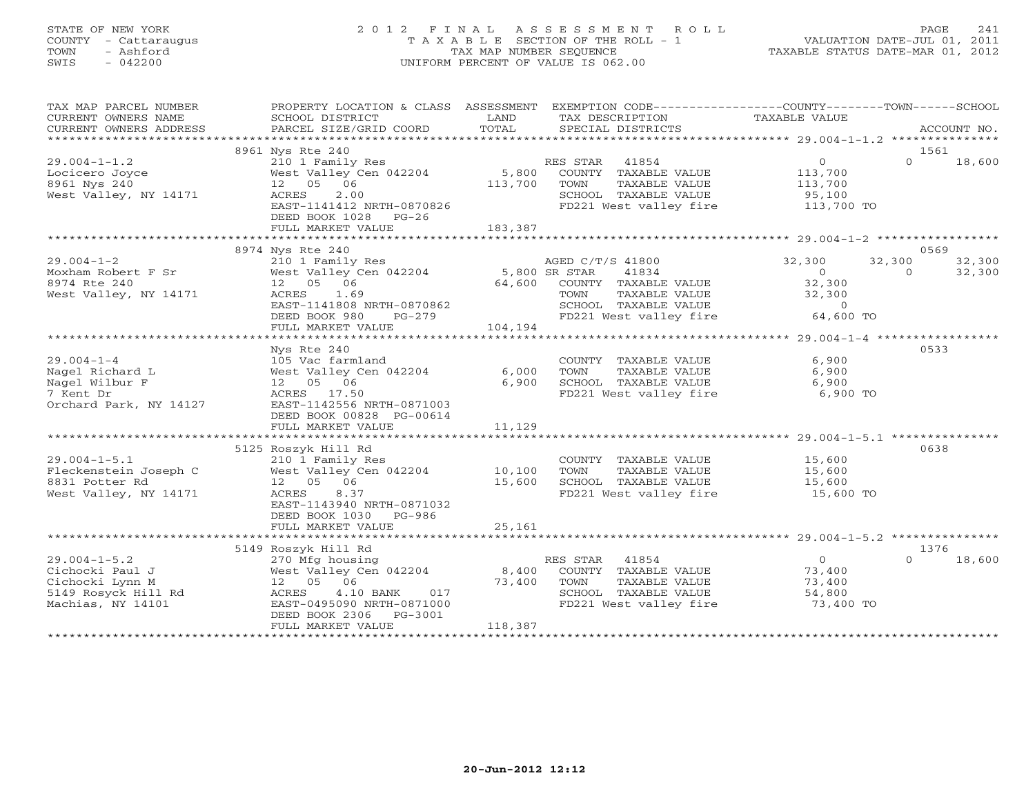# STATE OF NEW YORK 2 0 1 2 F I N A L A S S E S S M E N T R O L L PAGE 241 COUNTY - Cattaraugus T A X A B L E SECTION OF THE ROLL - 1 VALUATION DATE-JUL 01, 2011 TOWN - Ashford TAX MAP NUMBER SEQUENCE TAXABLE STATUS DATE-MAR 01, 2012 SWIS - 042200 UNIFORM PERCENT OF VALUE IS 062.00UNIFORM PERCENT OF VALUE IS 062.00

| TAX MAP PARCEL NUMBER<br>CURRENT OWNERS NAME                                                                           | SCHOOL DISTRICT                                                                                                                                                                                                                                                                 | <b>EXAMPLE SERVICE SERVICE SERVICE SERVICE SERVICE SERVICE SERVICE SERVICE SERVICE SERVICE SERVICE SERVICE SERVICE</b> | PROPERTY LOCATION & CLASS ASSESSMENT EXEMPTION CODE---------------COUNTY-------TOWN------SCHOOL<br>TAX DESCRIPTION                  | TAXABLE VALUE                        |                                              |
|------------------------------------------------------------------------------------------------------------------------|---------------------------------------------------------------------------------------------------------------------------------------------------------------------------------------------------------------------------------------------------------------------------------|------------------------------------------------------------------------------------------------------------------------|-------------------------------------------------------------------------------------------------------------------------------------|--------------------------------------|----------------------------------------------|
|                                                                                                                        |                                                                                                                                                                                                                                                                                 |                                                                                                                        |                                                                                                                                     |                                      |                                              |
| $29.004 - 1 - 1.2$<br>Locicero Joyce<br>8961 Nys 240<br>West Valley, NY 14171                                          | 8961 Nys Rte 240<br>210 1 Family Res<br>West Valley Cen $042204$ 5,800 COUNTY TAXABLE VALUE<br>12  05  06<br>ACRES<br>2.00<br>EAST-1141412 NRTH-0870826<br>DEED BOOK 1028 PG-26<br>FULL MARKET VALUE                                                                            | 113,700<br>183,387                                                                                                     | RES STAR 41854<br>TOWN<br>TAXABLE VALUE<br>SCHOOL TAXABLE VALUE 95,100<br>FD221 West valley fire 113,700 TO                         | $\overline{0}$<br>113,700<br>113,700 | 1561<br>$\Omega$<br>18,600                   |
|                                                                                                                        | 8974 Nys Rte 240                                                                                                                                                                                                                                                                |                                                                                                                        |                                                                                                                                     |                                      | 0569                                         |
| $29.004 - 1 - 2$<br>Moxham Robert F Sr<br>8974 Rte 240<br>West Valley, NY 14171                                        | Nys Rte 240<br>210 1 Family Res AGEN (1834<br>West Valley Cen 042204 5,800 SR STAR 41834<br>12 05 06 64,600 COUNTY TAXABLE VALUE<br>TOWN TAXABLE VALUE<br>COUNTY TAXABLE VALUE<br>EAST-1141808 NRTH-0870862<br>$PG-279$<br>LUE $104, 194$<br>DEED BOOK 980<br>FULL MARKET VALUE |                                                                                                                        | AGED C/T/S 41800 32,300<br>TOWN TAXABLE VALUE 32,300<br>SCHOOL TAXABLE VALUE 0<br>FD221 West valley fire 64,600 TO                  | $\sim$ 0<br>32,300                   | 32,300<br>32,300<br>32,300<br>$\overline{0}$ |
|                                                                                                                        |                                                                                                                                                                                                                                                                                 |                                                                                                                        |                                                                                                                                     |                                      |                                              |
| $29.004 - 1 - 4$<br>Nagel Richard L<br>Nagel Wilbur F<br>7 Kent Dr<br>Orchard Park, NY 14127 EAST-1142556 NRTH-0871003 | Nys Rte 240<br>105 Vac farmland<br>West Valley Cen 042204 6,000<br>12 05 06 6,900<br>ACRES 17.50<br>DEED BOOK 00828 PG-00614                                                                                                                                                    |                                                                                                                        | COUNTY TAXABLE VALUE 6,900<br>TOWN<br>TAXABLE VALUE<br>SCHOOL TAXABLE VALUE 6,900<br>FD221 West valley fire 6,900 TO                | 6,900                                | 0533                                         |
|                                                                                                                        | FULL MARKET VALUE                                                                                                                                                                                                                                                               | 11,129                                                                                                                 |                                                                                                                                     |                                      |                                              |
| $29.004 - 1 - 5.1$<br>Fleckenstein Joseph C<br>8831 Potter Rd<br>West Valley, NY 14171                                 | 5125 Roszyk Hill Rd<br>210 1 Family Res<br>West Valley Cen 042204 10,100<br>12 05 06<br>12  05  06<br>15,600<br>ACRES 8.37<br>EAST-1143940 NRTH-0871032<br>DEED BOOK 1030 PG-986<br>FULL MARKET VALUE                                                                           |                                                                                                                        | COUNTY TAXABLE VALUE 15,600<br>TOWN TAXABLE VALUE 15,600<br>TOWN<br>SCHOOL TAXABLE VALUE 15,600<br>FD221 West valley fire 15,600 TO |                                      | 0638                                         |
|                                                                                                                        |                                                                                                                                                                                                                                                                                 | 25,161                                                                                                                 |                                                                                                                                     |                                      |                                              |
|                                                                                                                        | FULL MARKET VALUE                                                                                                                                                                                                                                                               | 118,387                                                                                                                | RES STAR 41854<br>COUNTY TAXABLE VALUE 73,400<br>TOWN<br>TAXABLE VALUE<br>SCHOOL TAXABLE VALUE<br>FD221 West valley fire 33,400 TO  | $\overline{0}$<br>73,400<br>54,800   | 1376<br>$\Omega$<br>18,600                   |
|                                                                                                                        |                                                                                                                                                                                                                                                                                 |                                                                                                                        |                                                                                                                                     |                                      |                                              |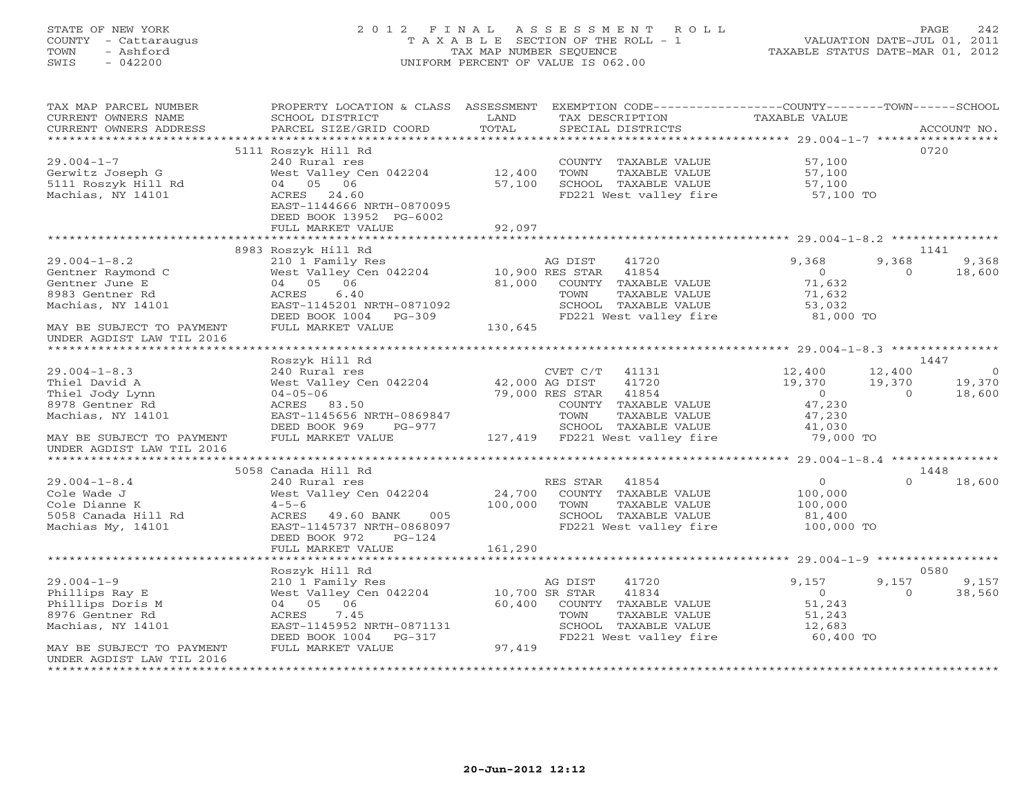# STATE OF NEW YORK 2 0 1 2 F I N A L A S S E S S M E N T R O L L PAGE 242 COUNTY - Cattaraugus T A X A B L E SECTION OF THE ROLL - 1 VALUATION DATE-JUL 01, 2011 TOWN - Ashford TAX MAP NUMBER SEQUENCE TAXABLE STATUS DATE-MAR 01, 2012 SWIS - 042200 UNIFORM PERCENT OF VALUE IS 062.00UNIFORM PERCENT OF VALUE IS 062.00

| TAX MAP PARCEL NUMBER<br>CURRENT OWNERS NAME<br>CURRENT OWNERS ADDRESS | PROPERTY LOCATION & CLASS ASSESSMENT<br>SCHOOL DISTRICT<br>PARCEL SIZE/GRID COORD | LAND<br>TOTAL | TAX DESCRIPTION<br>SPECIAL DISTRICTS |               | EXEMPTION CODE-----------------COUNTY-------TOWN------SCHOOL<br><b>TAXABLE VALUE</b> |          | ACCOUNT NO. |
|------------------------------------------------------------------------|-----------------------------------------------------------------------------------|---------------|--------------------------------------|---------------|--------------------------------------------------------------------------------------|----------|-------------|
|                                                                        |                                                                                   |               |                                      |               |                                                                                      |          |             |
|                                                                        | 5111 Roszyk Hill Rd                                                               |               |                                      |               |                                                                                      |          | 0720        |
| $29.004 - 1 - 7$                                                       | 240 Rural res                                                                     |               | COUNTY TAXABLE VALUE                 |               | 57,100                                                                               |          |             |
| Gerwitz Joseph G                                                       | West Valley Cen 042204                                                            | 12,400        | TOWN                                 | TAXABLE VALUE | 57,100                                                                               |          |             |
| 5111 Roszyk Hill Rd                                                    | 04 05 06                                                                          | 57,100        | SCHOOL TAXABLE VALUE                 |               | 57,100                                                                               |          |             |
| Machias, NY 14101                                                      | ACRES 24.60                                                                       |               | FD221 West valley fire               |               | 57,100 TO                                                                            |          |             |
|                                                                        | EAST-1144666 NRTH-0870095                                                         |               |                                      |               |                                                                                      |          |             |
|                                                                        | DEED BOOK 13952 PG-6002                                                           |               |                                      |               |                                                                                      |          |             |
|                                                                        | FULL MARKET VALUE                                                                 | 92,097        |                                      |               |                                                                                      |          |             |
|                                                                        |                                                                                   |               |                                      |               |                                                                                      |          |             |
|                                                                        | 8983 Roszyk Hill Rd                                                               |               |                                      |               |                                                                                      |          | 1141        |
| $29.004 - 1 - 8.2$                                                     | 210 1 Family Res                                                                  |               | AG DIST<br>41720                     |               | 9,368                                                                                | 9,368    | 9,368       |
| Gentner Raymond C                                                      | West Valley Cen 042204                                                            |               | 41854<br>10,900 RES STAR             |               | $\Omega$                                                                             | $\Omega$ | 18,600      |
| Gentner June E                                                         | 04 05 06                                                                          | 81,000        | COUNTY TAXABLE VALUE                 |               | 71,632                                                                               |          |             |
| 8983 Gentner Rd                                                        | 6.40<br>ACRES                                                                     |               | TOWN                                 | TAXABLE VALUE | 71,632                                                                               |          |             |
| Machias, NY 14101                                                      | EAST-1145201 NRTH-0871092                                                         |               | SCHOOL TAXABLE VALUE                 |               | 53,032                                                                               |          |             |
|                                                                        | DEED BOOK 1004 PG-309                                                             |               | FD221 West valley fire               |               | 81,000 TO                                                                            |          |             |
| MAY BE SUBJECT TO PAYMENT                                              | FULL MARKET VALUE                                                                 | 130,645       |                                      |               |                                                                                      |          |             |
| UNDER AGDIST LAW TIL 2016                                              |                                                                                   |               |                                      |               |                                                                                      |          |             |
|                                                                        |                                                                                   |               |                                      |               |                                                                                      |          |             |
|                                                                        | Roszyk Hill Rd                                                                    |               |                                      |               |                                                                                      |          | 1447        |
| $29.004 - 1 - 8.3$                                                     | 240 Rural res                                                                     |               | CVET C/T<br>41131                    |               | 12,400                                                                               | 12,400   | $\Omega$    |
| Thiel David A                                                          | West Valley Cen 042204                                                            |               | 42,000 AG DIST<br>41720              |               | 19,370                                                                               | 19,370   | 19,370      |
| Thiel Jody Lynn                                                        | $04 - 05 - 06$                                                                    |               | 79,000 RES STAR<br>41854             |               | $\overline{0}$                                                                       | $\Omega$ | 18,600      |
| 8978 Gentner Rd                                                        | ACRES 83.50                                                                       |               | COUNTY TAXABLE VALUE                 |               | 47,230                                                                               |          |             |
| Machias, NY 14101                                                      | EAST-1145656 NRTH-0869847                                                         |               | TOWN                                 | TAXABLE VALUE | 47,230                                                                               |          |             |
|                                                                        | DEED BOOK 969<br>$PG-977$                                                         |               | SCHOOL TAXABLE VALUE                 |               | 41,030                                                                               |          |             |
| MAY BE SUBJECT TO PAYMENT                                              | FULL MARKET VALUE                                                                 |               | 127,419 FD221 West valley fire       |               | 79,000 TO                                                                            |          |             |
| UNDER AGDIST LAW TIL 2016                                              |                                                                                   |               |                                      |               |                                                                                      |          |             |
|                                                                        |                                                                                   |               |                                      |               |                                                                                      |          |             |
|                                                                        | 5058 Canada Hill Rd                                                               |               |                                      |               |                                                                                      |          | 1448        |
| $29.004 - 1 - 8.4$                                                     | 240 Rural res                                                                     |               | RES STAR<br>41854                    |               | $\circ$                                                                              | $\Omega$ | 18,600      |
| Cole Wade J                                                            | West Valley Cen 042204                                                            | 24,700        | COUNTY TAXABLE VALUE                 |               | 100,000                                                                              |          |             |
| Cole Dianne K                                                          | $4 - 5 - 6$                                                                       | 100,000       | TOWN                                 | TAXABLE VALUE | 100,000                                                                              |          |             |
| 5058 Canada Hill Rd                                                    | 005<br>ACRES 49.60 BANK                                                           |               | SCHOOL TAXABLE VALUE                 |               | 81,400                                                                               |          |             |
| Machias My, 14101                                                      | EAST-1145737 NRTH-0868097                                                         |               | FD221 West valley fire               |               | 100,000 TO                                                                           |          |             |
|                                                                        | DEED BOOK 972<br>$PG-124$                                                         |               |                                      |               |                                                                                      |          |             |
|                                                                        | FULL MARKET VALUE                                                                 | 161,290       |                                      |               |                                                                                      |          |             |
|                                                                        |                                                                                   |               |                                      |               |                                                                                      |          |             |
|                                                                        | Roszyk Hill Rd                                                                    |               |                                      |               |                                                                                      |          | 0580        |
| $29.004 - 1 - 9$                                                       | 210 1 Family Res                                                                  |               | 41720<br>AG DIST                     |               | 9,157                                                                                | 9,157    | 9,157       |
| Phillips Ray E                                                         | West Valley Cen 042204                                                            |               | 10,700 SR STAR<br>41834              |               | $\circ$                                                                              | $\Omega$ | 38,560      |
| Phillips Doris M                                                       | 04 05 06                                                                          | 60,400        | COUNTY TAXABLE VALUE                 |               | 51,243                                                                               |          |             |
| 8976 Gentner Rd                                                        | ACRES<br>7.45                                                                     |               | TOWN                                 | TAXABLE VALUE | 51,243                                                                               |          |             |
| Machias, NY 14101                                                      | EAST-1145952 NRTH-0871131                                                         |               | SCHOOL TAXABLE VALUE                 |               | 12,683                                                                               |          |             |
|                                                                        | DEED BOOK 1004<br>PG-317                                                          |               | FD221 West valley fire               |               | 60,400 TO                                                                            |          |             |
| MAY BE SUBJECT TO PAYMENT                                              | FULL MARKET VALUE                                                                 | 97,419        |                                      |               |                                                                                      |          |             |
| UNDER AGDIST LAW TIL 2016                                              |                                                                                   |               |                                      |               |                                                                                      |          |             |
| *************************************                                  |                                                                                   |               |                                      |               |                                                                                      |          |             |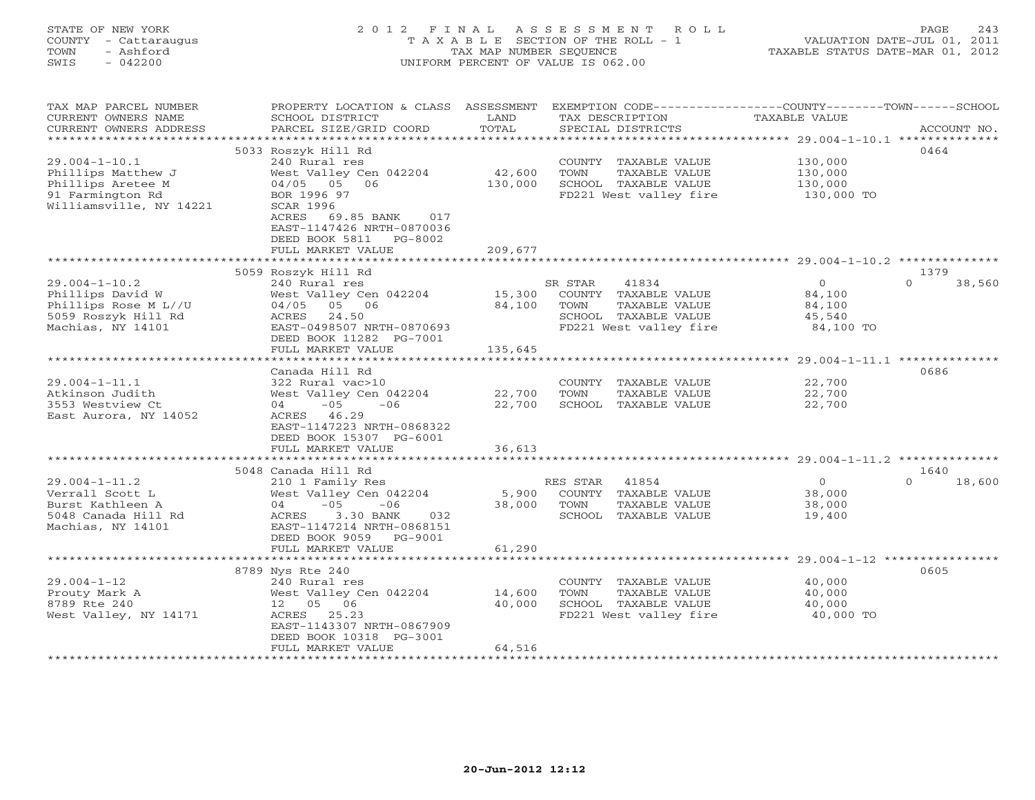## STATE OF NEW YORK 2 0 1 2 F I N A L A S S E S S M E N T R O L L PAGE 243 COUNTY - Cattaraugus T A X A B L E SECTION OF THE ROLL - 1 VALUATION DATE-JUL 01, 2011 TOWN - Ashford TAX MAP NUMBER SEQUENCE TAXABLE STATUS DATE-MAR 01, 2012 SWIS - 042200 UNIFORM PERCENT OF VALUE IS 062.00UNIFORM PERCENT OF VALUE IS 062.00

| TAX MAP PARCEL NUMBER<br>CURRENT OWNERS NAME<br>CURRENT OWNERS ADDRESS | PROPERTY LOCATION & CLASS ASSESSMENT<br>SCHOOL DISTRICT<br>PARCEL SIZE/GRID COORD | LAND<br>TOTAL |          | TAX DESCRIPTION<br>SPECIAL DISTRICTS | EXEMPTION CODE----------------COUNTY-------TOWN------SCHOOL<br>TAXABLE VALUE | ACCOUNT NO.        |
|------------------------------------------------------------------------|-----------------------------------------------------------------------------------|---------------|----------|--------------------------------------|------------------------------------------------------------------------------|--------------------|
| *******************                                                    |                                                                                   |               |          |                                      |                                                                              |                    |
|                                                                        | 5033 Roszyk Hill Rd                                                               |               |          |                                      |                                                                              | 0464               |
| $29.004 - 1 - 10.1$                                                    | 240 Rural res                                                                     |               |          | COUNTY TAXABLE VALUE                 | 130,000                                                                      |                    |
| Phillips Matthew J                                                     | West Valley Cen 042204                                                            | 42,600        | TOWN     | TAXABLE VALUE                        | 130,000                                                                      |                    |
| Phillips Aretee M                                                      | 04/05 05 06                                                                       | 130,000       |          | SCHOOL TAXABLE VALUE                 | 130,000                                                                      |                    |
| 91 Farmington Rd                                                       | BOR 1996 97                                                                       |               |          | FD221 West valley fire               | 130,000 TO                                                                   |                    |
| Williamsville, NY 14221                                                | SCAR 1996                                                                         |               |          |                                      |                                                                              |                    |
|                                                                        | ACRES<br>69.85 BANK<br>017                                                        |               |          |                                      |                                                                              |                    |
|                                                                        | EAST-1147426 NRTH-0870036                                                         |               |          |                                      |                                                                              |                    |
|                                                                        | DEED BOOK 5811<br>PG-8002                                                         |               |          |                                      |                                                                              |                    |
|                                                                        | FULL MARKET VALUE                                                                 | 209,677       |          |                                      |                                                                              |                    |
|                                                                        | *****************************                                                     |               |          |                                      |                                                                              |                    |
|                                                                        | 5059 Roszyk Hill Rd                                                               |               |          |                                      |                                                                              | 1379               |
| $29.004 - 1 - 10.2$                                                    | 240 Rural res                                                                     |               | SR STAR  | 41834                                | $\overline{0}$                                                               | $\Omega$<br>38,560 |
| Phillips David W                                                       | West Valley Cen 042204                                                            | 15,300        |          | COUNTY TAXABLE VALUE                 | 84,100                                                                       |                    |
| Phillips Rose M L//U                                                   | 04/05 05 06                                                                       | 84,100        | TOWN     | TAXABLE VALUE                        | 84,100                                                                       |                    |
| 5059 Roszyk Hill Rd                                                    | 24.50<br>ACRES                                                                    |               |          | SCHOOL TAXABLE VALUE                 | 45,540                                                                       |                    |
| Machias, NY 14101                                                      | EAST-0498507 NRTH-0870693                                                         |               |          | FD221 West valley fire               | 84,100 TO                                                                    |                    |
|                                                                        | DEED BOOK 11282 PG-7001<br>FULL MARKET VALUE                                      | 135,645       |          |                                      |                                                                              |                    |
|                                                                        | *********************                                                             |               |          |                                      |                                                                              |                    |
|                                                                        | Canada Hill Rd                                                                    |               |          |                                      |                                                                              | 0686               |
| $29.004 - 1 - 11.1$                                                    | 322 Rural vac>10                                                                  |               |          | COUNTY TAXABLE VALUE                 | 22,700                                                                       |                    |
| Atkinson Judith                                                        | West Valley Cen 042204                                                            | 22,700        | TOWN     | TAXABLE VALUE                        | 22,700                                                                       |                    |
| 3553 Westview Ct                                                       | $04 -05$<br>$-06$                                                                 | 22,700        |          | SCHOOL TAXABLE VALUE                 | 22,700                                                                       |                    |
| East Aurora, NY 14052                                                  | ACRES 46.29                                                                       |               |          |                                      |                                                                              |                    |
|                                                                        | EAST-1147223 NRTH-0868322                                                         |               |          |                                      |                                                                              |                    |
|                                                                        | DEED BOOK 15307 PG-6001                                                           |               |          |                                      |                                                                              |                    |
|                                                                        | FULL MARKET VALUE                                                                 | 36,613        |          |                                      |                                                                              |                    |
|                                                                        |                                                                                   |               |          |                                      |                                                                              |                    |
|                                                                        | 5048 Canada Hill Rd                                                               |               |          |                                      |                                                                              | 1640               |
| $29.004 - 1 - 11.2$                                                    | 210 1 Family Res                                                                  |               | RES STAR | 41854                                | $\overline{0}$                                                               | $\Omega$<br>18,600 |
| Verrall Scott L                                                        | West Valley Cen 042204                                                            | 5,900         |          | COUNTY TAXABLE VALUE                 | 38,000                                                                       |                    |
| Burst Kathleen A                                                       | $-05$<br>$-06$<br>04                                                              | 38,000        | TOWN     | TAXABLE VALUE                        | 38,000                                                                       |                    |
| 5048 Canada Hill Rd                                                    | 3.30 BANK<br>ACRES<br>032                                                         |               |          | SCHOOL TAXABLE VALUE                 | 19,400                                                                       |                    |
| Machias, NY 14101                                                      | EAST-1147214 NRTH-0868151                                                         |               |          |                                      |                                                                              |                    |
|                                                                        | DEED BOOK 9059 PG-9001                                                            |               |          |                                      |                                                                              |                    |
|                                                                        | FULL MARKET VALUE                                                                 | 61,290        |          |                                      |                                                                              |                    |
|                                                                        | 8789 Nys Rte 240                                                                  |               |          |                                      |                                                                              | 0605               |
| $29.004 - 1 - 12$                                                      | 240 Rural res                                                                     |               |          | COUNTY TAXABLE VALUE                 | 40,000                                                                       |                    |
| Prouty Mark A                                                          | West Valley Cen 042204                                                            | 14,600        | TOWN     | TAXABLE VALUE                        | 40,000                                                                       |                    |
| 8789 Rte 240                                                           | 12  05  06                                                                        | 40,000        |          | SCHOOL TAXABLE VALUE                 | 40,000                                                                       |                    |
| West Valley, NY 14171                                                  | ACRES 25.23                                                                       |               |          | FD221 West valley fire               | 40,000 TO                                                                    |                    |
|                                                                        | EAST-1143307 NRTH-0867909                                                         |               |          |                                      |                                                                              |                    |
|                                                                        | DEED BOOK 10318 PG-3001                                                           |               |          |                                      |                                                                              |                    |
|                                                                        | FULL MARKET VALUE                                                                 | 64,516        |          |                                      |                                                                              |                    |
|                                                                        |                                                                                   |               |          |                                      |                                                                              |                    |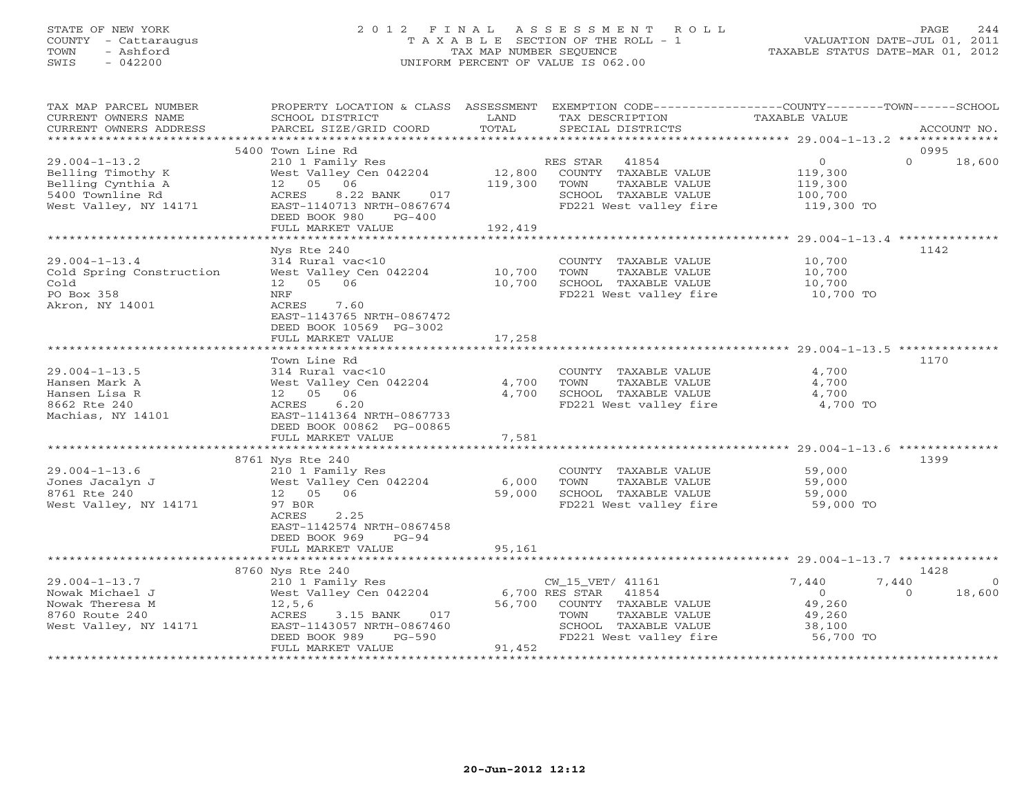# STATE OF NEW YORK 2 0 1 2 F I N A L A S S E S S M E N T R O L L PAGE 244 COUNTY - Cattaraugus T A X A B L E SECTION OF THE ROLL - 1 VALUATION DATE-JUL 01, 2011 TOWN - Ashford TAX MAP NUMBER SEQUENCE TAXABLE STATUS DATE-MAR 01, 2012 SWIS - 042200 UNIFORM PERCENT OF VALUE IS 062.00

| TAX MAP PARCEL NUMBER<br>CURRENT OWNERS NAME                                                               | PROPERTY LOCATION & CLASS ASSESSMENT<br>SCHOOL DISTRICT                                                                                                          | LAND<br>TOTAL           | EXEMPTION CODE-----------------COUNTY-------TOWN------SCHOOL<br>TAX DESCRIPTION                                                             | TAXABLE VALUE                                                 |                        |
|------------------------------------------------------------------------------------------------------------|------------------------------------------------------------------------------------------------------------------------------------------------------------------|-------------------------|---------------------------------------------------------------------------------------------------------------------------------------------|---------------------------------------------------------------|------------------------|
| CURRENT OWNERS ADDRESS                                                                                     | PARCEL SIZE/GRID COORD                                                                                                                                           |                         | SPECIAL DISTRICTS                                                                                                                           |                                                               | ACCOUNT NO.            |
|                                                                                                            | 5400 Town Line Rd                                                                                                                                                |                         |                                                                                                                                             |                                                               | 0995                   |
| $29.004 - 1 - 13.2$<br>Belling Timothy K<br>Belling Cynthia A<br>5400 Townline Rd<br>West Valley, NY 14171 | 210 1 Family Res<br>West Valley Cen 042204<br>12  05  06<br>ACRES<br>8.22 BANK 017<br>EAST-1140713 NRTH-0867674<br>DEED BOOK 980<br>$PG-400$                     | 119,300                 | RES STAR 41854<br>12,800 COUNTY TAXABLE VALUE<br>TAXABLE VALUE<br>TOWN<br>SCHOOL TAXABLE VALUE<br>FD221 West valley fire                    | $\overline{0}$<br>119,300<br>119,300<br>100,700<br>119,300 TO | $\Omega$<br>18,600     |
|                                                                                                            | FULL MARKET VALUE                                                                                                                                                | 192,419                 |                                                                                                                                             |                                                               |                        |
|                                                                                                            |                                                                                                                                                                  |                         |                                                                                                                                             |                                                               |                        |
| $29.004 - 1 - 13.4$<br>Cold Spring Construction<br>Cold<br>PO Box 358<br>Akron, NY 14001                   | Nys Rte 240<br>314 Rural vac<10<br>West Valley Cen 042204<br>12  05  06<br>NRF<br>ACRES<br>7.60<br>EAST-1143765 NRTH-0867472<br>DEED BOOK 10569 PG-3002          | 10,700<br>10,700        | COUNTY TAXABLE VALUE<br>TAXABLE VALUE<br>TOWN<br>SCHOOL TAXABLE VALUE<br>FD221 West valley fire                                             | 10,700<br>10,700<br>10,700<br>10,700 TO                       | 1142                   |
|                                                                                                            | FULL MARKET VALUE                                                                                                                                                | 17,258                  |                                                                                                                                             |                                                               |                        |
|                                                                                                            |                                                                                                                                                                  |                         |                                                                                                                                             |                                                               |                        |
| $29.004 - 1 - 13.5$<br>Hansen Mark A<br>Hansen Lisa R<br>8662 Rte 240<br>Machias, NY 14101                 | Town Line Rd<br>314 Rural vac<10<br>West Valley Cen 042204<br>12  05  06<br>ACRES<br>6.20<br>EAST-1141364 NRTH-0867733<br>DEED BOOK 00862 PG-00865               | 4,700<br>4,700          | COUNTY TAXABLE VALUE<br>TAXABLE VALUE<br>TOWN<br>SCHOOL TAXABLE VALUE<br>FD221 West valley fire                                             | 4,700<br>4,700<br>4,700<br>4,700 TO                           | 1170                   |
|                                                                                                            | FULL MARKET VALUE                                                                                                                                                | 7,581                   |                                                                                                                                             |                                                               |                        |
|                                                                                                            | 8761 Nys Rte 240                                                                                                                                                 |                         |                                                                                                                                             |                                                               | 1399                   |
| $29.004 - 1 - 13.6$<br>Jones Jacalyn J<br>8761 Rte 240<br>West Valley, NY 14171                            | 210 1 Family Res<br>West Valley Cen 042204<br>12  05  06<br>97 BOR<br>2.25<br>ACRES<br>EAST-1142574 NRTH-0867458<br>DEED BOOK 969<br>$PG-94$                     | 6,000<br>59,000         | COUNTY TAXABLE VALUE<br>TAXABLE VALUE<br>TOWN<br>SCHOOL TAXABLE VALUE<br>FD221 West valley fire                                             | 59,000<br>59,000<br>59,000<br>59,000 TO                       |                        |
| ********************                                                                                       | FULL MARKET VALUE<br>***********************                                                                                                                     | 95,161<br>************* |                                                                                                                                             |                                                               |                        |
|                                                                                                            |                                                                                                                                                                  |                         |                                                                                                                                             |                                                               |                        |
| $29.004 - 1 - 13.7$                                                                                        | 8760 Nys Rte 240                                                                                                                                                 |                         |                                                                                                                                             | 7,440<br>7,440                                                | 1428<br>$\overline{0}$ |
| Nowak Michael J<br>Nowak Theresa M<br>8760 Route 240<br>West Valley, NY 14171                              | 210 1 Family Res<br>West Valley Cen 042204<br>12,5,6<br>$3.15$ BANK<br>017<br>ACRES<br>EAST-1143057 NRTH-0867460<br>DEED BOOK 989<br>PG-590<br>FULL MARKET VALUE | 56,700<br>91,452        | CW_15_VET/ 41161<br>6,700 RES STAR 41854<br>COUNTY TAXABLE VALUE<br>TOWN<br>TAXABLE VALUE<br>SCHOOL TAXABLE VALUE<br>FD221 West valley fire | $\overline{0}$<br>49,260<br>49,260<br>38,100<br>56,700 TO     | $\Omega$<br>18,600     |
|                                                                                                            |                                                                                                                                                                  |                         |                                                                                                                                             |                                                               |                        |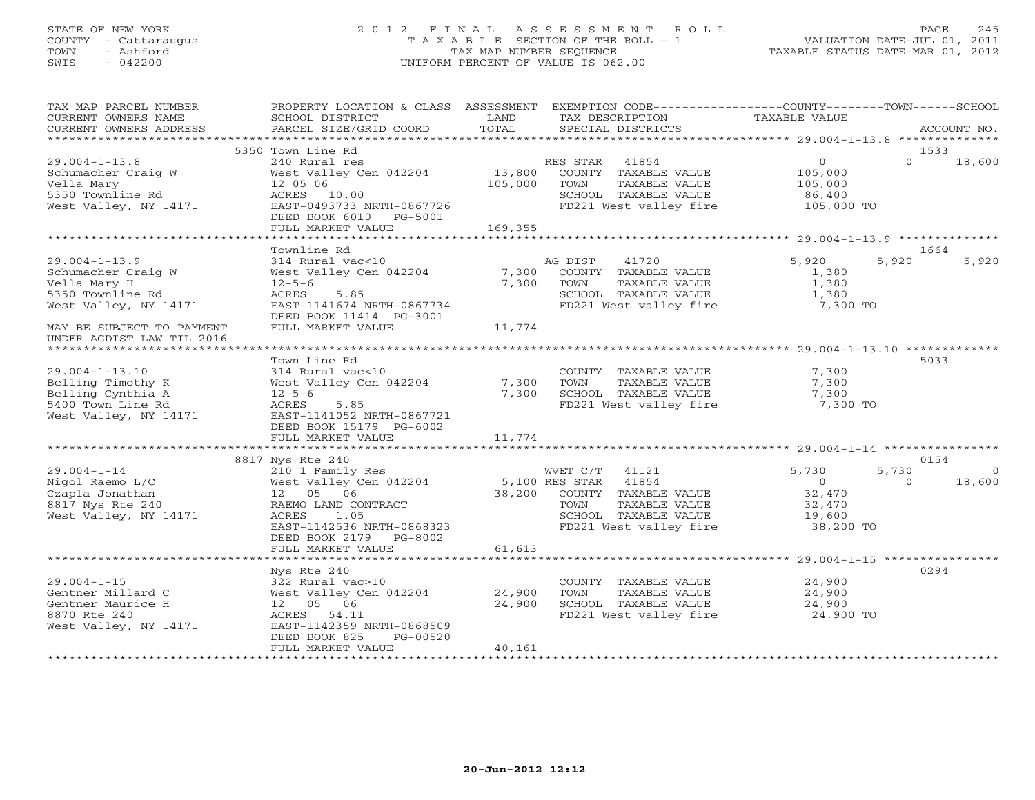## STATE OF NEW YORK 2 0 1 2 F I N A L A S S E S S M E N T R O L L PAGE 245 COUNTY - Cattaraugus T A X A B L E SECTION OF THE ROLL - 1 VALUATION DATE-JUL 01, 2011 TOWN - Ashford TAX MAP NUMBER SEQUENCE TAXABLE STATUS DATE-MAR 01, 2012 SWIS - 042200 UNIFORM PERCENT OF VALUE IS 062.00UNIFORM PERCENT OF VALUE IS 062.00

| TAX MAP PARCEL NUMBER     | PROPERTY LOCATION & CLASS ASSESSMENT EXEMPTION CODE----------------COUNTY-------TOWN------SCHOOL |         |                        |                   |             |          |
|---------------------------|--------------------------------------------------------------------------------------------------|---------|------------------------|-------------------|-------------|----------|
| CURRENT OWNERS NAME       | SCHOOL DISTRICT                                                                                  | LAND    | TAX DESCRIPTION        | TAXABLE VALUE     |             |          |
| CURRENT OWNERS ADDRESS    | PARCEL SIZE/GRID COORD                                                                           | TOTAL   | SPECIAL DISTRICTS      |                   | ACCOUNT NO. |          |
| **********************    |                                                                                                  |         |                        |                   |             |          |
|                           | 5350 Town Line Rd                                                                                |         |                        |                   | 1533        |          |
| $29.004 - 1 - 13.8$       | 240 Rural res                                                                                    |         | RES STAR<br>41854      | $0 \qquad \qquad$ | $\Omega$    | 18,600   |
| Schumacher Craig W        | West Valley Cen 042204                                                                           | 13,800  | COUNTY TAXABLE VALUE   | 105,000           |             |          |
| Vella Mary                | 12 05 06                                                                                         | 105,000 | TAXABLE VALUE<br>TOWN  | 105,000           |             |          |
| 5350 Townline Rd          | ACRES 10.00                                                                                      |         | SCHOOL TAXABLE VALUE   | 86,400            |             |          |
| West Valley, NY 14171     | EAST-0493733 NRTH-0867726                                                                        |         | FD221 West valley fire | 105,000 TO        |             |          |
|                           | DEED BOOK 6010 PG-5001                                                                           |         |                        |                   |             |          |
|                           | FULL MARKET VALUE                                                                                | 169,355 |                        |                   |             |          |
|                           |                                                                                                  |         |                        |                   |             |          |
|                           | Townline Rd                                                                                      |         |                        |                   | 1664        |          |
| $29.004 - 1 - 13.9$       | 314 Rural vac<10                                                                                 |         | AG DIST<br>41720       | 5,920             | 5,920       | 5,920    |
| Schumacher Craig W        | West Valley Cen 042204                                                                           | 7,300   | COUNTY TAXABLE VALUE   | 1,380             |             |          |
| Vella Mary H              | $12 - 5 - 6$                                                                                     | 7,300   | TOWN<br>TAXABLE VALUE  | 1,380             |             |          |
| 5350 Townline Rd          | ACRES<br>5.85                                                                                    |         | SCHOOL TAXABLE VALUE   | 1,380             |             |          |
| West Valley, NY 14171     | EAST-1141674 NRTH-0867734                                                                        |         | FD221 West valley fire | 7,300 TO          |             |          |
|                           | DEED BOOK 11414 PG-3001                                                                          |         |                        |                   |             |          |
| MAY BE SUBJECT TO PAYMENT | FULL MARKET VALUE                                                                                | 11,774  |                        |                   |             |          |
| UNDER AGDIST LAW TIL 2016 |                                                                                                  |         |                        |                   |             |          |
|                           |                                                                                                  |         |                        |                   |             |          |
|                           | Town Line Rd                                                                                     |         |                        |                   | 5033        |          |
| $29.004 - 1 - 13.10$      | 314 Rural vac<10                                                                                 |         | COUNTY TAXABLE VALUE   | 7,300             |             |          |
| Belling Timothy K         | West Valley Cen 042204                                                                           | 7,300   | TOWN<br>TAXABLE VALUE  | 7,300             |             |          |
| Belling Cynthia A         | $12 - 5 - 6$                                                                                     | 7,300   | SCHOOL TAXABLE VALUE   | 7,300             |             |          |
| 5400 Town Line Rd         | ACRES<br>5.85                                                                                    |         | FD221 West valley fire | 7,300 TO          |             |          |
| West Valley, NY 14171     | EAST-1141052 NRTH-0867721                                                                        |         |                        |                   |             |          |
|                           | DEED BOOK 15179 PG-6002                                                                          |         |                        |                   |             |          |
|                           | FULL MARKET VALUE                                                                                | 11,774  |                        |                   |             |          |
|                           | 8817 Nys Rte 240                                                                                 |         |                        |                   | 0154        |          |
| $29.004 - 1 - 14$         | 210 1 Family Res                                                                                 |         | WVET C/T<br>41121      | 5,730             | 5,730       | $\Omega$ |
| Nigol Raemo L/C           | West Valley Cen 042204                                                                           |         | 5,100 RES STAR 41854   | $\circ$           | $\Omega$    | 18,600   |
| Czapla Jonathan           | 12  05  06                                                                                       | 38,200  | COUNTY TAXABLE VALUE   | 32,470            |             |          |
| 8817 Nys Rte 240          | RAEMO LAND CONTRACT                                                                              |         | TOWN<br>TAXABLE VALUE  | 32,470            |             |          |
| West Valley, NY 14171     | ACRES<br>1.05                                                                                    |         | SCHOOL TAXABLE VALUE   | 19,600            |             |          |
|                           | EAST-1142536 NRTH-0868323                                                                        |         | FD221 West valley fire | 38,200 TO         |             |          |
|                           | DEED BOOK 2179 PG-8002                                                                           |         |                        |                   |             |          |
|                           | FULL MARKET VALUE                                                                                | 61,613  |                        |                   |             |          |
|                           |                                                                                                  |         |                        |                   |             |          |
|                           | Nys Rte 240                                                                                      |         |                        |                   | 0294        |          |
| $29.004 - 1 - 15$         | 322 Rural vac>10                                                                                 |         | COUNTY TAXABLE VALUE   | 24,900            |             |          |
| Gentner Millard C         | West Valley Cen 042204                                                                           | 24,900  | TAXABLE VALUE<br>TOWN  | 24,900            |             |          |
| Gentner Maurice H         | 12  05  06                                                                                       | 24,900  | SCHOOL TAXABLE VALUE   | 24,900            |             |          |
| 8870 Rte 240              | ACRES 54.11                                                                                      |         | FD221 West valley fire | 24,900 TO         |             |          |
| West Valley, NY 14171     | EAST-1142359 NRTH-0868509                                                                        |         |                        |                   |             |          |
|                           | DEED BOOK 825<br>PG-00520                                                                        |         |                        |                   |             |          |
|                           | FULL MARKET VALUE                                                                                | 40,161  |                        |                   |             |          |
|                           |                                                                                                  |         |                        |                   |             |          |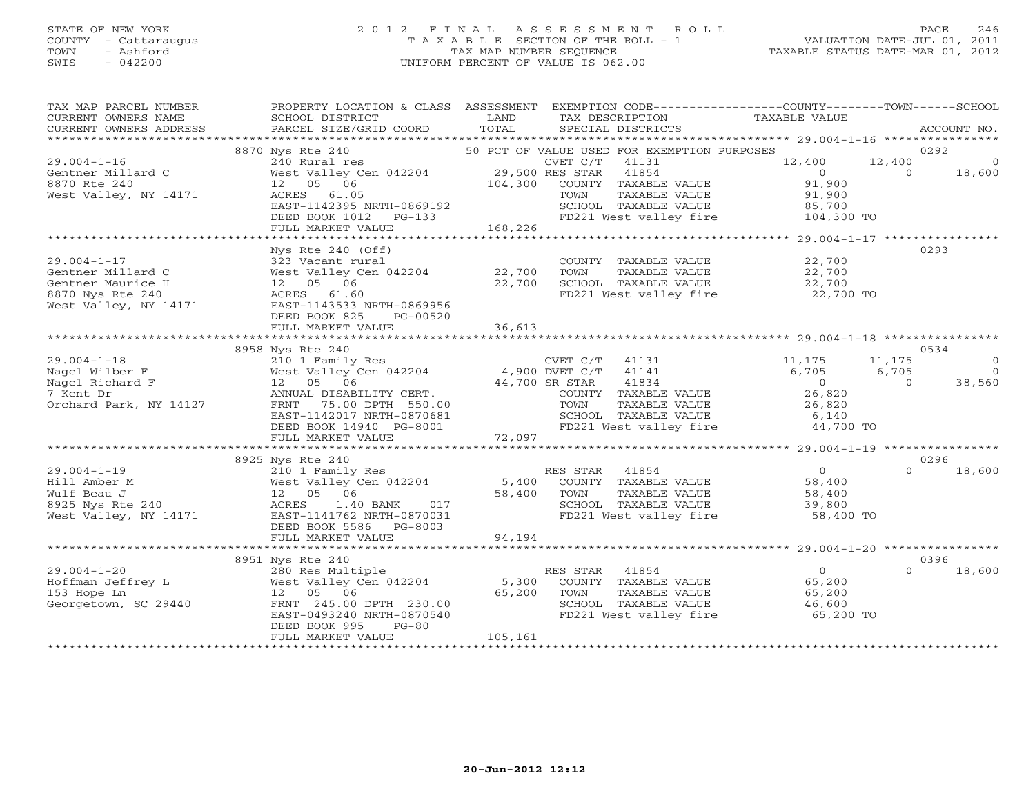## STATE OF NEW YORK 2 0 1 2 F I N A L A S S E S S M E N T R O L L PAGE 246 COUNTY - Cattaraugus T A X A B L E SECTION OF THE ROLL - 1 VALUATION DATE-JUL 01, 2011 TOWN - Ashford TAX MAP NUMBER SEQUENCE TAXABLE STATUS DATE-MAR 01, 2012 SWIS - 042200 UNIFORM PERCENT OF VALUE IS 062.00UNIFORM PERCENT OF VALUE IS 062.00

| TAX MAP PARCEL NUMBER<br>CURRENT OWNERS NAME<br>CURRENT OWNERS ADDRESS                                                                                                                                                                               | PROPERTY LOCATION & CLASS ASSESSMENT EXEMPTION CODE----------------COUNTY-------TOWN------SCHOOL<br>SCHOOL DISTRICT<br><b>Example 12</b> LAND<br>PARCEL SIZE/GRID COORD                                                                                                                                                                                                                                       | TOTAL   | TAX DESCRIPTION TAXABLE VALUE<br>SPECIAL DISTRICTS<br>SPECIAL DISTRICTS           |                                                               |                          | ACCOUNT NO.    |
|------------------------------------------------------------------------------------------------------------------------------------------------------------------------------------------------------------------------------------------------------|---------------------------------------------------------------------------------------------------------------------------------------------------------------------------------------------------------------------------------------------------------------------------------------------------------------------------------------------------------------------------------------------------------------|---------|-----------------------------------------------------------------------------------|---------------------------------------------------------------|--------------------------|----------------|
|                                                                                                                                                                                                                                                      |                                                                                                                                                                                                                                                                                                                                                                                                               |         |                                                                                   |                                                               |                          |                |
|                                                                                                                                                                                                                                                      |                                                                                                                                                                                                                                                                                                                                                                                                               |         |                                                                                   |                                                               |                          | 0292           |
|                                                                                                                                                                                                                                                      |                                                                                                                                                                                                                                                                                                                                                                                                               |         |                                                                                   | 12,400 12,400 0                                               |                          |                |
|                                                                                                                                                                                                                                                      |                                                                                                                                                                                                                                                                                                                                                                                                               |         |                                                                                   |                                                               | $\Omega$                 | 18,600         |
|                                                                                                                                                                                                                                                      |                                                                                                                                                                                                                                                                                                                                                                                                               |         |                                                                                   |                                                               |                          |                |
|                                                                                                                                                                                                                                                      |                                                                                                                                                                                                                                                                                                                                                                                                               |         |                                                                                   |                                                               |                          |                |
|                                                                                                                                                                                                                                                      |                                                                                                                                                                                                                                                                                                                                                                                                               |         |                                                                                   |                                                               |                          |                |
|                                                                                                                                                                                                                                                      |                                                                                                                                                                                                                                                                                                                                                                                                               |         |                                                                                   |                                                               |                          |                |
|                                                                                                                                                                                                                                                      |                                                                                                                                                                                                                                                                                                                                                                                                               |         |                                                                                   |                                                               |                          |                |
|                                                                                                                                                                                                                                                      |                                                                                                                                                                                                                                                                                                                                                                                                               |         |                                                                                   |                                                               |                          |                |
|                                                                                                                                                                                                                                                      | $Nys$ Rte $240$ (Off)                                                                                                                                                                                                                                                                                                                                                                                         |         |                                                                                   |                                                               | 0293                     |                |
|                                                                                                                                                                                                                                                      |                                                                                                                                                                                                                                                                                                                                                                                                               |         | COUNTY TAXABLE VALUE 22,700                                                       |                                                               |                          |                |
|                                                                                                                                                                                                                                                      |                                                                                                                                                                                                                                                                                                                                                                                                               |         | TOWN<br>TAXABLE VALUE                                                             | 22,700                                                        |                          |                |
|                                                                                                                                                                                                                                                      |                                                                                                                                                                                                                                                                                                                                                                                                               |         | SCHOOL TAXABLE VALUE 22,700<br>FD221 West valley fire 22,700 TO                   |                                                               |                          |                |
| Anys Rte 240<br>Solution Maurice H Gentner Maurice H 8870 Nys Rte 240<br>West Valley C 12 05 06<br>Nest Valley, NY 14171<br>Nest Valley, NY 14171<br>Nest Valley, NY 14171                                                                           | 323 Vacant rural<br>West Valley Cen 042204 22,700<br>12 05 06 22,700<br>ACRES 61.60 22,700<br>RAST-1143533 NRTH-0869956                                                                                                                                                                                                                                                                                       |         |                                                                                   |                                                               |                          |                |
|                                                                                                                                                                                                                                                      | EAST-1143533 NRTH-0869956                                                                                                                                                                                                                                                                                                                                                                                     |         |                                                                                   |                                                               |                          |                |
|                                                                                                                                                                                                                                                      | PG-00520                                                                                                                                                                                                                                                                                                                                                                                                      |         |                                                                                   |                                                               |                          |                |
|                                                                                                                                                                                                                                                      | FULL MARKET VALUE                                                                                                                                                                                                                                                                                                                                                                                             | 36,613  |                                                                                   |                                                               |                          |                |
|                                                                                                                                                                                                                                                      |                                                                                                                                                                                                                                                                                                                                                                                                               |         |                                                                                   |                                                               |                          |                |
|                                                                                                                                                                                                                                                      |                                                                                                                                                                                                                                                                                                                                                                                                               |         |                                                                                   |                                                               |                          | 0534           |
|                                                                                                                                                                                                                                                      |                                                                                                                                                                                                                                                                                                                                                                                                               |         |                                                                                   |                                                               | 11,175                   | $\circ$        |
|                                                                                                                                                                                                                                                      | $\begin{tabular}{lllllllllllllllllll} \multicolumn{4}{c }{210} & \multicolumn{4}{c }{Family Res} & \multicolumn{4}{c }{CVET C/T} & 41131 & 11,175 \\ \multicolumn{4}{c }{West Valley Cen 042204} & 4,900 DVET C/T & 41141 & 6,705 \\ 12 & 05 & 06 & 44,700 SR STR & 41834 & 0 \\ \multicolumn{4}{c }{ANNUAL DISABILITY CERT.} & \multicolumn{4}{c }{COVNTY} & TAXABLE VALUE \\ \multicolumn{4}{c }{FRT-11420$ |         |                                                                                   | 6,705                                                         | 6,705<br>$6, 705$<br>0 3 | $\overline{0}$ |
|                                                                                                                                                                                                                                                      |                                                                                                                                                                                                                                                                                                                                                                                                               |         | R STAR 41834 (COUNTY TAXABLE VALUE 26,820                                         |                                                               |                          | 38,560         |
|                                                                                                                                                                                                                                                      |                                                                                                                                                                                                                                                                                                                                                                                                               |         |                                                                                   |                                                               |                          |                |
|                                                                                                                                                                                                                                                      |                                                                                                                                                                                                                                                                                                                                                                                                               |         |                                                                                   |                                                               |                          |                |
| 29.004-1-18<br>Nagel Wilber F West Valley Corporation and F Nagel Richard F 12 05 06<br>Nagel Richard F 12 05 06<br>The Transform of The MNIVAL DISABN<br>Transform T5.00<br>Transform T5.00<br>Transform T5.00                                      |                                                                                                                                                                                                                                                                                                                                                                                                               |         |                                                                                   |                                                               |                          |                |
|                                                                                                                                                                                                                                                      | FRNT 75.00 DPTH 550.00<br>EAST-1142017 NRTH-0870681 SCHOOL TAXABLE VALUE 6,140<br>DEED BOOK 14940 PG-8001 FD221 West valley fire 44,700 TO                                                                                                                                                                                                                                                                    |         |                                                                                   |                                                               |                          |                |
|                                                                                                                                                                                                                                                      | FULL MARKET VALUE                                                                                                                                                                                                                                                                                                                                                                                             | 72,097  |                                                                                   |                                                               |                          |                |
|                                                                                                                                                                                                                                                      |                                                                                                                                                                                                                                                                                                                                                                                                               |         |                                                                                   |                                                               |                          |                |
|                                                                                                                                                                                                                                                      |                                                                                                                                                                                                                                                                                                                                                                                                               |         |                                                                                   |                                                               |                          | 0296           |
|                                                                                                                                                                                                                                                      |                                                                                                                                                                                                                                                                                                                                                                                                               |         |                                                                                   |                                                               | $\Omega$                 | 18,600         |
|                                                                                                                                                                                                                                                      |                                                                                                                                                                                                                                                                                                                                                                                                               |         |                                                                                   |                                                               |                          |                |
|                                                                                                                                                                                                                                                      |                                                                                                                                                                                                                                                                                                                                                                                                               |         |                                                                                   |                                                               |                          |                |
|                                                                                                                                                                                                                                                      |                                                                                                                                                                                                                                                                                                                                                                                                               |         | TOWN TAXABLE VALUE<br>SCHOOL TAXABLE VALUE 39,800<br>58,400 TO 100 fire 58,400 TO |                                                               |                          |                |
|                                                                                                                                                                                                                                                      |                                                                                                                                                                                                                                                                                                                                                                                                               |         |                                                                                   |                                                               |                          |                |
|                                                                                                                                                                                                                                                      | DEED BOOK 5586 PG-8003                                                                                                                                                                                                                                                                                                                                                                                        |         |                                                                                   |                                                               |                          |                |
|                                                                                                                                                                                                                                                      |                                                                                                                                                                                                                                                                                                                                                                                                               |         |                                                                                   |                                                               |                          |                |
|                                                                                                                                                                                                                                                      |                                                                                                                                                                                                                                                                                                                                                                                                               |         |                                                                                   |                                                               |                          |                |
|                                                                                                                                                                                                                                                      | 8951 Nys Rte 240                                                                                                                                                                                                                                                                                                                                                                                              |         |                                                                                   |                                                               | 0396                     |                |
|                                                                                                                                                                                                                                                      |                                                                                                                                                                                                                                                                                                                                                                                                               |         |                                                                                   | $\begin{array}{c} 0 \\ 65,200 \end{array}$                    | $\Omega$                 | 18,600         |
| 29.004-1-20<br>Hoffman Jeffrey L<br>153 Hope Ln<br>County 12 05 06<br>Georgetown, SC 29440<br>ERS STAR 41854<br>Mest Valley Cen 042204<br>12 05 06<br>FRNT 245.00 DPTH 230.00<br>ERS STAR 41854<br>5,300 COUNTY TAXABLE VALUE<br>SCHOOL TAXABLE VALU |                                                                                                                                                                                                                                                                                                                                                                                                               |         |                                                                                   |                                                               |                          |                |
|                                                                                                                                                                                                                                                      |                                                                                                                                                                                                                                                                                                                                                                                                               |         |                                                                                   | TAXABLE VALUE<br>TAXABLE VALUE 65,200<br>TAXABLE VALUE 46,600 |                          |                |
|                                                                                                                                                                                                                                                      |                                                                                                                                                                                                                                                                                                                                                                                                               |         |                                                                                   |                                                               |                          |                |
|                                                                                                                                                                                                                                                      |                                                                                                                                                                                                                                                                                                                                                                                                               |         | FD221 West valley fire 65,200 TO                                                  |                                                               |                          |                |
|                                                                                                                                                                                                                                                      | DEED BOOK 995<br>PG-80                                                                                                                                                                                                                                                                                                                                                                                        |         |                                                                                   |                                                               |                          |                |
|                                                                                                                                                                                                                                                      | FULL MARKET VALUE                                                                                                                                                                                                                                                                                                                                                                                             | 105,161 |                                                                                   |                                                               |                          |                |
|                                                                                                                                                                                                                                                      |                                                                                                                                                                                                                                                                                                                                                                                                               |         |                                                                                   |                                                               |                          |                |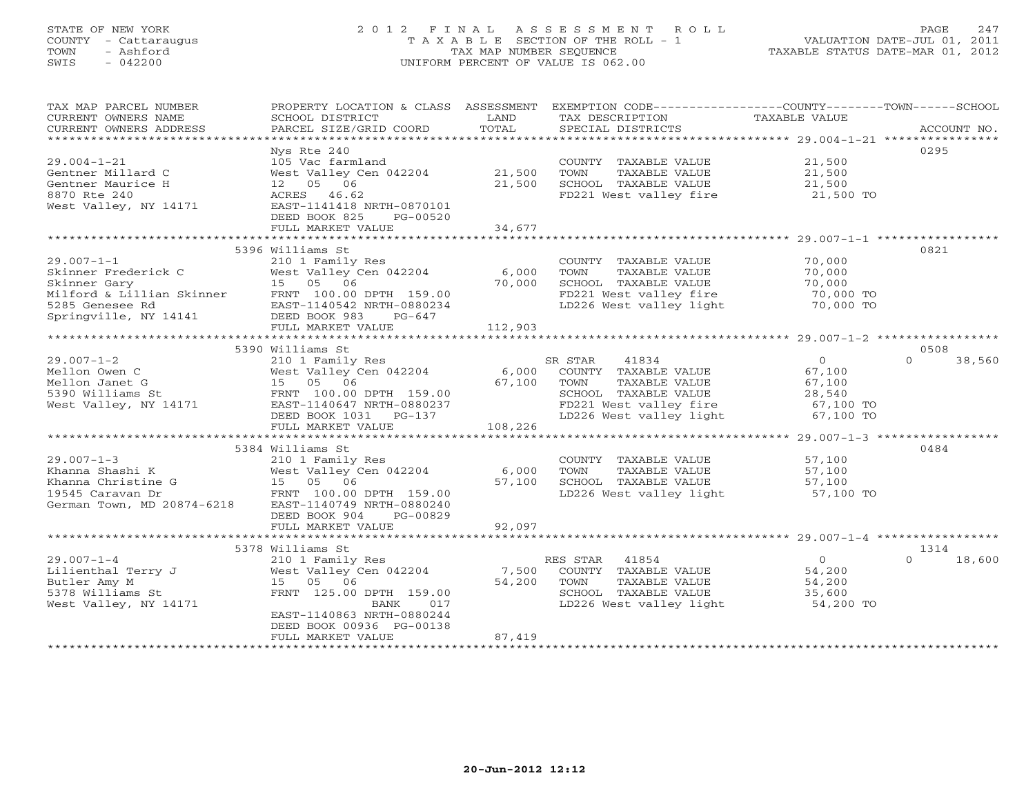# STATE OF NEW YORK 2 0 1 2 F I N A L A S S E S S M E N T R O L L PAGE 247 COUNTY - Cattaraugus T A X A B L E SECTION OF THE ROLL - 1 VALUATION DATE-JUL 01, 2011 TOWN - Ashford TAX MAP NUMBER SEQUENCE TAXABLE STATUS DATE-MAR 01, 2012 SWIS - 042200 UNIFORM PERCENT OF VALUE IS 062.00

TAX MAP PARCEL NUMBER PROPERTY LOCATION & CLASS ASSESSMENT EXEMPTION CODE-----------------COUNTY-------TOWN------SCHOOL<br>CURRENT OWNERS NAME SCHOOL DISTRICT LAND TAX DESC \*\*\*\*\*\*\*\*\*\*\*\*\*\*\*\*\*\*\*\*\*\*\*\*\*\*\*\*\*\*\*\*\*\*\*\*\*\*\*\*\*\*\*\*\*\*\*\*\*\*\*\*\*\*\*\*\*\*\*\*\*\*\*\*\*\*\*\*\*\*\*\*\*\*\*\*\*\*\*\*\*\*\*\*\*\*\*\*\*\*\*\*\*\*\*\*\*\*\*\*\*\*\* 29.004-1-21 \*\*\*\*\*\*\*\*\*\*\*\*\*\*\*\* Nys Rte 240 0295 29.004-1-21 105 Vac farmland COUNTY TAXABLE VALUE 21,500 Gentner Millard C West Valley Cen 042204 21,500 TOWN TAXABLE VALUE 21,500 Gentner Maurice H 12 05 06 21,500 SCHOOL TAXABLE VALUE 21,500 8870 Rte 240 ACRES 46.62 FD221 West valley fire 21,500 TO West Valley, NY 14171 EAST-1141418 NRTH-0870101 DEED BOOK 825 PG-00520 FULL MARKET VALUE 34,677 \*\*\*\*\*\*\*\*\*\*\*\*\*\*\*\*\*\*\*\*\*\*\*\*\*\*\*\*\*\*\*\*\*\*\*\*\*\*\*\*\*\*\*\*\*\*\*\*\*\*\*\*\*\*\*\*\*\*\*\*\*\*\*\*\*\*\*\*\*\*\*\*\*\*\*\*\*\*\*\*\*\*\*\*\*\*\*\*\*\*\*\*\*\*\*\*\*\*\*\*\*\*\* 29.007-1-1 \*\*\*\*\*\*\*\*\*\*\*\*\*\*\*\*\* 5396 Williams St 0821 29.007-1-1 210 1 Family Res COUNTY TAXABLE VALUE 70,000 Skinner Frederick C West Valley Cen 042204 6,000 TOWN TAXABLE VALUE 70,000 Skinner Gary 15 05 06 70,000 SCHOOL TAXABLE VALUE 70,000 Milford & Lillian Skinner FRNT 100.00 DPTH 159.00 FD221 West valley fire 70,000 TO 5285 Genesee Rd EAST-1140542 NRTH-0880234 LD226 West valley light 70,000 TO Springville, NY 14141 DEED BOOK 983 PG-647 FULL MARKET VALUE 112,903 \*\*\*\*\*\*\*\*\*\*\*\*\*\*\*\*\*\*\*\*\*\*\*\*\*\*\*\*\*\*\*\*\*\*\*\*\*\*\*\*\*\*\*\*\*\*\*\*\*\*\*\*\*\*\*\*\*\*\*\*\*\*\*\*\*\*\*\*\*\*\*\*\*\*\*\*\*\*\*\*\*\*\*\*\*\*\*\*\*\*\*\*\*\*\*\*\*\*\*\*\*\*\* 29.007-1-2 \*\*\*\*\*\*\*\*\*\*\*\*\*\*\*\*\* 5390 Williams St 0508 29.007-1-2 210 1 Family Res SR STAR 41834 0 0 38,560 Mellon Owen C West Valley Cen 042204 6,000 COUNTY TAXABLE VALUE 67,100 Mellon Janet G 15 05 06 67,100 TOWN TAXABLE VALUE 67,100 5390 Williams St FRNT 100.00 DPTH 159.00 SCHOOL TAXABLE VALUE 28,540 West Valley, NY 14171 EAST-1140647 NRTH-0880237 FD221 West valley fire 67,100 TO DEED BOOK 1031 PG-137 LD226 West valley light 67,100 TO FULL MARKET VALUE 108,226 \*\*\*\*\*\*\*\*\*\*\*\*\*\*\*\*\*\*\*\*\*\*\*\*\*\*\*\*\*\*\*\*\*\*\*\*\*\*\*\*\*\*\*\*\*\*\*\*\*\*\*\*\*\*\*\*\*\*\*\*\*\*\*\*\*\*\*\*\*\*\*\*\*\*\*\*\*\*\*\*\*\*\*\*\*\*\*\*\*\*\*\*\*\*\*\*\*\*\*\*\*\*\* 29.007-1-3 \*\*\*\*\*\*\*\*\*\*\*\*\*\*\*\*\* $\frac{25.007 - 1}{5384}$  Williams St 0484 29.007-1-3 210 1 Family Res COUNTY TAXABLE VALUE 57,100 Khanna Shashi K West Valley Cen 042204 6,000 TOWN TAXABLE VALUE 57,100 Khanna Christine G 15 05 06 57,100 SCHOOL TAXABLE VALUE 57,100 19545 Caravan Dr FRNT 100.00 DPTH 159.00 LD226 West valley light 57,100 TO German Town, MD 20874-6218 EAST-1140749 NRTH-0880240 DEED BOOK 904 PG-00829 FULL MARKET VALUE 92,097 \*\*\*\*\*\*\*\*\*\*\*\*\*\*\*\*\*\*\*\*\*\*\*\*\*\*\*\*\*\*\*\*\*\*\*\*\*\*\*\*\*\*\*\*\*\*\*\*\*\*\*\*\*\*\*\*\*\*\*\*\*\*\*\*\*\*\*\*\*\*\*\*\*\*\*\*\*\*\*\*\*\*\*\*\*\*\*\*\*\*\*\*\*\*\*\*\*\*\*\*\*\*\* 29.007-1-4 \*\*\*\*\*\*\*\*\*\*\*\*\*\*\*\*\* 5378 Williams St 1314 29.007-1-4 210 1 Family Res RES STAR 41854 0 0 18,600 Lilienthal Terry J West Valley Cen 042204 7,500 COUNTY TAXABLE VALUE 54,200 Butler Amy M 15 05 06 54,200 TOWN TAXABLE VALUE 54,200 5378 Williams St FRNT 125.00 DPTH 159.00 SCHOOL TAXABLE VALUE 35,600 West Valley, NY 14171 BANK 017 LD226 West valley light 54,200 TO EAST-1140863 NRTH-0880244 DEED BOOK 00936 PG-00138FULL MARKET VALUE 87,419 \*\*\*\*\*\*\*\*\*\*\*\*\*\*\*\*\*\*\*\*\*\*\*\*\*\*\*\*\*\*\*\*\*\*\*\*\*\*\*\*\*\*\*\*\*\*\*\*\*\*\*\*\*\*\*\*\*\*\*\*\*\*\*\*\*\*\*\*\*\*\*\*\*\*\*\*\*\*\*\*\*\*\*\*\*\*\*\*\*\*\*\*\*\*\*\*\*\*\*\*\*\*\*\*\*\*\*\*\*\*\*\*\*\*\*\*\*\*\*\*\*\*\*\*\*\*\*\*\*\*\*\*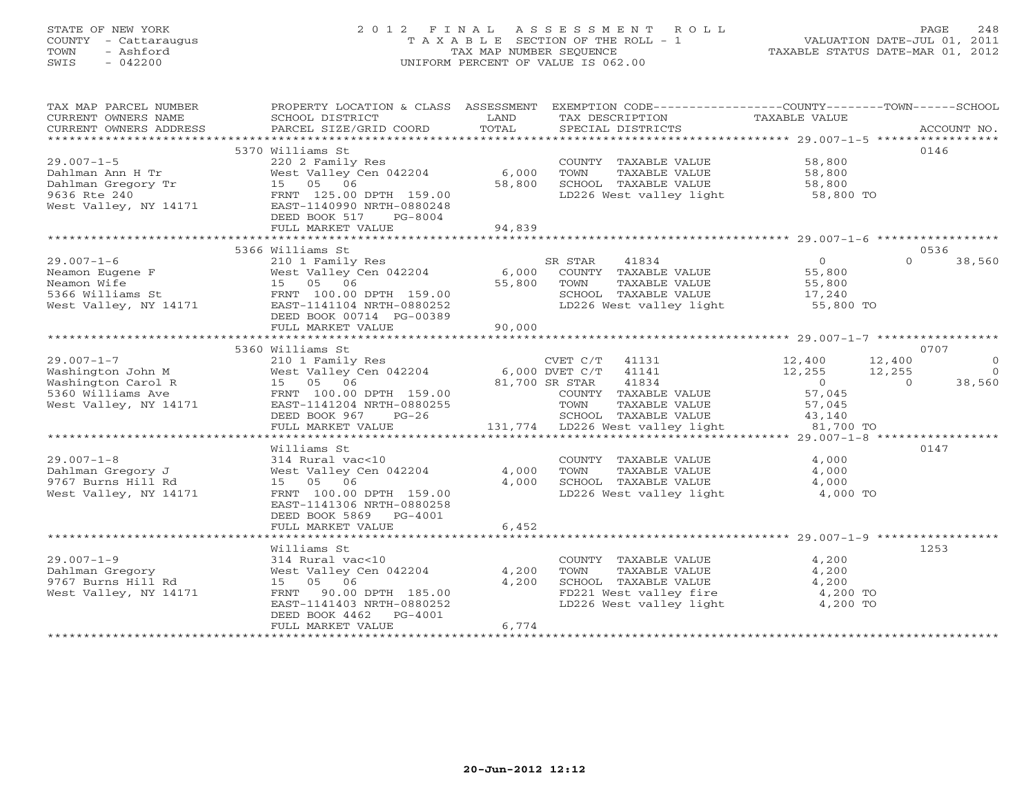# STATE OF NEW YORK 2 0 1 2 F I N A L A S S E S S M E N T R O L L PAGE 248 COUNTY - Cattaraugus T A X A B L E SECTION OF THE ROLL - 1 VALUATION DATE-JUL 01, 2011 TOWN - Ashford **TAX MAP NUMBER SEQUENCE** TAX TAXABLE STATUS DATE-MAR 01, 2012<br>TRIS - 042200 SWIS - 042200 UNIFORM PERCENT OF VALUE IS 062.00

TAX MAP PARCEL NUMBER PROPERTY LOCATION & CLASS ASSESSMENT EXEMPTION CODE------------------COUNTY--------TOWN------SCHOOL

| CURRENT OWNERS NAME    | SCHOOL DISTRICT            | LAND          | TAX DESCRIPTION                 | TAXABLE VALUE    |                    |
|------------------------|----------------------------|---------------|---------------------------------|------------------|--------------------|
| CURRENT OWNERS ADDRESS | PARCEL SIZE/GRID COORD     | TOTAL         | SPECIAL DISTRICTS               |                  | ACCOUNT NO.        |
|                        |                            |               |                                 |                  |                    |
|                        | 5370 Williams St           |               |                                 |                  | 0146               |
| $29.007 - 1 - 5$       | 220 2 Family Res           |               | COUNTY TAXABLE VALUE            | 58,800           |                    |
| Dahlman Ann H Tr       | West Valley Cen 042204     | 6,000         | TAXABLE VALUE<br>TOWN           | 58,800           |                    |
| Dahlman Gregory Tr     | 15 05 06                   | 58,800        | SCHOOL TAXABLE VALUE            | 58,800           |                    |
| 9636 Rte 240           | FRNT 125.00 DPTH 159.00    |               | LD226 West valley light         | 58,800 TO        |                    |
| West Valley, NY 14171  | EAST-1140990 NRTH-0880248  |               |                                 |                  |                    |
|                        | DEED BOOK 517<br>PG-8004   |               |                                 |                  |                    |
|                        | FULL MARKET VALUE          | 94,839        |                                 |                  |                    |
|                        | ************************** | ************* |                                 |                  |                    |
|                        | 5366 Williams St           |               |                                 |                  | 0536               |
| $29.007 - 1 - 6$       | 210 1 Family Res           |               | SR STAR<br>41834                | $\overline{0}$   | $\cap$<br>38,560   |
| Neamon Eugene F        | West Valley Cen 042204     | 6,000         | COUNTY TAXABLE VALUE            | 55,800           |                    |
| Neamon Wife            | 15 05 06                   | 55,800        | TAXABLE VALUE<br>TOWN           | 55,800           |                    |
| 5366 Williams St       | FRNT 100.00 DPTH 159.00    |               | SCHOOL TAXABLE VALUE            | 17,240           |                    |
| West Valley, NY 14171  | EAST-1141104 NRTH-0880252  |               | LD226 West valley light         | 55,800 TO        |                    |
|                        | DEED BOOK 00714 PG-00389   |               |                                 |                  |                    |
|                        | FULL MARKET VALUE          | 90,000        |                                 |                  |                    |
|                        |                            |               |                                 |                  |                    |
|                        | 5360 Williams St           |               |                                 |                  | 0707               |
|                        |                            |               |                                 |                  |                    |
| $29.007 - 1 - 7$       | 210 1 Family Res           |               | CVET C/T<br>41131               | 12,400<br>12,400 |                    |
| Washington John M      | West Valley Cen 042204     |               | $6,000$ DVET $C/T$<br>41141     | 12,255<br>12,255 |                    |
| Washington Carol R     | 15 05 06                   |               | 81,700 SR STAR<br>41834         | $\overline{0}$   | 38,560<br>$\Omega$ |
| 5360 Williams Ave      | FRNT 100.00 DPTH 159.00    |               | COUNTY TAXABLE VALUE            | 57,045           |                    |
| West Valley, NY 14171  | EAST-1141204 NRTH-0880255  |               | TOWN<br>TAXABLE VALUE           | 57,045           |                    |
|                        | DEED BOOK 967<br>PG-26     |               | SCHOOL TAXABLE VALUE            | 43,140           |                    |
|                        | FULL MARKET VALUE          |               | 131,774 LD226 West valley light | 81,700 TO        |                    |
|                        |                            |               |                                 |                  |                    |
|                        | Williams St                |               |                                 |                  | 0147               |
| $29.007 - 1 - 8$       | 314 Rural vac<10           |               | COUNTY TAXABLE VALUE            | 4,000            |                    |
| Dahlman Gregory J      | West Valley Cen 042204     | 4,000         | TAXABLE VALUE<br>TOWN           | 4,000            |                    |
| 9767 Burns Hill Rd     | 15  05  06                 | 4,000         | SCHOOL TAXABLE VALUE            | 4,000            |                    |
| West Valley, NY 14171  | FRNT 100.00 DPTH 159.00    |               | LD226 West valley light         | 4,000 TO         |                    |
|                        | EAST-1141306 NRTH-0880258  |               |                                 |                  |                    |
|                        | DEED BOOK 5869 PG-4001     |               |                                 |                  |                    |
|                        | FULL MARKET VALUE          | 6,452         |                                 |                  |                    |
|                        |                            |               |                                 |                  |                    |
|                        | Williams St                |               |                                 |                  | 1253               |
| $29.007 - 1 - 9$       | 314 Rural vac<10           |               | COUNTY TAXABLE VALUE            | 4,200            |                    |
| Dahlman Gregory        | West Valley Cen 042204     | 4,200         | TOWN<br>TAXABLE VALUE           | 4,200            |                    |
| 9767 Burns Hill Rd     | 15 05 06                   | 4,200         | SCHOOL TAXABLE VALUE            | 4,200            |                    |
| West Valley, NY 14171  | FRNT 90.00 DPTH 185.00     |               | FD221 West valley fire          | 4,200 TO         |                    |
|                        | EAST-1141403 NRTH-0880252  |               | LD226 West valley light         | 4,200 TO         |                    |
|                        | DEED BOOK 4462 PG-4001     |               |                                 |                  |                    |
|                        | FULL MARKET VALUE          | 6,774         |                                 |                  |                    |
|                        |                            |               |                                 |                  |                    |
|                        |                            |               |                                 |                  |                    |
|                        |                            |               |                                 |                  |                    |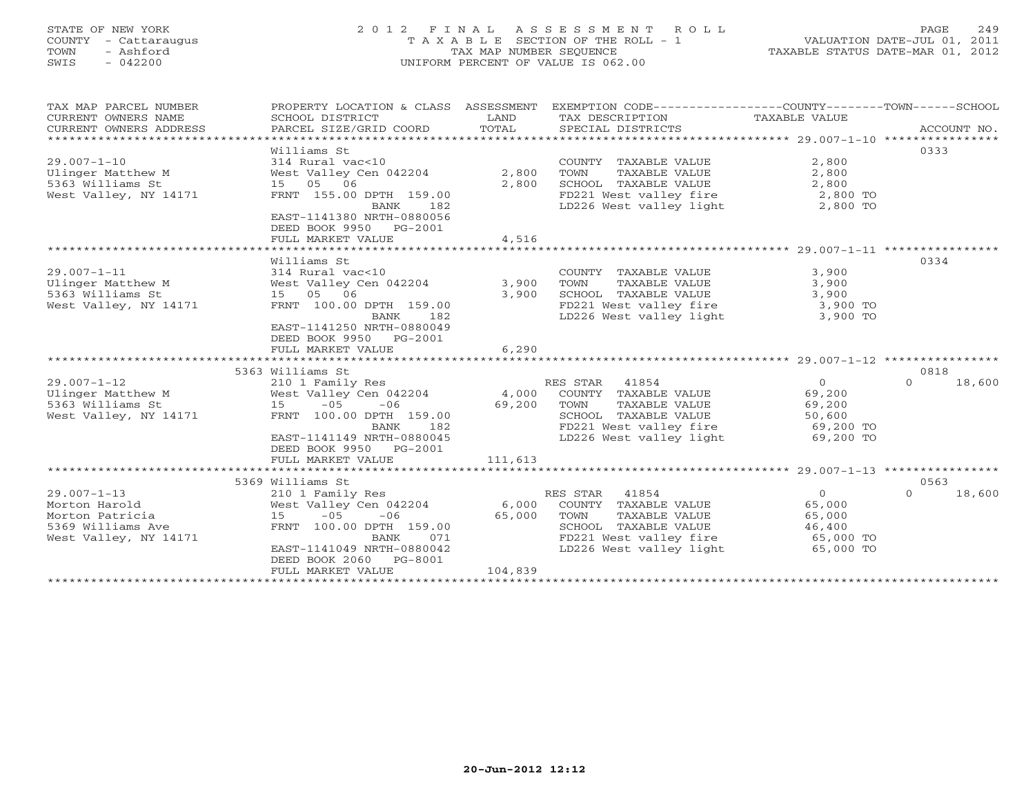# STATE OF NEW YORK 2 0 1 2 F I N A L A S S E S S M E N T R O L L PAGE 249 COUNTY - Cattaraugus T A X A B L E SECTION OF THE ROLL - 1 VALUATION DATE-JUL 01, 2011 TOWN - Ashford TAX MAP NUMBER SEQUENCE TAXABLE STATUS DATE-MAR 01, 2012 SWIS - 042200 UNIFORM PERCENT OF VALUE IS 062.00UNIFORM PERCENT OF VALUE IS 062.00

| TAX MAP PARCEL NUMBER<br>CURRENT OWNERS NAME<br>CURRENT OWNERS ADDRESS                                                                                                     | PROPERTY LOCATION & CLASS ASSESSMENT<br>SCHOOL DISTRICT<br>PARCEL SIZE/GRID COORD                                                                                                                                                                                                                                                                               | LAND<br>TOTAL                              | EXEMPTION CODE-----------------COUNTY-------TOWN------SCHOOL<br>TAX DESCRIPTION<br>SPECIAL DISTRICTS                                                                                                                                                                          | TAXABLE VALUE                                                                                                      | ACCOUNT NO.                        |
|----------------------------------------------------------------------------------------------------------------------------------------------------------------------------|-----------------------------------------------------------------------------------------------------------------------------------------------------------------------------------------------------------------------------------------------------------------------------------------------------------------------------------------------------------------|--------------------------------------------|-------------------------------------------------------------------------------------------------------------------------------------------------------------------------------------------------------------------------------------------------------------------------------|--------------------------------------------------------------------------------------------------------------------|------------------------------------|
| *******************<br>$29.007 - 1 - 10$                                                                                                                                   | Williams St<br>314 Rural vac<10                                                                                                                                                                                                                                                                                                                                 |                                            | COUNTY TAXABLE VALUE                                                                                                                                                                                                                                                          | 2,800                                                                                                              | 0333                               |
| Ulinger Matthew M<br>5363 Williams St<br>West Valley, NY 14171                                                                                                             | West Valley Cen 042204<br>15 05<br>06<br>FRNT 155.00 DPTH 159.00<br>182<br>BANK                                                                                                                                                                                                                                                                                 | 2,800<br>2,800                             | TAXABLE VALUE<br>TOWN<br>SCHOOL TAXABLE VALUE<br>FD221 West valley fire<br>LD226 West valley light                                                                                                                                                                            | 2,800<br>2,800<br>2,800 TO<br>2,800 TO                                                                             |                                    |
|                                                                                                                                                                            | EAST-1141380 NRTH-0880056<br>DEED BOOK 9950<br>PG-2001<br>FULL MARKET VALUE                                                                                                                                                                                                                                                                                     | 4,516                                      |                                                                                                                                                                                                                                                                               |                                                                                                                    |                                    |
|                                                                                                                                                                            |                                                                                                                                                                                                                                                                                                                                                                 |                                            |                                                                                                                                                                                                                                                                               |                                                                                                                    |                                    |
| $29.007 - 1 - 11$<br>Ulinger Matthew M<br>5363 Williams St<br>West Valley, NY 14171<br>$29.007 - 1 - 12$<br>Ulinger Matthew M<br>5363 Williams St<br>West Valley, NY 14171 | Williams St<br>314 Rural vac<10<br>West Valley Cen 042204<br>15 05 06<br>FRNT 100.00 DPTH 159.00<br>182<br>BANK<br>EAST-1141250 NRTH-0880049<br>DEED BOOK 9950<br>PG-2001<br>FULL MARKET VALUE<br>5363 Williams St<br>210 1 Family Res<br>West Valley Cen 042204<br>$-05$<br>$-06$<br>15<br>FRNT 100.00 DPTH 159.00<br>BANK<br>182<br>EAST-1141149 NRTH-0880045 | 3,900<br>3,900<br>6,290<br>4,000<br>69,200 | COUNTY TAXABLE VALUE<br>TOWN<br>TAXABLE VALUE<br>SCHOOL TAXABLE VALUE<br>FD221 West valley fire<br>LD226 West valley light<br>RES STAR<br>41854<br>COUNTY TAXABLE VALUE<br>TOWN<br>TAXABLE VALUE<br>SCHOOL TAXABLE VALUE<br>FD221 West valley fire<br>LD226 West valley light | 3,900<br>3,900<br>3,900<br>3,900 TO<br>3,900 TO<br>$\circ$<br>69,200<br>69,200<br>50,600<br>69,200 TO<br>69,200 TO | 0334<br>0818<br>$\Omega$<br>18,600 |
|                                                                                                                                                                            | DEED BOOK 9950<br>PG-2001                                                                                                                                                                                                                                                                                                                                       |                                            |                                                                                                                                                                                                                                                                               |                                                                                                                    |                                    |
|                                                                                                                                                                            | FULL MARKET VALUE                                                                                                                                                                                                                                                                                                                                               | 111,613                                    |                                                                                                                                                                                                                                                                               |                                                                                                                    |                                    |
|                                                                                                                                                                            | 5369 Williams St                                                                                                                                                                                                                                                                                                                                                |                                            |                                                                                                                                                                                                                                                                               |                                                                                                                    | 0563                               |
| $29.007 - 1 - 13$<br>Morton Harold<br>Morton Patricia<br>5369 Williams Ave<br>West Valley, NY 14171                                                                        | 210 1 Family Res<br>West Valley Cen 042204<br>15<br>$-05$<br>$-06$<br>FRNT 100.00 DPTH 159.00<br>071<br>BANK<br>EAST-1141049 NRTH-0880042<br>DEED BOOK 2060<br>PG-8001                                                                                                                                                                                          | 6,000<br>65,000                            | RES STAR<br>41854<br>COUNTY TAXABLE VALUE<br>TOWN<br>TAXABLE VALUE<br>SCHOOL TAXABLE VALUE<br>FD221 West valley fire<br>LD226 West valley light                                                                                                                               | $\overline{0}$<br>65,000<br>65,000<br>46,400<br>65,000 TO<br>65,000 TO                                             | $\Omega$<br>18,600                 |
|                                                                                                                                                                            | FULL MARKET VALUE                                                                                                                                                                                                                                                                                                                                               | 104,839                                    |                                                                                                                                                                                                                                                                               |                                                                                                                    |                                    |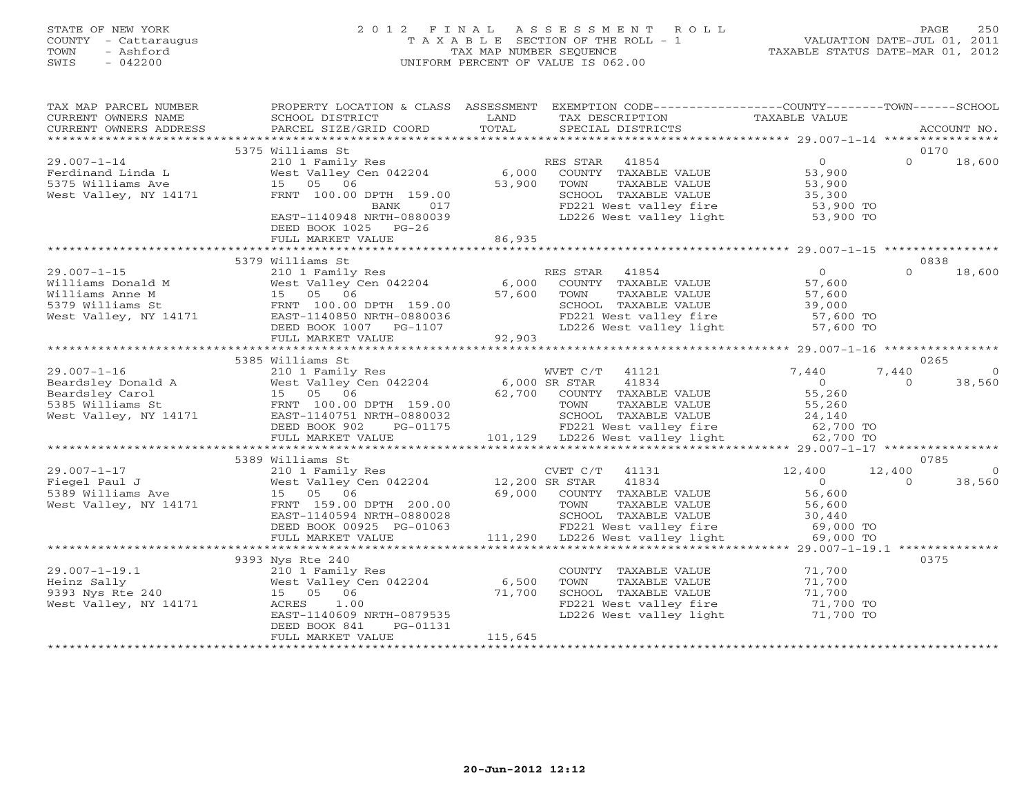# STATE OF NEW YORK 2 0 1 2 F I N A L A S S E S S M E N T R O L L PAGE 250 COUNTY - Cattaraugus T A X A B L E SECTION OF THE ROLL - 1 VALUATION DATE-JUL 01, 2011 TOWN - Ashford TAX MAP NUMBER SEQUENCE TAXABLE STATUS DATE-MAR 01, 2012 SWIS - 042200 UNIFORM PERCENT OF VALUE IS 062.00UNIFORM PERCENT OF VALUE IS 062.00

| TAX MAP PARCEL NUMBER<br>CURRENT OWNERS NAME<br>CURRENT OWNERS ADDRESS                                  | SCHOOL DISTRICT<br>PARCEL SIZE/GRID COORD                                                                                                                                          | LAND<br>TOTAL             | PROPERTY LOCATION & CLASS ASSESSMENT EXEMPTION CODE---------------COUNTY-------TOWN------SCHOOL<br>TAX DESCRIPTION<br>SPECIAL DISTRICTS                      | TAXABLE VALUE                                                       | ACCOUNT NO.                             |
|---------------------------------------------------------------------------------------------------------|------------------------------------------------------------------------------------------------------------------------------------------------------------------------------------|---------------------------|--------------------------------------------------------------------------------------------------------------------------------------------------------------|---------------------------------------------------------------------|-----------------------------------------|
|                                                                                                         |                                                                                                                                                                                    |                           |                                                                                                                                                              |                                                                     |                                         |
|                                                                                                         | 5375 Williams St                                                                                                                                                                   |                           |                                                                                                                                                              |                                                                     | 0170                                    |
| $29.007 - 1 - 14$<br>Ferdinand Linda L<br>5375 Williams Ave<br>West Valley, NY 14171                    | 210 1 Family Res<br>West Valley Cen 042204<br>15 05 06<br>FRNT 100.00 DPTH 159.00<br>BANK 017<br>EAST-1140948 NRTH-0880039<br>DEED BOOK 1025 PG-26                                 | 53,900                    | RES STAR 41854<br>6,000 COUNTY TAXABLE VALUE<br>TAXABLE VALUE<br>TOWN<br>SCHOOL TAXABLE VALUE<br>FD221 West valley fire<br>LD226 West valley light 53,900 TO | $\overline{0}$<br>53,900<br>53,900<br>35,300<br>35,300<br>53,900 TO | $\Omega$<br>18,600                      |
|                                                                                                         | FULL MARKET VALUE                                                                                                                                                                  | 86,935                    |                                                                                                                                                              |                                                                     |                                         |
|                                                                                                         |                                                                                                                                                                                    |                           |                                                                                                                                                              |                                                                     |                                         |
| $29.007 - 1 - 15$<br>Williams Donald M<br>Williams Anne M<br>5379 Williams St<br>West Valley, NY 14171  | 5379 Williams St<br>210 1 Family Res<br>West Valley Cen 042204<br>15 05 06<br>FRNT 100.00 DPTH 159.00<br>EAST-1140850 NRTH-0880036<br>DEED BOOK 1007 PG-1107<br>FULL MARKET VALUE  | 6,000<br>57,600<br>92,903 | RES STAR<br>41854<br>COUNTY TAXABLE VALUE<br>TOWN<br>TAXABLE VALUE<br>SCHOOL TAXABLE VALUE<br>FD221 West valley fire<br>LD226 West valley light              | $\Omega$<br>57,600<br>57,600<br>39,000<br>57,600 TO<br>57,600 TO    | 0838<br>$\Omega$<br>18,600              |
|                                                                                                         |                                                                                                                                                                                    |                           |                                                                                                                                                              |                                                                     |                                         |
|                                                                                                         | 5385 Williams St                                                                                                                                                                   |                           |                                                                                                                                                              |                                                                     | 0265                                    |
| $29.007 - 1 - 16$<br>Beardsley Donald A<br>Beardsley Carol<br>5385 Williams St<br>West Valley, NY 14171 | 210 1 Family Res<br>West Valley Cen 042204 6,000 SR STAR<br>15 05 06<br>FRNT 100.00 DPTH 159.00<br>EAST-1140751 NRTH-0880032<br>DEED BOOK 902<br>PG-01175                          |                           | WVET C/T 41121<br>41834<br>62,700 COUNTY TAXABLE VALUE<br>TOWN<br>TAXABLE VALUE<br>SCHOOL TAXABLE VALUE<br>FD221 West valley fire 62,700 TO                  | 7,440<br>$\overline{0}$<br>55,260<br>55,260<br>24,140               | 7,440<br>$\Omega$<br>$\Omega$<br>38,560 |
|                                                                                                         | FULL MARKET VALUE                                                                                                                                                                  |                           | 101,129 LD226 West valley light                                                                                                                              | 62,700 TO                                                           |                                         |
|                                                                                                         |                                                                                                                                                                                    |                           |                                                                                                                                                              |                                                                     |                                         |
| $29.007 - 1 - 17$                                                                                       | 5389 Williams St                                                                                                                                                                   |                           | CVET C/T 41131                                                                                                                                               | 12,400                                                              | 0785<br>12,400<br>$\Omega$              |
| Fiegel Paul J<br>5389 Williams Ave<br>West Valley, NY 14171                                             | 210 1 Family Res<br>West Valley Cen 042204 12,200 SR STAR<br>15 05 06<br>FRNT 159.00 DPTH 200.00<br>EAST-1140594 NRTH-0880028<br>DEED BOOK 00925 PG-01063<br>FULL MARKET VALUE     |                           | 41834<br>69,000 COUNTY TAXABLE VALUE<br>TOWN<br>TAXABLE VALUE<br>SCHOOL TAXABLE VALUE<br>FD221 West valley fire<br>111,290 LD226 West valley light           | $\Omega$<br>56,600<br>56,600<br>30,440<br>69,000 TO<br>69,000 TO    | 38,560<br>$\Omega$                      |
|                                                                                                         |                                                                                                                                                                                    |                           |                                                                                                                                                              |                                                                     |                                         |
| $29.007 - 1 - 19.1$<br>Heinz Sally<br>9393 Nys Rte 240<br>West Valley, NY 14171                         | 9393 Nys Rte 240<br>210 1 Family Res<br>West Valley Cen 042204 6,500<br>15  05  06<br>1.00<br>ACRES<br>EAST-1140609 NRTH-0879535<br>PG-01131<br>DEED BOOK 841<br>FULL MARKET VALUE | 71,700<br>115,645         | COUNTY TAXABLE VALUE<br>TAXABLE VALUE<br>TOWN<br>SCHOOL TAXABLE VALUE<br>FD221 West valley fire<br>LD226 West valley light                                   | 71,700<br>71,700<br>71,700<br>71,700 TO<br>71,700 TO                | 0375                                    |
|                                                                                                         |                                                                                                                                                                                    |                           |                                                                                                                                                              |                                                                     |                                         |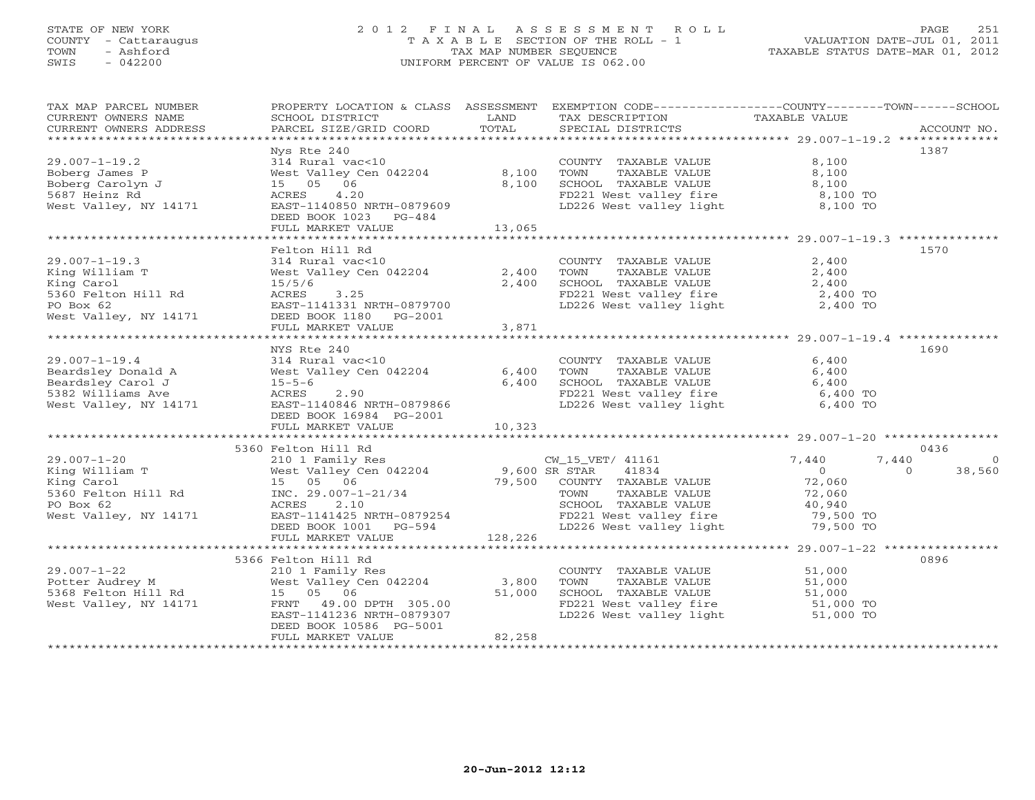## STATE OF NEW YORK 2 0 1 2 F I N A L A S S E S S M E N T R O L L PAGE 251 COUNTY - Cattaraugus T A X A B L E SECTION OF THE ROLL - 1 VALUATION DATE-JUL 01, 2011 TOWN - Ashford TAX MAP NUMBER SEQUENCE TAXABLE STATUS DATE-MAR 01, 2012 SWIS - 042200 UNIFORM PERCENT OF VALUE IS 062.00UNIFORM PERCENT OF VALUE IS 062.00

| TAX MAP PARCEL NUMBER<br>CURRENT OWNERS NAME<br>CURRENT OWNERS ADDRESS                                                                                                                                                                       | PROPERTY LOCATION & CLASS ASSESSMENT EXEMPTION CODE---------------COUNTY-------TOWN------SCHOOL<br>SCHOOL DISTRICT<br><b>Example 12</b> LAND<br>PARCEL SIZE/GRID COORD                     | TOTAL                   | TAX DESCRIPTION TAXABLE VALUE<br>SPECIAL DISTRICTS<br>SPECIAL DISTRICTS                                                                                                                   |                                       | ACCOUNT NO.                             |
|----------------------------------------------------------------------------------------------------------------------------------------------------------------------------------------------------------------------------------------------|--------------------------------------------------------------------------------------------------------------------------------------------------------------------------------------------|-------------------------|-------------------------------------------------------------------------------------------------------------------------------------------------------------------------------------------|---------------------------------------|-----------------------------------------|
| $29.007 - 1 - 19.2$<br>Boberg James P<br>Boberg Carolyn J<br>5687 Heinz Rd<br>West Valley, NY 14171                                                                                                                                          | Nys Rte 240<br>314 Rural vac<10<br>West Valley Cen 042204 8,100<br>15 05 06<br>4.20<br>ACRES<br>EAST-1140850 NRTH-0879609<br>DEED BOOK 1023 PG-484<br>FULL MARKET VALUE                    | 8,100<br>13,065         | COUNTY TAXABLE VALUE<br>TOWN<br>TAXABLE VALUE<br>SCHOOL TAXABLE VALUE<br>FD221 West valley fire 8,100 TO<br>LD226 West valley light 8,100 TO                                              | 8,100<br>8,100<br>8,100               | 1387                                    |
|                                                                                                                                                                                                                                              |                                                                                                                                                                                            |                         |                                                                                                                                                                                           |                                       |                                         |
| $29.007 - 1 - 19.3$<br>King William T<br>King Carol<br>5360 Felton Hill Rd<br>PO Box 62<br>West Valley, NY 14171                                                                                                                             | Felton Hill Rd<br>314 Rural vac<10<br>West Valley Cen 042204<br>15/5/6<br>3.25<br>ACRES<br>EAST-1141331 NRTH-0879700<br>DEED BOOK 1180 PG-2001<br>FULL MARKET VALUE                        | 2,400<br>2,400<br>3,871 | COUNTY TAXABLE VALUE<br>TAXABLE VALUE<br>TOWN<br>SCHOOL TAXABLE VALUE<br>FD221 West valley fire $2,400$<br>LD226 West valley light $2,400$ TO<br>LD226 West valley light $2,400$ TO       | 2,400<br>2,400                        | 1570                                    |
|                                                                                                                                                                                                                                              |                                                                                                                                                                                            |                         |                                                                                                                                                                                           |                                       |                                         |
| $29.007 - 1 - 19.4$<br>Beardsley Donald A West Ve<br>Beardsley Donald A West Ve<br>15-5-6 15-5-6                                                                                                                                             | NYS Rte 240<br>314 Rural vac<10<br>West Valley Cen 042204 6,400<br>DEED BOOK 16984 PG-2001                                                                                                 | 6,400                   | COUNTY TAXABLE VALUE<br>TOWN<br>TAXABLE VALUE<br>SCHOOL TAXABLE VALUE<br>FD221 West valley fire 6,400 TO<br>LD226 West valley light 6,400 TO                                              | 6,400<br>6,400<br>6,400               | 1690                                    |
|                                                                                                                                                                                                                                              |                                                                                                                                                                                            |                         |                                                                                                                                                                                           |                                       | 0436                                    |
| 5360 Felton Hill Rd<br>29.007-1-20 210 1 Family Res<br>King William T West Valley Cen 042204 9,600 SR STAR 41834<br>King Carol 15 0560 Felton Hill Rd<br>2360 Felton Hill Rd<br>2050 Felton Hill Rd<br>2050 Felton Hill Rd<br>2060 Felton Hi |                                                                                                                                                                                            |                         | SCHOOL TAXABLE VALUE (40,940<br>FD221 West valley fire (40,940<br>LD226 West valley light (79,500 TO                                                                                      | 7,440<br>$\sim$ 0<br>72,060<br>72,060 | 7,440<br>$\Omega$<br>$\Omega$<br>38,560 |
|                                                                                                                                                                                                                                              |                                                                                                                                                                                            |                         |                                                                                                                                                                                           |                                       |                                         |
| $29.007 - 1 - 22$<br>29.007-1-22<br>Botter Audrey M<br>5368 Felton Hill Rd<br>West Valley, NY 14171                                                                                                                                          | 5366 Felton Hill Rd<br>210 1 Family Res<br>West Valley Cen 042204 3,800<br>15 05 06<br>FRNT 49.00 DPTH 305.00<br>EAST-1141236 NRTH-0879307<br>DEED BOOK 10586 PG-5001<br>FULL MARKET VALUE | 51,000<br>82,258        | COUNTY TAXABLE VALUE 51,000<br>TOWN TAXABLE VALUE 51,000<br>TOWN TAXABLE VALUE<br>SCHOOL TAXABLE VALUE 51,000 TO<br>FD221 West valley fire 51,000 TO<br>LD226 West valley light 51,000 TO |                                       | 0896                                    |
|                                                                                                                                                                                                                                              |                                                                                                                                                                                            |                         |                                                                                                                                                                                           |                                       |                                         |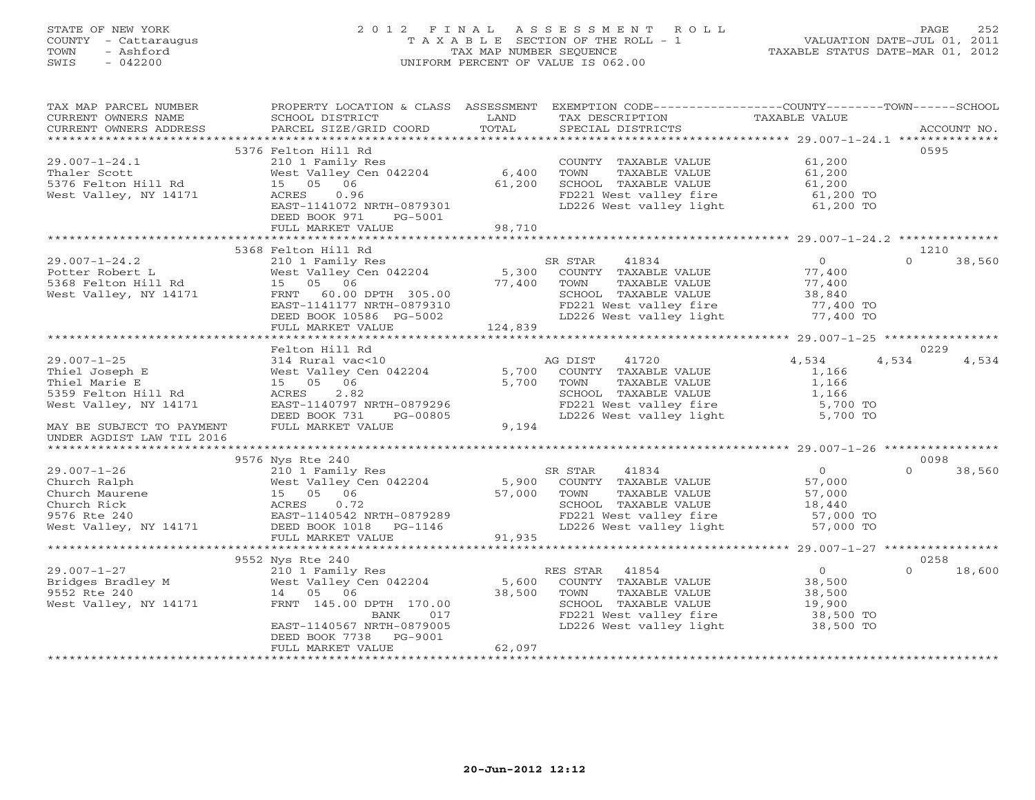# STATE OF NEW YORK 2 0 1 2 F I N A L A S S E S S M E N T R O L L PAGE 252 COUNTY - Cattaraugus T A X A B L E SECTION OF THE ROLL - 1 VALUATION DATE-JUL 01, 2011 TOWN - Ashford TAX MAP NUMBER SEQUENCE TAXABLE STATUS DATE-MAR 01, 2012 SWIS - 042200 UNIFORM PERCENT OF VALUE IS 062.00UNIFORM PERCENT OF VALUE IS 062.00

| TAX MAP PARCEL NUMBER                         |                                     |         | PROPERTY LOCATION & CLASS ASSESSMENT EXEMPTION CODE----------------COUNTY-------TOWN------SCHOOL |                  |                            |
|-----------------------------------------------|-------------------------------------|---------|--------------------------------------------------------------------------------------------------|------------------|----------------------------|
| CURRENT OWNERS NAME                           | SCHOOL DISTRICT                     | LAND    | TAX DESCRIPTION                                                                                  | TAXABLE VALUE    |                            |
| CURRENT OWNERS ADDRESS                        | PARCEL SIZE/GRID COORD              | TOTAL   | SPECIAL DISTRICTS                                                                                |                  | ACCOUNT NO.                |
| **********************                        |                                     |         |                                                                                                  |                  |                            |
|                                               | 5376 Felton Hill Rd                 |         |                                                                                                  |                  | 0595                       |
| $29.007 - 1 - 24.1$                           | 210 1 Family Res                    |         | COUNTY TAXABLE VALUE                                                                             | 61,200           |                            |
| Thaler Scott                                  | West Valley Cen 042204              | 6,400   | TAXABLE VALUE<br>TOWN                                                                            | 61,200           |                            |
| 5376 Felton Hill Rd                           | 15 05 06                            | 61,200  | SCHOOL TAXABLE VALUE                                                                             | 61,200           |                            |
| West Valley, NY 14171                         | ACRES<br>0.96                       |         | FD221 West valley fire                                                                           | 61,200 TO        |                            |
|                                               | EAST-1141072 NRTH-0879301           |         | LD226 West valley light                                                                          | 61,200 TO        |                            |
|                                               | DEED BOOK 971<br>PG-5001            |         |                                                                                                  |                  |                            |
|                                               | FULL MARKET VALUE                   | 98,710  |                                                                                                  |                  |                            |
|                                               | 5368 Felton Hill Rd                 |         |                                                                                                  |                  |                            |
| $29.007 - 1 - 24.2$                           | 210 1 Family Res                    |         | SR STAR<br>41834                                                                                 | $\overline{0}$   | 1210<br>$\Omega$<br>38,560 |
| Potter Robert L                               | West Valley Cen 042204              | 5,300   | COUNTY TAXABLE VALUE                                                                             | 77,400           |                            |
| 5368 Felton Hill Rd                           | 15 05 06                            | 77,400  | TOWN<br>TAXABLE VALUE                                                                            | 77,400           |                            |
| West Valley, NY 14171                         | FRNT 60.00 DPTH 305.00              |         | SCHOOL TAXABLE VALUE                                                                             | 38,840           |                            |
|                                               | EAST-1141177 NRTH-0879310           |         |                                                                                                  | 77,400 TO        |                            |
|                                               | DEED BOOK 10586 PG-5002             |         | FD221 West valley fire<br>LD226 West valley light                                                | $77,400$ TO      |                            |
|                                               | FULL MARKET VALUE                   | 124,839 |                                                                                                  |                  |                            |
|                                               |                                     |         |                                                                                                  |                  |                            |
|                                               | Felton Hill Rd                      |         |                                                                                                  |                  | 0229                       |
| $29.007 - 1 - 25$                             | 314 Rural vac<10                    |         | 41720<br>AG DIST                                                                                 | 4,534            | 4,534<br>4,534             |
| Thiel Joseph E                                | West Valley Cen 042204              | 5,700   | COUNTY TAXABLE VALUE                                                                             | 1,166            |                            |
| Thiel Marie E                                 | 15 05 06                            | 5,700   | TAXABLE VALUE<br>TOWN                                                                            | 1,166            |                            |
| 5359 Felton Hill Rd                           | 2.82<br>ACRES                       |         | SCHOOL TAXABLE VALUE                                                                             | 1,166            |                            |
| West Valley, NY 14171                         | EAST-1140797 NRTH-0879296           |         | FD221 West valley fire                                                                           | 5,700 TO         |                            |
|                                               | DEED BOOK 731<br>PG-00805           |         | LD226 West valley light                                                                          | 5,700 TO         |                            |
| MAY BE SUBJECT TO PAYMENT                     | FULL MARKET VALUE                   | 9,194   |                                                                                                  |                  |                            |
| UNDER AGDIST LAW TIL 2016                     |                                     |         |                                                                                                  |                  |                            |
|                                               |                                     |         |                                                                                                  |                  |                            |
|                                               | 9576 Nys Rte 240                    |         |                                                                                                  |                  | 0098                       |
| $29.007 - 1 - 26$                             | 210 1 Family Res                    |         | 41834<br>SR STAR                                                                                 | $\Omega$         | $\Omega$<br>38,560         |
| Church Ralph                                  | West Valley Cen 042204              | 5,900   | COUNTY TAXABLE VALUE                                                                             | 57,000           |                            |
| Church Maurene<br>Church Rick<br>9576 Rte 240 | 15 05 06                            | 57,000  | TOWN<br>TAXABLE VALUE                                                                            | 57,000           |                            |
|                                               | 15  0<br>ACRES<br>0.72              |         | SCHOOL TAXABLE VALUE                                                                             | 18,440           |                            |
| 9576 Rte 240                                  | EAST-1140542 NRTH-0879289           |         | FD221 West valley fire 57,000 TO<br>LD226 West valley light 57,000 TO                            |                  |                            |
| West Valley, NY 14171                         | DEED BOOK 1018<br>PG-1146           |         |                                                                                                  |                  |                            |
|                                               | FULL MARKET VALUE                   | 91,935  |                                                                                                  |                  |                            |
|                                               |                                     |         |                                                                                                  |                  |                            |
|                                               | 9552 Nys Rte 240                    |         |                                                                                                  |                  | 0258                       |
| $29.007 - 1 - 27$                             | 210 1 Family Res                    |         | RES STAR<br>41854                                                                                | $\overline{0}$   | 18,600<br>$\Omega$         |
| Bridges Bradley M                             | West Valley Cen 042204              | 5,600   | COUNTY TAXABLE VALUE                                                                             | 38,500           |                            |
| 9552 Rte 240<br>West Valley, NY 14171         | 14 05 06<br>FRNT 145.00 DPTH 170.00 | 38,500  | TAXABLE VALUE<br>TOWN<br>SCHOOL TAXABLE VALUE                                                    | 38,500<br>19,900 |                            |
|                                               | 017<br>BANK                         |         |                                                                                                  | 38,500 TO        |                            |
|                                               | EAST-1140567 NRTH-0879005           |         | FD221 West valley fire<br>LD226 West valley light                                                | $38,500$ TO      |                            |
|                                               | DEED BOOK 7738 PG-9001              |         |                                                                                                  |                  |                            |
|                                               | FULL MARKET VALUE                   | 62,097  |                                                                                                  |                  |                            |
|                                               |                                     |         |                                                                                                  |                  |                            |
|                                               |                                     |         |                                                                                                  |                  |                            |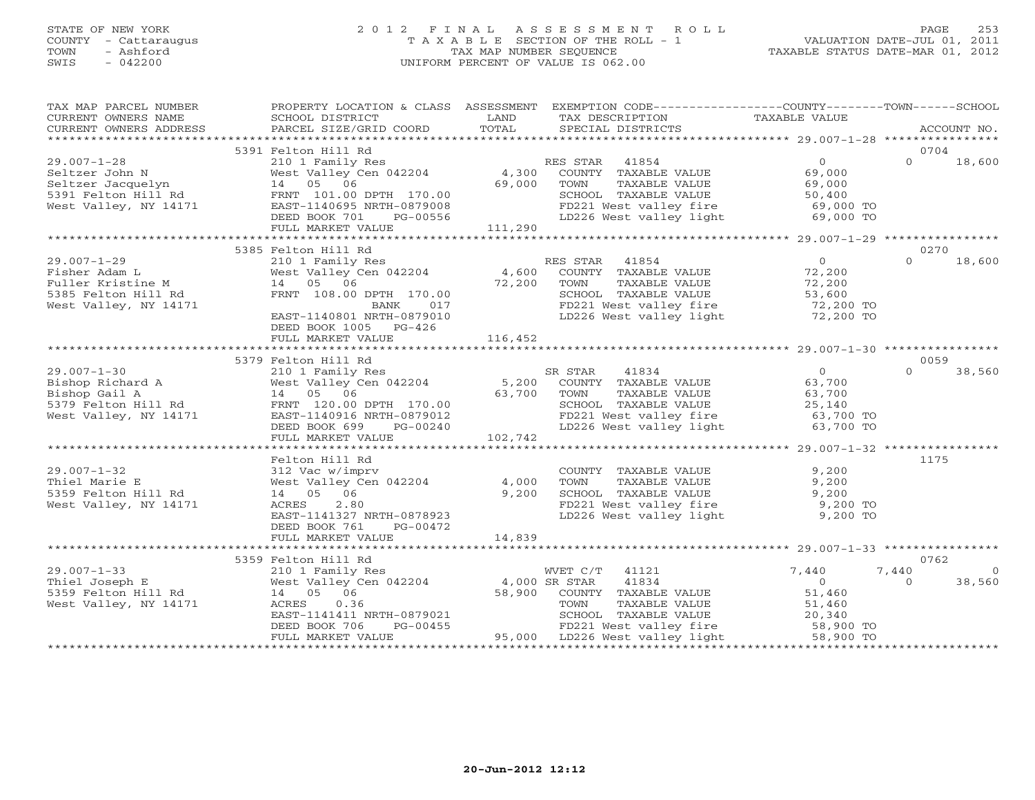### STATE OF NEW YORK 2 0 1 2 F I N A L A S S E S S M E N T R O L L PAGE 253 COUNTY - Cattaraugus T A X A B L E SECTION OF THE ROLL - 1 VALUATION DATE-JUL 01, 2011 TOWN - Ashford TAX MAP NUMBER SEQUENCE TAXABLE STATUS DATE-MAR 01, 2012 SWIS - 042200 UNIFORM PERCENT OF VALUE IS 062.00UNIFORM PERCENT OF VALUE IS 062.00

| TAX MAP PARCEL NUMBER                                                                                                                                                                      |                                                                                                                                                                                 | PROPERTY LOCATION & CLASS ASSESSMENT EXEMPTION CODE---------------COUNTY-------TOWN------SCHOOL                                                                                                                                                                                                                         |                                                                                                         |
|--------------------------------------------------------------------------------------------------------------------------------------------------------------------------------------------|---------------------------------------------------------------------------------------------------------------------------------------------------------------------------------|-------------------------------------------------------------------------------------------------------------------------------------------------------------------------------------------------------------------------------------------------------------------------------------------------------------------------|---------------------------------------------------------------------------------------------------------|
|                                                                                                                                                                                            |                                                                                                                                                                                 |                                                                                                                                                                                                                                                                                                                         |                                                                                                         |
| $29.007 - 1 - 28$<br>Seltzer John N West Valley Cen 042204<br>Seltzer Jacquelyn 14 05 06<br>5391 Felton Hill Rd FRNT 101.00 DPTH 170.00<br>West Valley, NY 14171 EAST-1140695 NRTH-0879008 | 5391 Felton Hill Rd<br>DEED BOOK 701<br>PG-00556<br>FULL MARKET VALUE                                                                                                           | 556<br>111,290                                                                                                                                                                                                                                                                                                          | 0704<br>$\Omega$<br>18,600                                                                              |
|                                                                                                                                                                                            |                                                                                                                                                                                 |                                                                                                                                                                                                                                                                                                                         |                                                                                                         |
| $29.007 - 1 - 29$<br>Fisher Adam L<br>Fuller Kristine M<br>5385 Felton Hill Rd<br>West Valley, NY 14171                                                                                    | 5385 Felton Hill Rd<br>14 05 06<br>FRNT 108.00 DPTH 170.00<br>BANK 017<br>EAST-1140801 NRTH-0879010<br>DEED BOOK 1005 PG-426                                                    | $72,200$ TOWN<br>SCHOC<br>FD221<br>LD226<br>TAXABLE VALUE<br>SCHOOL TAXABLE VALUE<br>FD221 West valley fire 52,200 TO<br>LD226 West valley light 52,200 TO                                                                                                                                                              | 0270<br>$\overline{0}$<br>$\Omega$<br>18,600<br>72,200<br>$72,200$<br>53,600                            |
|                                                                                                                                                                                            | FULL MARKET VALUE                                                                                                                                                               | 116,452                                                                                                                                                                                                                                                                                                                 |                                                                                                         |
|                                                                                                                                                                                            |                                                                                                                                                                                 |                                                                                                                                                                                                                                                                                                                         | 0059                                                                                                    |
|                                                                                                                                                                                            |                                                                                                                                                                                 | 5379 Felton Hill Rd<br>29.007-1-30 210 1 Family Res<br>Bishop Richard A West Valley Cen 042204 5,200 COUNTY TAXABLE VALUE<br>879 Felton Hill Rd<br>379 Felton Hill Rd<br>579 Felton Hill Rd<br>579 Felton Hill Rd<br>579 Felton Hill Rd<br>579<br>FD221 West valley fire 63,700 TO<br>LD226 West valley light 63,700 TO | $\Omega$<br>$\Omega$<br>38,560<br>63,700<br>63,700<br>25,140                                            |
|                                                                                                                                                                                            | FULL MARKET VALUE                                                                                                                                                               | 102,742                                                                                                                                                                                                                                                                                                                 |                                                                                                         |
| $29.007 - 1 - 32$<br>Thiel Marie E<br>5359 Felton Hill Rd<br>West Valley, NY 14171                                                                                                         | Felton Hill Rd<br>312 Vac w/imprv<br>West Valley Cen 042204 4,000<br>14  05  06<br>ACRES<br>2.80<br>EAST-1141327 NRTH-0878923<br>DEED BOOK 761<br>PG-00472<br>FULL MARKET VALUE | COUNTY TAXABLE VALUE 9,200<br>TOWN       TAXABLE  VALUE<br>SCHOOL    TAXABLE  VALUE<br>9,200<br>FD221 West valley fire<br>LD226 West valley light<br>14,839                                                                                                                                                             | 1175<br>9,200<br>9,200<br>$9,200$ TO<br>9,200 TO                                                        |
|                                                                                                                                                                                            |                                                                                                                                                                                 |                                                                                                                                                                                                                                                                                                                         |                                                                                                         |
|                                                                                                                                                                                            | 5359 Felton Hill Rd                                                                                                                                                             |                                                                                                                                                                                                                                                                                                                         | 0762                                                                                                    |
| $29.007 - 1 - 33$<br>29.007-1-33<br>Thiel Joseph E<br>5359 Felton Hill Rd<br>West Valley, NY 14171<br>West Valley, NY 14171                                                                | 210 1 Family Res WVET C/T<br>West Valley Cen 042204 4,000 SR STAR                                                                                                               | WVET C/T<br>41121<br>41834<br>West valley cen $042204$<br>14 05 06<br>ACRES 0.36<br>EAST-1141411 NRTH-0879021<br>DEED BOOK 706 PG-00455<br>FULL MARKET VALUE<br>FULL MARKET VALUE<br>PEED BOOK 706 PG-00455<br>PEED BOOK 706 PG-00455<br>PEED BOOK 706 PG-00455<br>PEED BOOK 706                                        | 7,440<br>7,440<br>$\bigcirc$<br>$\overline{0}$<br>38,560<br>$\Omega$<br>51,460<br>51,460<br>$58,900$ TO |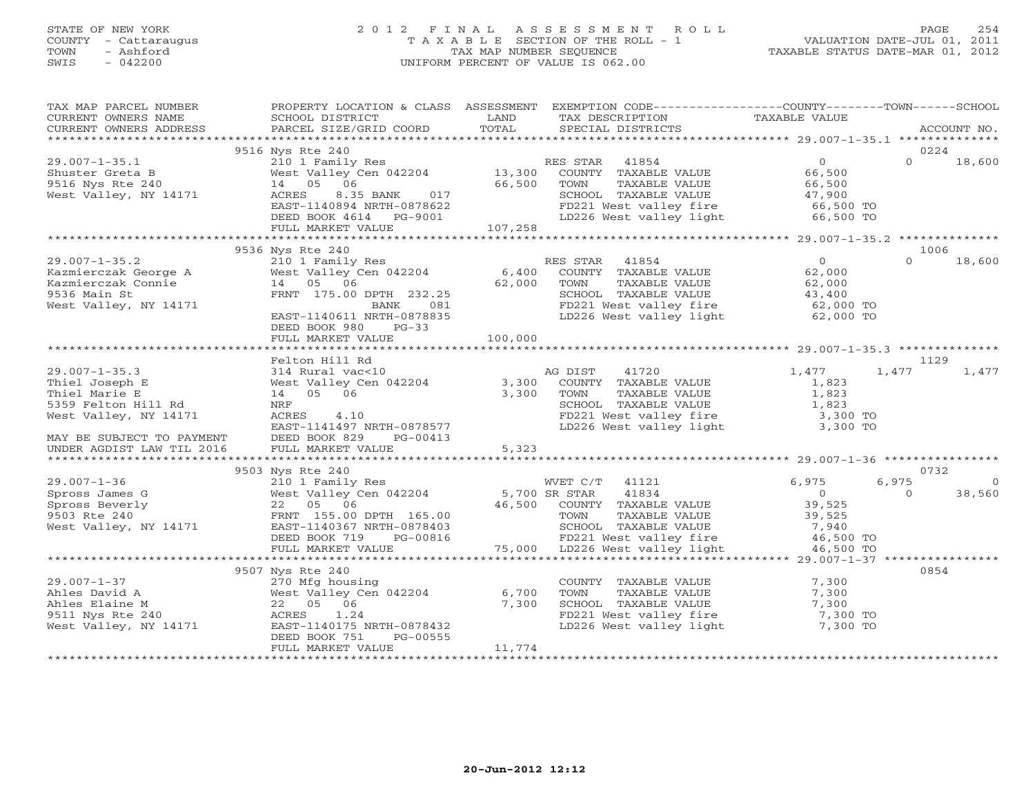### STATE OF NEW YORK 2 0 1 2 F I N A L A S S E S S M E N T R O L L PAGE 254 COUNTY - Cattaraugus T A X A B L E SECTION OF THE ROLL - 1 VALUATION DATE-JUL 01, 2011 TOWN - Ashford TAX MAP NUMBER SEQUENCE TAXABLE STATUS DATE-MAR 01, 2012 SWIS - 042200 UNIFORM PERCENT OF VALUE IS 062.00UNIFORM PERCENT OF VALUE IS 062.00

| TAX MAP PARCEL NUMBER<br>CURRENT OWNERS NAME                                                                                        | <b>Example 12</b> LAND<br>SCHOOL DISTRICT                                                                                                                                                                                                                                                |                 | PROPERTY LOCATION & CLASS ASSESSMENT EXEMPTION CODE----------------COUNTY-------TOWN------SCHOOL<br>TAX DESCRIPTION                                  | TAXABLE VALUE                      |                   |                      |
|-------------------------------------------------------------------------------------------------------------------------------------|------------------------------------------------------------------------------------------------------------------------------------------------------------------------------------------------------------------------------------------------------------------------------------------|-----------------|------------------------------------------------------------------------------------------------------------------------------------------------------|------------------------------------|-------------------|----------------------|
| CURRENT OWNERS ADDRESS                                                                                                              | PARCEL SIZE/GRID COORD                                                                                                                                                                                                                                                                   | TOTAL           | SPECIAL DISTRICTS                                                                                                                                    |                                    |                   | ACCOUNT NO.          |
|                                                                                                                                     | 9516 Nys Rte 240                                                                                                                                                                                                                                                                         |                 |                                                                                                                                                      |                                    |                   | 0224                 |
|                                                                                                                                     |                                                                                                                                                                                                                                                                                          |                 |                                                                                                                                                      |                                    |                   |                      |
|                                                                                                                                     |                                                                                                                                                                                                                                                                                          |                 |                                                                                                                                                      |                                    |                   |                      |
|                                                                                                                                     | 9536 Nys Rte 240                                                                                                                                                                                                                                                                         |                 |                                                                                                                                                      |                                    |                   | 1006                 |
| $29.007 - 1 - 35.2$<br>Kazmierczak George A<br>Kazmierczak Connie<br>9536 Main St<br>West Valley, NY 14171                          | 210 1 Family Res<br>West Valley Cen 042204 6,400 COUNTY TAXABLE VALUE<br>14 05 06 62,000 TOWN TAXABLE VALUE<br>FRNT 175.00 DPTH 232.25 SCHOOL TAXABLE VALUE<br>1981 BANK 081 FD224 West valley fire<br>14 05 06<br>EAST-1140611 NRTH-0878835<br>DEED BOOK 980 PG-33<br>FULL MARKET VALUE | 100,000         | RES STAR 41854<br>SCHOOL TAXABLE VALUE 43,400<br>FD221 West valley fire 62,000 TO<br>$LD226$ West valley light 62,000 TO                             | $\overline{0}$<br>62,000<br>62,000 | $\Omega$          | 18,600               |
|                                                                                                                                     |                                                                                                                                                                                                                                                                                          |                 |                                                                                                                                                      |                                    |                   |                      |
| $29.007 - 1 - 35.3$<br>Thiel Joseph E<br>Thiel Marie E<br>5359 Felton Hill Rd<br>West Valley, NY 14171<br>MAY BE SUBJECT TO PAYMENT | Felton Hill Rd<br>14 05 06 3,300<br>NRF<br>ACRES 4.10<br>EAST-1141497 NRTH-0878577<br>DEED BOOK 829<br>PG-00413                                                                                                                                                                          |                 | 41720<br>TOWN TAXABLE VALUE<br>SCHOOL TAXABLE VALUE<br>FD221 West valley fire<br>LD226 West valley fire 3,300 TO<br>LD226 West valley light 3,300 TO | 1,477<br>1,823<br>1,823<br>1,823   | 1,477             | 1129<br>1,477        |
| UNDER AGDIST LAW TIL 2016                                                                                                           |                                                                                                                                                                                                                                                                                          |                 |                                                                                                                                                      |                                    |                   |                      |
|                                                                                                                                     | 9503 Nys Rte 240                                                                                                                                                                                                                                                                         |                 |                                                                                                                                                      |                                    |                   | 0732                 |
| $29.007 - 1 - 36$<br>25.007-1-50<br>Spross James G<br>Spross Beverly<br>9503 Rte 240<br>West Valley, NY 14171                       |                                                                                                                                                                                                                                                                                          |                 |                                                                                                                                                      |                                    | 6,975<br>$\Omega$ | $\bigcirc$<br>38,560 |
|                                                                                                                                     |                                                                                                                                                                                                                                                                                          |                 |                                                                                                                                                      |                                    |                   |                      |
| $29.007 - 1 - 37$<br>29.007-1-37<br>Ahles David A<br>Ahles Elaine M<br>9511 Nys Rte 240<br>West Valley, NY 14171                    | 9507 Nys Rte 240<br>270 Mfg housing<br>West Valley Cen 042204 6,700<br>22 05 06<br>ACRES 1.24<br>EAST-1140175 NRTH-0878432<br>DEED BOOK 751<br>PG-00555<br>FULL MARKET VALUE                                                                                                             | 7,300<br>11,774 | COUNTY TAXABLE VALUE<br>TAXABLE VALUE<br>TOWN<br>SCHOOL TAXABLE VALUE 7,300<br>FD221 West valley fire 7,300 TO<br>LD226 West valley light 7,300 TO   | 7,300<br>7,300                     |                   | 0854                 |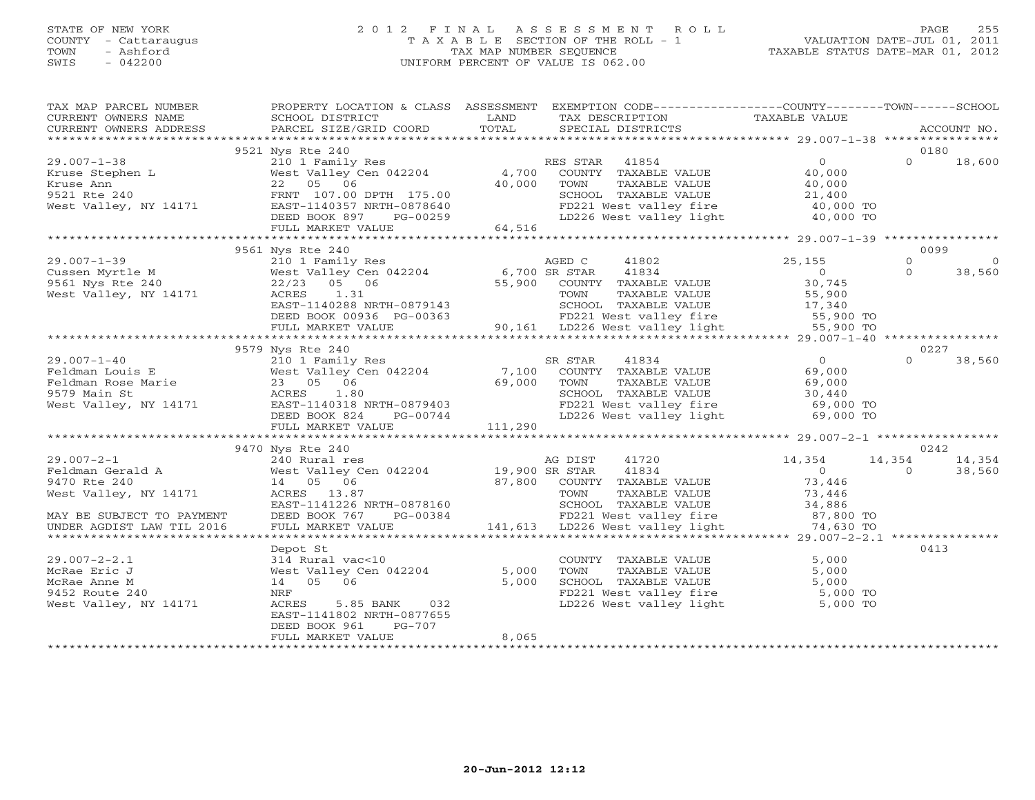# STATE OF NEW YORK 2 0 1 2 F I N A L A S S E S S M E N T R O L L PAGE 255 COUNTY - Cattaraugus T A X A B L E SECTION OF THE ROLL - 1 VALUATION DATE-JUL 01, 2011 TOWN - Ashford TAX MAP NUMBER SEQUENCE TAXABLE STATUS DATE-MAR 01, 2012 SWIS - 042200 UNIFORM PERCENT OF VALUE IS 062.00UNIFORM PERCENT OF VALUE IS 062.00

| TAX MAP PARCEL NUMBER                                                                                                                                                                                                                                                                                                     | PROPERTY LOCATION & CLASS ASSESSMENT EXEMPTION CODE-----------------COUNTY-------TOWN------SCHOOL |       |                                                                                                                                                             |          |        |
|---------------------------------------------------------------------------------------------------------------------------------------------------------------------------------------------------------------------------------------------------------------------------------------------------------------------------|---------------------------------------------------------------------------------------------------|-------|-------------------------------------------------------------------------------------------------------------------------------------------------------------|----------|--------|
|                                                                                                                                                                                                                                                                                                                           |                                                                                                   |       |                                                                                                                                                             |          |        |
|                                                                                                                                                                                                                                                                                                                           |                                                                                                   |       |                                                                                                                                                             |          |        |
|                                                                                                                                                                                                                                                                                                                           |                                                                                                   |       |                                                                                                                                                             |          |        |
|                                                                                                                                                                                                                                                                                                                           | 9521 Nys Rte 240                                                                                  |       |                                                                                                                                                             | 0180     |        |
|                                                                                                                                                                                                                                                                                                                           |                                                                                                   |       |                                                                                                                                                             | $\Omega$ | 18,600 |
|                                                                                                                                                                                                                                                                                                                           |                                                                                                   |       |                                                                                                                                                             |          |        |
|                                                                                                                                                                                                                                                                                                                           |                                                                                                   |       |                                                                                                                                                             |          |        |
|                                                                                                                                                                                                                                                                                                                           |                                                                                                   |       |                                                                                                                                                             |          |        |
|                                                                                                                                                                                                                                                                                                                           |                                                                                                   |       |                                                                                                                                                             |          |        |
|                                                                                                                                                                                                                                                                                                                           |                                                                                                   |       |                                                                                                                                                             |          |        |
| 29.007-1-38<br>Extringent Extricts the MES of the MES STAR 41854<br>Extribute the MES STAR 41854<br>Extribute Ann 22 05 06<br>FRNT 107.00 DPTH 175.00<br>West Valley, NY 14171<br>EXED BOOK 897 PG-00259<br>FRNT 140357 NRTH-0878640<br>DEED                                                                              |                                                                                                   |       |                                                                                                                                                             |          |        |
|                                                                                                                                                                                                                                                                                                                           | 9561 Nys Rte 240                                                                                  |       |                                                                                                                                                             | 0099     |        |
|                                                                                                                                                                                                                                                                                                                           |                                                                                                   |       |                                                                                                                                                             |          |        |
|                                                                                                                                                                                                                                                                                                                           |                                                                                                   |       |                                                                                                                                                             |          |        |
|                                                                                                                                                                                                                                                                                                                           |                                                                                                   |       |                                                                                                                                                             |          |        |
|                                                                                                                                                                                                                                                                                                                           |                                                                                                   |       |                                                                                                                                                             |          |        |
|                                                                                                                                                                                                                                                                                                                           |                                                                                                   |       |                                                                                                                                                             |          |        |
|                                                                                                                                                                                                                                                                                                                           |                                                                                                   |       |                                                                                                                                                             |          |        |
|                                                                                                                                                                                                                                                                                                                           |                                                                                                   |       |                                                                                                                                                             |          |        |
|                                                                                                                                                                                                                                                                                                                           |                                                                                                   |       |                                                                                                                                                             |          |        |
| $\begin{tabular}{lllllllllllll} \hline \text{RSTAR} & 41834 & 0227 \\ 29.007-1-40 & 2101 Family Res & 0 & 0 & 38,560 \\ 2101 Family Res & 0 & 0 & 38,560 \\ 22101 Family Res & 0 & 0 & 38,560 \\ 23& 05& 06 & 69,000 & 0 & 0 & 38,560 \\ 23& 05& 06 & 69,000 & 0 & 0 & 0 & 38,560 \\ 23& 05& 06 & 69,000 & 0 & 0 & 0 & 0$ |                                                                                                   |       |                                                                                                                                                             |          |        |
|                                                                                                                                                                                                                                                                                                                           |                                                                                                   |       |                                                                                                                                                             |          |        |
|                                                                                                                                                                                                                                                                                                                           |                                                                                                   |       |                                                                                                                                                             |          |        |
|                                                                                                                                                                                                                                                                                                                           |                                                                                                   |       |                                                                                                                                                             |          |        |
|                                                                                                                                                                                                                                                                                                                           |                                                                                                   |       |                                                                                                                                                             |          |        |
|                                                                                                                                                                                                                                                                                                                           |                                                                                                   |       |                                                                                                                                                             |          |        |
|                                                                                                                                                                                                                                                                                                                           |                                                                                                   |       |                                                                                                                                                             |          |        |
|                                                                                                                                                                                                                                                                                                                           |                                                                                                   |       |                                                                                                                                                             |          |        |
|                                                                                                                                                                                                                                                                                                                           |                                                                                                   |       |                                                                                                                                                             |          |        |
|                                                                                                                                                                                                                                                                                                                           |                                                                                                   |       |                                                                                                                                                             |          |        |
|                                                                                                                                                                                                                                                                                                                           |                                                                                                   |       |                                                                                                                                                             |          |        |
|                                                                                                                                                                                                                                                                                                                           |                                                                                                   |       |                                                                                                                                                             |          |        |
|                                                                                                                                                                                                                                                                                                                           |                                                                                                   |       |                                                                                                                                                             |          |        |
|                                                                                                                                                                                                                                                                                                                           |                                                                                                   |       |                                                                                                                                                             |          |        |
|                                                                                                                                                                                                                                                                                                                           |                                                                                                   |       |                                                                                                                                                             |          |        |
|                                                                                                                                                                                                                                                                                                                           |                                                                                                   |       |                                                                                                                                                             |          |        |
|                                                                                                                                                                                                                                                                                                                           |                                                                                                   |       |                                                                                                                                                             |          |        |
|                                                                                                                                                                                                                                                                                                                           |                                                                                                   |       |                                                                                                                                                             |          |        |
|                                                                                                                                                                                                                                                                                                                           | Depot St                                                                                          |       |                                                                                                                                                             | 0413     |        |
| $29.007 - 2 - 2.1$                                                                                                                                                                                                                                                                                                        |                                                                                                   |       |                                                                                                                                                             |          |        |
| McRae Eric J                                                                                                                                                                                                                                                                                                              |                                                                                                   | 5,000 |                                                                                                                                                             |          |        |
| McRae Anne M                                                                                                                                                                                                                                                                                                              | 314 Rural vac<10<br>314 Rural vac<10<br>West Valley Cen 042204 5,000<br>14 05 06 5,000            |       | COUNTY TAXABLE VALUE 5,000<br>TOWN TAXABLE VALUE 5,000<br>SCHOOL TAXABLE VALUE 5,000<br>FD221 West valley fire 5,000 TO<br>LD226 West valley light 5,000 TO |          |        |
| 9452 Route 240                                                                                                                                                                                                                                                                                                            |                                                                                                   |       |                                                                                                                                                             |          |        |
| West Valley, NY 14171                                                                                                                                                                                                                                                                                                     | ACRES 5.85 BANK 032                                                                               |       |                                                                                                                                                             |          |        |
|                                                                                                                                                                                                                                                                                                                           | EAST-1141802 NRTH-0877655                                                                         |       |                                                                                                                                                             |          |        |
|                                                                                                                                                                                                                                                                                                                           | DEED BOOK 961<br>PG-707                                                                           |       |                                                                                                                                                             |          |        |
|                                                                                                                                                                                                                                                                                                                           | FULL MARKET VALUE                                                                                 | 8,065 |                                                                                                                                                             |          |        |
|                                                                                                                                                                                                                                                                                                                           |                                                                                                   |       |                                                                                                                                                             |          |        |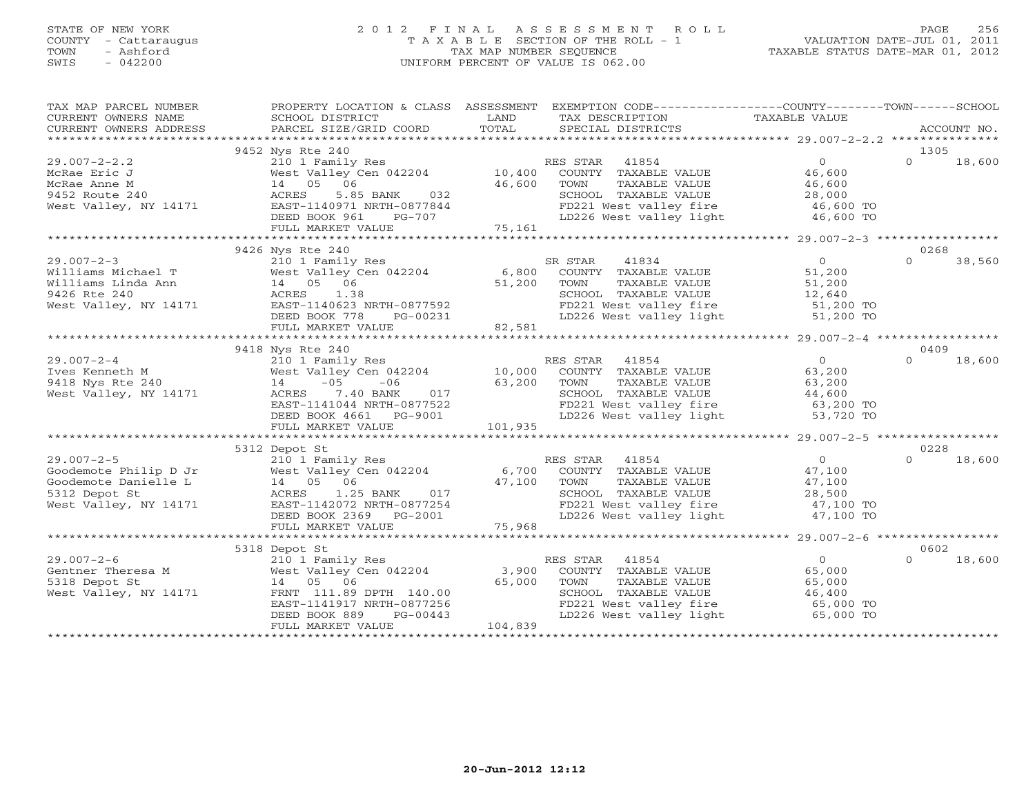## STATE OF NEW YORK 2 0 1 2 F I N A L A S S E S S M E N T R O L L PAGE 256 COUNTY - Cattaraugus T A X A B L E SECTION OF THE ROLL - 1 VALUATION DATE-JUL 01, 2011 TOWN - Ashford TAX MAP NUMBER SEQUENCE TAXABLE STATUS DATE-MAR 01, 2012 SWIS - 042200 UNIFORM PERCENT OF VALUE IS 062.00UNIFORM PERCENT OF VALUE IS 062.00

| TAX MAP PARCEL NUMBER                                                                         |                                                                                                                                                                                                                                                                                                                                                                                                                                         |         | PROPERTY LOCATION & CLASS ASSESSMENT EXEMPTION CODE----------------COUNTY-------TOWN------SCHOOL       |                                                      |                    |
|-----------------------------------------------------------------------------------------------|-----------------------------------------------------------------------------------------------------------------------------------------------------------------------------------------------------------------------------------------------------------------------------------------------------------------------------------------------------------------------------------------------------------------------------------------|---------|--------------------------------------------------------------------------------------------------------|------------------------------------------------------|--------------------|
|                                                                                               | $\begin{array}{ccccccccc} \text{CURRENT} & \text{OWBERS} & \text{NALUE} & \text{SCHODL} & \text{DISTRICT} & \text{LAND} & \text{TAX DESCRIPTION} & \text{TAXABLE VALUE} & \text{ACCOUNT NO.} \\ \text{CURRENT} & \text{WURES} & \text{ADDRESST, PBCEL} & \text{BACELE} & \text{STZE/GRID COORD} & \text{TOTAL} & \text{SPECIAL DISTRIBUTS} & \text{CORD} & \text{AUCOUNT, NOC} & \text{AUCOUNT, NOC} & \text{AUCOUNT, NOC} \end{array}$ |         |                                                                                                        |                                                      |                    |
|                                                                                               |                                                                                                                                                                                                                                                                                                                                                                                                                                         |         |                                                                                                        |                                                      |                    |
|                                                                                               |                                                                                                                                                                                                                                                                                                                                                                                                                                         |         |                                                                                                        |                                                      |                    |
|                                                                                               | 9452 Nys Rte 240                                                                                                                                                                                                                                                                                                                                                                                                                        |         |                                                                                                        |                                                      | 1305               |
| $29.007 - 2 - 2.2$                                                                            | Nys RES STAR 41854<br>210 1 Family Res<br>West Valley Cen 042204<br>10,400 COUNTY TAXABLE VALUE<br>14 05 06<br>26,600 TOWN TAXABLE VALUE<br>EAST-1140971 NRTH-0877844<br>FD221 West valley fire<br>FD221 West valley fire                                                                                                                                                                                                               |         |                                                                                                        | $\begin{array}{c} 0 \\ 46,600 \\ 46,600 \end{array}$ | $\Omega$<br>18,600 |
| McRae Eric J                                                                                  |                                                                                                                                                                                                                                                                                                                                                                                                                                         |         |                                                                                                        |                                                      |                    |
| McRae Anne M                                                                                  | --- + ramily<br>West Valley (<br>14 05 06<br>ACRES -                                                                                                                                                                                                                                                                                                                                                                                    |         |                                                                                                        |                                                      |                    |
|                                                                                               |                                                                                                                                                                                                                                                                                                                                                                                                                                         |         |                                                                                                        |                                                      |                    |
| 9452 Route 240<br>West Valley, NY 14171                                                       |                                                                                                                                                                                                                                                                                                                                                                                                                                         |         |                                                                                                        |                                                      |                    |
|                                                                                               |                                                                                                                                                                                                                                                                                                                                                                                                                                         |         |                                                                                                        |                                                      |                    |
|                                                                                               |                                                                                                                                                                                                                                                                                                                                                                                                                                         |         |                                                                                                        |                                                      |                    |
|                                                                                               |                                                                                                                                                                                                                                                                                                                                                                                                                                         |         |                                                                                                        |                                                      |                    |
|                                                                                               | 9426 Nys Rte 240                                                                                                                                                                                                                                                                                                                                                                                                                        |         |                                                                                                        |                                                      | 0268               |
|                                                                                               | 29.007-2-3<br>Williams Michael T<br>Williams Michael T<br>Williams Linda Ann<br>Mest Valley (Panily Res<br>Milliams Linda Ann<br>14 05 06<br>SR STAR 41834<br>SR STAR 41834<br>6,800 COUNTY TAXABLE VALUE<br>TAXABLE VALUE<br>TAXABLE VALUE<br>SCHOOL                                                                                                                                                                                   |         |                                                                                                        |                                                      | $\Omega$<br>38,560 |
|                                                                                               |                                                                                                                                                                                                                                                                                                                                                                                                                                         |         |                                                                                                        | $\begin{array}{c} 0 \\ 51,200 \end{array}$           |                    |
|                                                                                               |                                                                                                                                                                                                                                                                                                                                                                                                                                         |         | TAXABLE VALUE 51,200                                                                                   |                                                      |                    |
|                                                                                               |                                                                                                                                                                                                                                                                                                                                                                                                                                         |         |                                                                                                        |                                                      |                    |
|                                                                                               |                                                                                                                                                                                                                                                                                                                                                                                                                                         |         |                                                                                                        |                                                      |                    |
|                                                                                               |                                                                                                                                                                                                                                                                                                                                                                                                                                         |         | SCHOOL TAXABLE VALUE $12,640$<br>FD221 West valley fire 51,200 TO<br>LD226 West valley light 51,200 TO |                                                      |                    |
|                                                                                               |                                                                                                                                                                                                                                                                                                                                                                                                                                         |         |                                                                                                        |                                                      |                    |
|                                                                                               |                                                                                                                                                                                                                                                                                                                                                                                                                                         |         |                                                                                                        |                                                      |                    |
|                                                                                               |                                                                                                                                                                                                                                                                                                                                                                                                                                         |         |                                                                                                        |                                                      |                    |
|                                                                                               | 9418 Nys Rte 240                                                                                                                                                                                                                                                                                                                                                                                                                        |         |                                                                                                        |                                                      | 0409               |
| $29.007 - 2 - 4$<br>29.007-2-4<br>Ives Kenneth M<br>9418 Nys Rte 240<br>West Valley, NY 14171 |                                                                                                                                                                                                                                                                                                                                                                                                                                         |         |                                                                                                        | $\begin{array}{c} 0 \\ 63,200 \end{array}$           | 18,600<br>$\Omega$ |
|                                                                                               |                                                                                                                                                                                                                                                                                                                                                                                                                                         |         |                                                                                                        |                                                      |                    |
|                                                                                               |                                                                                                                                                                                                                                                                                                                                                                                                                                         |         |                                                                                                        |                                                      |                    |
|                                                                                               |                                                                                                                                                                                                                                                                                                                                                                                                                                         |         |                                                                                                        |                                                      |                    |
|                                                                                               |                                                                                                                                                                                                                                                                                                                                                                                                                                         |         |                                                                                                        |                                                      |                    |
|                                                                                               |                                                                                                                                                                                                                                                                                                                                                                                                                                         |         |                                                                                                        |                                                      |                    |
|                                                                                               |                                                                                                                                                                                                                                                                                                                                                                                                                                         |         |                                                                                                        |                                                      |                    |
|                                                                                               |                                                                                                                                                                                                                                                                                                                                                                                                                                         |         |                                                                                                        |                                                      |                    |
|                                                                                               | 5312 Depot St                                                                                                                                                                                                                                                                                                                                                                                                                           |         |                                                                                                        |                                                      | 0228               |
|                                                                                               |                                                                                                                                                                                                                                                                                                                                                                                                                                         |         |                                                                                                        |                                                      | 18,600<br>$\cap$   |
|                                                                                               |                                                                                                                                                                                                                                                                                                                                                                                                                                         |         |                                                                                                        |                                                      |                    |
|                                                                                               |                                                                                                                                                                                                                                                                                                                                                                                                                                         |         |                                                                                                        |                                                      |                    |
|                                                                                               | $\begin{array}{ccccccccc} 29.007-2-5 & & & 2112 & \text{Lepuc s.t} & & & & 210 & 1 & \text{Family Res} \\ \text{Goodemote Philip D Jr} & & & & 210 & \text{Family Res} & & & \text{RES STAR} & 41854 & & 0 \\ \text{Goodemote Danielle L} & & & 14 & 05 & 06 & & 47,100 & \text{TOWN} & \text{TXABLE VALUE} & 47,100 \\ \text{5312 Depot St} & & & & & & \text{ACRES} & 1.25 BANK & 017 & & \text{SCH OOL TAXABLE VALUE} & & 28,$       |         | TOWN TAXABLE VALUE $47,100$<br>SCHOOL TAXABLE VALUE $28,500$<br>FD221 West valley fire $47,100$ TO     |                                                      |                    |
|                                                                                               |                                                                                                                                                                                                                                                                                                                                                                                                                                         |         |                                                                                                        |                                                      |                    |
|                                                                                               |                                                                                                                                                                                                                                                                                                                                                                                                                                         |         | LD226 West valley light 47,100 TO                                                                      |                                                      |                    |
|                                                                                               | FULL MARKET VALUE                                                                                                                                                                                                                                                                                                                                                                                                                       | 75,968  |                                                                                                        |                                                      |                    |
|                                                                                               |                                                                                                                                                                                                                                                                                                                                                                                                                                         |         |                                                                                                        |                                                      |                    |
|                                                                                               |                                                                                                                                                                                                                                                                                                                                                                                                                                         |         |                                                                                                        |                                                      | 0602               |
|                                                                                               |                                                                                                                                                                                                                                                                                                                                                                                                                                         |         | RES STAR 41854                                                                                         | $\overline{0}$                                       | $\cap$<br>18,600   |
|                                                                                               |                                                                                                                                                                                                                                                                                                                                                                                                                                         |         | COUNTY TAXABLE VALUE 65,000                                                                            |                                                      |                    |
|                                                                                               | 14 05 06 65,000<br>FRNT 111.89 DPTH 140.00<br>EAST-1141917 NRTH-0877256<br>DEED BOOK 889 PG-00443                                                                                                                                                                                                                                                                                                                                       |         | TOWN      TAXABLE VALUE<br>SCHOOL   TAXABLE VALUE                                                      | 65,000                                               |                    |
|                                                                                               |                                                                                                                                                                                                                                                                                                                                                                                                                                         |         |                                                                                                        | 46,400                                               |                    |
|                                                                                               |                                                                                                                                                                                                                                                                                                                                                                                                                                         |         | FD221 West valley fire<br>LD226 West valley light 65,000 TO<br>LD226 West valley light 65,000 TO       |                                                      |                    |
|                                                                                               |                                                                                                                                                                                                                                                                                                                                                                                                                                         |         |                                                                                                        |                                                      |                    |
|                                                                                               | FULL MARKET VALUE                                                                                                                                                                                                                                                                                                                                                                                                                       | 104,839 |                                                                                                        |                                                      |                    |
|                                                                                               |                                                                                                                                                                                                                                                                                                                                                                                                                                         |         |                                                                                                        |                                                      |                    |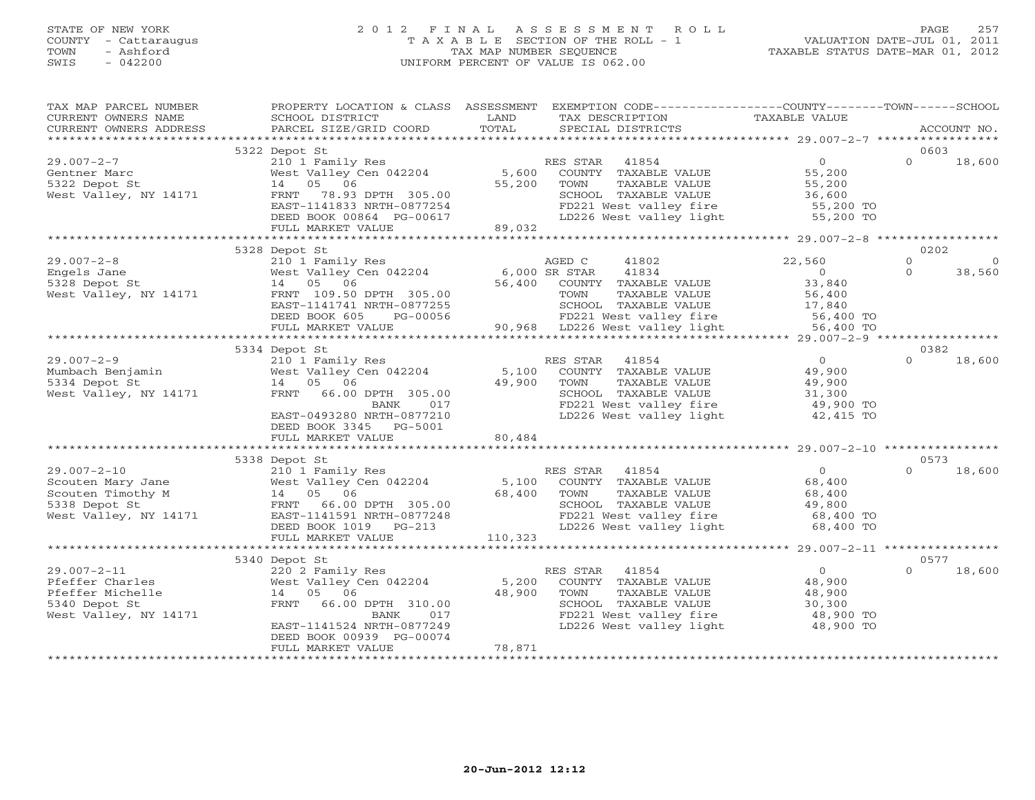# STATE OF NEW YORK 2 0 1 2 F I N A L A S S E S S M E N T R O L L PAGE 257 COUNTY - Cattaraugus T A X A B L E SECTION OF THE ROLL - 1 VALUATION DATE-JUL 01, 2011 TOWN - Ashford TAX MAP NUMBER SEQUENCE TAXABLE STATUS DATE-MAR 01, 2012 SWIS - 042200 UNIFORM PERCENT OF VALUE IS 062.00UNIFORM PERCENT OF VALUE IS 062.00

| TAX MAP PARCEL NUMBER<br>CURRENT OWNERS NAME<br>CURRENT OWNERS ADDRESS                                            | PROPERTY LOCATION & CLASS ASSESSMENT<br>SCHOOL DISTRICT<br>PARCEL SIZE/GRID COORD                                                                                                                 | LAND<br>TOTAL              | EXEMPTION CODE----------------COUNTY-------TOWN------SCHOOL<br>TAX DESCRIPTION<br>SPECIAL DISTRICTS                                                                                                                 | TAXABLE VALUE                                                            |                      | ACCOUNT NO.              |
|-------------------------------------------------------------------------------------------------------------------|---------------------------------------------------------------------------------------------------------------------------------------------------------------------------------------------------|----------------------------|---------------------------------------------------------------------------------------------------------------------------------------------------------------------------------------------------------------------|--------------------------------------------------------------------------|----------------------|--------------------------|
|                                                                                                                   |                                                                                                                                                                                                   |                            |                                                                                                                                                                                                                     |                                                                          |                      |                          |
|                                                                                                                   | 5322 Depot St                                                                                                                                                                                     |                            |                                                                                                                                                                                                                     |                                                                          | 0603                 |                          |
| $29.007 - 2 - 7$<br>Gentner Marc<br>5322 Depot St<br>West Valley, NY 14171                                        | 210 1 Family Res<br>West Valley Cen 042204<br>14 05 06<br>78.93 DPTH 305.00<br>FRNT<br>EAST-1141833 NRTH-0877254<br>DEED BOOK 00864 PG-00617                                                      | 5,600<br>55,200            | 41854<br>RES STAR<br>COUNTY TAXABLE VALUE<br>TAXABLE VALUE<br>TOWN<br>SCHOOL TAXABLE VALUE<br>FD221 West valley fire<br>LD226 West valley light                                                                     | $\overline{0}$<br>55,200<br>55,200<br>36,600<br>55,200 TO<br>55,200 TO   | $\Omega$             | 18,600                   |
|                                                                                                                   | FULL MARKET VALUE                                                                                                                                                                                 | 89,032                     |                                                                                                                                                                                                                     |                                                                          |                      |                          |
|                                                                                                                   | 5328 Depot St                                                                                                                                                                                     |                            |                                                                                                                                                                                                                     |                                                                          | 0202                 |                          |
| $29.007 - 2 - 8$<br>Engels Jane<br>5328 Depot St<br>West Valley, NY 14171                                         | 210 1 Family Res<br>West Valley Cen 042204<br>14 05 06<br>FRNT 109.50 DPTH 305.00<br>EAST-1141741 NRTH-0877255<br>DEED BOOK 605<br>PG-00056                                                       | 6,000 SR STAR<br>56,400    | AGED C<br>41802<br>41834<br>COUNTY TAXABLE VALUE<br>TOWN<br>TAXABLE VALUE<br>90,968 LD226 West valley fire the 17,840<br>-00056 FD221 West valley fire 56,400 TO<br>-00056 90,968 LD226 West valley light 56,400 TO | 22,560<br>$\overline{0}$<br>33,840<br>56,400                             | $\Omega$<br>$\Omega$ | $\overline{0}$<br>38,560 |
|                                                                                                                   | FULL MARKET VALUE                                                                                                                                                                                 |                            |                                                                                                                                                                                                                     |                                                                          |                      |                          |
|                                                                                                                   |                                                                                                                                                                                                   |                            |                                                                                                                                                                                                                     |                                                                          |                      |                          |
|                                                                                                                   | 5334 Depot St                                                                                                                                                                                     |                            |                                                                                                                                                                                                                     | $\overline{0}$                                                           | 0382<br>$\Omega$     |                          |
| $29.007 - 2 - 9$<br>Mumbach Benjamin<br>5334 Depot St<br>West Valley, NY 14171                                    | 210 1 Family Res<br>West Valley Cen 042204<br>14 05 06<br>FRNT<br>66.00 DPTH 305.00<br>BANK<br>017<br>EAST-0493280 NRTH-0877210<br>DEED BOOK 3345 PG-5001                                         | 5,100<br>49,900            | RES STAR 41854<br>COUNTY TAXABLE VALUE<br>TOWN<br>TAXABLE VALUE<br>FD221 West valley fire<br>TD221 West valley fire<br>LD226 West valley light 42,415 TO                                                            | 49,900<br>49,900<br>31,300<br>49,900 TO                                  |                      | 18,600                   |
|                                                                                                                   | FULL MARKET VALUE                                                                                                                                                                                 | 80,484                     |                                                                                                                                                                                                                     |                                                                          |                      |                          |
|                                                                                                                   | 5338 Depot St                                                                                                                                                                                     |                            |                                                                                                                                                                                                                     |                                                                          | 0573                 |                          |
| $29.007 - 2 - 10$<br>Scouten Mary Jane<br>Scouten Timothy M<br>5338 Depot St<br>Wort Yal<br>West Valley, NY 14171 | 210 1 Family Res<br>West Valley Cen 042204<br>14 05 06<br>FRNT 66.00 DPTH 305.00<br>EAST-1141591 NRTH-0877248<br>DEED BOOK 1019 PG-213<br>FULL MARKET VALUE                                       | 5,100<br>68,400<br>110,323 | RES STAR<br>41854<br>COUNTY TAXABLE VALUE<br>TOWN<br>TAXABLE VALUE<br>SCHOOL TAXABLE VALUE<br>FD221 West valley fire<br>LD226 West valley light                                                                     | $\overline{0}$<br>68,400<br>68,400<br>49,800<br>68,400 TO<br>68,400 TO   | $\Omega$             | 18,600                   |
|                                                                                                                   | * * * * * * * * * * *                                                                                                                                                                             |                            |                                                                                                                                                                                                                     |                                                                          |                      |                          |
| $29.007 - 2 - 11$<br>Pfeffer Charles<br>Pfeffer Michelle<br>5340 Depot St<br>West Valley, NY 14171                | 5340 Depot St<br>220 2 Family Res<br>West Valley Cen 042204<br>14 05 06<br>FRNT<br>66.00 DPTH 310.00<br>BANK<br>017<br>EAST-1141524 NRTH-0877249<br>DEED BOOK 00939 PG-00074<br>FULL MARKET VALUE | 5,200<br>48,900<br>78,871  | RES STAR 41854<br>COUNTY TAXABLE VALUE<br>TOWN<br>TAXABLE VALUE<br>SCHOOL TAXABLE VALUE<br>FD221 West valley fire<br>LD226 West valley light                                                                        | $\overline{0}$<br>48,900<br>48,900<br>30,300<br>$48,900$ TO<br>48,900 TO | 0577<br>$\Omega$     | 18,600                   |
|                                                                                                                   |                                                                                                                                                                                                   |                            |                                                                                                                                                                                                                     |                                                                          |                      |                          |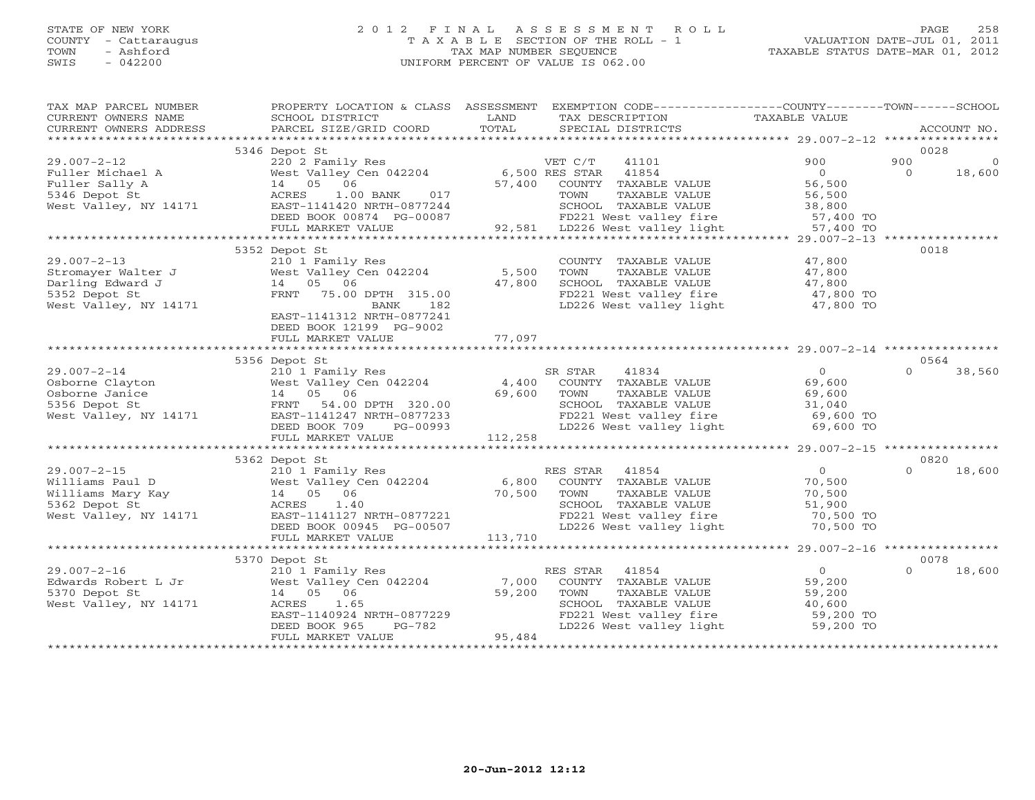# STATE OF NEW YORK 2 0 1 2 F I N A L A S S E S S M E N T R O L L PAGE 258 COUNTY - Cattaraugus T A X A B L E SECTION OF THE ROLL - 1 VALUATION DATE-JUL 01, 2011 TOWN - Ashford TAX MAP NUMBER SEQUENCE TAXABLE STATUS DATE-MAR 01, 2012 SWIS - 042200 UNIFORM PERCENT OF VALUE IS 062.00UNIFORM PERCENT OF VALUE IS 062.00

| TAX MAP PARCEL NUMBER             |                                                                                                                                                                                                                                | PROPERTY LOCATION & CLASS ASSESSMENT EXEMPTION CODE----------------COUNTY-------TOWN------SCHOOL |                                      |
|-----------------------------------|--------------------------------------------------------------------------------------------------------------------------------------------------------------------------------------------------------------------------------|--------------------------------------------------------------------------------------------------|--------------------------------------|
| CURRENT OWNERS NAME               | SCHOOL DISTRICT                                                                                                                                                                                                                | LAND<br>TAX DESCRIPTION                                                                          | TAXABLE VALUE                        |
| CURRENT OWNERS ADDRESS            | PARCEL SIZE/GRID COORD                                                                                                                                                                                                         | TOTAL<br>SPECIAL DISTRICTS                                                                       | ACCOUNT NO.                          |
|                                   |                                                                                                                                                                                                                                |                                                                                                  |                                      |
|                                   | 5346 Depot St                                                                                                                                                                                                                  |                                                                                                  | 0028                                 |
| $29.007 - 2 - 12$                 | 220 2 Family Res<br>West Valley Cen 042204 6,500 RES STAR<br>14 05 06 57,400 COUNTY 1                                                                                                                                          | 41101                                                                                            | 900<br>900<br>$\mathbf{0}$           |
| Fuller Michael A                  |                                                                                                                                                                                                                                | 41854                                                                                            | $\overline{O}$<br>$\Omega$<br>18,600 |
| Fuller Sally A                    |                                                                                                                                                                                                                                | 57,400 COUNTY TAXABLE VALUE                                                                      | 56,500                               |
| 5346 Depot St                     | 017<br>ACRES<br>$1.00$ BANK                                                                                                                                                                                                    | TOWN<br>TAXABLE VALUE                                                                            | 56,500                               |
| West Valley, NY 14171             | EAST-1141420 NRTH-0877244                                                                                                                                                                                                      | SCHOOL TAXABLE VALUE                                                                             | 38,800                               |
|                                   | DEED BOOK 00874 PG-00087                                                                                                                                                                                                       | 0087 FD221 West valley fire<br>92,581 LD226 West valley light                                    | 57,400 TO                            |
|                                   | FULL MARKET VALUE                                                                                                                                                                                                              |                                                                                                  | 57,400 TO                            |
|                                   |                                                                                                                                                                                                                                |                                                                                                  |                                      |
|                                   | 5352 Depot St                                                                                                                                                                                                                  |                                                                                                  | 0018                                 |
| 29.007-2-13<br>Stromayer Walter J | 210 1 Family Res                                                                                                                                                                                                               | COUNTY TAXABLE VALUE                                                                             | 47,800                               |
|                                   | West Valley Cen 042204 5,500                                                                                                                                                                                                   | TAXABLE VALUE<br>TOWN                                                                            | 47,800                               |
|                                   | 14 05 06                                                                                                                                                                                                                       | 47,800<br>SCHOOL TAXABLE VALUE                                                                   | 47,800                               |
| 5352 Depot St                     | FRNT 75.00 DPTH 315.00                                                                                                                                                                                                         | FD221 West valley fire                                                                           | $47,800$ TO                          |
| West Valley, NY 14171             | BANK<br>182                                                                                                                                                                                                                    | LD226 West valley light                                                                          | 47,800 TO                            |
|                                   | EAST-1141312 NRTH-0877241                                                                                                                                                                                                      |                                                                                                  |                                      |
|                                   | DEED BOOK 12199 PG-9002                                                                                                                                                                                                        |                                                                                                  |                                      |
|                                   | FULL MARKET VALUE                                                                                                                                                                                                              | 77,097                                                                                           |                                      |
|                                   |                                                                                                                                                                                                                                |                                                                                                  |                                      |
|                                   | 5356 Depot St                                                                                                                                                                                                                  |                                                                                                  | 0564                                 |
| $29.007 - 2 - 14$                 | 210 1 Family Res                                                                                                                                                                                                               | SR STAR<br>41834                                                                                 | 0<br>$\Omega$<br>38,560              |
| Osborne Clayton                   |                                                                                                                                                                                                                                | 4,400<br>COUNTY TAXABLE VALUE                                                                    | 69,600                               |
| Osborne Janice                    | 210 1 Family Res<br>West Valley Cen 042204<br>14 05 06<br>FRNT 54.00 DPTH 320.00                                                                                                                                               | 69,600 TOWN<br>TAXABLE VALUE                                                                     | 69,600                               |
| 5356 Depot St                     |                                                                                                                                                                                                                                | SCHOOL TAXABLE VALUE                                                                             | 31,040                               |
|                                   | West Valley, NY 14171 EAST-1141247 NRTH-0877233                                                                                                                                                                                |                                                                                                  | 69,600 TO                            |
|                                   | DEED BOOK 709<br>PG-00993                                                                                                                                                                                                      | FD221 West valley fire<br>LD226 West valley light                                                | 69,600 TO                            |
|                                   | FULL MARKET VALUE                                                                                                                                                                                                              | 112,258                                                                                          |                                      |
|                                   |                                                                                                                                                                                                                                |                                                                                                  |                                      |
|                                   |                                                                                                                                                                                                                                |                                                                                                  | 0820                                 |
|                                   |                                                                                                                                                                                                                                | RES STAR<br>41854                                                                                | $\overline{0}$<br>$\Omega$<br>18,600 |
|                                   |                                                                                                                                                                                                                                | 6,800 COUNTY TAXABLE VALUE                                                                       | 70,500                               |
|                                   |                                                                                                                                                                                                                                | 70,500<br>TOWN<br>TAXABLE VALUE                                                                  | 70,500                               |
|                                   |                                                                                                                                                                                                                                | SCHOOL TAXABLE VALUE                                                                             | 51,900                               |
|                                   | Examples to the set of the set of the set of the set of the set of the set of the set of the set of the set of the set of the set of the set of the set of the set of the set of the set of the set of the set of the set of t | SCHOOL TAXABLE VALUE<br>FD221 West valley fire                                                   | 70,500 TO                            |
|                                   |                                                                                                                                                                                                                                | LD226 West valley light                                                                          | 70,500 TO                            |
|                                   | FULL MARKET VALUE                                                                                                                                                                                                              | 113,710                                                                                          |                                      |
|                                   |                                                                                                                                                                                                                                |                                                                                                  |                                      |
|                                   | 5370 Depot St                                                                                                                                                                                                                  |                                                                                                  | 0078                                 |
|                                   |                                                                                                                                                                                                                                | RES STAR<br>41854                                                                                | 0<br>$\Omega$<br>18,600              |
|                                   |                                                                                                                                                                                                                                | COUNTY TAXABLE VALUE                                                                             | 59,200                               |
|                                   |                                                                                                                                                                                                                                | TAXABLE VALUE<br>TOWN                                                                            | 59,200                               |
| West Valley, NY 14171             |                                                                                                                                                                                                                                | SCHOOL TAXABLE VALUE                                                                             | 40,600                               |
|                                   |                                                                                                                                                                                                                                |                                                                                                  | $59,200$ TO                          |
|                                   |                                                                                                                                                                                                                                | FD221 West valley fire<br>LD226 West valley light                                                |                                      |
|                                   | FULL MARKET VALUE                                                                                                                                                                                                              | 95,484                                                                                           |                                      |
|                                   |                                                                                                                                                                                                                                |                                                                                                  |                                      |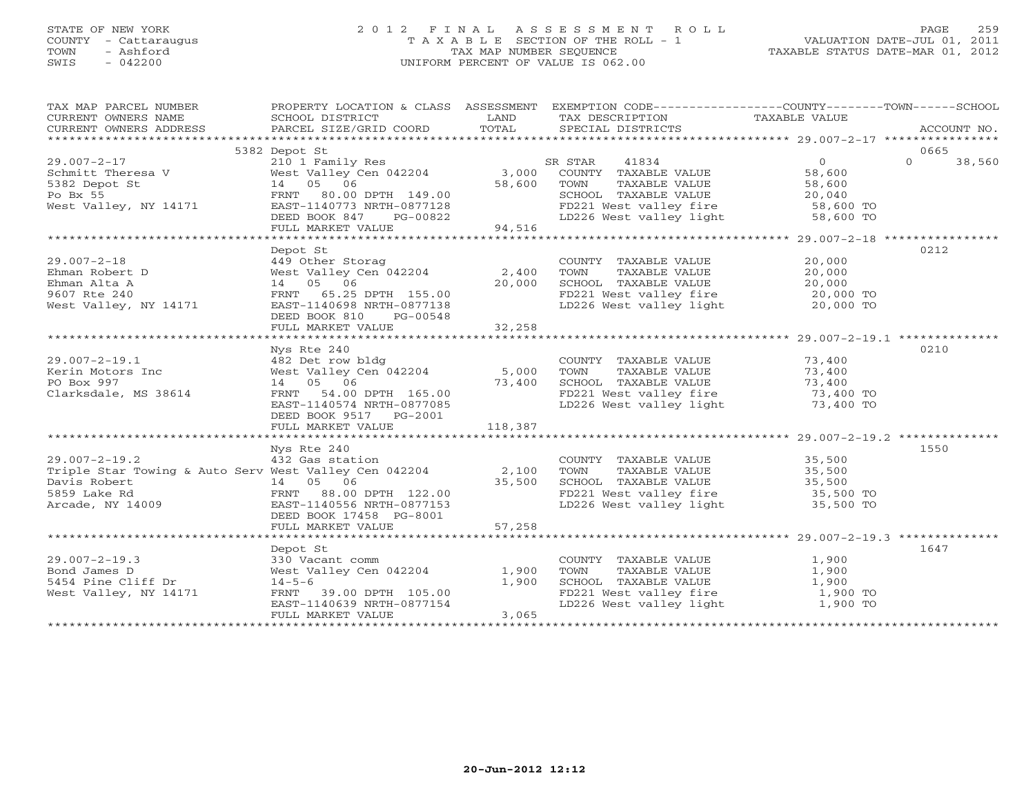# STATE OF NEW YORK 2 0 1 2 F I N A L A S S E S S M E N T R O L L PAGE 259 COUNTY - Cattaraugus T A X A B L E SECTION OF THE ROLL - 1 VALUATION DATE-JUL 01, 2011 TOWN - Ashford TAX MAP NUMBER SEQUENCE TAXABLE STATUS DATE-MAR 01, 2012 SWIS - 042200 UNIFORM PERCENT OF VALUE IS 062.00

| TAX MAP PARCEL NUMBER                                                                                                                                                                                                                       |                                                                                                                        |         | PROPERTY LOCATION & CLASS ASSESSMENT EXEMPTION CODE----------------COUNTY-------TOWN------SCHOOL                                                                                                                                     |        |          |             |
|---------------------------------------------------------------------------------------------------------------------------------------------------------------------------------------------------------------------------------------------|------------------------------------------------------------------------------------------------------------------------|---------|--------------------------------------------------------------------------------------------------------------------------------------------------------------------------------------------------------------------------------------|--------|----------|-------------|
| CURRENT OWNERS NAME                                                                                                                                                                                                                         | SCHOOL DISTRICT                                                                                                        | LAND    | TAX DESCRIPTION TAXABLE VALUE                                                                                                                                                                                                        |        |          |             |
| CURRENT OWNERS ADDRESS                                                                                                                                                                                                                      | PARCEL SIZE/GRID COORD                                                                                                 | TOTAL   | SPECIAL DISTRICTS                                                                                                                                                                                                                    |        |          | ACCOUNT NO. |
|                                                                                                                                                                                                                                             |                                                                                                                        |         |                                                                                                                                                                                                                                      |        |          |             |
|                                                                                                                                                                                                                                             | 5382 Depot St                                                                                                          |         |                                                                                                                                                                                                                                      |        | 0665     |             |
|                                                                                                                                                                                                                                             | 210 1 Family Res<br>West Valley Cen 042204 3,000                                                                       |         | R STAR 41834 (0)<br>COUNTY TAXABLE VALUE 58,600<br>SR STAR                                                                                                                                                                           |        | $\Omega$ | 38,560      |
|                                                                                                                                                                                                                                             |                                                                                                                        |         |                                                                                                                                                                                                                                      |        |          |             |
|                                                                                                                                                                                                                                             |                                                                                                                        |         | TOWN<br>TAXABLE VALUE<br>TOWN TAXABLE VALUE 58,600<br>SCHOOL TAXABLE VALUE 20,040                                                                                                                                                    | 58,600 |          |             |
|                                                                                                                                                                                                                                             |                                                                                                                        |         |                                                                                                                                                                                                                                      |        |          |             |
|                                                                                                                                                                                                                                             |                                                                                                                        |         | FD221 West valley fire 58,600 TO<br>LD226 West valley light 58,600 TO                                                                                                                                                                |        |          |             |
|                                                                                                                                                                                                                                             |                                                                                                                        |         |                                                                                                                                                                                                                                      |        |          |             |
| 29.007-2-17<br>Schmitt Theresa V alley Cen 042204<br>5382 Depot St 14 05 06 58,600<br>Po Bx 55 FRNT 80.00 DPTH 149.00<br>West Valley, NY 14171 EAST-1140773 NRTH-0877128<br>DEED BOOK 847 PG-00822<br>FULL MARKET VALUE<br>PULL MARKET VALU |                                                                                                                        |         |                                                                                                                                                                                                                                      |        |          |             |
|                                                                                                                                                                                                                                             |                                                                                                                        |         |                                                                                                                                                                                                                                      |        |          |             |
|                                                                                                                                                                                                                                             | Depot St                                                                                                               |         |                                                                                                                                                                                                                                      |        | 0212     |             |
| $29.007 - 2 - 18$                                                                                                                                                                                                                           | $449$ Other Storag<br>West Valley Cen 042204 2,400                                                                     |         | COUNTY TAXABLE VALUE                                                                                                                                                                                                                 | 20,000 |          |             |
| Ehman Robert D                                                                                                                                                                                                                              |                                                                                                                        |         | TAXABLE VALUE<br>TOWN                                                                                                                                                                                                                | 20,000 |          |             |
| Ehman Alta A                                                                                                                                                                                                                                |                                                                                                                        |         |                                                                                                                                                                                                                                      |        |          |             |
| 9607 Rte 240                                                                                                                                                                                                                                |                                                                                                                        |         |                                                                                                                                                                                                                                      |        |          |             |
| West Valley, NY 14171                                                                                                                                                                                                                       | WEST US 06<br>FRNT 65.25 DPTH 155.00<br>EAST-1140698 NRTH-0877138                                                      |         | CHOOL TAXABLE VALUE<br>FD221 West valley fire and the control of the control of the control of the control of the control of the contr<br>LD226 West valley light the control of the control of the control of the control of the co |        |          |             |
|                                                                                                                                                                                                                                             | DEED BOOK 810<br>PG-00548                                                                                              |         |                                                                                                                                                                                                                                      |        |          |             |
|                                                                                                                                                                                                                                             | FULL MARKET VALUE                                                                                                      | 32,258  |                                                                                                                                                                                                                                      |        |          |             |
|                                                                                                                                                                                                                                             |                                                                                                                        |         |                                                                                                                                                                                                                                      |        |          |             |
|                                                                                                                                                                                                                                             | Nys Rte 240<br>482 Det row bldg<br>West Valley Cen 042204 5,000<br>14 05 06 73,400<br>FRNT 54.00 DPTH 165.00<br>73,400 |         |                                                                                                                                                                                                                                      |        | 0210     |             |
| $29.007 - 2 - 19.1$                                                                                                                                                                                                                         |                                                                                                                        |         | COUNTY TAXABLE VALUE 73,400<br>TOWN TAXABLE VALUE 73 400                                                                                                                                                                             |        |          |             |
| Kerin Motors Inc                                                                                                                                                                                                                            |                                                                                                                        |         | TAXABLE VALUE<br>TOWN                                                                                                                                                                                                                | 73,400 |          |             |
| PO Box 997                                                                                                                                                                                                                                  |                                                                                                                        |         |                                                                                                                                                                                                                                      |        |          |             |
| Clarksdale, MS 38614                                                                                                                                                                                                                        |                                                                                                                        |         |                                                                                                                                                                                                                                      |        |          |             |
|                                                                                                                                                                                                                                             |                                                                                                                        |         |                                                                                                                                                                                                                                      |        |          |             |
|                                                                                                                                                                                                                                             | DEED BOOK 9517 PG-2001                                                                                                 |         |                                                                                                                                                                                                                                      |        |          |             |
|                                                                                                                                                                                                                                             | FULL MARKET VALUE                                                                                                      | 118,387 |                                                                                                                                                                                                                                      |        |          |             |
|                                                                                                                                                                                                                                             |                                                                                                                        |         |                                                                                                                                                                                                                                      |        |          |             |
|                                                                                                                                                                                                                                             | Nys Rte 240                                                                                                            |         |                                                                                                                                                                                                                                      |        | 1550     |             |
| $29.007 - 2 - 19.2$                                                                                                                                                                                                                         | 432 Gas station                                                                                                        |         | COUNTY TAXABLE VALUE 35,500                                                                                                                                                                                                          |        |          |             |
| Triple Star Towing & Auto Serv West Valley Cen 042204 2,100                                                                                                                                                                                 |                                                                                                                        |         |                                                                                                                                                                                                                                      |        |          |             |
| Davis Robert 1997 - 1997 - 1997 - 1998 - 1998 - 1998 - 1999 - 1999 - 1999 - 1999 - 1999 - 1999 - 1999 - 1999 - 1<br>25,500 - 1999 - 1999 - 1999 - 1999 - 1999 - 1999 - 1999 - 1999 - 1999 - 1999 - 1999 - 1999 - 1999 - 1999 - 1            |                                                                                                                        |         |                                                                                                                                                                                                                                      |        |          |             |
|                                                                                                                                                                                                                                             |                                                                                                                        |         | FD221 West valley fire 35,500 TO<br>LD226 West valley light 35,500 TO                                                                                                                                                                |        |          |             |
|                                                                                                                                                                                                                                             |                                                                                                                        |         |                                                                                                                                                                                                                                      |        |          |             |
|                                                                                                                                                                                                                                             | DEED BOOK 17458 PG-8001                                                                                                | 57,258  |                                                                                                                                                                                                                                      |        |          |             |
|                                                                                                                                                                                                                                             | FULL MARKET VALUE                                                                                                      |         |                                                                                                                                                                                                                                      |        |          |             |
|                                                                                                                                                                                                                                             |                                                                                                                        |         |                                                                                                                                                                                                                                      |        |          |             |
|                                                                                                                                                                                                                                             | Depot St                                                                                                               |         |                                                                                                                                                                                                                                      |        | 1647     |             |
| $29.007 - 2 - 19.3$                                                                                                                                                                                                                         | 330 Vacant comm                                                                                                        |         | COUNTY TAXABLE VALUE                                                                                                                                                                                                                 | 1,900  |          |             |
| Bond James D                                                                                                                                                                                                                                | West Valley Cen 042204                                                                                                 | 1,900   | TOWN       TAXABLE  VALUE<br>SCHOOL    TAXABLE  VALUE                                                                                                                                                                                | 1,900  |          |             |
| 5454 Pine Cliff Dr                                                                                                                                                                                                                          | $14 - 5 - 6$                                                                                                           | 1,900   |                                                                                                                                                                                                                                      | 1,900  |          |             |
| West Valley, NY 14171                                                                                                                                                                                                                       | FRNT 39.00 DPTH 105.00                                                                                                 |         | FD221 West valley fire 1,900 TO<br>LD226 West valley light 1,900 TO                                                                                                                                                                  |        |          |             |
|                                                                                                                                                                                                                                             | EAST-1140639 NRTH-0877154                                                                                              | 3,065   |                                                                                                                                                                                                                                      |        |          |             |
|                                                                                                                                                                                                                                             | FULL MARKET VALUE                                                                                                      |         |                                                                                                                                                                                                                                      |        |          |             |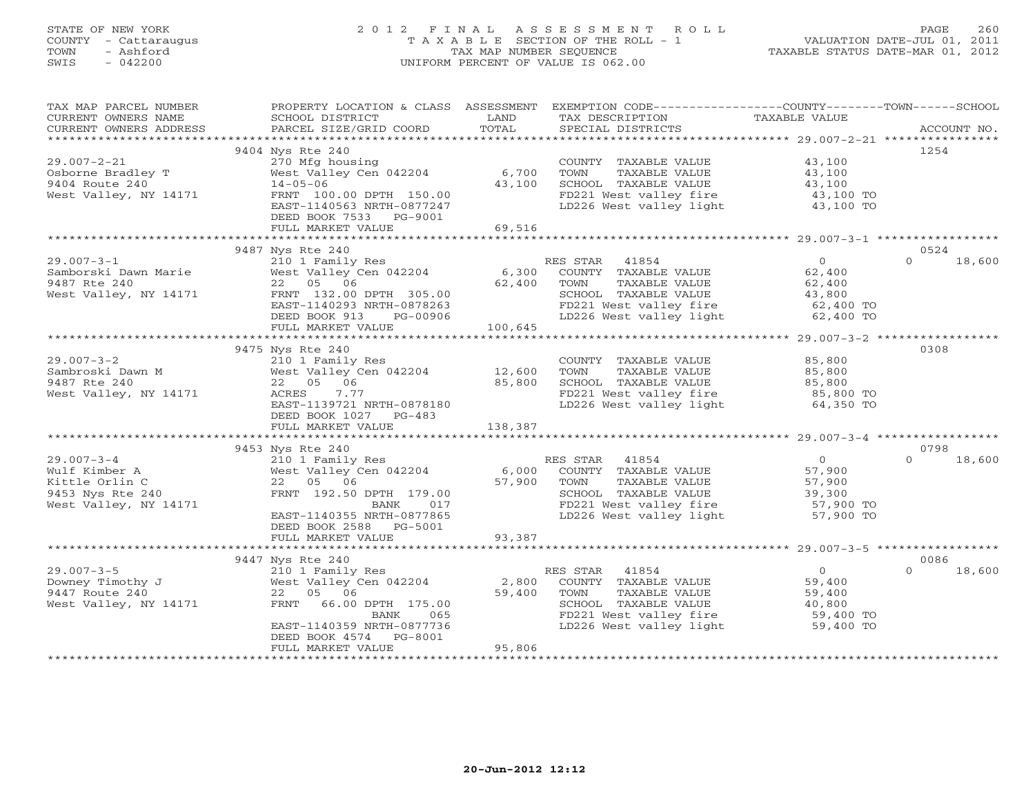# STATE OF NEW YORK 2 0 1 2 F I N A L A S S E S S M E N T R O L L PAGE 260 COUNTY - Cattaraugus T A X A B L E SECTION OF THE ROLL - 1 VALUATION DATE-JUL 01, 2011 TOWN - Ashford TAX MAP NUMBER SEQUENCE TAXABLE STATUS DATE-MAR 01, 2012 SWIS - 042200 UNIFORM PERCENT OF VALUE IS 062.00UNIFORM PERCENT OF VALUE IS 062.00

| TAX MAP PARCEL NUMBER<br>CURRENT OWNERS NAME<br>CURRENT OWNERS ADDRESS                           | PROPERTY LOCATION & CLASS ASSESSMENT<br>SCHOOL DISTRICT<br>PARCEL SIZE/GRID COORD                                                                                                          | LAND<br>TOTAL                 | EXEMPTION CODE-----------------COUNTY-------TOWN------SCHOOL<br>TAX DESCRIPTION<br>SPECIAL DISTRICTS                                                  | TAXABLE VALUE                                                          | ACCOUNT NO.                |
|--------------------------------------------------------------------------------------------------|--------------------------------------------------------------------------------------------------------------------------------------------------------------------------------------------|-------------------------------|-------------------------------------------------------------------------------------------------------------------------------------------------------|------------------------------------------------------------------------|----------------------------|
|                                                                                                  |                                                                                                                                                                                            |                               |                                                                                                                                                       |                                                                        |                            |
| $29.007 - 2 - 21$<br>Osborne Bradley T<br>9404 Route 240<br>West Valley, NY 14171                | 9404 Nys Rte 240<br>270 Mfg housing<br>West Valley Cen 042204<br>$14 - 05 - 06$<br>FRNT 100.00 DPTH 150.00                                                                                 | 6,700<br>43,100               | COUNTY TAXABLE VALUE 43,100<br>TOWN<br>TAXABLE VALUE<br>SCHOOL TAXABLE VALUE<br>FD221 West valley fire 43,100 TO<br>LD226 West valley light 43,100 TO | 43,100<br>43,100                                                       | 1254                       |
|                                                                                                  | EAST-1140563 NRTH-0877247<br>DEED BOOK 7533 PG-9001<br>FULL MARKET VALUE                                                                                                                   | 69,516                        |                                                                                                                                                       |                                                                        |                            |
|                                                                                                  |                                                                                                                                                                                            |                               |                                                                                                                                                       |                                                                        |                            |
| $29.007 - 3 - 1$<br>Samborski Dawn Marie<br>9487 Rte 240                                         | 9487 Nys Rte 240<br>210 1 Family Res<br>West Valley Cen 042204<br>22 05 06                                                                                                                 | $6,300$<br>$62,400$<br>62,400 | RES STAR 41854<br>COUNTY TAXABLE VALUE<br>TOWN<br>TAXABLE VALUE                                                                                       | $\overline{0}$<br>62,400<br>62,400                                     | 0524<br>$\Omega$<br>18,600 |
| West Valley, NY 14171                                                                            | FRNT 132.00 DPTH 305.00<br>EAST-1140293 NRTH-0878263<br>DEED BOOK 913<br>PG-00906<br>FULL MARKET VALUE                                                                                     | 100,645                       | SCHOOL TAXABLE VALUE<br>FD221 West valley fire<br>LD226 West valley light                                                                             | 43,800<br>62,400 TO<br>62,400 TO                                       |                            |
|                                                                                                  |                                                                                                                                                                                            |                               |                                                                                                                                                       |                                                                        |                            |
| $29.007 - 3 - 2$<br>Sambroski Dawn M<br>9487 Rte 240<br>West Valley, NY 14171                    | 9475 Nys Rte 240<br>210 1 Family Res<br>West Valley Cen 042204 12,600<br>22 05 06<br>ACRES<br>7.77<br>EAST-1139721 NRTH-0878180<br>DEED BOOK 1027 PG-483<br>FULL MARKET VALUE              | 85,800<br>138,387             | COUNTY TAXABLE VALUE<br>TAXABLE VALUE<br>TOWN<br>SCHOOL TAXABLE VALUE<br>FD221 West valley fire<br>LD226 West valley light                            | 85,800<br>85,800<br>85,800<br>85,800 TO<br>64,350 TO                   | 0308                       |
|                                                                                                  |                                                                                                                                                                                            |                               |                                                                                                                                                       |                                                                        |                            |
| $29.007 - 3 - 4$<br>Wulf Kimber A<br>Kittle Orlin C<br>9453 Nys Rte 240<br>West Valley, NY 14171 | 9453 Nys Rte 240<br>210 1 Family Res<br>West Valley Cen 042204 6,000<br>22 05 06<br>FRNT 192.50 DPTH 179.00<br>BANK 017<br>EAST-1140355 NRTH-0877865<br>DEED BOOK 2588 PG-5001             | 57,900                        | RES STAR 41854<br>COUNTY TAXABLE VALUE<br>TOWN<br>TAXABLE VALUE                                                                                       | $\Omega$<br>57,900<br>57,900<br>39,300<br>57,900 TO                    | 0798<br>$\cap$<br>18,600   |
|                                                                                                  | FULL MARKET VALUE                                                                                                                                                                          | 93,387                        |                                                                                                                                                       |                                                                        |                            |
|                                                                                                  | 9447 Nys Rte 240                                                                                                                                                                           |                               |                                                                                                                                                       |                                                                        | 0086                       |
| $29.007 - 3 - 5$<br>Downey Timothy J<br>9447 Route 240<br>West Valley, NY 14171                  | nys neo 21e<br>210 1 Family Res<br>West Valley Cen 042204<br>22 05 06<br>FRNT 66.00 DPTH 175.00<br>065<br>BANK<br>EAST-1140359 NRTH-0877736<br>DEED BOOK 4574 PG-8001<br>FULL MARKET VALUE | 59,400<br>95,806              | RES STAR 41854<br>2,800 COUNTY TAXABLE VALUE<br>TAXABLE VALUE<br>TOWN<br>SCHOOL TAXABLE VALUE<br>FD221 West valley fire<br>LD226 West valley light    | $\overline{0}$<br>59,400<br>59,400<br>40,800<br>59,400 TO<br>59,400 TO | 18,600<br>$\Omega$         |
|                                                                                                  |                                                                                                                                                                                            |                               |                                                                                                                                                       |                                                                        |                            |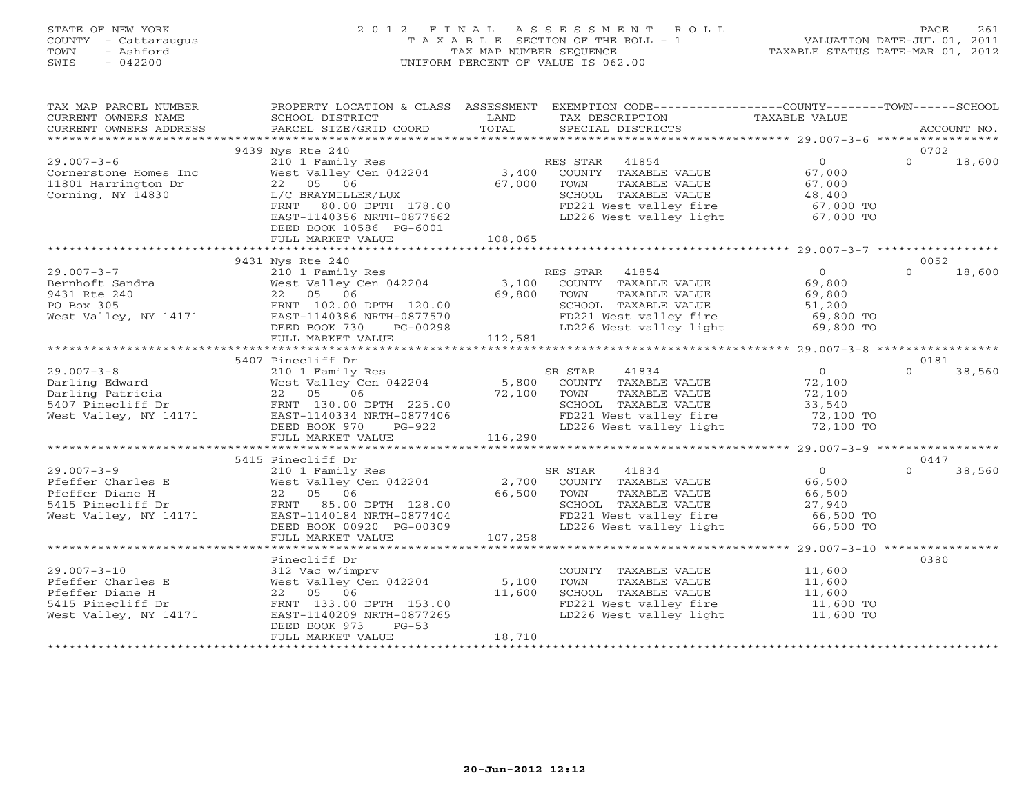# STATE OF NEW YORK 2 0 1 2 F I N A L A S S E S S M E N T R O L L PAGE 261 COUNTY - Cattaraugus T A X A B L E SECTION OF THE ROLL - 1 VALUATION DATE-JUL 01, 2011 TOWN - Ashford TAX MAP NUMBER SEQUENCE TAXABLE STATUS DATE-MAR 01, 2012 SWIS - 042200 UNIFORM PERCENT OF VALUE IS 062.00UNIFORM PERCENT OF VALUE IS 062.00

| TAX MAP PARCEL NUMBER<br>CURRENT OWNERS NAME<br>CURRENT OWNERS ADDRESS                                  | SCHOOL DISTRICT<br>PARCEL SIZE/GRID COORD                                                                                                                                            | LAND<br>TOTAL              | PROPERTY LOCATION & CLASS ASSESSMENT EXEMPTION CODE---------------COUNTY-------TOWN------SCHOOL<br>TAX DESCRIPTION<br>SPECIAL DISTRICTS                                      | TAXABLE VALUE                                                          | ACCOUNT NO.                |  |
|---------------------------------------------------------------------------------------------------------|--------------------------------------------------------------------------------------------------------------------------------------------------------------------------------------|----------------------------|------------------------------------------------------------------------------------------------------------------------------------------------------------------------------|------------------------------------------------------------------------|----------------------------|--|
|                                                                                                         |                                                                                                                                                                                      |                            |                                                                                                                                                                              |                                                                        |                            |  |
|                                                                                                         | 9439 Nys Rte 240                                                                                                                                                                     |                            |                                                                                                                                                                              |                                                                        | 0702                       |  |
| $29.007 - 3 - 6$<br>Cornerstone Homes Inc<br>11801 Harrington Dr<br>Corning, NY 14830                   | 210 1 Family Res<br>West Valley Cen 042204<br>22 05 06<br>L/C BRAYMILLER/LUX<br>FRNT<br>80.00 DPTH 178.00<br>EAST-1140356 NRTH-0877662<br>DEED BOOK 10586 PG-6001                    | 67,000                     | RES STAR 41854<br>3,400 COUNTY TAXABLE VALUE<br>TAXABLE VALUE<br>TOWN<br>SCHOOL TAXABLE VALUE<br>FD221 West valley fire<br>LD226 West valley light 67,000 TO                 | $\overline{0}$<br>67,000<br>67,000<br>48,400<br>67,000 TO              | $\Omega$<br>18,600         |  |
|                                                                                                         | FULL MARKET VALUE                                                                                                                                                                    | 108,065                    |                                                                                                                                                                              |                                                                        |                            |  |
|                                                                                                         | 9431 Nys Rte 240                                                                                                                                                                     |                            |                                                                                                                                                                              |                                                                        | 0052                       |  |
| $29.007 - 3 - 7$<br>Bernhoft Sandra<br>9431 Rte 240<br>PO Box 305<br>West Valley, NY 14171              | 210 1 Family Res<br>West Valley Cen 042204<br>22 05 06<br>FRNT 102.00 DPTH 120.00<br>EAST-1140386 NRTH-0877570<br>DEED BOOK 730<br>PG-00298<br>FULL MARKET VALUE                     | 3,100<br>69,800<br>112,581 | RES STAR 41854<br>COUNTY TAXABLE VALUE<br>TOWN<br>TAXABLE VALUE<br>SCHOOL TAXABLE VALUE<br>FD221 West valley fire<br>LD226 West valley light 69,800 TO                       | $\Omega$<br>69,800<br>69,800<br>51,200<br>69,800 TO                    | $\Omega$<br>18,600         |  |
|                                                                                                         |                                                                                                                                                                                      |                            |                                                                                                                                                                              |                                                                        |                            |  |
| $29.007 - 3 - 8$                                                                                        | 5407 Pinecliff Dr<br>210 1 Family Res<br>West Valley Cen 042204 5,800 COUNTY TAXABLE VALUE<br>کری دی.<br>72,100 TOWN<br>PTH 225.00 SCHOO<br>DEED BOOK 970<br>PG-922                  |                            | TAXABLE VALUE<br>SCHOOL TAXABLE VALUE<br>FD221 West valley fire<br>LD226 West valley light                                                                                   | $\Omega$<br>72,100<br>72,100<br>33,540<br>72,100 TO<br>$72,100$ TO     | 0181<br>$\Omega$<br>38,560 |  |
|                                                                                                         | FULL MARKET VALUE                                                                                                                                                                    | 116,290                    |                                                                                                                                                                              |                                                                        |                            |  |
|                                                                                                         | 5415 Pinecliff Dr                                                                                                                                                                    |                            |                                                                                                                                                                              |                                                                        | 0447                       |  |
| $29.007 - 3 - 9$<br>Pfeffer Charles E<br>Pfeffer Diane H<br>5415 Pinecliff Dr<br>West Valley, NY 14171  | 210 1 Family Res<br>West Valley Cen 042204<br>22 05 06<br>FRNT 85.00 DPTH 128.00<br>EAST-1140184 NRTH-0877404<br>DEED BOOK 00920 PG-00309<br>FULL MARKET VALUE                       | 66,500<br>107,258          | 41834<br>SR STAR<br>2,700 COUNTY TAXABLE VALUE<br>TOWN<br>TAXABLE VALUE<br>SCHOOL TAXABLE VALUE<br>SCHOOL TAXABLE VALUE<br>FD221 West valley fire<br>LD226 West valley light | $\overline{0}$<br>66,500<br>66,500<br>27,940<br>66,500 TO<br>66,500 TO | 38,560<br>$\Omega$         |  |
|                                                                                                         |                                                                                                                                                                                      |                            |                                                                                                                                                                              |                                                                        |                            |  |
| $29.007 - 3 - 10$<br>Pfeffer Charles E<br>Pfeffer Diane H<br>5415 Pinecliff Dr<br>West Valley, NY 14171 | Pinecliff Dr<br>312 Vac w/imprv<br>West Valley Cen 042204 5,100<br>22 05 06<br>FRNT 133.00 DPTH 153.00<br>EAST-1140209 NRTH-0877265<br>DEED BOOK 973<br>$PG-53$<br>FULL MARKET VALUE | 11,600<br>18,710           | COUNTY TAXABLE VALUE<br>TAXABLE VALUE<br>TOWN<br>SCHOOL TAXABLE VALUE<br>concom Thanbut VALUE<br>FD221 West valley fire<br>IP226<br>LD226 West valley light                  | 11,600<br>11,600<br>11,600<br>$11,600$ TO<br>11,600 TO                 | 0380                       |  |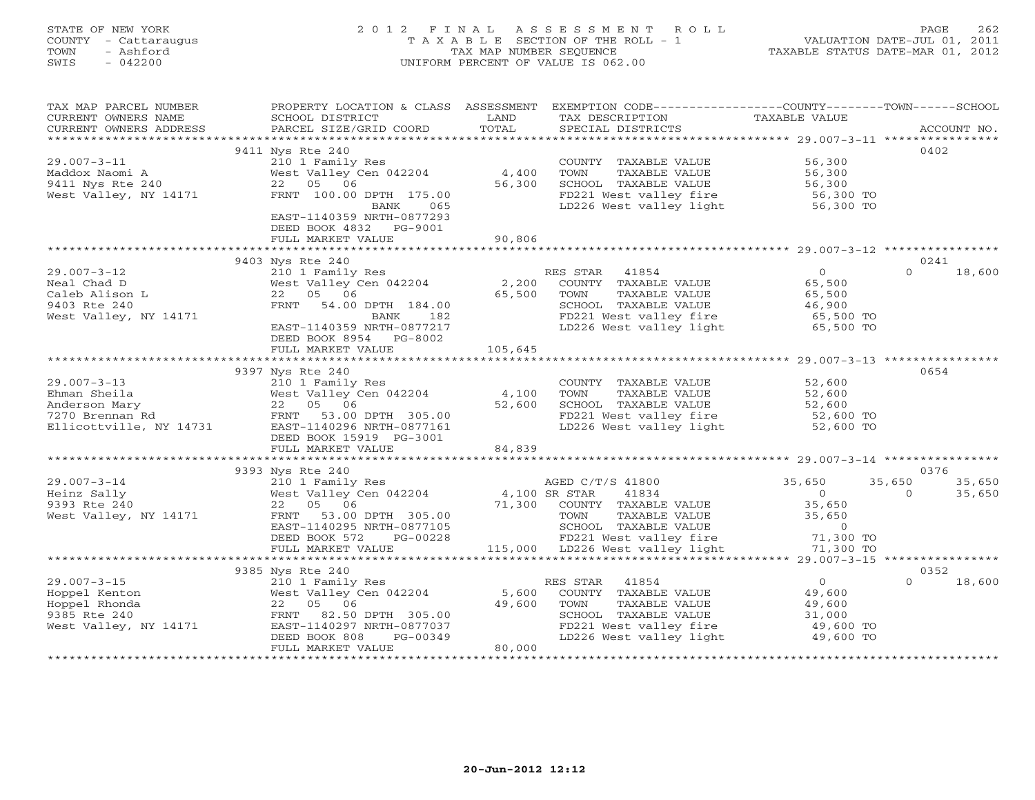# STATE OF NEW YORK 2 0 1 2 F I N A L A S S E S S M E N T R O L L PAGE 262 COUNTY - Cattaraugus T A X A B L E SECTION OF THE ROLL - 1 VALUATION DATE-JUL 01, 2011 TOWN - Ashford TAX MAP NUMBER SEQUENCE TAXABLE STATUS DATE-MAR 01, 2012 SWIS - 042200 UNIFORM PERCENT OF VALUE IS 062.00UNIFORM PERCENT OF VALUE IS 062.00

| TAX MAP PARCEL NUMBER                                                                                                                                                                                                                                                             | PROPERTY LOCATION & CLASS ASSESSMENT                                                                                   |              | EXEMPTION CODE----------------COUNTY-------TOWN------SCHOOL           |                                   |                          |
|-----------------------------------------------------------------------------------------------------------------------------------------------------------------------------------------------------------------------------------------------------------------------------------|------------------------------------------------------------------------------------------------------------------------|--------------|-----------------------------------------------------------------------|-----------------------------------|--------------------------|
| CURRENT OWNERS NAME                                                                                                                                                                                                                                                               | SCHOOL DISTRICT                                                                                                        | LAND         | TAX DESCRIPTION                                                       | TAXABLE VALUE                     |                          |
| CURRENT OWNERS ADDRESS                                                                                                                                                                                                                                                            | PARCEL SIZE/GRID COORD                                                                                                 | TOTAL        | SPECIAL DISTRICTS                                                     |                                   | ACCOUNT NO.              |
|                                                                                                                                                                                                                                                                                   |                                                                                                                        |              |                                                                       |                                   |                          |
|                                                                                                                                                                                                                                                                                   | 9411 Nys Rte 240                                                                                                       |              |                                                                       |                                   | 0402                     |
| $29.007 - 3 - 11$                                                                                                                                                                                                                                                                 | 210 1 Family Res<br>210 1 Family Res<br>West Valley Cen 042204 4,400                                                   |              | COUNTY TAXABLE VALUE                                                  | 56,300<br>56,300                  |                          |
| Maddox Naomi A                                                                                                                                                                                                                                                                    |                                                                                                                        |              | TOWN<br>TAXABLE VALUE                                                 |                                   |                          |
| 9411 Nys Rte 240                                                                                                                                                                                                                                                                  | 22 05 06                                                                                                               | 56,300       | SCHOOL TAXABLE VALUE                                                  | 56,300<br>56,300 TO               |                          |
| West Valley, NY 14171                                                                                                                                                                                                                                                             | FRNT 100.00 DPTH 175.00                                                                                                |              | FD221 West valley fire 56,300 TO<br>LD226 West valley light 56,300 TO |                                   |                          |
|                                                                                                                                                                                                                                                                                   | BANK<br>065                                                                                                            |              |                                                                       |                                   |                          |
|                                                                                                                                                                                                                                                                                   | EAST-1140359 NRTH-0877293                                                                                              |              |                                                                       |                                   |                          |
|                                                                                                                                                                                                                                                                                   | DEED BOOK 4832 PG-9001                                                                                                 |              |                                                                       |                                   |                          |
|                                                                                                                                                                                                                                                                                   | FULL MARKET VALUE                                                                                                      | 90,806       |                                                                       |                                   |                          |
|                                                                                                                                                                                                                                                                                   | 9403 Nys Rte 240                                                                                                       |              |                                                                       |                                   | 0241                     |
| $29.007 - 3 - 12$                                                                                                                                                                                                                                                                 | Nys kie 240<br>210 1 Family Res (2,200 RES STAR) 41854<br>West Valley Cen 042204 2,200 COUNTY TAXABLE VALUE (65,500 K) |              |                                                                       |                                   | $\Omega$<br>18,600       |
| Neal Chad D                                                                                                                                                                                                                                                                       |                                                                                                                        |              |                                                                       |                                   |                          |
| Caleb Alison L                                                                                                                                                                                                                                                                    | 22 05 06                                                                                                               |              | TAXABLE VALUE                                                         | 65,500                            |                          |
| 9403 Rte 240                                                                                                                                                                                                                                                                      | FRNT 54.00 DPTH 184.00                                                                                                 | ST. 500 TOWN |                                                                       |                                   |                          |
| West Valley, NY 14171                                                                                                                                                                                                                                                             | 182<br>BANK                                                                                                            |              | SCHOOL TAXABLE VALUE 46,900<br>FD221 West valley fire 65,500 TO       |                                   |                          |
|                                                                                                                                                                                                                                                                                   | EAST-1140359 NRTH-0877217                                                                                              |              | FD221 West valley fire 65,500 TO<br>LD226 West valley light 65,500 TO |                                   |                          |
|                                                                                                                                                                                                                                                                                   | DEED BOOK 8954 PG-8002                                                                                                 |              |                                                                       |                                   |                          |
|                                                                                                                                                                                                                                                                                   | FULL MARKET VALUE                                                                                                      | 105,645      |                                                                       |                                   |                          |
|                                                                                                                                                                                                                                                                                   |                                                                                                                        |              |                                                                       |                                   |                          |
|                                                                                                                                                                                                                                                                                   | 9397 Nys Rte 240                                                                                                       |              |                                                                       |                                   | 0654                     |
| $29.007 - 3 - 13$                                                                                                                                                                                                                                                                 |                                                                                                                        |              | COUNTY TAXABLE VALUE 52,600                                           |                                   |                          |
|                                                                                                                                                                                                                                                                                   |                                                                                                                        | 4,100        | TAXABLE VALUE<br>TOWN                                                 | 52,600                            |                          |
| 29.007-3-13<br>Ehman Sheila<br>Anderson Mary<br>7270 Brennan Rd<br>Ellicottville, NY 14731<br>Ellicottville, NY 14731<br>PENT<br>PENT<br>PENT<br>PENT<br>PENT<br>PENT<br>PENT<br>PENT<br>PENT<br>PENT<br>PENT<br>PENT<br>PENT<br>PENT<br>PENT<br>PENT<br>PENT<br>PENT<br>PENT<br> |                                                                                                                        | 52,600       | SCHOOL TAXABLE VALUE                                                  | $52,600$<br>52,600 TO             |                          |
|                                                                                                                                                                                                                                                                                   |                                                                                                                        |              |                                                                       |                                   |                          |
|                                                                                                                                                                                                                                                                                   |                                                                                                                        |              | FD221 West valley fire 52,600 TO<br>LD226 West valley light 52,600 TO |                                   |                          |
|                                                                                                                                                                                                                                                                                   | DEED BOOK 15919 PG-3001                                                                                                |              |                                                                       |                                   |                          |
|                                                                                                                                                                                                                                                                                   | FULL MARKET VALUE                                                                                                      | 84,839       |                                                                       |                                   |                          |
|                                                                                                                                                                                                                                                                                   |                                                                                                                        |              |                                                                       |                                   |                          |
|                                                                                                                                                                                                                                                                                   | 9393 Nys Rte 240                                                                                                       |              |                                                                       |                                   | 0376                     |
| $29.007 - 3 - 14$                                                                                                                                                                                                                                                                 |                                                                                                                        |              |                                                                       | 35,650                            | 35,650<br>35,650         |
| Heinz Sally                                                                                                                                                                                                                                                                       |                                                                                                                        |              |                                                                       | $\sim$ 0 $\sim$                   | $\overline{0}$<br>35,650 |
| 9393 Rte 240                                                                                                                                                                                                                                                                      |                                                                                                                        |              |                                                                       | 35,650                            |                          |
| West Valley, NY 14171                                                                                                                                                                                                                                                             |                                                                                                                        |              | TOWN      TAXABLE VALUE<br>SCHOOL   TAXABLE VALUE                     | 35,650                            |                          |
|                                                                                                                                                                                                                                                                                   | EAST-1140295 NRTH-0877105                                                                                              |              |                                                                       | $\overline{0}$                    |                          |
|                                                                                                                                                                                                                                                                                   | DEED BOOK 572<br>PG-00228                                                                                              |              | FD221 West valley fire                                                | 71,300 TO                         |                          |
|                                                                                                                                                                                                                                                                                   | FULL MARKET VALUE                                                                                                      |              | 115,000 LD226 West valley light                                       | 71,300 TO                         |                          |
|                                                                                                                                                                                                                                                                                   |                                                                                                                        |              |                                                                       |                                   |                          |
|                                                                                                                                                                                                                                                                                   | 9385 Nys Rte 240                                                                                                       |              |                                                                       |                                   | 0352                     |
| $29.007 - 3 - 15$                                                                                                                                                                                                                                                                 | 210 1 Family Res                                                                                                       |              | RES STAR 41854                                                        | $\overline{0}$                    | $\Omega$<br>18,600       |
| Hoppel Kenton                                                                                                                                                                                                                                                                     | West Valley Cen $042204$ 5,600                                                                                         |              | COUNTY TAXABLE VALUE                                                  | 49,600                            |                          |
| Hoppel Rhonda                                                                                                                                                                                                                                                                     | 22 05 06                                                                                                               | 49,600       | TOWN<br>TAXABLE VALUE                                                 | 49,600                            |                          |
| 9385 Rte 240                                                                                                                                                                                                                                                                      | FRNT 82.50 DPTH 305.00                                                                                                 |              | SCHOOL TAXABLE VALUE                                                  | 31,000<br>$31,000$<br>$49,600$ TO |                          |
| West Valley, NY 14171                                                                                                                                                                                                                                                             | EAST-1140297 NRTH-0877037                                                                                              |              | FD221 West valley fire 49,600 TO<br>LD226 West valley light 49,600 TO |                                   |                          |
|                                                                                                                                                                                                                                                                                   | PG-00349<br>DEED BOOK 808<br>FULL MARKET VALUE                                                                         | 80,000       |                                                                       |                                   |                          |
|                                                                                                                                                                                                                                                                                   |                                                                                                                        |              |                                                                       |                                   |                          |
|                                                                                                                                                                                                                                                                                   |                                                                                                                        |              |                                                                       |                                   |                          |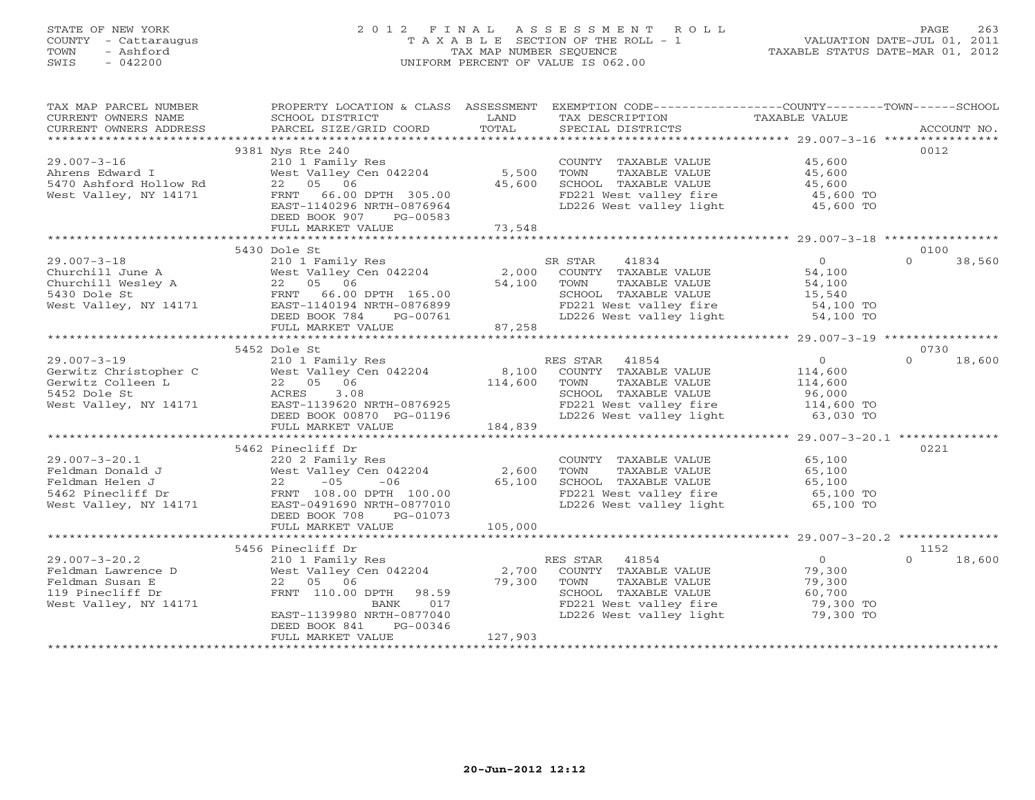# STATE OF NEW YORK 2 0 1 2 F I N A L A S S E S S M E N T R O L L PAGE 263 COUNTY - Cattaraugus T A X A B L E SECTION OF THE ROLL - 1 VALUATION DATE-JUL 01, 2011 TOWN - Ashford TAX MAP NUMBER SEQUENCE TAXABLE STATUS DATE-MAR 01, 2012 SWIS - 042200 UNIFORM PERCENT OF VALUE IS 062.00UNIFORM PERCENT OF VALUE IS 062.00

| TAX MAP PARCEL NUMBER<br>CURRENT OWNERS NAME                                                                                                                                                                      | SCHOOL DISTRICT                       | LAND    | PROPERTY LOCATION & CLASS ASSESSMENT EXEMPTION CODE---------------COUNTY-------TOWN------SCHOOL<br>TAX DESCRIPTION | TAXABLE VALUE      |                    |
|-------------------------------------------------------------------------------------------------------------------------------------------------------------------------------------------------------------------|---------------------------------------|---------|--------------------------------------------------------------------------------------------------------------------|--------------------|--------------------|
| CURRENT OWNERS ADDRESS                                                                                                                                                                                            | PARCEL SIZE/GRID COORD                | TOTAL   | SPECIAL DISTRICTS                                                                                                  |                    | ACCOUNT NO.        |
|                                                                                                                                                                                                                   | 9381 Nys Rte 240                      |         |                                                                                                                    |                    | 0012               |
| $29.007 - 3 - 16$                                                                                                                                                                                                 | 210 1 Family Res                      |         | COUNTY TAXABLE VALUE 45,600                                                                                        |                    |                    |
|                                                                                                                                                                                                                   | West Valley Cen 042204                | 5,500   | TOWN<br>TAXABLE VALUE                                                                                              |                    |                    |
| Ahrens Edward I<br>5470 Ashford Hollow Rd<br>West Will                                                                                                                                                            | 22 05 06                              | 45,600  | SCHOOL TAXABLE VALUE                                                                                               | 45,600<br>45,600   |                    |
| West Valley, NY 14171                                                                                                                                                                                             | FRNT 66.00 DPTH 305.00                |         |                                                                                                                    |                    |                    |
|                                                                                                                                                                                                                   | EAST-1140296 NRTH-0876964             |         | FD221 West valley fire 45,600 TO<br>LD226 West valley light 45,600 TO                                              |                    |                    |
|                                                                                                                                                                                                                   | DEED BOOK 907<br>PG-00583             |         |                                                                                                                    |                    |                    |
|                                                                                                                                                                                                                   | FULL MARKET VALUE                     | 73,548  |                                                                                                                    |                    |                    |
|                                                                                                                                                                                                                   |                                       |         |                                                                                                                    |                    |                    |
|                                                                                                                                                                                                                   |                                       |         |                                                                                                                    |                    | 0100               |
|                                                                                                                                                                                                                   |                                       |         |                                                                                                                    | $\overline{0}$     | $\cap$<br>38,560   |
|                                                                                                                                                                                                                   |                                       |         |                                                                                                                    | 54,100             |                    |
|                                                                                                                                                                                                                   |                                       |         |                                                                                                                    | 54,100<br>15,540   |                    |
|                                                                                                                                                                                                                   |                                       |         |                                                                                                                    |                    |                    |
|                                                                                                                                                                                                                   |                                       |         | FD221 West valley fire 54,100 TO<br>LD226 West valley light 54,100 TO                                              |                    |                    |
|                                                                                                                                                                                                                   |                                       |         |                                                                                                                    |                    |                    |
|                                                                                                                                                                                                                   |                                       |         |                                                                                                                    |                    |                    |
|                                                                                                                                                                                                                   | 5452 Dole St                          |         |                                                                                                                    |                    | 0730               |
|                                                                                                                                                                                                                   |                                       |         | RES STAR 41854                                                                                                     | $\overline{0}$     | $\Omega$<br>18,600 |
|                                                                                                                                                                                                                   |                                       |         | COUNTY TAXABLE VALUE                                                                                               | 114,600<br>114,600 |                    |
|                                                                                                                                                                                                                   |                                       |         | TOWN<br>TAXABLE VALUE                                                                                              |                    |                    |
|                                                                                                                                                                                                                   |                                       |         | SCHOOL TAXABLE VALUE                                                                                               | 96,000             |                    |
|                                                                                                                                                                                                                   |                                       |         | SCHOOL TAXABLE VALUE<br>FD221 West valley fire that in 114,600 TO                                                  |                    |                    |
| 29.007-3-19<br>Gerwitz Christopher C West Valley Cen 042204 8,100<br>Gerwitz Colleen L 22 05 06 114,600<br>5452 Dole St ACRES 3.08<br>West Valley, NY 14171 EAST-1139620 NRTH-0876925<br>DEED BOOK 00870 PG-01196 |                                       |         | LD226 West valley light 63,030 TO                                                                                  |                    |                    |
|                                                                                                                                                                                                                   | FULL MARKET VALUE                     | 184,839 |                                                                                                                    |                    |                    |
|                                                                                                                                                                                                                   | 5462 Pinecliff Dr                     |         |                                                                                                                    |                    | 0221               |
| $29.007 - 3 - 20.1$                                                                                                                                                                                               | 220 2 Family Res                      |         | COUNTY TAXABLE VALUE                                                                                               | 65,100             |                    |
|                                                                                                                                                                                                                   |                                       |         | TOWN<br>TAXABLE VALUE                                                                                              | 65,100             |                    |
|                                                                                                                                                                                                                   |                                       |         |                                                                                                                    | 65,100             |                    |
|                                                                                                                                                                                                                   |                                       |         | SCHOOL TAXABLE VALUE<br>FD221 West valley fire                                                                     | 65,100 TO          |                    |
|                                                                                                                                                                                                                   |                                       |         | LD226 West valley light 65,100 TO                                                                                  |                    |                    |
|                                                                                                                                                                                                                   | DEED BOOK 708<br>PG-01073             |         |                                                                                                                    |                    |                    |
|                                                                                                                                                                                                                   | FULL MARKET VALUE                     | 105,000 |                                                                                                                    |                    |                    |
|                                                                                                                                                                                                                   |                                       |         |                                                                                                                    |                    |                    |
|                                                                                                                                                                                                                   | 5456 Pinecliff Dr                     |         |                                                                                                                    |                    | 1152               |
| $29.007 - 3 - 20.2$                                                                                                                                                                                               | 210 1 Family Res                      |         | RES STAR 41854                                                                                                     | $\overline{0}$     | 18,600<br>$\cap$   |
| Feldman Lawrence D<br>Feldman Susan E                                                                                                                                                                             | West Valley Cen 042204                |         | 2,700 COUNTY TAXABLE VALUE                                                                                         | 79,300<br>79,300   |                    |
| 119 Pinecliff Dr                                                                                                                                                                                                  | 22 05 06<br>FRNT 110.00 DPTH<br>98.59 | 79,300  | TAXABLE VALUE<br>TOWN                                                                                              | 60,700             |                    |
| West Valley, NY 14171                                                                                                                                                                                             | 017<br>BANK                           |         | SCHOOL TAXABLE VALUE<br>FD221 West valley fire                                                                     | 79,300 TO          |                    |
|                                                                                                                                                                                                                   | EAST-1139980 NRTH-0877040             |         | LD226 West valley light                                                                                            | 79,300 TO          |                    |
|                                                                                                                                                                                                                   | DEED BOOK 841<br>PG-00346             |         |                                                                                                                    |                    |                    |
|                                                                                                                                                                                                                   | FULL MARKET VALUE                     | 127,903 |                                                                                                                    |                    |                    |
|                                                                                                                                                                                                                   |                                       |         |                                                                                                                    |                    |                    |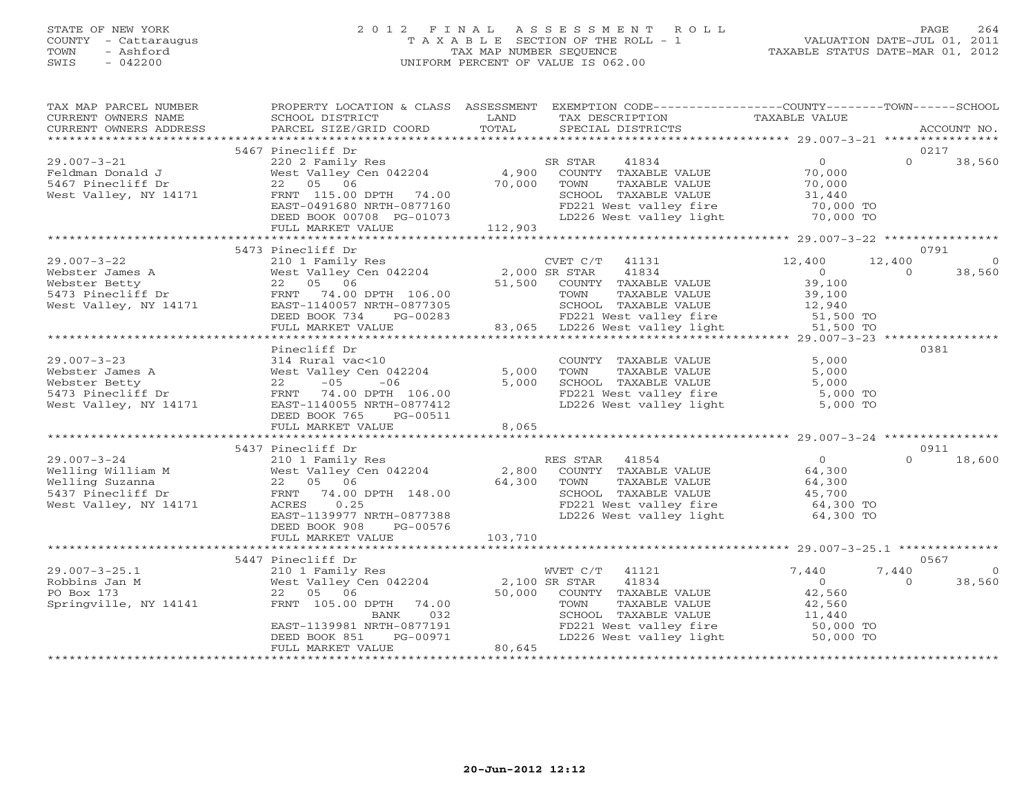### STATE OF NEW YORK 2 0 1 2 F I N A L A S S E S S M E N T R O L L PAGE 264 COUNTY - Cattaraugus T A X A B L E SECTION OF THE ROLL - 1 VALUATION DATE-JUL 01, 2011 TOWN - Ashford TAX MAP NUMBER SEQUENCE TAXABLE STATUS DATE-MAR 01, 2012 SWIS - 042200 UNIFORM PERCENT OF VALUE IS 062.00UNIFORM PERCENT OF VALUE IS 062.00

| TAX MAP PARCEL NUMBER<br>CURRENT OWNERS NAME<br>CURRENT OWNERS ADDRESS                                                                                                                                                         | SCHOOL DISTRICT<br>PARCEL SIZE/GRID COORD           | LAND<br>TOTAL | PROPERTY LOCATION & CLASS ASSESSMENT EXEMPTION CODE---------------COUNTY-------TOWN------SCHOOL<br>TAX DESCRIPTION                                                                                               | TAXABLE VALUE                          |                | ACCOUNT NO.    |
|--------------------------------------------------------------------------------------------------------------------------------------------------------------------------------------------------------------------------------|-----------------------------------------------------|---------------|------------------------------------------------------------------------------------------------------------------------------------------------------------------------------------------------------------------|----------------------------------------|----------------|----------------|
|                                                                                                                                                                                                                                |                                                     |               | SPECIAL DISTRICTS                                                                                                                                                                                                |                                        |                |                |
|                                                                                                                                                                                                                                | 5467 Pinecliff Dr                                   |               |                                                                                                                                                                                                                  |                                        | 0217           |                |
| $29.007 - 3 - 21$                                                                                                                                                                                                              |                                                     |               |                                                                                                                                                                                                                  | $\overline{0}$                         | $\Omega$       | 38,560         |
| Feldman Donald J                                                                                                                                                                                                               |                                                     |               |                                                                                                                                                                                                                  |                                        |                |                |
| 5467 Pinecliff Dr                                                                                                                                                                                                              | 22 05 06                                            | 70,000 TOWN   | TAXABLE VALUE                                                                                                                                                                                                    |                                        |                |                |
| West Valley, NY 14171                                                                                                                                                                                                          |                                                     |               |                                                                                                                                                                                                                  | 0<br>70,000<br>70,000<br>31,440        |                |                |
|                                                                                                                                                                                                                                |                                                     |               |                                                                                                                                                                                                                  |                                        |                |                |
|                                                                                                                                                                                                                                |                                                     |               | 1171 FRNT 115.00 DPTH 74.00 SCHOOL TAXABLE VALUE 31,440<br>EAST-0491680 NRTH-0877160 FD221 West valley fire 70,000 TO<br>DEED BOOK 00708 PG-01073 112,903 FULL MARKET VALUE 112,903<br>FULL MARKET VALUE 112,903 |                                        |                |                |
|                                                                                                                                                                                                                                |                                                     |               |                                                                                                                                                                                                                  |                                        |                |                |
|                                                                                                                                                                                                                                |                                                     |               |                                                                                                                                                                                                                  |                                        |                |                |
|                                                                                                                                                                                                                                | 5473 Pinecliff Dr                                   |               |                                                                                                                                                                                                                  |                                        |                | 0791           |
| $29.007 - 3 - 22$                                                                                                                                                                                                              | 210 1 Family Res                                    |               | $CVET C/T$ 41131                                                                                                                                                                                                 | 12,400                                 | 12,400         | $\overline{0}$ |
|                                                                                                                                                                                                                                |                                                     |               |                                                                                                                                                                                                                  |                                        | $\Omega$       | 38,560         |
|                                                                                                                                                                                                                                |                                                     |               |                                                                                                                                                                                                                  |                                        |                |                |
|                                                                                                                                                                                                                                |                                                     |               |                                                                                                                                                                                                                  |                                        |                |                |
|                                                                                                                                                                                                                                |                                                     |               |                                                                                                                                                                                                                  |                                        |                |                |
|                                                                                                                                                                                                                                |                                                     |               |                                                                                                                                                                                                                  |                                        |                |                |
| VEI U/I 41131 VORET JULI FAMILY RESEAU ON SERVING TRANSPORT TRANSPORT OF SAMPLE VALUE VALUE OF SAMPLE VALUE OF SAMPLE VALUE OF SAMPLE VALUE OF SAMPLE VALUE OF SAMPLE VALUE OF SAMPLE VALUE OF SAMPLE VALUE OF TRANSPORT TRANS |                                                     |               |                                                                                                                                                                                                                  |                                        |                |                |
|                                                                                                                                                                                                                                |                                                     |               |                                                                                                                                                                                                                  |                                        |                |                |
|                                                                                                                                                                                                                                | Pinecliff Dr                                        |               |                                                                                                                                                                                                                  |                                        | 0381           |                |
| $29.007 - 3 - 23$                                                                                                                                                                                                              | 314 Rural vac<10                                    |               | COUNTY TAXABLE VALUE                                                                                                                                                                                             | 5,000                                  |                |                |
|                                                                                                                                                                                                                                | West Valley Cen 042204 5,000                        |               | TOWN<br>TAXABLE VALUE                                                                                                                                                                                            | 5,000                                  |                |                |
| Webster James A<br>Webster Betty<br>5473 Pinecliff Dr<br>West Valley Cen 042204<br>5473 Pinecliff Dr<br>West Valley, NY 14171<br>EAST-1140055 NRTH-0877412                                                                     |                                                     | 5,000         | SCHOOL TAXABLE VALUE                                                                                                                                                                                             | 5,000                                  |                |                |
|                                                                                                                                                                                                                                |                                                     |               | FD221 West valley fire 5,000 TO<br>LD226 West valley light 5,000 TO                                                                                                                                              |                                        |                |                |
|                                                                                                                                                                                                                                |                                                     |               |                                                                                                                                                                                                                  |                                        |                |                |
|                                                                                                                                                                                                                                | DEED BOOK 765<br>PG-00511                           |               |                                                                                                                                                                                                                  |                                        |                |                |
|                                                                                                                                                                                                                                | FULL MARKET VALUE                                   | 8,065         |                                                                                                                                                                                                                  |                                        |                |                |
|                                                                                                                                                                                                                                |                                                     |               |                                                                                                                                                                                                                  |                                        |                |                |
|                                                                                                                                                                                                                                | 5437 Pinecliff Dr                                   |               |                                                                                                                                                                                                                  | $\overline{0}$                         | 0911<br>$\cap$ |                |
| $29.007 - 3 - 24$                                                                                                                                                                                                              | 210 1 Family Res RE<br>West Valley Cen 042204 2,800 |               | RES STAR 41854                                                                                                                                                                                                   |                                        |                | 18,600         |
|                                                                                                                                                                                                                                | 22 05 06                                            | 64,300        | COUNTY TAXABLE VALUE                                                                                                                                                                                             | 64,300                                 |                |                |
| 29.007-3-24<br>Welling William M<br>Welling Suzanna<br>5437 Pinecliff Dr<br>William Marting                                                                                                                                    | FRNT 74.00 DPTH 148.00                              |               | TAXABLE VALUE<br>TOWN<br>SCHOOL TAXABLE VALUE                                                                                                                                                                    | 64,300                                 |                |                |
| West Valley, NY 14171                                                                                                                                                                                                          | ACRES 0.25                                          |               |                                                                                                                                                                                                                  |                                        |                |                |
|                                                                                                                                                                                                                                | EAST-1139977 NRTH-0877388                           |               | FD221 West valley fire 64,300 TO<br>LD226 West valley light 64,300 TO                                                                                                                                            | $45,700$<br>$64,300$ TO                |                |                |
|                                                                                                                                                                                                                                | DEED BOOK 908<br>PG-00576                           |               |                                                                                                                                                                                                                  |                                        |                |                |
|                                                                                                                                                                                                                                | FULL MARKET VALUE                                   | 103,710       |                                                                                                                                                                                                                  |                                        |                |                |
|                                                                                                                                                                                                                                |                                                     |               |                                                                                                                                                                                                                  |                                        |                |                |
|                                                                                                                                                                                                                                | 5447 Pinecliff Dr                                   |               |                                                                                                                                                                                                                  |                                        | 0567           |                |
| $29.007 - 3 - 25.1$                                                                                                                                                                                                            |                                                     |               |                                                                                                                                                                                                                  | 7,440                                  | 7,440          | $\Omega$       |
| Robbins Jan M                                                                                                                                                                                                                  |                                                     |               |                                                                                                                                                                                                                  |                                        | $\Omega$       | 38,560         |
| PO Box 173                                                                                                                                                                                                                     |                                                     |               |                                                                                                                                                                                                                  | $\begin{array}{c}0\\42,560\end{array}$ |                |                |
| Springville, NY 14141                                                                                                                                                                                                          |                                                     |               | PINCITILITY<br>2001 Family Res<br>WET C/T 41121<br>WEST C/T 41121<br>WEST C/T 41121<br>22 05 06 50,000 COUNTY TAXABLE VALUE<br>FRNT 105.00 DPTH 74.00 50,000 TOWN TAXABLE VALUE                                  | 42,560                                 |                |                |
|                                                                                                                                                                                                                                | 032<br>BANK                                         |               |                                                                                                                                                                                                                  |                                        |                |                |
|                                                                                                                                                                                                                                | EAST-1139981 NRTH-0877191                           |               |                                                                                                                                                                                                                  |                                        |                |                |
|                                                                                                                                                                                                                                | PG-00971<br>DEED BOOK 851                           |               | CHOOL TAXABLE VALUE<br>SCHOOL TAXABLE VALUE<br>FD221 West valley fire $11,440$<br>LD226 West valley light 50,000 TO                                                                                              |                                        |                |                |
|                                                                                                                                                                                                                                | FULL MARKET VALUE                                   | 80,645        |                                                                                                                                                                                                                  |                                        |                |                |
|                                                                                                                                                                                                                                |                                                     |               |                                                                                                                                                                                                                  |                                        |                |                |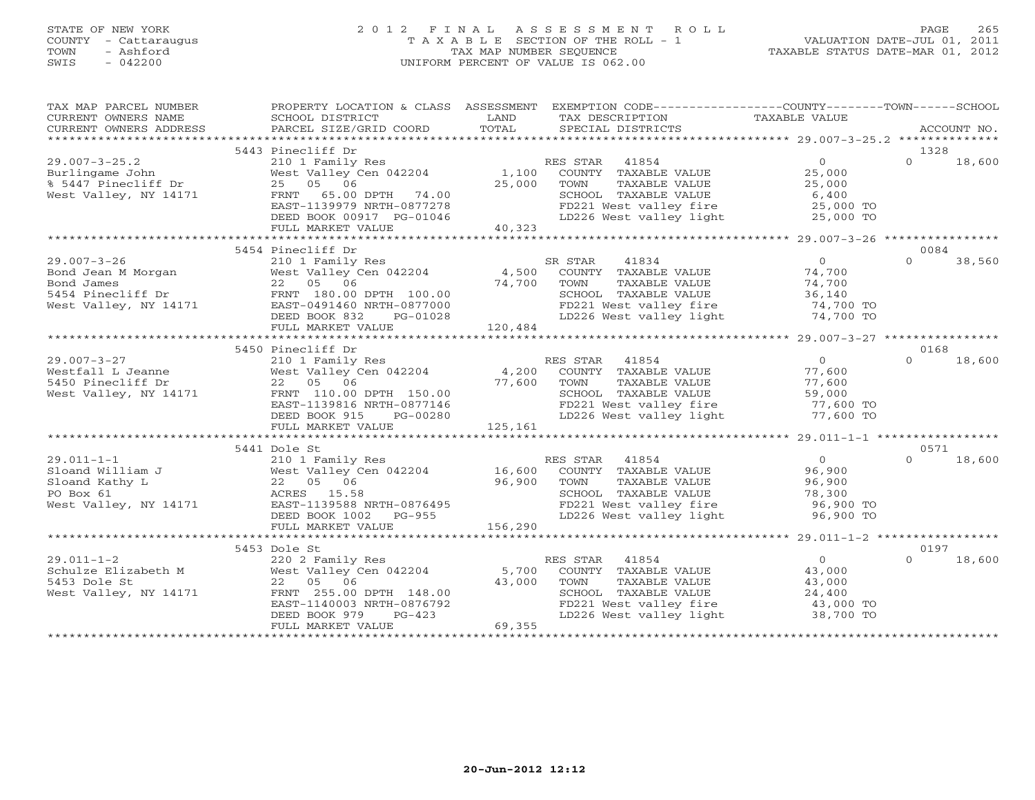## STATE OF NEW YORK 2 0 1 2 F I N A L A S S E S S M E N T R O L L PAGE 265 COUNTY - Cattaraugus T A X A B L E SECTION OF THE ROLL - 1 VALUATION DATE-JUL 01, 2011 TOWN - Ashford TAX MAP NUMBER SEQUENCE TAXABLE STATUS DATE-MAR 01, 2012 SWIS - 042200 UNIFORM PERCENT OF VALUE IS 062.00UNIFORM PERCENT OF VALUE IS 062.00

| TAXABLE VALUE<br>CURRENT OWNERS NAME<br>SCHOOL DISTRICT<br>LAND<br>TAX DESCRIPTION<br>TOTAL<br>CURRENT OWNERS ADDRESS<br>PARCEL SIZE/GRID COORD<br>SPECIAL DISTRICTS<br>ACCOUNT NO.<br>5443 Pinecliff Dr<br>1328<br>$\overline{0}$<br>$\cap$<br>18,600<br>$29.007 - 3 - 25.2$<br>210 1 Family Res<br>RES STAR 41854<br>West Valley Cen 042204 1,100<br>25,000<br>COUNTY TAXABLE VALUE<br>Burlingame John<br>% 5447 Pinecliff Dr<br>West Valley, NY 14171<br>25 05 06<br>25,000<br>TOWN<br>TAXABLE VALUE<br>25,000<br>SCHOOL TAXABLE VALUE<br>FRNT 65.00 DPTH 74.00<br>6,400<br>EAST-1139979 NRTH-0877278<br>FD221 West valley fire<br>25,000 TO<br>LD226 West valley light<br>DEED BOOK 00917 PG-01046<br>25,000 TO<br>40,323<br>FULL MARKET VALUE |
|----------------------------------------------------------------------------------------------------------------------------------------------------------------------------------------------------------------------------------------------------------------------------------------------------------------------------------------------------------------------------------------------------------------------------------------------------------------------------------------------------------------------------------------------------------------------------------------------------------------------------------------------------------------------------------------------------------------------------------------------------|
|                                                                                                                                                                                                                                                                                                                                                                                                                                                                                                                                                                                                                                                                                                                                                    |
|                                                                                                                                                                                                                                                                                                                                                                                                                                                                                                                                                                                                                                                                                                                                                    |
|                                                                                                                                                                                                                                                                                                                                                                                                                                                                                                                                                                                                                                                                                                                                                    |
|                                                                                                                                                                                                                                                                                                                                                                                                                                                                                                                                                                                                                                                                                                                                                    |
|                                                                                                                                                                                                                                                                                                                                                                                                                                                                                                                                                                                                                                                                                                                                                    |
|                                                                                                                                                                                                                                                                                                                                                                                                                                                                                                                                                                                                                                                                                                                                                    |
|                                                                                                                                                                                                                                                                                                                                                                                                                                                                                                                                                                                                                                                                                                                                                    |
|                                                                                                                                                                                                                                                                                                                                                                                                                                                                                                                                                                                                                                                                                                                                                    |
|                                                                                                                                                                                                                                                                                                                                                                                                                                                                                                                                                                                                                                                                                                                                                    |
|                                                                                                                                                                                                                                                                                                                                                                                                                                                                                                                                                                                                                                                                                                                                                    |
|                                                                                                                                                                                                                                                                                                                                                                                                                                                                                                                                                                                                                                                                                                                                                    |
| 0084<br>5454 Pinecliff Dr                                                                                                                                                                                                                                                                                                                                                                                                                                                                                                                                                                                                                                                                                                                          |
| 210 1 Family Res<br>210 1 Family Res<br>West Valley Cen 042204 4,500 COUNTY TAXABLE VALUE<br>38,560<br>$29.007 - 3 - 26$<br>$\overline{0}$<br>$\Omega$                                                                                                                                                                                                                                                                                                                                                                                                                                                                                                                                                                                             |
| Bond Jean M Morgan<br>74,700<br>74.700                                                                                                                                                                                                                                                                                                                                                                                                                                                                                                                                                                                                                                                                                                             |
| 22 05 06<br>74,700<br>Bond James<br>TOWN<br>TAXABLE VALUE<br>74,700                                                                                                                                                                                                                                                                                                                                                                                                                                                                                                                                                                                                                                                                                |
| SCHOOL TAXABLE VALUE<br>36,140                                                                                                                                                                                                                                                                                                                                                                                                                                                                                                                                                                                                                                                                                                                     |
| 5454 Pinecliff Dr<br>West Valley, NY 14171 EAST-0491460 NRTH-0877000<br>$74,700$ TO<br>FD221 West valley fire                                                                                                                                                                                                                                                                                                                                                                                                                                                                                                                                                                                                                                      |
| LD226 West valley light 74,700 TO<br>DEED BOOK 832<br>PG-01028                                                                                                                                                                                                                                                                                                                                                                                                                                                                                                                                                                                                                                                                                     |
| FULL MARKET VALUE<br>120,484                                                                                                                                                                                                                                                                                                                                                                                                                                                                                                                                                                                                                                                                                                                       |
|                                                                                                                                                                                                                                                                                                                                                                                                                                                                                                                                                                                                                                                                                                                                                    |
| 0168<br>5450 Pinecliff Dr                                                                                                                                                                                                                                                                                                                                                                                                                                                                                                                                                                                                                                                                                                                          |
| $\overline{0}$<br>$29.007 - 3 - 27$<br>210 1 Family Res<br>West Valley Cen 042204 (at 200 COUNTY TAXABLE VALUE<br>22 05 06 (27,600 TOWN TAXABLE VALUE<br>$\Omega$<br>18,600                                                                                                                                                                                                                                                                                                                                                                                                                                                                                                                                                                        |
| Westfall L Jeanne<br>5450 Pinecliff Dr<br>77,600<br>77,600                                                                                                                                                                                                                                                                                                                                                                                                                                                                                                                                                                                                                                                                                         |
| 22 05 06<br>TAXABLE VALUE<br>77,600<br>TOWN                                                                                                                                                                                                                                                                                                                                                                                                                                                                                                                                                                                                                                                                                                        |
| West Valley, NY 14171<br>FRNT 110.00 DPTH 150.00<br>SCHOOL TAXABLE VALUE<br>59,000<br>SCHOOL TAXABLE VALUE<br>FD221 West valley fire<br>77,600 TO<br>EAST-1139816 NRTH-0877146                                                                                                                                                                                                                                                                                                                                                                                                                                                                                                                                                                     |
| LD226 West valley light<br>DEED BOOK 915<br>PG-00280<br>77,600 TO                                                                                                                                                                                                                                                                                                                                                                                                                                                                                                                                                                                                                                                                                  |
| FULL MARKET VALUE<br>125,161                                                                                                                                                                                                                                                                                                                                                                                                                                                                                                                                                                                                                                                                                                                       |
|                                                                                                                                                                                                                                                                                                                                                                                                                                                                                                                                                                                                                                                                                                                                                    |
| 0571<br>210 1 Family Res<br>West Valley Cen 042204<br>22 05 06 06 96,900 TOWNTY TAXABLE VALUE<br>27 05 06 96,900 TOWN MAXABLE VALUE                                                                                                                                                                                                                                                                                                                                                                                                                                                                                                                                                                                                                |
| $29.011 - 1 - 1$<br>0<br>18,600                                                                                                                                                                                                                                                                                                                                                                                                                                                                                                                                                                                                                                                                                                                    |
| 96,900<br>Sloand William J                                                                                                                                                                                                                                                                                                                                                                                                                                                                                                                                                                                                                                                                                                                         |
| Sloand Kathy L<br>96,900                                                                                                                                                                                                                                                                                                                                                                                                                                                                                                                                                                                                                                                                                                                           |
| PO Box 61<br>ACRES 15.58<br>SCHOOL TAXABLE VALUE<br>78,300                                                                                                                                                                                                                                                                                                                                                                                                                                                                                                                                                                                                                                                                                         |
| west Valley, NY 14171<br>FD221 West valley fire<br>EAST-1139588 NRTH-0876495<br>96,900 TO                                                                                                                                                                                                                                                                                                                                                                                                                                                                                                                                                                                                                                                          |
| LD226 West valley light<br>DEED BOOK 1002 PG-955<br>96,900 TO                                                                                                                                                                                                                                                                                                                                                                                                                                                                                                                                                                                                                                                                                      |
| FULL MARKET VALUE<br>156,290                                                                                                                                                                                                                                                                                                                                                                                                                                                                                                                                                                                                                                                                                                                       |
|                                                                                                                                                                                                                                                                                                                                                                                                                                                                                                                                                                                                                                                                                                                                                    |
| 0197<br>5453 Dole St                                                                                                                                                                                                                                                                                                                                                                                                                                                                                                                                                                                                                                                                                                                               |
| $29.011 - 1 - 2$<br>$\overline{0}$<br>18,600<br>RES STAR 41854<br>$\Omega$                                                                                                                                                                                                                                                                                                                                                                                                                                                                                                                                                                                                                                                                         |
| 220 2 Family Res<br>West Valley Cen 042204 5,700<br>Schulze Elizabeth M<br>COUNTY TAXABLE VALUE<br>43,000                                                                                                                                                                                                                                                                                                                                                                                                                                                                                                                                                                                                                                          |
| 22 05 06<br>43,000<br>5453 Dole St<br>TOWN<br>TAXABLE VALUE<br>43,000                                                                                                                                                                                                                                                                                                                                                                                                                                                                                                                                                                                                                                                                              |
| SCHOOL TAXABLE VALUE<br>West Valley, NY 14171<br>24,400                                                                                                                                                                                                                                                                                                                                                                                                                                                                                                                                                                                                                                                                                            |
| FD221 West valley fire<br>43,000 TO                                                                                                                                                                                                                                                                                                                                                                                                                                                                                                                                                                                                                                                                                                                |
| 22 05 06<br>FRNT 255.00 DPTH 148.00<br>EAST-1140003 NRTH-0876792<br>PG-423<br>LD226 West valley light<br>38,700 TO                                                                                                                                                                                                                                                                                                                                                                                                                                                                                                                                                                                                                                 |
| 69,355<br>FULL MARKET VALUE                                                                                                                                                                                                                                                                                                                                                                                                                                                                                                                                                                                                                                                                                                                        |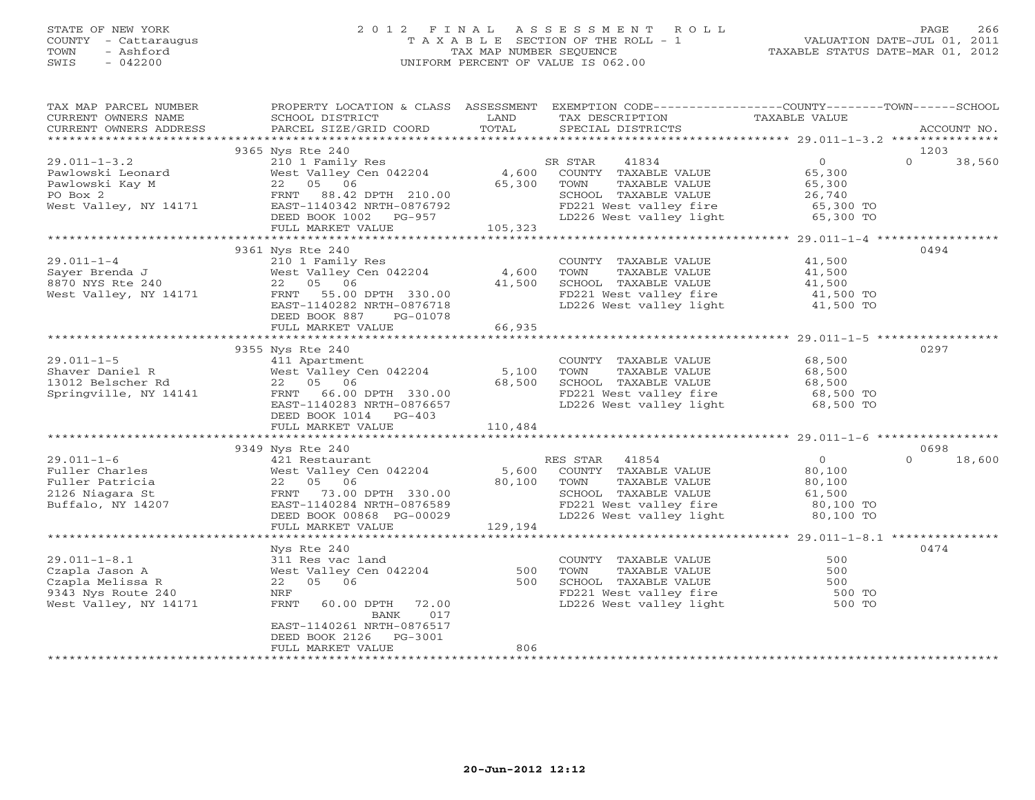### STATE OF NEW YORK 2 0 1 2 F I N A L A S S E S S M E N T R O L L PAGE 266 COUNTY - Cattaraugus T A X A B L E SECTION OF THE ROLL - 1 VALUATION DATE-JUL 01, 2011 TOWN - Ashford TAX MAP NUMBER SEQUENCE TAXABLE STATUS DATE-MAR 01, 2012 SWIS - 042200 UNIFORM PERCENT OF VALUE IS 062.00UNIFORM PERCENT OF VALUE IS 062.00

| TAX MAP PARCEL NUMBER                                         | PROPERTY LOCATION & CLASS ASSESSMENT                                                                     |          | EXEMPTION CODE----------------COUNTY-------TOWN------SCHOOL           |                  |          |             |
|---------------------------------------------------------------|----------------------------------------------------------------------------------------------------------|----------|-----------------------------------------------------------------------|------------------|----------|-------------|
| CURRENT OWNERS NAME                                           | SCHOOL DISTRICT                                                                                          | LAND     | TAX DESCRIPTION                                                       | TAXABLE VALUE    |          |             |
| CURRENT OWNERS ADDRESS                                        | PARCEL SIZE/GRID COORD                                                                                   | TOTAL    | SPECIAL DISTRICTS                                                     |                  |          | ACCOUNT NO. |
|                                                               |                                                                                                          |          |                                                                       |                  |          |             |
|                                                               | 9365 Nys Rte 240                                                                                         |          |                                                                       |                  | 1203     |             |
| $29.011 - 1 - 3.2$                                            | 210 1 Family Res<br>West Valley Cen 042204       4,600   COUNTY TAXABLE VALUE                            |          |                                                                       | $\overline{0}$   | $\Omega$ | 38,560      |
| Pawlowski Leonard                                             |                                                                                                          |          |                                                                       | 65,300           |          |             |
| Pawlowski Kay M                                               | 22 05 06                                                                                                 | 65,300   | TOWN<br>TAXABLE VALUE                                                 | 65,300           |          |             |
| PO Box 2                                                      | FRNT 88.42 DPTH 210.00                                                                                   |          | SCHOOL TAXABLE VALUE                                                  | 26,740           |          |             |
| West Valley, NY 14171                                         |                                                                                                          |          | FD221 West valley fire 65,300 TO                                      |                  |          |             |
|                                                               | EAST-1140342 NRTH-0876792<br>DEED BOOK 1002 PG-957<br>FIII MARKER 1002 PG-957                            |          | LD226 West valley light                                               | 65,300 TO        |          |             |
|                                                               | FULL MARKET VALUE                                                                                        | 105, 323 |                                                                       |                  |          |             |
|                                                               |                                                                                                          |          |                                                                       |                  |          |             |
|                                                               | 9361 Nys Rte 240                                                                                         |          |                                                                       |                  | 0494     |             |
| $29.011 - 1 - 4$                                              | 210 1 Family Res                                                                                         |          | COUNTY TAXABLE VALUE                                                  | 41,500           |          |             |
| Sayer Brenda J<br>8870 NYS Rte 240                            | West Valley Cen 042204                                                                                   | 4,600    | TAXABLE VALUE<br>TOWN                                                 | 41,500           |          |             |
|                                                               | 22 05 06                                                                                                 | 41,500   | SCHOOL TAXABLE VALUE                                                  | 41,500           |          |             |
| West Valley, NY 14171                                         | FRNT 55.00 DPTH 330.00                                                                                   |          | FD221 West valley fire<br>LD226 West valley light                     | 41,500 TO        |          |             |
|                                                               | EAST-1140282 NRTH-0876718                                                                                |          |                                                                       | 41,500 TO        |          |             |
|                                                               | DEED BOOK 887<br>PG-01078                                                                                |          |                                                                       |                  |          |             |
|                                                               | FULL MARKET VALUE                                                                                        | 66,935   |                                                                       |                  |          |             |
|                                                               |                                                                                                          |          |                                                                       |                  |          |             |
|                                                               | 9355 Nys Rte 240                                                                                         |          |                                                                       |                  | 0297     |             |
| $29.011 - 1 - 5$                                              | 411 Apartment                                                                                            |          | COUNTY TAXABLE VALUE                                                  | 68,500           |          |             |
|                                                               | West Valley Cen 042204 5,100                                                                             |          | TAXABLE VALUE<br>TOWN                                                 | 68,500<br>68,500 |          |             |
|                                                               | 22 05 06                                                                                                 | 68,500   | SCHOOL TAXABLE VALUE                                                  |                  |          |             |
| Shaver Daniel R<br>13012 Belscher Rd<br>Springville, NY 14141 | FRNT 66.00 DPTH 330.00                                                                                   |          | FD221 West valley fire                                                | 68,500 TO        |          |             |
|                                                               | EAST-1140283 NRTH-0876657                                                                                |          | LD226 West valley light                                               | 68,500 TO        |          |             |
|                                                               | DEED BOOK 1014 PG-403                                                                                    |          |                                                                       |                  |          |             |
|                                                               | FULL MARKET VALUE                                                                                        | 110,484  |                                                                       |                  |          |             |
|                                                               |                                                                                                          |          |                                                                       |                  |          |             |
|                                                               | 9349 Nys Rte 240                                                                                         |          |                                                                       |                  | 0698     |             |
| $29.011 - 1 - 6$                                              | 421 Restaurant                                                                                           |          | RES STAR 41854                                                        | $\overline{0}$   | $\Omega$ | 18,600      |
| Fuller Charles                                                | West Valley Cen 042204                                                                                   | 5,600    | COUNTY TAXABLE VALUE                                                  | 80,100           |          |             |
| Fuller Patricia                                               | 22 05 06                                                                                                 | 80,100   | TAXABLE VALUE<br>TOWN                                                 | 80,100           |          |             |
| 2126 Niagara St                                               | FRNT                                                                                                     |          | SCHOOL TAXABLE VALUE                                                  | 61,500           |          |             |
| Buffalo, NY 14207                                             | EAST-1140284 NRTH-0876589                                                                                |          | FD221 West valley fire 80,100 TO<br>LD226 West valley light 80,100 TO |                  |          |             |
|                                                               | 05 Ub<br>73.00 DPTH 330.00<br>-1140284 NRTH-0876589<br>- 1155 00060 PG-00029<br>DEED BOOK 00868 PG-00029 |          |                                                                       |                  |          |             |
|                                                               | FULL MARKET VALUE                                                                                        | 129,194  |                                                                       |                  |          |             |
|                                                               |                                                                                                          |          |                                                                       |                  |          |             |
|                                                               | Nys Rte 240                                                                                              |          |                                                                       |                  | 0474     |             |
| $29.011 - 1 - 8.1$                                            | 311 Res vac land                                                                                         |          | COUNTY TAXABLE VALUE                                                  | 500              |          |             |
| Czapla Jason A                                                | West Valley Cen 042204                                                                                   | 500      | TOWN<br>TAXABLE VALUE                                                 | 500              |          |             |
| Czapla Melissa R                                              | 22 05 06                                                                                                 | 500      | SCHOOL TAXABLE VALUE                                                  | 500              |          |             |
| 9343 Nys Route 240                                            | NRF                                                                                                      |          | FD221 West valley fire 500 TO<br>LD226 West valley light 500 TO       |                  |          |             |
| West Valley, NY 14171                                         | FRNT<br>60.00 DPTH 72.00                                                                                 |          |                                                                       |                  |          |             |
|                                                               | BANK<br>017                                                                                              |          |                                                                       |                  |          |             |
|                                                               | EAST-1140261 NRTH-0876517                                                                                |          |                                                                       |                  |          |             |
|                                                               | DEED BOOK 2126 PG-3001                                                                                   |          |                                                                       |                  |          |             |
|                                                               | FULL MARKET VALUE                                                                                        | 806      |                                                                       |                  |          |             |
|                                                               |                                                                                                          |          |                                                                       |                  |          |             |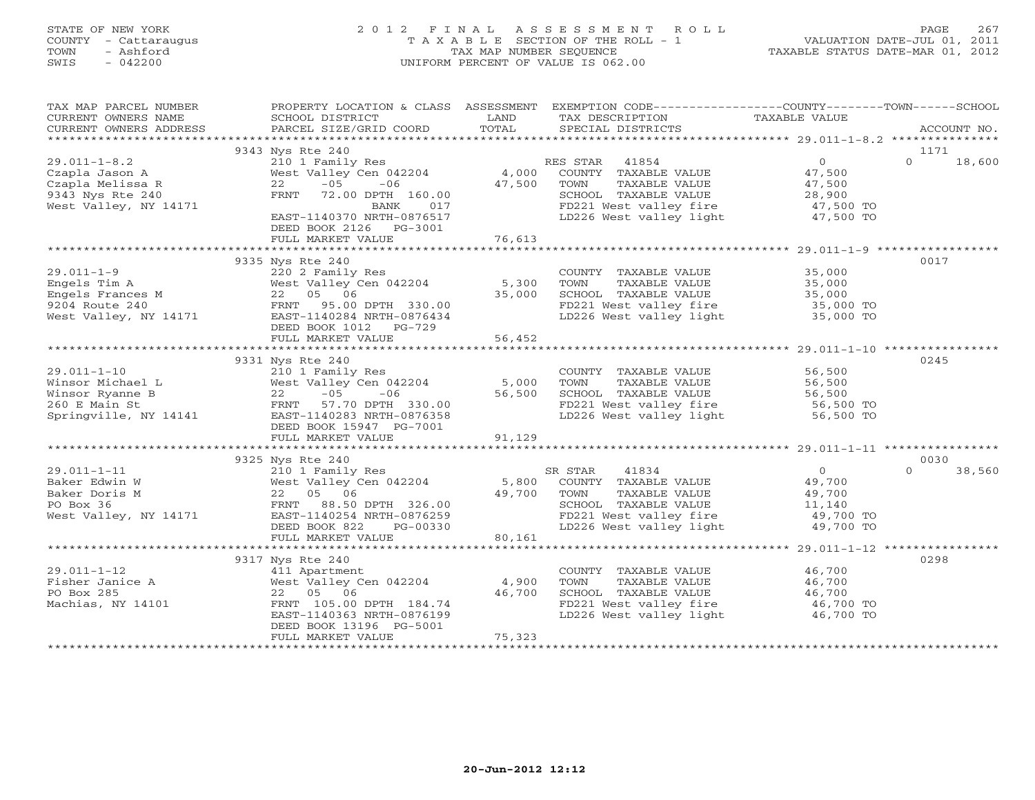# STATE OF NEW YORK 2 0 1 2 F I N A L A S S E S S M E N T R O L L PAGE 267 COUNTY - Cattaraugus T A X A B L E SECTION OF THE ROLL - 1 VALUATION DATE-JUL 01, 2011 TOWN - Ashford TAX MAP NUMBER SEQUENCE TAXABLE STATUS DATE-MAR 01, 2012 SWIS - 042200 UNIFORM PERCENT OF VALUE IS 062.00UNIFORM PERCENT OF VALUE IS 062.00

| TAX MAP PARCEL NUMBER<br>CURRENT OWNERS NAME                                                                                                                            | PROPERTY LOCATION & CLASS ASSESSMENT EXEMPTION CODE---------------COUNTY-------TOWN------SCHOOL<br>SCHOOL DISTRICT                                                                                                   | LAND                    | TAX DESCRIPTION                                                                                                                                                                   | TAXABLE VALUE                                                                         |                    |
|-------------------------------------------------------------------------------------------------------------------------------------------------------------------------|----------------------------------------------------------------------------------------------------------------------------------------------------------------------------------------------------------------------|-------------------------|-----------------------------------------------------------------------------------------------------------------------------------------------------------------------------------|---------------------------------------------------------------------------------------|--------------------|
| CURRENT OWNERS ADDRESS                                                                                                                                                  | PARCEL SIZE/GRID COORD                                                                                                                                                                                               | TOTAL                   | SPECIAL DISTRICTS                                                                                                                                                                 |                                                                                       | ACCOUNT NO.        |
|                                                                                                                                                                         | 9343 Nys Rte 240                                                                                                                                                                                                     |                         |                                                                                                                                                                                   |                                                                                       | 1171               |
| $29.011 - 1 - 8.2$<br>Czapla Jason A<br>Czapla Melissa R<br>9343 Nys Rte 240<br>West Valley, NY 14171                                                                   | 210 1 Family Res<br>West Valley Cen 042204<br>22<br>$-05$<br>$-06$<br>FRNT 72.00 DPTH 160.00<br>BANK<br>017<br>EAST-1140370 NRTH-0876517<br>DEED BOOK 2126 PG-3001                                                   |                         | RES STAR 41854<br>4,000 COUNTY TAXABLE VALUE<br>47,500 TOWN TAXABLE VALUE<br>SCHOOL TAXABLE VALUE 28,900<br>FD221 West valley fire 47,500 TO<br>LD226 West valley light 47,500 TO | 0<br>47,500<br>47,500                                                                 | $\Omega$<br>18,600 |
|                                                                                                                                                                         | FULL MARKET VALUE                                                                                                                                                                                                    | 76,613                  |                                                                                                                                                                                   |                                                                                       |                    |
| $29.011 - 1 - 9$<br>29.011-1-9<br>Engels Tim A<br>Engels Frances M<br>9204 Route 240<br>West Valley, NY 14171<br>EAST-1140284 NRTH-0876434<br>EAST-1140284 NRTH-0876434 | 9335 Nys Rte 240<br>220 2 Family Res<br>West Valley Cen 042204 5,300<br>22 05 06 35.000<br>DEED BOOK 1012 PG-729<br>FULL MARKET VALUE                                                                                | 35,000<br>56,452        | COUNTY TAXABLE VALUE<br>TAXABLE VALUE<br>TOWN<br>TOWN TAXABLE VALUE<br>SCHOOL TAXABLE VALUE 35,000<br>FD221 West valley fire 35,000 TO<br>LD226 West valley light 35,000 TO       | 35,000<br>35,000                                                                      | 0017               |
|                                                                                                                                                                         |                                                                                                                                                                                                                      |                         |                                                                                                                                                                                   |                                                                                       |                    |
|                                                                                                                                                                         | 9331 Nys Rte 240<br>West Valley Cen 042204 5,000<br>$-06$                                                                                                                                                            | 56,500                  | TAXABLE VALUE 56,500<br>TAXABLE VALUE 56,500<br>COUNTY TAXABLE VALUE<br>TOWN<br>SCHOOL TAXABLE VALUE<br>FD221 West valley fire<br>LD226 West valley light 56,500 TO               | 56,500<br>56,500 TO                                                                   | 0245               |
|                                                                                                                                                                         | FULL MARKET VALUE                                                                                                                                                                                                    | 91,129                  |                                                                                                                                                                                   |                                                                                       |                    |
|                                                                                                                                                                         | 9325 Nys Rte 240                                                                                                                                                                                                     |                         |                                                                                                                                                                                   |                                                                                       | 0030               |
| $29.011 - 1 - 11$<br>Baker Edwin W<br>Baker Doris M<br>PO Box 36<br>west Valley, NY 14171                                                                               | 210 1 Family Res<br>West Valley Cen 042204 5,800 COUNTY TAXABLE VALUE<br>22 05 06 49,700 TOWN TAXABLE VALUE<br>22 05 06<br>22 05 00<br>FRNT 88.50 DPTH 326.00<br>EAST-1140254 NRTH-0876259<br>DEED BOOK 822 PG-00330 | $49,700$ TOWN<br>80,161 | TAXABLE VALUE<br>SCHOOL TAXABLE VALUE<br>FD221 West valley fire 49,700 TO<br>LD226 West valley light                                                                              | $\begin{array}{c} 0 \\ 49,700 \end{array}$<br>49,700<br>49,700<br>11,140<br>49,700 TO | $\Omega$<br>38,560 |
|                                                                                                                                                                         | FULL MARKET VALUE                                                                                                                                                                                                    |                         |                                                                                                                                                                                   |                                                                                       |                    |
| $29.011 - 1 - 12$<br>29.011-1-12<br>Fisher Janice A<br>PO Box 285<br>Machias, NY 14101                                                                                  | 9317 Nys Rte 240<br>411 Apartment<br>West Valley Cen 042204 4,900<br>22 05 06<br>FRNT 105.00 DPTH 184.74<br>EAST-1140363 NRTH-0876199<br>DEED BOOK 13196 PG-5001<br>FULL MARKET VALUE                                | 46,700<br>75,323        | COUNTY TAXABLE VALUE<br>TOWN<br>TAXABLE VALUE<br>SCHOOL TAXABLE VALUE<br>SCHOOL TAXABLE VALUE<br>FD221 West valley fire<br>LD226 West valley light                                | 46,700<br>46,700<br>46,700<br>46,700 TO<br>46,700 TO                                  | 0298               |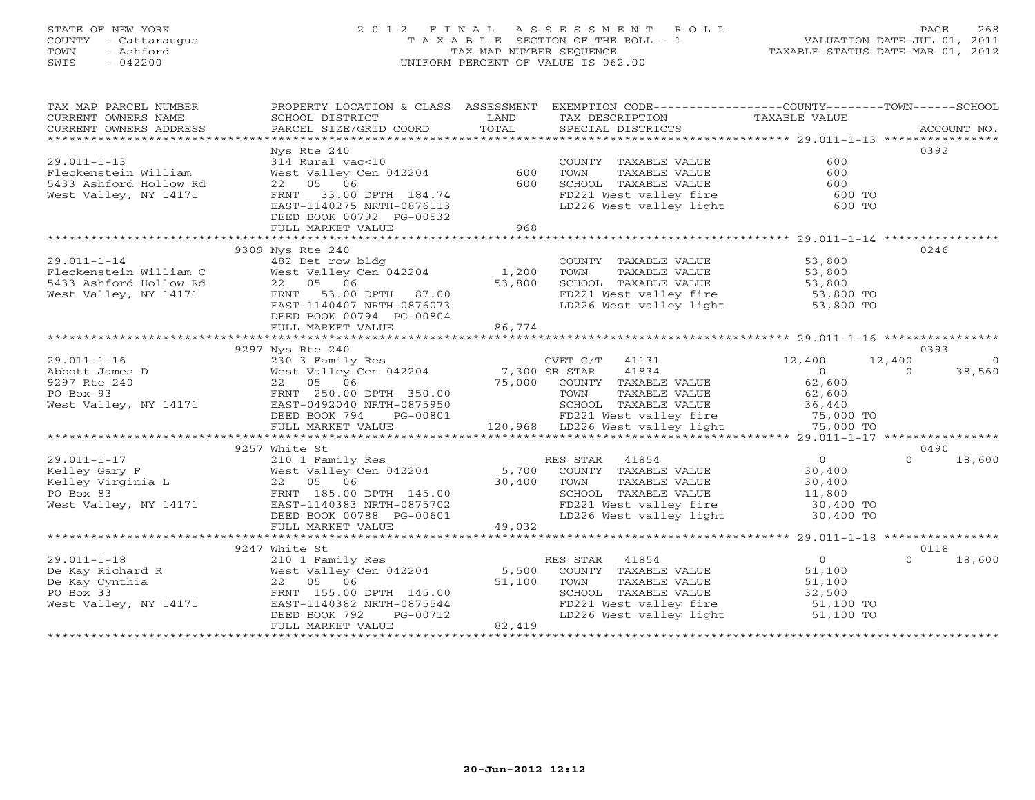# STATE OF NEW YORK 2 0 1 2 F I N A L A S S E S S M E N T R O L L PAGE 268 COUNTY - Cattaraugus T A X A B L E SECTION OF THE ROLL - 1 VALUATION DATE-JUL 01, 2011 TOWN - Ashford Communist Communist Communist Communist Communist Communist Communist Communist Communist Communist Communist Communist Communist Communist Communist Communist Communist Communist Communist Communist Communi SWIS - 042200 UNIFORM PERCENT OF VALUE IS 062.00

| TAX MAP PARCEL NUMBER                                                                                                                                                                                                                                                                                   |                                                                                                                                                                                              |        | PROPERTY LOCATION & CLASS ASSESSMENT EXEMPTION CODE----------------COUNTY-------TOWN------SCHOOL     |                     |                        |
|---------------------------------------------------------------------------------------------------------------------------------------------------------------------------------------------------------------------------------------------------------------------------------------------------------|----------------------------------------------------------------------------------------------------------------------------------------------------------------------------------------------|--------|------------------------------------------------------------------------------------------------------|---------------------|------------------------|
| CURRENT OWNERS NAME                                                                                                                                                                                                                                                                                     | SCHOOL DISTRICT                                                                                                                                                                              | LAND   | TAX DESCRIPTION                                                                                      | TAXABLE VALUE       |                        |
| CURRENT OWNERS ADDRESS                                                                                                                                                                                                                                                                                  | CUNNENI OWNERS ADDRESS FORCEL SIZE/GRID COORD FORM SEECIAL DISTRICTS FORM THE TERM ACCOUNT NO.<br>CURRENT OWNERS ADDRESS FORCEL SIZE/GRID COORD TOTAL SEECIAL DISTRICTS FORM THE ACCOUNT NO. |        |                                                                                                      |                     | ACCOUNT NO.            |
|                                                                                                                                                                                                                                                                                                         |                                                                                                                                                                                              |        |                                                                                                      |                     |                        |
|                                                                                                                                                                                                                                                                                                         | Nys Rte 240                                                                                                                                                                                  |        |                                                                                                      |                     | 0392                   |
| $29.011 - 1 - 13$                                                                                                                                                                                                                                                                                       | 314 Rural vac<10                                                                                                                                                                             | 600    | COUNTY TAXABLE VALUE                                                                                 | 600                 |                        |
| Fleckenstein William                                                                                                                                                                                                                                                                                    | West Valley Cen 042204                                                                                                                                                                       |        | TOWN<br>TAXABLE VALUE                                                                                | 600                 |                        |
| 5433 Ashford Hollow Rd                                                                                                                                                                                                                                                                                  | 22 05 06                                                                                                                                                                                     | 600    |                                                                                                      |                     |                        |
| West Valley, NY 14171                                                                                                                                                                                                                                                                                   | FRNT 33.00 DPTH 184.74                                                                                                                                                                       |        | CHOOL TAXABLE VALUE<br>FD221 West valley fire 600 TO<br>LD226 West valley light 600 TO               |                     |                        |
|                                                                                                                                                                                                                                                                                                         | EAST-1140275 NRTH-0876113                                                                                                                                                                    |        |                                                                                                      |                     |                        |
|                                                                                                                                                                                                                                                                                                         | DEED BOOK 00792 PG-00532                                                                                                                                                                     |        |                                                                                                      |                     |                        |
|                                                                                                                                                                                                                                                                                                         | FULL MARKET VALUE                                                                                                                                                                            | 968    |                                                                                                      |                     |                        |
|                                                                                                                                                                                                                                                                                                         |                                                                                                                                                                                              |        |                                                                                                      |                     |                        |
|                                                                                                                                                                                                                                                                                                         | 9309 Nys Rte 240                                                                                                                                                                             |        |                                                                                                      |                     | 0246                   |
| $29.011 - 1 - 14$                                                                                                                                                                                                                                                                                       | 482 Det row bldg                                                                                                                                                                             |        | COUNTY TAXABLE VALUE                                                                                 | 53,800              |                        |
| Fleckenstein William C                                                                                                                                                                                                                                                                                  | $\begin{array}{rcl}\n\text{West Valley Cen} & 042204 \\ \text{West Valley Cen} & 042204\n\end{array}\n\quad \text{1,200}$                                                                    |        | TAXABLE VALUE 53,800<br>TOWN                                                                         |                     |                        |
| 5433 Ashford Hollow Rd                                                                                                                                                                                                                                                                                  | 22 05 06<br>FRNT 53.00 DPTH 87.00<br>FRNT 1140407 NRTH-0876073                                                                                                                               |        | SCHOOL TAXABLE VALUE 53,800<br>FD221 West valley fire 53,800 TO<br>LD226 West valley light 53,800 TO |                     |                        |
| West Valley, NY 14171                                                                                                                                                                                                                                                                                   |                                                                                                                                                                                              |        |                                                                                                      |                     |                        |
|                                                                                                                                                                                                                                                                                                         |                                                                                                                                                                                              |        |                                                                                                      |                     |                        |
|                                                                                                                                                                                                                                                                                                         | DEED BOOK 00794 PG-00804                                                                                                                                                                     |        |                                                                                                      |                     |                        |
|                                                                                                                                                                                                                                                                                                         | FULL MARKET VALUE                                                                                                                                                                            | 86,774 |                                                                                                      |                     |                        |
|                                                                                                                                                                                                                                                                                                         |                                                                                                                                                                                              |        |                                                                                                      |                     |                        |
|                                                                                                                                                                                                                                                                                                         | 9297 Nys Rte 240                                                                                                                                                                             |        |                                                                                                      |                     | 0393                   |
| $29.011 - 1 - 16$                                                                                                                                                                                                                                                                                       | 230 3 Family Res                                                                                                                                                                             |        | $CVET C/T$ 41131                                                                                     | 12,400              | $\mathbf{0}$<br>12,400 |
|                                                                                                                                                                                                                                                                                                         |                                                                                                                                                                                              |        |                                                                                                      |                     | $\bigcap$<br>38,560    |
|                                                                                                                                                                                                                                                                                                         |                                                                                                                                                                                              |        |                                                                                                      |                     |                        |
|                                                                                                                                                                                                                                                                                                         |                                                                                                                                                                                              |        |                                                                                                      |                     |                        |
|                                                                                                                                                                                                                                                                                                         |                                                                                                                                                                                              |        |                                                                                                      |                     |                        |
|                                                                                                                                                                                                                                                                                                         |                                                                                                                                                                                              |        |                                                                                                      |                     |                        |
| $\begin{tabular}{lllllllllllllllllllll} \hline 29.011-1-16 & 2303 Family Res & 2403 & 2303 Family Res & 2403 & 2403 & 2403 & 2403 & 2403 & 2403 & 2403 & 2403 & 2403 & 2403 & 2403 & 2403 & 2403 & 2403 & 2403 & 2403 & 2403 & 2403 & 2403 & 2403 & 2403 & 2403 & 2403 & 2403 & 2403 & 2403 & 2403 & 2$ |                                                                                                                                                                                              |        |                                                                                                      |                     |                        |
|                                                                                                                                                                                                                                                                                                         |                                                                                                                                                                                              |        |                                                                                                      |                     |                        |
|                                                                                                                                                                                                                                                                                                         | 9257 White St                                                                                                                                                                                |        |                                                                                                      | $\overline{0}$      | 0490                   |
|                                                                                                                                                                                                                                                                                                         |                                                                                                                                                                                              |        |                                                                                                      |                     | 18,600<br>$\Omega$     |
|                                                                                                                                                                                                                                                                                                         |                                                                                                                                                                                              |        |                                                                                                      | 30,400              |                        |
|                                                                                                                                                                                                                                                                                                         |                                                                                                                                                                                              |        | TAXABLE VALUE                                                                                        | 30,400              |                        |
| 29.011-1-17<br>Example the Mest Valley Cen 042204<br>Example the Mest Valley Cen 042204<br>Example the Mest Valley Cen 042204<br>Example 145.00<br>FRNT 185.00 DPTH 145.00<br>West Valley, NY 14171<br>EXAMPLE VALUE<br>EXAMPLE VALUE<br>EXAMPLE                                                        |                                                                                                                                                                                              |        | SCHOOL TAXABLE VALUE 11,800<br>FD221 West valley fire 30,400 TO                                      |                     |                        |
|                                                                                                                                                                                                                                                                                                         |                                                                                                                                                                                              |        |                                                                                                      |                     |                        |
|                                                                                                                                                                                                                                                                                                         |                                                                                                                                                                                              |        | LD226 West valley light 30,400 TO                                                                    |                     |                        |
|                                                                                                                                                                                                                                                                                                         |                                                                                                                                                                                              |        |                                                                                                      |                     |                        |
|                                                                                                                                                                                                                                                                                                         | 9247 White St                                                                                                                                                                                |        |                                                                                                      |                     | 0118                   |
| $29.011 - 1 - 18$                                                                                                                                                                                                                                                                                       | 210 1 Family Res                                                                                                                                                                             |        | RES STAR 41854                                                                                       | $\overline{0}$      | $\Omega$<br>18,600     |
|                                                                                                                                                                                                                                                                                                         |                                                                                                                                                                                              |        |                                                                                                      |                     |                        |
| 29.011-1-18 210 1 Family Res<br>De Kay Richard R West Valley Cen 042204 5,500<br>De Kay Cynthia 22 05 06 51,100<br>PO Box 33 FRNT 155.00 DPTH 145.00<br>West Valley, NY 14171 EAFN 1670382 NRTH-0875544<br>REST-1140382 NRTH-0875544<br>R                                                               |                                                                                                                                                                                              |        | COUNTY TAXABLE VALUE<br>51,100 TOWN<br>TAXABLE VALUE                                                 | 51,100              |                        |
|                                                                                                                                                                                                                                                                                                         |                                                                                                                                                                                              |        | SCHOOL TAXABLE VALUE                                                                                 | 51,100              |                        |
|                                                                                                                                                                                                                                                                                                         |                                                                                                                                                                                              |        |                                                                                                      | 32,500<br>51,100 TO |                        |
|                                                                                                                                                                                                                                                                                                         | DEED BOOK 792<br>PG-00712                                                                                                                                                                    |        | FD221 West valley fire<br>LD226 West valley light                                                    | 51,100 TO           |                        |
|                                                                                                                                                                                                                                                                                                         | FULL MARKET VALUE                                                                                                                                                                            | 82,419 |                                                                                                      |                     |                        |
|                                                                                                                                                                                                                                                                                                         | ***********************************                                                                                                                                                          |        |                                                                                                      |                     |                        |
|                                                                                                                                                                                                                                                                                                         |                                                                                                                                                                                              |        |                                                                                                      |                     |                        |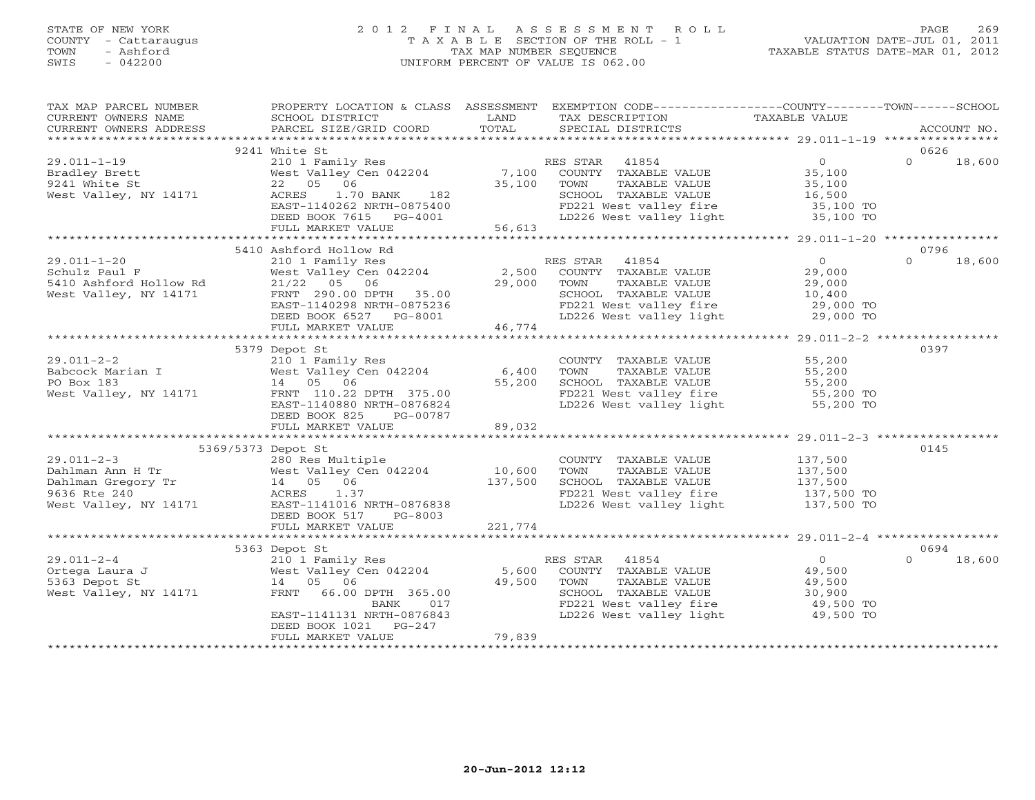### STATE OF NEW YORK 2 0 1 2 F I N A L A S S E S S M E N T R O L L PAGE 269 COUNTY - Cattaraugus T A X A B L E SECTION OF THE ROLL - 1 VALUATION DATE-JUL 01, 2011 TOWN - Ashford TAX MAP NUMBER SEQUENCE TAXABLE STATUS DATE-MAR 01, 2012 SWIS - 042200 UNIFORM PERCENT OF VALUE IS 062.00UNIFORM PERCENT OF VALUE IS 062.00

| TAX MAP PARCEL NUMBER<br>CURRENT OWNERS NAME<br>CURRENT OWNERS ADDRESS                                                                                                                                                                                                  | SCHOOL DISTRICT<br>PARCEL SIZE/GRID COORD                                                                                                                                                                                                | LAND<br>TOTAL             | PROPERTY LOCATION & CLASS ASSESSMENT EXEMPTION CODE---------------COUNTY-------TOWN------SCHOOL<br>TAX DESCRIPTION<br>SPECIAL DISTRICTS                          | TAXABLE VALUE                                                          | ACCOUNT NO.                |
|-------------------------------------------------------------------------------------------------------------------------------------------------------------------------------------------------------------------------------------------------------------------------|------------------------------------------------------------------------------------------------------------------------------------------------------------------------------------------------------------------------------------------|---------------------------|------------------------------------------------------------------------------------------------------------------------------------------------------------------|------------------------------------------------------------------------|----------------------------|
|                                                                                                                                                                                                                                                                         |                                                                                                                                                                                                                                          |                           |                                                                                                                                                                  |                                                                        |                            |
|                                                                                                                                                                                                                                                                         | 9241 White St                                                                                                                                                                                                                            |                           |                                                                                                                                                                  |                                                                        | 0626                       |
| $29.011 - 1 - 19$<br>Bradley Brett<br>9241 White St<br>West Valley, NY 14171                                                                                                                                                                                            | 210 1 Family Res<br>West Valley Cen 042204<br>06<br>22 05<br>ACRES<br>1.70 BANK 182<br>EAST-1140262 NRTH-0875400<br>DEED BOOK 7615 PG-4001                                                                                               | 35,100                    | RES STAR 41854<br>7,100 COUNTY TAXABLE VALUE<br>TAXABLE VALUE<br>TOWN<br>SCHOOL TAXABLE VALUE<br>FD221 West valley fire<br>LD226 West valley light               | $\overline{0}$<br>35,100<br>35,100<br>16,500<br>35,100 TO<br>35,100 TO | $\Omega$<br>18,600         |
|                                                                                                                                                                                                                                                                         | FULL MARKET VALUE                                                                                                                                                                                                                        | 56,613                    |                                                                                                                                                                  |                                                                        |                            |
|                                                                                                                                                                                                                                                                         |                                                                                                                                                                                                                                          |                           |                                                                                                                                                                  |                                                                        |                            |
| $29.011 - 1 - 20$<br>Schulz Paul F<br>5410 Ashford Hollow Rd<br>West Valley, NY 14171                                                                                                                                                                                   | 5410 Ashford Hollow Rd<br>210 1 Family Res<br>210 1 Family Res<br>West Valley Cen 042204<br>21/22 05 06<br>1.1.11 2.20.00 DFTH 35.00<br>EAST-1140298 NRTH-0875236<br>DEED BOOK 6527 PG-8001<br>FIILL MADFET *******<br>FULL MARKET VALUE | 2,500<br>29,000<br>46,774 | RES STAR 41854<br>COUNTY TAXABLE VALUE<br>TAXABLE VALUE<br>TOWN<br>SCHOOL TAXABLE VALUE<br>FD221 West valley fire 29,000 TO<br>LD226 West valley light 29,000 TO | $\overline{0}$<br>29,000<br>29,000<br>29,000<br>10,400                 | 0796<br>$\Omega$<br>18,600 |
|                                                                                                                                                                                                                                                                         |                                                                                                                                                                                                                                          |                           |                                                                                                                                                                  |                                                                        |                            |
| $29.011 - 2 - 2$<br>Babcock Marian I<br>PO Box 183<br>West Valley, NY 14171                                                                                                                                                                                             | 5379 Depot St<br>210 1 Family Res<br>West Valley Cen 042204<br>14 05 06<br>FRNT 110.22 DPTH 375.00<br>EAST-1140880 NRTH-0876824<br>DEED BOOK 825<br>PG-00787<br>FULL MARKET VALUE                                                        | 6,400<br>55,200<br>89,032 | COUNTY TAXABLE VALUE<br>TOWN<br>TAXABLE VALUE<br>SCHOOL TAXABLE VALUE<br>FD221 West valley fire<br>LD226 West valley light                                       | 55,200<br>55,200<br>ں∪∠ , ככ<br>55 , 200<br>55,200 TO<br>55,200 TO     | 0397                       |
|                                                                                                                                                                                                                                                                         |                                                                                                                                                                                                                                          |                           |                                                                                                                                                                  |                                                                        |                            |
| $29.011 - 2 - 3$<br>29.011-2-3<br>Dahlman Ann H Tr West Valley Cen 042204<br>Dahlman Gregory Tr 14 05 06<br>9636 Rte 240<br>West Valley, NY 14171<br>West Valley, NY 14171<br>EAST-1141016 NRTH-0876838<br>FREED 1.37<br>FREED 1.37<br>FREED 1.37<br>FREED 1.37<br>FREE | 5369/5373 Depot St<br>280 Res Multiple<br>DEED BOOK 517<br>PG-8003                                                                                                                                                                       |                           | COUNTY TAXABLE VALUE<br>TOWN<br>TAXABLE VALUE<br>SCHOOL TAXABLE VALUE<br>FD221 West valley fire<br>LD226 West valley light 137,500 TO                            | 137,500<br>137,500<br>137,500<br>137,500 TO                            | 0145                       |
|                                                                                                                                                                                                                                                                         | FULL MARKET VALUE                                                                                                                                                                                                                        | 221,774                   |                                                                                                                                                                  |                                                                        |                            |
|                                                                                                                                                                                                                                                                         |                                                                                                                                                                                                                                          |                           |                                                                                                                                                                  |                                                                        |                            |
| $29.011 - 2 - 4$<br>Ortega Laura J<br>5363 Depot St<br>West Valley, NY 14171                                                                                                                                                                                            | 5363 Depot St<br>210 1 Family Res<br>West Valley Cen 042204<br>14 05 06<br>FRNT 66.00 DPTH 365.00<br>BANK<br>017<br>EAST-1141131 NRTH-0876843<br>DEED BOOK 1021 PG-247<br>FULL MARKET VALUE                                              | 5,600<br>49,500<br>79,839 | RES STAR 41854<br>COUNTY TAXABLE VALUE<br>TAXABLE VALUE<br>TOWN<br>SCHOOL TAXABLE VALUE<br>FD221 West valley fire<br>LD226 West valley light 49,500 TO           | $\overline{0}$<br>49,500<br>49,500<br>30,900<br>$49,500$ TO            | 0694<br>18,600<br>$\Omega$ |
|                                                                                                                                                                                                                                                                         |                                                                                                                                                                                                                                          |                           |                                                                                                                                                                  |                                                                        |                            |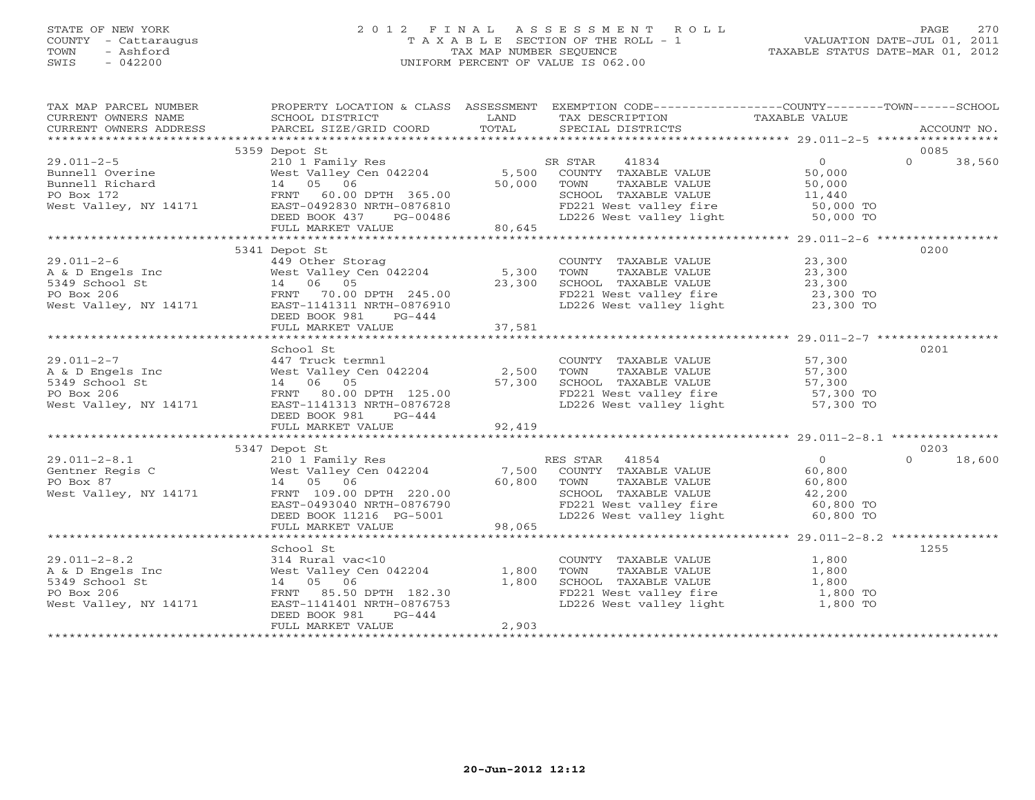# STATE OF NEW YORK 2 0 1 2 F I N A L A S S E S S M E N T R O L L PAGE 270 COUNTY - Cattaraugus T A X A B L E SECTION OF THE ROLL - 1 VALUATION DATE-JUL 01, 2011 TOWN - Ashford TAX MAP NUMBER SEQUENCE TAXABLE STATUS DATE-MAR 01, 2012 SWIS - 042200 UNIFORM PERCENT OF VALUE IS 062.00

| TAX MAP PARCEL NUMBER<br>TAX DESCRIPTION TRANSPORTED TRANSPORT TRANSPORTED TRANSPORT TRANSPORT TRANSPORT TRANSPORT TRANSPORT TRANSPORTED TRANSPORT TRANSPORT TRANSPORT TRANSPORT TRANSPORT TRANSPORT TRANSPORT TRANSPORT TRANSPORT TRANSPORT TRANSPORT                                                                                                                                                                               |                                 |       | PROPERTY LOCATION & CLASS ASSESSMENT EXEMPTION CODE----------------COUNTY-------TOWN------SCHOOL                                                                      |              |
|--------------------------------------------------------------------------------------------------------------------------------------------------------------------------------------------------------------------------------------------------------------------------------------------------------------------------------------------------------------------------------------------------------------------------------------|---------------------------------|-------|-----------------------------------------------------------------------------------------------------------------------------------------------------------------------|--------------|
|                                                                                                                                                                                                                                                                                                                                                                                                                                      |                                 |       |                                                                                                                                                                       |              |
|                                                                                                                                                                                                                                                                                                                                                                                                                                      | 5359 Depot St                   |       |                                                                                                                                                                       | 0085         |
|                                                                                                                                                                                                                                                                                                                                                                                                                                      |                                 |       |                                                                                                                                                                       | $0 \t38,560$ |
|                                                                                                                                                                                                                                                                                                                                                                                                                                      |                                 |       |                                                                                                                                                                       |              |
|                                                                                                                                                                                                                                                                                                                                                                                                                                      |                                 |       |                                                                                                                                                                       |              |
|                                                                                                                                                                                                                                                                                                                                                                                                                                      |                                 |       |                                                                                                                                                                       |              |
|                                                                                                                                                                                                                                                                                                                                                                                                                                      |                                 |       |                                                                                                                                                                       |              |
|                                                                                                                                                                                                                                                                                                                                                                                                                                      |                                 |       |                                                                                                                                                                       |              |
| $\begin{tabular}{lllllllllllll} \multicolumn{3}{c }{\text{\small 29.011--2-6}} & \multicolumn{3}{c }{\text{\small 29.011--2-6}} & \multicolumn{3}{c }{\text{\small 29.011--2-6}} & \multicolumn{3}{c }{\text{\small 29.011--2-6}} & \multicolumn{3}{c }{\text{\small 20.011--2-6}} & \multicolumn{3}{c }{\text{\small 21.00}} & \multicolumn{3}{c }{\text{\small 22.04}} & \multicolumn{3}{c }{\text{\small 23.300}} & \multicolumn$ |                                 |       |                                                                                                                                                                       |              |
|                                                                                                                                                                                                                                                                                                                                                                                                                                      |                                 |       |                                                                                                                                                                       | 0200         |
|                                                                                                                                                                                                                                                                                                                                                                                                                                      |                                 |       |                                                                                                                                                                       |              |
|                                                                                                                                                                                                                                                                                                                                                                                                                                      |                                 |       |                                                                                                                                                                       |              |
|                                                                                                                                                                                                                                                                                                                                                                                                                                      |                                 |       |                                                                                                                                                                       |              |
|                                                                                                                                                                                                                                                                                                                                                                                                                                      |                                 |       |                                                                                                                                                                       |              |
|                                                                                                                                                                                                                                                                                                                                                                                                                                      |                                 |       |                                                                                                                                                                       |              |
|                                                                                                                                                                                                                                                                                                                                                                                                                                      |                                 |       |                                                                                                                                                                       |              |
|                                                                                                                                                                                                                                                                                                                                                                                                                                      |                                 |       |                                                                                                                                                                       |              |
|                                                                                                                                                                                                                                                                                                                                                                                                                                      |                                 |       |                                                                                                                                                                       |              |
|                                                                                                                                                                                                                                                                                                                                                                                                                                      | School St                       |       |                                                                                                                                                                       | 0201         |
|                                                                                                                                                                                                                                                                                                                                                                                                                                      |                                 |       |                                                                                                                                                                       |              |
|                                                                                                                                                                                                                                                                                                                                                                                                                                      |                                 |       |                                                                                                                                                                       |              |
|                                                                                                                                                                                                                                                                                                                                                                                                                                      |                                 |       |                                                                                                                                                                       |              |
|                                                                                                                                                                                                                                                                                                                                                                                                                                      |                                 |       |                                                                                                                                                                       |              |
|                                                                                                                                                                                                                                                                                                                                                                                                                                      | $PG-444$                        |       |                                                                                                                                                                       |              |
|                                                                                                                                                                                                                                                                                                                                                                                                                                      | DEED BOOK 981<br>FULL MARKET VA |       |                                                                                                                                                                       |              |
|                                                                                                                                                                                                                                                                                                                                                                                                                                      |                                 |       |                                                                                                                                                                       |              |
|                                                                                                                                                                                                                                                                                                                                                                                                                                      | 5347 Depot St                   |       |                                                                                                                                                                       | 0203         |
|                                                                                                                                                                                                                                                                                                                                                                                                                                      |                                 |       |                                                                                                                                                                       |              |
|                                                                                                                                                                                                                                                                                                                                                                                                                                      |                                 |       |                                                                                                                                                                       |              |
|                                                                                                                                                                                                                                                                                                                                                                                                                                      |                                 |       |                                                                                                                                                                       |              |
|                                                                                                                                                                                                                                                                                                                                                                                                                                      |                                 |       |                                                                                                                                                                       |              |
|                                                                                                                                                                                                                                                                                                                                                                                                                                      |                                 |       |                                                                                                                                                                       |              |
|                                                                                                                                                                                                                                                                                                                                                                                                                                      |                                 |       |                                                                                                                                                                       |              |
|                                                                                                                                                                                                                                                                                                                                                                                                                                      |                                 |       |                                                                                                                                                                       |              |
|                                                                                                                                                                                                                                                                                                                                                                                                                                      |                                 |       |                                                                                                                                                                       |              |
|                                                                                                                                                                                                                                                                                                                                                                                                                                      | School St                       |       |                                                                                                                                                                       | 1255         |
|                                                                                                                                                                                                                                                                                                                                                                                                                                      |                                 |       |                                                                                                                                                                       |              |
| 29.011-2-8.2<br>A & D Engels Inc 314 Rural vac<10<br>5349 School St 14 05 06 1,800<br>FO Box 206 FRNT 85.50 DPTH 182.30 1,800<br>West Valley, NY 14171 EAST-1141401 NRTH-0876753                                                                                                                                                                                                                                                     |                                 |       | COUNTY TAXABLE VALUE $1,800$<br>TOWN TAXABLE VALUE $1,800$<br>SCHOOL TAXABLE VALUE $1,800$<br>FD221 West valley fire $1,800$ TO<br>LD226 West valley light $1,800$ TO |              |
|                                                                                                                                                                                                                                                                                                                                                                                                                                      |                                 |       |                                                                                                                                                                       |              |
|                                                                                                                                                                                                                                                                                                                                                                                                                                      |                                 |       |                                                                                                                                                                       |              |
|                                                                                                                                                                                                                                                                                                                                                                                                                                      | DEED BOOK 981<br>$PG-444$       |       |                                                                                                                                                                       |              |
|                                                                                                                                                                                                                                                                                                                                                                                                                                      | FULL MARKET VALUE               | 2,903 |                                                                                                                                                                       |              |
|                                                                                                                                                                                                                                                                                                                                                                                                                                      |                                 |       |                                                                                                                                                                       |              |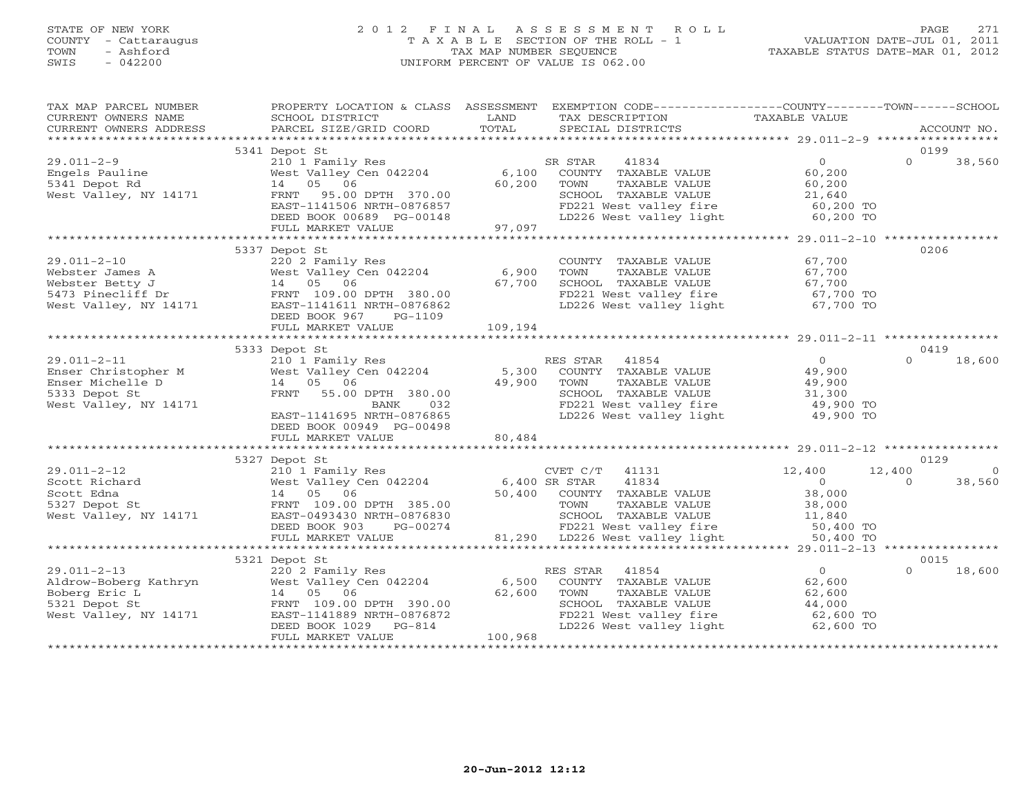# STATE OF NEW YORK 2 0 1 2 F I N A L A S S E S S M E N T R O L L PAGE 271 COUNTY - Cattaraugus T A X A B L E SECTION OF THE ROLL - 1 VALUATION DATE-JUL 01, 2011 TOWN - Ashford TAX MAP NUMBER SEQUENCE TAXABLE STATUS DATE-MAR 01, 2012 SWIS - 042200 UNIFORM PERCENT OF VALUE IS 062.00UNIFORM PERCENT OF VALUE IS 062.00

| TAX MAP PARCEL NUMBER           | PROPERTY LOCATION & CLASS ASSESSMENT EXEMPTION CODE----------------COUNTY-------TOWN------SCHOOL                                                                                                                                                       |         |                                                                                                      |                                            |                  |                |
|---------------------------------|--------------------------------------------------------------------------------------------------------------------------------------------------------------------------------------------------------------------------------------------------------|---------|------------------------------------------------------------------------------------------------------|--------------------------------------------|------------------|----------------|
| CURRENT OWNERS NAME             | SCHOOL DISTRICT                                                                                                                                                                                                                                        | LAND    | TAX DESCRIPTION                                                                                      | TAXABLE VALUE                              |                  |                |
| CURRENT OWNERS ADDRESS          |                                                                                                                                                                                                                                                        |         |                                                                                                      |                                            |                  |                |
|                                 |                                                                                                                                                                                                                                                        |         |                                                                                                      |                                            |                  |                |
|                                 | 5341 Depot St                                                                                                                                                                                                                                          |         |                                                                                                      |                                            | 0199             |                |
| $29.011 - 2 - 9$                | 210 1 Family Res<br>West Valley Cen 042204 6,100 COUNTY TAXABLE VALUE<br>14 05 06 60,200 TOWN TAXABLE VALUE                                                                                                                                            |         |                                                                                                      | $\overline{0}$                             | $\cap$           | 38,560         |
| Engels Pauline<br>5341 Depot Rd |                                                                                                                                                                                                                                                        |         |                                                                                                      | 60,200                                     |                  |                |
|                                 | 14 05 06                                                                                                                                                                                                                                               | 60,200  | TAXABLE VALUE<br>TOWN                                                                                | 60,200                                     |                  |                |
| West Valley, NY 14171           | FRNT 95.00 DPTH 370.00                                                                                                                                                                                                                                 |         | SCHOOL TAXABLE VALUE $21,640$<br>FD221 West valley fire 60,200 TO                                    |                                            |                  |                |
|                                 |                                                                                                                                                                                                                                                        |         |                                                                                                      |                                            |                  |                |
|                                 | FRNT 95.00 DPTH 370.00<br>EAST-1141506 NRTH-0876857<br>DEED BOOK 00689 PG-00148<br>FULL MARKET VALUE 97,097                                                                                                                                            |         | LD226 West valley light                                                                              | 60,200 TO                                  |                  |                |
|                                 |                                                                                                                                                                                                                                                        |         |                                                                                                      |                                            |                  |                |
|                                 |                                                                                                                                                                                                                                                        |         |                                                                                                      |                                            |                  |                |
|                                 | Webster James A<br>Webster James A<br>Webster Betty J<br>14 05 06 67,700<br>14 05 06 67,700<br>14 05 06 67,700<br>14 05 06 67,700<br>14 05 06 67,700<br>14 05 06 67,700<br>14 05 06 67,700<br>14 05 06 67,700<br>14 05 06 17 1880.00<br>14 109.00 DPTH |         |                                                                                                      |                                            | 0206             |                |
|                                 |                                                                                                                                                                                                                                                        |         | COUNTY TAXABLE VALUE<br>TAXABLE VALUE                                                                | 67,700                                     |                  |                |
|                                 |                                                                                                                                                                                                                                                        |         | TOWN                                                                                                 | 67,700                                     |                  |                |
|                                 |                                                                                                                                                                                                                                                        |         |                                                                                                      |                                            |                  |                |
|                                 |                                                                                                                                                                                                                                                        |         | SCHOOL TAXABLE VALUE 67,700<br>FD221 West valley fire 67,700 TO<br>LD226 West valley light 67,700 TO |                                            |                  |                |
|                                 |                                                                                                                                                                                                                                                        |         |                                                                                                      |                                            |                  |                |
|                                 |                                                                                                                                                                                                                                                        |         |                                                                                                      |                                            |                  |                |
|                                 | FULL MARKET VALUE                                                                                                                                                                                                                                      | 109,194 |                                                                                                      |                                            |                  |                |
|                                 |                                                                                                                                                                                                                                                        |         |                                                                                                      |                                            |                  |                |
|                                 | 2.000 1 Family Res<br>Enser Christopher M 210 1 Family Res<br>Enser Michelle D 14 05 06 49,900<br>5333 Depot St FRNT 55.00 DPTH 380 00<br>West Valley, NY 14171<br>200                                                                                 |         |                                                                                                      |                                            | 0419<br>$\Omega$ |                |
|                                 |                                                                                                                                                                                                                                                        |         | RES STAR 41854                                                                                       | $\overline{0}$                             |                  | 18,600         |
|                                 |                                                                                                                                                                                                                                                        |         | COUNTY TAXABLE VALUE<br>TOWN     TAXABLE VALUE                                                       | 49,900<br>49,900                           |                  |                |
|                                 |                                                                                                                                                                                                                                                        |         |                                                                                                      |                                            |                  |                |
|                                 |                                                                                                                                                                                                                                                        |         | SCHOOL TAXABLE VALUE 31,300<br>FD221 West valley fire 49,900 TO                                      |                                            |                  |                |
|                                 |                                                                                                                                                                                                                                                        |         | LD226 West valley light 49,900 TO                                                                    |                                            |                  |                |
|                                 | EAST-1141695 NRTH-0876865                                                                                                                                                                                                                              |         |                                                                                                      |                                            |                  |                |
|                                 | DEED BOOK 00949 PG-00498                                                                                                                                                                                                                               |         |                                                                                                      |                                            |                  |                |
|                                 | FULL MARKET VALUE                                                                                                                                                                                                                                      | 80,484  |                                                                                                      |                                            |                  |                |
|                                 | 5327 Depot St                                                                                                                                                                                                                                          |         |                                                                                                      |                                            | 0129             |                |
| $29.011 - 2 - 12$               | Depot st<br>210 1 Family Res<br>West Valley Cen 042204 6,400 SR STAR<br>14 05 06 ------ 225 22 50,400 COUNTY                                                                                                                                           |         | CVET C/T 41131                                                                                       | 12,400                                     | 12,400           | $\overline{0}$ |
|                                 |                                                                                                                                                                                                                                                        |         | 41834                                                                                                |                                            | $\Omega$         | 38,560         |
|                                 |                                                                                                                                                                                                                                                        |         | 50,400 COUNTY TAXABLE VALUE                                                                          | $\begin{array}{c} 0 \\ 38,000 \end{array}$ |                  |                |
|                                 | Scott Richard<br>Scott Edna<br>S327 Depot St<br>West Valley Cen 042204<br>TRNT 109.00 DPTH 385.00<br>West Valley, NY 14171<br>EAST-0493430 NRTH-0876830                                                                                                |         | TAXABLE VALUE<br>TOWN                                                                                |                                            |                  |                |
|                                 |                                                                                                                                                                                                                                                        |         | SCHOOL TAXABLE VALUE                                                                                 | 38,000<br>11,840                           |                  |                |
|                                 | DEED BOOK 903<br>PG-00274                                                                                                                                                                                                                              |         |                                                                                                      |                                            |                  |                |
|                                 | FULL MARKET VALUE                                                                                                                                                                                                                                      | 81.200  | FD221 West valley fire 50,400 TO<br>81,290 LD226 West valley light 50,400 TO                         |                                            |                  |                |
|                                 |                                                                                                                                                                                                                                                        |         |                                                                                                      |                                            |                  |                |
|                                 | 5321 Depot St                                                                                                                                                                                                                                          |         |                                                                                                      |                                            | 0015             |                |
|                                 |                                                                                                                                                                                                                                                        |         | RES STAR<br>41854                                                                                    | $\overline{0}$                             | $\cap$           | 18,600         |
|                                 | 29.011-2-13<br>Aldrow-Boberg Kathryn<br>Boberg Eric L<br>5321 Depot St<br>West Valley Cen 042204<br>5321 Depot St<br>West Valley, NY 14171<br>EAST-1141889 NRTH-0876872<br>DEED BOOK 1029 PG-814                                                       |         | COUNTY TAXABLE VALUE                                                                                 | 62,600                                     |                  |                |
|                                 |                                                                                                                                                                                                                                                        |         | TOWN<br>TAXABLE VALUE                                                                                | 62,600                                     |                  |                |
|                                 |                                                                                                                                                                                                                                                        |         | SCHOOL TAXABLE VALUE                                                                                 | 04,000                                     |                  |                |
|                                 |                                                                                                                                                                                                                                                        |         |                                                                                                      |                                            |                  |                |
|                                 |                                                                                                                                                                                                                                                        |         | FD221 West valley fire 62,600 TO<br>LD226 West valley light 62,600 TO                                |                                            |                  |                |
|                                 | FULL MARKET VALUE                                                                                                                                                                                                                                      | 100,968 |                                                                                                      |                                            |                  |                |
|                                 |                                                                                                                                                                                                                                                        |         |                                                                                                      |                                            |                  |                |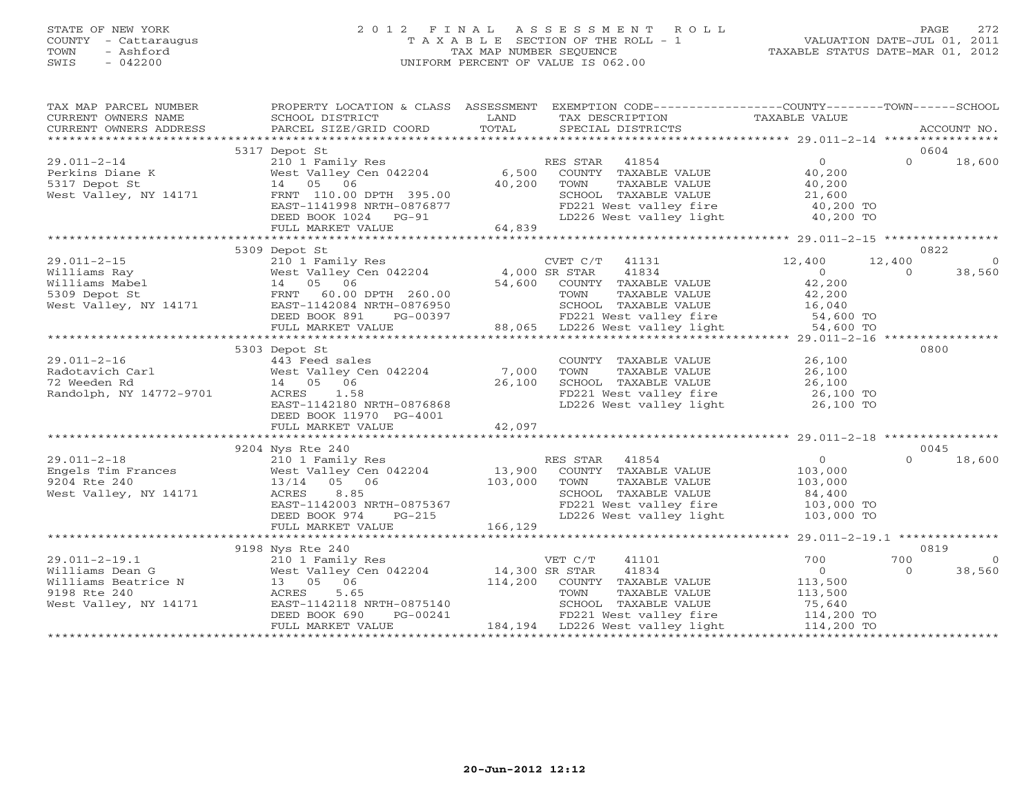## STATE OF NEW YORK 2 0 1 2 F I N A L A S S E S S M E N T R O L L PAGE 272 COUNTY - Cattaraugus T A X A B L E SECTION OF THE ROLL - 1 VALUATION DATE-JUL 01, 2011 TOWN - Ashford TAX MAP NUMBER SEQUENCE TAXABLE STATUS DATE-MAR 01, 2012 SWIS - 042200 UNIFORM PERCENT OF VALUE IS 062.00UNIFORM PERCENT OF VALUE IS 062.00

| TAX MAP PARCEL NUMBER |                                                                                                                                                                                                                                                                                                                                                                                                                  |             | PROPERTY LOCATION & CLASS ASSESSMENT EXEMPTION CODE----------------COUNTY-------TOWN------SCHOOL                                  |                                             |                |            |
|-----------------------|------------------------------------------------------------------------------------------------------------------------------------------------------------------------------------------------------------------------------------------------------------------------------------------------------------------------------------------------------------------------------------------------------------------|-------------|-----------------------------------------------------------------------------------------------------------------------------------|---------------------------------------------|----------------|------------|
| CURRENT OWNERS NAME   | SCHOOL DISTRICT                                                                                                                                                                                                                                                                                                                                                                                                  | <b>LAND</b> | TAX DESCRIPTION TAXABLE VALUE                                                                                                     |                                             |                |            |
|                       |                                                                                                                                                                                                                                                                                                                                                                                                                  |             |                                                                                                                                   |                                             |                |            |
|                       | 5317 Depot St                                                                                                                                                                                                                                                                                                                                                                                                    |             |                                                                                                                                   |                                             |                | 0604       |
|                       |                                                                                                                                                                                                                                                                                                                                                                                                                  |             |                                                                                                                                   |                                             | $\Omega$       | 18,600     |
|                       |                                                                                                                                                                                                                                                                                                                                                                                                                  |             |                                                                                                                                   |                                             |                |            |
|                       |                                                                                                                                                                                                                                                                                                                                                                                                                  |             |                                                                                                                                   |                                             |                |            |
|                       |                                                                                                                                                                                                                                                                                                                                                                                                                  |             |                                                                                                                                   |                                             |                |            |
|                       |                                                                                                                                                                                                                                                                                                                                                                                                                  |             | COMMON TAXABLE VALUE<br>SCHOOL TAXABLE VALUE<br>FD221 West valley fire $40,200$ TO<br>LD226 West valley light $40,200$ TO         |                                             |                |            |
|                       |                                                                                                                                                                                                                                                                                                                                                                                                                  |             |                                                                                                                                   |                                             |                |            |
|                       | $\begin{tabular}{lllllllllllllllllll} \hline 29.011-2-14 & 5317 \text{ Depot St} & \text{RES STAR} & 41854 & 0 \\ \hline \text{Perkins Diane K} & \text{Weaking Diane K} & \text{West Valley Cen 042204} & 6,500 & \text{COUNTY TAXABLE VALUE} & 40,200 \\ \text{S317 Depot St} & 14 & 05 & 06 & 40,200 & \text{TOWN} & \text{TAXABLE VALUE} & 40,200 \\ \text{West Valley, NY 14171 & FRNT 110.00 DPH 395.00 &$ |             |                                                                                                                                   |                                             |                |            |
|                       | 5309 Depot St                                                                                                                                                                                                                                                                                                                                                                                                    |             |                                                                                                                                   |                                             | 0822           |            |
|                       |                                                                                                                                                                                                                                                                                                                                                                                                                  |             | CVET C/T 41131 12,400                                                                                                             |                                             | 12,400         | $\bigcirc$ |
|                       |                                                                                                                                                                                                                                                                                                                                                                                                                  |             |                                                                                                                                   |                                             | $\Omega$       | 38,560     |
|                       |                                                                                                                                                                                                                                                                                                                                                                                                                  |             |                                                                                                                                   | $\begin{array}{c} 0 \\ 42,200 \end{array}$  |                |            |
|                       |                                                                                                                                                                                                                                                                                                                                                                                                                  |             |                                                                                                                                   |                                             |                |            |
|                       |                                                                                                                                                                                                                                                                                                                                                                                                                  |             |                                                                                                                                   |                                             |                |            |
|                       |                                                                                                                                                                                                                                                                                                                                                                                                                  |             |                                                                                                                                   |                                             |                |            |
|                       |                                                                                                                                                                                                                                                                                                                                                                                                                  |             |                                                                                                                                   |                                             |                |            |
|                       |                                                                                                                                                                                                                                                                                                                                                                                                                  |             |                                                                                                                                   |                                             |                |            |
|                       | 5303 Depot St                                                                                                                                                                                                                                                                                                                                                                                                    |             |                                                                                                                                   |                                             | 0800           |            |
|                       |                                                                                                                                                                                                                                                                                                                                                                                                                  |             | COUNTY TAXABLE VALUE                                                                                                              | 26,100                                      |                |            |
|                       |                                                                                                                                                                                                                                                                                                                                                                                                                  |             |                                                                                                                                   |                                             |                |            |
|                       |                                                                                                                                                                                                                                                                                                                                                                                                                  |             |                                                                                                                                   |                                             |                |            |
|                       | ACRES 1.58<br>EAST-1142180 NRTH-0876868                                                                                                                                                                                                                                                                                                                                                                          |             | TOWN TAXABLE VALUE 26,100<br>SCHOOL TAXABLE VALUE 26,100<br>FD221 West valley fire 26,100 TO<br>LD226 West valley light 26,100 TO |                                             |                |            |
|                       |                                                                                                                                                                                                                                                                                                                                                                                                                  |             |                                                                                                                                   |                                             |                |            |
|                       | DEED BOOK 11970 PG-4001                                                                                                                                                                                                                                                                                                                                                                                          |             |                                                                                                                                   |                                             |                |            |
|                       | FULL MARKET VALUE                                                                                                                                                                                                                                                                                                                                                                                                | 42,097      |                                                                                                                                   |                                             |                |            |
|                       |                                                                                                                                                                                                                                                                                                                                                                                                                  |             |                                                                                                                                   |                                             |                |            |
|                       | 9204 Nys Rte 240                                                                                                                                                                                                                                                                                                                                                                                                 |             |                                                                                                                                   |                                             | 0045           |            |
|                       |                                                                                                                                                                                                                                                                                                                                                                                                                  |             |                                                                                                                                   | $\begin{array}{c} 0 \\ 103,000 \end{array}$ | $\Omega$       | 18,600     |
|                       |                                                                                                                                                                                                                                                                                                                                                                                                                  |             |                                                                                                                                   |                                             |                |            |
|                       |                                                                                                                                                                                                                                                                                                                                                                                                                  |             |                                                                                                                                   |                                             |                |            |
|                       |                                                                                                                                                                                                                                                                                                                                                                                                                  |             |                                                                                                                                   |                                             |                |            |
|                       |                                                                                                                                                                                                                                                                                                                                                                                                                  |             | TOWN TAXABLE VALUE<br>TOWN TAXABLE VALUE 103,000<br>SCHOOL TAXABLE VALUE 84,400<br>FD221 West valley fire 103,000 TO              |                                             |                |            |
|                       | 29.011-2-18<br>Engels Tim Frances<br>210 1 Family Res<br>210 1 Family Res<br>210 1 Mest Valley Cen 042204<br>210 1 Mest Valley Cen 042204<br>2204 Res 3.85<br>2204 Res 3.85<br>2204 Res 3.85<br>221 West Valley, NY 14171<br>2226 West Valley, NY                                                                                                                                                                |             | LD226 West valley light 103,000 TO                                                                                                |                                             |                |            |
|                       |                                                                                                                                                                                                                                                                                                                                                                                                                  |             |                                                                                                                                   |                                             |                |            |
|                       | 9198 Nys Rte 240                                                                                                                                                                                                                                                                                                                                                                                                 |             |                                                                                                                                   |                                             | 0819           |            |
|                       |                                                                                                                                                                                                                                                                                                                                                                                                                  |             | VET C/T<br>41101                                                                                                                  | 700                                         | 700            | $\bigcirc$ |
|                       |                                                                                                                                                                                                                                                                                                                                                                                                                  |             | 41834                                                                                                                             |                                             | $\overline{a}$ | 38,560     |
|                       |                                                                                                                                                                                                                                                                                                                                                                                                                  |             | $114,200$ COUNTY TAXABLE VALUE                                                                                                    |                                             |                |            |
|                       |                                                                                                                                                                                                                                                                                                                                                                                                                  |             |                                                                                                                                   | 0<br>113,500<br>113,500                     |                |            |
|                       | 29.011-2-19.1<br>Williams Dean G<br>West Valley Cen 042204<br>Williams Beatrice N<br>210 1 Family Res<br>West Valley Cen 042204<br>14,300 SR STAR<br>14,200 COUNTY<br>9198 Rte 240<br>Mest Valley, NY 14171<br>EAST-1142118 NRTH-0875140<br>EAST-114                                                                                                                                                             |             |                                                                                                                                   |                                             |                |            |
|                       | EAST-1142118 NRTH-0875140<br>DEED BOOK 690 PG-00241 FD221 West valley fire 114,200 TO<br>FULL MARKET VALUE 184,194 LD226 West valley light 114,200 TO                                                                                                                                                                                                                                                            |             |                                                                                                                                   |                                             |                |            |
|                       |                                                                                                                                                                                                                                                                                                                                                                                                                  |             |                                                                                                                                   |                                             |                |            |
|                       |                                                                                                                                                                                                                                                                                                                                                                                                                  |             |                                                                                                                                   |                                             |                |            |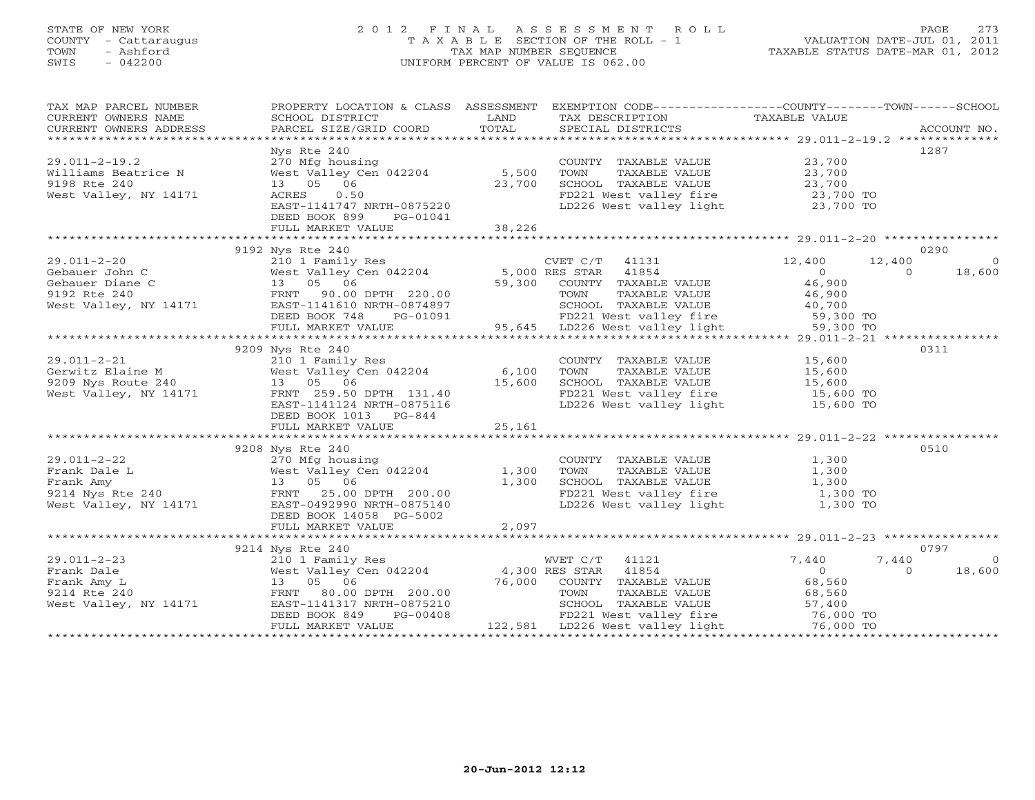### STATE OF NEW YORK 2 0 1 2 F I N A L A S S E S S M E N T R O L L PAGE 273 COUNTY - Cattaraugus T A X A B L E SECTION OF THE ROLL - 1 VALUATION DATE-JUL 01, 2011 TOWN - Ashford TAX MAP NUMBER SEQUENCE TAXABLE STATUS DATE-MAR 01, 2012 SWIS - 042200 UNIFORM PERCENT OF VALUE IS 062.00UNIFORM PERCENT OF VALUE IS 062.00

| TAX MAP PARCEL NUMBER<br>CURRENT OWNERS NAME                                                                                                                                                                                                                                                                                                                       | SCHOOL DISTRICT           | <b>EXAMPLE SERVICE SERVICE SERVICE SERVICE SERVICE SERVICE SERVICE SERVICE SERVICE SERVICE SERVICE SERVICE SERVICE</b> | PROPERTY LOCATION & CLASS ASSESSMENT EXEMPTION CODE----------------COUNTY-------TOWN------SCHOOL                                                |                         |
|--------------------------------------------------------------------------------------------------------------------------------------------------------------------------------------------------------------------------------------------------------------------------------------------------------------------------------------------------------------------|---------------------------|------------------------------------------------------------------------------------------------------------------------|-------------------------------------------------------------------------------------------------------------------------------------------------|-------------------------|
|                                                                                                                                                                                                                                                                                                                                                                    |                           |                                                                                                                        | TAX DESCRIPTION TAXABLE VALUE SPECIAL DISTRICTS                                                                                                 |                         |
|                                                                                                                                                                                                                                                                                                                                                                    |                           |                                                                                                                        |                                                                                                                                                 |                         |
|                                                                                                                                                                                                                                                                                                                                                                    | Nys Rte 240               |                                                                                                                        |                                                                                                                                                 | 1287                    |
| 29.011-2-19.2<br>Williams Beatrice N 270 Mfg housing<br>9198 Rte 240<br>West Valley, NY 14171 2008 23,700<br>23,700<br>23,700<br>EAST-1141747 NRTH-0875220                                                                                                                                                                                                         |                           |                                                                                                                        | COUNTY TAXABLE VALUE 23,700                                                                                                                     |                         |
|                                                                                                                                                                                                                                                                                                                                                                    |                           |                                                                                                                        |                                                                                                                                                 |                         |
|                                                                                                                                                                                                                                                                                                                                                                    |                           |                                                                                                                        |                                                                                                                                                 |                         |
|                                                                                                                                                                                                                                                                                                                                                                    |                           |                                                                                                                        |                                                                                                                                                 |                         |
|                                                                                                                                                                                                                                                                                                                                                                    |                           |                                                                                                                        | TOWN TAXABLE VALUE<br>TOWN TAXABLE VALUE<br>SCHOOL TAXABLE VALUE<br>FD221 West valley fire<br>LD226 West valley light<br>23,700 TO<br>23,700 TO |                         |
|                                                                                                                                                                                                                                                                                                                                                                    | DEED BOOK 899<br>PG-01041 |                                                                                                                        |                                                                                                                                                 |                         |
|                                                                                                                                                                                                                                                                                                                                                                    |                           |                                                                                                                        |                                                                                                                                                 |                         |
|                                                                                                                                                                                                                                                                                                                                                                    |                           |                                                                                                                        |                                                                                                                                                 |                         |
| $\begin{array}{cccccccc} 29.011-2-20 & 9192 & \text{Net } 240 & 0 & 0 & 0 \\ 210 & 1 & \text{Family Res} & \text{CVET C/T} & 41131 & 12,400 & 12,400 & 0 \\ 210 & 1 & \text{Resultly Res} & 5,000 & \text{RES STAR} & 41854 & 0 & 0 \\ 6 \text{ebauer John C} & 13 & 05 & 06 & 05 & 000 & \text{TMXABLE VALUE} & 6 \\ 13 & 05 & 06 & 05 & 000 & 0 & 0 \\ 9192 & \$ | 9192 Nys Rte 240          |                                                                                                                        |                                                                                                                                                 | 0290                    |
|                                                                                                                                                                                                                                                                                                                                                                    |                           |                                                                                                                        |                                                                                                                                                 |                         |
|                                                                                                                                                                                                                                                                                                                                                                    |                           |                                                                                                                        |                                                                                                                                                 |                         |
|                                                                                                                                                                                                                                                                                                                                                                    |                           |                                                                                                                        |                                                                                                                                                 |                         |
|                                                                                                                                                                                                                                                                                                                                                                    |                           |                                                                                                                        |                                                                                                                                                 |                         |
|                                                                                                                                                                                                                                                                                                                                                                    |                           |                                                                                                                        |                                                                                                                                                 |                         |
|                                                                                                                                                                                                                                                                                                                                                                    |                           |                                                                                                                        |                                                                                                                                                 |                         |
|                                                                                                                                                                                                                                                                                                                                                                    |                           |                                                                                                                        |                                                                                                                                                 |                         |
|                                                                                                                                                                                                                                                                                                                                                                    | 9209 Nys Rte 240          |                                                                                                                        |                                                                                                                                                 | 0311                    |
|                                                                                                                                                                                                                                                                                                                                                                    |                           |                                                                                                                        |                                                                                                                                                 |                         |
|                                                                                                                                                                                                                                                                                                                                                                    |                           |                                                                                                                        |                                                                                                                                                 |                         |
| 29.011-2-21<br>Gerwitz Elaine M 210 1 Family Res COUNTY TAXABLE VALUE 15,600<br>9209 Nys Route 240 13 05 06 15,600 SCHOOL TAXABLE VALUE 15,600<br>West Valley, NY 14171 FRNT 259.50 DPTH 131.40<br>EAST-1141124 NRTH-0875116 LD226 We                                                                                                                              |                           |                                                                                                                        |                                                                                                                                                 |                         |
|                                                                                                                                                                                                                                                                                                                                                                    |                           |                                                                                                                        |                                                                                                                                                 |                         |
|                                                                                                                                                                                                                                                                                                                                                                    |                           |                                                                                                                        |                                                                                                                                                 |                         |
|                                                                                                                                                                                                                                                                                                                                                                    | DEED BOOK 1013 PG-844     |                                                                                                                        |                                                                                                                                                 |                         |
|                                                                                                                                                                                                                                                                                                                                                                    | FULL MARKET VALUE         | 25,161                                                                                                                 |                                                                                                                                                 |                         |
|                                                                                                                                                                                                                                                                                                                                                                    |                           |                                                                                                                        |                                                                                                                                                 |                         |
|                                                                                                                                                                                                                                                                                                                                                                    | 9208 Nys Rte 240          |                                                                                                                        |                                                                                                                                                 | 0510                    |
|                                                                                                                                                                                                                                                                                                                                                                    |                           |                                                                                                                        |                                                                                                                                                 |                         |
|                                                                                                                                                                                                                                                                                                                                                                    |                           |                                                                                                                        |                                                                                                                                                 |                         |
|                                                                                                                                                                                                                                                                                                                                                                    |                           |                                                                                                                        |                                                                                                                                                 |                         |
| 29.011-2-22<br>Frank Dale L<br>Frank Amy 370 Mg housing<br>West Valley Cen 042204<br>The Music COUNTY TAXABLE VALUE<br>TAXABLE VALUE<br>TAXABLE VALUE<br>TAXABLE VALUE<br>TAXABLE VALUE<br>TAXABLE VALUE<br>TAXABLE VALUE<br>TAXABLE VALUE<br>TAXABLE                                                                                                              |                           |                                                                                                                        |                                                                                                                                                 |                         |
|                                                                                                                                                                                                                                                                                                                                                                    |                           |                                                                                                                        |                                                                                                                                                 |                         |
|                                                                                                                                                                                                                                                                                                                                                                    | DEED BOOK 14058 PG-5002   |                                                                                                                        |                                                                                                                                                 |                         |
|                                                                                                                                                                                                                                                                                                                                                                    | FULL MARKET VALUE         | 2,097                                                                                                                  |                                                                                                                                                 |                         |
|                                                                                                                                                                                                                                                                                                                                                                    |                           |                                                                                                                        |                                                                                                                                                 |                         |
|                                                                                                                                                                                                                                                                                                                                                                    | 9214 Nys Rte 240          |                                                                                                                        |                                                                                                                                                 | 0797                    |
|                                                                                                                                                                                                                                                                                                                                                                    |                           |                                                                                                                        |                                                                                                                                                 | 7,440<br>$\overline{0}$ |
|                                                                                                                                                                                                                                                                                                                                                                    |                           |                                                                                                                        |                                                                                                                                                 | $0 \t 18,600$           |
|                                                                                                                                                                                                                                                                                                                                                                    |                           |                                                                                                                        |                                                                                                                                                 |                         |
|                                                                                                                                                                                                                                                                                                                                                                    |                           |                                                                                                                        |                                                                                                                                                 |                         |
|                                                                                                                                                                                                                                                                                                                                                                    |                           |                                                                                                                        |                                                                                                                                                 |                         |
|                                                                                                                                                                                                                                                                                                                                                                    |                           |                                                                                                                        |                                                                                                                                                 |                         |
|                                                                                                                                                                                                                                                                                                                                                                    |                           |                                                                                                                        |                                                                                                                                                 |                         |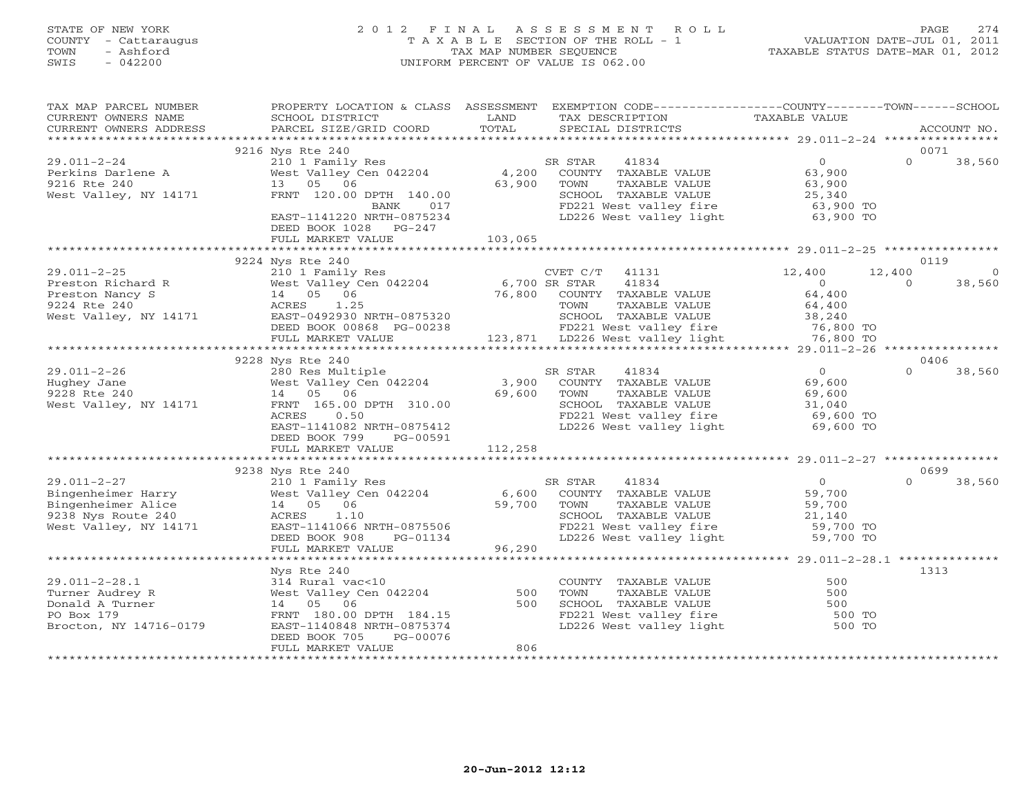# STATE OF NEW YORK 2 0 1 2 F I N A L A S S E S S M E N T R O L L PAGE 274 COUNTY - Cattaraugus T A X A B L E SECTION OF THE ROLL - 1 VALUATION DATE-JUL 01, 2011 TOWN - Ashford TAX MAP NUMBER SEQUENCE TAXABLE STATUS DATE-MAR 01, 2012 SWIS - 042200 UNIFORM PERCENT OF VALUE IS 062.00UNIFORM PERCENT OF VALUE IS 062.00

| TAX MAP PARCEL NUMBER<br>CURRENT OWNERS NAME<br>CURRENT OWNERS ADDRESS | PROPERTY LOCATION & CLASS ASSESSMENT<br>SCHOOL DISTRICT<br>PARCEL SIZE/GRID COORD | LAND<br>TOTAL | EXEMPTION CODE-----------------COUNTY-------TOWN------SCHOOL<br>TAX DESCRIPTION<br>SPECIAL DISTRICTS | TAXABLE VALUE          |          | ACCOUNT NO. |
|------------------------------------------------------------------------|-----------------------------------------------------------------------------------|---------------|------------------------------------------------------------------------------------------------------|------------------------|----------|-------------|
|                                                                        |                                                                                   |               |                                                                                                      |                        |          |             |
|                                                                        | 9216 Nys Rte 240                                                                  |               |                                                                                                      |                        |          | 0071        |
| $29.011 - 2 - 24$                                                      | 210 1 Family Res                                                                  |               | 41834<br>SR STAR                                                                                     | 0                      | $\Omega$ | 38,560      |
| Perkins Darlene A                                                      | West Valley Cen 042204                                                            | 4,200         | COUNTY TAXABLE VALUE                                                                                 | 63,900                 |          |             |
| 9216 Rte 240                                                           | 13 05 06                                                                          | 63,900        | TAXABLE VALUE<br>TOWN                                                                                | 63,900                 |          |             |
| West Valley, NY 14171                                                  | FRNT 120.00 DPTH 140.00                                                           |               | SCHOOL TAXABLE VALUE                                                                                 | 25,340                 |          |             |
|                                                                        | 017<br>BANK                                                                       |               | FD221 West valley fire                                                                               | 63,900 TO              |          |             |
|                                                                        | EAST-1141220 NRTH-0875234                                                         |               | LD226 West valley light                                                                              | 63,900 TO              |          |             |
|                                                                        | DEED BOOK 1028 PG-247                                                             |               |                                                                                                      |                        |          |             |
|                                                                        | FULL MARKET VALUE                                                                 | 103,065       |                                                                                                      |                        |          |             |
|                                                                        |                                                                                   |               |                                                                                                      |                        |          |             |
|                                                                        | 9224 Nys Rte 240                                                                  |               |                                                                                                      |                        |          | 0119        |
| $29.011 - 2 - 25$                                                      | 210 1 Family Res                                                                  |               | CVET C/T<br>41131                                                                                    | 12,400                 | 12,400   | $\Omega$    |
| Preston Richard R                                                      | West Valley Cen 042204 6,700 SR STAR                                              |               | 41834                                                                                                | $\overline{0}$         | $\Omega$ | 38,560      |
| Preston Nancy S                                                        | 14  05  06                                                                        | 76,800        | COUNTY TAXABLE VALUE                                                                                 | 64,400                 |          |             |
| 9224 Rte 240                                                           | 1.25<br>ACRES                                                                     |               | TAXABLE VALUE<br>TOWN                                                                                | 64,400                 |          |             |
| West Valley, NY 14171                                                  | EAST-0492930 NRTH-0875320                                                         |               | SCHOOL TAXABLE VALUE                                                                                 | 38,240                 |          |             |
|                                                                        | DEED BOOK 00868 PG-00238                                                          |               | FD221 West valley fire 36,800 TO                                                                     |                        |          |             |
|                                                                        | FULL MARKET VALUE                                                                 |               | 123,871 LD226 West valley light                                                                      | 76,800 TO              |          |             |
|                                                                        |                                                                                   |               |                                                                                                      |                        |          |             |
|                                                                        | 9228 Nys Rte 240                                                                  |               |                                                                                                      |                        |          | 0406        |
| $29.011 - 2 - 26$                                                      | 280 Res Multiple<br>zoo kes muitipie<br>West Valley Cen 042204                    |               | SR STAR<br>41834                                                                                     | $\overline{0}$         | $\Omega$ | 38,560      |
| Hughey Jane                                                            |                                                                                   | 3,900         | COUNTY TAXABLE VALUE                                                                                 | 69,600                 |          |             |
| 9228 Rte 240                                                           | 14 05 06                                                                          | 69,600        | TOWN<br>TAXABLE VALUE                                                                                | 69,600                 |          |             |
| West Valley, NY 14171                                                  | FRNT 165.00 DPTH 310.00                                                           |               | SCHOOL TAXABLE VALUE                                                                                 | 31,040                 |          |             |
|                                                                        | ACRES<br>0.50<br>EAST-1141082 NRTH-0875412                                        |               | FD221 West valley fire<br>LD226 West valley light                                                    | 69,600 TO<br>69,600 TO |          |             |
|                                                                        | DEED BOOK 799<br>PG-00591                                                         |               |                                                                                                      |                        |          |             |
|                                                                        | FULL MARKET VALUE                                                                 | 112,258       |                                                                                                      |                        |          |             |
|                                                                        |                                                                                   |               |                                                                                                      |                        |          |             |
|                                                                        | 9238 Nys Rte 240                                                                  |               |                                                                                                      |                        |          | 0699        |
| $29.011 - 2 - 27$                                                      | 210 1 Family Res                                                                  |               | 41834<br>SR STAR                                                                                     | $\overline{0}$         | $\Omega$ | 38,560      |
| Bingenheimer Harry                                                     | West Valley Cen 042204 6,600                                                      |               | COUNTY TAXABLE VALUE                                                                                 | 59,700                 |          |             |
| Bingenheimer Alice                                                     | 14 05 06                                                                          | 59,700        | TOWN<br>TAXABLE VALUE                                                                                | 59,700                 |          |             |
| 9238 Nys Route 240                                                     | ACRES<br>1.10                                                                     |               | SCHOOL TAXABLE VALUE                                                                                 |                        |          |             |
| West Valley, NY 14171                                                  | EAST-1141066 NRTH-0875506                                                         |               | FD221 West valley fire                                                                               | $21,140$<br>59,700 TO  |          |             |
|                                                                        | DEED BOOK 908<br>PG-01134                                                         |               | LD226 West valley light                                                                              | 59,700 TO              |          |             |
|                                                                        | FULL MARKET VALUE                                                                 | 96,290        |                                                                                                      |                        |          |             |
|                                                                        |                                                                                   |               |                                                                                                      |                        |          |             |
|                                                                        | Nys Rte 240                                                                       |               |                                                                                                      |                        |          | 1313        |
| $29.011 - 2 - 28.1$                                                    | 314 Rural vac<10                                                                  |               | COUNTY TAXABLE VALUE                                                                                 | 500                    |          |             |
| Turner Audrey R                                                        | West Valley Cen 042204                                                            | 500           | TAXABLE VALUE<br>TOWN                                                                                | 500                    |          |             |
| Donald A Turner                                                        | 14 05 06                                                                          | 500           | SCHOOL TAXABLE VALUE                                                                                 | 500                    |          |             |
| PO Box 179                                                             | FRNT 180.00 DPTH 184.15                                                           |               | SCHOOL TAXABLE VALUE<br>FD221 West valley fire<br>LD226 West valley light                            | 500 TO                 |          |             |
| Brocton, NY 14716-0179                                                 | EAST-1140848 NRTH-0875374                                                         |               |                                                                                                      | 500 TO                 |          |             |
|                                                                        | DEED BOOK 705<br>PG-00076                                                         |               |                                                                                                      |                        |          |             |
|                                                                        | FULL MARKET VALUE                                                                 | 806           |                                                                                                      |                        |          |             |
|                                                                        | **********************                                                            |               |                                                                                                      |                        |          |             |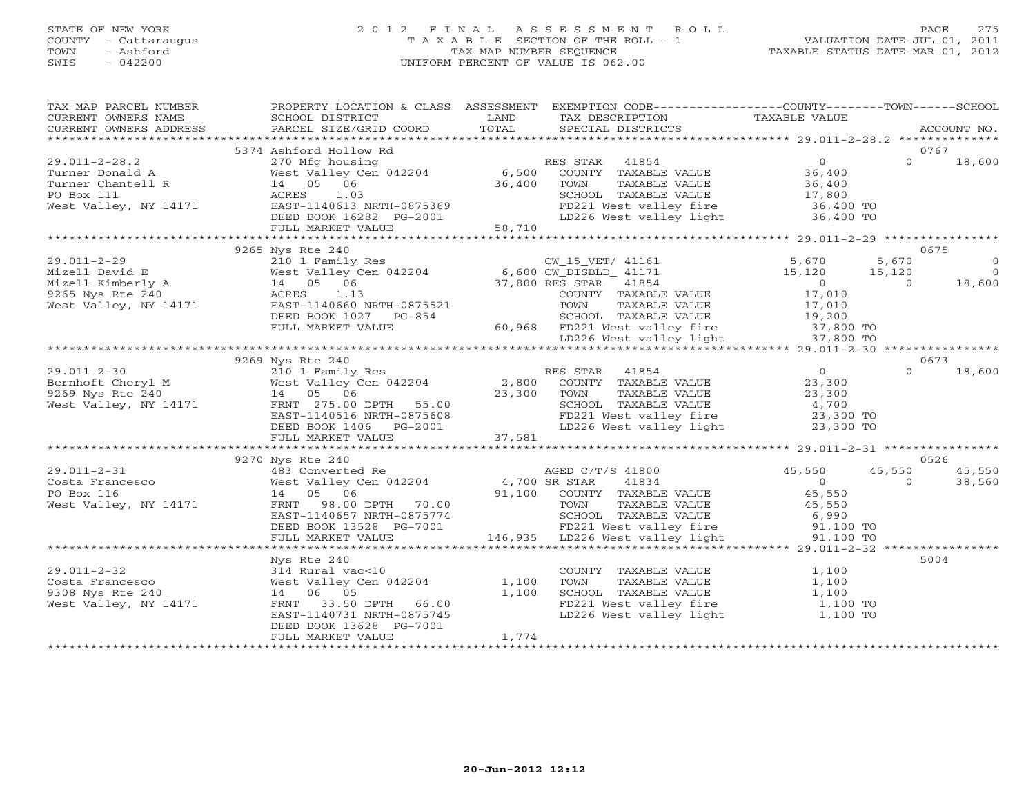### STATE OF NEW YORK 2 0 1 2 F I N A L A S S E S S M E N T R O L L PAGE 275 COUNTY - Cattaraugus T A X A B L E SECTION OF THE ROLL - 1 VALUATION DATE-JUL 01, 2011 TOWN - Ashford TAX MAP NUMBER SEQUENCE TAXABLE STATUS DATE-MAR 01, 2012 SWIS - 042200 UNIFORM PERCENT OF VALUE IS 062.00UNIFORM PERCENT OF VALUE IS 062.00

| TAX MAP PARCEL NUMBER<br>CURRENT OWNERS NAME                                                          | PROPERTY LOCATION & CLASS ASSESSMENT<br>SCHOOL DISTRICT                                                                                                                            | LAND<br>TAX DESCRIPTION                                                                                                                                                                                                                                                                  | EXEMPTION CODE-----------------COUNTY-------TOWN------SCHOOL<br>TAXABLE VALUE                                                                 |
|-------------------------------------------------------------------------------------------------------|------------------------------------------------------------------------------------------------------------------------------------------------------------------------------------|------------------------------------------------------------------------------------------------------------------------------------------------------------------------------------------------------------------------------------------------------------------------------------------|-----------------------------------------------------------------------------------------------------------------------------------------------|
| CURRENT OWNERS ADDRESS                                                                                | PARCEL SIZE/GRID COORD                                                                                                                                                             | TOTAL<br>SPECIAL DISTRICTS                                                                                                                                                                                                                                                               | ACCOUNT NO.                                                                                                                                   |
|                                                                                                       | 5374 Ashford Hollow Rd                                                                                                                                                             |                                                                                                                                                                                                                                                                                          | 0767                                                                                                                                          |
| $29.011 - 2 - 28.2$<br>Turner Donald A<br>Turner Chantell R<br>PO Box 111<br>West Valley, NY 14171    | 270 Mfg housing<br>West Valley Cen 042204<br>14 05 06<br>ACRES<br>1.03<br>EAST-1140613 NRTH-0875369<br>DEED BOOK 16282 PG-2001                                                     | RES STAR 41854<br>6,500<br>COUNTY TAXABLE VALUE<br>36,400<br>TOWN<br>TAXABLE VALUE<br>SCHOOL TAXABLE VALUE<br>FD221 West valley fire<br>LD226 West valley light 36,400 TO                                                                                                                | $\overline{0}$<br>$\Omega$<br>18,600<br>36,400<br>36,400<br>17,800<br>$36,400$ TO                                                             |
|                                                                                                       | FULL MARKET VALUE                                                                                                                                                                  | 58,710                                                                                                                                                                                                                                                                                   |                                                                                                                                               |
|                                                                                                       |                                                                                                                                                                                    |                                                                                                                                                                                                                                                                                          |                                                                                                                                               |
| $29.011 - 2 - 29$<br>Mizell David E<br>Mizell Kimberly A<br>9265 Nys Rte 240<br>West Valley, NY 14171 | 9265 Nys Rte 240<br>ACRES<br>1.13<br>EAST-1140660 NRTH-0875521<br>DEED BOOK 1027 PG-854<br>FULL MARKET VALUE                                                                       | 210 1 Family Res<br>West Valley Cen 042204 6,600 CW_DISBLD_ 41171<br>14 05 06 37,800 RES STAR 41854<br>ACRES 1.13 COUNTY TAYARE<br>COUNTY TAXABLE VALUE<br>TOWN<br>TAXABLE VALUE<br>SCHOOL TAXABLE VALUE<br>60,968 FD221 West valley fire 37,800 TO<br>LD226 West valley light 37,800 TO | 0675<br>5,670<br>5,670<br>$\circ$<br>15,120<br>15,120<br>$\overline{0}$<br>$\overline{0}$<br>18,600<br>$\Omega$<br>17,010<br>17,010<br>19,200 |
|                                                                                                       |                                                                                                                                                                                    |                                                                                                                                                                                                                                                                                          |                                                                                                                                               |
|                                                                                                       | 9269 Nys Rte 240                                                                                                                                                                   |                                                                                                                                                                                                                                                                                          | 0673                                                                                                                                          |
|                                                                                                       | EAST-1140516 NRTH-0875608<br>DEED BOOK 1406 PG-2001                                                                                                                                | RES STAR 41854<br>COUNTY TAXABLE VALUE<br>23,300 TOWN<br>TAXABLE VALUE<br>SCHOOL TAXABLE VALUE<br>FD221 West valley fire<br>LD226 West valley light                                                                                                                                      | $\Omega$<br>$\Omega$<br>18,600<br>23,300<br>23,300<br>4,700<br>23,300 TO<br>23,300 TO                                                         |
|                                                                                                       | FULL MARKET VALUE                                                                                                                                                                  | 37,581                                                                                                                                                                                                                                                                                   |                                                                                                                                               |
|                                                                                                       |                                                                                                                                                                                    |                                                                                                                                                                                                                                                                                          |                                                                                                                                               |
| $29.011 - 2 - 31$<br>Costa Francesco<br>PO Box 116<br>West Valley, NY 14171                           | 9270 Nys Rte 240<br>483 Converted Re<br>West Valley Cen 042204<br>14  05  06<br>FRNT 98.00 DPTH 70.00<br>EAST-1140657 NRTH-0875774<br>DEED BOOK 13528 PG-7001<br>FULL MARKET VALUE | AGED C/T/S 41800<br>4,700 SR STAR<br>41834<br>91,100 COUNTY TAXABLE VALUE<br>TAXABLE VALUE<br>TOWN<br>SCHOOL TAXABLE VALUE<br>SCHOOD Innumers<br>FD221 West valley fire<br>Alley light<br>146,935 LD226 West valley light                                                                | 0526<br>45,550<br>45,550<br>45,550<br>$\overline{0}$<br>$\circ$<br>38,560<br>45,550<br>45,550<br>6,990<br>91,100 TO<br>91,100 TO              |
|                                                                                                       |                                                                                                                                                                                    |                                                                                                                                                                                                                                                                                          |                                                                                                                                               |
| $29.011 - 2 - 32$<br>Costa Francesco<br>9308 Nys Rte 240<br>West Valley, NY 14171                     | Nys Rte 240<br>314 Rural vac<10<br>West Valley Cen 042204<br>14 06 05<br>FRNT 33.50 DPTH 66.00<br>EAST-1140731 NRTH-0875745<br>DEED BOOK 13628 PG-7001<br>FULL MARKET VALUE        | COUNTY TAXABLE VALUE<br>1,100<br>TAXABLE VALUE<br>TOWN<br>1,100<br>SCHOOL TAXABLE VALUE<br>SCHOOL TAXABLE VALUE<br>FD221 West valley fire<br>LD226 West valley light<br>1,774                                                                                                            | 5004<br>1,100<br>1,100<br>1,100<br>$1,100$ TO<br>1,100 TO                                                                                     |
|                                                                                                       |                                                                                                                                                                                    |                                                                                                                                                                                                                                                                                          |                                                                                                                                               |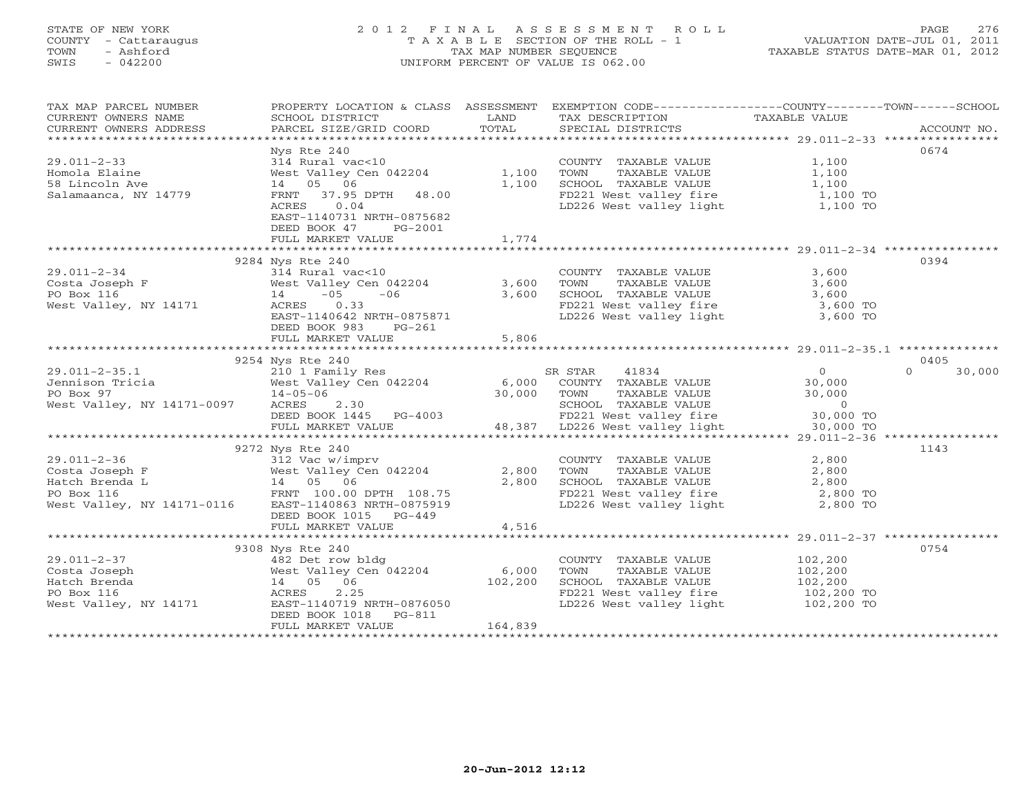## STATE OF NEW YORK 2 0 1 2 F I N A L A S S E S S M E N T R O L L PAGE 276 COUNTY - Cattaraugus T A X A B L E SECTION OF THE ROLL - 1 VALUATION DATE-JUL 01, 2011 TOWN - Ashford TAX MAP NUMBER SEQUENCE TAXABLE STATUS DATE-MAR 01, 2012 SWIS - 042200 UNIFORM PERCENT OF VALUE IS 062.00UNIFORM PERCENT OF VALUE IS 062.00

| TAX MAP PARCEL NUMBER                                                                                                                                                                                     | PROPERTY LOCATION & CLASS ASSESSMENT                                                                                                                                                                                                                                                                                                                                                                                                             |                      | EXEMPTION CODE----------------COUNTY-------TOWN------SCHOOL                                                                                                                                                                                                                                                                                                                                                                                                                                                      |                                                    |      |
|-----------------------------------------------------------------------------------------------------------------------------------------------------------------------------------------------------------|--------------------------------------------------------------------------------------------------------------------------------------------------------------------------------------------------------------------------------------------------------------------------------------------------------------------------------------------------------------------------------------------------------------------------------------------------|----------------------|------------------------------------------------------------------------------------------------------------------------------------------------------------------------------------------------------------------------------------------------------------------------------------------------------------------------------------------------------------------------------------------------------------------------------------------------------------------------------------------------------------------|----------------------------------------------------|------|
| CURRENT OWNERS NAME                                                                                                                                                                                       | $\begin{tabular}{lllllll} \multicolumn{2}{l}{{\small\bf{SGHOOL}}}&{{\small\bf{DISTRICT}}}&{{\small\bf{LAND}}&{{\small\bf{TAX} \text{ DESCRIPTION}}}&{{\small\bf{TAXABLE} \text{ VALUE}}&{\small\bf{ACCOUNT NO}}\\ \multicolumn{2}{l}{\small\bf{PARGE} \text{ SIZE/GRID \text{ COORD}}&{{\small\bf{TOTAL}}}&{{\small\bf{SPECIAL DISTRICTS}}}&{{\small\bf{SATE/CTS}}&{\small\bf{ACCOUNT NO}}\\ \multicolumn{2}{l}{\small\bf{XX-13X1X1X1X1X1X1X1X1$ |                      |                                                                                                                                                                                                                                                                                                                                                                                                                                                                                                                  | TAXABLE VALUE                                      |      |
| CURRENT OWNERS ADDRESS                                                                                                                                                                                    |                                                                                                                                                                                                                                                                                                                                                                                                                                                  |                      |                                                                                                                                                                                                                                                                                                                                                                                                                                                                                                                  |                                                    |      |
| ******************************                                                                                                                                                                            |                                                                                                                                                                                                                                                                                                                                                                                                                                                  |                      |                                                                                                                                                                                                                                                                                                                                                                                                                                                                                                                  |                                                    |      |
|                                                                                                                                                                                                           | Nys Rte 240                                                                                                                                                                                                                                                                                                                                                                                                                                      |                      |                                                                                                                                                                                                                                                                                                                                                                                                                                                                                                                  |                                                    | 0674 |
| $29.011 - 2 - 33$                                                                                                                                                                                         | 314 Rural vac<10<br>West Valley Cen 042204 1,100                                                                                                                                                                                                                                                                                                                                                                                                 |                      | $\begin{tabular}{lllllll} \multicolumn{2}{l}{{\small \texttt{COUNTY}}} & \multicolumn{2}{l}{\small \texttt{TAXABLE VALUE}} & \\ & & & & 1,100\\ \multicolumn{2}{l}{\small \texttt{COUNTY}} & \multicolumn{2}{l}{\small \texttt{TAXABLE VALUE}} & \multicolumn{2}{l}{\small \texttt{NALUE}} & \multicolumn{2}{l}{\small \texttt{NADUE}}\\ \multicolumn{2}{l}{\small \texttt{NALUE}} & \multicolumn{2}{l}{\small \texttt{NALUE}} & \multicolumn{2}{l}{\small \texttt{NALUE}} & \multicolumn{2}{l}{\small \texttt{$ |                                                    |      |
| Homola Elaine                                                                                                                                                                                             |                                                                                                                                                                                                                                                                                                                                                                                                                                                  |                      | TOWN<br>TAXABLE VALUE                                                                                                                                                                                                                                                                                                                                                                                                                                                                                            | 1,100                                              |      |
| 58 Lincoln Ave                                                                                                                                                                                            | 14 05 06                                                                                                                                                                                                                                                                                                                                                                                                                                         | 1,100                | CHOOL TAXABLE VALUE<br>FD221 West valley fire 1,100 TO<br>LD226 West valley light 1,100 TO                                                                                                                                                                                                                                                                                                                                                                                                                       |                                                    |      |
| Salamaanca, NY 14779                                                                                                                                                                                      | FRNT 37.95 DPTH 48.00                                                                                                                                                                                                                                                                                                                                                                                                                            |                      |                                                                                                                                                                                                                                                                                                                                                                                                                                                                                                                  |                                                    |      |
|                                                                                                                                                                                                           | 0.04<br>ACRES                                                                                                                                                                                                                                                                                                                                                                                                                                    |                      |                                                                                                                                                                                                                                                                                                                                                                                                                                                                                                                  |                                                    |      |
|                                                                                                                                                                                                           | EAST-1140731 NRTH-0875682                                                                                                                                                                                                                                                                                                                                                                                                                        |                      |                                                                                                                                                                                                                                                                                                                                                                                                                                                                                                                  |                                                    |      |
|                                                                                                                                                                                                           | DEED BOOK 47<br>PG-2001                                                                                                                                                                                                                                                                                                                                                                                                                          |                      |                                                                                                                                                                                                                                                                                                                                                                                                                                                                                                                  |                                                    |      |
|                                                                                                                                                                                                           | FULL MARKET VALUE                                                                                                                                                                                                                                                                                                                                                                                                                                | 1,774                |                                                                                                                                                                                                                                                                                                                                                                                                                                                                                                                  |                                                    |      |
|                                                                                                                                                                                                           |                                                                                                                                                                                                                                                                                                                                                                                                                                                  |                      |                                                                                                                                                                                                                                                                                                                                                                                                                                                                                                                  |                                                    |      |
| 29.011-2-34<br>Costa Joseph F West Valley Cen 042204<br>PO Box 116<br>West Valley, NY 14171<br>Mest Valley, NY 14171<br>CARES 0.33<br>EAST-1140642 NRTH-0875871<br>PG-261<br>F 806                        | 9284 Nys Rte 240                                                                                                                                                                                                                                                                                                                                                                                                                                 |                      |                                                                                                                                                                                                                                                                                                                                                                                                                                                                                                                  |                                                    | 0394 |
|                                                                                                                                                                                                           |                                                                                                                                                                                                                                                                                                                                                                                                                                                  |                      | COUNTY TAXABLE VALUE                                                                                                                                                                                                                                                                                                                                                                                                                                                                                             | 3,600                                              |      |
|                                                                                                                                                                                                           |                                                                                                                                                                                                                                                                                                                                                                                                                                                  |                      | TOWN                                                                                                                                                                                                                                                                                                                                                                                                                                                                                                             |                                                    |      |
|                                                                                                                                                                                                           |                                                                                                                                                                                                                                                                                                                                                                                                                                                  |                      | SCHOOL TAXABLE VALUE 3,600<br>FD221 West valley fire 3,600 TO<br>LD226 West valley light 3,600 TO                                                                                                                                                                                                                                                                                                                                                                                                                |                                                    |      |
|                                                                                                                                                                                                           |                                                                                                                                                                                                                                                                                                                                                                                                                                                  |                      |                                                                                                                                                                                                                                                                                                                                                                                                                                                                                                                  |                                                    |      |
|                                                                                                                                                                                                           |                                                                                                                                                                                                                                                                                                                                                                                                                                                  |                      |                                                                                                                                                                                                                                                                                                                                                                                                                                                                                                                  |                                                    |      |
|                                                                                                                                                                                                           |                                                                                                                                                                                                                                                                                                                                                                                                                                                  |                      |                                                                                                                                                                                                                                                                                                                                                                                                                                                                                                                  |                                                    |      |
|                                                                                                                                                                                                           |                                                                                                                                                                                                                                                                                                                                                                                                                                                  |                      |                                                                                                                                                                                                                                                                                                                                                                                                                                                                                                                  |                                                    |      |
|                                                                                                                                                                                                           |                                                                                                                                                                                                                                                                                                                                                                                                                                                  |                      |                                                                                                                                                                                                                                                                                                                                                                                                                                                                                                                  |                                                    |      |
|                                                                                                                                                                                                           | 9254 Nys Rte 240                                                                                                                                                                                                                                                                                                                                                                                                                                 |                      |                                                                                                                                                                                                                                                                                                                                                                                                                                                                                                                  |                                                    | 0405 |
|                                                                                                                                                                                                           |                                                                                                                                                                                                                                                                                                                                                                                                                                                  |                      |                                                                                                                                                                                                                                                                                                                                                                                                                                                                                                                  |                                                    |      |
|                                                                                                                                                                                                           |                                                                                                                                                                                                                                                                                                                                                                                                                                                  |                      |                                                                                                                                                                                                                                                                                                                                                                                                                                                                                                                  | $\begin{array}{c} 0 \ 30,000 \ 30,000 \end{array}$ |      |
|                                                                                                                                                                                                           |                                                                                                                                                                                                                                                                                                                                                                                                                                                  |                      |                                                                                                                                                                                                                                                                                                                                                                                                                                                                                                                  |                                                    |      |
|                                                                                                                                                                                                           |                                                                                                                                                                                                                                                                                                                                                                                                                                                  |                      |                                                                                                                                                                                                                                                                                                                                                                                                                                                                                                                  |                                                    |      |
|                                                                                                                                                                                                           |                                                                                                                                                                                                                                                                                                                                                                                                                                                  |                      |                                                                                                                                                                                                                                                                                                                                                                                                                                                                                                                  |                                                    |      |
|                                                                                                                                                                                                           |                                                                                                                                                                                                                                                                                                                                                                                                                                                  |                      |                                                                                                                                                                                                                                                                                                                                                                                                                                                                                                                  |                                                    |      |
|                                                                                                                                                                                                           | 9272 Nys Rte 240                                                                                                                                                                                                                                                                                                                                                                                                                                 |                      |                                                                                                                                                                                                                                                                                                                                                                                                                                                                                                                  |                                                    | 1143 |
| $29.011 - 2 - 36$                                                                                                                                                                                         | 312 Vac w/imprv                                                                                                                                                                                                                                                                                                                                                                                                                                  |                      | COUNTY TAXABLE VALUE                                                                                                                                                                                                                                                                                                                                                                                                                                                                                             | 2,800                                              |      |
|                                                                                                                                                                                                           |                                                                                                                                                                                                                                                                                                                                                                                                                                                  |                      | TOWN                                                                                                                                                                                                                                                                                                                                                                                                                                                                                                             | 2,800                                              |      |
|                                                                                                                                                                                                           |                                                                                                                                                                                                                                                                                                                                                                                                                                                  |                      | TAXADDD VIDEO<br>TAXABLE VALUE<br>TAXARLE VALUE                                                                                                                                                                                                                                                                                                                                                                                                                                                                  |                                                    |      |
|                                                                                                                                                                                                           |                                                                                                                                                                                                                                                                                                                                                                                                                                                  |                      | SCHOOL TAXABLE VALUE 2,800<br>FD221 West valley fire 2,800 TO                                                                                                                                                                                                                                                                                                                                                                                                                                                    |                                                    |      |
| 29.011-2-36 312 Vac w/imprv<br>Costa Joseph F West Valley Cen 042204 2,800<br>Hatch Brenda L 14 05 06 2,800<br>PO Box 116 FRNT 100.00 DPTH 108.75<br>West Valley, NY 14171-0116 EAST-1140863 NRTH-0875919 |                                                                                                                                                                                                                                                                                                                                                                                                                                                  |                      | LD226 West valley light                                                                                                                                                                                                                                                                                                                                                                                                                                                                                          | 2,800 TO                                           |      |
|                                                                                                                                                                                                           | DEED BOOK 1015 PG-449                                                                                                                                                                                                                                                                                                                                                                                                                            |                      |                                                                                                                                                                                                                                                                                                                                                                                                                                                                                                                  |                                                    |      |
|                                                                                                                                                                                                           | FULL MARKET VALUE                                                                                                                                                                                                                                                                                                                                                                                                                                | 4,516                |                                                                                                                                                                                                                                                                                                                                                                                                                                                                                                                  |                                                    |      |
|                                                                                                                                                                                                           |                                                                                                                                                                                                                                                                                                                                                                                                                                                  |                      |                                                                                                                                                                                                                                                                                                                                                                                                                                                                                                                  |                                                    |      |
|                                                                                                                                                                                                           | 9308 Nys Rte 240                                                                                                                                                                                                                                                                                                                                                                                                                                 |                      |                                                                                                                                                                                                                                                                                                                                                                                                                                                                                                                  |                                                    | 0754 |
|                                                                                                                                                                                                           |                                                                                                                                                                                                                                                                                                                                                                                                                                                  |                      | COUNTY TAXABLE VALUE 102,200                                                                                                                                                                                                                                                                                                                                                                                                                                                                                     |                                                    |      |
| 29.011-2-37<br>Costa Joseph (1420 Det row bldg)<br>Hatch Brenda (1405 06)<br>PO Box 116 (1405 06)<br>Mest Valley, NY 14171 (140719 NRTH-0876050)                                                          |                                                                                                                                                                                                                                                                                                                                                                                                                                                  |                      | TOWN<br>TAXABLE VALUE                                                                                                                                                                                                                                                                                                                                                                                                                                                                                            |                                                    |      |
|                                                                                                                                                                                                           |                                                                                                                                                                                                                                                                                                                                                                                                                                                  | $6,000$<br>$102,200$ | SCHOOL TAXABLE VALUE                                                                                                                                                                                                                                                                                                                                                                                                                                                                                             | 102,200<br>102,200                                 |      |
|                                                                                                                                                                                                           |                                                                                                                                                                                                                                                                                                                                                                                                                                                  |                      |                                                                                                                                                                                                                                                                                                                                                                                                                                                                                                                  |                                                    |      |
|                                                                                                                                                                                                           |                                                                                                                                                                                                                                                                                                                                                                                                                                                  |                      | FD221 West valley fire 102,200 TO<br>LD226 West valley light 102,200 TO                                                                                                                                                                                                                                                                                                                                                                                                                                          |                                                    |      |
|                                                                                                                                                                                                           | DEED BOOK 1018 PG-811                                                                                                                                                                                                                                                                                                                                                                                                                            |                      |                                                                                                                                                                                                                                                                                                                                                                                                                                                                                                                  |                                                    |      |
|                                                                                                                                                                                                           | FULL MARKET VALUE                                                                                                                                                                                                                                                                                                                                                                                                                                | 164,839              |                                                                                                                                                                                                                                                                                                                                                                                                                                                                                                                  |                                                    |      |
|                                                                                                                                                                                                           |                                                                                                                                                                                                                                                                                                                                                                                                                                                  |                      |                                                                                                                                                                                                                                                                                                                                                                                                                                                                                                                  |                                                    |      |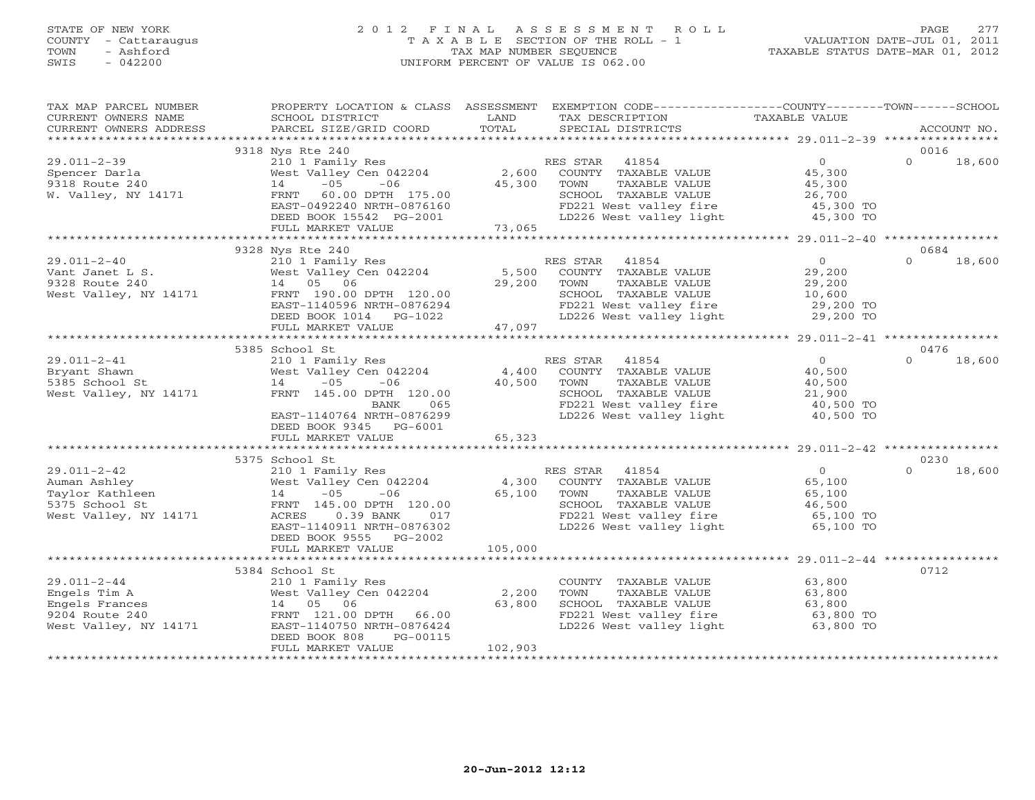# STATE OF NEW YORK 2 0 1 2 F I N A L A S S E S S M E N T R O L L PAGE 277 COUNTY - Cattaraugus T A X A B L E SECTION OF THE ROLL - 1 VALUATION DATE-JUL 01, 2011 TOWN - Ashford TAX MAP NUMBER SEQUENCE TAXABLE STATUS DATE-MAR 01, 2012 SWIS - 042200 UNIFORM PERCENT OF VALUE IS 062.00UNIFORM PERCENT OF VALUE IS 062.00

| TAX DESCRIPTION TAXABLE VALUE<br>CURRENT OWNERS NAME<br>SCHOOL DISTRICT<br>LAND<br>TOTAL<br>CURRENT OWNERS ADDRESS<br>PARCEL SIZE/GRID COORD<br>SPECIAL DISTRICTS<br>ACCOUNT NO.<br>9318 Nys Rte 240<br>0016<br>$\Omega$<br>$29.011 - 2 - 39$<br>$\overline{0}$<br>18,600<br>$0$<br>45,300<br>Spencer Darla<br>West valley centralized:<br>14 - 05 - 06 - 06 - 07 - 45,300 TOWN<br>FRNT 60.00 DPTH 175.00 SCHOO<br>EAST-0492240 NRTH-0876160 FD221<br>DEED BOOK 15542 PG-2001 LD226<br>FULL MARKET VALUE 73,065<br>9318 Route 240<br>TAXABLE VALUE<br>45,300<br>26,700<br>W. Valley, NY 14171<br>SCHOOL TAXABLE VALUE<br>9328 Nys Rte 240<br>0684<br>$\begin{array}{c}0\\29\end{array}$<br>$\Omega$<br>18,600<br>29.011-2-40<br>Vant Janet LS. 2001 Family Res<br>Vant Janet LS. West Valley (2010 18)<br>29.200 FOWN TAXABLE VALUE<br>29.200 FOWN TAXABLE VALUE<br>29.200 FOWN TAXABLE VALUE<br>29.200 FOWN TAXABLE VALUE<br>29.200 FOWN TAXABLE VALUE<br>29.<br>29,200<br>SCHOOL TAXABLE VALUE 10,600<br>FD221 West valley fire 29,200 TO<br>LD226 West valley light 29,200 TO<br>5385 School St<br>0476<br>SCHOOT 50<br>210 1 Family Res<br>West Valley Cen 042204 4,400 COUNTY TAXABLE VALUE<br>14 −05 −06 40,500 TOWN TAXABLE VALUE<br>$\overline{0}$<br>$\Omega$<br>18,600<br>$29.011 - 2 - 41$<br>Expant Shawn<br>Signal Shawn<br>5385 School St<br>West Valley, NY 14171<br>FRNT 145.0<br>40,500<br>40,500<br>40,500<br>SCHOOL TAXABLE VALUE $21,900$<br>FD221 West valley fire $40,500$ TO<br>FRNT 145.00 DPTH 120.00<br>BANK 065<br>LD226 West valley light 40,500 TO<br>EAST-1140764 NRTH-0876299<br>DEED BOOK 9345 PG-6001<br>65,323<br>FULL MARKET VALUE<br>5375 School St<br>0230<br>$\begin{array}{c} 0 \\ 65,100 \end{array}$<br>$\Omega$<br>18,600<br>TAXABLE VALUE<br>65,100<br>SCHOOL TAXABLE VALUE<br>46,500<br>FD221 West valley fire 65,100 TO<br>LD226 West valley light 65,100 TO<br>DEED BOOK 9555 PG-2002<br>105,000<br>FULL MARKET VALUE<br>0712<br>5384 School St<br>210 1 Family Res<br>West Valley Cen 042204 2,200<br>COUNTY TAXABLE VALUE 63,800<br>TOWN TAXABLE VALUE 63,800<br>29.011-2-44 210 1 Family Res<br>Engels Tim A West Valley Cen 042204 2,200<br>Engels Frances 14 05 06 63,800<br>9204 Route 240 FRNT 121.00 DPTH 66.00<br>West Valley, NY 14171 EAST-1140750 NRTH-0876424<br>REST-1140750 NRTH-0876424<br>SCHOOL TAXABLE VALUE 63,800<br>FD221 West valley fire 63,800 TO<br>LD226 West valley light 63,800 TO<br>DEED BOOK 808<br>PG-00115<br>102,903<br>FULL MARKET VALUE | TAX MAP PARCEL NUMBER | PROPERTY LOCATION & CLASS ASSESSMENT EXEMPTION CODE---------------COUNTY-------TOWN------SCHOOL |  |  |  |
|----------------------------------------------------------------------------------------------------------------------------------------------------------------------------------------------------------------------------------------------------------------------------------------------------------------------------------------------------------------------------------------------------------------------------------------------------------------------------------------------------------------------------------------------------------------------------------------------------------------------------------------------------------------------------------------------------------------------------------------------------------------------------------------------------------------------------------------------------------------------------------------------------------------------------------------------------------------------------------------------------------------------------------------------------------------------------------------------------------------------------------------------------------------------------------------------------------------------------------------------------------------------------------------------------------------------------------------------------------------------------------------------------------------------------------------------------------------------------------------------------------------------------------------------------------------------------------------------------------------------------------------------------------------------------------------------------------------------------------------------------------------------------------------------------------------------------------------------------------------------------------------------------------------------------------------------------------------------------------------------------------------------------------------------------------------------------------------------------------------------------------------------------------------------------------------------------------------------------------------------------------------------------------------------------------------------------------------------------------------------------------------------------------------------------------------------------------------------------------------------------------------------------|-----------------------|-------------------------------------------------------------------------------------------------|--|--|--|
|                                                                                                                                                                                                                                                                                                                                                                                                                                                                                                                                                                                                                                                                                                                                                                                                                                                                                                                                                                                                                                                                                                                                                                                                                                                                                                                                                                                                                                                                                                                                                                                                                                                                                                                                                                                                                                                                                                                                                                                                                                                                                                                                                                                                                                                                                                                                                                                                                                                                                                                            |                       |                                                                                                 |  |  |  |
|                                                                                                                                                                                                                                                                                                                                                                                                                                                                                                                                                                                                                                                                                                                                                                                                                                                                                                                                                                                                                                                                                                                                                                                                                                                                                                                                                                                                                                                                                                                                                                                                                                                                                                                                                                                                                                                                                                                                                                                                                                                                                                                                                                                                                                                                                                                                                                                                                                                                                                                            |                       |                                                                                                 |  |  |  |
|                                                                                                                                                                                                                                                                                                                                                                                                                                                                                                                                                                                                                                                                                                                                                                                                                                                                                                                                                                                                                                                                                                                                                                                                                                                                                                                                                                                                                                                                                                                                                                                                                                                                                                                                                                                                                                                                                                                                                                                                                                                                                                                                                                                                                                                                                                                                                                                                                                                                                                                            |                       |                                                                                                 |  |  |  |
|                                                                                                                                                                                                                                                                                                                                                                                                                                                                                                                                                                                                                                                                                                                                                                                                                                                                                                                                                                                                                                                                                                                                                                                                                                                                                                                                                                                                                                                                                                                                                                                                                                                                                                                                                                                                                                                                                                                                                                                                                                                                                                                                                                                                                                                                                                                                                                                                                                                                                                                            |                       |                                                                                                 |  |  |  |
|                                                                                                                                                                                                                                                                                                                                                                                                                                                                                                                                                                                                                                                                                                                                                                                                                                                                                                                                                                                                                                                                                                                                                                                                                                                                                                                                                                                                                                                                                                                                                                                                                                                                                                                                                                                                                                                                                                                                                                                                                                                                                                                                                                                                                                                                                                                                                                                                                                                                                                                            |                       |                                                                                                 |  |  |  |
|                                                                                                                                                                                                                                                                                                                                                                                                                                                                                                                                                                                                                                                                                                                                                                                                                                                                                                                                                                                                                                                                                                                                                                                                                                                                                                                                                                                                                                                                                                                                                                                                                                                                                                                                                                                                                                                                                                                                                                                                                                                                                                                                                                                                                                                                                                                                                                                                                                                                                                                            |                       |                                                                                                 |  |  |  |
|                                                                                                                                                                                                                                                                                                                                                                                                                                                                                                                                                                                                                                                                                                                                                                                                                                                                                                                                                                                                                                                                                                                                                                                                                                                                                                                                                                                                                                                                                                                                                                                                                                                                                                                                                                                                                                                                                                                                                                                                                                                                                                                                                                                                                                                                                                                                                                                                                                                                                                                            |                       |                                                                                                 |  |  |  |
|                                                                                                                                                                                                                                                                                                                                                                                                                                                                                                                                                                                                                                                                                                                                                                                                                                                                                                                                                                                                                                                                                                                                                                                                                                                                                                                                                                                                                                                                                                                                                                                                                                                                                                                                                                                                                                                                                                                                                                                                                                                                                                                                                                                                                                                                                                                                                                                                                                                                                                                            |                       |                                                                                                 |  |  |  |
|                                                                                                                                                                                                                                                                                                                                                                                                                                                                                                                                                                                                                                                                                                                                                                                                                                                                                                                                                                                                                                                                                                                                                                                                                                                                                                                                                                                                                                                                                                                                                                                                                                                                                                                                                                                                                                                                                                                                                                                                                                                                                                                                                                                                                                                                                                                                                                                                                                                                                                                            |                       |                                                                                                 |  |  |  |
|                                                                                                                                                                                                                                                                                                                                                                                                                                                                                                                                                                                                                                                                                                                                                                                                                                                                                                                                                                                                                                                                                                                                                                                                                                                                                                                                                                                                                                                                                                                                                                                                                                                                                                                                                                                                                                                                                                                                                                                                                                                                                                                                                                                                                                                                                                                                                                                                                                                                                                                            |                       |                                                                                                 |  |  |  |
|                                                                                                                                                                                                                                                                                                                                                                                                                                                                                                                                                                                                                                                                                                                                                                                                                                                                                                                                                                                                                                                                                                                                                                                                                                                                                                                                                                                                                                                                                                                                                                                                                                                                                                                                                                                                                                                                                                                                                                                                                                                                                                                                                                                                                                                                                                                                                                                                                                                                                                                            |                       |                                                                                                 |  |  |  |
|                                                                                                                                                                                                                                                                                                                                                                                                                                                                                                                                                                                                                                                                                                                                                                                                                                                                                                                                                                                                                                                                                                                                                                                                                                                                                                                                                                                                                                                                                                                                                                                                                                                                                                                                                                                                                                                                                                                                                                                                                                                                                                                                                                                                                                                                                                                                                                                                                                                                                                                            |                       |                                                                                                 |  |  |  |
|                                                                                                                                                                                                                                                                                                                                                                                                                                                                                                                                                                                                                                                                                                                                                                                                                                                                                                                                                                                                                                                                                                                                                                                                                                                                                                                                                                                                                                                                                                                                                                                                                                                                                                                                                                                                                                                                                                                                                                                                                                                                                                                                                                                                                                                                                                                                                                                                                                                                                                                            |                       |                                                                                                 |  |  |  |
|                                                                                                                                                                                                                                                                                                                                                                                                                                                                                                                                                                                                                                                                                                                                                                                                                                                                                                                                                                                                                                                                                                                                                                                                                                                                                                                                                                                                                                                                                                                                                                                                                                                                                                                                                                                                                                                                                                                                                                                                                                                                                                                                                                                                                                                                                                                                                                                                                                                                                                                            |                       |                                                                                                 |  |  |  |
|                                                                                                                                                                                                                                                                                                                                                                                                                                                                                                                                                                                                                                                                                                                                                                                                                                                                                                                                                                                                                                                                                                                                                                                                                                                                                                                                                                                                                                                                                                                                                                                                                                                                                                                                                                                                                                                                                                                                                                                                                                                                                                                                                                                                                                                                                                                                                                                                                                                                                                                            |                       |                                                                                                 |  |  |  |
|                                                                                                                                                                                                                                                                                                                                                                                                                                                                                                                                                                                                                                                                                                                                                                                                                                                                                                                                                                                                                                                                                                                                                                                                                                                                                                                                                                                                                                                                                                                                                                                                                                                                                                                                                                                                                                                                                                                                                                                                                                                                                                                                                                                                                                                                                                                                                                                                                                                                                                                            |                       |                                                                                                 |  |  |  |
|                                                                                                                                                                                                                                                                                                                                                                                                                                                                                                                                                                                                                                                                                                                                                                                                                                                                                                                                                                                                                                                                                                                                                                                                                                                                                                                                                                                                                                                                                                                                                                                                                                                                                                                                                                                                                                                                                                                                                                                                                                                                                                                                                                                                                                                                                                                                                                                                                                                                                                                            |                       |                                                                                                 |  |  |  |
|                                                                                                                                                                                                                                                                                                                                                                                                                                                                                                                                                                                                                                                                                                                                                                                                                                                                                                                                                                                                                                                                                                                                                                                                                                                                                                                                                                                                                                                                                                                                                                                                                                                                                                                                                                                                                                                                                                                                                                                                                                                                                                                                                                                                                                                                                                                                                                                                                                                                                                                            |                       |                                                                                                 |  |  |  |
|                                                                                                                                                                                                                                                                                                                                                                                                                                                                                                                                                                                                                                                                                                                                                                                                                                                                                                                                                                                                                                                                                                                                                                                                                                                                                                                                                                                                                                                                                                                                                                                                                                                                                                                                                                                                                                                                                                                                                                                                                                                                                                                                                                                                                                                                                                                                                                                                                                                                                                                            |                       |                                                                                                 |  |  |  |
|                                                                                                                                                                                                                                                                                                                                                                                                                                                                                                                                                                                                                                                                                                                                                                                                                                                                                                                                                                                                                                                                                                                                                                                                                                                                                                                                                                                                                                                                                                                                                                                                                                                                                                                                                                                                                                                                                                                                                                                                                                                                                                                                                                                                                                                                                                                                                                                                                                                                                                                            |                       |                                                                                                 |  |  |  |
|                                                                                                                                                                                                                                                                                                                                                                                                                                                                                                                                                                                                                                                                                                                                                                                                                                                                                                                                                                                                                                                                                                                                                                                                                                                                                                                                                                                                                                                                                                                                                                                                                                                                                                                                                                                                                                                                                                                                                                                                                                                                                                                                                                                                                                                                                                                                                                                                                                                                                                                            |                       |                                                                                                 |  |  |  |
|                                                                                                                                                                                                                                                                                                                                                                                                                                                                                                                                                                                                                                                                                                                                                                                                                                                                                                                                                                                                                                                                                                                                                                                                                                                                                                                                                                                                                                                                                                                                                                                                                                                                                                                                                                                                                                                                                                                                                                                                                                                                                                                                                                                                                                                                                                                                                                                                                                                                                                                            |                       |                                                                                                 |  |  |  |
|                                                                                                                                                                                                                                                                                                                                                                                                                                                                                                                                                                                                                                                                                                                                                                                                                                                                                                                                                                                                                                                                                                                                                                                                                                                                                                                                                                                                                                                                                                                                                                                                                                                                                                                                                                                                                                                                                                                                                                                                                                                                                                                                                                                                                                                                                                                                                                                                                                                                                                                            |                       |                                                                                                 |  |  |  |
|                                                                                                                                                                                                                                                                                                                                                                                                                                                                                                                                                                                                                                                                                                                                                                                                                                                                                                                                                                                                                                                                                                                                                                                                                                                                                                                                                                                                                                                                                                                                                                                                                                                                                                                                                                                                                                                                                                                                                                                                                                                                                                                                                                                                                                                                                                                                                                                                                                                                                                                            |                       |                                                                                                 |  |  |  |
|                                                                                                                                                                                                                                                                                                                                                                                                                                                                                                                                                                                                                                                                                                                                                                                                                                                                                                                                                                                                                                                                                                                                                                                                                                                                                                                                                                                                                                                                                                                                                                                                                                                                                                                                                                                                                                                                                                                                                                                                                                                                                                                                                                                                                                                                                                                                                                                                                                                                                                                            |                       |                                                                                                 |  |  |  |
|                                                                                                                                                                                                                                                                                                                                                                                                                                                                                                                                                                                                                                                                                                                                                                                                                                                                                                                                                                                                                                                                                                                                                                                                                                                                                                                                                                                                                                                                                                                                                                                                                                                                                                                                                                                                                                                                                                                                                                                                                                                                                                                                                                                                                                                                                                                                                                                                                                                                                                                            |                       |                                                                                                 |  |  |  |
|                                                                                                                                                                                                                                                                                                                                                                                                                                                                                                                                                                                                                                                                                                                                                                                                                                                                                                                                                                                                                                                                                                                                                                                                                                                                                                                                                                                                                                                                                                                                                                                                                                                                                                                                                                                                                                                                                                                                                                                                                                                                                                                                                                                                                                                                                                                                                                                                                                                                                                                            |                       |                                                                                                 |  |  |  |
|                                                                                                                                                                                                                                                                                                                                                                                                                                                                                                                                                                                                                                                                                                                                                                                                                                                                                                                                                                                                                                                                                                                                                                                                                                                                                                                                                                                                                                                                                                                                                                                                                                                                                                                                                                                                                                                                                                                                                                                                                                                                                                                                                                                                                                                                                                                                                                                                                                                                                                                            |                       |                                                                                                 |  |  |  |
|                                                                                                                                                                                                                                                                                                                                                                                                                                                                                                                                                                                                                                                                                                                                                                                                                                                                                                                                                                                                                                                                                                                                                                                                                                                                                                                                                                                                                                                                                                                                                                                                                                                                                                                                                                                                                                                                                                                                                                                                                                                                                                                                                                                                                                                                                                                                                                                                                                                                                                                            |                       |                                                                                                 |  |  |  |
|                                                                                                                                                                                                                                                                                                                                                                                                                                                                                                                                                                                                                                                                                                                                                                                                                                                                                                                                                                                                                                                                                                                                                                                                                                                                                                                                                                                                                                                                                                                                                                                                                                                                                                                                                                                                                                                                                                                                                                                                                                                                                                                                                                                                                                                                                                                                                                                                                                                                                                                            |                       |                                                                                                 |  |  |  |
|                                                                                                                                                                                                                                                                                                                                                                                                                                                                                                                                                                                                                                                                                                                                                                                                                                                                                                                                                                                                                                                                                                                                                                                                                                                                                                                                                                                                                                                                                                                                                                                                                                                                                                                                                                                                                                                                                                                                                                                                                                                                                                                                                                                                                                                                                                                                                                                                                                                                                                                            |                       |                                                                                                 |  |  |  |
|                                                                                                                                                                                                                                                                                                                                                                                                                                                                                                                                                                                                                                                                                                                                                                                                                                                                                                                                                                                                                                                                                                                                                                                                                                                                                                                                                                                                                                                                                                                                                                                                                                                                                                                                                                                                                                                                                                                                                                                                                                                                                                                                                                                                                                                                                                                                                                                                                                                                                                                            |                       |                                                                                                 |  |  |  |
|                                                                                                                                                                                                                                                                                                                                                                                                                                                                                                                                                                                                                                                                                                                                                                                                                                                                                                                                                                                                                                                                                                                                                                                                                                                                                                                                                                                                                                                                                                                                                                                                                                                                                                                                                                                                                                                                                                                                                                                                                                                                                                                                                                                                                                                                                                                                                                                                                                                                                                                            |                       |                                                                                                 |  |  |  |
|                                                                                                                                                                                                                                                                                                                                                                                                                                                                                                                                                                                                                                                                                                                                                                                                                                                                                                                                                                                                                                                                                                                                                                                                                                                                                                                                                                                                                                                                                                                                                                                                                                                                                                                                                                                                                                                                                                                                                                                                                                                                                                                                                                                                                                                                                                                                                                                                                                                                                                                            |                       |                                                                                                 |  |  |  |
|                                                                                                                                                                                                                                                                                                                                                                                                                                                                                                                                                                                                                                                                                                                                                                                                                                                                                                                                                                                                                                                                                                                                                                                                                                                                                                                                                                                                                                                                                                                                                                                                                                                                                                                                                                                                                                                                                                                                                                                                                                                                                                                                                                                                                                                                                                                                                                                                                                                                                                                            |                       |                                                                                                 |  |  |  |
|                                                                                                                                                                                                                                                                                                                                                                                                                                                                                                                                                                                                                                                                                                                                                                                                                                                                                                                                                                                                                                                                                                                                                                                                                                                                                                                                                                                                                                                                                                                                                                                                                                                                                                                                                                                                                                                                                                                                                                                                                                                                                                                                                                                                                                                                                                                                                                                                                                                                                                                            |                       |                                                                                                 |  |  |  |
|                                                                                                                                                                                                                                                                                                                                                                                                                                                                                                                                                                                                                                                                                                                                                                                                                                                                                                                                                                                                                                                                                                                                                                                                                                                                                                                                                                                                                                                                                                                                                                                                                                                                                                                                                                                                                                                                                                                                                                                                                                                                                                                                                                                                                                                                                                                                                                                                                                                                                                                            |                       |                                                                                                 |  |  |  |
|                                                                                                                                                                                                                                                                                                                                                                                                                                                                                                                                                                                                                                                                                                                                                                                                                                                                                                                                                                                                                                                                                                                                                                                                                                                                                                                                                                                                                                                                                                                                                                                                                                                                                                                                                                                                                                                                                                                                                                                                                                                                                                                                                                                                                                                                                                                                                                                                                                                                                                                            |                       |                                                                                                 |  |  |  |
|                                                                                                                                                                                                                                                                                                                                                                                                                                                                                                                                                                                                                                                                                                                                                                                                                                                                                                                                                                                                                                                                                                                                                                                                                                                                                                                                                                                                                                                                                                                                                                                                                                                                                                                                                                                                                                                                                                                                                                                                                                                                                                                                                                                                                                                                                                                                                                                                                                                                                                                            |                       |                                                                                                 |  |  |  |
|                                                                                                                                                                                                                                                                                                                                                                                                                                                                                                                                                                                                                                                                                                                                                                                                                                                                                                                                                                                                                                                                                                                                                                                                                                                                                                                                                                                                                                                                                                                                                                                                                                                                                                                                                                                                                                                                                                                                                                                                                                                                                                                                                                                                                                                                                                                                                                                                                                                                                                                            |                       |                                                                                                 |  |  |  |
|                                                                                                                                                                                                                                                                                                                                                                                                                                                                                                                                                                                                                                                                                                                                                                                                                                                                                                                                                                                                                                                                                                                                                                                                                                                                                                                                                                                                                                                                                                                                                                                                                                                                                                                                                                                                                                                                                                                                                                                                                                                                                                                                                                                                                                                                                                                                                                                                                                                                                                                            |                       |                                                                                                 |  |  |  |
|                                                                                                                                                                                                                                                                                                                                                                                                                                                                                                                                                                                                                                                                                                                                                                                                                                                                                                                                                                                                                                                                                                                                                                                                                                                                                                                                                                                                                                                                                                                                                                                                                                                                                                                                                                                                                                                                                                                                                                                                                                                                                                                                                                                                                                                                                                                                                                                                                                                                                                                            |                       |                                                                                                 |  |  |  |
|                                                                                                                                                                                                                                                                                                                                                                                                                                                                                                                                                                                                                                                                                                                                                                                                                                                                                                                                                                                                                                                                                                                                                                                                                                                                                                                                                                                                                                                                                                                                                                                                                                                                                                                                                                                                                                                                                                                                                                                                                                                                                                                                                                                                                                                                                                                                                                                                                                                                                                                            |                       |                                                                                                 |  |  |  |
|                                                                                                                                                                                                                                                                                                                                                                                                                                                                                                                                                                                                                                                                                                                                                                                                                                                                                                                                                                                                                                                                                                                                                                                                                                                                                                                                                                                                                                                                                                                                                                                                                                                                                                                                                                                                                                                                                                                                                                                                                                                                                                                                                                                                                                                                                                                                                                                                                                                                                                                            |                       |                                                                                                 |  |  |  |
|                                                                                                                                                                                                                                                                                                                                                                                                                                                                                                                                                                                                                                                                                                                                                                                                                                                                                                                                                                                                                                                                                                                                                                                                                                                                                                                                                                                                                                                                                                                                                                                                                                                                                                                                                                                                                                                                                                                                                                                                                                                                                                                                                                                                                                                                                                                                                                                                                                                                                                                            |                       |                                                                                                 |  |  |  |
|                                                                                                                                                                                                                                                                                                                                                                                                                                                                                                                                                                                                                                                                                                                                                                                                                                                                                                                                                                                                                                                                                                                                                                                                                                                                                                                                                                                                                                                                                                                                                                                                                                                                                                                                                                                                                                                                                                                                                                                                                                                                                                                                                                                                                                                                                                                                                                                                                                                                                                                            |                       |                                                                                                 |  |  |  |
|                                                                                                                                                                                                                                                                                                                                                                                                                                                                                                                                                                                                                                                                                                                                                                                                                                                                                                                                                                                                                                                                                                                                                                                                                                                                                                                                                                                                                                                                                                                                                                                                                                                                                                                                                                                                                                                                                                                                                                                                                                                                                                                                                                                                                                                                                                                                                                                                                                                                                                                            |                       |                                                                                                 |  |  |  |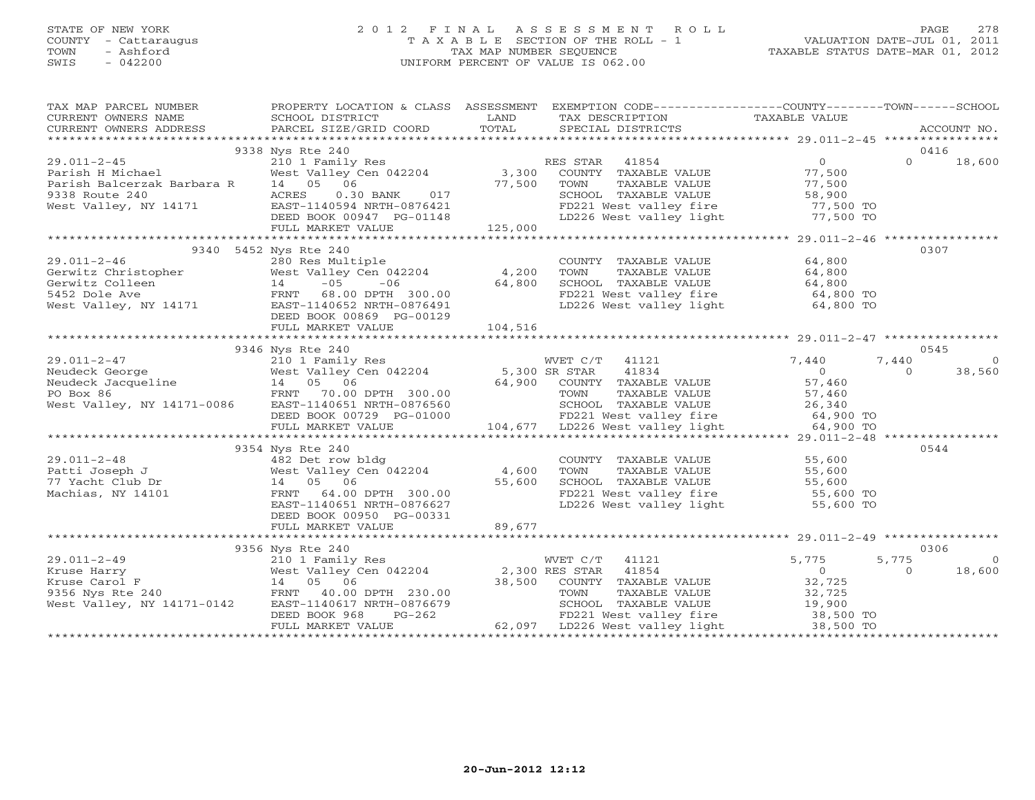# STATE OF NEW YORK 2 0 1 2 F I N A L A S S E S S M E N T R O L L PAGE 278 COUNTY - Cattaraugus T A X A B L E SECTION OF THE ROLL - 1 VALUATION DATE-JUL 01, 2011 TOWN - Ashford TAX MAP NUMBER SEQUENCE TAXABLE STATUS DATE-MAR 01, 2012 SWIS - 042200 UNIFORM PERCENT OF VALUE IS 062.00UNIFORM PERCENT OF VALUE IS 062.00

| TAX MAP PARCEL NUMBER                                                                                                                                                                                                                                                                                                                                                                                                 |                                               | PROPERTY LOCATION & CLASS ASSESSMENT EXEMPTION CODE----------------COUNTY-------TOWN------SCHOOL                                                                          |                         |
|-----------------------------------------------------------------------------------------------------------------------------------------------------------------------------------------------------------------------------------------------------------------------------------------------------------------------------------------------------------------------------------------------------------------------|-----------------------------------------------|---------------------------------------------------------------------------------------------------------------------------------------------------------------------------|-------------------------|
|                                                                                                                                                                                                                                                                                                                                                                                                                       |                                               |                                                                                                                                                                           |                         |
|                                                                                                                                                                                                                                                                                                                                                                                                                       |                                               |                                                                                                                                                                           |                         |
|                                                                                                                                                                                                                                                                                                                                                                                                                       |                                               |                                                                                                                                                                           |                         |
|                                                                                                                                                                                                                                                                                                                                                                                                                       | 9338 Nys Rte 240                              |                                                                                                                                                                           | 0416                    |
| $\begin{tabular}{lllllllllllllllllllll} \hline 29.011-2-45 & 9338 \text{ NUS K} & 810 & 1 &\text{Family Res} & \text{RES STRR} & 41854 & 0 \\ & & 210 & 1 &\text{Family Res} & \text{RES STRR} & 41854 & 0 \\ & & 210 & 1 &\text{Family Res} & 3,300 & \text{COUNTY} & \text{TAXABLE VALUE} & 77,500 \\ \text{Parish Balcerzak Barbara R} & 14 & 05 & 06 & 77,500 & \text{TONN} & \text{TAXABLE VALUE} & 77,500 \\ &$ |                                               |                                                                                                                                                                           | $\Omega$<br>18,600      |
|                                                                                                                                                                                                                                                                                                                                                                                                                       |                                               |                                                                                                                                                                           |                         |
|                                                                                                                                                                                                                                                                                                                                                                                                                       |                                               |                                                                                                                                                                           |                         |
|                                                                                                                                                                                                                                                                                                                                                                                                                       |                                               |                                                                                                                                                                           |                         |
|                                                                                                                                                                                                                                                                                                                                                                                                                       |                                               |                                                                                                                                                                           |                         |
|                                                                                                                                                                                                                                                                                                                                                                                                                       |                                               |                                                                                                                                                                           |                         |
|                                                                                                                                                                                                                                                                                                                                                                                                                       |                                               |                                                                                                                                                                           |                         |
|                                                                                                                                                                                                                                                                                                                                                                                                                       |                                               |                                                                                                                                                                           |                         |
|                                                                                                                                                                                                                                                                                                                                                                                                                       | 9340 5452 Nys Rte 240                         |                                                                                                                                                                           | 0307                    |
|                                                                                                                                                                                                                                                                                                                                                                                                                       |                                               |                                                                                                                                                                           |                         |
|                                                                                                                                                                                                                                                                                                                                                                                                                       |                                               |                                                                                                                                                                           |                         |
|                                                                                                                                                                                                                                                                                                                                                                                                                       |                                               |                                                                                                                                                                           |                         |
|                                                                                                                                                                                                                                                                                                                                                                                                                       |                                               |                                                                                                                                                                           |                         |
|                                                                                                                                                                                                                                                                                                                                                                                                                       |                                               |                                                                                                                                                                           |                         |
|                                                                                                                                                                                                                                                                                                                                                                                                                       |                                               |                                                                                                                                                                           |                         |
|                                                                                                                                                                                                                                                                                                                                                                                                                       | DEED BOOK 00869 PG-00129<br>FULL MARKET VALUE |                                                                                                                                                                           |                         |
|                                                                                                                                                                                                                                                                                                                                                                                                                       |                                               |                                                                                                                                                                           |                         |
|                                                                                                                                                                                                                                                                                                                                                                                                                       |                                               |                                                                                                                                                                           |                         |
|                                                                                                                                                                                                                                                                                                                                                                                                                       | 9346 Nys Rte 240                              |                                                                                                                                                                           | 0545                    |
|                                                                                                                                                                                                                                                                                                                                                                                                                       |                                               |                                                                                                                                                                           |                         |
|                                                                                                                                                                                                                                                                                                                                                                                                                       |                                               |                                                                                                                                                                           |                         |
|                                                                                                                                                                                                                                                                                                                                                                                                                       |                                               |                                                                                                                                                                           |                         |
|                                                                                                                                                                                                                                                                                                                                                                                                                       |                                               |                                                                                                                                                                           |                         |
|                                                                                                                                                                                                                                                                                                                                                                                                                       |                                               |                                                                                                                                                                           |                         |
|                                                                                                                                                                                                                                                                                                                                                                                                                       |                                               |                                                                                                                                                                           |                         |
|                                                                                                                                                                                                                                                                                                                                                                                                                       |                                               |                                                                                                                                                                           |                         |
| $\begin{array}{cccccccc} 29.011-2-47 & 9346\text{ NVS} & \text{Re} & \text{WNET C/T} & 41121 & 7,440 & 7,440 & 0 \\ \text{Neudeck George} & 2101\text{ Family Res} & 5,300\text{ SR STRR} & 41834 & 7,440 & 7,440 & 0 \\ \text{Neudeek George} & 14 & 05 & 06 & 64,900 & \text{COMNT} & \text{TAXABLE VALUE} & 5,300\text{ SR STRR} & 201 & 5,300\text{ SR STRR} & 201 & 7,4$                                         |                                               |                                                                                                                                                                           |                         |
|                                                                                                                                                                                                                                                                                                                                                                                                                       | 9354 Nys Rte 240                              |                                                                                                                                                                           | 0544                    |
|                                                                                                                                                                                                                                                                                                                                                                                                                       |                                               |                                                                                                                                                                           |                         |
|                                                                                                                                                                                                                                                                                                                                                                                                                       |                                               |                                                                                                                                                                           |                         |
|                                                                                                                                                                                                                                                                                                                                                                                                                       |                                               |                                                                                                                                                                           |                         |
| 29.011-2-48<br>Patti Joseph J<br>77 Yacht Club Dr<br>Machias, NY 14101<br>Machias, NY 14101<br>Patti Solomon Dr<br>Machias, NY 14101<br>Patti Solomon Dr<br>Patti Solomon Dr<br>Patti Solomon Dr<br>Patti Solomon Dr<br>Patti Solomon Dr<br>Patti Sol                                                                                                                                                                 |                                               | COUNTY TAXABLE VALUE<br>TOWN TAXABLE VALUE<br>SCHOOL TAXABLE VALUE<br>SCHOOL TAXABLE VALUE<br>FD221 West valley fire<br>LD226 West valley light<br>55,600 TO<br>55,600 TO |                         |
|                                                                                                                                                                                                                                                                                                                                                                                                                       |                                               |                                                                                                                                                                           |                         |
|                                                                                                                                                                                                                                                                                                                                                                                                                       |                                               |                                                                                                                                                                           |                         |
|                                                                                                                                                                                                                                                                                                                                                                                                                       |                                               |                                                                                                                                                                           |                         |
|                                                                                                                                                                                                                                                                                                                                                                                                                       |                                               |                                                                                                                                                                           |                         |
|                                                                                                                                                                                                                                                                                                                                                                                                                       | 9356 Nys Rte 240                              |                                                                                                                                                                           | 0306                    |
|                                                                                                                                                                                                                                                                                                                                                                                                                       |                                               |                                                                                                                                                                           | 5,775<br>$\overline{0}$ |
|                                                                                                                                                                                                                                                                                                                                                                                                                       |                                               |                                                                                                                                                                           | $0 \t 18,600$           |
|                                                                                                                                                                                                                                                                                                                                                                                                                       |                                               |                                                                                                                                                                           |                         |
|                                                                                                                                                                                                                                                                                                                                                                                                                       |                                               |                                                                                                                                                                           |                         |
|                                                                                                                                                                                                                                                                                                                                                                                                                       |                                               |                                                                                                                                                                           |                         |
|                                                                                                                                                                                                                                                                                                                                                                                                                       |                                               |                                                                                                                                                                           |                         |
|                                                                                                                                                                                                                                                                                                                                                                                                                       |                                               |                                                                                                                                                                           |                         |
|                                                                                                                                                                                                                                                                                                                                                                                                                       |                                               |                                                                                                                                                                           |                         |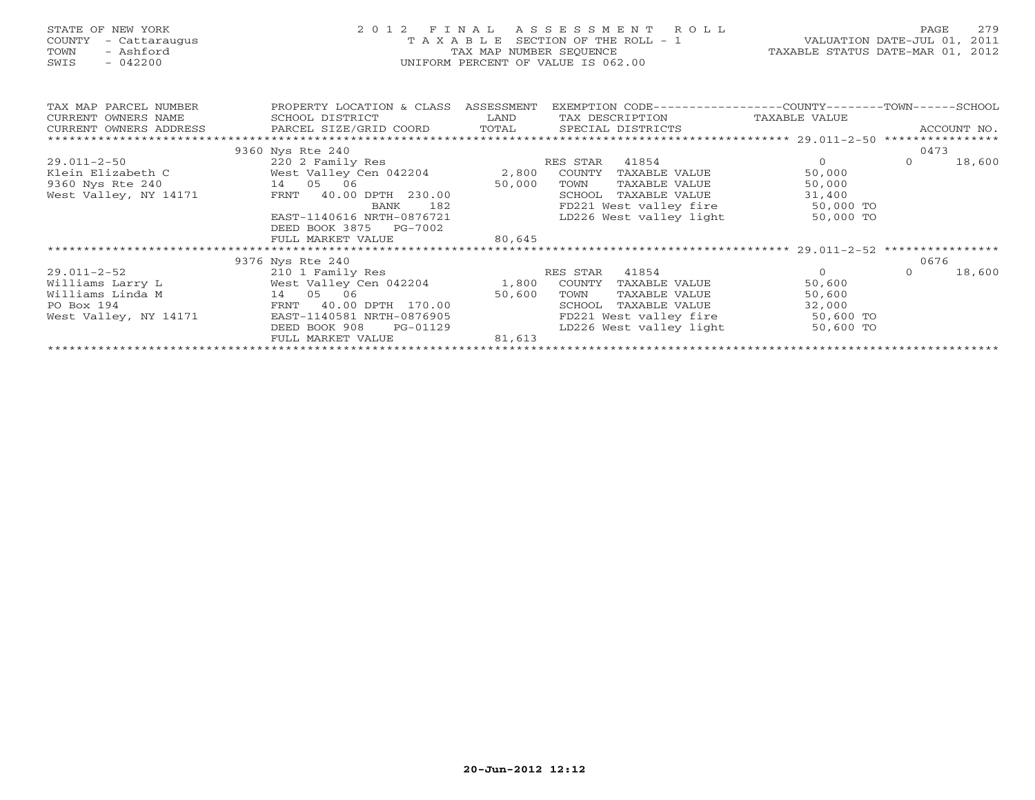| STATE OF NEW YORK<br>COUNTY<br>- Cattaraugus<br>- Ashford<br>TOWN<br>$-042200$<br>SWIS | 2 0 1 2<br>FINAL ASSESSMENT ROLL<br>TAXABLE<br>TAX MAP NUMBER SEQUENCE<br>UNIFORM PERCENT OF VALUE IS 062.00                                                                                                                                                                   | VALUATION DATE-JUL 01, 2011<br>TAXABLE STATUS DATE-MAR 01, 2012 | PAGE           | 279                                               |                                                              |          |             |
|----------------------------------------------------------------------------------------|--------------------------------------------------------------------------------------------------------------------------------------------------------------------------------------------------------------------------------------------------------------------------------|-----------------------------------------------------------------|----------------|---------------------------------------------------|--------------------------------------------------------------|----------|-------------|
| TAX MAP PARCEL NUMBER<br>CURRENT OWNERS NAME<br>CURRENT OWNERS ADDRESS                 | PROPERTY LOCATION & CLASS ASSESSMENT<br>SCHOOL DISTRICT<br><b>Example 19</b> LAND<br>PARCEL SIZE/GRID COORD TOTAL SPECIAL DISTRICTS                                                                                                                                            |                                                                 |                | TAX DESCRIPTION TAXABLE VALUE                     | EXEMPTION CODE-----------------COUNTY-------TOWN------SCHOOL |          | ACCOUNT NO. |
|                                                                                        |                                                                                                                                                                                                                                                                                |                                                                 |                |                                                   |                                                              | 0473     |             |
|                                                                                        | 9360 Nys Rte 240<br>220 2 Family Res                                                                                                                                                                                                                                           |                                                                 | RES STAR       | 41854                                             | $\Omega$                                                     | $\Omega$ | 18,600      |
| $29.011 - 2 - 50$                                                                      |                                                                                                                                                                                                                                                                                |                                                                 |                |                                                   | 50,000                                                       |          |             |
|                                                                                        | $\begin{array}{ccccccccc} \texttt{Klein Elizabeth C} & \texttt{West Valley}^{-} \texttt{Cen 042204} & \texttt{2,800} & \texttt{COUNTY TAXABLE VALUE} \\ 9360 \texttt{Nys Rte 240} & \texttt{14} & 05 & 06 & & & & 50,000 & \texttt{TOWN} & \texttt{TAXABLE VALUE} \end{array}$ |                                                                 |                | TAXABLE VALUE                                     | 50,000                                                       |          |             |
| West Valley, NY 14171                                                                  | FRNT 40.00 DPTH 230.00                                                                                                                                                                                                                                                         |                                                                 | SCHOOL         | TAXABLE VALUE                                     | 31,400                                                       |          |             |
|                                                                                        | BANK                                                                                                                                                                                                                                                                           | 182 and $\sim$                                                  |                |                                                   | FD221 West valley fire 50,000 TO                             |          |             |
|                                                                                        | EAST-1140616 NRTH-0876721<br>DEED BOOK 3875 PG-7002                                                                                                                                                                                                                            |                                                                 |                | LD226 West valley light                           | 50,000 TO                                                    |          |             |
|                                                                                        | FULL MARKET VALUE                                                                                                                                                                                                                                                              | 80,645                                                          |                |                                                   |                                                              |          |             |
|                                                                                        |                                                                                                                                                                                                                                                                                |                                                                 |                |                                                   |                                                              |          |             |
|                                                                                        | 9376 Nys Rte 240                                                                                                                                                                                                                                                               |                                                                 |                |                                                   |                                                              | 0676     |             |
| $29.011 - 2 - 52$                                                                      | 210 1 Family Res                                                                                                                                                                                                                                                               |                                                                 | RES STAR 41854 |                                                   | $\Omega$                                                     | $\cap$   | 18,600      |
| Williams Larry L                                                                       | West Valley Cen 042204 1,800 COUNTY TAXABLE VALUE                                                                                                                                                                                                                              |                                                                 |                |                                                   | 50,600                                                       |          |             |
| Williams Linda M                                                                       | 14 05 06                                                                                                                                                                                                                                                                       | 50,600                                                          | TOWN           | TAXABLE VALUE                                     | 50,600                                                       |          |             |
| PO Box 194                                                                             | FRNT 40.00 DPTH 170.00                                                                                                                                                                                                                                                         |                                                                 | SCHOOL         | TAXABLE VALUE                                     | 32,000                                                       |          |             |
| West Valley, NY 14171                                                                  | EAST-1140581 NRTH-0876905<br>DEED BOOK 908<br>PG-01129                                                                                                                                                                                                                         |                                                                 |                | FD221 West valley fire<br>LD226 West valley light | 50,600 TO<br>50,600 TO                                       |          |             |
|                                                                                        | FULL MARKET VALUE                                                                                                                                                                                                                                                              | 81,613                                                          |                |                                                   |                                                              |          |             |
|                                                                                        |                                                                                                                                                                                                                                                                                |                                                                 |                |                                                   |                                                              |          |             |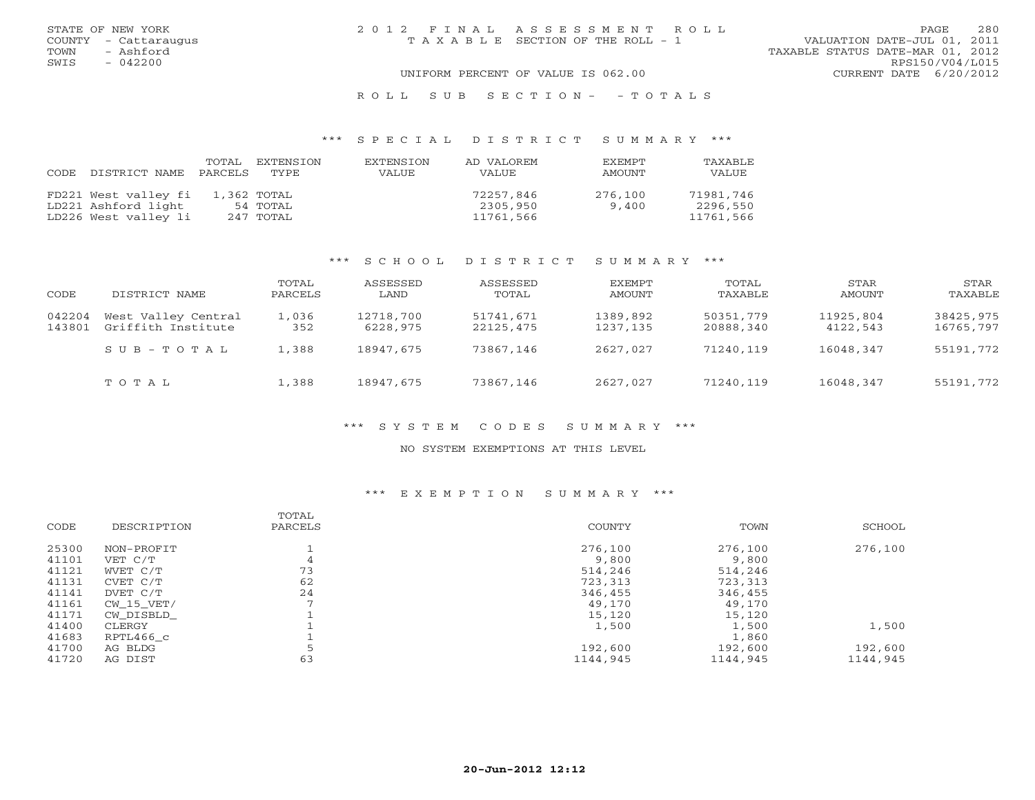| STATE OF NEW YORK    | 2012 FINAL ASSESSMENT ROLL            |                                  | PAGE.           | 280 |
|----------------------|---------------------------------------|----------------------------------|-----------------|-----|
| COUNTY - Cattaraugus | T A X A B L E SECTION OF THE ROLL - 1 | VALUATION DATE-JUL 01, 2011      |                 |     |
| TOWN<br>- Ashford    |                                       | TAXABLE STATUS DATE-MAR 01, 2012 |                 |     |
| $-042200$<br>SWIS    |                                       |                                  | RPS150/V04/L015 |     |
|                      | UNIFORM PERCENT OF VALUE IS 062.00    | CURRENT DATE 6/20/2012           |                 |     |
|                      |                                       |                                  |                 |     |

#### R O L L S U B S E C T I O N - - T O T A L S

#### \*\*\* S P E C I A L D I S T R I C T S U M M A R Y \*\*\*

| CODE DISTRICT NAME   | TOTAL<br>PARCELS | EXTENSION<br>TYPE. | EXTENSTON<br>VALUE | AD VALOREM<br><b>VALUE</b> | <b>EXEMPT</b><br>AMOUNT | TAXABLE<br><b>VALUE</b> |
|----------------------|------------------|--------------------|--------------------|----------------------------|-------------------------|-------------------------|
| FD221 West valley fi | 1,362 TOTAL      |                    |                    | 72257,846                  | 276,100                 | 71981,746               |
| LD221 Ashford light  |                  | 54 TOTAL           |                    | 2305,950                   | 9,400                   | 2296,550                |
| LD226 West valley li |                  | 247 TOTAL          |                    | 11761,566                  |                         | 11761,566               |

#### \*\*\* S C H O O L D I S T R I C T S U M M A R Y \*\*\*

| CODE             | DISTRICT NAME                             | TOTAL<br>PARCELS | ASSESSED<br>LAND      | ASSESSED<br>TOTAL      | EXEMPT<br>AMOUNT     | TOTAL<br>TAXABLE       | STAR<br>AMOUNT        | STAR<br>TAXABLE        |
|------------------|-------------------------------------------|------------------|-----------------------|------------------------|----------------------|------------------------|-----------------------|------------------------|
| 042204<br>143801 | West Valley Central<br>Griffith Institute | 1,036<br>352     | 12718,700<br>6228,975 | 51741,671<br>22125,475 | 1389,892<br>1237,135 | 50351,779<br>20888,340 | 11925,804<br>4122,543 | 38425,975<br>16765,797 |
|                  | $SUB - TO TAL$                            | 1,388            | 18947,675             | 73867,146              | 2627,027             | 71240,119              | 16048,347             | 55191,772              |
|                  | TOTAL                                     | 1,388            | 18947,675             | 73867,146              | 2627,027             | 71240,119              | 16048,347             | 55191,772              |

#### \*\*\* S Y S T E M C O D E S S U M M A R Y \*\*\*

#### NO SYSTEM EXEMPTIONS AT THIS LEVEL

#### \*\*\* E X E M P T I O N S U M M A R Y \*\*\*

| TOTAL<br>COUNTY<br>TOWN<br>CODE<br>DESCRIPTION<br>PARCELS | SCHOOL   |
|-----------------------------------------------------------|----------|
| 25300<br>276,100<br>276,100<br>NON-PROFIT                 | 276,100  |
| 41101<br>9,800<br>9,800<br>VET C/T<br>4                   |          |
| 73<br>41121<br>514,246<br>514,246<br>WVET C/T             |          |
| 62<br>41131<br>723,313<br>723,313<br>CVET C/T             |          |
| 24<br>41141<br>346,455<br>346,455<br>DVET C/T             |          |
| $\overline{ }$<br>41161<br>49,170<br>49,170<br>CW 15 VET/ |          |
| 41171<br>15,120<br>15,120<br>CW DISBLD                    |          |
| 41400<br>1,500<br>1,500<br>CLERGY                         | 1,500    |
| 41683<br>1,860<br>RPTL466 c                               |          |
| 41700<br>192,600<br>192,600<br>AG BLDG                    | 192,600  |
| 63<br>41720<br>1144,945<br>1144,945<br>AG DIST            | 1144,945 |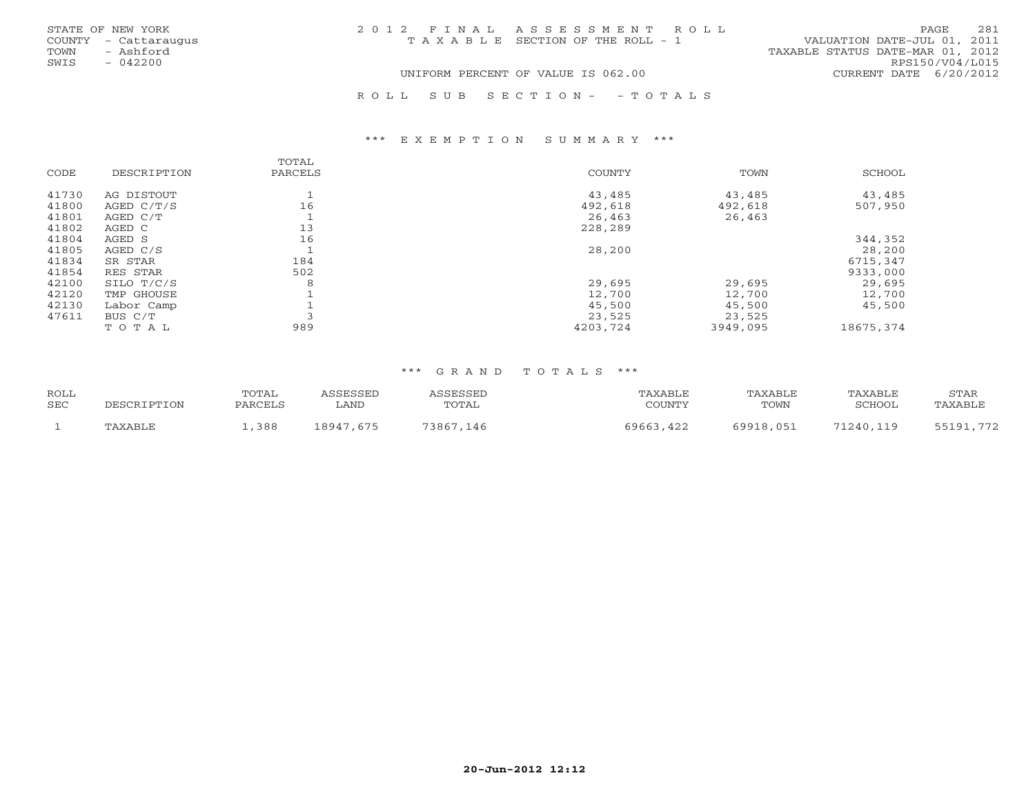| STATE OF NEW YORK |                      | 2012 FINAL ASSESSMENT ROLL |                                       |                                  | PAGE. | 2.81 |
|-------------------|----------------------|----------------------------|---------------------------------------|----------------------------------|-------|------|
|                   | COUNTY - Cattaraugus |                            | T A X A B L E SECTION OF THE ROLL - 1 | VALUATION DATE-JUL 01, 2011      |       |      |
| TOWN              | - Ashford            |                            |                                       | TAXABLE STATUS DATE-MAR 01, 2012 |       |      |
| SWIS              | $-042200$            |                            |                                       | RPS150/V04/L015                  |       |      |
|                   |                      |                            | UNIFORM PERCENT OF VALUE IS 062.00    | CURRENT DATE 6/20/2012           |       |      |
|                   |                      |                            |                                       |                                  |       |      |

R O L L S U B S E C T I O N - - T O T A L S

#### \*\*\* E X E M P T I O N S U M M A R Y \*\*\*

| CODE  | DESCRIPTION  | TOTAL<br>PARCELS | COUNTY   | TOWN     | SCHOOL    |
|-------|--------------|------------------|----------|----------|-----------|
| 41730 | AG DISTOUT   |                  | 43,485   | 43,485   | 43,485    |
| 41800 | AGED $C/T/S$ | 16               | 492,618  | 492,618  | 507,950   |
| 41801 | AGED C/T     |                  | 26,463   | 26,463   |           |
| 41802 | AGED C       | 13               | 228,289  |          |           |
| 41804 | AGED S       | 16               |          |          | 344,352   |
| 41805 | AGED C/S     |                  | 28,200   |          | 28,200    |
| 41834 | SR STAR      | 184              |          |          | 6715,347  |
| 41854 | RES STAR     | 502              |          |          | 9333,000  |
| 42100 | SILO T/C/S   | 8                | 29,695   | 29,695   | 29,695    |
| 42120 | TMP GHOUSE   |                  | 12,700   | 12,700   | 12,700    |
| 42130 | Labor Camp   |                  | 45,500   | 45,500   | 45,500    |
| 47611 | BUS C/T      |                  | 23,525   | 23,525   |           |
|       | TOTAL        | 989              | 4203,724 | 3949,095 | 18675,374 |

#### \*\*\* G R A N D T O T A L S \*\*\*

| <b>ROLL</b><br><b>SEC</b> | DESCRIPTION | TOTAL<br>PARCELS | <i><b>ASSESSED</b></i><br>∟AND | ASSESSED<br>TOTAL | TAXABLE<br>COUNTY | TAXABLE<br>TOWN | TAXABLE<br>SCHOOL | STAR<br>TAXABLE |
|---------------------------|-------------|------------------|--------------------------------|-------------------|-------------------|-----------------|-------------------|-----------------|
|                           | TAXABLE     | .388             | 18947,675                      | 73867,146         | 69663,422         | 69918,051       | 71240,119         | 55191,772       |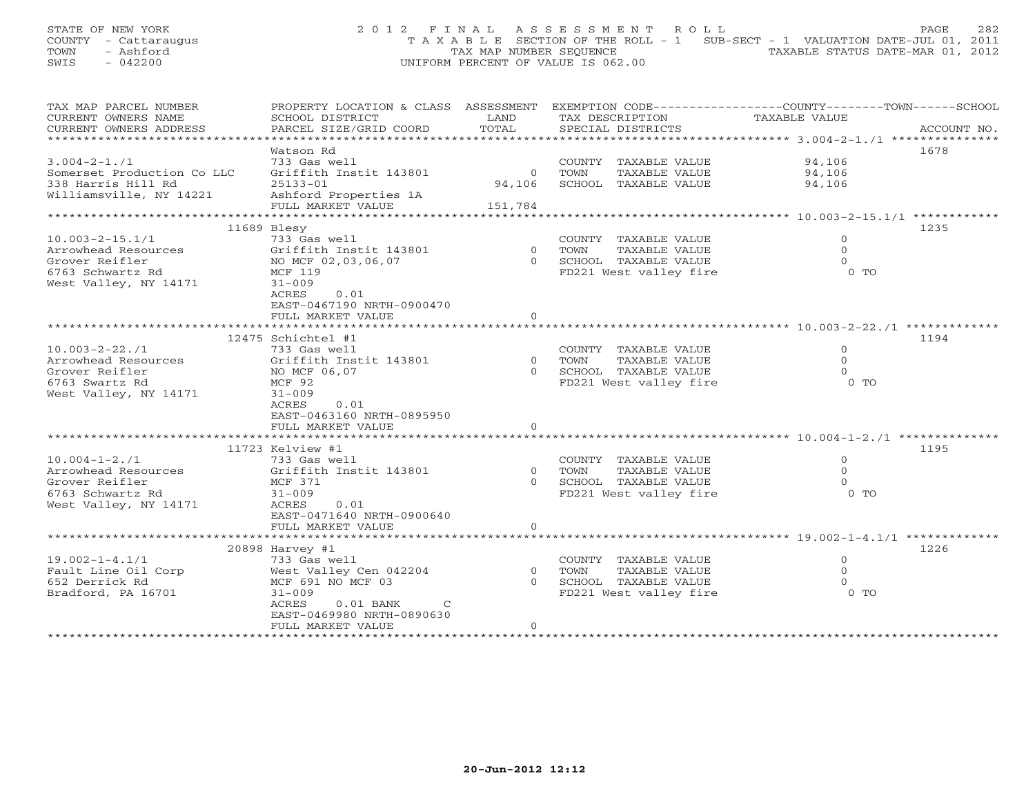# STATE OF NEW YORK 282 2012 FINAL ASSESSMENT ROLL PAGE 282 COUNTY - Cattaraugus T A X A B L E SECTION OF THE ROLL - 1 SUB-SECT - 1 VALUATION DATE-JUL 01, 2011 TOWN - Ashford TAX MAP NUMBER SEQUENCE TAXABLE STATUS DATE-MAR 01, 2012 SWIS - 042200 UNIFORM PERCENT OF VALUE IS 062.00

| TAX MAP PARCEL NUMBER      | PROPERTY LOCATION & CLASS ASSESSMENT |          | EXEMPTION CODE-----------------COUNTY-------TOWN------SCHOOL |                      |             |
|----------------------------|--------------------------------------|----------|--------------------------------------------------------------|----------------------|-------------|
| CURRENT OWNERS NAME        | SCHOOL DISTRICT                      | LAND     | TAX DESCRIPTION                                              | <b>TAXABLE VALUE</b> |             |
| CURRENT OWNERS ADDRESS     | PARCEL SIZE/GRID COORD               | TOTAL    | SPECIAL DISTRICTS                                            |                      | ACCOUNT NO. |
| *************************  |                                      |          |                                                              |                      |             |
|                            | Watson Rd                            |          |                                                              |                      | 1678        |
| $3.004 - 2 - 1.71$         | 733 Gas well                         |          | COUNTY TAXABLE VALUE                                         | 94,106               |             |
| Somerset Production Co LLC | Griffith Instit 143801               | $\Omega$ | TOWN<br>TAXABLE VALUE                                        | 94,106               |             |
| 338 Harris Hill Rd         | $25133 - 01$                         | 94,106   | SCHOOL TAXABLE VALUE                                         | 94,106               |             |
| Williamsville, NY 14221    | Ashford Properties 1A                |          |                                                              |                      |             |
|                            | FULL MARKET VALUE                    | 151,784  |                                                              |                      |             |
|                            |                                      |          |                                                              |                      |             |
|                            | 11689 Blesy                          |          |                                                              |                      | 1235        |
| $10.003 - 2 - 15.1/1$      | 733 Gas well                         |          | COUNTY TAXABLE VALUE                                         | $\mathbf{0}$         |             |
| Arrowhead Resources        | Griffith Instit 143801               |          | 0 TOWN<br>TAXABLE VALUE                                      | $\Omega$             |             |
| Grover Reifler             | NO MCF 02,03,06,07                   |          | 0 SCHOOL TAXABLE VALUE                                       | $\Omega$             |             |
| 6763 Schwartz Rd           | MCF 119                              |          | FD221 West valley fire                                       | $0$ TO               |             |
| West Valley, NY 14171      | $31 - 009$                           |          |                                                              |                      |             |
|                            | ACRES<br>0.01                        |          |                                                              |                      |             |
|                            | EAST-0467190 NRTH-0900470            |          |                                                              |                      |             |
|                            | FULL MARKET VALUE                    | $\Omega$ |                                                              |                      |             |
|                            |                                      |          |                                                              |                      |             |
|                            | $12475$ Schichtel #1                 |          |                                                              |                      | 1194        |
| $10.003 - 2 - 22.71$       | 733 Gas well                         |          | COUNTY TAXABLE VALUE                                         | $\mathbf{0}$         |             |
| Arrowhead Resources        | Griffith Instit 143801               |          | 0 TOWN<br>TAXABLE VALUE                                      | $\circ$              |             |
| Grover Reifler             | NO MCF 06,07                         |          | 0 SCHOOL TAXABLE VALUE                                       | $\Omega$             |             |
| 6763 Swartz Rd             | MCF 92                               |          | FD221 West valley fire                                       | $0$ TO               |             |
| West Valley, NY 14171      | $31 - 009$                           |          |                                                              |                      |             |
|                            | 0.01<br>ACRES                        |          |                                                              |                      |             |
|                            | EAST-0463160 NRTH-0895950            |          |                                                              |                      |             |
|                            | FULL MARKET VALUE                    | $\circ$  |                                                              |                      |             |
|                            |                                      |          |                                                              |                      |             |
|                            | 11723 Kelview #1                     |          |                                                              |                      | 1195        |
| $10.004 - 1 - 2.71$        | 733 Gas well                         |          | COUNTY TAXABLE VALUE                                         | $\Omega$             |             |
| Arrowhead Resources        | Griffith Instit 143801               | $\Omega$ | <b>TOWN</b><br>TAXABLE VALUE                                 | $\Omega$             |             |
| Grover Reifler             | MCF 371                              | $\Omega$ | SCHOOL TAXABLE VALUE                                         | $\circ$              |             |
| 6763 Schwartz Rd           | $31 - 009$                           |          | FD221 West valley fire                                       | $0$ TO               |             |
| West Valley, NY 14171      | 0.01<br>ACRES                        |          |                                                              |                      |             |
|                            | EAST-0471640 NRTH-0900640            |          |                                                              |                      |             |
|                            | FULL MARKET VALUE                    | $\circ$  |                                                              |                      |             |
|                            |                                      |          |                                                              |                      |             |
|                            | 20898 Harvey #1                      |          |                                                              |                      | 1226        |
| $19.002 - 1 - 4.1/1$       | 733 Gas well                         |          | COUNTY TAXABLE VALUE                                         | $\Omega$             |             |
| Fault Line Oil Corp        | West Valley Cen 042204               | $\Omega$ | <b>TOWN</b><br>TAXABLE VALUE                                 | $\Omega$             |             |
| 652 Derrick Rd             | MCF 691 NO MCF 03                    | $\Omega$ | SCHOOL TAXABLE VALUE                                         | $\Omega$             |             |
| Bradford, PA 16701         | $31 - 009$                           |          | FD221 West valley fire                                       | $0$ To               |             |
|                            | ACRES<br>$0.01$ BANK<br>$\mathsf{C}$ |          |                                                              |                      |             |
|                            | EAST-0469980 NRTH-0890630            |          |                                                              |                      |             |
|                            | FULL MARKET VALUE                    | $\circ$  |                                                              |                      |             |
|                            | *********************                |          |                                                              |                      |             |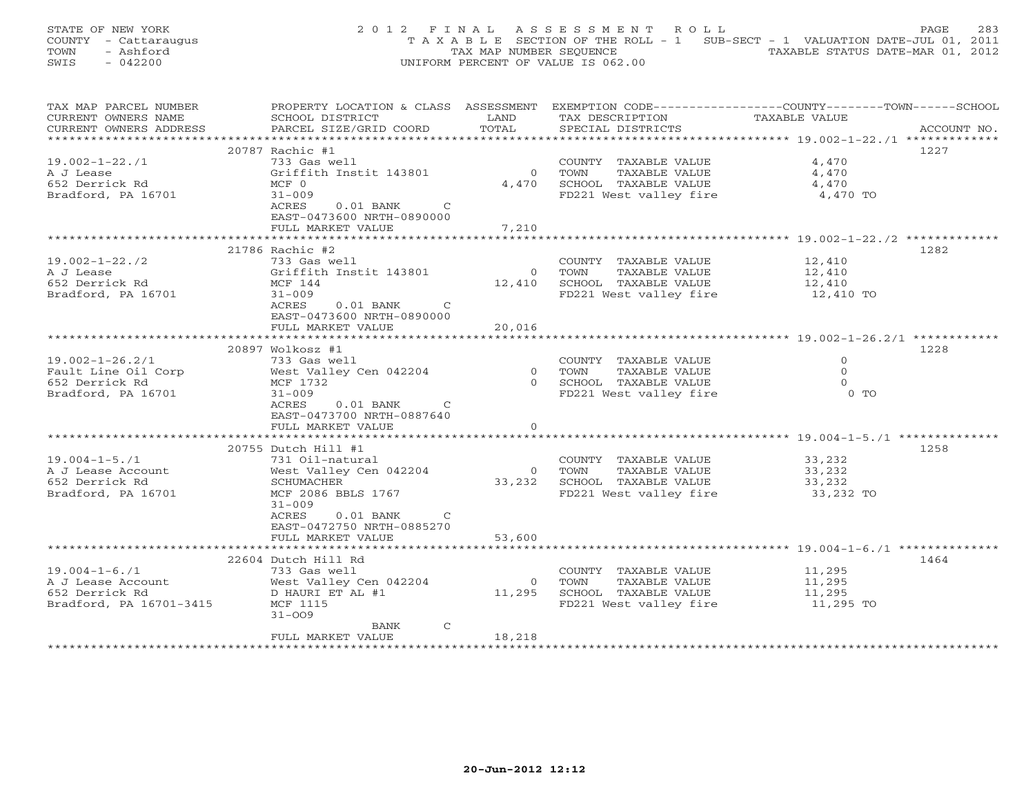STATE OF NEW YORK 283 2012 FINAL ASSESSMENT ROLL PAGE 283 COUNTY - Cattaraugus T A X A B L E SECTION OF THE ROLL - 1 SUB-SECT - 1 VALUATION DATE-JUL 01, 2011 TOWN - Ashford TAX MAP NUMBER SEQUENCE TAXABLE STATUS DATE-MAR 01, 2012 SWIS - 042200 UNIFORM PERCENT OF VALUE IS 062.00

| TAX MAP PARCEL NUMBER   | PROPERTY LOCATION & CLASS ASSESSMENT EXEMPTION CODE----------------COUNTY-------TOWN------SCHOOL |                |                             |                |             |
|-------------------------|--------------------------------------------------------------------------------------------------|----------------|-----------------------------|----------------|-------------|
| CURRENT OWNERS NAME     | SCHOOL DISTRICT                                                                                  | LAND           | TAX DESCRIPTION             | TAXABLE VALUE  |             |
| CURRENT OWNERS ADDRESS  | PARCEL SIZE/GRID COORD                                                                           | TOTAL          | SPECIAL DISTRICTS           |                | ACCOUNT NO. |
|                         |                                                                                                  |                |                             |                |             |
|                         | 20787 Rachic #1                                                                                  |                |                             |                | 1227        |
|                         |                                                                                                  |                |                             |                |             |
| $19.002 - 1 - 22.71$    | 733 Gas well                                                                                     |                | COUNTY TAXABLE VALUE        | 4,470          |             |
| A J Lease               | Griffith Instit 143801                                                                           | $\Omega$       | TAXABLE VALUE<br>TOWN       | 4,470          |             |
| 652 Derrick Rd          | $MCF$ 0                                                                                          | 4,470          | SCHOOL TAXABLE VALUE        | 4,470          |             |
| Bradford, PA 16701      | $31 - 009$                                                                                       |                | FD221 West valley fire      | 4,470 TO       |             |
|                         | ACRES<br>$0.01$ BANK<br>C                                                                        |                |                             |                |             |
|                         | EAST-0473600 NRTH-0890000                                                                        |                |                             |                |             |
|                         | FULL MARKET VALUE                                                                                | 7,210          |                             |                |             |
|                         |                                                                                                  |                |                             |                |             |
|                         | 21786 Rachic #2                                                                                  |                |                             |                | 1282        |
|                         |                                                                                                  |                |                             |                |             |
| $19.002 - 1 - 22.72$    | 733 Gas well                                                                                     |                | COUNTY TAXABLE VALUE        | 12,410         |             |
| A J Lease               | Griffith Instit 143801                                                                           | $\overline{0}$ | TAXABLE VALUE<br>TOWN       | 12,410         |             |
| 652 Derrick Rd          | MCF 144                                                                                          |                | 12,410 SCHOOL TAXABLE VALUE | 12,410         |             |
| Bradford, PA 16701      | $31 - 009$                                                                                       |                | FD221 West valley fire      | 12,410 TO      |             |
|                         | ACRES<br>$0.01$ BANK<br>C                                                                        |                |                             |                |             |
|                         | EAST-0473600 NRTH-0890000                                                                        |                |                             |                |             |
|                         | FULL MARKET VALUE                                                                                | 20,016         |                             |                |             |
|                         |                                                                                                  |                |                             |                |             |
|                         | 20897 Wolkosz #1                                                                                 |                |                             |                | 1228        |
| $19.002 - 1 - 26.2/1$   | 733 Gas well                                                                                     |                | COUNTY TAXABLE VALUE        | $\overline{0}$ |             |
|                         |                                                                                                  |                |                             | $\Omega$       |             |
| Fault Line Oil Corp     | West Valley Cen 042204                                                                           |                | 0 TOWN<br>TAXABLE VALUE     |                |             |
| 652 Derrick Rd          | MCF 1732                                                                                         | $\Omega$       | SCHOOL TAXABLE VALUE        | $\Omega$       |             |
| Bradford, PA 16701      | $31 - 009$                                                                                       |                | FD221 West valley fire      | $0$ TO         |             |
|                         | ACRES<br>$0.01$ BANK<br>$\mathsf{C}$                                                             |                |                             |                |             |
|                         | EAST-0473700 NRTH-0887640                                                                        |                |                             |                |             |
|                         | FULL MARKET VALUE                                                                                | $\Omega$       |                             |                |             |
|                         | ********************************                                                                 |                |                             |                |             |
|                         | 20755 Dutch Hill #1                                                                              |                |                             |                | 1258        |
| $19.004 - 1 - 5.71$     | 731 Oil-natural                                                                                  |                | COUNTY TAXABLE VALUE        | 33,232         |             |
| A J Lease Account       | West Valley Cen 042204                                                                           | $\overline{0}$ | TOWN<br>TAXABLE VALUE       | 33,232         |             |
|                         |                                                                                                  |                |                             |                |             |
| 652 Derrick Rd          | SCHUMACHER                                                                                       |                | 33,232 SCHOOL TAXABLE VALUE | 33,232         |             |
| Bradford, PA 16701      | MCF 2086 BBLS 1767                                                                               |                | FD221 West valley fire      | 33,232 TO      |             |
|                         | $31 - 009$                                                                                       |                |                             |                |             |
|                         | $0.01$ BANK<br>ACRES<br>$\mathsf{C}$                                                             |                |                             |                |             |
|                         | EAST-0472750 NRTH-0885270                                                                        |                |                             |                |             |
|                         | FULL MARKET VALUE                                                                                | 53,600         |                             |                |             |
|                         |                                                                                                  |                |                             |                |             |
|                         | 22604 Dutch Hill Rd                                                                              |                |                             |                | 1464        |
| $19.004 - 1 - 6.71$     | 733 Gas well                                                                                     |                | COUNTY TAXABLE VALUE        | 11,295         |             |
| A J Lease Account       | West Valley Cen 042204                                                                           | $\Omega$       | TAXABLE VALUE<br>TOWN       | 11,295         |             |
|                         |                                                                                                  |                |                             |                |             |
| 652 Derrick Rd          | D HAURI ET AL #1                                                                                 | 11,295         | SCHOOL TAXABLE VALUE        | 11,295         |             |
| Bradford, PA 16701-3415 | MCF 1115                                                                                         |                | FD221 West valley fire      | 11,295 TO      |             |
|                         | $31 - 009$                                                                                       |                |                             |                |             |
|                         | $\mathcal{C}$<br>BANK                                                                            |                |                             |                |             |
|                         | FULL MARKET VALUE                                                                                | 18,218         |                             |                |             |
|                         |                                                                                                  |                |                             |                |             |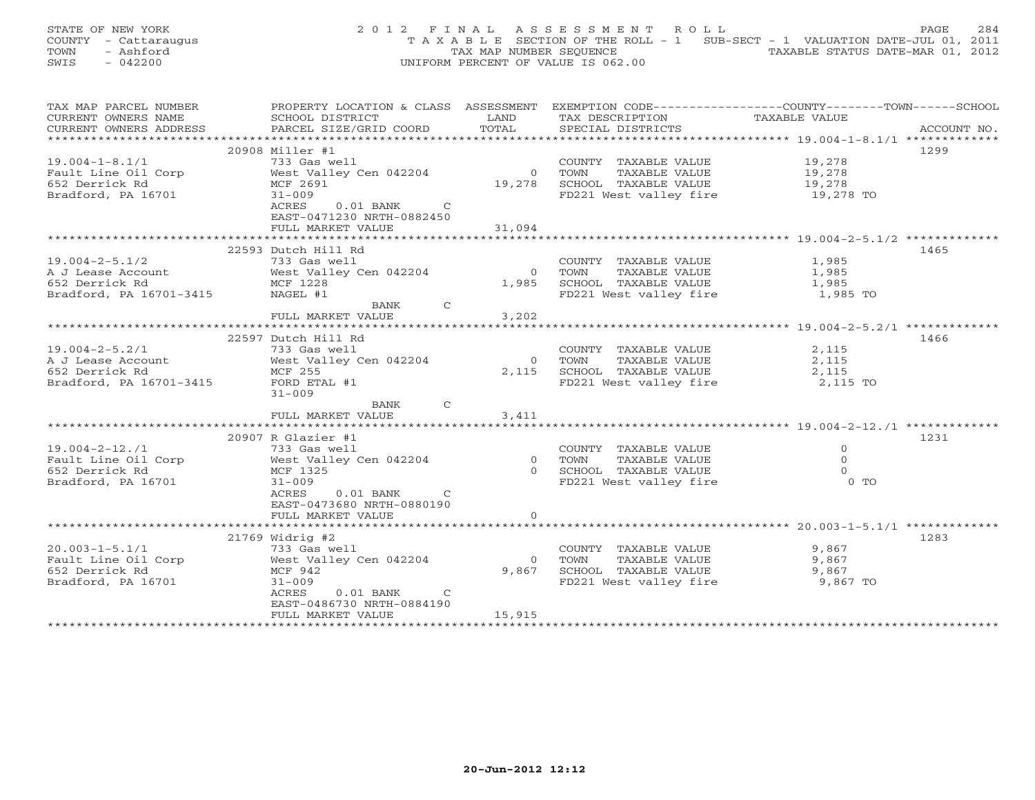|      | STATE OF NEW YORK    |  | 2012 FINAL ASSESSMENT ROLL                                                     |  |                                  | PAGE. | 2.84 |
|------|----------------------|--|--------------------------------------------------------------------------------|--|----------------------------------|-------|------|
|      | COUNTY - Cattaraugus |  | T A X A B L E SECTION OF THE ROLL - 1 SUB-SECT - 1 VALUATION DATE-JUL 01, 2011 |  |                                  |       |      |
| TOWN | - Ashford            |  | TAX MAP NUMBER SEOUENCE                                                        |  | TAXABLE STATUS DATE-MAR 01, 2012 |       |      |
| SWIS | $-042200$            |  | UNIFORM PERCENT OF VALUE IS 062.00                                             |  |                                  |       |      |

| TAX MAP PARCEL NUMBER   | PROPERTY LOCATION & CLASS ASSESSMENT                                |                | EXEMPTION CODE-----------------COUNTY-------TOWN------SCHOOL |               |             |
|-------------------------|---------------------------------------------------------------------|----------------|--------------------------------------------------------------|---------------|-------------|
| CURRENT OWNERS NAME     | SCHOOL DISTRICT                                                     | LAND           | TAX DESCRIPTION                                              | TAXABLE VALUE |             |
| CURRENT OWNERS ADDRESS  | PARCEL SIZE/GRID COORD                                              | TOTAL          | SPECIAL DISTRICTS                                            |               | ACCOUNT NO. |
| **********************  |                                                                     |                |                                                              |               |             |
|                         | 20908 Miller #1                                                     |                |                                                              |               | 1299        |
| $19.004 - 1 - 8.1/1$    | 733 Gas well                                                        |                | COUNTY TAXABLE VALUE 19,278                                  |               |             |
| Fault Line Oil Corp     | West Valley Cen 042204                                              | $\overline{0}$ | TOWN<br>TAXABLE VALUE                                        | 19,278        |             |
| 652 Derrick Rd          | MCF 2691                                                            | 19,278         | SCHOOL TAXABLE VALUE                                         | 19,278        |             |
| Bradford, PA 16701      | $31 - 009$                                                          |                | FD221 West valley fire 19,278 TO                             |               |             |
|                         | $0.01$ BANK<br>ACRES<br>$\mathsf{C}$                                |                |                                                              |               |             |
|                         | EAST-0471230 NRTH-0882450                                           |                |                                                              |               |             |
|                         | FULL MARKET VALUE                                                   | 31,094         |                                                              |               |             |
|                         |                                                                     |                |                                                              |               |             |
|                         | 22593 Dutch Hill Rd                                                 |                |                                                              |               | 1465        |
|                         |                                                                     |                |                                                              |               |             |
| $19.004 - 2 - 5.1/2$    | 733 Gas well                                                        |                | COUNTY TAXABLE VALUE 1,985                                   |               |             |
|                         | A J Lease Account West Valley Cen 042204<br>652 Derrick Rd MCF 1228 | $\overline{0}$ | TOWN<br>TAXABLE VALUE                                        | 1,985         |             |
|                         |                                                                     | 1,985          | SCHOOL TAXABLE VALUE                                         | 1,985         |             |
| Bradford, PA 16701-3415 | NAGEL #1                                                            |                | FD221 West valley fire 1,985 TO                              |               |             |
|                         | $\mathcal{C}$<br>BANK                                               |                |                                                              |               |             |
|                         | FULL MARKET VALUE                                                   | 3,202          |                                                              |               |             |
|                         |                                                                     |                |                                                              |               |             |
|                         | 22597 Dutch Hill Rd                                                 |                |                                                              |               | 1466        |
| $19.004 - 2 - 5.2/1$    | 733 Gas well                                                        |                | COUNTY TAXABLE VALUE                                         | 2,115         |             |
| A J Lease Account       | West Valley Cen 042204                                              |                | TAXABLE VALUE<br>0 TOWN                                      | 2,115         |             |
| 652 Derrick Rd          | MCF 255                                                             | 2,115          | SCHOOL TAXABLE VALUE                                         | 2,115         |             |
| Bradford, PA 16701-3415 | FORD ETAL #1                                                        |                | FD221 West valley fire                                       | 2,115 TO      |             |
|                         | $31 - 009$                                                          |                |                                                              |               |             |
|                         | $\mathcal{C}$<br>BANK                                               |                |                                                              |               |             |
|                         | FULL MARKET VALUE                                                   | 3,411          |                                                              |               |             |
|                         |                                                                     |                |                                                              |               |             |
|                         | 20907 R Glazier #1                                                  |                |                                                              |               | 1231        |
| $19.004 - 2 - 12.71$    | 733 Gas well                                                        |                | COUNTY TAXABLE VALUE                                         | $\circ$       |             |
| Fault Line Oil Corp     | West Valley Cen 042204                                              |                | 0 TOWN<br>TAXABLE VALUE                                      | $\Omega$      |             |
| 652 Derrick Rd          | MCF 1325                                                            |                | 0 SCHOOL TAXABLE VALUE                                       | $\Omega$      |             |
| Bradford, PA 16701      | $31 - 009$                                                          |                | FD221 West valley fire                                       | $0$ TO        |             |
|                         | ACRES<br>$0.01$ BANK<br>$\overline{C}$                              |                |                                                              |               |             |
|                         | EAST-0473680 NRTH-0880190                                           |                |                                                              |               |             |
|                         | FULL MARKET VALUE                                                   | $\circ$        |                                                              |               |             |
|                         |                                                                     |                |                                                              |               |             |
|                         | $21769$ Widrig #2                                                   |                |                                                              |               | 1283        |
|                         |                                                                     |                |                                                              | 9,867         |             |
| $20.003 - 1 - 5.1/1$    | 733 Gas well                                                        |                | COUNTY TAXABLE VALUE                                         |               |             |
| Fault Line Oil Corp     | West Valley Cen 042204                                              | $\Omega$       | TAXABLE VALUE<br>TOWN                                        | 9,867         |             |
| 652 Derrick Rd          | MCF 942                                                             | 9,867          | SCHOOL TAXABLE VALUE                                         | 9,867         |             |
| Bradford, PA 16701      | $31 - 009$                                                          |                | FD221 West valley fire                                       | 9,867 TO      |             |
|                         | ACRES<br>$0.01$ BANK<br>$\mathcal{C}$                               |                |                                                              |               |             |
|                         | EAST-0486730 NRTH-0884190                                           |                |                                                              |               |             |
|                         | FULL MARKET VALUE                                                   | 15,915         |                                                              |               |             |
|                         |                                                                     |                |                                                              |               |             |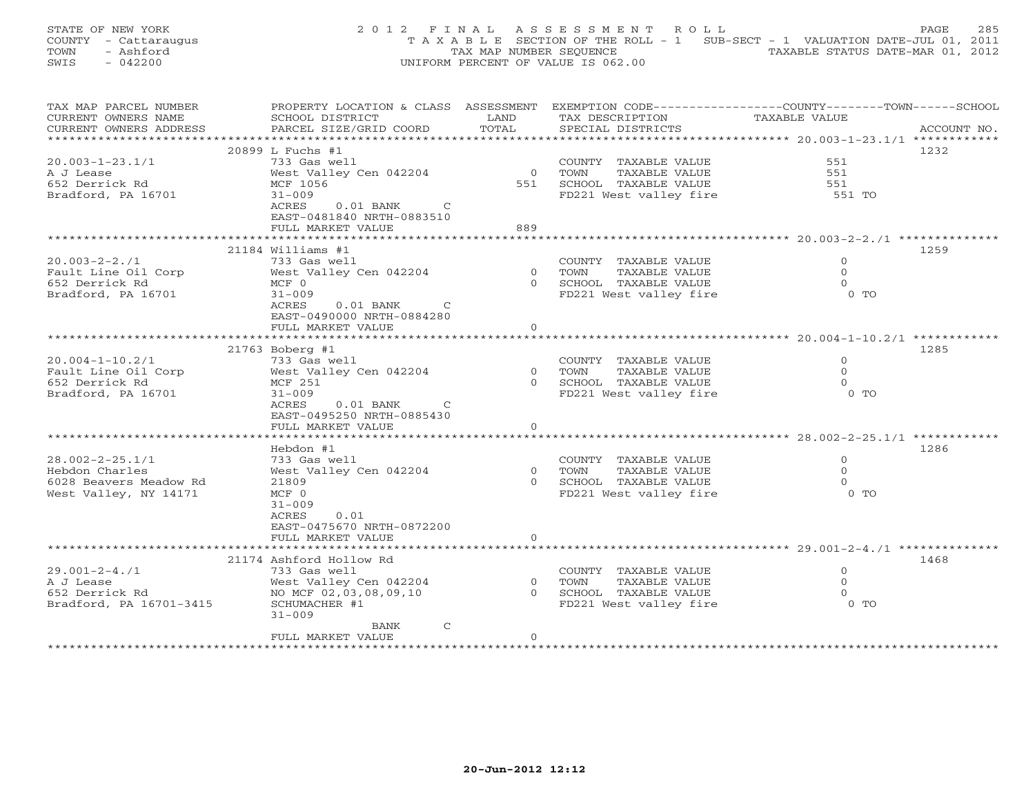| STATE OF NEW YORK    | 2012 FINAL ASSESSMENT ROLL                                                     | 285<br>PAGE                      |
|----------------------|--------------------------------------------------------------------------------|----------------------------------|
| COUNTY - Cattaraugus | T A X A B L E SECTION OF THE ROLL - 1 SUB-SECT - 1 VALUATION DATE-JUL 01, 2011 |                                  |
| TOWN - Ashford       | TAX MAP NUMBER SEQUENCE                                                        | TAXABLE STATUS DATE-MAR 01, 2012 |
| SWIS<br>- 042200     | UNIFORM PERCENT OF VALUE IS 062.00                                             |                                  |

| TAX MAP PARCEL NUMBER<br>CURRENT OWNERS NAME<br>CURRENT OWNERS ADDRESS | PROPERTY LOCATION & CLASS ASSESSMENT<br>SCHOOL DISTRICT<br>PARCEL SIZE/GRID COORD | LAND<br>TOTAL       | EXEMPTION CODE-----------------COUNTY-------TOWN-----SCHOOL<br>TAX DESCRIPTION<br>SPECIAL DISTRICTS | TAXABLE VALUE      | ACCOUNT NO. |
|------------------------------------------------------------------------|-----------------------------------------------------------------------------------|---------------------|-----------------------------------------------------------------------------------------------------|--------------------|-------------|
| ***********************                                                |                                                                                   |                     |                                                                                                     |                    |             |
|                                                                        | 20899 L Fuchs #1                                                                  |                     |                                                                                                     |                    | 1232        |
| $20.003 - 1 - 23.1/1$                                                  | 733 Gas well                                                                      |                     | COUNTY TAXABLE VALUE                                                                                | 551                |             |
| A J Lease                                                              | West Valley Cen 042204                                                            | $\overline{0}$      | TOWN<br>TAXABLE VALUE                                                                               | 551                |             |
| 652 Derrick Rd                                                         | MCF 1056                                                                          | 551                 | SCHOOL TAXABLE VALUE                                                                                | 551                |             |
| Bradford, PA 16701                                                     | $31 - 009$                                                                        |                     | FD221 West valley fire                                                                              | 551 TO             |             |
|                                                                        | ACRES<br>$0.01$ BANK<br>$\mathsf{C}$                                              |                     |                                                                                                     |                    |             |
|                                                                        | EAST-0481840 NRTH-0883510<br>FULL MARKET VALUE                                    | 889                 |                                                                                                     |                    |             |
|                                                                        |                                                                                   |                     |                                                                                                     |                    |             |
|                                                                        | 21184 Williams #1                                                                 |                     |                                                                                                     |                    | 1259        |
| $20.003 - 2 - 2.71$                                                    | 733 Gas well                                                                      |                     | COUNTY TAXABLE VALUE                                                                                | $\mathbf 0$        |             |
| Fault Line Oil Corp                                                    | West Valley Cen 042204                                                            | $\Omega$            | TAXABLE VALUE<br>TOWN                                                                               | $\Omega$           |             |
| 652 Derrick Rd                                                         | MCF 0                                                                             | $\Omega$            | SCHOOL TAXABLE VALUE                                                                                | $\Omega$           |             |
| Bradford, PA 16701                                                     | $31 - 009$                                                                        |                     | FD221 West valley fire                                                                              | $0$ TO             |             |
|                                                                        | ACRES<br>$0.01$ BANK<br>$\mathsf{C}$                                              |                     |                                                                                                     |                    |             |
|                                                                        | EAST-0490000 NRTH-0884280                                                         |                     |                                                                                                     |                    |             |
|                                                                        | FULL MARKET VALUE                                                                 | $\circ$             |                                                                                                     |                    |             |
|                                                                        |                                                                                   |                     |                                                                                                     |                    |             |
|                                                                        | $21763$ Boberg #1                                                                 |                     |                                                                                                     |                    | 1285        |
| $20.004 - 1 - 10.2/1$                                                  | 733 Gas well                                                                      |                     | COUNTY TAXABLE VALUE                                                                                | $\Omega$           |             |
| Fault Line Oil Corp                                                    | West Valley Cen 042204                                                            | $\circ$             | TAXABLE VALUE<br>TOWN                                                                               | $\mathbf{O}$       |             |
| 652 Derrick Rd                                                         | MCF 251                                                                           | $\cap$              | SCHOOL TAXABLE VALUE                                                                                | $\Omega$           |             |
| Bradford, PA 16701                                                     | $31 - 009$                                                                        |                     | FD221 West valley fire                                                                              | $0$ TO             |             |
|                                                                        | ACRES<br>$0.01$ BANK<br>C                                                         |                     |                                                                                                     |                    |             |
|                                                                        | EAST-0495250 NRTH-0885430<br>FULL MARKET VALUE                                    | $\Omega$            |                                                                                                     |                    |             |
|                                                                        |                                                                                   |                     |                                                                                                     |                    |             |
|                                                                        | Hebdon #1                                                                         |                     |                                                                                                     |                    | 1286        |
| $28.002 - 2 - 25.1/1$                                                  | 733 Gas well                                                                      |                     | COUNTY TAXABLE VALUE                                                                                | $\Omega$           |             |
| Hebdon Charles                                                         | West Valley Cen 042204                                                            | $\overline{0}$      | TOWN<br>TAXABLE VALUE                                                                               | $\Omega$           |             |
| 6028 Beavers Meadow Rd                                                 | 21809                                                                             | $\Omega$            | SCHOOL TAXABLE VALUE                                                                                | $\Omega$           |             |
| West Valley, NY 14171                                                  | MCF 0                                                                             |                     | FD221 West valley fire                                                                              | $0$ TO             |             |
|                                                                        | $31 - 009$                                                                        |                     |                                                                                                     |                    |             |
|                                                                        | 0.01<br>ACRES                                                                     |                     |                                                                                                     |                    |             |
|                                                                        | EAST-0475670 NRTH-0872200                                                         |                     |                                                                                                     |                    |             |
|                                                                        | FULL MARKET VALUE                                                                 | $\circ$             |                                                                                                     |                    |             |
|                                                                        |                                                                                   |                     |                                                                                                     |                    |             |
|                                                                        | 21174 Ashford Hollow Rd                                                           |                     |                                                                                                     |                    | 1468        |
| $29.001 - 2 - 4.71$                                                    | 733 Gas well                                                                      |                     | COUNTY TAXABLE VALUE                                                                                | $\circ$            |             |
| A J Lease                                                              | West Valley Cen 042204                                                            | $\circ$<br>$\Omega$ | TAXABLE VALUE<br>TOWN                                                                               | $\mathbf{0}$       |             |
| 652 Derrick Rd<br>Bradford, PA 16701-3415                              | NO MCF 02,03,08,09,10                                                             |                     | SCHOOL TAXABLE VALUE<br>FD221 West valley fire                                                      | $\Omega$<br>$0$ TO |             |
|                                                                        | SCHUMACHER #1<br>$31 - 009$                                                       |                     |                                                                                                     |                    |             |
|                                                                        | $\mathsf{C}$<br>BANK                                                              |                     |                                                                                                     |                    |             |
|                                                                        | FULL MARKET VALUE                                                                 | $\Omega$            |                                                                                                     |                    |             |
|                                                                        |                                                                                   |                     |                                                                                                     |                    |             |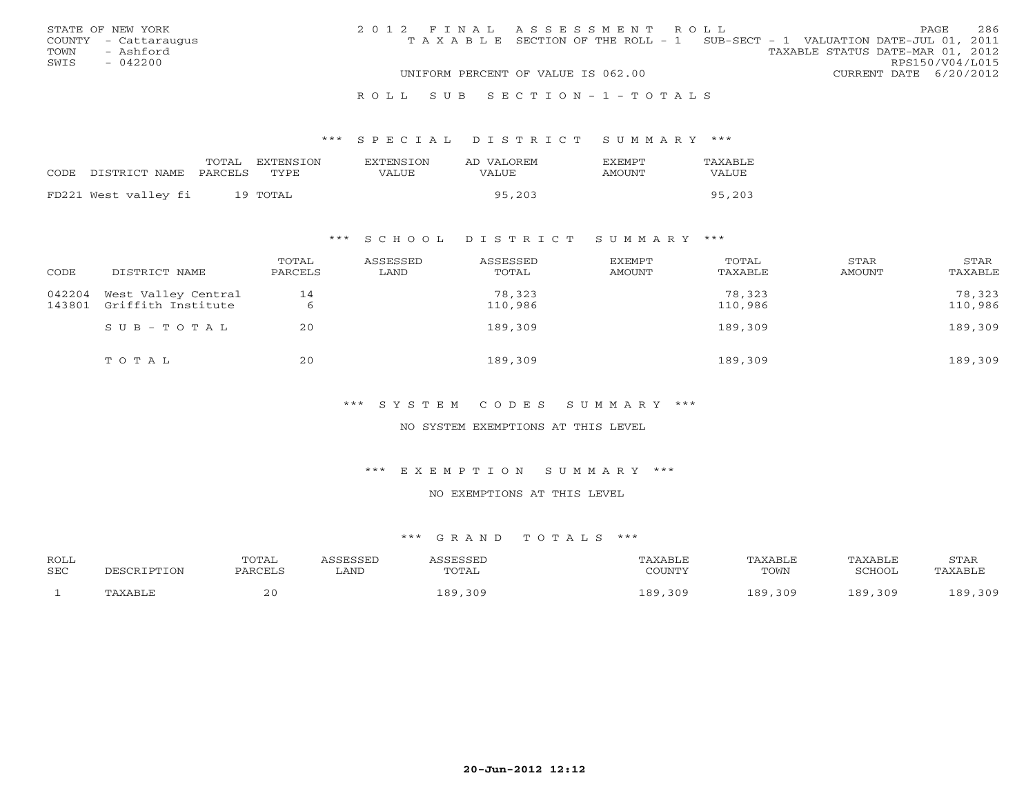|      | STATE OF NEW YORK    | 2012 FINAL ASSESSMENT ROLL |                                                                                |                                  |                        | PAGE. | 286 |
|------|----------------------|----------------------------|--------------------------------------------------------------------------------|----------------------------------|------------------------|-------|-----|
|      | COUNTY - Cattaraugus |                            | T A X A B L E SECTION OF THE ROLL - 1 SUB-SECT - 1 VALUATION DATE-JUL 01, 2011 |                                  |                        |       |     |
| TOWN | - Ashford            |                            |                                                                                | TAXABLE STATUS DATE-MAR 01, 2012 |                        |       |     |
| SWIS | $-042200$            |                            |                                                                                |                                  | RPS150/V04/L015        |       |     |
|      |                      |                            | UNIFORM PERCENT OF VALUE IS 062.00                                             |                                  | CURRENT DATE 6/20/2012 |       |     |
|      |                      |                            |                                                                                |                                  |                        |       |     |

#### R O L L S U B S E C T I O N - 1 - T O T A L S

#### \*\*\* S P E C I A L D I S T R I C T S U M M A R Y \*\*\*

|                      | TOTAL   | EXTENSTON | <b>EXTENSION</b> | AD VALOREM | <b>FXFMPT</b> | TAXABLE |
|----------------------|---------|-----------|------------------|------------|---------------|---------|
| CODE DISTRICT NAME   | PARCELS | TYPE.     | VALUE            | VALUE.     | AMOUNT        | VALUE   |
| FD221 West valley fi |         | 19 TOTAL  |                  | 95,203     |               | 95,203  |

#### \*\*\* S C H O O L D I S T R I C T S U M M A R Y \*\*\*

| CODE             | DISTRICT NAME                             | TOTAL<br>PARCELS | ASSESSED<br>LAND | ASSESSED<br>TOTAL | EXEMPT<br>AMOUNT | TOTAL<br>TAXABLE  | STAR<br>AMOUNT | STAR<br>TAXABLE   |
|------------------|-------------------------------------------|------------------|------------------|-------------------|------------------|-------------------|----------------|-------------------|
| 042204<br>143801 | West Valley Central<br>Griffith Institute | 14               |                  | 78,323<br>110,986 |                  | 78,323<br>110,986 |                | 78,323<br>110,986 |
|                  | $SUB - TO T AL$                           | 20               |                  | 189,309           |                  | 189,309           |                | 189,309           |
|                  | TOTAL                                     | 20               |                  | 189,309           |                  | 189,309           |                | 189,309           |

\*\*\* S Y S T E M C O D E S S U M M A R Y \*\*\*

NO SYSTEM EXEMPTIONS AT THIS LEVEL

\*\*\* E X E M P T I O N S U M M A R Y \*\*\*

NO EXEMPTIONS AT THIS LEVEL

#### \*\*\* G R A N D T O T A L S \*\*\*

| ROLL | TOTAL      |      | CCFCCFT    | 'AXABLI                | TAXABLF                        | TAXABLE                  | STAR          |
|------|------------|------|------------|------------------------|--------------------------------|--------------------------|---------------|
| SEC  | י דהרמת גם | ∟AND | TOTAL      | COUNTY                 | TOWN                           | SCHOOL                   | AXABLE        |
|      | 20         |      | 309<br>189 | 309<br>$\circ$ $\circ$ | $\circ$ $\circ$ $\circ$<br>309 | $\circ$ 0 $\circ$<br>309 | 309<br>$\cap$ |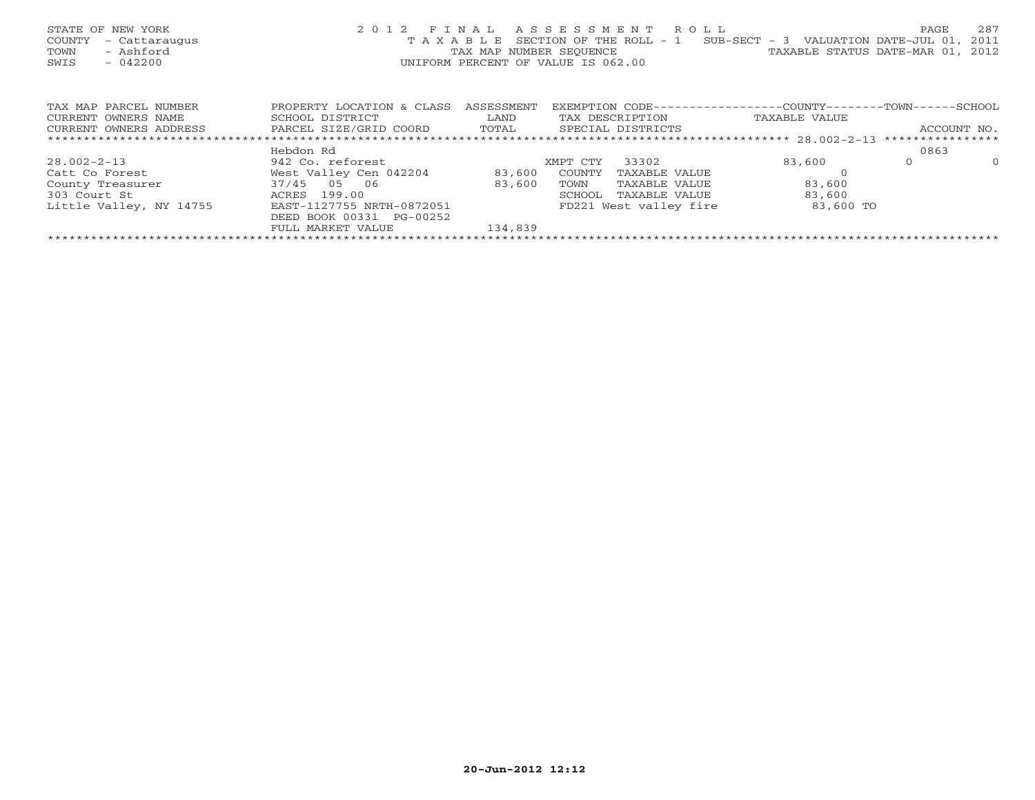| STATE OF NEW YORK<br>COUNTY<br>- Cattaraugus<br>- Ashford<br>TOWN<br>$-042200$<br>SWIS |                                                |            | 2012 FINAL ASSESSMENT ROLL<br>T A X A B L E SECTION OF THE ROLL - 1 SUB-SECT - 3 VALUATION DATE-JUL 01,<br>TAX MAP NUMBER SEQUENCE TAN TAXABLE STATUS DATE-MAR 01, 2012<br>UNIFORM PERCENT OF VALUE IS 062.00 |               | 287<br>PAGE<br>2011 |
|----------------------------------------------------------------------------------------|------------------------------------------------|------------|---------------------------------------------------------------------------------------------------------------------------------------------------------------------------------------------------------------|---------------|---------------------|
| TAX MAP PARCEL NUMBER                                                                  | PROPERTY LOCATION & CLASS                      | ASSESSMENT | EXEMPTION CODE------------------COUNTY--------TOWN------SCHOOL                                                                                                                                                |               |                     |
| CURRENT OWNERS NAME                                                                    | SCHOOL DISTRICT                                | LAND       | TAX DESCRIPTION                                                                                                                                                                                               | TAXABLE VALUE |                     |
| CURRENT OWNERS ADDRESS                                                                 | PARCEL SIZE/GRID COORD TOTAL SPECIAL DISTRICTS |            |                                                                                                                                                                                                               |               | ACCOUNT NO.         |
|                                                                                        |                                                |            |                                                                                                                                                                                                               |               |                     |
|                                                                                        | Hebdon Rd                                      |            |                                                                                                                                                                                                               |               | 0863                |
| $28.002 - 2 - 13$                                                                      | 942 Co. reforest                               |            | 33302<br>XMPT CTY                                                                                                                                                                                             | 83,600        | $\circ$<br>$\circ$  |
| Catt Co Forest                                                                         | West Valley Cen 042204                         | 83,600     | COUNTY<br>TAXABLE VALUE                                                                                                                                                                                       |               |                     |
| County Treasurer                                                                       | 37/45 05 06                                    | 83,600     | TOWN<br>TAXABLE VALUE                                                                                                                                                                                         | 83,600        |                     |
| 303 Court St                                                                           | ACRES 199.00                                   |            | SCHOOL<br>TAXABLE VALUE                                                                                                                                                                                       | 83,600        |                     |
| Little Valley, NY 14755                                                                | EAST-1127755 NRTH-0872051                      |            | FD221 West valley fire                                                                                                                                                                                        | 83,600 TO     |                     |
|                                                                                        | DEED BOOK 00331 PG-00252                       |            |                                                                                                                                                                                                               |               |                     |
|                                                                                        | FULL MARKET VALUE                              | 134,839    |                                                                                                                                                                                                               |               |                     |
|                                                                                        |                                                |            |                                                                                                                                                                                                               |               |                     |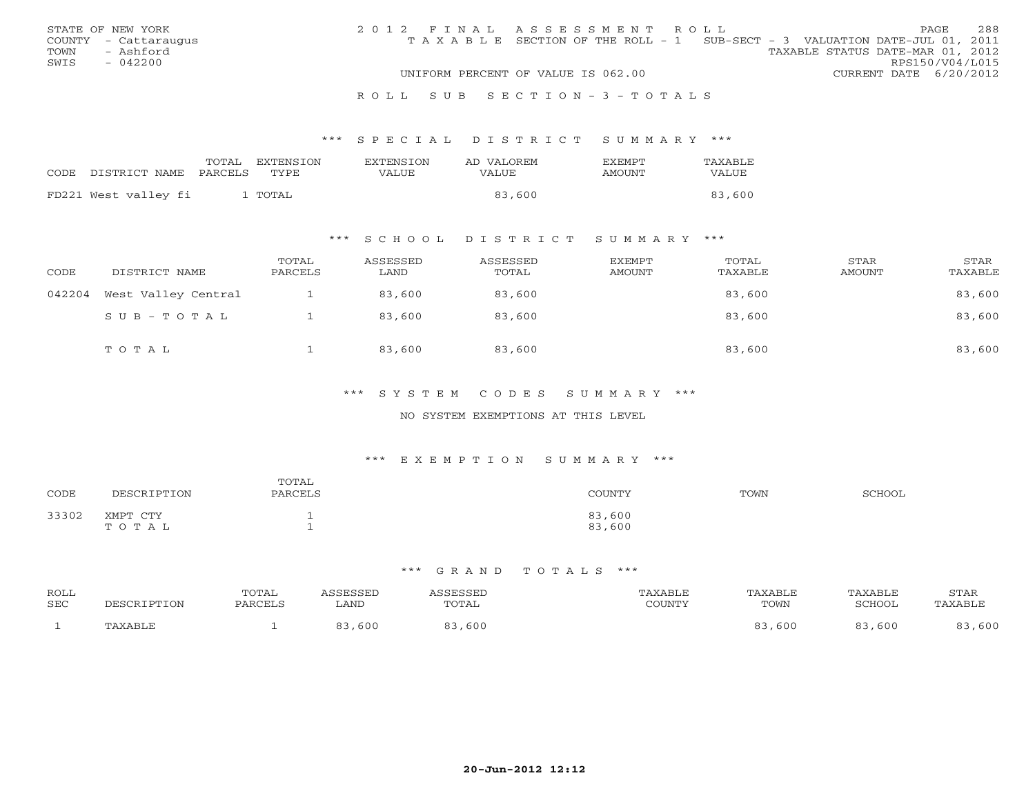|      | STATE OF NEW YORK    | 2012 FINAL ASSESSMENT ROLL |                                                                                |  |                                  |                        | PAGE. | 288 |
|------|----------------------|----------------------------|--------------------------------------------------------------------------------|--|----------------------------------|------------------------|-------|-----|
|      | COUNTY - Cattaraugus |                            | T A X A B L E SECTION OF THE ROLL - 1 SUB-SECT - 3 VALUATION DATE-JUL 01, 2011 |  |                                  |                        |       |     |
| TOWN | - Ashford            |                            |                                                                                |  | TAXABLE STATUS DATE-MAR 01, 2012 |                        |       |     |
| SWIS | $-042200$            |                            |                                                                                |  |                                  | RPS150/V04/L015        |       |     |
|      |                      |                            | UNIFORM PERCENT OF VALUE IS 062.00                                             |  |                                  | CURRENT DATE 6/20/2012 |       |     |
|      |                      |                            |                                                                                |  |                                  |                        |       |     |

#### R O L L S U B S E C T I O N - 3 - T O T A L S

#### \*\*\* S P E C I A L D I S T R I C T S U M M A R Y \*\*\*

|      |                      | TOTAL   | EXTENSTON | <b>EXTENSION</b> | AD VALOREM | <b>EXEMPT</b> | TAXABLE |
|------|----------------------|---------|-----------|------------------|------------|---------------|---------|
| CODE | DISTRICT NAME        | PARCELS | TYPE.     | VALUE            | VALUE      | AMOUNT        | VALUE   |
|      | FD221 West valley fi |         | TOTAL     |                  | 83,600     |               | 83,600  |
|      |                      |         |           |                  |            |               |         |

#### \*\*\* S C H O O L D I S T R I C T S U M M A R Y \*\*\*

| CODE   | DISTRICT NAME       | TOTAL<br>PARCELS | ASSESSED<br>LAND | ASSESSED<br>TOTAL | EXEMPT<br>AMOUNT | TOTAL<br>TAXABLE | <b>STAR</b><br>AMOUNT | STAR<br>TAXABLE |
|--------|---------------------|------------------|------------------|-------------------|------------------|------------------|-----------------------|-----------------|
| 042204 | West Valley Central |                  | 83,600           | 83,600            |                  | 83,600           |                       | 83,600          |
|        | SUB-TOTAL           |                  | 83,600           | 83,600            |                  | 83,600           |                       | 83,600          |
|        | TOTAL               |                  | 83,600           | 83,600            |                  | 83,600           |                       | 83,600          |

#### \*\*\* S Y S T E M C O D E S S U M M A R Y \*\*\*

#### NO SYSTEM EXEMPTIONS AT THIS LEVEL

#### \*\*\* E X E M P T I O N S U M M A R Y \*\*\*

| CODE  | DESCRIPTION       | TOTAL<br>PARCELS | COUNTY           | TOWN | <b>SCHOOL</b> |
|-------|-------------------|------------------|------------------|------|---------------|
| 33302 | XMPT CTY<br>TOTAL |                  | 83,600<br>83,600 |      |               |

#### \*\*\* G R A N D T O T A L S \*\*\*

| <b>ROLL</b> | <b>IPTION</b><br>DECOD. | TOTAL<br>PARCELS | <i><b>SSESSED</b></i><br>LAND | <i><b>SSESSED</b></i><br>TOTAL | TAXABLE<br>CCTNTMIX | TAXABLE<br>TOWN | TAXABLE<br><b>SCHOOL</b> | STAR<br>PAXABLE |
|-------------|-------------------------|------------------|-------------------------------|--------------------------------|---------------------|-----------------|--------------------------|-----------------|
| SEC         |                         |                  |                               |                                | .uuni               |                 |                          |                 |
|             | AXABLE                  |                  | ററ<br>, 600                   | ,600<br>O O                    |                     | ,600            | , 600                    | o p<br>600      |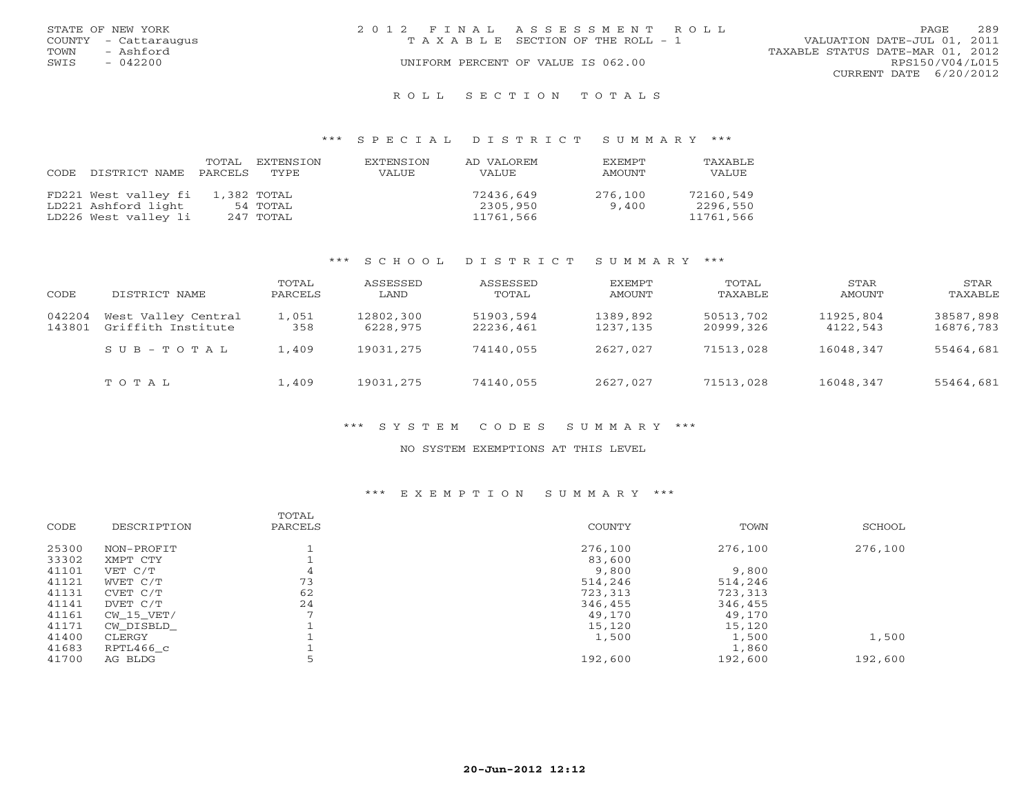|      | STATE OF NEW YORK    | 2012 FINAL ASSESSMENT ROLL |                                    |                                  | <b>PAGE</b>            | 2.89 |
|------|----------------------|----------------------------|------------------------------------|----------------------------------|------------------------|------|
|      | COUNTY - Cattaraugus |                            | TAXABLE SECTION OF THE ROLL - 1    | VALUATION DATE-JUL 01, 2011      |                        |      |
| TOWN | - Ashford            |                            |                                    | TAXABLE STATUS DATE-MAR 01, 2012 |                        |      |
| SWIS | $-042200$            |                            | UNIFORM PERCENT OF VALUE IS 062.00 |                                  | RPS150/V04/L015        |      |
|      |                      |                            |                                    |                                  | CURRENT DATE 6/20/2012 |      |
|      |                      |                            |                                    |                                  |                        |      |

#### R O L L S E C T I O N T O T A L S

#### \*\*\* S P E C I A L D I S T R I C T S U M M A R Y \*\*\*

| CODE | DISTRICT NAME        | TOTAL<br>PARCELS | EXTENSTON<br>TYPE. | <b>EXTENSION</b><br><b>VALUE</b> | AD VALOREM<br><b>VALUE</b> | <b>EXEMPT</b><br>AMOUNT | TAXABLE<br><b>VALUE</b> |
|------|----------------------|------------------|--------------------|----------------------------------|----------------------------|-------------------------|-------------------------|
|      | FD221 West valley fi |                  | 1,382 TOTAL        |                                  | 72436,649                  | 276,100                 | 72160,549               |
|      | LD221 Ashford light  |                  | 54 TOTAL           |                                  | 2305,950                   | 9.400                   | 2296,550                |
|      | LD226 West valley li |                  | 247 TOTAL          |                                  | 11761,566                  |                         | 11761,566               |

#### \*\*\* S C H O O L D I S T R I C T S U M M A R Y \*\*\*

| CODE             | DISTRICT NAME                             | TOTAL<br>PARCELS | ASSESSED<br>LAND      | ASSESSED<br>TOTAL      | EXEMPT<br>AMOUNT     | TOTAL<br>TAXABLE       | STAR<br>AMOUNT        | STAR<br>TAXABLE        |
|------------------|-------------------------------------------|------------------|-----------------------|------------------------|----------------------|------------------------|-----------------------|------------------------|
| 042204<br>143801 | West Valley Central<br>Griffith Institute | 1,051<br>358     | 12802,300<br>6228,975 | 51903,594<br>22236,461 | 1389,892<br>1237,135 | 50513,702<br>20999.326 | 11925,804<br>4122,543 | 38587,898<br>16876,783 |
|                  | $S \cup B - T \cup T A L$                 | 1,409            | 19031,275             | 74140,055              | 2627,027             | 71513,028              | 16048,347             | 55464,681              |
|                  | TOTAL                                     | 1,409            | 19031,275             | 74140,055              | 2627,027             | 71513,028              | 16048,347             | 55464,681              |

## \*\*\* S Y S T E M C O D E S S U M M A R Y \*\*\*

#### NO SYSTEM EXEMPTIONS AT THIS LEVEL

#### \*\*\* E X E M P T I O N S U M M A R Y \*\*\*

| CODE  | DESCRIPTION  | TOTAL<br>PARCELS | COUNTY  | TOWN    | SCHOOL  |
|-------|--------------|------------------|---------|---------|---------|
| 25300 | NON-PROFIT   |                  | 276,100 | 276,100 | 276,100 |
| 33302 | XMPT CTY     |                  | 83,600  |         |         |
| 41101 | VET C/T      | 4                | 9,800   | 9,800   |         |
| 41121 | WVET C/T     | 73               | 514,246 | 514,246 |         |
| 41131 | CVET C/T     | 62               | 723,313 | 723,313 |         |
| 41141 | DVET C/T     | 24               | 346,455 | 346,455 |         |
| 41161 | $CW_15_VET/$ |                  | 49,170  | 49,170  |         |
| 41171 | CW DISBLD    |                  | 15,120  | 15,120  |         |
| 41400 | CLERGY       |                  | 1,500   | 1,500   | 1,500   |
| 41683 | RPTL466 c    |                  |         | 1,860   |         |
| 41700 | AG BLDG      |                  | 192,600 | 192,600 | 192,600 |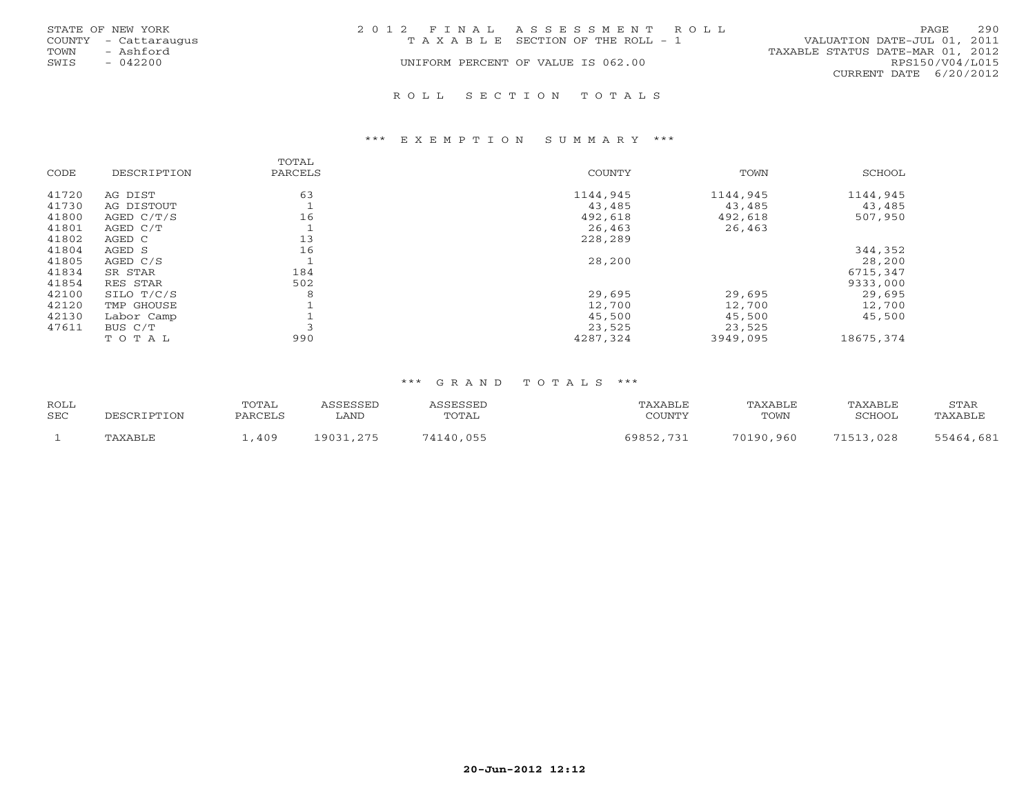|      | STATE OF NEW YORK    | 2012 FINAL ASSESSMENT ROLL            |                                  | PAGE. | 290             |
|------|----------------------|---------------------------------------|----------------------------------|-------|-----------------|
|      | COUNTY - Cattaraugus | T A X A B L E SECTION OF THE ROLL - 1 | VALUATION DATE-JUL 01, 2011      |       |                 |
| TOWN | - Ashford            |                                       | TAXABLE STATUS DATE-MAR 01, 2012 |       |                 |
| SWIS | $-042200$            | UNIFORM PERCENT OF VALUE IS 062.00    |                                  |       | RPS150/V04/L015 |
|      |                      |                                       | CURRENT DATE 6/20/2012           |       |                 |
|      |                      |                                       |                                  |       |                 |

#### \*\*\* E X E M P T I O N S U M M A R Y \*\*\*

|       |             | TOTAL   |               |          |               |
|-------|-------------|---------|---------------|----------|---------------|
| CODE  | DESCRIPTION | PARCELS | <b>COUNTY</b> | TOWN     | <b>SCHOOL</b> |
| 41720 | AG DIST     | 63      | 1144,945      | 1144,945 | 1144,945      |
| 41730 | AG DISTOUT  |         | 43,485        | 43,485   | 43,485        |
| 41800 | AGED C/T/S  | 16      | 492,618       | 492,618  | 507,950       |
| 41801 | AGED C/T    |         | 26,463        | 26,463   |               |
| 41802 | AGED C      | 13      | 228,289       |          |               |
| 41804 | AGED S      | 16      |               |          | 344,352       |
| 41805 | AGED C/S    |         | 28,200        |          | 28,200        |
| 41834 | SR STAR     | 184     |               |          | 6715,347      |
| 41854 | RES STAR    | 502     |               |          | 9333,000      |
| 42100 | SILO T/C/S  | 8       | 29,695        | 29,695   | 29,695        |
| 42120 | TMP GHOUSE  |         | 12,700        | 12,700   | 12,700        |
| 42130 | Labor Camp  |         | 45,500        | 45,500   | 45,500        |
| 47611 | BUS C/T     |         | 23,525        | 23,525   |               |
|       | TOTAL       | 990     | 4287,324      | 3949,095 | 18675,374     |

R O L L S E C T I O N T O T A L S

| <b>ROLL</b> |                | TOTAI   | CCFCCFD                              |           | TAXABLF | <b>TAXABLF</b> | TAXABLE          | STAF      |
|-------------|----------------|---------|--------------------------------------|-----------|---------|----------------|------------------|-----------|
| <b>SEC</b>  |                | PARCELS | LAND                                 | TOTAL     | COUNTY  | TOWN           | 3CHOOL           | TAXABI I  |
|             | <b>TAVARTE</b> | 409     | 1 0 0 2 1<br>$\cap$ $\cap$ $\subset$ | 74140,055 | じょうせい   | 70190,960      | ,028<br>71 E 1 2 | 55464 681 |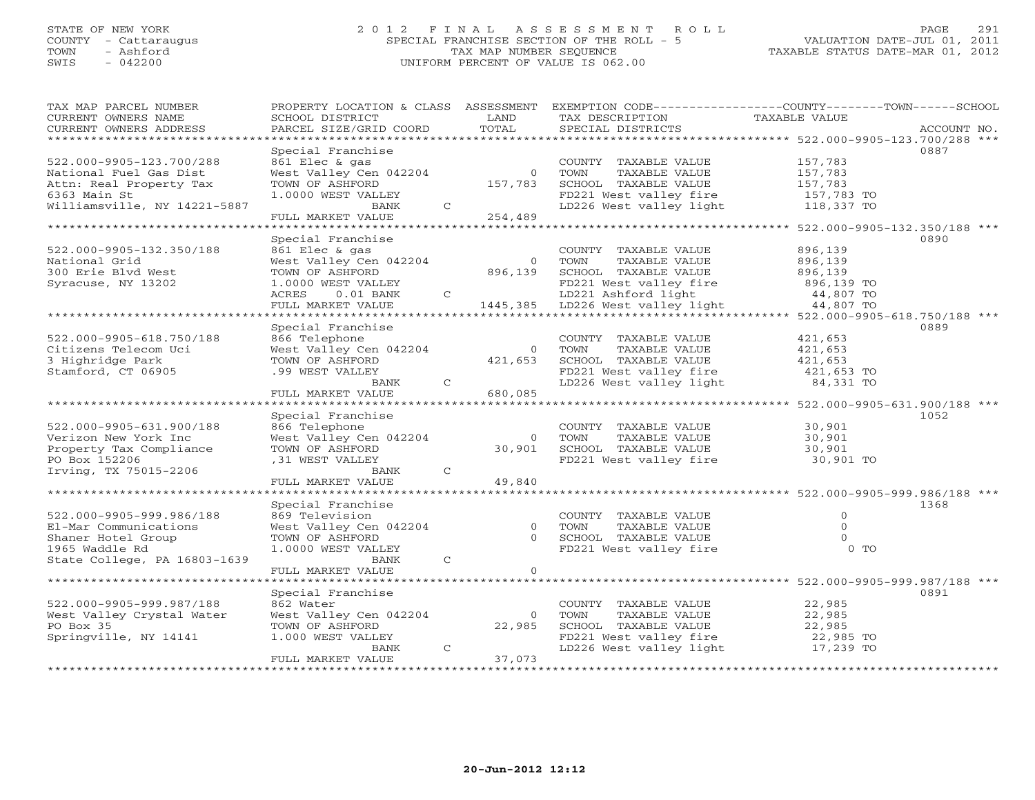# STATE OF NEW YORK 2 0 1 2 F I N A L A S S E S S M E N T R O L L PAGE 291 COUNTY - Cattaraugus SPECIAL FRANCHISE SECTION OF THE ROLL - 5 VALUATION DATE-JUL 01, 2011 TOWN - Ashford TAX MAP NUMBER SEQUENCE TAXABLE STATUS DATE-MAR 01, 2012 SWIS - 042200 UNIFORM PERCENT OF VALUE IS 062.00UNIFORM PERCENT OF VALUE IS 062.00

| TAX MAP PARCEL NUMBER<br>CURRENT OWNERS NAME<br>CURRENT OWNERS ADDRESS | PROPERTY LOCATION & CLASS ASSESSMENT<br>SCHOOL DISTRICT<br>PARCEL SIZE/GRID COORD | LAND<br>TOTAL |                | EXEMPTION CODE-----------------COUNTY-------TOWN------SCHOOL<br>TAX DESCRIPTION<br>SPECIAL DISTRICTS | TAXABLE VALUE                                               | ACCOUNT NO. |
|------------------------------------------------------------------------|-----------------------------------------------------------------------------------|---------------|----------------|------------------------------------------------------------------------------------------------------|-------------------------------------------------------------|-------------|
| **************************                                             |                                                                                   |               |                |                                                                                                      |                                                             |             |
|                                                                        | Special Franchise                                                                 |               |                |                                                                                                      |                                                             | 0887        |
| 522.000-9905-123.700/288                                               | 861 Elec & gas                                                                    |               |                | COUNTY TAXABLE VALUE                                                                                 | 157,783                                                     |             |
| National Fuel Gas Dist                                                 | West Valley Cen 042204                                                            |               | $\overline{0}$ | TOWN<br>TAXABLE VALUE                                                                                | 157,783                                                     |             |
| Attn: Real Property Tax                                                | TOWN OF ASHFORD                                                                   |               | 157,783        | SCHOOL TAXABLE VALUE                                                                                 | 157,783                                                     |             |
| 6363 Main St                                                           | 1.0000 WEST VALLEY                                                                |               |                | FD221 West valley fire                                                                               | 157,783 TO                                                  |             |
| Williamsville, NY 14221-5887                                           | BANK                                                                              | C             |                | LD226 West valley light                                                                              | 118,337 TO                                                  |             |
|                                                                        | FULL MARKET VALUE                                                                 |               | 254,489        |                                                                                                      |                                                             |             |
| ******************************                                         |                                                                                   |               |                |                                                                                                      |                                                             |             |
|                                                                        | Special Franchise                                                                 |               |                |                                                                                                      |                                                             | 0890        |
| 522.000-9905-132.350/188                                               | 861 Elec & gas                                                                    |               |                | COUNTY TAXABLE VALUE                                                                                 | 896,139                                                     |             |
| National Grid                                                          | West Valley Cen 042204                                                            |               | $\circ$        | TOWN<br>TAXABLE VALUE                                                                                | 896,139                                                     |             |
| 300 Erie Blvd West                                                     | TOWN OF ASHFORD                                                                   |               | 896,139        | SCHOOL TAXABLE VALUE                                                                                 | 896,139                                                     |             |
| Syracuse, NY 13202                                                     | 1.0000 WEST VALLEY                                                                |               |                | FD221 West valley fire                                                                               | 896,139 TO                                                  |             |
|                                                                        | ACRES<br>$0.01$ BANK                                                              | $\mathcal{C}$ |                | LD221 Ashford light                                                                                  | 44,807 TO                                                   |             |
|                                                                        | FULL MARKET VALUE                                                                 |               | 1445,385       | LD226 West valley light                                                                              | 44,807 TO                                                   |             |
|                                                                        |                                                                                   |               |                |                                                                                                      |                                                             |             |
|                                                                        | Special Franchise                                                                 |               |                |                                                                                                      |                                                             | 0889        |
| 522.000-9905-618.750/188                                               | 866 Telephone                                                                     |               |                | COUNTY TAXABLE VALUE                                                                                 | 421,653                                                     |             |
| Citizens Telecom Uci                                                   | West Valley Cen 042204                                                            |               | $\circ$        | TOWN<br>TAXABLE VALUE                                                                                | 421,653                                                     |             |
| 3 Highridge Park                                                       | TOWN OF ASHFORD                                                                   |               | 421,653        | SCHOOL TAXABLE VALUE                                                                                 | 421,653                                                     |             |
| Stamford, CT 06905                                                     | .99 WEST VALLEY                                                                   |               |                | FD221 West valley fire                                                                               | 421,653 TO                                                  |             |
|                                                                        | BANK                                                                              | $\mathsf{C}$  |                | LD226 West valley light                                                                              | 84,331 TO                                                   |             |
|                                                                        | FULL MARKET VALUE                                                                 |               | 680,085        |                                                                                                      |                                                             |             |
|                                                                        |                                                                                   |               |                |                                                                                                      |                                                             |             |
|                                                                        | Special Franchise                                                                 |               |                |                                                                                                      |                                                             | 1052        |
| 522.000-9905-631.900/188                                               | 866 Telephone                                                                     |               |                | COUNTY TAXABLE VALUE                                                                                 | 30,901                                                      |             |
| Verizon New York Inc                                                   | West Valley Cen 042204                                                            |               | $\Omega$       | TAXABLE VALUE<br>TOWN                                                                                | 30,901                                                      |             |
| Property Tax Compliance                                                | TOWN OF ASHFORD                                                                   |               | 30,901         | SCHOOL TAXABLE VALUE                                                                                 | 30,901                                                      |             |
| PO Box 152206                                                          | ,31 WEST VALLEY                                                                   |               |                | FD221 West valley fire                                                                               | 30,901 TO                                                   |             |
| Irving, TX 75015-2206                                                  | BANK                                                                              | $\mathcal{C}$ |                |                                                                                                      |                                                             |             |
|                                                                        | FULL MARKET VALUE                                                                 |               | 49,840         |                                                                                                      |                                                             |             |
|                                                                        |                                                                                   |               |                |                                                                                                      | ****************************** 522.000-9905-999.986/188 *** |             |
|                                                                        | Special Franchise                                                                 |               |                |                                                                                                      |                                                             | 1368        |
| 522.000-9905-999.986/188                                               | 869 Television                                                                    |               |                | COUNTY TAXABLE VALUE                                                                                 | $\circ$                                                     |             |
| El-Mar Communications                                                  | West Valley Cen 042204                                                            |               | $\circ$        | TOWN<br>TAXABLE VALUE                                                                                | $\Omega$                                                    |             |
| Shaner Hotel Group                                                     | TOWN OF ASHFORD                                                                   |               | $\Omega$       | SCHOOL TAXABLE VALUE                                                                                 | $\Omega$                                                    |             |
| 1965 Waddle Rd                                                         | 1.0000 WEST VALLEY                                                                |               |                | FD221 West valley fire                                                                               | $0$ TO                                                      |             |
| State College, PA 16803-1639                                           | BANK                                                                              | $\mathcal{C}$ |                |                                                                                                      |                                                             |             |
|                                                                        | FULL MARKET VALUE                                                                 |               | $\Omega$       |                                                                                                      |                                                             |             |
|                                                                        |                                                                                   |               | ******         |                                                                                                      | *********** 522.000-9905-999.987/188 ***                    |             |
|                                                                        | Special Franchise                                                                 |               |                |                                                                                                      |                                                             | 0891        |
| 522.000-9905-999.987/188                                               | 862 Water                                                                         |               |                | COUNTY TAXABLE VALUE                                                                                 | 22,985                                                      |             |
| West Valley Crystal Water                                              | West Valley Cen 042204                                                            |               | $\circ$        | TOWN<br>TAXABLE VALUE                                                                                | 22,985                                                      |             |
| PO Box 35                                                              | TOWN OF ASHFORD                                                                   |               | 22,985         | SCHOOL TAXABLE VALUE                                                                                 | 22,985                                                      |             |
| Springville, NY 14141                                                  | 1.000 WEST VALLEY                                                                 |               |                | FD221 West valley fire                                                                               | 22,985 TO                                                   |             |
|                                                                        | BANK                                                                              | $\mathsf{C}$  |                | LD226 West valley light                                                                              | 17,239 TO                                                   |             |
| *********************                                                  | FULL MARKET VALUE                                                                 |               | 37,073         |                                                                                                      |                                                             |             |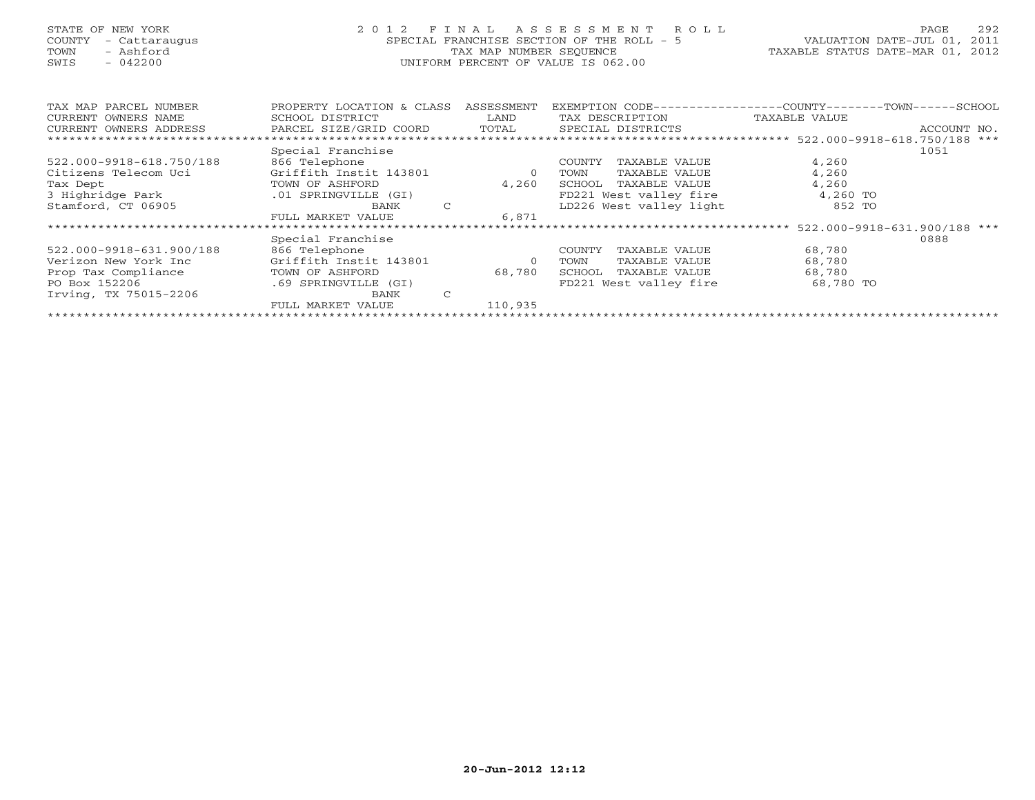# STATE OF NEW YORK 2 0 1 2 F I N A L A S S E S S M E N T R O L L PAGE 292 COUNTY - Cattaraugus SPECIAL FRANCHISE SECTION OF THE ROLL - 5 VALUATION DATE-JUL 01, 2011 TOWN - Ashford TAX MAP NUMBER SEQUENCE TAXABLE STATUS DATE-MAR 01, 2012 SWIS - 042200 UNIFORM PERCENT OF VALUE IS 062.00UNIFORM PERCENT OF VALUE IS 062.00

| TAX MAP PARCEL NUMBER    | PROPERTY LOCATION & CLASS | ASSESSMENT | EXEMPTION CODE--        | $-$ -COUNTY--------TOWN------SCHOOL                             |  |
|--------------------------|---------------------------|------------|-------------------------|-----------------------------------------------------------------|--|
| CURRENT OWNERS NAME      | SCHOOL DISTRICT           | LAND       | TAX DESCRIPTION         | TAXABLE VALUE                                                   |  |
| CURRENT OWNERS ADDRESS   | PARCEL SIZE/GRID COORD    | TOTAL      | SPECIAL DISTRICTS       | ACCOUNT NO.                                                     |  |
|                          |                           |            |                         | *********************** 522.000-9918-618.750/188 ***            |  |
|                          | Special Franchise         |            |                         | 1051                                                            |  |
| 522.000-9918-618.750/188 | 866 Telephone             |            | COUNTY<br>TAXABLE VALUE | 4,260                                                           |  |
| Citizens Telecom Uci     | Griffith Instit 143801    | $\circ$    | TAXABLE VALUE<br>TOWN   | 4,260                                                           |  |
| Tax Dept                 | TOWN OF ASHFORD           | 4,260      | TAXABLE VALUE<br>SCHOOL | 4,260                                                           |  |
| 3 Highridge Park         | .01 SPRINGVILLE (GI)      |            | FD221 West valley fire  | 4,260 TO                                                        |  |
| Stamford, CT 06905       | $\mathsf{C}$<br>BANK      |            | LD226 West valley light | 852 TO                                                          |  |
|                          | FULL MARKET VALUE         | 6,871      |                         |                                                                 |  |
|                          |                           |            |                         | ********************************** 522.000-9918-631.900/188 *** |  |
|                          | Special Franchise         |            |                         | 0888                                                            |  |
| 522.000-9918-631.900/188 | 866 Telephone             |            | TAXABLE VALUE<br>COUNTY | 68,780                                                          |  |
| Verizon New York Inc     | Griffith Instit 143801    | $\circ$    | TAXABLE VALUE<br>TOWN   | 68,780                                                          |  |
| Prop Tax Compliance      | TOWN OF ASHFORD           | 68,780     | TAXABLE VALUE<br>SCHOOL | 68,780                                                          |  |
| PO Box 152206            | .69 SPRINGVILLE (GI)      |            | FD221 West valley fire  | 68,780 TO                                                       |  |
| Irving, TX 75015-2206    | $\mathcal{C}$<br>BANK     |            |                         |                                                                 |  |
|                          | FULL MARKET VALUE         | 110,935    |                         |                                                                 |  |
|                          |                           |            |                         |                                                                 |  |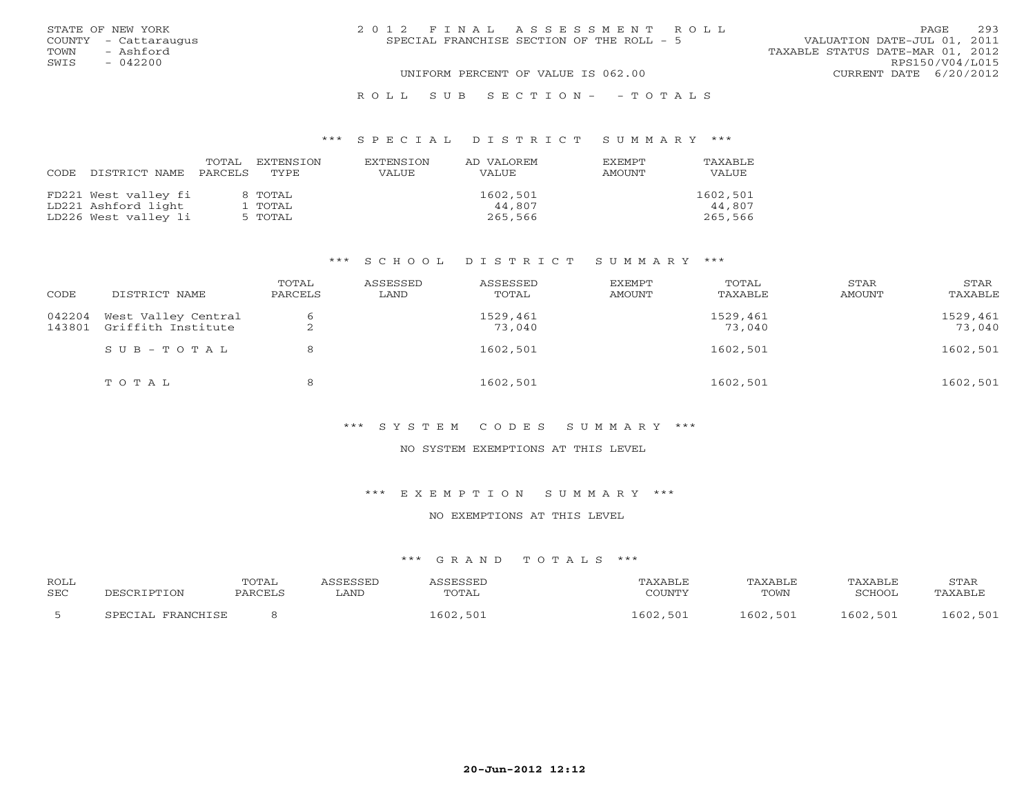| STATE OF NEW YORK    | 2012 FINAL ASSESSMENT ROLL                | 293<br>PAGE.                     |
|----------------------|-------------------------------------------|----------------------------------|
| COUNTY - Cattaraugus | SPECIAL FRANCHISE SECTION OF THE ROLL - 5 | VALUATION DATE-JUL 01, 2011      |
| - Ashford<br>TOWN    |                                           | TAXABLE STATUS DATE-MAR 01, 2012 |
| SWIS<br>$-042200$    |                                           | RPS150/V04/L015                  |
|                      | UNIFORM PERCENT OF VALUE IS 062.00        | CURRENT DATE 6/20/2012           |
|                      | ROLL SUB SECTION- - TOTALS                |                                  |

### \*\*\* S P E C I A L D I S T R I C T S U M M A R Y \*\*\*

|      |                      | TOTAL   | EXTENSTON | EXTENSION    | AD VALOREM | <b>EXEMPT</b> | TAXABLE      |
|------|----------------------|---------|-----------|--------------|------------|---------------|--------------|
| CODE | DISTRICT NAME        | PARCELS | TYPE.     | <b>VALUE</b> | VALUE      | <b>AMOUNT</b> | <b>VALUE</b> |
|      |                      |         |           |              |            |               |              |
|      | FD221 West valley fi |         | 8 TOTAL   |              | 1602,501   |               | 1602,501     |
|      | LD221 Ashford light  |         | l TOTAL   |              | 44,807     |               | 44,807       |
|      | LD226 West valley li |         | 5 TOTAL   |              | 265,566    |               | 265,566      |

### \*\*\* S C H O O L D I S T R I C T S U M M A R Y \*\*\*

| CODE             | DISTRICT NAME                             | TOTAL<br>PARCELS | ASSESSED<br>LAND | ASSESSED<br>TOTAL  | EXEMPT<br>AMOUNT | TOTAL<br>TAXABLE   | STAR<br>AMOUNT | STAR<br>TAXABLE    |
|------------------|-------------------------------------------|------------------|------------------|--------------------|------------------|--------------------|----------------|--------------------|
| 042204<br>143801 | West Valley Central<br>Griffith Institute | 6<br>৴           |                  | 1529,461<br>73,040 |                  | 1529,461<br>73,040 |                | 1529,461<br>73,040 |
|                  | $S \cup B - T \cup T A$                   | 8                |                  | 1602,501           |                  | 1602,501           |                | 1602,501           |
|                  | TOTAL                                     | 8                |                  | 1602,501           |                  | 1602,501           |                | 1602,501           |

# \*\*\* S Y S T E M C O D E S S U M M A R Y \*\*\*

#### NO SYSTEM EXEMPTIONS AT THIS LEVEL

#### \*\*\* E X E M P T I O N S U M M A R Y \*\*\*

### NO EXEMPTIONS AT THIS LEVEL

| <b>ROLI</b><br><b>SEC</b> |                           | TOTAL | LAND | TOTAL                   | $\Delta$ Bl.<br>COTINTM  | TAXABI F<br>TOWN | AYARLL<br>SCHOOT | STAR<br>⊡AYART.   |
|---------------------------|---------------------------|-------|------|-------------------------|--------------------------|------------------|------------------|-------------------|
|                           | <b>TDAMCUTCP</b><br>ים רי |       |      | .602<br>50 <sup>-</sup> | $F \cup$<br>$60^{\circ}$ | ث50              | .602<br>501      | $F \cap 2$<br>602 |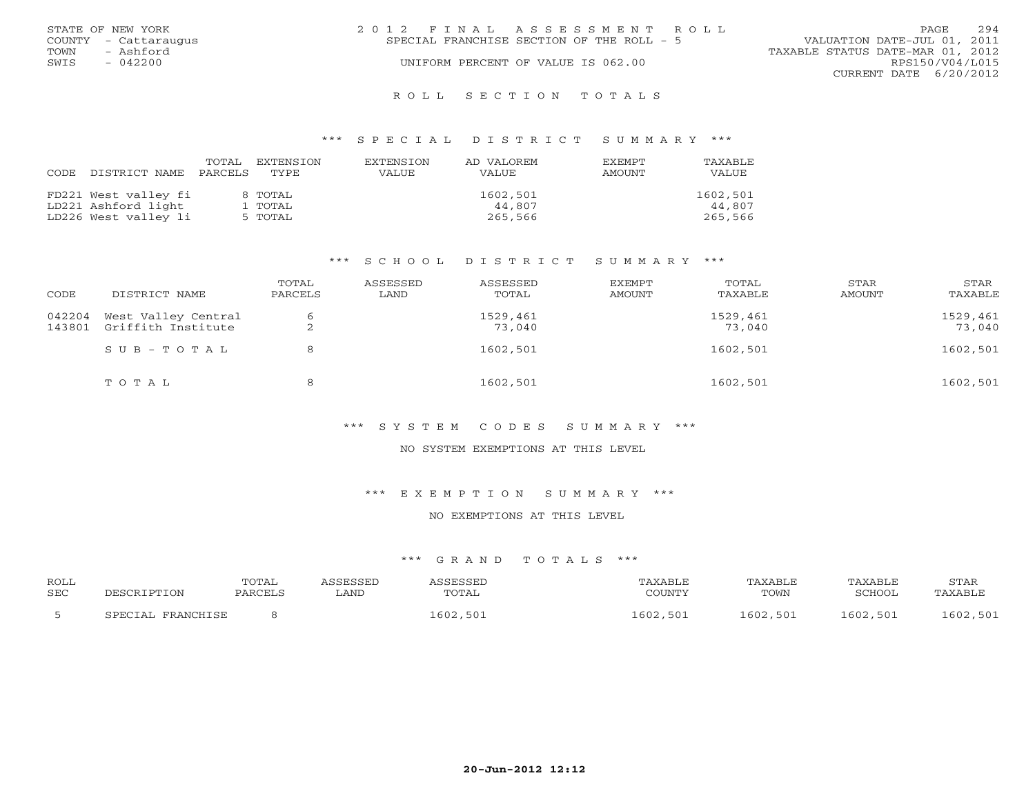|      | STATE OF NEW YORK    | 2012 FINAL ASSESSMENT ROLL                | PAGE                             | 294 |
|------|----------------------|-------------------------------------------|----------------------------------|-----|
|      | COUNTY - Cattaraugus | SPECIAL FRANCHISE SECTION OF THE ROLL - 5 | VALUATION DATE-JUL 01, 2011      |     |
| TOWN | - Ashford            |                                           | TAXABLE STATUS DATE-MAR 01, 2012 |     |
| SWIS | $-042200$            | UNIFORM PERCENT OF VALUE IS 062.00        | RPS150/V04/L015                  |     |
|      |                      |                                           | CURRENT DATE 6/20/2012           |     |
|      |                      |                                           |                                  |     |

#### R O L L S E C T I O N T O T A L S

#### \*\*\* S P E C I A L D I S T R I C T S U M M A R Y \*\*\*

| CODE | DISTRICT NAME        | TOTAL<br>PARCELS | EXTENSTON<br>TYPE. | <b>EXTENSION</b><br>VALUE | AD VALOREM<br>VALUE | <b>EXEMPT</b><br>AMOUNT | TAXABLE<br><b>VALUE</b> |
|------|----------------------|------------------|--------------------|---------------------------|---------------------|-------------------------|-------------------------|
|      | FD221 West valley fi |                  | 8 TOTAL            |                           | 1602,501            |                         | 1602,501                |
|      | LD221 Ashford light  |                  | 1 TOTAL            |                           | 44,807              |                         | 44,807                  |
|      | LD226 West valley li |                  | 5 TOTAL            |                           | 265,566             |                         | 265,566                 |

#### \*\*\* S C H O O L D I S T R I C T S U M M A R Y \*\*\*

| CODE             | DISTRICT NAME                             | TOTAL<br>PARCELS    | ASSESSED<br>LAND | ASSESSED<br>TOTAL  | EXEMPT<br>AMOUNT | TOTAL<br>TAXABLE   | STAR<br>AMOUNT | STAR<br>TAXABLE    |
|------------------|-------------------------------------------|---------------------|------------------|--------------------|------------------|--------------------|----------------|--------------------|
| 042204<br>143801 | West Valley Central<br>Griffith Institute | 6<br>$\bigcap$<br>▵ |                  | 1529,461<br>73,040 |                  | 1529,461<br>73,040 |                | 1529,461<br>73,040 |
|                  | $SUB - TO T AL$                           | 8                   |                  | 1602,501           |                  | 1602,501           |                | 1602,501           |
|                  | TOTAL                                     | 8                   |                  | 1602,501           |                  | 1602,501           |                | 1602,501           |

# \*\*\* S Y S T E M C O D E S S U M M A R Y \*\*\*

#### NO SYSTEM EXEMPTIONS AT THIS LEVEL

#### \*\*\* E X E M P T I O N S U M M A R Y \*\*\*

### NO EXEMPTIONS AT THIS LEVEL

| <b>ROLL</b> |                   | <b>TOTAL</b> | ASSESSED | ASSESSED | TAXABLE  | TAXABLE  | TAXABLE       | STAR     |
|-------------|-------------------|--------------|----------|----------|----------|----------|---------------|----------|
| <b>SEC</b>  | DESCRIPTION       | PARCELS      | LAND     | TOTAL    | COUNTY   | TOWN     | <b>SCHOOL</b> | TAXABLE  |
|             | SPECIAL FRANCHISE |              |          | L602,501 | 1602,501 | 1602,501 | 1602,501      | 1602,501 |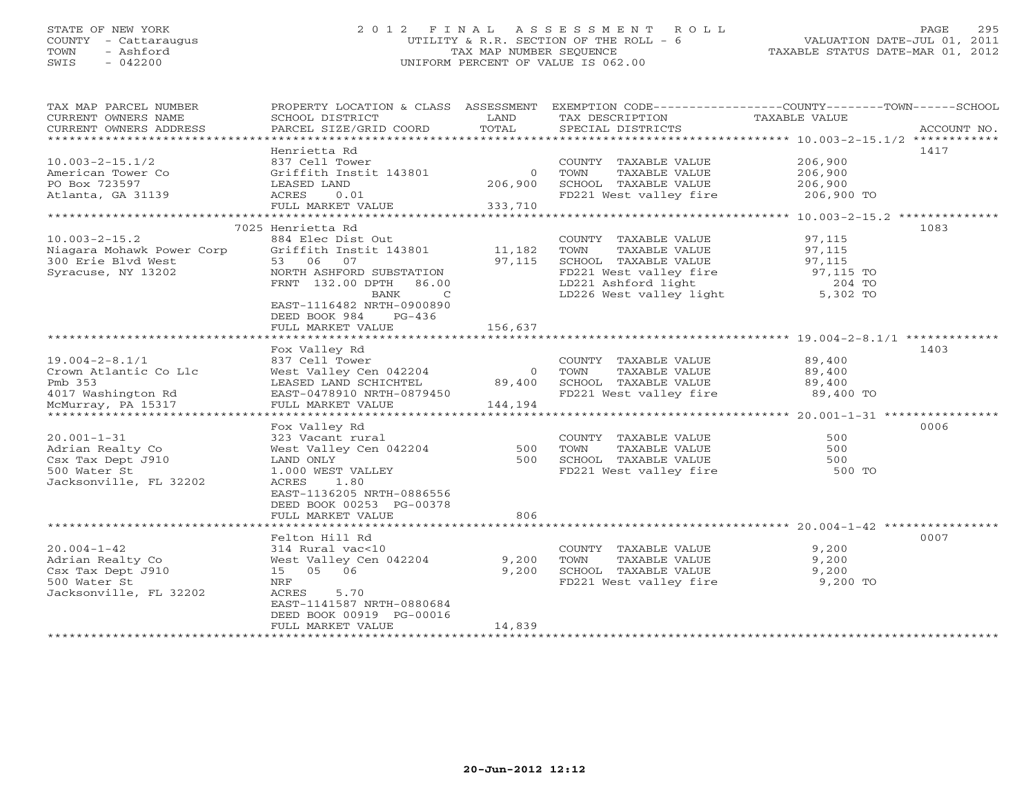# STATE OF NEW YORK 2 0 1 2 F I N A L A S S E S S M E N T R O L L PAGE 295 COUNTY - Cattaraugus UTILITY & R.R. SECTION OF THE ROLL - 6 VALUATION DATE-JUL 01, 2011 TOWN - Ashford TAX MAP NUMBER SEQUENCE TAXABLE STATUS DATE-MAR 01, 2012 SWIS - 042200 UNIFORM PERCENT OF VALUE IS 062.00UNIFORM PERCENT OF VALUE IS 062.00

| TAX MAP PARCEL NUMBER<br>CURRENT OWNERS NAME<br>CURRENT OWNERS ADDRESS | PROPERTY LOCATION & CLASS ASSESSMENT<br>SCHOOL DISTRICT<br>PARCEL SIZE/GRID COORD | LAND<br>TOTAL               | EXEMPTION CODE-----------------COUNTY-------TOWN------SCHOOL<br>TAX DESCRIPTION<br>SPECIAL DISTRICTS | TAXABLE VALUE                                         | ACCOUNT NO. |
|------------------------------------------------------------------------|-----------------------------------------------------------------------------------|-----------------------------|------------------------------------------------------------------------------------------------------|-------------------------------------------------------|-------------|
|                                                                        |                                                                                   |                             |                                                                                                      |                                                       |             |
|                                                                        | Henrietta Rd                                                                      |                             |                                                                                                      |                                                       | 1417        |
| $10.003 - 2 - 15.1/2$                                                  | 837 Cell Tower                                                                    |                             | COUNTY TAXABLE VALUE                                                                                 | 206,900                                               |             |
| American Tower Co                                                      | Griffith Instit 143801                                                            | $\Omega$                    | TAXABLE VALUE<br>TOWN                                                                                | 206,900                                               |             |
| PO Box 723597                                                          | LEASED LAND                                                                       | 206,900                     | SCHOOL TAXABLE VALUE                                                                                 | 206,900                                               |             |
| Atlanta, GA 31139                                                      | ACRES<br>0.01                                                                     |                             | FD221 West valley fire                                                                               | 206,900 TO                                            |             |
|                                                                        | FULL MARKET VALUE                                                                 | 333,710                     |                                                                                                      |                                                       |             |
|                                                                        |                                                                                   |                             |                                                                                                      | ************************ 10.003-2-15.2 ************** |             |
|                                                                        | 7025 Henrietta Rd                                                                 |                             |                                                                                                      |                                                       | 1083        |
| $10.003 - 2 - 15.2$                                                    | 884 Elec Dist Out                                                                 |                             | COUNTY TAXABLE VALUE                                                                                 | 97,115                                                |             |
| Niagara Mohawk Power Corp                                              | Griffith Instit 143801                                                            | 11,182                      | TOWN<br>TAXABLE VALUE                                                                                | 97,115                                                |             |
| 300 Erie Blvd West                                                     | 53 06<br>07                                                                       | 97,115                      | SCHOOL TAXABLE VALUE                                                                                 | 97,115                                                |             |
| Syracuse, NY 13202                                                     | NORTH ASHFORD SUBSTATION                                                          |                             | FD221 West valley fire                                                                               | 97,115 TO                                             |             |
|                                                                        | FRNT 132.00 DPTH<br>86.00                                                         |                             | LD221 Ashford light                                                                                  | 204 TO                                                |             |
|                                                                        | BANK<br>$\mathcal{C}$                                                             |                             | LD226 West valley light                                                                              | $5,302$ TO                                            |             |
|                                                                        | EAST-1116482 NRTH-0900890<br>PG-436<br>DEED BOOK 984                              |                             |                                                                                                      |                                                       |             |
|                                                                        | FULL MARKET VALUE                                                                 | 156,637                     |                                                                                                      |                                                       |             |
|                                                                        | ************************                                                          | * * * * * * * * * * * * * * |                                                                                                      |                                                       |             |
|                                                                        | Fox Valley Rd                                                                     |                             |                                                                                                      |                                                       | 1403        |
| $19.004 - 2 - 8.1/1$                                                   | 837 Cell Tower                                                                    |                             | COUNTY TAXABLE VALUE                                                                                 | 89,400                                                |             |
| Crown Atlantic Co Llc                                                  | West Valley Cen 042204                                                            | $\overline{0}$              | TOWN<br>TAXABLE VALUE                                                                                | 89,400                                                |             |
| Pmb 353                                                                | LEASED LAND SCHICHTEL                                                             | 89,400                      | SCHOOL TAXABLE VALUE                                                                                 | 89,400                                                |             |
| 4017 Washington Rd                                                     | EAST-0478910 NRTH-0879450                                                         |                             | FD221 West valley fire                                                                               | 89,400 TO                                             |             |
| McMurray, PA 15317                                                     | FULL MARKET VALUE                                                                 | 144,194                     |                                                                                                      |                                                       |             |
|                                                                        | ***********************                                                           |                             |                                                                                                      |                                                       |             |
|                                                                        | Fox Valley Rd                                                                     |                             |                                                                                                      |                                                       | 0006        |
| $20.001 - 1 - 31$                                                      |                                                                                   |                             |                                                                                                      | 500                                                   |             |
|                                                                        | 323 Vacant rural                                                                  | 500                         | COUNTY TAXABLE VALUE<br>TOWN<br>TAXABLE VALUE                                                        | 500                                                   |             |
| Adrian Realty Co                                                       | West Valley Cen 042204                                                            | 500                         |                                                                                                      |                                                       |             |
| Csx Tax Dept J910                                                      | LAND ONLY                                                                         |                             | SCHOOL TAXABLE VALUE                                                                                 | 500                                                   |             |
| 500 Water St                                                           | 1.000 WEST VALLEY                                                                 |                             | FD221 West valley fire                                                                               | 500 TO                                                |             |
| Jacksonville, FL 32202                                                 | ACRES<br>1.80                                                                     |                             |                                                                                                      |                                                       |             |
|                                                                        | EAST-1136205 NRTH-0886556                                                         |                             |                                                                                                      |                                                       |             |
|                                                                        | DEED BOOK 00253 PG-00378                                                          |                             |                                                                                                      |                                                       |             |
|                                                                        | FULL MARKET VALUE                                                                 | 806                         |                                                                                                      |                                                       |             |
|                                                                        |                                                                                   |                             |                                                                                                      |                                                       |             |
|                                                                        | Felton Hill Rd                                                                    |                             |                                                                                                      |                                                       | 0007        |
| $20.004 - 1 - 42$                                                      | 314 Rural vac<10                                                                  |                             | COUNTY TAXABLE VALUE                                                                                 | 9,200                                                 |             |
| Adrian Realty Co                                                       | West Valley Cen 042204                                                            | 9,200                       | TOWN<br>TAXABLE VALUE                                                                                | 9,200                                                 |             |
| Csx Tax Dept J910                                                      | 15 05 06                                                                          | 9,200                       | SCHOOL TAXABLE VALUE                                                                                 | 9,200                                                 |             |
| 500 Water St                                                           | <b>NRF</b>                                                                        |                             | FD221 West valley fire                                                                               | 9,200 TO                                              |             |
| Jacksonville, FL 32202                                                 | ACRES<br>5.70                                                                     |                             |                                                                                                      |                                                       |             |
|                                                                        | EAST-1141587 NRTH-0880684                                                         |                             |                                                                                                      |                                                       |             |
|                                                                        | DEED BOOK 00919 PG-00016                                                          |                             |                                                                                                      |                                                       |             |
|                                                                        | FULL MARKET VALUE                                                                 | 14,839                      |                                                                                                      |                                                       |             |
|                                                                        |                                                                                   |                             |                                                                                                      |                                                       |             |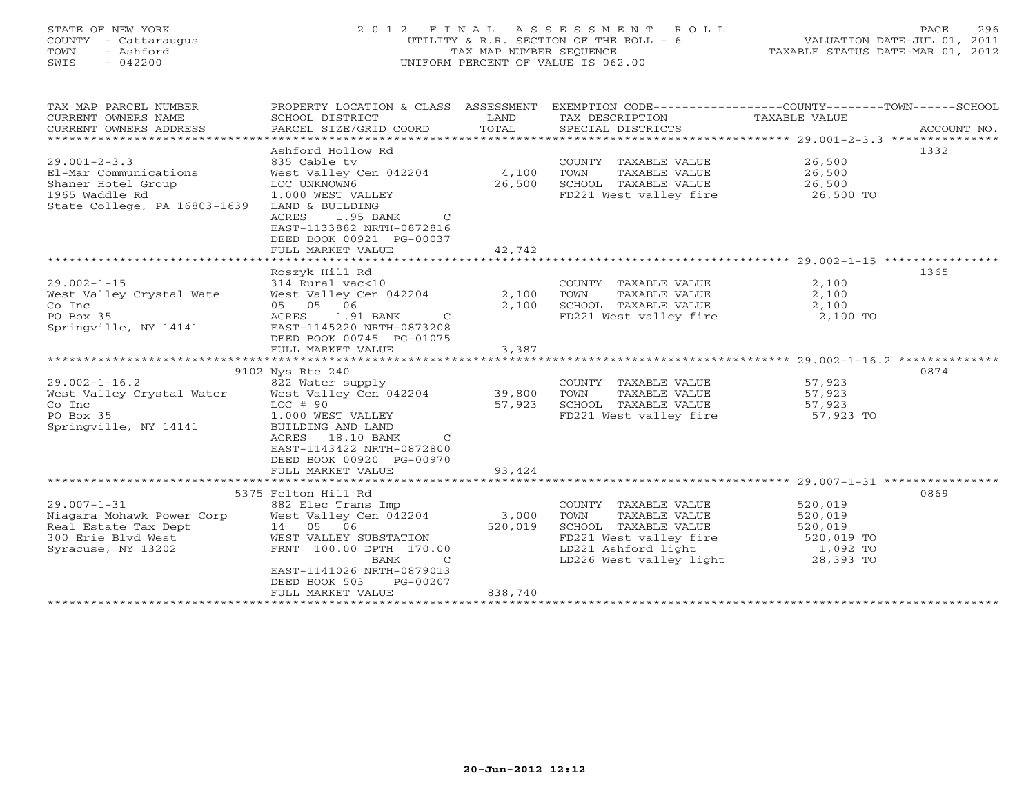# STATE OF NEW YORK 2 0 1 2 F I N A L A S S E S S M E N T R O L L PAGE 296 COUNTY - Cattaraugus UTILITY & R.R. SECTION OF THE ROLL - 6 VALUATION DATE-JUL 01, 2011 TOWN - Ashford TAX MAP NUMBER SEQUENCE TAXABLE STATUS DATE-MAR 01, 2012 SWIS - 042200 UNIFORM PERCENT OF VALUE IS 062.00

| TAX MAP PARCEL NUMBER<br>CURRENT OWNERS NAME<br>CURRENT OWNERS ADDRESS | PROPERTY LOCATION & CLASS ASSESSMENT<br>SCHOOL DISTRICT<br>PARCEL SIZE/GRID COORD | LAND<br>TOTAL | TAX DESCRIPTION<br>SPECIAL DISTRICTS | EXEMPTION CODE-----------------COUNTY-------TOWN------SCHOOL<br>TAXABLE VALUE<br>ACCOUNT NO. |
|------------------------------------------------------------------------|-----------------------------------------------------------------------------------|---------------|--------------------------------------|----------------------------------------------------------------------------------------------|
|                                                                        |                                                                                   |               |                                      |                                                                                              |
|                                                                        | Ashford Hollow Rd                                                                 |               |                                      | 1332                                                                                         |
| $29.001 - 2 - 3.3$                                                     | 835 Cable tv                                                                      |               | COUNTY TAXABLE VALUE                 | 26,500                                                                                       |
| El-Mar Communications                                                  | West Valley Cen 042204                                                            | 4,100         | TOWN<br>TAXABLE VALUE                | 26,500                                                                                       |
| Shaner Hotel Group                                                     | LOC UNKNOWN6                                                                      | 26,500        | SCHOOL TAXABLE VALUE                 | 26,500                                                                                       |
| 1965 Waddle Rd                                                         | 1.000 WEST VALLEY                                                                 |               | FD221 West valley fire               | лица и 26,500 то                                                                             |
| State College, PA 16803-1639                                           | LAND & BUILDING                                                                   |               |                                      |                                                                                              |
|                                                                        | ACRES<br>1.95 BANK<br>$\mathcal{C}$                                               |               |                                      |                                                                                              |
|                                                                        | EAST-1133882 NRTH-0872816                                                         |               |                                      |                                                                                              |
|                                                                        | DEED BOOK 00921 PG-00037                                                          |               |                                      |                                                                                              |
|                                                                        | FULL MARKET VALUE                                                                 | 42,742        |                                      |                                                                                              |
|                                                                        |                                                                                   |               |                                      |                                                                                              |
|                                                                        | Roszyk Hill Rd                                                                    |               |                                      | 1365                                                                                         |
| $29.002 - 1 - 15$                                                      | 314 Rural vac<10                                                                  |               | COUNTY TAXABLE VALUE                 | 2,100                                                                                        |
| West Valley Crystal Wate                                               | West Valley Cen 042204                                                            | 2,100         | TOWN<br>TAXABLE VALUE                | 2,100                                                                                        |
| Co Inc                                                                 | 05 05 06                                                                          | 2,100         | SCHOOL TAXABLE VALUE                 | 2,100                                                                                        |
| PO Box 35                                                              | ACRES<br>1.91 BANK<br>$\mathcal{C}$                                               |               | FD221 West valley fire               | 2,100 TO                                                                                     |
| Springville, NY 14141                                                  | EAST-1145220 NRTH-0873208                                                         |               |                                      |                                                                                              |
|                                                                        | DEED BOOK 00745 PG-01075                                                          |               |                                      |                                                                                              |
|                                                                        | FULL MARKET VALUE                                                                 | 3,387         |                                      |                                                                                              |
|                                                                        |                                                                                   |               |                                      |                                                                                              |
|                                                                        | 9102 Nys Rte 240                                                                  |               |                                      | 0874                                                                                         |
| $29.002 - 1 - 16.2$                                                    | 822 Water supply                                                                  |               | COUNTY TAXABLE VALUE                 | 57,923                                                                                       |
| West Valley Crystal Water                                              | West Valley Cen 042204                                                            | 39,800        | TAXABLE VALUE<br>TOWN                | 57,923                                                                                       |
| Co Inc                                                                 | $LOC$ $#$ 90                                                                      | 57,923        | SCHOOL TAXABLE VALUE                 | 57,923                                                                                       |
| PO Box 35                                                              | 1.000 WEST VALLEY<br>BUILDING AND LAND                                            |               | FD221 West valley fire               | 57,923 TO                                                                                    |
| Springville, NY 14141                                                  | 18.10 BANK<br>ACRES<br>$\mathsf{C}$                                               |               |                                      |                                                                                              |
|                                                                        | EAST-1143422 NRTH-0872800                                                         |               |                                      |                                                                                              |
|                                                                        | DEED BOOK 00920 PG-00970                                                          |               |                                      |                                                                                              |
|                                                                        | FULL MARKET VALUE                                                                 | 93,424        |                                      |                                                                                              |
|                                                                        |                                                                                   |               |                                      |                                                                                              |
|                                                                        | 5375 Felton Hill Rd                                                               |               |                                      | 0869                                                                                         |
| $29.007 - 1 - 31$                                                      | 882 Elec Trans Imp                                                                |               | COUNTY TAXABLE VALUE                 | 520,019                                                                                      |
| Niagara Mohawk Power Corp                                              | West Valley Cen 042204                                                            | 3,000         | TOWN<br>TAXABLE VALUE                | 520,019                                                                                      |
| Real Estate Tax Dept                                                   | 14 05 06                                                                          | 520,019       | SCHOOL TAXABLE VALUE                 | 520,019                                                                                      |
| 300 Erie Blvd West                                                     | WEST VALLEY SUBSTATION                                                            |               | FD221 West valley fire               | 520,019 TO                                                                                   |
| Syracuse, NY 13202                                                     | FRNT 100.00 DPTH 170.00                                                           |               | LD221 Ashford light                  | 1,092 TO                                                                                     |
|                                                                        | BANK<br>$\mathcal{C}$                                                             |               | LD226 West valley light              | 28,393 TO                                                                                    |
|                                                                        | EAST-1141026 NRTH-0879013                                                         |               |                                      |                                                                                              |
|                                                                        | DEED BOOK 503<br>PG-00207                                                         |               |                                      |                                                                                              |
|                                                                        | FULL MARKET VALUE                                                                 | 838,740       |                                      |                                                                                              |
|                                                                        |                                                                                   |               |                                      |                                                                                              |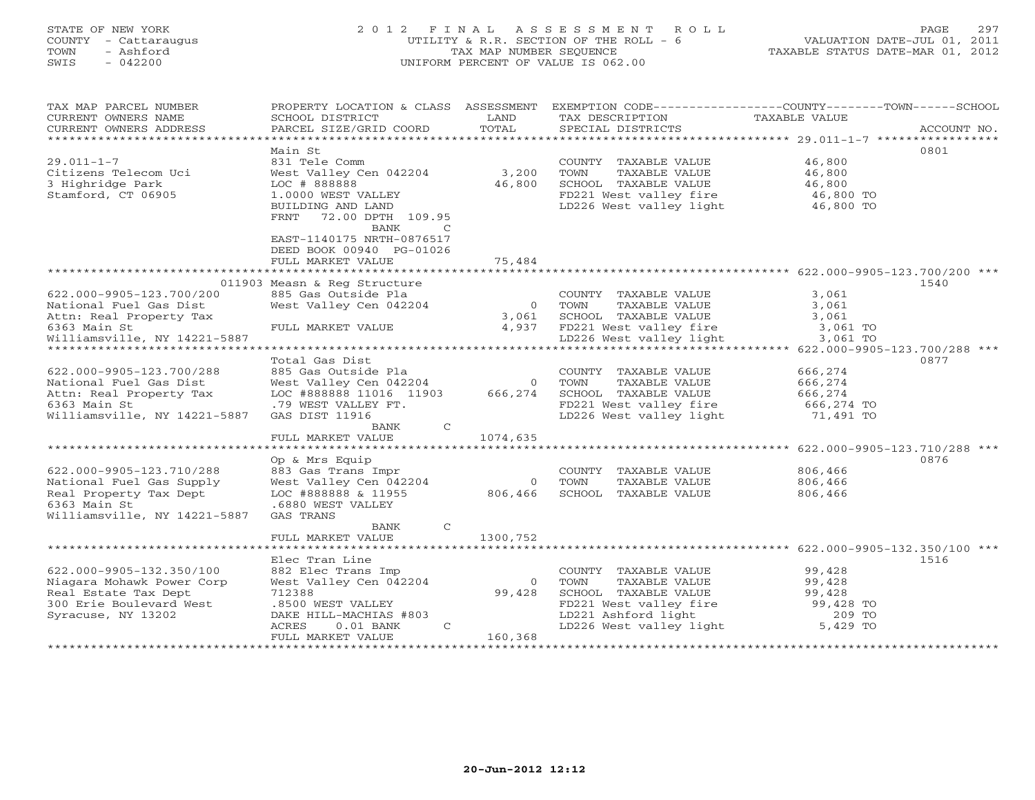# STATE OF NEW YORK 2 0 1 2 F I N A L A S S E S S M E N T R O L L PAGE 297 COUNTY - Cattaraugus UTILITY & R.R. SECTION OF THE ROLL - 6 VALUATION DATE-JUL 01, 2011 TOWN - Ashford TAX MAP NUMBER SEQUENCE TAXABLE STATUS DATE-MAR 01, 2012 SWIS - 042200 UNIFORM PERCENT OF VALUE IS 062.00UNIFORM PERCENT OF VALUE IS 062.00

| TAX MAP PARCEL NUMBER<br>CURRENT OWNERS NAME<br>CURRENT OWNERS ADDRESS | PROPERTY LOCATION & CLASS ASSESSMENT<br>SCHOOL DISTRICT<br>PARCEL SIZE/GRID COORD | LAND<br>TOTAL | TAX DESCRIPTION<br>SPECIAL DISTRICTS                                        | EXEMPTION CODE----------------COUNTY-------TOWN------SCHOOL<br>TAXABLE VALUE<br>ACCOUNT NO. |
|------------------------------------------------------------------------|-----------------------------------------------------------------------------------|---------------|-----------------------------------------------------------------------------|---------------------------------------------------------------------------------------------|
|                                                                        |                                                                                   |               |                                                                             |                                                                                             |
|                                                                        | Main St                                                                           |               |                                                                             | 0801                                                                                        |
| $29.011 - 1 - 7$                                                       | 831 Tele Comm                                                                     |               | COUNTY TAXABLE VALUE                                                        | 46,800                                                                                      |
| Citizens Telecom Uci                                                   | West Valley Cen 042204                                                            | 3,200         | TOWN<br>TAXABLE VALUE                                                       | 46,800                                                                                      |
| 3 Highridge Park                                                       | LOC # 888888                                                                      | 46,800        | SCHOOL TAXABLE VALUE                                                        | 46,800                                                                                      |
| Stamford, CT 06905                                                     | 1.0000 WEST VALLEY<br>BUILDING AND LAND                                           |               | FD221 West valley fire<br>LD226 West valley light                           | 46,800 TO<br>46,800 TO                                                                      |
|                                                                        | 72.00 DPTH 109.95<br>FRNT<br>BANK<br>$\mathsf{C}$                                 |               |                                                                             |                                                                                             |
|                                                                        | EAST-1140175 NRTH-0876517                                                         |               |                                                                             |                                                                                             |
|                                                                        | DEED BOOK 00940 PG-01026                                                          |               |                                                                             |                                                                                             |
|                                                                        | FULL MARKET VALUE                                                                 | 75,484        |                                                                             |                                                                                             |
|                                                                        |                                                                                   |               |                                                                             |                                                                                             |
|                                                                        | 011903 Measn & Reg Structure                                                      |               |                                                                             | 1540                                                                                        |
| 622.000-9905-123.700/200<br>National Fuel Gas Dist                     | 885 Gas Outside Pla<br>West Valley Cen 042204                                     |               | COUNTY TAXABLE VALUE<br>0 TOWN<br>TAXABLE VALUE                             | 3,061<br>3,061                                                                              |
| Attn: Real Property Tax                                                |                                                                                   | 3,061         | SCHOOL TAXABLE VALUE                                                        | 3,061                                                                                       |
| 6363 Main St                                                           | FULL MARKET VALUE                                                                 | 4,937         |                                                                             | 3,061 TO                                                                                    |
| Williamsville, NY 14221-5887                                           |                                                                                   |               | FD221 West valley fire<br>ID221 West valley fire<br>LD226 West valley light | 3,061 TO                                                                                    |
|                                                                        |                                                                                   |               |                                                                             |                                                                                             |
|                                                                        | Total Gas Dist                                                                    |               |                                                                             | 0877                                                                                        |
| 622.000-9905-123.700/288                                               | 885 Gas Outside Pla                                                               |               | COUNTY TAXABLE VALUE                                                        | 666,274                                                                                     |
| National Fuel Gas Dist                                                 | West Valley Cen 042204                                                            |               | 0 TOWN<br>TAXABLE VALUE                                                     | 666,274                                                                                     |
| Attn: Real Property Tax<br>6363 Main St                                | LOC #888888 11016 11903<br>.79 WEST VALLEY FT.                                    | 666,274       | SCHOOL TAXABLE VALUE<br>FD221 West valley fire                              | 666,274<br>666,274 TO                                                                       |
| Williamsville, NY 14221-5887                                           | GAS DIST 11916                                                                    |               | LD226 West valley light                                                     | 71,491 TO                                                                                   |
|                                                                        | BANK<br>$\mathcal{C}$                                                             |               |                                                                             |                                                                                             |
|                                                                        | FULL MARKET VALUE                                                                 | 1074,635      |                                                                             |                                                                                             |
|                                                                        |                                                                                   |               |                                                                             |                                                                                             |
|                                                                        | Op & Mrs Equip                                                                    |               |                                                                             | 0876                                                                                        |
| 622.000-9905-123.710/288                                               | 883 Gas Trans Impr                                                                |               | COUNTY TAXABLE VALUE                                                        | 806,466                                                                                     |
| National Fuel Gas Supply                                               | West Valley Cen 042204                                                            | $\circ$       | TOWN<br>TAXABLE VALUE                                                       | 806,466                                                                                     |
| Real Property Tax Dept<br>6363 Main St                                 | LOC #888888 & 11955<br>.6880 WEST VALLEY                                          | 806,466       | SCHOOL TAXABLE VALUE                                                        | 806,466                                                                                     |
| Williamsville, NY 14221-5887                                           | GAS TRANS                                                                         |               |                                                                             |                                                                                             |
|                                                                        | BANK<br>C                                                                         |               |                                                                             |                                                                                             |
|                                                                        | FULL MARKET VALUE                                                                 | 1300,752      |                                                                             |                                                                                             |
| *********************                                                  |                                                                                   |               |                                                                             |                                                                                             |
|                                                                        | Elec Tran Line                                                                    |               |                                                                             | 1516                                                                                        |
| 622.000-9905-132.350/100                                               | 882 Elec Trans Imp                                                                |               | COUNTY TAXABLE VALUE                                                        | 99,428                                                                                      |
| Niagara Mohawk Power Corp                                              | West Valley Cen 042204                                                            | $\circ$       | TOWN<br>TAXABLE VALUE                                                       | 99,428                                                                                      |
| Real Estate Tax Dept<br>300 Erie Boulevard West                        | 712388<br>.8500 WEST VALLEY                                                       | 99,428        | SCHOOL TAXABLE VALUE<br>FD221 West valley fire                              | 99,428<br>99,428 TO                                                                         |
| Syracuse, NY 13202                                                     | DAKE HILL-MACHIAS #803                                                            |               | LD221 Ashford light                                                         | 209 TO                                                                                      |
|                                                                        | ACRES<br>$0.01$ BANK<br>$\mathcal{C}$                                             |               | LD226 West valley light                                                     | 5,429 TO                                                                                    |
|                                                                        | FULL MARKET VALUE                                                                 | 160,368       |                                                                             |                                                                                             |
|                                                                        |                                                                                   |               |                                                                             |                                                                                             |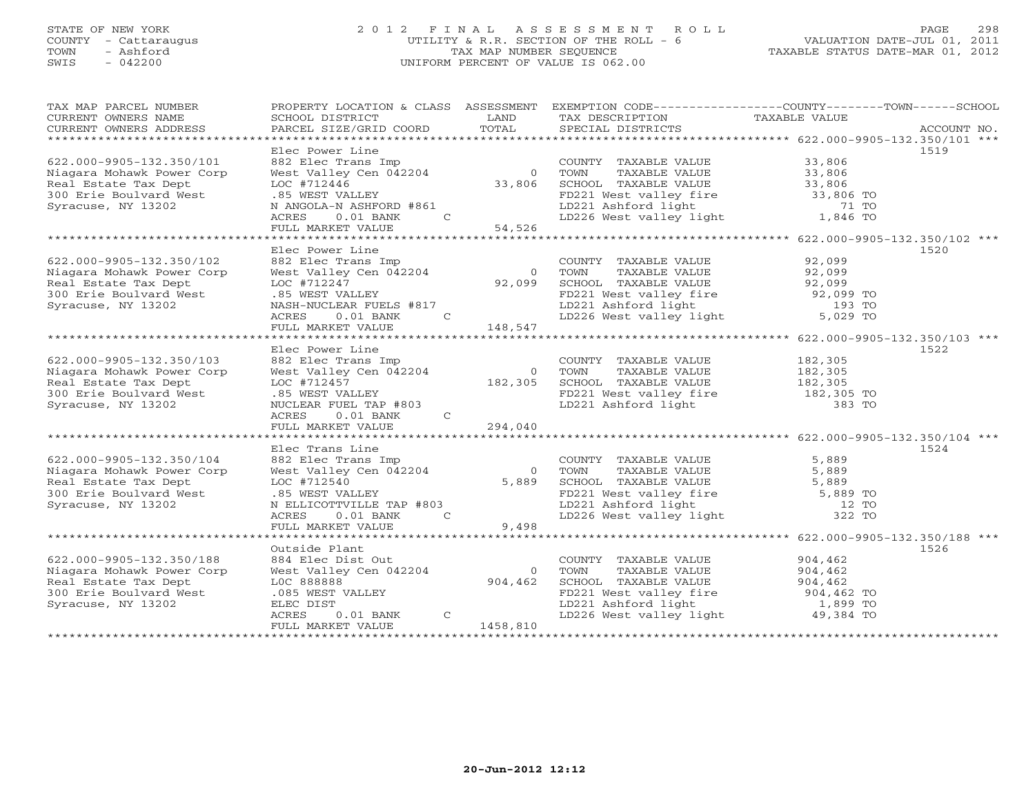# STATE OF NEW YORK 2 0 1 2 F I N A L A S S E S S M E N T R O L L PAGE 298 COUNTY - Cattaraugus UTILITY & R.R. SECTION OF THE ROLL - 6 VALUATION DATE-JUL 01, 2011 TOWN - Ashford TAX MAP NUMBER SEQUENCE TAXABLE STATUS DATE-MAR 01, 2012 SWIS - 042200 UNIFORM PERCENT OF VALUE IS 062.00

| TAX MAP PARCEL NUMBER<br>CURRENT OWNERS NAME<br>CURRENT OWNERS ADDRESS | PROPERTY LOCATION & CLASS ASSESSMENT<br>SCHOOL DISTRICT<br>PARCEL SIZE/GRID COORD     | LAND<br>TOTAL        | TAX DESCRIPTION TAXABLE VALUE<br>SPECIAL DISTRICTS<br>SPECIAL DISTRICTS                                     | EXEMPTION CODE-----------------COUNTY-------TOWN------SCHOOL<br>ACCOUNT NO. |
|------------------------------------------------------------------------|---------------------------------------------------------------------------------------|----------------------|-------------------------------------------------------------------------------------------------------------|-----------------------------------------------------------------------------|
|                                                                        |                                                                                       |                      |                                                                                                             |                                                                             |
| 622.000-9905-132.350/101                                               | Elec Power Line<br>882 Elec Trans Imp<br>882 Elec Trans Imp<br>West Valley Cen 042204 |                      | COUNTY TAXABLE VALUE 33,806                                                                                 | 1519                                                                        |
| Niagara Mohawk Power Corp                                              |                                                                                       | $\overline{0}$       | TAXABLE VALUE 33,806<br>TOWN                                                                                |                                                                             |
| Real Estate Tax Dept                                                   | LOC #712446                                                                           | 33,806               | CHOOL TAXABLE VALUE<br>FD221 West valley fire<br>LD221 Ashford light<br>LD226 West valley light<br>1,846 TO |                                                                             |
| 300 Erie Boulvard West                                                 | .85 WEST VALLEY                                                                       |                      |                                                                                                             |                                                                             |
| Syracuse, NY 13202                                                     | N ANGOLA-N ASHFORD #861<br>ACRES<br>$0.01$ BANK                                       |                      |                                                                                                             |                                                                             |
|                                                                        | FULL MARKET VALUE                                                                     | $C$ 54,526<br>54,526 |                                                                                                             |                                                                             |
|                                                                        |                                                                                       |                      |                                                                                                             |                                                                             |
|                                                                        | Elec Power Line                                                                       |                      |                                                                                                             | 1520                                                                        |
| 622.000-9905-132.350/102                                               | 882 Elec Trans Imp                                                                    |                      | COUNTY TAXABLE VALUE 92,099                                                                                 |                                                                             |
| Niagara Mohawk Power Corp                                              | West Valley Cen 042204                                                                | $\overline{0}$       | TOWN<br>TAXABLE VALUE 92,099<br>TAXABLE VALUE 92,099                                                        |                                                                             |
| Real Estate Tax Dept                                                   | LOC #712247                                                                           | 92,099               | SCHOOL TAXABLE VALUE                                                                                        |                                                                             |
| 300 Erie Boulvard West                                                 | .85 WEST VALLEY                                                                       |                      | FD221 West valley fire 92,099 TO<br>LD221 Ashford light 193 TO<br>LD226 West valley light 5,029 TO          |                                                                             |
| Syracuse, NY 13202                                                     | NASH-NUCLEAR FUELS #817                                                               |                      |                                                                                                             |                                                                             |
|                                                                        | ACRES<br>$0.01$ BANK<br>$\mathcal{C}$                                                 |                      |                                                                                                             |                                                                             |
|                                                                        | FULL MARKET VALUE                                                                     | 148,547              |                                                                                                             |                                                                             |
|                                                                        | Elec Power Line                                                                       |                      |                                                                                                             | 1522                                                                        |
| 622.000-9905-132.350/103                                               | 882 Elec Trans Imp                                                                    |                      | COUNTY TAXABLE VALUE                                                                                        | 182,305                                                                     |
| Niagara Mohawk Power Corp                                              | West Valley Cen 042204                                                                | $\overline{0}$       | TOWN<br>TAXABLE VALUE                                                                                       | 182,305                                                                     |
| Real Estate Tax Dept                                                   | LOC #712457                                                                           | 182,305              | SCHOOL TAXABLE VALUE                                                                                        | 182,305                                                                     |
| 300 Erie Boulvard West                                                 | .85 WEST VALLEY                                                                       |                      |                                                                                                             |                                                                             |
| Syracuse, NY 13202                                                     | NUCLEAR FUEL TAP #803                                                                 |                      | FD221 West valley fire 182,305 TO<br>LD221 Ashford light 383 TO                                             |                                                                             |
|                                                                        | ACRES<br>$\mathsf{C}$<br>$0.01$ BANK                                                  |                      |                                                                                                             |                                                                             |
|                                                                        | FULL MARKET VALUE                                                                     | 294,040              |                                                                                                             |                                                                             |
|                                                                        |                                                                                       |                      |                                                                                                             |                                                                             |
|                                                                        | Elec Trans Line                                                                       |                      |                                                                                                             | 1524                                                                        |
| 622.000-9905-132.350/104                                               | 882 Elec Trans Imp                                                                    |                      |                                                                                                             | 5,889                                                                       |
| Niagara Mohawk Power Corp                                              | 882 Elec Trans Imp<br>West Valley Cen 042204                                          | $\overline{0}$       | COUNTY TAXABLE VALUE<br>TOWN      TAXABLE VALUE                                                             | 5,889                                                                       |
| Real Estate Tax Dept                                                   | LOC #712540                                                                           | 5,889                |                                                                                                             |                                                                             |
| 300 Erie Boulvard West                                                 | .85 WEST VALLEY                                                                       |                      | FD221 West valley fire<br>LD221 Ashford light<br>LD226 West valley light                                    |                                                                             |
| Syracuse, NY 13202                                                     | N ELLICOTTVILLE TAP #803                                                              |                      |                                                                                                             | $\frac{12}{322}$ TO                                                         |
|                                                                        | ACRES<br>$0.01$ BANK $C$                                                              |                      |                                                                                                             |                                                                             |
|                                                                        | FULL MARKET VALUE                                                                     | 9,498                |                                                                                                             |                                                                             |
|                                                                        |                                                                                       |                      |                                                                                                             |                                                                             |
|                                                                        | Outside Plant                                                                         |                      |                                                                                                             | 1526                                                                        |
| 622.000-9905-132.350/188                                               | 884 Elec Dist Out                                                                     |                      | COUNTY TAXABLE VALUE                                                                                        | 904,462                                                                     |
| Niagara Mohawk Power Corp                                              | West Valley Cen 042204                                                                | $\circ$              | TAXABLE VALUE<br>TOWN                                                                                       | 904,462                                                                     |
| Real Estate Tax Dept                                                   | LOC 888888                                                                            | 904,462              | SCHOOL TAXABLE VALUE                                                                                        | 904,462                                                                     |
| 300 Erie Boulvard West                                                 | .085 WEST VALLEY                                                                      |                      |                                                                                                             |                                                                             |
| Syracuse, NY 13202                                                     | ELEC DIST                                                                             |                      | FD221 West valley fire 904,462 TO<br>LD221 Ashford light 1,899 TO<br>LD226 West valley light 49,384 TO      |                                                                             |
|                                                                        | $0.01$ BANK<br>ACRES<br>$\mathsf{C}$                                                  |                      |                                                                                                             |                                                                             |
|                                                                        | FULL MARKET VALUE                                                                     | 1458,810             |                                                                                                             |                                                                             |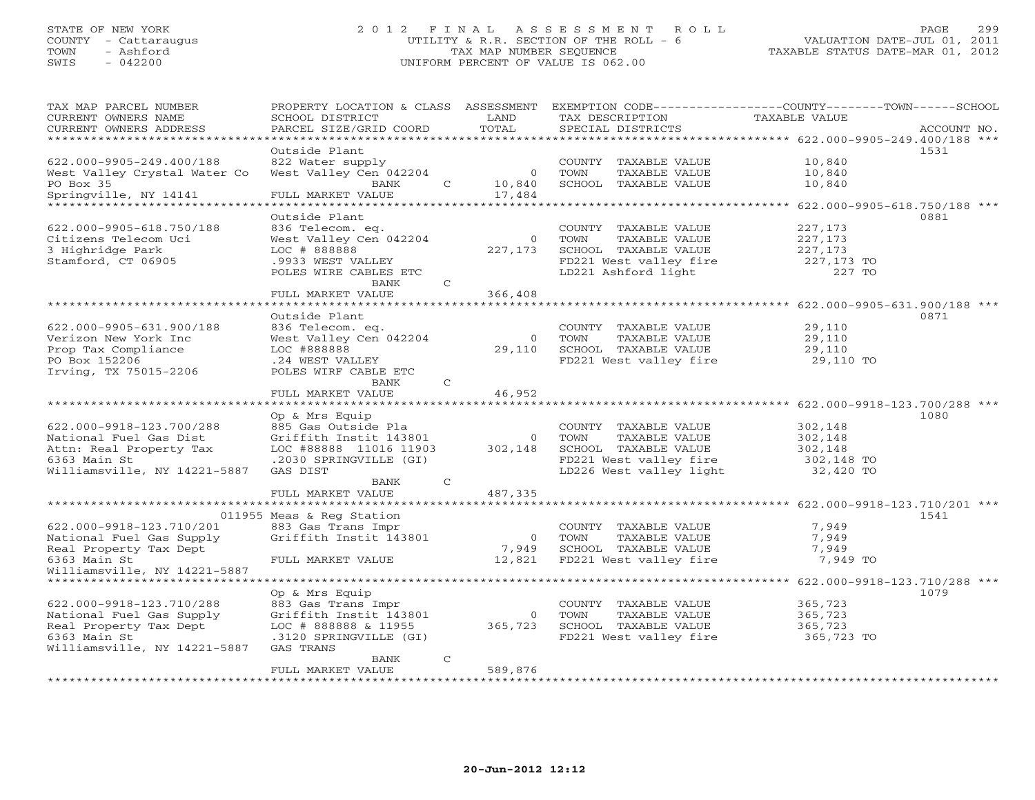# STATE OF NEW YORK 2 0 1 2 F I N A L A S S E S S M E N T R O L L PAGE 299 COUNTY - Cattaraugus UTILITY & R.R. SECTION OF THE ROLL - 6 VALUATION DATE-JUL 01, 2011 TOWN - Ashford TAX MAP NUMBER SEQUENCE TAXABLE STATUS DATE-MAR 01, 2012 SWIS - 042200 UNIFORM PERCENT OF VALUE IS 062.00UNIFORM PERCENT OF VALUE IS 062.00

| TAX MAP PARCEL NUMBER                      |                                              |               |                         | PROPERTY LOCATION & CLASS ASSESSMENT EXEMPTION CODE---------------COUNTY-------TOWN-----SCHOOL |                                                   |                              |
|--------------------------------------------|----------------------------------------------|---------------|-------------------------|------------------------------------------------------------------------------------------------|---------------------------------------------------|------------------------------|
| CURRENT OWNERS NAME                        | SCHOOL DISTRICT                              |               | LAND<br>TOTAL           | TAX DESCRIPTION                                                                                | TAXABLE VALUE                                     |                              |
| CURRENT OWNERS ADDRESS<br>**************** | PARCEL SIZE/GRID COORD                       |               |                         | SPECIAL DISTRICTS                                                                              |                                                   | ACCOUNT NO.                  |
|                                            |                                              |               |                         |                                                                                                |                                                   |                              |
|                                            | Outside Plant                                |               |                         |                                                                                                |                                                   | 1531                         |
| 622.000-9905-249.400/188                   | 822 Water supply                             |               |                         | COUNTY TAXABLE VALUE                                                                           | 10,840                                            |                              |
| West Valley Crystal Water Co               | West Valley Cen 042204                       |               | $\overline{0}$          | TOWN<br>TAXABLE VALUE                                                                          | 10,840                                            |                              |
| PO Box 35                                  | BANK                                         | $\mathsf{C}$  | 10,840                  | SCHOOL TAXABLE VALUE                                                                           | 10,840                                            |                              |
| Springville, NY 14141                      | FULL MARKET VALUE<br>*********************** |               | 17,484<br>************* |                                                                                                |                                                   |                              |
|                                            |                                              |               |                         |                                                                                                |                                                   |                              |
|                                            | Outside Plant                                |               |                         |                                                                                                |                                                   | 0881                         |
| 622.000-9905-618.750/188                   | 836 Telecom. eq.                             |               |                         | COUNTY TAXABLE VALUE                                                                           | 227,173                                           |                              |
| Citizens Telecom Uci                       | West Valley Cen 042204                       |               | $\circ$                 | TAXABLE VALUE<br>TOWN                                                                          | 227,173                                           |                              |
| 3 Highridge Park                           | LOC # 888888                                 |               | 227,173                 | SCHOOL TAXABLE VALUE                                                                           | 227,173                                           |                              |
| Stamford, CT 06905                         | .9933 WEST VALLEY                            |               |                         | FD221 West valley fire                                                                         | 227,173 TO                                        |                              |
|                                            | POLES WIRE CABLES ETC                        |               |                         | LD221 Ashford light                                                                            | 227 TO                                            |                              |
|                                            | BANK                                         | $\mathsf{C}$  |                         |                                                                                                |                                                   |                              |
|                                            | FULL MARKET VALUE                            |               | 366,408                 |                                                                                                |                                                   |                              |
|                                            |                                              |               |                         |                                                                                                | ********** 622.000-9905-631.900/188 ***           |                              |
|                                            | Outside Plant                                |               |                         |                                                                                                |                                                   | 0871                         |
| 622.000-9905-631.900/188                   | 836 Telecom. eq.                             |               |                         | COUNTY TAXABLE VALUE                                                                           | 29,110                                            |                              |
| Verizon New York Inc                       | West Valley Cen 042204                       |               | $\overline{0}$          | TOWN<br>TAXABLE VALUE                                                                          | 29,110                                            |                              |
| Prop Tax Compliance                        | LOC #888888                                  |               | 29,110                  | SCHOOL TAXABLE VALUE                                                                           | 29,110                                            |                              |
| PO Box 152206                              | .24 WEST VALLEY                              |               |                         | FD221 West valley fire                                                                         | 29,110 TO                                         |                              |
| Irving, TX 75015-2206                      | POLES WIRF CABLE ETC                         |               |                         |                                                                                                |                                                   |                              |
|                                            | BANK                                         | $\mathsf{C}$  |                         |                                                                                                |                                                   |                              |
|                                            | FULL MARKET VALUE                            |               | 46,952                  |                                                                                                |                                                   |                              |
|                                            |                                              |               |                         |                                                                                                | ******************** 622.000-9918-123.700/288 *** |                              |
|                                            | Op & Mrs Equip                               |               |                         |                                                                                                |                                                   | 1080                         |
| 622.000-9918-123.700/288                   | 885 Gas Outside Pla                          |               |                         | COUNTY TAXABLE VALUE                                                                           | 302,148                                           |                              |
| National Fuel Gas Dist                     | Griffith Instit 143801                       |               | $\overline{0}$          | TOWN<br>TAXABLE VALUE                                                                          | 302,148                                           |                              |
| Attn: Real Property Tax                    | LOC #88888 11016 11903                       |               | 302,148                 | SCHOOL TAXABLE VALUE                                                                           | 302,148                                           |                              |
| 6363 Main St                               | .2030 SPRINGVILLE (GI)                       |               |                         | FD221 West valley fire                                                                         | 302,148 TO                                        |                              |
| Williamsville, NY 14221-5887               | GAS DIST                                     |               |                         | LD226 West valley light                                                                        | 32,420 TO                                         |                              |
|                                            | BANK                                         | $\mathsf{C}$  |                         |                                                                                                |                                                   |                              |
|                                            | FULL MARKET VALUE                            |               | 487,335                 |                                                                                                |                                                   |                              |
|                                            |                                              |               |                         | ******************************* 622.000-9918-123.710/201 ***                                   |                                                   |                              |
|                                            | 011955 Meas & Reg Station                    |               |                         |                                                                                                |                                                   | 1541                         |
| 622.000-9918-123.710/201                   | 883 Gas Trans Impr                           |               |                         | COUNTY TAXABLE VALUE                                                                           | 7,949                                             |                              |
| National Fuel Gas Supply                   | Griffith Instit 143801                       |               | $\overline{0}$          | TOWN<br>TAXABLE VALUE                                                                          | 7,949                                             |                              |
| Real Property Tax Dept                     |                                              |               | 7,949                   | SCHOOL TAXABLE VALUE                                                                           | 7,949                                             |                              |
| 6363 Main St                               |                                              |               | 12,821                  | FD221 West valley fire                                                                         | 7,949 TO                                          |                              |
|                                            | FULL MARKET VALUE                            |               |                         |                                                                                                |                                                   |                              |
| Williamsville, NY 14221-5887               |                                              |               |                         |                                                                                                |                                                   | 622.000-9918-123.710/288 *** |
|                                            |                                              |               |                         |                                                                                                |                                                   |                              |
|                                            | Op & Mrs Equip                               |               |                         |                                                                                                |                                                   | 1079                         |
| 622.000-9918-123.710/288                   | 883 Gas Trans Impr                           |               |                         | COUNTY TAXABLE VALUE                                                                           | 365,723                                           |                              |
| National Fuel Gas Supply                   | Griffith Instit 143801                       |               | $\circ$                 | TOWN<br>TAXABLE VALUE                                                                          | 365,723                                           |                              |
| Real Property Tax Dept                     | LOC # 888888 & 11955                         |               | 365,723                 | SCHOOL TAXABLE VALUE                                                                           | 365,723                                           |                              |
| 6363 Main St                               | .3120 SPRINGVILLE (GI)                       |               |                         | FD221 West valley fire                                                                         | 365,723 TO                                        |                              |
| Williamsville, NY 14221-5887               | GAS TRANS                                    |               |                         |                                                                                                |                                                   |                              |
|                                            | BANK                                         | $\mathcal{C}$ |                         |                                                                                                |                                                   |                              |
|                                            | FULL MARKET VALUE                            |               | 589,876                 |                                                                                                |                                                   |                              |
|                                            |                                              |               |                         |                                                                                                |                                                   |                              |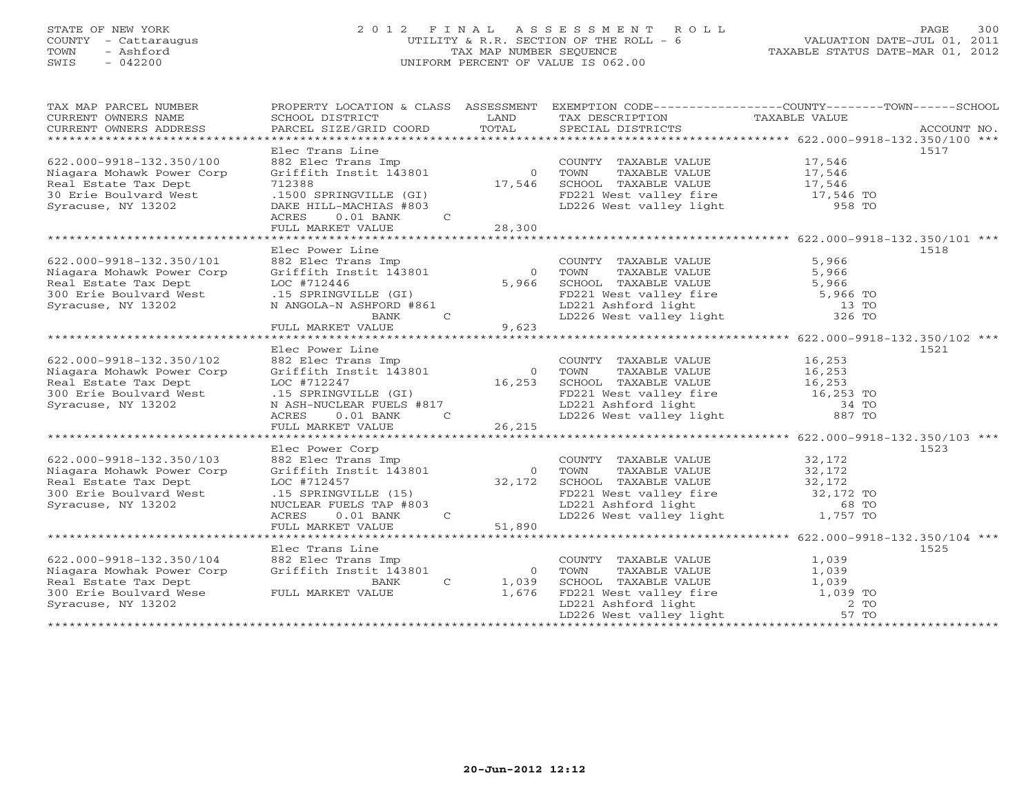# STATE OF NEW YORK 2 0 1 2 F I N A L A S S E S S M E N T R O L L PAGE 300 COUNTY - Cattaraugus UTILITY & R.R. SECTION OF THE ROLL - 6 VALUATION DATE-JUL 01, 2011 TOWN - Ashford TAX MAP NUMBER SEQUENCE TAXABLE STATUS DATE-MAR 01, 2012 SWIS - 042200 UNIFORM PERCENT OF VALUE IS 062.00UNIFORM PERCENT OF VALUE IS 062.00

| TAX MAP PARCEL NUMBER     | PROPERTY LOCATION & CLASS ASSESSMENT |        |                                                                                                                                                                                                                                                                      | EXEMPTION CODE-----------------COUNTY-------TOWN------SCHOOL |  |
|---------------------------|--------------------------------------|--------|----------------------------------------------------------------------------------------------------------------------------------------------------------------------------------------------------------------------------------------------------------------------|--------------------------------------------------------------|--|
| CURRENT OWNERS NAME       | SCHOOL DISTRICT                      | LAND   | TAX DESCRIPTION TAXABLE VALUE                                                                                                                                                                                                                                        |                                                              |  |
| CURRENT OWNERS ADDRESS    | PARCEL SIZE/GRID COORD               | TOTAL  | SPECIAL DISTRICTS                                                                                                                                                                                                                                                    | ACCOUNT NO.                                                  |  |
| **********************    |                                      |        |                                                                                                                                                                                                                                                                      |                                                              |  |
|                           | Elec Trans Line                      |        |                                                                                                                                                                                                                                                                      | 1517                                                         |  |
| 622.000-9918-132.350/100  | 882 Elec Trans Imp                   |        | COUNTY TAXABLE VALUE 17,546                                                                                                                                                                                                                                          |                                                              |  |
| Niagara Mohawk Power Corp | Griffith Instit 143801               |        |                                                                                                                                                                                                                                                                      |                                                              |  |
| Real Estate Tax Dept      | 712388                               |        | 0 TOWN TAXABLE VALUE<br>17,546 SCHOOL TAXABLE VALUE                                                                                                                                                                                                                  | 17,546<br>17,546                                             |  |
| 30 Erie Boulvard West     | .1500 SPRINGVILLE (GI)               |        |                                                                                                                                                                                                                                                                      |                                                              |  |
| Syracuse, NY 13202        |                                      |        | FD221 West valley fire 17,546 TO<br>LD226 West valley light 1958 TO                                                                                                                                                                                                  |                                                              |  |
|                           | DAKE HILL-MACHIAS #803               |        |                                                                                                                                                                                                                                                                      |                                                              |  |
|                           | ACRES<br>$0.01$ BANK<br>$\mathbf{C}$ |        |                                                                                                                                                                                                                                                                      |                                                              |  |
|                           | FULL MARKET VALUE                    | 28,300 |                                                                                                                                                                                                                                                                      |                                                              |  |
|                           |                                      |        |                                                                                                                                                                                                                                                                      |                                                              |  |
|                           | Elec Power Line                      |        | Elec Power Line<br>882 Elec Trans Imp<br>Griffith Instit 143801<br>5,966 SCHOOL TAXABLE VALUE<br>5,966 SCHOOL TAXABLE VALUE<br>TO221 West valley fire                                                                                                                | 1518                                                         |  |
| 622.000-9918-132.350/101  |                                      |        | COUNTY TAXABLE VALUE                                                                                                                                                                                                                                                 | 5,966                                                        |  |
| Niagara Mohawk Power Corp |                                      |        | TAXABLE VALUE                                                                                                                                                                                                                                                        | 5,966                                                        |  |
| Real Estate Tax Dept      |                                      |        |                                                                                                                                                                                                                                                                      | 5,966                                                        |  |
| 300 Erie Boulvard West    |                                      |        | FD221 West valley fire<br>LD221 Ashford light<br>LD226 West valley light<br>13 TO<br>LD226 West valley light<br>326 TO                                                                                                                                               |                                                              |  |
| Syracuse, NY 13202        | N ANGOLA-N ASHFORD #861              |        |                                                                                                                                                                                                                                                                      |                                                              |  |
|                           | BANK<br>$\mathbf C$                  |        |                                                                                                                                                                                                                                                                      |                                                              |  |
|                           | FULL MARKET VALUE                    | 9,623  |                                                                                                                                                                                                                                                                      |                                                              |  |
|                           |                                      |        |                                                                                                                                                                                                                                                                      |                                                              |  |
|                           | Elec Power Line                      |        |                                                                                                                                                                                                                                                                      | 1521                                                         |  |
| 622.000-9918-132.350/102  | 882 Elec Trans Imp                   |        | COUNTY TAXABLE VALUE 16,253                                                                                                                                                                                                                                          |                                                              |  |
| Niagara Mohawk Power Corp |                                      |        |                                                                                                                                                                                                                                                                      |                                                              |  |
|                           |                                      |        |                                                                                                                                                                                                                                                                      |                                                              |  |
| Real Estate Tax Dept      |                                      |        |                                                                                                                                                                                                                                                                      |                                                              |  |
| 300 Erie Boulvard West    |                                      |        |                                                                                                                                                                                                                                                                      |                                                              |  |
| Syracuse, NY 13202        |                                      |        |                                                                                                                                                                                                                                                                      |                                                              |  |
|                           |                                      |        | 882 Elec Trans Imp<br>Griffith Instit 143801 0 TOWN TAXABLE VALUE<br>16,253<br>16,253<br>16,253<br>16,253<br>16,253<br>16,253<br>16,253<br>16,253<br>16,253<br>16,253<br>16,253<br>16,253<br>ED221 West valley fire<br>16,253<br>I6,253<br>16,253<br>16,253<br>16,25 |                                                              |  |
|                           | FULL MARKET VALUE                    | 26,215 |                                                                                                                                                                                                                                                                      |                                                              |  |
|                           |                                      |        |                                                                                                                                                                                                                                                                      |                                                              |  |
|                           |                                      |        |                                                                                                                                                                                                                                                                      | 1523                                                         |  |
| 622.000-9918-132.350/103  |                                      |        |                                                                                                                                                                                                                                                                      |                                                              |  |
| Niagara Mohawk Power Corp |                                      |        |                                                                                                                                                                                                                                                                      |                                                              |  |
| Real Estate Tax Dept      |                                      |        |                                                                                                                                                                                                                                                                      |                                                              |  |
| 300 Erie Boulvard West    |                                      |        |                                                                                                                                                                                                                                                                      |                                                              |  |
| Syracuse, NY 13202        |                                      |        |                                                                                                                                                                                                                                                                      |                                                              |  |
|                           |                                      |        |                                                                                                                                                                                                                                                                      |                                                              |  |
|                           |                                      |        |                                                                                                                                                                                                                                                                      |                                                              |  |
|                           |                                      |        | Elec Power Corp<br>882 Elec Trans Imp<br>Griffith Instit 143801 0 TOWN TAXABLE VALUE<br>LOC #712457 32,172 SCHOOL TAXABLE VALUE<br>15 SPRINGVILLE (15) 32,172 FD221 West valley fire 32,172 TO<br>NUCLEAR FUELS TAP #803 LD221 Ashford l                             |                                                              |  |
|                           |                                      |        |                                                                                                                                                                                                                                                                      |                                                              |  |
| 622.000-9918-132.350/104  | Elec Trans Line                      |        |                                                                                                                                                                                                                                                                      | 1525                                                         |  |
|                           | 882 Elec Trans Imp                   |        | COUNTY TAXABLE VALUE                                                                                                                                                                                                                                                 | 1,039                                                        |  |
| Niagara Mowhak Power Corp | Griffith Instit 143801               |        | 0 TOWN<br>TAXABLE VALUE                                                                                                                                                                                                                                              | 1,039                                                        |  |
| Real Estate Tax Dept      | $\mathbf C$<br>BANK                  | 1,039  | SCHOOL TAXABLE VALUE                                                                                                                                                                                                                                                 | 1,039                                                        |  |
| 300 Erie Boulvard Wese    | FULL MARKET VALUE                    | 1,676  | FD221 West valley fire<br>FD221 West valley fire<br>ID221 Ashford light                                                                                                                                                                                              | 1,039 TO                                                     |  |
| Syracuse, NY 13202        |                                      |        |                                                                                                                                                                                                                                                                      | 2 TO                                                         |  |
|                           |                                      |        | LD226 West valley light 57 TO                                                                                                                                                                                                                                        |                                                              |  |
|                           |                                      |        |                                                                                                                                                                                                                                                                      |                                                              |  |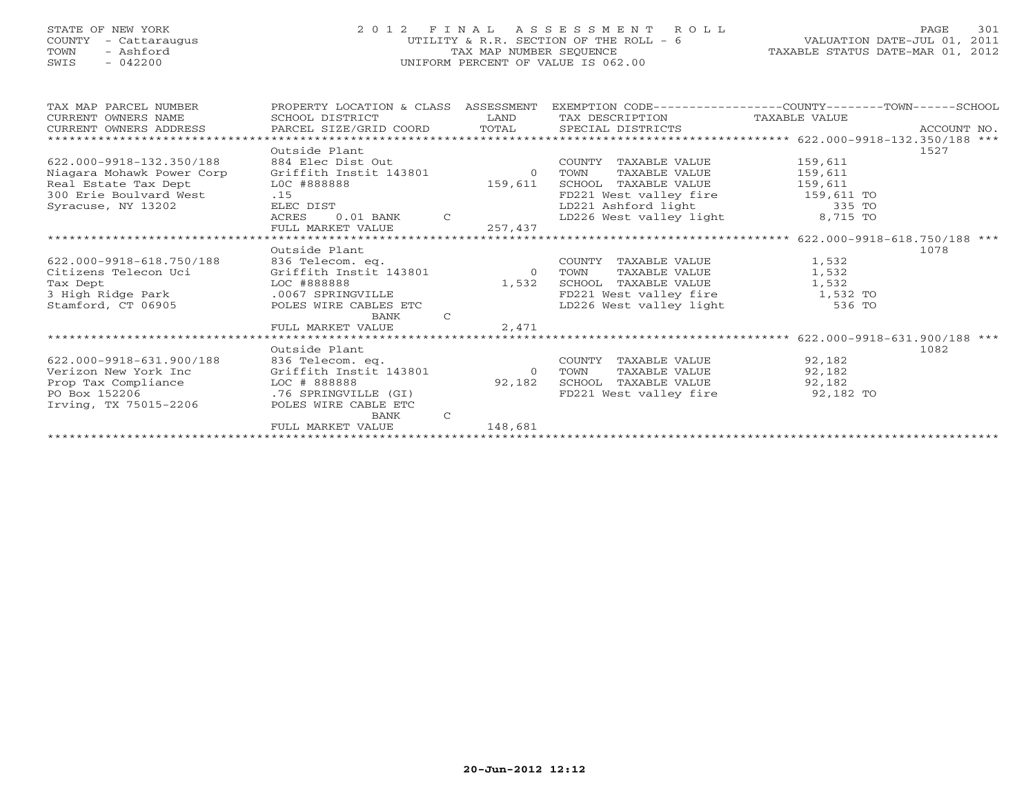# STATE OF NEW YORK 2 0 1 2 F I N A L A S S E S S M E N T R O L L PAGE 301 COUNTY - Cattaraugus UTILITY & R.R. SECTION OF THE ROLL - 6 VALUATION DATE-JUL 01, 2011 TOWN - Ashford TAX MAP NUMBER SEQUENCE TAXABLE STATUS DATE-MAR 01, 2012 SWIS - 042200 UNIFORM PERCENT OF VALUE IS 062.00UNIFORM PERCENT OF VALUE IS 062.00

| TAX MAP PARCEL NUMBER<br>CURRENT OWNERS NAME | PROPERTY LOCATION & CLASS ASSESSMENT<br>SCHOOL DISTRICT | LAND    | EXEMPTION CODE-----------------COUNTY-------TOWN------SCHOOL<br>TAX DESCRIPTION TAXABLE VALUE |                                                       |             |
|----------------------------------------------|---------------------------------------------------------|---------|-----------------------------------------------------------------------------------------------|-------------------------------------------------------|-------------|
| CURRENT OWNERS ADDRESS                       | PARCEL SIZE/GRID COORD                                  | TOTAL   | SPECIAL DISTRICTS                                                                             |                                                       | ACCOUNT NO. |
|                                              |                                                         |         |                                                                                               | ************************ 622.000-9918-132.350/188 *** |             |
|                                              | Outside Plant                                           |         |                                                                                               |                                                       | 1527        |
| 622.000-9918-132.350/188                     | 884 Elec Dist Out                                       |         | COUNTY TAXABLE VALUE                                                                          | 159,611                                               |             |
| Niagara Mohawk Power Corp                    | Griffith Instit 143801                                  |         | TOWN<br>TAXABLE VALUE<br>$\Omega$                                                             | 159,611                                               |             |
| Real Estate Tax Dept                         | LOC #888888                                             | 159,611 | SCHOOL TAXABLE VALUE                                                                          | 159,611                                               |             |
| 300 Erie Boulvard West                       | .15                                                     |         | FD221 West valley fire 159,611 TO                                                             |                                                       |             |
| Syracuse, NY 13202                           | ELEC DIST                                               |         |                                                                                               |                                                       |             |
|                                              | $\mathsf{C}$<br>$0.01$ BANK<br>ACRES                    |         | LD221 Ashford light 335 TO<br>LD226 West valley light 3,715 TO                                |                                                       |             |
|                                              | FULL MARKET VALUE                                       | 257,437 |                                                                                               |                                                       |             |
|                                              |                                                         |         |                                                                                               | ******** 622.000-9918-618.750/188 ***                 |             |
|                                              | Outside Plant                                           |         |                                                                                               |                                                       | 1078        |
| 622.000-9918-618.750/188                     | 836 Telecom. eq.                                        |         | COUNTY TAXABLE VALUE                                                                          | 1,532                                                 |             |
| Citizens Telecon Uci                         | Griffith Instit 143801                                  |         | TOWN<br>TAXABLE VALUE<br>$\Omega$                                                             | 1,532                                                 |             |
| Tax Dept                                     | LOC #888888                                             | 1,532   | SCHOOL TAXABLE VALUE                                                                          | 1,532                                                 |             |
| 3 High Ridge Park                            | .0067 SPRINGVILLE                                       |         | FD221 West valley fire                                                                        | 1,532 TO                                              |             |
| Stamford, CT 06905                           | POLES WIRE CABLES ETC                                   |         | LD226 West valley light                                                                       | 536 TO                                                |             |
|                                              | BANK<br>$\mathsf{C}$                                    |         |                                                                                               |                                                       |             |
|                                              | FULL MARKET VALUE                                       | 2,471   |                                                                                               |                                                       |             |
|                                              |                                                         |         | ************************************* 622.000-9918-631.900/188 ***                            |                                                       |             |
|                                              | Outside Plant                                           |         |                                                                                               |                                                       | 1082        |
| 622.000-9918-631.900/188                     | 836 Telecom. eq.                                        |         | COUNTY<br>TAXABLE VALUE                                                                       | 92,182                                                |             |
| Verizon New York Inc                         | Griffith Instit 143801                                  |         | TOWN<br>TAXABLE VALUE<br>$\Omega$                                                             | 92,182                                                |             |
| Prop Tax Compliance                          | LOC # 888888                                            | 92,182  | SCHOOL<br>TAXABLE VALUE                                                                       | 92,182                                                |             |
| PO Box 152206                                | .76 SPRINGVILLE (GI)                                    |         | FD221 West valley fire                                                                        | 92,182 TO                                             |             |
| Irving, TX 75015-2206                        | POLES WIRE CABLE ETC                                    |         |                                                                                               |                                                       |             |
|                                              | $\mathsf{C}$<br>BANK                                    |         |                                                                                               |                                                       |             |
|                                              | FULL MARKET VALUE                                       | 148,681 |                                                                                               |                                                       |             |
|                                              |                                                         |         |                                                                                               |                                                       |             |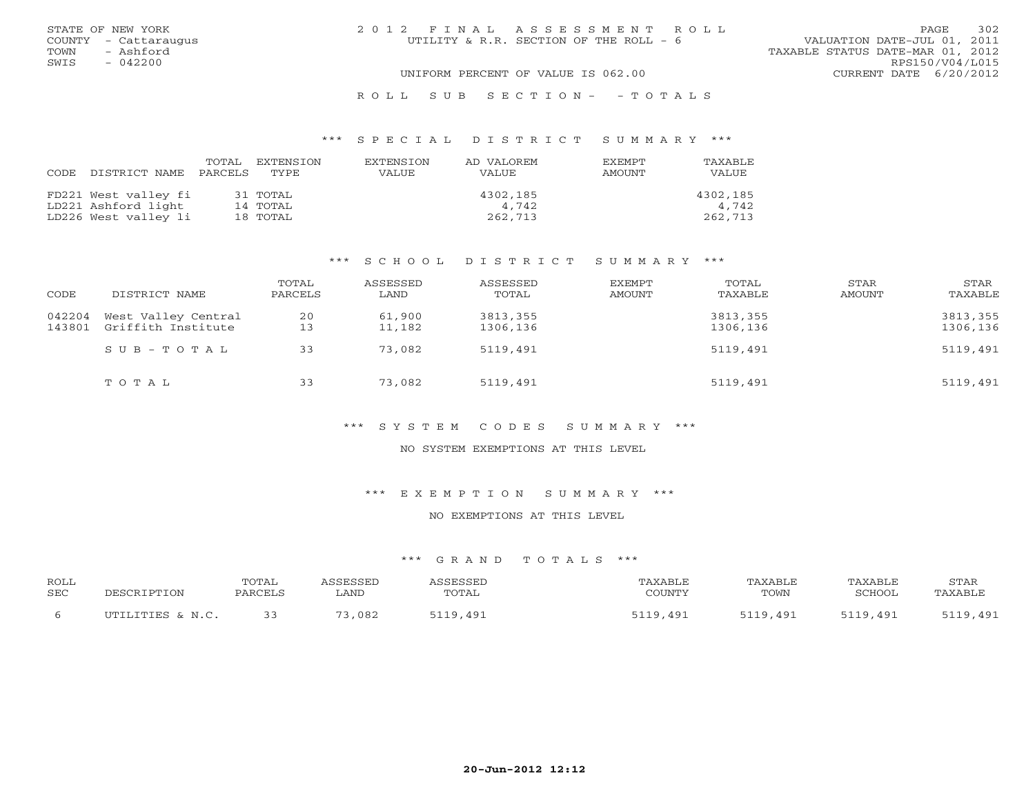|      | STATE OF NEW YORK    | 2012 FINAL ASSESSMENT ROLL             | 302<br><b>PAGE</b>               |
|------|----------------------|----------------------------------------|----------------------------------|
|      | COUNTY - Cattaraugus | UTILITY & R.R. SECTION OF THE ROLL - 6 | VALUATION DATE-JUL 01, 2011      |
| TOWN | - Ashford            |                                        | TAXABLE STATUS DATE-MAR 01, 2012 |
| SWIS | $-042200$            |                                        | RPS150/V04/L015                  |
|      |                      | UNIFORM PERCENT OF VALUE IS 062.00     | CURRENT DATE 6/20/2012           |
|      |                      |                                        |                                  |

### R O L L S U B S E C T I O N - - T O T A L S

#### \*\*\* S P E C I A L D I S T R I C T S U M M A R Y \*\*\*

|      |                      | TOTAL   | EXTENSTON | <b>EXTENSION</b> | AD VALOREM | <b>EXEMPT</b> | TAXABLE      |
|------|----------------------|---------|-----------|------------------|------------|---------------|--------------|
| CODE | DISTRICT NAME        | PARCELS | TYPE.     | VALUE            | VALUE      | AMOUNT        | <b>VALUE</b> |
|      |                      |         |           |                  |            |               |              |
|      | FD221 West valley fi |         | 31 TOTAL  |                  | 4302,185   |               | 4302,185     |
|      | LD221 Ashford light  |         | 14 TOTAL  |                  | 4,742      |               | 4,742        |
|      | LD226 West valley li |         | 18 TOTAL  |                  | 262,713    |               | 262,713      |

#### \*\*\* S C H O O L D I S T R I C T S U M M A R Y \*\*\*

| CODE             | DISTRICT NAME                             | TOTAL<br>PARCELS | ASSESSED<br>LAND | ASSESSED<br>TOTAL    | EXEMPT<br>AMOUNT | TOTAL<br>TAXABLE     | STAR<br>AMOUNT | STAR<br>TAXABLE      |
|------------------|-------------------------------------------|------------------|------------------|----------------------|------------------|----------------------|----------------|----------------------|
| 042204<br>143801 | West Valley Central<br>Griffith Institute | 20<br>13         | 61,900<br>11,182 | 3813,355<br>1306,136 |                  | 3813,355<br>1306,136 |                | 3813,355<br>1306,136 |
|                  | $S \cup B - T \cup T A$                   | 33               | 73,082           | 5119,491             |                  | 5119,491             |                | 5119,491             |
|                  | TOTAL                                     | 33               | 73,082           | 5119,491             |                  | 5119,491             |                | 5119,491             |

# \*\*\* S Y S T E M C O D E S S U M M A R Y \*\*\*

#### NO SYSTEM EXEMPTIONS AT THIS LEVEL

### \*\*\* E X E M P T I O N S U M M A R Y \*\*\*

### NO EXEMPTIONS AT THIS LEVEL

| ROLL       | DESCRIPTION      | TOTAL   | ASSESSED | <b>ASSESSED</b> | TAXABLE  | TAXABLE  | TAXABLE  | STAR     |
|------------|------------------|---------|----------|-----------------|----------|----------|----------|----------|
| <b>SEC</b> |                  | PARCELS | . AND    | TOTAL           | COUNTY   | TOWN     | SCHOOL   | TAXABLE  |
|            | UTILITIES & N.C. |         | 73,082   | 5119,491        | 5119,491 | 5119,491 | 5119,491 | 5119,491 |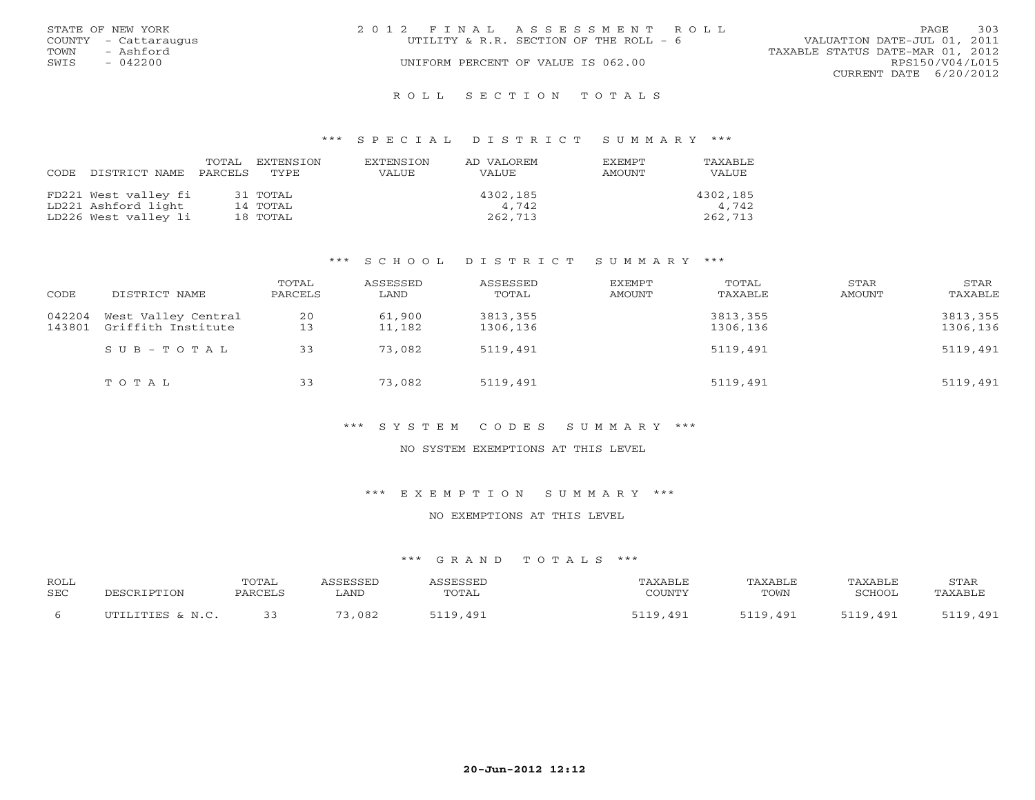|      | STATE OF NEW YORK    | 2012 FINAL ASSESSMENT ROLL             | 303<br><b>PAGE</b>               |
|------|----------------------|----------------------------------------|----------------------------------|
|      | COUNTY - Cattaraugus | UTILITY & R.R. SECTION OF THE ROLL - 6 | VALUATION DATE-JUL 01, 2011      |
| TOWN | - Ashford            |                                        | TAXABLE STATUS DATE-MAR 01, 2012 |
| SWIS | $-042200$            | UNIFORM PERCENT OF VALUE IS 062.00     | RPS150/V04/L015                  |
|      |                      |                                        | CURRENT DATE 6/20/2012           |
|      |                      |                                        |                                  |

#### R O L L S E C T I O N T O T A L S

#### \*\*\* S P E C I A L D I S T R I C T S U M M A R Y \*\*\*

|                      | TOTAL        | EXTENSTON | <b>EXTENSION</b> | AD VALOREM   | <b>EXEMPT</b> | TAXABLE      |
|----------------------|--------------|-----------|------------------|--------------|---------------|--------------|
| CODE DISTRICT NAME   | PARCELS TYPE |           | VALUE            | <b>VALUE</b> | AMOUNT        | <b>VALUE</b> |
|                      |              |           |                  |              |               |              |
| FD221 West valley fi |              | 31 TOTAL  |                  | 4302,185     |               | 4302,185     |
| LD221 Ashford light  |              | 14 TOTAL  |                  | 4,742        |               | 4,742        |
| LD226 West valley li |              | 18 TOTAL  |                  | 262,713      |               | 262,713      |

#### \*\*\* S C H O O L D I S T R I C T S U M M A R Y \*\*\*

| CODE             | DISTRICT NAME                             | TOTAL<br>PARCELS | ASSESSED<br>LAND | ASSESSED<br>TOTAL    | EXEMPT<br>AMOUNT | TOTAL<br>TAXABLE     | STAR<br>AMOUNT | STAR<br>TAXABLE      |
|------------------|-------------------------------------------|------------------|------------------|----------------------|------------------|----------------------|----------------|----------------------|
| 042204<br>143801 | West Valley Central<br>Griffith Institute | 20<br>13         | 61,900<br>11,182 | 3813,355<br>1306,136 |                  | 3813,355<br>1306,136 |                | 3813,355<br>1306,136 |
|                  | SUB-TOTAL                                 | 33               | 73,082           | 5119,491             |                  | 5119,491             |                | 5119,491             |
|                  | TOTAL                                     | 33               | 73,082           | 5119,491             |                  | 5119,491             |                | 5119,491             |

# \*\*\* S Y S T E M C O D E S S U M M A R Y \*\*\*

#### NO SYSTEM EXEMPTIONS AT THIS LEVEL

#### \*\*\* E X E M P T I O N S U M M A R Y \*\*\*

### NO EXEMPTIONS AT THIS LEVEL

| ROLL       | DESCRIPTION      | TOTAL   | ASSESSED | <b>ASSESSED</b> | TAXABLE  | TAXABLE  | TAXABLE  | STAR     |
|------------|------------------|---------|----------|-----------------|----------|----------|----------|----------|
| <b>SEC</b> |                  | PARCELS | . AND    | TOTAL           | COUNTY   | TOWN     | SCHOOL   | TAXABLE  |
|            | UTILITIES & N.C. |         | 73,082   | 5119,491        | 5119,491 | 5119,491 | 5119,491 | 5119,491 |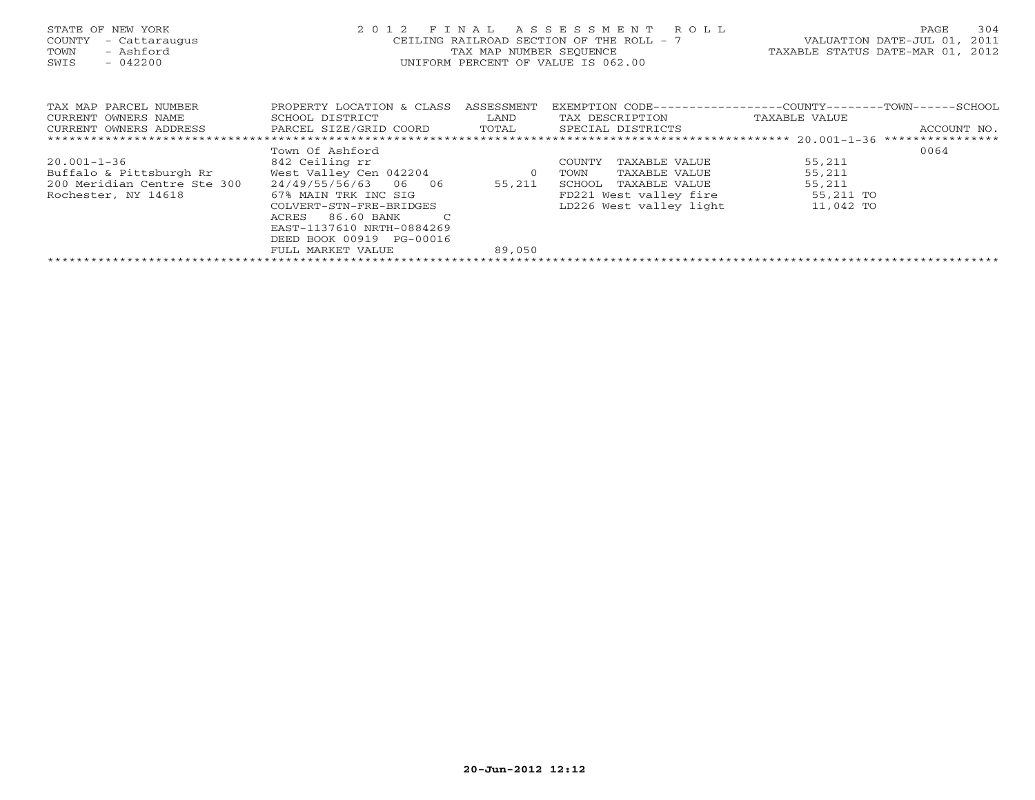| STATE OF NEW YORK<br>- Cattaraugus<br>COUNTY<br>- Ashford<br>TOWN<br>$-042200$<br>SWIS | 2 0 1 2                                        | FINAL<br>TAX MAP NUMBER SEOUENCE | A S S E S S M E N T R O L L<br>CEILING RAILROAD SECTION OF THE ROLL - 7<br>UNIFORM PERCENT OF VALUE IS 062.00 | VALUATION DATE-JUL 01,<br>TAXABLE STATUS DATE-MAR 01, 2012 | 304<br>PAGE<br>2011 |
|----------------------------------------------------------------------------------------|------------------------------------------------|----------------------------------|---------------------------------------------------------------------------------------------------------------|------------------------------------------------------------|---------------------|
| TAX MAP PARCEL NUMBER                                                                  | PROPERTY LOCATION & CLASS ASSESSMENT           |                                  | EXEMPTION CODE-----------------COUNTY--------TOWN------SCHOOL                                                 |                                                            |                     |
| CURRENT OWNERS NAME                                                                    | SCHOOL DISTRICT                                | LAND                             | TAX DESCRIPTION                                                                                               | TAXABLE VALUE                                              |                     |
| CURRENT OWNERS ADDRESS                                                                 | PARCEL SIZE/GRID COORD TOTAL SPECIAL DISTRICTS |                                  |                                                                                                               |                                                            | ACCOUNT NO.         |
|                                                                                        |                                                |                                  |                                                                                                               |                                                            |                     |
|                                                                                        | Town Of Ashford                                |                                  |                                                                                                               |                                                            | 0064                |
| $20.001 - 1 - 36$                                                                      | 842 Ceiling rr                                 |                                  | COUNTY<br>TAXABLE VALUE                                                                                       | 55,211                                                     |                     |
| Buffalo & Pittsburgh Rr                                                                | West Valley Cen 042204                         | $\overline{0}$                   | TAXABLE VALUE<br>TOWN                                                                                         | 55,211                                                     |                     |
| 200 Meridian Centre Ste 300                                                            | 24/49/55/56/63 06 06                           | 55,211                           | SCHOOL<br>TAXABLE VALUE                                                                                       | 55,211                                                     |                     |
| Rochester, NY 14618                                                                    | 67% MAIN TRK INC SIG                           |                                  | FD221 West valley fire 55,211 TO                                                                              |                                                            |                     |
|                                                                                        | COLVERT-STN-FRE-BRIDGES                        |                                  | LD226 West valley light                                                                                       | 11,042 TO                                                  |                     |
|                                                                                        | 86.60 BANK<br>ACRES                            |                                  |                                                                                                               |                                                            |                     |
|                                                                                        | EAST-1137610 NRTH-0884269                      |                                  |                                                                                                               |                                                            |                     |
|                                                                                        | DEED BOOK 00919 PG-00016                       |                                  |                                                                                                               |                                                            |                     |
|                                                                                        | FULL MARKET VALUE                              | 89,050                           |                                                                                                               |                                                            |                     |
|                                                                                        |                                                |                                  |                                                                                                               |                                                            |                     |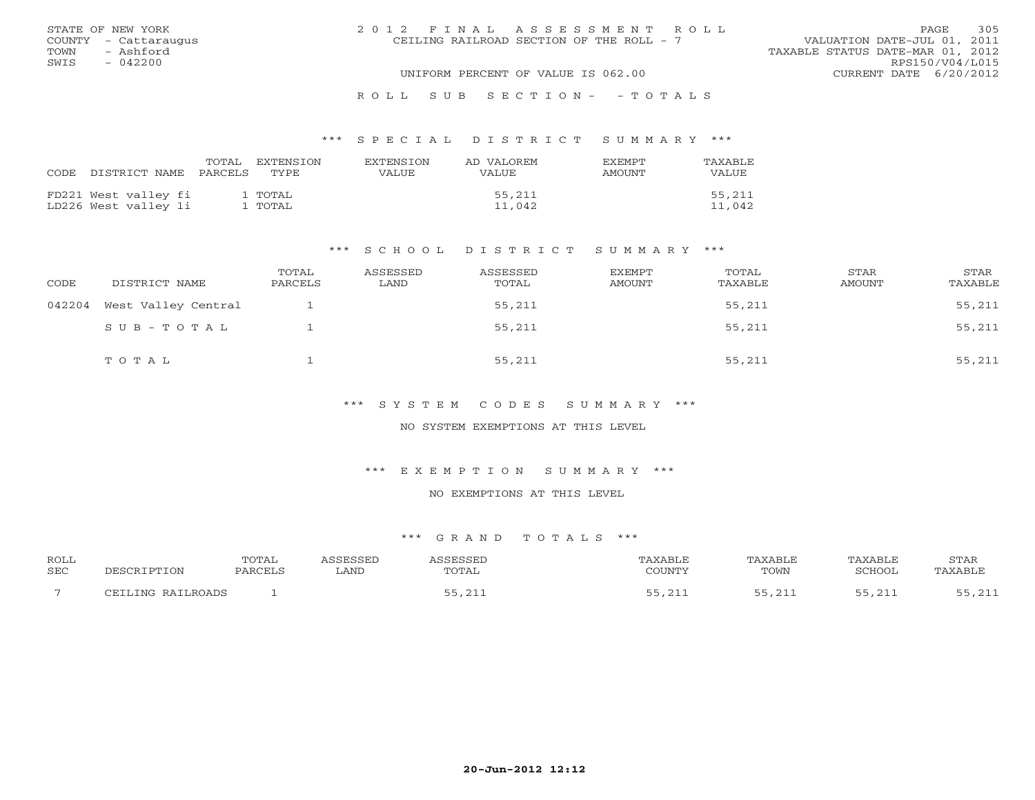|      | STATE OF NEW YORK    | 2012 FINAL ASSESSMENT ROLL               | <b>PAGE</b>                 | 305 |
|------|----------------------|------------------------------------------|-----------------------------|-----|
|      | COUNTY - Cattaraugus | CEILING RAILROAD SECTION OF THE ROLL - 7 | VALUATION DATE-JUL 01, 2011 |     |
| TOWN | - Ashford            | TAXABLE STATUS DATE-MAR 01, 2012         |                             |     |
| SWIS | $-042200$            |                                          | RPS150/V04/L015             |     |
|      |                      | UNIFORM PERCENT OF VALUE IS 062.00       | CURRENT DATE 6/20/2012      |     |
|      |                      | ROLL SUB SECTION- - TOTALS               |                             |     |

### \*\*\* S P E C I A L D I S T R I C T S U M M A R Y \*\*\*

| CODE. | DISTRICT NAME PARCELS TYPE                   | TOTAL | EXTENSION          | EXTENSION<br>VALUE | AD VALOREM<br>VALUE | <b>FXFMPT</b><br>AMOUNT | TAXABLE<br>VALUE. |
|-------|----------------------------------------------|-------|--------------------|--------------------|---------------------|-------------------------|-------------------|
|       | FD221 West valley fi<br>LD226 West valley li |       | 1 TOTAL<br>L TOTAL |                    | 55,211<br>11,042    |                         | 55,211<br>11,042  |

#### \*\*\* S C H O O L D I S T R I C T S U M M A R Y \*\*\*

| CODE   | DISTRICT NAME       | TOTAL<br>PARCELS | ASSESSED<br>LAND | ASSESSED<br>TOTAL | <b>EXEMPT</b><br>AMOUNT | TOTAL<br>TAXABLE | STAR<br>AMOUNT | STAR<br>TAXABLE |
|--------|---------------------|------------------|------------------|-------------------|-------------------------|------------------|----------------|-----------------|
| 042204 | West Valley Central |                  |                  | 55,211            |                         | 55,211           |                | 55,211          |
|        | $SUB - TO T AL$     |                  |                  | 55,211            |                         | 55,211           |                | 55,211          |
|        | TOTAL               |                  |                  | 55,211            |                         | 55,211           |                | 55,211          |

\*\*\* S Y S T E M C O D E S S U M M A R Y \*\*\*

NO SYSTEM EXEMPTIONS AT THIS LEVEL

\*\*\* E X E M P T I O N S U M M A R Y \*\*\*

NO EXEMPTIONS AT THIS LEVEL

| ROLL       |                   | TOTAL   | ASSESSED | ASSESSED | TAXABLE | TAXABLE | TAXABLE       | STAR    |
|------------|-------------------|---------|----------|----------|---------|---------|---------------|---------|
| <b>SEC</b> | DESCRIPTION       | PARCELS | LAND     | TOTAL    | COUNTY  | TOWN    | SCHOOL        | TAXABLE |
|            | CEILING RAILROADS |         |          | ىن31, 55 | 55,211  | 55,211  | <b>EE 011</b> | 55,211  |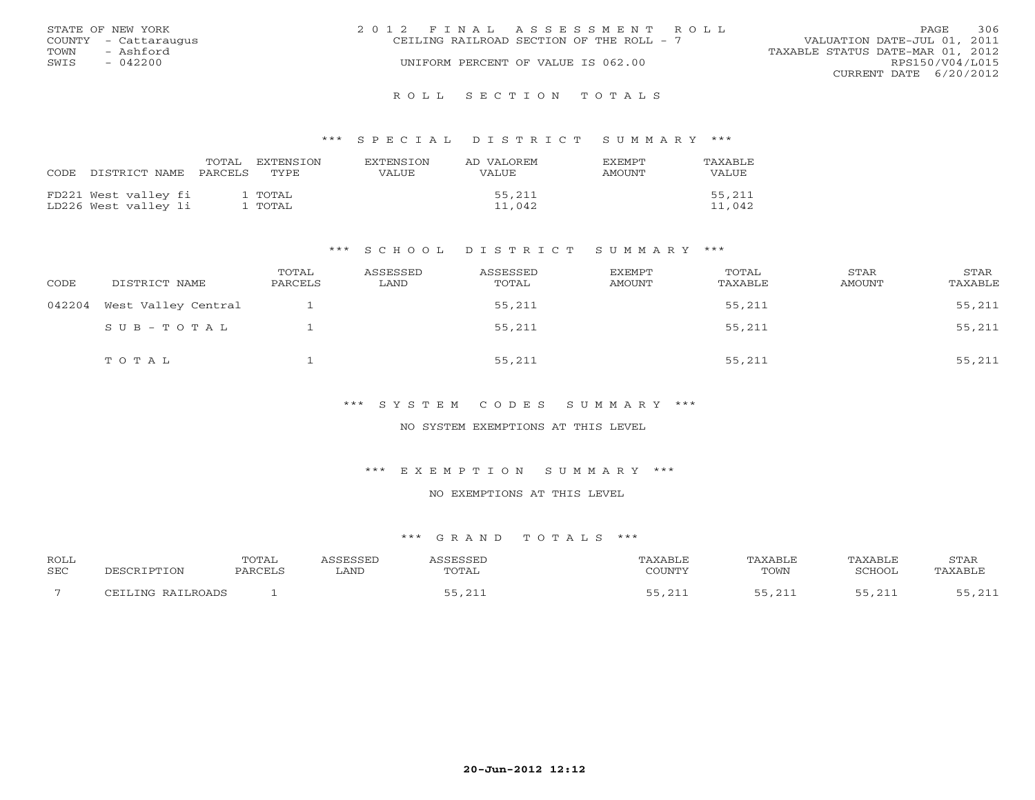|      | STATE OF NEW YORK    | 2012 FINAL ASSESSMENT ROLL               |                                  | <b>PAGE</b>     | 306 |
|------|----------------------|------------------------------------------|----------------------------------|-----------------|-----|
|      | COUNTY - Cattaraugus | CEILING RAILROAD SECTION OF THE ROLL - 7 | VALUATION DATE-JUL 01, 2011      |                 |     |
| TOWN | - Ashford            |                                          | TAXABLE STATUS DATE-MAR 01, 2012 |                 |     |
| SWIS | - 042200             | UNIFORM PERCENT OF VALUE IS 062.00       |                                  | RPS150/V04/L015 |     |
|      |                      |                                          | CURRENT DATE 6/20/2012           |                 |     |
|      |                      |                                          |                                  |                 |     |

#### R O L L S E C T I O N T O T A L S

#### \*\*\* S P E C I A L D I S T R I C T S U M M A R Y \*\*\*

| CODE | DISTRICT NAME PARCELS TYPE                   | TOTAL EXTENSION    | EXTENSION<br>VALUE. | AD VALOREM<br>VALUE | <b>F.X F.M PT</b><br>AMOUNT | TAXABLE<br>VALUE |
|------|----------------------------------------------|--------------------|---------------------|---------------------|-----------------------------|------------------|
|      | FD221 West valley fi<br>LD226 West valley li | 1 TOTAL<br>1 TOTAL |                     | 55,211<br>11,042    |                             | 55,211<br>11,042 |

#### \*\*\* S C H O O L D I S T R I C T S U M M A R Y \*\*\*

| CODE   | DISTRICT NAME       | TOTAL<br>PARCELS | ASSESSED<br>LAND | ASSESSED<br>TOTAL | EXEMPT<br>AMOUNT | TOTAL<br>TAXABLE | STAR<br>AMOUNT | STAR<br>TAXABLE |
|--------|---------------------|------------------|------------------|-------------------|------------------|------------------|----------------|-----------------|
| 042204 | West Valley Central |                  |                  | 55,211            |                  | 55,211           |                | 55,211          |
|        | SUB-TOTAL           |                  |                  | 55,211            |                  | 55,211           |                | 55,211          |
|        | TOTAL               |                  |                  | 55,211            |                  | 55,211           |                | 55,211          |

\*\*\* S Y S T E M C O D E S S U M M A R Y \*\*\*

NO SYSTEM EXEMPTIONS AT THIS LEVEL

\*\*\* E X E M P T I O N S U M M A R Y \*\*\*

NO EXEMPTIONS AT THIS LEVEL

| ROLL |                   | TOTAL   | ASSESSED | ASSESSED | TAXABLE | TAXABLE | TAXABLE              | STAR    |
|------|-------------------|---------|----------|----------|---------|---------|----------------------|---------|
| SEC  | DESCRIPTION       | PARCELS | LAND     | TOTAL    | COUNTY  | TOWN    | SCHOOL               | TAXABLE |
|      | CEILING RAILROADS |         |          | 55,211   | 55 211  | 55,211  | 55 211<br>. <i>.</i> | 55,211  |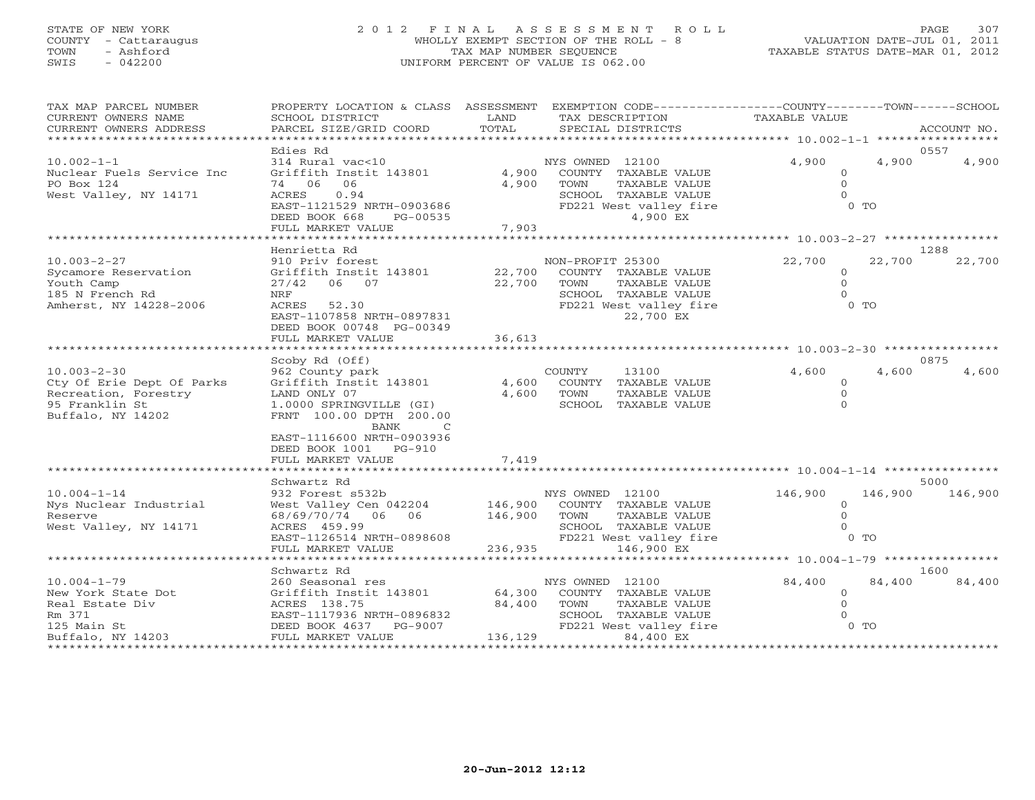# STATE OF NEW YORK 2 0 1 2 F I N A L A S S E S S M E N T R O L L PAGE 307 COUNTY - Cattaraugus WHOLLY EXEMPT SECTION OF THE ROLL - 8 VALUATION DATE-JUL 01, 2011 TOWN - Ashford TAX MAP NUMBER SEQUENCE TAXABLE STATUS DATE-MAR 01, 2012 SWIS - 042200 UNIFORM PERCENT OF VALUE IS 062.00UNIFORM PERCENT OF VALUE IS 062.00

| TAX MAP PARCEL NUMBER<br>CURRENT OWNERS NAME<br>CURRENT OWNERS ADDRESS | PROPERTY LOCATION & CLASS ASSESSMENT EXEMPTION CODE---------------COUNTY-------TOWN------SCHOOL<br>SCHOOL DISTRICT<br>PARCEL SIZE/GRID COORD | LAND<br>TOTAL | TAX DESCRIPTION<br>SPECIAL DISTRICTS | TAXABLE VALUE | ACCOUNT NO.      |
|------------------------------------------------------------------------|----------------------------------------------------------------------------------------------------------------------------------------------|---------------|--------------------------------------|---------------|------------------|
|                                                                        | Edies Rd                                                                                                                                     |               |                                      |               | 0557             |
|                                                                        |                                                                                                                                              |               |                                      |               |                  |
| $10.002 - 1 - 1$                                                       | 314 Rural vac<10                                                                                                                             |               | NYS OWNED 12100                      | 4,900         | 4,900<br>4,900   |
| Nuclear Fuels Service Inc                                              | Griffith Instit 143801                                                                                                                       | 4,900         | COUNTY TAXABLE VALUE                 | $\circ$       |                  |
| PO Box 124                                                             | 74 06 06                                                                                                                                     | 4,900         | TOWN<br>TAXABLE VALUE                | $\Omega$      |                  |
| West Valley, NY 14171                                                  | 0.94<br>ACRES                                                                                                                                |               | SCHOOL TAXABLE VALUE                 |               |                  |
|                                                                        | EAST-1121529 NRTH-0903686                                                                                                                    |               | FD221 West valley fire               |               | $0$ TO           |
|                                                                        | DEED BOOK 668<br>PG-00535                                                                                                                    |               | 4,900 EX                             |               |                  |
|                                                                        | FULL MARKET VALUE                                                                                                                            | 7,903         |                                      |               |                  |
|                                                                        |                                                                                                                                              |               |                                      |               |                  |
|                                                                        | Henrietta Rd                                                                                                                                 |               |                                      |               | 1288             |
| $10.003 - 2 - 27$                                                      | 910 Priv forest                                                                                                                              |               | NON-PROFIT 25300                     | 22,700        | 22,700<br>22,700 |
| Sycamore Reservation                                                   | Griffith Instit 143801                                                                                                                       | 22,700        | COUNTY TAXABLE VALUE                 | $\Omega$      |                  |
| Youth Camp                                                             | 06 07<br>27/42                                                                                                                               | 22,700        | TAXABLE VALUE<br>TOWN                | $\Omega$      |                  |
| 185 N French Rd                                                        | <b>NRF</b>                                                                                                                                   |               | SCHOOL TAXABLE VALUE                 | $\Omega$      |                  |
| Amherst, NY 14228-2006                                                 | ACRES 52.30                                                                                                                                  |               | FD221 West valley fire               | $0$ TO        |                  |
|                                                                        | EAST-1107858 NRTH-0897831                                                                                                                    |               | 22,700 EX                            |               |                  |
|                                                                        | DEED BOOK 00748 PG-00349                                                                                                                     |               |                                      |               |                  |
|                                                                        | FULL MARKET VALUE                                                                                                                            | 36,613        |                                      |               |                  |
|                                                                        |                                                                                                                                              |               |                                      |               |                  |
|                                                                        | Scoby Rd (Off)                                                                                                                               |               |                                      |               | 0875             |
| $10.003 - 2 - 30$                                                      | 962 County park                                                                                                                              |               | COUNTY<br>13100                      | 4,600         | 4,600<br>4,600   |
| Cty Of Erie Dept Of Parks                                              | Griffith Instit 143801                                                                                                                       | 4,600         | COUNTY TAXABLE VALUE                 | $\circ$       |                  |
| Recreation, Forestry                                                   | LAND ONLY 07                                                                                                                                 | 4,600         | TOWN<br>TAXABLE VALUE                | $\Omega$      |                  |
| 95 Franklin St                                                         | 1.0000 SPRINGVILLE (GI)                                                                                                                      |               | SCHOOL TAXABLE VALUE                 | $\Omega$      |                  |
| Buffalo, NY 14202                                                      | FRNT 100.00 DPTH 200.00                                                                                                                      |               |                                      |               |                  |
|                                                                        | BANK<br>$\overline{C}$                                                                                                                       |               |                                      |               |                  |
|                                                                        | EAST-1116600 NRTH-0903936                                                                                                                    |               |                                      |               |                  |
|                                                                        | DEED BOOK 1001 PG-910                                                                                                                        |               |                                      |               |                  |
|                                                                        | FULL MARKET VALUE                                                                                                                            | 7,419         |                                      |               |                  |
|                                                                        |                                                                                                                                              |               |                                      |               |                  |
|                                                                        | Schwartz Rd                                                                                                                                  |               |                                      |               | 5000             |
| $10.004 - 1 - 14$                                                      | 932 Forest s532b                                                                                                                             |               | NYS OWNED 12100                      | 146,900       | 146,900 146,900  |
| Nys Nuclear Industrial                                                 | West Valley Cen 042204                                                                                                                       | 146,900       | COUNTY TAXABLE VALUE                 | $\circ$       |                  |
| Reserve                                                                |                                                                                                                                              | 146,900       | TOWN<br>TAXABLE VALUE                | $\circ$       |                  |
| West Valley, NY 14171                                                  | 68/69/70/74 06 06<br>ACRES 459.99<br>ACRES 459.99                                                                                            |               | SCHOOL TAXABLE VALUE                 | $\Omega$      |                  |
|                                                                        | ACRES 459.99<br>EAST-1126514 NRTH-0898608                                                                                                    |               | FD221 West valley fire               |               | $0$ TO           |
|                                                                        | FULL MARKET VALUE                                                                                                                            | 236,935       | 146,900 EX                           |               |                  |
|                                                                        |                                                                                                                                              |               |                                      |               |                  |
|                                                                        | Schwartz Rd                                                                                                                                  |               |                                      |               | 1600             |
| $10.004 - 1 - 79$                                                      | 260 Seasonal res                                                                                                                             |               | NYS OWNED 12100                      | 84,400        | 84,400<br>84,400 |
| New York State Dot                                                     | Griffith Instit 143801                                                                                                                       | 64,300        | COUNTY TAXABLE VALUE                 | $\circ$       |                  |
| Real Estate Div                                                        | ACRES 138.75                                                                                                                                 | 84,400        | TOWN<br>TAXABLE VALUE                | $\Omega$      |                  |
| Rm 371                                                                 | EAST-1117936 NRTH-0896832                                                                                                                    |               | SCHOOL TAXABLE VALUE                 |               |                  |
| 125 Main St                                                            | DEED BOOK 4637 PG-9007<br>DEED BOOK 4637 PG-9007                                                                                             |               | FD221 West valley fire               |               | $0$ TO           |
| Buffalo, NY 14203                                                      | FULL MARKET VALUE                                                                                                                            | 136,129       | 84,400 EX                            |               |                  |
|                                                                        |                                                                                                                                              |               |                                      |               |                  |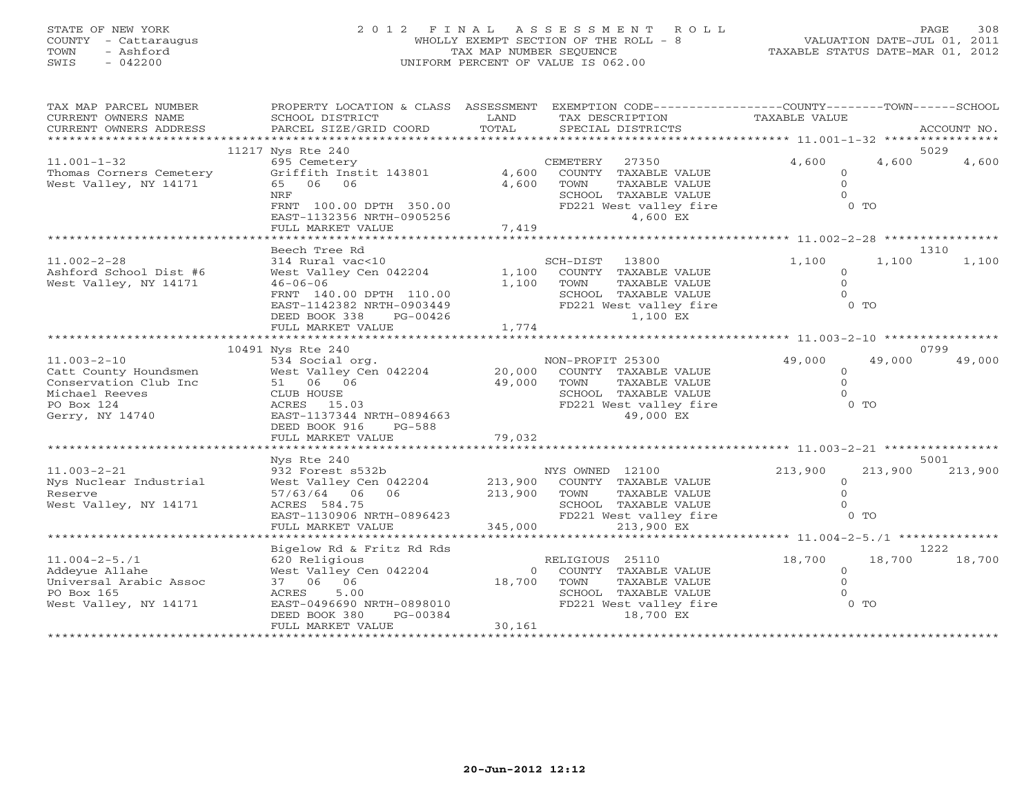# STATE OF NEW YORK 2 0 1 2 F I N A L A S S E S S M E N T R O L L PAGE 308 COUNTY - Cattaraugus WHOLLY EXEMPT SECTION OF THE ROLL - 8 VALUATION DATE-JUL 01, 2011 TOWN - Ashford TAX MAP NUMBER SEQUENCE TAXABLE STATUS DATE-MAR 01, 2012 SWIS - 042200 UNIFORM PERCENT OF VALUE IS 062.00UNIFORM PERCENT OF VALUE IS 062.00

| TAX MAP PARCEL NUMBER   |                           |                | PROPERTY LOCATION & CLASS ASSESSMENT EXEMPTION CODE----------------COUNTY-------TOWN------SCHOOL |                |         |         |
|-------------------------|---------------------------|----------------|--------------------------------------------------------------------------------------------------|----------------|---------|---------|
| CURRENT OWNERS NAME     | SCHOOL DISTRICT           | LAND           | TAX DESCRIPTION                                                                                  | TAXABLE VALUE  |         |         |
| CURRENT OWNERS ADDRESS  |                           |                |                                                                                                  |                |         |         |
| *********************** |                           |                |                                                                                                  |                |         |         |
|                         | 11217 Nys Rte 240         |                |                                                                                                  |                |         | 5029    |
| $11.001 - 1 - 32$       | 695 Cemetery              |                | CEMETERY<br>27350                                                                                | 4,600          | 4,600   | 4,600   |
| Thomas Corners Cemetery | Griffith Instit 143801    | 4,600          | COUNTY TAXABLE VALUE                                                                             | $\circ$        |         |         |
| West Valley, NY 14171   | 65 06 06                  | 4,600          | TAXABLE VALUE<br>TOWN                                                                            | $\Omega$       |         |         |
|                         | NRF                       |                | SCHOOL TAXABLE VALUE                                                                             | $\Omega$       |         |         |
|                         | FRNT 100.00 DPTH 350.00   |                | FD221 West valley fire                                                                           | $0$ TO         |         |         |
|                         | EAST-1132356 NRTH-0905256 |                | 4,600 EX                                                                                         |                |         |         |
|                         | FULL MARKET VALUE         | 7,419          |                                                                                                  |                |         |         |
|                         |                           |                |                                                                                                  |                |         |         |
|                         | Beech Tree Rd             |                |                                                                                                  |                |         | 1310    |
| $11.002 - 2 - 28$       | 314 Rural vac<10          |                | SCH-DIST<br>13800                                                                                | 1,100          | 1,100   | 1,100   |
| Ashford School Dist #6  | West Valley Cen 042204    | 1,100          | COUNTY TAXABLE VALUE                                                                             | $\Omega$       |         |         |
| West Valley, NY 14171   | $46 - 06 - 06$            | 1,100          | TOWN<br>TAXABLE VALUE                                                                            | $\Omega$       |         |         |
|                         | FRNT 140.00 DPTH 110.00   |                | SCHOOL TAXABLE VALUE                                                                             | $\Omega$       |         |         |
|                         | EAST-1142382 NRTH-0903449 |                | FD221 West valley fire                                                                           | $0$ TO         |         |         |
|                         | DEED BOOK 338<br>PG-00426 |                | 1,100 EX                                                                                         |                |         |         |
|                         | FULL MARKET VALUE         | 1,774          |                                                                                                  |                |         |         |
|                         |                           |                |                                                                                                  |                |         |         |
|                         | 10491 Nys Rte 240         |                |                                                                                                  |                |         | 0799    |
| $11.003 - 2 - 10$       | 534 Social org.           |                | NON-PROFIT 25300                                                                                 | 49,000         | 49,000  | 49,000  |
| Catt County Houndsmen   | West Valley Cen 042204    |                | 20,000 COUNTY TAXABLE VALUE                                                                      | $\Omega$       |         |         |
| Conservation Club Inc   | 51 06 06                  | 49,000         | TOWN<br>TAXABLE VALUE                                                                            | $\Omega$       |         |         |
| Michael Reeves          | CLUB HOUSE                |                | SCHOOL TAXABLE VALUE                                                                             | $\Omega$       |         |         |
| PO Box 124              | ACRES 15.03               |                | FD221 West valley fire                                                                           | 0 <sub>T</sub> |         |         |
| Gerry, NY 14740         | EAST-1137344 NRTH-0894663 |                | 49,000 EX                                                                                        |                |         |         |
|                         | DEED BOOK 916<br>PG-588   |                |                                                                                                  |                |         |         |
|                         |                           | 79,032         |                                                                                                  |                |         |         |
|                         | FULL MARKET VALUE         |                |                                                                                                  |                |         |         |
|                         |                           |                |                                                                                                  |                |         | 5001    |
|                         | Nys Rte 240               |                |                                                                                                  |                |         |         |
| $11.003 - 2 - 21$       | 932 Forest s532b          |                | NYS OWNED 12100                                                                                  | 213,900        | 213,900 | 213,900 |
| Nys Nuclear Industrial  | West Valley Cen 042204    | 213,900        | COUNTY TAXABLE VALUE                                                                             | $\circ$        |         |         |
| Reserve                 | 57/63/64 06 06            | 213,900        | TAXABLE VALUE<br>TOWN                                                                            | $\Omega$       |         |         |
| West Valley, NY 14171   | ACRES 584.75              |                | SCHOOL TAXABLE VALUE                                                                             | $\Omega$       |         |         |
|                         | EAST-1130906 NRTH-0896423 |                | FD221 West valley fire                                                                           | $0$ TO         |         |         |
|                         | FULL MARKET VALUE         | 345,000        | 213,900 EX                                                                                       |                |         |         |
|                         |                           |                |                                                                                                  |                |         |         |
|                         | Bigelow Rd & Fritz Rd Rds |                |                                                                                                  |                |         | 1222    |
| $11.004 - 2 - 5.71$     | 620 Religious             |                | RELIGIOUS 25110                                                                                  | 18,700         | 18,700  | 18,700  |
| Addeyue Allahe          | West Valley Cen 042204    | $\overline{0}$ | COUNTY TAXABLE VALUE                                                                             | $\circ$        |         |         |
| Universal Arabic Assoc  | 37 06 06                  | 18,700         | TOWN<br>TAXABLE VALUE                                                                            | $\Omega$       |         |         |
| PO Box 165              | ACRES<br>5.00             |                | SCHOOL TAXABLE VALUE                                                                             | $\Omega$       |         |         |
| West Valley, NY 14171   | EAST-0496690 NRTH-0898010 |                | FD221 West valley fire                                                                           | $0$ To         |         |         |
|                         | DEED BOOK 380<br>PG-00384 |                | 18,700 EX                                                                                        |                |         |         |
|                         | FULL MARKET VALUE         | 30,161         |                                                                                                  |                |         |         |
|                         |                           |                |                                                                                                  |                |         |         |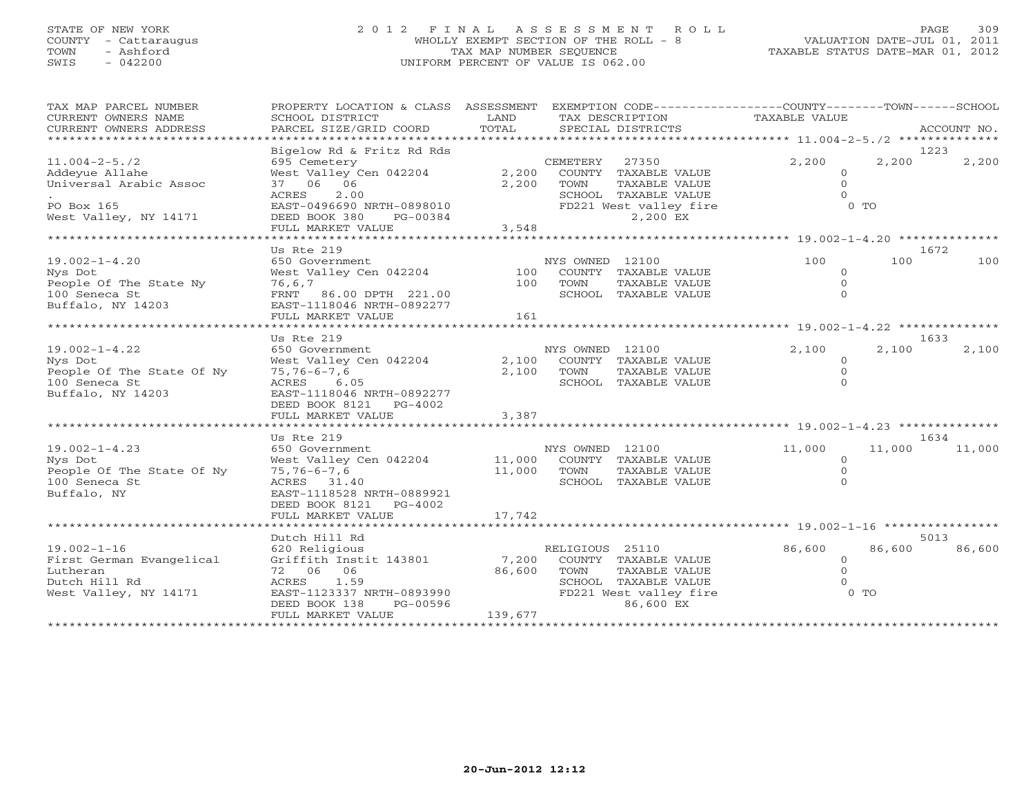# STATE OF NEW YORK 2 0 1 2 F I N A L A S S E S S M E N T R O L L PAGE 309 COUNTY - Cattaraugus WHOLLY EXEMPT SECTION OF THE ROLL - 8 VALUATION DATE-JUL 01, 2011 TOWN - Ashford TAX MAP NUMBER SEQUENCE TAXABLE STATUS DATE-MAR 01, 2012 SWIS - 042200 UNIFORM PERCENT OF VALUE IS 062.00UNIFORM PERCENT OF VALUE IS 062.00

| TAX MAP PARCEL NUMBER<br>CURRENT OWNERS NAME<br>CURRENT OWNERS ADDRESS                      | PROPERTY LOCATION & CLASS ASSESSMENT<br>SCHOOL DISTRICT<br>PARCEL SIZE/GRID COORD                                                                   | LAND<br>TOTAL    |                         | EXEMPTION CODE-----------------COUNTY-------TOWN------SCHOOL<br>TAX DESCRIPTION<br>SPECIAL DISTRICTS | TAXABLE VALUE |                                                 | ACCOUNT NO.    |
|---------------------------------------------------------------------------------------------|-----------------------------------------------------------------------------------------------------------------------------------------------------|------------------|-------------------------|------------------------------------------------------------------------------------------------------|---------------|-------------------------------------------------|----------------|
|                                                                                             |                                                                                                                                                     |                  |                         |                                                                                                      |               |                                                 | 1223           |
| $11.004 - 2 - 5.72$<br>Addeyue Allahe<br>Universal Arabic Assoc                             | Bigelow Rd & Fritz Rd Rds<br>695 Cemetery<br>West Valley Cen 042204<br>37 06 06<br>2.00<br>ACRES                                                    | 2,200<br>2,200   | CEMETERY<br>TOWN        | 27350<br>COUNTY TAXABLE VALUE<br>TAXABLE VALUE<br>SCHOOL TAXABLE VALUE                               | 2,200         | 2,200<br>$\circ$<br>$\Omega$<br>$\Omega$        | 2,200          |
| PO Box 165                                                                                  | EAST-0496690 NRTH-0898010                                                                                                                           |                  |                         | FD221 West valley fire                                                                               |               | $0$ To                                          |                |
| West Valley, NY 14171                                                                       | DEED BOOK 380<br>PG-00384<br>FULL MARKET VALUE                                                                                                      | 3,548            |                         | 2,200 EX                                                                                             |               |                                                 |                |
|                                                                                             |                                                                                                                                                     |                  |                         |                                                                                                      |               |                                                 |                |
|                                                                                             | Us Rte 219                                                                                                                                          |                  |                         |                                                                                                      |               |                                                 | 1672           |
| $19.002 - 1 - 4.20$<br>Nys Dot                                                              | 650 Government<br>West Valley Cen 042204                                                                                                            | 100<br>100       | NYS OWNED 12100         | COUNTY TAXABLE VALUE                                                                                 | 100           | 100<br>$\Omega$<br>$\Omega$                     | 100            |
| People Of The State Ny<br>100 Seneca St<br>Buffalo, NY 14203                                | 76,6,7<br>FRNT 86.00 DPTH 221.00<br>EAST-1118046 NRTH-0892277                                                                                       |                  | TOWN                    | TAXABLE VALUE<br>SCHOOL TAXABLE VALUE                                                                |               | $\Omega$                                        |                |
|                                                                                             | FULL MARKET VALUE                                                                                                                                   | 161              |                         |                                                                                                      |               |                                                 |                |
|                                                                                             |                                                                                                                                                     |                  |                         |                                                                                                      |               |                                                 |                |
| $19.002 - 1 - 4.22$                                                                         | Us Rte 219<br>650 Government                                                                                                                        |                  | NYS OWNED 12100         |                                                                                                      | 2,100         | 2,100                                           | 1633<br>2,100  |
| Nys Dot<br>People Of The State Of Ny<br>100 Seneca St<br>Buffalo, NY 14203                  | West Valley Cen 042204<br>$75, 76 - 6 - 7, 6$<br>ACRES<br>6.05<br>EAST-1118046 NRTH-0892277                                                         | 2,100<br>2,100   | TOWN                    | COUNTY TAXABLE VALUE<br>TAXABLE VALUE<br>SCHOOL TAXABLE VALUE                                        |               | $\circ$<br>$\mathbf{0}$<br>$\Omega$             |                |
|                                                                                             | DEED BOOK 8121 PG-4002                                                                                                                              |                  |                         |                                                                                                      |               |                                                 |                |
|                                                                                             | FULL MARKET VALUE                                                                                                                                   | 3,387            |                         |                                                                                                      |               |                                                 |                |
|                                                                                             |                                                                                                                                                     |                  |                         |                                                                                                      |               |                                                 |                |
| $19.002 - 1 - 4.23$<br>Nys Dot<br>People Of The State Of Ny<br>100 Seneca St<br>Buffalo, NY | Us Rte 219<br>650 Government<br>West Valley Cen 042204<br>$75, 76 - 6 - 7, 6$<br>ACRES 31.40<br>EAST-1118528 NRTH-0889921<br>DEED BOOK 8121 PG-4002 | 11,000<br>11,000 | NYS OWNED 12100<br>TOWN | COUNTY TAXABLE VALUE<br>TAXABLE VALUE<br>SCHOOL TAXABLE VALUE                                        | 11,000        | 11,000<br>$\Omega$<br>$\circ$<br>$\Omega$       | 1634<br>11,000 |
|                                                                                             | FULL MARKET VALUE                                                                                                                                   | 17,742           |                         |                                                                                                      |               |                                                 |                |
|                                                                                             |                                                                                                                                                     |                  |                         |                                                                                                      |               |                                                 |                |
| $19.002 - 1 - 16$                                                                           | Dutch Hill Rd<br>620 Religious                                                                                                                      |                  | RELIGIOUS 25110         |                                                                                                      | 86,600        | 86,600                                          | 5013<br>86,600 |
| First German Evangelical<br>Lutheran<br>Dutch Hill Rd<br>West Valley, NY 14171              | Griffith Instit 143801<br>72 06 06<br>ACRES<br>1.59<br>EAST-1123337 NRTH-0893990                                                                    | 7,200<br>86,600  | TOWN                    | COUNTY TAXABLE VALUE<br>TAXABLE VALUE<br>SCHOOL TAXABLE VALUE<br>FD221 West valley fire              |               | $\overline{O}$<br>$\circ$<br>$\Omega$<br>$0$ TO |                |
|                                                                                             | PG-00596<br>DEED BOOK 138<br>FULL MARKET VALUE                                                                                                      | 139,677          |                         | 86,600 EX                                                                                            |               |                                                 |                |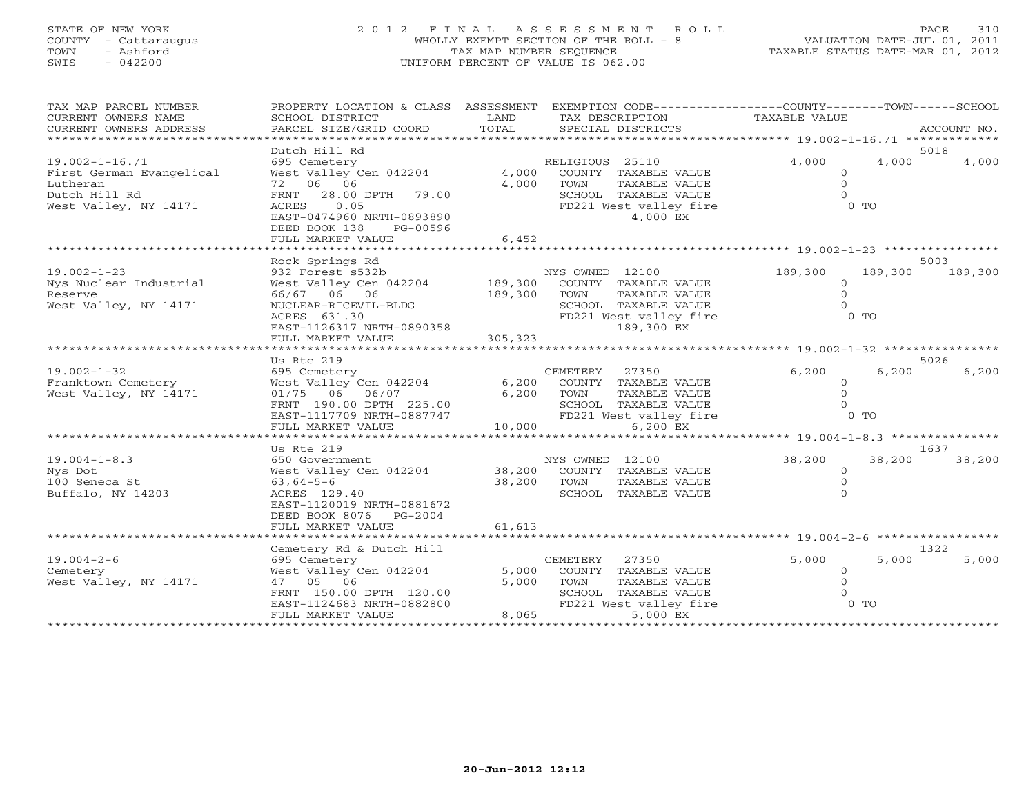# STATE OF NEW YORK 2 0 1 2 F I N A L A S S E S S M E N T R O L L PAGE 310 COUNTY - Cattaraugus WHOLLY EXEMPT SECTION OF THE ROLL - 8 VALUATION DATE-JUL 01, 2011 TOWN - Ashford TAX MAP NUMBER SEQUENCE TAXABLE STATUS DATE-MAR 01, 2012 SWIS - 042200 UNIFORM PERCENT OF VALUE IS 062.00UNIFORM PERCENT OF VALUE IS 062.00

| TAX MAP PARCEL NUMBER<br>CURRENT OWNERS NAME<br>CURRENT OWNERS ADDRESS          | PROPERTY LOCATION & CLASS ASSESSMENT EXEMPTION CODE---------------COUNTY-------TOWN------SCHOOL<br>SCHOOL DISTRICT<br>PARCEL SIZE/GRID COORD           | LAND<br>TOTAL              | TAX DESCRIPTION<br>SPECIAL DISTRICTS                                                                                             | TAXABLE VALUE                              | ACCOUNT NO.                                  |
|---------------------------------------------------------------------------------|--------------------------------------------------------------------------------------------------------------------------------------------------------|----------------------------|----------------------------------------------------------------------------------------------------------------------------------|--------------------------------------------|----------------------------------------------|
| $19.002 - 1 - 16.71$<br>First German Evangelical<br>Lutheran                    | Dutch Hill Rd<br>695 Cemetery<br>West Valley Cen 042204<br>72 06 06                                                                                    | 4,000<br>4,000             | RELIGIOUS 25110<br>COUNTY TAXABLE VALUE<br>TOWN<br>TAXABLE VALUE                                                                 | 4,000<br>$\circ$<br>$\Omega$               | 5018<br>4,000<br>4,000                       |
| Dutch Hill Rd<br>West Valley, NY 14171                                          | 28.00 DPTH<br>79.00<br>FRNT<br>0.05<br>ACRES<br>EAST-0474960 NRTH-0893890<br>DEED BOOK 138<br>PG-00596<br>FULL MARKET VALUE                            | 6,452                      | SCHOOL TAXABLE VALUE<br>FD221 West valley fire<br>4,000 EX                                                                       | $\Omega$                                   | $0$ TO                                       |
|                                                                                 |                                                                                                                                                        |                            |                                                                                                                                  |                                            |                                              |
| $19.002 - 1 - 23$<br>Nys Nuclear Industrial<br>Reserve<br>West Valley, NY 14171 | Rock Springs Rd<br>932 Forest s532b<br>West Valley Cen 042204<br>66/67 06 06<br>NUCLEAR-RICEVIL-BLDG<br>ACRES 631.30<br>EAST-1126317 NRTH-0890358      | 189,300<br>189,300         | NYS OWNED 12100<br>COUNTY TAXABLE VALUE<br>TOWN<br>TAXABLE VALUE<br>SCHOOL TAXABLE VALUE<br>FD221 West valley fire<br>189,300 EX | 189,300<br>$\circ$<br>$\Omega$<br>$\Omega$ | 5003<br>189,300<br>189,300<br>0 <sub>T</sub> |
|                                                                                 | FULL MARKET VALUE                                                                                                                                      | 305,323                    |                                                                                                                                  |                                            |                                              |
|                                                                                 |                                                                                                                                                        |                            |                                                                                                                                  |                                            |                                              |
|                                                                                 | Us Rte 219                                                                                                                                             |                            |                                                                                                                                  |                                            | 5026                                         |
| $19.002 - 1 - 32$<br>Franktown Cemetery<br>West Valley, NY 14171                | 695 Cemetery<br>West Valley Cen 042204<br>01/75 06 06/07<br>FRNT 190.00 DPTH 225.00<br>EAST-1117709 NRTH-0887747                                       | 6,200<br>6,200<br>10,000   | CEMETERY<br>27350<br>COUNTY TAXABLE VALUE<br>TOWN<br>TAXABLE VALUE<br>SCHOOL TAXABLE VALUE<br>FD221 West valley fire             | 6,200<br>$\Omega$<br>$\circ$<br>$\Omega$   | 6,200<br>6,200<br>$0$ TO                     |
|                                                                                 | FULL MARKET VALUE<br>*******************                                                                                                               |                            | 6,200 EX                                                                                                                         | ********** 19.004-1-8.3 ****************   |                                              |
|                                                                                 | Us Rte 219                                                                                                                                             |                            |                                                                                                                                  |                                            | 1637                                         |
| $19.004 - 1 - 8.3$<br>Nys Dot<br>100 Seneca St<br>Buffalo, NY 14203             | 650 Government<br>West Valley Cen 042204<br>$63,64-5-6$<br>ACRES 129.40<br>EAST-1120019 NRTH-0881672<br>DEED BOOK 8076<br>PG-2004<br>FULL MARKET VALUE | 38,200<br>38,200<br>61,613 | NYS OWNED 12100<br>COUNTY TAXABLE VALUE<br>TOWN<br>TAXABLE VALUE<br>SCHOOL TAXABLE VALUE                                         | 38,200<br>$\circ$<br>$\circ$<br>$\Omega$   | 38,200<br>38,200                             |
|                                                                                 |                                                                                                                                                        |                            |                                                                                                                                  |                                            |                                              |
|                                                                                 | Cemetery Rd & Dutch Hill                                                                                                                               |                            |                                                                                                                                  |                                            | 1322                                         |
| $19.004 - 2 - 6$<br>Cemetery<br>West Valley, NY 14171                           | 695 Cemetery<br>West Valley Cen 042204<br>47 05 06<br>FRNT 150.00 DPTH 120.00                                                                          | 5,000<br>5,000             | CEMETERY<br>27350<br>COUNTY TAXABLE VALUE<br>TOWN<br>TAXABLE VALUE<br>SCHOOL TAXABLE VALUE                                       | 5,000<br>$\circ$<br>$\Omega$<br>$\Omega$   | 5,000<br>5,000<br>$0$ TO                     |
|                                                                                 | EAST-1124683 NRTH-0882800<br>FULL MARKET VALUE                                                                                                         | 8,065                      | FD221 West valley fire<br>5,000 EX                                                                                               |                                            |                                              |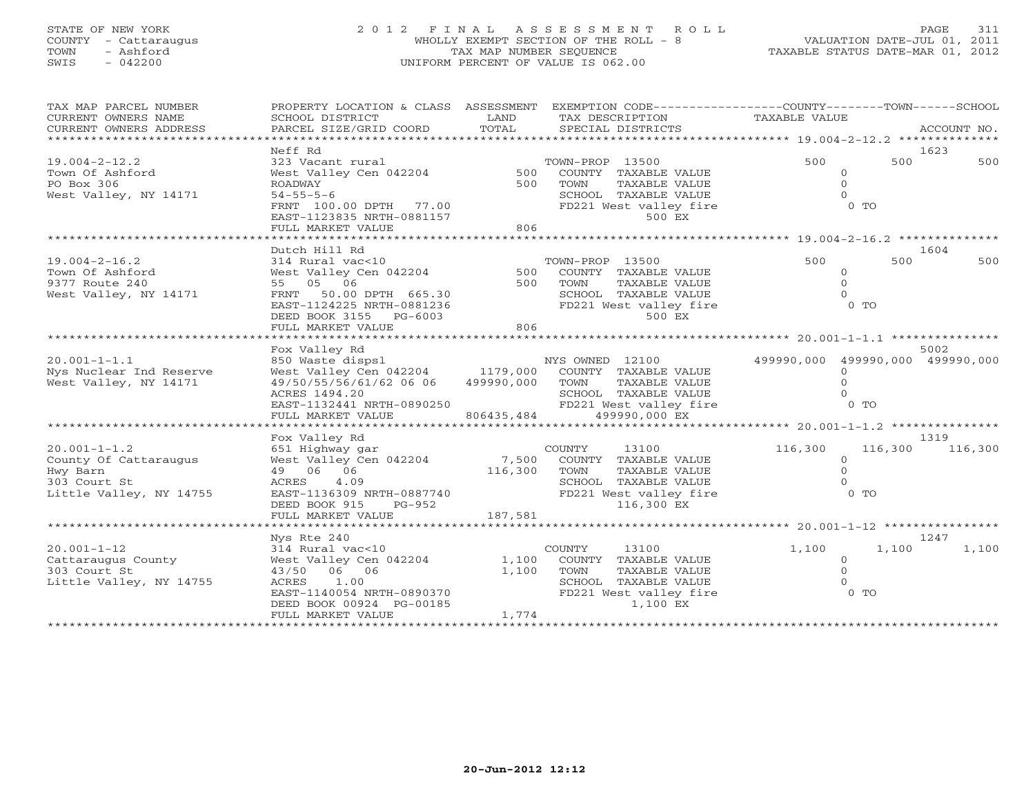# STATE OF NEW YORK 2 0 1 2 F I N A L A S S E S S M E N T R O L L PAGE 311 COUNTY - Cattaraugus WHOLLY EXEMPT SECTION OF THE ROLL - 8 VALUATION DATE-JUL 01, 2011 TOWN - Ashford TAX MAP NUMBER SEQUENCE TAXABLE STATUS DATE-MAR 01, 2012 SWIS - 042200 UNIFORM PERCENT OF VALUE IS 062.00UNIFORM PERCENT OF VALUE IS 062.00

| TAX MAP PARCEL NUMBER<br>CURRENT OWNERS NAME<br>CURRENT OWNERS ADDRESS                             | SCHOOL DISTRICT<br>PARCEL SIZE/GRID COORD                                                                                                                                                           | LAND<br>TOTAL           | PROPERTY LOCATION & CLASS ASSESSMENT EXEMPTION CODE----------------COUNTY-------TOWN------SCHOOL<br>TAX DESCRIPTION<br>SPECIAL DISTRICTS | TAXABLE VALUE                                            | ACCOUNT NO.            |
|----------------------------------------------------------------------------------------------------|-----------------------------------------------------------------------------------------------------------------------------------------------------------------------------------------------------|-------------------------|------------------------------------------------------------------------------------------------------------------------------------------|----------------------------------------------------------|------------------------|
| ****************************                                                                       |                                                                                                                                                                                                     |                         |                                                                                                                                          |                                                          |                        |
| $19.004 - 2 - 12.2$<br>Town Of Ashford<br>PO Box 306<br>West Valley, NY 14171                      | Neff Rd<br>323 Vacant rural<br>West Valley Cen 042204<br>ROADWAY<br>$54 - 55 - 5 - 6$<br>FRNT 100.00 DPTH 77.00<br>EAST-1123835 NRTH-0881157<br>FULL MARKET VALUE                                   | 500<br>500<br>806       | TOWN-PROP 13500<br>COUNTY TAXABLE VALUE<br>TOWN<br>TAXABLE VALUE<br>SCHOOL TAXABLE VALUE<br>FD221 West valley fire<br>500 EX             | 500<br>$\circ$<br>$\circ$<br>$\cap$<br>$0$ TO            | 1623<br>500<br>500     |
|                                                                                                    | Dutch Hill Rd                                                                                                                                                                                       |                         |                                                                                                                                          |                                                          | 1604                   |
| $19.004 - 2 - 16.2$<br>Town Of Ashford<br>9377 Route 240<br>West Valley, NY 14171                  | 314 Rural vac<10<br>West Valley Cen 042204<br>55 05 06<br>FRNT 50.00 DPTH 665.30<br>EAST-1124225 NRTH-0881236<br>DEED BOOK 3155 PG-6003<br>FULL MARKET VALUE                                        | 500<br>500<br>806       | TOWN-PROP 13500<br>COUNTY TAXABLE VALUE<br>TOWN<br>TAXABLE VALUE<br>SCHOOL TAXABLE VALUE<br>FD221 West valley fire<br>500 EX             | 500<br>$\circ$<br>$\Omega$<br>$\Omega$<br>$0$ TO         | 500<br>500             |
|                                                                                                    | Fox Valley Rd                                                                                                                                                                                       |                         |                                                                                                                                          |                                                          | 5002                   |
| $20.001 - 1 - 1.1$<br>Nys Nuclear Ind Reserve<br>West Valley, NY 14171                             | 850 Waste dispsl<br>West Valley Cen 042204 1179,000 COUNTY TAXABLE VALUE<br>49/50/55/56/61/62 06 06  499990,000  TOWN<br>ACRES 1494.20<br>EAST-1132441 NRTH-0890250<br>FULL MARKET VALUE 806435,484 |                         | NYS OWNED 12100<br>TAXABLE VALUE<br>- OWN TAXABLE VALUE<br>SCHOOL TAXABLE VALUE<br>FD221 West valley fire        0 TO<br>499990,000 EX   | 499990,000 499990,000 499990,000<br>$\Omega$<br>$\Omega$ |                        |
|                                                                                                    | Fox Valley Rd                                                                                                                                                                                       |                         |                                                                                                                                          |                                                          | 1319                   |
| $20.001 - 1 - 1.2$<br>County Of Cattaraugus<br>Hwy Barn<br>303 Court St<br>Little Valley, NY 14755 | 651 Highway gar<br>West Valley Cen 042204<br>49 06 06<br>4.09<br>ACRES<br>DEED BOOK 915<br>PG-952                                                                                                   | 116,300                 | COUNTY<br>13100<br>7,500 COUNTY TAXABLE VALUE<br>TOWN<br>TAXABLE VALUE<br>SCHOOL TAXABLE VALUE<br>116,300 EX                             | 116,300<br>$\circ$<br>$\Omega$<br>$\Omega$<br>$0$ TO     | 116,300<br>116,300     |
|                                                                                                    | FULL MARKET VALUE                                                                                                                                                                                   | 187,581                 |                                                                                                                                          |                                                          |                        |
| $20.001 - 1 - 12$<br>Cattaraugus County<br>303 Court St<br>Little Valley, NY 14755                 | Nys Rte 240<br>314 Rural vac<10<br>West Valley Cen 042204<br>43/50 06 06<br>ACRES<br>1.00<br>EAST-1140054 NRTH-0890370<br>DEED BOOK 00924 PG-00185<br>FULL MARKET VALUE                             | 1,100<br>1,100<br>1,774 | COUNTY<br>13100<br>COUNTY TAXABLE VALUE<br>TOWN<br>TAXABLE VALUE<br>SCHOOL TAXABLE VALUE<br>FD221 West valley fire<br>1,100 EX           | 1,100<br>$\circ$<br>$\circ$<br>$\Omega$<br>$0$ TO        | 1247<br>1,100<br>1,100 |
|                                                                                                    |                                                                                                                                                                                                     |                         |                                                                                                                                          |                                                          |                        |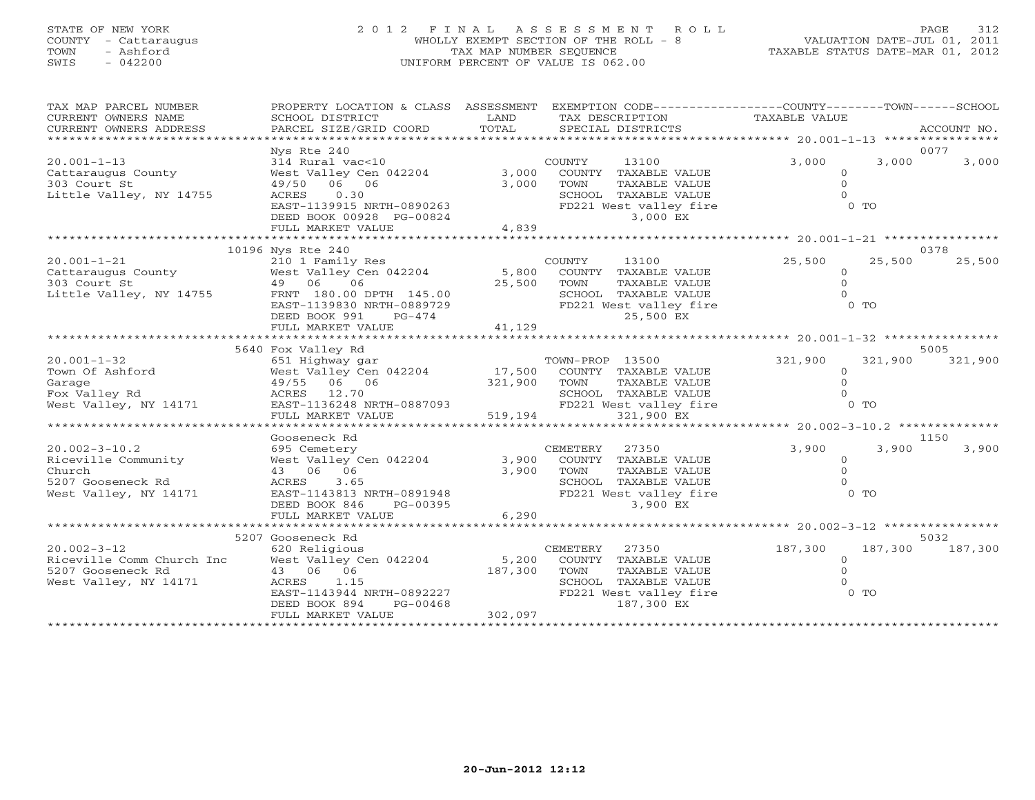# STATE OF NEW YORK 2 0 1 2 F I N A L A S S E S S M E N T R O L L PAGE 312 COUNTY - Cattaraugus WHOLLY EXEMPT SECTION OF THE ROLL - 8 VALUATION DATE-JUL 01, 2011 TOWN - Ashford TAX MAP NUMBER SEQUENCE TAXABLE STATUS DATE-MAR 01, 2012 SWIS - 042200 UNIFORM PERCENT OF VALUE IS 062.00UNIFORM PERCENT OF VALUE IS 062.00

| TAX MAP PARCEL NUMBER<br>CURRENT OWNERS NAME<br>CURRENT OWNERS ADDRESS                             | PROPERTY LOCATION & CLASS ASSESSMENT EXEMPTION CODE---------------COUNTY-------TOWN------SCHOOL<br>SCHOOL DISTRICT<br>PARCEL SIZE/GRID COORD                                            | LAND<br>TOTAL               | TAX DESCRIPTION<br>SPECIAL DISTRICTS                                                                                                    | TAXABLE VALUE                                                           | ACCOUNT NO.             |
|----------------------------------------------------------------------------------------------------|-----------------------------------------------------------------------------------------------------------------------------------------------------------------------------------------|-----------------------------|-----------------------------------------------------------------------------------------------------------------------------------------|-------------------------------------------------------------------------|-------------------------|
|                                                                                                    | Nys Rte 240                                                                                                                                                                             |                             |                                                                                                                                         |                                                                         | 0077                    |
| $20.001 - 1 - 13$<br>Cattaraugus County<br>303 Court St<br>Little Valley, NY 14755                 | 314 Rural vac<10<br>West Valley Cen 042204<br>49/50 06 06<br>0.30<br>ACRES<br>EAST-1139915 NRTH-0890263<br>DEED BOOK 00928 PG-00824                                                     | 3,000                       | 13100<br>COUNTY<br>3,000 COUNTY TAXABLE VALUE<br>TOWN<br>TAXABLE VALUE<br>SCHOOL TAXABLE VALUE<br>FD221 West valley fire<br>3,000 EX    | 3,000<br>$\Omega$<br>$\Omega$<br>$0$ TO                                 | 3,000<br>3,000          |
|                                                                                                    | FULL MARKET VALUE                                                                                                                                                                       | 4,839                       |                                                                                                                                         |                                                                         |                         |
|                                                                                                    |                                                                                                                                                                                         |                             |                                                                                                                                         |                                                                         |                         |
|                                                                                                    | 10196 Nys Rte 240                                                                                                                                                                       |                             |                                                                                                                                         |                                                                         | 0378                    |
| $20.001 - 1 - 21$<br>20.001-1-21<br>Cattaraugus County<br>Little Valley, NY 14755                  | 210 1 Family Res<br>--- -- --------- ----<br>Mest Valley Cen 042204<br>49 06 06<br>FRNT 180.00 DPTH 145.00<br>EAST-1139830 NRTH-0889729<br>DEED BOOK 991<br>PG-474<br>FULL MARKET VALUE | 25,500<br>41,129            | 13100<br>COUNTY<br>5,800 COUNTY TAXABLE VALUE<br>TOWN<br>TAXABLE VALUE<br>SCHOOL TAXABLE VALUE<br>FD221 West valley fire<br>25,500 EX   | 25,500<br>$\Omega$<br>$\Omega$<br>$0$ TO                                | 25,500<br>25,500        |
|                                                                                                    |                                                                                                                                                                                         |                             |                                                                                                                                         |                                                                         |                         |
|                                                                                                    | 5640 Fox Valley Rd                                                                                                                                                                      |                             |                                                                                                                                         |                                                                         | 5005                    |
| $20.001 - 1 - 32$<br>Town Of Ashford<br>Garage<br>Fox Valley Rd<br>West Valley, NY 14171           | 651 Highway gar<br>West Valley Cen 042204<br>49/55 06 06<br>ACRES 12.70<br>ACRES 12.70<br>EAST-1136248 NRTH-0887093<br>FULL MARKET VALUE                                                | 321,900<br>519,194          | TOWN-PROP 13500<br>17,500 COUNTY TAXABLE VALUE<br>TOWN<br>TAXABLE VALUE<br>SCHOOL TAXABLE VALUE<br>FD221 West valley fire<br>321,900 EX | 321,900<br>$\Omega$<br>$\begin{array}{c} 0 \\ 0 \text{ TO} \end{array}$ | 321,900<br>321,900      |
|                                                                                                    |                                                                                                                                                                                         |                             |                                                                                                                                         | ******************* 20.002-3-10.2 ***************                       |                         |
| $20.002 - 3 - 10.2$<br>Riceville Community<br>Church<br>5207 Gooseneck Rd<br>West Valley, NY 14171 | Gooseneck Rd<br>695 Cemetery<br>West Valley Cen 042204<br>43 06 06<br>ACRES<br>3.65<br>EAST-1143813 NRTH-0891948<br>DEED BOOK 846<br>PG-00395<br>FULL MARKET VALUE                      | 3,900<br>3,900<br>6,290     | CEMETERY<br>27350<br>COUNTY TAXABLE VALUE<br>TOWN<br>TAXABLE VALUE<br>SCHOOL TAXABLE VALUE<br>FD221 West valley fire<br>3,900 EX        | 3,900<br>$\circ$<br>$\Omega$<br>$0$ TO                                  | 1150<br>3,900<br>3,900  |
|                                                                                                    |                                                                                                                                                                                         |                             |                                                                                                                                         |                                                                         |                         |
| $20.002 - 3 - 12$<br>Riceville Comm Church Inc<br>5207 Gooseneck Rd<br>West Valley, NY 14171       | 5207 Gooseneck Rd<br>620 Religious<br>West Valley Cen 042204<br>43 06 06<br>1.15<br>ACRES<br>EAST-1143944 NRTH-0892227<br>DEED BOOK 894<br>PG-00468<br>FULL MARKET VALUE                | 5,200<br>187,300<br>302,097 | CEMETERY<br>27350<br>COUNTY TAXABLE VALUE<br>TOWN<br>TAXABLE VALUE<br>SCHOOL TAXABLE VALUE<br>FD221 West valley fire<br>187,300 EX      | 187,300<br>$\circ$<br>$0$ TO                                            | 5032<br>187,300 187,300 |
|                                                                                                    |                                                                                                                                                                                         |                             |                                                                                                                                         |                                                                         |                         |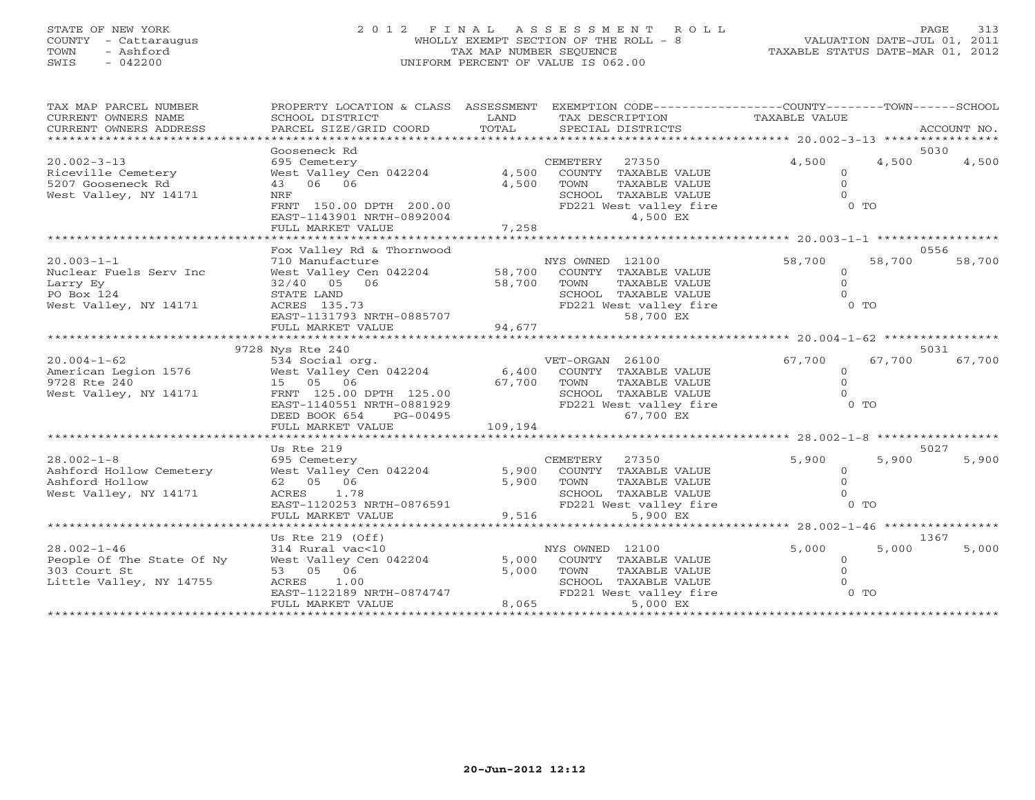# STATE OF NEW YORK 2 0 1 2 F I N A L A S S E S S M E N T R O L L PAGE 313 COUNTY - Cattaraugus WHOLLY EXEMPT SECTION OF THE ROLL - 8 VALUATION DATE-JUL 01, 2011 TOWN - Ashford TAX MAP NUMBER SEQUENCE TAXABLE STATUS DATE-MAR 01, 2012 SWIS - 042200 UNIFORM PERCENT OF VALUE IS 062.00UNIFORM PERCENT OF VALUE IS 062.00

| TAX MAP PARCEL NUMBER<br>CURRENT OWNERS NAME<br>CURRENT OWNERS ADDRESS | PROPERTY LOCATION & CLASS ASSESSMENT<br>SCHOOL DISTRICT<br>PARCEL SIZE/GRID COORD | LAND<br>TOTAL | EXEMPTION CODE-----------------COUNTY-------TOWN------SCHOOL<br>TAX DESCRIPTION TAXABLE VALUE<br>SPECIAL DISTRICTS |                |        | ACCOUNT NO. |
|------------------------------------------------------------------------|-----------------------------------------------------------------------------------|---------------|--------------------------------------------------------------------------------------------------------------------|----------------|--------|-------------|
|                                                                        | Gooseneck Rd                                                                      |               |                                                                                                                    |                |        | 5030        |
| $20.002 - 3 - 13$                                                      | 695 Cemetery                                                                      |               | CEMETERY<br>27350                                                                                                  | 4,500          | 4,500  | 4,500       |
| Riceville Cemetery                                                     | West Valley Cen 042204                                                            | 4,500         | COUNTY TAXABLE VALUE                                                                                               | $\Omega$       |        |             |
| 5207 Gooseneck Rd                                                      | 43 06 06                                                                          | 4,500         | TOWN<br>TAXABLE VALUE                                                                                              | $\Omega$       |        |             |
| West Valley, NY 14171                                                  | NRF                                                                               |               | SCHOOL TAXABLE VALUE                                                                                               | $\Omega$       |        |             |
|                                                                        | FRNT 150.00 DPTH 200.00                                                           |               | FD221 West valley fire                                                                                             | 0 <sub>0</sub> |        |             |
|                                                                        | EAST-1143901 NRTH-0892004                                                         |               | 4,500 EX                                                                                                           |                |        |             |
|                                                                        | FULL MARKET VALUE                                                                 | 7,258         |                                                                                                                    |                |        |             |
|                                                                        |                                                                                   |               |                                                                                                                    |                |        |             |
|                                                                        | Fox Valley Rd & Thornwood                                                         |               |                                                                                                                    |                |        | 0556        |
| $20.003 - 1 - 1$                                                       | 710 Manufacture                                                                   |               | NYS OWNED 12100                                                                                                    | 58,700         | 58,700 | 58,700      |
| Nuclear Fuels Serv Inc                                                 | West Valley Cen 042204                                                            | 58,700        | COUNTY TAXABLE VALUE                                                                                               | $\circ$        |        |             |
| Larry Ey                                                               | 32/40 05 06                                                                       | 58,700        | TOWN<br>TAXABLE VALUE                                                                                              | $\circ$        |        |             |
| PO Box 124                                                             | STATE LAND                                                                        |               | SCHOOL TAXABLE VALUE                                                                                               |                |        |             |
| West Valley, NY 14171                                                  | ACRES 135.73                                                                      |               | FD221 West valley fire                                                                                             | $0$ TO         |        |             |
|                                                                        | EAST-1131793 NRTH-0885707                                                         |               | 58,700 EX                                                                                                          |                |        |             |
|                                                                        | FULL MARKET VALUE                                                                 | 94,677        |                                                                                                                    |                |        |             |
|                                                                        | **************************                                                        |               |                                                                                                                    |                |        |             |
|                                                                        | 9728 Nys Rte 240                                                                  |               |                                                                                                                    |                |        | 5031        |
| $20.004 - 1 - 62$                                                      | 534 Social org.                                                                   |               | VET-ORGAN 26100                                                                                                    | 67,700         | 67,700 | 67,700      |
| American Legion 1576                                                   | West Valley Cen 042204                                                            | 6,400         | COUNTY TAXABLE VALUE                                                                                               | $\circ$        |        |             |
| 9728 Rte 240                                                           | 15 05 06                                                                          | 67,700        | TOWN<br>TAXABLE VALUE                                                                                              | $\Omega$       |        |             |
| West Valley, NY 14171                                                  | FRNT 125.00 DPTH 125.00                                                           |               | SCHOOL TAXABLE VALUE                                                                                               | $\cap$         |        |             |
|                                                                        | EAST-1140551 NRTH-0881929                                                         |               | FD221 West valley fire                                                                                             | 0 <sub>0</sub> |        |             |
|                                                                        | DEED BOOK 654<br>PG-00495                                                         |               | 67,700 EX                                                                                                          |                |        |             |
|                                                                        | FULL MARKET VALUE                                                                 | 109,194       |                                                                                                                    |                |        |             |
|                                                                        |                                                                                   |               |                                                                                                                    |                |        |             |
|                                                                        | Us Rte 219                                                                        |               |                                                                                                                    |                |        | 5027        |
| $28.002 - 1 - 8$                                                       | 695 Cemetery                                                                      |               | CEMETERY<br>27350                                                                                                  | 5,900          | 5,900  | 5,900       |
| Ashford Hollow Cemetery                                                | West Valley Cen 042204                                                            | 5,900         | COUNTY TAXABLE VALUE                                                                                               | $\circ$        |        |             |
| Ashford Hollow                                                         | 62 05 06                                                                          | 5,900         | TAXABLE VALUE<br>TOWN                                                                                              | $\Omega$       |        |             |
| West Valley, NY 14171                                                  | ACRES 1.78                                                                        |               | SCHOOL TAXABLE VALUE                                                                                               | $\Omega$       |        |             |
|                                                                        | EAST-1120253 NRTH-0876591                                                         |               | FD221 West valley fire                                                                                             | $0$ TO         |        |             |
|                                                                        | FULL MARKET VALUE                                                                 | 9,516         | 5,900 EX                                                                                                           |                |        |             |
|                                                                        |                                                                                   |               |                                                                                                                    |                |        |             |
|                                                                        | Us Rte $219$ (Off)                                                                |               |                                                                                                                    |                |        | 1367        |
| $28.002 - 1 - 46$                                                      | 314 Rural vac<10                                                                  |               | NYS OWNED 12100                                                                                                    | 5,000          | 5,000  | 5,000       |
| People Of The State Of Ny                                              | West Valley Cen 042204                                                            | 5,000         | COUNTY TAXABLE VALUE                                                                                               | $\Omega$       |        |             |
| 303 Court St                                                           | 53 05 06                                                                          | 5,000         | TOWN<br>TAXABLE VALUE                                                                                              | $\Omega$       |        |             |
| Little Valley, NY 14755                                                | ACRES 1.00                                                                        |               | SCHOOL TAXABLE VALUE                                                                                               |                |        |             |
|                                                                        |                                                                                   |               |                                                                                                                    |                |        |             |
|                                                                        | EAST-1122189 NRTH-0874747                                                         |               |                                                                                                                    | $0$ TO         |        |             |
|                                                                        | FULL MARKET VALUE                                                                 | 8,065         | FD221 West valley fire<br>5,000 EX                                                                                 |                |        |             |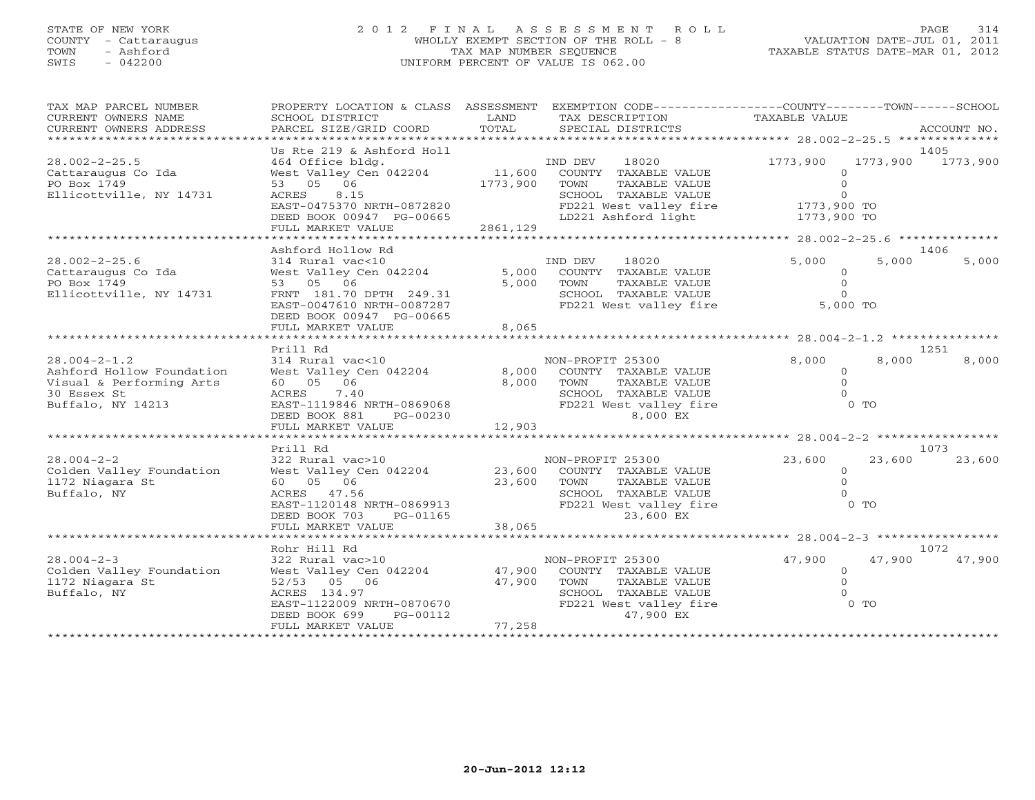# STATE OF NEW YORK 2 0 1 2 F I N A L A S S E S S M E N T R O L L PAGE 314 COUNTY - Cattaraugus WHOLLY EXEMPT SECTION OF THE ROLL - 8 VALUATION DATE-JUL 01, 2011 TOWN - Ashford TAX MAP NUMBER SEQUENCE TAXABLE STATUS DATE-MAR 01, 2012 SWIS - 042200 UNIFORM PERCENT OF VALUE IS 062.00

| TAX MAP PARCEL NUMBER                              | PROPERTY LOCATION & CLASS ASSESSMENT          |          | EXEMPTION CODE-----------------COUNTY--------TOWN------SCHOOL |                                          |          |             |
|----------------------------------------------------|-----------------------------------------------|----------|---------------------------------------------------------------|------------------------------------------|----------|-------------|
| CURRENT OWNERS NAME                                | SCHOOL DISTRICT                               | LAND     | TAX DESCRIPTION                                               | TAXABLE VALUE                            |          |             |
| CURRENT OWNERS ADDRESS<br>************************ | PARCEL SIZE/GRID COORD                        | TOTAL    | SPECIAL DISTRICTS                                             |                                          |          | ACCOUNT NO. |
|                                                    |                                               |          |                                                               |                                          |          | 1405        |
| $28.002 - 2 - 25.5$                                | Us Rte 219 & Ashford Holl<br>464 Office bldg. |          | 18020                                                         | 1773,900                                 | 1773,900 | 1773,900    |
| Cattaraugus Co Ida                                 | West Valley Cen 042204                        | 11,600   | IND DEV<br>COUNTY TAXABLE VALUE                               |                                          |          |             |
| PO Box 1749                                        | 53 05 06                                      | 1773,900 | TOWN<br>TAXABLE VALUE                                         | $\Omega$                                 |          |             |
| Ellicottville, NY 14731                            | ACRES<br>8.15                                 |          | SCHOOL TAXABLE VALUE                                          | $\Omega$                                 |          |             |
|                                                    | EAST-0475370 NRTH-0872820                     |          | FD221 West valley fire                                        | 1773,900 TO                              |          |             |
|                                                    | DEED BOOK 00947 PG-00665                      |          | LD221 Ashford light                                           | 1773,900 TO                              |          |             |
|                                                    | FULL MARKET VALUE                             | 2861,129 |                                                               |                                          |          |             |
|                                                    | *****************                             |          | *****************************                                 | ********** 28.002-2-25.6 *************** |          |             |
|                                                    | Ashford Hollow Rd                             |          |                                                               |                                          |          | 1406        |
| $28.002 - 2 - 25.6$                                | 314 Rural vac<10                              |          | 18020<br>IND DEV                                              | 5,000                                    | 5,000    | 5,000       |
| Cattaraugus Co Ida                                 | West Valley Cen 042204                        | 5,000    | COUNTY TAXABLE VALUE                                          | $\circ$                                  |          |             |
| PO Box 1749                                        | 53 05 06                                      | 5,000    | TAXABLE VALUE<br>TOWN                                         | $\Omega$                                 |          |             |
| Ellicottville, NY 14731                            | FRNT 181.70 DPTH 249.31                       |          | SCHOOL TAXABLE VALUE                                          | $\Omega$                                 |          |             |
|                                                    | EAST-0047610 NRTH-0087287                     |          | FD221 West valley fire                                        | 5,000 TO                                 |          |             |
|                                                    | DEED BOOK 00947 PG-00665<br>FULL MARKET VALUE | 8,065    |                                                               |                                          |          |             |
|                                                    | ***********************                       |          |                                                               |                                          |          |             |
|                                                    | Prill Rd                                      |          |                                                               |                                          |          | 1251        |
| $28.004 - 2 - 1.2$                                 | 314 Rural vac<10                              |          | NON-PROFIT 25300                                              | 8,000                                    | 8,000    | 8,000       |
| Ashford Hollow Foundation                          | West Valley Cen 042204                        | 8,000    | COUNTY TAXABLE VALUE                                          | $\circ$                                  |          |             |
| Visual & Performing Arts                           | 60  05  06                                    | 8,000    | TOWN<br>TAXABLE VALUE                                         | $\Omega$                                 |          |             |
| 30 Essex St                                        | ACRES<br>7.40                                 |          | SCHOOL TAXABLE VALUE                                          |                                          |          |             |
| Buffalo, NY 14213                                  | EAST-1119846 NRTH-0869068                     |          | FD221 West valley fire                                        |                                          | $0$ TO   |             |
|                                                    | DEED BOOK 881<br>PG-00230                     |          | 8,000 EX                                                      |                                          |          |             |
|                                                    | FULL MARKET VALUE                             | 12,903   |                                                               |                                          |          |             |
|                                                    |                                               |          |                                                               |                                          |          |             |
|                                                    | Prill Rd                                      |          |                                                               |                                          |          | 1073        |
| $28.004 - 2 - 2$                                   | 322 Rural vac>10                              |          | NON-PROFIT 25300                                              | 23,600                                   | 23,600   | 23,600      |
| Colden Valley Foundation                           | West Valley Cen 042204                        | 23,600   | COUNTY TAXABLE VALUE                                          | $\circ$                                  |          |             |
| 1172 Niagara St                                    | 60  05  06                                    | 23,600   | TOWN<br>TAXABLE VALUE                                         | $\circ$<br>$\Omega$                      |          |             |
| Buffalo, NY                                        | ACRES 47.56<br>EAST-1120148 NRTH-0869913      |          | SCHOOL TAXABLE VALUE<br>FD221 West valley fire                |                                          | $0$ TO   |             |
|                                                    | DEED BOOK 703<br>PG-01165                     |          | 23,600 EX                                                     |                                          |          |             |
|                                                    | FULL MARKET VALUE                             | 38,065   |                                                               |                                          |          |             |
|                                                    | ***********************                       |          |                                                               |                                          |          |             |
|                                                    | Rohr Hill Rd                                  |          |                                                               |                                          |          | 1072        |
| $28.004 - 2 - 3$                                   | 322 Rural vac>10                              |          | NON-PROFIT 25300                                              | 47,900                                   | 47,900   | 47,900      |
| Colden Valley Foundation                           | West Valley Cen 042204                        | 47,900   | COUNTY TAXABLE VALUE                                          | $\circ$                                  |          |             |
| 1172 Niagara St                                    | $52/53$ 05<br>06                              | 47,900   | TOWN<br>TAXABLE VALUE                                         | $\Omega$                                 |          |             |
| Buffalo, NY                                        | ACRES 134.97                                  |          | SCHOOL TAXABLE VALUE                                          |                                          |          |             |
|                                                    | EAST-1122009 NRTH-0870670                     |          | FD221 West valley fire                                        |                                          | $0$ TO   |             |
|                                                    | DEED BOOK 699<br>PG-00112                     |          | 47,900 EX                                                     |                                          |          |             |
|                                                    | FULL MARKET VALUE<br>*******************      | 77,258   |                                                               |                                          |          |             |
|                                                    |                                               |          |                                                               |                                          |          |             |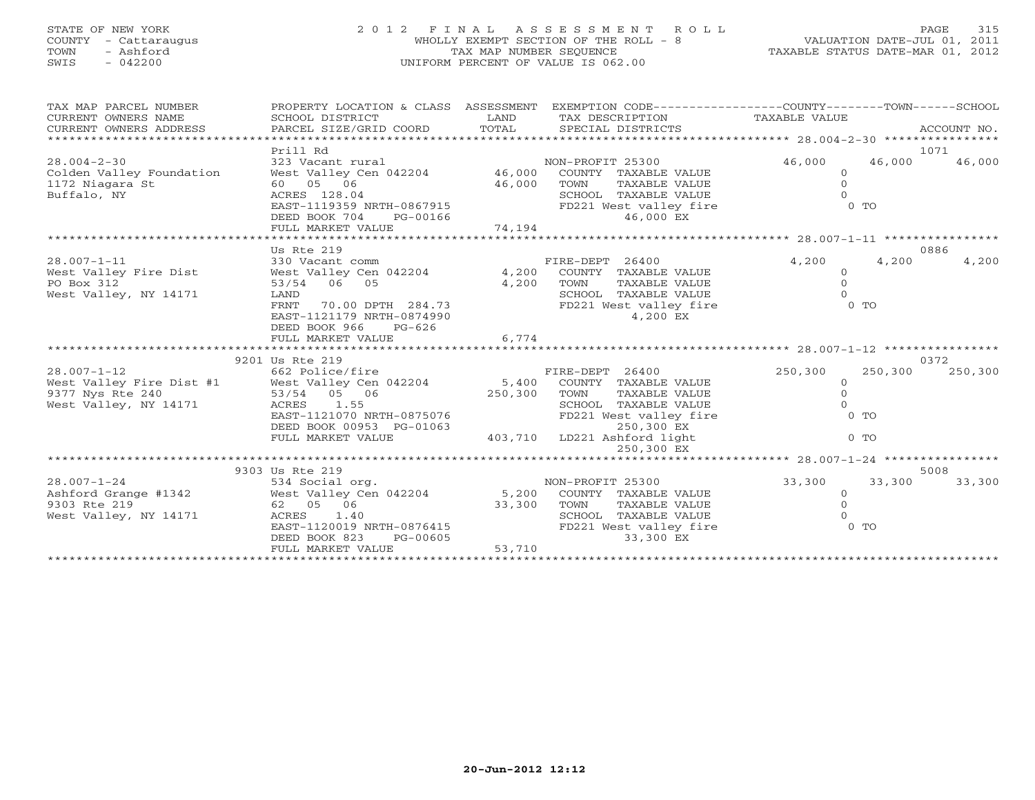# STATE OF NEW YORK 2 0 1 2 F I N A L A S S E S S M E N T R O L L PAGE 315 COUNTY - Cattaraugus WHOLLY EXEMPT SECTION OF THE ROLL - 8 VALUATION DATE-JUL 01, 2011 TOWN - Ashford TAX MAP NUMBER SEQUENCE TAXABLE STATUS DATE-MAR 01, 2012 SWIS - 042200 UNIFORM PERCENT OF VALUE IS 062.00UNIFORM PERCENT OF VALUE IS 062.00

| TAX MAP PARCEL NUMBER  | PROPERTY LOCATION & CLASS ASSESSMENT EXEMPTION CODE---------------COUNTY-------TOWN------SCHOOL                                                                                                                                       |                        |                                                                      |                |                       |
|------------------------|---------------------------------------------------------------------------------------------------------------------------------------------------------------------------------------------------------------------------------------|------------------------|----------------------------------------------------------------------|----------------|-----------------------|
| CURRENT OWNERS NAME    | SCHOOL DISTRICT                                                                                                                                                                                                                       | <b>Example 12</b> LAND | TAX DESCRIPTION TAXABLE VALUE                                        |                |                       |
| CURRENT OWNERS ADDRESS |                                                                                                                                                                                                                                       |                        |                                                                      |                |                       |
|                        |                                                                                                                                                                                                                                       |                        |                                                                      |                |                       |
|                        | Prill Rd                                                                                                                                                                                                                              |                        |                                                                      |                | 1071                  |
|                        | 28.004-2-30<br>Colden Valley Foundation Mest Valley Cen 042204 MON-PROFIT 25300<br>1172 Niagara St 60 05 06 15 06 46,000 TOWN TAXABLE VALUE<br>1172 Nightalo NY                                                                       |                        |                                                                      | 46,000         | 46,000 46,000         |
|                        |                                                                                                                                                                                                                                       |                        |                                                                      | $\Omega$       |                       |
|                        |                                                                                                                                                                                                                                       |                        |                                                                      |                |                       |
| Buffalo, NY            |                                                                                                                                                                                                                                       |                        |                                                                      |                |                       |
|                        |                                                                                                                                                                                                                                       |                        |                                                                      |                |                       |
|                        | 12 Niagara St (1982) 60 (1982) 60 (1982) 60 (1994) 72 Niagara St (1994) 72 Niagara St (1995) 60 (1995) 72 Niagara St (1995) 60 (1997) 787ABLE VALUE (1997) 787ABLE VALUE (1997) 787ABLE VALUE (1997) 797ABLE VALUE (1997) 797A        |                        |                                                                      |                |                       |
|                        |                                                                                                                                                                                                                                       |                        |                                                                      |                |                       |
|                        |                                                                                                                                                                                                                                       |                        |                                                                      |                | 0886                  |
|                        | Us Rte 219<br>$28.007 - 1 - 11$<br>West Valley Fire Dist and Mest Valley Cen 042204 FIRE-DEPT 26400<br>PO Box 312 53/54 06 05                                                                                                         |                        |                                                                      | 4,200          | 4,200<br>4,200        |
|                        |                                                                                                                                                                                                                                       |                        |                                                                      | $\Omega$       |                       |
|                        |                                                                                                                                                                                                                                       |                        |                                                                      | $\Omega$       |                       |
| West Valley, NY 14171  | LAND                                                                                                                                                                                                                                  |                        |                                                                      |                |                       |
|                        | WANT 70.00 DPTH 284.73<br>FRNT 70.00 DPTH 284.73                                                                                                                                                                                      |                        | TOWN TAXABLE VALUE<br>SCHOOL TAXABLE VALUE<br>FD221 West valley fire | $0$ TO         |                       |
|                        | EAST-1121179 NRTH-0874990                                                                                                                                                                                                             |                        | 4,200 EX                                                             |                |                       |
|                        | DEED BOOK 966 PG-626                                                                                                                                                                                                                  |                        |                                                                      |                |                       |
|                        | FULL MARKET VALUE 6,774                                                                                                                                                                                                               |                        |                                                                      |                |                       |
|                        |                                                                                                                                                                                                                                       |                        |                                                                      |                |                       |
|                        | 9201 Us Rte 219                                                                                                                                                                                                                       |                        |                                                                      |                | 0372                  |
|                        | 28.007-1-12<br>West Valley Fire Dist #1 662 Police/fire FIRE-DEPT 26400<br>West Valley Fire Dist #1 West Valley Cen 042204 5,400 COUNTY TAXABLE VALUE<br>9377 Nys Rte 240 53/54 05 06 250,300 TOWN TAXABLE VALUE<br>West Valley, NY 1 |                        |                                                                      | 250,300        | 250,300 250,300       |
|                        |                                                                                                                                                                                                                                       |                        |                                                                      | $\circ$        |                       |
|                        |                                                                                                                                                                                                                                       |                        |                                                                      | $\Omega$       |                       |
|                        |                                                                                                                                                                                                                                       |                        |                                                                      | $\cap$         |                       |
|                        | EAST-1121070 NRTH-0875076 FD221 West valley fire<br>DEED BOOK 00953 PG-01063 250,300 EX<br>FULL MARKET VALUE 403,710 LD221 Ashford light                                                                                              |                        | FD221 West valley fire 0 TO                                          |                |                       |
|                        |                                                                                                                                                                                                                                       |                        |                                                                      |                |                       |
|                        |                                                                                                                                                                                                                                       |                        |                                                                      | $0$ TO         |                       |
|                        |                                                                                                                                                                                                                                       |                        |                                                                      |                |                       |
|                        |                                                                                                                                                                                                                                       |                        |                                                                      |                |                       |
|                        | 9303 Us Rte 219                                                                                                                                                                                                                       |                        |                                                                      | 33,300         | 5008<br>33,300 33,300 |
|                        |                                                                                                                                                                                                                                       |                        |                                                                      | $\overline{0}$ |                       |
|                        | 28.007-1-24 28.007-1-24<br>Ashford Grange #1342 534 Social org.<br>9303 Rte 219 62 05 06 33,300 TOWN TAXABLE VALUE                                                                                                                    |                        |                                                                      | $\Omega$       |                       |
| West Valley, NY 14171  | ACRES 1.40                                                                                                                                                                                                                            |                        | SCHOOL TAXABLE VALUE                                                 |                |                       |
|                        |                                                                                                                                                                                                                                       |                        | FD221 West valley fire                                               | $0$ TO         |                       |
|                        |                                                                                                                                                                                                                                       |                        | 33,300 EX                                                            |                |                       |
|                        | EAST-1120019 NRTH-0876415<br>DEED BOOK 823 PG-00605<br>FULL MARKET VALUE 53,710                                                                                                                                                       |                        |                                                                      |                |                       |
|                        |                                                                                                                                                                                                                                       |                        |                                                                      |                |                       |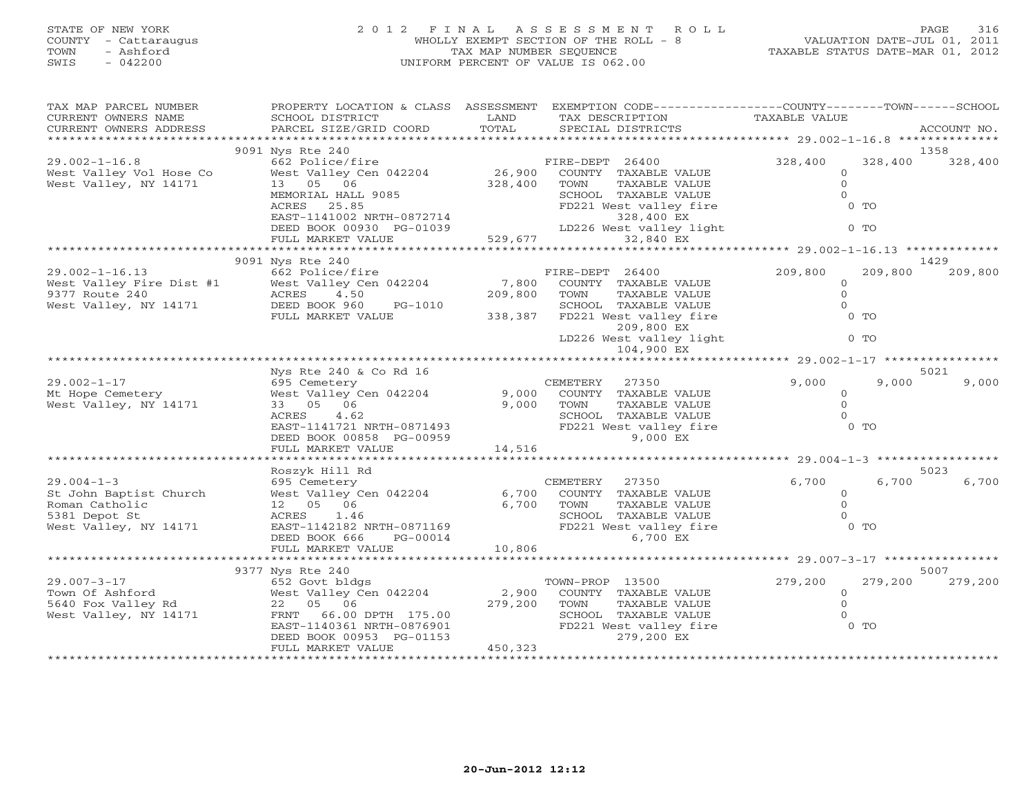# STATE OF NEW YORK 2 0 1 2 F I N A L A S S E S S M E N T R O L L PAGE 316 COUNTY - Cattaraugus WHOLLY EXEMPT SECTION OF THE ROLL - 8 VALUATION DATE-JUL 01, 2011 TOWN - Ashford TAX MAP NUMBER SEQUENCE TAXABLE STATUS DATE-MAR 01, 2012 SWIS - 042200 UNIFORM PERCENT OF VALUE IS 062.00

| TAX MAP PARCEL NUMBER                     | PROPERTY LOCATION & CLASS ASSESSMENT |         | EXEMPTION CODE-----------------COUNTY-------TOWN------SCHOOL |                      |         |               |
|-------------------------------------------|--------------------------------------|---------|--------------------------------------------------------------|----------------------|---------|---------------|
| CURRENT OWNERS NAME                       | SCHOOL DISTRICT                      | LAND    | TAX DESCRIPTION                                              | <b>TAXABLE VALUE</b> |         |               |
| CURRENT OWNERS ADDRESS                    | PARCEL SIZE/GRID COORD               | TOTAL   | SPECIAL DISTRICTS                                            |                      |         | ACCOUNT NO.   |
|                                           |                                      |         |                                                              |                      |         |               |
|                                           | 9091 Nys Rte 240                     |         |                                                              |                      |         | 1358          |
| $29.002 - 1 - 16.8$                       | 662 Police/fire                      |         | FIRE-DEPT 26400                                              | 328,400              | 328,400 | 328,400       |
| West Valley Vol Hose Co                   | West Valley Cen 042204               | 26,900  | COUNTY TAXABLE VALUE                                         | $\Omega$             |         |               |
| West Valley, NY 14171                     | 13 05 06                             | 328,400 | TAXABLE VALUE<br>TOWN                                        | $\Omega$             |         |               |
|                                           | MEMORIAL HALL 9085                   |         | SCHOOL TAXABLE VALUE                                         | $\Omega$             |         |               |
|                                           | ACRES<br>25.85                       |         | FD221 West valley fire                                       |                      | $0$ TO  |               |
|                                           | EAST-1141002 NRTH-0872714            |         | 328,400 EX                                                   |                      |         |               |
|                                           | DEED BOOK 00930 PG-01039             |         | LD226 West valley light                                      |                      | $0$ TO  |               |
|                                           | FULL MARKET VALUE                    | 529,677 | 32,840 EX                                                    |                      |         |               |
|                                           |                                      |         |                                                              |                      |         |               |
|                                           | 9091 Nys Rte 240                     |         |                                                              |                      |         | 1429          |
| $29.002 - 1 - 16.13$                      | 662 Police/fire                      |         | FIRE-DEPT 26400                                              | 209,800              | 209,800 | 209,800       |
| West Valley Fire Dist #1                  | West Valley Cen 042204               | 7,800   | COUNTY TAXABLE VALUE                                         | $\Omega$             |         |               |
| 9377 Route 240                            | ACRES<br>4.50                        | 209,800 | TAXABLE VALUE<br>TOWN                                        | $\Omega$             |         |               |
| West Valley, NY 14171                     | DEED BOOK 960<br>PG-1010             |         | SCHOOL TAXABLE VALUE                                         | $\Omega$             |         |               |
|                                           | FULL MARKET VALUE                    | 338,387 | FD221 West valley fire                                       |                      | $0$ TO  |               |
|                                           |                                      |         | 209,800 EX                                                   |                      |         |               |
|                                           |                                      |         | LD226 West valley light                                      |                      | $0$ TO  |               |
|                                           |                                      |         | 104,900 EX                                                   |                      |         |               |
|                                           |                                      |         |                                                              |                      |         |               |
| $29.002 - 1 - 17$                         | Nys Rte 240 & Co Rd 16               |         |                                                              | 9,000                | 9,000   | 5021<br>9,000 |
|                                           | 695 Cemetery                         | 9,000   | CEMETERY<br>27350<br>COUNTY TAXABLE VALUE                    | $\circ$              |         |               |
| Mt Hope Cemetery<br>West Valley, NY 14171 | West Valley Cen 042204<br>33 05 06   | 9,000   | TOWN<br>TAXABLE VALUE                                        | $\Omega$             |         |               |
|                                           | ACRES<br>4.62                        |         | SCHOOL TAXABLE VALUE                                         | $\Omega$             |         |               |
|                                           | EAST-1141721 NRTH-0871493            |         | FD221 West valley fire                                       |                      | $0$ TO  |               |
|                                           | DEED BOOK 00858 PG-00959             |         | 9,000 EX                                                     |                      |         |               |
|                                           | FULL MARKET VALUE                    | 14,516  |                                                              |                      |         |               |
|                                           |                                      |         |                                                              |                      |         |               |
|                                           | Roszyk Hill Rd                       |         |                                                              |                      |         | 5023          |
| $29.004 - 1 - 3$                          | 695 Cemetery                         |         | 27350<br>CEMETERY                                            | 6,700                | 6,700   | 6,700         |
| St John Baptist Church                    | West Valley Cen 042204               | 6,700   | COUNTY TAXABLE VALUE                                         | $\Omega$             |         |               |
| Roman Catholic                            | 12  05  06                           | 6,700   | TOWN<br>TAXABLE VALUE                                        | $\Omega$             |         |               |
| 5381 Depot St                             | ACRES<br>1.46                        |         | SCHOOL TAXABLE VALUE                                         | $\Omega$             |         |               |
| West Valley, NY 14171                     | EAST-1142182 NRTH-0871169            |         | FD221 West valley fire                                       |                      | $0$ TO  |               |
|                                           | DEED BOOK 666<br>PG-00014            |         | 6,700 EX                                                     |                      |         |               |
|                                           | FULL MARKET VALUE                    | 10,806  |                                                              |                      |         |               |
|                                           |                                      |         |                                                              |                      |         |               |
|                                           | 9377 Nys Rte 240                     |         |                                                              |                      |         | 5007          |
| $29.007 - 3 - 17$                         | 652 Govt bldgs                       |         | TOWN-PROP 13500                                              | 279,200              | 279,200 | 279,200       |
| Town Of Ashford                           | West Valley Cen 042204               | 2,900   | COUNTY TAXABLE VALUE                                         | $\circ$              |         |               |
| 5640 Fox Valley Rd                        | 22  05  06                           | 279,200 | TAXABLE VALUE<br>TOWN                                        | $\circ$              |         |               |
| West Valley, NY 14171                     | 66.00 DPTH 175.00<br>FRNT            |         | SCHOOL TAXABLE VALUE                                         | $\Omega$             |         |               |
|                                           | EAST-1140361 NRTH-0876901            |         | FD221 West valley fire                                       |                      | $0$ TO  |               |
|                                           | DEED BOOK 00953 PG-01153             |         | 279,200 EX                                                   |                      |         |               |
|                                           | FULL MARKET VALUE                    | 450,323 |                                                              |                      |         |               |
|                                           |                                      |         |                                                              |                      |         |               |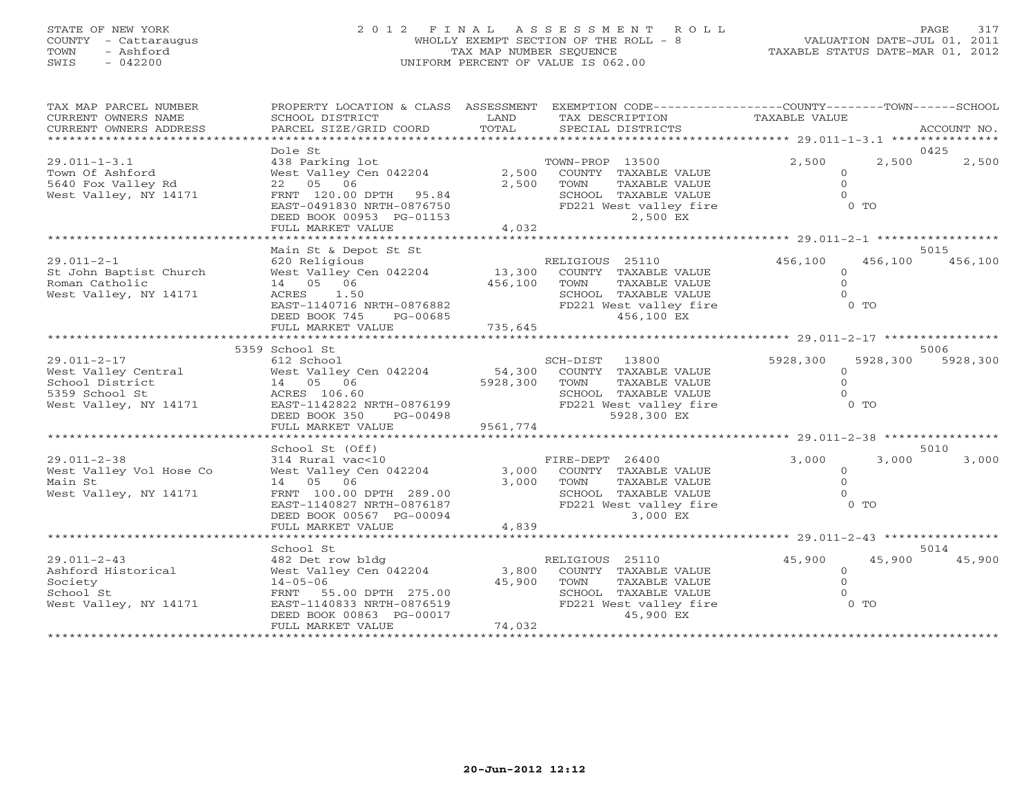# STATE OF NEW YORK 2 0 1 2 F I N A L A S S E S S M E N T R O L L PAGE 317 COUNTY - Cattaraugus WHOLLY EXEMPT SECTION OF THE ROLL - 8 VALUATION DATE-JUL 01, 2011 TOWN - Ashford TAX MAP NUMBER SEQUENCE TAXABLE STATUS DATE-MAR 01, 2012 SWIS - 042200 UNIFORM PERCENT OF VALUE IS 062.00UNIFORM PERCENT OF VALUE IS 062.00

| TAX MAP PARCEL NUMBER<br>CURRENT OWNERS NAME<br>CURRENT OWNERS ADDRESS<br>********************************** | PROPERTY LOCATION & CLASS ASSESSMENT<br>SCHOOL DISTRICT<br>PARCEL SIZE/GRID COORD                                                                                    | LAND                         | EXEMPTION CODE-----------------COUNTY-------TOWN------SCHOOL<br>TAX DESCRIPTION                                                         | TAXABLE VALUE                                                     |                      |
|--------------------------------------------------------------------------------------------------------------|----------------------------------------------------------------------------------------------------------------------------------------------------------------------|------------------------------|-----------------------------------------------------------------------------------------------------------------------------------------|-------------------------------------------------------------------|----------------------|
|                                                                                                              | Dole St                                                                                                                                                              |                              |                                                                                                                                         |                                                                   | 0425                 |
| $29.011 - 1 - 3.1$<br>Town Of Ashford<br>5640 Fox Valley Rd<br>West Valley, NY 14171                         | 438 Parking lot<br>West Valley Cen 042204<br>22 05 06<br>FRNT 120.00 DPTH 95.84<br>EAST-0491830 NRTH-0876750<br>DEED BOOK 00953 PG-01153<br>FULL MARKET VALUE        | 2,500<br>2,500<br>4,032      | TOWN-PROP 13500<br>COUNTY TAXABLE VALUE<br>TOWN<br>TAXABLE VALUE<br>SCHOOL TAXABLE VALUE<br>FD221 West valley fire<br>2,500 EX          | 2,500<br>$\Omega$<br>$\Omega$<br>$0$ TO                           | 2,500<br>2,500       |
|                                                                                                              | Main St & Depot St St                                                                                                                                                |                              |                                                                                                                                         |                                                                   | 5015                 |
| $29.011 - 2 - 1$<br>St John Baptist Church<br>Roman Catholic<br>West Valley, NY 14171                        | 620 Religious<br>West Valley Cen 042204<br>14  05  06<br>ACRES 1.50<br>EAST-1140716 NRTH-0876882<br>DEED BOOK 745<br>PG-00685<br>FULL MARKET VALUE                   | 13,300<br>456,100<br>735,645 | RELIGIOUS 25110<br>COUNTY TAXABLE VALUE<br>TOWN<br>TAXABLE VALUE<br>SCHOOL TAXABLE VALUE<br>FD221 West valley fire<br>456,100 EX        | 456,100<br>$\circ$<br>$\Omega$<br>$\Omega$<br>$0$ TO              | 456,100<br>456,100   |
|                                                                                                              | 5359 School St                                                                                                                                                       |                              |                                                                                                                                         |                                                                   | 5006                 |
| $29.011 - 2 - 17$<br>5359 School St<br>West Valley, NY 14171                                                 | 612 School<br>West Valley Cen 042204<br>ACRES 106.60<br>EAST-1142822 NRTH-0876199<br>DEED BOOK 350<br>PG-00498                                                       | 5928,300                     | SCH-DIST 13800<br>54,300 COUNTY TAXABLE VALUE<br>TAXABLE VALUE<br>TOWN<br>SCHOOL TAXABLE VALUE<br>FD221 West valley fire<br>5928,300 EX | 5928,300<br>$\circ$<br>$\Omega$<br>$\Omega$<br>$0$ TO             | 5928,300<br>5928,300 |
|                                                                                                              | FULL MARKET VALUE                                                                                                                                                    | 9561,774                     |                                                                                                                                         |                                                                   |                      |
|                                                                                                              | School St (Off)                                                                                                                                                      |                              |                                                                                                                                         |                                                                   | 5010                 |
| $29.011 - 2 - 38$<br>West Valley Vol Hose Co<br>Main St<br>West Valley, NY 14171                             | 314 Rural vac<10<br>West Valley Cen 042204<br>14 05 06<br>FRNT 100.00 DPTH 289.00<br>EAST-1140827 NRTH-0876187<br>DEED BOOK 00567 PG-00094                           | 3,000<br>3,000               | FIRE-DEPT 26400<br>COUNTY TAXABLE VALUE<br>TOWN<br>TAXABLE VALUE<br>SCHOOL TAXABLE VALUE<br>FD221 West valley fire<br>3,000 EX          | 3,000<br>$\overline{0}$<br>$\Omega$<br>$\Omega$<br>0 <sub>0</sub> | 3,000<br>3,000       |
|                                                                                                              | FULL MARKET VALUE                                                                                                                                                    | 4,839                        |                                                                                                                                         |                                                                   |                      |
|                                                                                                              | School St                                                                                                                                                            |                              |                                                                                                                                         |                                                                   | 5014                 |
| $29.011 - 2 - 43$<br>Ashford Historical<br>Society<br>School St<br>West Valley, NY 14171                     | 482 Det row bldg<br>West Valley Cen 042204<br>$14 - 05 - 06$<br>FRNT 55.00 DPTH 275.00<br>EAST-1140833 NRTH-0876519<br>DEED BOOK 00863 PG-00017<br>FULL MARKET VALUE | 3,800<br>45,900<br>74,032    | RELIGIOUS 25110<br>COUNTY TAXABLE VALUE<br>TOWN<br>TAXABLE VALUE<br>SCHOOL TAXABLE VALUE<br>FD221 West valley fire<br>45,900 EX         | 45,900<br>$\circ$<br>$\Omega$<br>$\Omega$<br>$0$ TO               | 45,900<br>45,900     |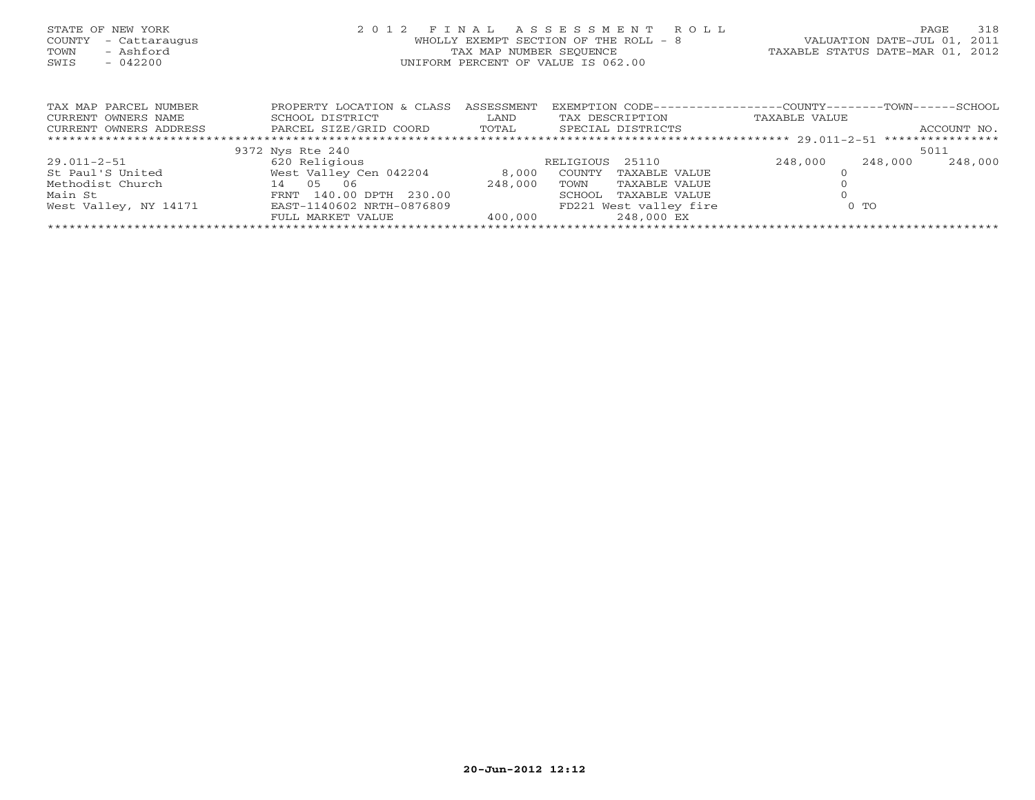| STATE OF NEW YORK<br>COUNTY<br>- Cattaraugus<br>- Ashford<br>TOWN<br>SWIS<br>$-042200$ | 2012                                                                         |                    | FINAL ASSESSMENT ROLL<br>WHOLLY EXEMPT SECTION OF THE ROLL - 8<br>TAX MAP NUMBER SEOUENCE<br>UNIFORM PERCENT OF VALUE IS 062.00 |               | 318<br>PAGE<br>VALUATION DATE-JUL 01, 2011<br>TAXABLE STATUS DATE-MAR 01, 2012 |
|----------------------------------------------------------------------------------------|------------------------------------------------------------------------------|--------------------|---------------------------------------------------------------------------------------------------------------------------------|---------------|--------------------------------------------------------------------------------|
| TAX MAP PARCEL NUMBER<br>CURRENT OWNERS NAME<br>CURRENT OWNERS ADDRESS                 | PROPERTY LOCATION & CLASS<br>SCHOOL DISTRICT<br>PARCEL SIZE/GRID COORD TOTAL | ASSESSMENT<br>LAND | EXEMPTION CODE-----------------COUNTY-------TOWN------SCHOOL<br>TAX DESCRIPTION<br>SPECIAL DISTRICTS                            | TAXABLE VALUE | ACCOUNT NO.                                                                    |
|                                                                                        |                                                                              |                    |                                                                                                                                 |               |                                                                                |
|                                                                                        | 9372 Nys Rte 240                                                             |                    |                                                                                                                                 |               | 5011                                                                           |
| 29.011-2-51                                                                            | 620 Religious                                                                |                    | RELIGIOUS 25110                                                                                                                 | 248,000       | 248,000<br>248,000                                                             |
| St Paul'S United                                                                       | West Valley Cen 042204                                                       | 8,000              | COUNTY<br>TAXABLE VALUE                                                                                                         |               |                                                                                |
| Methodist Church                                                                       | 14 05 06                                                                     | 248,000            | TOWN<br>TAXABLE VALUE                                                                                                           |               |                                                                                |
| Main St                                                                                | FRNT 140.00 DPTH 230.00                                                      |                    | SCHOOL<br>TAXABLE VALUE                                                                                                         |               |                                                                                |
| West Valley, NY 14171                                                                  | EAST-1140602 NRTH-0876809                                                    |                    | FD221 West valley fire                                                                                                          | $0$ TO        |                                                                                |

FULL MARKET VALUE 400,000 248,000 EX \*\*\*\*\*\*\*\*\*\*\*\*\*\*\*\*\*\*\*\*\*\*\*\*\*\*\*\*\*\*\*\*\*\*\*\*\*\*\*\*\*\*\*\*\*\*\*\*\*\*\*\*\*\*\*\*\*\*\*\*\*\*\*\*\*\*\*\*\*\*\*\*\*\*\*\*\*\*\*\*\*\*\*\*\*\*\*\*\*\*\*\*\*\*\*\*\*\*\*\*\*\*\*\*\*\*\*\*\*\*\*\*\*\*\*\*\*\*\*\*\*\*\*\*\*\*\*\*\*\*\*\*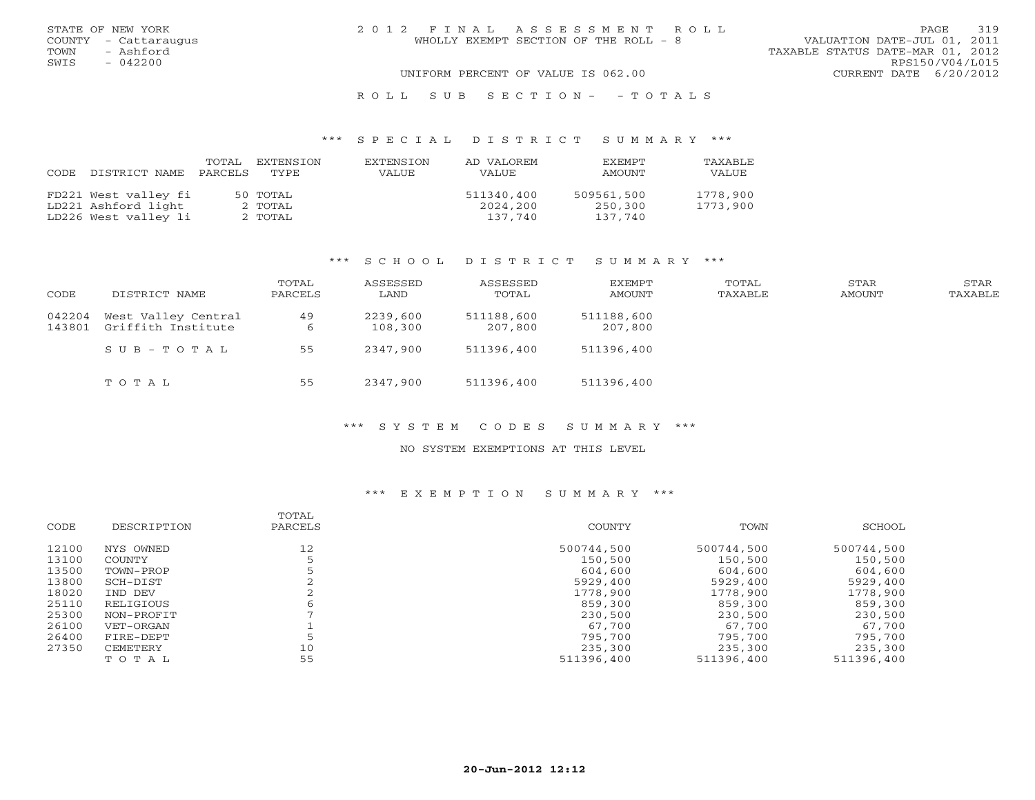| STATE OF NEW YORK    | 2012 FINAL ASSESSMENT ROLL            | 319<br><b>PAGE</b>               |
|----------------------|---------------------------------------|----------------------------------|
| COUNTY - Cattaraugus | WHOLLY EXEMPT SECTION OF THE ROLL - 8 | VALUATION DATE-JUL 01, 2011      |
| TOWN<br>- Ashford    |                                       | TAXABLE STATUS DATE-MAR 01, 2012 |
| SWIS<br>$-042200$    |                                       | RPS150/V04/L015                  |
|                      | UNIFORM PERCENT OF VALUE IS 062.00    | CURRENT DATE 6/20/2012           |
|                      |                                       |                                  |

# R O L L S U B S E C T I O N - - T O T A L S

#### \*\*\* S P E C I A L D I S T R I C T S U M M A R Y \*\*\*

| CODE DISTRICT NAME   | TOTAL<br>PARCELS | EXTENSTON<br>TYPE. | EXTENSION<br>VALUE | AD VALOREM<br>VALUE | <b>EXEMPT</b><br>AMOUNT | TAXABLE<br>VALUE |
|----------------------|------------------|--------------------|--------------------|---------------------|-------------------------|------------------|
| FD221 West valley fi |                  | 50 TOTAL           |                    | 511340,400          | 509561,500              | 1778,900         |
| LD221 Ashford light  |                  | 2 TOTAL            |                    | 2024,200            | 250,300                 | 1773,900         |
| LD226 West valley li |                  | 2 TOTAL            |                    | 137,740             | 137,740                 |                  |

#### \*\*\* S C H O O L D I S T R I C T S U M M A R Y \*\*\*

| CODE             | DISTRICT NAME                             | TOTAL<br>PARCELS | ASSESSED<br>LAND    | ASSESSED<br>TOTAL     | <b>EXEMPT</b><br>AMOUNT | TOTAL<br>TAXABLE | STAR<br><b>AMOUNT</b> | STAR<br>TAXABLE |
|------------------|-------------------------------------------|------------------|---------------------|-----------------------|-------------------------|------------------|-----------------------|-----------------|
| 042204<br>143801 | West Valley Central<br>Griffith Institute | 49<br>6          | 2239,600<br>108,300 | 511188,600<br>207,800 | 511188,600<br>207,800   |                  |                       |                 |
|                  | SUB-TOTAL                                 | 55               | 2347,900            | 511396,400            | 511396,400              |                  |                       |                 |
|                  | TOTAL                                     | 55               | 2347,900            | 511396,400            | 511396,400              |                  |                       |                 |

# \*\*\* S Y S T E M C O D E S S U M M A R Y \*\*\*

#### NO SYSTEM EXEMPTIONS AT THIS LEVEL

#### \*\*\* E X E M P T I O N S U M M A R Y \*\*\*

| CODE  | DESCRIPTION | TOTAL<br>PARCELS | COUNTY     | TOWN       | SCHOOL     |
|-------|-------------|------------------|------------|------------|------------|
| 12100 | NYS OWNED   | 12               | 500744,500 | 500744,500 | 500744,500 |
| 13100 | COUNTY      |                  | 150,500    | 150,500    | 150,500    |
| 13500 | TOWN-PROP   |                  | 604,600    | 604,600    | 604,600    |
| 13800 | SCH-DIST    |                  | 5929,400   | 5929,400   | 5929,400   |
| 18020 | IND DEV     |                  | 1778,900   | 1778,900   | 1778,900   |
| 25110 | RELIGIOUS   |                  | 859,300    | 859,300    | 859,300    |
| 25300 | NON-PROFIT  |                  | 230,500    | 230,500    | 230,500    |
| 26100 | VET-ORGAN   |                  | 67,700     | 67,700     | 67,700     |
| 26400 | FIRE-DEPT   |                  | 795,700    | 795,700    | 795,700    |
| 27350 | CEMETERY    | 10               | 235,300    | 235,300    | 235,300    |
|       | TOTAL       | 55               | 511396,400 | 511396,400 | 511396,400 |
|       |             |                  |            |            |            |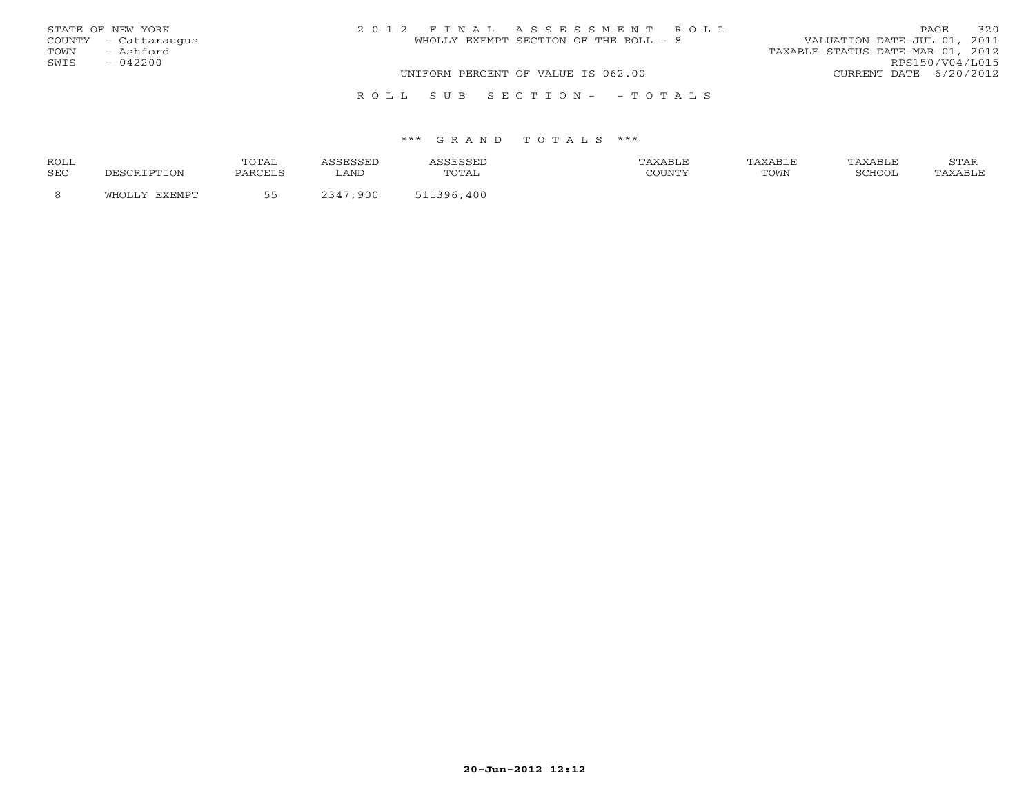|      | STATE OF NEW YORK    | 2012 FINAL ASSESSMENT ROLL            | 320<br>PAGE.                     |
|------|----------------------|---------------------------------------|----------------------------------|
|      | COUNTY - Cattaraugus | WHOLLY EXEMPT SECTION OF THE ROLL - 8 | VALUATION DATE-JUL 01, 2011      |
| TOWN | - Ashford            |                                       | TAXABLE STATUS DATE-MAR 01, 2012 |
| SWIS | $-042200$            |                                       | RPS150/V04/L015                  |
|      |                      | UNIFORM PERCENT OF VALUE IS 062.00    | CURRENT DATE 6/20/2012           |
|      |                      | ROLL SUB SECTION- - TOTALS            |                                  |

| ROLL       |                     | TOTAI   |      |              | AXABLE | AXABLE | TAXABLE | <b>CERT</b><br>ת בתוכ |
|------------|---------------------|---------|------|--------------|--------|--------|---------|-----------------------|
| <b>SEC</b> | TON T <sup>or</sup> | PARCELS | LAND | utal         | COUNTY | TOWN   | SCHOOI  |                       |
|            | ுப∩ ப               | _ _     | 900  | 400<br>। २१६ |        |        |         |                       |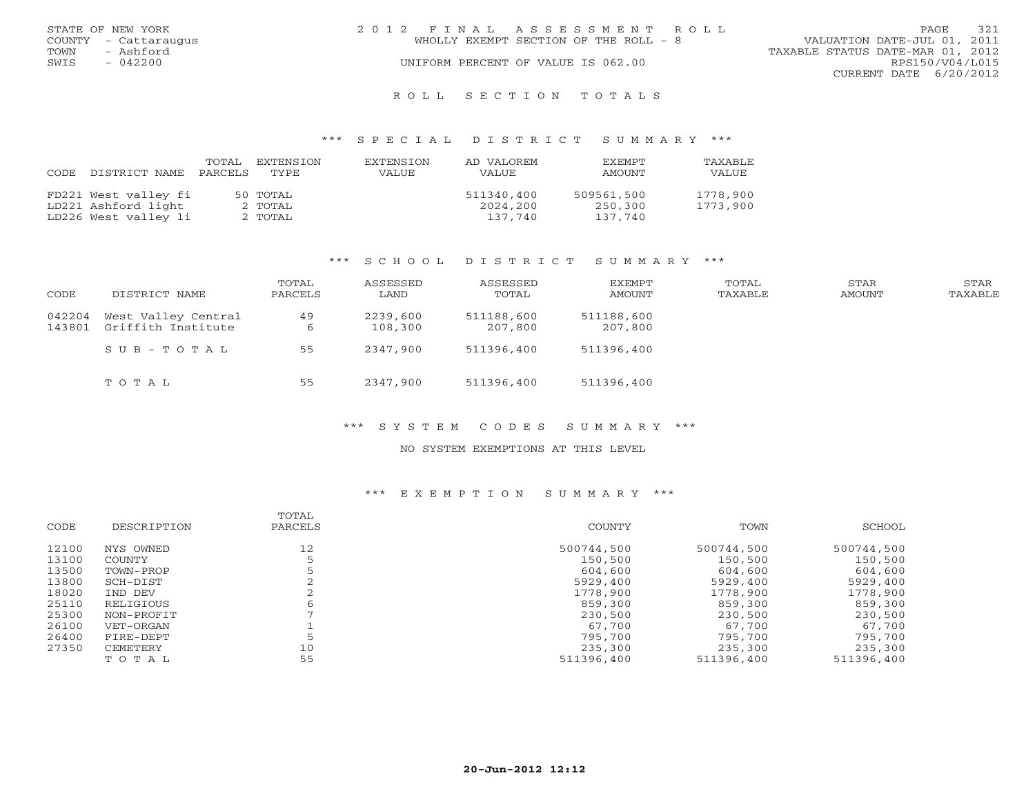|      | STATE OF NEW YORK    | 2012 FINAL ASSESSMENT ROLL            | PAGE.                       | 321 |
|------|----------------------|---------------------------------------|-----------------------------|-----|
|      | COUNTY - Cattaraugus | WHOLLY EXEMPT SECTION OF THE ROLL - 8 | VALUATION DATE-JUL 01, 2011 |     |
| TOWN | - Ashford            | TAXABLE STATUS DATE-MAR 01, 2012      |                             |     |
| SWIS | $-042200$            | UNIFORM PERCENT OF VALUE IS 062.00    | RPS150/V04/L015             |     |
|      |                      |                                       | CURRENT DATE 6/20/2012      |     |
|      |                      |                                       |                             |     |

#### R O L L S E C T I O N T O T A L S

#### \*\*\* S P E C I A L D I S T R I C T S U M M A R Y \*\*\*

| CODE | DISTRICT NAME        | TOTAL<br>PARCELS | EXTENSTON<br>TYPE | EXTENSION<br><b>VALUE</b> | AD VALOREM<br><b>VALUE</b> | <b>EXEMPT</b><br>AMOUNT | TAXABLE<br>VALUE |
|------|----------------------|------------------|-------------------|---------------------------|----------------------------|-------------------------|------------------|
|      | FD221 West valley fi |                  | 50 TOTAL          |                           | 511340,400                 | 509561,500              | 1778,900         |
|      | LD221 Ashford light  |                  | 2 TOTAL           |                           | 2024,200                   | 250,300                 | 1773,900         |
|      | LD226 West valley li |                  | 2 TOTAL           |                           | 137,740                    | 137,740                 |                  |

#### \*\*\* S C H O O L D I S T R I C T S U M M A R Y \*\*\*

| CODE             | DISTRICT NAME                             | TOTAL<br>PARCELS | ASSESSED<br>LAND    | ASSESSED<br>TOTAL     | <b>EXEMPT</b><br>AMOUNT | TOTAL<br>TAXABLE | STAR<br>AMOUNT | STAR<br>TAXABLE |
|------------------|-------------------------------------------|------------------|---------------------|-----------------------|-------------------------|------------------|----------------|-----------------|
| 042204<br>143801 | West Valley Central<br>Griffith Institute | 49<br>6          | 2239,600<br>108,300 | 511188,600<br>207,800 | 511188,600<br>207,800   |                  |                |                 |
|                  | SUB-TOTAL                                 | 55               | 2347,900            | 511396,400            | 511396,400              |                  |                |                 |
|                  | TOTAL                                     | 55               | 2347,900            | 511396,400            | 511396,400              |                  |                |                 |

## \*\*\* S Y S T E M C O D E S S U M M A R Y \*\*\*

#### NO SYSTEM EXEMPTIONS AT THIS LEVEL

#### \*\*\* E X E M P T I O N S U M M A R Y \*\*\*

| CODE  | DESCRIPTION     | TOTAL<br>PARCELS | COUNTY     | TOWN       | SCHOOL     |
|-------|-----------------|------------------|------------|------------|------------|
| 12100 | NYS OWNED       | 12               | 500744,500 | 500744,500 | 500744,500 |
| 13100 | COUNTY          |                  | 150,500    | 150,500    | 150,500    |
| 13500 | TOWN-PROP       |                  | 604,600    | 604,600    | 604,600    |
| 13800 | SCH-DIST        |                  | 5929,400   | 5929,400   | 5929,400   |
| 18020 | IND DEV         |                  | 1778,900   | 1778,900   | 1778,900   |
| 25110 | RELIGIOUS       |                  | 859,300    | 859,300    | 859,300    |
| 25300 | NON-PROFIT      |                  | 230,500    | 230,500    | 230,500    |
| 26100 | VET-ORGAN       |                  | 67,700     | 67,700     | 67,700     |
| 26400 | FIRE-DEPT       |                  | 795,700    | 795,700    | 795,700    |
| 27350 | <b>CEMETERY</b> | 10               | 235,300    | 235,300    | 235,300    |
|       | TOTAL           | 55               | 511396,400 | 511396,400 | 511396,400 |
|       |                 |                  |            |            |            |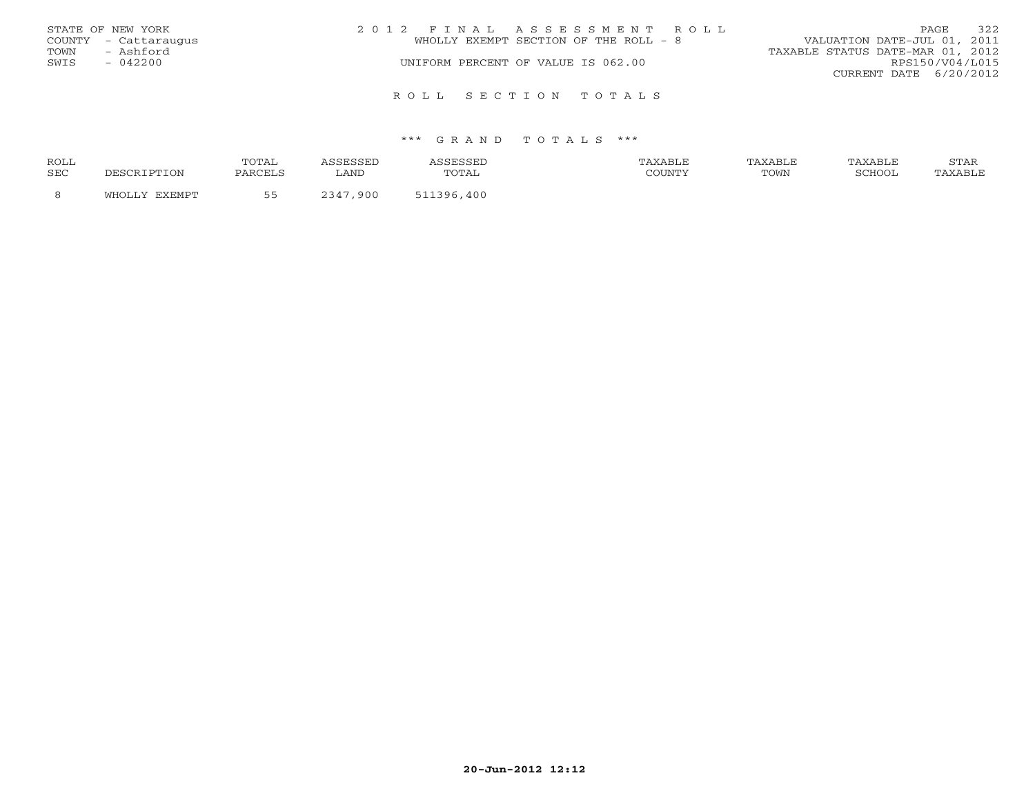|      | STATE OF NEW YORK    | 2012 FINAL ASSESSMENT ROLL            | PAGE                             | 322             |
|------|----------------------|---------------------------------------|----------------------------------|-----------------|
|      | COUNTY - Cattaraugus | WHOLLY EXEMPT SECTION OF THE ROLL - 8 | VALUATION DATE-JUL 01, 2011      |                 |
| TOWN | - Ashford            |                                       | TAXABLE STATUS DATE-MAR 01, 2012 |                 |
| SWIS | $-042200$            | UNIFORM PERCENT OF VALUE IS 062.00    |                                  | RPS150/V04/L015 |
|      |                      |                                       | CURRENT DATE $6/20/2012$         |                 |
|      |                      | ROLL SECTION TOTALS                   |                                  |                 |

| ROLL |             | ͲϹͲϪͳ   |      |            | 'AXABLF | 'AXABLE | TAXABLE | $C$ m $\lambda$ T |
|------|-------------|---------|------|------------|---------|---------|---------|-------------------|
| SEC  | DESCRIPTION | PARCELS | LAND | TOTAL      | COUNTY  | TOWN    | SCHOOL  |                   |
|      |             |         | 900  | 400<br>396 |         |         |         |                   |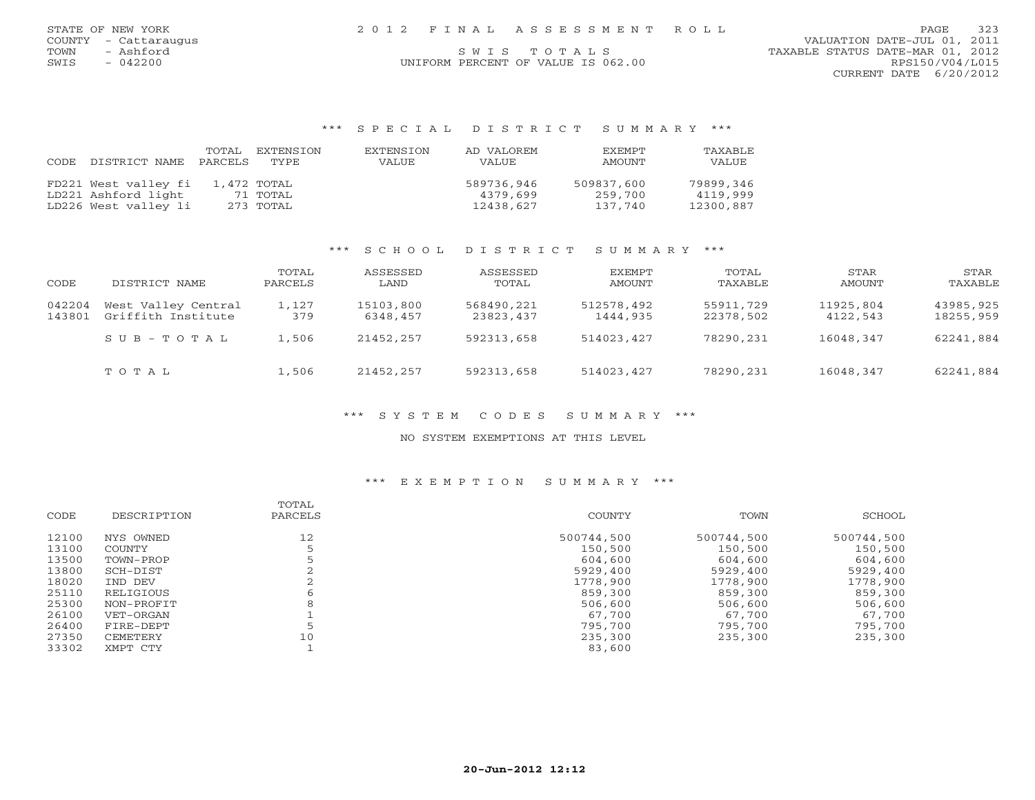COUNTY - Cattaraugus VALUATION DATE-JUL 01, 2011 TOWN - Ashford **S W I S T O T A L S** T O T A L S TAXABLE STATUS DATE-MAR 01, 2012 CURRENT DATE 6/20/2012

# SWIS - 042200 UNIFORM PERCENT OF VALUE IS 062.00 RPS150/V04/L015

### \*\*\* S P E C I A L D I S T R I C T S U M M A R Y \*\*\*

| CODE. | DISTRICT NAME                               | TOTAL<br>PARCELS | EXTENSION<br>TYPE | EXTENSION<br>VALUE | AD VALOREM<br>VALUE    | <b>FXEMPT</b><br>AMOUNT | TAXABLE<br>VALUE      |
|-------|---------------------------------------------|------------------|-------------------|--------------------|------------------------|-------------------------|-----------------------|
|       | FD221 West valley fi<br>LD221 Ashford light | 1,472 TOTAL      | 71 TOTAL          |                    | 589736,946<br>4379,699 | 509837,600<br>259.700   | 79899,346<br>4119,999 |
|       | LD226 West valley li                        |                  | 273 TOTAL         |                    | 12438,627              | 137.740                 | 12300,887             |

### \*\*\* S C H O O L D I S T R I C T S U M M A R Y \*\*\*

| CODE             | DISTRICT NAME                             | TOTAL<br>PARCELS     | ASSESSED<br>LAND      | ASSESSED<br>TOTAL       | EXEMPT<br>AMOUNT       | TOTAL<br>TAXABLE       | STAR<br>AMOUNT        | STAR<br>TAXABLE        |
|------------------|-------------------------------------------|----------------------|-----------------------|-------------------------|------------------------|------------------------|-----------------------|------------------------|
| 042204<br>143801 | West Valley Central<br>Griffith Institute | $\perp$ , 127<br>379 | 15103,800<br>6348,457 | 568490,221<br>23823,437 | 512578,492<br>1444,935 | 55911,729<br>22378,502 | 11925,804<br>4122,543 | 43985,925<br>18255,959 |
|                  | $SUB - TO T AL$                           | 1,506                | 21452,257             | 592313,658              | 514023,427             | 78290,231              | 16048,347             | 62241,884              |
|                  | TOTAL                                     | 1,506                | 21452,257             | 592313,658              | 514023,427             | 78290,231              | 16048,347             | 62241,884              |

### \*\*\* S Y S T E M C O D E S S U M M A R Y \*\*\*

### NO SYSTEM EXEMPTIONS AT THIS LEVEL

### \*\*\* E X E M P T I O N S U M M A R Y \*\*\*

|       |             | TOTAL   |            |            |            |
|-------|-------------|---------|------------|------------|------------|
| CODE  | DESCRIPTION | PARCELS | COUNTY     | TOWN       | SCHOOL     |
| 12100 | NYS OWNED   | 12      | 500744,500 | 500744,500 | 500744,500 |
| 13100 | COUNTY      |         | 150,500    | 150,500    | 150,500    |
| 13500 | TOWN-PROP   |         | 604,600    | 604,600    | 604,600    |
| 13800 | SCH-DIST    |         | 5929,400   | 5929,400   | 5929,400   |
| 18020 | IND DEV     |         | 1778,900   | 1778,900   | 1778,900   |
| 25110 | RELIGIOUS   |         | 859,300    | 859,300    | 859,300    |
| 25300 | NON-PROFIT  | 8       | 506,600    | 506,600    | 506,600    |
| 26100 | VET-ORGAN   |         | 67,700     | 67,700     | 67,700     |
| 26400 | FIRE-DEPT   |         | 795,700    | 795,700    | 795,700    |
| 27350 | CEMETERY    | 10      | 235,300    | 235,300    | 235,300    |
| 33302 | XMPT CTY    |         | 83,600     |            |            |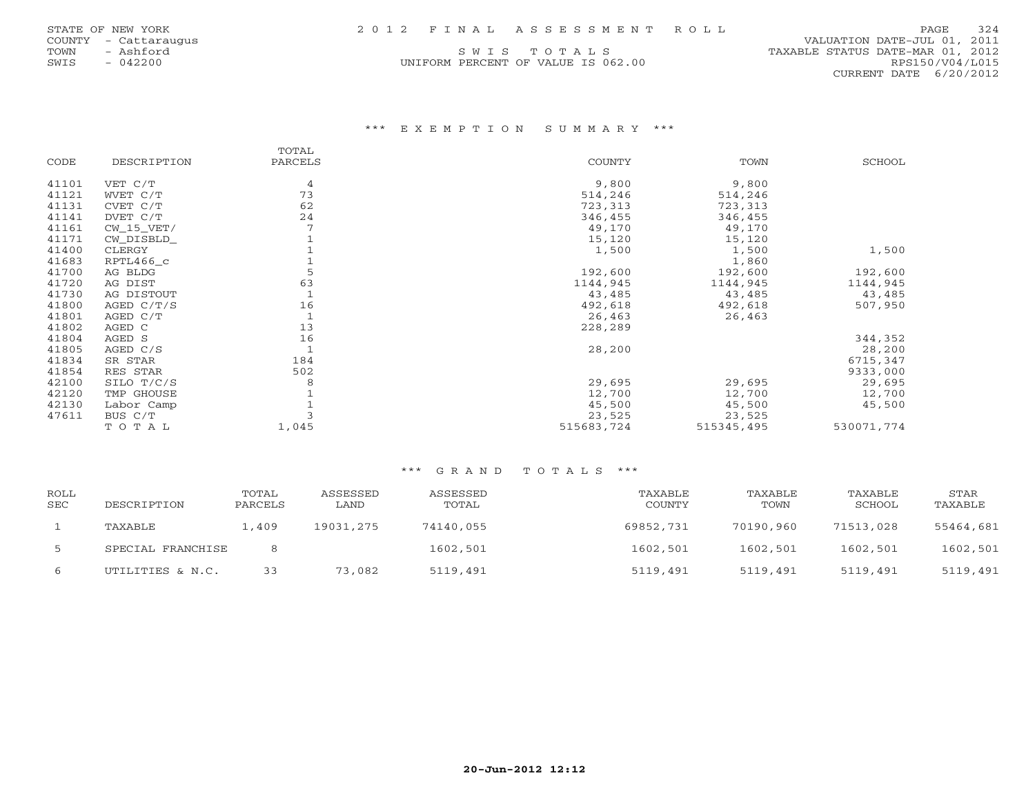| STATE OF NEW YORK | 2012 FINAL ASSESSMENT ROLL | PAGE 324 |  |
|-------------------|----------------------------|----------|--|
|                   |                            |          |  |

UNIFORM PERCENT OF VALUE IS 062.00 RPS150/V04/L015

### \*\*\* E X E M P T I O N S U M M A R Y \*\*\*

|       |              | TOTAL        |               |            |            |
|-------|--------------|--------------|---------------|------------|------------|
| CODE  | DESCRIPTION  | PARCELS      | <b>COUNTY</b> | TOWN       | SCHOOL     |
| 41101 | VET C/T      | 4            | 9,800         | 9,800      |            |
| 41121 | WVET C/T     | 73           | 514,246       | 514,246    |            |
| 41131 | CVET C/T     | 62           | 723,313       | 723,313    |            |
| 41141 | DVET C/T     | 24           | 346,455       | 346,455    |            |
| 41161 | $CW_15_VET/$ |              | 49,170        | 49,170     |            |
| 41171 | CW DISBLD    |              | 15,120        | 15,120     |            |
| 41400 | CLERGY       |              | 1,500         | 1,500      | 1,500      |
| 41683 | RPTL466_c    |              |               | 1,860      |            |
| 41700 | AG BLDG      |              | 192,600       | 192,600    | 192,600    |
| 41720 | AG DIST      | 63           | 1144,945      | 1144,945   | 1144,945   |
| 41730 | AG DISTOUT   | $\mathbf{1}$ | 43,485        | 43,485     | 43,485     |
| 41800 | AGED $C/T/S$ | 16           | 492,618       | 492,618    | 507,950    |
| 41801 | AGED C/T     | $\mathbf{1}$ | 26,463        | 26,463     |            |
| 41802 | AGED C       | 13           | 228,289       |            |            |
| 41804 | AGED S       | 16           |               |            | 344,352    |
| 41805 | AGED C/S     | $\mathbf{1}$ | 28,200        |            | 28,200     |
| 41834 | SR STAR      | 184          |               |            | 6715,347   |
| 41854 | RES STAR     | 502          |               |            | 9333,000   |
| 42100 | SILO T/C/S   | 8            | 29,695        | 29,695     | 29,695     |
| 42120 | TMP GHOUSE   |              | 12,700        | 12,700     | 12,700     |
| 42130 | Labor Camp   |              | 45,500        | 45,500     | 45,500     |
| 47611 | BUS C/T      |              | 23,525        | 23,525     |            |
|       | TOTAL        | 1,045        | 515683,724    | 515345,495 | 530071,774 |
|       |              |              |               |            |            |

| ROLL<br><b>SEC</b> | DESCRIPTION       | TOTAL<br>PARCELS | ASSESSED<br>LAND | ASSESSED<br>TOTAL | TAXABLE<br>COUNTY | TAXABLE<br>TOWN | TAXABLE<br>SCHOOL | STAR<br>TAXABLE |
|--------------------|-------------------|------------------|------------------|-------------------|-------------------|-----------------|-------------------|-----------------|
|                    | TAXABLE           | 1,409            | 19031,275        | 74140,055         | 69852,731         | 70190,960       | 71513,028         | 55464,681       |
|                    | SPECIAL FRANCHISE |                  |                  | 1602,501          | 1602,501          | 1602,501        | 1602,501          | 1602,501        |
| 6                  | UTILITIES & N.C.  | 33               | 73,082           | 5119,491          | 5119,491          | 5119,491        | 5119,491          | 5119,491        |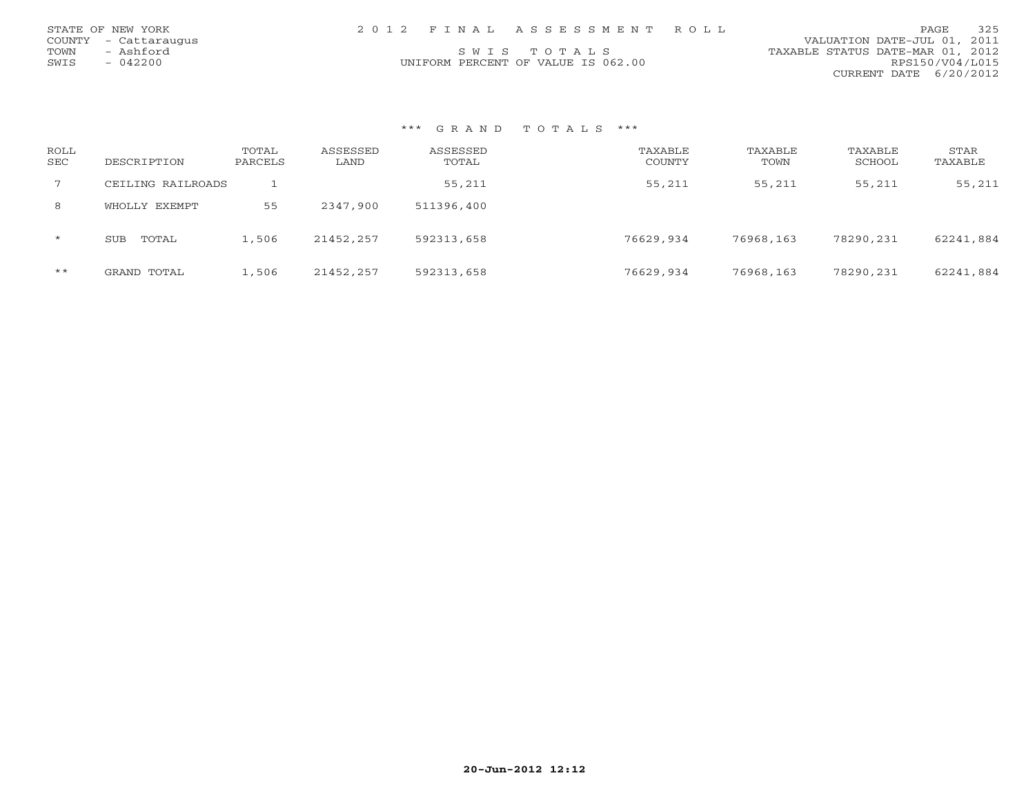|      | STATE OF NEW YORK    |  | 2012 FINAL ASSESSMENT ROLL         |                                  | PAGE            | 325 |
|------|----------------------|--|------------------------------------|----------------------------------|-----------------|-----|
|      | COUNTY - Cattaraugus |  |                                    | VALUATION DATE-JUL 01, 2011      |                 |     |
| TOWN | - Ashford            |  | SWIS TOTALS                        | TAXABLE STATUS DATE-MAR 01, 2012 |                 |     |
| SWIS | $-042200$            |  | UNIFORM PERCENT OF VALUE IS 062.00 |                                  | RPS150/V04/L015 |     |
|      |                      |  |                                    | CURRENT DATE 6/20/2012           |                 |     |

## \*\*\* G R A N D T O T A L S \*\*\*

| ROLL<br><b>SEC</b> | DESCRIPTION         | TOTAL<br>PARCELS | ASSESSED<br>LAND | ASSESSED<br>TOTAL | TAXABLE<br>COUNTY | TAXABLE<br>TOWN | TAXABLE<br>SCHOOL | STAR<br>TAXABLE |
|--------------------|---------------------|------------------|------------------|-------------------|-------------------|-----------------|-------------------|-----------------|
|                    | CEILING RAILROADS   |                  |                  | 55,211            | 55,211            | 55,211          | 55,211            | 55,211          |
| 8                  | WHOLLY EXEMPT       | 55               | 2347,900         | 511396,400        |                   |                 |                   |                 |
| $\star$            | TOTAL<br><b>SUB</b> | 1,506            | 21452,257        | 592313,658        | 76629,934         | 76968,163       | 78290,231         | 62241,884       |
| $***$              | GRAND TOTAL         | 1,506            | 21452,257        | 592313,658        | 76629,934         | 76968,163       | 78290,231         | 62241,884       |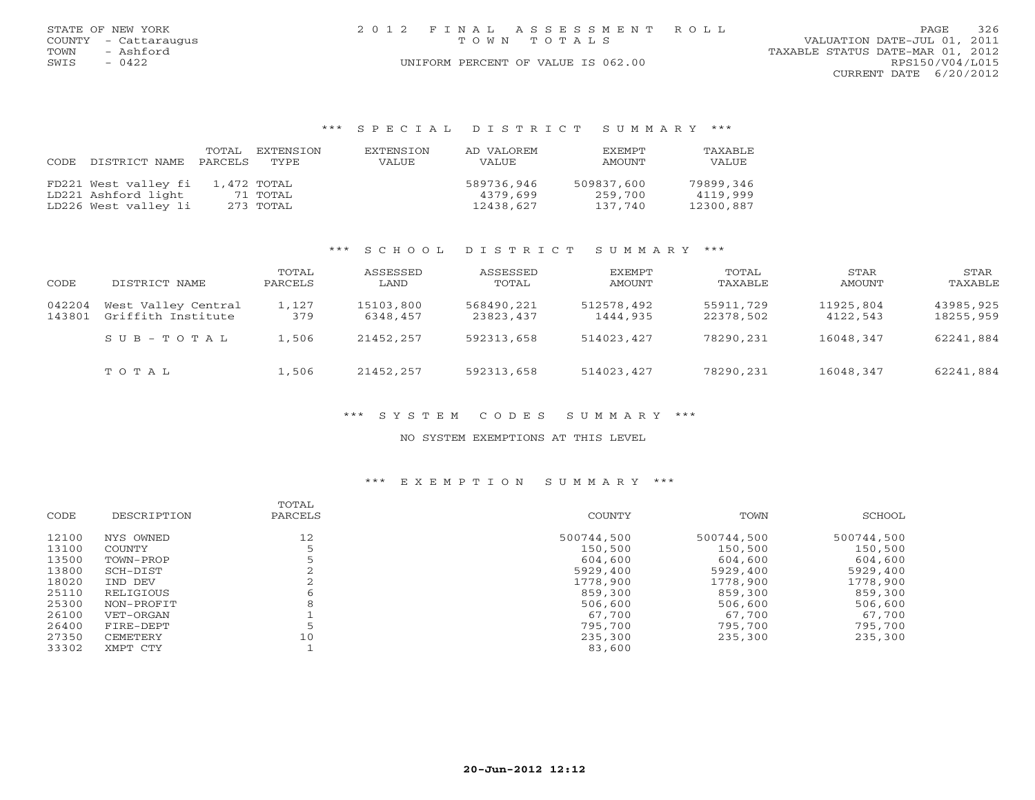|      | STATE OF NEW YORK    | 2012 FINAL ASSESSMENT ROLL         |                                  | PAGE | 326 |
|------|----------------------|------------------------------------|----------------------------------|------|-----|
|      | COUNTY - Cattaraugus | TOWN TOTALS                        | VALUATION DATE-JUL 01, 2011      |      |     |
| TOWN | - Ashford            |                                    | TAXABLE STATUS DATE-MAR 01, 2012 |      |     |
| SWIS | 0422                 | UNIFORM PERCENT OF VALUE IS 062.00 | RPS150/V04/L015                  |      |     |
|      |                      |                                    | CURRENT DATE $6/20/2012$         |      |     |

### \*\*\* S P E C I A L D I S T R I C T S U M M A R Y \*\*\*

| CODE DISTRICT NAME   | TOTAL<br>PARCELS | EXTENSTON<br>TYPE | <b>EXTENSION</b><br>VALUE | AD VALOREM<br><b>VALUE</b> | <b>FXFMPT</b><br>AMOUNT | <b>TAXABLE</b><br>VALUE |
|----------------------|------------------|-------------------|---------------------------|----------------------------|-------------------------|-------------------------|
| FD221 West valley fi | 1,472 TOTAL      |                   |                           | 589736,946                 | 509837,600              | 79899,346               |
| LD221 Ashford light  |                  | 71 TOTAL          |                           | 4379,699                   | 259,700                 | 4119,999                |
| LD226 West valley li |                  | 273 TOTAL         |                           | 12438,627                  | 137,740                 | 12300,887               |

## \*\*\* S C H O O L D I S T R I C T S U M M A R Y \*\*\*

| CODE             | DISTRICT NAME                             | TOTAL<br>PARCELS | ASSESSED<br>LAND      | ASSESSED<br>TOTAL       | EXEMPT<br>AMOUNT       | TOTAL<br>TAXABLE       | STAR<br>AMOUNT        | STAR<br>TAXABLE        |
|------------------|-------------------------------------------|------------------|-----------------------|-------------------------|------------------------|------------------------|-----------------------|------------------------|
| 042204<br>143801 | West Valley Central<br>Griffith Institute | 1,127<br>379     | 15103,800<br>6348,457 | 568490,221<br>23823,437 | 512578,492<br>1444,935 | 55911,729<br>22378,502 | 11925,804<br>4122,543 | 43985,925<br>18255,959 |
|                  | SUB-TOTAL                                 | 1,506            | 21452,257             | 592313,658              | 514023,427             | 78290,231              | 16048,347             | 62241,884              |
|                  | TOTAL                                     | 1,506            | 21452,257             | 592313,658              | 514023,427             | 78290,231              | 16048,347             | 62241,884              |

## \*\*\* S Y S T E M C O D E S S U M M A R Y \*\*\*

# NO SYSTEM EXEMPTIONS AT THIS LEVEL

## \*\*\* E X E M P T I O N S U M M A R Y \*\*\*

|       |             | TOTAL   |            |            |            |
|-------|-------------|---------|------------|------------|------------|
| CODE  | DESCRIPTION | PARCELS | COUNTY     | TOWN       | SCHOOL     |
| 12100 | NYS OWNED   | 12      | 500744,500 | 500744,500 | 500744,500 |
| 13100 | COUNTY      |         | 150,500    | 150,500    | 150,500    |
| 13500 | TOWN-PROP   |         | 604,600    | 604,600    | 604,600    |
| 13800 | SCH-DIST    |         | 5929,400   | 5929,400   | 5929,400   |
| 18020 | IND DEV     |         | 1778,900   | 1778,900   | 1778,900   |
| 25110 | RELIGIOUS   |         | 859,300    | 859,300    | 859,300    |
| 25300 | NON-PROFIT  |         | 506,600    | 506,600    | 506,600    |
| 26100 | VET-ORGAN   |         | 67,700     | 67,700     | 67,700     |
| 26400 | FIRE-DEPT   |         | 795,700    | 795,700    | 795,700    |
| 27350 | CEMETERY    | 10      | 235,300    | 235,300    | 235,300    |
| 33302 | XMPT CTY    |         | 83,600     |            |            |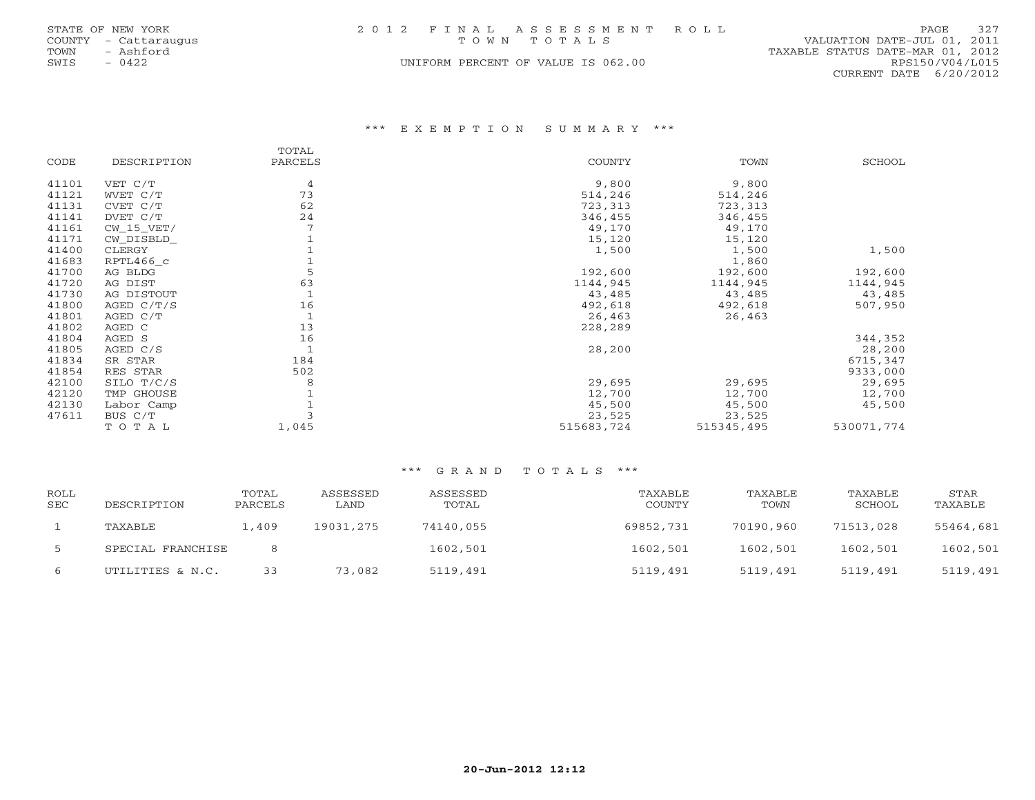|      | STATE OF NEW YORK    | 2012 FINAL ASSESSMENT ROLL         | PAGE                        | 327 |
|------|----------------------|------------------------------------|-----------------------------|-----|
|      | COUNTY - Cattaraugus | TOWN TOTALS                        | VALUATION DATE-JUL 01, 2011 |     |
| TOWN | - Ashford            | TAXABLE STATUS DATE-MAR 01, 2012   |                             |     |
| SWIS | $-0422$              | UNIFORM PERCENT OF VALUE IS 062.00 | RPS150/V04/L015             |     |
|      |                      |                                    | CURRENT DATE 6/20/2012      |     |

## \*\*\* E X E M P T I O N S U M M A R Y \*\*\*

|       |              | TOTAL   |               |            |            |
|-------|--------------|---------|---------------|------------|------------|
| CODE  | DESCRIPTION  | PARCELS | <b>COUNTY</b> | TOWN       | SCHOOL     |
| 41101 | VET C/T      | 4       | 9,800         | 9,800      |            |
| 41121 | WVET C/T     | 73      | 514,246       | 514,246    |            |
| 41131 | CVET C/T     | 62      | 723,313       | 723,313    |            |
| 41141 | DVET C/T     | 24      | 346,455       | 346,455    |            |
| 41161 | $CW_15_VET/$ |         | 49,170        | 49,170     |            |
| 41171 | CW_DISBLD_   |         | 15,120        | 15,120     |            |
| 41400 | CLERGY       |         | 1,500         | 1,500      | 1,500      |
| 41683 | RPTL466 c    |         |               | 1,860      |            |
| 41700 | AG BLDG      | 5       | 192,600       | 192,600    | 192,600    |
| 41720 | AG DIST      | 63      | 1144,945      | 1144,945   | 1144,945   |
| 41730 | AG DISTOUT   |         | 43,485        | 43,485     | 43,485     |
| 41800 | AGED $C/T/S$ | 16      | 492,618       | 492,618    | 507,950    |
| 41801 | AGED C/T     |         | 26,463        | 26,463     |            |
| 41802 | AGED C       | 13      | 228,289       |            |            |
| 41804 | AGED S       | 16      |               |            | 344,352    |
| 41805 | AGED C/S     |         | 28,200        |            | 28,200     |
| 41834 | SR STAR      | 184     |               |            | 6715,347   |
| 41854 | RES STAR     | 502     |               |            | 9333,000   |
| 42100 | SILO T/C/S   | 8       | 29,695        | 29,695     | 29,695     |
| 42120 | TMP GHOUSE   |         | 12,700        | 12,700     | 12,700     |
| 42130 | Labor Camp   |         | 45,500        | 45,500     | 45,500     |
| 47611 | BUS C/T      |         | 23,525        | 23,525     |            |
|       | TOTAL        | 1,045   | 515683,724    | 515345,495 | 530071,774 |

# \*\*\* G R A N D T O T A L S \*\*\*

| ROLL<br><b>SEC</b> | DESCRIPTION       | TOTAL<br>PARCELS | ASSESSED<br>LAND | ASSESSED<br>TOTAL | TAXABLE<br>COUNTY | TAXABLE<br>TOWN | TAXABLE<br>SCHOOL | STAR<br>TAXABLE |
|--------------------|-------------------|------------------|------------------|-------------------|-------------------|-----------------|-------------------|-----------------|
|                    | TAXABLE           | $\perp$ , 409    | 19031,275        | 74140,055         | 69852,731         | 70190,960       | 71513,028         | 55464,681       |
| -5                 | SPECIAL FRANCHISE | 8                |                  | 1602,501          | 1602,501          | 1602,501        | 1602,501          | 1602,501        |
| 6                  | UTILITIES & N.C.  | 33               | 73,082           | 5119,491          | 5119,491          | 5119,491        | 5119,491          | 5119,491        |